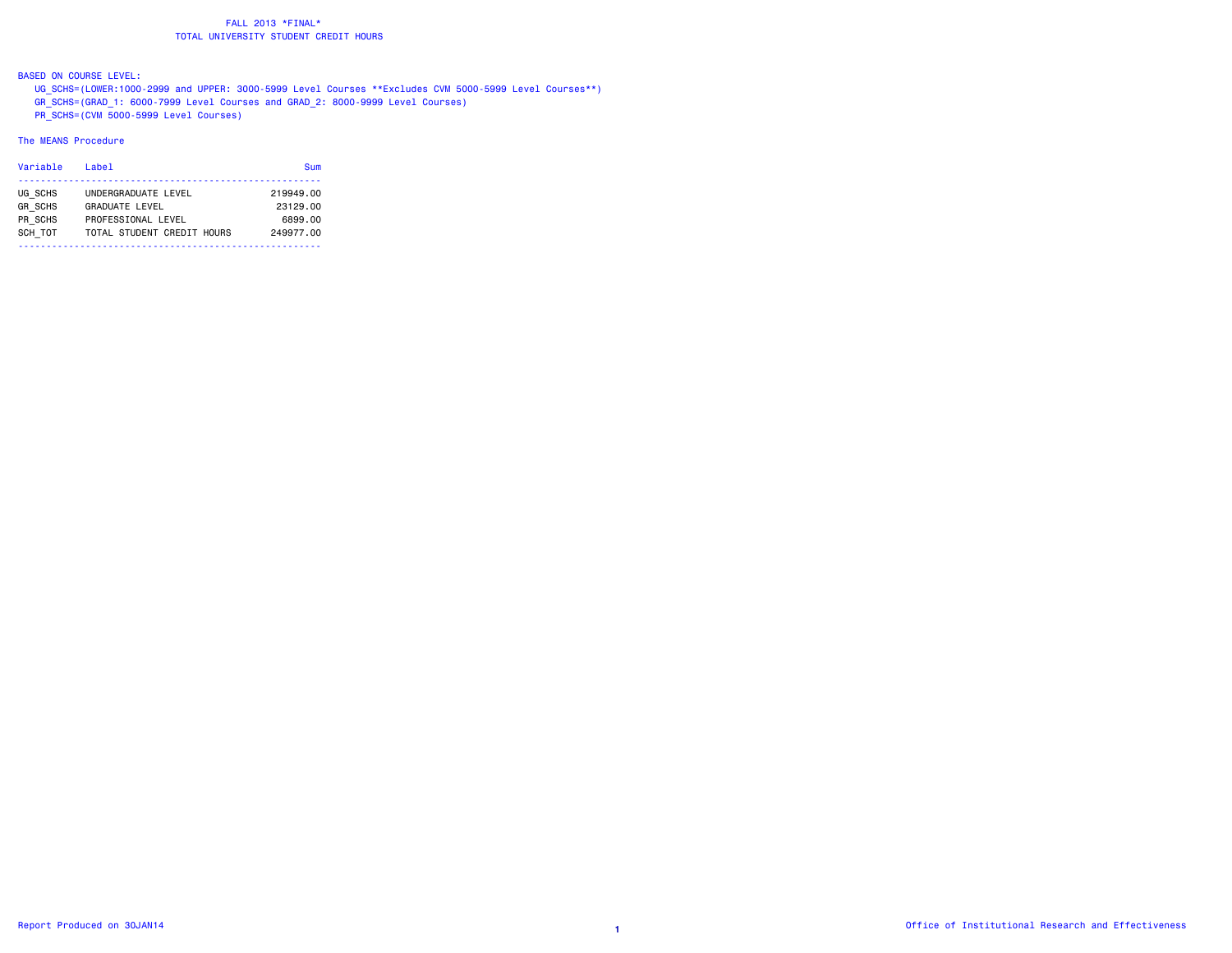BASED ON COURSE LEVEL:

 UG\_SCHS=(LOWER:1000-2999 and UPPER: 3000-5999 Level Courses \*\*Excludes CVM 5000-5999 Level Courses\*\*) GR\_SCHS=(GRAD\_1: 6000-7999 Level Courses and GRAD\_2: 8000-9999 Level Courses) PR\_SCHS=(CVM 5000-5999 Level Courses)

| Variable       | Label                      | Sum       |
|----------------|----------------------------|-----------|
| UG SCHS        | UNDERGRADUATE LEVEL        | 219949.00 |
| <b>GR SCHS</b> | <b>GRADUATE LEVEL</b>      | 23129.00  |
| PR SCHS        | PROFESSIONAL LEVEL         | 6899.00   |
| SCH TOT        | TOTAL STUDENT CREDIT HOURS | 249977.00 |
|                |                            |           |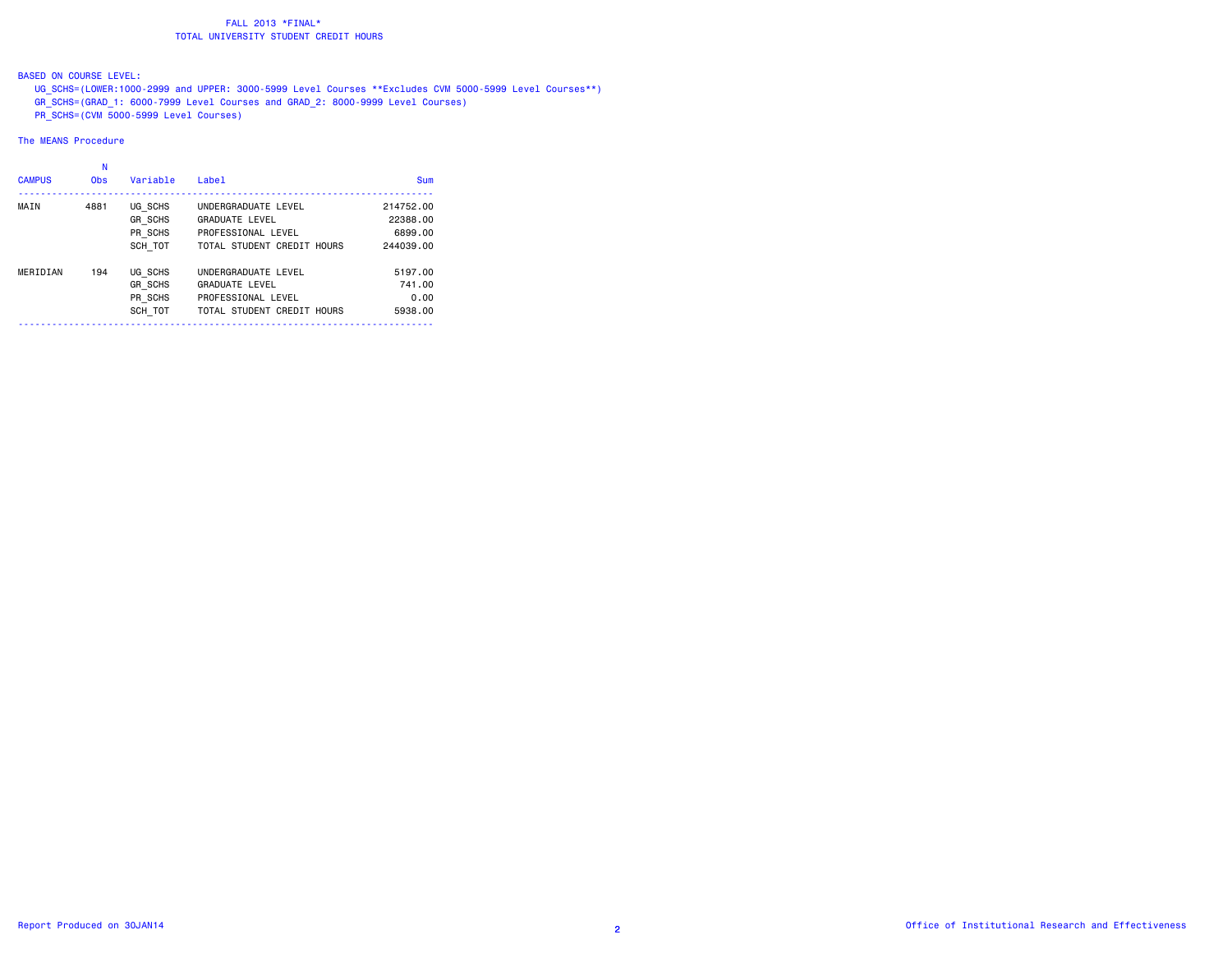# BASED ON COURSE LEVEL:

 UG\_SCHS=(LOWER:1000-2999 and UPPER: 3000-5999 Level Courses \*\*Excludes CVM 5000-5999 Level Courses\*\*) GR\_SCHS=(GRAD\_1: 6000-7999 Level Courses and GRAD\_2: 8000-9999 Level Courses)  $\overline{PR}$  SCHS=(CVM 5000-5999 Level Courses)

| <b>CAMPUS</b> | N<br><b>Obs</b> | Variable       | Label                      | Sum       |
|---------------|-----------------|----------------|----------------------------|-----------|
| MAIN          | 4881            | UG SCHS        | UNDERGRADUATE LEVEL        | 214752.00 |
|               |                 | GR SCHS        | <b>GRADUATE LEVEL</b>      | 22388.00  |
|               |                 | PR SCHS        | PROFESSIONAL LEVEL         | 6899.00   |
|               |                 | SCH TOT        | TOTAL STUDENT CREDIT HOURS | 244039.00 |
| MERIDIAN      | 194             | UG SCHS        | UNDERGRADUATE LEVEL        | 5197.00   |
|               |                 | <b>GR SCHS</b> | <b>GRADUATE LEVEL</b>      | 741.00    |
|               |                 | PR SCHS        | PROFESSIONAL LEVEL         | 0.00      |
|               |                 | SCH TOT        | TOTAL STUDENT CREDIT HOURS | 5938.00   |
|               |                 |                |                            |           |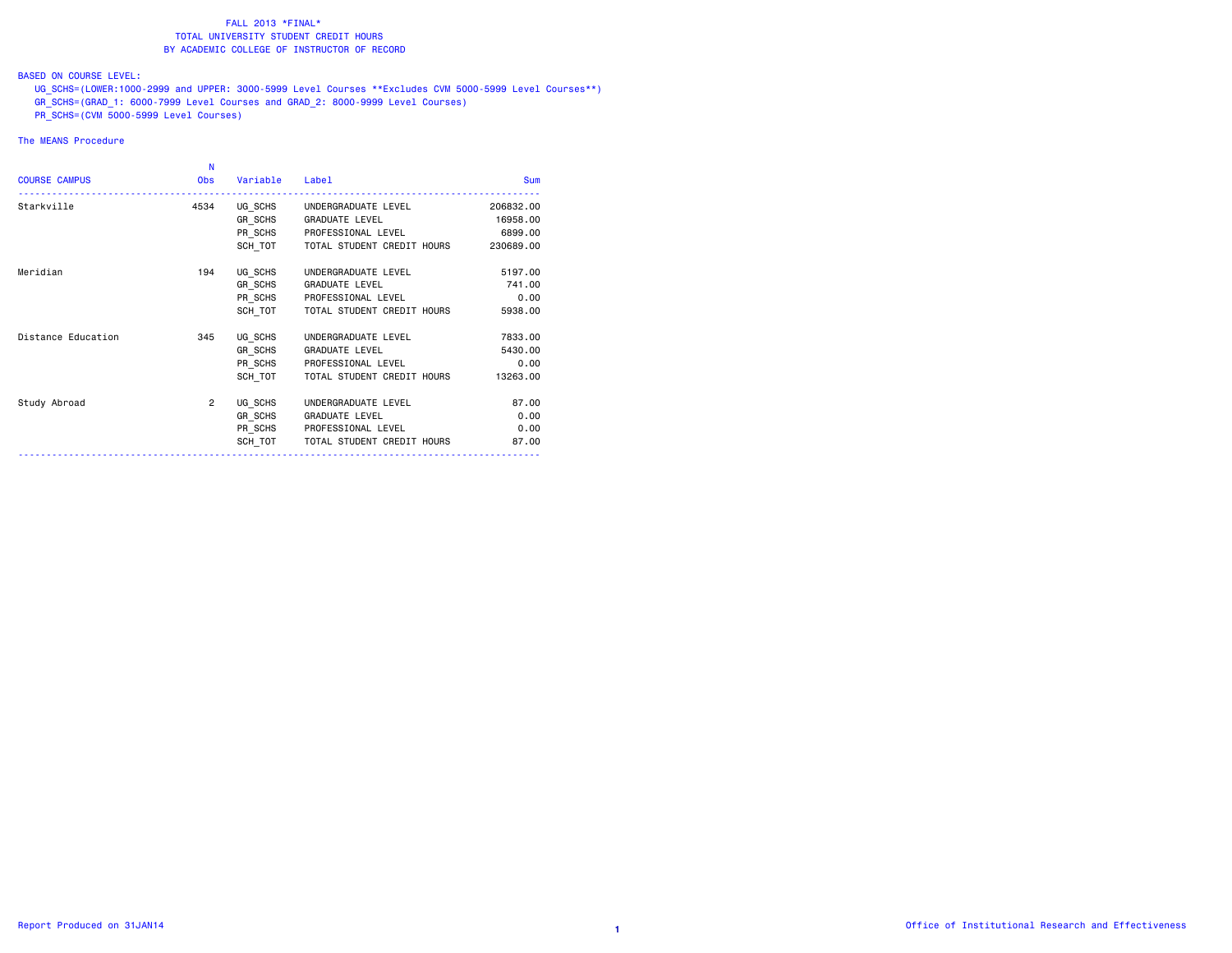### BASED ON COURSE LEVEL:

 UG\_SCHS=(LOWER:1000-2999 and UPPER: 3000-5999 Level Courses \*\*Excludes CVM 5000-5999 Level Courses\*\*) GR\_SCHS=(GRAD\_1: 6000-7999 Level Courses and GRAD\_2: 8000-9999 Level Courses)  $\overline{PR}$  SCHS=(CVM 5000-5999 Level Courses)

| <b>COURSE CAMPUS</b> | N<br><b>Obs</b> | Variable Label |                                              | <b>Sum</b> |
|----------------------|-----------------|----------------|----------------------------------------------|------------|
| Starkville           | 4534            |                | UG SCHS UNDERGRADUATE LEVEL                  | 206832,00  |
|                      |                 |                | GR SCHS GRADUATE LEVEL                       | 16958.00   |
|                      |                 |                | PR_SCHS PROFESSIONAL LEVEL                   | 6899.00    |
|                      |                 |                | SCH TOT TOTAL STUDENT CREDIT HOURS 230689.00 |            |
| Meridian             | 194             | UG SCHS        | UNDERGRADUATE LEVEL                          | 5197.00    |
|                      |                 |                | GR SCHS GRADUATE LEVEL                       | 741.00     |
|                      |                 |                | PR SCHS PROFESSIONAL LEVEL                   | 0.00       |
|                      |                 | SCH TOT        | TOTAL STUDENT CREDIT HOURS                   | 5938.00    |
| Distance Education   | 345             | UG SCHS        | UNDERGRADUATE LEVEL                          | 7833.00    |
|                      |                 |                | GR SCHS GRADUATE LEVEL                       | 5430.00    |
|                      |                 |                | PR_SCHS PROFESSIONAL LEVEL                   | 0.00       |
|                      |                 |                | SCH TOT TOTAL STUDENT CREDIT HOURS           | 13263.00   |
| Study Abroad         | $\overline{2}$  | UG SCHS        | UNDERGRADUATE LEVEL                          | 87.00      |
|                      |                 | GR SCHS        | GRADUATE LEVEL                               | 0.00       |
|                      |                 |                | PR SCHS PROFESSIONAL LEVEL                   | 0.00       |
|                      |                 | SCH TOT        | TOTAL STUDENT CREDIT HOURS                   | 87.00      |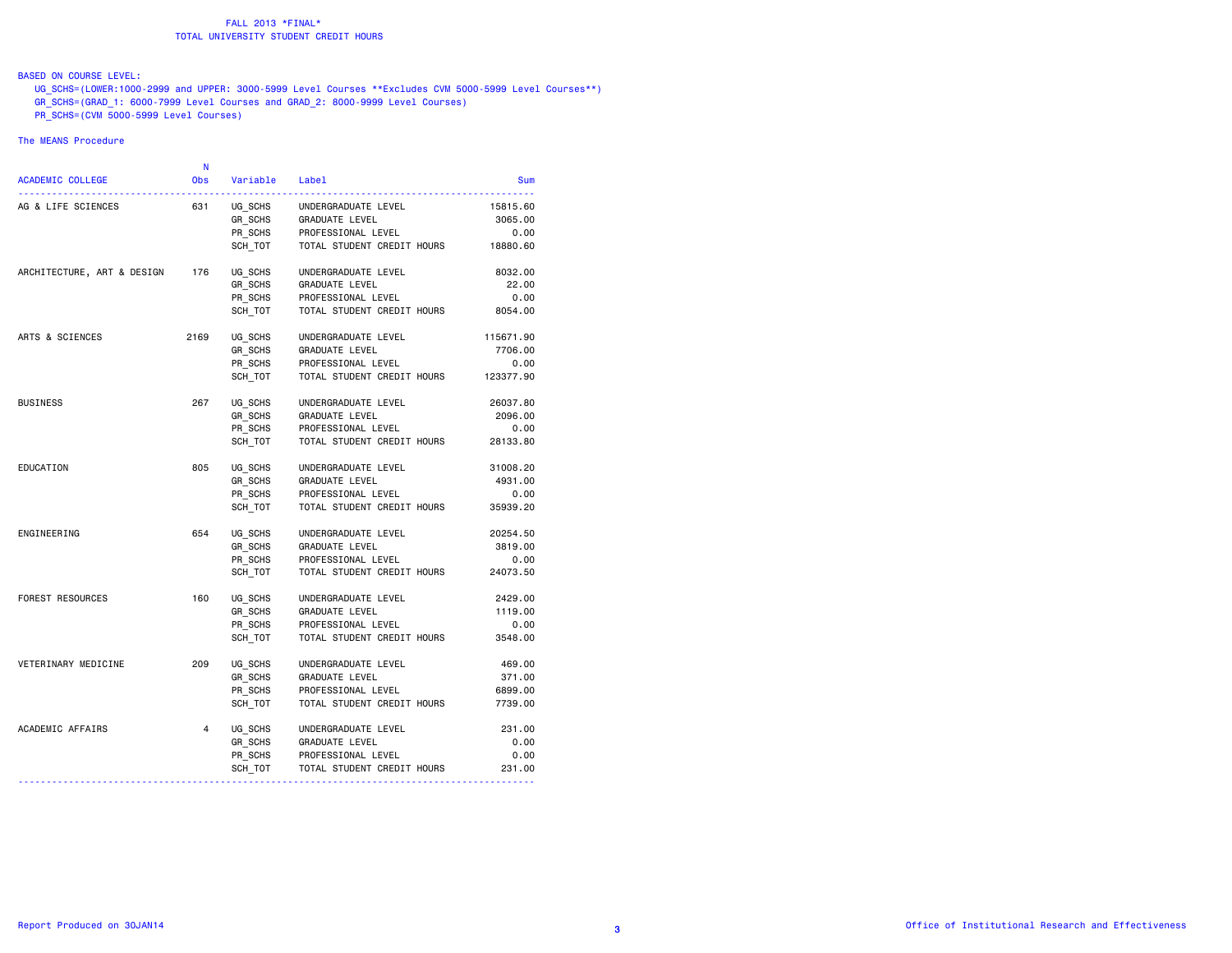# BASED ON COURSE LEVEL:

 UG\_SCHS=(LOWER:1000-2999 and UPPER: 3000-5999 Level Courses \*\*Excludes CVM 5000-5999 Level Courses\*\*) GR\_SCHS=(GRAD\_1: 6000-7999 Level Courses and GRAD\_2: 8000-9999 Level Courses)  $\overline{PR}$  SCHS=(CVM 5000-5999 Level Courses)

|            |                            |          | N              |                            |
|------------|----------------------------|----------|----------------|----------------------------|
| <b>Sum</b> | Label                      | Variable | <b>Obs</b>     | <b>ACADEMIC COLLEGE</b>    |
| 15815.60   | UNDERGRADUATE LEVEL        | UG SCHS  | 631            | AG & LIFE SCIENCES         |
| 3065.00    | <b>GRADUATE LEVEL</b>      | GR SCHS  |                |                            |
| 0.00       | PROFESSIONAL LEVEL         | PR_SCHS  |                |                            |
| 18880.60   | TOTAL STUDENT CREDIT HOURS | SCH TOT  |                |                            |
| 8032.00    | UNDERGRADUATE LEVEL        | UG SCHS  | 176            | ARCHITECTURE, ART & DESIGN |
| 22.00      | GRADUATE LEVEL             | GR SCHS  |                |                            |
| 0.00       | PROFESSIONAL LEVEL         | PR SCHS  |                |                            |
| 8054.00    | TOTAL STUDENT CREDIT HOURS | SCH TOT  |                |                            |
| 115671.90  | UNDERGRADUATE LEVEL        | UG SCHS  | 2169           | ARTS & SCIENCES            |
| 7706.00    | GRADUATE LEVEL             | GR SCHS  |                |                            |
| 0.00       | PROFESSIONAL LEVEL         | PR SCHS  |                |                            |
| 123377.90  | TOTAL STUDENT CREDIT HOURS | SCH TOT  |                |                            |
| 26037.80   | UNDERGRADUATE LEVEL        | UG SCHS  | 267            | <b>BUSINESS</b>            |
| 2096.00    | <b>GRADUATE LEVEL</b>      | GR SCHS  |                |                            |
| 0.00       | PROFESSIONAL LEVEL         | PR SCHS  |                |                            |
| 28133.80   | TOTAL STUDENT CREDIT HOURS | SCH TOT  |                |                            |
| 31008.20   | UNDERGRADUATE LEVEL        | UG SCHS  | 805            | EDUCATION                  |
| 4931.00    | GRADUATE LEVEL             | GR SCHS  |                |                            |
| 0.00       | PROFESSIONAL LEVEL         | PR SCHS  |                |                            |
| 35939.20   | TOTAL STUDENT CREDIT HOURS | SCH TOT  |                |                            |
| 20254.50   | UNDERGRADUATE LEVEL        | UG SCHS  | 654            | ENGINEERING                |
| 3819.00    | GRADUATE LEVEL             | GR SCHS  |                |                            |
| 0.00       | PROFESSIONAL LEVEL         | PR SCHS  |                |                            |
| 24073.50   | TOTAL STUDENT CREDIT HOURS | SCH TOT  |                |                            |
| 2429.00    | UNDERGRADUATE LEVEL        | UG SCHS  | 160            | <b>FOREST RESOURCES</b>    |
| 1119.00    | GRADUATE LEVEL             | GR SCHS  |                |                            |
| 0.00       | PROFESSIONAL LEVEL         | PR_SCHS  |                |                            |
| 3548.00    | TOTAL STUDENT CREDIT HOURS | SCH TOT  |                |                            |
| 469.00     | UNDERGRADUATE LEVEL        | UG SCHS  | 209            | VETERINARY MEDICINE        |
| 371.00     | GRADUATE LEVEL             | GR SCHS  |                |                            |
| 6899.00    | PROFESSIONAL LEVEL         | PR SCHS  |                |                            |
| 7739.00    | TOTAL STUDENT CREDIT HOURS | SCH TOT  |                |                            |
| 231.00     | UNDERGRADUATE LEVEL        | UG SCHS  | $\overline{4}$ | ACADEMIC AFFAIRS           |
| 0.00       | GRADUATE LEVEL             | GR_SCHS  |                |                            |
| 0.00       | PROFESSIONAL LEVEL         | PR_SCHS  |                |                            |
| 231.00     | TOTAL STUDENT CREDIT HOURS | SCH_TOT  |                |                            |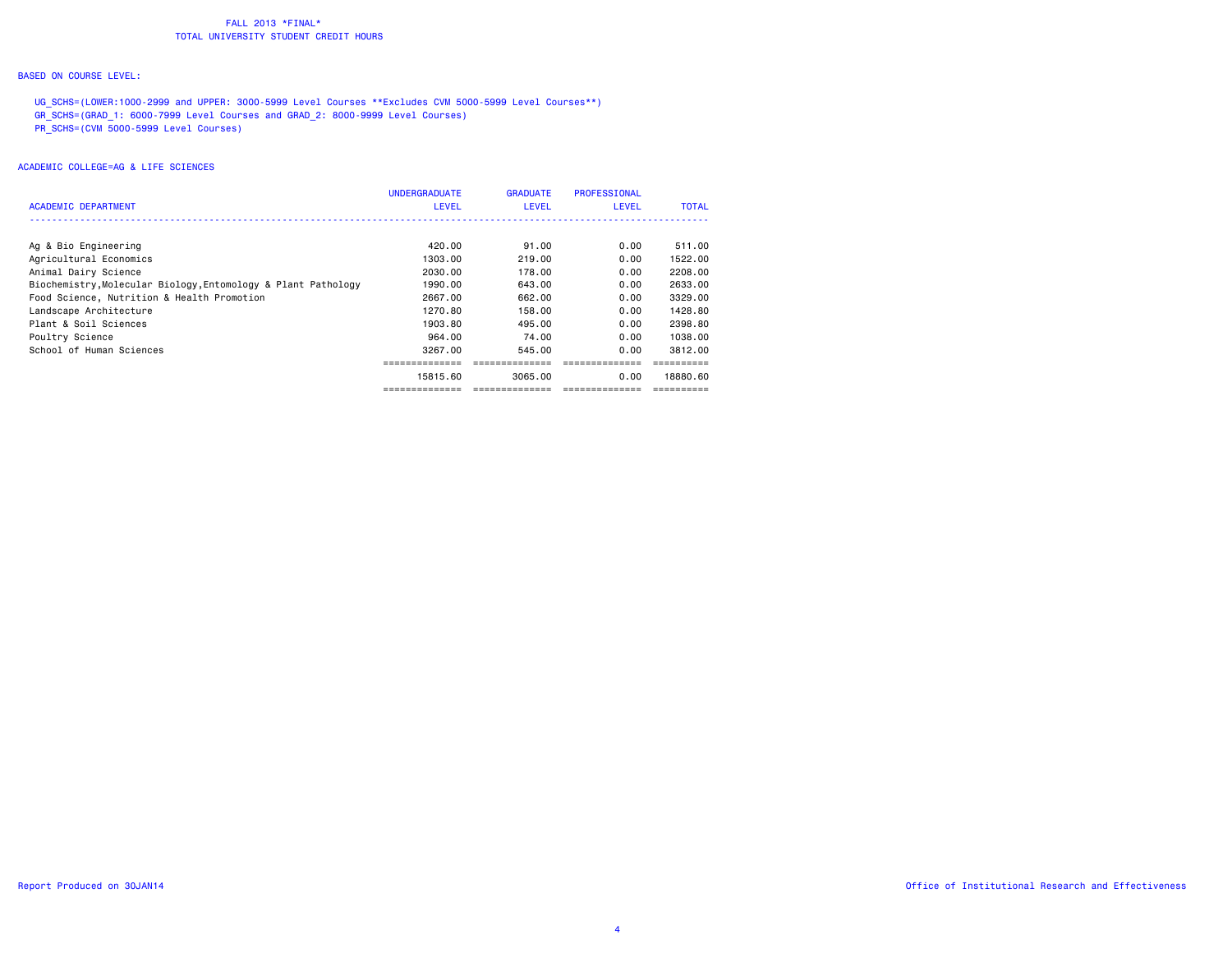### BASED ON COURSE LEVEL:

UG SCHS=(LOWER:1000-2999 and UPPER: 3000-5999 Level Courses \*\*Excludes CVM 5000-5999 Level Courses\*\*) GR\_SCHS=(GRAD\_1: 6000-7999 Level Courses and GRAD\_2: 8000-9999 Level Courses) PR\_SCHS=(CVM 5000-5999 Level Courses)

| ACADEMIC DEPARTMENT                                           | <b>UNDERGRADUATE</b><br><b>LEVEL</b> | <b>GRADUATE</b><br>LEVEL | <b>PROFESSIONAL</b><br><b>LEVEL</b> | <b>TOTAL</b> |
|---------------------------------------------------------------|--------------------------------------|--------------------------|-------------------------------------|--------------|
|                                                               |                                      |                          |                                     |              |
| Ag & Bio Engineering                                          | 420.00                               | 91.00                    | 0.00                                | 511,00       |
| Agricultural Economics                                        | 1303.00                              | 219,00                   | 0.00                                | 1522.00      |
| Animal Dairy Science                                          | 2030.00                              | 178.00                   | 0.00                                | 2208.00      |
| Biochemistry, Molecular Biology, Entomology & Plant Pathology | 1990.00                              | 643,00                   | 0.00                                | 2633.00      |
| Food Science, Nutrition & Health Promotion                    | 2667,00                              | 662.00                   | 0.00                                | 3329,00      |
| Landscape Architecture                                        | 1270.80                              | 158.00                   | 0.00                                | 1428.80      |
| Plant & Soil Sciences                                         | 1903.80                              | 495.00                   | 0.00                                | 2398.80      |
| Poultry Science                                               | 964.00                               | 74.00                    | 0.00                                | 1038.00      |
| School of Human Sciences                                      | 3267.00                              | 545.00                   | 0.00                                | 3812,00      |
|                                                               |                                      |                          |                                     |              |
|                                                               | 15815.60                             | 3065.00                  | 0.00                                | 18880.60     |
|                                                               |                                      |                          |                                     |              |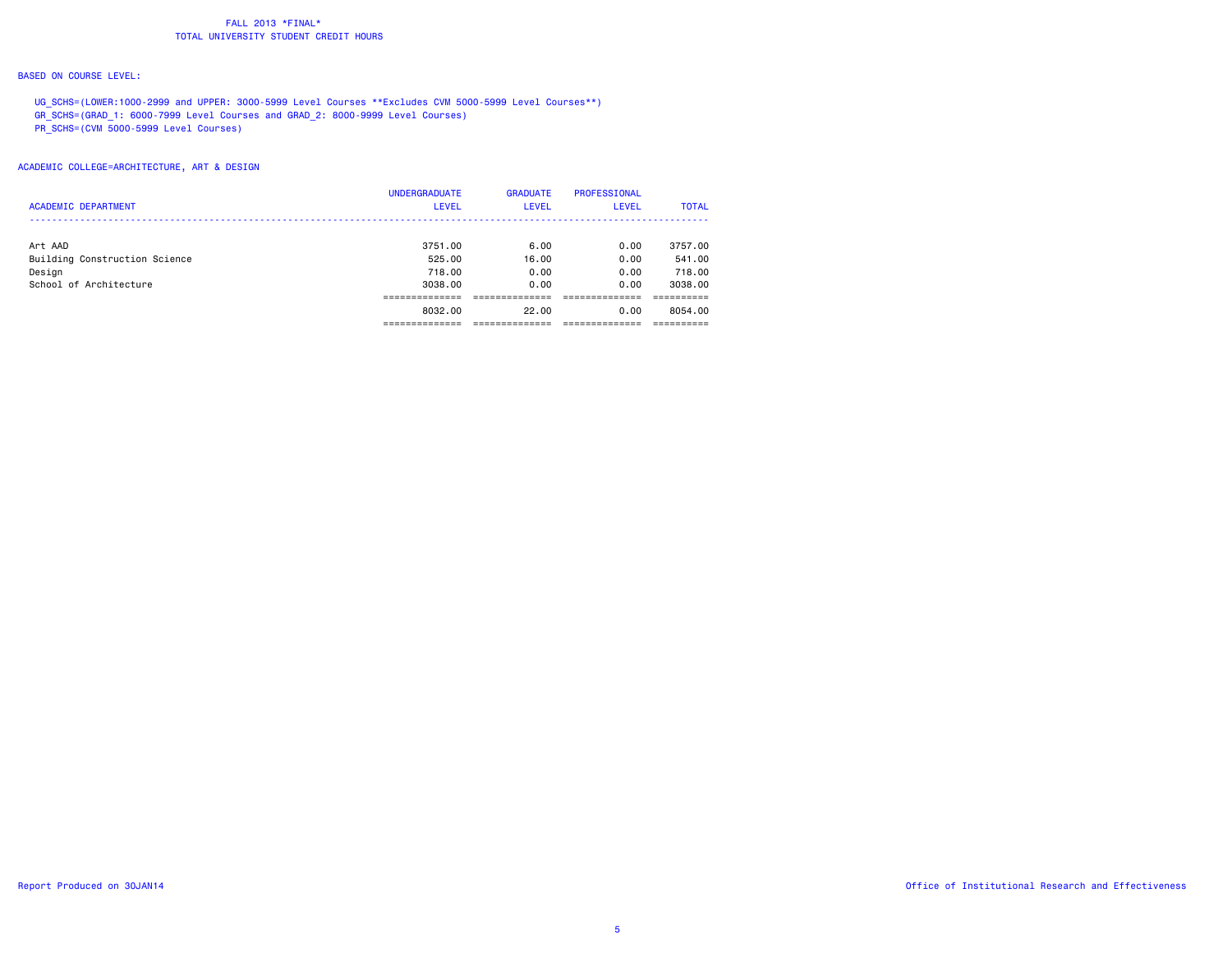### BASED ON COURSE LEVEL:

UG\_SCHS=(LOWER:1000-2999 and UPPER: 3000-5999 Level Courses \*\*Excludes CVM 5000-5999 Level Courses\*\*) GR\_SCHS=(GRAD\_1: 6000-7999 Level Courses and GRAD\_2: 8000-9999 Level Courses) PR\_SCHS=(CVM 5000-5999 Level Courses)

# ACADEMIC COLLEGE=ARCHITECTURE, ART & DESIGN

|                               | <b>UNDERGRADUATE</b> | <b>GRADUATE</b> | <b>PROFESSIONAL</b> |              |
|-------------------------------|----------------------|-----------------|---------------------|--------------|
| <b>ACADEMIC DEPARTMENT</b>    | <b>LEVEL</b>         | <b>LEVEL</b>    | <b>LEVEL</b>        | <b>TOTAL</b> |
|                               |                      |                 |                     |              |
| Art AAD                       | 3751.00              | 6.00            | 0.00                | 3757.00      |
| Building Construction Science | 525.00               | 16.00           | 0.00                | 541.00       |
| Design                        | 718.00               | 0.00            | 0.00                | 718.00       |
| School of Architecture        | 3038.00              | 0.00            | 0.00                | 3038.00      |
|                               |                      |                 |                     |              |
|                               | 8032.00              | 22.00           | 0.00                | 8054.00      |
|                               |                      |                 |                     |              |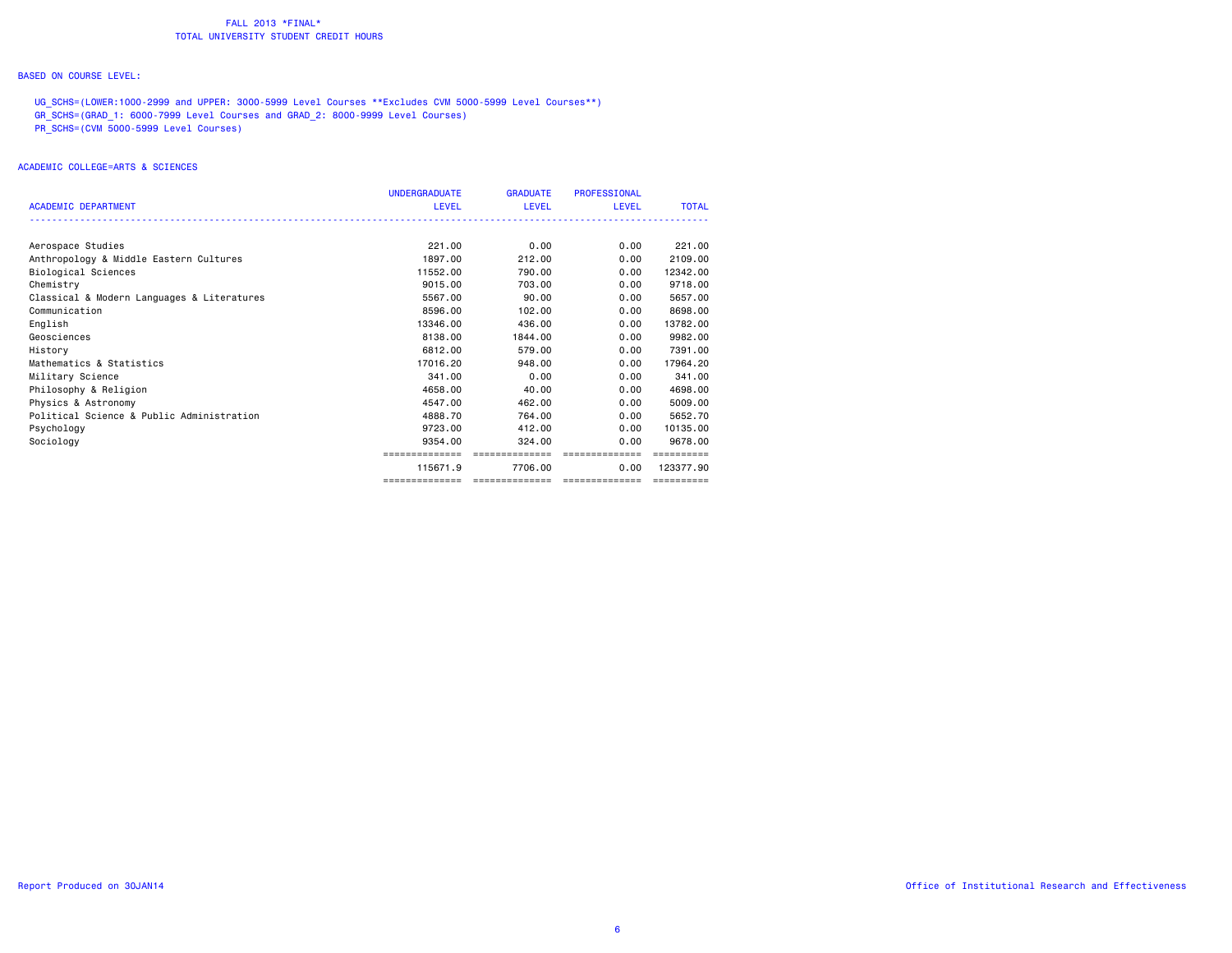### BASED ON COURSE LEVEL:

UG\_SCHS=(LOWER:1000-2999 and UPPER: 3000-5999 Level Courses \*\*Excludes CVM 5000-5999 Level Courses\*\*) GR\_SCHS=(GRAD\_1: 6000-7999 Level Courses and GRAD\_2: 8000-9999 Level Courses) PR\_SCHS=(CVM 5000-5999 Level Courses)

# ACADEMIC COLLEGE=ARTS & SCIENCES

|                                            | <b>UNDERGRADUATE</b> | <b>GRADUATE</b>                    | <b>PROFESSIONAL</b> |              |
|--------------------------------------------|----------------------|------------------------------------|---------------------|--------------|
| <b>ACADEMIC DEPARTMENT</b>                 | <b>LEVEL</b>         | LEVEL                              | <b>LEVEL</b>        | <b>TOTAL</b> |
|                                            |                      |                                    |                     |              |
| Aerospace Studies                          | 221.00               | 0.00                               | 0.00                | 221.00       |
| Anthropology & Middle Eastern Cultures     | 1897.00              | 212.00                             | 0.00                | 2109.00      |
| Biological Sciences                        | 11552.00             | 790.00                             | 0.00                | 12342.00     |
| Chemistry                                  | 9015.00              | 703.00                             | 0.00                | 9718.00      |
| Classical & Modern Languages & Literatures | 5567.00              | 90.00                              | 0.00                | 5657.00      |
| Communication                              | 8596.00              | 102,00                             | 0.00                | 8698,00      |
| English                                    | 13346,00             | 436,00                             | 0.00                | 13782.00     |
| Geosciences                                | 8138.00              | 1844.00                            | 0.00                | 9982.00      |
| History                                    | 6812.00              | 579.00                             | 0.00                | 7391.00      |
| Mathematics & Statistics                   | 17016.20             | 948,00                             | 0.00                | 17964.20     |
| Military Science                           | 341.00               | 0.00                               | 0.00                | 341.00       |
| Philosophy & Religion                      | 4658,00              | 40.00                              | 0.00                | 4698,00      |
| Physics & Astronomy                        | 4547.00              | 462.00                             | 0.00                | 5009.00      |
| Political Science & Public Administration  | 4888.70              | 764.00                             | 0.00                | 5652.70      |
| Psychology                                 | 9723.00              | 412,00                             | 0.00                | 10135.00     |
| Sociology                                  | 9354.00              | 324.00                             | 0.00                | 9678.00      |
|                                            | ============         | ==============                     | ==============      |              |
|                                            | 115671.9             | 7706.00                            | 0.00                | 123377.90    |
|                                            | ==============       | __________________________________ |                     | ==========   |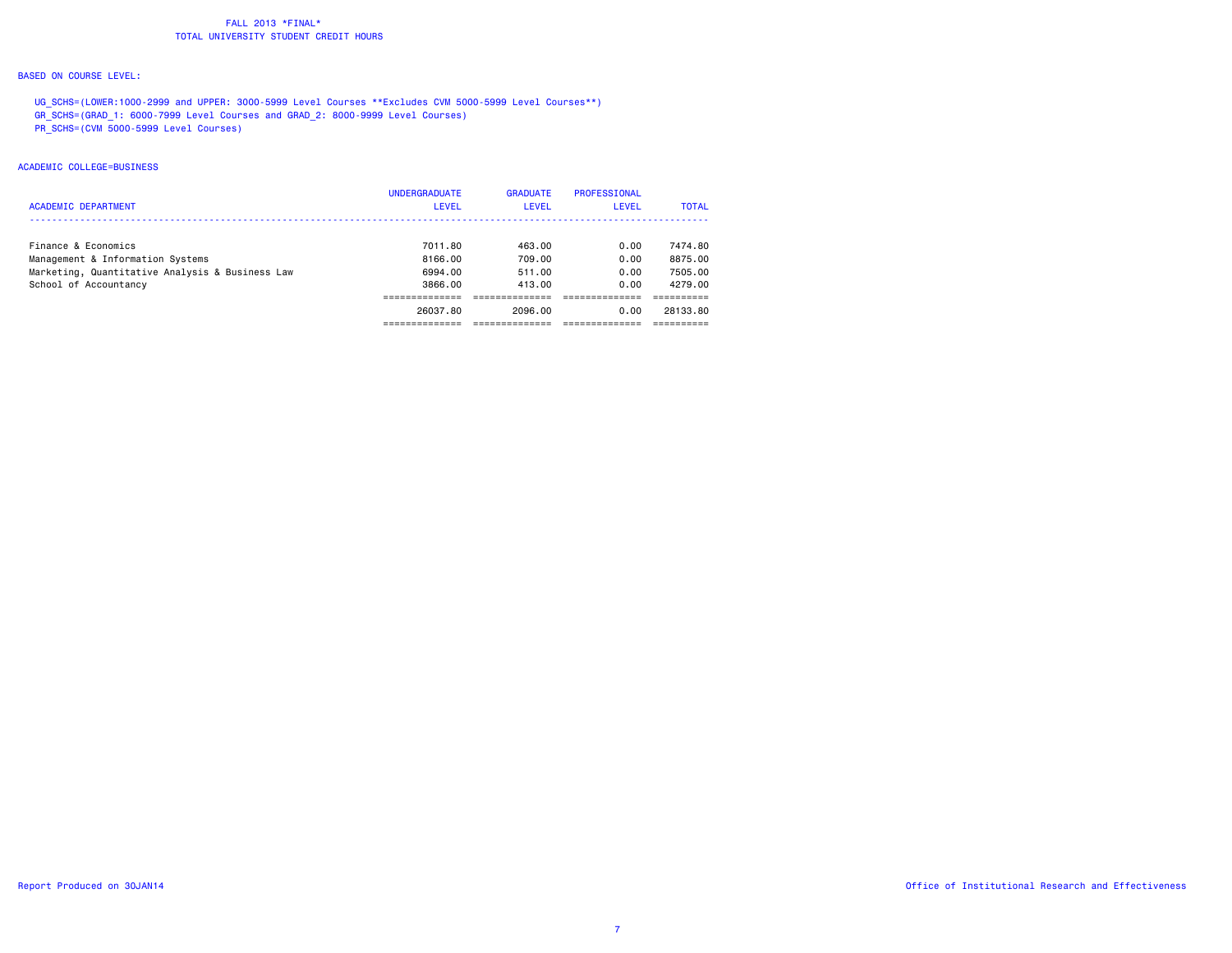### BASED ON COURSE LEVEL:

UG SCHS=(LOWER:1000-2999 and UPPER: 3000-5999 Level Courses \*\*Excludes CVM 5000-5999 Level Courses\*\*) GR\_SCHS=(GRAD\_1: 6000-7999 Level Courses and GRAD\_2: 8000-9999 Level Courses) PR\_SCHS=(CVM 5000-5999 Level Courses)

# ACADEMIC COLLEGE=BUSINESS

|                                                 | <b>UNDERGRADUATE</b> | <b>GRADUATE</b> | PROFESSIONAL |              |
|-------------------------------------------------|----------------------|-----------------|--------------|--------------|
| <b>ACADEMIC DEPARTMENT</b>                      | LEVEL                | <b>LEVEL</b>    | LEVEL        | <b>TOTAL</b> |
|                                                 |                      |                 |              |              |
| Finance & Economics                             | 7011.80              | 463.00          | 0.00         | 7474.80      |
| Management & Information Systems                | 8166.00              | 709.00          | 0.00         | 8875.00      |
| Marketing, Quantitative Analysis & Business Law | 6994.00              | 511.00          | 0.00         | 7505.00      |
| School of Accountancy                           | 3866.00              | 413.00          | 0.00         | 4279.00      |
|                                                 |                      |                 |              |              |
|                                                 | 26037.80             | 2096.00         | 0.00         | 28133.80     |
|                                                 |                      |                 |              |              |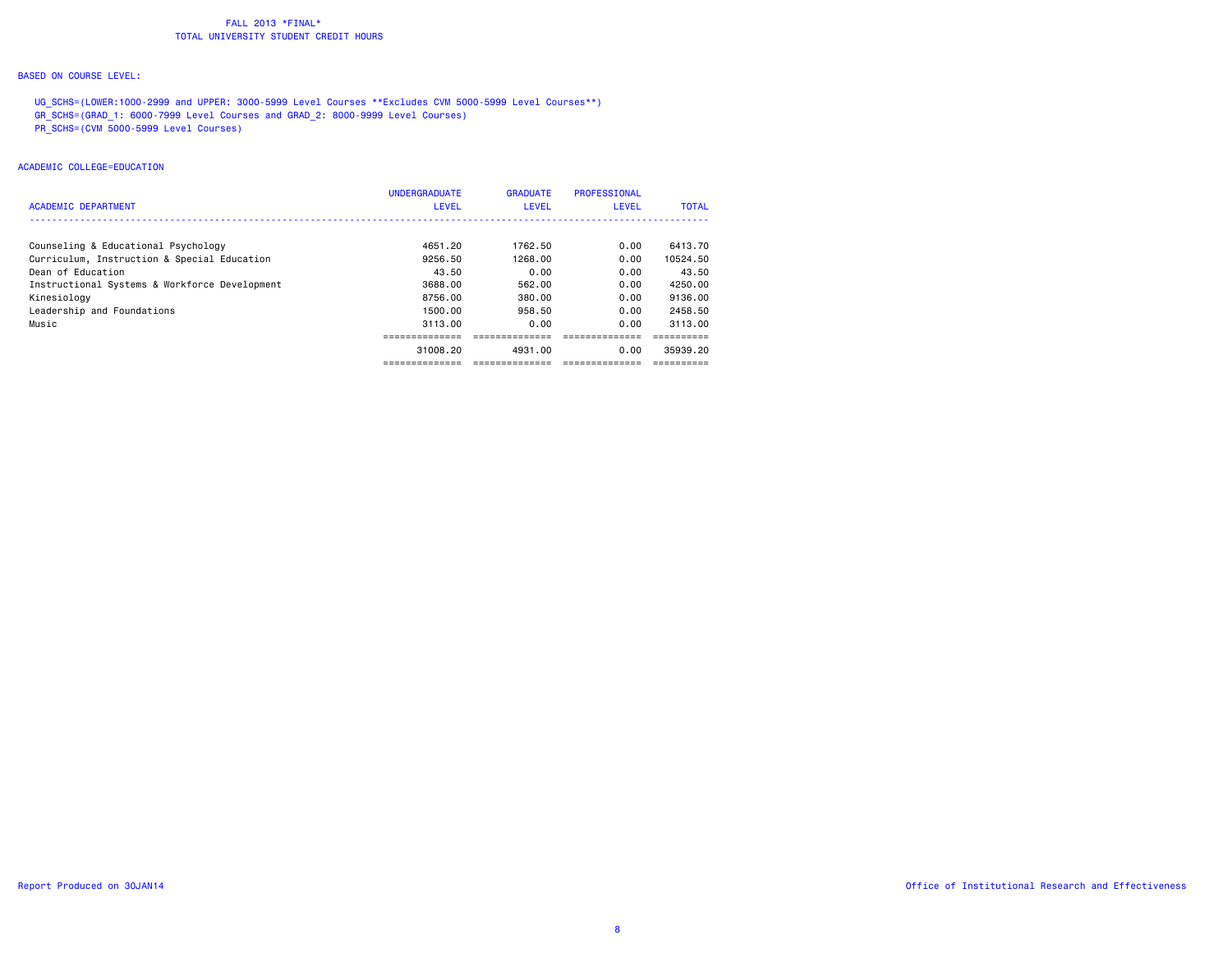### BASED ON COURSE LEVEL:

UG SCHS=(LOWER:1000-2999 and UPPER: 3000-5999 Level Courses \*\*Excludes CVM 5000-5999 Level Courses\*\*) GR\_SCHS=(GRAD\_1: 6000-7999 Level Courses and GRAD\_2: 8000-9999 Level Courses) PR\_SCHS=(CVM 5000-5999 Level Courses)

# ACADEMIC COLLEGE=EDUCATION

| <b>ACADEMIC DEPARTMENT</b>                    | <b>UNDERGRADUATE</b><br><b>LEVEL</b> | <b>GRADUATE</b><br><b>LEVEL</b> | <b>PROFESSIONAL</b><br>LEVEL | <b>TOTAL</b> |
|-----------------------------------------------|--------------------------------------|---------------------------------|------------------------------|--------------|
| Counseling & Educational Psychology           | 4651.20                              | 1762.50                         | 0.00                         | 6413.70      |
| Curriculum, Instruction & Special Education   | 9256.50                              | 1268.00                         | 0.00                         | 10524.50     |
| Dean of Education                             | 43.50                                | 0.00                            | 0.00                         | 43.50        |
| Instructional Systems & Workforce Development | 3688,00                              | 562.00                          | 0.00                         | 4250.00      |
| Kinesiology                                   | 8756.00                              | 380.00                          | 0.00                         | 9136.00      |
| Leadership and Foundations                    | 1500.00                              | 958.50                          | 0.00                         | 2458.50      |
| Music                                         | 3113.00                              | 0.00                            | 0.00                         | 3113.00      |
|                                               |                                      |                                 |                              |              |
|                                               | 31008.20                             | 4931.00                         | 0.00                         | 35939.20     |
|                                               | -------------                        | -------------                   |                              |              |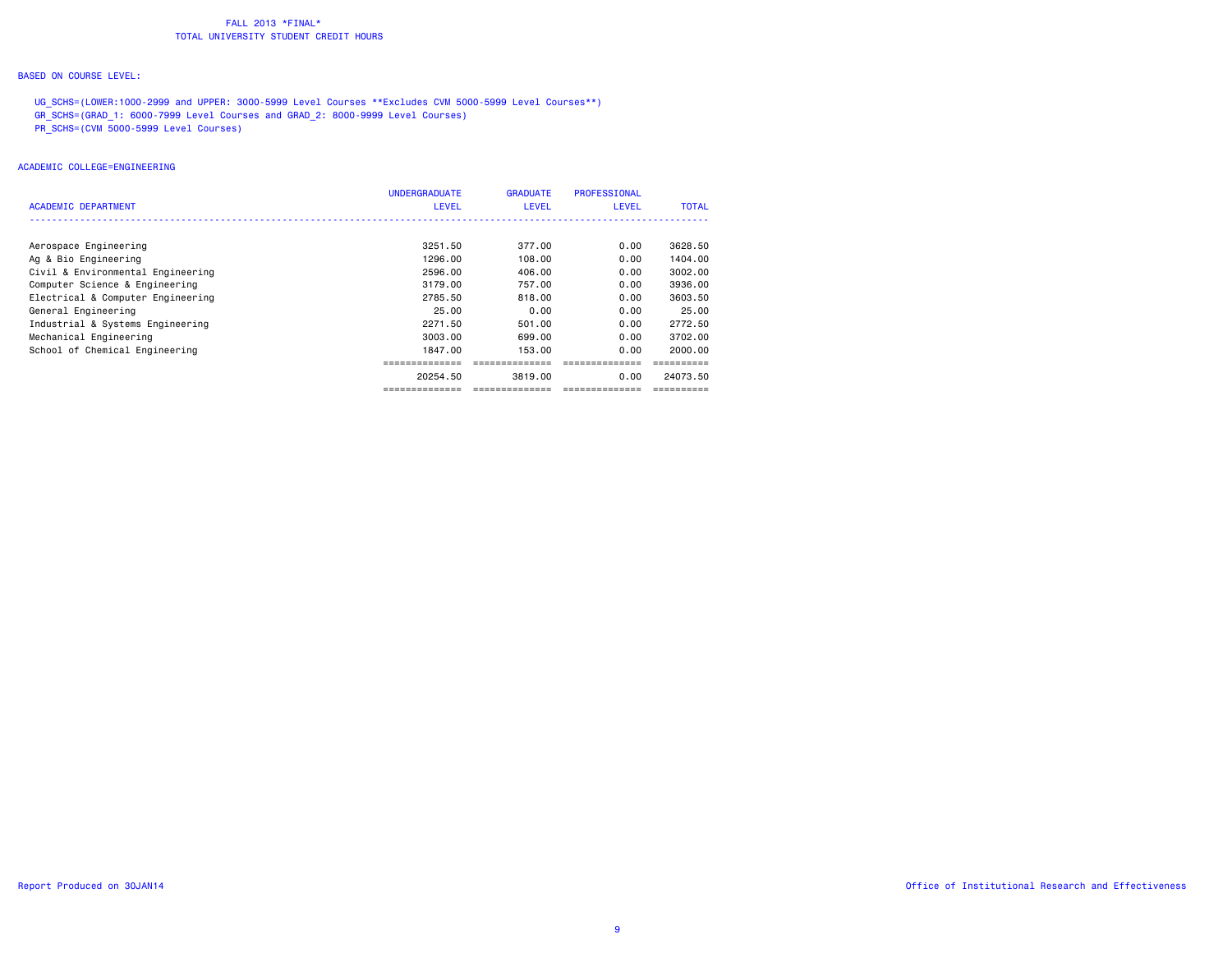### BASED ON COURSE LEVEL:

UG SCHS=(LOWER:1000-2999 and UPPER: 3000-5999 Level Courses \*\*Excludes CVM 5000-5999 Level Courses\*\*) GR\_SCHS=(GRAD\_1: 6000-7999 Level Courses and GRAD\_2: 8000-9999 Level Courses) PR\_SCHS=(CVM 5000-5999 Level Courses)

ACADEMIC COLLEGE=ENGINEERING

| ACADEMIC DEPARTMENT               | <b>UNDERGRADUATE</b><br><b>LEVEL</b> | <b>GRADUATE</b><br><b>LEVEL</b> | <b>PROFESSIONAL</b><br><b>LEVEL</b> | <b>TOTAL</b> |
|-----------------------------------|--------------------------------------|---------------------------------|-------------------------------------|--------------|
|                                   |                                      |                                 |                                     |              |
| Aerospace Engineering             | 3251.50                              | 377.00                          | 0.00                                | 3628.50      |
| Ag & Bio Engineering              | 1296.00                              | 108.00                          | 0.00                                | 1404.00      |
| Civil & Environmental Engineering | 2596.00                              | 406.00                          | 0.00                                | 3002.00      |
| Computer Science & Engineering    | 3179.00                              | 757.00                          | 0.00                                | 3936.00      |
| Electrical & Computer Engineering | 2785.50                              | 818.00                          | 0.00                                | 3603.50      |
| General Engineering               | 25.00                                | 0.00                            | 0.00                                | 25.00        |
| Industrial & Systems Engineering  | 2271.50                              | 501.00                          | 0.00                                | 2772.50      |
| Mechanical Engineering            | 3003.00                              | 699.00                          | 0.00                                | 3702.00      |
| School of Chemical Engineering    | 1847.00                              | 153.00                          | 0.00                                | 2000.00      |
|                                   |                                      |                                 |                                     |              |
|                                   | 20254.50                             | 3819.00                         | 0.00                                | 24073.50     |
|                                   | ==============                       |                                 |                                     |              |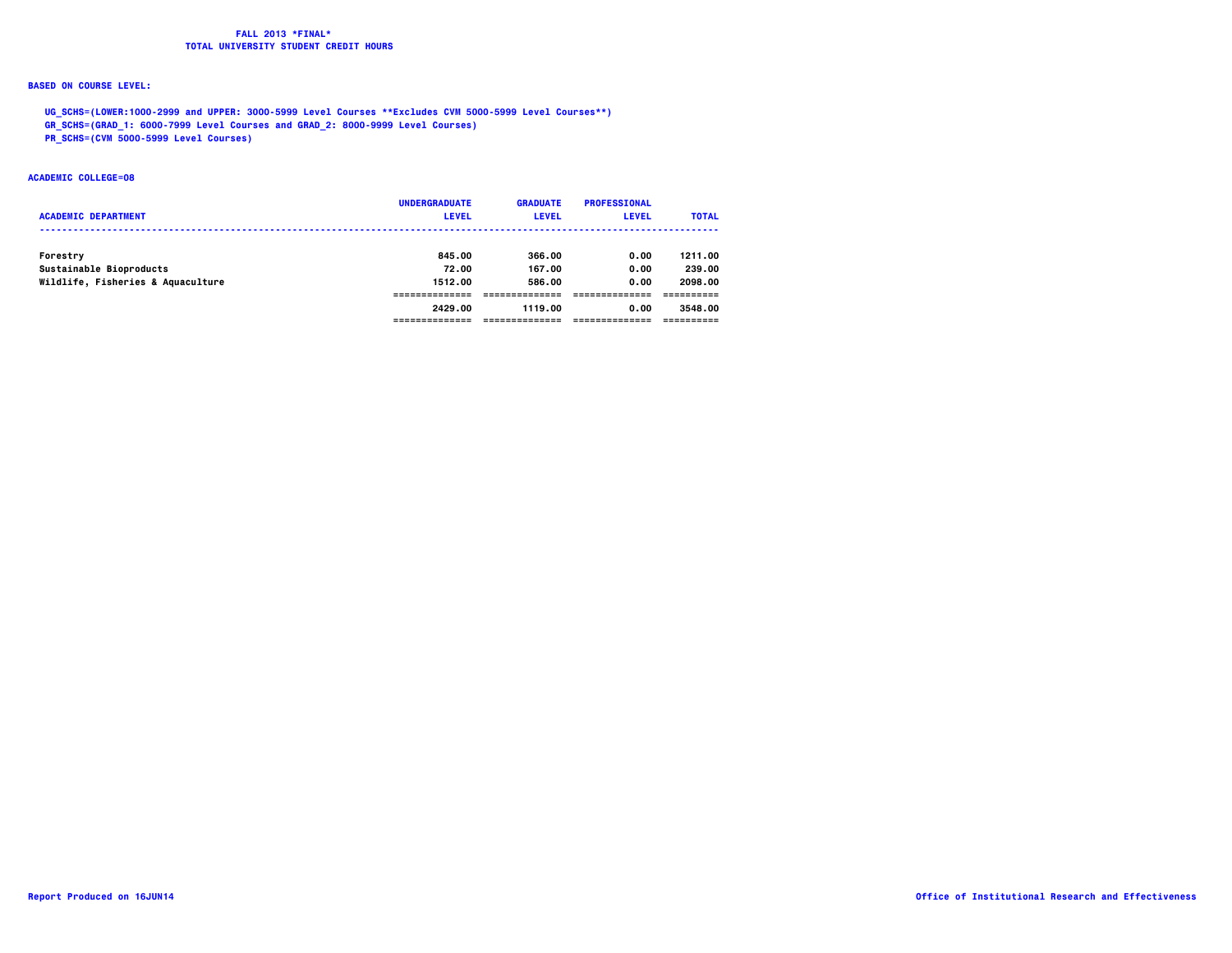# **BASED ON COURSE LEVEL:**

 **UG\_SCHS=(LOWER:1000-2999 and UPPER: 3000-5999 Level Courses \*\*Excludes CVM 5000-5999 Level Courses\*\*)**

 **GR\_SCHS=(GRAD\_1: 6000-7999 Level Courses and GRAD\_2: 8000-9999 Level Courses)**

 **PR\_SCHS=(CVM 5000-5999 Level Courses)**

### **ACADEMIC COLLEGE=08**

| <b>ACADEMIC DEPARTMENT</b>        | <b>UNDERGRADUATE</b><br><b>LEVEL</b> | <b>GRADUATE</b><br><b>LEVEL</b> | <b>PROFESSIONAL</b><br><b>LEVEL</b> | <b>TOTAL</b> |
|-----------------------------------|--------------------------------------|---------------------------------|-------------------------------------|--------------|
| Forestry                          | 845,00                               | 366.00                          | 0.00                                | 1211.00      |
| Sustainable Bioproducts           | 72.00                                | 167.00                          | 0.00                                | 239.00       |
| Wildlife, Fisheries & Aquaculture | 1512.00                              | 586.00                          | 0.00                                | 2098.00      |
|                                   |                                      |                                 |                                     |              |
|                                   | 2429.00                              | 1119.00                         | 0.00                                | 3548.00      |
|                                   |                                      |                                 |                                     |              |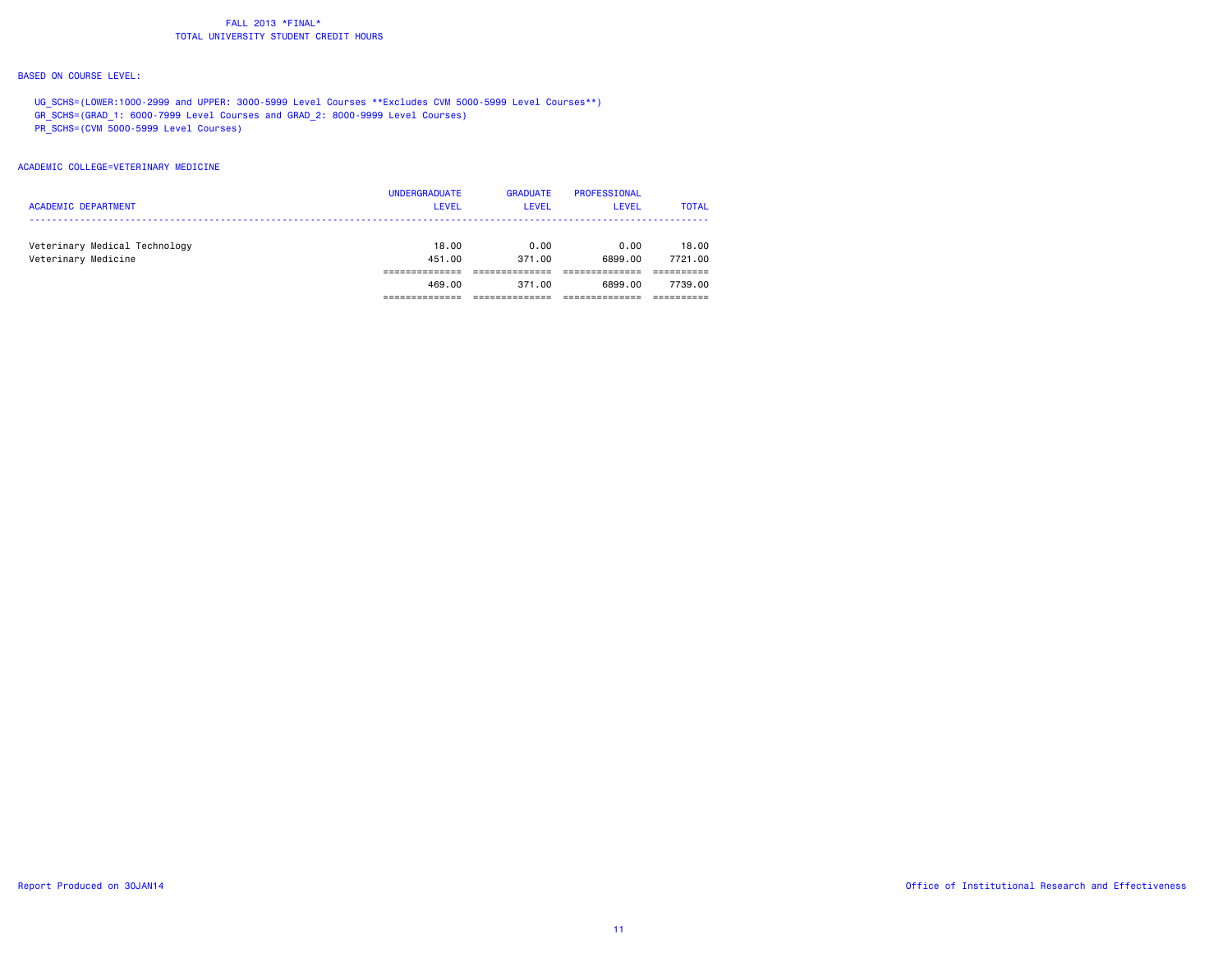### BASED ON COURSE LEVEL:

UG\_SCHS=(LOWER:1000-2999 and UPPER: 3000-5999 Level Courses \*\*Excludes CVM 5000-5999 Level Courses\*\*) GR\_SCHS=(GRAD\_1: 6000-7999 Level Courses and GRAD\_2: 8000-9999 Level Courses) PR\_SCHS=(CVM 5000-5999 Level Courses)

### ACADEMIC COLLEGE=VETERINARY MEDICINE

|                               | <b>UNDERGRADUATE</b> | <b>GRADUATE</b> | <b>PROFESSIONAL</b> |              |
|-------------------------------|----------------------|-----------------|---------------------|--------------|
| <b>ACADEMIC DEPARTMENT</b>    | <b>LEVEL</b>         | LEVEL           | <b>LEVEL</b>        | <b>TOTAL</b> |
|                               |                      |                 |                     |              |
| Veterinary Medical Technology | 18.00                | 0.00            | 0.00                | 18,00        |
| Veterinary Medicine           | 451,00               | 371,00          | 6899.00             | 7721.00      |
|                               |                      |                 |                     |              |
|                               | 469.00               | 371.00          | 6899.00             | 7739.00      |
|                               |                      |                 |                     |              |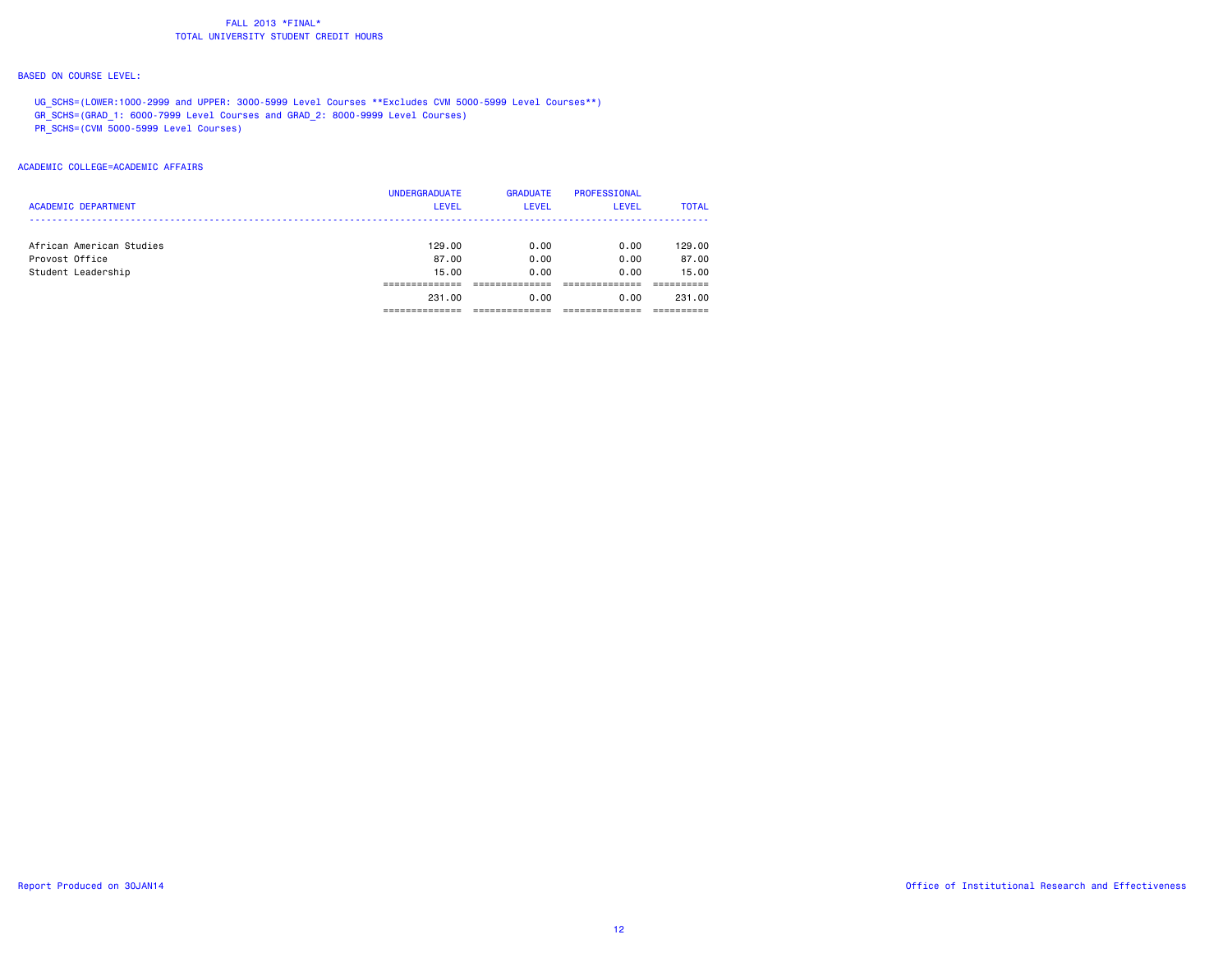### BASED ON COURSE LEVEL:

UG\_SCHS=(LOWER:1000-2999 and UPPER: 3000-5999 Level Courses \*\*Excludes CVM 5000-5999 Level Courses\*\*) GR\_SCHS=(GRAD\_1: 6000-7999 Level Courses and GRAD\_2: 8000-9999 Level Courses) PR\_SCHS=(CVM 5000-5999 Level Courses)

### ACADEMIC COLLEGE=ACADEMIC AFFAIRS

|                            | <b>UNDERGRADUATE</b> | <b>GRADUATE</b> | PROFESSIONAL |              |
|----------------------------|----------------------|-----------------|--------------|--------------|
| <b>ACADEMIC DEPARTMENT</b> | <b>LEVEL</b>         | <b>LEVEL</b>    | LEVEL        | <b>TOTAL</b> |
|                            |                      |                 |              |              |
| African American Studies   | 129.00               | 0.00            | 0.00         | 129.00       |
| Provost Office             | 87.00                | 0.00            | 0.00         | 87.00        |
| Student Leadership         | 15.00                | 0.00            | 0.00         | 15.00        |
|                            |                      |                 |              |              |
|                            | 231.00               | 0.00            | 0.00         | 231.00       |
|                            |                      |                 |              |              |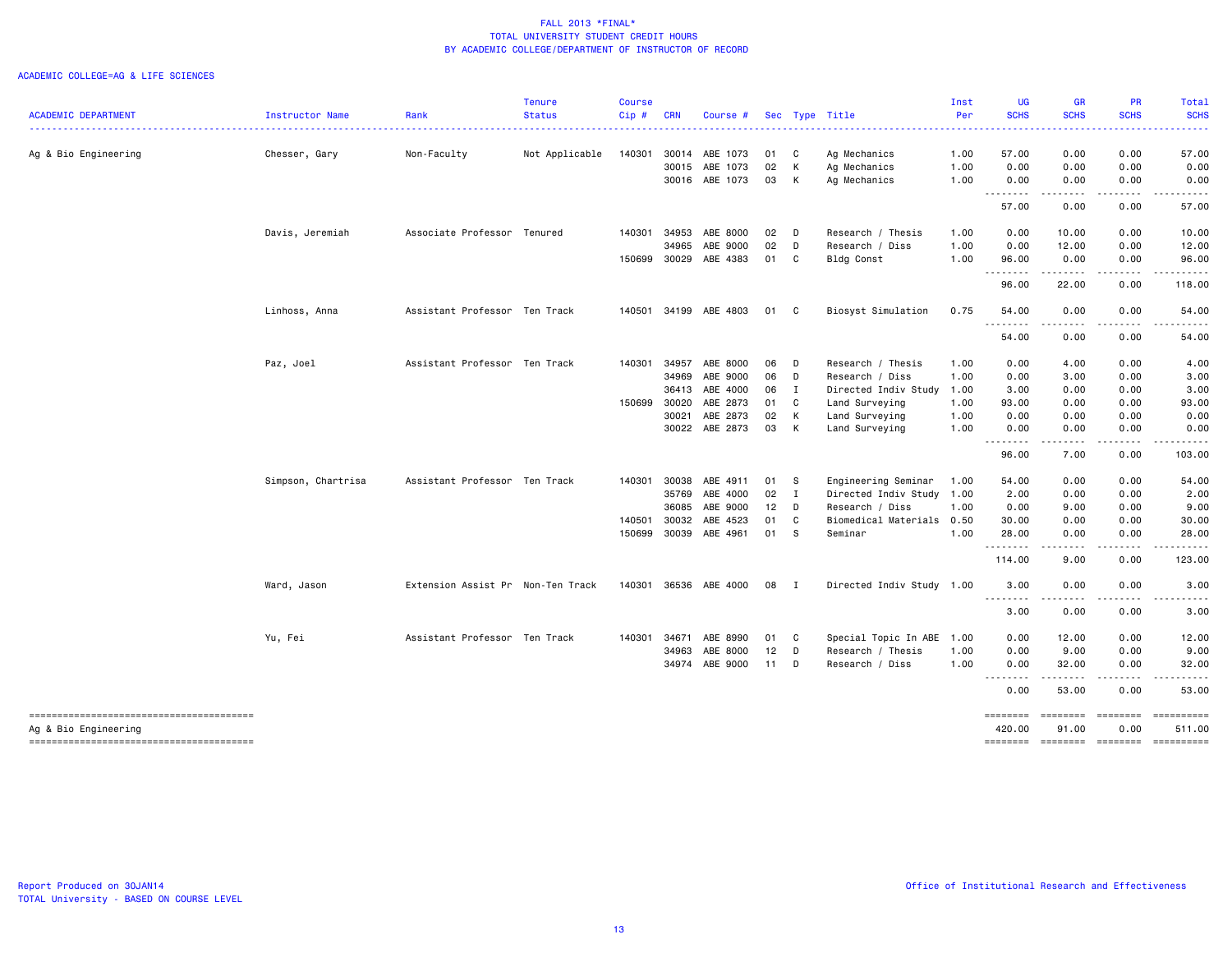| <b>ACADEMIC DEPARTMENT</b>                                     | Instructor Name    | Rank                              | <b>Tenure</b><br><b>Status</b> | <b>Course</b><br>Cip# | <b>CRN</b> | Course #       |               |              | Sec Type Title            | Inst<br>Per | <b>UG</b><br><b>SCHS</b>      | <b>GR</b><br><b>SCHS</b> | PR<br><b>SCHS</b>      | Total<br><b>SCHS</b>     |
|----------------------------------------------------------------|--------------------|-----------------------------------|--------------------------------|-----------------------|------------|----------------|---------------|--------------|---------------------------|-------------|-------------------------------|--------------------------|------------------------|--------------------------|
|                                                                |                    |                                   |                                |                       |            |                |               |              |                           |             |                               |                          |                        |                          |
| Ag & Bio Engineering                                           | Chesser, Gary      | Non-Faculty                       | Not Applicable                 | 140301                |            | 30014 ABE 1073 | 01            | C            | Ag Mechanics              | 1.00        | 57.00                         | 0.00                     | 0.00                   | 57.00                    |
|                                                                |                    |                                   |                                |                       |            | 30015 ABE 1073 | 02            | К            | Ag Mechanics              | 1.00        | 0.00                          | 0.00                     | 0.00                   | 0.00                     |
|                                                                |                    |                                   |                                |                       |            | 30016 ABE 1073 | 03            | К            | Ag Mechanics              | 1.00        | 0.00<br>.                     | 0.00<br>.                | 0.00                   | 0.00                     |
|                                                                |                    |                                   |                                |                       |            |                |               |              |                           |             | 57.00                         | 0.00                     | 0.00                   | 57.00                    |
|                                                                | Davis, Jeremiah    | Associate Professor Tenured       |                                | 140301                | 34953      | ABE 8000       | 02            | D            | Research / Thesis         | 1.00        | 0.00                          | 10.00                    | 0.00                   | 10.00                    |
|                                                                |                    |                                   |                                |                       | 34965      | ABE 9000       | 02            | D            | Research / Diss           | 1.00        | 0.00                          | 12.00                    | 0.00                   | 12.00                    |
|                                                                |                    |                                   |                                | 150699                |            | 30029 ABE 4383 | 01            | C            | Bldg Const                | 1.00        | 96.00<br>.                    | 0.00                     | 0.00                   | 96.00                    |
|                                                                |                    |                                   |                                |                       |            |                |               |              |                           |             | 96.00                         | 22.00                    | 0.00                   | 118.00                   |
|                                                                | Linhoss, Anna      | Assistant Professor Ten Track     |                                | 140501                |            | 34199 ABE 4803 | 01 C          |              | Biosyst Simulation        | 0.75        | 54.00<br>$\frac{1}{2}$        | 0.00                     | 0.00                   | 54.00                    |
|                                                                |                    |                                   |                                |                       |            |                |               |              |                           |             | 54.00                         | 0.00                     | 0.00                   | 54.00                    |
|                                                                | Paz, Joel          | Assistant Professor Ten Track     |                                | 140301                | 34957      | ABE 8000       | 06            | D            | Research / Thesis         | 1.00        | 0.00                          | 4.00                     | 0.00                   | 4.00                     |
|                                                                |                    |                                   |                                |                       | 34969      | ABE 9000       | 06            | D            | Research / Diss           | 1.00        | 0.00                          | 3.00                     | 0.00                   | 3.00                     |
|                                                                |                    |                                   |                                |                       | 36413      | ABE 4000       | 06            | $\mathbf{I}$ | Directed Indiv Study      | 1.00        | 3.00                          | 0.00                     | 0.00                   | 3.00                     |
|                                                                |                    |                                   |                                | 150699                | 30020      | ABE 2873       | 01            | C            | Land Surveying            | 1.00        | 93.00                         | 0.00                     | 0.00                   | 93.00                    |
|                                                                |                    |                                   |                                |                       | 30021      | ABE 2873       | 02            | К            | Land Surveying            | 1.00        | 0.00                          | 0.00                     | 0.00                   | 0.00                     |
|                                                                |                    |                                   |                                |                       |            | 30022 ABE 2873 | 03 K          |              | Land Surveying            | 1.00        | 0.00<br>. <b>.</b>            | 0.00<br>.                | 0.00<br>.              | 0.00                     |
|                                                                |                    |                                   |                                |                       |            |                |               |              |                           |             | 96.00                         | 7.00                     | 0.00                   | 103.00                   |
|                                                                | Simpson, Chartrisa | Assistant Professor Ten Track     |                                | 140301                | 30038      | ABE 4911       | 01            | -S           | Engineering Seminar       | 1.00        | 54.00                         | 0.00                     | 0.00                   | 54.00                    |
|                                                                |                    |                                   |                                |                       | 35769      | ABE 4000       | $02 \qquad I$ |              | Directed Indiv Study 1.00 |             | 2.00                          | 0.00                     | 0.00                   | 2.00                     |
|                                                                |                    |                                   |                                |                       | 36085      | ABE 9000       | 12            | D            | Research / Diss           | 1.00        | 0.00                          | 9.00                     | 0.00                   | 9.00                     |
|                                                                |                    |                                   |                                | 140501                | 30032      | ABE 4523       | 01            | C            | Biomedical Materials 0.50 |             | 30.00                         | 0.00                     | 0.00                   | 30.00                    |
|                                                                |                    |                                   |                                | 150699                |            | 30039 ABE 4961 | 01 S          |              | Seminar                   | 1.00        | 28.00<br>.                    | 0.00                     | 0.00                   | 28.00                    |
|                                                                |                    |                                   |                                |                       |            |                |               |              |                           |             | .<br>114.00                   | .<br>9.00                | 0.00                   | 123.00                   |
|                                                                | Ward, Jason        | Extension Assist Pr Non-Ten Track |                                | 140301                |            | 36536 ABE 4000 | 08 I          |              | Directed Indiv Study 1.00 |             | 3,00<br><b><i><u></u></i></b> | 0.00                     | 0.00                   | 3.00                     |
|                                                                |                    |                                   |                                |                       |            |                |               |              |                           |             | 3.00                          | .<br>0.00                | 0.00                   | 3.00                     |
|                                                                | Yu, Fei            | Assistant Professor Ten Track     |                                | 140301                | 34671      | ABE 8990       | 01            | C            | Special Topic In ABE      | 1.00        | 0.00                          | 12.00                    | 0.00                   | 12.00                    |
|                                                                |                    |                                   |                                |                       | 34963      | ABE 8000       | $12$ D        |              | Research / Thesis         | 1.00        | 0.00                          | 9.00                     | 0.00                   | 9.00                     |
|                                                                |                    |                                   |                                |                       |            | 34974 ABE 9000 | 11 D          |              | Research / Diss           | 1.00        | 0.00                          | 32.00                    | 0.00                   | 32.00                    |
|                                                                |                    |                                   |                                |                       |            |                |               |              |                           |             | ----<br>0.00                  | 53.00                    | 0.00                   | 53.00                    |
| --------------------------------------<br>Ag & Bio Engineering |                    |                                   |                                |                       |            |                |               |              |                           |             | ========<br>420,00            | <b>EEEEEEE</b><br>91.00  | <b>ESSESSE</b><br>0.00 | $=$ ==========<br>511.00 |
|                                                                |                    |                                   |                                |                       |            |                |               |              |                           |             | ========                      | <b>EEEEEEEE</b>          | $=$ ========           | ==========               |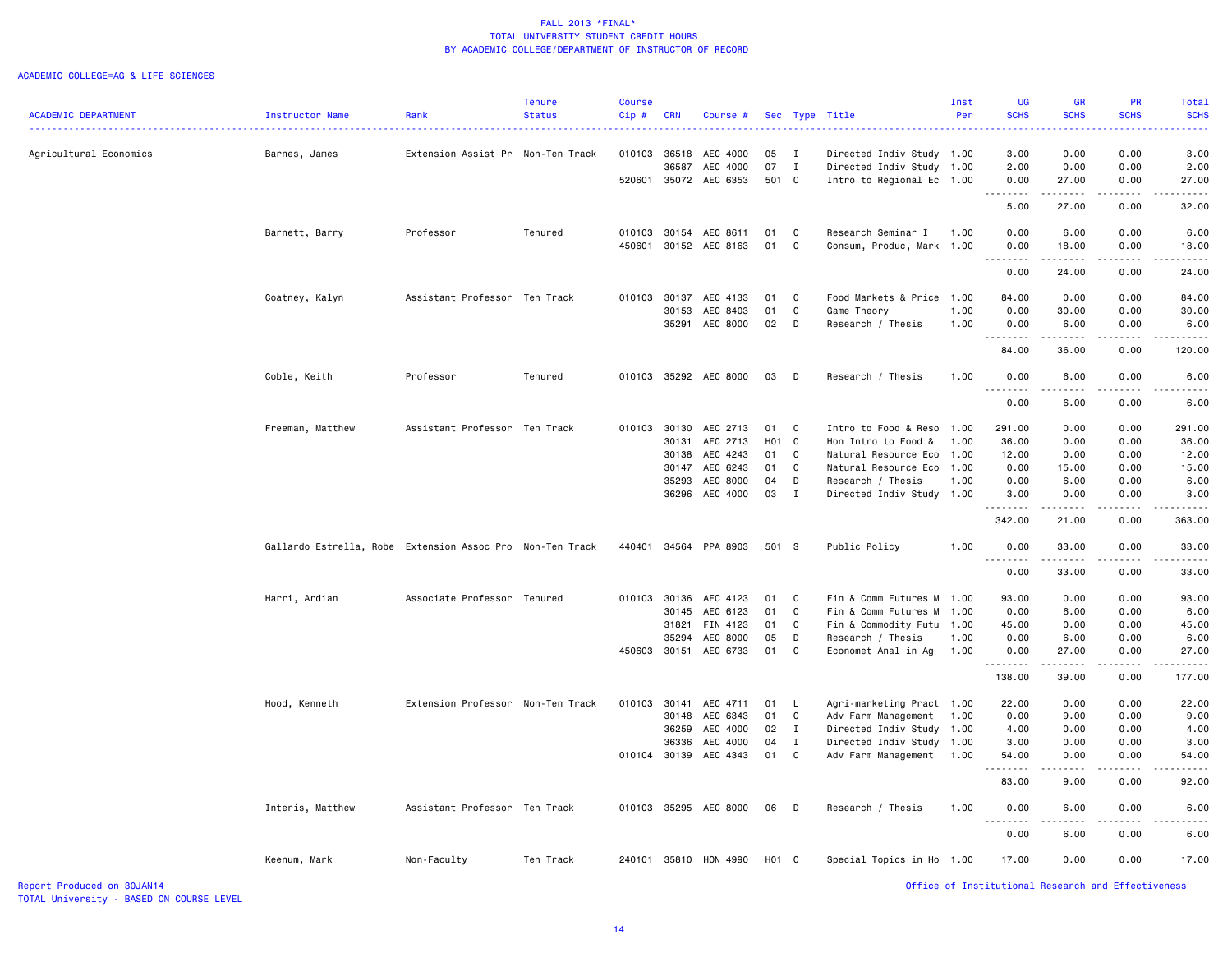#### ACADEMIC COLLEGE=AG & LIFE SCIENCES

| <b>ACADEMIC DEPARTMENT</b> | Instructor Name                                           | Rank                              | <b>Tenure</b><br><b>Status</b> | <b>Course</b><br>Cip# | <b>CRN</b> | Course #              |       |              | Sec Type Title            | Inst<br>Per | <b>UG</b><br><b>SCHS</b> | GR<br><b>SCHS</b>                   | <b>PR</b><br><b>SCHS</b>                                                                                                                                     | <b>Total</b><br><b>SCHS</b> |
|----------------------------|-----------------------------------------------------------|-----------------------------------|--------------------------------|-----------------------|------------|-----------------------|-------|--------------|---------------------------|-------------|--------------------------|-------------------------------------|--------------------------------------------------------------------------------------------------------------------------------------------------------------|-----------------------------|
|                            |                                                           |                                   |                                |                       |            |                       |       |              |                           |             |                          |                                     |                                                                                                                                                              |                             |
| Agricultural Economics     | Barnes, James                                             | Extension Assist Pr Non-Ten Track |                                |                       |            | 010103 36518 AEC 4000 | 05    | $\mathbf{I}$ | Directed Indiv Study 1.00 |             | 3.00                     | 0.00                                | 0.00                                                                                                                                                         | 3.00                        |
|                            |                                                           |                                   |                                |                       | 36587      | AEC 4000              | 07    | $\mathbf{I}$ | Directed Indiv Study      | 1.00        | 2.00                     | 0.00                                | 0.00                                                                                                                                                         | 2.00                        |
|                            |                                                           |                                   |                                | 520601                |            | 35072 AEC 6353        | 501 C |              | Intro to Regional Ec 1.00 |             | 0.00<br>. <b>.</b>       | 27.00<br>-----                      | 0.00                                                                                                                                                         | 27.00                       |
|                            |                                                           |                                   |                                |                       |            |                       |       |              |                           |             | 5.00                     | 27.00                               | 0.00                                                                                                                                                         | 32.00                       |
|                            | Barnett, Barry                                            | Professor                         | Tenured                        | 010103                |            | 30154 AEC 8611        | 01    | $\mathbf{C}$ | Research Seminar I        | 1.00        | 0.00                     | 6.00                                | 0.00                                                                                                                                                         | 6.00                        |
|                            |                                                           |                                   |                                | 450601                |            | 30152 AEC 8163        | 01    | C            | Consum, Produc, Mark 1.00 |             | 0.00<br>.                | 18.00                               | 0.00                                                                                                                                                         | 18.00                       |
|                            |                                                           |                                   |                                |                       |            |                       |       |              |                           |             | 0.00                     | 24.00                               | 0.00                                                                                                                                                         | 24.00                       |
|                            | Coatney, Kalyn                                            | Assistant Professor Ten Track     |                                | 010103                |            | 30137 AEC 4133        | 01    | C            | Food Markets & Price      | 1.00        | 84.00                    | 0.00                                | 0.00                                                                                                                                                         | 84.00                       |
|                            |                                                           |                                   |                                |                       | 30153      | AEC 8403              | 01    | C            | Game Theory               | 1.00        | 0.00                     | 30.00                               | 0.00                                                                                                                                                         | 30.00                       |
|                            |                                                           |                                   |                                |                       |            | 35291 AEC 8000        | 02    | D            | Research / Thesis         | 1.00        | 0.00<br>.                | 6.00<br>.                           | 0.00<br>$- - - - -$                                                                                                                                          | 6.00<br>$- - - - - -$       |
|                            |                                                           |                                   |                                |                       |            |                       |       |              |                           |             | 84.00                    | 36.00                               | 0.00                                                                                                                                                         | 120.00                      |
|                            | Coble, Keith                                              | Professor                         | Tenured                        |                       |            | 010103 35292 AEC 8000 | 03 D  |              | Research / Thesis         | 1.00        | 0.00<br>.                | 6.00<br>$\sim$ $\sim$ $\sim$ $\sim$ | 0.00                                                                                                                                                         | 6.00                        |
|                            |                                                           |                                   |                                |                       |            |                       |       |              |                           |             | 0.00                     | 6.00                                | 0.00                                                                                                                                                         | 6.00                        |
|                            | Freeman, Matthew                                          | Assistant Professor Ten Track     |                                |                       |            | 010103 30130 AEC 2713 | 01    | C            | Intro to Food & Reso      | 1.00        | 291.00                   | 0.00                                | 0.00                                                                                                                                                         | 291.00                      |
|                            |                                                           |                                   |                                |                       | 30131      | AEC 2713              | H01 C |              | Hon Intro to Food &       | 1.00        | 36.00                    | 0.00                                | 0.00                                                                                                                                                         | 36.00                       |
|                            |                                                           |                                   |                                |                       | 30138      | AEC 4243              | 01    | C            | Natural Resource Eco      | 1.00        | 12.00                    | 0.00                                | 0.00                                                                                                                                                         | 12.00                       |
|                            |                                                           |                                   |                                |                       |            | 30147 AEC 6243        | 01    | C            | Natural Resource Eco      | 1.00        | 0.00                     | 15.00                               | 0.00                                                                                                                                                         | 15.00                       |
|                            |                                                           |                                   |                                |                       | 35293      | AEC 8000              | 04    | D            | Research / Thesis         | 1.00        | 0.00                     | 6.00                                | 0.00                                                                                                                                                         | 6.00                        |
|                            |                                                           |                                   |                                |                       |            | 36296 AEC 4000        | 03    | $\mathbf{I}$ | Directed Indiv Study 1.00 |             | 3.00                     | 0.00                                | 0.00                                                                                                                                                         | 3.00                        |
|                            |                                                           |                                   |                                |                       |            |                       |       |              |                           |             | .<br>342.00              | .<br>21.00                          | $\frac{1}{2} \left( \frac{1}{2} \right) \left( \frac{1}{2} \right) \left( \frac{1}{2} \right) \left( \frac{1}{2} \right) \left( \frac{1}{2} \right)$<br>0.00 | 363.00                      |
|                            | Gallardo Estrella, Robe Extension Assoc Pro Non-Ten Track |                                   |                                |                       |            | 440401 34564 PPA 8903 | 501 S |              | Public Policy             | 1.00        | 0.00                     | 33.00                               | 0.00                                                                                                                                                         | 33.00                       |
|                            |                                                           |                                   |                                |                       |            |                       |       |              |                           |             | .<br>0.00                | .<br>33.00                          | 0.00                                                                                                                                                         | 33.00                       |
|                            | Harri, Ardian                                             | Associate Professor Tenured       |                                |                       |            | 010103 30136 AEC 4123 | 01    | C            | Fin & Comm Futures M      | 1.00        | 93.00                    | 0.00                                | 0.00                                                                                                                                                         | 93.00                       |
|                            |                                                           |                                   |                                |                       | 30145      | AEC 6123              | 01    | C            | Fin & Comm Futures M      | 1.00        | 0.00                     | 6.00                                | 0.00                                                                                                                                                         | 6.00                        |
|                            |                                                           |                                   |                                |                       | 31821      | FIN 4123              | 01    | C            | Fin & Commodity Futu      | 1.00        | 45.00                    | 0.00                                | 0.00                                                                                                                                                         | 45.00                       |
|                            |                                                           |                                   |                                |                       | 35294      | AEC 8000              | 05    | D            | Research / Thesis         | 1.00        | 0.00                     | 6.00                                | 0.00                                                                                                                                                         | 6.00                        |
|                            |                                                           |                                   |                                | 450603                |            | 30151 AEC 6733        | 01    | C            | Economet Anal in Ag       | 1.00        | 0.00<br>. <b>.</b>       | 27.00<br>.                          | 0.00                                                                                                                                                         | 27.00                       |
|                            |                                                           |                                   |                                |                       |            |                       |       |              |                           |             | 138.00                   | 39.00                               | 0.00                                                                                                                                                         | 177.00                      |
|                            | Hood, Kenneth                                             | Extension Professor Non-Ten Track |                                | 010103                |            | 30141 AEC 4711        | 01    | <b>L</b>     | Agri-marketing Pract 1.00 |             | 22.00                    | 0.00                                | 0.00                                                                                                                                                         | 22.00                       |
|                            |                                                           |                                   |                                |                       | 30148      | AEC 6343              | 01    | C            | Adv Farm Management       | 1.00        | 0.00                     | 9.00                                | 0.00                                                                                                                                                         | 9.00                        |
|                            |                                                           |                                   |                                |                       | 36259      | AEC 4000              | 02    | $\mathbf{I}$ | Directed Indiv Study      | 1.00        | 4.00                     | 0.00                                | 0.00                                                                                                                                                         | 4.00                        |
|                            |                                                           |                                   |                                |                       | 36336      | AEC 4000              | 04    | I            | Directed Indiv Study      | 1.00        | 3.00                     | 0.00                                | 0.00                                                                                                                                                         | 3.00                        |
|                            |                                                           |                                   |                                | 010104                |            | 30139 AEC 4343        | 01    | C            | Adv Farm Management       | 1.00        | 54.00                    | 0.00                                | 0.00                                                                                                                                                         | 54.00                       |
|                            |                                                           |                                   |                                |                       |            |                       |       |              |                           |             | .                        |                                     |                                                                                                                                                              |                             |
|                            |                                                           |                                   |                                |                       |            |                       |       |              |                           |             | 83.00                    | 9.00                                | 0.00                                                                                                                                                         | 92.00                       |
|                            | Interis, Matthew                                          | Assistant Professor Ten Track     |                                |                       |            | 010103 35295 AEC 8000 | 06 D  |              | Research / Thesis         | 1.00        | 0.00                     | 6.00                                | 0.00                                                                                                                                                         | 6.00                        |
|                            |                                                           |                                   |                                |                       |            |                       |       |              |                           |             | 0.00                     | 6.00                                | 0.00                                                                                                                                                         | 6.00                        |
|                            | Keenum, Mark                                              | Non-Faculty                       | Ten Track                      | 240101                |            | 35810 HON 4990        | H01 C |              | Special Topics in Ho      | 1.00        | 17.00                    | 0.00                                | 0.00                                                                                                                                                         | 17.00                       |
| Report Produced on 30JAN14 |                                                           |                                   |                                |                       |            |                       |       |              |                           |             |                          |                                     | Office of Institutional Research and Effectiveness                                                                                                           |                             |

TOTAL University - BASED ON COURSE LEVEL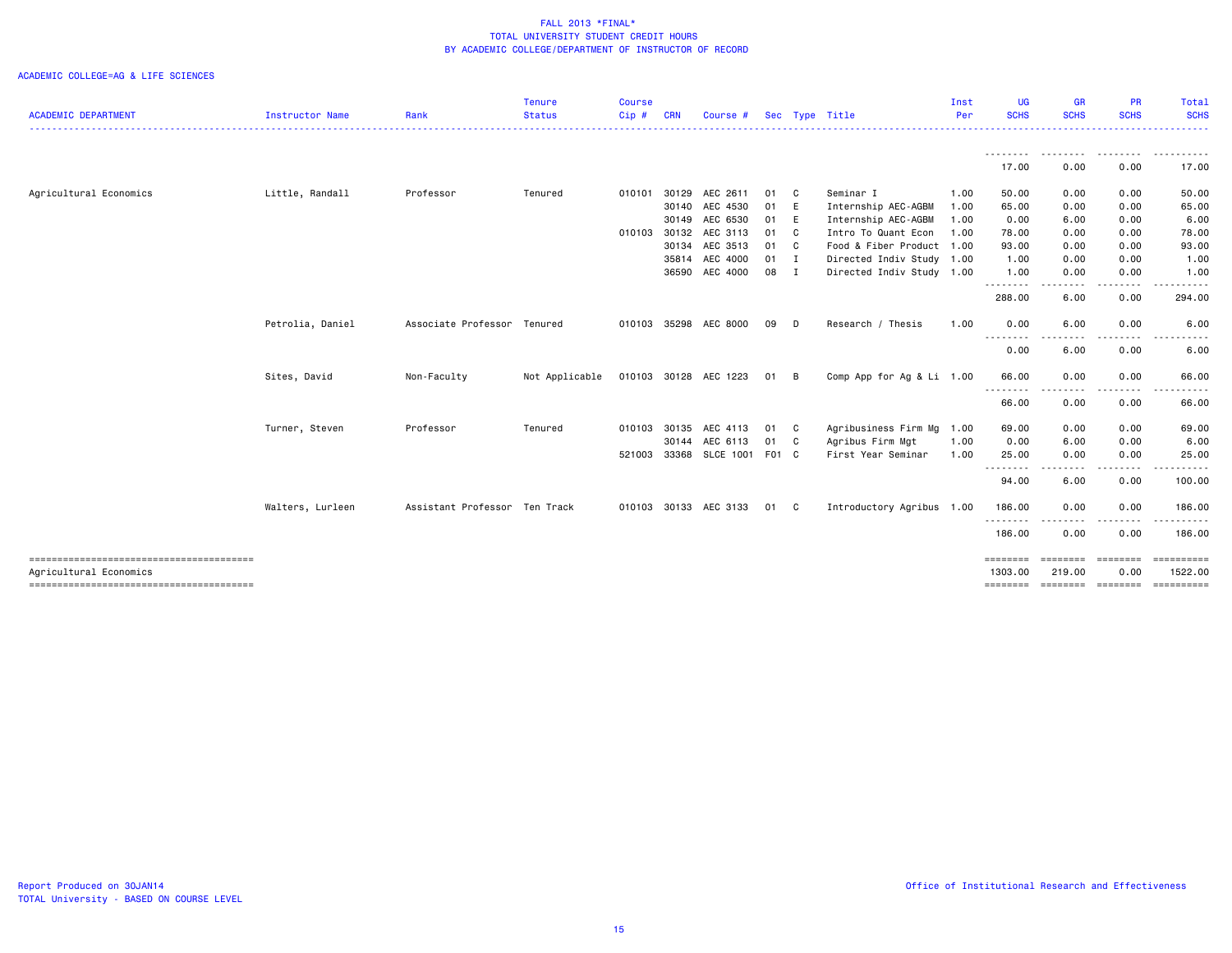| <b>ACADEMIC DEPARTMENT</b><br>Instructor Name                    | Rank                          |                |         |            |                       |        |                           |      |                     |                  |                            |                             |
|------------------------------------------------------------------|-------------------------------|----------------|---------|------------|-----------------------|--------|---------------------------|------|---------------------|------------------|----------------------------|-----------------------------|
|                                                                  |                               | <b>Status</b>  | $Cip$ # | <b>CRN</b> | Course #              |        | Sec Type Title            | Per  | <b>SCHS</b>         | <b>SCHS</b>      | <b>SCHS</b>                | <b>SCHS</b><br>.            |
|                                                                  |                               |                |         |            |                       |        |                           |      |                     | --------         |                            |                             |
|                                                                  |                               |                |         |            |                       |        |                           |      | 17.00               | 0.00             | 0.00                       | 17.00                       |
| Agricultural Economics<br>Little, Randall                        | Professor                     | Tenured        | 010101  | 30129      | AEC 2611              | 01 C   | Seminar I                 | 1.00 | 50.00               | 0.00             | 0.00                       | 50.00                       |
|                                                                  |                               |                |         |            | 30140 AEC 4530        | 01 E   | Internship AEC-AGBM       | 1.00 | 65.00               | 0.00             | 0.00                       | 65.00                       |
|                                                                  |                               |                |         |            | 30149 AEC 6530        | 01 E   | Internship AEC-AGBM       | 1.00 | 0.00                | 6.00             | 0.00                       | 6.00                        |
|                                                                  |                               |                | 010103  |            | 30132 AEC 3113        | 01 C   | Intro To Quant Econ       | 1.00 | 78.00               | 0.00             | 0.00                       | 78.00                       |
|                                                                  |                               |                |         |            | 30134 AEC 3513        | 01 C   | Food & Fiber Product 1.00 |      | 93.00               | 0.00             | 0.00                       | 93.00                       |
|                                                                  |                               |                |         |            | 35814 AEC 4000        | $01$ I | Directed Indiv Study 1.00 |      | 1.00                | 0.00             | 0.00                       | 1.00                        |
|                                                                  |                               |                |         |            | 36590 AEC 4000        | 08 I   | Directed Indiv Study 1.00 |      | 1.00                | 0.00             | 0.00                       | 1.00                        |
|                                                                  |                               |                |         |            |                       |        |                           |      | ---------<br>288.00 | $\cdots$<br>6.00 | 0.00                       | 294.00                      |
| Petrolia, Daniel                                                 | Associate Professor Tenured   |                |         |            | 010103 35298 AEC 8000 | 09 D   | Research / Thesis         | 1.00 | 0.00                | 6.00             | 0.00                       | 6.00                        |
|                                                                  |                               |                |         |            |                       |        |                           |      | ---------<br>0.00   | 6.00             | 0.00                       | 6.00                        |
| Sites, David                                                     | Non-Faculty                   | Not Applicable |         |            | 010103 30128 AEC 1223 | 01 B   | Comp App for Ag & Li 1.00 |      | 66.00               | 0.00             | 0.00                       | 66.00                       |
|                                                                  |                               |                |         |            |                       |        |                           |      | .<br>66.00          | ----<br>0.00     | -----<br>0.00              | 66.00                       |
| Turner, Steven                                                   | Professor                     | Tenured        | 010103  | 30135      | AEC 4113              | 01 C   | Agribusiness Firm Mg 1.00 |      | 69.00               | 0.00             | 0.00                       | 69.00                       |
|                                                                  |                               |                |         | 30144      | AEC 6113              | 01 C   | Agribus Firm Mgt          | 1.00 | 0.00                | 6.00             | 0.00                       | 6.00                        |
|                                                                  |                               |                | 521003  |            | 33368 SLCE 1001 F01 C |        | First Year Seminar        | 1.00 | 25.00               | 0.00             | 0.00                       | 25.00                       |
|                                                                  |                               |                |         |            |                       |        |                           |      | ---------<br>94.00  | والمالية<br>6.00 | 0.00                       | 100.00                      |
| Walters, Lurleen                                                 | Assistant Professor Ten Track |                |         |            | 010103 30133 AEC 3133 | 01 C   | Introductory Agribus 1.00 |      | 186.00              | 0.00             | 0.00                       | 186.00                      |
|                                                                  |                               |                |         |            |                       |        |                           |      | ---------<br>186.00 | 0.00             | 0.00                       | 186.00                      |
|                                                                  |                               |                |         |            |                       |        |                           |      | ========            | ========         | ========                   | ==========                  |
| Agricultural Economics<br>-------------------------------------- |                               |                |         |            |                       |        |                           |      | 1303.00<br>======== | 219.00           | 0.00<br>--------- -------- | 1522.00<br><b>CONSESSED</b> |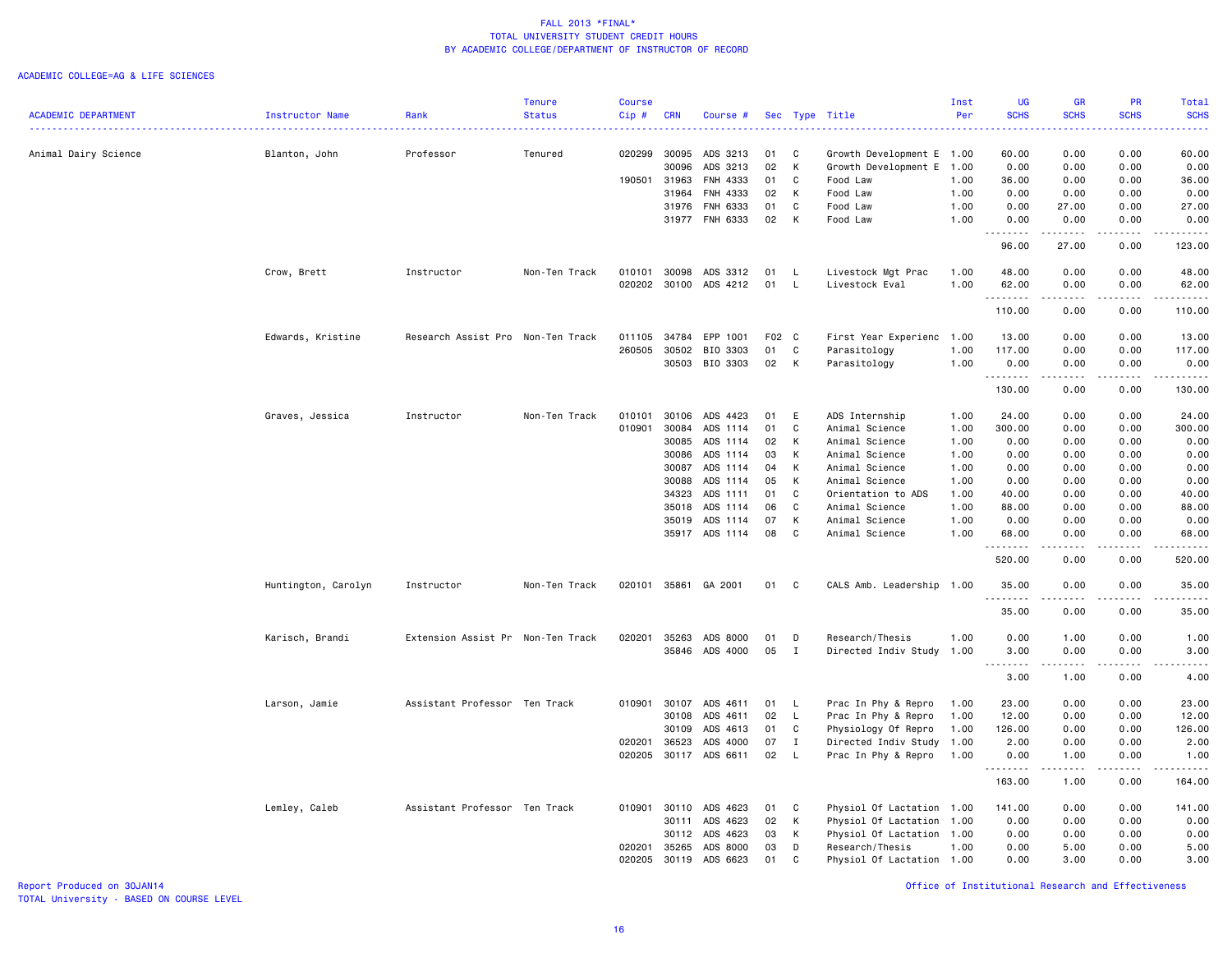#### ACADEMIC COLLEGE=AG & LIFE SCIENCES

|                            |                     |                                   | <b>Tenure</b> | <b>Course</b> |            |               |       |              |                           | Inst | <b>UG</b>          | <b>GR</b>         | <b>PR</b>                    | Total                                                                                                                                    |
|----------------------------|---------------------|-----------------------------------|---------------|---------------|------------|---------------|-------|--------------|---------------------------|------|--------------------|-------------------|------------------------------|------------------------------------------------------------------------------------------------------------------------------------------|
| <b>ACADEMIC DEPARTMENT</b> | Instructor Name     | Rank                              | <b>Status</b> | Cip#          | <b>CRN</b> | Course #      | Sec   |              | Type Title                | Per  | <b>SCHS</b>        | <b>SCHS</b>       | <b>SCHS</b>                  | <b>SCHS</b><br>$\frac{1}{2} \left( \frac{1}{2} \right) \left( \frac{1}{2} \right) \left( \frac{1}{2} \right) \left( \frac{1}{2} \right)$ |
| Animal Dairy Science       | Blanton, John       | Professor                         | Tenured       | 020299        | 30095      | ADS 3213      | 01    | C            | Growth Development E 1.00 |      | 60.00              | 0.00              | 0.00                         | 60.00                                                                                                                                    |
|                            |                     |                                   |               |               | 30096      | ADS 3213      | 02    | K            | Growth Development E      | 1.00 | 0.00               | 0.00              | 0.00                         | 0.00                                                                                                                                     |
|                            |                     |                                   |               | 190501        | 31963      | FNH 4333      | 01    | C            | Food Law                  | 1.00 | 36.00              | 0.00              | 0.00                         | 36.00                                                                                                                                    |
|                            |                     |                                   |               |               | 31964      | FNH 4333      | 02    | K            | Food Law                  | 1.00 | 0.00               | 0.00              | 0.00                         | 0.00                                                                                                                                     |
|                            |                     |                                   |               |               | 31976      | FNH 6333      | 01    | $\mathbf{C}$ | Food Law                  | 1.00 | 0.00               | 27.00             | 0.00                         | 27.00                                                                                                                                    |
|                            |                     |                                   |               |               | 31977      | FNH 6333      | 02    | K            | Food Law                  | 1.00 | 0.00               | 0.00              | 0.00                         | 0.00                                                                                                                                     |
|                            |                     |                                   |               |               |            |               |       |              |                           |      | .                  | $- - - - -$       |                              | .                                                                                                                                        |
|                            |                     |                                   |               |               |            |               |       |              |                           |      | 96.00              | 27.00             | 0.00                         | 123.00                                                                                                                                   |
|                            | Crow, Brett         | Instructor                        | Non-Ten Track | 010101        | 30098      | ADS 3312      | 01    | - L          | Livestock Mgt Prac        | 1.00 | 48.00              | 0.00              | 0.00                         | 48.00                                                                                                                                    |
|                            |                     |                                   |               | 020202        | 30100      | ADS 4212      | 01    | $\mathsf{L}$ | Livestock Eval            | 1.00 | 62.00              | 0.00              | 0.00                         | 62.00                                                                                                                                    |
|                            |                     |                                   |               |               |            |               |       |              |                           |      | . <b>.</b>         | .                 | $- - - -$                    | .                                                                                                                                        |
|                            |                     |                                   |               |               |            |               |       |              |                           |      | 110.00             | 0.00              | 0.00                         | 110.00                                                                                                                                   |
|                            | Edwards, Kristine   | Research Assist Pro Non-Ten Track |               | 011105        | 34784      | EPP 1001      | F02 C |              | First Year Experienc      | 1.00 | 13.00              | 0.00              | 0.00                         | 13.00                                                                                                                                    |
|                            |                     |                                   |               | 260505        | 30502      | BIO 3303      | 01    | C            | Parasitology              | 1.00 | 117.00             | 0.00              | 0.00                         | 117.00                                                                                                                                   |
|                            |                     |                                   |               |               | 30503      | BIO 3303      | 02    | K            | Parasitology              | 1.00 | 0.00<br>.          | 0.00              | 0.00<br>$\sim$ $\sim$ $\sim$ | 0.00<br>$- - - -$                                                                                                                        |
|                            |                     |                                   |               |               |            |               |       |              |                           |      | 130.00             | 0.00              | 0.00                         | 130.00                                                                                                                                   |
|                            | Graves, Jessica     | Instructor                        | Non-Ten Track | 010101        | 30106      | ADS 4423      | 01    | E            | ADS Internship            | 1.00 | 24.00              | 0.00              | 0.00                         | 24.00                                                                                                                                    |
|                            |                     |                                   |               | 010901        | 30084      | ADS 1114      | 01    | C            | Animal Science            | 1.00 | 300.00             | 0.00              | 0.00                         | 300.00                                                                                                                                   |
|                            |                     |                                   |               |               | 30085      | ADS 1114      | 02    | к            | Animal Science            | 1.00 | 0.00               | 0.00              | 0.00                         | 0.00                                                                                                                                     |
|                            |                     |                                   |               |               | 30086      | ADS 1114      | 03    | K            | Animal Science            | 1.00 | 0.00               | 0.00              | 0.00                         | 0.00                                                                                                                                     |
|                            |                     |                                   |               |               | 30087      | ADS 1114      | 04    | K            | Animal Science            | 1.00 | 0.00               | 0.00              | 0.00                         | 0.00                                                                                                                                     |
|                            |                     |                                   |               |               | 30088      | ADS 1114      | 05    | K            | Animal Science            | 1.00 | 0.00               | 0.00              | 0.00                         | 0.00                                                                                                                                     |
|                            |                     |                                   |               |               | 34323      | ADS 1111      | 01    | C            | Orientation to ADS        | 1.00 | 40.00              | 0.00              | 0.00                         | 40.00                                                                                                                                    |
|                            |                     |                                   |               |               | 35018      | ADS 1114      | 06    | C            | Animal Science            | 1.00 | 88.00              | 0.00              | 0.00                         | 88.00                                                                                                                                    |
|                            |                     |                                   |               |               | 35019      | ADS 1114      | 07    | K            | Animal Science            | 1.00 | 0.00               | 0.00              | 0.00                         | 0.00                                                                                                                                     |
|                            |                     |                                   |               |               | 35917      | ADS 1114      | 08    | C            | Animal Science            | 1.00 | 68.00<br>.         | 0.00              | 0.00                         | 68.00<br>.                                                                                                                               |
|                            |                     |                                   |               |               |            |               |       |              |                           |      | 520.00             | 0.00              | 0.00                         | 520.00                                                                                                                                   |
|                            | Huntington, Carolyn | Instructor                        | Non-Ten Track | 020101        |            | 35861 GA 2001 | 01    | C            | CALS Amb. Leadership 1.00 |      | 35.00              | 0.00              | 0.00                         | 35.00                                                                                                                                    |
|                            |                     |                                   |               |               |            |               |       |              |                           |      | .<br>35.00         | -----<br>0.00     | $\sim$ $\sim$ $\sim$<br>0.00 | .<br>35.00                                                                                                                               |
|                            | Karisch, Brandi     | Extension Assist Pr Non-Ten Track |               | 020201        | 35263      | ADS 8000      | 01    | D            | Research/Thesis           | 1.00 | 0.00               | 1.00              | 0.00                         | 1.00                                                                                                                                     |
|                            |                     |                                   |               |               | 35846      | ADS 4000      | 05    | $\mathbf{I}$ | Directed Indiv Study 1.00 |      | 3.00               | 0.00              | 0.00                         | 3.00                                                                                                                                     |
|                            |                     |                                   |               |               |            |               |       |              |                           |      | .<br>$\sim$ $\sim$ | $- - - - -$       | .                            | .                                                                                                                                        |
|                            |                     |                                   |               |               |            |               |       |              |                           |      | 3.00               | 1.00              | 0.00                         | 4.00                                                                                                                                     |
|                            | Larson, Jamie       | Assistant Professor Ten Track     |               | 010901        | 30107      | ADS 4611      | 01 L  |              | Prac In Phy & Repro       | 1.00 | 23.00              | 0.00              | 0.00                         | 23.00                                                                                                                                    |
|                            |                     |                                   |               |               | 30108      | ADS 4611      | 02    | $\mathsf{L}$ | Prac In Phy & Repro       | 1.00 | 12.00              | 0.00              | 0.00                         | 12.00                                                                                                                                    |
|                            |                     |                                   |               |               | 30109      | ADS 4613      | 01    | C            | Physiology Of Repro       | 1.00 | 126.00             | 0.00              | 0.00                         | 126.00                                                                                                                                   |
|                            |                     |                                   |               | 020201        | 36523      | ADS 4000      | 07    | $\mathbf{I}$ | Directed Indiv Study      | 1.00 | 2.00               | 0.00              | 0.00                         | 2.00                                                                                                                                     |
|                            |                     |                                   |               | 020205        | 30117      | ADS 6611      | 02    | $\mathsf{L}$ | Prac In Phy & Repro       | 1.00 | 0.00               | 1.00<br>د د د د د | 0.00<br>.                    | 1.00<br>.                                                                                                                                |
|                            |                     |                                   |               |               |            |               |       |              |                           |      | 163.00             | 1.00              | 0.00                         | 164.00                                                                                                                                   |
|                            | Lemley, Caleb       | Assistant Professor Ten Track     |               | 010901        | 30110      | ADS 4623      | 01    | C            | Physiol Of Lactation 1.00 |      | 141.00             | 0.00              | 0.00                         | 141.00                                                                                                                                   |
|                            |                     |                                   |               |               | 30111      | ADS 4623      | 02    | K            | Physiol Of Lactation      | 1.00 | 0.00               | 0.00              | 0.00                         | 0.00                                                                                                                                     |
|                            |                     |                                   |               |               | 30112      | ADS 4623      | 03    | K            | Physiol Of Lactation 1.00 |      | 0.00               | 0.00              | 0.00                         | 0.00                                                                                                                                     |
|                            |                     |                                   |               | 020201        | 35265      | ADS 8000      | 03    | D            | Research/Thesis           | 1.00 | 0.00               | 5.00              | 0.00                         | 5.00                                                                                                                                     |
|                            |                     |                                   |               | 020205        | 30119      | ADS 6623      | 01    | C            | Physiol Of Lactation 1.00 |      | 0.00               | 3.00              | 0.00                         | 3.00                                                                                                                                     |

Report Produced on 30JAN14 Office of Institutional Research and Effectiveness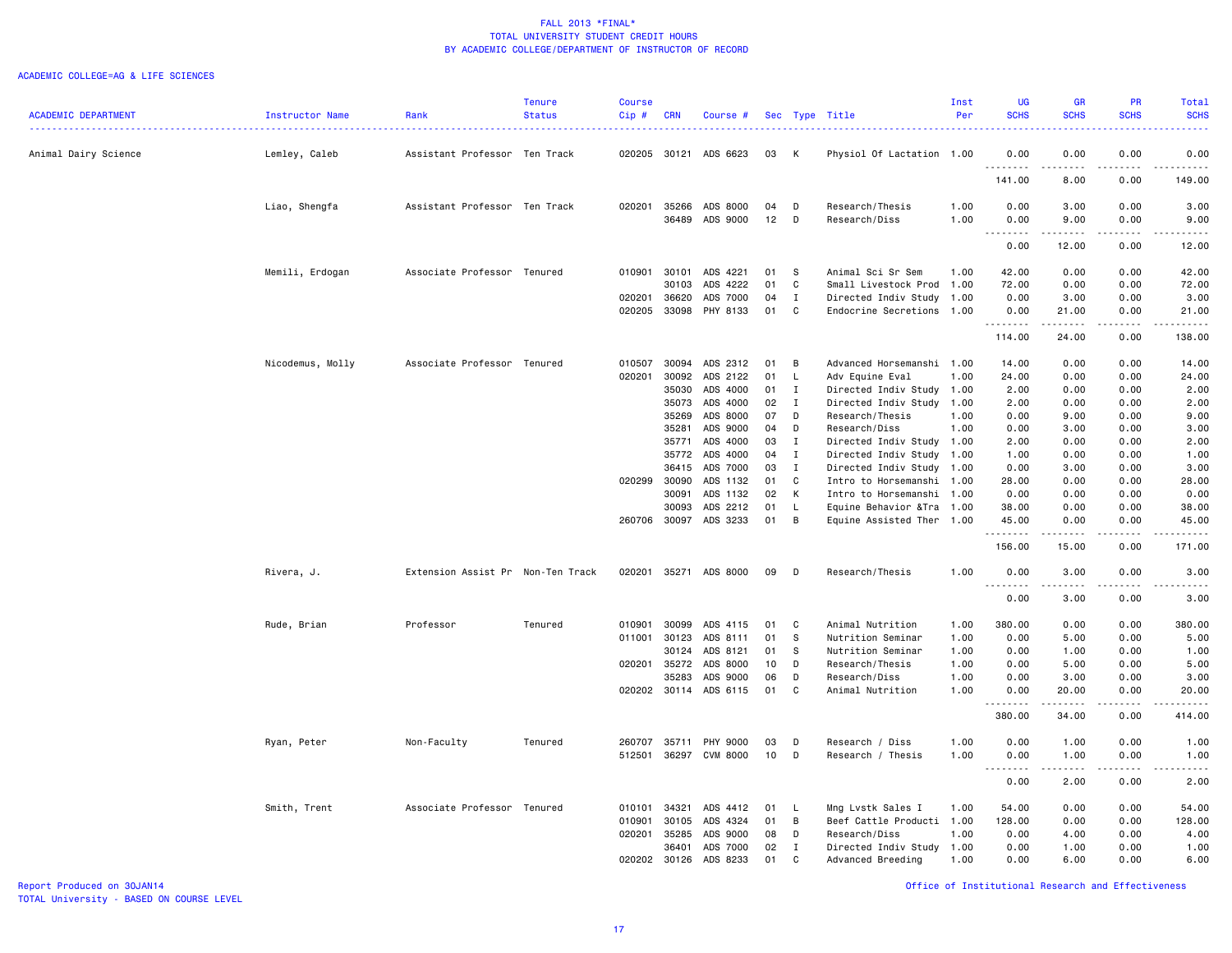#### ACADEMIC COLLEGE=AG & LIFE SCIENCES

|                            |                  |                                   | <b>Tenure</b> | <b>Course</b> |                |                       |          |              |                                                         | Inst | <b>UG</b>                                                                                                                         | <b>GR</b>              | <b>PR</b>     | <b>Total</b>                |
|----------------------------|------------------|-----------------------------------|---------------|---------------|----------------|-----------------------|----------|--------------|---------------------------------------------------------|------|-----------------------------------------------------------------------------------------------------------------------------------|------------------------|---------------|-----------------------------|
| <b>ACADEMIC DEPARTMENT</b> | Instructor Name  | Rank                              | <b>Status</b> | Cip#          | <b>CRN</b>     | Course #              |          |              | Sec Type Title                                          | Per  | <b>SCHS</b>                                                                                                                       | <b>SCHS</b>            | <b>SCHS</b>   | <b>SCHS</b><br>. <u>.</u> . |
| Animal Dairy Science       | Lemley, Caleb    | Assistant Professor Ten Track     |               | 020205        | 30121          | ADS 6623              | 03       | к            | Physiol Of Lactation 1.00                               |      | 0.00                                                                                                                              | 0.00                   | 0.00          | 0.00                        |
|                            |                  |                                   |               |               |                |                       |          |              |                                                         |      | <u>.</u><br>141.00                                                                                                                | الدامات الداري<br>8.00 | .<br>0.00     | .<br>149.00                 |
|                            | Liao, Shengfa    | Assistant Professor Ten Track     |               | 020201        | 35266          | ADS 8000              | 04       | D            | Research/Thesis                                         | 1.00 | 0.00                                                                                                                              | 3.00                   | 0.00          | 3.00                        |
|                            |                  |                                   |               |               | 36489          | ADS 9000              | 12       | D            | Research/Diss                                           | 1.00 | 0.00<br>$\sim$ $\sim$ $\sim$                                                                                                      | 9.00                   | 0.00          | 9.00                        |
|                            |                  |                                   |               |               |                |                       |          |              |                                                         |      | 0.00                                                                                                                              | 12.00                  | 0.00          | 12.00                       |
|                            | Memili, Erdogan  | Associate Professor Tenured       |               | 010901        | 30101          | ADS 4221              | 01       | -S           | Animal Sci Sr Sem                                       | 1.00 | 42.00                                                                                                                             | 0.00                   | 0.00          | 42.00                       |
|                            |                  |                                   |               |               | 30103          | ADS 4222              | 01       | C            | Small Livestock Prod                                    | 1.00 | 72.00                                                                                                                             | 0.00                   | 0.00          | 72.00                       |
|                            |                  |                                   |               | 020201        | 36620          | ADS 7000              | 04       | $\mathbf I$  | Directed Indiv Study                                    | 1.00 | 0.00                                                                                                                              | 3.00                   | 0.00          | 3.00                        |
|                            |                  |                                   |               | 020205        | 33098          | PHY 8133              | 01       | C            | Endocrine Secretions                                    | 1.00 | 0.00<br><u>.</u>                                                                                                                  | 21.00<br>.             | 0.00<br>.     | 21.00<br>.                  |
|                            |                  |                                   |               |               |                |                       |          |              |                                                         |      | 114.00                                                                                                                            | 24.00                  | 0.00          | 138.00                      |
|                            | Nicodemus, Molly | Associate Professor Tenured       |               | 010507        | 30094          | ADS 2312              | 01       | B            | Advanced Horsemanshi 1.00                               |      | 14.00                                                                                                                             | 0.00                   | 0.00          | 14.00                       |
|                            |                  |                                   |               | 020201        | 30092          | ADS 2122              | 01       | L            | Adv Equine Eval                                         | 1.00 | 24.00                                                                                                                             | 0.00                   | 0.00          | 24.00                       |
|                            |                  |                                   |               |               | 35030          | ADS 4000              | 01       | Ι.           | Directed Indiv Study                                    | 1.00 | 2.00                                                                                                                              | 0.00                   | 0.00          | 2.00                        |
|                            |                  |                                   |               |               | 35073          | ADS 4000              | 02       | $\mathbf{I}$ | Directed Indiv Study                                    | 1.00 | 2.00                                                                                                                              | 0.00                   | 0.00          | 2.00                        |
|                            |                  |                                   |               |               | 35269          | ADS 8000              | 07       | D            | Research/Thesis                                         | 1.00 | 0.00                                                                                                                              | 9.00                   | 0.00          | 9.00                        |
|                            |                  |                                   |               |               | 35281          | ADS 9000              | 04       | D            | Research/Diss                                           | 1.00 | 0.00                                                                                                                              | 3.00                   | 0.00          | 3.00                        |
|                            |                  |                                   |               |               | 35771          | ADS 4000              | 03       | Ι.           | Directed Indiv Study                                    | 1.00 | 2.00                                                                                                                              | 0.00                   | 0.00          | 2.00                        |
|                            |                  |                                   |               |               | 35772          | ADS 4000              | 04       | $\mathbf I$  | Directed Indiv Study 1.00                               |      | 1.00                                                                                                                              | 0.00                   | 0.00          | 1.00                        |
|                            |                  |                                   |               |               | 36415          | ADS 7000              | 03       | I            | Directed Indiv Study                                    | 1.00 | 0.00                                                                                                                              | 3.00                   | 0.00          | 3.00                        |
|                            |                  |                                   |               | 020299        | 30090          | ADS 1132              | 01       | C            | Intro to Horsemanshi 1.00                               |      | 28.00                                                                                                                             | 0.00                   | 0.00          | 28.00                       |
|                            |                  |                                   |               |               | 30091          | ADS 1132              | 02       | К            | Intro to Horsemanshi 1.00                               |      | 0.00                                                                                                                              | 0.00                   | 0.00          | 0.00                        |
|                            |                  |                                   |               | 260706        | 30093<br>30097 | ADS 2212<br>ADS 3233  | 01<br>01 | L.<br>B      | Equine Behavior & Tra 1.00<br>Equine Assisted Ther 1.00 |      | 38.00<br>45.00                                                                                                                    | 0.00<br>0.00           | 0.00<br>0.00  | 38.00<br>45.00              |
|                            |                  |                                   |               |               |                |                       |          |              |                                                         |      | .                                                                                                                                 |                        | $\frac{1}{2}$ | .                           |
|                            |                  |                                   |               |               |                |                       |          |              |                                                         |      | 156.00                                                                                                                            | 15.00                  | 0.00          | 171.00                      |
|                            | Rivera, J.       | Extension Assist Pr Non-Ten Track |               | 020201        | 35271          | ADS 8000              | 09       | D            | Research/Thesis                                         | 1.00 | 0.00                                                                                                                              | 3.00                   | 0.00          | 3.00                        |
|                            |                  |                                   |               |               |                |                       |          |              |                                                         |      | 0.00                                                                                                                              | 3.00                   | 0.00          | 3.00                        |
|                            | Rude, Brian      | Professor                         | Tenured       | 010901        | 30099          | ADS 4115              | 01       | C            | Animal Nutrition                                        | 1.00 | 380.00                                                                                                                            | 0.00                   | 0.00          | 380.00                      |
|                            |                  |                                   |               | 011001        | 30123          | ADS 8111              | 01       | -S           | Nutrition Seminar                                       | 1.00 | 0.00                                                                                                                              | 5.00                   | 0.00          | 5.00                        |
|                            |                  |                                   |               |               | 30124          | ADS 8121              | 01       | S            | Nutrition Seminar                                       | 1.00 | 0.00                                                                                                                              | 1.00                   | 0.00          | 1.00                        |
|                            |                  |                                   |               | 020201        | 35272          | ADS 8000              | 10       | D            | Research/Thesis                                         | 1.00 | 0.00                                                                                                                              | 5.00                   | 0.00          | 5.00                        |
|                            |                  |                                   |               |               | 35283          | ADS 9000              | 06       | D            | Research/Diss                                           | 1.00 | 0.00                                                                                                                              | 3.00                   | 0.00          | 3.00                        |
|                            |                  |                                   |               |               |                | 020202 30114 ADS 6115 | 01       | C            | Animal Nutrition                                        | 1.00 | 0.00<br><u>.</u>                                                                                                                  | 20.00<br>.             | 0.00<br>.     | 20.00<br>.                  |
|                            |                  |                                   |               |               |                |                       |          |              |                                                         |      | 380.00                                                                                                                            | 34.00                  | 0.00          | 414.00                      |
|                            | Ryan, Peter      | Non-Faculty                       | Tenured       | 260707        | 35711          | PHY 9000              | 03       | D            | Research / Diss                                         | 1.00 | 0.00                                                                                                                              | 1.00                   | 0.00          | 1.00                        |
|                            |                  |                                   |               | 512501        |                | 36297 CVM 8000        | 10       | D            | Research / Thesis                                       | 1.00 | 0.00<br>$\frac{1}{2} \left( \frac{1}{2} \right) \left( \frac{1}{2} \right) \left( \frac{1}{2} \right) \left( \frac{1}{2} \right)$ | 1.00                   | 0.00          | 1.00                        |
|                            |                  |                                   |               |               |                |                       |          |              |                                                         |      | 0.00                                                                                                                              | 2.00                   | 0.00          | 2.00                        |
|                            | Smith, Trent     | Associate Professor Tenured       |               | 010101        | 34321          | ADS 4412              | 01       | L.           | Mng Lvstk Sales I                                       | 1.00 | 54.00                                                                                                                             | 0.00                   | 0.00          | 54.00                       |
|                            |                  |                                   |               | 010901        | 30105          | ADS 4324              | 01       | B            | Beef Cattle Producti 1.00                               |      | 128.00                                                                                                                            | 0.00                   | 0.00          | 128.00                      |
|                            |                  |                                   |               | 020201        | 35285          | ADS 9000              | 08       | D            | Research/Diss                                           | 1.00 | 0.00                                                                                                                              | 4.00                   | 0.00          | 4.00                        |
|                            |                  |                                   |               |               | 36401          | ADS 7000              | 02       | I            | Directed Indiv Study                                    | 1.00 | 0.00                                                                                                                              | 1.00                   | 0.00          | 1.00                        |
|                            |                  |                                   |               | 020202 30126  |                | ADS 8233              | 01       | C            | Advanced Breeding                                       | 1.00 | 0.00                                                                                                                              | 6.00                   | 0.00          | 6.00                        |

Report Produced on 30JAN14 Office of Institutional Research and Effectiveness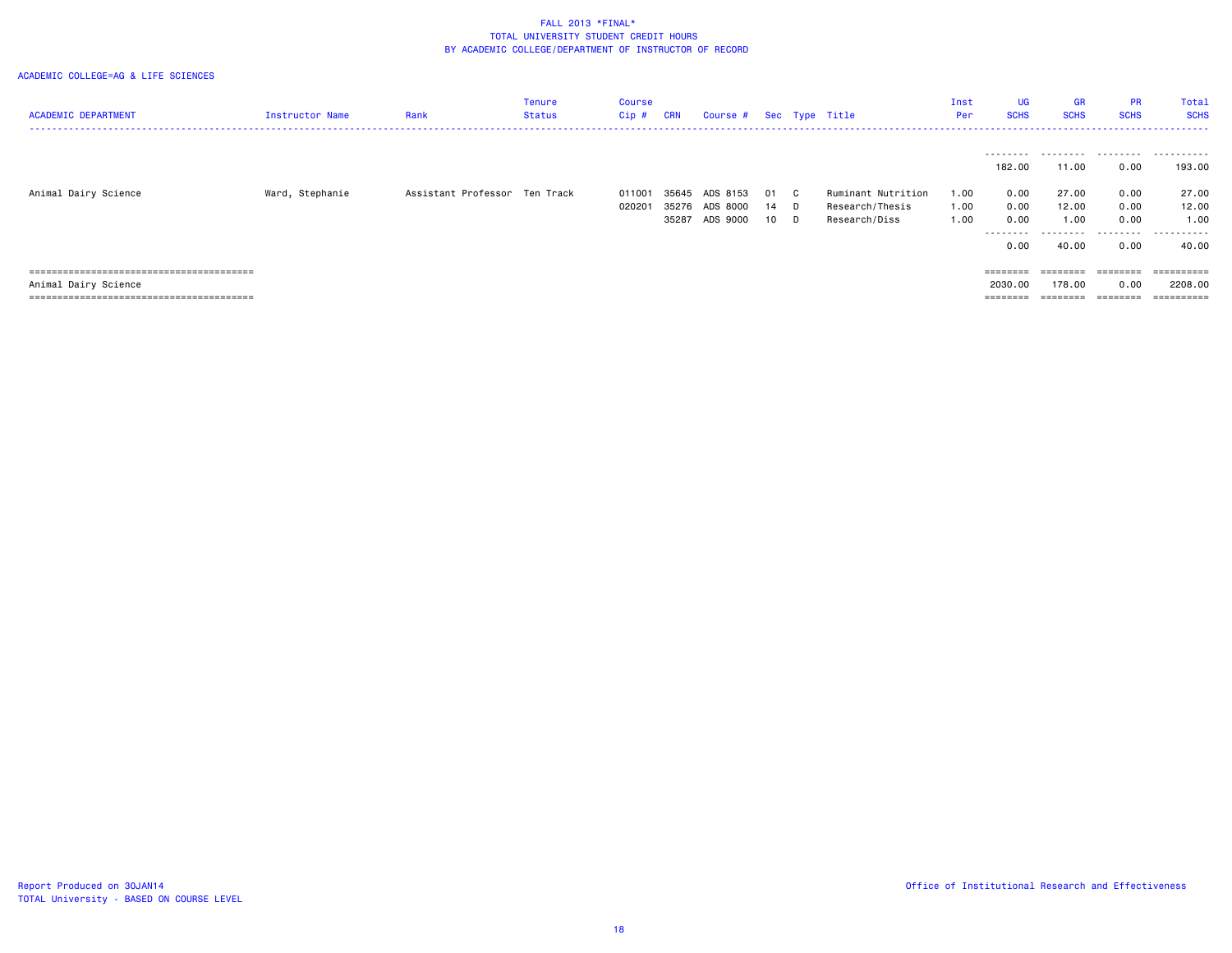| <b>ACADEMIC DEPARTMENT</b> | Instructor Name | Rank                          | Tenure<br>Status | Course<br>$Cip$ # | <b>CRN</b> | Course # Sec Type Title    |            |    |                                  | Inst<br>Per  | <b>UG</b><br><b>SCHS</b>                 | <b>GR</b><br><b>SCHS</b>     | <b>PR</b><br><b>SCHS</b>                    | Total<br><b>SCHS</b>        |
|----------------------------|-----------------|-------------------------------|------------------|-------------------|------------|----------------------------|------------|----|----------------------------------|--------------|------------------------------------------|------------------------------|---------------------------------------------|-----------------------------|
| Animal Dairy Science       | Ward, Stephanie | Assistant Professor Ten Track |                  | 011001            | 35645      | ADS 8153                   | 01 C       |    | Ruminant Nutrition               | 1.00         | 182.00<br>0.00                           | 11.00<br>27.00               | 0.00<br>0.00                                | 193,00<br>27.00             |
|                            |                 |                               |                  | 020201            | 35287      | 35276 ADS 8000<br>ADS 9000 | 14<br>10 D | D. | Research/Thesis<br>Research/Diss | 1.00<br>1.00 | 0.00<br>0.00<br>---------<br>0.00        | 12.00<br>1.00<br>.<br>40.00  | 0.00<br>0.00<br>.<br>0.00                   | 12.00<br>1.00<br>.<br>40.00 |
| Animal Dairy Science       |                 |                               |                  |                   |            |                            |            |    |                                  |              | ========<br>2030.00<br>$=$ = = = = = = = | ========<br>178.00<br>------ | $=$ = = = = = = =<br>0.00<br><b>EBECHEE</b> | ==========<br>2208.00       |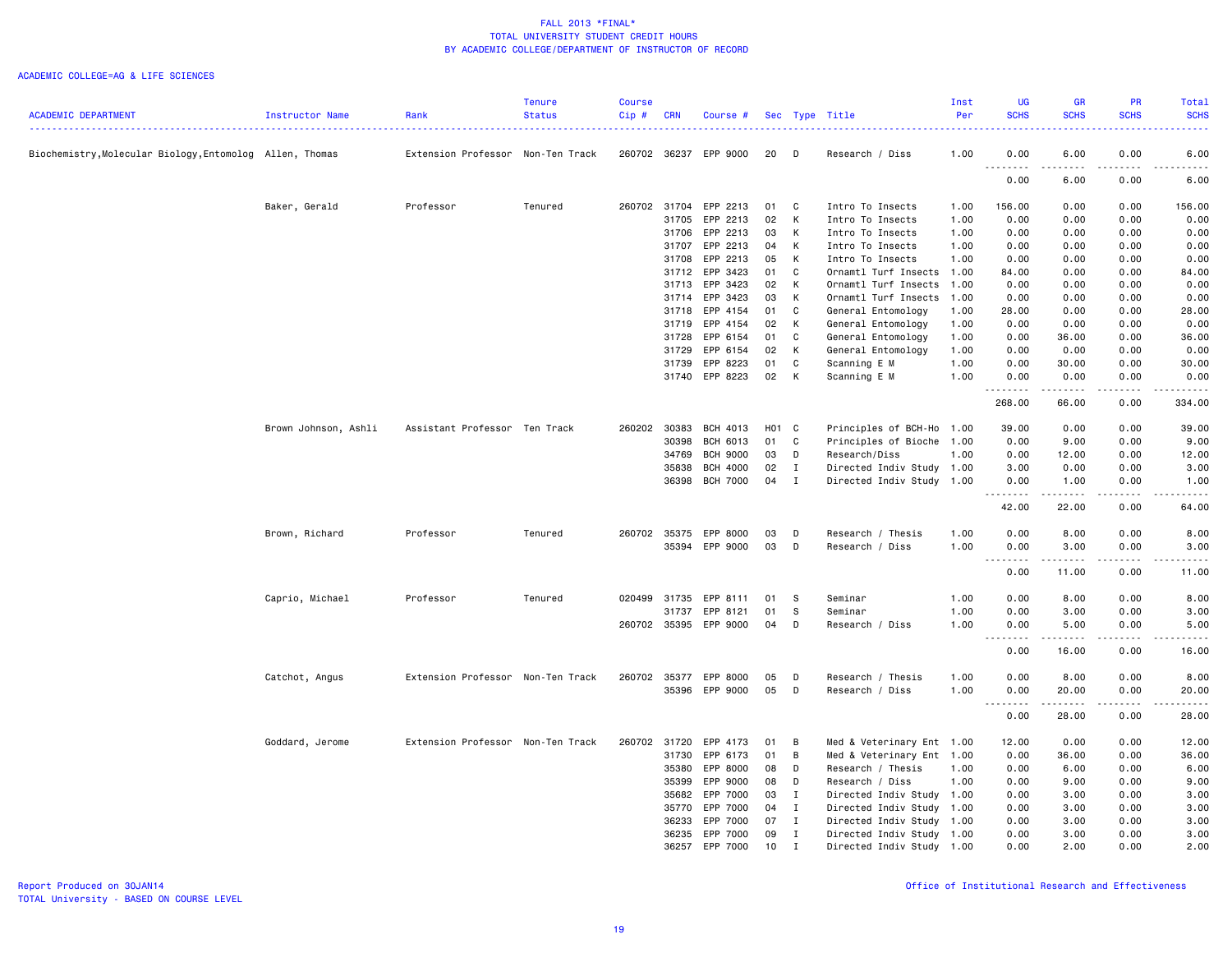|                                                          |                      |                                   | <b>Tenure</b> | <b>Course</b> |            |                       |       |              |                           | Inst | UG                                    | GR              | <b>PR</b>   | Total                                                                                                                                                         |
|----------------------------------------------------------|----------------------|-----------------------------------|---------------|---------------|------------|-----------------------|-------|--------------|---------------------------|------|---------------------------------------|-----------------|-------------|---------------------------------------------------------------------------------------------------------------------------------------------------------------|
| <b>ACADEMIC DEPARTMENT</b>                               | Instructor Name      | Rank                              | <b>Status</b> | Cip#          | <b>CRN</b> | Course #              |       |              | Sec Type Title            | Per  | <b>SCHS</b>                           | <b>SCHS</b>     | <b>SCHS</b> | <b>SCHS</b>                                                                                                                                                   |
| Biochemistry, Molecular Biology, Entomolog Allen, Thomas |                      | Extension Professor Non-Ten Track |               | 260702 36237  |            | EPP 9000              | 20    | D            | Research / Diss           | 1.00 | 0.00                                  | 6.00            | 0.00        | 6.00                                                                                                                                                          |
|                                                          |                      |                                   |               |               |            |                       |       |              |                           |      | .<br>0.00                             | د د د د<br>6.00 | .<br>0.00   | $\frac{1}{2}$<br>6.00                                                                                                                                         |
|                                                          | Baker, Gerald        | Professor                         | Tenured       | 260702        | 31704      | EPP 2213              | 01    | C.           | Intro To Insects          | 1.00 | 156.00                                | 0.00            | 0.00        | 156.00                                                                                                                                                        |
|                                                          |                      |                                   |               |               | 31705      | EPP 2213              | 02    | K            | Intro To Insects          | 1.00 | 0.00                                  | 0.00            | 0.00        | 0.00                                                                                                                                                          |
|                                                          |                      |                                   |               |               | 31706      | EPP 2213              | 03    | K            | Intro To Insects          | 1.00 | 0.00                                  | 0.00            | 0.00        | 0.00                                                                                                                                                          |
|                                                          |                      |                                   |               |               | 31707      | EPP 2213              | 04    | K            | Intro To Insects          | 1.00 | 0.00                                  | 0.00            | 0.00        | 0.00                                                                                                                                                          |
|                                                          |                      |                                   |               |               | 31708      | EPP 2213              | 05    | K            | Intro To Insects          | 1.00 | 0.00                                  | 0.00            | 0.00        | 0.00                                                                                                                                                          |
|                                                          |                      |                                   |               |               | 31712      | EPP 3423              | 01    | C            | Ornamtl Turf Insects      | 1.00 | 84.00                                 | 0.00            | 0.00        | 84.00                                                                                                                                                         |
|                                                          |                      |                                   |               |               | 31713      | EPP 3423              | 02    | K            | Ornamtl Turf Insects      | 1.00 | 0.00                                  | 0.00            | 0.00        | 0.00                                                                                                                                                          |
|                                                          |                      |                                   |               |               | 31714      | EPP 3423              | 03    | K            | Ornamtl Turf Insects      | 1.00 | 0.00                                  | 0.00            | 0.00        | 0.00                                                                                                                                                          |
|                                                          |                      |                                   |               |               | 31718      | EPP 4154              | 01    | C            | General Entomology        | 1.00 | 28.00                                 | 0.00            | 0.00        | 28.00                                                                                                                                                         |
|                                                          |                      |                                   |               |               | 31719      | EPP 4154              | 02    | K            | General Entomology        | 1.00 | 0.00                                  | 0.00            | 0.00        | 0.00                                                                                                                                                          |
|                                                          |                      |                                   |               |               | 31728      | EPP 6154              | 01    | C            | General Entomology        | 1.00 | 0.00                                  | 36.00           | 0.00        | 36.00                                                                                                                                                         |
|                                                          |                      |                                   |               |               | 31729      | EPP 6154              | 02    | K            | General Entomology        | 1.00 | 0.00                                  | 0.00            | 0.00        | 0.00                                                                                                                                                          |
|                                                          |                      |                                   |               |               | 31739      | EPP 8223              | 01    | C            | Scanning E M              | 1.00 | 0.00                                  | 30.00           | 0.00        | 30.00                                                                                                                                                         |
|                                                          |                      |                                   |               |               | 31740      | EPP 8223              | 02    | K            | Scanning E M              | 1.00 | 0.00<br>.                             | 0.00<br>.       | 0.00<br>.   | 0.00<br>.                                                                                                                                                     |
|                                                          |                      |                                   |               |               |            |                       |       |              |                           |      | 268.00                                | 66.00           | 0.00        | 334.00                                                                                                                                                        |
|                                                          | Brown Johnson, Ashli | Assistant Professor Ten Track     |               | 260202        | 30383      | BCH 4013              | H01 C |              | Principles of BCH-Ho      | 1.00 | 39.00                                 | 0.00            | 0.00        | 39.00                                                                                                                                                         |
|                                                          |                      |                                   |               |               | 30398      | BCH 6013              | 01    | C            | Principles of Bioche      | 1.00 | 0.00                                  | 9.00            | 0.00        | 9.00                                                                                                                                                          |
|                                                          |                      |                                   |               |               | 34769      | <b>BCH 9000</b>       | 03    | D            | Research/Diss             | 1.00 | 0.00                                  | 12.00           | 0.00        | 12.00                                                                                                                                                         |
|                                                          |                      |                                   |               |               | 35838      | <b>BCH 4000</b>       | 02    | $\mathbf{I}$ | Directed Indiv Study 1.00 |      | 3.00                                  | 0.00            | 0.00        | 3.00                                                                                                                                                          |
|                                                          |                      |                                   |               |               | 36398      | <b>BCH 7000</b>       | 04    | $\mathbf{I}$ | Directed Indiv Study 1.00 |      | 0.00                                  | 1.00            | 0.00        | 1.00                                                                                                                                                          |
|                                                          |                      |                                   |               |               |            |                       |       |              |                           |      | 42.00                                 | 22.00           | 0.00        | $\frac{1}{2}$<br>64.00                                                                                                                                        |
|                                                          | Brown, Richard       | Professor                         | Tenured       | 260702 35375  |            | EPP 8000              | 03    | D            | Research / Thesis         | 1.00 | 0.00                                  | 8.00            | 0.00        | 8.00                                                                                                                                                          |
|                                                          |                      |                                   |               |               |            | 35394 EPP 9000        | 03    | D            | Research / Diss           | 1.00 | 0.00                                  | 3.00            | 0.00        | 3.00                                                                                                                                                          |
|                                                          |                      |                                   |               |               |            |                       |       |              |                           |      | $\sim$ $\sim$ $\sim$<br>-----<br>0.00 | .<br>11.00      | .<br>0.00   | $\frac{1}{2} \left( \frac{1}{2} \right) \left( \frac{1}{2} \right) \left( \frac{1}{2} \right) \left( \frac{1}{2} \right) \left( \frac{1}{2} \right)$<br>11.00 |
|                                                          | Caprio, Michael      | Professor                         | Tenured       | 020499 31735  |            | EPP 8111              | 01    | - S          | Seminar                   | 1.00 | 0.00                                  | 8.00            | 0.00        | 8.00                                                                                                                                                          |
|                                                          |                      |                                   |               |               | 31737      | EPP 8121              | 01    | -S           | Seminar                   | 1.00 | 0.00                                  | 3.00            | 0.00        | 3.00                                                                                                                                                          |
|                                                          |                      |                                   |               |               |            | 260702 35395 EPP 9000 | 04    | D            | Research / Diss           | 1.00 | 0.00                                  | 5.00            | 0.00        | 5.00                                                                                                                                                          |
|                                                          |                      |                                   |               |               |            |                       |       |              |                           |      | .<br>0.00                             | .<br>16.00      | .<br>0.00   | $\frac{1}{2} \left( \frac{1}{2} \right) \left( \frac{1}{2} \right) \left( \frac{1}{2} \right) \left( \frac{1}{2} \right) \left( \frac{1}{2} \right)$<br>16.00 |
|                                                          | Catchot, Angus       | Extension Professor Non-Ten Track |               | 260702 35377  |            | EPP 8000              | 05    | D            | Research / Thesis         | 1.00 | 0.00                                  | 8.00            | 0.00        | 8.00                                                                                                                                                          |
|                                                          |                      |                                   |               |               |            | 35396 EPP 9000        | 05    | D            | Research / Diss           | 1.00 | 0.00                                  | 20.00           | 0.00        | 20.00                                                                                                                                                         |
|                                                          |                      |                                   |               |               |            |                       |       |              |                           |      | .<br>$\sim$ $\sim$ $\sim$             | .               | .           | .                                                                                                                                                             |
|                                                          |                      |                                   |               |               |            |                       |       |              |                           |      | 0.00                                  | 28.00           | 0.00        | 28.00                                                                                                                                                         |
|                                                          | Goddard, Jerome      | Extension Professor Non-Ten Track |               | 260702        | 31720      | EPP 4173              | 01    | B            | Med & Veterinary Ent 1.00 |      | 12.00                                 | 0.00            | 0.00        | 12.00                                                                                                                                                         |
|                                                          |                      |                                   |               |               | 31730      | EPP 6173              | 01    | B            | Med & Veterinary Ent 1.00 |      | 0.00                                  | 36.00           | 0.00        | 36.00                                                                                                                                                         |
|                                                          |                      |                                   |               |               | 35380      | EPP 8000              | 08    | D            | Research / Thesis         | 1.00 | 0.00                                  | 6.00            | 0.00        | 6.00                                                                                                                                                          |
|                                                          |                      |                                   |               |               | 35399      | EPP 9000              | 08    | D            | Research / Diss           | 1.00 | 0.00                                  | 9.00            | 0.00        | 9.00                                                                                                                                                          |
|                                                          |                      |                                   |               |               | 35682      | EPP 7000              | 03    | $\mathbf{I}$ | Directed Indiv Study 1.00 |      | 0.00                                  | 3.00            | 0.00        | 3.00                                                                                                                                                          |
|                                                          |                      |                                   |               |               | 35770      | EPP 7000              | 04    | $\mathbf{I}$ | Directed Indiv Study 1.00 |      | 0.00                                  | 3.00            | 0.00        | 3.00                                                                                                                                                          |
|                                                          |                      |                                   |               |               | 36233      | EPP 7000              | 07    | $\mathbf{I}$ | Directed Indiv Study 1.00 |      | 0.00                                  | 3.00            | 0.00        | 3.00                                                                                                                                                          |
|                                                          |                      |                                   |               |               | 36235      | EPP 7000              | 09    | $\mathbf{I}$ | Directed Indiv Study 1.00 |      | 0.00                                  | 3.00            | 0.00        | 3.00                                                                                                                                                          |
|                                                          |                      |                                   |               |               | 36257      | EPP 7000              | 10    | $\mathbf I$  | Directed Indiv Study 1.00 |      | 0.00                                  | 2.00            | 0.00        | 2.00                                                                                                                                                          |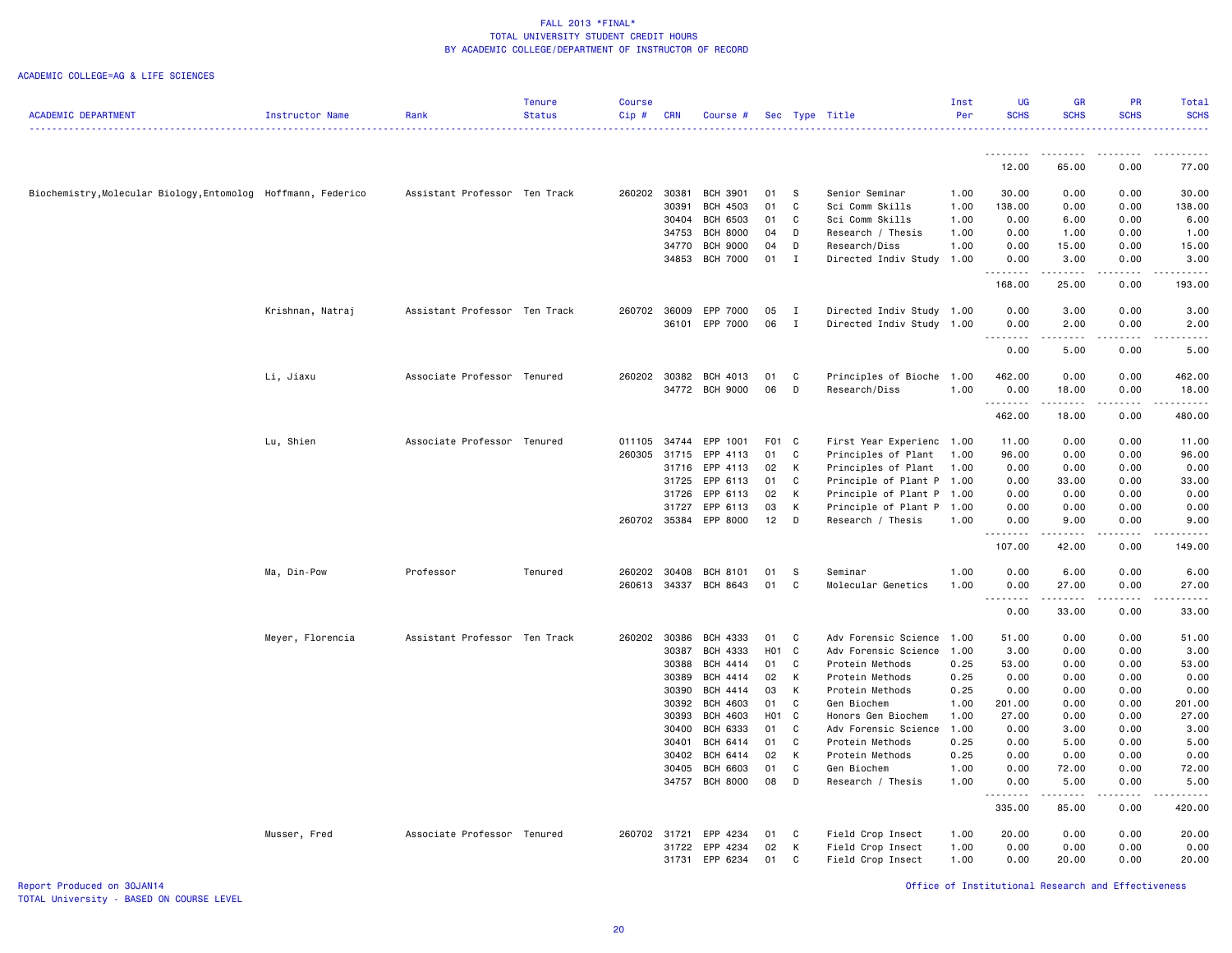### ACADEMIC COLLEGE=AG & LIFE SCIENCES

|                                                               |                  |                               | <b>Tenure</b> | <b>Course</b> |            |                 |       |              |                           | Inst | <b>UG</b>        | <b>GR</b>   | <b>PR</b>   | Total            |
|---------------------------------------------------------------|------------------|-------------------------------|---------------|---------------|------------|-----------------|-------|--------------|---------------------------|------|------------------|-------------|-------------|------------------|
| <b>ACADEMIC DEPARTMENT</b>                                    | Instructor Name  | Rank                          | <b>Status</b> | Cip#          | <b>CRN</b> | Course #        |       |              | Sec Type Title            | Per  | <b>SCHS</b>      | <b>SCHS</b> | <b>SCHS</b> | <b>SCHS</b><br>. |
|                                                               |                  |                               |               |               |            |                 |       |              |                           |      | .                | <u>.</u>    | $- - - - -$ | .                |
|                                                               |                  |                               |               |               |            |                 |       |              |                           |      | 12.00            | 65.00       | 0.00        | 77.00            |
| Biochemistry, Molecular Biology, Entomolog Hoffmann, Federico |                  | Assistant Professor Ten Track |               | 260202        | 30381      | <b>BCH 3901</b> | 01    | -S           | Senior Seminar            | 1.00 | 30.00            | 0.00        | 0.00        | 30.00            |
|                                                               |                  |                               |               |               | 30391      | <b>BCH 4503</b> | 01    | C            | Sci Comm Skills           | 1.00 | 138.00           | 0.00        | 0.00        | 138.00           |
|                                                               |                  |                               |               |               | 30404      | <b>BCH 6503</b> | 01    | C            | Sci Comm Skills           | 1.00 | 0.00             | 6.00        | 0.00        | 6.00             |
|                                                               |                  |                               |               |               | 34753      | <b>BCH 8000</b> | 04    | D            | Research / Thesis         | 1.00 | 0.00             | 1.00        | 0.00        | 1.00             |
|                                                               |                  |                               |               |               | 34770      | <b>BCH 9000</b> | 04    | D            | Research/Diss             | 1.00 | 0.00             | 15.00       | 0.00        | 15.00            |
|                                                               |                  |                               |               |               | 34853      | <b>BCH 7000</b> | 01    | $\mathbf I$  | Directed Indiv Study      | 1.00 | 0.00<br>.        | 3.00        | 0.00<br>.   | 3.00<br>.        |
|                                                               |                  |                               |               |               |            |                 |       |              |                           |      | 168.00           | 25.00       | 0.00        | 193.00           |
|                                                               | Krishnan, Natraj | Assistant Professor Ten Track |               | 260702        | 36009      | EPP 7000        | 05    | $\mathbf{I}$ | Directed Indiv Study 1.00 |      | 0.00             | 3.00        | 0.00        | 3.00             |
|                                                               |                  |                               |               |               |            | 36101 EPP 7000  | 06    | $\mathbf I$  | Directed Indiv Study 1.00 |      | 0.00             | 2.00        | 0.00        | 2.00             |
|                                                               |                  |                               |               |               |            |                 |       |              |                           |      | 0.00             | 5.00        | 0.00        | 5.00             |
|                                                               | Li, Jiaxu        | Associate Professor Tenured   |               | 260202        | 30382      | BCH 4013        | 01    | C            | Principles of Bioche      | 1.00 | 462.00           | 0.00        | 0.00        | 462.00           |
|                                                               |                  |                               |               |               |            | 34772 BCH 9000  | 06    | D            | Research/Diss             | 1.00 | 0.00             | 18.00       | 0.00        | 18.00            |
|                                                               |                  |                               |               |               |            |                 |       |              |                           |      | .<br>462.00      | .<br>18.00  | .<br>0.00   | .<br>480.00      |
|                                                               |                  |                               |               |               |            |                 |       |              |                           |      |                  |             |             |                  |
|                                                               | Lu, Shien        | Associate Professor Tenured   |               | 011105        | 34744      | EPP 1001        | F01 C |              | First Year Experienc 1.00 |      | 11.00            | 0.00        | 0.00        | 11.00            |
|                                                               |                  |                               |               | 260305        | 31715      | EPP 4113        | 01    | C            | Principles of Plant       | 1.00 | 96.00            | 0.00        | 0.00        | 96.00            |
|                                                               |                  |                               |               |               | 31716      | EPP 4113        | 02    | K            | Principles of Plant       | 1.00 | 0.00             | 0.00        | 0.00        | 0.00             |
|                                                               |                  |                               |               |               | 31725      | EPP 6113        | 01    | C            | Principle of Plant P 1.00 |      | 0.00             | 33.00       | 0.00        | 33.00            |
|                                                               |                  |                               |               |               | 31726      | EPP 6113        | 02    | K            | Principle of Plant P 1.00 |      | 0.00             | 0.00        | 0.00        | 0.00             |
|                                                               |                  |                               |               |               | 31727      | EPP 6113        | 03    | К            | Principle of Plant P      | 1.00 | 0.00             | 0.00        | 0.00        | 0.00             |
|                                                               |                  |                               |               | 260702 35384  |            | EPP 8000        | 12    | D            | Research / Thesis         | 1.00 | 0.00<br>.        | 9.00<br>.   | 0.00<br>.   | 9.00<br>.        |
|                                                               |                  |                               |               |               |            |                 |       |              |                           |      | 107.00           | 42.00       | 0.00        | 149.00           |
|                                                               | Ma, Din-Pow      | Professor                     | Tenured       | 260202        | 30408      | <b>BCH 8101</b> | 01    | -S           | Seminar                   | 1.00 | 0.00             | 6.00        | 0.00        | 6.00             |
|                                                               |                  |                               |               | 260613        |            | 34337 BCH 8643  | 01    | C            | Molecular Genetics        | 1.00 | 0.00<br>-----    | 27.00<br>.  | 0.00<br>.   | 27.00<br>.       |
|                                                               |                  |                               |               |               |            |                 |       |              |                           |      | 0.00             | 33.00       | 0.00        | 33.00            |
|                                                               | Meyer, Florencia | Assistant Professor Ten Track |               | 260202 30386  |            | BCH 4333        | 01    | $\mathbf{C}$ | Adv Forensic Science      | 1.00 | 51.00            | 0.00        | 0.00        | 51.00            |
|                                                               |                  |                               |               |               | 30387      | BCH 4333        | H01 C |              | Adv Forensic Science      | 1.00 | 3.00             | 0.00        | 0.00        | 3.00             |
|                                                               |                  |                               |               |               | 30388      | BCH 4414        | 01    | C            | Protein Methods           | 0.25 | 53.00            | 0.00        | 0.00        | 53.00            |
|                                                               |                  |                               |               |               | 30389      | BCH 4414        | 02    | К            | Protein Methods           | 0.25 | 0.00             | 0.00        | 0.00        | 0.00             |
|                                                               |                  |                               |               |               | 30390      | BCH 4414        | 03    | К            | Protein Methods           | 0.25 | 0.00             | 0.00        | 0.00        | 0.00             |
|                                                               |                  |                               |               |               | 30392      | <b>BCH 4603</b> | 01    | C            | Gen Biochem               | 1.00 | 201.00           | 0.00        | 0.00        | 201.00           |
|                                                               |                  |                               |               |               | 30393      | BCH 4603        | H01 C |              | Honors Gen Biochem        | 1.00 | 27.00            | 0.00        | 0.00        | 27.00            |
|                                                               |                  |                               |               |               | 30400      | BCH 6333        | 01    | C            | Adv Forensic Science      | 1.00 | 0.00             | 3.00        | 0.00        | 3.00             |
|                                                               |                  |                               |               |               | 30401      | BCH 6414        | 01    | C            | Protein Methods           | 0.25 | 0.00             | 5.00        | 0.00        | 5.00             |
|                                                               |                  |                               |               |               | 30402      | BCH 6414        | 02    | K            | Protein Methods           | 0.25 | 0.00             | 0.00        | 0.00        | 0.00             |
|                                                               |                  |                               |               |               | 30405      | <b>BCH 6603</b> | 01    | C            | Gen Biochem               | 1.00 | 0.00             | 72.00       | 0.00        | 72.00            |
|                                                               |                  |                               |               |               |            | 34757 BCH 8000  | 08    | D            | Research / Thesis         | 1.00 | 0.00<br><u>.</u> | 5.00<br>.   | 0.00<br>.   | 5.00<br><u>.</u> |
|                                                               |                  |                               |               |               |            |                 |       |              |                           |      | 335.00           | 85.00       | 0.00        | 420.00           |
|                                                               | Musser, Fred     | Associate Professor Tenured   |               | 260702 31721  |            | EPP 4234        | 01    | C            | Field Crop Insect         | 1.00 | 20.00            | 0.00        | 0.00        | 20.00            |
|                                                               |                  |                               |               |               | 31722      | EPP 4234        | 02    | К            | Field Crop Insect         | 1.00 | 0.00             | 0.00        | 0.00        | 0.00             |
|                                                               |                  |                               |               |               | 31731      | EPP 6234        | 01    | C            | Field Crop Insect         | 1.00 | 0.00             | 20.00       | 0.00        | 20.00            |

Report Produced on 30JAN14 Office of Institutional Research and Effectiveness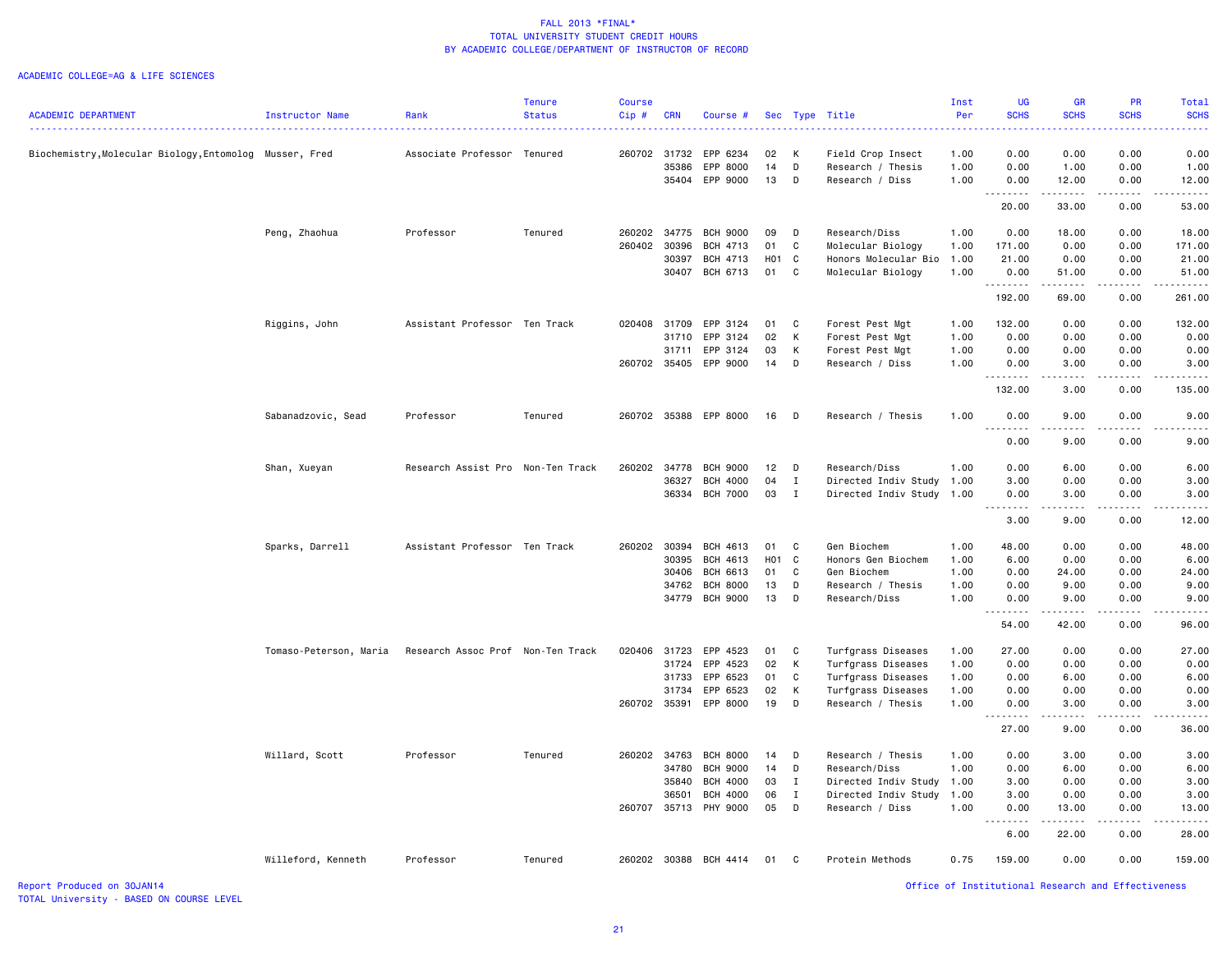#### ACADEMIC COLLEGE=AG & LIFE SCIENCES

|                                                         |                        |                                   | <b>Tenure</b> | <b>Course</b> |            |                       |       |              |                      | Inst | UG                                                 | <b>GR</b>                           | PR                                                                                                                                                           | Total               |
|---------------------------------------------------------|------------------------|-----------------------------------|---------------|---------------|------------|-----------------------|-------|--------------|----------------------|------|----------------------------------------------------|-------------------------------------|--------------------------------------------------------------------------------------------------------------------------------------------------------------|---------------------|
| <b>ACADEMIC DEPARTMENT</b>                              | Instructor Name        | Rank                              | <b>Status</b> | Cip#          | <b>CRN</b> | Course #              |       |              | Sec Type Title       | Per  | <b>SCHS</b>                                        | <b>SCHS</b>                         | <b>SCHS</b>                                                                                                                                                  | <b>SCHS</b>         |
| Biochemistry, Molecular Biology, Entomolog Musser, Fred |                        | Associate Professor Tenured       |               |               |            | 260702 31732 EPP 6234 | 02 K  |              | Field Crop Insect    | 1.00 | 0.00                                               | 0.00                                | 0.00                                                                                                                                                         | 0.00                |
|                                                         |                        |                                   |               |               | 35386      | EPP 8000              | 14    | D            | Research / Thesis    | 1.00 | 0.00                                               | 1.00                                | 0.00                                                                                                                                                         | 1.00                |
|                                                         |                        |                                   |               |               |            | 35404 EPP 9000        | 13    | D            | Research / Diss      | 1.00 | 0.00                                               | 12.00                               | 0.00                                                                                                                                                         | 12.00               |
|                                                         |                        |                                   |               |               |            |                       |       |              |                      |      | .<br>20.00                                         | 33.00                               | 0.00                                                                                                                                                         | 53.00               |
|                                                         | Peng, Zhaohua          | Professor                         | Tenured       | 260202        | 34775      | <b>BCH 9000</b>       | 09    | D            | Research/Diss        | 1.00 | 0.00                                               | 18.00                               | 0.00                                                                                                                                                         | 18.00               |
|                                                         |                        |                                   |               | 260402        | 30396      | <b>BCH 4713</b>       | 01    | C            | Molecular Biology    | 1.00 | 171.00                                             | 0.00                                | 0.00                                                                                                                                                         | 171.00              |
|                                                         |                        |                                   |               |               | 30397      | BCH 4713              | H01 C |              | Honors Molecular Bio | 1.00 | 21.00                                              | 0.00                                | 0.00                                                                                                                                                         | 21.00               |
|                                                         |                        |                                   |               |               |            | 30407 BCH 6713        | 01    | $\mathbf{C}$ | Molecular Biology    | 1.00 | 0.00                                               | 51.00                               | 0.00                                                                                                                                                         | 51.00               |
|                                                         |                        |                                   |               |               |            |                       |       |              |                      |      | <u>.</u><br>192.00                                 | .<br>69.00                          | $    -$<br>0.00                                                                                                                                              | .<br>261.00         |
|                                                         | Riggins, John          | Assistant Professor Ten Track     |               |               |            | 020408 31709 EPP 3124 | 01    | $\mathbf{C}$ | Forest Pest Mgt      | 1.00 | 132.00                                             | 0.00                                | 0.00                                                                                                                                                         | 132.00              |
|                                                         |                        |                                   |               |               | 31710      | EPP 3124              | 02    | K            | Forest Pest Mgt      | 1.00 | 0.00                                               | 0.00                                | 0.00                                                                                                                                                         | 0.00                |
|                                                         |                        |                                   |               |               | 31711      | EPP 3124              | 03    | К            | Forest Pest Mgt      | 1.00 | 0.00                                               | 0.00                                | 0.00                                                                                                                                                         | 0.00                |
|                                                         |                        |                                   |               |               |            | 260702 35405 EPP 9000 | 14 D  |              | Research / Diss      | 1.00 | 0.00                                               | 3.00                                | 0.00                                                                                                                                                         | 3.00                |
|                                                         |                        |                                   |               |               |            |                       |       |              |                      |      | <b></b><br>132.00                                  | $\sim$ $\sim$ $\sim$ $\sim$<br>3.00 | $\frac{1}{2} \left( \frac{1}{2} \right) \left( \frac{1}{2} \right) \left( \frac{1}{2} \right) \left( \frac{1}{2} \right) \left( \frac{1}{2} \right)$<br>0.00 | .<br>135.00         |
|                                                         | Sabanadzovic, Sead     | Professor                         | Tenured       |               |            | 260702 35388 EPP 8000 | 16    | $\Box$       | Research / Thesis    | 1.00 | 0.00                                               | 9.00                                | 0.00                                                                                                                                                         | 9.00                |
|                                                         |                        |                                   |               |               |            |                       |       |              |                      |      | .<br>0.00                                          | $\frac{1}{2}$<br>9.00               | 0.00                                                                                                                                                         | 9.00                |
|                                                         | Shan, Xueyan           | Research Assist Pro Non-Ten Track |               | 260202        | 34778      | <b>BCH 9000</b>       | 12    | $\Box$       | Research/Diss        | 1.00 | 0.00                                               | 6.00                                | 0.00                                                                                                                                                         | 6.00                |
|                                                         |                        |                                   |               |               | 36327      | <b>BCH 4000</b>       | 04    | $\mathbf I$  | Directed Indiv Study | 1.00 | 3.00                                               | 0.00                                | 0.00                                                                                                                                                         | 3.00                |
|                                                         |                        |                                   |               |               |            | 36334 BCH 7000        | 03    | $\mathbf{I}$ | Directed Indiv Study | 1.00 | 0.00                                               | 3.00                                | 0.00                                                                                                                                                         | 3,00                |
|                                                         |                        |                                   |               |               |            |                       |       |              |                      |      | . <b>.</b><br>3.00                                 | <b>.</b><br>9.00                    | $\frac{1}{2} \left( \frac{1}{2} \right) \left( \frac{1}{2} \right) \left( \frac{1}{2} \right) \left( \frac{1}{2} \right) \left( \frac{1}{2} \right)$<br>0.00 | . <b>.</b><br>12.00 |
|                                                         | Sparks, Darrell        | Assistant Professor Ten Track     |               | 260202        | 30394      | BCH 4613              | 01    | C.           | Gen Biochem          | 1.00 | 48.00                                              | 0.00                                | 0.00                                                                                                                                                         | 48.00               |
|                                                         |                        |                                   |               |               | 30395      | BCH 4613              | H01 C |              | Honors Gen Biochem   | 1.00 | 6.00                                               | 0.00                                | 0.00                                                                                                                                                         | 6.00                |
|                                                         |                        |                                   |               |               | 30406      | BCH 6613              | 01    | C            | Gen Biochem          | 1.00 | 0.00                                               | 24.00                               | 0.00                                                                                                                                                         | 24.00               |
|                                                         |                        |                                   |               |               | 34762      | <b>BCH 8000</b>       | 13    | D            | Research / Thesis    | 1.00 | 0.00                                               | 9.00                                | 0.00                                                                                                                                                         | 9.00                |
|                                                         |                        |                                   |               |               |            | 34779 BCH 9000        | 13    | $\Box$       | Research/Diss        | 1.00 | 0.00                                               | 9.00                                | 0.00                                                                                                                                                         | 9.00                |
|                                                         |                        |                                   |               |               |            |                       |       |              |                      |      | .<br>54.00                                         | <b>.</b><br>42.00                   | .<br>0.00                                                                                                                                                    | 96.00               |
|                                                         | Tomaso-Peterson, Maria | Research Assoc Prof Non-Ten Track |               | 020406        | 31723      | EPP 4523              | 01    | C            | Turfgrass Diseases   | 1.00 | 27.00                                              | 0.00                                | 0.00                                                                                                                                                         | 27.00               |
|                                                         |                        |                                   |               |               |            | 31724 EPP 4523        | 02    | $\mathsf{K}$ | Turfgrass Diseases   | 1.00 | 0.00                                               | 0.00                                | 0.00                                                                                                                                                         | 0.00                |
|                                                         |                        |                                   |               |               | 31733      | EPP 6523              | 01    | C            | Turfgrass Diseases   | 1.00 | 0.00                                               | 6.00                                | 0.00                                                                                                                                                         | 6.00                |
|                                                         |                        |                                   |               |               | 31734      | EPP 6523              | 02    | K            | Turfgrass Diseases   | 1.00 | 0.00                                               | 0.00                                | 0.00                                                                                                                                                         | 0.00                |
|                                                         |                        |                                   |               |               |            | 260702 35391 EPP 8000 | 19    | $\Box$       | Research / Thesis    | 1.00 | 0.00<br>.                                          | 3.00<br>.                           | 0.00<br>$\frac{1}{2} \left( \frac{1}{2} \right) \left( \frac{1}{2} \right) \left( \frac{1}{2} \right) \left( \frac{1}{2} \right)$                            | 3.00<br>.           |
|                                                         |                        |                                   |               |               |            |                       |       |              |                      |      | 27.00                                              | 9.00                                | 0.00                                                                                                                                                         | 36.00               |
|                                                         | Willard, Scott         | Professor                         | Tenured       | 260202        | 34763      | <b>BCH 8000</b>       | 14    | D            | Research / Thesis    | 1.00 | 0.00                                               | 3.00                                | 0.00                                                                                                                                                         | 3.00                |
|                                                         |                        |                                   |               |               | 34780      | <b>BCH 9000</b>       | 14    | D            | Research/Diss        | 1.00 | 0.00                                               | 6.00                                | 0.00                                                                                                                                                         | 6.00                |
|                                                         |                        |                                   |               |               | 35840      | BCH 4000              | 03    | Ι.           | Directed Indiv Study | 1.00 | 3.00                                               | 0.00                                | 0.00                                                                                                                                                         | 3.00                |
|                                                         |                        |                                   |               |               | 36501      | <b>BCH 4000</b>       | 06    | Ι.           | Directed Indiv Study | 1.00 | 3.00                                               | 0.00                                | 0.00                                                                                                                                                         | 3.00                |
|                                                         |                        |                                   |               | 260707        |            | 35713 PHY 9000        | 05    | D            | Research / Diss      | 1.00 | 0.00<br>-----                                      | 13.00                               | 0.00                                                                                                                                                         | 13.00               |
|                                                         |                        |                                   |               |               |            |                       |       |              |                      |      | 6.00                                               | 22.00                               | 0.00                                                                                                                                                         | 28.00               |
|                                                         | Willeford, Kenneth     | Professor                         | Tenured       |               |            | 260202 30388 BCH 4414 | 01    | $\mathbf{C}$ | Protein Methods      | 0.75 | 159.00                                             | 0.00                                | 0.00                                                                                                                                                         | 159.00              |
| Report Produced on 30JAN14                              |                        |                                   |               |               |            |                       |       |              |                      |      | Office of Institutional Research and Effectiveness |                                     |                                                                                                                                                              |                     |

TOTAL University - BASED ON COURSE LEVEL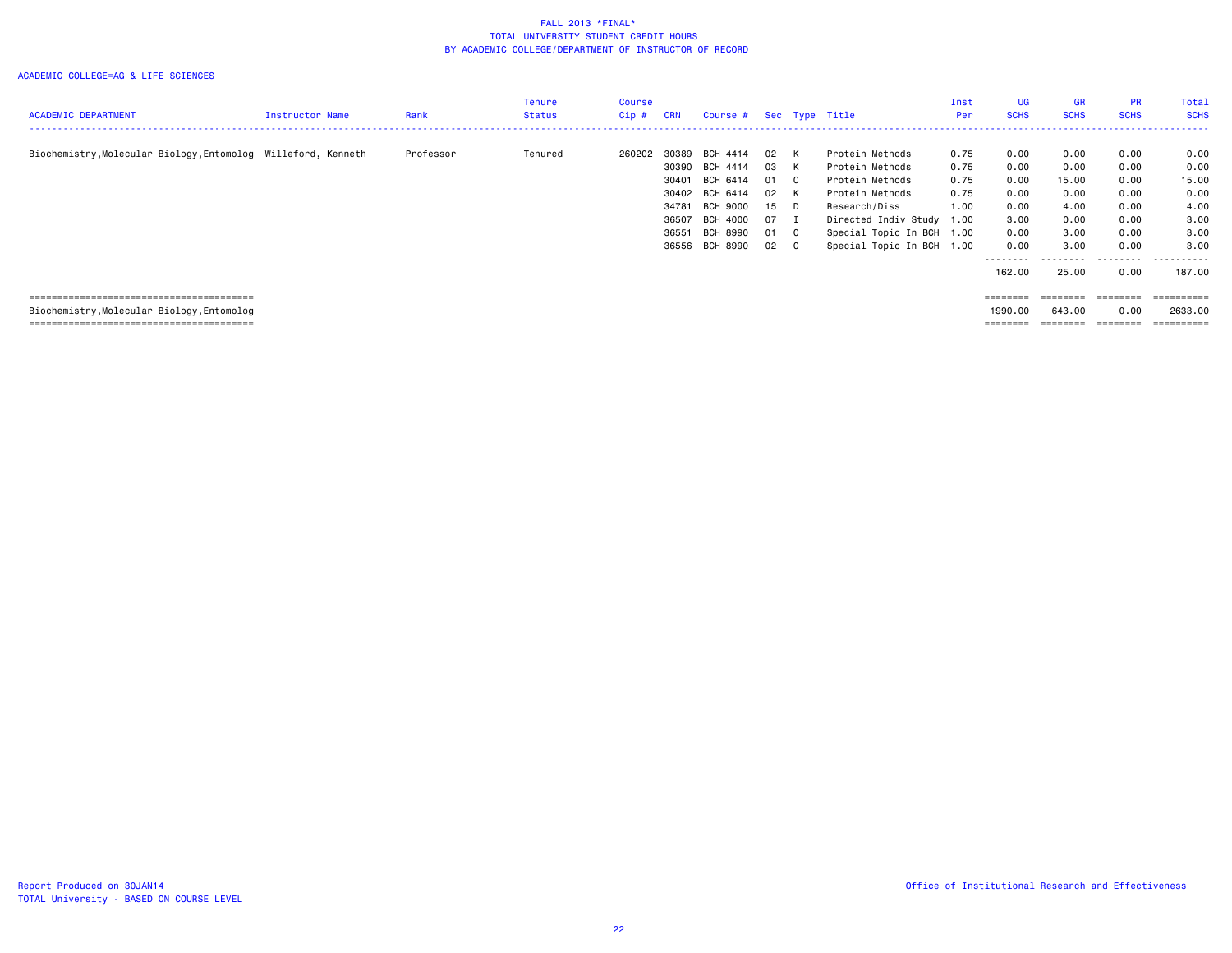|                                                               |                 |           | Tenure  | Course |            |                         |      |                           | Inst | UG                | <b>GR</b>   | <b>PR</b>   | Total            |
|---------------------------------------------------------------|-----------------|-----------|---------|--------|------------|-------------------------|------|---------------------------|------|-------------------|-------------|-------------|------------------|
| <b>ACADEMIC DEPARTMENT</b>                                    | Instructor Name | Rank      | Status  | Cip #  | <b>CRN</b> | Course # Sec Type Title |      |                           | Per  | <b>SCHS</b>       | <b>SCHS</b> | <b>SCHS</b> | <b>SCHS</b>      |
|                                                               |                 |           |         |        |            |                         |      |                           |      |                   |             |             | . <u>.</u> .     |
| Biochemistry, Molecular Biology, Entomolog Willeford, Kenneth |                 | Professor | Tenured | 260202 | 30389      | BCH 4414                | 02 K | Protein Methods           | 0.75 | 0.00              | 0.00        | 0.00        | 0.00             |
|                                                               |                 |           |         |        |            | 30390 BCH 4414          | 03 K | Protein Methods           | 0.75 | 0.00              | 0.00        | 0.00        | 0.00             |
|                                                               |                 |           |         |        | 30401      | BCH 6414                | 01 C | Protein Methods           | 0.75 | 0.00              | 15.00       | 0.00        | 15.00            |
|                                                               |                 |           |         |        | 30402      | BCH 6414                | 02 K | Protein Methods           | 0.75 | 0.00              | 0.00        | 0.00        | 0.00             |
|                                                               |                 |           |         |        | 34781      | <b>BCH 9000</b>         | 15 D | Research/Diss             | 1.00 | 0.00              | 4.00        | 0.00        | 4.00             |
|                                                               |                 |           |         |        | 36507      | BCH 4000                | 07 I | Directed Indiv Study 1.00 |      | 3.00              | 0.00        | 0.00        | 3.00             |
|                                                               |                 |           |         |        | 36551      | BCH 8990                | 01 C | Special Topic In BCH 1.00 |      | 0.00              | 3.00        | 0.00        | 3.00             |
|                                                               |                 |           |         |        | 36556      | BCH 8990                | 02 C | Special Topic In BCH 1.00 |      | 0.00              | 3.00        | 0.00        | 3,00             |
|                                                               |                 |           |         |        |            |                         |      |                           |      |                   |             | .           | ------           |
|                                                               |                 |           |         |        |            |                         |      |                           |      | 162.00            | 25.00       | 0.00        | 187.00           |
|                                                               |                 |           |         |        |            |                         |      |                           |      |                   |             |             |                  |
|                                                               |                 |           |         |        |            |                         |      |                           |      | $= = = = = = = =$ | ========    | ========    | <b>Expressed</b> |
| Biochemistry, Molecular Biology, Entomolog                    |                 |           |         |        |            |                         |      |                           |      | 1990.00           | 643.00      | 0.00        | 2633.00          |
|                                                               |                 |           |         |        |            |                         |      |                           |      | $=$ = = = = = = = | ========    | ========    | ==========       |
|                                                               |                 |           |         |        |            |                         |      |                           |      |                   |             |             |                  |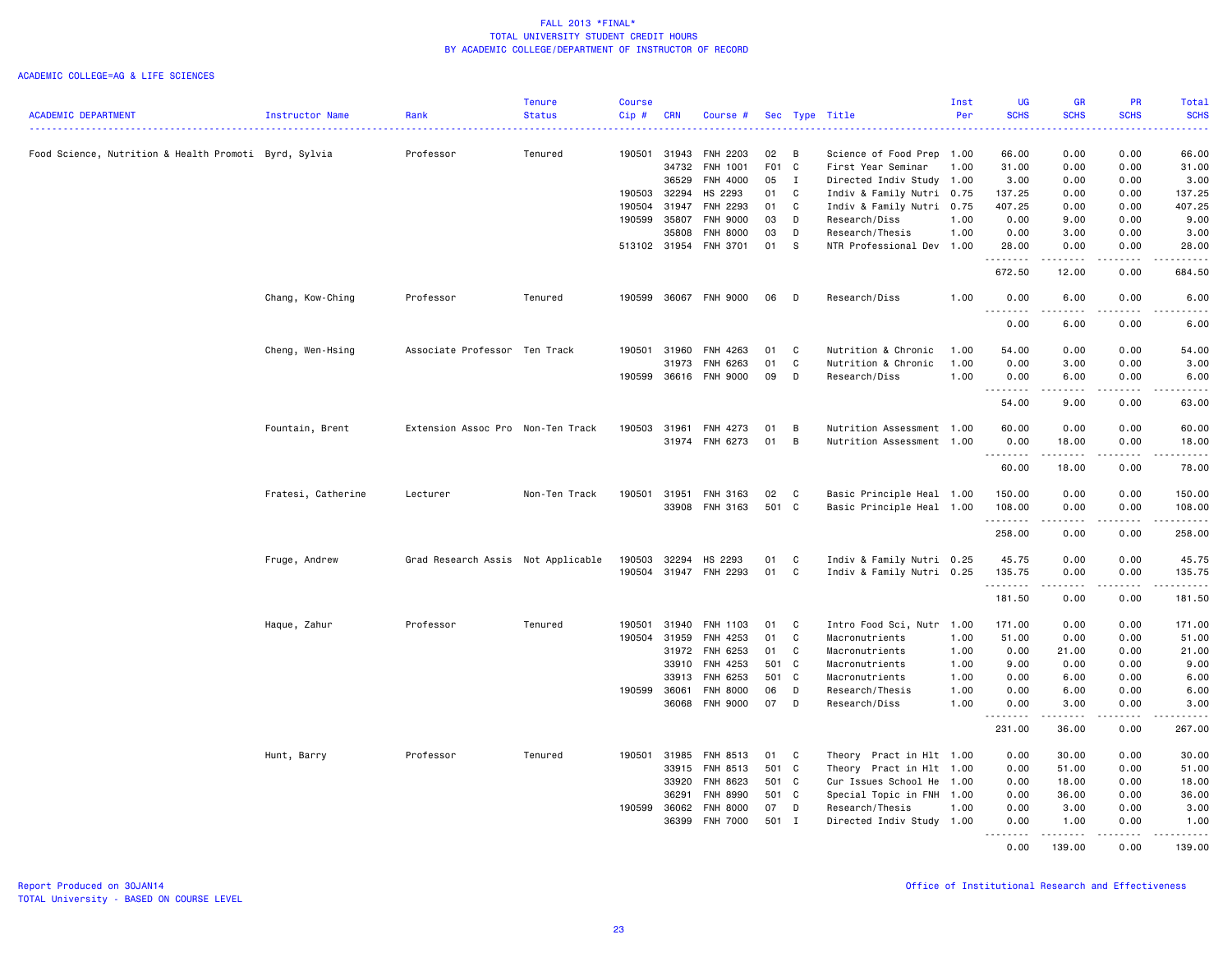|                                                       |                    |                                    | <b>Tenure</b> | <b>Course</b> |       |                 |       |                |                           | Inst | <b>UG</b>                                                                                                                          | <b>GR</b>                                                                                                                                            | PR                           | Total                                                                                                                              |
|-------------------------------------------------------|--------------------|------------------------------------|---------------|---------------|-------|-----------------|-------|----------------|---------------------------|------|------------------------------------------------------------------------------------------------------------------------------------|------------------------------------------------------------------------------------------------------------------------------------------------------|------------------------------|------------------------------------------------------------------------------------------------------------------------------------|
| <b>ACADEMIC DEPARTMENT</b>                            | Instructor Name    | Rank                               | <b>Status</b> | Cip#          | CRN   | Course #        |       |                | Sec Type Title            | Per  | <b>SCHS</b>                                                                                                                        | <b>SCHS</b>                                                                                                                                          | <b>SCHS</b>                  | <b>SCHS</b><br>المتمامين                                                                                                           |
| Food Science, Nutrition & Health Promoti Byrd, Sylvia |                    | Professor                          | Tenured       | 190501 31943  |       | FNH 2203        | 02    | В              | Science of Food Prep 1.00 |      | 66.00                                                                                                                              | 0.00                                                                                                                                                 | 0.00                         | 66.00                                                                                                                              |
|                                                       |                    |                                    |               |               | 34732 | FNH 1001        | F01 C |                | First Year Seminar        | 1.00 | 31.00                                                                                                                              | 0.00                                                                                                                                                 | 0.00                         | 31.00                                                                                                                              |
|                                                       |                    |                                    |               |               | 36529 | FNH 4000        | 05    | $\mathbf{I}$   | Directed Indiv Study 1.00 |      | 3.00                                                                                                                               | 0.00                                                                                                                                                 | 0.00                         | 3.00                                                                                                                               |
|                                                       |                    |                                    |               | 190503 32294  |       | HS 2293         | 01    | C              | Indiv & Family Nutri 0.75 |      | 137.25                                                                                                                             | 0.00                                                                                                                                                 | 0.00                         | 137.25                                                                                                                             |
|                                                       |                    |                                    |               | 190504 31947  |       | FNH 2293        | 01    | C              | Indiv & Family Nutri 0.75 |      | 407.25                                                                                                                             | 0.00                                                                                                                                                 | 0.00                         | 407.25                                                                                                                             |
|                                                       |                    |                                    |               | 190599 35807  |       | FNH 9000        | 03    | D              | Research/Diss             | 1.00 | 0.00                                                                                                                               | 9.00                                                                                                                                                 | 0.00                         | 9.00                                                                                                                               |
|                                                       |                    |                                    |               |               | 35808 | FNH 8000        | 03    | D              | Research/Thesis           | 1.00 | 0.00                                                                                                                               | 3.00                                                                                                                                                 | 0.00                         | 3.00                                                                                                                               |
|                                                       |                    |                                    |               | 513102 31954  |       | FNH 3701        | 01    | s              | NTR Professional Dev 1.00 |      | 28.00<br>$\frac{1}{2} \left( \frac{1}{2} \right) \left( \frac{1}{2} \right) \left( \frac{1}{2} \right) \left( \frac{1}{2} \right)$ | 0.00                                                                                                                                                 | 0.00                         | 28.00<br>$\frac{1}{2} \left( \frac{1}{2} \right) \left( \frac{1}{2} \right) \left( \frac{1}{2} \right) \left( \frac{1}{2} \right)$ |
|                                                       |                    |                                    |               |               |       |                 |       |                |                           |      | 672.50                                                                                                                             | 12.00                                                                                                                                                | 0.00                         | 684.50                                                                                                                             |
|                                                       | Chang, Kow-Ching   | Professor                          | Tenured       | 190599        |       | 36067 FNH 9000  | 06    | D              | Research/Diss             | 1.00 | 0.00<br>.                                                                                                                          | 6.00                                                                                                                                                 | 0.00                         | 6.00                                                                                                                               |
|                                                       |                    |                                    |               |               |       |                 |       |                |                           |      | 0.00                                                                                                                               | 6.00                                                                                                                                                 | 0.00                         | 6.00                                                                                                                               |
|                                                       | Cheng, Wen-Hsing   | Associate Professor Ten Track      |               | 190501 31960  |       | FNH 4263        | 01    | C              | Nutrition & Chronic       | 1.00 | 54.00                                                                                                                              | 0.00                                                                                                                                                 | 0.00                         | 54.00                                                                                                                              |
|                                                       |                    |                                    |               |               | 31973 | FNH 6263        | 01    | C              | Nutrition & Chronic       | 1.00 | 0.00                                                                                                                               | 3.00                                                                                                                                                 | 0.00                         | 3.00                                                                                                                               |
|                                                       |                    |                                    |               | 190599        | 36616 | <b>FNH 9000</b> | 09    | D              | Research/Diss             | 1.00 | 0.00<br>$\sim$ $\sim$                                                                                                              | 6.00                                                                                                                                                 | 0.00                         | 6.00<br>.                                                                                                                          |
|                                                       |                    |                                    |               |               |       |                 |       |                |                           |      | 54.00                                                                                                                              | 9.00                                                                                                                                                 | 0.00                         | 63.00                                                                                                                              |
|                                                       | Fountain, Brent    | Extension Assoc Pro Non-Ten Track  |               | 190503        | 31961 | FNH 4273        | 01    | B              | Nutrition Assessment 1.00 |      | 60.00                                                                                                                              | 0.00                                                                                                                                                 | 0.00                         | 60.00                                                                                                                              |
|                                                       |                    |                                    |               |               | 31974 | FNH 6273        | 01    | $\overline{B}$ | Nutrition Assessment 1.00 |      | 0.00                                                                                                                               | 18.00                                                                                                                                                | 0.00                         | 18.00                                                                                                                              |
|                                                       |                    |                                    |               |               |       |                 |       |                |                           |      | . <b>.</b>                                                                                                                         | $\frac{1}{2} \left( \frac{1}{2} \right) \left( \frac{1}{2} \right) \left( \frac{1}{2} \right) \left( \frac{1}{2} \right) \left( \frac{1}{2} \right)$ | $\sim$ $\sim$ $\sim$         | .                                                                                                                                  |
|                                                       |                    |                                    |               |               |       |                 |       |                |                           |      | 60.00                                                                                                                              | 18.00                                                                                                                                                | 0.00                         | 78.00                                                                                                                              |
|                                                       | Fratesi, Catherine | Lecturer                           | Non-Ten Track | 190501 31951  |       | FNH 3163        | 02    | C              | Basic Principle Heal 1.00 |      | 150.00                                                                                                                             | 0.00                                                                                                                                                 | 0.00                         | 150.00                                                                                                                             |
|                                                       |                    |                                    |               |               | 33908 | FNH 3163        | 501 C |                | Basic Principle Heal 1.00 |      | 108.00<br>.                                                                                                                        | 0.00                                                                                                                                                 | 0.00<br>$\frac{1}{2}$        | 108.00<br>.                                                                                                                        |
|                                                       |                    |                                    |               |               |       |                 |       |                |                           |      | 258.00                                                                                                                             | 0.00                                                                                                                                                 | 0.00                         | 258.00                                                                                                                             |
|                                                       | Fruge, Andrew      | Grad Research Assis Not Applicable |               | 190503        | 32294 | HS 2293         | 01    | C              | Indiv & Family Nutri 0.25 |      | 45.75                                                                                                                              | 0.00                                                                                                                                                 | 0.00                         | 45.75                                                                                                                              |
|                                                       |                    |                                    |               | 190504        | 31947 | FNH 2293        | 01    | C              | Indiv & Family Nutri 0.25 |      | 135.75<br>.                                                                                                                        | 0.00<br>$\frac{1}{2} \left( \frac{1}{2} \right) \left( \frac{1}{2} \right) \left( \frac{1}{2} \right) \left( \frac{1}{2} \right)$                    | 0.00<br>$\sim$ $\sim$ $\sim$ | 135.75                                                                                                                             |
|                                                       |                    |                                    |               |               |       |                 |       |                |                           |      | 181.50                                                                                                                             | 0.00                                                                                                                                                 | 0.00                         | 181.50                                                                                                                             |
|                                                       | Haque, Zahur       | Professor                          | Tenured       | 190501        | 31940 | FNH 1103        | 01    | C              | Intro Food Sci, Nutr 1.00 |      | 171.00                                                                                                                             | 0.00                                                                                                                                                 | 0.00                         | 171.00                                                                                                                             |
|                                                       |                    |                                    |               | 190504 31959  |       | FNH 4253        | 01    | C              | Macronutrients            | 1.00 | 51.00                                                                                                                              | 0.00                                                                                                                                                 | 0.00                         | 51.00                                                                                                                              |
|                                                       |                    |                                    |               |               | 31972 | FNH 6253        | 01    | C              | Macronutrients            | 1.00 | 0.00                                                                                                                               | 21.00                                                                                                                                                | 0.00                         | 21.00                                                                                                                              |
|                                                       |                    |                                    |               |               | 33910 | FNH 4253        | 501 C |                | Macronutrients            | 1.00 | 9.00                                                                                                                               | 0.00                                                                                                                                                 | 0.00                         | 9.00                                                                                                                               |
|                                                       |                    |                                    |               |               | 33913 | FNH 6253        | 501 C |                | Macronutrients            | 1.00 | 0.00                                                                                                                               | 6.00                                                                                                                                                 | 0.00                         | 6.00                                                                                                                               |
|                                                       |                    |                                    |               | 190599        | 36061 | <b>FNH 8000</b> | 06    | D              | Research/Thesis           | 1.00 | 0.00                                                                                                                               | 6.00                                                                                                                                                 | 0.00                         | 6.00                                                                                                                               |
|                                                       |                    |                                    |               |               | 36068 | FNH 9000        | 07    | D              | Research/Diss             | 1.00 | 0.00<br>.                                                                                                                          | 3.00<br>.                                                                                                                                            | 0.00<br>$\frac{1}{2}$        | 3.00<br>.                                                                                                                          |
|                                                       |                    |                                    |               |               |       |                 |       |                |                           |      | 231.00                                                                                                                             | 36.00                                                                                                                                                | 0.00                         | 267.00                                                                                                                             |
|                                                       | Hunt, Barry        | Professor                          | Tenured       | 190501 31985  |       | FNH 8513        | 01 C  |                | Theory Pract in Hlt 1.00  |      | 0.00                                                                                                                               | 30.00                                                                                                                                                | 0.00                         | 30.00                                                                                                                              |
|                                                       |                    |                                    |               |               | 33915 | FNH 8513        | 501 C |                | Theory Pract in Hlt 1.00  |      | 0.00                                                                                                                               | 51.00                                                                                                                                                | 0.00                         | 51.00                                                                                                                              |
|                                                       |                    |                                    |               |               | 33920 | FNH 8623        | 501 C |                | Cur Issues School He      | 1.00 | 0.00                                                                                                                               | 18.00                                                                                                                                                | 0.00                         | 18.00                                                                                                                              |
|                                                       |                    |                                    |               |               | 36291 | FNH 8990        | 501 C |                | Special Topic in FNH 1.00 |      | 0.00                                                                                                                               | 36.00                                                                                                                                                | 0.00                         | 36.00                                                                                                                              |
|                                                       |                    |                                    |               | 190599        | 36062 | <b>FNH 8000</b> | 07    | D              | Research/Thesis           | 1.00 | 0.00                                                                                                                               | 3.00                                                                                                                                                 | 0.00                         | 3.00                                                                                                                               |
|                                                       |                    |                                    |               |               | 36399 | <b>FNH 7000</b> | 501 I |                | Directed Indiv Study 1.00 |      | 0.00<br>.                                                                                                                          | 1.00<br>.                                                                                                                                            | 0.00<br>.                    | 1.00<br>$\begin{array}{cccccccccccccc} \bullet & \bullet & \bullet & \bullet & \bullet & \bullet & \bullet & \bullet \end{array}$  |
|                                                       |                    |                                    |               |               |       |                 |       |                |                           |      | 0.00                                                                                                                               | 139.00                                                                                                                                               | 0.00                         | 139.00                                                                                                                             |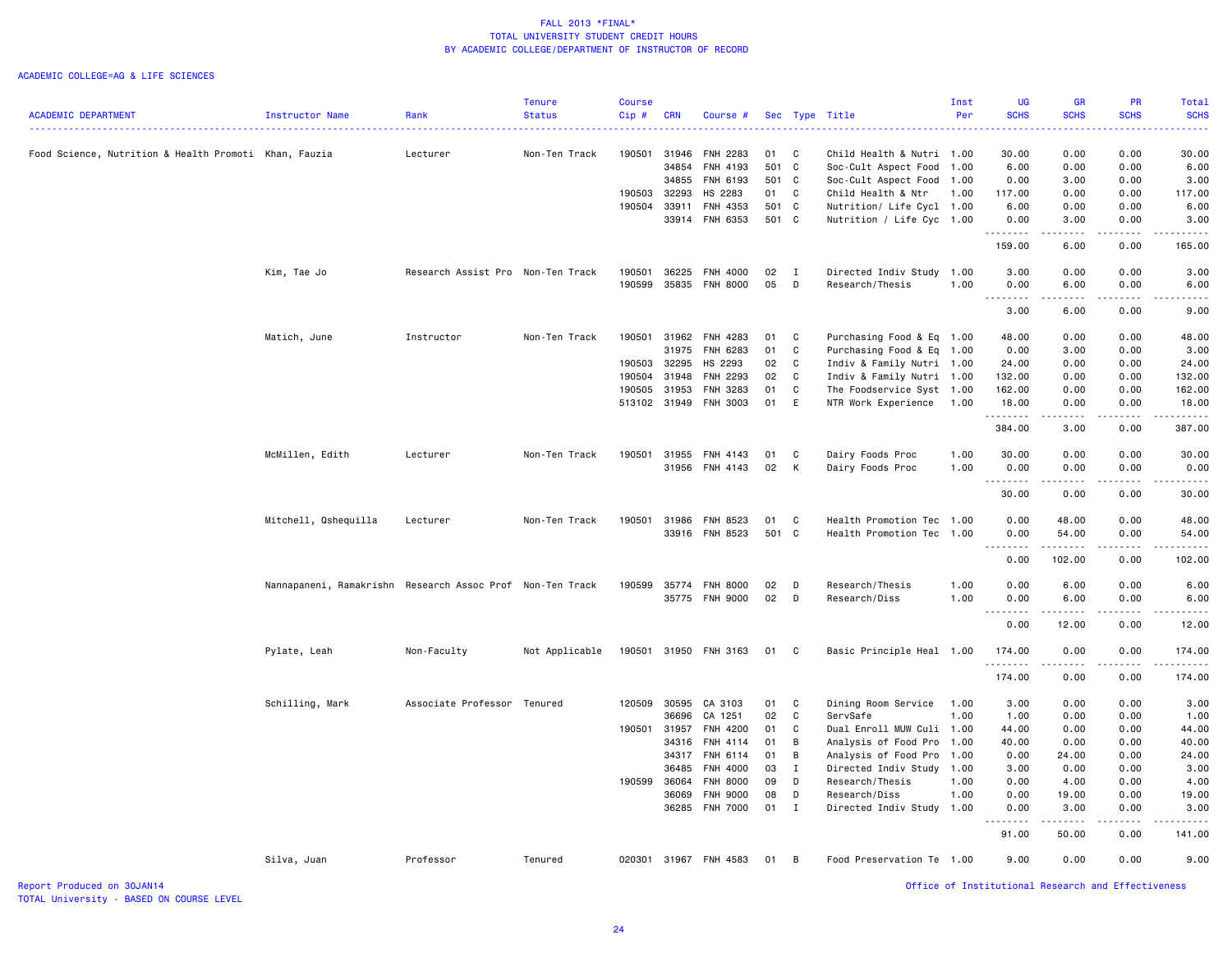|                                                       |                                                           |                                   | <b>Tenure</b>  | <b>Course</b> |            |                       |        |              |                           | Inst | <b>UG</b>                                                                                                                                                    | <b>GR</b>                                                                                                                                                    | <b>PR</b>                                                                                                                                                    | Total            |
|-------------------------------------------------------|-----------------------------------------------------------|-----------------------------------|----------------|---------------|------------|-----------------------|--------|--------------|---------------------------|------|--------------------------------------------------------------------------------------------------------------------------------------------------------------|--------------------------------------------------------------------------------------------------------------------------------------------------------------|--------------------------------------------------------------------------------------------------------------------------------------------------------------|------------------|
| <b>ACADEMIC DEPARTMENT</b>                            | Instructor Name                                           | Rank                              | <b>Status</b>  | Cip#          | <b>CRN</b> | Course #              |        |              | Sec Type Title            | Per  | <b>SCHS</b>                                                                                                                                                  | <b>SCHS</b>                                                                                                                                                  | <b>SCHS</b>                                                                                                                                                  | <b>SCHS</b><br>. |
|                                                       |                                                           |                                   |                |               |            |                       |        |              |                           |      |                                                                                                                                                              |                                                                                                                                                              |                                                                                                                                                              |                  |
| Food Science, Nutrition & Health Promoti Khan, Fauzia |                                                           | Lecturer                          | Non-Ten Track  | 190501        |            | 31946 FNH 2283        | 01     | $\mathbf{C}$ | Child Health & Nutri 1.00 |      | 30.00                                                                                                                                                        | 0.00                                                                                                                                                         | 0.00                                                                                                                                                         | 30.00            |
|                                                       |                                                           |                                   |                |               | 34854      | FNH 4193              | 501 C  |              | Soc-Cult Aspect Food      | 1.00 | 6.00                                                                                                                                                         | 0.00                                                                                                                                                         | 0.00                                                                                                                                                         | 6.00             |
|                                                       |                                                           |                                   |                |               | 34855      | FNH 6193              | 501 C  |              | Soc-Cult Aspect Food      | 1.00 | 0.00                                                                                                                                                         | 3.00                                                                                                                                                         | 0.00                                                                                                                                                         | 3.00             |
|                                                       |                                                           |                                   |                | 190503        | 32293      | HS 2283               | 01     | C            | Child Health & Ntr        | 1.00 | 117.00                                                                                                                                                       | 0.00                                                                                                                                                         | 0.00                                                                                                                                                         | 117.00           |
|                                                       |                                                           |                                   |                | 190504        | 33911      | FNH 4353              | 501 C  |              | Nutrition/ Life Cycl 1.00 |      | 6.00                                                                                                                                                         | 0.00                                                                                                                                                         | 0.00                                                                                                                                                         | 6.00             |
|                                                       |                                                           |                                   |                |               |            | 33914 FNH 6353        | 501 C  |              | Nutrition / Life Cyc 1.00 |      | 0.00<br>$\frac{1}{2} \left( \frac{1}{2} \right) \left( \frac{1}{2} \right) \left( \frac{1}{2} \right) \left( \frac{1}{2} \right) \left( \frac{1}{2} \right)$ | 3.00<br>.                                                                                                                                                    | 0.00<br>.                                                                                                                                                    | 3.00<br>الداعات  |
|                                                       |                                                           |                                   |                |               |            |                       |        |              |                           |      | 159.00                                                                                                                                                       | 6.00                                                                                                                                                         | 0.00                                                                                                                                                         | 165.00           |
|                                                       | Kim, Tae Jo                                               | Research Assist Pro Non-Ten Track |                | 190501        | 36225      | <b>FNH 4000</b>       | 02     | $\mathbf{I}$ | Directed Indiv Study      | 1.00 | 3.00                                                                                                                                                         | 0.00                                                                                                                                                         | 0.00                                                                                                                                                         | 3.00             |
|                                                       |                                                           |                                   |                | 190599        | 35835      | <b>FNH 8000</b>       | 05     | D            | Research/Thesis           | 1.00 | 0.00                                                                                                                                                         | 6.00                                                                                                                                                         | 0.00                                                                                                                                                         | 6.00             |
|                                                       |                                                           |                                   |                |               |            |                       |        |              |                           |      | .                                                                                                                                                            | $\frac{1}{2} \left( \frac{1}{2} \right) \left( \frac{1}{2} \right) \left( \frac{1}{2} \right) \left( \frac{1}{2} \right)$                                    | $   -$                                                                                                                                                       | .                |
|                                                       |                                                           |                                   |                |               |            |                       |        |              |                           |      | 3.00                                                                                                                                                         | 6.00                                                                                                                                                         | 0.00                                                                                                                                                         | 9.00             |
|                                                       | Matich, June                                              | Instructor                        | Non-Ten Track  | 190501        | 31962      | FNH 4283              | 01     | C            | Purchasing Food & Eq 1.00 |      | 48.00                                                                                                                                                        | 0.00                                                                                                                                                         | 0.00                                                                                                                                                         | 48.00            |
|                                                       |                                                           |                                   |                |               | 31975      | FNH 6283              | 01     | C            | Purchasing Food & Eq 1.00 |      | 0.00                                                                                                                                                         | 3.00                                                                                                                                                         | 0.00                                                                                                                                                         | 3.00             |
|                                                       |                                                           |                                   |                | 190503        | 32295      | HS 2293               | 02     | C            | Indiv & Family Nutri 1.00 |      | 24.00                                                                                                                                                        | 0.00                                                                                                                                                         | 0.00                                                                                                                                                         | 24.00            |
|                                                       |                                                           |                                   |                | 190504        | 31948      | <b>FNH 2293</b>       | 02     | C            | Indiv & Family Nutri 1.00 |      | 132.00                                                                                                                                                       | 0.00                                                                                                                                                         | 0.00                                                                                                                                                         | 132.00           |
|                                                       |                                                           |                                   |                | 190505        | 31953      | FNH 3283              | 01     | C            | The Foodservice Syst 1.00 |      | 162.00                                                                                                                                                       | 0.00                                                                                                                                                         | 0.00                                                                                                                                                         | 162.00           |
|                                                       |                                                           |                                   |                |               |            | 513102 31949 FNH 3003 | 01     | E            | NTR Work Experience       | 1.00 | 18.00                                                                                                                                                        | 0.00                                                                                                                                                         | 0.00                                                                                                                                                         | 18.00            |
|                                                       |                                                           |                                   |                |               |            |                       |        |              |                           |      | .<br>384.00                                                                                                                                                  | 3.00                                                                                                                                                         | 0.00                                                                                                                                                         | 387.00           |
|                                                       | McMillen, Edith                                           | Lecturer                          | Non-Ten Track  | 190501        | 31955      | FNH 4143              | 01     | C            | Dairy Foods Proc          | 1.00 | 30.00                                                                                                                                                        | 0.00                                                                                                                                                         | 0.00                                                                                                                                                         | 30.00            |
|                                                       |                                                           |                                   |                |               |            | 31956 FNH 4143        | 02     | К            | Dairy Foods Proc          | 1.00 | 0.00                                                                                                                                                         | 0.00                                                                                                                                                         | 0.00                                                                                                                                                         | 0.00             |
|                                                       |                                                           |                                   |                |               |            |                       |        |              |                           |      | .                                                                                                                                                            | -----                                                                                                                                                        | -----                                                                                                                                                        | .                |
|                                                       |                                                           |                                   |                |               |            |                       |        |              |                           |      | 30.00                                                                                                                                                        | 0.00                                                                                                                                                         | 0.00                                                                                                                                                         | 30.00            |
|                                                       | Mitchell, Qshequilla                                      | Lecturer                          | Non-Ten Track  | 190501        |            | 31986 FNH 8523        | 01     | C            | Health Promotion Tec 1.00 |      | 0.00                                                                                                                                                         | 48.00                                                                                                                                                        | 0.00                                                                                                                                                         | 48.00            |
|                                                       |                                                           |                                   |                |               |            | 33916 FNH 8523        | 501 C  |              | Health Promotion Tec 1.00 |      | 0.00                                                                                                                                                         | 54.00                                                                                                                                                        | 0.00                                                                                                                                                         | 54.00            |
|                                                       |                                                           |                                   |                |               |            |                       |        |              |                           |      | .<br>0.00                                                                                                                                                    | .<br>102.00                                                                                                                                                  | $\frac{1}{2} \left( \frac{1}{2} \right) \left( \frac{1}{2} \right) \left( \frac{1}{2} \right) \left( \frac{1}{2} \right) \left( \frac{1}{2} \right)$<br>0.00 | 102.00           |
|                                                       | Nannapaneni, Ramakrishn Research Assoc Prof Non-Ten Track |                                   |                | 190599        |            | 35774 FNH 8000        | 02     | D            | Research/Thesis           | 1.00 | 0.00                                                                                                                                                         | 6.00                                                                                                                                                         | 0.00                                                                                                                                                         | 6.00             |
|                                                       |                                                           |                                   |                |               |            | 35775 FNH 9000        | 02     | D            | Research/Diss             | 1.00 | 0.00                                                                                                                                                         | 6.00                                                                                                                                                         | 0.00                                                                                                                                                         | 6.00             |
|                                                       |                                                           |                                   |                |               |            |                       |        |              |                           |      | 0.00                                                                                                                                                         | 12.00                                                                                                                                                        | 0.00                                                                                                                                                         | 12.00            |
|                                                       | Pylate, Leah                                              | Non-Faculty                       | Not Applicable | 190501        |            | 31950 FNH 3163        | 01     | $\mathbf{C}$ | Basic Principle Heal 1.00 |      | 174.00                                                                                                                                                       | 0.00                                                                                                                                                         | 0.00                                                                                                                                                         | 174.00           |
|                                                       |                                                           |                                   |                |               |            |                       |        |              |                           |      | .<br>174.00                                                                                                                                                  | $\frac{1}{2} \left( \frac{1}{2} \right) \left( \frac{1}{2} \right) \left( \frac{1}{2} \right) \left( \frac{1}{2} \right) \left( \frac{1}{2} \right)$<br>0.00 | .<br>0.00                                                                                                                                                    | .<br>174.00      |
|                                                       |                                                           |                                   |                |               |            |                       |        |              |                           |      |                                                                                                                                                              |                                                                                                                                                              |                                                                                                                                                              |                  |
|                                                       | Schilling, Mark                                           | Associate Professor Tenured       |                | 120509        | 30595      | CA 3103               | 01     | C            | Dining Room Service       | 1.00 | 3.00                                                                                                                                                         | 0.00                                                                                                                                                         | 0.00                                                                                                                                                         | 3.00             |
|                                                       |                                                           |                                   |                |               | 36696      | CA 1251               | 02     | C            | ServSafe                  | 1.00 | 1.00                                                                                                                                                         | 0.00                                                                                                                                                         | 0.00                                                                                                                                                         | 1.00             |
|                                                       |                                                           |                                   |                | 190501        | 31957      | FNH 4200              | 01     | C            | Dual Enroll MUW Culi 1.00 |      | 44.00                                                                                                                                                        | 0.00                                                                                                                                                         | 0.00                                                                                                                                                         | 44.00            |
|                                                       |                                                           |                                   |                |               | 34316      | FNH 4114              | 01     | B            | Analysis of Food Pro      | 1.00 | 40.00                                                                                                                                                        | 0.00                                                                                                                                                         | 0.00                                                                                                                                                         | 40.00            |
|                                                       |                                                           |                                   |                |               |            | 34317 FNH 6114        | 01     | B            | Analysis of Food Pro      | 1.00 | 0.00                                                                                                                                                         | 24.00                                                                                                                                                        | 0.00                                                                                                                                                         | 24.00            |
|                                                       |                                                           |                                   |                |               | 36485      | FNH 4000              | 03     | $\mathbf{I}$ | Directed Indiv Study      | 1.00 | 3.00                                                                                                                                                         | 0.00                                                                                                                                                         | 0.00                                                                                                                                                         | 3.00             |
|                                                       |                                                           |                                   |                | 190599        | 36064      | <b>FNH 8000</b>       | 09     | D            | Research/Thesis           | 1.00 | 0.00                                                                                                                                                         | 4.00                                                                                                                                                         | 0.00                                                                                                                                                         | 4.00             |
|                                                       |                                                           |                                   |                |               | 36069      | <b>FNH 9000</b>       | 08     | D            | Research/Diss             | 1.00 | 0.00                                                                                                                                                         | 19.00                                                                                                                                                        | 0.00                                                                                                                                                         | 19.00            |
|                                                       |                                                           |                                   |                |               |            | 36285 FNH 7000        | $01$ I |              | Directed Indiv Study 1.00 |      | 0.00                                                                                                                                                         | 3.00                                                                                                                                                         | 0.00                                                                                                                                                         | 3.00             |
|                                                       |                                                           |                                   |                |               |            |                       |        |              |                           |      | 91.00                                                                                                                                                        | .<br>50.00                                                                                                                                                   | -----<br>0.00                                                                                                                                                | ------<br>141.00 |
|                                                       | Silva, Juan                                               | Professor                         | Tenured        | 020301        |            | 31967 FNH 4583        | 01     | B            | Food Preservation Te 1.00 |      | 9.00                                                                                                                                                         | 0.00                                                                                                                                                         | 0.00                                                                                                                                                         | 9.00             |
|                                                       |                                                           |                                   |                |               |            |                       |        |              |                           |      |                                                                                                                                                              |                                                                                                                                                              |                                                                                                                                                              |                  |
| Report Produced on 30JAN14                            |                                                           |                                   |                |               |            |                       |        |              |                           |      |                                                                                                                                                              | Office of Institutional Research and Effectiveness                                                                                                           |                                                                                                                                                              |                  |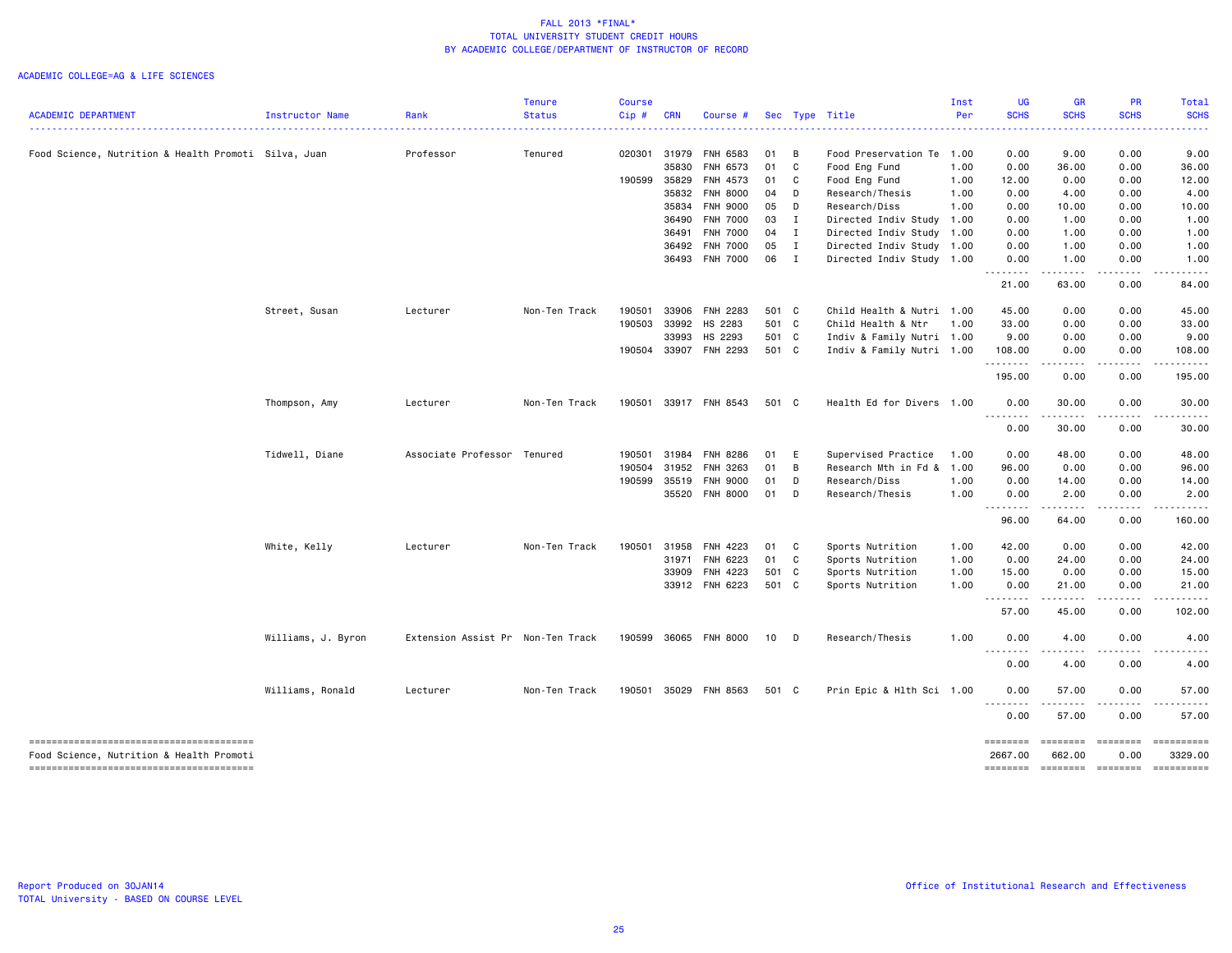|                                                                                    |                    |                                   | <b>Tenure</b> | <b>Course</b> |            |                       |       |                |                           | Inst | <b>UG</b>           | <b>GR</b>          | PR                | Total                                                                                                                                                                                                                                                                                                                                                                                                                                                                                             |
|------------------------------------------------------------------------------------|--------------------|-----------------------------------|---------------|---------------|------------|-----------------------|-------|----------------|---------------------------|------|---------------------|--------------------|-------------------|---------------------------------------------------------------------------------------------------------------------------------------------------------------------------------------------------------------------------------------------------------------------------------------------------------------------------------------------------------------------------------------------------------------------------------------------------------------------------------------------------|
| <b>ACADEMIC DEPARTMENT</b>                                                         | Instructor Name    | Rank<br>.                         | <b>Status</b> | Cip#          | <b>CRN</b> | Course #              |       |                | Sec Type Title            | Per  | <b>SCHS</b>         | <b>SCHS</b>        | <b>SCHS</b>       | <b>SCHS</b>                                                                                                                                                                                                                                                                                                                                                                                                                                                                                       |
| Food Science, Nutrition & Health Promoti Silva, Juan                               |                    | Professor                         | Tenured       | 020301        | 31979      | FNH 6583              | 01 B  |                | Food Preservation Te 1.00 |      | 0.00                | 9.00               | 0.00              | 9.00                                                                                                                                                                                                                                                                                                                                                                                                                                                                                              |
|                                                                                    |                    |                                   |               |               | 35830      | FNH 6573              | 01 C  |                | Food Eng Fund             | 1.00 | 0.00                | 36.00              | 0.00              | 36.00                                                                                                                                                                                                                                                                                                                                                                                                                                                                                             |
|                                                                                    |                    |                                   |               | 190599        | 35829      | FNH 4573              | 01 C  |                | Food Eng Fund             | 1.00 | 12.00               | 0.00               | 0.00              | 12.00                                                                                                                                                                                                                                                                                                                                                                                                                                                                                             |
|                                                                                    |                    |                                   |               |               | 35832      | <b>FNH 8000</b>       | 04    | $\mathsf{D}$   | Research/Thesis           | 1.00 | 0.00                | 4.00               | 0.00              | 4.00                                                                                                                                                                                                                                                                                                                                                                                                                                                                                              |
|                                                                                    |                    |                                   |               |               | 35834      | <b>FNH 9000</b>       | 05    | $\mathsf{D}$   | Research/Diss             | 1.00 | 0.00                | 10.00              | 0.00              | 10.00                                                                                                                                                                                                                                                                                                                                                                                                                                                                                             |
|                                                                                    |                    |                                   |               |               | 36490      | <b>FNH 7000</b>       | 03 I  |                | Directed Indiv Study 1.00 |      | 0.00                | 1.00               | 0.00              | 1.00                                                                                                                                                                                                                                                                                                                                                                                                                                                                                              |
|                                                                                    |                    |                                   |               |               | 36491      | <b>FNH 7000</b>       | 04 I  |                | Directed Indiv Study 1.00 |      | 0.00                | 1.00               | 0.00              | 1.00                                                                                                                                                                                                                                                                                                                                                                                                                                                                                              |
|                                                                                    |                    |                                   |               |               |            | 36492 FNH 7000        | 05    | $\mathbf{I}$   | Directed Indiv Study 1.00 |      | 0.00                | 1.00               | 0.00              | 1.00                                                                                                                                                                                                                                                                                                                                                                                                                                                                                              |
|                                                                                    |                    |                                   |               |               |            | 36493 FNH 7000        | 06 I  |                | Directed Indiv Study 1.00 |      | 0.00<br>.           | 1.00<br>.          | 0.00<br>-----     | 1.00                                                                                                                                                                                                                                                                                                                                                                                                                                                                                              |
|                                                                                    |                    |                                   |               |               |            |                       |       |                |                           |      | 21.00               | 63.00              | 0.00              | 84.00                                                                                                                                                                                                                                                                                                                                                                                                                                                                                             |
|                                                                                    | Street, Susan      | Lecturer                          | Non-Ten Track | 190501        |            | 33906 FNH 2283        | 501 C |                | Child Health & Nutri 1.00 |      | 45.00               | 0.00               | 0.00              | 45.00                                                                                                                                                                                                                                                                                                                                                                                                                                                                                             |
|                                                                                    |                    |                                   |               | 190503        | 33992      | HS 2283               | 501 C |                | Child Health & Ntr        | 1.00 | 33.00               | 0.00               | 0.00              | 33.00                                                                                                                                                                                                                                                                                                                                                                                                                                                                                             |
|                                                                                    |                    |                                   |               |               | 33993      | HS 2293               | 501 C |                | Indiv & Family Nutri 1.00 |      | 9.00                | 0.00               | 0.00              | 9.00                                                                                                                                                                                                                                                                                                                                                                                                                                                                                              |
|                                                                                    |                    |                                   |               | 190504        |            | 33907 FNH 2293        | 501 C |                | Indiv & Family Nutri 1.00 |      | 108.00<br>.         | 0.00<br>.          | 0.00<br>.         | 108.00                                                                                                                                                                                                                                                                                                                                                                                                                                                                                            |
|                                                                                    |                    |                                   |               |               |            |                       |       |                |                           |      | 195.00              | 0.00               | 0.00              | 195.00                                                                                                                                                                                                                                                                                                                                                                                                                                                                                            |
|                                                                                    | Thompson, Amy      | Lecturer                          | Non-Ten Track |               |            | 190501 33917 FNH 8543 | 501 C |                | Health Ed for Divers 1.00 |      | 0.00<br>. <b>.</b>  | 30.00              | 0.00              | 30.00                                                                                                                                                                                                                                                                                                                                                                                                                                                                                             |
|                                                                                    |                    |                                   |               |               |            |                       |       |                |                           |      | 0.00                | 30.00              | 0.00              | 30.00                                                                                                                                                                                                                                                                                                                                                                                                                                                                                             |
|                                                                                    | Tidwell, Diane     | Associate Professor Tenured       |               | 190501        | 31984      | FNH 8286              | 01 E  |                | Supervised Practice       | 1.00 | 0.00                | 48.00              | 0.00              | 48.00                                                                                                                                                                                                                                                                                                                                                                                                                                                                                             |
|                                                                                    |                    |                                   |               | 190504        | 31952      | FNH 3263              | 01    | $\overline{B}$ | Research Mth in Fd & 1.00 |      | 96.00               | 0.00               | 0.00              | 96.00                                                                                                                                                                                                                                                                                                                                                                                                                                                                                             |
|                                                                                    |                    |                                   |               | 190599        | 35519      | <b>FNH 9000</b>       | 01    | D              | Research/Diss             | 1.00 | 0.00                | 14.00              | 0.00              | 14.00                                                                                                                                                                                                                                                                                                                                                                                                                                                                                             |
|                                                                                    |                    |                                   |               |               |            | 35520 FNH 8000        | 01    | $\Box$         | Research/Thesis           | 1.00 | 0.00<br>.           | 2.00               | 0.00<br>----      | 2.00                                                                                                                                                                                                                                                                                                                                                                                                                                                                                              |
|                                                                                    |                    |                                   |               |               |            |                       |       |                |                           |      | 96.00               | 64.00              | 0.00              | 160.00                                                                                                                                                                                                                                                                                                                                                                                                                                                                                            |
|                                                                                    | White, Kelly       | Lecturer                          | Non-Ten Track | 190501        | 31958      | FNH 4223              | 01 C  |                | Sports Nutrition          | 1.00 | 42.00               | 0.00               | 0.00              | 42.00                                                                                                                                                                                                                                                                                                                                                                                                                                                                                             |
|                                                                                    |                    |                                   |               |               | 31971      | FNH 6223              | 01 C  |                | Sports Nutrition          | 1.00 | 0.00                | 24.00              | 0.00              | 24.00                                                                                                                                                                                                                                                                                                                                                                                                                                                                                             |
|                                                                                    |                    |                                   |               |               |            | 33909 FNH 4223        | 501 C |                | Sports Nutrition          | 1.00 | 15.00               | 0.00               | 0.00              | 15.00                                                                                                                                                                                                                                                                                                                                                                                                                                                                                             |
|                                                                                    |                    |                                   |               |               |            | 33912 FNH 6223        | 501 C |                | Sports Nutrition          | 1.00 | 0.00<br>.           | 21.00<br>.         | 0.00<br><u>.</u>  | 21.00                                                                                                                                                                                                                                                                                                                                                                                                                                                                                             |
|                                                                                    |                    |                                   |               |               |            |                       |       |                |                           |      | 57.00               | 45.00              | 0.00              | 102.00                                                                                                                                                                                                                                                                                                                                                                                                                                                                                            |
|                                                                                    | Williams, J. Byron | Extension Assist Pr Non-Ten Track |               |               |            | 190599 36065 FNH 8000 | 10 D  |                | Research/Thesis           | 1.00 | 0.00<br>.           | 4.00               | 0.00              | 4.00                                                                                                                                                                                                                                                                                                                                                                                                                                                                                              |
|                                                                                    |                    |                                   |               |               |            |                       |       |                |                           |      | 0.00                | $  -$<br>4.00      | 0.00              | 4.00                                                                                                                                                                                                                                                                                                                                                                                                                                                                                              |
|                                                                                    | Williams, Ronald   | Lecturer                          | Non-Ten Track | 190501        |            | 35029 FNH 8563        | 501 C |                | Prin Epic & Hlth Sci 1.00 |      | 0.00                | 57.00              | 0.00              | 57.00                                                                                                                                                                                                                                                                                                                                                                                                                                                                                             |
|                                                                                    |                    |                                   |               |               |            |                       |       |                |                           |      | .<br>0.00           | 57.00              | 0.00              | 57.00                                                                                                                                                                                                                                                                                                                                                                                                                                                                                             |
| --------------------------------------<br>Food Science, Nutrition & Health Promoti |                    |                                   |               |               |            |                       |       |                |                           |      | ========<br>2667.00 | ========<br>662.00 | ========<br>0.00  | $\begin{array}{cccccccccc} \multicolumn{2}{c}{} & \multicolumn{2}{c}{} & \multicolumn{2}{c}{} & \multicolumn{2}{c}{} & \multicolumn{2}{c}{} & \multicolumn{2}{c}{} & \multicolumn{2}{c}{} & \multicolumn{2}{c}{} & \multicolumn{2}{c}{} & \multicolumn{2}{c}{} & \multicolumn{2}{c}{} & \multicolumn{2}{c}{} & \multicolumn{2}{c}{} & \multicolumn{2}{c}{} & \multicolumn{2}{c}{} & \multicolumn{2}{c}{} & \multicolumn{2}{c}{} & \multicolumn{2}{c}{} & \multicolumn{2}{c}{} & \mult$<br>3329.00 |
| --------------------------------------                                             |                    |                                   |               |               |            |                       |       |                |                           |      | ========            |                    | --------- ------- |                                                                                                                                                                                                                                                                                                                                                                                                                                                                                                   |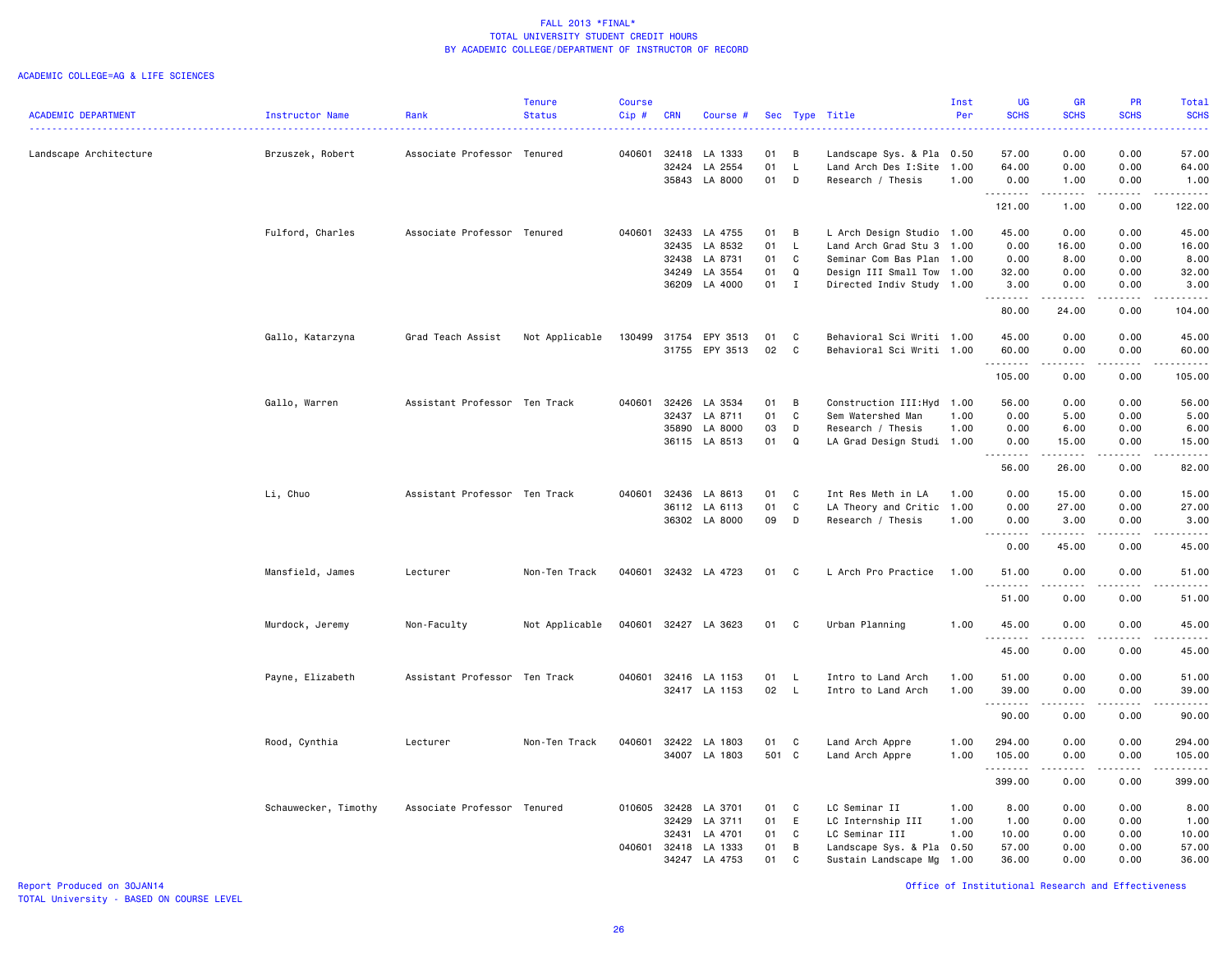#### ACADEMIC COLLEGE=AG & LIFE SCIENCES

|                            |                      |                               | <b>Tenure</b>  | <b>Course</b> |            |                      |       |              |                            | Inst | <b>UG</b>         | <b>GR</b>                                                                                                                                                    | <b>PR</b>             | Total              |
|----------------------------|----------------------|-------------------------------|----------------|---------------|------------|----------------------|-------|--------------|----------------------------|------|-------------------|--------------------------------------------------------------------------------------------------------------------------------------------------------------|-----------------------|--------------------|
| <b>ACADEMIC DEPARTMENT</b> | Instructor Name      | Rank                          | <b>Status</b>  | Cip#          | <b>CRN</b> | Course #             |       |              | Sec Type Title             | Per  | <b>SCHS</b>       | <b>SCHS</b>                                                                                                                                                  | <b>SCHS</b>           | <b>SCHS</b>        |
| Landscape Architecture     | Brzuszek, Robert     | Associate Professor Tenured   |                |               |            | 040601 32418 LA 1333 | 01    | B            | Landscape Sys. & Pla 0.50  |      | 57.00             | 0.00                                                                                                                                                         | 0.00                  | 57.00              |
|                            |                      |                               |                |               | 32424      | LA 2554              | 01    | L            | Land Arch Des I:Site       | 1.00 | 64.00             | 0.00                                                                                                                                                         | 0.00                  | 64.00              |
|                            |                      |                               |                |               |            | 35843 LA 8000        | 01    | D            | Research / Thesis          | 1.00 | 0.00              | 1.00                                                                                                                                                         | 0.00                  | 1.00               |
|                            |                      |                               |                |               |            |                      |       |              |                            |      | .<br>121.00       | $\frac{1}{2} \left( \frac{1}{2} \right) \left( \frac{1}{2} \right) \left( \frac{1}{2} \right) \left( \frac{1}{2} \right) \left( \frac{1}{2} \right)$<br>1.00 | .<br>0.00             | <u>.</u><br>122.00 |
|                            |                      |                               |                |               |            |                      |       |              |                            |      |                   |                                                                                                                                                              |                       |                    |
|                            | Fulford, Charles     | Associate Professor Tenured   |                | 040601        | 32433      | LA 4755              | 01    | B            | L Arch Design Studio 1.00  |      | 45.00             | 0.00                                                                                                                                                         | 0.00                  | 45.00              |
|                            |                      |                               |                |               | 32435      | LA 8532              | 01    | $\mathsf{L}$ | Land Arch Grad Stu 3       | 1.00 | 0.00              | 16.00                                                                                                                                                        | 0.00                  | 16.00              |
|                            |                      |                               |                |               | 32438      | LA 8731              | 01    | C            | Seminar Com Bas Plan       | 1.00 | 0.00              | 8.00                                                                                                                                                         | 0.00                  | 8.00               |
|                            |                      |                               |                |               | 34249      | LA 3554              | 01    | $\Omega$     | Design III Small Tow 1.00  |      | 32.00             | 0.00                                                                                                                                                         | 0.00                  | 32.00              |
|                            |                      |                               |                |               |            | 36209 LA 4000        | 01    | $\mathbf{I}$ | Directed Indiv Study 1.00  |      | 3.00<br>.         | 0.00                                                                                                                                                         | 0.00<br>$\frac{1}{2}$ | 3.00<br>المتحدث    |
|                            |                      |                               |                |               |            |                      |       |              |                            |      | 80.00             | 24.00                                                                                                                                                        | 0.00                  | 104.00             |
|                            | Gallo, Katarzyna     | Grad Teach Assist             | Not Applicable | 130499        | 31754      | EPY 3513             | 01    | C            | Behavioral Sci Writi 1.00  |      | 45.00             | 0.00                                                                                                                                                         | 0.00                  | 45.00              |
|                            |                      |                               |                |               |            | 31755 EPY 3513       | 02    | C            | Behavioral Sci Writi 1.00  |      | 60.00             | 0.00                                                                                                                                                         | 0.00                  | 60.00              |
|                            |                      |                               |                |               |            |                      |       |              |                            |      | .                 | $\frac{1}{2} \left( \frac{1}{2} \right) \left( \frac{1}{2} \right) \left( \frac{1}{2} \right) \left( \frac{1}{2} \right) \left( \frac{1}{2} \right)$         | .                     | .                  |
|                            |                      |                               |                |               |            |                      |       |              |                            |      | 105.00            | 0.00                                                                                                                                                         | 0.00                  | 105.00             |
|                            | Gallo, Warren        | Assistant Professor Ten Track |                | 040601        | 32426      | LA 3534              | 01    | B            | Construction III: Hyd 1.00 |      | 56.00             | 0.00                                                                                                                                                         | 0.00                  | 56.00              |
|                            |                      |                               |                |               | 32437      | LA 8711              | 01    | C            | Sem Watershed Man          | 1.00 | 0.00              | 5.00                                                                                                                                                         | 0.00                  | 5.00               |
|                            |                      |                               |                |               | 35890      | LA 8000              | 03    | D            | Research / Thesis          | 1.00 | 0.00              | 6.00                                                                                                                                                         | 0.00                  | 6.00               |
|                            |                      |                               |                |               |            | 36115 LA 8513        | 01    | Q            | LA Grad Design Studi 1.00  |      | 0.00              | 15.00                                                                                                                                                        | 0.00                  | 15.00              |
|                            |                      |                               |                |               |            |                      |       |              |                            |      | <u>.</u><br>56.00 | ------<br>26.00                                                                                                                                              | .<br>0.00             | .<br>82.00         |
|                            |                      |                               |                |               |            |                      |       |              |                            |      |                   |                                                                                                                                                              |                       |                    |
|                            | Li, Chuo             | Assistant Professor Ten Track |                | 040601        | 32436      | LA 8613              | 01    | C            | Int Res Meth in LA         | 1.00 | 0.00              | 15.00                                                                                                                                                        | 0.00                  | 15.00              |
|                            |                      |                               |                |               | 36112      | LA 6113              | 01    | C            | LA Theory and Critic       | 1.00 | 0.00              | 27.00                                                                                                                                                        | 0.00                  | 27.00              |
|                            |                      |                               |                |               |            | 36302 LA 8000        | 09    | D            | Research / Thesis          | 1.00 | 0.00<br>.         | 3.00<br>.                                                                                                                                                    | 0.00<br>.             | 3.00<br>.          |
|                            |                      |                               |                |               |            |                      |       |              |                            |      | 0.00              | 45.00                                                                                                                                                        | 0.00                  | 45.00              |
|                            | Mansfield, James     | Lecturer                      | Non-Ten Track  |               |            | 040601 32432 LA 4723 | 01    | C            | L Arch Pro Practice        | 1.00 | 51.00             | 0.00<br>.                                                                                                                                                    | 0.00<br>.             | 51.00<br>.         |
|                            |                      |                               |                |               |            |                      |       |              |                            |      | 51.00             | 0.00                                                                                                                                                         | 0.00                  | 51.00              |
|                            | Murdock, Jeremy      | Non-Faculty                   | Not Applicable |               |            | 040601 32427 LA 3623 | 01    | C            | Urban Planning             | 1.00 | 45.00             | 0.00                                                                                                                                                         | 0.00                  | 45.00              |
|                            |                      |                               |                |               |            |                      |       |              |                            |      | . <b>.</b>        | .                                                                                                                                                            | .                     | .                  |
|                            |                      |                               |                |               |            |                      |       |              |                            |      | 45.00             | 0.00                                                                                                                                                         | 0.00                  | 45.00              |
|                            | Payne, Elizabeth     | Assistant Professor Ten Track |                | 040601        | 32416      | LA 1153              | 01    | L.           | Intro to Land Arch         | 1.00 | 51.00             | 0.00                                                                                                                                                         | 0.00                  | 51.00              |
|                            |                      |                               |                |               |            | 32417 LA 1153        | 02    | $\mathsf L$  | Intro to Land Arch         | 1.00 | 39.00             | 0.00                                                                                                                                                         | 0.00                  | 39.00              |
|                            |                      |                               |                |               |            |                      |       |              |                            |      | .<br>90.00        | -----<br>0.00                                                                                                                                                | -----<br>0.00         | .<br>90.00         |
|                            |                      |                               |                |               |            |                      |       |              |                            |      |                   |                                                                                                                                                              |                       |                    |
|                            | Rood, Cynthia        | Lecturer                      | Non-Ten Track  | 040601        |            | 32422 LA 1803        | 01    | C            | Land Arch Appre            | 1.00 | 294.00            | 0.00                                                                                                                                                         | 0.00                  | 294.00             |
|                            |                      |                               |                |               | 34007      | LA 1803              | 501 C |              | Land Arch Appre            | 1.00 | 105.00<br>.       | 0.00                                                                                                                                                         | 0.00                  | 105.00             |
|                            |                      |                               |                |               |            |                      |       |              |                            |      | 399.00            | 0.00                                                                                                                                                         | 0.00                  | 399.00             |
|                            | Schauwecker, Timothy | Associate Professor Tenured   |                | 010605        | 32428      | LA 3701              | 01    | C            | LC Seminar II              | 1.00 | 8.00              | 0.00                                                                                                                                                         | 0.00                  | 8.00               |
|                            |                      |                               |                |               | 32429      | LA 3711              | 01    | E            | LC Internship III          | 1.00 | 1.00              | 0.00                                                                                                                                                         | 0.00                  | 1.00               |
|                            |                      |                               |                |               | 32431      | LA 4701              | 01    | C            | LC Seminar III             | 1.00 | 10.00             | 0.00                                                                                                                                                         | 0.00                  | 10.00              |
|                            |                      |                               |                | 040601        | 32418      | LA 1333              | 01    | B            | Landscape Sys. & Pla 0.50  |      | 57.00             | 0.00                                                                                                                                                         | 0.00                  | 57.00              |
|                            |                      |                               |                |               | 34247      | LA 4753              | 01    | $\mathbb C$  | Sustain Landscape Mg       | 1.00 | 36.00             | 0.00                                                                                                                                                         | 0.00                  | 36.00              |
|                            |                      |                               |                |               |            |                      |       |              |                            |      |                   |                                                                                                                                                              |                       |                    |

Report Produced on 30JAN14 Office of Institutional Research and Effectiveness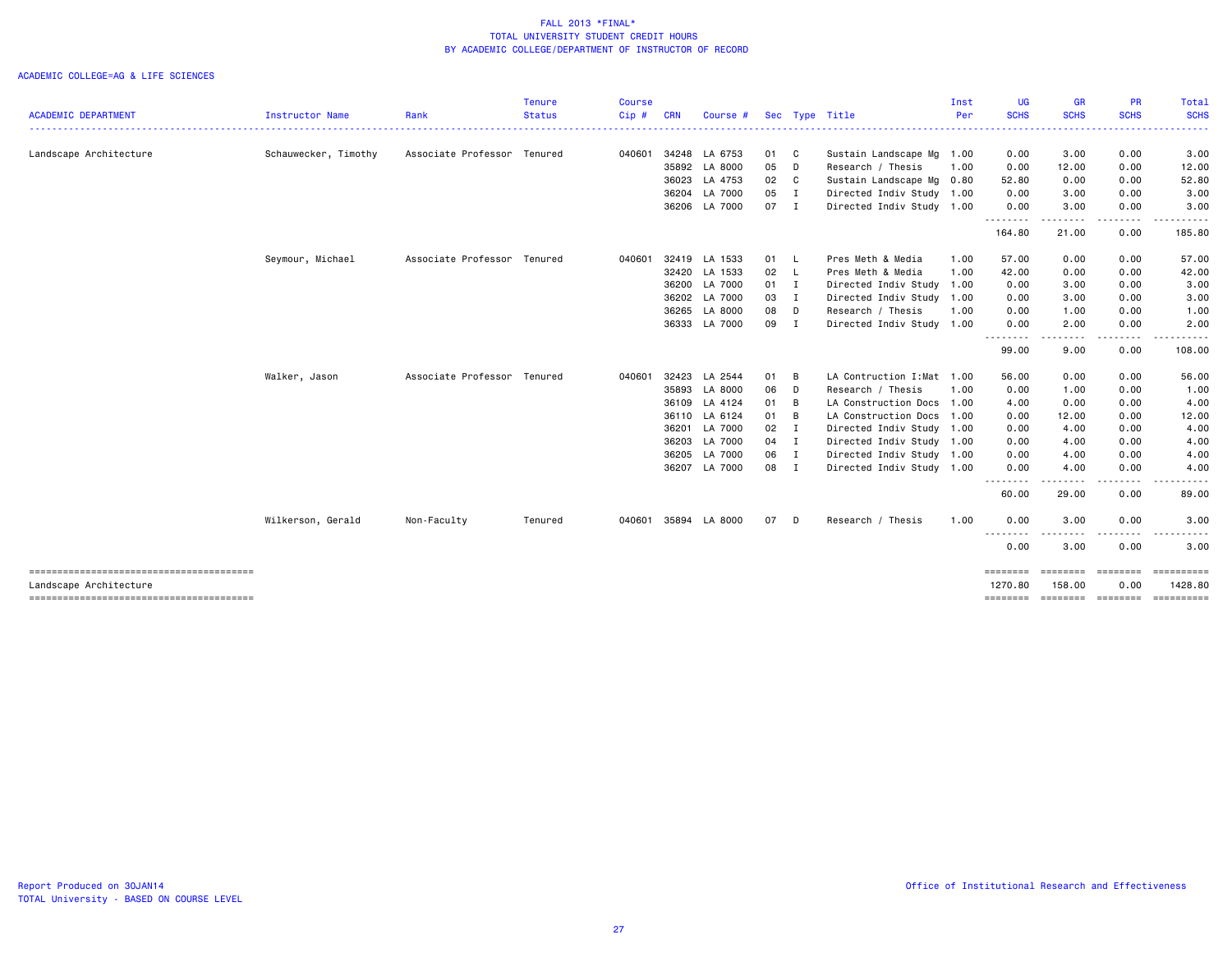|                                                                  |                        |                             | <b>Tenure</b> | Course |            |               |        |                |                            | Inst | <b>UG</b>           | <b>GR</b>            | <b>PR</b>                                                                                                               | Total                 |
|------------------------------------------------------------------|------------------------|-----------------------------|---------------|--------|------------|---------------|--------|----------------|----------------------------|------|---------------------|----------------------|-------------------------------------------------------------------------------------------------------------------------|-----------------------|
| <b>ACADEMIC DEPARTMENT</b>                                       | <b>Instructor Name</b> | Rank                        | <b>Status</b> | Cip #  | <b>CRN</b> | Course #      |        |                | Sec Type Title             | Per  | <b>SCHS</b><br>.    | <b>SCHS</b><br>----- | <b>SCHS</b>                                                                                                             | <b>SCHS</b>           |
| Landscape Architecture                                           | Schauwecker, Timothy   | Associate Professor Tenured |               | 040601 |            | 34248 LA 6753 | 01 C   |                | Sustain Landscape Mg       | 1.00 | 0.00                | 3.00                 | 0.00                                                                                                                    | 3.00                  |
|                                                                  |                        |                             |               |        | 35892      | LA 8000       | 05     | D              | Research / Thesis          | 1.00 | 0.00                | 12.00                | 0.00                                                                                                                    | 12.00                 |
|                                                                  |                        |                             |               |        | 36023      | LA 4753       | 02     | C              | Sustain Landscape Mg       | 0.80 | 52.80               | 0.00                 | 0.00                                                                                                                    | 52.80                 |
|                                                                  |                        |                             |               |        |            | 36204 LA 7000 | 05     | $\blacksquare$ | Directed Indiv Study 1.00  |      | 0.00                | 3.00                 | 0.00                                                                                                                    | 3.00                  |
|                                                                  |                        |                             |               |        |            | 36206 LA 7000 | 07 I   |                | Directed Indiv Study 1.00  |      | 0.00<br>--------    | 3.00<br>.            | 0.00<br>$\begin{array}{cccccccccccccc} \bullet & \bullet & \bullet & \bullet & \bullet & \bullet & \bullet \end{array}$ | 3.00                  |
|                                                                  |                        |                             |               |        |            |               |        |                |                            |      | 164.80              | 21.00                | 0.00                                                                                                                    | 185.80                |
|                                                                  | Seymour, Michael       | Associate Professor Tenured |               | 040601 |            | 32419 LA 1533 | 01 L   |                | Pres Meth & Media          | 1.00 | 57.00               | 0.00                 | 0.00                                                                                                                    | 57.00                 |
|                                                                  |                        |                             |               |        | 32420      | LA 1533       | 02 L   |                | Pres Meth & Media          | 1.00 | 42.00               | 0.00                 | 0.00                                                                                                                    | 42.00                 |
|                                                                  |                        |                             |               |        | 36200      | LA 7000       | $01$ I |                | Directed Indiv Study       | 1.00 | 0.00                | 3.00                 | 0.00                                                                                                                    | 3.00                  |
|                                                                  |                        |                             |               |        |            | 36202 LA 7000 | 03     | $\blacksquare$ | Directed Indiv Study       | 1.00 | 0.00                | 3.00                 | 0.00                                                                                                                    | 3.00                  |
|                                                                  |                        |                             |               |        | 36265      | LA 8000       | 08     | D              | Research / Thesis          | 1.00 | 0.00                | 1.00                 | 0.00                                                                                                                    | 1.00                  |
|                                                                  |                        |                             |               |        |            | 36333 LA 7000 | 09     | $\mathbf I$    | Directed Indiv Study 1.00  |      | 0.00<br>.           | 2.00<br>.            | 0.00                                                                                                                    | 2.00                  |
|                                                                  |                        |                             |               |        |            |               |        |                |                            |      | 99.00               | 9.00                 | 0.00                                                                                                                    | 108.00                |
|                                                                  | Walker, Jason          | Associate Professor Tenured |               | 040601 | 32423      | LA 2544       | 01     | B              | LA Contruction I: Mat 1.00 |      | 56.00               | 0.00                 | 0.00                                                                                                                    | 56.00                 |
|                                                                  |                        |                             |               |        | 35893      | LA 8000       | 06     | D              | Research / Thesis          | 1.00 | 0.00                | 1.00                 | 0.00                                                                                                                    | 1.00                  |
|                                                                  |                        |                             |               |        |            | 36109 LA 4124 | 01 B   |                | LA Construction Docs       | 1.00 | 4.00                | 0.00                 | 0.00                                                                                                                    | 4.00                  |
|                                                                  |                        |                             |               |        |            | 36110 LA 6124 | 01     | B              | LA Construction Docs       | 1.00 | 0.00                | 12.00                | 0.00                                                                                                                    | 12.00                 |
|                                                                  |                        |                             |               |        | 36201      | LA 7000       | 02     | I              | Directed Indiv Study       | 1.00 | 0.00                | 4.00                 | 0.00                                                                                                                    | 4.00                  |
|                                                                  |                        |                             |               |        |            | 36203 LA 7000 | 04 I   |                | Directed Indiv Study       | 1.00 | 0.00                | 4.00                 | 0.00                                                                                                                    | 4.00                  |
|                                                                  |                        |                             |               |        |            | 36205 LA 7000 | 06 I   |                | Directed Indiv Study       | 1.00 | 0.00                | 4.00                 | 0.00                                                                                                                    | 4.00                  |
|                                                                  |                        |                             |               |        |            | 36207 LA 7000 | 08 I   |                | Directed Indiv Study 1.00  |      | 0.00<br>$\cdots$    | 4.00<br>---          | 0.00                                                                                                                    | 4.00                  |
|                                                                  |                        |                             |               |        |            |               |        |                |                            |      | 60.00               | 29.00                | 0.00                                                                                                                    | 89.00                 |
|                                                                  | Wilkerson, Gerald      | Non-Faculty                 | Tenured       | 040601 |            | 35894 LA 8000 | 07     | D              | Research / Thesis          | 1.00 | 0.00                | 3.00                 | 0.00                                                                                                                    | 3.00                  |
|                                                                  |                        |                             |               |        |            |               |        |                |                            |      | <u>.</u><br>0.00    | - - -<br>3.00        | . <u>. .</u><br>0.00                                                                                                    | 3.00                  |
| --------------------------------------<br>Landscape Architecture |                        |                             |               |        |            |               |        |                |                            |      | ========<br>1270.80 | ========<br>158.00   | ========<br>0.00                                                                                                        | ==========<br>1428.80 |
|                                                                  |                        |                             |               |        |            |               |        |                |                            |      |                     |                      |                                                                                                                         | -----------           |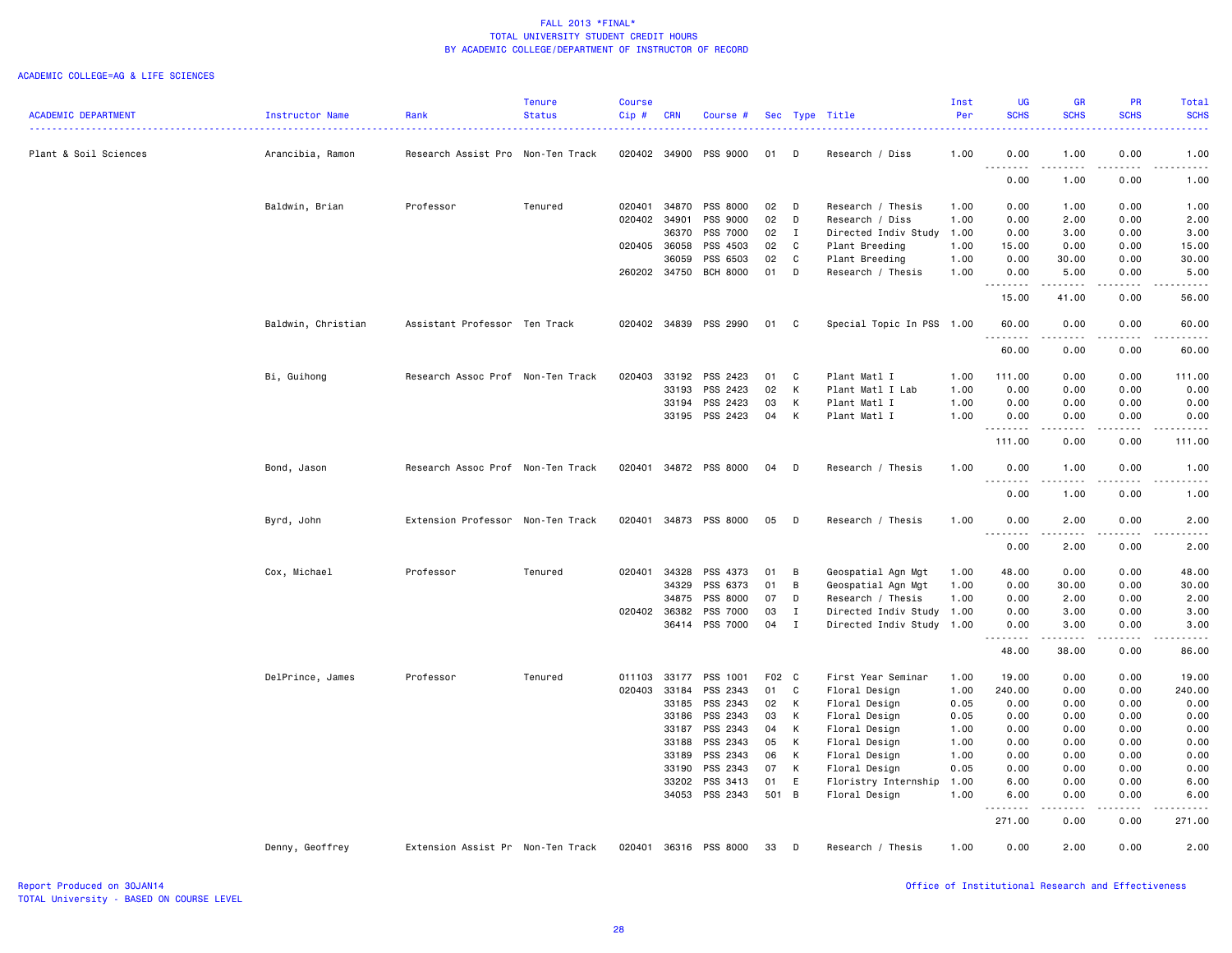|                            |                    |                                   | <b>Tenure</b> | <b>Course</b> |              |                       |       |              |                           | Inst | <b>UG</b>          | <b>GR</b>                                                                                                                                                    | PR                    | Total               |
|----------------------------|--------------------|-----------------------------------|---------------|---------------|--------------|-----------------------|-------|--------------|---------------------------|------|--------------------|--------------------------------------------------------------------------------------------------------------------------------------------------------------|-----------------------|---------------------|
| <b>ACADEMIC DEPARTMENT</b> | Instructor Name    | Rank                              | <b>Status</b> | Cip#          | <b>CRN</b>   | Course #              |       |              | Sec Type Title            | Per  | <b>SCHS</b>        | <b>SCHS</b>                                                                                                                                                  | <b>SCHS</b>           | <b>SCHS</b>         |
| Plant & Soil Sciences      | Arancibia, Ramon   | Research Assist Pro Non-Ten Track |               |               | 020402 34900 | PSS 9000              | 01    | D            | Research / Diss           | 1.00 | 0.00               | 1.00                                                                                                                                                         | 0.00                  | 1.00                |
|                            |                    |                                   |               |               |              |                       |       |              |                           |      | 0.00               | 1.00                                                                                                                                                         | 0.00                  | 1.00                |
|                            | Baldwin, Brian     | Professor                         | Tenured       | 020401        | 34870        | PSS 8000              | 02    | D            | Research / Thesis         | 1.00 | 0.00               | 1.00                                                                                                                                                         | 0.00                  | 1.00                |
|                            |                    |                                   |               | 020402        | 34901        | PSS 9000              | 02    | D            | Research / Diss           | 1.00 | 0.00               | 2.00                                                                                                                                                         | 0.00                  | 2.00                |
|                            |                    |                                   |               |               | 36370        | PSS 7000              | 02    | $\mathbf{I}$ | Directed Indiv Study      | 1.00 | 0.00               | 3.00                                                                                                                                                         | 0.00                  | 3.00                |
|                            |                    |                                   |               | 020405        | 36058        | PSS 4503              | 02    | C            | Plant Breeding            | 1.00 | 15.00              | 0.00                                                                                                                                                         | 0.00                  | 15.00               |
|                            |                    |                                   |               |               | 36059        | PSS 6503              | 02    | C            | Plant Breeding            | 1.00 | 0.00               | 30.00                                                                                                                                                        | 0.00                  | 30.00               |
|                            |                    |                                   |               |               | 260202 34750 | <b>BCH 8000</b>       | 01    | D            | Research / Thesis         | 1.00 | 0.00<br>-----      | 5.00<br>.                                                                                                                                                    | 0.00<br>.             | 5.00<br>.           |
|                            |                    |                                   |               |               |              |                       |       |              |                           |      | 15.00              | 41.00                                                                                                                                                        | 0.00                  | 56.00               |
|                            | Baldwin, Christian | Assistant Professor Ten Track     |               |               |              | 020402 34839 PSS 2990 | 01    | C.           | Special Topic In PSS 1.00 |      | 60.00<br>.         | 0.00<br>.                                                                                                                                                    | 0.00<br>.             | 60.00<br>.          |
|                            |                    |                                   |               |               |              |                       |       |              |                           |      | 60.00              | 0.00                                                                                                                                                         | 0.00                  | 60.00               |
|                            | Bi, Guihong        | Research Assoc Prof Non-Ten Track |               | 020403        | 33192        | PSS 2423              | 01    | C            | Plant Matl I              | 1.00 | 111.00             | 0.00                                                                                                                                                         | 0.00                  | 111.00              |
|                            |                    |                                   |               |               | 33193        | PSS 2423              | 02    | K            | Plant Matl I Lab          | 1.00 | 0.00               | 0.00                                                                                                                                                         | 0.00                  | 0.00                |
|                            |                    |                                   |               |               | 33194        | PSS 2423              | 03    | К            | Plant Matl I              | 1.00 | 0.00               | 0.00                                                                                                                                                         | 0.00                  | 0.00                |
|                            |                    |                                   |               |               | 33195        | PSS 2423              | 04    | К            | Plant Matl I              | 1.00 | 0.00<br>.          | 0.00<br>$\frac{1}{2} \left( \frac{1}{2} \right) \left( \frac{1}{2} \right) \left( \frac{1}{2} \right) \left( \frac{1}{2} \right) \left( \frac{1}{2} \right)$ | 0.00<br>.             | 0.00<br>.           |
|                            |                    |                                   |               |               |              |                       |       |              |                           |      | 111.00             | 0.00                                                                                                                                                         | 0.00                  | 111.00              |
|                            | Bond, Jason        | Research Assoc Prof Non-Ten Track |               | 020401        |              | 34872 PSS 8000        | 04    | D            | Research / Thesis         | 1.00 | 0.00<br>.<br>$  -$ | 1.00<br>-----                                                                                                                                                | 0.00<br>$- - - -$     | 1.00<br>$- - - - -$ |
|                            |                    |                                   |               |               |              |                       |       |              |                           |      | 0.00               | 1.00                                                                                                                                                         | 0.00                  | 1.00                |
|                            | Byrd, John         | Extension Professor Non-Ten Track |               | 020401        | 34873        | PSS 8000              | 05    | D            | Research / Thesis         | 1.00 | 0.00<br>.          | 2.00                                                                                                                                                         | 0.00                  | 2.00<br>.           |
|                            |                    |                                   |               |               |              |                       |       |              |                           |      | 0.00               | 2.00                                                                                                                                                         | 0.00                  | 2.00                |
|                            | Cox, Michael       | Professor                         | Tenured       | 020401        | 34328        | PSS 4373              | 01    | B            | Geospatial Agn Mgt        | 1.00 | 48.00              | 0.00                                                                                                                                                         | 0.00                  | 48.00               |
|                            |                    |                                   |               |               | 34329        | PSS 6373              | 01    | B            | Geospatial Agn Mgt        | 1.00 | 0.00               | 30.00                                                                                                                                                        | 0.00                  | 30.00               |
|                            |                    |                                   |               |               | 34875        | PSS 8000              | 07    | D            | Research / Thesis         | 1.00 | 0.00               | 2.00                                                                                                                                                         | 0.00                  | 2.00                |
|                            |                    |                                   |               | 020402 36382  |              | PSS 7000              | 03    | Ι.           | Directed Indiv Study      | 1.00 | 0.00               | 3.00                                                                                                                                                         | 0.00                  | 3.00                |
|                            |                    |                                   |               |               |              | 36414 PSS 7000        | 04    | $\mathbf{I}$ | Directed Indiv Study 1.00 |      | 0.00<br><u>.</u>   | 3.00<br>$- - - - -$                                                                                                                                          | 0.00<br>$\frac{1}{2}$ | 3.00<br>.           |
|                            |                    |                                   |               |               |              |                       |       |              |                           |      | 48.00              | 38.00                                                                                                                                                        | 0.00                  | 86.00               |
|                            | DelPrince, James   | Professor                         | Tenured       |               | 011103 33177 | PSS 1001              | F02 C |              | First Year Seminar        | 1.00 | 19.00              | 0.00                                                                                                                                                         | 0.00                  | 19.00               |
|                            |                    |                                   |               |               | 020403 33184 | PSS 2343              | 01    | C            | Floral Design             | 1.00 | 240.00             | 0.00                                                                                                                                                         | 0.00                  | 240.00              |
|                            |                    |                                   |               |               | 33185        | PSS 2343              | 02    | K            | Floral Design             | 0.05 | 0.00               | 0.00                                                                                                                                                         | 0.00                  | 0.00                |
|                            |                    |                                   |               |               | 33186        | PSS 2343              | 03    | K            | Floral Design             | 0.05 | 0.00               | 0.00                                                                                                                                                         | 0.00                  | 0.00                |
|                            |                    |                                   |               |               | 33187        | PSS 2343              | 04    | K            | Floral Design             | 1.00 | 0.00               | 0.00                                                                                                                                                         | 0.00                  | 0.00                |
|                            |                    |                                   |               |               | 33188        | PSS 2343              | 05    | K            | Floral Design             | 1.00 | 0.00               | 0.00                                                                                                                                                         | 0.00                  | 0.00                |
|                            |                    |                                   |               |               | 33189        | PSS 2343              | 06    | K            | Floral Design             | 1.00 | 0.00               | 0.00                                                                                                                                                         | 0.00                  | 0.00                |
|                            |                    |                                   |               |               | 33190        | PSS 2343              | 07    | K            | Floral Design             | 0.05 | 0.00               | 0.00                                                                                                                                                         | 0.00                  | 0.00                |
|                            |                    |                                   |               |               | 33202        | PSS 3413              | 01    | E            | Floristry Internship      | 1.00 | 6.00               | 0.00                                                                                                                                                         | 0.00                  | 6.00                |
|                            |                    |                                   |               |               | 34053        | PSS 2343              | 501 B |              | Floral Design             | 1.00 | 6.00               | 0.00                                                                                                                                                         | 0.00                  | 6.00                |
|                            |                    |                                   |               |               |              |                       |       |              |                           |      | 271.00             | 0.00                                                                                                                                                         | 0.00                  | 271.00              |
|                            | Denny, Geoffrey    | Extension Assist Pr Non-Ten Track |               | 020401        |              | 36316 PSS 8000        | 33    | D            | Research / Thesis         | 1.00 | 0.00               | 2.00                                                                                                                                                         | 0.00                  | 2.00                |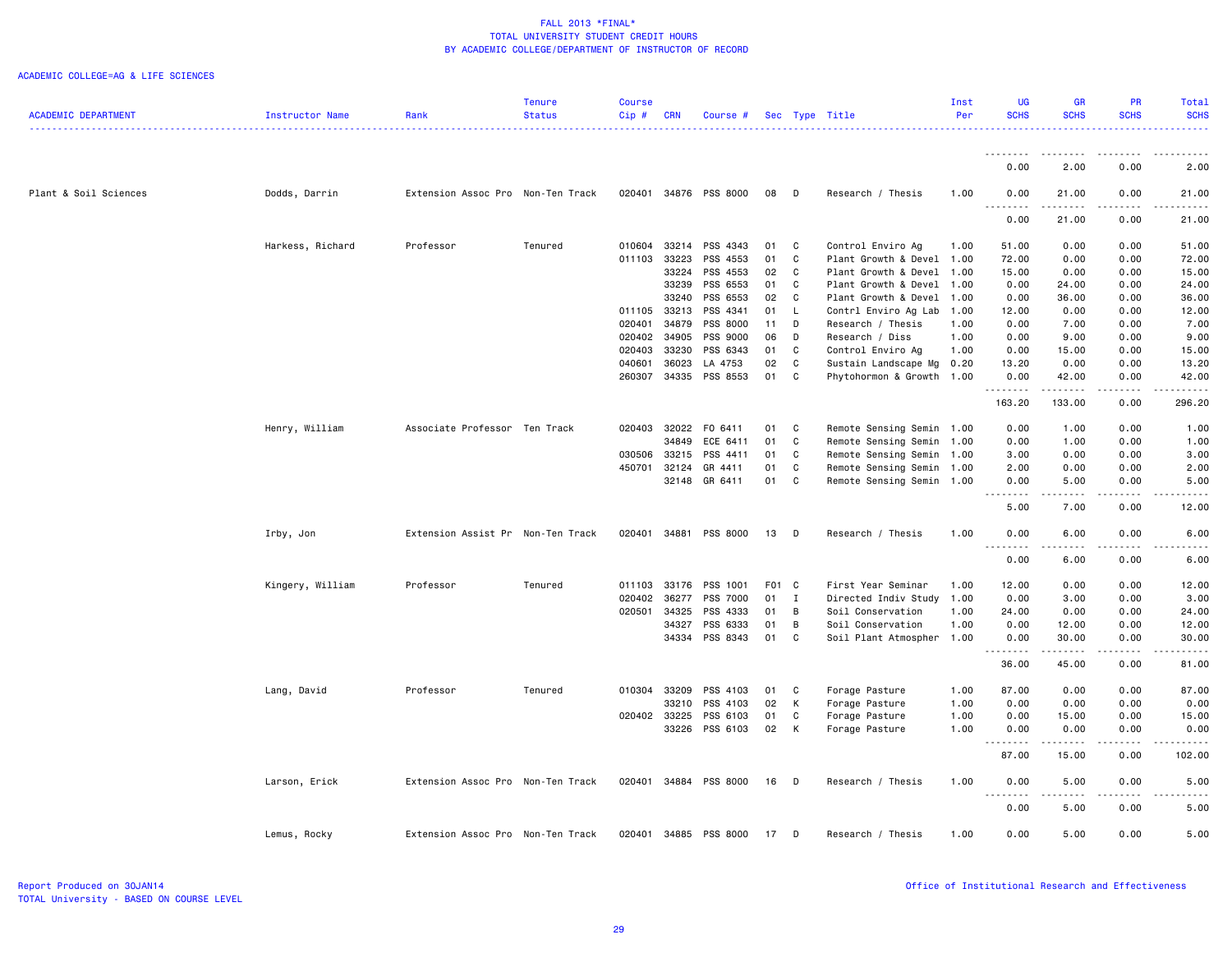|                            |                  |                                   | <b>Tenure</b> | <b>Course</b>    |                |                       |          |              |                                           | Inst         | <b>UG</b>     | <b>GR</b>                                                                                                                                            | <b>PR</b>    | Total         |
|----------------------------|------------------|-----------------------------------|---------------|------------------|----------------|-----------------------|----------|--------------|-------------------------------------------|--------------|---------------|------------------------------------------------------------------------------------------------------------------------------------------------------|--------------|---------------|
| <b>ACADEMIC DEPARTMENT</b> | Instructor Name  | Rank                              | <b>Status</b> | Cip#             | <b>CRN</b>     | Course #              |          |              | Sec Type Title                            | Per          | <b>SCHS</b>   | <b>SCHS</b>                                                                                                                                          | <b>SCHS</b>  | <b>SCHS</b>   |
|                            |                  |                                   |               |                  |                |                       |          |              |                                           |              |               |                                                                                                                                                      |              |               |
|                            |                  |                                   |               |                  |                |                       |          |              |                                           |              | <u>.</u>      | .                                                                                                                                                    |              |               |
|                            |                  |                                   |               |                  |                |                       |          |              |                                           |              | 0.00          | 2.00                                                                                                                                                 | 0.00         | 2.00          |
|                            |                  |                                   |               |                  |                |                       |          |              |                                           |              |               |                                                                                                                                                      |              |               |
| Plant & Soil Sciences      | Dodds, Darrin    | Extension Assoc Pro Non-Ten Track |               |                  |                | 020401 34876 PSS 8000 | 08       | D            | Research / Thesis                         | 1.00         | 0.00          | 21.00                                                                                                                                                | 0.00         | 21.00         |
|                            |                  |                                   |               |                  |                |                       |          |              |                                           |              | <u>.</u>      | .                                                                                                                                                    | .            | .             |
|                            |                  |                                   |               |                  |                |                       |          |              |                                           |              | 0.00          | 21.00                                                                                                                                                | 0.00         | 21.00         |
|                            |                  |                                   |               |                  |                |                       |          |              |                                           |              |               |                                                                                                                                                      |              |               |
|                            | Harkess, Richard | Professor                         | Tenured       | 010604           | 33214          | PSS 4343              | 01       | C            | Control Enviro Ag                         | 1.00         | 51.00         | 0.00                                                                                                                                                 | 0.00         | 51.00         |
|                            |                  |                                   |               | 011103           | 33223          | PSS 4553              | 01       | C            | Plant Growth & Devel                      | 1.00         | 72.00         | 0.00                                                                                                                                                 | 0.00         | 72.00         |
|                            |                  |                                   |               |                  | 33224          | PSS 4553              | 02       | C            | Plant Growth & Devel                      | 1.00         | 15.00         | 0.00                                                                                                                                                 | 0.00         | 15.00         |
|                            |                  |                                   |               |                  | 33239          | PSS 6553              | 01       | C            | Plant Growth & Devel                      | 1.00         | 0.00          | 24.00                                                                                                                                                | 0.00         | 24.00         |
|                            |                  |                                   |               |                  | 33240          | PSS 6553              | 02       | C            | Plant Growth & Devel                      | 1.00         | 0.00          | 36.00                                                                                                                                                | 0.00         | 36.00         |
|                            |                  |                                   |               | 011105<br>020401 | 33213<br>34879 | PSS 4341<br>PSS 8000  | 01<br>11 | L.<br>D      | Contrl Enviro Ag Lab<br>Research / Thesis | 1.00<br>1.00 | 12.00<br>0.00 | 0.00<br>7.00                                                                                                                                         | 0.00<br>0.00 | 12.00<br>7.00 |
|                            |                  |                                   |               | 020402           | 34905          | PSS 9000              | 06       | D            | Research / Diss                           | 1.00         | 0.00          | 9.00                                                                                                                                                 | 0.00         | 9.00          |
|                            |                  |                                   |               | 020403           | 33230          | PSS 6343              | 01       | C            | Control Enviro Ag                         | 1.00         | 0.00          | 15.00                                                                                                                                                | 0.00         | 15.00         |
|                            |                  |                                   |               | 040601           | 36023          | LA 4753               | 02       | C            | Sustain Landscape Mg                      | 0.20         | 13.20         | 0.00                                                                                                                                                 | 0.00         | 13.20         |
|                            |                  |                                   |               | 260307           | 34335          | PSS 8553              | 01       | C            | Phytohormon & Growth 1.00                 |              | 0.00          | 42.00                                                                                                                                                | 0.00         | 42.00         |
|                            |                  |                                   |               |                  |                |                       |          |              |                                           |              | .             |                                                                                                                                                      |              |               |
|                            |                  |                                   |               |                  |                |                       |          |              |                                           |              | 163.20        | 133.00                                                                                                                                               | 0.00         | 296.20        |
|                            |                  |                                   |               |                  |                |                       |          |              |                                           |              |               |                                                                                                                                                      |              |               |
|                            | Henry, William   | Associate Professor Ten Track     |               | 020403           | 32022          | F0 6411               | 01       | C            | Remote Sensing Semin 1.00                 |              | 0.00          | 1.00                                                                                                                                                 | 0.00         | 1.00          |
|                            |                  |                                   |               |                  | 34849          | ECE 6411              | 01       | C.           | Remote Sensing Semin                      | 1.00         | 0.00          | 1.00                                                                                                                                                 | 0.00         | 1.00          |
|                            |                  |                                   |               | 030506           | 33215          | PSS 4411              | 01       | C            | Remote Sensing Semin                      | 1.00         | 3.00          | 0.00                                                                                                                                                 | 0.00         | 3.00          |
|                            |                  |                                   |               |                  | 450701 32124   | GR 4411               | 01       | C            | Remote Sensing Semin 1.00                 |              | 2.00          | 0.00                                                                                                                                                 | 0.00         | 2.00          |
|                            |                  |                                   |               |                  | 32148          | GR 6411               | 01       | C            | Remote Sensing Semin 1.00                 |              | 0.00          | 5.00                                                                                                                                                 | 0.00         | 5.00          |
|                            |                  |                                   |               |                  |                |                       |          |              |                                           |              | .             | $\sim$ $\sim$ $\sim$                                                                                                                                 |              |               |
|                            |                  |                                   |               |                  |                |                       |          |              |                                           |              | 5.00          | 7.00                                                                                                                                                 | 0.00         | 12.00         |
|                            | Irby, Jon        | Extension Assist Pr Non-Ten Track |               |                  | 020401 34881   | PSS 8000              | 13       | $\Box$       | Research / Thesis                         | 1.00         | 0.00          | 6.00                                                                                                                                                 | 0.00         | 6.00          |
|                            |                  |                                   |               |                  |                |                       |          |              |                                           |              | .             | $\frac{1}{2}$                                                                                                                                        | .            |               |
|                            |                  |                                   |               |                  |                |                       |          |              |                                           |              | 0.00          | 6.00                                                                                                                                                 | 0.00         | 6.00          |
|                            |                  |                                   |               |                  |                |                       |          |              |                                           |              |               |                                                                                                                                                      |              |               |
|                            | Kingery, William | Professor                         | Tenured       | 011103           | 33176          | PSS 1001              | F01 C    |              | First Year Seminar                        | 1.00         | 12.00         | 0.00                                                                                                                                                 | 0.00         | 12.00         |
|                            |                  |                                   |               | 020402           | 36277          | PSS 7000              | 01       | $\mathbf{I}$ | Directed Indiv Study                      | 1.00         | 0.00          | 3.00                                                                                                                                                 | 0.00         | 3.00          |
|                            |                  |                                   |               | 020501           | 34325          | PSS 4333              | 01       | B            | Soil Conservation                         | 1.00         | 24.00         | 0.00                                                                                                                                                 | 0.00         | 24.00         |
|                            |                  |                                   |               |                  | 34327          | PSS 6333              | 01       | B            | Soil Conservation                         | 1.00         | 0.00          | 12.00                                                                                                                                                | 0.00         | 12.00         |
|                            |                  |                                   |               |                  | 34334          | PSS 8343              | 01       | C            | Soil Plant Atmospher                      | 1.00         | 0.00          | 30.00                                                                                                                                                | 0.00         | 30.00         |
|                            |                  |                                   |               |                  |                |                       |          |              |                                           |              | .             |                                                                                                                                                      |              |               |
|                            |                  |                                   |               |                  |                |                       |          |              |                                           |              | 36.00         | 45.00                                                                                                                                                | 0.00         | 81.00         |
|                            |                  |                                   |               |                  |                | PSS 4103              |          |              |                                           |              | 87.00         | 0.00                                                                                                                                                 | 0.00         | 87.00         |
|                            | Lang, David      | Professor                         | Tenured       |                  | 010304 33209   | PSS 4103              | 01<br>02 | C<br>K       | Forage Pasture                            | 1.00<br>1.00 |               |                                                                                                                                                      | 0.00         | 0.00          |
|                            |                  |                                   |               | 020402           | 33210<br>33225 | PSS 6103              | 01       | C            | Forage Pasture<br>Forage Pasture          | 1.00         | 0.00<br>0.00  | 0.00<br>15.00                                                                                                                                        | 0.00         | 15.00         |
|                            |                  |                                   |               |                  | 33226          | PSS 6103              | 02       | $\mathsf{K}$ | Forage Pasture                            | 1.00         | 0.00          | 0.00                                                                                                                                                 | 0.00         | 0.00          |
|                            |                  |                                   |               |                  |                |                       |          |              |                                           |              |               | $\frac{1}{2} \left( \frac{1}{2} \right) \left( \frac{1}{2} \right) \left( \frac{1}{2} \right) \left( \frac{1}{2} \right) \left( \frac{1}{2} \right)$ | -----        |               |
|                            |                  |                                   |               |                  |                |                       |          |              |                                           |              | 87.00         | 15.00                                                                                                                                                | 0.00         | 102.00        |
|                            |                  |                                   |               |                  |                |                       |          |              |                                           |              |               |                                                                                                                                                      |              |               |
|                            | Larson, Erick    | Extension Assoc Pro Non-Ten Track |               |                  |                | 020401 34884 PSS 8000 | 16       | $\Box$       | Research / Thesis                         | 1.00         | 0.00          | 5.00                                                                                                                                                 | 0.00         | 5.00          |
|                            |                  |                                   |               |                  |                |                       |          |              |                                           |              | <u>.</u>      | .                                                                                                                                                    | -----        |               |
|                            |                  |                                   |               |                  |                |                       |          |              |                                           |              | 0.00          | 5.00                                                                                                                                                 | 0.00         | 5.00          |
|                            |                  |                                   |               |                  |                |                       |          |              |                                           |              |               |                                                                                                                                                      |              |               |
|                            | Lemus, Rocky     | Extension Assoc Pro Non-Ten Track |               |                  |                | 020401 34885 PSS 8000 | 17       | $\Box$       | Research / Thesis                         | 1.00         | 0.00          | 5.00                                                                                                                                                 | 0.00         | 5.00          |
|                            |                  |                                   |               |                  |                |                       |          |              |                                           |              |               |                                                                                                                                                      |              |               |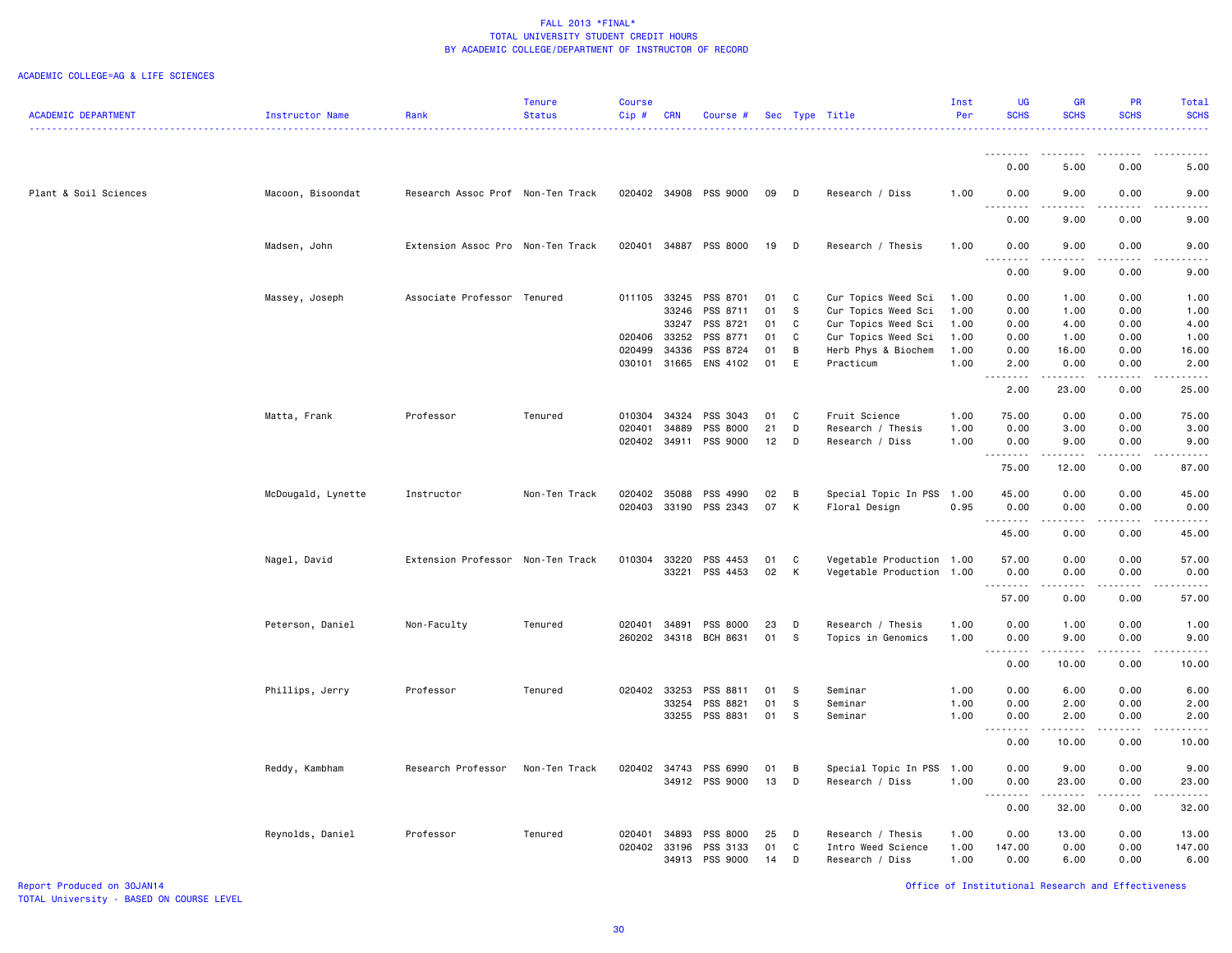#### ACADEMIC COLLEGE=AG & LIFE SCIENCES

|                            |                    |                                   | <b>Tenure</b> | <b>Course</b> |            |                       |    |             |                           | Inst | <b>UG</b>              | <b>GR</b>   | <b>PR</b>   | Total                                                                                                                     |
|----------------------------|--------------------|-----------------------------------|---------------|---------------|------------|-----------------------|----|-------------|---------------------------|------|------------------------|-------------|-------------|---------------------------------------------------------------------------------------------------------------------------|
| <b>ACADEMIC DEPARTMENT</b> | Instructor Name    | Rank                              | <b>Status</b> | Cip#          | <b>CRN</b> | Course #              |    |             | Sec Type Title            | Per  | <b>SCHS</b>            | <b>SCHS</b> | <b>SCHS</b> | <b>SCHS</b>                                                                                                               |
|                            |                    |                                   | .             |               |            |                       |    |             |                           |      |                        |             |             | $\frac{1}{2} \left( \frac{1}{2} \right) \left( \frac{1}{2} \right) \left( \frac{1}{2} \right) \left( \frac{1}{2} \right)$ |
|                            |                    |                                   |               |               |            |                       |    |             |                           |      |                        |             |             |                                                                                                                           |
|                            |                    |                                   |               |               |            |                       |    |             |                           |      | .                      | <u>.</u>    | .           | .                                                                                                                         |
|                            |                    |                                   |               |               |            |                       |    |             |                           |      | 0.00                   | 5.00        | 0.00        | 5.00                                                                                                                      |
|                            |                    |                                   |               |               |            |                       |    |             |                           |      |                        |             |             |                                                                                                                           |
| Plant & Soil Sciences      | Macoon, Bisoondat  | Research Assoc Prof Non-Ten Track |               |               |            | 020402 34908 PSS 9000 | 09 | D           | Research / Diss           | 1.00 | 0.00                   | 9.00        | 0.00        | 9.00                                                                                                                      |
|                            |                    |                                   |               |               |            |                       |    |             |                           |      | .                      | $  -$       | $- - -$     |                                                                                                                           |
|                            |                    |                                   |               |               |            |                       |    |             |                           |      | 0.00                   | 9.00        | 0.00        | 9.00                                                                                                                      |
|                            |                    |                                   |               |               |            |                       |    |             |                           |      |                        |             |             |                                                                                                                           |
|                            | Madsen, John       | Extension Assoc Pro Non-Ten Track |               | 020401        |            | 34887 PSS 8000        | 19 | D           | Research / Thesis         | 1.00 | 0.00                   | 9.00        | 0.00<br>.   | 9.00                                                                                                                      |
|                            |                    |                                   |               |               |            |                       |    |             |                           |      | د د د د                | .           |             | .                                                                                                                         |
|                            |                    |                                   |               |               |            |                       |    |             |                           |      | 0.00                   | 9.00        | 0.00        | 9.00                                                                                                                      |
|                            |                    | Associate Professor Tenured       |               | 011105 33245  |            | PSS 8701              |    | C           |                           |      | 0.00                   | 1.00        | 0.00        |                                                                                                                           |
|                            | Massey, Joseph     |                                   |               |               |            |                       | 01 | S           | Cur Topics Weed Sci       | 1.00 |                        |             |             | 1.00                                                                                                                      |
|                            |                    |                                   |               |               | 33246      | PSS 8711              | 01 |             | Cur Topics Weed Sci       | 1.00 | 0.00                   | 1.00        | 0.00        | 1.00                                                                                                                      |
|                            |                    |                                   |               |               | 33247      | PSS 8721              | 01 | C           | Cur Topics Weed Sci       | 1.00 | 0.00                   | 4.00        | 0.00        | 4.00                                                                                                                      |
|                            |                    |                                   |               | 020406        | 33252      | PSS 8771              | 01 | C           | Cur Topics Weed Sci       | 1.00 | 0.00                   | 1.00        | 0.00        | 1.00                                                                                                                      |
|                            |                    |                                   |               | 020499        | 34336      | PSS 8724              | 01 | В           | Herb Phys & Biochem       | 1.00 | 0.00                   | 16.00       | 0.00        | 16.00                                                                                                                     |
|                            |                    |                                   |               | 030101        | 31665      | ENS 4102              | 01 | $\mathsf E$ | Practicum                 | 1.00 | 2.00                   | 0.00        | 0.00        | 2.00                                                                                                                      |
|                            |                    |                                   |               |               |            |                       |    |             |                           |      | د د د د                | .           | .           | .                                                                                                                         |
|                            |                    |                                   |               |               |            |                       |    |             |                           |      | 2.00                   | 23.00       | 0.00        | 25.00                                                                                                                     |
|                            |                    |                                   |               |               |            |                       |    |             |                           |      |                        |             |             |                                                                                                                           |
|                            | Matta, Frank       | Professor                         | Tenured       | 010304        | 34324      | PSS 3043              | 01 | C           | Fruit Science             | 1.00 | 75.00                  | 0.00        | 0.00        | 75.00                                                                                                                     |
|                            |                    |                                   |               | 020401        | 34889      | <b>PSS 8000</b>       | 21 | D           | Research / Thesis         | 1.00 | 0.00                   | 3.00        | 0.00        | 3.00                                                                                                                      |
|                            |                    |                                   |               | 020402        |            | 34911 PSS 9000        | 12 | D           | Research / Diss           | 1.00 | 0.00                   | 9.00        | 0.00        | 9.00                                                                                                                      |
|                            |                    |                                   |               |               |            |                       |    |             |                           |      |                        | .           | .           | .                                                                                                                         |
|                            |                    |                                   |               |               |            |                       |    |             |                           |      | 75.00                  | 12.00       | 0.00        | 87.00                                                                                                                     |
|                            |                    |                                   |               |               |            |                       |    |             |                           |      |                        |             |             |                                                                                                                           |
|                            | McDougald, Lynette | Instructor                        | Non-Ten Track | 020402        | 35088      | PSS 4990              | 02 | B           | Special Topic In PSS      | 1.00 | 45.00                  | 0.00        | 0.00        | 45.00                                                                                                                     |
|                            |                    |                                   |               | 020403        |            | 33190 PSS 2343        | 07 | К           | Floral Design             | 0.95 | 0.00                   | 0.00        | 0.00        | 0.00                                                                                                                      |
|                            |                    |                                   |               |               |            |                       |    |             |                           |      | -----                  | .           | د د د د     | .                                                                                                                         |
|                            |                    |                                   |               |               |            |                       |    |             |                           |      | 45.00                  | 0.00        | 0.00        | 45.00                                                                                                                     |
|                            |                    |                                   |               |               |            |                       |    |             |                           |      |                        |             |             |                                                                                                                           |
|                            | Nagel, David       | Extension Professor Non-Ten Track |               | 010304        | 33220      | PSS 4453              | 01 | C           | Vegetable Production 1.00 |      | 57.00                  | 0.00        | 0.00        | 57.00                                                                                                                     |
|                            |                    |                                   |               |               | 33221      | PSS 4453              | 02 | К           | Vegetable Production 1.00 |      | 0.00                   | 0.00        | 0.00        | 0.00                                                                                                                      |
|                            |                    |                                   |               |               |            |                       |    |             |                           |      | 1.1.1.1.1.1.1          | .           | .           | .                                                                                                                         |
|                            |                    |                                   |               |               |            |                       |    |             |                           |      | 57.00                  | 0.00        | 0.00        | 57.00                                                                                                                     |
|                            |                    |                                   |               |               |            |                       |    |             |                           |      |                        |             |             |                                                                                                                           |
|                            | Peterson, Daniel   | Non-Faculty                       | Tenured       | 020401        | 34891      | PSS 8000              | 23 | D           | Research / Thesis         | 1.00 | 0.00                   | 1.00        | 0.00        | 1.00                                                                                                                      |
|                            |                    |                                   |               | 260202        | 34318      | BCH 8631              | 01 | S           | Topics in Genomics        | 1.00 | 0.00                   | 9.00        | 0.00        | 9.00                                                                                                                      |
|                            |                    |                                   |               |               |            |                       |    |             |                           |      | .                      |             |             | $\frac{1}{2}$                                                                                                             |
|                            |                    |                                   |               |               |            |                       |    |             |                           |      | 0.00                   | 10.00       | 0.00        | 10.00                                                                                                                     |
|                            |                    |                                   |               |               |            |                       |    |             |                           |      |                        |             |             |                                                                                                                           |
|                            | Phillips, Jerry    | Professor                         | Tenured       | 020402 33253  |            | PSS 8811              | 01 | -S          | Seminar                   | 1.00 | 0.00                   | 6.00        | 0.00        | 6.00                                                                                                                      |
|                            |                    |                                   |               |               | 33254      | PSS 8821              | 01 | S           | Seminar                   | 1.00 | 0.00                   | 2.00        | 0.00        | 2.00                                                                                                                      |
|                            |                    |                                   |               |               | 33255      | PSS 8831              | 01 | S           | Seminar                   | 1.00 | 0.00                   | 2.00        | 0.00        | 2.00                                                                                                                      |
|                            |                    |                                   |               |               |            |                       |    |             |                           |      | 22222<br>$\sim$ $\sim$ | .           | .           | .                                                                                                                         |
|                            |                    |                                   |               |               |            |                       |    |             |                           |      | 0.00                   | 10.00       | 0.00        | 10.00                                                                                                                     |
|                            |                    |                                   |               |               |            |                       |    |             |                           |      |                        |             |             |                                                                                                                           |
|                            | Reddy, Kambham     | Research Professor                | Non-Ten Track | 020402 34743  |            | PSS 6990              | 01 | В           | Special Topic In PSS      | 1.00 | 0.00                   | 9.00        | 0.00        | 9.00                                                                                                                      |
|                            |                    |                                   |               |               |            | 34912 PSS 9000        | 13 | D           | Research / Diss           | 1.00 | 0.00                   | 23.00       | 0.00        | 23.00                                                                                                                     |
|                            |                    |                                   |               |               |            |                       |    |             |                           |      | $\sim$ $\sim$<br>.     |             |             |                                                                                                                           |
|                            |                    |                                   |               |               |            |                       |    |             |                           |      | 0.00                   | 32.00       | 0.00        | 32.00                                                                                                                     |
|                            |                    |                                   |               |               |            |                       |    |             |                           |      |                        |             |             |                                                                                                                           |
|                            | Reynolds, Daniel   | Professor                         | Tenured       | 020401        | 34893      | PSS 8000              | 25 | D           | Research / Thesis         | 1.00 | 0.00                   | 13.00       | 0.00        | 13.00                                                                                                                     |
|                            |                    |                                   |               | 020402        | 33196      | PSS 3133              | 01 | C           | Intro Weed Science        | 1.00 | 147.00                 | 0.00        | 0.00        | 147.00                                                                                                                    |
|                            |                    |                                   |               |               |            | 34913 PSS 9000        | 14 | D           | Research / Diss           | 1.00 | 0.00                   | 6.00        | 0.00        | 6.00                                                                                                                      |
|                            |                    |                                   |               |               |            |                       |    |             |                           |      |                        |             |             |                                                                                                                           |

Report Produced on 30JAN14 Office of Institutional Research and Effectiveness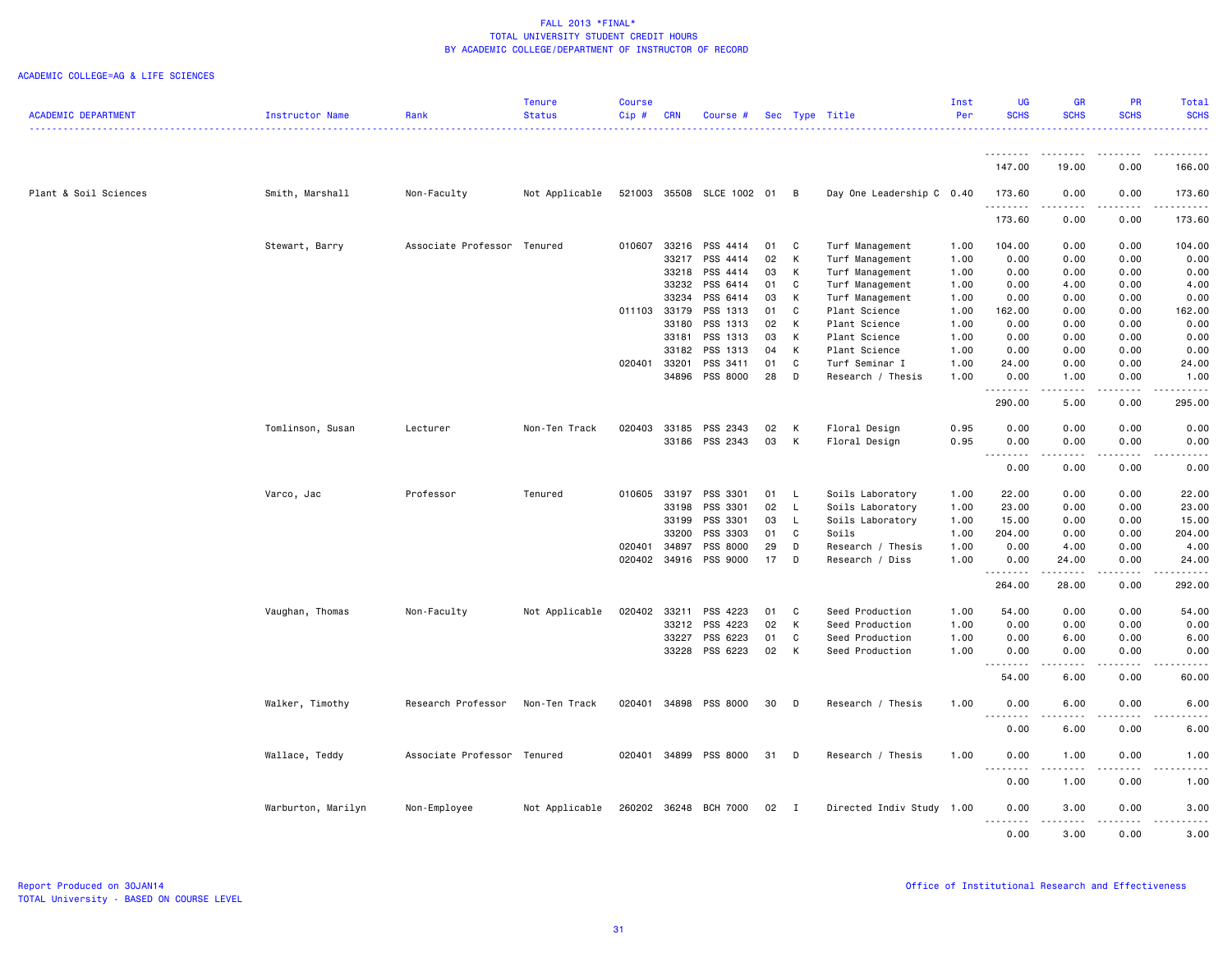|                            |                    |                     | <b>Tenure</b>  | <b>Course</b> |            |                           |    |              |                           | Inst | <b>UG</b>          | <b>GR</b>       | <b>PR</b>   | Total                                 |
|----------------------------|--------------------|---------------------|----------------|---------------|------------|---------------------------|----|--------------|---------------------------|------|--------------------|-----------------|-------------|---------------------------------------|
| <b>ACADEMIC DEPARTMENT</b> | Instructor Name    | Rank                | <b>Status</b>  | Cip#          | <b>CRN</b> | Course #                  |    |              | Sec Type Title            | Per  | <b>SCHS</b>        | <b>SCHS</b>     | <b>SCHS</b> | <b>SCHS</b>                           |
|                            |                    |                     |                |               |            |                           |    |              |                           |      |                    |                 |             |                                       |
|                            |                    |                     |                |               |            |                           |    |              |                           |      | <u>.</u><br>147.00 | .<br>19.00      | 0.00        | 166.00                                |
| Plant & Soil Sciences      | Smith, Marshall    | Non-Faculty         | Not Applicable |               |            | 521003 35508 SLCE 1002 01 |    | B            | Day One Leadership C 0.40 |      | 173.60             | 0.00            | 0.00        | 173.60                                |
|                            |                    |                     |                |               |            |                           |    |              |                           |      | .<br>173.60        | .<br>0.00       | .<br>0.00   | $\sim$ $\sim$ $\sim$ $\sim$<br>173.60 |
|                            | Stewart, Barry     | Associate Professor | Tenured        | 010607        | 33216      | PSS 4414                  | 01 | C            | Turf Management           | 1.00 | 104.00             | 0.00            | 0.00        | 104.00                                |
|                            |                    |                     |                |               | 33217      | PSS 4414                  | 02 | K            | Turf Management           | 1.00 | 0.00               | 0.00            | 0.00        | 0.00                                  |
|                            |                    |                     |                |               | 33218      | PSS 4414                  | 03 | K            | Turf Management           | 1.00 | 0.00               | 0.00            | 0.00        | 0.00                                  |
|                            |                    |                     |                |               | 33232      | PSS 6414                  | 01 | C            | Turf Management           | 1.00 | 0.00               | 4.00            | 0.00        | 4.00                                  |
|                            |                    |                     |                |               | 33234      | PSS 6414                  | 03 | K            | Turf Management           | 1.00 | 0.00               | 0.00            | 0.00        | 0.00                                  |
|                            |                    |                     |                | 011103 33179  |            | PSS 1313                  | 01 | C            | Plant Science             | 1.00 | 162.00             | 0.00            | 0.00        | 162.00                                |
|                            |                    |                     |                |               | 33180      | PSS 1313                  | 02 | $\mathsf{K}$ | Plant Science             | 1.00 | 0.00               | 0.00            | 0.00        | 0.00                                  |
|                            |                    |                     |                |               | 33181      | PSS 1313                  | 03 | K            | Plant Science             | 1.00 | 0.00               | 0.00            | 0.00        | 0.00                                  |
|                            |                    |                     |                |               | 33182      | PSS 1313                  | 04 | K            | Plant Science             | 1.00 | 0.00               | 0.00            | 0.00        | 0.00                                  |
|                            |                    |                     |                | 020401 33201  |            | PSS 3411                  | 01 | C            | Turf Seminar I            | 1.00 | 24.00              | 0.00            | 0.00        | 24.00                                 |
|                            |                    |                     |                |               | 34896      | PSS 8000                  | 28 | D            | Research / Thesis         | 1.00 | 0.00               | 1.00            | 0.00        | 1.00                                  |
|                            |                    |                     |                |               |            |                           |    |              |                           |      | <u>.</u>           |                 |             |                                       |
|                            |                    |                     |                |               |            |                           |    |              |                           |      | 290.00             | 5.00            | 0.00        | 295.00                                |
|                            | Tomlinson, Susan   | Lecturer            | Non-Ten Track  | 020403        | 33185      | PSS 2343                  | 02 | K            | Floral Design             | 0.95 | 0.00               | 0.00            | 0.00        | 0.00                                  |
|                            |                    |                     |                |               |            | 33186 PSS 2343            | 03 | K            | Floral Design             | 0.95 | 0.00<br><u>.</u>   | 0.00<br>.       | 0.00<br>.   | 0.00<br>$- - - -$                     |
|                            |                    |                     |                |               |            |                           |    |              |                           |      | 0.00               | 0.00            | 0.00        | 0.00                                  |
|                            | Varco, Jac         | Professor           | Tenured        | 010605 33197  |            | PSS 3301                  | 01 | $\mathsf{L}$ | Soils Laboratory          | 1.00 | 22.00              | 0.00            | 0.00        | 22.00                                 |
|                            |                    |                     |                |               | 33198      | PSS 3301                  | 02 | $\mathsf{L}$ | Soils Laboratory          | 1.00 | 23.00              | 0.00            | 0.00        | 23.00                                 |
|                            |                    |                     |                |               | 33199      | PSS 3301                  | 03 | $\mathsf{L}$ | Soils Laboratory          | 1.00 | 15.00              | 0.00            | 0.00        | 15.00                                 |
|                            |                    |                     |                |               | 33200      | PSS 3303                  | 01 | C            | Soils                     | 1.00 | 204.00             | 0.00            | 0.00        | 204.00                                |
|                            |                    |                     |                | 020401        | 34897      | PSS 8000                  | 29 | D            | Research / Thesis         | 1.00 | 0.00               | 4.00            | 0.00        | 4.00                                  |
|                            |                    |                     |                | 020402        | 34916      | PSS 9000                  | 17 | D            | Research / Diss           | 1.00 | 0.00<br>.          | 24.00<br>.      | 0.00<br>.   | 24.00<br>.                            |
|                            |                    |                     |                |               |            |                           |    |              |                           |      | 264.00             | 28.00           | 0.00        | 292.00                                |
|                            | Vaughan, Thomas    | Non-Faculty         | Not Applicable | 020402 33211  |            | PSS 4223                  | 01 | $\mathbf{C}$ | Seed Production           | 1.00 | 54.00              | 0.00            | 0.00        | 54.00                                 |
|                            |                    |                     |                |               | 33212      | PSS 4223                  | 02 | K            | Seed Production           | 1.00 | 0.00               | 0.00            | 0.00        | 0.00                                  |
|                            |                    |                     |                |               |            |                           | 01 | C            |                           |      |                    |                 |             |                                       |
|                            |                    |                     |                |               | 33227      | PSS 6223                  |    |              | Seed Production           | 1.00 | 0.00               | 6.00            | 0.00        | 6.00                                  |
|                            |                    |                     |                |               | 33228      | PSS 6223                  | 02 | K            | Seed Production           | 1.00 | 0.00<br>.          | 0.00<br>.       | 0.00<br>.   | 0.00<br>.                             |
|                            |                    |                     |                |               |            |                           |    |              |                           |      | 54.00              | 6.00            | 0.00        | 60.00                                 |
|                            | Walker, Timothy    | Research Professor  | Non-Ten Track  |               |            | 020401 34898 PSS 8000     | 30 | D            | Research / Thesis         | 1.00 | 0.00<br>.          | 6.00<br>الدامات | 0.00<br>.   | 6.00<br>$\sim$ $\sim$ $\sim$ $\sim$   |
|                            |                    |                     |                |               |            |                           |    |              |                           |      | 0.00               | 6.00            | 0.00        | 6.00                                  |
|                            | Wallace, Teddy     | Associate Professor | Tenured        | 020401        | 34899      | PSS 8000                  | 31 | D            | Research / Thesis         | 1.00 | 0.00               | 1.00            | 0.00        | 1.00                                  |
|                            |                    |                     |                |               |            |                           |    |              |                           |      | .<br>0.00          | .<br>1.00       | 0.00        | 1.00                                  |
|                            | Warburton, Marilyn | Non-Employee        | Not Applicable |               |            | 260202 36248 BCH 7000     | 02 | $\mathbf{I}$ | Directed Indiv Study 1.00 |      | 0.00               | 3.00            | 0.00        | 3.00                                  |
|                            |                    |                     |                |               |            |                           |    |              |                           |      | .<br>0.00          | 3.00            | 0.00        | 3.00                                  |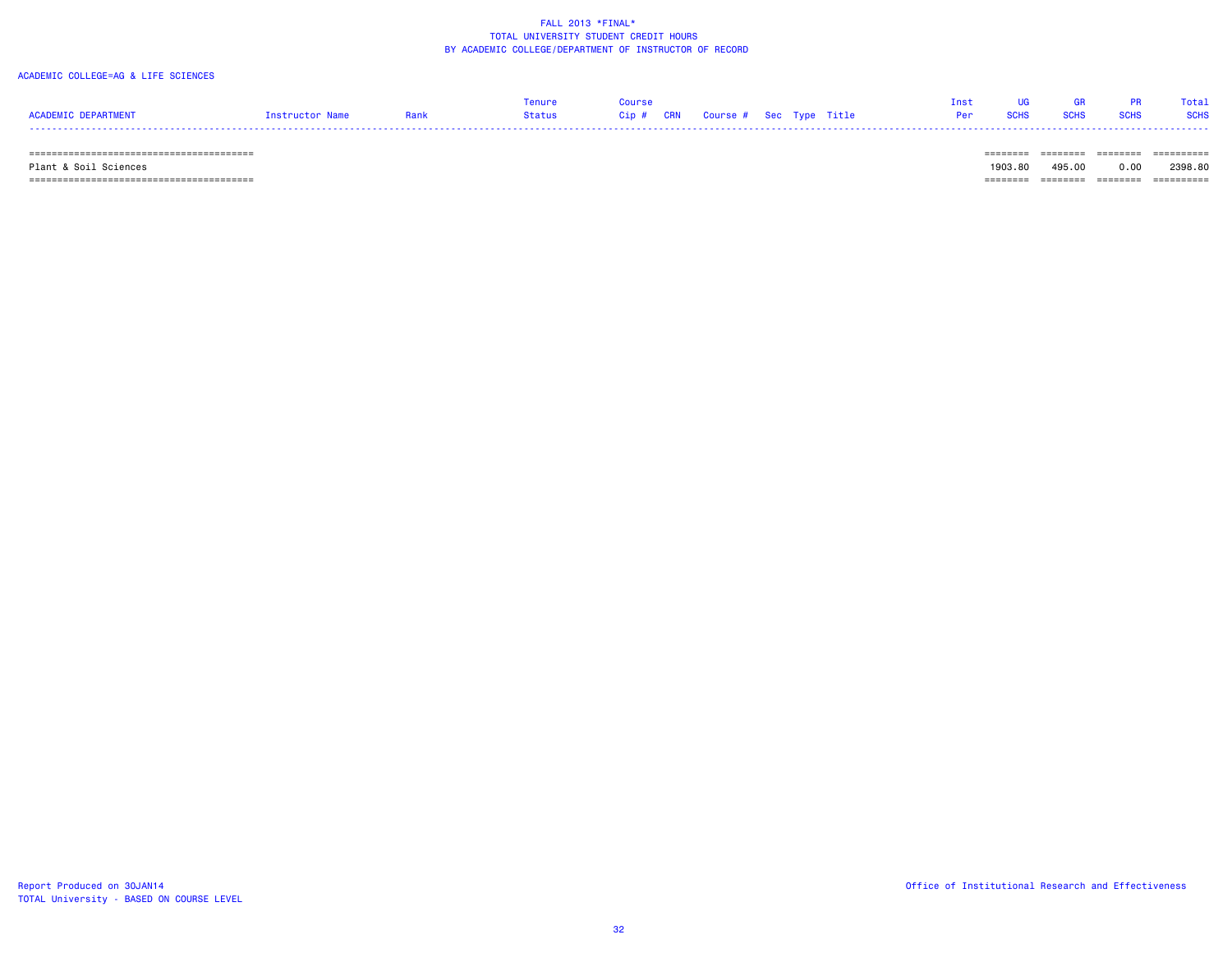### ACADEMIC COLLEGE=AG & LIFE SCIENCES

| <b>ACADEMIC DEPARTMENT</b> | Instructor Name | Rank | Tenure<br>Status | Course | Cip # CRN   Course #  Sec  Type  Title |  | <b>Tnst</b><br>Per | <b>SCHS</b> | <b>SCHS</b> | PR.<br><b>SCHS</b> | Total<br><b>SCHS</b> |
|----------------------------|-----------------|------|------------------|--------|----------------------------------------|--|--------------------|-------------|-------------|--------------------|----------------------|
|                            |                 |      |                  |        |                                        |  |                    |             |             |                    | ----------           |

Plant & Soil Sciences 1903.80 495.00 0.00 2398.80

======================================== ======== ======== ======== ==========

TOTAL University - BASED ON COURSE LEVEL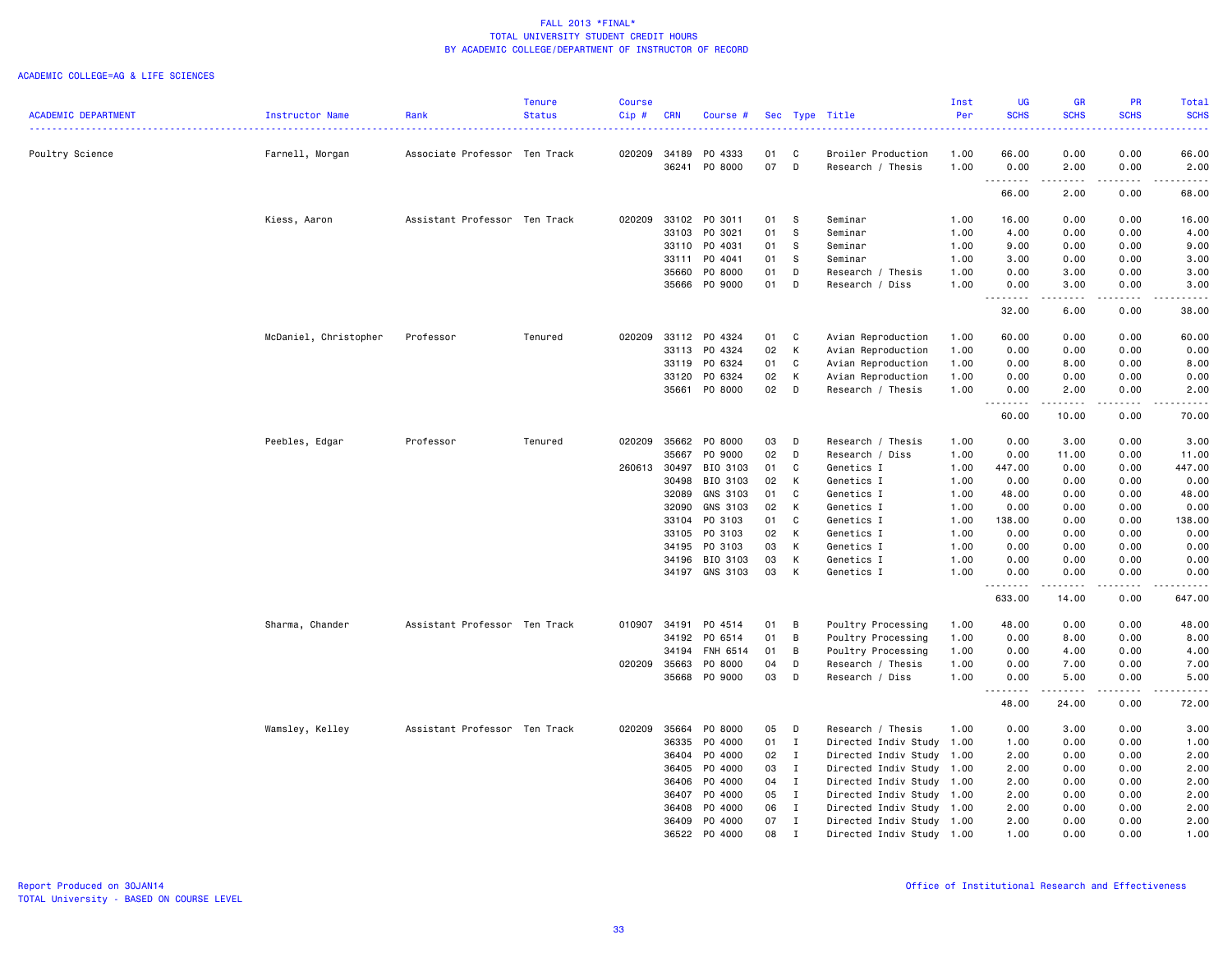|                            |                       |                               | <b>Tenure</b> | <b>Course</b> |                |                     |          |              |                                         | Inst         | UG                                    | <b>GR</b>                                                                                                                                                     | <b>PR</b>                                                                                                     | Total                                                                                                                                                        |
|----------------------------|-----------------------|-------------------------------|---------------|---------------|----------------|---------------------|----------|--------------|-----------------------------------------|--------------|---------------------------------------|---------------------------------------------------------------------------------------------------------------------------------------------------------------|---------------------------------------------------------------------------------------------------------------|--------------------------------------------------------------------------------------------------------------------------------------------------------------|
| <b>ACADEMIC DEPARTMENT</b> | Instructor Name       | Rank                          | <b>Status</b> | Cip#          | <b>CRN</b>     | Course #            |          |              | Sec Type Title                          | Per          | <b>SCHS</b><br>.                      | <b>SCHS</b>                                                                                                                                                   | <b>SCHS</b><br>$\frac{1}{2} \left( \frac{1}{2} \right) \left( \frac{1}{2} \right) \left( \frac{1}{2} \right)$ | <b>SCHS</b><br>.                                                                                                                                             |
|                            |                       |                               |               |               |                |                     |          |              |                                         |              |                                       |                                                                                                                                                               |                                                                                                               |                                                                                                                                                              |
| Poultry Science            | Farnell, Morgan       | Associate Professor Ten Track |               | 020209        | 34189<br>36241 | PO 4333<br>P0 8000  | 01<br>07 | C<br>D       | Broiler Production<br>Research / Thesis | 1.00<br>1.00 | 66.00<br>0.00                         | 0.00<br>2.00                                                                                                                                                  | 0.00<br>0.00                                                                                                  | 66.00<br>2.00                                                                                                                                                |
|                            |                       |                               |               |               |                |                     |          |              |                                         |              | .<br>66.00                            | .<br>2.00                                                                                                                                                     | .<br>0.00                                                                                                     | . <u>.</u> .<br>68.00                                                                                                                                        |
|                            |                       |                               |               |               |                |                     |          |              |                                         |              |                                       |                                                                                                                                                               |                                                                                                               |                                                                                                                                                              |
|                            | Kiess, Aaron          | Assistant Professor Ten Track |               | 020209        | 33102<br>33103 | PO 3011<br>PO 3021  | 01<br>01 | S.<br>s      | Seminar<br>Seminar                      | 1.00<br>1.00 | 16.00<br>4.00                         | 0.00<br>0.00                                                                                                                                                  | 0.00<br>0.00                                                                                                  | 16.00<br>4.00                                                                                                                                                |
|                            |                       |                               |               |               | 33110          | PO 4031             | 01       | S            | Seminar                                 | 1.00         | 9.00                                  | 0.00                                                                                                                                                          | 0.00                                                                                                          | 9.00                                                                                                                                                         |
|                            |                       |                               |               |               | 33111          | P0 4041             | 01       | - S          | Seminar                                 | 1.00         | 3.00                                  | 0.00                                                                                                                                                          | 0.00                                                                                                          | 3.00                                                                                                                                                         |
|                            |                       |                               |               |               | 35660          | P0 8000             | 01       | D            | Research / Thesis                       | 1.00         | 0.00                                  | 3.00                                                                                                                                                          | 0.00                                                                                                          | 3.00                                                                                                                                                         |
|                            |                       |                               |               |               | 35666          | PO 9000             | 01       | D            | Research / Diss                         | 1.00         | 0.00                                  | 3.00                                                                                                                                                          | 0.00                                                                                                          | 3.00                                                                                                                                                         |
|                            |                       |                               |               |               |                |                     |          |              |                                         |              | <u>.</u><br>32.00                     | <u>.</u><br>6.00                                                                                                                                              | .<br>0.00                                                                                                     | .<br>38.00                                                                                                                                                   |
|                            | McDaniel, Christopher | Professor                     | Tenured       | 020209        | 33112          | PO 4324             | 01       | C            | Avian Reproduction                      | 1.00         | 60.00                                 | 0.00                                                                                                                                                          | 0.00                                                                                                          | 60.00                                                                                                                                                        |
|                            |                       |                               |               |               | 33113          | P0 4324             | 02       | К            | Avian Reproduction                      | 1.00         | 0.00                                  | 0.00                                                                                                                                                          | 0.00                                                                                                          | 0.00                                                                                                                                                         |
|                            |                       |                               |               |               | 33119          | PO 6324             | 01       | C            | Avian Reproduction                      | 1.00         | 0.00                                  | 8.00                                                                                                                                                          | 0.00                                                                                                          | 8.00                                                                                                                                                         |
|                            |                       |                               |               |               | 33120          | P0 6324             | 02       | Κ            | Avian Reproduction                      | 1.00         | 0.00                                  | 0.00                                                                                                                                                          | 0.00                                                                                                          | 0.00                                                                                                                                                         |
|                            |                       |                               |               |               | 35661          | P0 8000             | 02       | D            | Research / Thesis                       | 1.00         | 0.00<br>-----<br>$\sim$ $\sim$ $\sim$ | 2.00<br>$\frac{1}{2} \left( \frac{1}{2} \right) \left( \frac{1}{2} \right) \left( \frac{1}{2} \right) \left( \frac{1}{2} \right) \left( \frac{1}{2} \right)$  | 0.00<br>$\sim$ $\sim$ $\sim$ $\sim$                                                                           | 2.00<br>$\frac{1}{2} \left( \frac{1}{2} \right) \left( \frac{1}{2} \right) \left( \frac{1}{2} \right) \left( \frac{1}{2} \right) \left( \frac{1}{2} \right)$ |
|                            |                       |                               |               |               |                |                     |          |              |                                         |              | 60.00                                 | 10.00                                                                                                                                                         | 0.00                                                                                                          | 70.00                                                                                                                                                        |
|                            | Peebles, Edgar        | Professor                     | Tenured       | 020209        | 35662          | P0 8000             | 03       | $\mathsf{D}$ | Research / Thesis                       | 1.00         | 0.00                                  | 3.00                                                                                                                                                          | 0.00                                                                                                          | 3.00                                                                                                                                                         |
|                            |                       |                               |               |               | 35667          | PO 9000             | 02       | D            | Research / Diss                         | 1.00         | 0.00                                  | 11.00                                                                                                                                                         | 0.00                                                                                                          | 11.00                                                                                                                                                        |
|                            |                       |                               |               | 260613 30497  |                | BIO 3103            | 01       | C            | Genetics I                              | 1.00         | 447.00                                | 0.00                                                                                                                                                          | 0.00                                                                                                          | 447.00                                                                                                                                                       |
|                            |                       |                               |               |               | 30498          | BIO 3103            | 02       | к            | Genetics I                              | 1.00         | 0.00                                  | 0.00                                                                                                                                                          | 0.00                                                                                                          | 0.00                                                                                                                                                         |
|                            |                       |                               |               |               | 32089          | GNS 3103            | 01       | C            | Genetics I                              | 1.00         | 48.00                                 | 0.00                                                                                                                                                          | 0.00                                                                                                          | 48.00                                                                                                                                                        |
|                            |                       |                               |               |               | 32090<br>33104 | GNS 3103<br>PO 3103 | 02<br>01 | К<br>C       | Genetics I                              | 1.00         | 0.00                                  | 0.00<br>0.00                                                                                                                                                  | 0.00                                                                                                          | 0.00<br>138.00                                                                                                                                               |
|                            |                       |                               |               |               |                | PO 3103             | 02       | К            | Genetics I                              | 1.00         | 138.00                                |                                                                                                                                                               | 0.00                                                                                                          | 0.00                                                                                                                                                         |
|                            |                       |                               |               |               | 33105<br>34195 | PO 3103             | 03       | К            | Genetics I<br>Genetics I                | 1.00<br>1.00 | 0.00<br>0.00                          | 0.00<br>0.00                                                                                                                                                  | 0.00<br>0.00                                                                                                  | 0.00                                                                                                                                                         |
|                            |                       |                               |               |               | 34196          | BIO 3103            | 03       | К            | Genetics I                              | 1.00         | 0.00                                  | 0.00                                                                                                                                                          | 0.00                                                                                                          | 0.00                                                                                                                                                         |
|                            |                       |                               |               |               | 34197          | GNS 3103            | 03       | К            | Genetics I                              | 1.00         | 0.00                                  | 0.00                                                                                                                                                          | 0.00                                                                                                          | 0.00                                                                                                                                                         |
|                            |                       |                               |               |               |                |                     |          |              |                                         |              | .<br>633.00                           | $\frac{1}{2} \left( \frac{1}{2} \right) \left( \frac{1}{2} \right) \left( \frac{1}{2} \right) \left( \frac{1}{2} \right) \left( \frac{1}{2} \right)$<br>14.00 | $\sim$ $\sim$ $\sim$ $\sim$<br>0.00                                                                           | .<br>647.00                                                                                                                                                  |
|                            | Sharma, Chander       | Assistant Professor Ten Track |               | 010907        | 34191          | PO 4514             | 01       | В            | Poultry Processing                      | 1.00         | 48.00                                 | 0.00                                                                                                                                                          | 0.00                                                                                                          | 48.00                                                                                                                                                        |
|                            |                       |                               |               |               | 34192          | PO 6514             | 01       | B            | Poultry Processing                      | 1.00         | 0.00                                  | 8.00                                                                                                                                                          | 0.00                                                                                                          | 8.00                                                                                                                                                         |
|                            |                       |                               |               |               | 34194          | FNH 6514            | 01       | B            | Poultry Processing                      | 1.00         | 0.00                                  | 4.00                                                                                                                                                          | 0.00                                                                                                          | 4.00                                                                                                                                                         |
|                            |                       |                               |               | 020209        | 35663          | P0 8000             | 04       | D            | Research / Thesis                       | 1.00         | 0.00                                  | 7.00                                                                                                                                                          | 0.00                                                                                                          | 7.00                                                                                                                                                         |
|                            |                       |                               |               |               | 35668          | PO 9000             | 03       | D            | Research / Diss                         | 1.00         | 0.00<br>.                             | 5.00<br>.                                                                                                                                                     | 0.00<br>.                                                                                                     | 5.00<br>$\frac{1}{2} \left( \frac{1}{2} \right) \left( \frac{1}{2} \right) \left( \frac{1}{2} \right) \left( \frac{1}{2} \right) \left( \frac{1}{2} \right)$ |
|                            |                       |                               |               |               |                |                     |          |              |                                         |              | 48.00                                 | 24.00                                                                                                                                                         | 0.00                                                                                                          | 72.00                                                                                                                                                        |
|                            | Wamsley, Kelley       | Assistant Professor Ten Track |               | 020209        | 35664          | P0 8000             | 05       | D            | Research / Thesis                       | 1.00         | 0.00                                  | 3.00                                                                                                                                                          | 0.00                                                                                                          | 3.00                                                                                                                                                         |
|                            |                       |                               |               |               | 36335          | P0 4000             | 01       | $\mathbf{I}$ | Directed Indiv Study 1.00               |              | 1.00                                  | 0.00                                                                                                                                                          | 0.00                                                                                                          | 1.00                                                                                                                                                         |
|                            |                       |                               |               |               | 36404          | P0 4000             | 02       | $\mathbf{I}$ | Directed Indiv Study 1.00               |              | 2.00                                  | 0.00                                                                                                                                                          | 0.00                                                                                                          | 2.00                                                                                                                                                         |
|                            |                       |                               |               |               | 36405          | P0 4000             | 03       | $\mathbf{I}$ | Directed Indiv Study                    | 1.00         | 2.00                                  | 0.00                                                                                                                                                          | 0.00                                                                                                          | 2.00                                                                                                                                                         |
|                            |                       |                               |               |               | 36406          | P0 4000             | 04       | $\mathbf{I}$ | Directed Indiv Study 1.00               |              | 2.00                                  | 0.00                                                                                                                                                          | 0.00                                                                                                          | 2.00                                                                                                                                                         |
|                            |                       |                               |               |               | 36407          | P0 4000             | 05       | $\mathbf{I}$ | Directed Indiv Study 1.00               |              | 2.00                                  | 0.00                                                                                                                                                          | 0.00                                                                                                          | 2.00                                                                                                                                                         |
|                            |                       |                               |               |               | 36408          | P0 4000             | 06       | $\mathbf{I}$ | Directed Indiv Study 1.00               |              | 2.00                                  | 0.00                                                                                                                                                          | 0.00                                                                                                          | 2.00                                                                                                                                                         |
|                            |                       |                               |               |               | 36409          | P0 4000             | 07       | $\mathbf{I}$ | Directed Indiv Study 1.00               |              | 2.00                                  | 0.00                                                                                                                                                          | 0.00                                                                                                          | 2.00                                                                                                                                                         |
|                            |                       |                               |               |               | 36522          | P0 4000             | 08       | Ι.           | Directed Indiv Study 1.00               |              | 1.00                                  | 0.00                                                                                                                                                          | 0.00                                                                                                          | 1.00                                                                                                                                                         |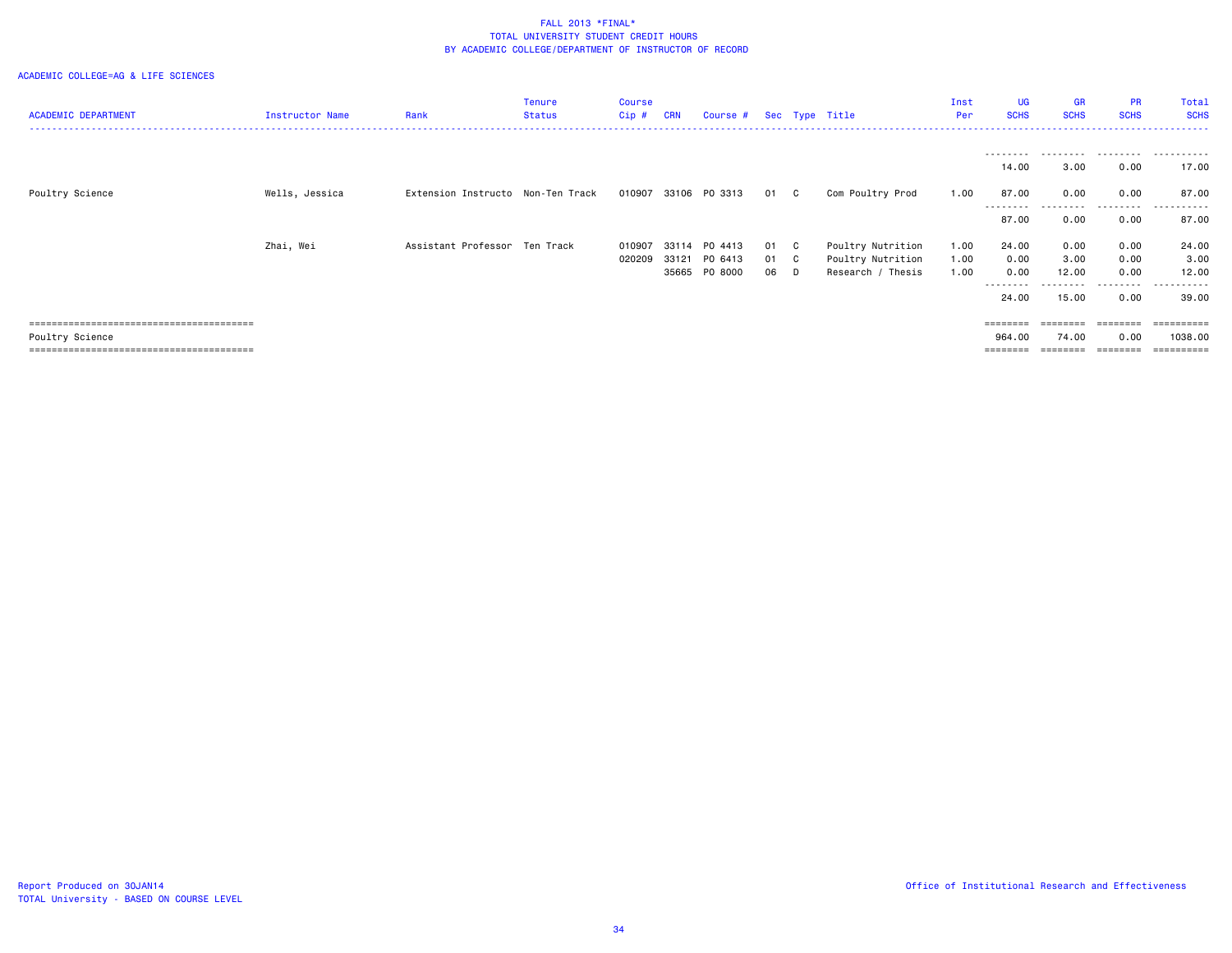| <b>ACADEMIC DEPARTMENT</b> | Instructor Name | Rank                              | <b>Tenure</b><br>Status | <b>Course</b><br>$Cip$ # | <b>CRN</b> | Course #             |      | Sec Type Title    | Inst<br>Per | <b>UG</b><br><b>SCHS</b> | GR<br><b>SCHS</b> | <b>PR</b><br><b>SCHS</b> | Total<br><b>SCHS</b><br>------ |
|----------------------------|-----------------|-----------------------------------|-------------------------|--------------------------|------------|----------------------|------|-------------------|-------------|--------------------------|-------------------|--------------------------|--------------------------------|
|                            |                 |                                   |                         |                          |            |                      |      |                   |             | ---------                |                   |                          |                                |
|                            |                 |                                   |                         |                          |            |                      |      |                   |             | 14.00                    | 3.00              | 0.00                     | 17.00                          |
| Poultry Science            | Wells, Jessica  | Extension Instructo Non-Ten Track |                         |                          |            | 010907 33106 PO 3313 | 01 C | Com Poultry Prod  | 1.00        | 87.00                    | 0.00              | 0.00<br>--------         | 87.00<br>------                |
|                            |                 |                                   |                         |                          |            |                      |      |                   |             | 87.00                    | 0.00              | 0.00                     | 87.00                          |
|                            | Zhai, Wei       | Assistant Professor Ten Track     |                         | 010907                   | 33114      | PO 4413              | 01 C | Poultry Nutrition | 1.00        | 24.00                    | 0.00              | 0.00                     | 24.00                          |
|                            |                 |                                   |                         | 020209                   | 33121      | PO 6413              | 01 C | Poultry Nutrition | 1.00        | 0.00                     | 3.00              | 0.00                     | 3.00                           |
|                            |                 |                                   |                         |                          | 35665      | PO 8000              | 06 D | Research / Thesis | 1.00        | 0.00<br>--------         | 12.00             | 0.00<br>. <b>.</b>       | 12.00<br>------                |
|                            |                 |                                   |                         |                          |            |                      |      |                   |             | 24.00                    | 15.00             | 0.00                     | 39.00                          |
|                            |                 |                                   |                         |                          |            |                      |      |                   |             | $=$ = = = = = = =        |                   |                          | =======                        |
| Poultry Science            |                 |                                   |                         |                          |            |                      |      |                   |             | 964.00                   | 74.00             | 0.00                     | 1038.00                        |
|                            |                 |                                   |                         |                          |            |                      |      |                   |             |                          |                   |                          | ==========                     |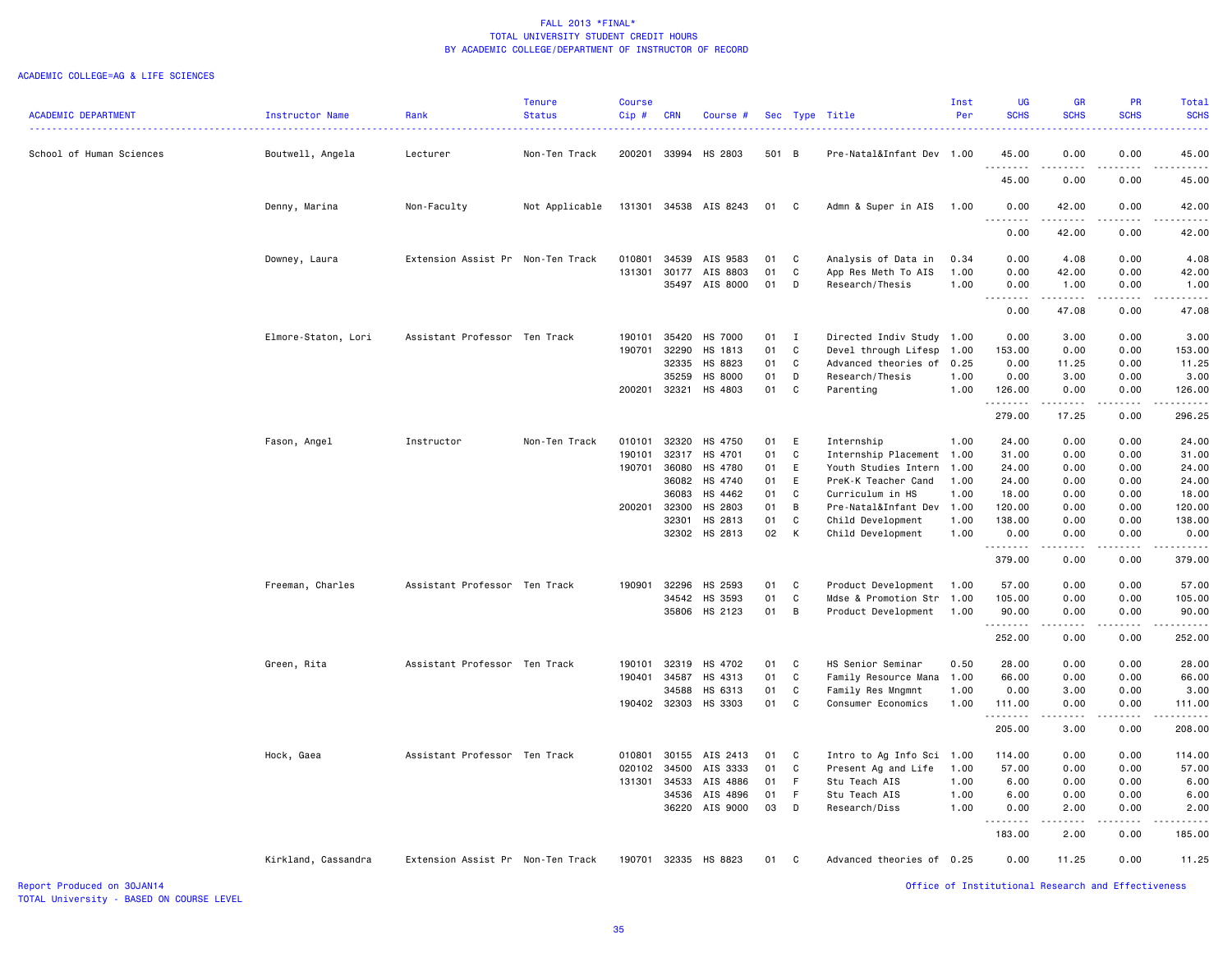#### ACADEMIC COLLEGE=AG & LIFE SCIENCES

|                            |                     |                                   | <b>Tenure</b>  | <b>Course</b> |            |                |       |              |                           | Inst | <b>UG</b>             | <b>GR</b>                                                                                                                                                                                                                                                                                                                                                                                                                                                                                       | <b>PR</b>                                                                                                                         | Total                 |
|----------------------------|---------------------|-----------------------------------|----------------|---------------|------------|----------------|-------|--------------|---------------------------|------|-----------------------|-------------------------------------------------------------------------------------------------------------------------------------------------------------------------------------------------------------------------------------------------------------------------------------------------------------------------------------------------------------------------------------------------------------------------------------------------------------------------------------------------|-----------------------------------------------------------------------------------------------------------------------------------|-----------------------|
| <b>ACADEMIC DEPARTMENT</b> | Instructor Name     | Rank                              | <b>Status</b>  | Cip#          | <b>CRN</b> | Course #       |       |              | Sec Type Title            | Per  | <b>SCHS</b>           | <b>SCHS</b>                                                                                                                                                                                                                                                                                                                                                                                                                                                                                     | <b>SCHS</b>                                                                                                                       | <b>SCHS</b>           |
| School of Human Sciences   | Boutwell, Angela    | Lecturer                          | Non-Ten Track  | 200201        |            | 33994 HS 2803  | 501 B |              | Pre-Natal&Infant Dev 1.00 |      | 45.00                 | 0.00                                                                                                                                                                                                                                                                                                                                                                                                                                                                                            | 0.00                                                                                                                              | 45.00                 |
|                            |                     |                                   |                |               |            |                |       |              |                           |      | - - - -<br>45.00      | 0.00                                                                                                                                                                                                                                                                                                                                                                                                                                                                                            | .<br>0.00                                                                                                                         | .<br>45.00            |
|                            | Denny, Marina       | Non-Faculty                       | Not Applicable | 131301        |            | 34538 AIS 8243 | 01    | C            | Admn & Super in AIS       | 1.00 | 0.00<br>1.1.1.1.1.1.1 | 42.00<br>$\begin{array}{cccccccccccccc} \multicolumn{2}{c}{} & \multicolumn{2}{c}{} & \multicolumn{2}{c}{} & \multicolumn{2}{c}{} & \multicolumn{2}{c}{} & \multicolumn{2}{c}{} & \multicolumn{2}{c}{} & \multicolumn{2}{c}{} & \multicolumn{2}{c}{} & \multicolumn{2}{c}{} & \multicolumn{2}{c}{} & \multicolumn{2}{c}{} & \multicolumn{2}{c}{} & \multicolumn{2}{c}{} & \multicolumn{2}{c}{} & \multicolumn{2}{c}{} & \multicolumn{2}{c}{} & \multicolumn{2}{c}{} & \multicolumn{2}{c}{} & \$ | 0.00<br>$\frac{1}{2}$                                                                                                             | 42.00<br>.            |
|                            |                     |                                   |                |               |            |                |       |              |                           |      | 0.00                  | 42.00                                                                                                                                                                                                                                                                                                                                                                                                                                                                                           | 0.00                                                                                                                              | 42.00                 |
|                            | Downey, Laura       | Extension Assist Pr Non-Ten Track |                | 010801        | 34539      | AIS 9583       | 01    | C            | Analysis of Data in       | 0.34 | 0.00                  | 4.08                                                                                                                                                                                                                                                                                                                                                                                                                                                                                            | 0.00                                                                                                                              | 4.08                  |
|                            |                     |                                   |                | 131301        | 30177      | AIS 8803       | 01    | C            | App Res Meth To AIS       | 1.00 | 0.00                  | 42.00                                                                                                                                                                                                                                                                                                                                                                                                                                                                                           | 0.00                                                                                                                              | 42.00                 |
|                            |                     |                                   |                |               |            | 35497 AIS 8000 | 01    | D            | Research/Thesis           | 1.00 | 0.00                  | 1.00                                                                                                                                                                                                                                                                                                                                                                                                                                                                                            | 0.00                                                                                                                              | 1.00<br>$\frac{1}{2}$ |
|                            |                     |                                   |                |               |            |                |       |              |                           |      | 0.00                  | 47.08                                                                                                                                                                                                                                                                                                                                                                                                                                                                                           | 0.00                                                                                                                              | 47.08                 |
|                            | Elmore-Staton, Lori | Assistant Professor Ten Track     |                | 190101        | 35420      | HS 7000        | 01    | I            | Directed Indiv Study 1.00 |      | 0.00                  | 3.00                                                                                                                                                                                                                                                                                                                                                                                                                                                                                            | 0.00                                                                                                                              | 3.00                  |
|                            |                     |                                   |                | 190701        | 32290      | HS 1813        | 01    | C            | Devel through Lifesp      | 1.00 | 153.00                | 0.00                                                                                                                                                                                                                                                                                                                                                                                                                                                                                            | 0.00                                                                                                                              | 153.00                |
|                            |                     |                                   |                |               | 32335      | HS 8823        | 01    | C            | Advanced theories of      | 0.25 | 0.00                  | 11.25                                                                                                                                                                                                                                                                                                                                                                                                                                                                                           | 0.00                                                                                                                              | 11.25                 |
|                            |                     |                                   |                |               | 35259      | HS 8000        | 01    | D            | Research/Thesis           | 1.00 | 0.00                  | 3.00                                                                                                                                                                                                                                                                                                                                                                                                                                                                                            | 0.00                                                                                                                              | 3.00                  |
|                            |                     |                                   |                | 200201        | 32321      | HS 4803        | 01    | C            | Parenting                 | 1.00 | 126.00<br>.           | 0.00<br>$- - - - -$                                                                                                                                                                                                                                                                                                                                                                                                                                                                             | 0.00                                                                                                                              | 126.00<br>.           |
|                            |                     |                                   |                |               |            |                |       |              |                           |      | 279.00                | 17.25                                                                                                                                                                                                                                                                                                                                                                                                                                                                                           | 0.00                                                                                                                              | 296.25                |
|                            | Fason, Angel        | Instructor                        | Non-Ten Track  | 010101        | 32320      | HS 4750        | 01    | Ε            | Internship                | 1.00 | 24.00                 | 0.00                                                                                                                                                                                                                                                                                                                                                                                                                                                                                            | 0.00                                                                                                                              | 24.00                 |
|                            |                     |                                   |                | 190101        | 32317      | HS 4701        | 01    | C            | Internship Placement 1.00 |      | 31.00                 | 0.00                                                                                                                                                                                                                                                                                                                                                                                                                                                                                            | 0.00                                                                                                                              | 31.00                 |
|                            |                     |                                   |                | 190701        | 36080      | HS 4780        | 01    | E            | Youth Studies Intern      | 1.00 | 24.00                 | 0.00                                                                                                                                                                                                                                                                                                                                                                                                                                                                                            | 0.00                                                                                                                              | 24.00                 |
|                            |                     |                                   |                |               | 36082      | HS 4740        | 01    | E            | PreK-K Teacher Cand       | 1.00 | 24.00                 | 0.00                                                                                                                                                                                                                                                                                                                                                                                                                                                                                            | 0.00                                                                                                                              | 24.00                 |
|                            |                     |                                   |                |               | 36083      | HS 4462        | 01    | C            | Curriculum in HS          | 1.00 | 18.00                 | 0.00                                                                                                                                                                                                                                                                                                                                                                                                                                                                                            | 0.00                                                                                                                              | 18.00                 |
|                            |                     |                                   |                | 200201        | 32300      | HS 2803        | 01    | B            | Pre-Natal&Infant Dev 1.00 |      | 120.00                | 0.00                                                                                                                                                                                                                                                                                                                                                                                                                                                                                            | 0.00                                                                                                                              | 120.00                |
|                            |                     |                                   |                |               | 32301      | HS 2813        | 01    | C            | Child Development         | 1.00 | 138.00                | 0.00                                                                                                                                                                                                                                                                                                                                                                                                                                                                                            | 0.00                                                                                                                              | 138.00                |
|                            |                     |                                   |                |               | 32302      | HS 2813        | 02    | К            | Child Development         | 1.00 | 0.00<br>.             | 0.00<br>$- - - -$                                                                                                                                                                                                                                                                                                                                                                                                                                                                               | 0.00<br>$\frac{1}{2} \left( \frac{1}{2} \right) \left( \frac{1}{2} \right) \left( \frac{1}{2} \right) \left( \frac{1}{2} \right)$ | 0.00<br><u>.</u>      |
|                            |                     |                                   |                |               |            |                |       |              |                           |      | 379.00                | 0.00                                                                                                                                                                                                                                                                                                                                                                                                                                                                                            | 0.00                                                                                                                              | 379.00                |
|                            | Freeman, Charles    | Assistant Professor Ten Track     |                | 190901        | 32296      | HS 2593        | 01    | C            | Product Development       | 1.00 | 57.00                 | 0.00                                                                                                                                                                                                                                                                                                                                                                                                                                                                                            | 0.00                                                                                                                              | 57.00                 |
|                            |                     |                                   |                |               | 34542      | HS 3593        | 01    | $\mathbb{C}$ | Mdse & Promotion Str      | 1.00 | 105.00                | 0.00                                                                                                                                                                                                                                                                                                                                                                                                                                                                                            | 0.00                                                                                                                              | 105.00                |
|                            |                     |                                   |                |               |            | 35806 HS 2123  | 01    | B            | Product Development       | 1.00 | 90.00<br><u>.</u>     | 0.00                                                                                                                                                                                                                                                                                                                                                                                                                                                                                            | 0.00                                                                                                                              | 90.00                 |
|                            |                     |                                   |                |               |            |                |       |              |                           |      | 252.00                | .<br>0.00                                                                                                                                                                                                                                                                                                                                                                                                                                                                                       | .<br>0.00                                                                                                                         | .<br>252.00           |
|                            | Green, Rita         | Assistant Professor Ten Track     |                | 190101        | 32319      | HS 4702        | 01    | C            | HS Senior Seminar         | 0.50 | 28.00                 | 0.00                                                                                                                                                                                                                                                                                                                                                                                                                                                                                            | 0.00                                                                                                                              | 28.00                 |
|                            |                     |                                   |                | 190401        | 34587      | HS 4313        | 01    | C            | Family Resource Mana 1.00 |      | 66.00                 | 0.00                                                                                                                                                                                                                                                                                                                                                                                                                                                                                            | 0.00                                                                                                                              | 66.00                 |
|                            |                     |                                   |                |               | 34588      | HS 6313        | 01    | C            | Family Res Mngmnt         | 1.00 | 0.00                  | 3.00                                                                                                                                                                                                                                                                                                                                                                                                                                                                                            | 0.00                                                                                                                              | 3.00                  |
|                            |                     |                                   |                | 190402        | 32303      | HS 3303        | 01    | C            | Consumer Economics        | 1.00 | 111.00<br><u>.</u>    | 0.00                                                                                                                                                                                                                                                                                                                                                                                                                                                                                            | 0.00                                                                                                                              | 111.00<br>.           |
|                            |                     |                                   |                |               |            |                |       |              |                           |      | 205.00                | 3.00                                                                                                                                                                                                                                                                                                                                                                                                                                                                                            | 0.00                                                                                                                              | 208.00                |
|                            | Hock, Gaea          | Assistant Professor Ten Track     |                | 010801        | 30155      | AIS 2413       | 01    | C            | Intro to Ag Info Sci 1.00 |      | 114.00                | 0.00                                                                                                                                                                                                                                                                                                                                                                                                                                                                                            | 0.00                                                                                                                              | 114.00                |
|                            |                     |                                   |                | 020102        | 34500      | AIS 3333       | 01    | C            | Present Ag and Life       | 1.00 | 57.00                 | 0.00                                                                                                                                                                                                                                                                                                                                                                                                                                                                                            | 0.00                                                                                                                              | 57.00                 |
|                            |                     |                                   |                | 131301        | 34533      | AIS 4886       | 01    | $\mathsf F$  | Stu Teach AIS             | 1.00 | 6.00                  | 0.00                                                                                                                                                                                                                                                                                                                                                                                                                                                                                            | 0.00                                                                                                                              | 6.00                  |
|                            |                     |                                   |                |               | 34536      | AIS 4896       | 01    | F            | Stu Teach AIS             | 1.00 | 6.00                  | 0.00                                                                                                                                                                                                                                                                                                                                                                                                                                                                                            | 0.00                                                                                                                              | 6.00                  |
|                            |                     |                                   |                |               | 36220      | AIS 9000       | 03    | D            | Research/Diss             | 1.00 | 0.00                  | 2.00                                                                                                                                                                                                                                                                                                                                                                                                                                                                                            | 0.00                                                                                                                              | 2.00                  |
|                            |                     |                                   |                |               |            |                |       |              |                           |      | .<br>183.00           | 2.00                                                                                                                                                                                                                                                                                                                                                                                                                                                                                            | 0.00                                                                                                                              | 185.00                |
|                            | Kirkland, Cassandra | Extension Assist Pr Non-Ten Track |                | 190701        | 32335      | HS 8823        | 01    | C            | Advanced theories of 0.25 |      | 0.00                  | 11.25                                                                                                                                                                                                                                                                                                                                                                                                                                                                                           | 0.00                                                                                                                              | 11.25                 |
|                            |                     |                                   |                |               |            |                |       |              |                           |      |                       |                                                                                                                                                                                                                                                                                                                                                                                                                                                                                                 |                                                                                                                                   |                       |

TOTAL University - BASED ON COURSE LEVEL

Report Produced on 30JAN14 Office of Institutional Research and Effectiveness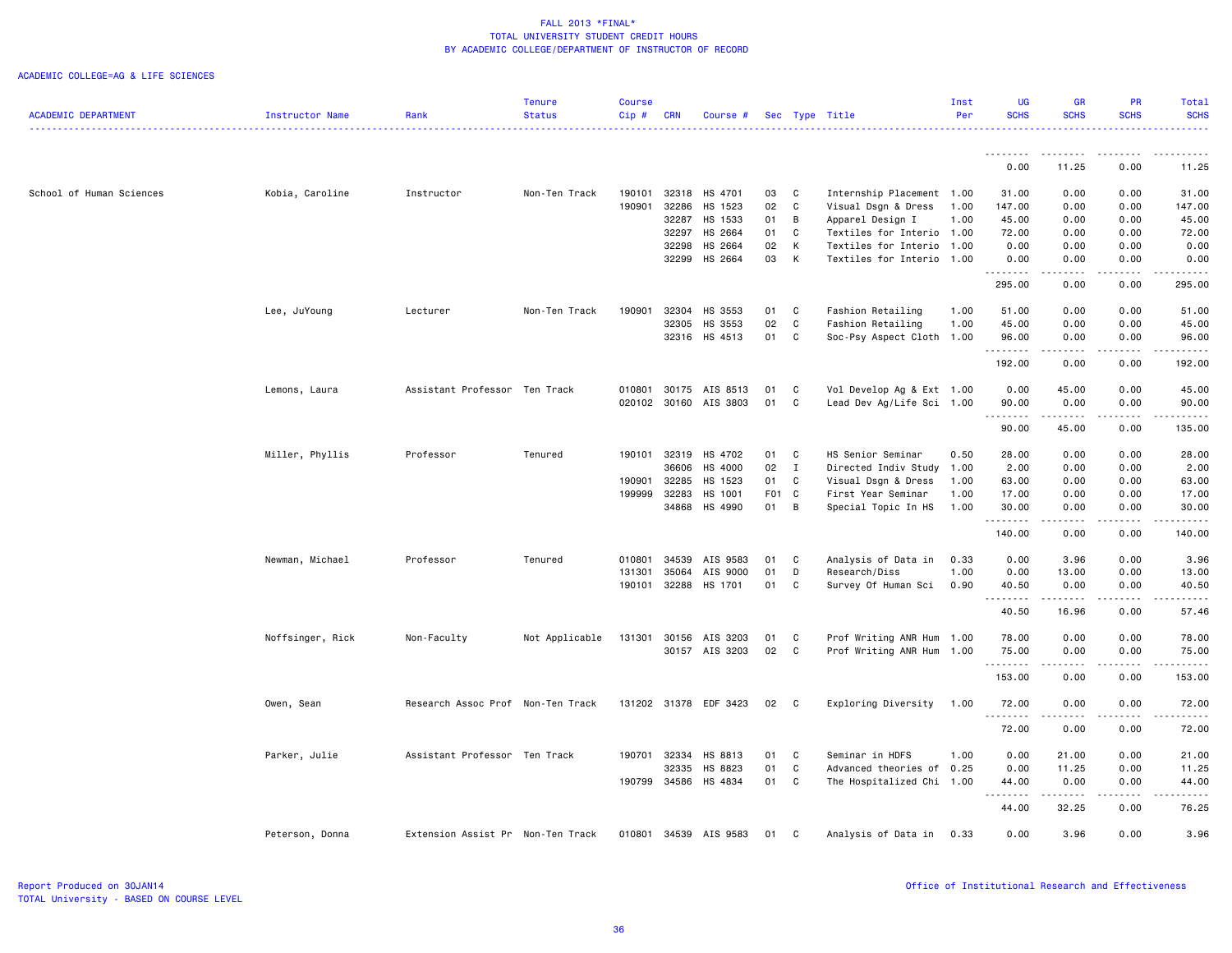#### ACADEMIC COLLEGE=AG & LIFE SCIENCES

|                            |                  |                                   | Tenure         | <b>Course</b> |            |                       |       |              |                           | Inst | UG                  | GR                                                                                                                                                           | <b>PR</b>             | Total            |
|----------------------------|------------------|-----------------------------------|----------------|---------------|------------|-----------------------|-------|--------------|---------------------------|------|---------------------|--------------------------------------------------------------------------------------------------------------------------------------------------------------|-----------------------|------------------|
| <b>ACADEMIC DEPARTMENT</b> | Instructor Name  | Rank                              | <b>Status</b>  | Cip#          | <b>CRN</b> | Course #              |       |              | Sec Type Title            | Per  | <b>SCHS</b>         | <b>SCHS</b>                                                                                                                                                  | <b>SCHS</b>           | <b>SCHS</b><br>. |
|                            |                  |                                   |                |               |            |                       |       |              |                           |      |                     |                                                                                                                                                              |                       |                  |
|                            |                  |                                   |                |               |            |                       |       |              |                           |      | 0.00                | 11.25                                                                                                                                                        | 0.00                  | 11.25            |
| School of Human Sciences   | Kobia, Caroline  | Instructor                        | Non-Ten Track  | 190101        | 32318      | HS 4701               | 03    | C            | Internship Placement 1.00 |      | 31.00               | 0.00                                                                                                                                                         | 0.00                  | 31.00            |
|                            |                  |                                   |                | 190901        | 32286      | HS 1523               | 02    | C            | Visual Dsgn & Dress       | 1.00 | 147.00              | 0.00                                                                                                                                                         | 0.00                  | 147.00           |
|                            |                  |                                   |                |               | 32287      | HS 1533               | 01    | В            | Apparel Design I          | 1.00 | 45.00               | 0.00                                                                                                                                                         | 0.00                  | 45.00            |
|                            |                  |                                   |                |               | 32297      | HS 2664               | 01    | C            | Textiles for Interio 1.00 |      | 72.00               | 0.00                                                                                                                                                         | 0.00                  | 72.00            |
|                            |                  |                                   |                |               | 32298      | HS 2664               | 02    | К            | Textiles for Interio 1.00 |      | 0.00                | 0.00                                                                                                                                                         | 0.00                  | 0.00             |
|                            |                  |                                   |                |               | 32299      | HS 2664               | 03    | K            | Textiles for Interio 1.00 |      | 0.00<br><u>.</u>    | 0.00<br>.                                                                                                                                                    | 0.00<br>$\frac{1}{2}$ | 0.00<br>.        |
|                            |                  |                                   |                |               |            |                       |       |              |                           |      | 295.00              | 0.00                                                                                                                                                         | 0.00                  | 295.00           |
|                            | Lee, JuYoung     | Lecturer                          | Non-Ten Track  | 190901        | 32304      | HS 3553               | 01    | C            | Fashion Retailing         | 1.00 | 51.00               | 0.00                                                                                                                                                         | 0.00                  | 51.00            |
|                            |                  |                                   |                |               | 32305      | HS 3553               | 02    | C            | Fashion Retailing         | 1.00 | 45.00               | 0.00                                                                                                                                                         | 0.00                  | 45.00            |
|                            |                  |                                   |                |               | 32316      | HS 4513               | 01    | C            | Soc-Psy Aspect Cloth      | 1.00 | 96.00<br><u>.</u>   | 0.00                                                                                                                                                         | 0.00                  | 96.00<br>.       |
|                            |                  |                                   |                |               |            |                       |       |              |                           |      | 192.00              | 0.00                                                                                                                                                         | 0.00                  | 192.00           |
|                            | Lemons, Laura    | Assistant Professor Ten Track     |                | 010801        |            | 30175 AIS 8513        | 01    | C            | Vol Develop Ag & Ext 1.00 |      | 0.00                | 45.00                                                                                                                                                        | 0.00                  | 45.00            |
|                            |                  |                                   |                |               |            | 020102 30160 AIS 3803 | 01    | C            | Lead Dev Ag/Life Sci 1.00 |      | 90.00               | 0.00                                                                                                                                                         | 0.00                  | 90.00            |
|                            |                  |                                   |                |               |            |                       |       |              |                           |      | .                   | .                                                                                                                                                            | .                     | .                |
|                            |                  |                                   |                |               |            |                       |       |              |                           |      | 90.00               | 45.00                                                                                                                                                        | 0.00                  | 135.00           |
|                            | Miller, Phyllis  | Professor                         | Tenured        | 190101        | 32319      | HS 4702               | 01    | C            | HS Senior Seminar         | 0.50 | 28.00               | 0.00                                                                                                                                                         | 0.00                  | 28.00            |
|                            |                  |                                   |                |               | 36606      | HS 4000               | 02    | $\mathbf{I}$ | Directed Indiv Study 1.00 |      | 2.00                | 0.00                                                                                                                                                         | 0.00                  | 2.00             |
|                            |                  |                                   |                | 190901        | 32285      | HS 1523               | 01    | C            | Visual Dsgn & Dress       | 1.00 | 63.00               | 0.00                                                                                                                                                         | 0.00                  | 63.00            |
|                            |                  |                                   |                | 199999        | 32283      | HS 1001               | F01 C |              | First Year Seminar        | 1.00 | 17.00               | 0.00                                                                                                                                                         | 0.00                  | 17.00            |
|                            |                  |                                   |                |               | 34868      | HS 4990               | 01    | B            | Special Topic In HS       | 1.00 | 30.00<br>. <b>.</b> | 0.00<br>$\frac{1}{2} \left( \frac{1}{2} \right) \left( \frac{1}{2} \right) \left( \frac{1}{2} \right) \left( \frac{1}{2} \right) \left( \frac{1}{2} \right)$ | 0.00<br>.             | 30.00<br>.       |
|                            |                  |                                   |                |               |            |                       |       |              |                           |      | 140.00              | 0.00                                                                                                                                                         | 0.00                  | 140.00           |
|                            | Newman, Michael  | Professor                         | Tenured        | 010801        | 34539      | AIS 9583              | 01    | C            | Analysis of Data in       | 0.33 | 0.00                | 3.96                                                                                                                                                         | 0.00                  | 3.96             |
|                            |                  |                                   |                | 131301        | 35064      | AIS 9000              | 01    | D            | Research/Diss             | 1.00 | 0.00                | 13.00                                                                                                                                                        | 0.00                  | 13.00            |
|                            |                  |                                   |                | 190101        | 32288      | HS 1701               | 01    | C            | Survey Of Human Sci       | 0.90 | 40.50<br>.          | 0.00<br>.                                                                                                                                                    | 0.00<br>.             | 40.50<br>.       |
|                            |                  |                                   |                |               |            |                       |       |              |                           |      | 40.50               | 16.96                                                                                                                                                        | 0.00                  | 57.46            |
|                            | Noffsinger, Rick | Non-Faculty                       | Not Applicable | 131301        | 30156      | AIS 3203              | 01    | C            | Prof Writing ANR Hum 1.00 |      | 78.00               | 0.00                                                                                                                                                         | 0.00                  | 78.00            |
|                            |                  |                                   |                |               |            | 30157 AIS 3203        | 02    | C            | Prof Writing ANR Hum 1.00 |      | 75.00               | 0.00                                                                                                                                                         | 0.00                  | 75.00            |
|                            |                  |                                   |                |               |            |                       |       |              |                           |      | .                   | -----                                                                                                                                                        | .                     | .                |
|                            |                  |                                   |                |               |            |                       |       |              |                           |      | 153.00              | 0.00                                                                                                                                                         | 0.00                  | 153.00           |
|                            | Owen, Sean       | Research Assoc Prof Non-Ten Track |                |               |            | 131202 31378 EDF 3423 | 02    | C            | Exploring Diversity       | 1.00 | 72.00<br>.          | 0.00                                                                                                                                                         | 0.00<br>$\frac{1}{2}$ | 72.00<br>.       |
|                            |                  |                                   |                |               |            |                       |       |              |                           |      | 72.00               | 0.00                                                                                                                                                         | 0.00                  | 72.00            |
|                            | Parker, Julie    | Assistant Professor Ten Track     |                | 190701        | 32334      | HS 8813               | 01    | C            | Seminar in HDFS           | 1.00 | 0.00                | 21.00                                                                                                                                                        | 0.00                  | 21.00            |
|                            |                  |                                   |                |               | 32335      | HS 8823               | 01    | $\mathtt{C}$ | Advanced theories of      | 0.25 | 0.00                | 11.25                                                                                                                                                        | 0.00                  | 11.25            |
|                            |                  |                                   |                | 190799        | 34586      | HS 4834               | 01    | C            | The Hospitalized Chi 1.00 |      | 44.00               | 0.00                                                                                                                                                         | 0.00                  | 44.00            |
|                            |                  |                                   |                |               |            |                       |       |              |                           |      | .                   | .                                                                                                                                                            | .                     | .                |
|                            |                  |                                   |                |               |            |                       |       |              |                           |      | 44.00               | 32.25                                                                                                                                                        | 0.00                  | 76.25            |
|                            | Peterson, Donna  | Extension Assist Pr Non-Ten Track |                | 010801        |            | 34539 AIS 9583        | 01    | C            | Analysis of Data in       | 0.33 | 0.00                | 3.96                                                                                                                                                         | 0.00                  | 3.96             |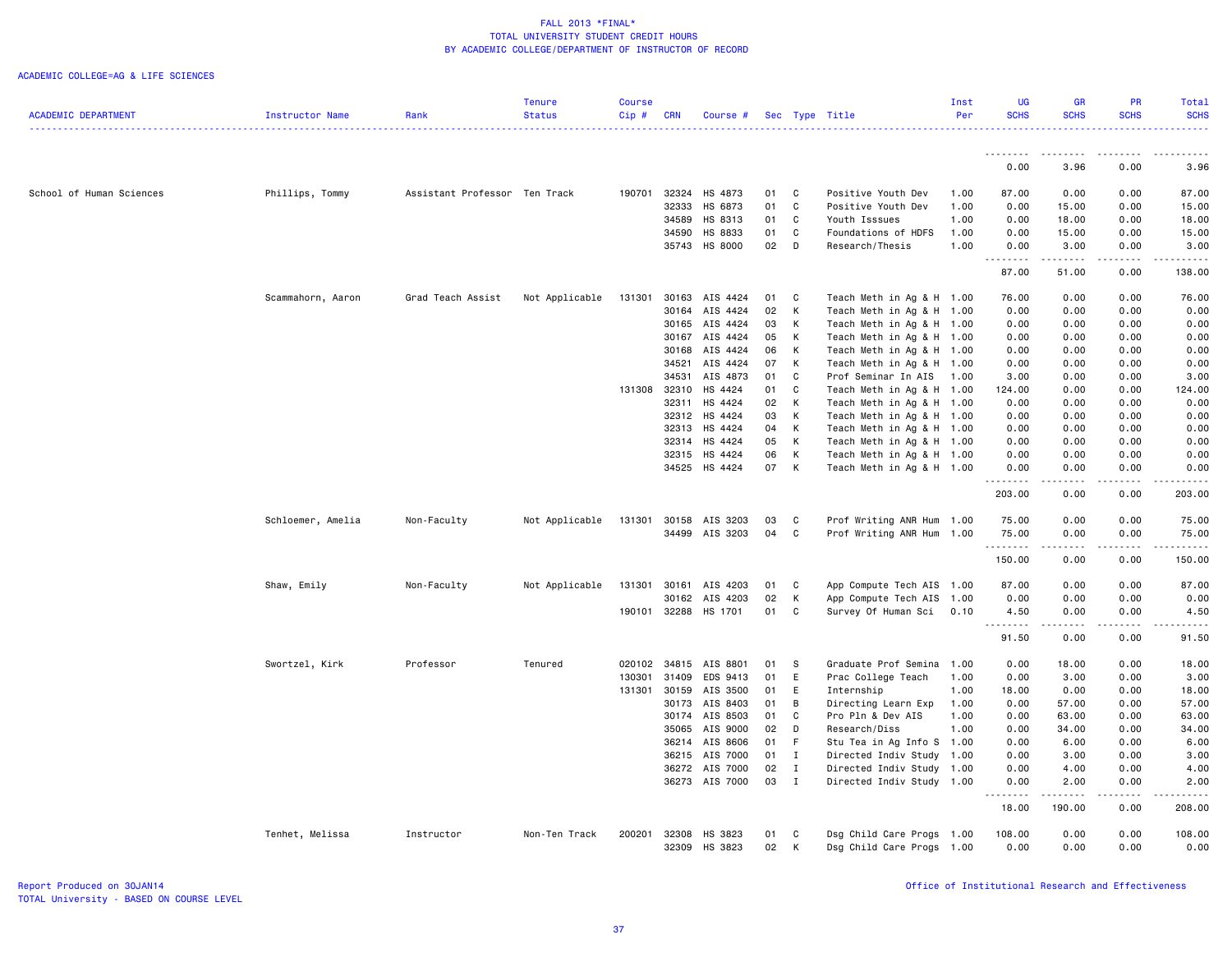### ACADEMIC COLLEGE=AG & LIFE SCIENCES

|                            |                   |                               | Tenure         | <b>Course</b> |                |                    |          |              |                                          | Inst         |                     |                                                                                                                                                      |              | Total          |
|----------------------------|-------------------|-------------------------------|----------------|---------------|----------------|--------------------|----------|--------------|------------------------------------------|--------------|---------------------|------------------------------------------------------------------------------------------------------------------------------------------------------|--------------|----------------|
| <b>ACADEMIC DEPARTMENT</b> | Instructor Name   | Rank                          | <b>Status</b>  | Cip#          | <b>CRN</b>     | Course #           |          |              | Sec Type Title                           | Per          | <b>SCHS</b>         | <b>SCHS</b>                                                                                                                                          | <b>SCHS</b>  | <b>SCHS</b>    |
|                            |                   |                               |                |               |                |                    |          |              |                                          |              |                     |                                                                                                                                                      |              |                |
|                            |                   |                               |                |               |                |                    |          |              |                                          |              |                     |                                                                                                                                                      |              |                |
|                            |                   |                               |                |               |                |                    |          |              |                                          |              | .                   | --------                                                                                                                                             | <u>.</u>     | .              |
|                            |                   |                               |                |               |                |                    |          |              |                                          |              | 0.00                | 3.96                                                                                                                                                 | 0.00         | 3.96           |
|                            |                   |                               |                |               |                |                    |          |              |                                          |              |                     |                                                                                                                                                      |              |                |
| School of Human Sciences   | Phillips, Tommy   | Assistant Professor Ten Track |                | 190701        | 32324<br>32333 | HS 4873<br>HS 6873 | 01<br>01 | C<br>C       | Positive Youth Dev<br>Positive Youth Dev | 1.00<br>1.00 | 87.00<br>0.00       | 0.00<br>15.00                                                                                                                                        | 0.00<br>0.00 | 87.00<br>15.00 |
|                            |                   |                               |                |               | 34589          | HS 8313            | 01       | C            | Youth Isssues                            | 1.00         | 0.00                | 18.00                                                                                                                                                | 0.00         | 18.00          |
|                            |                   |                               |                |               | 34590          | HS 8833            | 01       | C            | Foundations of HDFS                      | 1.00         | 0.00                | 15.00                                                                                                                                                | 0.00         | 15.00          |
|                            |                   |                               |                |               |                |                    |          | D            |                                          |              |                     |                                                                                                                                                      |              |                |
|                            |                   |                               |                |               | 35743          | HS 8000            | 02       |              | Research/Thesis                          | 1.00         | 0.00<br>$- - - - -$ | 3.00<br>.                                                                                                                                            | 0.00<br>.    | 3.00<br>.      |
|                            |                   |                               |                |               |                |                    |          |              |                                          |              | 87.00               | 51.00                                                                                                                                                | 0.00         | 138.00         |
|                            | Scammahorn, Aaron | Grad Teach Assist             | Not Applicable | 131301        | 30163          | AIS 4424           | 01       | C            | Teach Meth in Ag & H 1.00                |              | 76.00               | 0.00                                                                                                                                                 | 0.00         | 76.00          |
|                            |                   |                               |                |               | 30164          | AIS 4424           | 02       | К            | Teach Meth in Ag & H 1.00                |              | 0.00                | 0.00                                                                                                                                                 | 0.00         | 0.00           |
|                            |                   |                               |                |               | 30165          | AIS 4424           | 03       | Κ            | Teach Meth in Ag & H 1.00                |              | 0.00                | 0.00                                                                                                                                                 | 0.00         | 0.00           |
|                            |                   |                               |                |               | 30167          | AIS 4424           | 05       | К            | Teach Meth in Ag & H 1.00                |              | 0.00                | 0.00                                                                                                                                                 | 0.00         | 0.00           |
|                            |                   |                               |                |               | 30168          | AIS 4424           | 06       | К            | Teach Meth in Ag & H 1.00                |              | 0.00                | 0.00                                                                                                                                                 | 0.00         | 0.00           |
|                            |                   |                               |                |               | 34521          | AIS 4424           | 07       | К            | Teach Meth in Ag & H 1.00                |              | 0.00                | 0.00                                                                                                                                                 | 0.00         | 0.00           |
|                            |                   |                               |                |               | 34531          | AIS 4873           | 01       | C            | Prof Seminar In AIS                      | 1.00         | 3.00                | 0.00                                                                                                                                                 | 0.00         | 3.00           |
|                            |                   |                               |                | 131308 32310  |                | HS 4424            | 01       | C            | Teach Meth in Ag & H 1.00                |              | 124.00              | 0.00                                                                                                                                                 | 0.00         | 124.00         |
|                            |                   |                               |                |               | 32311          | HS 4424            | 02       | К            | Teach Meth in Ag & H 1.00                |              | 0.00                | 0.00                                                                                                                                                 | 0.00         | 0.00           |
|                            |                   |                               |                |               | 32312          | HS 4424            | 03       | К            | Teach Meth in Ag & H 1.00                |              | 0.00                | 0.00                                                                                                                                                 | 0.00         | 0.00           |
|                            |                   |                               |                |               | 32313          | HS 4424            | 04       | К            | Teach Meth in Ag & H 1.00                |              | 0.00                | 0.00                                                                                                                                                 | 0.00         | 0.00           |
|                            |                   |                               |                |               | 32314          | HS 4424            | 05       | К            | Teach Meth in Ag & H 1.00                |              | 0.00                | 0.00                                                                                                                                                 | 0.00         | 0.00           |
|                            |                   |                               |                |               | 32315          | HS 4424            | 06       | К            | Teach Meth in Ag & H 1.00                |              | 0.00                | 0.00                                                                                                                                                 | 0.00         | 0.00           |
|                            |                   |                               |                |               | 34525          | HS 4424            | 07       | К            | Teach Meth in Ag & H 1.00                |              | 0.00                | 0.00                                                                                                                                                 | 0.00         | 0.00           |
|                            |                   |                               |                |               |                |                    |          |              |                                          |              | .                   | $\frac{1}{2} \left( \frac{1}{2} \right) \left( \frac{1}{2} \right) \left( \frac{1}{2} \right) \left( \frac{1}{2} \right) \left( \frac{1}{2} \right)$ | .            | .              |
|                            |                   |                               |                |               |                |                    |          |              |                                          |              | 203.00              | 0.00                                                                                                                                                 | 0.00         | 203.00         |
|                            | Schloemer, Amelia | Non-Faculty                   | Not Applicable | 131301        |                | 30158 AIS 3203     | 03       | C            | Prof Writing ANR Hum 1.00                |              | 75.00               | 0.00                                                                                                                                                 | 0.00         | 75.00          |
|                            |                   |                               |                |               |                | 34499 AIS 3203     | 04       | C            | Prof Writing ANR Hum 1.00                |              | 75.00               | 0.00                                                                                                                                                 | 0.00         | 75.00          |
|                            |                   |                               |                |               |                |                    |          |              |                                          |              | <u>.</u>            |                                                                                                                                                      | .            | .              |
|                            |                   |                               |                |               |                |                    |          |              |                                          |              | 150.00              | 0.00                                                                                                                                                 | 0.00         | 150.00         |
|                            | Shaw, Emily       | Non-Faculty                   | Not Applicable | 131301        | 30161          | AIS 4203           | 01       | C            | App Compute Tech AIS 1.00                |              | 87.00               | 0.00                                                                                                                                                 | 0.00         | 87.00          |
|                            |                   |                               |                |               | 30162          | AIS 4203           | 02       | К            | App Compute Tech AIS 1.00                |              | 0.00                | 0.00                                                                                                                                                 | 0.00         | 0.00           |
|                            |                   |                               |                | 190101 32288  |                | HS 1701            | 01       | C            | Survey Of Human Sci                      | 0.10         | 4.50                | 0.00                                                                                                                                                 | 0.00         | 4.50           |
|                            |                   |                               |                |               |                |                    |          |              |                                          |              | .                   | $\frac{1}{2} \left( \frac{1}{2} \right) \left( \frac{1}{2} \right) \left( \frac{1}{2} \right) \left( \frac{1}{2} \right) \left( \frac{1}{2} \right)$ | .            | .              |
|                            |                   |                               |                |               |                |                    |          |              |                                          |              | 91.50               | 0.00                                                                                                                                                 | 0.00         | 91.50          |
|                            | Swortzel, Kirk    | Professor                     | Tenured        | 020102        | 34815          | AIS 8801           | 01       | s            | Graduate Prof Semina                     | 1.00         | 0.00                | 18.00                                                                                                                                                | 0.00         | 18.00          |
|                            |                   |                               |                | 130301        | 31409          | EDS 9413           | 01       | E            | Prac College Teach                       | 1.00         | 0.00                | 3.00                                                                                                                                                 | 0.00         | 3.00           |
|                            |                   |                               |                | 131301 30159  |                | AIS 3500           | 01       | Ε            | Internship                               | 1.00         | 18.00               | 0.00                                                                                                                                                 | 0.00         | 18.00          |
|                            |                   |                               |                |               | 30173          | AIS 8403           | 01       | B            | Directing Learn Exp                      | 1.00         | 0.00                | 57.00                                                                                                                                                | 0.00         | 57.00          |
|                            |                   |                               |                |               | 30174          | AIS 8503           | 01       | C.           | Pro Pln & Dev AIS                        | 1.00         | 0.00                | 63.00                                                                                                                                                | 0.00         | 63.00          |
|                            |                   |                               |                |               | 35065          | AIS 9000           | 02       | D            | Research/Diss                            | 1.00         | 0.00                | 34.00                                                                                                                                                | 0.00         | 34.00          |
|                            |                   |                               |                |               | 36214          | AIS 8606           | 01       | F.           | Stu Tea in Ag Info S 1.00                |              | 0.00                | 6.00                                                                                                                                                 | 0.00         | 6.00           |
|                            |                   |                               |                |               | 36215          | AIS 7000           | 01       | $\mathbf{I}$ | Directed Indiv Study 1.00                |              | 0.00                | 3.00                                                                                                                                                 | 0.00         | 3.00           |
|                            |                   |                               |                |               | 36272          | AIS 7000           | 02       | $\mathbf{I}$ | Directed Indiv Study 1.00                |              | 0.00                | 4.00                                                                                                                                                 | 0.00         | 4.00           |
|                            |                   |                               |                |               |                | 36273 AIS 7000     | 03       | $\mathbf{I}$ | Directed Indiv Study 1.00                |              | 0.00                | 2.00                                                                                                                                                 | 0.00         | 2.00           |
|                            |                   |                               |                |               |                |                    |          |              |                                          |              | -----               | . <u>.</u>                                                                                                                                           | .            | .              |
|                            |                   |                               |                |               |                |                    |          |              |                                          |              | 18.00               | 190.00                                                                                                                                               | 0.00         | 208.00         |
|                            | Tenhet, Melissa   | Instructor                    | Non-Ten Track  | 200201        | 32308          | HS 3823            | 01       | C            | Dsg Child Care Progs 1.00                |              | 108.00              | 0.00                                                                                                                                                 | 0.00         | 108.00         |
|                            |                   |                               |                |               | 32309          | HS 3823            | 02       | Κ            | Dsg Child Care Progs                     | 1.00         | 0.00                | 0.00                                                                                                                                                 | 0.00         | 0.00           |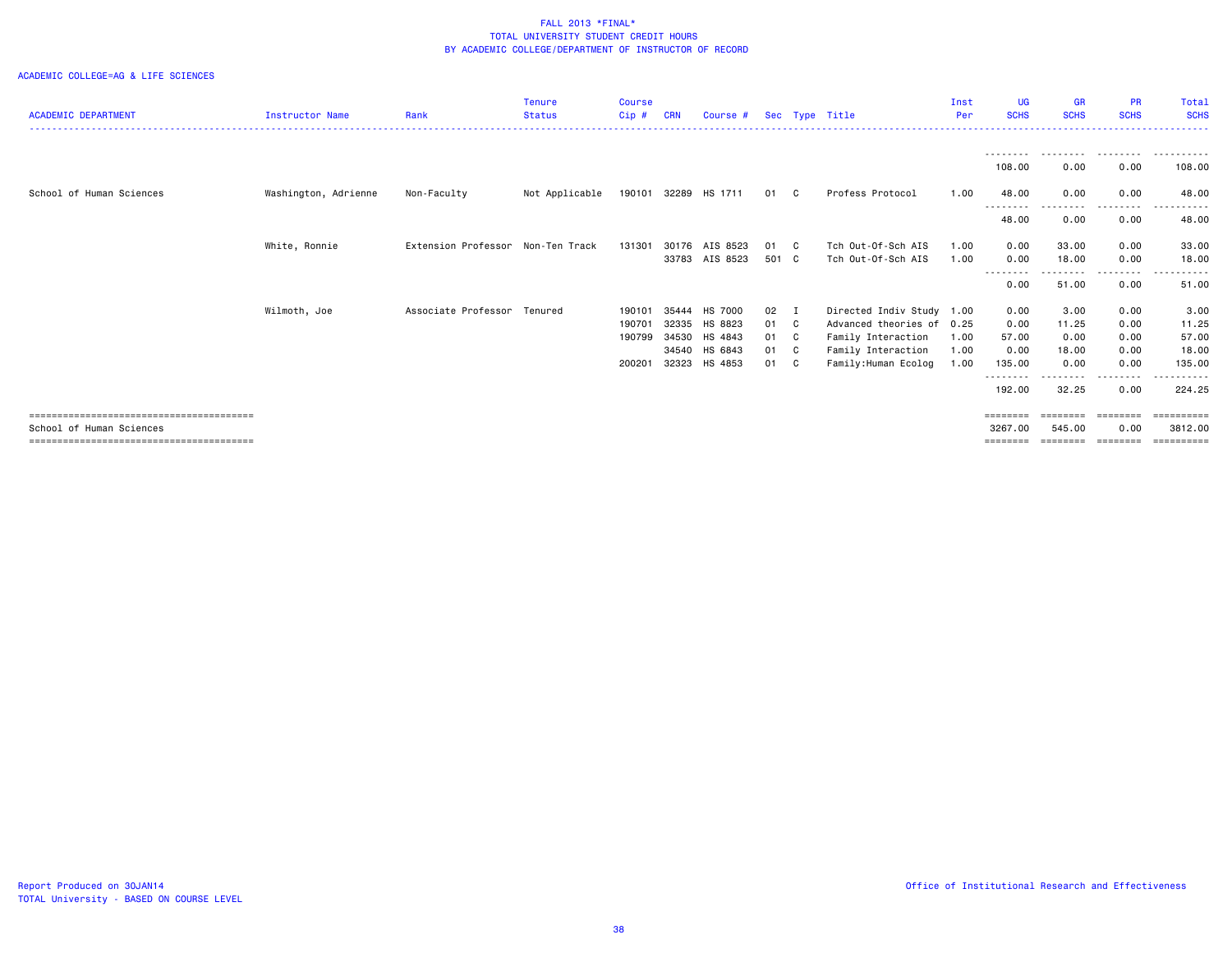### ACADEMIC COLLEGE=AG & LIFE SCIENCES

|                            |                        |                                   | <b>Tenure</b>  | <b>Course</b> |            |                |       |              |                           | Inst | <b>UG</b>           | <b>GR</b>          | <b>PR</b>        | Total                |
|----------------------------|------------------------|-----------------------------------|----------------|---------------|------------|----------------|-------|--------------|---------------------------|------|---------------------|--------------------|------------------|----------------------|
| <b>ACADEMIC DEPARTMENT</b> | <b>Instructor Name</b> | Rank                              | <b>Status</b>  | Cip#          | <b>CRN</b> | Course #       |       |              | Sec Type Title            | Per  | <b>SCHS</b>         | <b>SCHS</b>        | <b>SCHS</b>      | <b>SCHS</b>          |
|                            |                        |                                   |                |               |            |                |       |              |                           |      |                     |                    |                  |                      |
|                            |                        |                                   |                |               |            |                |       |              |                           |      | ---------<br>108.00 | .<br>0.00          | .<br>0.00        | ----------<br>108.00 |
| School of Human Sciences   | Washington, Adrienne   | Non-Faculty                       | Not Applicable | 190101        | 32289      | HS 1711        | 01    | <b>C</b>     | Profess Protocol          | 1.00 | 48.00<br>--------   | 0.00               | 0.00             | 48.00                |
|                            |                        |                                   |                |               |            |                |       |              |                           |      | 48.00               | 0.00               | 0.00             | 48.00                |
|                            | White, Ronnie          | Extension Professor Non-Ten Track |                | 131301        | 30176      | AIS 8523       | 01    | $\mathbf{C}$ | Tch Out-Of-Sch AIS        | 1.00 | 0.00                | 33.00              | 0.00             | 33.00                |
|                            |                        |                                   |                |               |            | 33783 AIS 8523 | 501 C |              | Tch Out-Of-Sch AIS        | 1.00 | 0.00                | 18.00              | 0.00             | 18.00                |
|                            |                        |                                   |                |               |            |                |       |              |                           |      | ---------<br>0.00   | ---------<br>51.00 | --------<br>0.00 | .<br>51.00           |
|                            | Wilmoth, Joe           | Associate Professor Tenured       |                | 190101        | 35444      | HS 7000        | 02    | I            | Directed Indiv Study 1.00 |      | 0.00                | 3.00               | 0.00             | 3.00                 |
|                            |                        |                                   |                | 190701        | 32335      | HS 8823        | 01    | C            | Advanced theories of      | 0.25 | 0.00                | 11.25              | 0.00             | 11.25                |
|                            |                        |                                   |                | 190799        | 34530      | HS 4843        | 01    | $\mathbf{C}$ | Family Interaction        | 1.00 | 57.00               | 0.00               | 0.00             | 57.00                |
|                            |                        |                                   |                |               | 34540      | HS 6843        | 01 C  |              | Family Interaction        | 1.00 | 0.00                | 18.00              | 0.00             | 18.00                |
|                            |                        |                                   |                | 200201        | 32323      | HS 4853        | 01    | C.           | Family: Human Ecolog      | 1.00 | 135.00              | 0.00               | 0.00             | 135.00               |
|                            |                        |                                   |                |               |            |                |       |              |                           |      | --------<br>192.00  | 32.25              | 0.00             | 224.25               |
|                            |                        |                                   |                |               |            |                |       |              |                           |      | ========            | ========           | ========         | ==========           |
| School of Human Sciences   |                        |                                   |                |               |            |                |       |              |                           |      | 3267.00             | 545.00             | 0.00             | 3812,00              |
|                            |                        |                                   |                |               |            |                |       |              |                           |      | ========            | ========           | ========         | ==========           |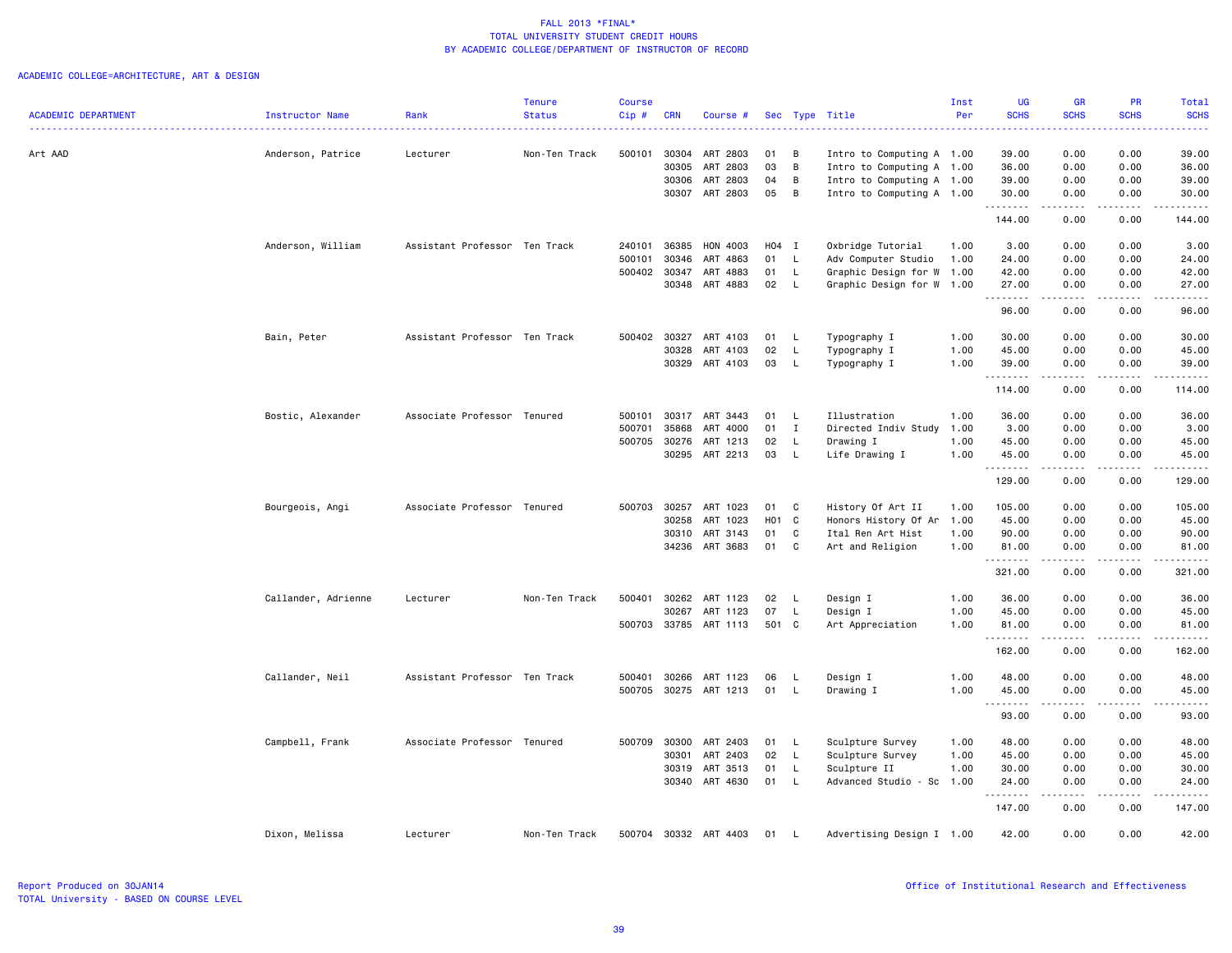|                            |                     |                               | <b>Tenure</b> | <b>Course</b> |            |                      |       |              |                           | Inst | <b>UG</b>          | <b>GR</b>     | PR                    | Total                                                                                                                                                                                    |
|----------------------------|---------------------|-------------------------------|---------------|---------------|------------|----------------------|-------|--------------|---------------------------|------|--------------------|---------------|-----------------------|------------------------------------------------------------------------------------------------------------------------------------------------------------------------------------------|
| <b>ACADEMIC DEPARTMENT</b> | Instructor Name     | Rank                          | <b>Status</b> | Cip#          | <b>CRN</b> | Course #             |       |              | Sec Type Title            | Per  | <b>SCHS</b>        | <b>SCHS</b>   | <b>SCHS</b>           | <b>SCHS</b><br>22223                                                                                                                                                                     |
| Art AAD                    | Anderson, Patrice   | Lecturer                      | Non-Ten Track | 500101        | 30304      | ART 2803             | 01    | в            | Intro to Computing A 1.00 |      | 39.00              | 0.00          | 0.00                  | 39.00                                                                                                                                                                                    |
|                            |                     |                               |               |               | 30305      | ART 2803             | 03    | В            | Intro to Computing A 1.00 |      | 36.00              | 0.00          | 0.00                  | 36.00                                                                                                                                                                                    |
|                            |                     |                               |               |               | 30306      | ART 2803             | 04    | В            | Intro to Computing A 1.00 |      | 39.00              | 0.00          | 0.00                  | 39.00                                                                                                                                                                                    |
|                            |                     |                               |               |               | 30307      | ART 2803             | 05    | В            | Intro to Computing A 1.00 |      | 30.00              | 0.00          | 0.00                  | 30.00                                                                                                                                                                                    |
|                            |                     |                               |               |               |            |                      |       |              |                           |      | <u>.</u><br>144.00 | 0.00          | $\frac{1}{2}$<br>0.00 | $\frac{1}{2}$<br>144.00                                                                                                                                                                  |
|                            | Anderson, William   | Assistant Professor Ten Track |               | 240101        | 36385      | HON 4003             | H04 I |              | Oxbridge Tutorial         | 1.00 | 3.00               | 0.00          | 0.00                  | 3.00                                                                                                                                                                                     |
|                            |                     |                               |               | 500101        | 30346      | ART 4863             | 01    | $\mathsf{L}$ | Adv Computer Studio       | 1.00 | 24.00              | 0.00          | 0.00                  | 24.00                                                                                                                                                                                    |
|                            |                     |                               |               | 500402        | 30347      | ART 4883             | 01    | L.           | Graphic Design for W 1.00 |      | 42.00              | 0.00          | 0.00                  | 42.00                                                                                                                                                                                    |
|                            |                     |                               |               |               | 30348      | ART 4883             | 02    | L            | Graphic Design for W 1.00 |      | 27.00<br>.         | 0.00          | 0.00                  | 27.00<br>$\frac{1}{2}$                                                                                                                                                                   |
|                            |                     |                               |               |               |            |                      |       |              |                           |      | 96.00              | 0.00          | 0.00                  | 96.00                                                                                                                                                                                    |
|                            | Bain, Peter         | Assistant Professor Ten Track |               | 500402        | 30327      | ART 4103             | 01    | L.           | Typography I              | 1.00 | 30.00              | 0.00          | 0.00                  | 30.00                                                                                                                                                                                    |
|                            |                     |                               |               |               | 30328      | ART 4103             | 02    | L            | Typography I              | 1.00 | 45.00              | 0.00          | 0.00                  | 45.00                                                                                                                                                                                    |
|                            |                     |                               |               |               | 30329      | ART 4103             | 03    | L            | Typography I              | 1.00 | 39.00<br><u>.</u>  | 0.00          | 0.00<br>$\frac{1}{2}$ | 39.00<br>.                                                                                                                                                                               |
|                            |                     |                               |               |               |            |                      |       |              |                           |      | 114.00             | 0.00          | 0.00                  | 114.00                                                                                                                                                                                   |
|                            | Bostic, Alexander   | Associate Professor Tenured   |               | 500101        | 30317      | ART 3443             | 01    | L.           | Illustration              | 1.00 | 36.00              | 0.00          | 0.00                  | 36.00                                                                                                                                                                                    |
|                            |                     |                               |               | 500701        | 35868      | ART 4000             | 01    | $\mathbf{I}$ | Directed Indiv Study 1.00 |      | 3.00               | 0.00          | 0.00                  | 3.00                                                                                                                                                                                     |
|                            |                     |                               |               | 500705        | 30276      |                      | 02    | L            | Drawing I                 | 1.00 | 45.00              | 0.00          | 0.00                  | 45.00                                                                                                                                                                                    |
|                            |                     |                               |               |               | 30295      | ART 1213<br>ART 2213 | 03    | L            | Life Drawing I            | 1.00 | 45.00              | 0.00          | 0.00                  | 45.00                                                                                                                                                                                    |
|                            |                     |                               |               |               |            |                      |       |              |                           |      | .                  |               | $\frac{1}{2}$         | .                                                                                                                                                                                        |
|                            |                     |                               |               |               |            |                      |       |              |                           |      | 129.00             | 0.00          | 0.00                  | 129.00                                                                                                                                                                                   |
|                            | Bourgeois, Angi     | Associate Professor Tenured   |               | 500703        | 30257      | ART 1023             | 01    | C            | History Of Art II         | 1.00 | 105.00             | 0.00          | 0.00                  | 105.00                                                                                                                                                                                   |
|                            |                     |                               |               |               | 30258      | ART 1023             | H01 C |              | Honors History Of Ar      | 1.00 | 45.00              | 0.00          | 0.00                  | 45.00                                                                                                                                                                                    |
|                            |                     |                               |               |               | 30310      | ART 3143             | 01    | C            | Ital Ren Art Hist         | 1.00 | 90.00              | 0.00          | 0.00                  | 90.00                                                                                                                                                                                    |
|                            |                     |                               |               |               | 34236      | ART 3683             | 01    | C            | Art and Religion          | 1.00 | 81.00<br>.         | 0.00<br>.     | 0.00<br>.             | 81.00<br>$\frac{1}{2} \left( \frac{1}{2} \right) \left( \frac{1}{2} \right) \left( \frac{1}{2} \right) \left( \frac{1}{2} \right) \left( \frac{1}{2} \right) \left( \frac{1}{2} \right)$ |
|                            |                     |                               |               |               |            |                      |       |              |                           |      | 321.00             | 0.00          | 0.00                  | 321.00                                                                                                                                                                                   |
|                            | Callander, Adrienne | Lecturer                      | Non-Ten Track | 500401        | 30262      | ART 1123             | 02    | L            | Design I                  | 1.00 | 36.00              | 0.00          | 0.00                  | 36.00                                                                                                                                                                                    |
|                            |                     |                               |               |               | 30267      | ART 1123             | 07    | L            | Design I                  | 1.00 | 45.00              | 0.00          | 0.00                  | 45.00                                                                                                                                                                                    |
|                            |                     |                               |               | 500703        |            | 33785 ART 1113       | 501 C |              | Art Appreciation          | 1.00 | 81.00<br>.         | 0.00<br>----- | 0.00<br>.             | 81.00<br>.                                                                                                                                                                               |
|                            |                     |                               |               |               |            |                      |       |              |                           |      | 162.00             | 0.00          | 0.00                  | 162.00                                                                                                                                                                                   |
|                            | Callander, Neil     | Assistant Professor Ten Track |               | 500401        | 30266      | ART 1123             | 06    | L            | Design I                  | 1.00 | 48.00              | 0.00          | 0.00                  | 48.00                                                                                                                                                                                    |
|                            |                     |                               |               | 500705        |            | 30275 ART 1213       | 01    | L            | Drawing I                 | 1.00 | 45.00              | 0.00          | 0.00                  | 45.00                                                                                                                                                                                    |
|                            |                     |                               |               |               |            |                      |       |              |                           |      | .                  | .             | .                     | .                                                                                                                                                                                        |
|                            |                     |                               |               |               |            |                      |       |              |                           |      | 93.00              | 0.00          | 0.00                  | 93.00                                                                                                                                                                                    |
|                            | Campbell, Frank     | Associate Professor Tenured   |               | 500709        | 30300      | ART 2403             | 01    | L.           | Sculpture Survey          | 1.00 | 48.00              | 0.00          | 0.00                  | 48.00                                                                                                                                                                                    |
|                            |                     |                               |               |               | 30301      | ART 2403             | 02    | $\mathsf{L}$ | Sculpture Survey          | 1.00 | 45.00              | 0.00          | 0.00                  | 45.00                                                                                                                                                                                    |
|                            |                     |                               |               |               | 30319      | ART 3513             | 01    | L            | Sculpture II              | 1.00 | 30.00              | 0.00          | 0.00                  | 30.00                                                                                                                                                                                    |
|                            |                     |                               |               |               |            | 30340 ART 4630       | 01    | L            | Advanced Studio - Sc      | 1.00 | 24.00<br>.         | 0.00<br>.     | 0.00<br>.             | 24.00<br>.                                                                                                                                                                               |
|                            |                     |                               |               |               |            |                      |       |              |                           |      | 147.00             | 0.00          | 0.00                  | 147.00                                                                                                                                                                                   |
|                            | Dixon, Melissa      | Lecturer                      | Non-Ten Track | 500704        |            | 30332 ART 4403       | 01    | L.           | Advertising Design I 1.00 |      | 42.00              | 0.00          | 0.00                  | 42.00                                                                                                                                                                                    |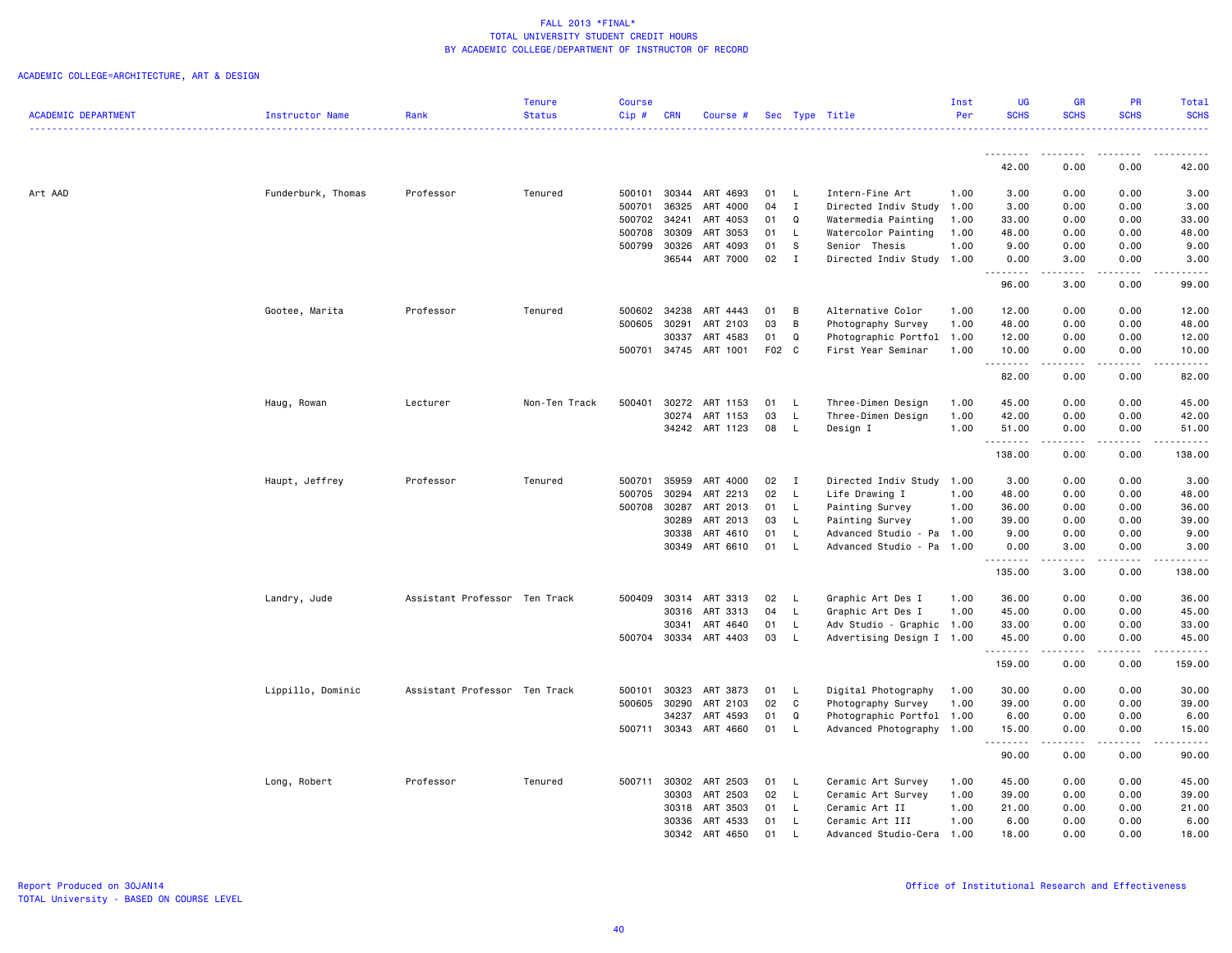|                            |                        |                               | Tenure        | <b>Course</b> |            |                |    |              |                           | Inst | <b>UG</b>                                                                                                                                                                                                                                                                                                                                                                                                                                                                                       | <b>GR</b>            | <b>PR</b>   | Total                |
|----------------------------|------------------------|-------------------------------|---------------|---------------|------------|----------------|----|--------------|---------------------------|------|-------------------------------------------------------------------------------------------------------------------------------------------------------------------------------------------------------------------------------------------------------------------------------------------------------------------------------------------------------------------------------------------------------------------------------------------------------------------------------------------------|----------------------|-------------|----------------------|
| <b>ACADEMIC DEPARTMENT</b> | <b>Instructor Name</b> | Rank                          | <b>Status</b> | $Cip$ #       | <b>CRN</b> | Course #       |    |              | Sec Type Title            | Per  | <b>SCHS</b>                                                                                                                                                                                                                                                                                                                                                                                                                                                                                     | <b>SCHS</b>          | <b>SCHS</b> | <b>SCHS</b>          |
|                            |                        |                               |               |               |            |                |    |              |                           |      |                                                                                                                                                                                                                                                                                                                                                                                                                                                                                                 |                      | .           |                      |
|                            |                        |                               |               |               |            |                |    |              |                           |      | <u>.</u><br>42.00                                                                                                                                                                                                                                                                                                                                                                                                                                                                               | <u>.</u><br>0.00     | 0.00        | .<br>42.00           |
| Art AAD                    | Funderburk, Thomas     | Professor                     | Tenured       | 500101        | 30344      | ART 4693       | 01 | $\mathsf{L}$ | Intern-Fine Art           | 1.00 | 3.00                                                                                                                                                                                                                                                                                                                                                                                                                                                                                            | 0.00                 | 0.00        | 3.00                 |
|                            |                        |                               |               | 500701        | 36325      | ART 4000       | 04 | $\mathbf{I}$ | Directed Indiv Study      | 1.00 | 3.00                                                                                                                                                                                                                                                                                                                                                                                                                                                                                            | 0.00                 | 0.00        | 3.00                 |
|                            |                        |                               |               | 500702        | 34241      | ART 4053       | 01 | Q            | Watermedia Painting       | 1.00 | 33.00                                                                                                                                                                                                                                                                                                                                                                                                                                                                                           | 0.00                 | 0.00        | 33.00                |
|                            |                        |                               |               | 500708        | 30309      | ART 3053       | 01 | $\mathsf{L}$ | Watercolor Painting       | 1.00 | 48.00                                                                                                                                                                                                                                                                                                                                                                                                                                                                                           | 0.00                 | 0.00        | 48.00                |
|                            |                        |                               |               | 500799        | 30326      | ART 4093       | 01 | <b>S</b>     | Senior Thesis             | 1.00 | 9.00                                                                                                                                                                                                                                                                                                                                                                                                                                                                                            | 0.00                 | 0.00        | 9.00                 |
|                            |                        |                               |               |               | 36544      | ART 7000       | 02 | $\mathbf{I}$ | Directed Indiv Study 1.00 |      | 0.00                                                                                                                                                                                                                                                                                                                                                                                                                                                                                            | 3.00                 | 0.00        | 3.00                 |
|                            |                        |                               |               |               |            |                |    |              |                           |      | .<br>96.00                                                                                                                                                                                                                                                                                                                                                                                                                                                                                      | -----<br>3.00        | .<br>0.00   | والمستحدث<br>99.00   |
|                            | Gootee, Marita         | Professor                     | Tenured       | 500602        | 34238      | ART 4443       | 01 | B            | Alternative Color         | 1.00 | 12.00                                                                                                                                                                                                                                                                                                                                                                                                                                                                                           | 0.00                 | 0.00        | 12.00                |
|                            |                        |                               |               | 500605        | 30291      | ART 2103       | 03 | B            | Photography Survey        | 1.00 | 48.00                                                                                                                                                                                                                                                                                                                                                                                                                                                                                           | 0.00                 | 0.00        | 48.00                |
|                            |                        |                               |               |               | 30337      | ART 4583       | 01 | $\mathsf Q$  | Photographic Portfol 1.00 |      | 12.00                                                                                                                                                                                                                                                                                                                                                                                                                                                                                           | 0.00                 | 0.00        | 12.00                |
|                            |                        |                               |               | 500701        | 34745      | ART 1001       |    | F02 C        | First Year Seminar        | 1.00 | 10.00                                                                                                                                                                                                                                                                                                                                                                                                                                                                                           | 0.00                 | 0.00        | 10.00                |
|                            |                        |                               |               |               |            |                |    |              |                           |      | $\begin{array}{cccccccccc} \multicolumn{2}{c}{} & \multicolumn{2}{c}{} & \multicolumn{2}{c}{} & \multicolumn{2}{c}{} & \multicolumn{2}{c}{} & \multicolumn{2}{c}{} & \multicolumn{2}{c}{} & \multicolumn{2}{c}{} & \multicolumn{2}{c}{} & \multicolumn{2}{c}{} & \multicolumn{2}{c}{} & \multicolumn{2}{c}{} & \multicolumn{2}{c}{} & \multicolumn{2}{c}{} & \multicolumn{2}{c}{} & \multicolumn{2}{c}{} & \multicolumn{2}{c}{} & \multicolumn{2}{c}{} & \multicolumn{2}{c}{} & \mult$<br>82.00 | المتمدين<br>0.00     | .<br>0.00   | .<br>82.00           |
|                            | Haug, Rowan            | Lecturer                      | Non-Ten Track | 500401        | 30272      | ART 1153       | 01 | L.           | Three-Dimen Design        | 1.00 | 45.00                                                                                                                                                                                                                                                                                                                                                                                                                                                                                           | 0.00                 | 0.00        | 45.00                |
|                            |                        |                               |               |               | 30274      | ART 1153       | 03 | <b>L</b>     | Three-Dimen Design        | 1.00 | 42.00                                                                                                                                                                                                                                                                                                                                                                                                                                                                                           | 0.00                 | 0.00        | 42.00                |
|                            |                        |                               |               |               |            | 34242 ART 1123 | 08 | $\mathsf{L}$ | Design I                  | 1.00 | 51.00                                                                                                                                                                                                                                                                                                                                                                                                                                                                                           | 0.00                 | 0.00        | 51.00                |
|                            |                        |                               |               |               |            |                |    |              |                           |      | . <b>.</b>                                                                                                                                                                                                                                                                                                                                                                                                                                                                                      | $\omega$ is a set of | .           | .                    |
|                            |                        |                               |               |               |            |                |    |              |                           |      | 138.00                                                                                                                                                                                                                                                                                                                                                                                                                                                                                          | 0.00                 | 0.00        | 138.00               |
|                            | Haupt, Jeffrey         | Professor                     | Tenured       | 500701        | 35959      | ART 4000       | 02 | $\mathbf{I}$ | Directed Indiv Study      | 1.00 | 3.00                                                                                                                                                                                                                                                                                                                                                                                                                                                                                            | 0.00                 | 0.00        | 3.00                 |
|                            |                        |                               |               | 500705        | 30294      | ART 2213       | 02 | L.           | Life Drawing I            | 1.00 | 48.00                                                                                                                                                                                                                                                                                                                                                                                                                                                                                           | 0.00                 | 0.00        | 48.00                |
|                            |                        |                               |               | 500708        | 30287      | ART 2013       | 01 | $\mathsf{L}$ | Painting Survey           | 1.00 | 36.00                                                                                                                                                                                                                                                                                                                                                                                                                                                                                           | 0.00                 | 0.00        | 36.00                |
|                            |                        |                               |               |               | 30289      | ART 2013       | 03 | $\mathsf{L}$ | Painting Survey           | 1.00 | 39.00                                                                                                                                                                                                                                                                                                                                                                                                                                                                                           | 0.00                 | 0.00        | 39.00                |
|                            |                        |                               |               |               | 30338      | ART 4610       | 01 | L.           | Advanced Studio - Pa      | 1.00 | 9.00                                                                                                                                                                                                                                                                                                                                                                                                                                                                                            | 0.00                 | 0.00        | 9.00                 |
|                            |                        |                               |               |               | 30349      | ART 6610       | 01 | $\mathsf{L}$ | Advanced Studio - Pa      | 1.00 | 0.00<br><u>.</u>                                                                                                                                                                                                                                                                                                                                                                                                                                                                                | 3.00<br>.            | 0.00<br>.   | 3.00<br>. <u>.</u> . |
|                            |                        |                               |               |               |            |                |    |              |                           |      | 135.00                                                                                                                                                                                                                                                                                                                                                                                                                                                                                          | 3.00                 | 0.00        | 138.00               |
|                            | Landry, Jude           | Assistant Professor Ten Track |               | 500409        | 30314      | ART 3313       | 02 | $\mathsf{L}$ | Graphic Art Des I         | 1.00 | 36.00                                                                                                                                                                                                                                                                                                                                                                                                                                                                                           | 0.00                 | 0.00        | 36.00                |
|                            |                        |                               |               |               | 30316      | ART 3313       | 04 | $\mathsf{L}$ | Graphic Art Des I         | 1.00 | 45.00                                                                                                                                                                                                                                                                                                                                                                                                                                                                                           | 0.00                 | 0.00        | 45.00                |
|                            |                        |                               |               |               | 30341      | ART 4640       | 01 | L.           | Adv Studio - Graphic 1.00 |      | 33.00                                                                                                                                                                                                                                                                                                                                                                                                                                                                                           | 0.00                 | 0.00        | 33.00                |
|                            |                        |                               |               | 500704 30334  |            | ART 4403       | 03 | $\mathsf{L}$ | Advertising Design I 1.00 |      | 45.00                                                                                                                                                                                                                                                                                                                                                                                                                                                                                           | 0.00                 | 0.00        | 45.00                |
|                            |                        |                               |               |               |            |                |    |              |                           |      | .<br>159.00                                                                                                                                                                                                                                                                                                                                                                                                                                                                                     | 0.00                 | .<br>0.00   | .<br>159.00          |
|                            | Lippillo, Dominic      | Assistant Professor Ten Track |               | 500101        | 30323      | ART 3873       | 01 | L.           | Digital Photography       | 1.00 | 30.00                                                                                                                                                                                                                                                                                                                                                                                                                                                                                           | 0.00                 | 0.00        | 30.00                |
|                            |                        |                               |               | 500605        | 30290      | ART 2103       | 02 | $\mathbb C$  | Photography Survey        | 1.00 | 39.00                                                                                                                                                                                                                                                                                                                                                                                                                                                                                           | 0.00                 | 0.00        | 39.00                |
|                            |                        |                               |               |               | 34237      | ART 4593       | 01 | $\mathsf Q$  | Photographic Portfol 1.00 |      | 6.00                                                                                                                                                                                                                                                                                                                                                                                                                                                                                            | 0.00                 | 0.00        | 6.00                 |
|                            |                        |                               |               | 500711        | 30343      | ART 4660       | 01 | L.           | Advanced Photography      | 1.00 | 15.00                                                                                                                                                                                                                                                                                                                                                                                                                                                                                           | 0.00                 | 0.00        | 15.00                |
|                            |                        |                               |               |               |            |                |    |              |                           |      | .<br>90.00                                                                                                                                                                                                                                                                                                                                                                                                                                                                                      | 0.00                 | 0.00        | .<br>90.00           |
|                            | Long, Robert           | Professor                     | Tenured       | 500711        | 30302      | ART 2503       | 01 | $\mathsf{L}$ | Ceramic Art Survey        | 1.00 | 45.00                                                                                                                                                                                                                                                                                                                                                                                                                                                                                           | 0.00                 | 0.00        | 45.00                |
|                            |                        |                               |               |               | 30303      | ART 2503       | 02 | $\mathsf{L}$ | Ceramic Art Survey        | 1.00 | 39.00                                                                                                                                                                                                                                                                                                                                                                                                                                                                                           | 0.00                 | 0.00        | 39.00                |
|                            |                        |                               |               |               | 30318      | ART 3503       | 01 | L.           | Ceramic Art II            | 1.00 | 21.00                                                                                                                                                                                                                                                                                                                                                                                                                                                                                           | 0.00                 | 0.00        | 21.00                |
|                            |                        |                               |               |               |            | 30336 ART 4533 | 01 | $\mathsf{L}$ | Ceramic Art III           | 1.00 | 6.00                                                                                                                                                                                                                                                                                                                                                                                                                                                                                            | 0.00                 | 0.00        | 6.00                 |
|                            |                        |                               |               |               | 30342      | ART 4650       | 01 |              | Advanced Studio-Cera      | 1.00 | 18.00                                                                                                                                                                                                                                                                                                                                                                                                                                                                                           | 0.00                 | 0.00        | 18.00                |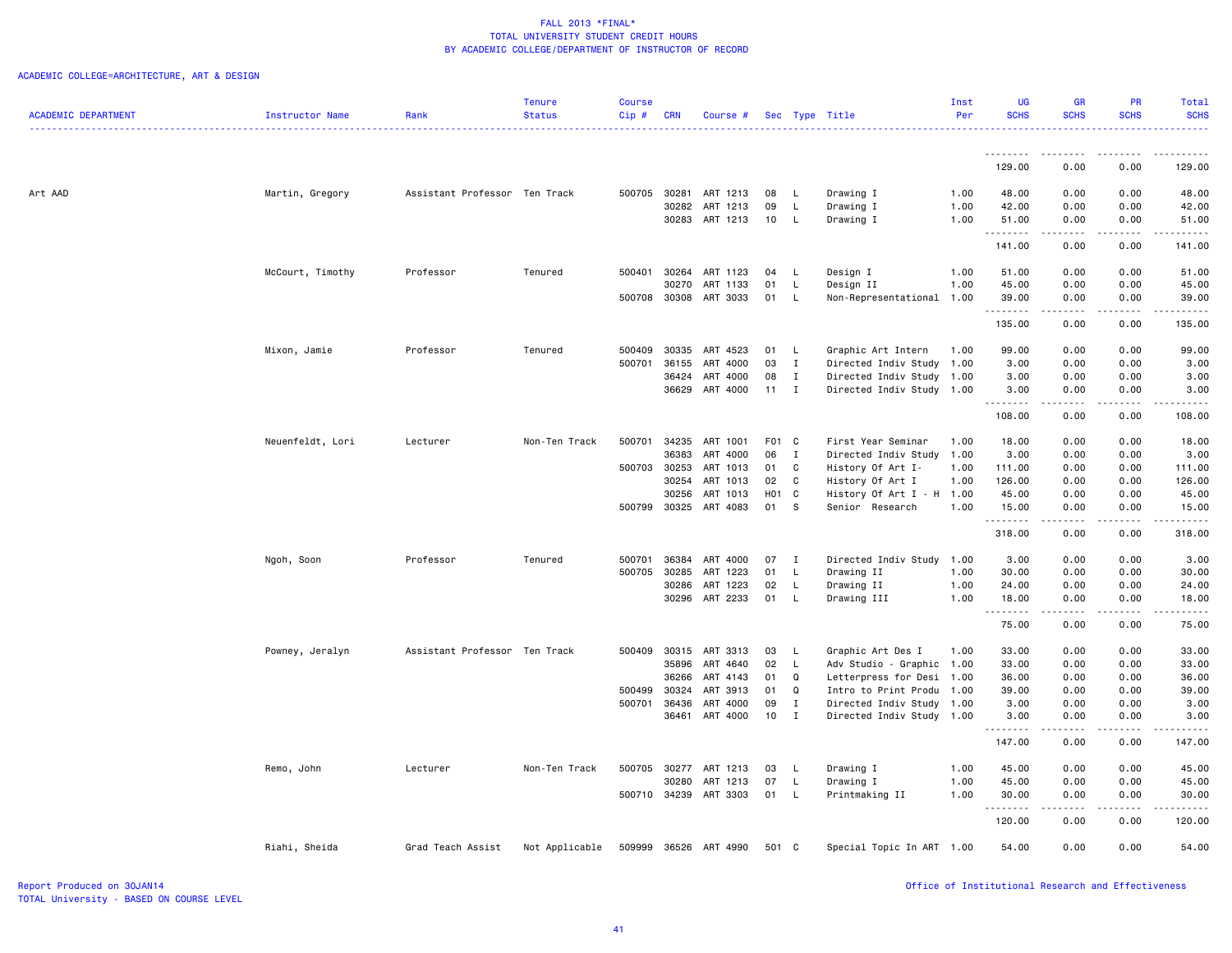|                            |                        |                               | <b>Tenure</b>  | Course |            |                       |              |              |                             | Inst | <b>UG</b>           | <b>GR</b>                                                                                                                 | PR                                                                                                                                                           | Total                   |
|----------------------------|------------------------|-------------------------------|----------------|--------|------------|-----------------------|--------------|--------------|-----------------------------|------|---------------------|---------------------------------------------------------------------------------------------------------------------------|--------------------------------------------------------------------------------------------------------------------------------------------------------------|-------------------------|
| <b>ACADEMIC DEPARTMENT</b> | <b>Instructor Name</b> | Rank                          | <b>Status</b>  | Cip#   | <b>CRN</b> | Course #              |              |              | Sec Type Title              | Per  | <b>SCHS</b>         | <b>SCHS</b>                                                                                                               | <b>SCHS</b>                                                                                                                                                  | <b>SCHS</b>             |
|                            |                        |                               |                |        |            |                       |              |              |                             |      | .                   | $\frac{1}{2} \left( \frac{1}{2} \right) \left( \frac{1}{2} \right) \left( \frac{1}{2} \right) \left( \frac{1}{2} \right)$ | .                                                                                                                                                            |                         |
|                            |                        |                               |                |        |            |                       |              |              |                             |      | 129.00              | 0.00                                                                                                                      | 0.00                                                                                                                                                         | 129.00                  |
| Art AAD                    | Martin, Gregory        | Assistant Professor Ten Track |                |        |            | 500705 30281 ART 1213 | 08           | - L          | Drawing I                   | 1.00 | 48.00               | 0.00                                                                                                                      | 0.00                                                                                                                                                         | 48.00                   |
|                            |                        |                               |                |        | 30282      | ART 1213              | 09           | L            | Drawing I                   | 1.00 | 42.00               | 0.00                                                                                                                      | 0.00                                                                                                                                                         | 42.00                   |
|                            |                        |                               |                |        |            | 30283 ART 1213        | 10           | L.           | Drawing I                   | 1.00 | 51.00<br>.          | 0.00                                                                                                                      | 0.00                                                                                                                                                         | 51.00                   |
|                            |                        |                               |                |        |            |                       |              |              |                             |      | 141.00              | 0.00                                                                                                                      | 0.00                                                                                                                                                         | 141.00                  |
|                            | McCourt, Timothy       | Professor                     | Tenured        | 500401 |            | 30264 ART 1123        | 04           | - L          | Design I                    | 1.00 | 51.00               | 0.00                                                                                                                      | 0.00                                                                                                                                                         | 51.00                   |
|                            |                        |                               |                |        | 30270      | ART 1133              | 01           | L            | Design II                   | 1.00 | 45.00               | 0.00                                                                                                                      | 0.00                                                                                                                                                         | 45.00                   |
|                            |                        |                               |                | 500708 | 30308      | ART 3033              | 01           | L.           | Non-Representational        | 1.00 | 39.00<br>.          | 0.00<br>$\sim$ $\sim$ $\sim$ $\sim$                                                                                       | 0.00<br>.                                                                                                                                                    | 39.00<br>.              |
|                            |                        |                               |                |        |            |                       |              |              |                             |      | 135.00              | 0.00                                                                                                                      | 0.00                                                                                                                                                         | 135.00                  |
|                            | Mixon, Jamie           | Professor                     | Tenured        | 500409 | 30335      | ART 4523              | 01           | $\mathsf{L}$ | Graphic Art Intern          | 1.00 | 99.00               | 0.00                                                                                                                      | 0.00                                                                                                                                                         | 99.00                   |
|                            |                        |                               |                | 500701 | 36155      | ART 4000              | 03           | $\mathbf{I}$ | Directed Indiv Study 1.00   |      | 3.00                | 0.00                                                                                                                      | 0.00                                                                                                                                                         | 3.00                    |
|                            |                        |                               |                |        | 36424      | ART 4000              | 08           | $\mathbf{I}$ | Directed Indiv Study        | 1.00 | 3.00                | 0.00                                                                                                                      | 0.00                                                                                                                                                         | 3.00                    |
|                            |                        |                               |                |        | 36629      | ART 4000              | $11 \quad I$ |              | Directed Indiv Study        | 1.00 | 3.00<br><u>.</u> .  | 0.00<br>المتمام المنا                                                                                                     | 0.00<br><b>.</b> .                                                                                                                                           | 3.00<br>$- - - - - - -$ |
|                            |                        |                               |                |        |            |                       |              |              |                             |      | 108.00              | 0.00                                                                                                                      | 0.00                                                                                                                                                         | 108.00                  |
|                            | Neuenfeldt, Lori       | Lecturer                      | Non-Ten Track  | 500701 | 34235      | ART 1001              | F01 C        |              | First Year Seminar          | 1.00 | 18.00               | 0.00                                                                                                                      | 0.00                                                                                                                                                         | 18.00                   |
|                            |                        |                               |                |        | 36383      | ART 4000              | 06           | I            | Directed Indiv Study        | 1.00 | 3.00                | 0.00                                                                                                                      | 0.00                                                                                                                                                         | 3.00                    |
|                            |                        |                               |                | 500703 | 30253      | ART 1013              | 01           | $\mathbf{C}$ | History Of Art I-           | 1.00 | 111.00              | 0.00                                                                                                                      | 0.00                                                                                                                                                         | 111.00                  |
|                            |                        |                               |                |        | 30254      | ART 1013              | 02           | $\mathbf C$  | History Of Art I            | 1.00 | 126.00              | 0.00                                                                                                                      | 0.00                                                                                                                                                         | 126.00                  |
|                            |                        |                               |                |        | 30256      | ART 1013              | H01 C        |              | History Of Art $I - H$ 1.00 |      | 45.00               | 0.00                                                                                                                      | 0.00                                                                                                                                                         | 45.00                   |
|                            |                        |                               |                | 500799 |            | 30325 ART 4083        | 01 S         |              | Senior Research             | 1.00 | 15.00<br>. <b>.</b> | 0.00<br>$\frac{1}{2}$                                                                                                     | 0.00<br>.                                                                                                                                                    | 15.00<br>.              |
|                            |                        |                               |                |        |            |                       |              |              |                             |      | 318.00              | 0.00                                                                                                                      | 0.00                                                                                                                                                         | 318.00                  |
|                            | Ngoh, Soon             | Professor                     | Tenured        | 500701 | 36384      | ART 4000              | 07           | $\mathbf{I}$ | Directed Indiv Study        | 1.00 | 3.00                | 0.00                                                                                                                      | 0.00                                                                                                                                                         | 3.00                    |
|                            |                        |                               |                | 500705 | 30285      | ART 1223              | 01           | L            | Drawing II                  | 1.00 | 30.00               | 0.00                                                                                                                      | 0.00                                                                                                                                                         | 30.00                   |
|                            |                        |                               |                |        | 30286      | ART 1223              | 02           | <b>L</b>     | Drawing II                  | 1.00 | 24.00               | 0.00                                                                                                                      | 0.00                                                                                                                                                         | 24.00                   |
|                            |                        |                               |                |        |            | 30296 ART 2233        | 01 L         |              | Drawing III                 | 1.00 | 18.00<br>.          | 0.00<br>.                                                                                                                 | 0.00<br>$\frac{1}{2} \left( \frac{1}{2} \right) \left( \frac{1}{2} \right) \left( \frac{1}{2} \right) \left( \frac{1}{2} \right) \left( \frac{1}{2} \right)$ | 18.00<br>.              |
|                            |                        |                               |                |        |            |                       |              |              |                             |      | 75.00               | 0.00                                                                                                                      | 0.00                                                                                                                                                         | 75.00                   |
|                            | Powney, Jeralyn        | Assistant Professor Ten Track |                | 500409 | 30315      | ART 3313              | 03           | - L          | Graphic Art Des I           | 1.00 | 33.00               | 0.00                                                                                                                      | 0.00                                                                                                                                                         | 33.00                   |
|                            |                        |                               |                |        | 35896      | ART 4640              | 02           | L.           | Adv Studio - Graphic 1.00   |      | 33.00               | 0.00                                                                                                                      | 0.00                                                                                                                                                         | 33.00                   |
|                            |                        |                               |                |        | 36266      | ART 4143              | 01           | Q            | Letterpress for Desi        | 1.00 | 36.00               | 0.00                                                                                                                      | 0.00                                                                                                                                                         | 36.00                   |
|                            |                        |                               |                | 500499 | 30324      | ART 3913              | 01           | Q            | Intro to Print Produ 1.00   |      | 39.00               | 0.00                                                                                                                      | 0.00                                                                                                                                                         | 39.00                   |
|                            |                        |                               |                | 500701 | 36436      | ART 4000              | 09           | I            | Directed Indiv Study        | 1.00 | 3.00                | 0.00                                                                                                                      | 0.00                                                                                                                                                         | 3.00                    |
|                            |                        |                               |                |        |            | 36461 ART 4000        | 10           | $\mathbf{I}$ | Directed Indiv Study 1.00   |      | 3.00<br>.           | 0.00<br>$\frac{1}{2}$                                                                                                     | 0.00<br>$- - - - -$                                                                                                                                          | 3.00<br>$- - - - - -$   |
|                            |                        |                               |                |        |            |                       |              |              |                             |      | 147.00              | 0.00                                                                                                                      | 0.00                                                                                                                                                         | 147.00                  |
|                            | Remo, John             | Lecturer                      | Non-Ten Track  | 500705 | 30277      | ART 1213              | 03           | L.           | Drawing I                   | 1.00 | 45.00               | 0.00                                                                                                                      | 0.00                                                                                                                                                         | 45.00                   |
|                            |                        |                               |                |        | 30280      | ART 1213              | 07           | L.           | Drawing I                   | 1.00 | 45.00               | 0.00                                                                                                                      | 0.00                                                                                                                                                         | 45.00                   |
|                            |                        |                               |                |        |            | 500710 34239 ART 3303 | 01 L         |              | Printmaking II              | 1.00 | 30.00<br>.          | 0.00<br>.                                                                                                                 | 0.00<br>.                                                                                                                                                    | 30.00<br>.              |
|                            |                        |                               |                |        |            |                       |              |              |                             |      | 120.00              | 0.00                                                                                                                      | 0.00                                                                                                                                                         | 120.00                  |
|                            | Riahi, Sheida          | Grad Teach Assist             | Not Applicable |        |            | 509999 36526 ART 4990 | 501 C        |              | Special Topic In ART 1.00   |      | 54.00               | 0.00                                                                                                                      | 0.00                                                                                                                                                         | 54.00                   |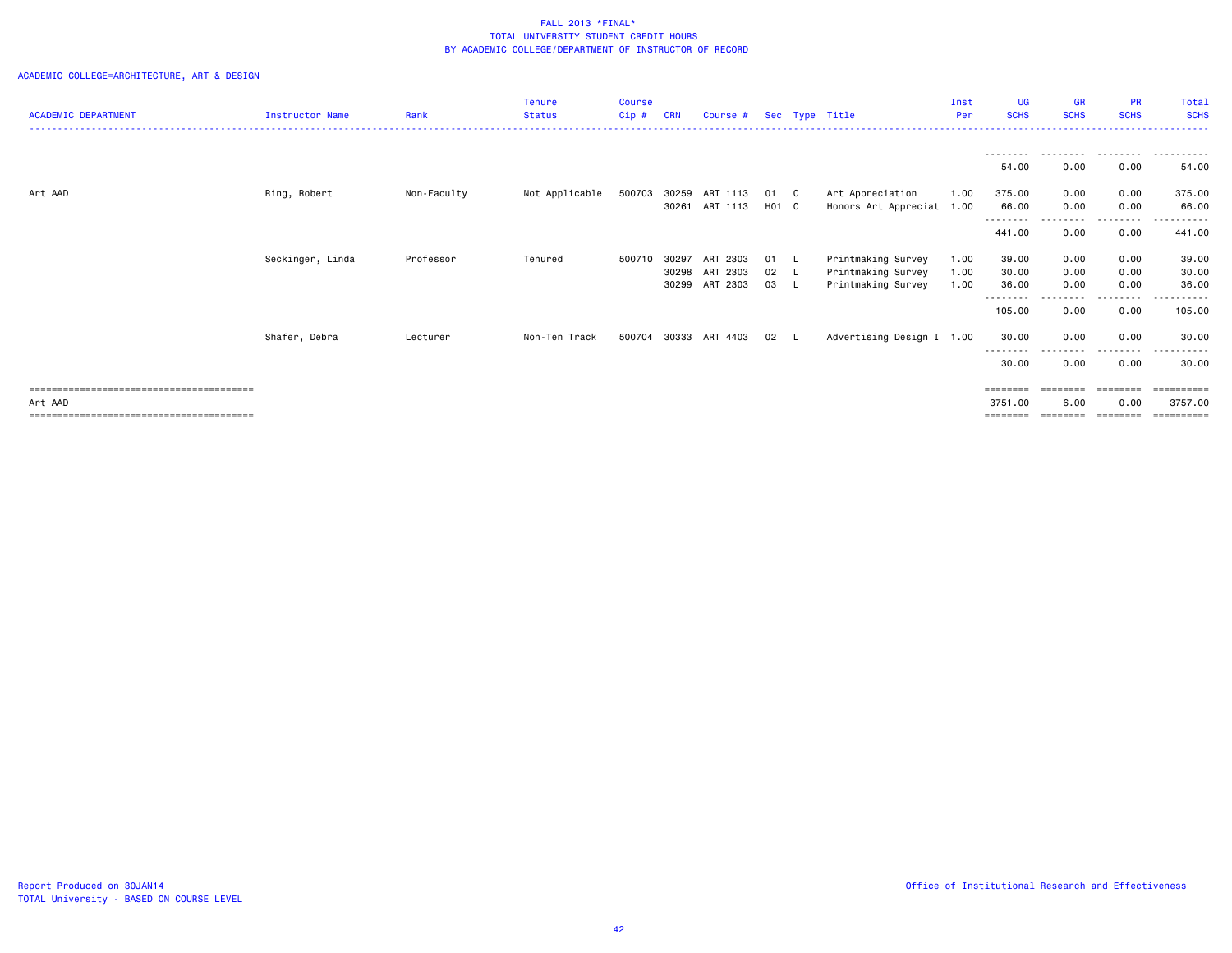|                            |                        |             | <b>Tenure</b>  | <b>Course</b> |            |          |       |                           | Inst | <b>UG</b>          | <b>GR</b>   | <b>PR</b>                 | Total       |
|----------------------------|------------------------|-------------|----------------|---------------|------------|----------|-------|---------------------------|------|--------------------|-------------|---------------------------|-------------|
| <b>ACADEMIC DEPARTMENT</b> | <b>Instructor Name</b> | Rank        | <b>Status</b>  | Cip#          | <b>CRN</b> | Course # |       | Sec Type Title            | Per  | <b>SCHS</b>        | <b>SCHS</b> | <b>SCHS</b>               | <b>SCHS</b> |
|                            |                        |             |                |               |            |          |       |                           |      |                    |             |                           |             |
|                            |                        |             |                |               |            |          |       |                           |      | ---------<br>54.00 | .<br>0.00   | .<br>0.00                 | .<br>54.00  |
| Art AAD                    | Ring, Robert           | Non-Faculty | Not Applicable | 500703 30259  |            | ART 1113 | 01 C  | Art Appreciation          | 1.00 | 375.00             | 0.00        | 0.00                      | 375.00      |
|                            |                        |             |                |               | 30261      | ART 1113 | H01 C | Honors Art Appreciat 1.00 |      | 66.00              | 0.00        | 0.00                      | 66.00       |
|                            |                        |             |                |               |            |          |       |                           |      | <u>.</u><br>441.00 | 0.00        | 0.00                      | 441.00      |
|                            | Seckinger, Linda       | Professor   | Tenured        | 500710        | 30297      | ART 2303 | 01 L  | Printmaking Survey        | 1.00 | 39.00              | 0.00        | 0.00                      | 39.00       |
|                            |                        |             |                |               | 30298      | ART 2303 | 02 L  | Printmaking Survey        | 1.00 | 30.00              | 0.00        | 0.00                      | 30.00       |
|                            |                        |             |                |               | 30299      | ART 2303 | 03 L  | Printmaking Survey        | 1.00 | 36.00              | 0.00        | 0.00                      | 36.00       |
|                            |                        |             |                |               |            |          |       |                           |      | --------<br>105.00 | 0.00        | - - - - - - - - -<br>0.00 | .<br>105.00 |
|                            | Shafer, Debra          | Lecturer    | Non-Ten Track  | 500704        | 30333      | ART 4403 | 02    | Advertising Design I 1.00 |      | 30.00<br>--------  | 0.00        | 0.00<br>- - - - - - - - - | 30.00       |
|                            |                        |             |                |               |            |          |       |                           |      | 30.00              | 0.00        | 0.00                      | 30.00       |
|                            |                        |             |                |               |            |          |       |                           |      | ========           | ========    | ========                  | ==========  |
| Art AAD                    |                        |             |                |               |            |          |       |                           |      | 3751.00            | 6.00        | 0.00                      | 3757.00     |
|                            |                        |             |                |               |            |          |       |                           |      | ========           |             |                           | ==========  |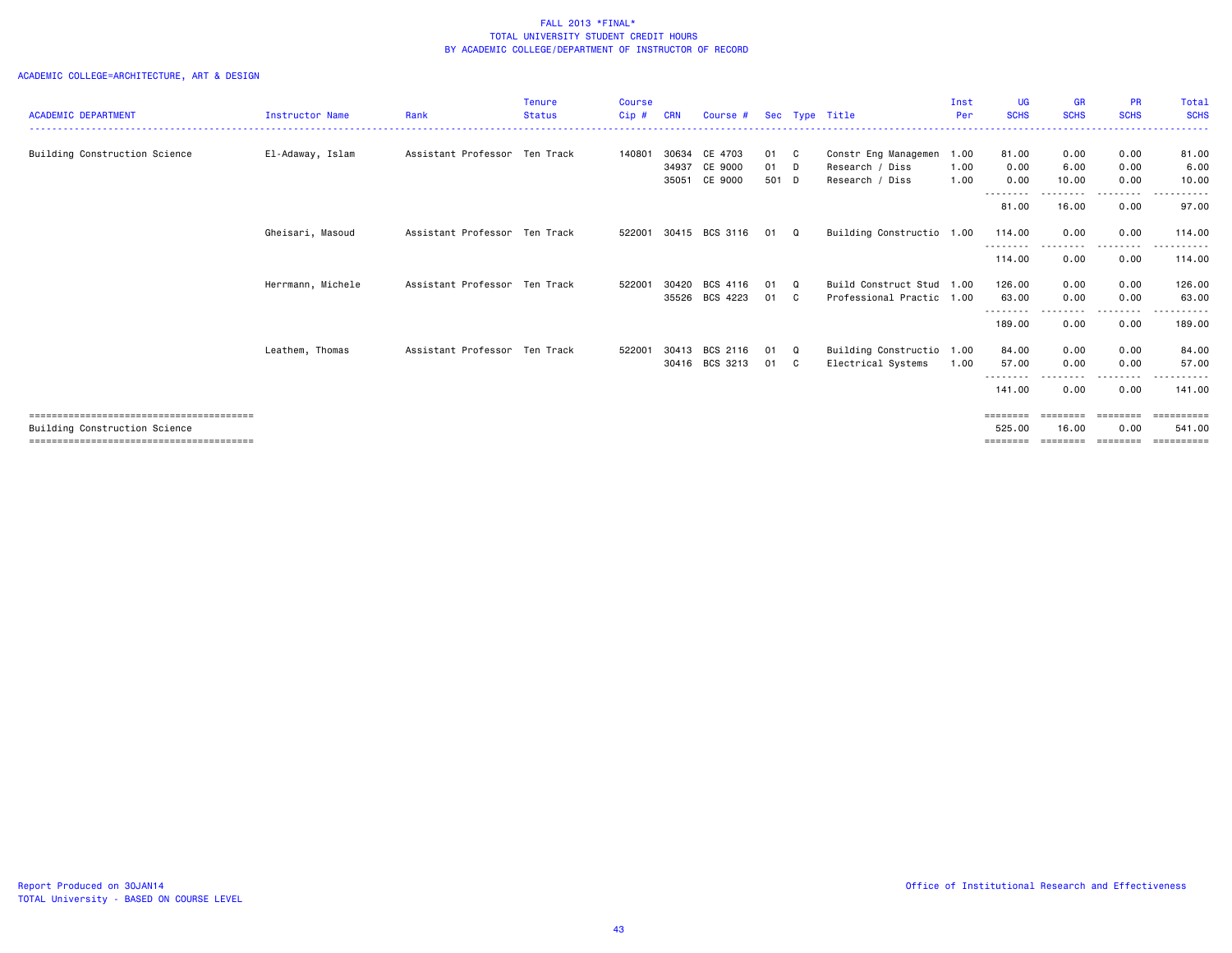| <b>ACADEMIC DEPARTMENT</b>    | Instructor Name   | Rank                          | <b>Tenure</b><br><b>Status</b> | <b>Course</b><br>Cip# | <b>CRN</b>              | Course #                      |                   |                          | Sec Type Title                                                  | Inst<br>Per  | <b>UG</b><br><b>SCHS</b>       | <b>GR</b><br><b>SCHS</b>      | <b>PR</b><br><b>SCHS</b>      | Total<br><b>SCHS</b>                |
|-------------------------------|-------------------|-------------------------------|--------------------------------|-----------------------|-------------------------|-------------------------------|-------------------|--------------------------|-----------------------------------------------------------------|--------------|--------------------------------|-------------------------------|-------------------------------|-------------------------------------|
| Building Construction Science | El-Adaway, Islam  | Assistant Professor Ten Track |                                | 140801                | 30634<br>34937<br>35051 | CE 4703<br>CE 9000<br>CE 9000 | 01<br>01<br>501 D | - C<br>$\Box$            | Constr Eng Managemen 1.00<br>Research / Diss<br>Research / Diss | 1.00<br>1.00 | 81.00<br>0.00<br>0.00          | 0.00<br>6.00<br>10.00         | 0.00<br>0.00<br>0.00          | 81.00<br>6.00<br>10.00              |
|                               |                   |                               |                                |                       |                         |                               |                   |                          |                                                                 |              | --------<br>81.00              | 16.00                         | .<br>0.00                     | .<br>97.00                          |
|                               | Gheisari, Masoud  | Assistant Professor Ten Track |                                | 522001                |                         | 30415 BCS 3116                | 01                | Q                        | Building Constructio 1.00                                       |              | 114.00<br>- - - - - - - -      | 0.00                          | 0.00<br>------                | 114,00<br>------                    |
|                               |                   |                               |                                |                       |                         |                               |                   |                          |                                                                 |              | 114.00                         | 0.00                          | 0.00                          | 114,00                              |
|                               | Herrmann, Michele | Assistant Professor Ten Track |                                | 522001                | 30420<br>35526          | BCS 4116<br>BCS 4223          | 01<br>01          | $\Omega$<br>$\mathbf{C}$ | Build Construct Stud 1.00<br>Professional Practic 1.00          |              | 126.00<br>63.00                | 0.00<br>0.00                  | 0.00<br>0.00                  | 126.00<br>63.00                     |
|                               |                   |                               |                                |                       |                         |                               |                   |                          |                                                                 |              | --------<br>189.00             | 0.00                          | 0.00                          | 189.00                              |
|                               | Leathem, Thomas   | Assistant Professor Ten Track |                                | 522001                | 30413                   | BCS 2116<br>30416 BCS 3213    | 01<br>01 C        | $\mathbf{Q}$             | Building Constructio 1.00<br>Electrical Systems                 | 1.00         | 84.00<br>57.00<br>--------     | 0.00<br>0.00                  | 0.00<br>0.00<br>------        | 84.00<br>57.00<br>.                 |
|                               |                   |                               |                                |                       |                         |                               |                   |                          |                                                                 |              | 141.00                         | 0.00                          | 0.00                          | 141.00                              |
| Building Construction Science |                   |                               |                                |                       |                         |                               |                   |                          |                                                                 |              | ========<br>525.00<br>======== | ========<br>16.00<br>======== | ========<br>0.00<br>--------- | -----------<br>541.00<br>========== |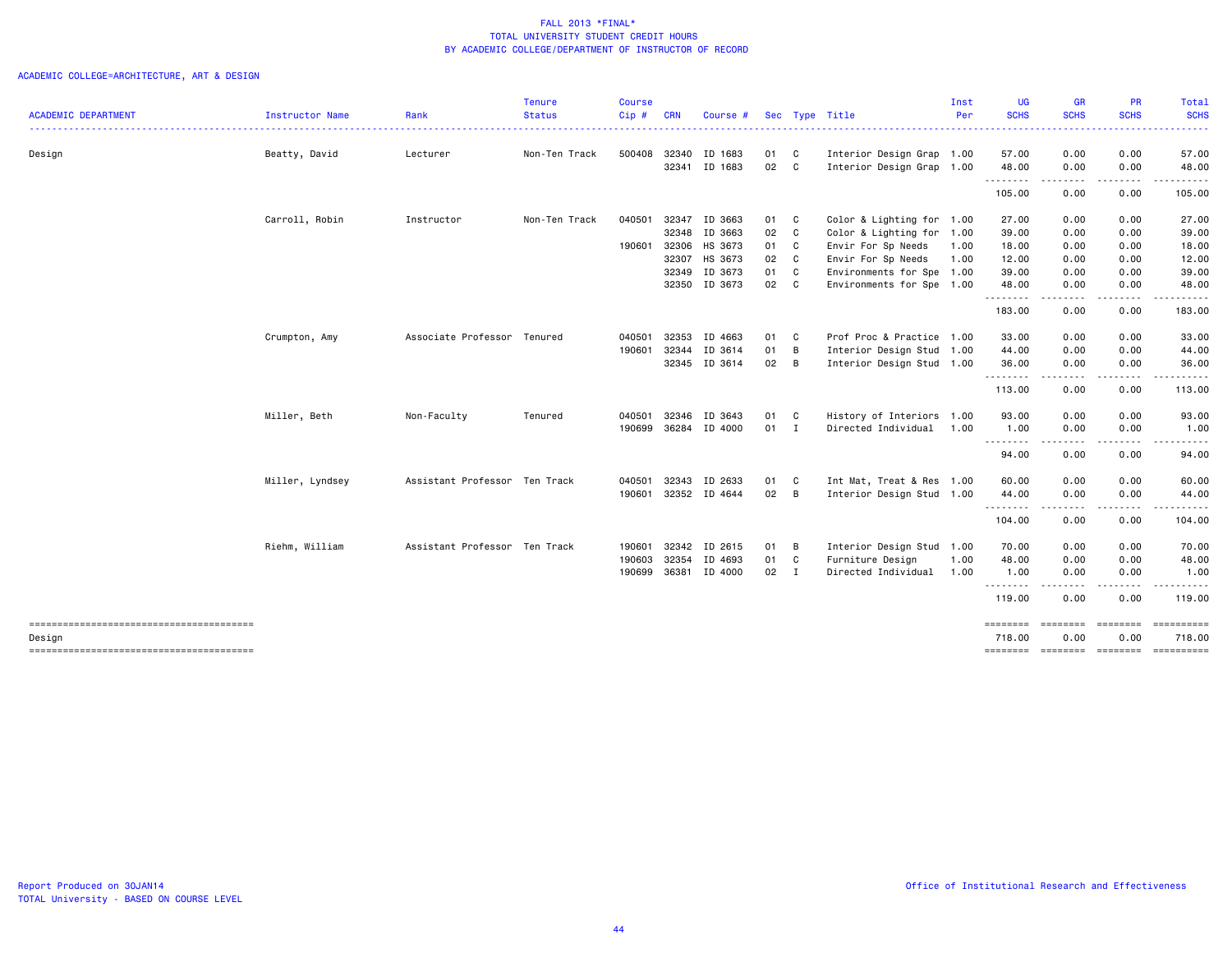|                            |                 |                               | Tenure        | <b>Course</b> |            |               |        |    |                           | Inst | <b>UG</b>   | GR                                  | <b>PR</b>                                                                                                                                                                               | Total                                           |
|----------------------------|-----------------|-------------------------------|---------------|---------------|------------|---------------|--------|----|---------------------------|------|-------------|-------------------------------------|-----------------------------------------------------------------------------------------------------------------------------------------------------------------------------------------|-------------------------------------------------|
| <b>ACADEMIC DEPARTMENT</b> | Instructor Name | Rank                          | <b>Status</b> | Cip#          | <b>CRN</b> | Course #      |        |    | Sec Type Title            | Per  | <b>SCHS</b> | <b>SCHS</b>                         | <b>SCHS</b>                                                                                                                                                                             | <b>SCHS</b><br>. <u>.</u> .                     |
| Design                     | Beatty, David   | Lecturer                      | Non-Ten Track | 500408        |            | 32340 ID 1683 | 01 C   |    | Interior Design Grap 1.00 |      | 57.00       | 0.00                                | 0.00                                                                                                                                                                                    | 57.00                                           |
|                            |                 |                               |               |               | 32341      | ID 1683       | 02 C   |    | Interior Design Grap 1.00 |      | 48.00       | 0.00                                | 0.00                                                                                                                                                                                    | 48.00                                           |
|                            |                 |                               |               |               |            |               |        |    |                           |      | .<br>105.00 | .<br>0.00                           | 0.00                                                                                                                                                                                    | 105.00                                          |
|                            | Carroll, Robin  | Instructor                    | Non-Ten Track | 040501        |            | 32347 ID 3663 | 01 C   |    | Color & Lighting for      | 1.00 | 27.00       | 0.00                                | 0.00                                                                                                                                                                                    | 27.00                                           |
|                            |                 |                               |               |               |            | 32348 ID 3663 | 02 C   |    | Color & Lighting for      | 1.00 | 39.00       | 0.00                                | 0.00                                                                                                                                                                                    | 39.00                                           |
|                            |                 |                               |               | 190601        |            | 32306 HS 3673 | 01     | C  | Envir For Sp Needs        | 1.00 | 18.00       | 0.00                                | 0.00                                                                                                                                                                                    | 18.00                                           |
|                            |                 |                               |               |               | 32307      | HS 3673       | 02 C   |    | Envir For Sp Needs        | 1.00 | 12.00       | 0.00                                | 0.00                                                                                                                                                                                    | 12.00                                           |
|                            |                 |                               |               |               |            | 32349 ID 3673 | 01     | C  | Environments for Spe 1.00 |      | 39.00       | 0.00                                | 0.00                                                                                                                                                                                    | 39.00                                           |
|                            |                 |                               |               |               |            | 32350 ID 3673 | 02 C   |    | Environments for Spe 1.00 |      | 48.00<br>.  | 0.00<br>.                           | 0.00<br>$\frac{1}{2} \left( \frac{1}{2} \right) \left( \frac{1}{2} \right) \left( \frac{1}{2} \right) \left( \frac{1}{2} \right) \left( \frac{1}{2} \right) \left( \frac{1}{2} \right)$ | 48.00<br><u>.</u>                               |
|                            |                 |                               |               |               |            |               |        |    |                           |      | 183.00      | 0.00                                | 0.00                                                                                                                                                                                    | 183.00                                          |
|                            | Crumpton, Amy   | Associate Professor Tenured   |               | 040501        | 32353      | ID 4663       | 01     | C. | Prof Proc & Practice 1.00 |      | 33.00       | 0.00                                | 0.00                                                                                                                                                                                    | 33.00                                           |
|                            |                 |                               |               | 190601        | 32344      | ID 3614       | 01     | B  | Interior Design Stud 1.00 |      | 44.00       | 0.00                                | 0.00                                                                                                                                                                                    | 44.00                                           |
|                            |                 |                               |               |               |            | 32345 ID 3614 | 02     | B  | Interior Design Stud 1.00 |      | 36.00       | 0.00                                | 0.00                                                                                                                                                                                    | 36.00                                           |
|                            |                 |                               |               |               |            |               |        |    |                           |      | .<br>113.00 | $\sim$ $\sim$ $\sim$ $\sim$<br>0.00 | -----<br>0.00                                                                                                                                                                           | 113.00                                          |
|                            | Miller, Beth    | Non-Faculty                   | Tenured       | 040501        |            | 32346 ID 3643 | 01     | C  | History of Interiors 1.00 |      | 93.00       | 0.00                                | 0.00                                                                                                                                                                                    | 93.00                                           |
|                            |                 |                               |               | 190699        |            | 36284 ID 4000 | $01$ I |    | Directed Individual       | 1.00 | 1.00        | 0.00                                | 0.00                                                                                                                                                                                    | 1.00                                            |
|                            |                 |                               |               |               |            |               |        |    |                           |      | .<br>94.00  | $\sim$ $\sim$ $\sim$<br>0.00        | . <b>.</b><br>0.00                                                                                                                                                                      | 94.00                                           |
|                            | Miller, Lyndsey | Assistant Professor Ten Track |               | 040501        | 32343      | ID 2633       | 01     | C  | Int Mat, Treat & Res 1.00 |      | 60.00       | 0.00                                | 0.00                                                                                                                                                                                    | 60.00                                           |
|                            |                 |                               |               | 190601        |            | 32352 ID 4644 | 02 B   |    | Interior Design Stud 1.00 |      | 44.00       | 0.00                                | 0.00                                                                                                                                                                                    | 44.00                                           |
|                            |                 |                               |               |               |            |               |        |    |                           |      | .<br>104.00 | .<br>0.00                           | -----<br>0.00                                                                                                                                                                           | 104.00                                          |
|                            | Riehm, William  | Assistant Professor Ten Track |               | 190601        | 32342      | ID 2615       | 01     | B  | Interior Design Stud      | 1.00 | 70.00       | 0.00                                | 0.00                                                                                                                                                                                    | 70.00                                           |
|                            |                 |                               |               | 190603        | 32354      | ID 4693       | 01     | C  | Furniture Design          | 1.00 | 48.00       | 0.00                                | 0.00                                                                                                                                                                                    | 48.00                                           |
|                            |                 |                               |               | 190699        | 36381      | ID 4000       | $02$ I |    | Directed Individual       | 1.00 | 1.00<br>.   | 0.00                                | 0.00                                                                                                                                                                                    | 1.00                                            |
|                            |                 |                               |               |               |            |               |        |    |                           |      | 119.00      | 0.00                                | 0.00                                                                                                                                                                                    | 119.00                                          |
|                            |                 |                               |               |               |            |               |        |    |                           |      | ========    | ========                            | ========                                                                                                                                                                                |                                                 |
| Design                     |                 |                               |               |               |            |               |        |    |                           |      | 718.00      | 0.00                                | 0.00                                                                                                                                                                                    | 718.00<br>-------- -------- -------- ---------- |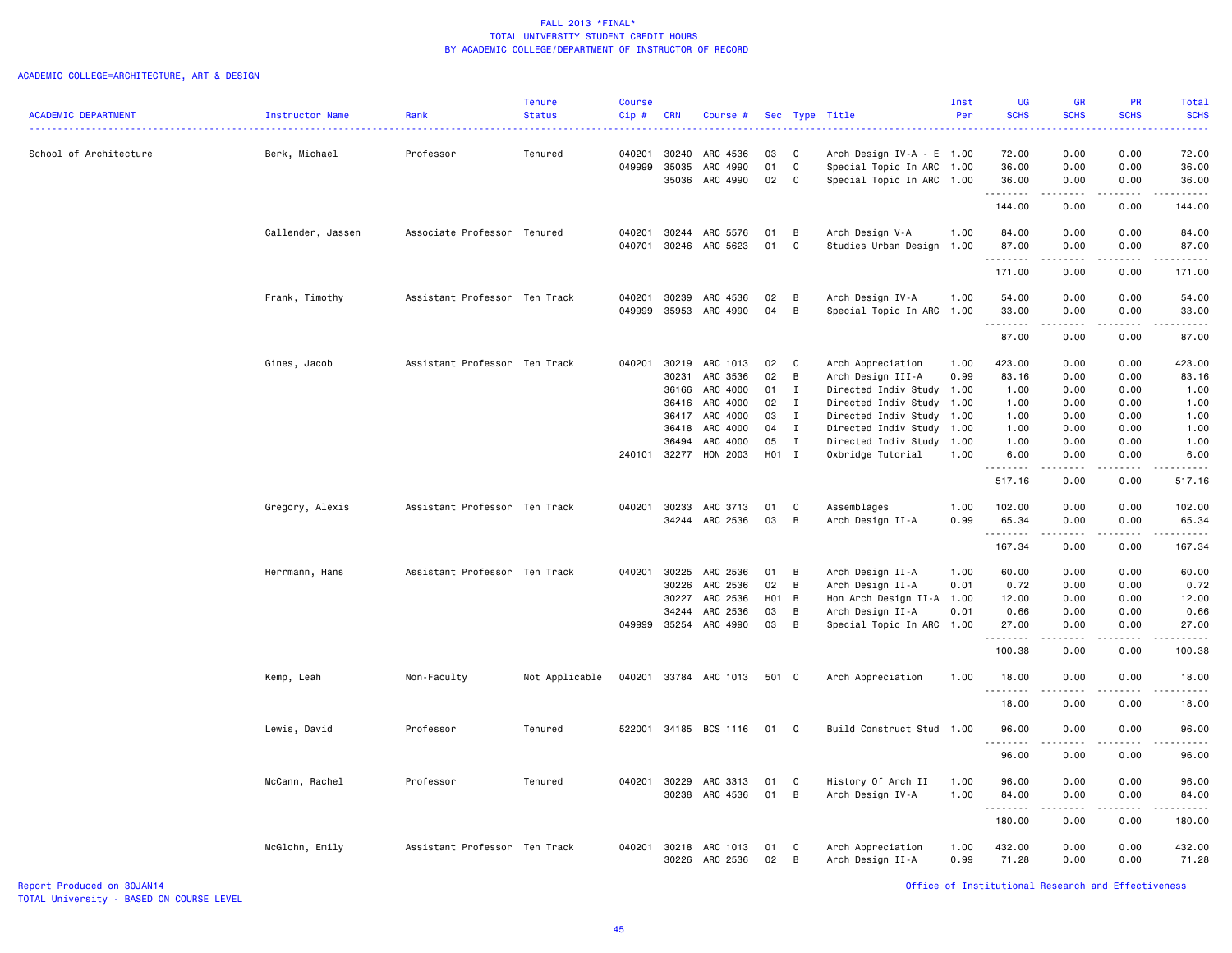# ACADEMIC COLLEGE=ARCHITECTURE, ART & DESIGN

|                            |                   |                               | <b>Tenure</b>  | <b>Course</b> |            |                 |       |                |                           | Inst | <b>UG</b>                                                                                                                 | GR          | PR                                                                                                                        | Total                                                                                                                     |
|----------------------------|-------------------|-------------------------------|----------------|---------------|------------|-----------------|-------|----------------|---------------------------|------|---------------------------------------------------------------------------------------------------------------------------|-------------|---------------------------------------------------------------------------------------------------------------------------|---------------------------------------------------------------------------------------------------------------------------|
| <b>ACADEMIC DEPARTMENT</b> | Instructor Name   | Rank                          | <b>Status</b>  | Cip#          | <b>CRN</b> | Course #        |       |                | Sec Type Title            | Per  | <b>SCHS</b>                                                                                                               | <b>SCHS</b> | <b>SCHS</b>                                                                                                               | <b>SCHS</b>                                                                                                               |
|                            |                   |                               |                |               |            |                 |       |                |                           |      |                                                                                                                           |             |                                                                                                                           |                                                                                                                           |
| School of Architecture     | Berk, Michael     | Professor                     | Tenured        | 040201        | 30240      | ARC 4536        | 03    | C              | Arch Design IV-A - E 1.00 |      | 72.00                                                                                                                     | 0.00        | 0.00                                                                                                                      | 72.00                                                                                                                     |
|                            |                   |                               |                | 049999        | 35035      | ARC 4990        | 01    | C              | Special Topic In ARC 1.00 |      | 36.00                                                                                                                     | 0.00        | 0.00                                                                                                                      | 36.00                                                                                                                     |
|                            |                   |                               |                |               | 35036      | ARC 4990        | 02    | C              | Special Topic In ARC 1.00 |      | 36.00                                                                                                                     | 0.00        | 0.00                                                                                                                      | 36.00                                                                                                                     |
|                            |                   |                               |                |               |            |                 |       |                |                           |      | .                                                                                                                         | .           |                                                                                                                           | .                                                                                                                         |
|                            |                   |                               |                |               |            |                 |       |                |                           |      | 144.00                                                                                                                    | 0.00        | 0.00                                                                                                                      | 144.00                                                                                                                    |
|                            |                   |                               |                |               |            |                 |       |                |                           |      |                                                                                                                           |             |                                                                                                                           |                                                                                                                           |
|                            | Callender, Jassen | Associate Professor Tenured   |                | 040201        | 30244      | ARC 5576        | 01    | В              | Arch Design V-A           | 1.00 | 84.00                                                                                                                     | 0.00        | 0.00                                                                                                                      | 84.00                                                                                                                     |
|                            |                   |                               |                | 040701        |            | 30246 ARC 5623  | 01    | C              | Studies Urban Design 1.00 |      | 87.00                                                                                                                     | 0.00        | 0.00                                                                                                                      | 87.00                                                                                                                     |
|                            |                   |                               |                |               |            |                 |       |                |                           |      | .<br>171.00                                                                                                               | .<br>0.00   | .<br>0.00                                                                                                                 | .<br>171.00                                                                                                               |
|                            |                   |                               |                |               |            |                 |       |                |                           |      |                                                                                                                           |             |                                                                                                                           |                                                                                                                           |
|                            | Frank, Timothy    | Assistant Professor Ten Track |                | 040201        | 30239      | ARC 4536        | 02    | В              | Arch Design IV-A          | 1.00 | 54.00                                                                                                                     | 0.00        | 0.00                                                                                                                      | 54.00                                                                                                                     |
|                            |                   |                               |                | 049999        | 35953      | ARC 4990        | 04    | В              | Special Topic In ARC      | 1.00 | 33.00                                                                                                                     | 0.00        | 0.00                                                                                                                      | 33.00                                                                                                                     |
|                            |                   |                               |                |               |            |                 |       |                |                           |      | .                                                                                                                         | .           | المتماما                                                                                                                  | .                                                                                                                         |
|                            |                   |                               |                |               |            |                 |       |                |                           |      | 87.00                                                                                                                     | 0.00        | 0.00                                                                                                                      | 87.00                                                                                                                     |
|                            |                   |                               |                |               |            |                 |       |                |                           |      |                                                                                                                           |             |                                                                                                                           |                                                                                                                           |
|                            | Gines, Jacob      | Assistant Professor Ten Track |                | 040201        | 30219      | ARC 1013        | 02    | C              | Arch Appreciation         | 1.00 | 423.00                                                                                                                    | 0.00        | 0.00                                                                                                                      | 423.00                                                                                                                    |
|                            |                   |                               |                |               | 30231      | ARC 3536        | 02    | B              | Arch Design III-A         | 0.99 | 83.16                                                                                                                     | 0.00        | 0.00                                                                                                                      | 83.16                                                                                                                     |
|                            |                   |                               |                |               | 36166      | ARC 4000        | 01    | $\mathbf{I}$   | Directed Indiv Study 1.00 |      | 1.00                                                                                                                      | 0.00        | 0.00                                                                                                                      | 1.00                                                                                                                      |
|                            |                   |                               |                |               | 36416      | ARC 4000        | 02    | $\mathbf{I}$   | Directed Indiv Study 1.00 |      | 1.00                                                                                                                      | 0.00        | 0.00                                                                                                                      | 1.00                                                                                                                      |
|                            |                   |                               |                |               | 36417      | ARC 4000        | 03    | $\mathbf{I}$   | Directed Indiv Study      | 1.00 | 1.00                                                                                                                      | 0.00        | 0.00                                                                                                                      | 1.00                                                                                                                      |
|                            |                   |                               |                |               | 36418      | ARC 4000        | 04    | $\mathbf{I}$   | Directed Indiv Study 1.00 |      | 1.00                                                                                                                      | 0.00        | 0.00                                                                                                                      | 1.00                                                                                                                      |
|                            |                   |                               |                |               | 36494      | ARC 4000        | 05    | $\mathbf{I}$   | Directed Indiv Study 1.00 |      | 1.00                                                                                                                      | 0.00        | 0.00                                                                                                                      | 1.00                                                                                                                      |
|                            |                   |                               |                | 240101 32277  |            | <b>HON 2003</b> | H01 I |                | Oxbridge Tutorial         | 1.00 | 6.00                                                                                                                      | 0.00        | 0.00                                                                                                                      | 6.00                                                                                                                      |
|                            |                   |                               |                |               |            |                 |       |                |                           |      | .                                                                                                                         | .           | .                                                                                                                         | .                                                                                                                         |
|                            |                   |                               |                |               |            |                 |       |                |                           |      | 517.16                                                                                                                    | 0.00        | 0.00                                                                                                                      | 517.16                                                                                                                    |
|                            | Gregory, Alexis   | Assistant Professor Ten Track |                | 040201        | 30233      | ARC 3713        | 01    | C              | Assemblages               | 1.00 | 102.00                                                                                                                    | 0.00        | 0.00                                                                                                                      | 102.00                                                                                                                    |
|                            |                   |                               |                |               | 34244      | ARC 2536        | 03    | В              | Arch Design II-A          | 0.99 | 65.34                                                                                                                     | 0.00        | 0.00                                                                                                                      | 65.34                                                                                                                     |
|                            |                   |                               |                |               |            |                 |       |                |                           |      |                                                                                                                           |             |                                                                                                                           | ه د د د د                                                                                                                 |
|                            |                   |                               |                |               |            |                 |       |                |                           |      | 167.34                                                                                                                    | 0.00        | 0.00                                                                                                                      | 167.34                                                                                                                    |
|                            |                   |                               |                |               |            |                 |       |                |                           |      |                                                                                                                           |             |                                                                                                                           |                                                                                                                           |
|                            | Herrmann, Hans    | Assistant Professor Ten Track |                | 040201        | 30225      | ARC 2536        | 01    | В              | Arch Design II-A          | 1.00 | 60.00                                                                                                                     | 0.00        | 0.00                                                                                                                      | 60.00                                                                                                                     |
|                            |                   |                               |                |               | 30226      | ARC 2536        | 02    | В              | Arch Design II-A          | 0.01 | 0.72                                                                                                                      | 0.00        | 0.00                                                                                                                      | 0.72                                                                                                                      |
|                            |                   |                               |                |               | 30227      | ARC 2536        | H01   | $\overline{B}$ | Hon Arch Design II-A 1.00 |      | 12.00                                                                                                                     | 0.00        | 0.00                                                                                                                      | 12.00                                                                                                                     |
|                            |                   |                               |                |               | 34244      | ARC 2536        | 03    | В              | Arch Design II-A          | 0.01 | 0.66                                                                                                                      | 0.00        | 0.00                                                                                                                      | 0.66                                                                                                                      |
|                            |                   |                               |                | 049999        | 35254      | ARC 4990        | 03    | В              | Special Topic In ARC      | 1.00 | 27.00                                                                                                                     | 0.00        | 0.00                                                                                                                      | 27.00                                                                                                                     |
|                            |                   |                               |                |               |            |                 |       |                |                           |      | .                                                                                                                         |             | $\frac{1}{2} \left( \frac{1}{2} \right) \left( \frac{1}{2} \right) \left( \frac{1}{2} \right) \left( \frac{1}{2} \right)$ | .                                                                                                                         |
|                            |                   |                               |                |               |            |                 |       |                |                           |      | 100.38                                                                                                                    | 0.00        | 0.00                                                                                                                      | 100.38                                                                                                                    |
|                            | Kemp, Leah        | Non-Faculty                   | Not Applicable | 040201        | 33784      | ARC 1013        | 501 C |                | Arch Appreciation         | 1.00 | 18.00                                                                                                                     | 0.00        | 0.00                                                                                                                      | 18.00                                                                                                                     |
|                            |                   |                               |                |               |            |                 |       |                |                           |      |                                                                                                                           |             |                                                                                                                           | $\frac{1}{2} \left( \frac{1}{2} \right) \left( \frac{1}{2} \right) \left( \frac{1}{2} \right) \left( \frac{1}{2} \right)$ |
|                            |                   |                               |                |               |            |                 |       |                |                           |      | 18.00                                                                                                                     | 0.00        | 0.00                                                                                                                      | 18.00                                                                                                                     |
|                            |                   |                               |                |               |            |                 |       |                |                           |      |                                                                                                                           |             |                                                                                                                           |                                                                                                                           |
|                            | Lewis, David      | Professor                     | Tenured        | 522001        |            | 34185 BCS 1116  | 01    | Q              | Build Construct Stud      | 1.00 | 96.00                                                                                                                     | 0.00        | 0.00                                                                                                                      | 96.00                                                                                                                     |
|                            |                   |                               |                |               |            |                 |       |                |                           |      | $\frac{1}{2} \left( \frac{1}{2} \right) \left( \frac{1}{2} \right) \left( \frac{1}{2} \right) \left( \frac{1}{2} \right)$ |             |                                                                                                                           |                                                                                                                           |
|                            |                   |                               |                |               |            |                 |       |                |                           |      | 96.00                                                                                                                     | 0.00        | 0.00                                                                                                                      | 96.00                                                                                                                     |
|                            | McCann, Rachel    | Professor                     | Tenured        | 040201        | 30229      | ARC 3313        | 01    | C              | History Of Arch II        | 1.00 | 96.00                                                                                                                     | 0.00        | 0.00                                                                                                                      | 96.00                                                                                                                     |
|                            |                   |                               |                |               | 30238      | ARC 4536        | 01    | B              |                           | 1.00 | 84.00                                                                                                                     | 0.00        | 0.00                                                                                                                      | 84.00                                                                                                                     |
|                            |                   |                               |                |               |            |                 |       |                | Arch Design IV-A          |      | .                                                                                                                         |             | $- - - -$                                                                                                                 | .                                                                                                                         |
|                            |                   |                               |                |               |            |                 |       |                |                           |      | 180.00                                                                                                                    | 0.00        | 0.00                                                                                                                      | 180.00                                                                                                                    |
|                            |                   |                               |                |               |            |                 |       |                |                           |      |                                                                                                                           |             |                                                                                                                           |                                                                                                                           |
|                            | McGlohn, Emily    | Assistant Professor Ten Track |                | 040201        | 30218      | ARC 1013        | 01    | C              | Arch Appreciation         | 1.00 | 432.00                                                                                                                    | 0.00        | 0.00                                                                                                                      | 432.00                                                                                                                    |
|                            |                   |                               |                |               | 30226      | ARC 2536        | 02    | B              | Arch Design II-A          | 0.99 | 71.28                                                                                                                     | 0.00        | 0.00                                                                                                                      | 71.28                                                                                                                     |
|                            |                   |                               |                |               |            |                 |       |                |                           |      |                                                                                                                           |             |                                                                                                                           |                                                                                                                           |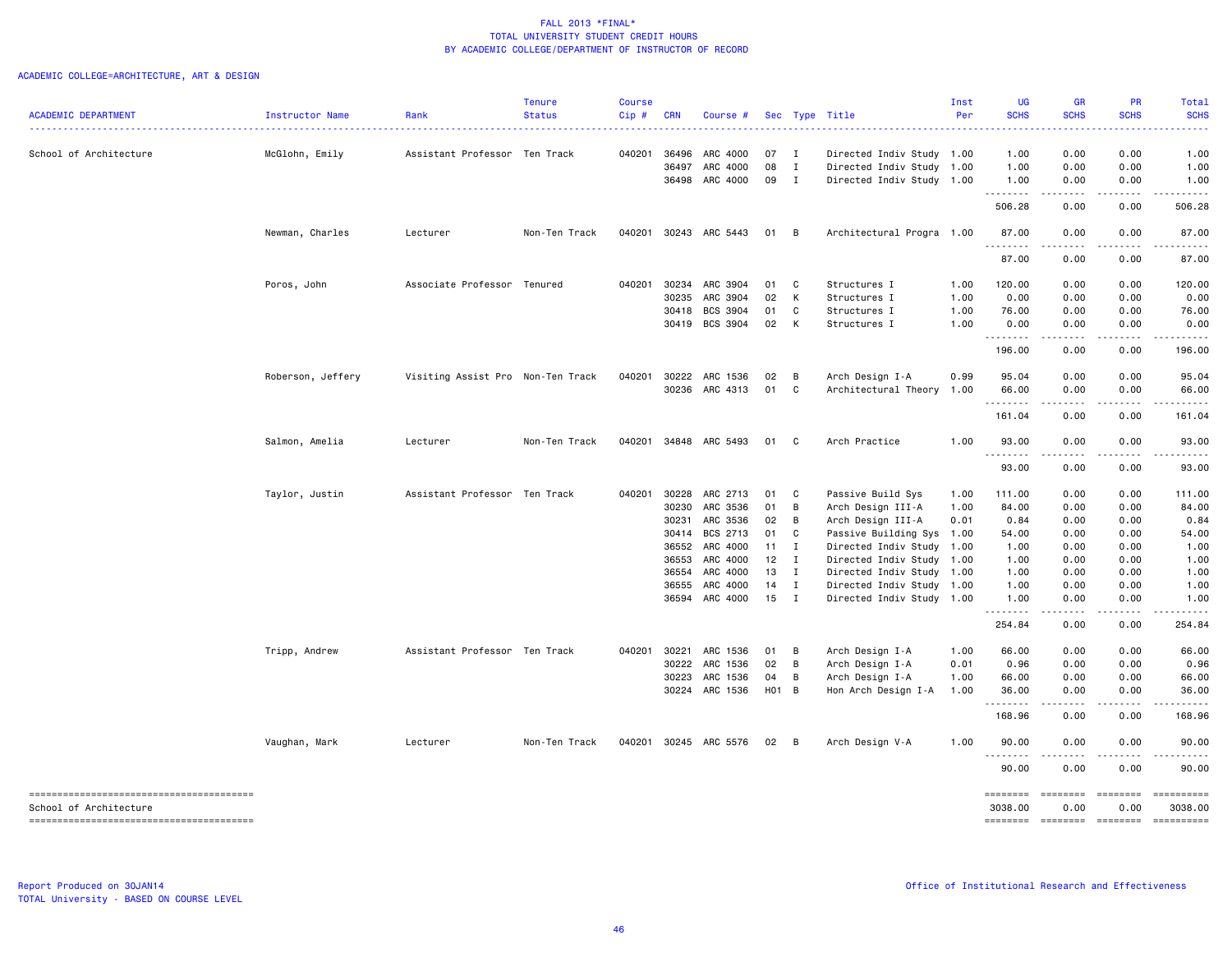| <b>ACADEMIC DEPARTMENT</b> | Instructor Name   | Rank                              | <b>Tenure</b><br><b>Status</b> | <b>Course</b><br>Cip# | <b>CRN</b> | Course #                         |                 |                              | Sec Type Title                                    | Inst<br>Per | UG<br><b>SCHS</b>  | <b>GR</b><br><b>SCHS</b>                                                                                                          | PR<br><b>SCHS</b> | Total<br><b>SCHS</b> |
|----------------------------|-------------------|-----------------------------------|--------------------------------|-----------------------|------------|----------------------------------|-----------------|------------------------------|---------------------------------------------------|-------------|--------------------|-----------------------------------------------------------------------------------------------------------------------------------|-------------------|----------------------|
|                            |                   |                                   |                                |                       |            |                                  |                 |                              |                                                   |             |                    |                                                                                                                                   |                   |                      |
| School of Architecture     | McGlohn, Emily    | Assistant Professor Ten Track     |                                | 040201                | 36496      | ARC 4000                         | 07 I            |                              | Directed Indiv Study 1.00                         |             | 1.00               | 0.00                                                                                                                              | 0.00              | 1.00                 |
|                            |                   |                                   |                                |                       | 36497      | ARC 4000                         | 08              | $\mathbf I$                  | Directed Indiv Study                              | 1.00        | 1.00               | 0.00                                                                                                                              | 0.00              | 1.00                 |
|                            |                   |                                   |                                |                       |            | 36498 ARC 4000                   | 09              | $\mathbf{I}$                 | Directed Indiv Study                              | 1.00        | 1.00<br>.          | 0.00<br>$\frac{1}{2} \left( \frac{1}{2} \right) \left( \frac{1}{2} \right) \left( \frac{1}{2} \right) \left( \frac{1}{2} \right)$ | 0.00<br>.         | 1.00<br>.            |
|                            |                   |                                   |                                |                       |            |                                  |                 |                              |                                                   |             | 506.28             | 0.00                                                                                                                              | 0.00              | 506.28               |
|                            | Newman, Charles   | Lecturer                          | Non-Ten Track                  | 040201                |            | 30243 ARC 5443                   | 01              | $\overline{B}$               | Architectural Progra 1.00                         |             | 87.00              | 0.00                                                                                                                              | 0.00              | 87.00                |
|                            |                   |                                   |                                |                       |            |                                  |                 |                              |                                                   |             | 87.00              | 0.00                                                                                                                              | 0.00              | 87.00                |
|                            | Poros, John       | Associate Professor Tenured       |                                | 040201                |            | 30234 ARC 3904                   | 01              | $\mathbf{C}$                 | Structures I                                      | 1.00        | 120.00             | 0.00                                                                                                                              | 0.00              | 120.00               |
|                            |                   |                                   |                                |                       | 30235      | ARC 3904                         | 02              | $\mathsf{K}$                 | Structures I                                      | 1.00        | 0.00               | 0.00                                                                                                                              | 0.00              | 0.00                 |
|                            |                   |                                   |                                |                       | 30418      | BCS 3904                         | 01              | C                            | Structures I                                      | 1.00        | 76.00              | 0.00                                                                                                                              | 0.00              | 76.00                |
|                            |                   |                                   |                                |                       |            | 30419 BCS 3904                   | 02 K            |                              | Structures I                                      | 1.00        | 0.00<br>--------   | 0.00<br>د د د د                                                                                                                   | 0.00<br>-----     | 0.00                 |
|                            |                   |                                   |                                |                       |            |                                  |                 |                              |                                                   |             | 196.00             | 0.00                                                                                                                              | 0.00              | 196.00               |
|                            | Roberson, Jeffery | Visiting Assist Pro Non-Ten Track |                                | 040201                |            | 30222 ARC 1536                   | 02              | $\overline{B}$               | Arch Design I-A                                   | 0.99        | 95.04              | 0.00                                                                                                                              | 0.00              | 95.04                |
|                            |                   |                                   |                                |                       |            | 30236 ARC 4313                   | 01              | $\mathbf{C}$                 | Architectural Theory                              | 1.00        | 66.00              | 0.00                                                                                                                              | 0.00              | 66.00                |
|                            |                   |                                   |                                |                       |            |                                  |                 |                              |                                                   |             | .<br>161.04        | .<br>0.00                                                                                                                         | .<br>0.00         | .<br>161.04          |
|                            | Salmon, Amelia    | Lecturer                          | Non-Ten Track                  | 040201                |            | 34848 ARC 5493                   | 01 C            |                              | Arch Practice                                     | 1.00        | 93.00              | 0.00                                                                                                                              | 0.00              | 93.00                |
|                            |                   |                                   |                                |                       |            |                                  |                 |                              |                                                   |             | .<br>93.00         | $\frac{1}{2} \left( \frac{1}{2} \right) \left( \frac{1}{2} \right) \left( \frac{1}{2} \right) \left( \frac{1}{2} \right)$<br>0.00 | .<br>0.00         | 93.00                |
|                            | Taylor, Justin    | Assistant Professor Ten Track     |                                | 040201                |            | 30228 ARC 2713                   | 01              | $\mathbf{C}$                 | Passive Build Sys                                 | 1.00        | 111.00             | 0.00                                                                                                                              | 0.00              | 111.00               |
|                            |                   |                                   |                                |                       |            | 30230 ARC 3536                   | 01              | B                            |                                                   | 1.00        | 84.00              |                                                                                                                                   | 0.00              |                      |
|                            |                   |                                   |                                |                       |            |                                  | 02              | В                            | Arch Design III-A                                 |             |                    | 0.00                                                                                                                              | 0.00              | 84.00<br>0.84        |
|                            |                   |                                   |                                |                       |            | 30231 ARC 3536                   |                 |                              | Arch Design III-A                                 | 0.01        | 0.84               | 0.00                                                                                                                              |                   |                      |
|                            |                   |                                   |                                |                       | 30414      | BCS 2713<br>36552 ARC 4000       | 01              | $\mathbf{C}$                 | Passive Building Sys                              | 1.00        | 54.00              | 0.00                                                                                                                              | 0.00              | 54.00                |
|                            |                   |                                   |                                |                       |            |                                  | 11              | $\mathbf{I}$                 | Directed Indiv Study                              | 1.00        | 1.00               | 0.00                                                                                                                              | 0.00              | 1.00                 |
|                            |                   |                                   |                                |                       |            | 36553 ARC 4000                   | 12 <sub>1</sub> | $\blacksquare$               | Directed Indiv Study                              | 1.00        | 1.00               | 0.00                                                                                                                              | 0.00              | 1.00                 |
|                            |                   |                                   |                                |                       | 36554      | ARC 4000                         | 13              | $\mathbf{I}$<br>$\mathbf{I}$ | Directed Indiv Study                              | 1.00        | 1.00               | 0.00                                                                                                                              | 0.00              | 1.00                 |
|                            |                   |                                   |                                |                       |            | 36555 ARC 4000<br>36594 ARC 4000 | 14<br>$15$ I    |                              | Directed Indiv Study<br>Directed Indiv Study 1.00 | 1.00        | 1.00<br>1.00       | 0.00<br>0.00                                                                                                                      | 0.00<br>0.00      | 1.00<br>1.00         |
|                            |                   |                                   |                                |                       |            |                                  |                 |                              |                                                   |             | .<br>254.84        | والمالمات<br>0.00                                                                                                                 | .<br>0.00         | 254.84               |
|                            | Tripp, Andrew     | Assistant Professor Ten Track     |                                | 040201                | 30221      | ARC 1536                         | 01 B            |                              | Arch Design I-A                                   | 1.00        | 66.00              | 0.00                                                                                                                              | 0.00              | 66.00                |
|                            |                   |                                   |                                |                       |            | 30222 ARC 1536                   | 02 B            |                              | Arch Design I-A                                   | 0.01        | 0.96               | 0.00                                                                                                                              | 0.00              | 0.96                 |
|                            |                   |                                   |                                |                       |            | 30223 ARC 1536                   | 04              | В                            | Arch Design I-A                                   | 1.00        | 66.00              | 0.00                                                                                                                              | 0.00              | 66.00                |
|                            |                   |                                   |                                |                       |            | 30224 ARC 1536                   | $H01$ B         |                              | Hon Arch Design I-A                               | 1.00        | 36.00              | 0.00                                                                                                                              | 0.00              | 36.00                |
|                            |                   |                                   |                                |                       |            |                                  |                 |                              |                                                   |             | <u>.</u><br>168.96 | $\frac{1}{2} \left( \frac{1}{2} \right) \left( \frac{1}{2} \right) \left( \frac{1}{2} \right)$<br>0.00                            | .<br>0.00         | .<br>168.96          |
|                            | Vaughan, Mark     | Lecturer                          | Non-Ten Track                  | 040201                |            | 30245 ARC 5576                   | $02 \quad B$    |                              | Arch Design V-A                                   | 1.00        | 90.00              | 0.00                                                                                                                              | 0.00              | 90.00                |
|                            |                   |                                   |                                |                       |            |                                  |                 |                              |                                                   |             | .<br>90.00         | 0.00                                                                                                                              | 0.00              | 90.00                |
|                            |                   |                                   |                                |                       |            |                                  |                 |                              |                                                   |             | ========           | ========                                                                                                                          | $= 222222222$     | ==========           |
| School of Architecture     |                   |                                   |                                |                       |            |                                  |                 |                              |                                                   |             | 3038,00            | 0.00                                                                                                                              | 0.00              | 3038.00              |
|                            |                   |                                   |                                |                       |            |                                  |                 |                              |                                                   |             | ========           | <b>SEEBEEBE</b>                                                                                                                   | ESSESSEE          |                      |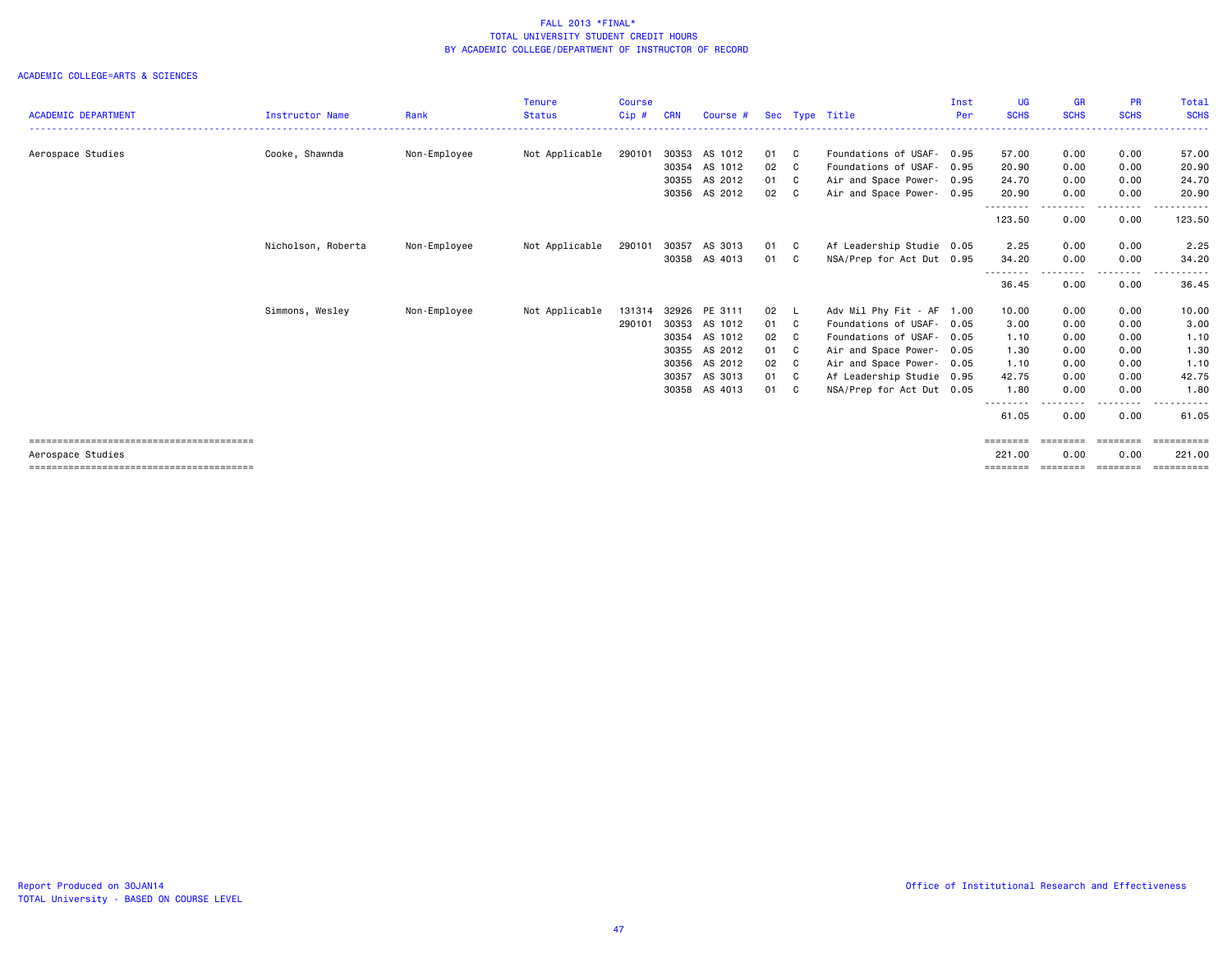|                            |                    |              | <b>Tenure</b>  | <b>Course</b> |            |               |      |                |                           | Inst | <b>UG</b>          | GR          | <b>PR</b>         | Total       |
|----------------------------|--------------------|--------------|----------------|---------------|------------|---------------|------|----------------|---------------------------|------|--------------------|-------------|-------------------|-------------|
| <b>ACADEMIC DEPARTMENT</b> | Instructor Name    | Rank         | <b>Status</b>  | $Cip$ #       | <b>CRN</b> | Course #      |      |                | Sec Type Title            | Per  | <b>SCHS</b>        | <b>SCHS</b> | <b>SCHS</b>       | <b>SCHS</b> |
| Aerospace Studies          | Cooke, Shawnda     | Non-Employee | Not Applicable | 290101        | 30353      | AS 1012       | 01 C |                | Foundations of USAF- 0.95 |      | 57.00              | 0.00        | 0.00              | 57.00       |
|                            |                    |              |                |               | 30354      | AS 1012       | 02   | C C            | Foundations of USAF-      | 0.95 | 20.90              | 0.00        | 0.00              | 20.90       |
|                            |                    |              |                |               |            | 30355 AS 2012 | 01 C |                | Air and Space Power- 0.95 |      | 24.70              | 0.00        | 0.00              | 24.70       |
|                            |                    |              |                |               |            | 30356 AS 2012 | 02 C |                | Air and Space Power- 0.95 |      | 20.90              | 0.00        | 0.00              | 20,90<br>.  |
|                            |                    |              |                |               |            |               |      |                |                           |      | --------<br>123.50 | 0.00        | .<br>0.00         | 123.50      |
|                            | Nicholson, Roberta | Non-Employee | Not Applicable | 290101        | 30357      | AS 3013       | 01 C |                | Af Leadership Studie 0.05 |      | 2.25               | 0.00        | 0.00              | 2.25        |
|                            |                    |              |                |               | 30358      | AS 4013       | 01   | C.             | NSA/Prep for Act Dut 0.95 |      | 34.20              | 0.00        | 0.00              | 34.20       |
|                            |                    |              |                |               |            |               |      |                |                           |      | 36.45              | 0.00        | $- - - -$<br>0.00 | .<br>36.45  |
|                            | Simmons, Wesley    | Non-Employee | Not Applicable | 131314        | 32926      | PE 3111       | 02   | - L            | Adv Mil Phy Fit - AF 1.00 |      | 10.00              | 0.00        | 0.00              | 10.00       |
|                            |                    |              |                | 290101        | 30353      | AS 1012       | 01 C |                | Foundations of USAF- 0.05 |      | 3.00               | 0.00        | 0.00              | 3.00        |
|                            |                    |              |                |               | 30354      | AS 1012       | 02   | C <sub>c</sub> | Foundations of USAF- 0.05 |      | 1.10               | 0.00        | 0.00              | 1.10        |
|                            |                    |              |                |               | 30355      | AS 2012       | 01   | C.             | Air and Space Power- 0.05 |      | 1.30               | 0.00        | 0.00              | 1.30        |
|                            |                    |              |                |               | 30356      | AS 2012       | 02   | C.             | Air and Space Power- 0.05 |      | 1.10               | 0.00        | 0.00              | 1.10        |
|                            |                    |              |                |               | 30357      | AS 3013       | 01   | C <sub>c</sub> | Af Leadership Studie 0.95 |      | 42.75              | 0.00        | 0.00              | 42.75       |
|                            |                    |              |                |               | 30358      | AS 4013       | 01   | C <sub>c</sub> | NSA/Prep for Act Dut 0.05 |      | 1.80               | 0.00        | 0.00              | 1.80        |
|                            |                    |              |                |               |            |               |      |                |                           |      | --------<br>61.05  | 0.00        | 0.00              | 61.05       |
|                            |                    |              |                |               |            |               |      |                |                           |      | ========           | ========    | ========          | ==========  |
| Aerospace Studies          |                    |              |                |               |            |               |      |                |                           |      | 221.00             | 0.00        | 0.00              | 221.00      |
|                            |                    |              |                |               |            |               |      |                |                           |      | $=$ = = = = = = =  | ========    | ========          | ==========  |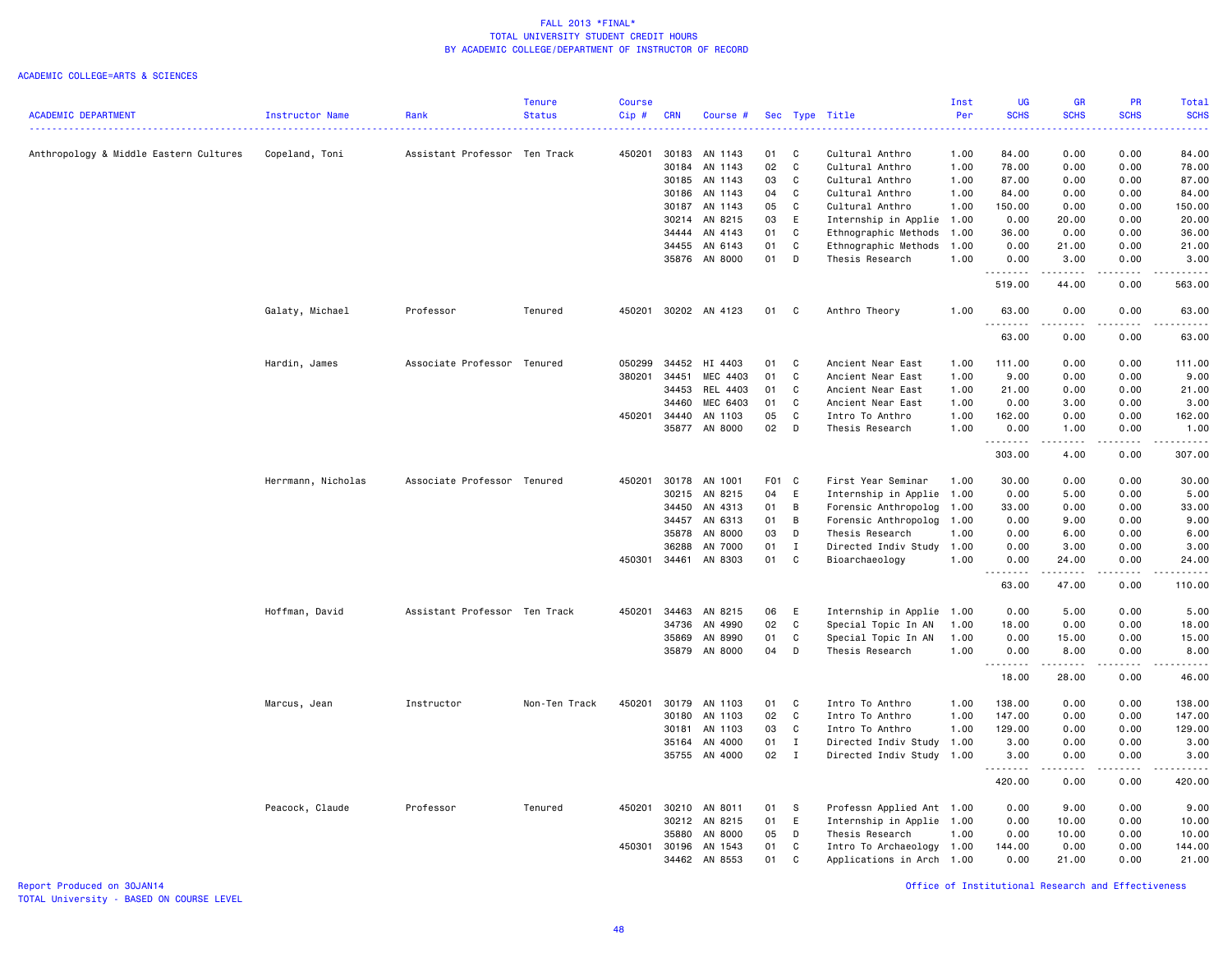### ACADEMIC COLLEGE=ARTS & SCIENCES

|                                        |                    |                               | <b>Tenure</b> | <b>Course</b> |            |               |       |              |                           | Inst | <b>UG</b>    | <b>GR</b>                                                                                                                         | PR          | <b>Total</b>     |
|----------------------------------------|--------------------|-------------------------------|---------------|---------------|------------|---------------|-------|--------------|---------------------------|------|--------------|-----------------------------------------------------------------------------------------------------------------------------------|-------------|------------------|
| <b>ACADEMIC DEPARTMENT</b>             | Instructor Name    | Rank                          | <b>Status</b> | Cip#          | <b>CRN</b> | Course #      |       |              | Sec Type Title            | Per  | <b>SCHS</b>  | <b>SCHS</b>                                                                                                                       | <b>SCHS</b> | <b>SCHS</b>      |
| Anthropology & Middle Eastern Cultures | Copeland, Toni     | Assistant Professor Ten Track |               | 450201        | 30183      | AN 1143       | 01    | C            | Cultural Anthro           | 1.00 | 84.00        | 0.00                                                                                                                              | 0.00        | 84.00            |
|                                        |                    |                               |               |               | 30184      | AN 1143       | 02    | C            | Cultural Anthro           | 1.00 | 78.00        | 0.00                                                                                                                              | 0.00        | 78.00            |
|                                        |                    |                               |               |               | 30185      | AN 1143       | 03    | C            | Cultural Anthro           | 1.00 | 87.00        | 0.00                                                                                                                              | 0.00        | 87.00            |
|                                        |                    |                               |               |               | 30186      | AN 1143       | 04    | C            | Cultural Anthro           | 1.00 | 84.00        | 0.00                                                                                                                              | 0.00        | 84.00            |
|                                        |                    |                               |               |               | 30187      | AN 1143       | 05    | C            | Cultural Anthro           | 1.00 | 150.00       | 0.00                                                                                                                              | 0.00        | 150.00           |
|                                        |                    |                               |               |               | 30214      | AN 8215       | 03    | E            | Internship in Applie      | 1.00 | 0.00         | 20.00                                                                                                                             | 0.00        | 20.00            |
|                                        |                    |                               |               |               |            | 34444 AN 4143 | 01    | C            | Ethnographic Methods      | 1.00 | 36.00        | 0.00                                                                                                                              | 0.00        | 36.00            |
|                                        |                    |                               |               |               | 34455      | AN 6143       | 01    | $\mathtt{C}$ | Ethnographic Methods      | 1.00 | 0.00         | 21.00                                                                                                                             | 0.00        | 21.00            |
|                                        |                    |                               |               |               |            | 35876 AN 8000 | 01    | D            | Thesis Research           | 1.00 | 0.00<br>.    | 3.00<br>$\begin{array}{cccccccccc} \bullet & \bullet & \bullet & \bullet & \bullet & \bullet & \bullet \end{array}$               | 0.00<br>.   | 3.00<br>.        |
|                                        |                    |                               |               |               |            |               |       |              |                           |      | 519.00       | 44.00                                                                                                                             | 0.00        | 563.00           |
|                                        | Galaty, Michael    | Professor                     | Tenured       | 450201        |            | 30202 AN 4123 | 01    | C            | Anthro Theory             | 1.00 | 63.00<br>.   | 0.00<br>$\frac{1}{2} \left( \frac{1}{2} \right) \left( \frac{1}{2} \right) \left( \frac{1}{2} \right) \left( \frac{1}{2} \right)$ | 0.00<br>.   | 63.00<br>.       |
|                                        |                    |                               |               |               |            |               |       |              |                           |      | 63.00        | 0.00                                                                                                                              | 0.00        | 63.00            |
|                                        | Hardin, James      | Associate Professor Tenured   |               | 050299        | 34452      | HI 4403       | 01    | C            | Ancient Near East         | 1.00 | 111.00       | 0.00                                                                                                                              | 0.00        | 111.00           |
|                                        |                    |                               |               | 380201        | 34451      | MEC 4403      | 01    | C            | Ancient Near East         | 1.00 | 9.00         | 0.00                                                                                                                              | 0.00        | 9.00             |
|                                        |                    |                               |               |               | 34453      | REL 4403      | 01    | C            | Ancient Near East         | 1.00 | 21.00        | 0.00                                                                                                                              | 0.00        | 21.00            |
|                                        |                    |                               |               |               | 34460      | MEC 6403      | 01    | C            | Ancient Near East         | 1.00 | 0.00         | 3.00                                                                                                                              | 0.00        | 3.00             |
|                                        |                    |                               |               | 450201        | 34440      | AN 1103       | 05    | C            | Intro To Anthro           | 1.00 | 162.00       | 0.00                                                                                                                              | 0.00        | 162.00           |
|                                        |                    |                               |               |               |            | 35877 AN 8000 | 02    | D            | Thesis Research           | 1.00 | 0.00<br>.    | 1.00<br>.                                                                                                                         | 0.00<br>.   | 1.00<br>وعامامات |
|                                        |                    |                               |               |               |            |               |       |              |                           |      | 303.00       | 4.00                                                                                                                              | 0.00        | 307.00           |
|                                        | Herrmann, Nicholas | Associate Professor Tenured   |               | 450201        | 30178      | AN 1001       | F01 C |              | First Year Seminar        | 1.00 | 30.00        | 0.00                                                                                                                              | 0.00        | 30.00            |
|                                        |                    |                               |               |               | 30215      | AN 8215       | 04    | E            | Internship in Applie      | 1.00 | 0.00         | 5.00                                                                                                                              | 0.00        | 5.00             |
|                                        |                    |                               |               |               | 34450      | AN 4313       | 01    | B            | Forensic Anthropolog      | 1.00 | 33.00        | 0.00                                                                                                                              | 0.00        | 33.00            |
|                                        |                    |                               |               |               | 34457      | AN 6313       | 01    | B            | Forensic Anthropolog      | 1.00 | 0.00         | 9.00                                                                                                                              | 0.00        | 9.00             |
|                                        |                    |                               |               |               | 35878      | AN 8000       | 03    | D            | Thesis Research           | 1.00 | 0.00         | 6.00                                                                                                                              | 0.00        | 6.00             |
|                                        |                    |                               |               |               | 36288      | AN 7000       | 01    | $\mathbf I$  | Directed Indiv Study      | 1.00 | 0.00         | 3.00                                                                                                                              | 0.00        | 3.00             |
|                                        |                    |                               |               | 450301        | 34461      | AN 8303       | 01    | C            | Bioarchaeology            | 1.00 | 0.00<br>---- | 24.00<br>-----                                                                                                                    | 0.00<br>.   | 24.00<br>.       |
|                                        |                    |                               |               |               |            |               |       |              |                           |      | 63.00        | 47.00                                                                                                                             | 0.00        | 110.00           |
|                                        | Hoffman, David     | Assistant Professor Ten Track |               | 450201        | 34463      | AN 8215       | 06    | E            | Internship in Applie      | 1.00 | 0.00         | 5.00                                                                                                                              | 0.00        | 5.00             |
|                                        |                    |                               |               |               | 34736      | AN 4990       | 02    | C            | Special Topic In AN       | 1.00 | 18.00        | 0.00                                                                                                                              | 0.00        | 18.00            |
|                                        |                    |                               |               |               | 35869      | AN 8990       | 01    | $\mathbb{C}$ | Special Topic In AN       | 1.00 | 0.00         | 15.00                                                                                                                             | 0.00        | 15.00            |
|                                        |                    |                               |               |               | 35879      | AN 8000       | 04    | D            | Thesis Research           | 1.00 | 0.00<br>.    | 8.00<br>.                                                                                                                         | 0.00<br>.   | 8.00<br>.        |
|                                        |                    |                               |               |               |            |               |       |              |                           |      | 18.00        | 28.00                                                                                                                             | 0.00        | 46.00            |
|                                        | Marcus, Jean       | Instructor                    | Non-Ten Track | 450201        | 30179      | AN 1103       | 01    | C            | Intro To Anthro           | 1.00 | 138.00       | 0.00                                                                                                                              | 0.00        | 138.00           |
|                                        |                    |                               |               |               | 30180      | AN 1103       | 02    | $\mathbf{C}$ | Intro To Anthro           | 1.00 | 147.00       | 0.00                                                                                                                              | 0.00        | 147.00           |
|                                        |                    |                               |               |               | 30181      | AN 1103       | 03    | C            | Intro To Anthro           | 1.00 | 129.00       | 0.00                                                                                                                              | 0.00        | 129.00           |
|                                        |                    |                               |               |               | 35164      | AN 4000       | 01    | $\mathbf I$  | Directed Indiv Study      | 1.00 | 3.00         | 0.00                                                                                                                              | 0.00        | 3.00             |
|                                        |                    |                               |               |               |            | 35755 AN 4000 | 02    | $\mathbf I$  | Directed Indiv Study      | 1.00 | 3.00<br>.    | 0.00<br>المتمام المنا                                                                                                             | 0.00<br>.   | 3.00<br>.        |
|                                        |                    |                               |               |               |            |               |       |              |                           |      | 420.00       | 0.00                                                                                                                              | 0.00        | 420.00           |
|                                        | Peacock, Claude    | Professor                     | Tenured       | 450201        | 30210      | AN 8011       | 01    | S            | Professn Applied Ant 1.00 |      | 0.00         | 9.00                                                                                                                              | 0.00        | 9.00             |
|                                        |                    |                               |               |               | 30212      | AN 8215       | 01    | E            | Internship in Applie      | 1.00 | 0.00         | 10.00                                                                                                                             | 0.00        | 10.00            |
|                                        |                    |                               |               |               | 35880      | AN 8000       | 05    | D            | Thesis Research           | 1.00 | 0.00         | 10.00                                                                                                                             | 0.00        | 10.00            |
|                                        |                    |                               |               | 450301        | 30196      | AN 1543       | 01    | C            | Intro To Archaeology      | 1.00 | 144.00       | 0.00                                                                                                                              | 0.00        | 144.00           |
|                                        |                    |                               |               |               | 34462      | AN 8553       | 01    | C            | Applications in Arch      | 1.00 | 0.00         | 21.00                                                                                                                             | 0.00        | 21.00            |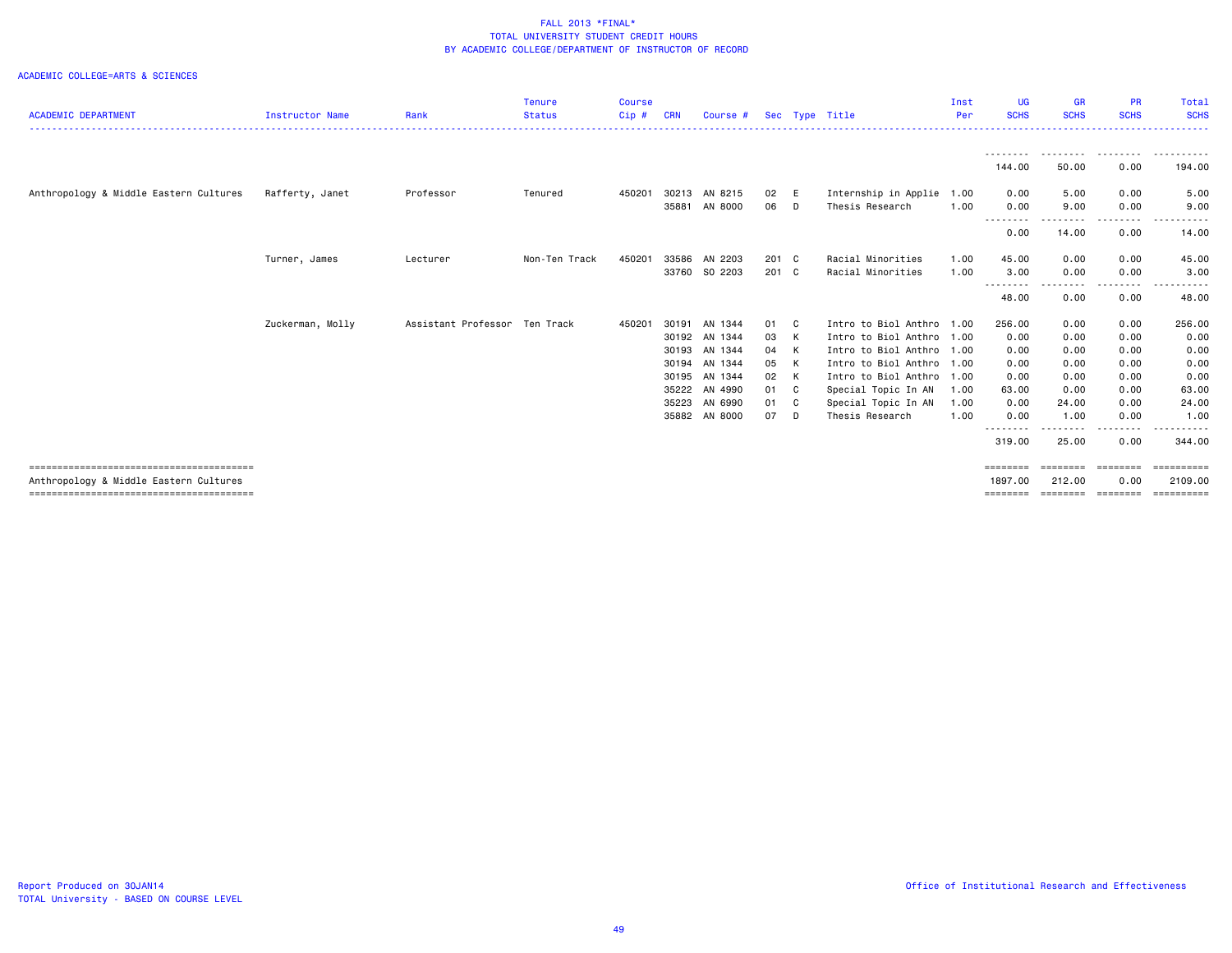| <b>ACADEMIC DEPARTMENT</b>             | Instructor Name  | Rank                          | <b>Tenure</b><br><b>Status</b> | <b>Course</b><br>$Cip$ # | <b>CRN</b> | Course #      |       |     | Sec Type Title            | Inst<br>Per | UG<br><b>SCHS</b>           | <b>GR</b><br><b>SCHS</b> | <b>PR</b><br><b>SCHS</b> | Total<br><b>SCHS</b>    |
|----------------------------------------|------------------|-------------------------------|--------------------------------|--------------------------|------------|---------------|-------|-----|---------------------------|-------------|-----------------------------|--------------------------|--------------------------|-------------------------|
|                                        |                  |                               |                                |                          |            |               |       |     |                           |             |                             |                          |                          |                         |
|                                        |                  |                               |                                |                          |            |               |       |     |                           |             | - - - - - - - - -<br>144.00 | .<br>50.00               | .<br>0.00                | -------<br>194.00       |
| Anthropology & Middle Eastern Cultures | Rafferty, Janet  | Professor                     | Tenured                        | 450201                   | 30213      | AN 8215       | 02    | E   | Internship in Applie      | 1.00        | 0.00                        | 5.00                     | 0.00                     | 5.00                    |
|                                        |                  |                               |                                |                          | 35881      | AN 8000       | 06    | D   | Thesis Research           | 1.00        | 0.00<br>--------            | 9.00<br>------           | 0.00<br>.                | 9.00<br>-----           |
|                                        |                  |                               |                                |                          |            |               |       |     |                           |             | 0.00                        | 14.00                    | 0.00                     | 14.00                   |
|                                        | Turner, James    | Lecturer                      | Non-Ten Track                  | 450201                   |            | 33586 AN 2203 | 201 C |     | Racial Minorities         | 1.00        | 45.00                       | 0.00                     | 0.00                     | 45.00                   |
|                                        |                  |                               |                                |                          | 33760      | SO 2203       | 201 C |     | Racial Minorities         | 1.00        | 3.00<br>--------            | 0.00                     | 0.00<br>-----            | 3.00<br>.               |
|                                        |                  |                               |                                |                          |            |               |       |     |                           |             | 48.00                       | 0.00                     | 0.00                     | 48.00                   |
|                                        | Zuckerman, Molly | Assistant Professor Ten Track |                                | 450201                   | 30191      | AN 1344       | 01    | - C | Intro to Biol Anthro 1.00 |             | 256.00                      | 0.00                     | 0.00                     | 256.00                  |
|                                        |                  |                               |                                |                          |            | 30192 AN 1344 | 03    | K   | Intro to Biol Anthro 1.00 |             | 0.00                        | 0.00                     | 0.00                     | 0.00                    |
|                                        |                  |                               |                                |                          | 30193      | AN 1344       | 04    | K   | Intro to Biol Anthro 1.00 |             | 0.00                        | 0.00                     | 0.00                     | 0.00                    |
|                                        |                  |                               |                                |                          | 30194      | AN 1344       | 05    | K   | Intro to Biol Anthro 1.00 |             | 0.00                        | 0.00                     | 0.00                     | 0.00                    |
|                                        |                  |                               |                                |                          | 30195      | AN 1344       | 02    | K   | Intro to Biol Anthro 1.00 |             | 0.00                        | 0.00                     | 0.00                     | 0.00                    |
|                                        |                  |                               |                                |                          | 35222      | AN 4990       | 01    | C   | Special Topic In AN       | 1.00        | 63.00                       | 0.00                     | 0.00                     | 63.00                   |
|                                        |                  |                               |                                |                          | 35223      | AN 6990       | 01    | C   | Special Topic In AN       | 1.00        | 0.00                        | 24.00                    | 0.00                     | 24.00                   |
|                                        |                  |                               |                                |                          |            | 35882 AN 8000 | 07    | D   | Thesis Research           | 1.00        | 0.00<br>. <b>.</b>          | 1.00                     | 0.00<br>.                | 1.00<br>------          |
|                                        |                  |                               |                                |                          |            |               |       |     |                           |             | 319.00                      | 25.00                    | 0.00                     | 344.00                  |
|                                        |                  |                               |                                |                          |            |               |       |     |                           |             | ========                    | ========                 | ========                 | $=$ = = = = = = = = = = |
| Anthropology & Middle Eastern Cultures |                  |                               |                                |                          |            |               |       |     |                           |             | 1897.00                     | 212,00                   | 0.00                     | 2109,00                 |
|                                        |                  |                               |                                |                          |            |               |       |     |                           |             | $=$ = = = = = = =           | ========                 | ========                 |                         |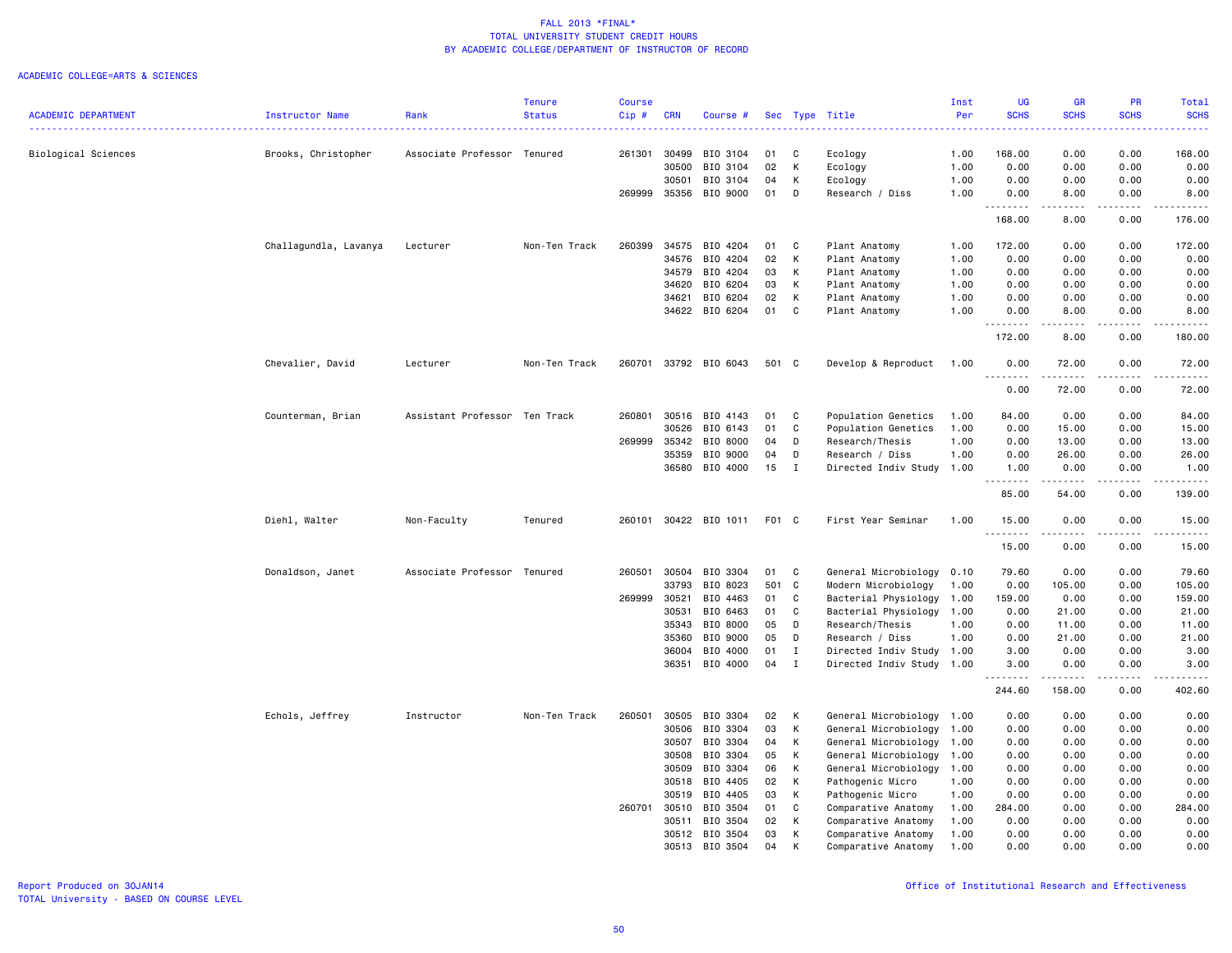|                            |                       |                               | <b>Tenure</b> | <b>Course</b> |            |                |       |              |                           | Inst | <b>UG</b>                         | <b>GR</b>           | PR                                  | Total       |
|----------------------------|-----------------------|-------------------------------|---------------|---------------|------------|----------------|-------|--------------|---------------------------|------|-----------------------------------|---------------------|-------------------------------------|-------------|
| <b>ACADEMIC DEPARTMENT</b> | Instructor Name       | Rank                          | <b>Status</b> | Cip#          | <b>CRN</b> | Course #       |       |              | Sec Type Title            | Per  | <b>SCHS</b>                       | <b>SCHS</b>         | <b>SCHS</b>                         | <b>SCHS</b> |
|                            |                       |                               |               |               |            |                |       |              |                           |      |                                   |                     |                                     |             |
| Biological Sciences        | Brooks, Christopher   | Associate Professor Tenured   |               | 261301        | 30499      | BIO 3104       | 01    | C            | Ecology                   | 1.00 | 168.00                            | 0.00                | 0.00                                | 168.00      |
|                            |                       |                               |               |               | 30500      | BIO 3104       | 02    | К            | Ecology                   | 1.00 | 0.00                              | 0.00                | 0.00                                | 0.00        |
|                            |                       |                               |               |               | 30501      | BIO 3104       | 04    | К            | Ecology                   | 1.00 | 0.00                              | 0.00                | 0.00                                | 0.00        |
|                            |                       |                               |               | 269999        | 35356      | BIO 9000       | 01    | D            | Research / Diss           | 1.00 | 0.00<br>د د د د                   | 8.00<br>.           | 0.00<br>$\omega$ is $\omega$ in     | 8.00<br>.   |
|                            |                       |                               |               |               |            |                |       |              |                           |      | 168.00                            | 8.00                | 0.00                                | 176.00      |
|                            | Challagundla, Lavanya | Lecturer                      | Non-Ten Track | 260399        | 34575      | BIO 4204       | 01    | C            | Plant Anatomy             | 1.00 | 172.00                            | 0.00                | 0.00                                | 172.00      |
|                            |                       |                               |               |               | 34576      | BIO 4204       | 02    | К            | Plant Anatomy             | 1.00 | 0.00                              | 0.00                | 0.00                                | 0.00        |
|                            |                       |                               |               |               | 34579      | BIO 4204       | 03    | К            | Plant Anatomy             | 1.00 | 0.00                              | 0.00                | 0.00                                | 0.00        |
|                            |                       |                               |               |               | 34620      | BIO 6204       | 03    | K            | Plant Anatomy             | 1.00 | 0.00                              | 0.00                | 0.00                                | 0.00        |
|                            |                       |                               |               |               | 34621      | BIO 6204       | 02    | K            | Plant Anatomy             | 1.00 | 0.00                              | 0.00                | 0.00                                | 0.00        |
|                            |                       |                               |               |               |            | 34622 BIO 6204 | 01    | $\mathbf{C}$ | Plant Anatomy             | 1.00 | 0.00<br>.                         | 8.00<br>.           | 0.00<br>$\frac{1}{2}$               | 8.00<br>.   |
|                            |                       |                               |               |               |            |                |       |              |                           |      | 172.00                            | 8.00                | 0.00                                | 180.00      |
|                            | Chevalier, David      | Lecturer                      | Non-Ten Track | 260701        |            | 33792 BIO 6043 | 501 C |              | Develop & Reproduct       | 1.00 | 0.00<br>$\sim$ $\sim$ $\sim$<br>. | 72.00<br>.          | 0.00<br>.                           | 72.00<br>.  |
|                            |                       |                               |               |               |            |                |       |              |                           |      | 0.00                              | 72.00               | 0.00                                | 72.00       |
|                            | Counterman, Brian     | Assistant Professor Ten Track |               | 260801        | 30516      | BIO 4143       | 01    | C            | Population Genetics       | 1.00 | 84.00                             | 0.00                | 0.00                                | 84.00       |
|                            |                       |                               |               |               | 30526      | BIO 6143       | 01    | C            | Population Genetics       | 1.00 | 0.00                              | 15.00               | 0.00                                | 15.00       |
|                            |                       |                               |               | 269999        | 35342      | BIO 8000       | 04    | D            | Research/Thesis           | 1.00 |                                   |                     | 0.00                                | 13.00       |
|                            |                       |                               |               |               | 35359      | BIO 9000       |       | D            |                           |      | 0.00                              | 13.00               | 0.00                                |             |
|                            |                       |                               |               |               |            |                | 04    |              | Research / Diss           | 1.00 | 0.00                              | 26.00               |                                     | 26.00       |
|                            |                       |                               |               |               | 36580      | BIO 4000       | 15    | $\mathbf{I}$ | Directed Indiv Study      | 1.00 | 1.00<br>$\sim$ $\sim$ $\sim$      | 0.00<br>$- - - - -$ | 0.00<br>$\sim$ $\sim$ $\sim$ $\sim$ | 1.00<br>.   |
|                            |                       |                               |               |               |            |                |       |              |                           |      | 85.00                             | 54.00               | 0.00                                | 139.00      |
|                            | Diehl, Walter         | Non-Faculty                   | Tenured       | 260101        |            | 30422 BIO 1011 | F01 C |              | First Year Seminar        | 1.00 | 15.00<br>$\frac{1}{2}$            | 0.00                | 0.00                                | 15.00       |
|                            |                       |                               |               |               |            |                |       |              |                           |      | 15.00                             | 0.00                | 0.00                                | 15.00       |
|                            | Donaldson, Janet      | Associate Professor Tenured   |               | 260501        | 30504      | BIO 3304       | 01    | C            | General Microbiology 0.10 |      | 79.60                             | 0.00                | 0.00                                | 79.60       |
|                            |                       |                               |               |               | 33793      | BIO 8023       | 501 C |              | Modern Microbiology       | 1.00 | 0.00                              | 105.00              | 0.00                                | 105.00      |
|                            |                       |                               |               | 269999        | 30521      | BIO 4463       | 01    | C            | Bacterial Physiology      | 1.00 | 159.00                            | 0.00                | 0.00                                | 159.00      |
|                            |                       |                               |               |               | 30531      | BIO 6463       | 01    | C            | Bacterial Physiology      | 1.00 | 0.00                              | 21.00               | 0.00                                | 21.00       |
|                            |                       |                               |               |               | 35343      | BIO 8000       | 05    | D            | Research/Thesis           | 1.00 | 0.00                              | 11.00               | 0.00                                | 11.00       |
|                            |                       |                               |               |               | 35360      | BIO 9000       | 05    | D            | Research / Diss           | 1.00 | 0.00                              | 21.00               | 0.00                                | 21.00       |
|                            |                       |                               |               |               | 36004      | BIO 4000       | 01    | $\mathbf{I}$ | Directed Indiv Study      | 1.00 | 3.00                              | 0.00                | 0.00                                | 3.00        |
|                            |                       |                               |               |               | 36351      | BIO 4000       | 04    | $\mathbf{I}$ | Directed Indiv Study 1.00 |      | 3.00<br>.                         | 0.00<br>.           | 0.00<br>$\frac{1}{2}$               | 3.00<br>.   |
|                            |                       |                               |               |               |            |                |       |              |                           |      | 244.60                            | 158.00              | 0.00                                | 402.60      |
|                            | Echols, Jeffrey       | Instructor                    | Non-Ten Track | 260501        | 30505      | BIO 3304       | 02    | Κ            | General Microbiology 1.00 |      | 0.00                              | 0.00                | 0.00                                | 0.00        |
|                            |                       |                               |               |               | 30506      | BIO 3304       | 03    | К            | General Microbiology      | 1.00 | 0.00                              | 0.00                | 0.00                                | 0.00        |
|                            |                       |                               |               |               | 30507      | BIO 3304       | 04    | К            | General Microbiology      | 1.00 | 0.00                              | 0.00                | 0.00                                | 0.00        |
|                            |                       |                               |               |               | 30508      | BIO 3304       | 05    | К            | General Microbiology      | 1.00 | 0.00                              | 0.00                | 0.00                                | 0.00        |
|                            |                       |                               |               |               | 30509      | BIO 3304       | 06    | Κ            | General Microbiology 1.00 |      | 0.00                              | 0.00                | 0.00                                | 0.00        |
|                            |                       |                               |               |               | 30518      | BIO 4405       | 02    | К            | Pathogenic Micro          | 1.00 | 0.00                              | 0.00                | 0.00                                | 0.00        |
|                            |                       |                               |               |               | 30519      | BIO 4405       | 03    | К            | Pathogenic Micro          | 1.00 | 0.00                              | 0.00                | 0.00                                | 0.00        |
|                            |                       |                               |               | 260701        | 30510      | BIO 3504       | 01    | C            | Comparative Anatomy       | 1.00 | 284.00                            | 0.00                | 0.00                                | 284.00      |
|                            |                       |                               |               |               | 30511      | BIO 3504       | 02    | K            | Comparative Anatomy       | 1.00 | 0.00                              | 0.00                | 0.00                                | 0.00        |
|                            |                       |                               |               |               | 30512      | BIO 3504       | 03    | Κ            | Comparative Anatomy       | 1.00 | 0.00                              | 0.00                | 0.00                                | 0.00        |
|                            |                       |                               |               |               | 30513      | BIO 3504       | 04    | K            | Comparative Anatomy       | 1.00 | 0.00                              | 0.00                | 0.00                                | 0.00        |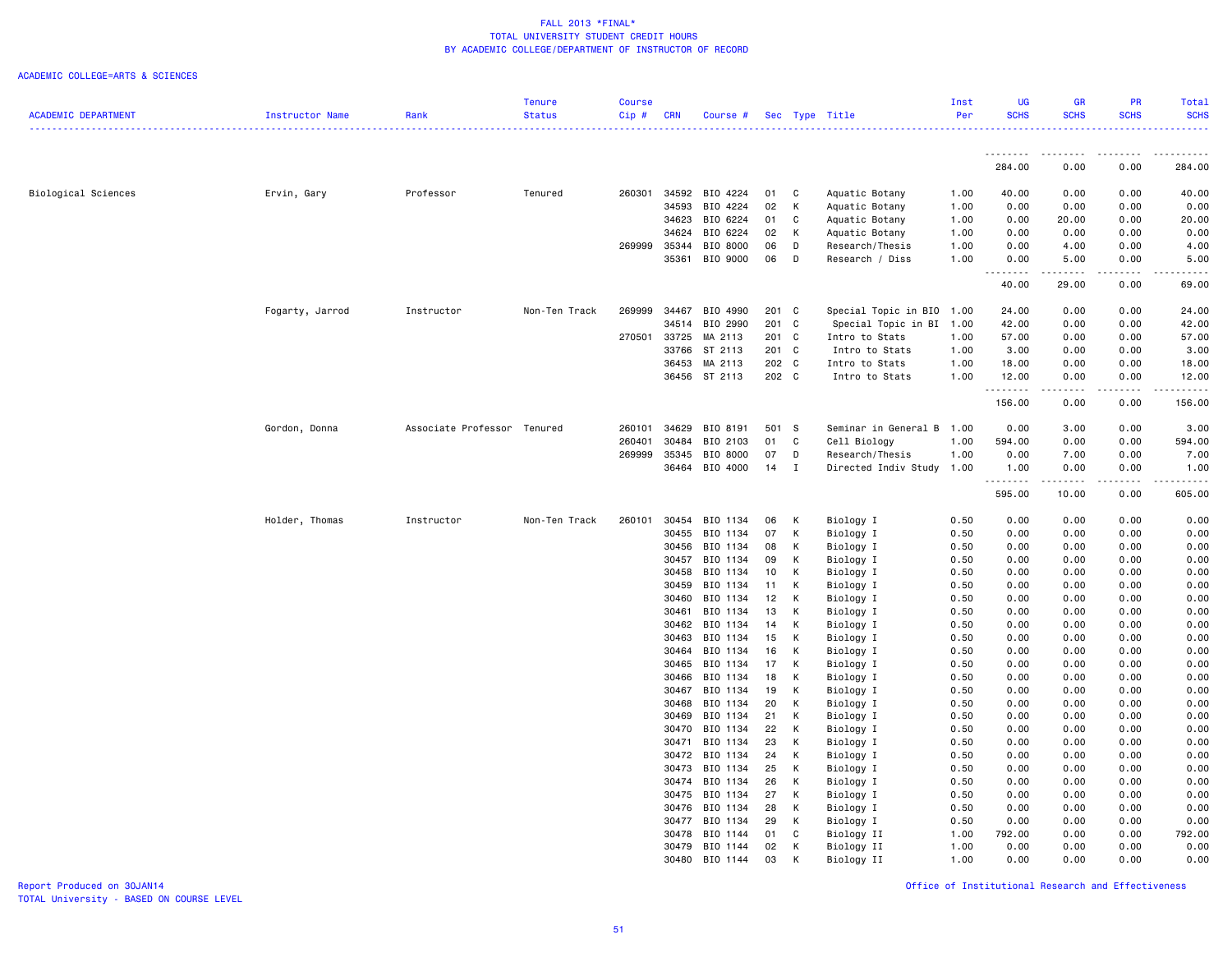|                            |                 |                             | Tenure        | <b>Course</b> |                |                      |          |              |                          | Inst         | <b>UG</b>        | <b>GR</b>                                                                                                                                                    | PR           | Total                                                                                                                             |
|----------------------------|-----------------|-----------------------------|---------------|---------------|----------------|----------------------|----------|--------------|--------------------------|--------------|------------------|--------------------------------------------------------------------------------------------------------------------------------------------------------------|--------------|-----------------------------------------------------------------------------------------------------------------------------------|
| <b>ACADEMIC DEPARTMENT</b> | Instructor Name | Rank                        | <b>Status</b> | Cip#          | <b>CRN</b>     | Course #             |          |              | Sec Type Title           | Per          | <b>SCHS</b>      | <b>SCHS</b>                                                                                                                                                  | <b>SCHS</b>  | <b>SCHS</b><br><u>.</u>                                                                                                           |
|                            |                 |                             |               |               |                |                      |          |              |                          |              | .                | <b></b>                                                                                                                                                      | <u>.</u>     | .                                                                                                                                 |
|                            |                 |                             |               |               |                |                      |          |              |                          |              | 284.00           | 0.00                                                                                                                                                         | 0.00         | 284.00                                                                                                                            |
| Biological Sciences        | Ervin, Gary     | Professor                   | Tenured       | 260301        |                | 34592 BIO 4224       | 01       | C            | Aquatic Botany           | 1.00         | 40.00            | 0.00                                                                                                                                                         | 0.00         | 40.00                                                                                                                             |
|                            |                 |                             |               |               | 34593          | BIO 4224             | 02       | K            | Aquatic Botany           | 1.00         | 0.00             | 0.00                                                                                                                                                         | 0.00         | 0.00                                                                                                                              |
|                            |                 |                             |               |               | 34623          | BIO 6224             | 01       | C            | Aquatic Botany           | 1.00         | 0.00             | 20.00                                                                                                                                                        | 0.00         | 20.00                                                                                                                             |
|                            |                 |                             |               |               | 34624          | BIO 6224             | 02       | К            | Aquatic Botany           | 1.00         | 0.00             | 0.00                                                                                                                                                         | 0.00         | 0.00                                                                                                                              |
|                            |                 |                             |               | 269999        | 35344          | BIO 8000             | 06       | D            | Research/Thesis          | 1.00         | 0.00             | 4.00                                                                                                                                                         | 0.00         | 4.00                                                                                                                              |
|                            |                 |                             |               |               | 35361          | BIO 9000             | 06       | D            | Research / Diss          | 1.00         | 0.00<br>.        | 5.00<br>$\frac{1}{2} \left( \frac{1}{2} \right) \left( \frac{1}{2} \right) \left( \frac{1}{2} \right) \left( \frac{1}{2} \right) \left( \frac{1}{2} \right)$ | 0.00<br>.    | 5.00<br>$\frac{1}{2} \left( \frac{1}{2} \right) \left( \frac{1}{2} \right) \left( \frac{1}{2} \right) \left( \frac{1}{2} \right)$ |
|                            |                 |                             |               |               |                |                      |          |              |                          |              | 40.00            | 29.00                                                                                                                                                        | 0.00         | 69.00                                                                                                                             |
|                            | Fogarty, Jarrod | Instructor                  | Non-Ten Track | 269999        | 34467          | BIO 4990             | 201 C    |              | Special Topic in BIO     | 1.00         | 24.00            | 0.00                                                                                                                                                         | 0.00         | 24.00                                                                                                                             |
|                            |                 |                             |               |               |                | 34514 BIO 2990       | 201 C    |              | Special Topic in BI 1.00 |              | 42.00            | 0.00                                                                                                                                                         | 0.00         | 42.00                                                                                                                             |
|                            |                 |                             |               | 270501        | 33725          | MA 2113              | 201 C    |              | Intro to Stats           | 1.00         | 57.00            | 0.00                                                                                                                                                         | 0.00         | 57.00                                                                                                                             |
|                            |                 |                             |               |               |                | 33766 ST 2113        | 201 C    |              | Intro to Stats           | 1.00         | 3.00             | 0.00                                                                                                                                                         | 0.00         | 3.00                                                                                                                              |
|                            |                 |                             |               |               | 36453          | MA 2113              | 202 C    |              | Intro to Stats           | 1.00         | 18.00            | 0.00                                                                                                                                                         | 0.00         | 18.00                                                                                                                             |
|                            |                 |                             |               |               |                | 36456 ST 2113        | 202 C    |              | Intro to Stats           | 1.00         | 12.00            | 0.00<br>.                                                                                                                                                    | 0.00<br>.    | 12.00                                                                                                                             |
|                            |                 |                             |               |               |                |                      |          |              |                          |              | 156.00           | 0.00                                                                                                                                                         | 0.00         | 156.00                                                                                                                            |
|                            | Gordon, Donna   | Associate Professor Tenured |               | 260101        | 34629          | BIO 8191             | 501 S    |              | Seminar in General B     | 1.00         | 0.00             | 3.00                                                                                                                                                         | 0.00         | 3.00                                                                                                                              |
|                            |                 |                             |               | 260401        | 30484          | BIO 2103             | 01       | C            | Cell Biology             | 1.00         | 594.00           | 0.00                                                                                                                                                         | 0.00         | 594.00                                                                                                                            |
|                            |                 |                             |               | 269999        | 35345          | BIO 8000             | 07       | D            | Research/Thesis          | 1.00         | 0.00             | 7.00                                                                                                                                                         | 0.00         | 7.00                                                                                                                              |
|                            |                 |                             |               |               |                | 36464 BIO 4000       | 14       | $\mathbf{I}$ | Directed Indiv Study     | 1.00         | 1.00<br><u>.</u> | 0.00                                                                                                                                                         | 0.00         | 1.00                                                                                                                              |
|                            |                 |                             |               |               |                |                      |          |              |                          |              | 595.00           | 10.00                                                                                                                                                        | 0.00         | 605.00                                                                                                                            |
|                            | Holder, Thomas  | Instructor                  | Non-Ten Track | 260101        | 30454          | BIO 1134             | 06       | К            | Biology I                | 0.50         | 0.00             | 0.00                                                                                                                                                         | 0.00         | 0.00                                                                                                                              |
|                            |                 |                             |               |               | 30455          | BIO 1134             | 07       | К            | Biology I                | 0.50         | 0.00             | 0.00                                                                                                                                                         | 0.00         | 0.00                                                                                                                              |
|                            |                 |                             |               |               | 30456          | BIO 1134             | 08       | К            | Biology I                | 0.50         | 0.00             | 0.00                                                                                                                                                         | 0.00         | 0.00                                                                                                                              |
|                            |                 |                             |               |               | 30457          | BIO 1134             | 09       | К            | Biology I                | 0.50         | 0.00             | 0.00                                                                                                                                                         | 0.00         | 0.00                                                                                                                              |
|                            |                 |                             |               |               | 30458          | BIO 1134             | 10       | К            | Biology I                | 0.50         | 0.00             | 0.00                                                                                                                                                         | 0.00         | 0.00                                                                                                                              |
|                            |                 |                             |               |               | 30459          | BIO 1134             | 11       | К            | Biology I                | 0.50         | 0.00             | 0.00                                                                                                                                                         | 0.00         | 0.00                                                                                                                              |
|                            |                 |                             |               |               | 30460          | BIO 1134             | 12       | K            | Biology I                | 0.50         | 0.00             | 0.00                                                                                                                                                         | 0.00         | 0.00                                                                                                                              |
|                            |                 |                             |               |               | 30461<br>30462 | BIO 1134             | 13<br>14 | К<br>К       | Biology I                | 0.50<br>0.50 | 0.00<br>0.00     | 0.00                                                                                                                                                         | 0.00<br>0.00 | 0.00                                                                                                                              |
|                            |                 |                             |               |               | 30463          | BIO 1134<br>BIO 1134 | 15       | К            | Biology I<br>Biology I   | 0.50         | 0.00             | 0.00<br>0.00                                                                                                                                                 | 0.00         | 0.00<br>0.00                                                                                                                      |
|                            |                 |                             |               |               |                | 30464 BIO 1134       | 16       | K            | Biology I                | 0.50         | 0.00             | 0.00                                                                                                                                                         | 0.00         | 0.00                                                                                                                              |
|                            |                 |                             |               |               | 30465          | BIO 1134             | 17       | К            | Biology I                | 0.50         | 0.00             | 0.00                                                                                                                                                         | 0.00         | 0.00                                                                                                                              |
|                            |                 |                             |               |               | 30466          | BIO 1134             | 18       | К            | Biology I                | 0.50         | 0.00             | 0.00                                                                                                                                                         | 0.00         | 0.00                                                                                                                              |
|                            |                 |                             |               |               |                | 30467 BIO 1134       | 19       | К            | Biology I                | 0.50         | 0.00             | 0.00                                                                                                                                                         | 0.00         | 0.00                                                                                                                              |
|                            |                 |                             |               |               | 30468          | BIO 1134             | 20       | к            | Biology I                | 0.50         | 0.00             | 0.00                                                                                                                                                         | 0.00         | 0.00                                                                                                                              |
|                            |                 |                             |               |               | 30469          | BIO 1134             | 21       | К            | Biology I                | 0.50         | 0.00             | 0.00                                                                                                                                                         | 0.00         | 0.00                                                                                                                              |
|                            |                 |                             |               |               | 30470          | BIO 1134             | 22       | К            | Biology I                | 0.50         | 0.00             | 0.00                                                                                                                                                         | 0.00         | 0.00                                                                                                                              |
|                            |                 |                             |               |               | 30471          | BIO 1134             | 23       | К            | Biology I                | 0.50         | 0.00             | 0.00                                                                                                                                                         | 0.00         | 0.00                                                                                                                              |
|                            |                 |                             |               |               | 30472          | BIO 1134             | 24       | К            | Biology I                | 0.50         | 0.00             | 0.00                                                                                                                                                         | 0.00         | 0.00                                                                                                                              |
|                            |                 |                             |               |               | 30473          | BIO 1134             | 25       | K            | Biology I                | 0.50         | 0.00             | 0.00                                                                                                                                                         | 0.00         | 0.00                                                                                                                              |
|                            |                 |                             |               |               |                | 30474 BIO 1134       | 26       | К            | Biology I                | 0.50         | 0.00             | 0.00                                                                                                                                                         | 0.00         | 0.00                                                                                                                              |
|                            |                 |                             |               |               | 30475          | BIO 1134             | 27       | K            | Biology I                | 0.50         | 0.00             | 0.00                                                                                                                                                         | 0.00         | 0.00                                                                                                                              |
|                            |                 |                             |               |               | 30476          | BIO 1134             | 28       | к            | Biology I                | 0.50         | 0.00             | 0.00                                                                                                                                                         | 0.00         | 0.00                                                                                                                              |
|                            |                 |                             |               |               |                | 30477 BIO 1134       | 29       | K            | Biology I                | 0.50         | 0.00             | 0.00                                                                                                                                                         | 0.00         | 0.00                                                                                                                              |
|                            |                 |                             |               |               |                | 30478 BIO 1144       | 01       | C            | Biology II               | 1.00         | 792.00           | 0.00                                                                                                                                                         | 0.00         | 792.00                                                                                                                            |
|                            |                 |                             |               |               | 30479          | BIO 1144             | 02       | К            | Biology II               | 1.00         | 0.00             | 0.00                                                                                                                                                         | 0.00         | 0.00                                                                                                                              |
|                            |                 |                             |               |               |                | 30480 BIO 1144       | 03       | K            | Biology II               | 1.00         | 0.00             | 0.00                                                                                                                                                         | 0.00         | 0.00                                                                                                                              |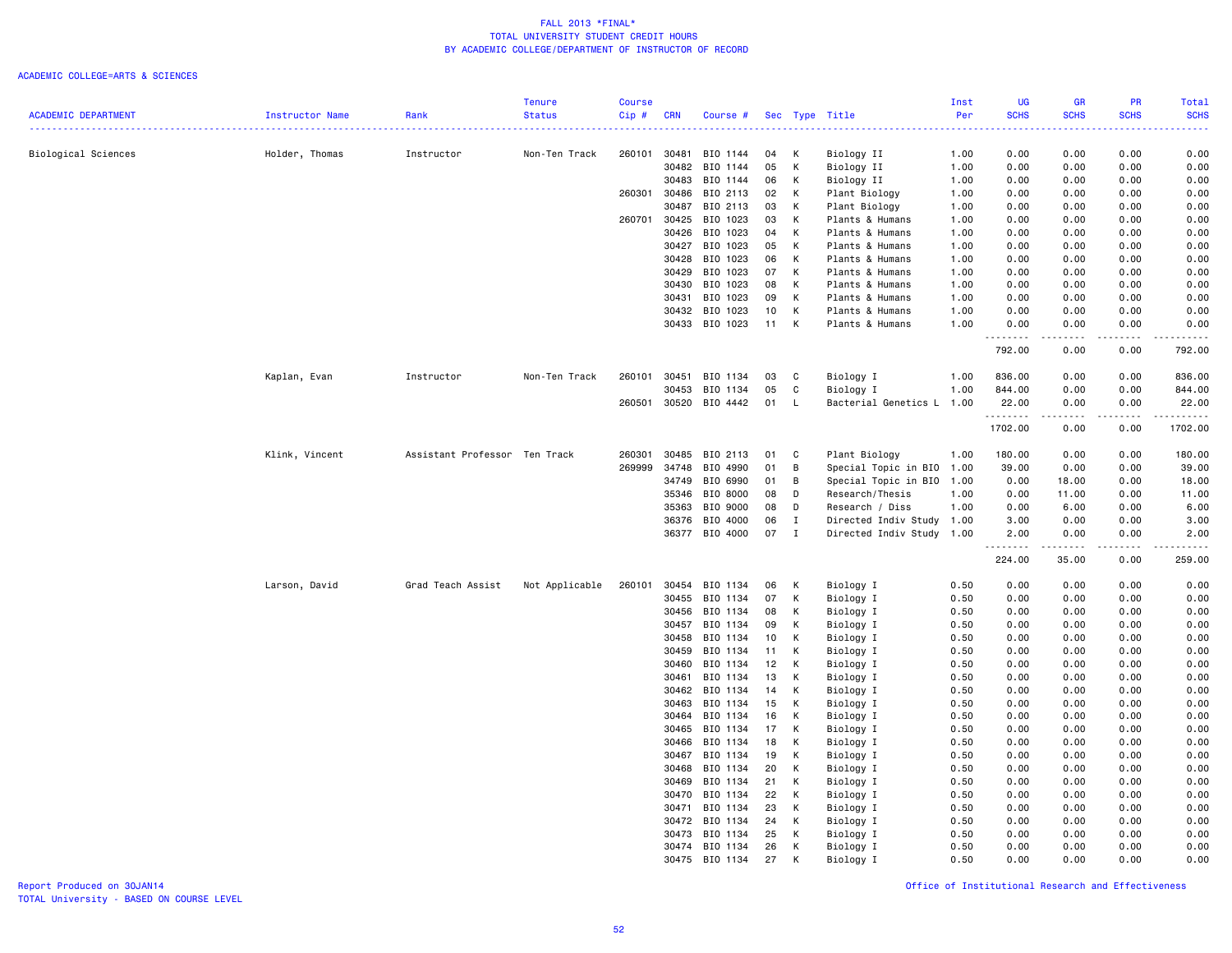### ACADEMIC COLLEGE=ARTS & SCIENCES

|                            |                 |                               | Tenure         | <b>Course</b> |            |                |    |              |                           | Inst | <b>UG</b>            | <b>GR</b>                                                                                                                         | <b>PR</b>       | <b>Total</b>                                                                                                              |
|----------------------------|-----------------|-------------------------------|----------------|---------------|------------|----------------|----|--------------|---------------------------|------|----------------------|-----------------------------------------------------------------------------------------------------------------------------------|-----------------|---------------------------------------------------------------------------------------------------------------------------|
| <b>ACADEMIC DEPARTMENT</b> | Instructor Name | Rank                          | <b>Status</b>  | $Cip$ #       | <b>CRN</b> | Course #       |    |              | Sec Type Title            | Per  | <b>SCHS</b>          | <b>SCHS</b>                                                                                                                       | <b>SCHS</b>     | <b>SCHS</b>                                                                                                               |
|                            |                 |                               |                |               |            |                |    |              |                           |      |                      |                                                                                                                                   |                 | $\frac{1}{2} \left( \frac{1}{2} \right) \left( \frac{1}{2} \right) \left( \frac{1}{2} \right) \left( \frac{1}{2} \right)$ |
| Biological Sciences        | Holder, Thomas  | Instructor                    | Non-Ten Track  | 260101        | 30481      | BIO 1144       | 04 | К            | Biology II                | 1.00 | 0.00                 | 0.00                                                                                                                              | 0.00            | 0.00                                                                                                                      |
|                            |                 |                               |                |               | 30482      | BIO 1144       | 05 | К            | Biology II                | 1.00 | 0.00                 | 0.00                                                                                                                              | 0.00            | 0.00                                                                                                                      |
|                            |                 |                               |                |               | 30483      | BIO 1144       | 06 | К            | Biology II                | 1.00 | 0.00                 | 0.00                                                                                                                              | 0.00            | 0.00                                                                                                                      |
|                            |                 |                               |                | 260301        | 30486      | BIO 2113       | 02 | К            | Plant Biology             | 1.00 | 0.00                 | 0.00                                                                                                                              | 0.00            | 0.00                                                                                                                      |
|                            |                 |                               |                |               | 30487      | BIO 2113       | 03 | K            | Plant Biology             | 1.00 | 0.00                 | 0.00                                                                                                                              | 0.00            | 0.00                                                                                                                      |
|                            |                 |                               |                | 260701        | 30425      | BIO 1023       | 03 | K            | Plants & Humans           | 1.00 | 0.00                 | 0.00                                                                                                                              | 0.00            | 0.00                                                                                                                      |
|                            |                 |                               |                |               | 30426      | BIO 1023       | 04 | K            | Plants & Humans           | 1.00 | 0.00                 | 0.00                                                                                                                              | 0.00            | 0.00                                                                                                                      |
|                            |                 |                               |                |               | 30427      | BIO 1023       | 05 | K            | Plants & Humans           | 1.00 | 0.00                 | 0.00                                                                                                                              | 0.00            | 0.00                                                                                                                      |
|                            |                 |                               |                |               | 30428      | BIO 1023       | 06 | K            | Plants & Humans           | 1.00 | 0.00                 | 0.00                                                                                                                              | 0.00            | 0.00                                                                                                                      |
|                            |                 |                               |                |               | 30429      | BIO 1023       | 07 | К            | Plants & Humans           | 1.00 | 0.00                 | 0.00                                                                                                                              | 0.00            | 0.00                                                                                                                      |
|                            |                 |                               |                |               | 30430      | BIO 1023       | 08 | К            | Plants & Humans           | 1.00 | 0.00                 | 0.00                                                                                                                              | 0.00            | 0.00                                                                                                                      |
|                            |                 |                               |                |               | 30431      | BIO 1023       | 09 | К            | Plants & Humans           | 1.00 | 0.00                 | 0.00                                                                                                                              | 0.00            | 0.00                                                                                                                      |
|                            |                 |                               |                |               | 30432      | BIO 1023       | 10 | K            | Plants & Humans           | 1.00 | 0.00                 | 0.00                                                                                                                              | 0.00            | 0.00                                                                                                                      |
|                            |                 |                               |                |               |            | 30433 BIO 1023 | 11 | K            | Plants & Humans           | 1.00 | 0.00                 | 0.00                                                                                                                              | 0.00<br>د د د د | 0.00                                                                                                                      |
|                            |                 |                               |                |               |            |                |    |              |                           |      | . <b>.</b><br>792.00 | $\frac{1}{2} \left( \frac{1}{2} \right) \left( \frac{1}{2} \right) \left( \frac{1}{2} \right) \left( \frac{1}{2} \right)$<br>0.00 | 0.00            | .<br>792.00                                                                                                               |
|                            |                 |                               |                |               |            |                |    |              |                           |      |                      |                                                                                                                                   |                 |                                                                                                                           |
|                            | Kaplan, Evan    | Instructor                    | Non-Ten Track  | 260101        | 30451      | BIO 1134       | 03 | C            | Biology I                 | 1.00 | 836.00               | 0.00                                                                                                                              | 0.00            | 836.00                                                                                                                    |
|                            |                 |                               |                |               | 30453      | BIO 1134       | 05 | C            | Biology I                 | 1.00 | 844.00               | 0.00                                                                                                                              | 0.00            | 844.00                                                                                                                    |
|                            |                 |                               |                | 260501        | 30520      | BIO 4442       | 01 | L.           | Bacterial Genetics L      | 1.00 | 22.00<br>.           | 0.00                                                                                                                              | 0.00            | 22.00                                                                                                                     |
|                            |                 |                               |                |               |            |                |    |              |                           |      | 1702.00              | 0.00                                                                                                                              | 0.00            | 1702.00                                                                                                                   |
|                            | Klink, Vincent  | Assistant Professor Ten Track |                | 260301        | 30485      | BIO 2113       | 01 | C            | Plant Biology             | 1.00 | 180.00               | 0.00                                                                                                                              | 0.00            | 180.00                                                                                                                    |
|                            |                 |                               |                | 269999        | 34748      | BIO 4990       | 01 | В            | Special Topic in BIO 1.00 |      | 39.00                | 0.00                                                                                                                              | 0.00            | 39.00                                                                                                                     |
|                            |                 |                               |                |               | 34749      | BIO 6990       | 01 | B            | Special Topic in BIO 1.00 |      | 0.00                 | 18.00                                                                                                                             | 0.00            | 18.00                                                                                                                     |
|                            |                 |                               |                |               | 35346      | BIO 8000       | 08 | D            | Research/Thesis           | 1.00 | 0.00                 | 11.00                                                                                                                             | 0.00            | 11.00                                                                                                                     |
|                            |                 |                               |                |               | 35363      | BIO 9000       | 08 | D            | Research / Diss           | 1.00 | 0.00                 | 6.00                                                                                                                              | 0.00            | 6.00                                                                                                                      |
|                            |                 |                               |                |               | 36376      | BIO 4000       | 06 | Ι.           | Directed Indiv Study 1.00 |      | 3.00                 | 0.00                                                                                                                              | 0.00            | 3.00                                                                                                                      |
|                            |                 |                               |                |               |            | 36377 BIO 4000 | 07 | $\mathbf{I}$ | Directed Indiv Study 1.00 |      | 2.00                 | 0.00                                                                                                                              | 0.00            | 2.00                                                                                                                      |
|                            |                 |                               |                |               |            |                |    |              |                           |      | .<br>224.00          | د د د د د<br>35.00                                                                                                                | .<br>0.00       | .<br>259.00                                                                                                               |
|                            | Larson, David   | Grad Teach Assist             | Not Applicable | 260101        | 30454      | BIO 1134       | 06 | K            | Biology I                 | 0.50 | 0.00                 | 0.00                                                                                                                              | 0.00            | 0.00                                                                                                                      |
|                            |                 |                               |                |               | 30455      | BIO 1134       | 07 | К            | Biology I                 | 0.50 | 0.00                 | 0.00                                                                                                                              | 0.00            | 0.00                                                                                                                      |
|                            |                 |                               |                |               | 30456      | BIO 1134       | 08 | К            | Biology I                 | 0.50 | 0.00                 | 0.00                                                                                                                              | 0.00            | 0.00                                                                                                                      |
|                            |                 |                               |                |               | 30457      | BIO 1134       | 09 | К            | Biology I                 | 0.50 | 0.00                 | 0.00                                                                                                                              | 0.00            | 0.00                                                                                                                      |
|                            |                 |                               |                |               | 30458      | BIO 1134       | 10 | К            | Biology I                 | 0.50 | 0.00                 | 0.00                                                                                                                              | 0.00            | 0.00                                                                                                                      |
|                            |                 |                               |                |               | 30459      | BIO 1134       | 11 | К            | Biology I                 | 0.50 | 0.00                 | 0.00                                                                                                                              | 0.00            | 0.00                                                                                                                      |
|                            |                 |                               |                |               | 30460      | BIO 1134       | 12 | К            | Biology I                 | 0.50 | 0.00                 | 0.00                                                                                                                              | 0.00            | 0.00                                                                                                                      |
|                            |                 |                               |                |               | 30461      | BIO 1134       | 13 | К            | Biology I                 | 0.50 | 0.00                 | 0.00                                                                                                                              | 0.00            | 0.00                                                                                                                      |
|                            |                 |                               |                |               | 30462      | BIO 1134       | 14 | К            | Biology I                 | 0.50 | 0.00                 | 0.00                                                                                                                              | 0.00            | 0.00                                                                                                                      |
|                            |                 |                               |                |               | 30463      | BIO 1134       | 15 | К            | Biology I                 | 0.50 | 0.00                 | 0.00                                                                                                                              | 0.00            | 0.00                                                                                                                      |
|                            |                 |                               |                |               | 30464      | BIO 1134       | 16 | К            | Biology I                 | 0.50 | 0.00                 | 0.00                                                                                                                              | 0.00            | 0.00                                                                                                                      |
|                            |                 |                               |                |               | 30465      | BIO 1134       | 17 | К            | Biology I                 | 0.50 | 0.00                 | 0.00                                                                                                                              | 0.00            | 0.00                                                                                                                      |
|                            |                 |                               |                |               | 30466      | BIO 1134       | 18 | К            | Biology I                 | 0.50 | 0.00                 | 0.00                                                                                                                              | 0.00            | 0.00                                                                                                                      |
|                            |                 |                               |                |               | 30467      | BIO 1134       | 19 | К            | Biology I                 | 0.50 | 0.00                 | 0.00                                                                                                                              | 0.00            | 0.00                                                                                                                      |
|                            |                 |                               |                |               | 30468      | BIO 1134       | 20 | К            | Biology I                 | 0.50 | 0.00                 | 0.00                                                                                                                              | 0.00            | 0.00                                                                                                                      |
|                            |                 |                               |                |               | 30469      | BIO 1134       | 21 | К            | Biology I                 | 0.50 | 0.00                 | 0.00                                                                                                                              | 0.00            | 0.00                                                                                                                      |
|                            |                 |                               |                |               | 30470      | BIO 1134       | 22 | K            | Biology I                 | 0.50 | 0.00                 | 0.00                                                                                                                              | 0.00            | 0.00                                                                                                                      |
|                            |                 |                               |                |               | 30471      | BIO 1134       | 23 | К            | Biology I                 | 0.50 | 0.00                 | 0.00                                                                                                                              | 0.00            | 0.00                                                                                                                      |
|                            |                 |                               |                |               |            | 30472 BIO 1134 | 24 | К            | Biology I                 | 0.50 | 0.00                 | 0.00                                                                                                                              | 0.00            | 0.00                                                                                                                      |
|                            |                 |                               |                |               | 30473      | BIO 1134       | 25 | К            | Biology I                 | 0.50 | 0.00                 | 0.00                                                                                                                              | 0.00            | 0.00                                                                                                                      |
|                            |                 |                               |                |               |            | 30474 BIO 1134 | 26 | К            | Biology I                 | 0.50 | 0.00                 | 0.00                                                                                                                              | 0.00            | 0.00                                                                                                                      |
|                            |                 |                               |                |               | 30475      | BIO 1134       | 27 | K            | Biology I                 | 0.50 | 0.00                 | 0.00                                                                                                                              | 0.00            | 0.00                                                                                                                      |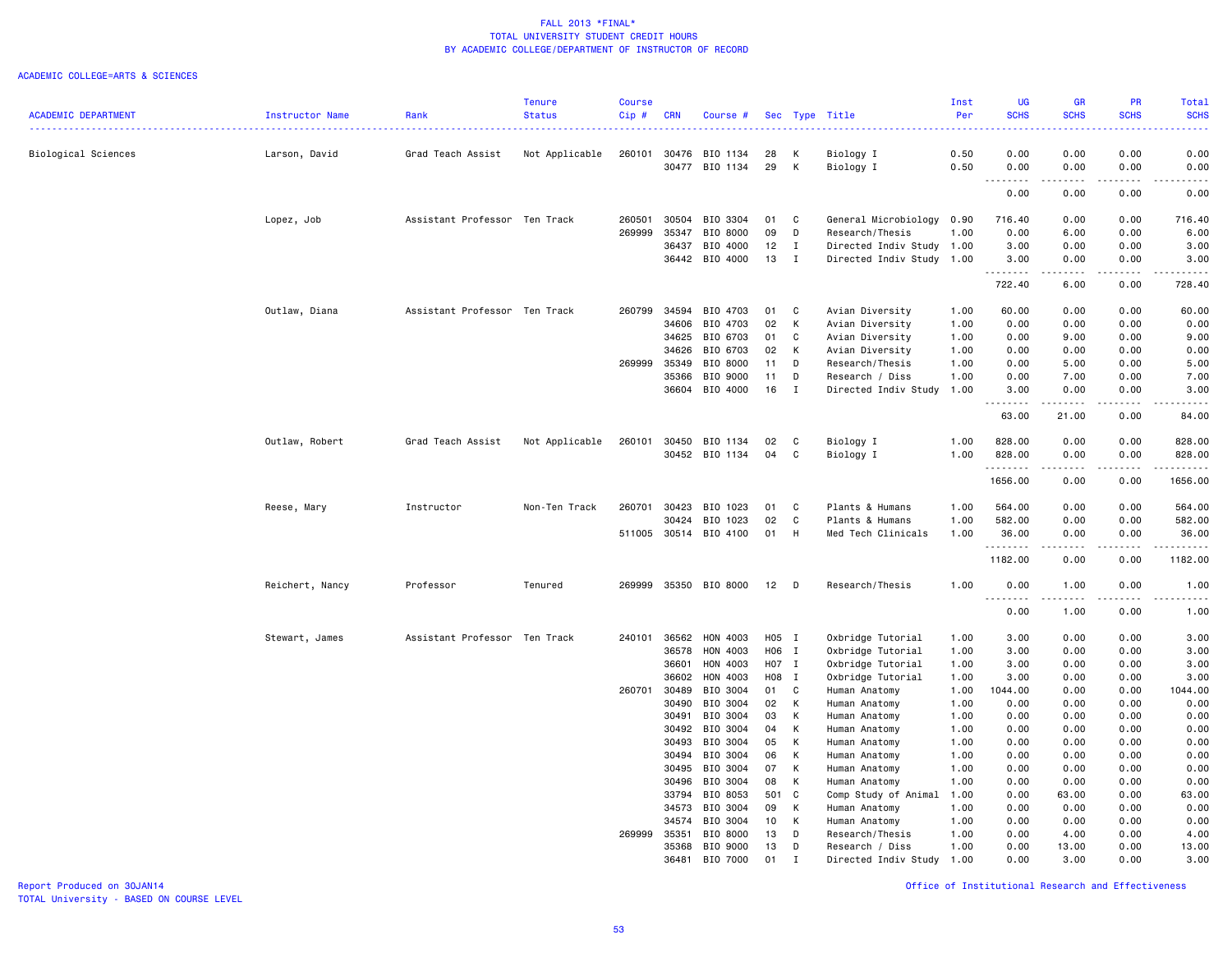#### ACADEMIC COLLEGE=ARTS & SCIENCES

|                            |                 |                               | Tenure         | <b>Course</b> |                |                       |          |              |                                | Inst         | <b>UG</b>          | <b>GR</b>                                                                                                               | PR                | Total                 |
|----------------------------|-----------------|-------------------------------|----------------|---------------|----------------|-----------------------|----------|--------------|--------------------------------|--------------|--------------------|-------------------------------------------------------------------------------------------------------------------------|-------------------|-----------------------|
| <b>ACADEMIC DEPARTMENT</b> | Instructor Name | Rank                          | <b>Status</b>  | $Cip$ #       | <b>CRN</b>     | Course #              |          |              | Sec Type Title                 | Per          | <b>SCHS</b>        | <b>SCHS</b>                                                                                                             | <b>SCHS</b>       | <b>SCHS</b>           |
| Biological Sciences        | Larson, David   | Grad Teach Assist             | Not Applicable | 260101        | 30476          | BIO 1134              | 28       | к            | Biology I                      | 0.50         | 0.00               | 0.00                                                                                                                    | 0.00              | 0.00                  |
|                            |                 |                               |                |               | 30477          | BIO 1134              | 29       | K            | Biology I                      | 0.50         | 0.00               | 0.00                                                                                                                    | 0.00              | 0.00                  |
|                            |                 |                               |                |               |                |                       |          |              |                                |              | . <b>.</b><br>0.00 | -----<br>0.00                                                                                                           | .<br>0.00         | د د د د د<br>0.00     |
|                            | Lopez, Job      | Assistant Professor Ten Track |                | 260501        | 30504          | BIO 3304              | 01       | C            | General Microbiology           | 0.90         | 716.40             | 0.00                                                                                                                    | 0.00              | 716.40                |
|                            |                 |                               |                | 269999        | 35347          | BIO 8000              | 09       | D            | Research/Thesis                | 1.00         | 0.00               | 6.00                                                                                                                    | 0.00              | 6.00                  |
|                            |                 |                               |                |               | 36437          | BIO 4000              | 12       | $\mathbf{I}$ | Directed Indiv Study 1.00      |              | 3.00               | 0.00                                                                                                                    | 0.00              | 3.00                  |
|                            |                 |                               |                |               | 36442          | BIO 4000              | 13       | $\mathbf{I}$ | Directed Indiv Study 1.00      |              | 3.00<br><u>.</u>   | 0.00<br>.                                                                                                               | 0.00<br>د د د د   | 3.00<br>.             |
|                            |                 |                               |                |               |                |                       |          |              |                                |              | 722.40             | 6.00                                                                                                                    | 0.00              | 728.40                |
|                            | Outlaw, Diana   | Assistant Professor Ten Track |                | 260799        | 34594          | BIO 4703              | 01       | C            | Avian Diversity                | 1.00         | 60.00              | 0.00                                                                                                                    | 0.00              | 60.00                 |
|                            |                 |                               |                |               | 34606          | BIO 4703              | 02       | K            | Avian Diversity                | 1.00         | 0.00               | 0.00                                                                                                                    | 0.00              | 0.00                  |
|                            |                 |                               |                |               | 34625          | BIO 6703              | 01       | C            | Avian Diversity                | 1.00         | 0.00               | 9.00                                                                                                                    | 0.00              | 9.00                  |
|                            |                 |                               |                |               | 34626          | BIO 6703              | 02       | K            | Avian Diversity                | 1.00         | 0.00               | 0.00                                                                                                                    | 0.00              | 0.00                  |
|                            |                 |                               |                | 269999        | 35349          | BIO 8000              | 11       | D            | Research/Thesis                | 1.00         | 0.00               | 5.00                                                                                                                    | 0.00              | 5.00                  |
|                            |                 |                               |                |               | 35366          | BIO 9000              | 11       | D            | Research / Diss                | 1.00         | 0.00               | 7.00                                                                                                                    | 0.00<br>0.00      | 7.00                  |
|                            |                 |                               |                |               | 36604          | BIO 4000              | 16       | $\mathbf{I}$ | Directed Indiv Study           | 1.00         | 3.00<br><u>.</u>   | 0.00<br>.                                                                                                               | .                 | 3.00<br>.             |
|                            |                 |                               |                |               |                |                       |          |              |                                |              | 63.00              | 21.00                                                                                                                   | 0.00              | 84.00                 |
|                            | Outlaw, Robert  | Grad Teach Assist             | Not Applicable | 260101        | 30450          | BIO 1134              | 02       | C            | Biology I                      | 1.00         | 828.00             | 0.00                                                                                                                    | 0.00              | 828.00                |
|                            |                 |                               |                |               |                | 30452 BIO 1134        | 04       | C            | Biology I                      | 1.00         | 828.00<br>.        | 0.00<br>$\begin{array}{cccccccccccccc} \bullet & \bullet & \bullet & \bullet & \bullet & \bullet & \bullet \end{array}$ | 0.00<br>.         | 828.00<br>.           |
|                            |                 |                               |                |               |                |                       |          |              |                                |              | 1656.00            | 0.00                                                                                                                    | 0.00              | 1656.00               |
|                            | Reese, Mary     | Instructor                    | Non-Ten Track  | 260701        | 30423          | BIO 1023              | 01       | C            | Plants & Humans                | 1.00         | 564.00             | 0.00                                                                                                                    | 0.00              | 564.00                |
|                            |                 |                               |                |               | 30424          | BIO 1023              | 02       | C            | Plants & Humans                | 1.00         | 582.00             | 0.00                                                                                                                    | 0.00              | 582.00                |
|                            |                 |                               |                |               |                | 511005 30514 BIO 4100 | 01       | H            | Med Tech Clinicals             | 1.00         | 36.00<br>.         | 0.00<br><b>.</b>                                                                                                        | 0.00<br>.         | 36.00<br>.            |
|                            |                 |                               |                |               |                |                       |          |              |                                |              | 1182.00            | 0.00                                                                                                                    | 0.00              | 1182.00               |
|                            | Reichert, Nancy | Professor                     | Tenured        | 269999        |                | 35350 BIO 8000        | 12       | D            | Research/Thesis                | 1.00         | 0.00<br><u>.</u>   | 1.00<br>-----                                                                                                           | 0.00<br>$- - - -$ | 1.00<br>$\frac{1}{2}$ |
|                            |                 |                               |                |               |                |                       |          |              |                                |              | 0.00               | 1.00                                                                                                                    | 0.00              | 1.00                  |
|                            | Stewart, James  | Assistant Professor Ten Track |                | 240101        | 36562          | HON 4003              | H05 I    |              | Oxbridge Tutorial              | 1.00         | 3.00               | 0.00                                                                                                                    | 0.00              | 3.00                  |
|                            |                 |                               |                |               | 36578          | HON 4003              | H06 I    |              | Oxbridge Tutorial              | 1.00         | 3.00               | 0.00                                                                                                                    | 0.00              | 3.00                  |
|                            |                 |                               |                |               | 36601          | HON 4003              | H07 I    |              | Oxbridge Tutorial              | 1.00         | 3.00               | 0.00                                                                                                                    | 0.00              | 3.00                  |
|                            |                 |                               |                |               | 36602          | HON 4003              | H08 I    |              | Oxbridge Tutorial              | 1.00         | 3.00               | 0.00                                                                                                                    | 0.00              | 3.00                  |
|                            |                 |                               |                | 260701        | 30489          | BIO 3004              | 01       | C            | Human Anatomy                  | 1.00         | 1044.00            | 0.00                                                                                                                    | 0.00              | 1044.00               |
|                            |                 |                               |                |               | 30490          | BIO 3004              | 02       | K            | Human Anatomy                  | 1.00         | 0.00               | 0.00                                                                                                                    | 0.00              | 0.00                  |
|                            |                 |                               |                |               | 30491<br>30492 | BIO 3004              | 03<br>04 | K            | Human Anatomy                  | 1.00         | 0.00               | 0.00                                                                                                                    | 0.00<br>0.00      | 0.00                  |
|                            |                 |                               |                |               | 30493          | BIO 3004<br>BIO 3004  | 05       | K<br>K       | Human Anatomy<br>Human Anatomy | 1.00<br>1.00 | 0.00<br>0.00       | 0.00<br>0.00                                                                                                            | 0.00              | 0.00<br>0.00          |
|                            |                 |                               |                |               | 30494          | BIO 3004              | 06       | K            | Human Anatomy                  | 1.00         | 0.00               | 0.00                                                                                                                    | 0.00              | 0.00                  |
|                            |                 |                               |                |               | 30495          | BIO 3004              | 07       | K            | Human Anatomy                  | 1.00         | 0.00               | 0.00                                                                                                                    | 0.00              | 0.00                  |
|                            |                 |                               |                |               | 30496          | BIO 3004              | 08       | K            | Human Anatomy                  | 1.00         | 0.00               | 0.00                                                                                                                    | 0.00              | 0.00                  |
|                            |                 |                               |                |               | 33794          | BIO 8053              | 501      | $\mathbf{C}$ | Comp Study of Animal           | 1.00         | 0.00               | 63.00                                                                                                                   | 0.00              | 63.00                 |
|                            |                 |                               |                |               | 34573          | BIO 3004              | 09       | K            | Human Anatomy                  | 1.00         | 0.00               | 0.00                                                                                                                    | 0.00              | 0.00                  |
|                            |                 |                               |                |               | 34574          | BIO 3004              | 10       | K            | Human Anatomy                  | 1.00         | 0.00               | 0.00                                                                                                                    | 0.00              | 0.00                  |
|                            |                 |                               |                | 269999        | 35351          | BIO 8000              | 13       | D            | Research/Thesis                | 1.00         | 0.00               | 4.00                                                                                                                    | 0.00              | 4.00                  |
|                            |                 |                               |                |               | 35368          | BIO 9000              | 13       | D            | Research / Diss                | 1.00         | 0.00               | 13.00                                                                                                                   | 0.00              | 13.00                 |
|                            |                 |                               |                |               | 36481          | BIO 7000              | 01       | $\mathsf{T}$ | Directed Indiv Study           | 1.00         | 0.00               | 3.00                                                                                                                    | 0.00              | 3.00                  |

TOTAL University - BASED ON COURSE LEVEL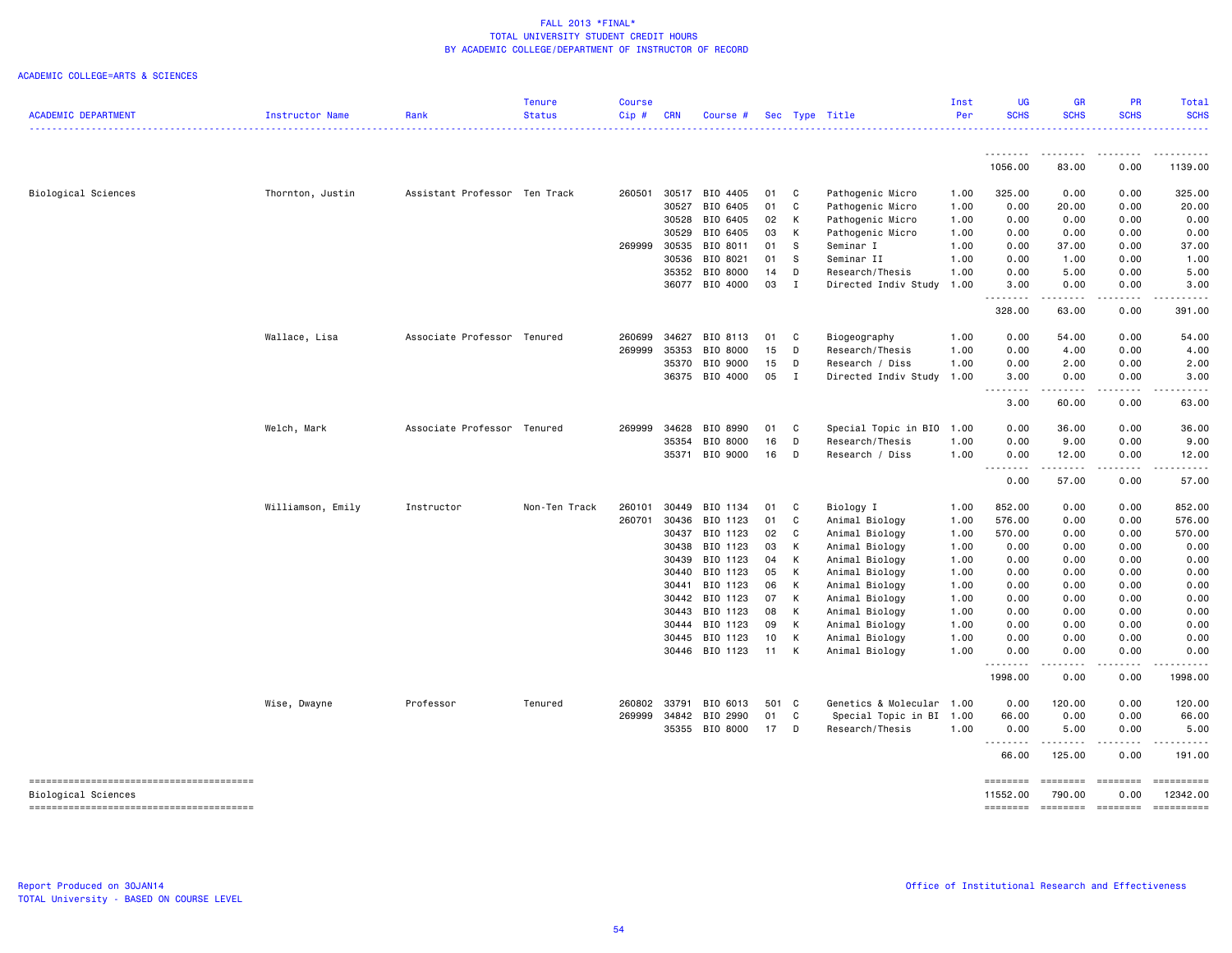|                            |                   |                               | <b>Tenure</b> | <b>Course</b> |            |                            |            |                |                                  | Inst         | UG                   | <b>GR</b>             | <b>PR</b>                                                                                                                                                                                                                                                                                                                                                                                                                                                                                                          | <b>Total</b>     |
|----------------------------|-------------------|-------------------------------|---------------|---------------|------------|----------------------------|------------|----------------|----------------------------------|--------------|----------------------|-----------------------|--------------------------------------------------------------------------------------------------------------------------------------------------------------------------------------------------------------------------------------------------------------------------------------------------------------------------------------------------------------------------------------------------------------------------------------------------------------------------------------------------------------------|------------------|
| <b>ACADEMIC DEPARTMENT</b> | Instructor Name   | Rank                          | <b>Status</b> | Cip#          | <b>CRN</b> | Course #                   |            |                | Sec Type Title                   | Per          | <b>SCHS</b>          | <b>SCHS</b>           | <b>SCHS</b>                                                                                                                                                                                                                                                                                                                                                                                                                                                                                                        | <b>SCHS</b>      |
|                            |                   |                               |               |               |            |                            |            |                |                                  |              | .                    | .                     | .                                                                                                                                                                                                                                                                                                                                                                                                                                                                                                                  | .                |
|                            |                   |                               |               |               |            |                            |            |                |                                  |              | 1056.00              | 83.00                 | 0.00                                                                                                                                                                                                                                                                                                                                                                                                                                                                                                               | 1139.00          |
| Biological Sciences        | Thornton, Justin  | Assistant Professor Ten Track |               | 260501        | 30517      | BIO 4405                   | 01         | C              | Pathogenic Micro                 | 1.00         | 325.00               | 0.00                  | 0.00                                                                                                                                                                                                                                                                                                                                                                                                                                                                                                               | 325.00           |
|                            |                   |                               |               |               | 30527      | BIO 6405                   | 01         | C              | Pathogenic Micro                 | 1.00         | 0.00                 | 20.00                 | 0.00                                                                                                                                                                                                                                                                                                                                                                                                                                                                                                               | 20.00            |
|                            |                   |                               |               |               | 30528      | BIO 6405                   | 02         | К              | Pathogenic Micro                 | 1.00         | 0.00                 | 0.00                  | 0.00                                                                                                                                                                                                                                                                                                                                                                                                                                                                                                               | 0.00             |
|                            |                   |                               |               |               | 30529      | BIO 6405                   | 03         | К              | Pathogenic Micro                 | 1.00         | 0.00                 | 0.00                  | 0.00                                                                                                                                                                                                                                                                                                                                                                                                                                                                                                               | 0.00             |
|                            |                   |                               |               | 269999        | 30535      | BIO 8011                   | 01         | S              | Seminar I                        | 1.00         | 0.00                 | 37.00                 | 0.00                                                                                                                                                                                                                                                                                                                                                                                                                                                                                                               | 37.00            |
|                            |                   |                               |               |               | 30536      | BIO 8021                   | 01         | S              | Seminar II                       | 1.00         | 0.00                 | 1.00                  | 0.00                                                                                                                                                                                                                                                                                                                                                                                                                                                                                                               | 1.00             |
|                            |                   |                               |               |               |            | 35352 BIO 8000             | 14         | D              | Research/Thesis                  | 1.00         | 0.00                 | 5.00                  | 0.00                                                                                                                                                                                                                                                                                                                                                                                                                                                                                                               | 5.00             |
|                            |                   |                               |               |               |            | 36077 BIO 4000             | 03         | $\mathbf{I}$   | Directed Indiv Study             | 1.00         | 3.00<br>.            | 0.00<br>.             | 0.00<br>.                                                                                                                                                                                                                                                                                                                                                                                                                                                                                                          | 3.00             |
|                            |                   |                               |               |               |            |                            |            |                |                                  |              | 328.00               | 63.00                 | 0.00                                                                                                                                                                                                                                                                                                                                                                                                                                                                                                               | 391.00           |
|                            | Wallace, Lisa     | Associate Professor Tenured   |               | 260699        | 34627      | BIO 8113                   | 01         | C <sub>1</sub> | Biogeography                     | 1.00         | 0.00                 | 54.00                 | 0.00                                                                                                                                                                                                                                                                                                                                                                                                                                                                                                               | 54.00            |
|                            |                   |                               |               | 269999        | 35353      | BIO 8000                   | 15         | D              | Research/Thesis                  | 1.00         | 0.00                 | 4.00                  | 0.00                                                                                                                                                                                                                                                                                                                                                                                                                                                                                                               | 4.00             |
|                            |                   |                               |               |               |            | 35370 BIO 9000             | 15         | D              | Research / Diss                  | 1.00         | 0.00                 | 2.00                  | 0.00                                                                                                                                                                                                                                                                                                                                                                                                                                                                                                               | 2.00             |
|                            |                   |                               |               |               |            | 36375 BIO 4000             | 05         | $\blacksquare$ | Directed Indiv Study             | 1.00         | 3.00<br>- - -<br>.   | 0.00<br>.             | 0.00                                                                                                                                                                                                                                                                                                                                                                                                                                                                                                               | 3.00             |
|                            |                   |                               |               |               |            |                            |            |                |                                  |              | 3.00                 | 60.00                 | 0.00                                                                                                                                                                                                                                                                                                                                                                                                                                                                                                               | 63.00            |
|                            | Welch, Mark       | Associate Professor Tenured   |               | 269999        | 34628      | BIO 8990                   | 01         | C              | Special Topic in BIO             | 1.00         | 0.00                 | 36.00                 | 0.00                                                                                                                                                                                                                                                                                                                                                                                                                                                                                                               | 36.00            |
|                            |                   |                               |               |               | 35354      | BIO 8000                   | 16         | D              | Research/Thesis                  | 1.00         | 0.00                 | 9.00                  | 0.00                                                                                                                                                                                                                                                                                                                                                                                                                                                                                                               | 9.00             |
|                            |                   |                               |               |               |            | 35371 BIO 9000             | 16         | $\mathsf{D}$   | Research / Diss                  | 1.00         | 0.00                 | 12.00                 | 0.00                                                                                                                                                                                                                                                                                                                                                                                                                                                                                                               | 12.00            |
|                            |                   |                               |               |               |            |                            |            |                |                                  |              | . <b>.</b><br>0.00   | .<br>57.00            | -----<br>0.00                                                                                                                                                                                                                                                                                                                                                                                                                                                                                                      | 57.00            |
|                            | Williamson, Emily | Instructor                    | Non-Ten Track | 260101        | 30449      | BIO 1134                   | 01         | C              | Biology I                        | 1.00         | 852.00               | 0.00                  | 0.00                                                                                                                                                                                                                                                                                                                                                                                                                                                                                                               | 852.00           |
|                            |                   |                               |               | 260701        | 30436      | BIO 1123                   | 01         | C              | Animal Biology                   | 1.00         | 576.00               | 0.00                  | 0.00                                                                                                                                                                                                                                                                                                                                                                                                                                                                                                               | 576.00           |
|                            |                   |                               |               |               | 30437      | BIO 1123                   | 02         | C              | Animal Biology                   | 1.00         | 570.00               | 0.00                  | 0.00                                                                                                                                                                                                                                                                                                                                                                                                                                                                                                               | 570.00           |
|                            |                   |                               |               |               | 30438      | BIO 1123                   | 03         | к              | Animal Biology                   | 1.00         | 0.00                 | 0.00                  | 0.00                                                                                                                                                                                                                                                                                                                                                                                                                                                                                                               | 0.00             |
|                            |                   |                               |               |               | 30439      | BIO 1123                   | 04         | К              | Animal Biology                   | 1.00         | 0.00                 | 0.00                  | 0.00                                                                                                                                                                                                                                                                                                                                                                                                                                                                                                               | 0.00             |
|                            |                   |                               |               |               | 30440      | BIO 1123                   | 05         | К              | Animal Biology                   | 1.00         | 0.00                 | 0.00                  | 0.00                                                                                                                                                                                                                                                                                                                                                                                                                                                                                                               | 0.00             |
|                            |                   |                               |               |               | 30441      | BIO 1123                   | 06         | К              | Animal Biology                   | 1.00         | 0.00                 | 0.00                  | 0.00                                                                                                                                                                                                                                                                                                                                                                                                                                                                                                               | 0.00             |
|                            |                   |                               |               |               | 30442      | BIO 1123                   | 07         | К              | Animal Biology                   | 1.00         | 0.00                 | 0.00                  | 0.00                                                                                                                                                                                                                                                                                                                                                                                                                                                                                                               | 0.00             |
|                            |                   |                               |               |               | 30443      | BIO 1123                   | 08         | К              | Animal Biology                   | 1.00         | 0.00                 | 0.00                  | 0.00                                                                                                                                                                                                                                                                                                                                                                                                                                                                                                               | 0.00             |
|                            |                   |                               |               |               | 30444      | BIO 1123                   | 09         | К              | Animal Biology                   | 1.00         | 0.00                 | 0.00                  | 0.00                                                                                                                                                                                                                                                                                                                                                                                                                                                                                                               | 0.00             |
|                            |                   |                               |               |               | 30445      | BIO 1123<br>30446 BIO 1123 | 10<br>11 K | К              | Animal Biology<br>Animal Biology | 1.00<br>1.00 | 0.00<br>0.00         | 0.00<br>0.00          | 0.00<br>0.00                                                                                                                                                                                                                                                                                                                                                                                                                                                                                                       | 0.00<br>0.00     |
|                            |                   |                               |               |               |            |                            |            |                |                                  |              | ----<br>.<br>1998.00 | $\frac{1}{2}$<br>0.00 | .<br>0.00                                                                                                                                                                                                                                                                                                                                                                                                                                                                                                          | 1998.00          |
|                            |                   |                               |               |               |            |                            |            |                |                                  |              |                      |                       |                                                                                                                                                                                                                                                                                                                                                                                                                                                                                                                    |                  |
|                            | Wise, Dwayne      | Professor                     | Tenured       | 260802        | 33791      | BIO 6013                   | 501 C      |                | Genetics & Molecular             | 1.00         | 0.00                 | 120.00                | 0.00                                                                                                                                                                                                                                                                                                                                                                                                                                                                                                               | 120.00           |
|                            |                   |                               |               | 269999        | 34842      | BIO 2990<br>35355 BIO 8000 | 01<br>17 D | $\mathbf{C}$   | Special Topic in BI              | 1.00<br>1.00 | 66.00<br>0.00        | 0.00<br>5.00          | 0.00<br>0.00                                                                                                                                                                                                                                                                                                                                                                                                                                                                                                       | 66.00<br>5.00    |
|                            |                   |                               |               |               |            |                            |            |                | Research/Thesis                  |              | .                    |                       |                                                                                                                                                                                                                                                                                                                                                                                                                                                                                                                    |                  |
|                            |                   |                               |               |               |            |                            |            |                |                                  |              | 66.00                | 125.00                | 0.00                                                                                                                                                                                                                                                                                                                                                                                                                                                                                                               | 191.00           |
|                            |                   |                               |               |               |            |                            |            |                |                                  |              | <b>EEEEEEEE</b>      | $= = = = = = = =$     | $\begin{array}{c} \multicolumn{3}{c} {\color{blue} \textbf{2}} & \multicolumn{3}{c} {\color{blue} \textbf{3}} & \multicolumn{3}{c} {\color{blue} \textbf{4}} \\ \multicolumn{3}{c} {\color{blue} \textbf{4}} & \multicolumn{3}{c} {\color{blue} \textbf{5}} & \multicolumn{3}{c} {\color{blue} \textbf{6}} & \multicolumn{3}{c} {\color{blue} \textbf{7}} \\ \multicolumn{3}{c} {\color{blue} \textbf{5}} & \multicolumn{3}{c} {\color{blue} \textbf{6}} & \multicolumn{3}{c} {\color{blue} \textbf{6}} & \multic$ | <b>ESSESSESS</b> |
| Biological Sciences        |                   |                               |               |               |            |                            |            |                |                                  |              | 11552.00             | 790.00                | 0.00                                                                                                                                                                                                                                                                                                                                                                                                                                                                                                               | 12342.00         |
|                            |                   |                               |               |               |            |                            |            |                |                                  |              |                      | ======== =======      |                                                                                                                                                                                                                                                                                                                                                                                                                                                                                                                    | ==========       |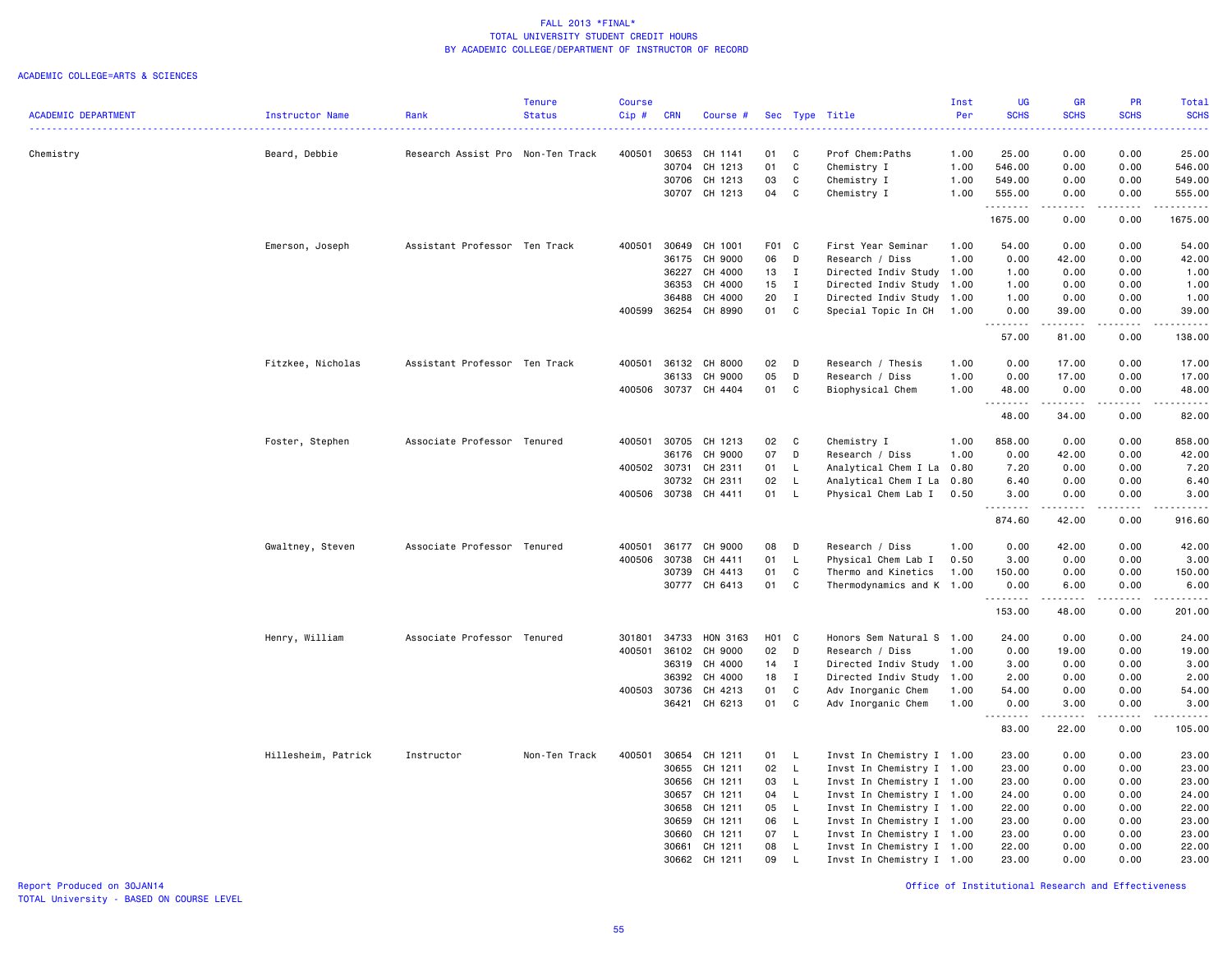#### ACADEMIC COLLEGE=ARTS & SCIENCES

|                            |                     |                                   | <b>Tenure</b> | <b>Course</b> |              |               |       |              |                           | Inst | <b>UG</b>   | GR          | PR          | Total       |
|----------------------------|---------------------|-----------------------------------|---------------|---------------|--------------|---------------|-------|--------------|---------------------------|------|-------------|-------------|-------------|-------------|
| <b>ACADEMIC DEPARTMENT</b> | Instructor Name     | Rank                              | <b>Status</b> | $Cip$ #       | <b>CRN</b>   | Course #      |       |              | Sec Type Title            | Per  | <b>SCHS</b> | <b>SCHS</b> | <b>SCHS</b> | <b>SCHS</b> |
|                            |                     |                                   |               |               |              |               |       |              |                           |      |             |             |             | .           |
| Chemistry                  | Beard, Debbie       | Research Assist Pro Non-Ten Track |               | 400501        | 30653        | CH 1141       | 01    | C            | Prof Chem:Paths           | 1.00 | 25.00       | 0.00        | 0.00        | 25.00       |
|                            |                     |                                   |               |               | 30704        | CH 1213       | 01    | C            | Chemistry I               | 1.00 | 546.00      | 0.00        | 0.00        | 546.00      |
|                            |                     |                                   |               |               | 30706        | CH 1213       | 03    | C            | Chemistry I               | 1.00 | 549.00      | 0.00        | 0.00        | 549.00      |
|                            |                     |                                   |               |               | 30707        | CH 1213       | 04    | C            | Chemistry I               | 1.00 | 555.00      | 0.00        | 0.00        | 555.00      |
|                            |                     |                                   |               |               |              |               |       |              |                           |      | .           | $- - - - -$ | .           | .           |
|                            |                     |                                   |               |               |              |               |       |              |                           |      | 1675.00     | 0.00        | 0.00        | 1675.00     |
|                            | Emerson, Joseph     | Assistant Professor Ten Track     |               | 400501        | 30649        | CH 1001       | F01 C |              | First Year Seminar        | 1.00 | 54.00       | 0.00        | 0.00        | 54.00       |
|                            |                     |                                   |               |               | 36175        | CH 9000       | 06    | D            | Research / Diss           | 1.00 | 0.00        | 42.00       | 0.00        | 42.00       |
|                            |                     |                                   |               |               | 36227        | CH 4000       | 13    | $\mathbf{I}$ | Directed Indiv Study 1.00 |      | 1.00        | 0.00        | 0.00        | 1.00        |
|                            |                     |                                   |               |               | 36353        | CH 4000       | 15    | $\mathbf{I}$ | Directed Indiv Study 1.00 |      | 1.00        | 0.00        | 0.00        | 1.00        |
|                            |                     |                                   |               |               | 36488        | CH 4000       | 20    | $\mathbf{I}$ | Directed Indiv Study 1.00 |      | 1.00        | 0.00        | 0.00        | 1.00        |
|                            |                     |                                   |               | 400599        | 36254        | CH 8990       | 01    | C            | Special Topic In CH       | 1.00 | 0.00        | 39.00       | 0.00        | 39.00       |
|                            |                     |                                   |               |               |              |               |       |              |                           |      | .<br>57.00  | .<br>81.00  | .<br>0.00   | .<br>138.00 |
|                            |                     |                                   |               |               |              |               |       |              |                           |      |             |             |             |             |
|                            | Fitzkee, Nicholas   | Assistant Professor Ten Track     |               | 400501        | 36132        | CH 8000       | 02    | D            | Research / Thesis         | 1.00 | 0.00        | 17.00       | 0.00        | 17.00       |
|                            |                     |                                   |               |               | 36133        | CH 9000       | 05    | D            | Research / Diss           | 1.00 | 0.00        | 17.00       | 0.00        | 17.00       |
|                            |                     |                                   |               |               | 400506 30737 | CH 4404       | 01    | C            | Biophysical Chem          | 1.00 | 48.00       | 0.00        | 0.00        | 48.00       |
|                            |                     |                                   |               |               |              |               |       |              |                           |      | . <b>.</b>  | .           | .           | .           |
|                            |                     |                                   |               |               |              |               |       |              |                           |      | 48.00       | 34.00       | 0.00        | 82.00       |
|                            | Foster, Stephen     | Associate Professor Tenured       |               | 400501        | 30705        | CH 1213       | 02    | C            | Chemistry I               | 1.00 | 858.00      | 0.00        | 0.00        | 858.00      |
|                            |                     |                                   |               |               | 36176        | CH 9000       | 07    | D            | Research / Diss           | 1.00 | 0.00        | 42.00       | 0.00        | 42.00       |
|                            |                     |                                   |               | 400502 30731  |              | CH 2311       | 01    | L.           | Analytical Chem I La 0.80 |      | 7.20        | 0.00        | 0.00        | 7.20        |
|                            |                     |                                   |               |               | 30732        | CH 2311       | 02    | $\mathsf{L}$ | Analytical Chem I La      | 0.80 | 6.40        | 0.00        | 0.00        | 6.40        |
|                            |                     |                                   |               | 400506 30738  |              | CH 4411       | 01    | L.           | Physical Chem Lab I       | 0.50 | 3.00        | 0.00        | 0.00        | 3.00        |
|                            |                     |                                   |               |               |              |               |       |              |                           |      | .           | .           | .           | .           |
|                            |                     |                                   |               |               |              |               |       |              |                           |      | 874.60      | 42.00       | 0.00        | 916.60      |
|                            | Gwaltney, Steven    | Associate Professor Tenured       |               | 400501        | 36177        | CH 9000       | 08    | D            | Research / Diss           | 1.00 | 0.00        | 42.00       | 0.00        | 42.00       |
|                            |                     |                                   |               | 400506        | 30738        | CH 4411       | 01    | L            | Physical Chem Lab I       | 0.50 | 3.00        | 0.00        | 0.00        | 3.00        |
|                            |                     |                                   |               |               | 30739        | CH 4413       | 01    | C            | Thermo and Kinetics       | 1.00 | 150.00      | 0.00        | 0.00        | 150.00      |
|                            |                     |                                   |               |               | 30777        | CH 6413       | 01    | C            | Thermodynamics and K 1.00 |      | 0.00        | 6.00        | 0.00        | 6.00        |
|                            |                     |                                   |               |               |              |               |       |              |                           |      | . <b>.</b>  | .           | .           |             |
|                            |                     |                                   |               |               |              |               |       |              |                           |      | 153.00      | 48.00       | 0.00        | 201.00      |
|                            | Henry, William      | Associate Professor Tenured       |               | 301801        | 34733        | HON 3163      | H01 C |              | Honors Sem Natural S 1.00 |      | 24.00       | 0.00        | 0.00        | 24.00       |
|                            |                     |                                   |               | 400501        | 36102        | CH 9000       | 02    | D            | Research / Diss           | 1.00 | 0.00        | 19.00       | 0.00        | 19.00       |
|                            |                     |                                   |               |               | 36319        | CH 4000       | 14    | $\mathbf{I}$ | Directed Indiv Study 1.00 |      | 3.00        | 0.00        | 0.00        | 3.00        |
|                            |                     |                                   |               |               | 36392        | CH 4000       | 18    | $\mathbf{I}$ | Directed Indiv Study 1.00 |      | 2.00        | 0.00        | 0.00        | 2.00        |
|                            |                     |                                   |               | 400503        | 30736        | CH 4213       | 01    | C            | Adv Inorganic Chem        | 1.00 | 54.00       | 0.00        | 0.00        | 54.00       |
|                            |                     |                                   |               |               |              | 36421 CH 6213 | 01    | C            | Adv Inorganic Chem        | 1.00 | 0.00        | 3.00        | 0.00        | 3.00        |
|                            |                     |                                   |               |               |              |               |       |              |                           |      | .           | . <b>.</b>  | .           | .           |
|                            |                     |                                   |               |               |              |               |       |              |                           |      | 83.00       | 22.00       | 0.00        | 105.00      |
|                            | Hillesheim, Patrick | Instructor                        | Non-Ten Track | 400501        | 30654        | CH 1211       | 01    | L.           | Invst In Chemistry I 1.00 |      | 23.00       | 0.00        | 0.00        | 23.00       |
|                            |                     |                                   |               |               | 30655        | CH 1211       | 02    | $\mathsf{L}$ | Invst In Chemistry I 1.00 |      | 23.00       | 0.00        | 0.00        | 23.00       |
|                            |                     |                                   |               |               | 30656        | CH 1211       | 03    | $\mathsf{L}$ | Invst In Chemistry I 1.00 |      | 23.00       | 0.00        | 0.00        | 23.00       |
|                            |                     |                                   |               |               | 30657        | CH 1211       | 04    | $\mathsf{L}$ | Invst In Chemistry I 1.00 |      | 24.00       | 0.00        | 0.00        | 24.00       |
|                            |                     |                                   |               |               | 30658        | CH 1211       | 05    | $\mathsf{L}$ | Invst In Chemistry I 1.00 |      | 22.00       | 0.00        | 0.00        | 22.00       |
|                            |                     |                                   |               |               | 30659        | CH 1211       | 06    | $\mathsf{L}$ | Invst In Chemistry I 1.00 |      | 23.00       | 0.00        | 0.00        | 23.00       |
|                            |                     |                                   |               |               | 30660        | CH 1211       | 07    | $\mathsf{L}$ | Invst In Chemistry I 1.00 |      | 23.00       | 0.00        | 0.00        | 23.00       |
|                            |                     |                                   |               |               | 30661        | CH 1211       | 08    | L.           | Invst In Chemistry I 1.00 |      | 22.00       | 0.00        | 0.00        | 22.00       |
|                            |                     |                                   |               |               | 30662        | CH 1211       | 09    | L.           | Invst In Chemistry I 1.00 |      | 23.00       | 0.00        | 0.00        | 23.00       |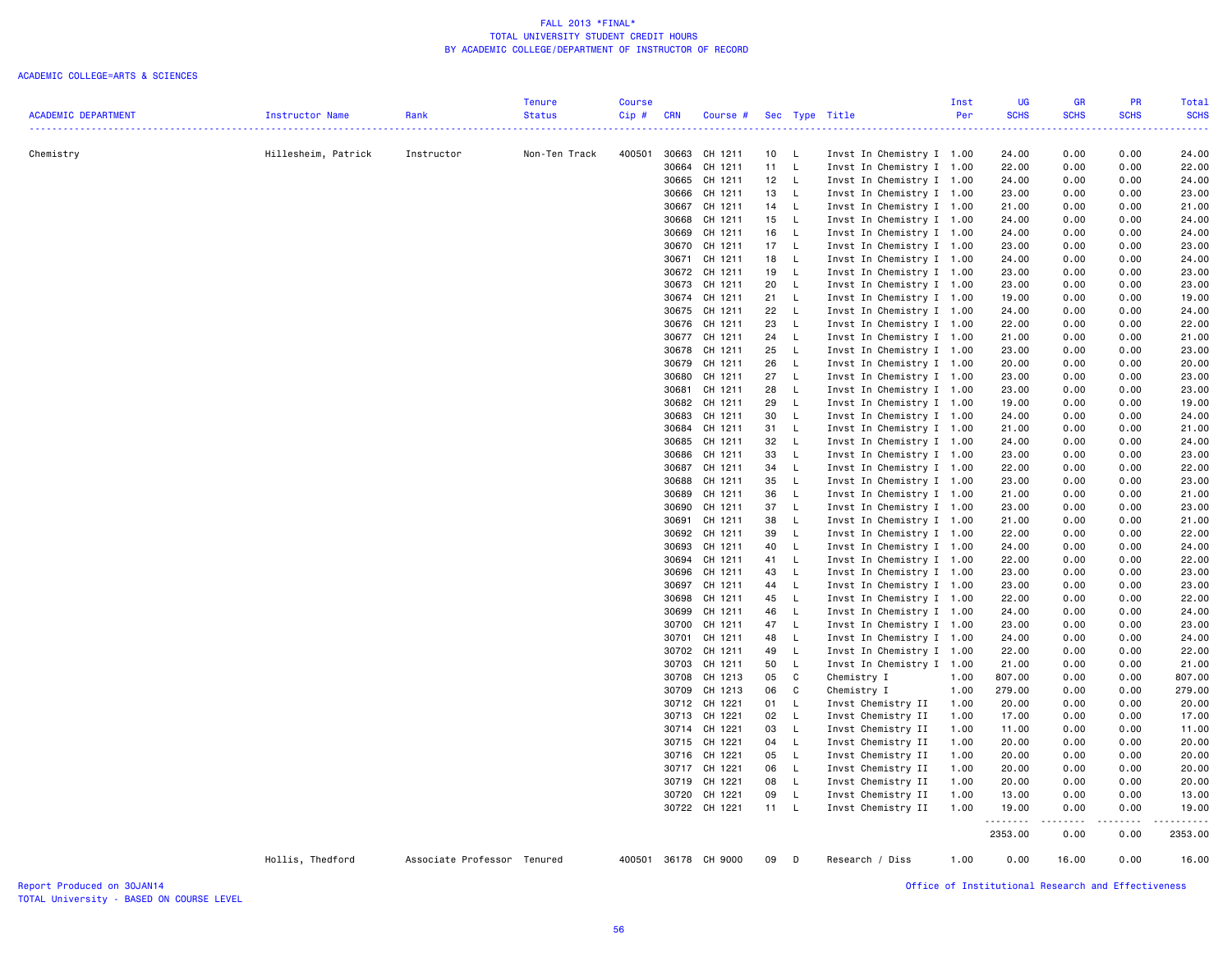### ACADEMIC COLLEGE=ARTS & SCIENCES

|                            |                     |                             | <b>Tenure</b> | <b>Course</b> |                |                      |                 |              |                                                        | Inst | <b>UG</b>        | <b>GR</b>                                                                                                                                | <b>PR</b>    | Total          |
|----------------------------|---------------------|-----------------------------|---------------|---------------|----------------|----------------------|-----------------|--------------|--------------------------------------------------------|------|------------------|------------------------------------------------------------------------------------------------------------------------------------------|--------------|----------------|
| <b>ACADEMIC DEPARTMENT</b> | Instructor Name     | Rank                        | <b>Status</b> | Cip#          | <b>CRN</b>     | Course #             |                 |              | Sec Type Title                                         | Per  | <b>SCHS</b><br>. | <b>SCHS</b><br>$\frac{1}{2} \left( \frac{1}{2} \right) \left( \frac{1}{2} \right) \left( \frac{1}{2} \right) \left( \frac{1}{2} \right)$ | <b>SCHS</b>  | <b>SCHS</b>    |
|                            |                     |                             |               |               |                |                      |                 |              |                                                        |      |                  |                                                                                                                                          |              |                |
| Chemistry                  | Hillesheim, Patrick | Instructor                  | Non-Ten Track | 400501        |                | 30663 CH 1211        | 10 L            |              | Invst In Chemistry I 1.00                              |      | 24.00            | 0.00                                                                                                                                     | 0.00         | 24.00          |
|                            |                     |                             |               |               | 30664          | CH 1211              | 11              | - L          | Invst In Chemistry I 1.00                              |      | 22.00            | 0.00                                                                                                                                     | 0.00         | 22.00          |
|                            |                     |                             |               |               |                | 30665 CH 1211        | 12 <sub>2</sub> | $\mathsf{L}$ | Invst In Chemistry I 1.00                              |      | 24.00            | 0.00                                                                                                                                     | 0.00         | 24.00          |
|                            |                     |                             |               |               |                | 30666 CH 1211        | 13              | L.           | Invst In Chemistry I 1.00                              |      | 23.00            | 0.00                                                                                                                                     | 0.00         | 23.00          |
|                            |                     |                             |               |               |                | 30667 CH 1211        | 14              | - L          | Invst In Chemistry I 1.00                              |      | 21.00            | 0.00                                                                                                                                     | 0.00         | 21.00          |
|                            |                     |                             |               |               | 30668          | CH 1211              | 15              | L.           | Invst In Chemistry I 1.00                              |      | 24.00            | 0.00                                                                                                                                     | 0.00         | 24.00          |
|                            |                     |                             |               |               | 30669          | CH 1211              | 16              | - L          | Invst In Chemistry I 1.00                              |      | 24.00            | 0.00                                                                                                                                     | 0.00         | 24.00          |
|                            |                     |                             |               |               | 30670          | CH 1211              | 17              | - L          | Invst In Chemistry I 1.00                              |      | 23.00            | 0.00                                                                                                                                     | 0.00         | 23.00          |
|                            |                     |                             |               |               | 30671          | CH 1211              | 18              | - L          | Invst In Chemistry I 1.00                              |      | 24.00            | 0.00                                                                                                                                     | 0.00         | 24.00          |
|                            |                     |                             |               |               | 30672          | CH 1211              | 19              | <b>L</b>     | Invst In Chemistry I 1.00                              |      | 23.00            | 0.00                                                                                                                                     | 0.00         | 23.00          |
|                            |                     |                             |               |               | 30673          | CH 1211              | 20              | - L          | Invst In Chemistry I 1.00                              |      | 23.00            | 0.00                                                                                                                                     | 0.00         | 23.00          |
|                            |                     |                             |               |               | 30674          | CH 1211              | 21              | $\mathsf{L}$ | Invst In Chemistry I 1.00                              |      | 19.00            | 0.00                                                                                                                                     | 0.00         | 19.00          |
|                            |                     |                             |               |               |                | 30675 CH 1211        | 22              | - L          | Invst In Chemistry I 1.00                              |      | 24.00            | 0.00                                                                                                                                     | 0.00         | 24.00          |
|                            |                     |                             |               |               | 30676          | CH 1211              | 23              | L.           | Invst In Chemistry I 1.00                              |      | 22.00            | 0.00                                                                                                                                     | 0.00         | 22.00          |
|                            |                     |                             |               |               | 30677<br>30678 | CH 1211<br>CH 1211   | 24<br>25        | - L<br>- L   | Invst In Chemistry I 1.00                              |      | 21.00<br>23.00   | 0.00<br>0.00                                                                                                                             | 0.00<br>0.00 | 21.00<br>23.00 |
|                            |                     |                             |               |               | 30679          | CH 1211              | 26              | - L          | Invst In Chemistry I 1.00<br>Invst In Chemistry I 1.00 |      | 20.00            | 0.00                                                                                                                                     | 0.00         | 20.00          |
|                            |                     |                             |               |               | 30680          | CH 1211              | 27              | L.           |                                                        |      | 23.00            | 0.00                                                                                                                                     | 0.00         | 23.00          |
|                            |                     |                             |               |               | 30681          | CH 1211              | 28              | - L          | Invst In Chemistry I 1.00<br>Invst In Chemistry I 1.00 |      | 23.00            | 0.00                                                                                                                                     | 0.00         | 23.00          |
|                            |                     |                             |               |               |                | 30682 CH 1211        | 29              | L            | Invst In Chemistry I 1.00                              |      | 19.00            | 0.00                                                                                                                                     | 0.00         | 19.00          |
|                            |                     |                             |               |               | 30683          | CH 1211              | 30              | - L          | Invst In Chemistry I 1.00                              |      | 24.00            | 0.00                                                                                                                                     | 0.00         | 24.00          |
|                            |                     |                             |               |               | 30684          | CH 1211              | 31              | L.           | Invst In Chemistry I 1.00                              |      | 21.00            | 0.00                                                                                                                                     | 0.00         | 21.00          |
|                            |                     |                             |               |               | 30685          | CH 1211              | 32              | $\mathsf{L}$ | Invst In Chemistry I 1.00                              |      | 24.00            | 0.00                                                                                                                                     | 0.00         | 24.00          |
|                            |                     |                             |               |               |                | 30686 CH 1211        | 33              | - L          | Invst In Chemistry I 1.00                              |      | 23.00            | 0.00                                                                                                                                     | 0.00         | 23.00          |
|                            |                     |                             |               |               | 30687          | CH 1211              | 34              | L.           | Invst In Chemistry I 1.00                              |      | 22.00            | 0.00                                                                                                                                     | 0.00         | 22.00          |
|                            |                     |                             |               |               | 30688          | CH 1211              | 35              | L.           | Invst In Chemistry I 1.00                              |      | 23.00            | 0.00                                                                                                                                     | 0.00         | 23.00          |
|                            |                     |                             |               |               | 30689          | CH 1211              | 36              | - L          | Invst In Chemistry I 1.00                              |      | 21.00            | 0.00                                                                                                                                     | 0.00         | 21.00          |
|                            |                     |                             |               |               | 30690          | CH 1211              | 37              | $\mathsf{L}$ | Invst In Chemistry I 1.00                              |      | 23.00            | 0.00                                                                                                                                     | 0.00         | 23.00          |
|                            |                     |                             |               |               | 30691          | CH 1211              | 38              | - L          | Invst In Chemistry I 1.00                              |      | 21.00            | 0.00                                                                                                                                     | 0.00         | 21.00          |
|                            |                     |                             |               |               |                | 30692 CH 1211        | 39              | <b>L</b>     | Invst In Chemistry I 1.00                              |      | 22.00            | 0.00                                                                                                                                     | 0.00         | 22.00          |
|                            |                     |                             |               |               | 30693          | CH 1211              | 40              | $\mathsf{L}$ | Invst In Chemistry I 1.00                              |      | 24.00            | 0.00                                                                                                                                     | 0.00         | 24.00          |
|                            |                     |                             |               |               |                | 30694 CH 1211        | 41              | $\mathsf{L}$ | Invst In Chemistry I 1.00                              |      | 22.00            | 0.00                                                                                                                                     | 0.00         | 22.00          |
|                            |                     |                             |               |               | 30696          | CH 1211              | 43              | - L          | Invst In Chemistry I 1.00                              |      | 23.00            | 0.00                                                                                                                                     | 0.00         | 23.00          |
|                            |                     |                             |               |               | 30697          | CH 1211              | 44              | $\mathsf{L}$ | Invst In Chemistry I 1.00                              |      | 23.00            | 0.00                                                                                                                                     | 0.00         | 23.00          |
|                            |                     |                             |               |               | 30698          | CH 1211              | 45              | - L          | Invst In Chemistry I 1.00                              |      | 22.00            | 0.00                                                                                                                                     | 0.00         | 22.00          |
|                            |                     |                             |               |               |                | 30699 CH 1211        | 46              | $\mathsf{L}$ | Invst In Chemistry I 1.00                              |      | 24.00            | 0.00                                                                                                                                     | 0.00         | 24.00          |
|                            |                     |                             |               |               |                | 30700 CH 1211        | 47              | $\mathsf{L}$ | Invst In Chemistry I 1.00                              |      | 23.00            | 0.00                                                                                                                                     | 0.00         | 23.00          |
|                            |                     |                             |               |               |                | 30701 CH 1211        | 48              | <b>L</b>     | Invst In Chemistry I 1.00                              |      | 24.00            | 0.00                                                                                                                                     | 0.00         | 24.00          |
|                            |                     |                             |               |               |                | 30702 CH 1211        | 49              | - L          | Invst In Chemistry I 1.00                              |      | 22.00            | 0.00                                                                                                                                     | 0.00         | 22.00          |
|                            |                     |                             |               |               |                | 30703 CH 1211        | 50              | $\mathsf{L}$ | Invst In Chemistry I 1.00                              |      | 21.00            | 0.00                                                                                                                                     | 0.00         | 21.00          |
|                            |                     |                             |               |               | 30708          | CH 1213              | 05              | C            | Chemistry I                                            | 1.00 | 807.00           | 0.00                                                                                                                                     | 0.00         | 807.00         |
|                            |                     |                             |               |               |                | 30709 CH 1213        | 06              | C            | Chemistry I                                            | 1.00 | 279.00           | 0.00                                                                                                                                     | 0.00         | 279.00         |
|                            |                     |                             |               |               |                | 30712 CH 1221        | 01 L            |              | Invst Chemistry II                                     | 1.00 | 20.00            | 0.00                                                                                                                                     | 0.00         | 20.00          |
|                            |                     |                             |               |               |                | 30713 CH 1221        | 02              | $\mathsf{L}$ | Invst Chemistry II                                     | 1.00 | 17.00            | 0.00                                                                                                                                     | 0.00         | 17.00          |
|                            |                     |                             |               |               |                | 30714 CH 1221        | 03              | $\mathsf{L}$ | Invst Chemistry II                                     | 1.00 | 11.00            | 0.00                                                                                                                                     | 0.00         | 11.00          |
|                            |                     |                             |               |               |                | 30715 CH 1221        | 04              | $\mathsf{L}$ | Invst Chemistry II                                     | 1.00 | 20.00            | 0.00                                                                                                                                     | 0.00         | 20.00          |
|                            |                     |                             |               |               |                | 30716 CH 1221        | 05              | - L          | Invst Chemistry II                                     | 1.00 | 20.00            | 0.00                                                                                                                                     | 0.00         | 20.00          |
|                            |                     |                             |               |               |                | 30717 CH 1221        | 06              | $\mathsf{L}$ | Invst Chemistry II                                     | 1.00 | 20.00            | 0.00                                                                                                                                     | 0.00         | 20.00          |
|                            |                     |                             |               |               |                | 30719 CH 1221        | 08              | $\mathsf{L}$ | Invst Chemistry II                                     | 1.00 | 20.00            | 0.00                                                                                                                                     | 0.00         | 20.00          |
|                            |                     |                             |               |               |                | 30720 CH 1221        | 09<br>11 L      | $\mathsf{L}$ | Invst Chemistry II                                     | 1.00 | 13.00            | 0.00                                                                                                                                     | 0.00         | 13.00          |
|                            |                     |                             |               |               |                | 30722 CH 1221        |                 |              | Invst Chemistry II                                     | 1.00 | 19.00<br>.       | 0.00                                                                                                                                     | 0.00         | 19.00<br>.     |
|                            |                     |                             |               |               |                |                      |                 |              |                                                        |      | 2353.00          | 0.00                                                                                                                                     | 0.00         | 2353.00        |
|                            | Hollis, Thedford    | Associate Professor Tenured |               |               |                | 400501 36178 CH 9000 | 09              | $\Box$       | Research / Diss                                        | 1.00 | 0.00             | 16.00                                                                                                                                    | 0.00         | 16.00          |

TOTAL University - BASED ON COURSE LEVEL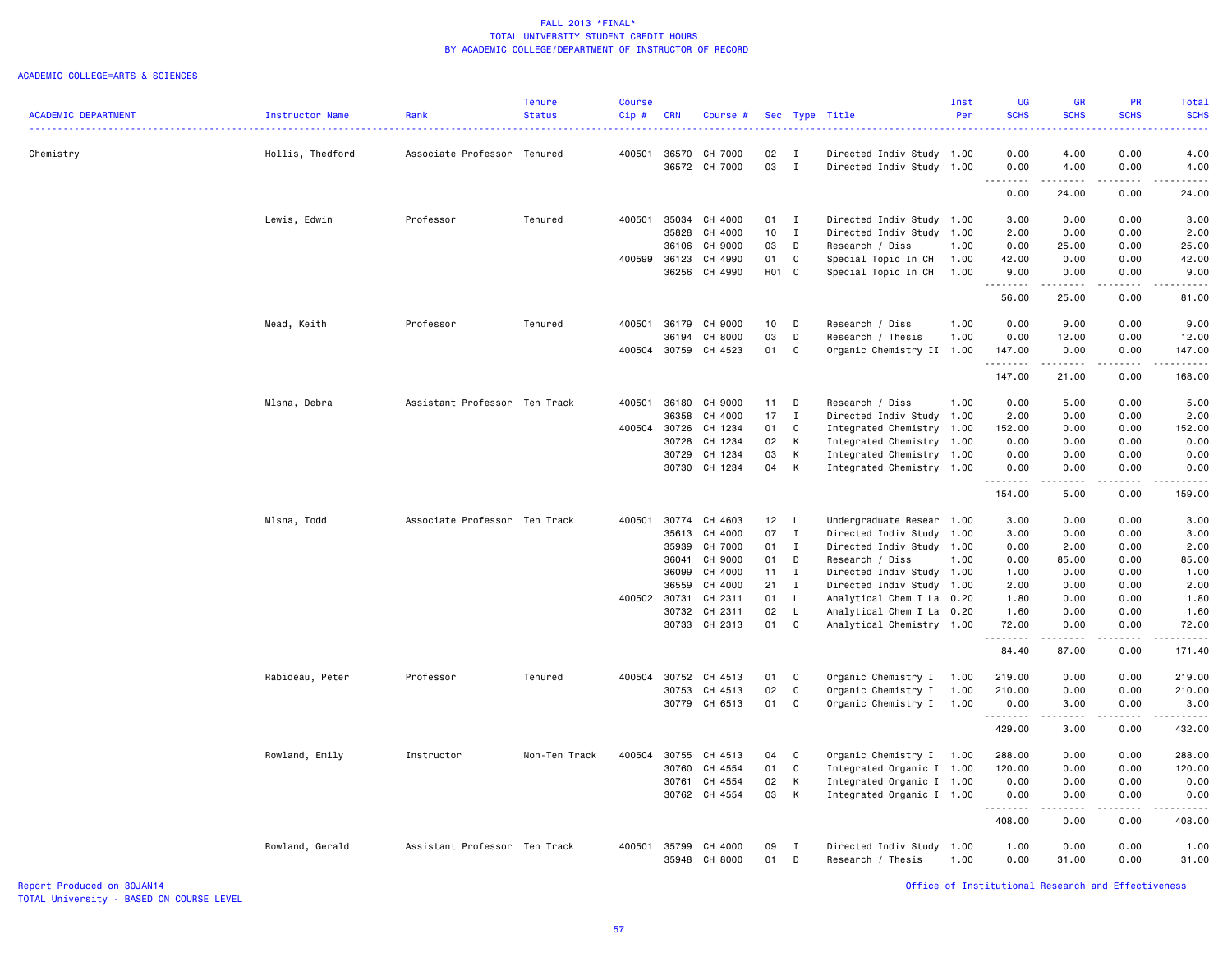#### ACADEMIC COLLEGE=ARTS & SCIENCES

|                            |                  |                               | <b>Tenure</b> | <b>Course</b> |            |                          |                   |                             |                                                        | Inst         | <b>UG</b>            | <b>GR</b>           | PR           | Total                   |
|----------------------------|------------------|-------------------------------|---------------|---------------|------------|--------------------------|-------------------|-----------------------------|--------------------------------------------------------|--------------|----------------------|---------------------|--------------|-------------------------|
| <b>ACADEMIC DEPARTMENT</b> | Instructor Name  | Rank                          | <b>Status</b> | Cip#          | <b>CRN</b> | Course #                 |                   |                             | Sec Type Title                                         | Per          | <b>SCHS</b>          | <b>SCHS</b>         | <b>SCHS</b>  | <b>SCHS</b>             |
|                            |                  |                               |               | 400501        |            | 36570 CH 7000            | 02                |                             |                                                        |              | 0.00                 |                     | 0.00         |                         |
| Chemistry                  | Hollis, Thedford | Associate Professor Tenured   |               |               |            | 36572 CH 7000            | 03                | $\mathbf{I}$<br>$\mathbf I$ | Directed Indiv Study 1.00<br>Directed Indiv Study 1.00 |              | 0.00                 | 4.00<br>4.00        | 0.00         | 4.00<br>4.00            |
|                            |                  |                               |               |               |            |                          |                   |                             |                                                        |              | -----<br>0.00        | .<br>24.00          | .<br>0.00    | 24.00                   |
|                            | Lewis, Edwin     | Professor                     | Tenured       | 400501        | 35034      | CH 4000                  | 01 I              |                             | Directed Indiv Study 1.00                              |              | 3.00                 | 0.00                | 0.00         | 3.00                    |
|                            |                  |                               |               |               | 35828      | CH 4000                  | 10 <sub>1</sub>   | $\mathbf{I}$                | Directed Indiv Study 1.00                              |              | 2.00                 | 0.00                | 0.00         | 2.00                    |
|                            |                  |                               |               |               | 36106      | CH 9000                  | 03                | D                           | Research / Diss                                        | 1.00         | 0.00                 | 25.00               | 0.00         | 25.00                   |
|                            |                  |                               |               | 400599        | 36123      | CH 4990                  | 01                | C                           | Special Topic In CH                                    | 1.00         | 42.00                | 0.00                | 0.00         | 42.00                   |
|                            |                  |                               |               |               |            | 36256 CH 4990            | H <sub>01</sub> C |                             | Special Topic In CH                                    | 1.00         | 9.00                 | 0.00                | 0.00         | 9.00                    |
|                            |                  |                               |               |               |            |                          |                   |                             |                                                        |              | .<br>56.00           | .<br>25.00          | .<br>0.00    | .<br>81.00              |
|                            | Mead, Keith      | Professor                     | Tenured       | 400501        |            | 36179 CH 9000            | 10                | D                           | Research / Diss                                        | 1.00         | 0.00                 | 9.00                | 0.00         | 9.00                    |
|                            |                  |                               |               |               | 36194      | CH 8000                  | 03                | D                           | Research / Thesis                                      | 1.00         | 0.00                 | 12.00               | 0.00         | 12.00                   |
|                            |                  |                               |               |               |            | 400504 30759 CH 4523     | 01                | C                           | Organic Chemistry II 1.00                              |              | 147.00               | 0.00                | 0.00         | 147.00                  |
|                            |                  |                               |               |               |            |                          |                   |                             |                                                        |              | .<br>147.00          | .<br>21.00          | .<br>0.00    | $- - - - - -$<br>168.00 |
|                            | Mlsna, Debra     | Assistant Professor Ten Track |               | 400501        | 36180      | CH 9000                  | 11                | D                           | Research / Diss                                        | 1.00         | 0.00                 | 5.00                | 0.00         | 5.00                    |
|                            |                  |                               |               |               | 36358      | CH 4000                  | 17                | $\mathbf I$                 | Directed Indiv Study                                   | 1.00         | 2.00                 | 0.00                | 0.00         | 2.00                    |
|                            |                  |                               |               | 400504        | 30726      | CH 1234                  | 01                | C                           | Integrated Chemistry                                   | 1.00         | 152.00               | 0.00                | 0.00         | 152.00                  |
|                            |                  |                               |               |               | 30728      | CH 1234                  | 02                | К                           | Integrated Chemistry                                   | 1.00         | 0.00                 | 0.00                | 0.00         | 0.00                    |
|                            |                  |                               |               |               | 30729      | CH 1234                  | 03                | K                           | Integrated Chemistry 1.00                              |              | 0.00                 | 0.00                | 0.00         | 0.00                    |
|                            |                  |                               |               |               | 30730      | CH 1234                  | 04                | K                           | Integrated Chemistry                                   | 1.00         | 0.00<br>.            | 0.00                | 0.00         | 0.00                    |
|                            |                  |                               |               |               |            |                          |                   |                             |                                                        |              | 154.00               | 5.00                | 0.00         | 159.00                  |
|                            | Mlsna, Todd      | Associate Professor Ten Track |               | 400501        | 30774      | CH 4603                  | 12                | $\mathsf{L}$                | Undergraduate Resear 1.00                              |              | 3.00                 | 0.00                | 0.00         | 3.00                    |
|                            |                  |                               |               |               | 35613      | CH 4000                  | 07                | $\mathbf{I}$                | Directed Indiv Study                                   | 1.00         | 3.00                 | 0.00                | 0.00         | 3.00                    |
|                            |                  |                               |               |               | 35939      | CH 7000                  | 01                | $\mathbf{I}$                | Directed Indiv Study                                   | 1.00         | 0.00                 | 2.00                | 0.00         | 2.00                    |
|                            |                  |                               |               |               | 36041      | CH 9000                  | 01 D              |                             | Research / Diss                                        | 1.00         | 0.00                 | 85.00               | 0.00         | 85.00                   |
|                            |                  |                               |               |               | 36099      | CH 4000                  | $11 \quad I$      |                             | Directed Indiv Study 1.00                              |              | 1.00                 | 0.00                | 0.00         | 1.00                    |
|                            |                  |                               |               |               | 36559      | CH 4000                  | 21                | $\mathbf{I}$                | Directed Indiv Study 1.00                              |              | 2.00                 | 0.00                | 0.00         | 2.00                    |
|                            |                  |                               |               | 400502 30731  |            | CH 2311                  | 01                | $\mathsf{L}$                | Analytical Chem I La                                   | 0.20         | 1.80                 | 0.00                | 0.00         | 1.80                    |
|                            |                  |                               |               |               | 30732      | CH 2311                  | 02                | $\mathsf{L}$                | Analytical Chem I La                                   | 0.20         | 1.60                 | 0.00                | 0.00         | 1.60                    |
|                            |                  |                               |               |               |            | 30733 CH 2313            | 01                | C                           | Analytical Chemistry 1.00                              |              | 72.00<br><u>.</u>    | 0.00<br>$- - - - -$ | 0.00<br>.    | 72.00<br>$\frac{1}{2}$  |
|                            |                  |                               |               |               |            |                          |                   |                             |                                                        |              | 84.40                | 87.00               | 0.00         | 171.40                  |
|                            | Rabideau, Peter  | Professor                     | Tenured       | 400504        |            | 30752 CH 4513            | 01                | C                           | Organic Chemistry I                                    | 1.00         | 219.00               | 0.00                | 0.00         | 219.00                  |
|                            |                  |                               |               |               | 30753      | CH 4513                  | 02                | $\mathbf C$                 | Organic Chemistry I                                    | 1.00         | 210.00               | 0.00                | 0.00         | 210.00                  |
|                            |                  |                               |               |               |            | 30779 CH 6513            | 01                | C                           | Organic Chemistry I                                    | 1.00         | 0.00                 | 3.00                | 0.00         | 3.00                    |
|                            |                  |                               |               |               |            |                          |                   |                             |                                                        |              | . <b>.</b><br>429.00 | .<br>3.00           | .<br>0.00    | .<br>432.00             |
|                            | Rowland, Emily   | Instructor                    | Non-Ten Track |               |            | 400504 30755 CH 4513     | 04                | C                           | Organic Chemistry I                                    | 1.00         | 288.00               | 0.00                | 0.00         | 288.00                  |
|                            |                  |                               |               |               | 30760      | CH 4554                  | 01                | C                           | Integrated Organic I 1.00                              |              | 120.00               | 0.00                | 0.00         | 120.00                  |
|                            |                  |                               |               |               | 30761      | CH 4554                  | 02                | K                           | Integrated Organic I 1.00                              |              | 0.00                 | 0.00                | 0.00         | 0.00                    |
|                            |                  |                               |               |               |            | 30762 CH 4554            | 03                | K                           | Integrated Organic I 1.00                              |              | 0.00                 | 0.00<br>.           | 0.00         | 0.00                    |
|                            |                  |                               |               |               |            |                          |                   |                             |                                                        |              | 408.00               | 0.00                | 0.00         | 408.00                  |
|                            | Rowland, Gerald  | Assistant Professor Ten Track |               | 400501        | 35799      | CH 4000<br>35948 CH 8000 | 09<br>01          | I<br>D                      | Directed Indiv Study<br>Research / Thesis              | 1.00<br>1.00 | 1.00<br>0.00         | 0.00<br>31.00       | 0.00<br>0.00 | 1.00<br>31.00           |
|                            |                  |                               |               |               |            |                          |                   |                             |                                                        |              |                      |                     |              |                         |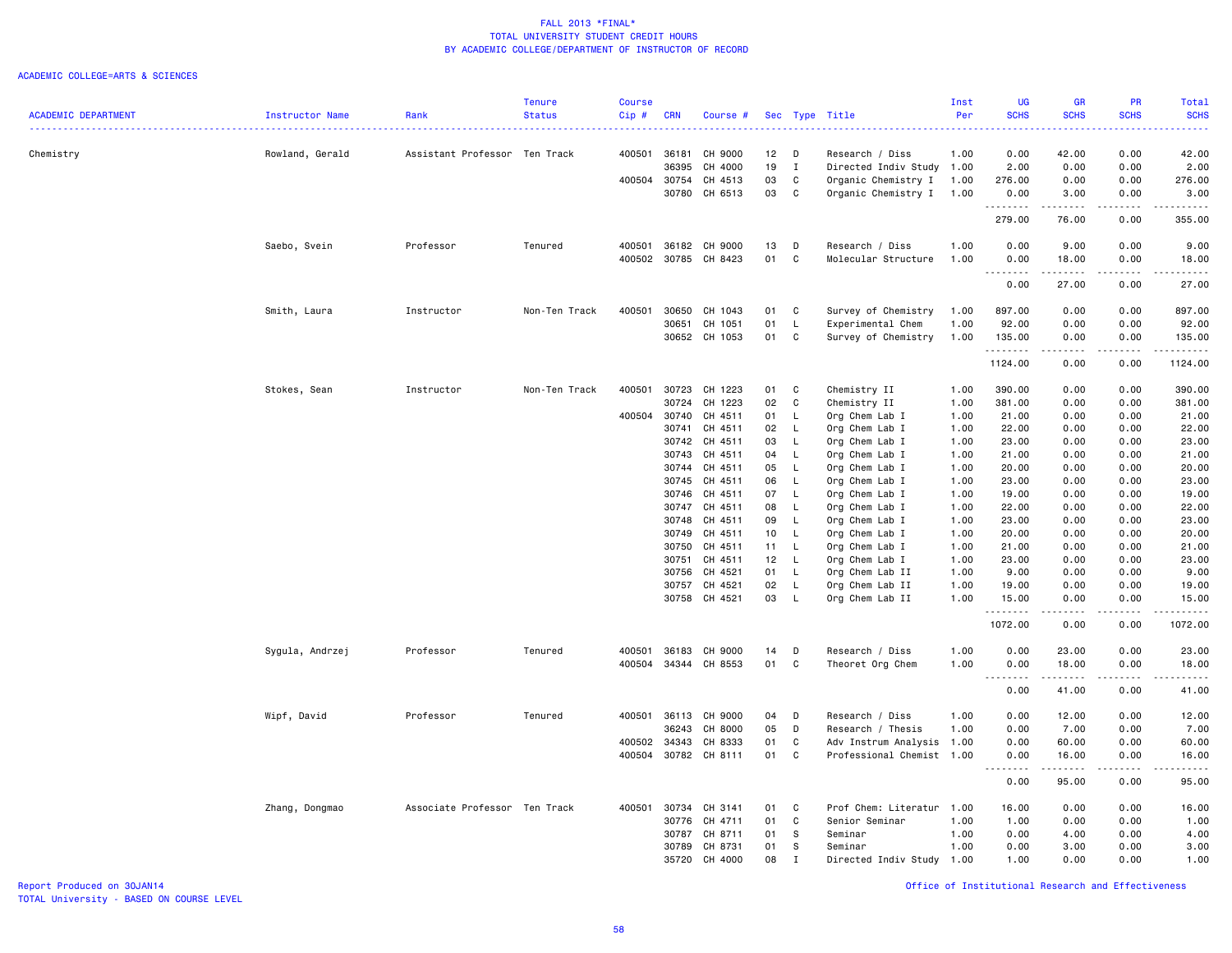#### ACADEMIC COLLEGE=ARTS & SCIENCES

|                            |                 |                               | <b>Tenure</b> | <b>Course</b> |            |               |                 |              |                                    | Inst         | <b>UG</b>          | <b>GR</b>   | PR              | <b>Total</b>                                                                                |
|----------------------------|-----------------|-------------------------------|---------------|---------------|------------|---------------|-----------------|--------------|------------------------------------|--------------|--------------------|-------------|-----------------|---------------------------------------------------------------------------------------------|
| <b>ACADEMIC DEPARTMENT</b> | Instructor Name | Rank                          | <b>Status</b> | Cip#          | <b>CRN</b> | Course #      |                 |              | Sec Type Title                     | Per          | <b>SCHS</b>        | <b>SCHS</b> | <b>SCHS</b>     | <b>SCHS</b>                                                                                 |
|                            |                 |                               |               |               |            |               |                 |              |                                    |              |                    |             |                 |                                                                                             |
| Chemistry                  | Rowland, Gerald | Assistant Professor Ten Track |               | 400501        | 36181      | CH 9000       | 12              | D            | Research / Diss                    | 1.00         | 0.00               | 42.00       | 0.00            | 42.00                                                                                       |
|                            |                 |                               |               |               | 36395      | CH 4000       | 19              | $\mathbf I$  | Directed Indiv Study 1.00          |              | 2.00               | 0.00        | 0.00            | 2.00                                                                                        |
|                            |                 |                               |               | 400504        | 30754      | CH 4513       | 03              | $\mathtt{C}$ | Organic Chemistry I                | 1.00         | 276.00             | 0.00        | 0.00            | 276.00                                                                                      |
|                            |                 |                               |               |               | 30780      | CH 6513       | 03              | $\mathtt{C}$ | Organic Chemistry I                | 1.00         | 0.00               | 3.00        | 0.00            | 3.00                                                                                        |
|                            |                 |                               |               |               |            |               |                 |              |                                    |              | .                  | .           | -----           | .                                                                                           |
|                            |                 |                               |               |               |            |               |                 |              |                                    |              | 279.00             | 76.00       | 0.00            | 355.00                                                                                      |
|                            | Saebo, Svein    | Professor                     | Tenured       | 400501        |            | 36182 CH 9000 | 13              | D            | Research / Diss                    | 1.00         | 0.00               | 9.00        | 0.00            | 9.00                                                                                        |
|                            |                 |                               |               | 400502        | 30785      | CH 8423       | 01              | $\mathtt{C}$ | Molecular Structure                | 1.00         | 0.00               | 18.00       | 0.00            | 18.00                                                                                       |
|                            |                 |                               |               |               |            |               |                 |              |                                    |              | .                  | .           | .               | $    -$                                                                                     |
|                            |                 |                               |               |               |            |               |                 |              |                                    |              | 0.00               | 27.00       | 0.00            | 27.00                                                                                       |
|                            | Smith, Laura    | Instructor                    | Non-Ten Track | 400501        | 30650      | CH 1043       | 01              | C            | Survey of Chemistry                | 1.00         | 897.00             | 0.00        | 0.00            | 897.00                                                                                      |
|                            |                 |                               |               |               | 30651      | CH 1051       | 01              | L            | Experimental Chem                  | 1.00         | 92.00              | 0.00        | 0.00            | 92.00                                                                                       |
|                            |                 |                               |               |               |            | 30652 CH 1053 | 01              | C            | Survey of Chemistry                | 1.00         | 135.00             | 0.00        | 0.00            | 135.00                                                                                      |
|                            |                 |                               |               |               |            |               |                 |              |                                    |              | .<br>1124.00       | 0.00        | د د د د<br>0.00 | $\mathbf{1} \cdot \mathbf{1} \cdot \mathbf{1} \cdot \mathbf{1} \cdot \mathbf{1}$<br>1124.00 |
|                            |                 |                               |               |               |            |               |                 |              |                                    |              |                    |             |                 |                                                                                             |
|                            | Stokes, Sean    | Instructor                    | Non-Ten Track | 400501        | 30723      | CH 1223       | 01              | C            | Chemistry II                       | 1.00         | 390.00             | 0.00        | 0.00            | 390.00                                                                                      |
|                            |                 |                               |               |               | 30724      | CH 1223       | 02              | C            | Chemistry II                       | 1.00         | 381.00             | 0.00        | 0.00            | 381.00                                                                                      |
|                            |                 |                               |               | 400504        | 30740      | CH 4511       | 01              | L,           | Org Chem Lab I                     | 1.00         | 21.00              | 0.00        | 0.00            | 21.00                                                                                       |
|                            |                 |                               |               |               | 30741      | CH 4511       | 02              | L,           | Org Chem Lab I                     | 1.00         | 22.00              | 0.00        | 0.00            | 22.00                                                                                       |
|                            |                 |                               |               |               | 30742      | CH 4511       | 03              | L            | Org Chem Lab I                     | 1.00         | 23.00              | 0.00        | 0.00            | 23.00                                                                                       |
|                            |                 |                               |               |               | 30743      | CH 4511       | 04              | L.           | Org Chem Lab I                     | 1.00         | 21.00              | 0.00        | 0.00            | 21.00                                                                                       |
|                            |                 |                               |               |               | 30744      | CH 4511       | 05              | - L          | Org Chem Lab I                     | 1.00         | 20.00              | 0.00        | 0.00            | 20.00                                                                                       |
|                            |                 |                               |               |               | 30745      | CH 4511       | 06              | $\mathsf{L}$ | Org Chem Lab I                     | 1.00         | 23.00              | 0.00        | 0.00            | 23.00                                                                                       |
|                            |                 |                               |               |               | 30746      | CH 4511       | 07              | $\mathsf{L}$ | Org Chem Lab I                     | 1.00         | 19.00              | 0.00        | 0.00            | 19.00                                                                                       |
|                            |                 |                               |               |               | 30747      | CH 4511       | 08              | $\mathsf{L}$ | Org Chem Lab I                     | 1.00         | 22.00              | 0.00        | 0.00            | 22.00                                                                                       |
|                            |                 |                               |               |               | 30748      | CH 4511       | 09              | <b>L</b>     | Org Chem Lab I                     | 1.00         | 23.00              | 0.00        | 0.00            | 23.00                                                                                       |
|                            |                 |                               |               |               | 30749      | CH 4511       | 10 <sub>1</sub> | - L          | Org Chem Lab I                     | 1.00         | 20.00              | 0.00        | 0.00            | 20.00                                                                                       |
|                            |                 |                               |               |               | 30750      | CH 4511       | 11              | $\mathsf{L}$ | Org Chem Lab I                     | 1.00         | 21.00              | 0.00        | 0.00            | 21.00                                                                                       |
|                            |                 |                               |               |               | 30751      | CH 4511       | 12              | $\mathsf{L}$ | Org Chem Lab I                     | 1.00         | 23.00              | 0.00        | 0.00            | 23.00                                                                                       |
|                            |                 |                               |               |               | 30756      | CH 4521       | 01              | L.           | Org Chem Lab II                    | 1.00         | 9.00               | 0.00        | 0.00            | 9.00                                                                                        |
|                            |                 |                               |               |               |            | CH 4521       | 02              | L.           |                                    |              |                    | 0.00        | 0.00            |                                                                                             |
|                            |                 |                               |               |               | 30757      | 30758 CH 4521 | 03              | L            | Org Chem Lab II<br>Org Chem Lab II | 1.00<br>1.00 | 19.00<br>15.00     | 0.00        | 0.00            | 19.00<br>15.00                                                                              |
|                            |                 |                               |               |               |            |               |                 |              |                                    |              | .                  | .           | .               | .                                                                                           |
|                            |                 |                               |               |               |            |               |                 |              |                                    |              | 1072.00            | 0.00        | 0.00            | 1072.00                                                                                     |
|                            | Sygula, Andrzej | Professor                     | Tenured       | 400501        | 36183      | CH 9000       | 14              | D            | Research / Diss                    | 1.00         | 0.00               | 23.00       | 0.00            | 23.00                                                                                       |
|                            |                 |                               |               | 400504        |            | 34344 CH 8553 | 01              | C            | Theoret Org Chem                   | 1.00         | 0.00               | 18.00       | 0.00            | 18.00                                                                                       |
|                            |                 |                               |               |               |            |               |                 |              |                                    |              | .<br>0.00          | .<br>41.00  | .<br>0.00       | .<br>41.00                                                                                  |
|                            |                 |                               |               |               |            |               |                 |              |                                    |              |                    |             |                 |                                                                                             |
|                            | Wipf, David     | Professor                     | Tenured       | 400501        | 36113      | CH 9000       | 04              | D            | Research / Diss                    | 1.00         | 0.00               | 12.00       | 0.00            | 12.00                                                                                       |
|                            |                 |                               |               |               | 36243      | CH 8000       | 05              | D            | Research / Thesis                  | 1.00         | 0.00               | 7.00        | 0.00            | 7.00                                                                                        |
|                            |                 |                               |               | 400502        | 34343      | CH 8333       | 01              | C            | Adv Instrum Analysis 1.00          |              | 0.00               | 60.00       | 0.00            | 60.00                                                                                       |
|                            |                 |                               |               | 400504        |            | 30782 CH 8111 | 01              | $\mathtt{C}$ | Professional Chemist 1.00          |              | 0.00               | 16.00       | 0.00            | 16.00                                                                                       |
|                            |                 |                               |               |               |            |               |                 |              |                                    |              | . <b>.</b><br>0.00 | .<br>95.00  | .<br>0.00       | .<br>95.00                                                                                  |
|                            | Zhang, Dongmao  | Associate Professor Ten Track |               | 400501        | 30734      | CH 3141       | 01              | C            | Prof Chem: Literatur               | 1.00         | 16.00              | 0.00        | 0.00            | 16.00                                                                                       |
|                            |                 |                               |               |               | 30776      | CH 4711       | 01              | $\mathtt{C}$ | Senior Seminar                     | 1.00         | 1.00               | 0.00        | 0.00            | 1.00                                                                                        |
|                            |                 |                               |               |               | 30787      | CH 8711       | 01              | s            | Seminar                            | 1.00         | 0.00               | 4.00        | 0.00            | 4.00                                                                                        |
|                            |                 |                               |               |               | 30789      | CH 8731       | 01              | S            | Seminar                            | 1.00         | 0.00               | 3.00        | 0.00            | 3.00                                                                                        |
|                            |                 |                               |               |               |            |               |                 |              |                                    |              |                    |             |                 |                                                                                             |
|                            |                 |                               |               |               | 35720      | CH 4000       | 08              | Ι            | Directed Indiv Study               | 1.00         | 1.00               | 0.00        | 0.00            | 1.00                                                                                        |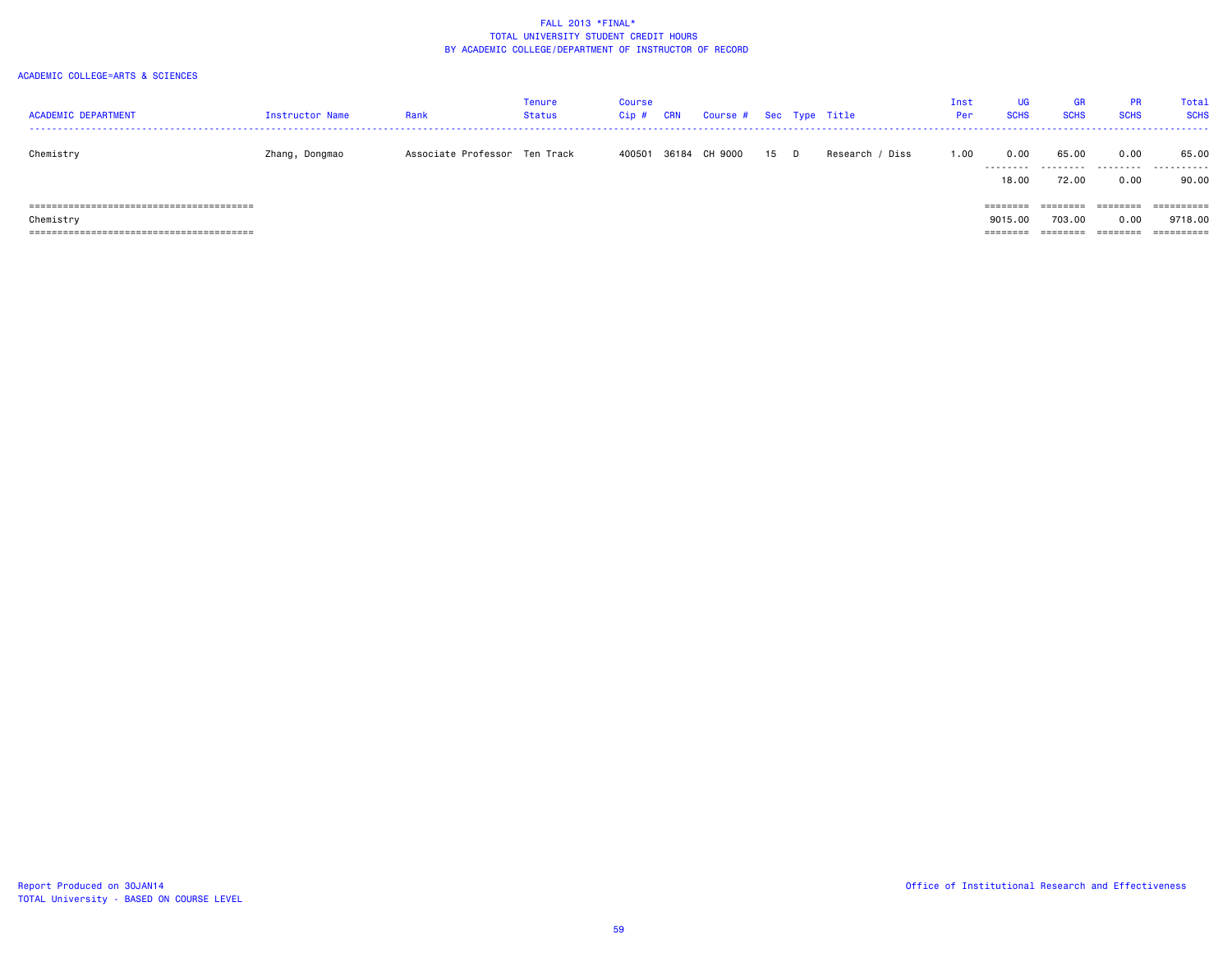| <b>ACADEMIC DEPARTMENT</b> | Instructor Name | Rank                          | Tenure<br>Status | Course<br>Cip # | CRN   | Course # Sec Type Title |      |                 | Inst<br>Per | <b>UG</b><br><b>SCHS</b> | GR<br><b>SCHS</b> | <b>PR</b><br><b>SCHS</b> | Total<br><b>SCHS</b> |
|----------------------------|-----------------|-------------------------------|------------------|-----------------|-------|-------------------------|------|-----------------|-------------|--------------------------|-------------------|--------------------------|----------------------|
| Chemistry                  | Zhang, Dongmao  | Associate Professor Ten Track |                  | 400501          | 36184 | CH 9000                 | 15 D | Research / Diss | 1.00        | 0.00<br>.                | 65.00<br>.        | 0.00                     | 65.00<br>.           |
|                            |                 |                               |                  |                 |       |                         |      |                 |             | 18.00                    | 72.00             | 0.00                     | 90.00                |
|                            |                 |                               |                  |                 |       |                         |      |                 |             | ========                 | ========          | ========                 | ==========           |
| Chemistry                  |                 |                               |                  |                 |       |                         |      |                 |             | 9015,00                  | 703.00            | 0.00                     | 9718.00              |
|                            |                 |                               |                  |                 |       |                         |      |                 |             | =======                  |                   | ========                 |                      |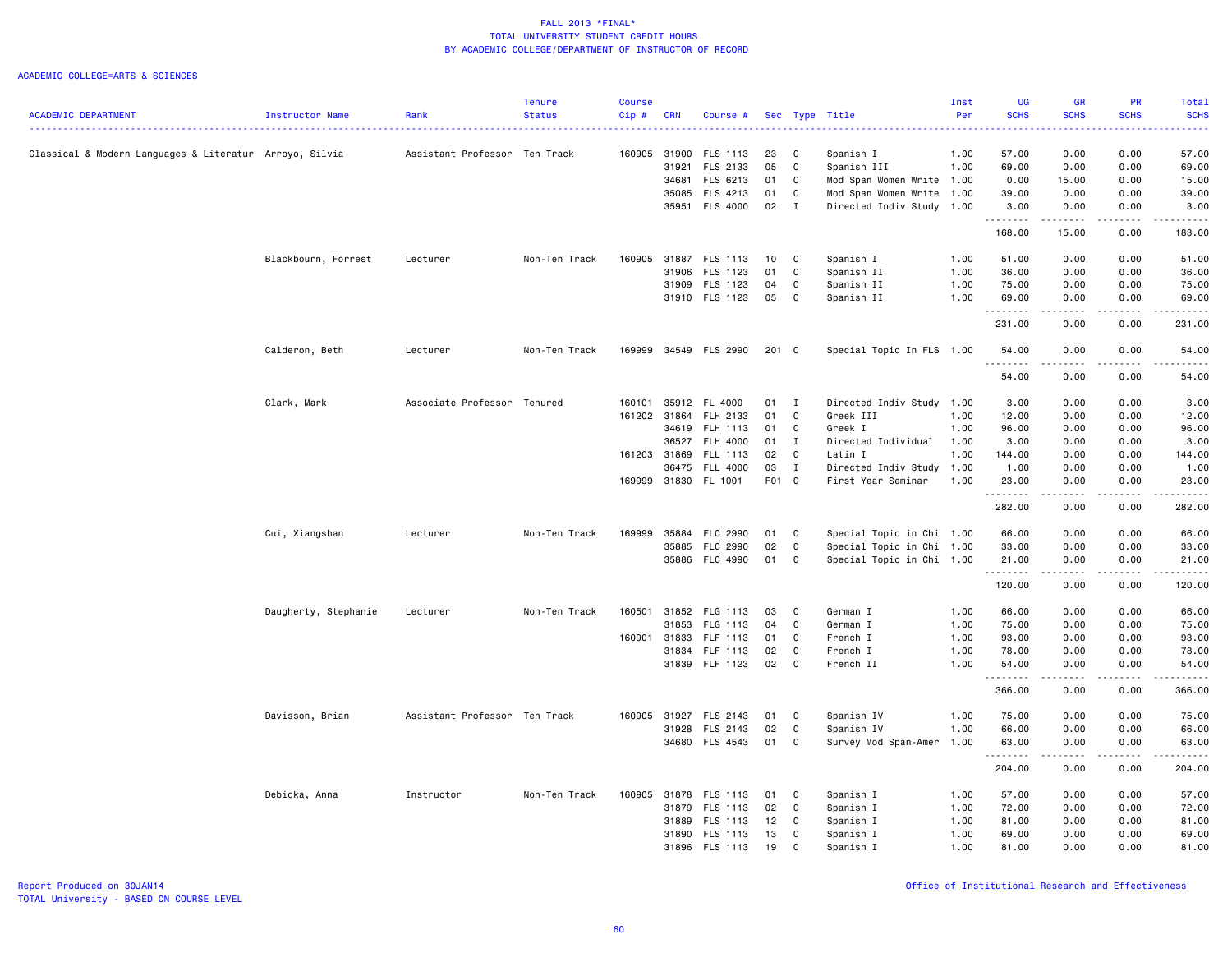|                                                         |                      |                               | <b>Tenure</b> | <b>Course</b> |            |                 |       |              |                           | Inst | <b>UG</b>         | <b>GR</b>             | <b>PR</b>   | <b>Total</b>              |
|---------------------------------------------------------|----------------------|-------------------------------|---------------|---------------|------------|-----------------|-------|--------------|---------------------------|------|-------------------|-----------------------|-------------|---------------------------|
| <b>ACADEMIC DEPARTMENT</b>                              | Instructor Name      | Rank                          | <b>Status</b> | Cip#          | <b>CRN</b> | Course #        |       |              | Sec Type Title            | Per  | <b>SCHS</b>       | <b>SCHS</b>           | <b>SCHS</b> | <b>SCHS</b><br>والمناصبات |
| Classical & Modern Languages & Literatur Arroyo, Silvia |                      | Assistant Professor Ten Track |               | 160905        | 31900      | FLS 1113        | 23    | C            | Spanish I                 | 1.00 | 57.00             | 0.00                  | 0.00        | 57.00                     |
|                                                         |                      |                               |               |               | 31921      | FLS 2133        | 05    | C            | Spanish III               | 1.00 | 69.00             | 0.00                  | 0.00        | 69.00                     |
|                                                         |                      |                               |               |               | 34681      | FLS 6213        | 01    | C            | Mod Span Women Write 1.00 |      | 0.00              | 15.00                 | 0.00        | 15.00                     |
|                                                         |                      |                               |               |               | 35085      | FLS 4213        | 01    | C            | Mod Span Women Write 1.00 |      | 39.00             | 0.00                  | 0.00        | 39.00                     |
|                                                         |                      |                               |               |               | 35951      | <b>FLS 4000</b> | 02    | $\mathbf{I}$ | Directed Indiv Study      | 1.00 | 3.00              | 0.00                  | 0.00        | 3.00                      |
|                                                         |                      |                               |               |               |            |                 |       |              |                           |      | .                 | .                     | .           | .                         |
|                                                         |                      |                               |               |               |            |                 |       |              |                           |      | 168.00            | 15.00                 | 0.00        | 183.00                    |
|                                                         | Blackbourn, Forrest  | Lecturer                      | Non-Ten Track | 160905        | 31887      | FLS 1113        | 10    | C            | Spanish I                 | 1.00 | 51.00             | 0.00                  | 0.00        | 51.00                     |
|                                                         |                      |                               |               |               | 31906      | FLS 1123        | 01    | C            | Spanish II                | 1.00 | 36.00             | 0.00                  | 0.00        | 36.00                     |
|                                                         |                      |                               |               |               | 31909      | FLS 1123        | 04    | C            | Spanish II                | 1.00 | 75.00             | 0.00                  | 0.00        | 75.00                     |
|                                                         |                      |                               |               |               |            | 31910 FLS 1123  | 05    | C            | Spanish II                | 1.00 | 69.00<br>.        | 0.00                  | 0.00        | 69.00<br>.                |
|                                                         |                      |                               |               |               |            |                 |       |              |                           |      | 231.00            | 0.00                  | 0.00        | 231.00                    |
|                                                         | Calderon, Beth       | Lecturer                      | Non-Ten Track | 169999        |            | 34549 FLS 2990  | 201 C |              | Special Topic In FLS 1.00 |      | 54.00<br><u>.</u> | 0.00<br>$\frac{1}{2}$ | 0.00        | 54.00                     |
|                                                         |                      |                               |               |               |            |                 |       |              |                           |      | 54.00             | 0.00                  | 0.00        | 54.00                     |
|                                                         | Clark, Mark          | Associate Professor Tenured   |               | 160101        | 35912      | FL 4000         | 01    | $\mathbf{I}$ | Directed Indiv Study 1.00 |      | 3.00              | 0.00                  | 0.00        | 3.00                      |
|                                                         |                      |                               |               | 161202 31864  |            | FLH 2133        | 01    | $\mathbb C$  | Greek III                 | 1.00 | 12.00             | 0.00                  | 0.00        | 12.00                     |
|                                                         |                      |                               |               |               | 34619      | FLH 1113        | 01    | C            | Greek I                   | 1.00 | 96.00             | 0.00                  | 0.00        | 96.00                     |
|                                                         |                      |                               |               |               | 36527      | FLH 4000        | 01    | $\mathbf{I}$ | Directed Individual       | 1.00 | 3.00              | 0.00                  | 0.00        | 3.00                      |
|                                                         |                      |                               |               | 161203 31869  |            | FLL 1113        | 02    | C            | Latin I                   | 1.00 | 144.00            | 0.00                  | 0.00        | 144.00                    |
|                                                         |                      |                               |               |               | 36475      | <b>FLL 4000</b> | 03    | $\mathbf{I}$ | Directed Indiv Study 1.00 |      | 1.00              | 0.00                  | 0.00        | 1.00                      |
|                                                         |                      |                               |               | 169999        |            | 31830 FL 1001   | F01 C |              | First Year Seminar        | 1.00 | 23.00<br>.        | 0.00                  | 0.00        | 23.00<br>.                |
|                                                         |                      |                               |               |               |            |                 |       |              |                           |      | 282.00            | 0.00                  | 0.00        | 282.00                    |
|                                                         | Cui, Xiangshan       | Lecturer                      | Non-Ten Track | 169999        | 35884      | FLC 2990        | 01    | C            | Special Topic in Chi 1.00 |      | 66.00             | 0.00                  | 0.00        | 66.00                     |
|                                                         |                      |                               |               |               | 35885      | FLC 2990        | 02    | C            | Special Topic in Chi      | 1.00 | 33.00             | 0.00                  | 0.00        | 33.00                     |
|                                                         |                      |                               |               |               | 35886      | FLC 4990        | 01    | C            | Special Topic in Chi 1.00 |      | 21.00             | 0.00                  | 0.00        | 21.00                     |
|                                                         |                      |                               |               |               |            |                 |       |              |                           |      | .<br>120.00       | .<br>0.00             | .<br>0.00   | .<br>120.00               |
|                                                         | Daugherty, Stephanie | Lecturer                      | Non-Ten Track | 160501        | 31852      | FLG 1113        | 03    | C            | German I                  | 1.00 | 66.00             | 0.00                  | 0.00        | 66.00                     |
|                                                         |                      |                               |               |               | 31853      | FLG 1113        | 04    | C            | German I                  | 1.00 | 75.00             | 0.00                  | 0.00        | 75.00                     |
|                                                         |                      |                               |               | 160901        | 31833      | FLF 1113        | 01    | C            | French I                  | 1.00 | 93.00             | 0.00                  | 0.00        | 93.00                     |
|                                                         |                      |                               |               |               | 31834      | FLF 1113        | 02    | C            | French I                  | 1.00 | 78.00             | 0.00                  | 0.00        | 78.00                     |
|                                                         |                      |                               |               |               |            | 31839 FLF 1123  | 02    | C            | French II                 | 1.00 | 54.00             | 0.00                  | 0.00        | 54.00                     |
|                                                         |                      |                               |               |               |            |                 |       |              |                           |      | 366.00            | 0.00                  | 0.00        | 366.00                    |
|                                                         | Davisson, Brian      | Assistant Professor Ten Track |               | 160905        | 31927      | FLS 2143        | 01    | C            | Spanish IV                | 1.00 | 75.00             | 0.00                  | 0.00        | 75.00                     |
|                                                         |                      |                               |               |               | 31928      | FLS 2143        | 02    | C            | Spanish IV                | 1.00 | 66.00             | 0.00                  | 0.00        | 66.00                     |
|                                                         |                      |                               |               |               | 34680      | <b>FLS 4543</b> | 01    | C            | Survey Mod Span-Amer 1.00 |      | 63.00<br>.        | 0.00<br>.             | 0.00<br>.   | 63.00<br>.                |
|                                                         |                      |                               |               |               |            |                 |       |              |                           |      | 204.00            | 0.00                  | 0.00        | 204.00                    |
|                                                         | Debicka, Anna        | Instructor                    | Non-Ten Track | 160905        | 31878      | FLS 1113        | 01    | C            | Spanish I                 | 1.00 | 57.00             | 0.00                  | 0.00        | 57.00                     |
|                                                         |                      |                               |               |               | 31879      | FLS 1113        | 02    | C            | Spanish I                 | 1.00 | 72.00             | 0.00                  | 0.00        | 72.00                     |
|                                                         |                      |                               |               |               | 31889      | FLS 1113        | 12    | C            | Spanish I                 | 1.00 | 81.00             | 0.00                  | 0.00        | 81.00                     |
|                                                         |                      |                               |               |               | 31890      | FLS 1113        | 13    | C            | Spanish I                 | 1.00 | 69.00             | 0.00                  | 0.00        | 69.00                     |
|                                                         |                      |                               |               |               |            | 31896 FLS 1113  | 19    | C            | Spanish I                 | 1.00 | 81.00             | 0.00                  | 0.00        | 81.00                     |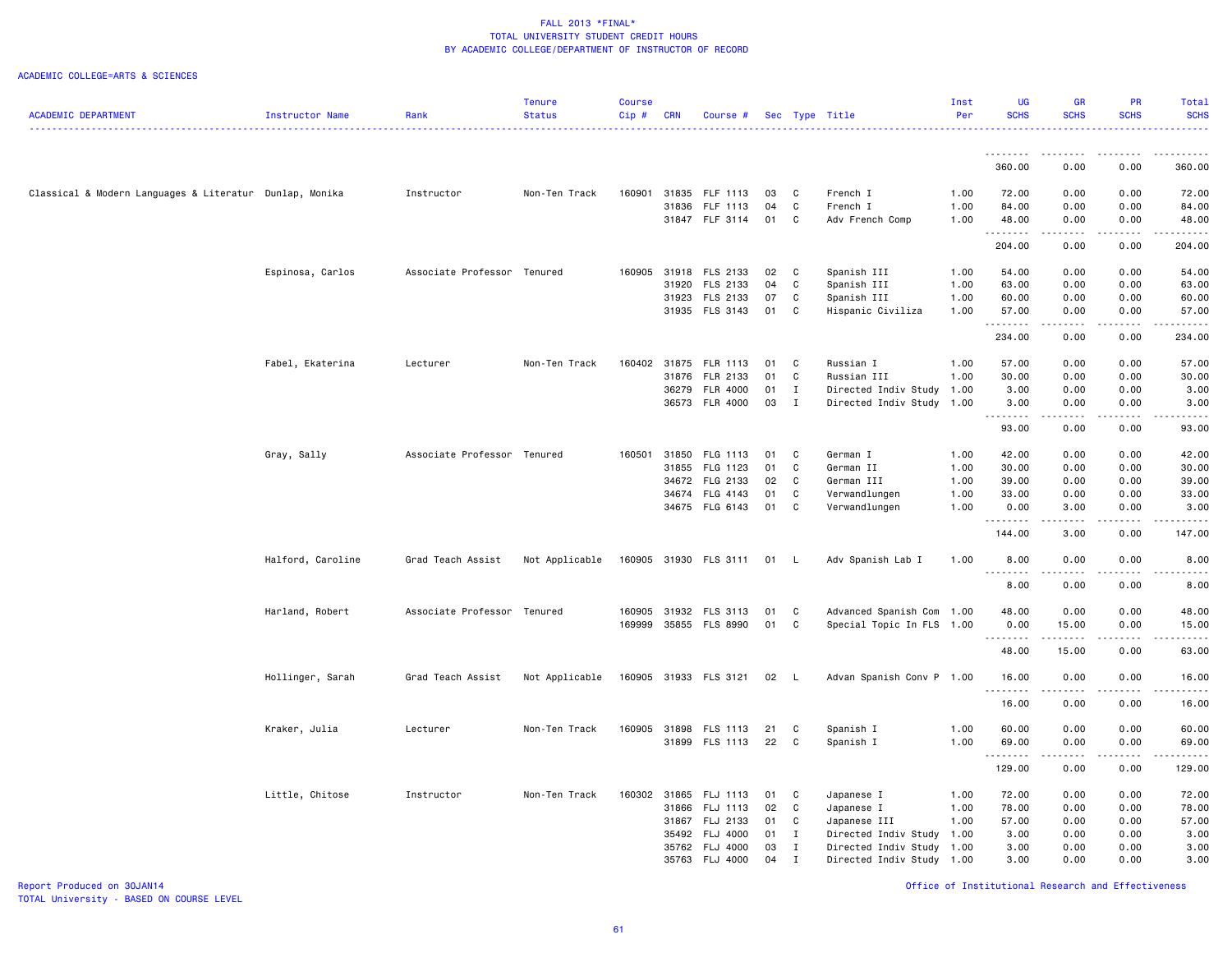### ACADEMIC COLLEGE=ARTS & SCIENCES

|                                                         |                   |                             | <b>Tenure</b>  | <b>Course</b> |            |                       |    |              |                           | Inst | <b>UG</b>                      | <b>GR</b>   | <b>PR</b>                                                                                                                                            | Total                                 |
|---------------------------------------------------------|-------------------|-----------------------------|----------------|---------------|------------|-----------------------|----|--------------|---------------------------|------|--------------------------------|-------------|------------------------------------------------------------------------------------------------------------------------------------------------------|---------------------------------------|
| <b>ACADEMIC DEPARTMENT</b>                              | Instructor Name   | Rank                        | <b>Status</b>  | Cip#          | <b>CRN</b> | Course #              |    |              | Sec Type Title            | Per  | <b>SCHS</b>                    | <b>SCHS</b> | <b>SCHS</b>                                                                                                                                          | <b>SCHS</b>                           |
|                                                         |                   |                             |                |               |            |                       |    |              |                           |      |                                |             |                                                                                                                                                      |                                       |
|                                                         |                   |                             |                |               |            |                       |    |              |                           |      | .                              | ----        |                                                                                                                                                      |                                       |
|                                                         |                   |                             |                |               |            |                       |    |              |                           |      | 360.00                         | 0.00        | 0.00                                                                                                                                                 | 360.00                                |
| Classical & Modern Languages & Literatur Dunlap, Monika |                   | Instructor                  | Non-Ten Track  | 160901        |            | 31835 FLF 1113        | 03 | $\mathbf{C}$ | French I                  | 1.00 | 72.00                          | 0.00        | 0.00                                                                                                                                                 | 72.00                                 |
|                                                         |                   |                             |                |               | 31836      | FLF 1113              | 04 | $\mathtt{C}$ | French I                  | 1.00 | 84.00                          | 0.00        | 0.00                                                                                                                                                 | 84.00                                 |
|                                                         |                   |                             |                |               |            | 31847 FLF 3114        | 01 | $\mathbf C$  | Adv French Comp           | 1.00 | 48.00                          | 0.00        | 0.00                                                                                                                                                 | 48.00                                 |
|                                                         |                   |                             |                |               |            |                       |    |              |                           |      | .                              |             |                                                                                                                                                      | .                                     |
|                                                         |                   |                             |                |               |            |                       |    |              |                           |      | 204.00                         | 0.00        | 0.00                                                                                                                                                 | 204.00                                |
|                                                         | Espinosa, Carlos  | Associate Professor Tenured |                | 160905        | 31918      | FLS 2133              | 02 | $\mathbf{C}$ | Spanish III               | 1.00 | 54.00                          | 0.00        | 0.00                                                                                                                                                 | 54.00                                 |
|                                                         |                   |                             |                |               | 31920      | FLS 2133              | 04 | C            | Spanish III               | 1.00 | 63.00                          | 0.00        | 0.00                                                                                                                                                 | 63.00                                 |
|                                                         |                   |                             |                |               | 31923      | FLS 2133              | 07 | $\mathtt{C}$ | Spanish III               | 1.00 | 60.00                          | 0.00        | 0.00                                                                                                                                                 | 60.00                                 |
|                                                         |                   |                             |                |               |            | 31935 FLS 3143        | 01 | C            | Hispanic Civiliza         | 1.00 | 57.00                          | 0.00        | 0.00                                                                                                                                                 | 57.00                                 |
|                                                         |                   |                             |                |               |            |                       |    |              |                           |      | .<br>234.00                    | 0.00        | المتمالين<br>0.00                                                                                                                                    | $\sim$ $\sim$ $\sim$ $\sim$<br>234.00 |
|                                                         |                   |                             |                |               |            |                       |    |              |                           |      |                                |             |                                                                                                                                                      |                                       |
|                                                         | Fabel, Ekaterina  | Lecturer                    | Non-Ten Track  | 160402        | 31875      | FLR 1113              | 01 | C            | Russian I                 | 1.00 | 57.00                          | 0.00        | 0.00                                                                                                                                                 | 57.00                                 |
|                                                         |                   |                             |                |               | 31876      | FLR 2133              | 01 | $\mathtt{C}$ | Russian III               | 1.00 | 30.00                          | 0.00        | 0.00                                                                                                                                                 | 30.00                                 |
|                                                         |                   |                             |                |               |            | 36279 FLR 4000        | 01 | Ι.           | Directed Indiv Study 1.00 |      | 3.00                           | 0.00        | 0.00                                                                                                                                                 | 3.00                                  |
|                                                         |                   |                             |                |               | 36573      | <b>FLR 4000</b>       | 03 | $\mathbf I$  | Directed Indiv Study 1.00 |      | 3.00                           | 0.00        | 0.00                                                                                                                                                 | 3.00                                  |
|                                                         |                   |                             |                |               |            |                       |    |              |                           |      | .<br>93.00                     | .<br>0.00   | .<br>0.00                                                                                                                                            | والمناصبات<br>93.00                   |
|                                                         |                   |                             |                |               |            |                       |    |              |                           |      |                                |             |                                                                                                                                                      |                                       |
|                                                         | Gray, Sally       | Associate Professor Tenured |                | 160501        | 31850      | FLG 1113              | 01 | C            | German I                  | 1.00 | 42.00                          | 0.00        | 0.00                                                                                                                                                 | 42.00                                 |
|                                                         |                   |                             |                |               | 31855      | FLG 1123              | 01 | C            | German II                 | 1.00 | 30.00                          | 0.00        | 0.00                                                                                                                                                 | 30.00                                 |
|                                                         |                   |                             |                |               |            | 34672 FLG 2133        | 02 | C            | German III                | 1.00 | 39.00                          | 0.00        | 0.00                                                                                                                                                 | 39.00                                 |
|                                                         |                   |                             |                |               | 34674      | FLG 4143              | 01 | C            | Verwandlungen             | 1.00 | 33.00                          | 0.00        | 0.00                                                                                                                                                 | 33.00                                 |
|                                                         |                   |                             |                |               |            | 34675 FLG 6143        | 01 | C            | Verwandlungen             | 1.00 | 0.00                           | 3.00        | 0.00                                                                                                                                                 | 3.00                                  |
|                                                         |                   |                             |                |               |            |                       |    |              |                           |      | .                              |             |                                                                                                                                                      |                                       |
|                                                         |                   |                             |                |               |            |                       |    |              |                           |      | 144.00                         | 3.00        | 0.00                                                                                                                                                 | 147.00                                |
|                                                         | Halford, Caroline | Grad Teach Assist           | Not Applicable |               |            | 160905 31930 FLS 3111 | 01 | - L          | Adv Spanish Lab I         | 1.00 | 8.00                           | 0.00        | 0.00                                                                                                                                                 | 8.00                                  |
|                                                         |                   |                             |                |               |            |                       |    |              |                           |      | .                              |             |                                                                                                                                                      |                                       |
|                                                         |                   |                             |                |               |            |                       |    |              |                           |      | 8.00                           | 0.00        | 0.00                                                                                                                                                 | 8.00                                  |
|                                                         | Harland, Robert   | Associate Professor Tenured |                | 160905        |            | 31932 FLS 3113        | 01 | $\mathbf{C}$ | Advanced Spanish Com      | 1.00 | 48.00                          | 0.00        | 0.00                                                                                                                                                 | 48.00                                 |
|                                                         |                   |                             |                | 169999        |            | 35855 FLS 8990        | 01 | $\mathbf C$  | Special Topic In FLS 1.00 |      | 0.00                           | 15.00       | 0.00                                                                                                                                                 | 15.00                                 |
|                                                         |                   |                             |                |               |            |                       |    |              |                           |      | .                              | .           | .                                                                                                                                                    | .                                     |
|                                                         |                   |                             |                |               |            |                       |    |              |                           |      | 48.00                          | 15.00       | 0.00                                                                                                                                                 | 63.00                                 |
|                                                         |                   |                             |                |               |            |                       |    |              |                           |      |                                |             |                                                                                                                                                      |                                       |
|                                                         | Hollinger, Sarah  | Grad Teach Assist           | Not Applicable |               |            | 160905 31933 FLS 3121 | 02 | - L          | Advan Spanish Conv P 1.00 |      | 16.00<br><b><i><u></u></i></b> | 0.00<br>.   | 0.00<br>.                                                                                                                                            | 16.00<br>$    -$                      |
|                                                         |                   |                             |                |               |            |                       |    |              |                           |      | 16.00                          | 0.00        | 0.00                                                                                                                                                 | 16.00                                 |
|                                                         |                   |                             |                |               |            |                       |    |              |                           |      |                                |             |                                                                                                                                                      |                                       |
|                                                         | Kraker, Julia     | Lecturer                    | Non-Ten Track  |               |            | 160905 31898 FLS 1113 | 21 | C            | Spanish I                 | 1.00 | 60.00                          | 0.00        | 0.00                                                                                                                                                 | 60.00                                 |
|                                                         |                   |                             |                |               |            | 31899 FLS 1113        | 22 | C            | Spanish I                 | 1.00 | 69.00                          | 0.00        | 0.00                                                                                                                                                 | 69.00                                 |
|                                                         |                   |                             |                |               |            |                       |    |              |                           |      | .                              | .           | $\frac{1}{2} \left( \frac{1}{2} \right) \left( \frac{1}{2} \right) \left( \frac{1}{2} \right) \left( \frac{1}{2} \right) \left( \frac{1}{2} \right)$ | .                                     |
|                                                         |                   |                             |                |               |            |                       |    |              |                           |      | 129.00                         | 0.00        | 0.00                                                                                                                                                 | 129.00                                |
|                                                         | Little, Chitose   | Instructor                  | Non-Ten Track  | 160302        |            | 31865 FLJ 1113        | 01 | C            | Japanese I                | 1.00 | 72.00                          | 0.00        | 0.00                                                                                                                                                 | 72.00                                 |
|                                                         |                   |                             |                |               | 31866      | FLJ 1113              | 02 | $\mathbf{C}$ | Japanese I                | 1.00 | 78.00                          | 0.00        | 0.00                                                                                                                                                 | 78.00                                 |
|                                                         |                   |                             |                |               | 31867      | FLJ 2133              | 01 | C            | Japanese III              | 1.00 | 57.00                          | 0.00        | 0.00                                                                                                                                                 | 57.00                                 |
|                                                         |                   |                             |                |               | 35492      | <b>FLJ 4000</b>       | 01 | $\mathbf{I}$ | Directed Indiv Study 1.00 |      | 3.00                           | 0.00        | 0.00                                                                                                                                                 | 3.00                                  |
|                                                         |                   |                             |                |               |            | 35762 FLJ 4000        | 03 | $\mathbf{I}$ | Directed Indiv Study 1.00 |      | 3.00                           | 0.00        | 0.00                                                                                                                                                 | 3.00                                  |
|                                                         |                   |                             |                |               |            | 35763 FLJ 4000        | 04 | $\mathbf I$  | Directed Indiv Study 1.00 |      | 3.00                           | 0.00        | 0.00                                                                                                                                                 | 3.00                                  |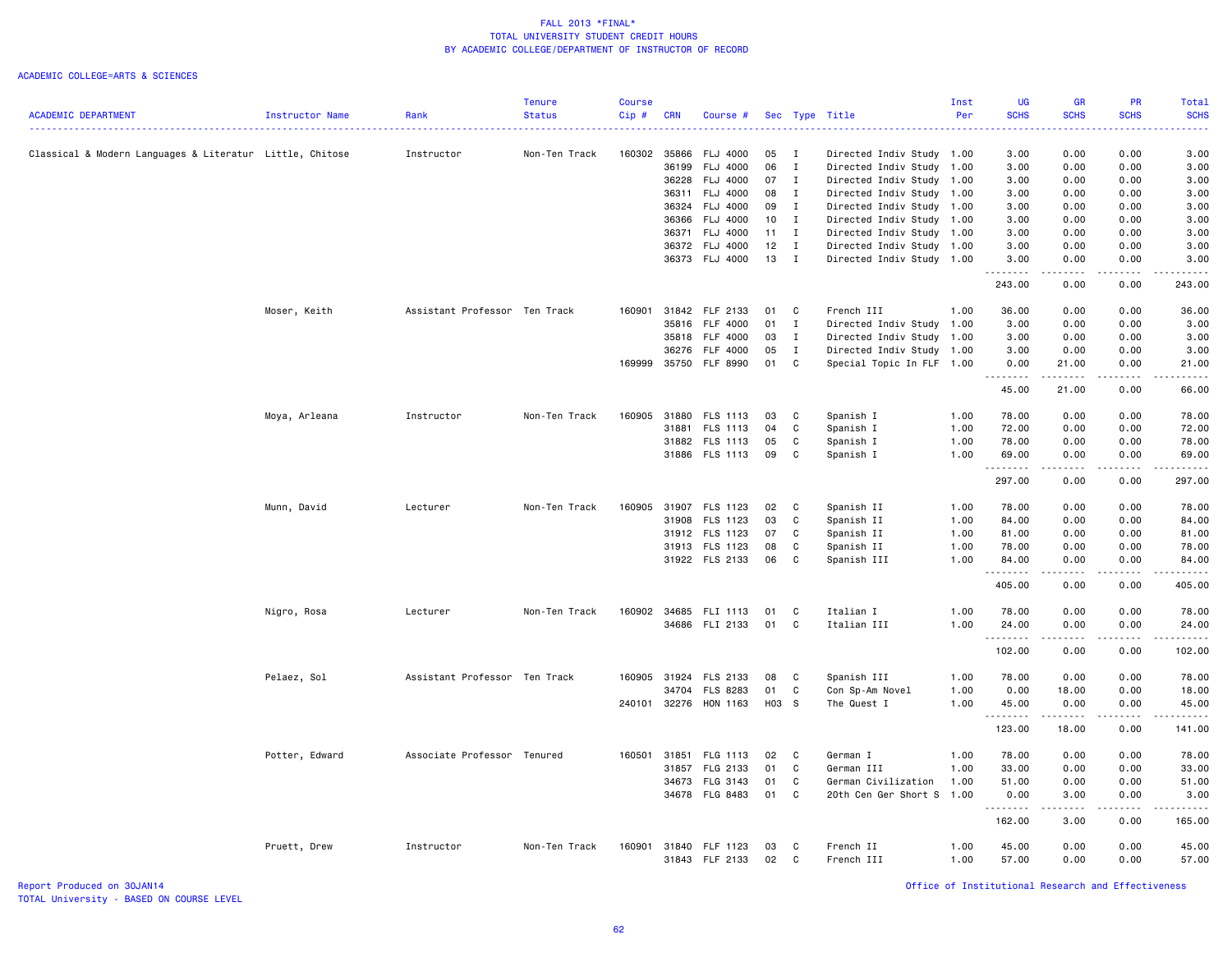### ACADEMIC COLLEGE=ARTS & SCIENCES

|                                                          |                        |                               | <b>Tenure</b> | <b>Course</b> |                |                             |          |                   |                                                   | Inst | <b>UG</b>    | <b>GR</b>           | PR                                                                                                                                                           | Total                |
|----------------------------------------------------------|------------------------|-------------------------------|---------------|---------------|----------------|-----------------------------|----------|-------------------|---------------------------------------------------|------|--------------|---------------------|--------------------------------------------------------------------------------------------------------------------------------------------------------------|----------------------|
| <b>ACADEMIC DEPARTMENT</b>                               | <b>Instructor Name</b> | Rank                          | <b>Status</b> | Cip#          | <b>CRN</b>     | Course #                    |          |                   | Sec Type Title                                    | Per  | <b>SCHS</b>  | <b>SCHS</b>         | <b>SCHS</b>                                                                                                                                                  | <b>SCHS</b><br>.     |
|                                                          |                        |                               |               |               |                |                             |          |                   |                                                   |      |              |                     |                                                                                                                                                              |                      |
| Classical & Modern Languages & Literatur Little, Chitose |                        | Instructor                    | Non-Ten Track | 160302        | 35866          | <b>FLJ 4000</b>             | 05       | $\mathbf{I}$      | Directed Indiv Study 1.00                         |      | 3.00         | 0.00                | 0.00                                                                                                                                                         | 3.00                 |
|                                                          |                        |                               |               |               | 36199          | FLJ 4000                    | 06<br>07 | $\mathbf{I}$      | Directed Indiv Study                              | 1.00 | 3.00         | 0.00                | 0.00                                                                                                                                                         | 3.00                 |
|                                                          |                        |                               |               |               | 36228<br>36311 | <b>FLJ 4000</b><br>FLJ 4000 | 08       | $\mathbf{I}$<br>I | Directed Indiv Study 1.00<br>Directed Indiv Study | 1.00 | 3.00<br>3.00 | 0.00<br>0.00        | 0.00<br>0.00                                                                                                                                                 | 3.00<br>3.00         |
|                                                          |                        |                               |               |               | 36324          | FLJ 4000                    | 09       | $\mathbf{I}$      | Directed Indiv Study 1.00                         |      | 3.00         | 0.00                | 0.00                                                                                                                                                         | 3.00                 |
|                                                          |                        |                               |               |               | 36366          | FLJ 4000                    | $10$ I   |                   | Directed Indiv Study                              | 1.00 | 3.00         | 0.00                | 0.00                                                                                                                                                         | 3.00                 |
|                                                          |                        |                               |               |               | 36371          | FLJ 4000                    | 11       | $\mathbf{I}$      | Directed Indiv Study 1.00                         |      | 3.00         | 0.00                | 0.00                                                                                                                                                         | 3.00                 |
|                                                          |                        |                               |               |               |                | 36372 FLJ 4000              | 12       | $\mathbf{I}$      | Directed Indiv Study 1.00                         |      | 3.00         | 0.00                | 0.00                                                                                                                                                         | 3.00                 |
|                                                          |                        |                               |               |               |                | 36373 FLJ 4000              | 13       | $\mathbf{I}$      | Directed Indiv Study 1.00                         |      | 3.00         | 0.00                | 0.00                                                                                                                                                         | 3.00                 |
|                                                          |                        |                               |               |               |                |                             |          |                   |                                                   |      | .<br>243.00  | .<br>0.00           | .<br>0.00                                                                                                                                                    | . <b>.</b><br>243.00 |
|                                                          | Moser, Keith           | Assistant Professor Ten Track |               | 160901        | 31842          | FLF 2133                    | 01       | C                 | French III                                        | 1.00 | 36.00        | 0.00                | 0.00                                                                                                                                                         | 36.00                |
|                                                          |                        |                               |               |               | 35816          | FLF 4000                    | 01       | $\mathbf{I}$      | Directed Indiv Study 1.00                         |      | 3.00         | 0.00                | 0.00                                                                                                                                                         | 3.00                 |
|                                                          |                        |                               |               |               | 35818          | <b>FLF 4000</b>             | 03       | $\mathbf{I}$      | Directed Indiv Study 1.00                         |      | 3.00         | 0.00                | 0.00                                                                                                                                                         | 3.00                 |
|                                                          |                        |                               |               |               | 36276          | FLF 4000                    | 05       | $\;$ I            | Directed Indiv Study 1.00                         |      | 3.00         | 0.00                | 0.00                                                                                                                                                         | 3.00                 |
|                                                          |                        |                               |               | 169999        | 35750          | <b>FLF 8990</b>             | 01       | C                 | Special Topic In FLF 1.00                         |      | 0.00         | 21.00               | 0.00                                                                                                                                                         | 21.00                |
|                                                          |                        |                               |               |               |                |                             |          |                   |                                                   |      | .<br>45.00   | .<br>21.00          | .<br>0.00                                                                                                                                                    | .<br>66.00           |
|                                                          | Moya, Arleana          | Instructor                    | Non-Ten Track | 160905        | 31880          | FLS 1113                    | 03       | C                 | Spanish I                                         | 1.00 | 78.00        | 0.00                | 0.00                                                                                                                                                         | 78.00                |
|                                                          |                        |                               |               |               | 31881          | FLS 1113                    | 04       | C                 | Spanish I                                         | 1.00 | 72.00        | 0.00                | 0.00                                                                                                                                                         | 72.00                |
|                                                          |                        |                               |               |               |                | 31882 FLS 1113              | 05       | C                 | Spanish I                                         | 1.00 | 78.00        | 0.00                | 0.00                                                                                                                                                         | 78.00                |
|                                                          |                        |                               |               |               |                | 31886 FLS 1113              | 09       | C                 | Spanish I                                         | 1.00 | 69.00        | 0.00                | 0.00                                                                                                                                                         | 69.00                |
|                                                          |                        |                               |               |               |                |                             |          |                   |                                                   |      | .            | .                   | .                                                                                                                                                            | .                    |
|                                                          |                        |                               |               |               |                |                             |          |                   |                                                   |      | 297.00       | 0.00                | 0.00                                                                                                                                                         | 297.00               |
|                                                          | Munn, David            | Lecturer                      | Non-Ten Track | 160905        |                | 31907 FLS 1123              | 02       | C                 | Spanish II                                        | 1.00 | 78.00        | 0.00                | 0.00                                                                                                                                                         | 78.00                |
|                                                          |                        |                               |               |               | 31908          | FLS 1123                    | 03       | C                 | Spanish II                                        | 1.00 | 84.00        | 0.00                | 0.00                                                                                                                                                         | 84.00                |
|                                                          |                        |                               |               |               |                | 31912 FLS 1123              | 07       | C                 | Spanish II                                        | 1.00 | 81.00        | 0.00                | 0.00                                                                                                                                                         | 81.00                |
|                                                          |                        |                               |               |               |                | 31913 FLS 1123              | 08       | C                 | Spanish II                                        | 1.00 | 78.00        | 0.00                | 0.00                                                                                                                                                         | 78.00                |
|                                                          |                        |                               |               |               |                | 31922 FLS 2133              | 06       | C                 | Spanish III                                       | 1.00 | 84.00<br>.   | 0.00<br>الداعات بال | 0.00<br>.                                                                                                                                                    | 84.00<br>.           |
|                                                          |                        |                               |               |               |                |                             |          |                   |                                                   |      | 405.00       | 0.00                | 0.00                                                                                                                                                         | 405.00               |
|                                                          | Nigro, Rosa            | Lecturer                      | Non-Ten Track | 160902        |                | 34685 FLI 1113              | 01       | C                 | Italian I                                         | 1.00 | 78.00        | 0.00                | 0.00                                                                                                                                                         | 78.00                |
|                                                          |                        |                               |               |               |                | 34686 FLI 2133              | 01       | C                 | Italian III                                       | 1.00 | 24.00        | 0.00                | 0.00                                                                                                                                                         | 24.00                |
|                                                          |                        |                               |               |               |                |                             |          |                   |                                                   |      | .<br>102.00  | .<br>0.00           | $\frac{1}{2} \left( \frac{1}{2} \right) \left( \frac{1}{2} \right) \left( \frac{1}{2} \right) \left( \frac{1}{2} \right) \left( \frac{1}{2} \right)$<br>0.00 | 102.00               |
|                                                          | Pelaez, Sol            | Assistant Professor Ten Track |               | 160905        | 31924          | FLS 2133                    | 08       | <b>C</b>          | Spanish III                                       | 1.00 | 78.00        | 0.00                | 0.00                                                                                                                                                         | 78.00                |
|                                                          |                        |                               |               |               | 34704          | FLS 8283                    | 01       | $\mathtt{C}$      | Con Sp-Am Novel                                   | 1.00 | 0.00         | 18.00               | 0.00                                                                                                                                                         | 18.00                |
|                                                          |                        |                               |               |               |                | 240101 32276 HON 1163       | H03 S    |                   | The Quest I                                       | 1.00 | 45.00        | 0.00                | 0.00                                                                                                                                                         | 45.00                |
|                                                          |                        |                               |               |               |                |                             |          |                   |                                                   |      | .<br>123.00  | . <b>.</b><br>18.00 | $\frac{1}{2} \left( \frac{1}{2} \right) \left( \frac{1}{2} \right) \left( \frac{1}{2} \right) \left( \frac{1}{2} \right) \left( \frac{1}{2} \right)$<br>0.00 | <u>.</u><br>141.00   |
|                                                          | Potter, Edward         | Associate Professor Tenured   |               | 160501        | 31851          | FLG 1113                    | 02       | $\mathbf{C}$      | German I                                          | 1.00 | 78.00        | 0.00                | 0.00                                                                                                                                                         | 78.00                |
|                                                          |                        |                               |               |               | 31857          | FLG 2133                    | 01       | C                 | German III                                        | 1.00 | 33.00        | 0.00                | 0.00                                                                                                                                                         | 33.00                |
|                                                          |                        |                               |               |               | 34673          | FLG 3143                    | 01       | C                 | German Civilization                               | 1.00 | 51.00        | 0.00                | 0.00                                                                                                                                                         | 51.00                |
|                                                          |                        |                               |               |               |                | 34678 FLG 8483              | 01       | C                 | 20th Cen Ger Short S                              | 1.00 | 0.00         | 3.00                | 0.00                                                                                                                                                         | 3.00                 |
|                                                          |                        |                               |               |               |                |                             |          |                   |                                                   |      | 162.00       | 3.00                | 0.00                                                                                                                                                         | 165.00               |
|                                                          | Pruett, Drew           | Instructor                    | Non-Ten Track | 160901        |                | 31840 FLF 1123              | 03       | C                 | French II                                         | 1.00 | 45.00        | 0.00                | 0.00                                                                                                                                                         | 45.00                |
|                                                          |                        |                               |               |               |                | 31843 FLF 2133              | 02       | C                 | French III                                        | 1.00 | 57.00        | 0.00                | 0.00                                                                                                                                                         | 57.00                |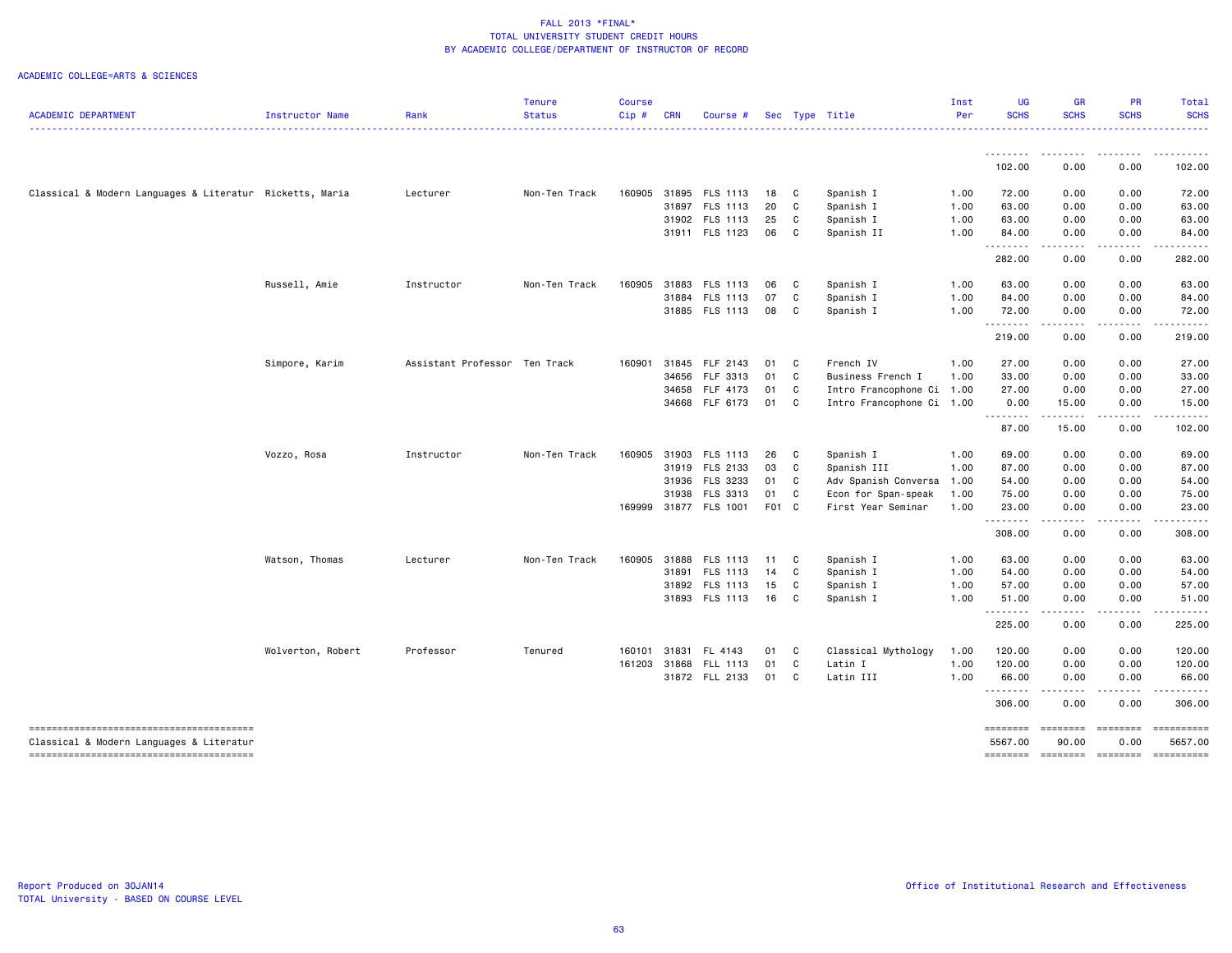| <b>ACADEMIC DEPARTMENT</b>                               | Instructor Name   | Rank                          | <b>Tenure</b><br><b>Status</b> | <b>Course</b><br>Cip# | CRN | Course #              |       |              | Sec Type Title            | Inst<br>Per | <b>UG</b><br><b>SCHS</b> | <b>GR</b><br><b>SCHS</b>                                                                                                          | PR<br><b>SCHS</b>                                                                                                                                            | <b>Total</b><br><b>SCHS</b>                                                                                                                                                                                                                                                                                                                 |
|----------------------------------------------------------|-------------------|-------------------------------|--------------------------------|-----------------------|-----|-----------------------|-------|--------------|---------------------------|-------------|--------------------------|-----------------------------------------------------------------------------------------------------------------------------------|--------------------------------------------------------------------------------------------------------------------------------------------------------------|---------------------------------------------------------------------------------------------------------------------------------------------------------------------------------------------------------------------------------------------------------------------------------------------------------------------------------------------|
|                                                          |                   |                               |                                |                       |     |                       |       |              |                           |             |                          |                                                                                                                                   |                                                                                                                                                              |                                                                                                                                                                                                                                                                                                                                             |
|                                                          |                   |                               |                                |                       |     |                       |       |              |                           |             | <u>.</u><br>102.00       | .<br>0.00                                                                                                                         | $\cdots$<br>0.00                                                                                                                                             | .<br>102.00                                                                                                                                                                                                                                                                                                                                 |
| Classical & Modern Languages & Literatur Ricketts, Maria |                   | Lecturer                      | Non-Ten Track                  | 160905                |     | 31895 FLS 1113        | 18 C  |              | Spanish I                 | 1.00        | 72.00                    | 0.00                                                                                                                              | 0.00                                                                                                                                                         | 72.00                                                                                                                                                                                                                                                                                                                                       |
|                                                          |                   |                               |                                |                       |     | 31897 FLS 1113        | 20    | $\mathbf{C}$ | Spanish I                 | 1.00        | 63.00                    | 0.00                                                                                                                              | 0.00                                                                                                                                                         | 63.00                                                                                                                                                                                                                                                                                                                                       |
|                                                          |                   |                               |                                |                       |     | 31902 FLS 1113        | 25    | C            | Spanish I                 | 1.00        | 63.00                    | 0.00                                                                                                                              | 0.00                                                                                                                                                         | 63.00                                                                                                                                                                                                                                                                                                                                       |
|                                                          |                   |                               |                                |                       |     | 31911 FLS 1123        | 06    | C            | Spanish II                | 1.00        | 84.00<br>.               | 0.00<br>.                                                                                                                         | 0.00                                                                                                                                                         | 84.00                                                                                                                                                                                                                                                                                                                                       |
|                                                          |                   |                               |                                |                       |     |                       |       |              |                           |             | 282.00                   | 0.00                                                                                                                              | 0.00                                                                                                                                                         | 282.00                                                                                                                                                                                                                                                                                                                                      |
|                                                          | Russell, Amie     | Instructor                    | Non-Ten Track                  | 160905                |     | 31883 FLS 1113        | 06    | $\mathbf{C}$ | Spanish I                 | 1.00        | 63.00                    | 0.00                                                                                                                              | 0.00                                                                                                                                                         | 63.00                                                                                                                                                                                                                                                                                                                                       |
|                                                          |                   |                               |                                |                       |     | 31884 FLS 1113        | 07    | $\mathbf{C}$ | Spanish I                 | 1.00        | 84.00                    | 0.00                                                                                                                              | 0.00                                                                                                                                                         | 84.00                                                                                                                                                                                                                                                                                                                                       |
|                                                          |                   |                               |                                |                       |     | 31885 FLS 1113        | 08 C  |              | Spanish I                 | 1.00        | 72.00<br>.               | 0.00<br>.                                                                                                                         | 0.00<br>$\frac{1}{2} \left( \frac{1}{2} \right) \left( \frac{1}{2} \right) \left( \frac{1}{2} \right) \left( \frac{1}{2} \right) \left( \frac{1}{2} \right)$ | 72.00<br>$\frac{1}{2} \left( \begin{array}{ccc} 1 & 0 & 0 & 0 & 0 \\ 0 & 0 & 0 & 0 & 0 \\ 0 & 0 & 0 & 0 & 0 \\ 0 & 0 & 0 & 0 & 0 \\ 0 & 0 & 0 & 0 & 0 \\ 0 & 0 & 0 & 0 & 0 \\ 0 & 0 & 0 & 0 & 0 \\ 0 & 0 & 0 & 0 & 0 \\ 0 & 0 & 0 & 0 & 0 \\ 0 & 0 & 0 & 0 & 0 \\ 0 & 0 & 0 & 0 & 0 \\ 0 & 0 & 0 & 0 & 0 \\ 0 & 0 & 0 & 0 & 0 \\ 0 & 0 & 0$ |
|                                                          |                   |                               |                                |                       |     |                       |       |              |                           |             | 219.00                   | 0.00                                                                                                                              | 0.00                                                                                                                                                         | 219.00                                                                                                                                                                                                                                                                                                                                      |
|                                                          | Simpore, Karim    | Assistant Professor Ten Track |                                | 160901                |     | 31845 FLF 2143        | 01 C  |              | French IV                 | 1.00        | 27.00                    | 0.00                                                                                                                              | 0.00                                                                                                                                                         | 27.00                                                                                                                                                                                                                                                                                                                                       |
|                                                          |                   |                               |                                |                       |     | 34656 FLF 3313        | 01    | $\mathbf{C}$ | Business French I         | 1.00        | 33.00                    | 0.00                                                                                                                              | 0.00                                                                                                                                                         | 33.00                                                                                                                                                                                                                                                                                                                                       |
|                                                          |                   |                               |                                |                       |     | 34658 FLF 4173        | 01    | C            | Intro Francophone Ci 1.00 |             | 27.00                    | 0.00                                                                                                                              | 0.00                                                                                                                                                         | 27.00                                                                                                                                                                                                                                                                                                                                       |
|                                                          |                   |                               |                                |                       |     | 34668 FLF 6173        | 01 C  |              | Intro Francophone Ci 1.00 |             | 0.00<br>.                | 15.00<br>.                                                                                                                        | 0.00                                                                                                                                                         | 15.00                                                                                                                                                                                                                                                                                                                                       |
|                                                          |                   |                               |                                |                       |     |                       |       |              |                           |             | 87.00                    | 15.00                                                                                                                             | 0.00                                                                                                                                                         | 102.00                                                                                                                                                                                                                                                                                                                                      |
|                                                          | Vozzo, Rosa       | Instructor                    | Non-Ten Track                  | 160905                |     | 31903 FLS 1113        | 26    | $\mathbf{C}$ | Spanish I                 | 1.00        | 69.00                    | 0.00                                                                                                                              | 0.00                                                                                                                                                         | 69.00                                                                                                                                                                                                                                                                                                                                       |
|                                                          |                   |                               |                                |                       |     | 31919 FLS 2133        | 03    | $\mathbf{C}$ | Spanish III               | 1.00        | 87.00                    | 0.00                                                                                                                              | 0.00                                                                                                                                                         | 87.00                                                                                                                                                                                                                                                                                                                                       |
|                                                          |                   |                               |                                |                       |     | 31936 FLS 3233        | 01 C  |              | Adv Spanish Conversa      | 1.00        | 54.00                    | 0.00                                                                                                                              | 0.00                                                                                                                                                         | 54.00                                                                                                                                                                                                                                                                                                                                       |
|                                                          |                   |                               |                                |                       |     | 31938 FLS 3313        | 01 C  |              | Econ for Span-speak       | 1.00        | 75.00                    | 0.00                                                                                                                              | 0.00                                                                                                                                                         | 75.00                                                                                                                                                                                                                                                                                                                                       |
|                                                          |                   |                               |                                |                       |     | 169999 31877 FLS 1001 | F01 C |              | First Year Seminar        | 1.00        | 23.00<br>.               | 0.00<br>.                                                                                                                         | 0.00<br>$\frac{1}{2} \left( \frac{1}{2} \right) \left( \frac{1}{2} \right) \left( \frac{1}{2} \right) \left( \frac{1}{2} \right) \left( \frac{1}{2} \right)$ | 23.00<br>.                                                                                                                                                                                                                                                                                                                                  |
|                                                          |                   |                               |                                |                       |     |                       |       |              |                           |             | 308.00                   | 0.00                                                                                                                              | 0.00                                                                                                                                                         | 308.00                                                                                                                                                                                                                                                                                                                                      |
|                                                          | Watson, Thomas    | Lecturer                      | Non-Ten Track                  | 160905                |     | 31888 FLS 1113        | 11 C  |              | Spanish I                 | 1.00        | 63.00                    | 0.00                                                                                                                              | 0.00                                                                                                                                                         | 63.00                                                                                                                                                                                                                                                                                                                                       |
|                                                          |                   |                               |                                |                       |     | 31891 FLS 1113        | 14    | C            | Spanish I                 | 1.00        | 54.00                    | 0.00                                                                                                                              | 0.00                                                                                                                                                         | 54.00                                                                                                                                                                                                                                                                                                                                       |
|                                                          |                   |                               |                                |                       |     | 31892 FLS 1113        | 15    | C            | Spanish I                 | 1.00        | 57.00                    | 0.00                                                                                                                              | 0.00                                                                                                                                                         | 57.00                                                                                                                                                                                                                                                                                                                                       |
|                                                          |                   |                               |                                |                       |     | 31893 FLS 1113        | 16    | $\mathbf{C}$ | Spanish I                 | 1.00        | 51.00<br><u>.</u>        | 0.00<br>$\frac{1}{2} \left( \frac{1}{2} \right) \left( \frac{1}{2} \right) \left( \frac{1}{2} \right) \left( \frac{1}{2} \right)$ | 0.00                                                                                                                                                         | 51.00                                                                                                                                                                                                                                                                                                                                       |
|                                                          |                   |                               |                                |                       |     |                       |       |              |                           |             | 225.00                   | 0.00                                                                                                                              | 0.00                                                                                                                                                         | 225.00                                                                                                                                                                                                                                                                                                                                      |
|                                                          | Wolverton, Robert | Professor                     | Tenured                        | 160101                |     | 31831 FL 4143         | 01 C  |              | Classical Mythology       | 1.00        | 120.00                   | 0.00                                                                                                                              | 0.00                                                                                                                                                         | 120.00                                                                                                                                                                                                                                                                                                                                      |
|                                                          |                   |                               |                                | 161203                |     | 31868 FLL 1113        | 01    | $\mathbf{C}$ | Latin I                   | 1.00        | 120.00                   | 0.00                                                                                                                              | 0.00                                                                                                                                                         | 120.00                                                                                                                                                                                                                                                                                                                                      |
|                                                          |                   |                               |                                |                       |     | 31872 FLL 2133        | 01    | $\mathbf{C}$ | Latin III                 | 1.00        | 66.00<br><u>.</u>        | 0.00<br>$- - - -$                                                                                                                 | 0.00                                                                                                                                                         | 66.00                                                                                                                                                                                                                                                                                                                                       |
|                                                          |                   |                               |                                |                       |     |                       |       |              |                           |             | 306.00                   | 0.00                                                                                                                              | 0.00                                                                                                                                                         | 306.00                                                                                                                                                                                                                                                                                                                                      |
| Classical & Modern Languages & Literatur                 |                   |                               |                                |                       |     |                       |       |              |                           |             | ========<br>5567.00      | <b>BEBBEER</b><br>90.00                                                                                                           | $=$ $=$ $=$ $=$ $=$ $=$ $=$<br>0.00                                                                                                                          | ==========<br>5657.00                                                                                                                                                                                                                                                                                                                       |
|                                                          |                   |                               |                                |                       |     |                       |       |              |                           |             | ========                 |                                                                                                                                   | $=$ ========                                                                                                                                                 | ==========                                                                                                                                                                                                                                                                                                                                  |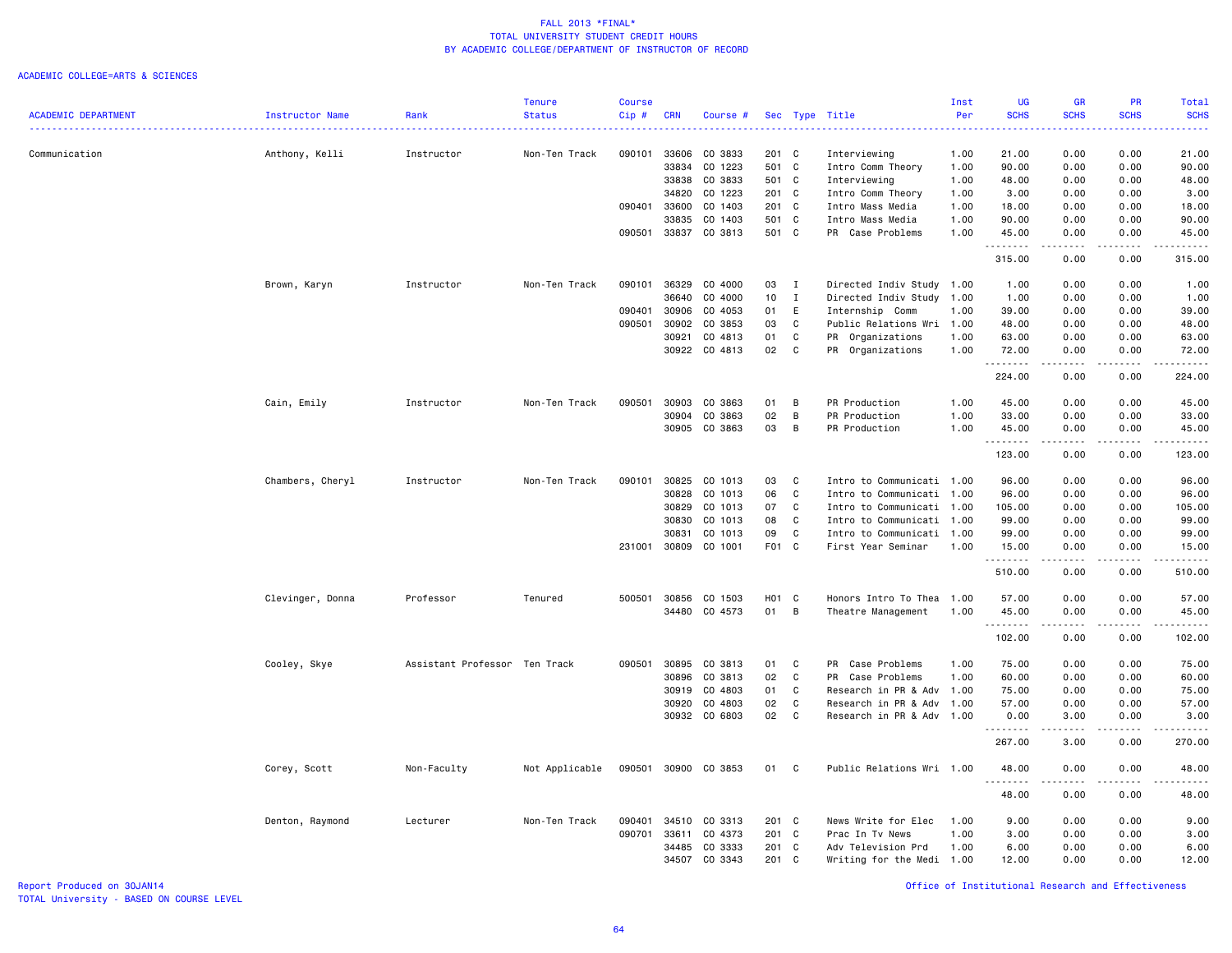#### ACADEMIC COLLEGE=ARTS & SCIENCES

|                            |                  |                               | <b>Tenure</b>  | Course |            |               |               |              |                           | Inst | <b>UG</b>                                                                                                                          | GR              | <b>PR</b>                                                                                                                         | <b>Total</b>                             |
|----------------------------|------------------|-------------------------------|----------------|--------|------------|---------------|---------------|--------------|---------------------------|------|------------------------------------------------------------------------------------------------------------------------------------|-----------------|-----------------------------------------------------------------------------------------------------------------------------------|------------------------------------------|
| <b>ACADEMIC DEPARTMENT</b> | Instructor Name  | Rank                          | <b>Status</b>  | Cip#   | <b>CRN</b> | Course #      |               |              | Sec Type Title            | Per  | <b>SCHS</b>                                                                                                                        | <b>SCHS</b>     | <b>SCHS</b>                                                                                                                       | <b>SCHS</b><br>$\omega$ is $\omega$ in . |
| Communication              | Anthony, Kelli   | Instructor                    | Non-Ten Track  | 090101 | 33606      | CO 3833       | 201 C         |              | Interviewing              | 1.00 | 21.00                                                                                                                              | 0.00            | 0.00                                                                                                                              | 21.00                                    |
|                            |                  |                               |                |        | 33834      | CO 1223       | 501 C         |              | Intro Comm Theory         | 1.00 | 90.00                                                                                                                              | 0.00            | 0.00                                                                                                                              | 90.00                                    |
|                            |                  |                               |                |        | 33838      | CO 3833       | 501 C         |              | Interviewing              | 1.00 | 48.00                                                                                                                              | 0.00            | 0.00                                                                                                                              | 48.00                                    |
|                            |                  |                               |                |        | 34820      | CO 1223       | 201 C         |              | Intro Comm Theory         | 1.00 | 3.00                                                                                                                               | 0.00            | 0.00                                                                                                                              | 3.00                                     |
|                            |                  |                               |                | 090401 | 33600      | CO 1403       | 201 C         |              | Intro Mass Media          | 1.00 | 18.00                                                                                                                              | 0.00            | 0.00                                                                                                                              | 18.00                                    |
|                            |                  |                               |                |        | 33835      | CO 1403       | 501 C         |              | Intro Mass Media          | 1.00 | 90.00                                                                                                                              | 0.00            | 0.00                                                                                                                              | 90.00                                    |
|                            |                  |                               |                | 090501 | 33837      | CO 3813       | 501 C         |              | PR Case Problems          | 1.00 | 45.00                                                                                                                              | 0.00            | 0.00                                                                                                                              | 45.00                                    |
|                            |                  |                               |                |        |            |               |               |              |                           |      | . <b>.</b><br>315.00                                                                                                               | .<br>0.00       | $\frac{1}{2}$<br>0.00                                                                                                             | .<br>315.00                              |
|                            |                  |                               |                |        | 36329      |               |               |              |                           |      |                                                                                                                                    | 0.00            |                                                                                                                                   |                                          |
|                            | Brown, Karyn     | Instructor                    | Non-Ten Track  | 090101 | 36640      | CO 4000       | 03            | $\mathbf{I}$ | Directed Indiv Study 1.00 |      | 1.00                                                                                                                               |                 | 0.00                                                                                                                              | 1.00                                     |
|                            |                  |                               |                |        |            | CO 4000       | 10            | $\mathbf{I}$ | Directed Indiv Study 1.00 |      | 1.00                                                                                                                               | 0.00            | 0.00                                                                                                                              | 1.00                                     |
|                            |                  |                               |                | 090401 | 30906      | CO 4053       | 01            | Ε            | Internship Comm           | 1.00 | 39.00                                                                                                                              | 0.00            | 0.00                                                                                                                              | 39.00                                    |
|                            |                  |                               |                | 090501 | 30902      | CO 3853       | 03            | C            | Public Relations Wri      | 1.00 | 48.00                                                                                                                              | 0.00            | 0.00                                                                                                                              | 48.00                                    |
|                            |                  |                               |                |        | 30921      | CO 4813       | 01            | C            | PR Organizations          | 1.00 | 63.00                                                                                                                              | 0.00            | 0.00                                                                                                                              | 63.00                                    |
|                            |                  |                               |                |        | 30922      | CO 4813       | 02            | C            | PR Organizations          | 1.00 | 72.00<br>.                                                                                                                         | 0.00<br>د د د د | 0.00<br>د د د د                                                                                                                   | 72.00<br>.                               |
|                            |                  |                               |                |        |            |               |               |              |                           |      | 224.00                                                                                                                             | 0.00            | 0.00                                                                                                                              | 224.00                                   |
|                            | Cain, Emily      | Instructor                    | Non-Ten Track  | 090501 | 30903      | CO 3863       | 01            | B            | PR Production             | 1.00 | 45.00                                                                                                                              | 0.00            | 0.00                                                                                                                              | 45.00                                    |
|                            |                  |                               |                |        | 30904      | CO 3863       | 02            | B            | PR Production             | 1.00 | 33.00                                                                                                                              | 0.00            | 0.00                                                                                                                              | 33.00                                    |
|                            |                  |                               |                |        | 30905      | CO 3863       | 03            | B            | PR Production             | 1.00 | 45.00                                                                                                                              | 0.00            | 0.00                                                                                                                              | 45.00                                    |
|                            |                  |                               |                |        |            |               |               |              |                           |      | .<br>123.00                                                                                                                        | .<br>0.00       | $\frac{1}{2} \left( \frac{1}{2} \right) \left( \frac{1}{2} \right) \left( \frac{1}{2} \right) \left( \frac{1}{2} \right)$<br>0.00 | .<br>123.00                              |
|                            | Chambers, Cheryl | Instructor                    | Non-Ten Track  | 090101 | 30825      | CO 1013       | 03            | C            | Intro to Communicati 1.00 |      | 96.00                                                                                                                              | 0.00            | 0.00                                                                                                                              | 96.00                                    |
|                            |                  |                               |                |        | 30828      | CO 1013       | 06            | $\mathtt{C}$ | Intro to Communicati 1.00 |      | 96.00                                                                                                                              | 0.00            | 0.00                                                                                                                              | 96.00                                    |
|                            |                  |                               |                |        | 30829      | CO 1013       | 07            | C            | Intro to Communicati 1.00 |      | 105.00                                                                                                                             | 0.00            | 0.00                                                                                                                              | 105.00                                   |
|                            |                  |                               |                |        | 30830      | CO 1013       | 08            | C            | Intro to Communicati 1.00 |      | 99.00                                                                                                                              | 0.00            | 0.00                                                                                                                              | 99.00                                    |
|                            |                  |                               |                |        | 30831      | CO 1013       | 09            | C            | Intro to Communicati 1.00 |      | 99.00                                                                                                                              | 0.00            | 0.00                                                                                                                              | 99.00                                    |
|                            |                  |                               |                | 231001 | 30809      | CO 1001       | F01           | $\mathbf{C}$ | First Year Seminar        | 1.00 | 15.00                                                                                                                              | 0.00            | 0.00                                                                                                                              | 15.00                                    |
|                            |                  |                               |                |        |            |               |               |              |                           |      | .<br>510.00                                                                                                                        | .<br>0.00       | .<br>0.00                                                                                                                         | .<br>510.00                              |
|                            |                  |                               |                |        |            |               |               |              |                           |      |                                                                                                                                    |                 |                                                                                                                                   |                                          |
|                            | Clevinger, Donna | Professor                     | Tenured        | 500501 | 30856      | CO 1503       | H01 C         |              | Honors Intro To Thea      | 1.00 | 57.00                                                                                                                              | 0.00            | 0.00                                                                                                                              | 57.00                                    |
|                            |                  |                               |                |        | 34480      | CO 4573       | 01            | В            | Theatre Management        | 1.00 | 45.00<br>1.1.1.1.1.1.1                                                                                                             | 0.00            | 0.00                                                                                                                              | 45.00<br>.                               |
|                            |                  |                               |                |        |            |               |               |              |                           |      | 102.00                                                                                                                             | 0.00            | 0.00                                                                                                                              | 102.00                                   |
|                            | Cooley, Skye     | Assistant Professor Ten Track |                | 090501 | 30895      | CO 3813       | 01            | C            | PR Case Problems          | 1.00 | 75.00                                                                                                                              | 0.00            | 0.00                                                                                                                              | 75.00                                    |
|                            |                  |                               |                |        | 30896      | CO 3813       | 02            | C            | PR Case Problems          | 1.00 | 60.00                                                                                                                              | 0.00            | 0.00                                                                                                                              | 60.00                                    |
|                            |                  |                               |                |        | 30919      | CO 4803       | 01            | C            | Research in PR & Adv 1.00 |      | 75.00                                                                                                                              | 0.00            | 0.00                                                                                                                              | 75.00                                    |
|                            |                  |                               |                |        | 30920      | CO 4803       | 02            | C            | Research in PR & Adv 1.00 |      | 57.00                                                                                                                              | 0.00            | 0.00                                                                                                                              | 57.00                                    |
|                            |                  |                               |                |        | 30932      | CO 6803       | 02            | C            | Research in PR & Adv      | 1.00 | 0.00                                                                                                                               | 3.00            | 0.00                                                                                                                              | 3.00                                     |
|                            |                  |                               |                |        |            |               |               |              |                           |      | 267.00                                                                                                                             | 3.00            | 0.00                                                                                                                              | $\frac{1}{2}$<br>270.00                  |
|                            | Corey, Scott     | Non-Faculty                   | Not Applicable | 090501 |            | 30900 CO 3853 | 01            | C            | Public Relations Wri 1.00 |      | 48.00                                                                                                                              | 0.00            | 0.00                                                                                                                              | 48.00                                    |
|                            |                  |                               |                |        |            |               |               |              |                           |      | $\frac{1}{2} \left( \frac{1}{2} \right) \left( \frac{1}{2} \right) \left( \frac{1}{2} \right) \left( \frac{1}{2} \right)$<br>48.00 | 0.00            | 0.00                                                                                                                              | 48.00                                    |
|                            | Denton, Raymond  | Lecturer                      | Non-Ten Track  | 090401 | 34510      | CO 3313       | 201 C         |              | News Write for Elec       | 1.00 | 9.00                                                                                                                               | 0.00            | 0.00                                                                                                                              | 9.00                                     |
|                            |                  |                               |                | 090701 | 33611      | CO 4373       | 201 C         |              | Prac In Tv News           | 1.00 | 3.00                                                                                                                               | 0.00            | 0.00                                                                                                                              | 3.00                                     |
|                            |                  |                               |                |        | 34485      | CO 3333       | 201 C         |              | Adv Television Prd        | 1.00 | 6.00                                                                                                                               | 0.00            | 0.00                                                                                                                              | 6.00                                     |
|                            |                  |                               |                |        | 34507      | CO 3343       | $201 \quad C$ |              | Writing for the Medi 1.00 |      | 12.00                                                                                                                              | 0.00            | 0.00                                                                                                                              | 12.00                                    |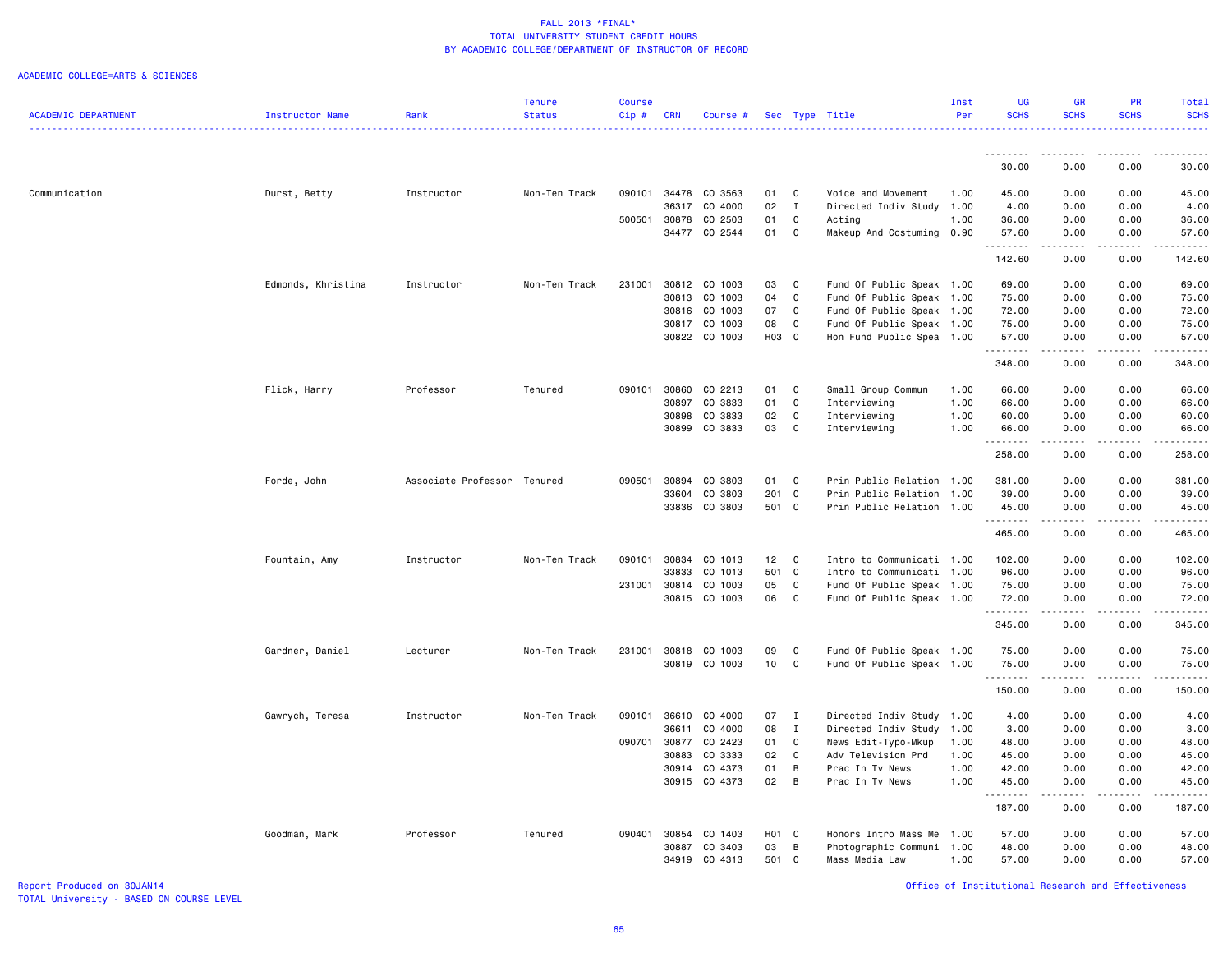#### ACADEMIC COLLEGE=ARTS & SCIENCES

|                            |                    |                             | <b>Tenure</b> | <b>Course</b> |            |                      |       |              |                           | Inst | UG          | <b>GR</b>                                                                                                                                                                                                                                                                                                                                    | PR                                  | Total                                                                                                                                                                                    |
|----------------------------|--------------------|-----------------------------|---------------|---------------|------------|----------------------|-------|--------------|---------------------------|------|-------------|----------------------------------------------------------------------------------------------------------------------------------------------------------------------------------------------------------------------------------------------------------------------------------------------------------------------------------------------|-------------------------------------|------------------------------------------------------------------------------------------------------------------------------------------------------------------------------------------|
| <b>ACADEMIC DEPARTMENT</b> | Instructor Name    | Rank                        | <b>Status</b> | Cip#          | <b>CRN</b> | Course #             |       |              | Sec Type Title            | Per  | <b>SCHS</b> | <b>SCHS</b>                                                                                                                                                                                                                                                                                                                                  | <b>SCHS</b>                         | <b>SCHS</b><br>.                                                                                                                                                                         |
|                            |                    |                             |               |               |            |                      |       |              |                           |      | <u>.</u>    | <u>.</u>                                                                                                                                                                                                                                                                                                                                     | .                                   | <u>.</u>                                                                                                                                                                                 |
|                            |                    |                             |               |               |            |                      |       |              |                           |      | 30.00       | 0.00                                                                                                                                                                                                                                                                                                                                         | 0.00                                | 30.00                                                                                                                                                                                    |
| Communication              | Durst, Betty       | Instructor                  | Non-Ten Track | 090101        |            | 34478 CO 3563        | 01    | C            | Voice and Movement        | 1.00 | 45.00       | 0.00                                                                                                                                                                                                                                                                                                                                         | 0.00                                | 45.00                                                                                                                                                                                    |
|                            |                    |                             |               |               | 36317      | CO 4000              | 02    | $\mathbf{I}$ | Directed Indiv Study      | 1.00 | 4.00        | 0.00                                                                                                                                                                                                                                                                                                                                         | 0.00                                | 4.00                                                                                                                                                                                     |
|                            |                    |                             |               | 500501        | 30878      | CO 2503              | 01    | C            | Acting                    | 1.00 | 36.00       | 0.00                                                                                                                                                                                                                                                                                                                                         | 0.00                                | 36.00                                                                                                                                                                                    |
|                            |                    |                             |               |               |            | 34477 CO 2544        | 01    | C            | Makeup And Costuming 0.90 |      | 57.60<br>.  | 0.00<br>.                                                                                                                                                                                                                                                                                                                                    | 0.00<br>$\sim$ $\sim$ $\sim$ $\sim$ | 57.60<br>------                                                                                                                                                                          |
|                            |                    |                             |               |               |            |                      |       |              |                           |      | 142.60      | 0.00                                                                                                                                                                                                                                                                                                                                         | 0.00                                | 142.60                                                                                                                                                                                   |
|                            | Edmonds, Khristina | Instructor                  | Non-Ten Track | 231001        |            | 30812 CO 1003        | 03    | C            | Fund Of Public Speak 1.00 |      | 69.00       | 0.00                                                                                                                                                                                                                                                                                                                                         | 0.00                                | 69.00                                                                                                                                                                                    |
|                            |                    |                             |               |               |            | 30813 CO 1003        | 04    | C            | Fund Of Public Speak 1.00 |      | 75.00       | 0.00                                                                                                                                                                                                                                                                                                                                         | 0.00                                | 75.00                                                                                                                                                                                    |
|                            |                    |                             |               |               |            | 30816 CO 1003        | 07    | C            | Fund Of Public Speak 1.00 |      | 72.00       | 0.00                                                                                                                                                                                                                                                                                                                                         | 0.00                                | 72.00                                                                                                                                                                                    |
|                            |                    |                             |               |               |            | 30817 CO 1003        | 08    | C            | Fund Of Public Speak 1.00 |      | 75.00       | 0.00                                                                                                                                                                                                                                                                                                                                         | 0.00                                | 75.00                                                                                                                                                                                    |
|                            |                    |                             |               |               |            | 30822 CO 1003        | H03 C |              | Hon Fund Public Spea 1.00 |      | 57.00<br>.  | 0.00<br>$\frac{1}{2} \left( \begin{array}{ccc} 1 & 0 & 0 & 0 \\ 0 & 0 & 0 & 0 \\ 0 & 0 & 0 & 0 \\ 0 & 0 & 0 & 0 \\ 0 & 0 & 0 & 0 \\ 0 & 0 & 0 & 0 \\ 0 & 0 & 0 & 0 \\ 0 & 0 & 0 & 0 \\ 0 & 0 & 0 & 0 \\ 0 & 0 & 0 & 0 \\ 0 & 0 & 0 & 0 & 0 \\ 0 & 0 & 0 & 0 & 0 \\ 0 & 0 & 0 & 0 & 0 \\ 0 & 0 & 0 & 0 & 0 \\ 0 & 0 & 0 & 0 & 0 \\ 0 & 0 & 0$ | 0.00<br>.                           | 57.00<br>$\frac{1}{2} \left( \frac{1}{2} \right) \left( \frac{1}{2} \right) \left( \frac{1}{2} \right) \left( \frac{1}{2} \right) \left( \frac{1}{2} \right) \left( \frac{1}{2} \right)$ |
|                            |                    |                             |               |               |            |                      |       |              |                           |      | 348.00      | 0.00                                                                                                                                                                                                                                                                                                                                         | 0.00                                | 348.00                                                                                                                                                                                   |
|                            | Flick, Harry       | Professor                   | Tenured       | 090101        | 30860      | CO 2213              | 01    | C            | Small Group Commun        | 1.00 | 66.00       | 0.00                                                                                                                                                                                                                                                                                                                                         | 0.00                                | 66.00                                                                                                                                                                                    |
|                            |                    |                             |               |               | 30897      | CO 3833              | 01    | C            | Interviewing              | 1.00 | 66.00       | 0.00                                                                                                                                                                                                                                                                                                                                         | 0.00                                | 66.00                                                                                                                                                                                    |
|                            |                    |                             |               |               | 30898      | CO 3833              | 02    | $\mathbf c$  | Interviewing              | 1.00 | 60.00       | 0.00                                                                                                                                                                                                                                                                                                                                         | 0.00                                | 60.00                                                                                                                                                                                    |
|                            |                    |                             |               |               | 30899      | CO 3833              | 03    | C            | Interviewing              | 1.00 | 66.00<br>.  | 0.00<br>.                                                                                                                                                                                                                                                                                                                                    | 0.00<br>.                           | 66.00<br>.                                                                                                                                                                               |
|                            |                    |                             |               |               |            |                      |       |              |                           |      | 258.00      | 0.00                                                                                                                                                                                                                                                                                                                                         | 0.00                                | 258.00                                                                                                                                                                                   |
|                            | Forde, John        | Associate Professor Tenured |               | 090501        | 30894      | CO 3803              | 01    | C            | Prin Public Relation 1.00 |      | 381.00      | 0.00                                                                                                                                                                                                                                                                                                                                         | 0.00                                | 381.00                                                                                                                                                                                   |
|                            |                    |                             |               |               | 33604      | CO 3803              | 201   | C            | Prin Public Relation      | 1.00 | 39.00       | 0.00                                                                                                                                                                                                                                                                                                                                         | 0.00                                | 39.00                                                                                                                                                                                    |
|                            |                    |                             |               |               | 33836      | CO 3803              | 501 C |              | Prin Public Relation 1.00 |      | 45.00<br>.  | 0.00<br>.                                                                                                                                                                                                                                                                                                                                    | 0.00<br>.                           | 45.00<br>.                                                                                                                                                                               |
|                            |                    |                             |               |               |            |                      |       |              |                           |      | 465.00      | 0.00                                                                                                                                                                                                                                                                                                                                         | 0.00                                | 465.00                                                                                                                                                                                   |
|                            | Fountain, Amy      | Instructor                  | Non-Ten Track | 090101        | 30834      | CO 1013              | 12    | C            | Intro to Communicati 1.00 |      | 102.00      | 0.00                                                                                                                                                                                                                                                                                                                                         | 0.00                                | 102.00                                                                                                                                                                                   |
|                            |                    |                             |               |               | 33833      | CO 1013              | 501 C |              | Intro to Communicati 1.00 |      | 96.00       | 0.00                                                                                                                                                                                                                                                                                                                                         | 0.00                                | 96.00                                                                                                                                                                                    |
|                            |                    |                             |               |               |            | 231001 30814 CO 1003 | 05    | C            | Fund Of Public Speak 1.00 |      | 75.00       | 0.00                                                                                                                                                                                                                                                                                                                                         | 0.00                                | 75.00                                                                                                                                                                                    |
|                            |                    |                             |               |               |            | 30815 CO 1003        | 06    | $\mathbf c$  | Fund Of Public Speak 1.00 |      | 72.00<br>.  | 0.00<br>.                                                                                                                                                                                                                                                                                                                                    | 0.00<br>-----                       | 72.00<br><u>.</u>                                                                                                                                                                        |
|                            |                    |                             |               |               |            |                      |       |              |                           |      | 345.00      | 0.00                                                                                                                                                                                                                                                                                                                                         | 0.00                                | 345.00                                                                                                                                                                                   |
|                            | Gardner, Daniel    | Lecturer                    | Non-Ten Track |               |            | 231001 30818 CO 1003 | 09    | C            | Fund Of Public Speak 1.00 |      | 75.00       | 0.00                                                                                                                                                                                                                                                                                                                                         | 0.00                                | 75.00                                                                                                                                                                                    |
|                            |                    |                             |               |               |            | 30819 CO 1003        | 10    | C            | Fund Of Public Speak 1.00 |      | 75.00       | 0.00                                                                                                                                                                                                                                                                                                                                         | 0.00                                | 75.00                                                                                                                                                                                    |
|                            |                    |                             |               |               |            |                      |       |              |                           |      | .<br>150.00 | .<br>0.00                                                                                                                                                                                                                                                                                                                                    | .<br>0.00                           | <u>.</u><br>150.00                                                                                                                                                                       |
|                            | Gawrych, Teresa    | Instructor                  | Non-Ten Track | 090101        | 36610      | CO 4000              | 07    | $\mathbf{I}$ | Directed Indiv Study 1.00 |      | 4.00        | 0.00                                                                                                                                                                                                                                                                                                                                         | 0.00                                | 4.00                                                                                                                                                                                     |
|                            |                    |                             |               |               | 36611      | CO 4000              | 08    | $\mathbf{I}$ | Directed Indiv Study      | 1.00 | 3.00        | 0.00                                                                                                                                                                                                                                                                                                                                         | 0.00                                | 3.00                                                                                                                                                                                     |
|                            |                    |                             |               | 090701        | 30877      | CO 2423              | 01    | C            | News Edit-Typo-Mkup       | 1.00 | 48.00       | 0.00                                                                                                                                                                                                                                                                                                                                         | 0.00                                | 48.00                                                                                                                                                                                    |
|                            |                    |                             |               |               | 30883      | CO 3333              | 02    | C            | Adv Television Prd        | 1.00 | 45.00       | 0.00                                                                                                                                                                                                                                                                                                                                         | 0.00                                | 45.00                                                                                                                                                                                    |
|                            |                    |                             |               |               | 30914      | CO 4373              | 01    | B            | Prac In Tv News           | 1.00 | 42.00       | 0.00                                                                                                                                                                                                                                                                                                                                         | 0.00                                | 42.00                                                                                                                                                                                    |
|                            |                    |                             |               |               |            | 30915 CO 4373        | 02    | B            | Prac In Tv News           | 1.00 | 45.00<br>.  | 0.00<br>.                                                                                                                                                                                                                                                                                                                                    | 0.00<br>.                           | 45.00<br>.                                                                                                                                                                               |
|                            |                    |                             |               |               |            |                      |       |              |                           |      | 187.00      | 0.00                                                                                                                                                                                                                                                                                                                                         | 0.00                                | 187.00                                                                                                                                                                                   |
|                            | Goodman, Mark      | Professor                   | Tenured       | 090401        | 30854      | CO 1403              | H01 C |              | Honors Intro Mass Me      | 1.00 | 57.00       | 0.00                                                                                                                                                                                                                                                                                                                                         | 0.00                                | 57.00                                                                                                                                                                                    |
|                            |                    |                             |               |               | 30887      | CO 3403              | 03    | B            | Photographic Communi      | 1.00 | 48.00       | 0.00                                                                                                                                                                                                                                                                                                                                         | 0.00                                | 48.00                                                                                                                                                                                    |
|                            |                    |                             |               |               | 34919      | CO 4313              | 501 C |              | Mass Media Law            | 1.00 | 57.00       | 0.00                                                                                                                                                                                                                                                                                                                                         | 0.00                                | 57.00                                                                                                                                                                                    |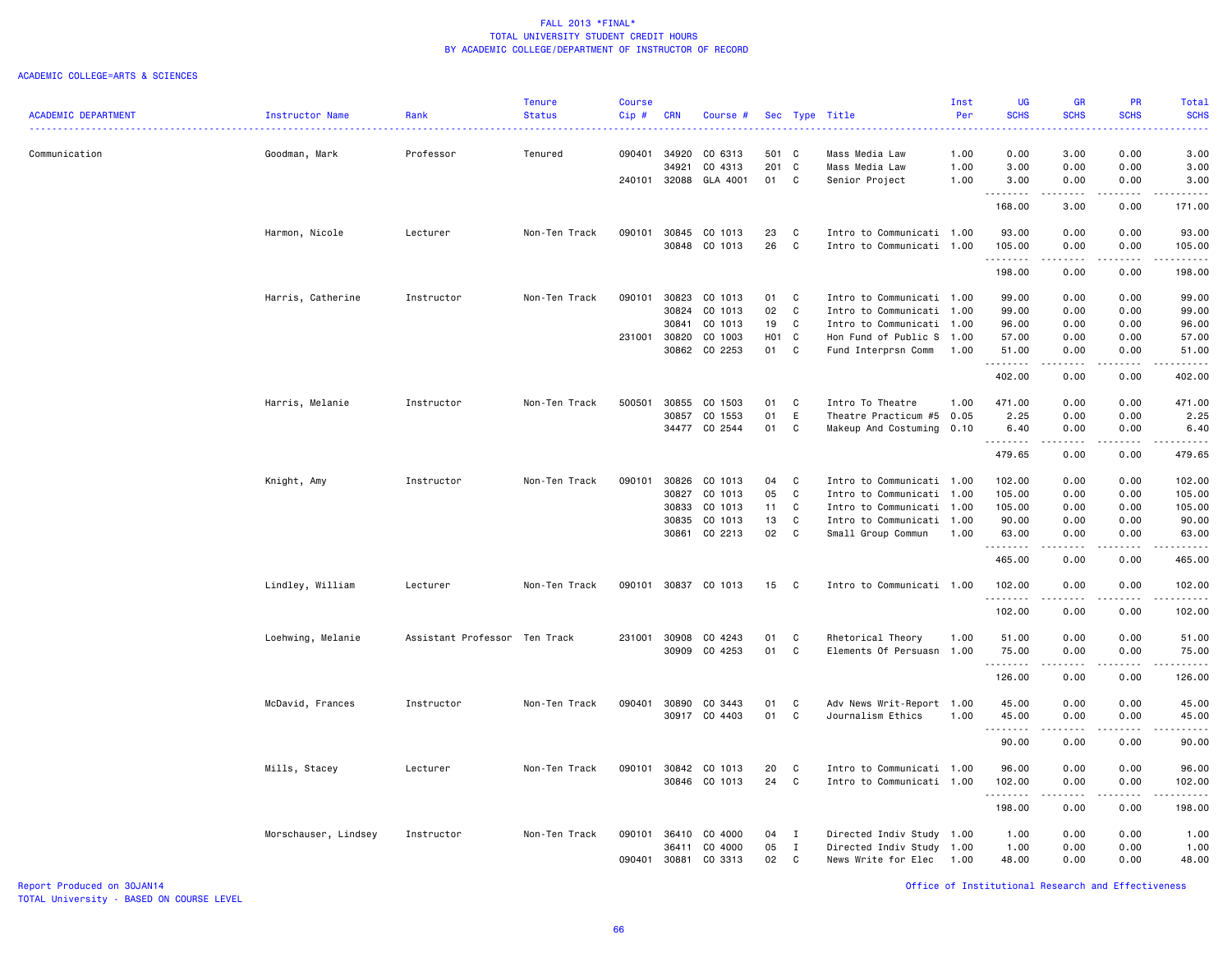#### ACADEMIC COLLEGE=ARTS & SCIENCES

|                            |                        |                               | <b>Tenure</b> | <b>Course</b> |            |               |                  |              |                           | Inst | <b>UG</b>   | <b>GR</b>   | <b>PR</b>       | Total                  |
|----------------------------|------------------------|-------------------------------|---------------|---------------|------------|---------------|------------------|--------------|---------------------------|------|-------------|-------------|-----------------|------------------------|
| <b>ACADEMIC DEPARTMENT</b> | <b>Instructor Name</b> | Rank                          | <b>Status</b> | Cip#          | <b>CRN</b> | Course #      |                  |              | Sec Type Title            | Per  | <b>SCHS</b> | <b>SCHS</b> | <b>SCHS</b>     | <b>SCHS</b>            |
| Communication              | Goodman, Mark          | Professor                     | Tenured       | 090401        | 34920      | CO 6313       | 501 C            |              | Mass Media Law            | 1.00 | 0.00        | 3.00        | 0.00            | 3.00                   |
|                            |                        |                               |               |               | 34921      | CO 4313       | 201              | $\mathbf{C}$ | Mass Media Law            | 1.00 | 3.00        | 0.00        | 0.00            | 3.00                   |
|                            |                        |                               |               | 240101        | 32088      | GLA 4001      | 01               | $\mathbf{C}$ | Senior Project            | 1.00 | 3.00        | 0.00        | 0.00            | 3.00                   |
|                            |                        |                               |               |               |            |               |                  |              |                           |      | .<br>168.00 | .<br>3.00   | 0.00            | .<br>171.00            |
|                            | Harmon, Nicole         | Lecturer                      | Non-Ten Track | 090101        | 30845      | CO 1013       | 23               | C            | Intro to Communicati 1.00 |      | 93.00       | 0.00        | 0.00            | 93.00                  |
|                            |                        |                               |               |               |            | 30848 CO 1013 | 26               | C            | Intro to Communicati 1.00 |      | 105.00      | 0.00        | 0.00            | 105.00                 |
|                            |                        |                               |               |               |            |               |                  |              |                           |      | .<br>198.00 | .<br>0.00   | .<br>0.00       | .<br>198.00            |
|                            | Harris, Catherine      | Instructor                    | Non-Ten Track | 090101        | 30823      | CO 1013       | 01               | $\mathbf{C}$ | Intro to Communicati 1.00 |      | 99.00       | 0.00        | 0.00            | 99.00                  |
|                            |                        |                               |               |               | 30824      | CO 1013       | 02               | $\mathbf C$  | Intro to Communicati      | 1.00 | 99.00       | 0.00        | 0.00            | 99.00                  |
|                            |                        |                               |               |               | 30841      | CO 1013       | 19               | C            | Intro to Communicati 1.00 |      | 96.00       | 0.00        | 0.00            | 96.00                  |
|                            |                        |                               |               | 231001        | 30820      | CO 1003       | H <sub>0</sub> 1 | C            | Hon Fund of Public S      | 1.00 | 57.00       | 0.00        | 0.00            | 57.00                  |
|                            |                        |                               |               |               | 30862      | CO 2253       | 01               | C            | Fund Interprsn Comm       | 1.00 | 51.00       | 0.00        | 0.00            | 51.00                  |
|                            |                        |                               |               |               |            |               |                  |              |                           |      | .<br>402.00 | .<br>0.00   | .<br>0.00       | .<br>402.00            |
|                            | Harris, Melanie        | Instructor                    | Non-Ten Track | 500501        | 30855      | CO 1503       | 01               | C            | Intro To Theatre          | 1.00 | 471.00      | 0.00        | 0.00            | 471.00                 |
|                            |                        |                               |               |               | 30857      | CO 1553       | 01               | E            | Theatre Practicum #5      | 0.05 | 2.25        | 0.00        | 0.00            | 2.25                   |
|                            |                        |                               |               |               |            | 34477 CO 2544 | 01               | C            | Makeup And Costuming 0.10 |      | 6.40        | 0.00        | 0.00            | 6.40                   |
|                            |                        |                               |               |               |            |               |                  |              |                           |      | 479.65      | 0.00        | 0.00            | .<br>479.65            |
|                            | Knight, Amy            | Instructor                    | Non-Ten Track | 090101        | 30826      | CO 1013       | 04               | $\mathbf C$  | Intro to Communicati 1.00 |      | 102.00      | 0.00        | 0.00            | 102.00                 |
|                            |                        |                               |               |               | 30827      | CO 1013       | 05               | C            | Intro to Communicati 1.00 |      | 105.00      | 0.00        | 0.00            | 105.00                 |
|                            |                        |                               |               |               | 30833      | CO 1013       | 11               | C            | Intro to Communicati 1.00 |      | 105.00      | 0.00        | 0.00            | 105.00                 |
|                            |                        |                               |               |               | 30835      | CO 1013       | 13               | C            | Intro to Communicati 1.00 |      | 90.00       | 0.00        | 0.00            | 90.00                  |
|                            |                        |                               |               |               | 30861      | CO 2213       | 02               | C            | Small Group Commun        | 1.00 | 63.00       | 0.00        | 0.00            | 63.00                  |
|                            |                        |                               |               |               |            |               |                  |              |                           |      | . <b>.</b>  |             | .               | .                      |
|                            |                        |                               |               |               |            |               |                  |              |                           |      | 465.00      | 0.00        | 0.00            | 465.00                 |
|                            | Lindley, William       | Lecturer                      | Non-Ten Track | 090101        |            | 30837 CO 1013 | 15               | $\mathbf{C}$ | Intro to Communicati 1.00 |      | 102.00<br>. | 0.00        | 0.00            | 102.00<br>.            |
|                            |                        |                               |               |               |            |               |                  |              |                           |      | 102.00      | 0.00        | 0.00            | 102.00                 |
|                            | Loehwing, Melanie      | Assistant Professor Ten Track |               | 231001        | 30908      | CO 4243       | 01               | C            | Rhetorical Theory         | 1.00 | 51.00       | 0.00        | 0.00            | 51.00                  |
|                            |                        |                               |               |               | 30909      | CO 4253       | 01               | C            | Elements Of Persuasn 1.00 |      | 75.00       | 0.00        | 0.00            | 75.00                  |
|                            |                        |                               |               |               |            |               |                  |              |                           |      | .<br>126.00 | .<br>0.00   | د د د د<br>0.00 | .<br>126.00            |
|                            | McDavid, Frances       | Instructor                    | Non-Ten Track | 090401        | 30890      | CO 3443       | 01               | C            | Adv News Writ-Report 1.00 |      | 45.00       | 0.00        | 0.00            | 45.00                  |
|                            |                        |                               |               |               | 30917      | CO 4403       | 01               | C            | Journalism Ethics         | 1.00 | 45.00       | 0.00        | 0.00            | 45.00                  |
|                            |                        |                               |               |               |            |               |                  |              |                           |      | 90.00       | 0.00        | 0.00            | $\frac{1}{2}$<br>90.00 |
|                            | Mills, Stacey          | Lecturer                      | Non-Ten Track | 090101        | 30842      | CO 1013       | 20               | C            | Intro to Communicati 1.00 |      | 96.00       | 0.00        | 0.00            | 96.00                  |
|                            |                        |                               |               |               |            | 30846 CO 1013 | 24               | C            | Intro to Communicati 1.00 |      | 102.00      | 0.00        | 0.00            | 102.00                 |
|                            |                        |                               |               |               |            |               |                  |              |                           |      | .<br>198.00 | 0.00        | $   -$<br>0.00  | .<br>198.00            |
|                            | Morschauser, Lindsey   | Instructor                    | Non-Ten Track | 090101        | 36410      | CO 4000       | 04               | Ι.           | Directed Indiv Study 1.00 |      | 1.00        | 0.00        | 0.00            | 1.00                   |
|                            |                        |                               |               |               | 36411      | CO 4000       | 05               | $\mathbf I$  | Directed Indiv Study 1.00 |      | 1.00        | 0.00        | 0.00            | 1.00                   |
|                            |                        |                               |               | 090401        | 30881      | CO 3313       | 02               | C            | News Write for Elec       | 1.00 | 48.00       | 0.00        | 0.00            | 48.00                  |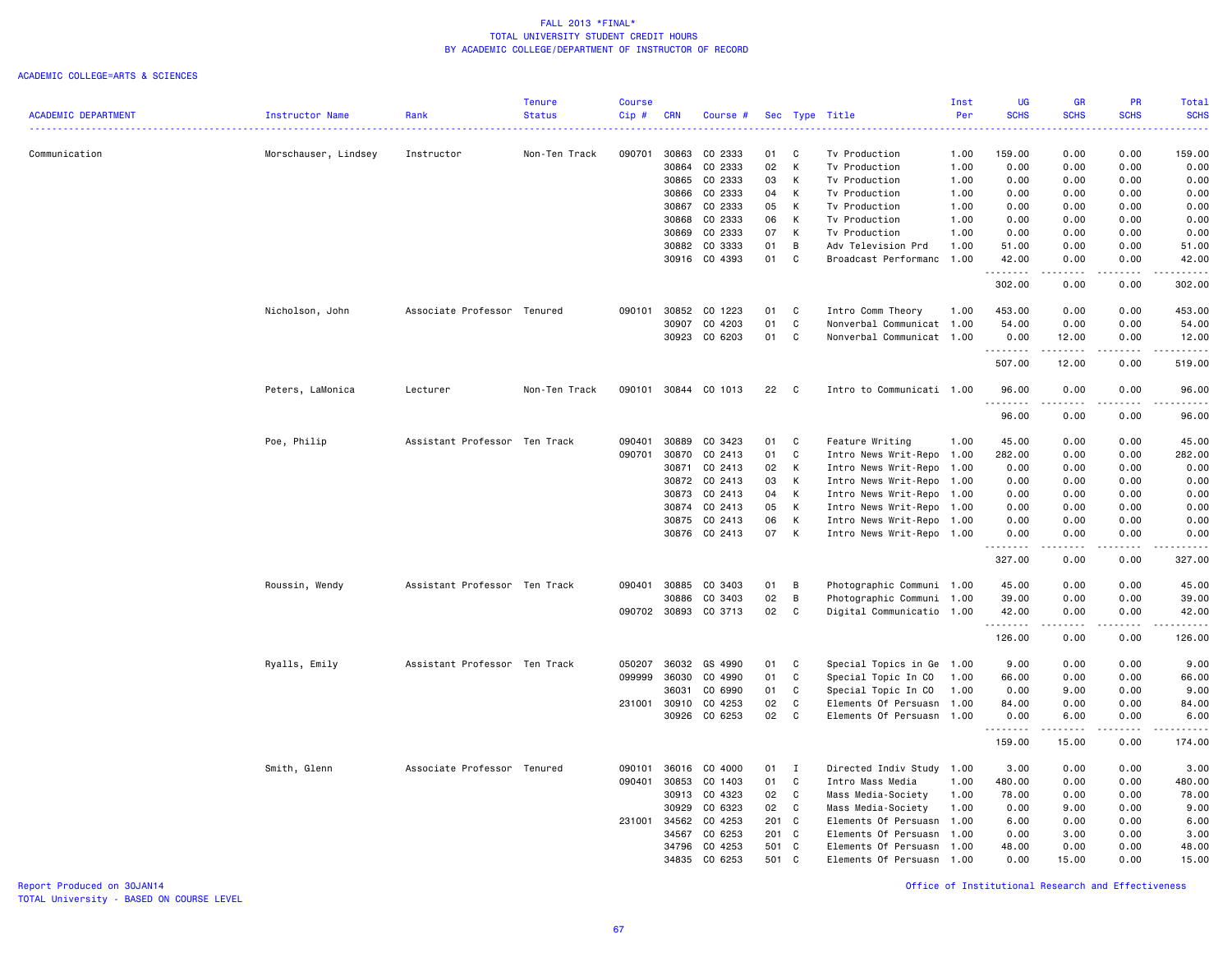### ACADEMIC COLLEGE=ARTS & SCIENCES

|                            |                      |                               | <b>Tenure</b> | <b>Course</b> |                |                      |     |              |                                | Inst         | <b>UG</b>        | GR                                                                                                                      | <b>PR</b>                    | <b>Total</b>     |
|----------------------------|----------------------|-------------------------------|---------------|---------------|----------------|----------------------|-----|--------------|--------------------------------|--------------|------------------|-------------------------------------------------------------------------------------------------------------------------|------------------------------|------------------|
| <b>ACADEMIC DEPARTMENT</b> | Instructor Name      | Rank                          | <b>Status</b> | Cip#          | <b>CRN</b>     | Course #             |     |              | Sec Type Title                 | Per          | <b>SCHS</b>      | <b>SCHS</b>                                                                                                             | <b>SCHS</b>                  | <b>SCHS</b><br>. |
| Communication              | Morschauser, Lindsey | Instructor                    | Non-Ten Track | 090701        | 30863          | CO 2333              | 01  | C            | Tv Production                  | 1.00         | 159.00           | 0.00                                                                                                                    | 0.00                         | 159.00           |
|                            |                      |                               |               |               | 30864          | CO 2333              | 02  | Κ            | Tv Production                  | 1.00         | 0.00             | 0.00                                                                                                                    | 0.00                         | 0.00             |
|                            |                      |                               |               |               | 30865          | CO 2333              | 03  | К            | Tv Production                  | 1.00         | 0.00             | 0.00                                                                                                                    | 0.00                         | 0.00             |
|                            |                      |                               |               |               | 30866          | CO 2333              | 04  | К            | Tv Production                  | 1.00         | 0.00             | 0.00                                                                                                                    | 0.00                         | 0.00             |
|                            |                      |                               |               |               |                | CO 2333              | 05  |              |                                |              |                  |                                                                                                                         |                              |                  |
|                            |                      |                               |               |               | 30867<br>30868 | CO 2333              | 06  | Κ<br>К       | Tv Production<br>Tv Production | 1.00<br>1.00 | 0.00<br>0.00     | 0.00<br>0.00                                                                                                            | 0.00                         | 0.00<br>0.00     |
|                            |                      |                               |               |               | 30869          | CO 2333              | 07  | К            |                                |              | 0.00             | 0.00                                                                                                                    | 0.00<br>0.00                 | 0.00             |
|                            |                      |                               |               |               |                |                      |     |              | Tv Production                  | 1.00         |                  |                                                                                                                         |                              |                  |
|                            |                      |                               |               |               | 30882          | CO 3333              | 01  | В            | Adv Television Prd             | 1.00         | 51.00            | 0.00                                                                                                                    | 0.00                         | 51.00            |
|                            |                      |                               |               |               | 30916          | CO 4393              | 01  | C            | Broadcast Performanc           | 1.00         | 42.00<br>.       | 0.00                                                                                                                    | 0.00<br>$\sim$ $\sim$ $\sim$ | 42.00<br>.       |
|                            |                      |                               |               |               |                |                      |     |              |                                |              | 302.00           | 0.00                                                                                                                    | 0.00                         | 302.00           |
|                            | Nicholson, John      | Associate Professor Tenured   |               | 090101        | 30852          | CO 1223              | 01  | C            | Intro Comm Theory              | 1.00         | 453.00           | 0.00                                                                                                                    | 0.00                         | 453.00           |
|                            |                      |                               |               |               | 30907          | CO 4203              | 01  | C            | Nonverbal Communicat 1.00      |              | 54.00            | 0.00                                                                                                                    | 0.00                         | 54.00            |
|                            |                      |                               |               |               | 30923          | CO 6203              | 01  | C            | Nonverbal Communicat 1.00      |              | 0.00<br>.        | 12.00<br>.                                                                                                              | 0.00<br>.                    | 12.00<br>.       |
|                            |                      |                               |               |               |                |                      |     |              |                                |              | 507.00           | 12.00                                                                                                                   | 0.00                         | 519.00           |
|                            | Peters, LaMonica     | Lecturer                      | Non-Ten Track |               |                | 090101 30844 CO 1013 | 22  | C            | Intro to Communicati 1.00      |              | 96.00<br>.       | 0.00<br>.                                                                                                               | 0.00<br>.                    | 96.00<br>.       |
|                            |                      |                               |               |               |                |                      |     |              |                                |              | 96.00            | 0.00                                                                                                                    | 0.00                         | 96.00            |
|                            | Poe, Philip          | Assistant Professor Ten Track |               | 090401        | 30889          | CO 3423              | 01  | C            | Feature Writing                | 1.00         | 45.00            | 0.00                                                                                                                    | 0.00                         | 45.00            |
|                            |                      |                               |               | 090701        | 30870          | CO 2413              | 01  | C            | Intro News Writ-Repo           | 1.00         | 282.00           | 0.00                                                                                                                    | 0.00                         | 282.00           |
|                            |                      |                               |               |               | 30871          | CO 2413              | 02  | К            | Intro News Writ-Repo           | 1.00         | 0.00             | 0.00                                                                                                                    | 0.00                         | 0.00             |
|                            |                      |                               |               |               | 30872          | CO 2413              | 03  | К            | Intro News Writ-Repo           | 1.00         | 0.00             | 0.00                                                                                                                    | 0.00                         | 0.00             |
|                            |                      |                               |               |               | 30873          | CO 2413              | 04  | К            | Intro News Writ-Repo           | 1.00         | 0.00             | 0.00                                                                                                                    | 0.00                         | 0.00             |
|                            |                      |                               |               |               | 30874          | CO 2413              | 05  | К            | Intro News Writ-Repo           | 1.00         | 0.00             | 0.00                                                                                                                    | 0.00                         | 0.00             |
|                            |                      |                               |               |               | 30875          | CO 2413              | 06  | Κ            | Intro News Writ-Repo 1.00      |              | 0.00             | 0.00                                                                                                                    | 0.00                         | 0.00             |
|                            |                      |                               |               |               |                | 30876 CO 2413        | 07  | К            | Intro News Writ-Repo 1.00      |              | 0.00             | 0.00                                                                                                                    | 0.00                         | 0.00             |
|                            |                      |                               |               |               |                |                      |     |              |                                |              | .<br>327.00      | $\begin{array}{cccccccccccccc} \bullet & \bullet & \bullet & \bullet & \bullet & \bullet & \bullet \end{array}$<br>0.00 | .<br>0.00                    | .<br>327.00      |
|                            | Roussin, Wendy       | Assistant Professor Ten Track |               | 090401        | 30885          | CO 3403              | 01  | B            | Photographic Communi 1.00      |              | 45.00            | 0.00                                                                                                                    | 0.00                         | 45.00            |
|                            |                      |                               |               |               | 30886          | CO 3403              | 02  | В            | Photographic Communi 1.00      |              | 39.00            | 0.00                                                                                                                    | 0.00                         | 39.00            |
|                            |                      |                               |               | 090702        | 30893          | CO 3713              | 02  | $\mathtt{C}$ | Digital Communicatio 1.00      |              | 42.00            | 0.00                                                                                                                    | 0.00                         | 42.00            |
|                            |                      |                               |               |               |                |                      |     |              |                                |              | <u>.</u>         |                                                                                                                         |                              | .                |
|                            |                      |                               |               |               |                |                      |     |              |                                |              | 126.00           | 0.00                                                                                                                    | 0.00                         | 126.00           |
|                            | Ryalls, Emily        | Assistant Professor Ten Track |               | 050207        | 36032          | GS 4990              | 01  | C            | Special Topics in Ge 1.00      |              | 9.00             | 0.00                                                                                                                    | 0.00                         | 9.00             |
|                            |                      |                               |               | 099999        | 36030          | CO 4990              | 01  | C            | Special Topic In CO            | 1.00         | 66.00            | 0.00                                                                                                                    | 0.00                         | 66.00            |
|                            |                      |                               |               |               | 36031          | CO 6990              | 01  | C            | Special Topic In CO            | 1.00         | 0.00             | 9.00                                                                                                                    | 0.00                         | 9.00             |
|                            |                      |                               |               | 231001        | 30910          | CO 4253              | 02  | C            | Elements Of Persuasn 1.00      |              | 84.00            | 0.00                                                                                                                    | 0.00                         | 84.00            |
|                            |                      |                               |               |               | 30926          | CO 6253              | 02  | C            | Elements Of Persuasn 1.00      |              | 0.00<br><u>.</u> | 6.00                                                                                                                    | 0.00<br>$- - - -$            | 6.00<br>.        |
|                            |                      |                               |               |               |                |                      |     |              |                                |              | 159.00           | 15.00                                                                                                                   | 0.00                         | 174.00           |
|                            | Smith, Glenn         | Associate Professor Tenured   |               | 090101        | 36016          | CO 4000              | 01  | I            | Directed Indiv Study 1.00      |              | 3.00             | 0.00                                                                                                                    | 0.00                         | 3.00             |
|                            |                      |                               |               | 090401        | 30853          | CO 1403              | 01  | C            | Intro Mass Media               | 1.00         | 480.00           | 0.00                                                                                                                    | 0.00                         | 480.00           |
|                            |                      |                               |               |               | 30913          | CO 4323              | 02  | C            | Mass Media-Society             | 1.00         | 78.00            | 0.00                                                                                                                    | 0.00                         | 78.00            |
|                            |                      |                               |               |               | 30929          | CO 6323              | 02  | C            | Mass Media-Society             | 1.00         | 0.00             | 9.00                                                                                                                    | 0.00                         | 9.00             |
|                            |                      |                               |               | 231001        | 34562          | CO 4253              | 201 | C            | Elements Of Persuasn           | 1.00         | 6.00             | 0.00                                                                                                                    | 0.00                         | 6.00             |
|                            |                      |                               |               |               | 34567          | CO 6253              | 201 | $\mathbf{C}$ | Elements Of Persuasn           | 1.00         | 0.00             | 3.00                                                                                                                    | 0.00                         | 3.00             |
|                            |                      |                               |               |               | 34796          | CO 4253              | 501 | C            | Elements Of Persuasn           | 1.00         | 48.00            | 0.00                                                                                                                    | 0.00                         | 48.00            |
|                            |                      |                               |               |               | 34835          | CO 6253              | 501 | C.           | Elements Of Persuasn           | 1.00         | 0.00             | 15.00                                                                                                                   | 0.00                         | 15.00            |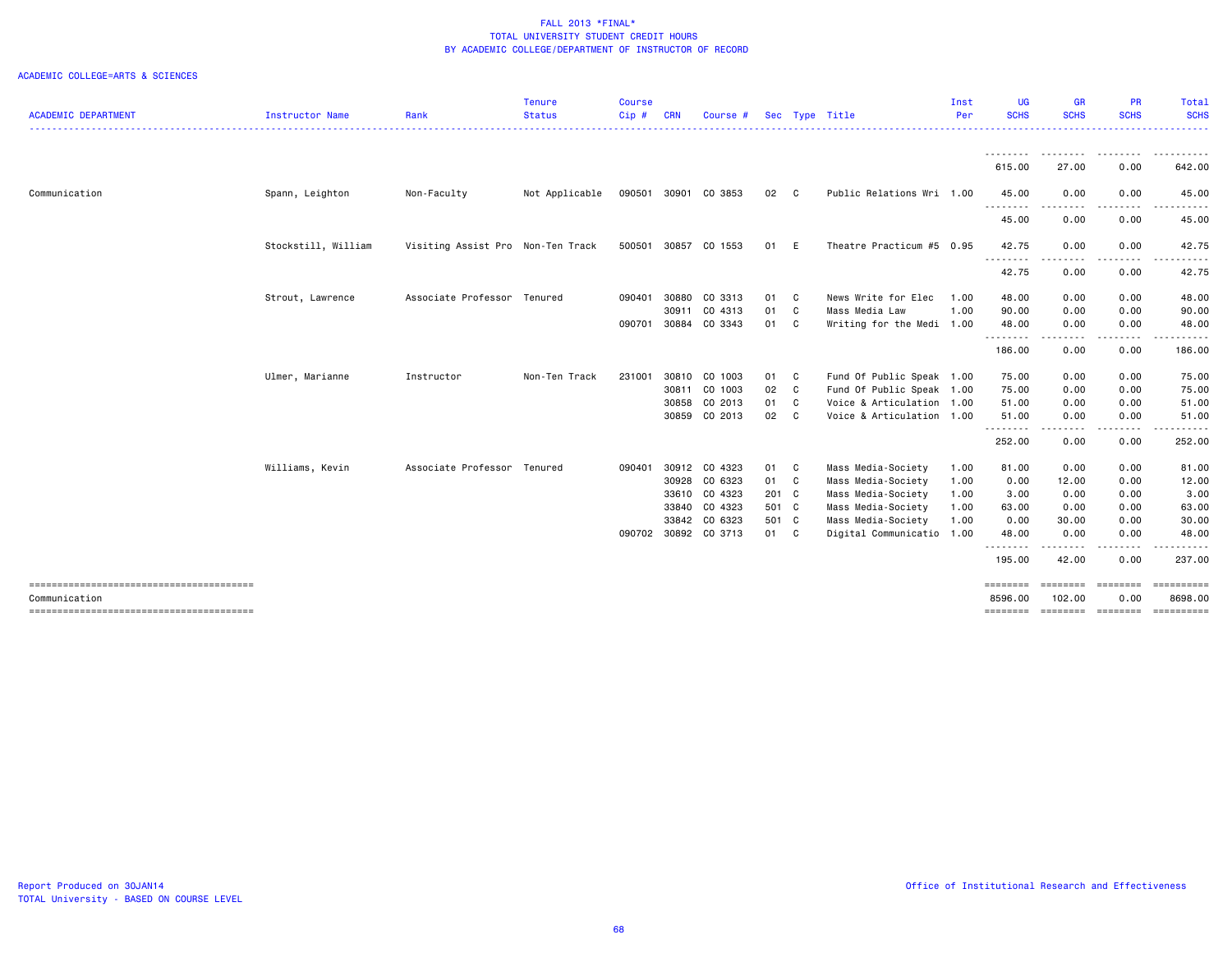| <b>ACADEMIC DEPARTMENT</b> | Instructor Name     | Rank                              | <b>Tenure</b><br><b>Status</b> | <b>Course</b><br>Cip# | <b>CRN</b> | Course #             |       |              | Sec Type Title            | Inst<br>Per | UG<br><b>SCHS</b>                 | <b>GR</b><br><b>SCHS</b>                                                                                                          | PR<br><b>SCHS</b>         | Total<br><b>SCHS</b>  |
|----------------------------|---------------------|-----------------------------------|--------------------------------|-----------------------|------------|----------------------|-------|--------------|---------------------------|-------------|-----------------------------------|-----------------------------------------------------------------------------------------------------------------------------------|---------------------------|-----------------------|
|                            |                     |                                   |                                |                       |            |                      |       |              |                           |             |                                   |                                                                                                                                   |                           |                       |
|                            |                     |                                   |                                |                       |            |                      |       |              |                           |             | <u> - - - - - - - -</u><br>615.00 | <u>.</u><br>27.00                                                                                                                 | <u>.</u><br>0.00          | . <b>.</b><br>642.00  |
| Communication              | Spann, Leighton     | Non-Faculty                       | Not Applicable                 |                       |            | 090501 30901 CO 3853 | 02 C  |              | Public Relations Wri 1.00 |             | 45.00                             | 0.00                                                                                                                              | 0.00                      | 45.00                 |
|                            |                     |                                   |                                |                       |            |                      |       |              |                           |             | ---------<br>45.00                | ----<br>0.00                                                                                                                      | . <b>.</b><br>0.00        | 45.00                 |
|                            | Stockstill, William | Visiting Assist Pro Non-Ten Track |                                | 500501                | 30857      | CO 1553              | 01 E  |              | Theatre Practicum #5 0.95 |             | 42.75<br>.                        | 0.00<br>$\frac{1}{2} \left( \frac{1}{2} \right) \left( \frac{1}{2} \right) \left( \frac{1}{2} \right) \left( \frac{1}{2} \right)$ | 0.00                      | 42.75                 |
|                            |                     |                                   |                                |                       |            |                      |       |              |                           |             | 42.75                             | 0.00                                                                                                                              | 0.00                      | 42.75                 |
|                            | Strout, Lawrence    | Associate Professor Tenured       |                                | 090401                | 30880      | CO 3313              | 01 C  |              | News Write for Elec       | 1.00        | 48.00                             | 0.00                                                                                                                              | 0.00                      | 48.00                 |
|                            |                     |                                   |                                |                       | 30911      | CO 4313              | 01    | $\mathbf{C}$ | Mass Media Law            | 1.00        | 90.00                             | 0.00                                                                                                                              | 0.00                      | 90.00                 |
|                            |                     |                                   |                                | 090701                | 30884      | CO 3343              | 01 C  |              | Writing for the Medi 1.00 |             | 48.00<br>.                        | 0.00<br>.                                                                                                                         | 0.00                      | 48.00                 |
|                            |                     |                                   |                                |                       |            |                      |       |              |                           |             | 186.00                            | 0.00                                                                                                                              | 0.00                      | 186.00                |
|                            | Ulmer, Marianne     | Instructor                        | Non-Ten Track                  | 231001                | 30810      | CO 1003              | 01 C  |              | Fund Of Public Speak 1.00 |             | 75.00                             | 0.00                                                                                                                              | 0.00                      | 75.00                 |
|                            |                     |                                   |                                |                       | 30811      | CO 1003              | 02 C  |              | Fund Of Public Speak 1.00 |             | 75.00                             | 0.00                                                                                                                              | 0.00                      | 75.00                 |
|                            |                     |                                   |                                |                       | 30858      | CO 2013              | 01    | $\mathbf{C}$ | Voice & Articulation      | 1.00        | 51.00                             | 0.00                                                                                                                              | 0.00                      | 51.00                 |
|                            |                     |                                   |                                |                       |            | 30859 CO 2013        | 02 C  |              | Voice & Articulation 1.00 |             | 51.00<br>.                        | 0.00<br>$  -$                                                                                                                     | 0.00                      | 51.00                 |
|                            |                     |                                   |                                |                       |            |                      |       |              |                           |             | 252.00                            | 0.00                                                                                                                              | 0.00                      | 252.00                |
|                            | Williams, Kevin     | Associate Professor Tenured       |                                | 090401                | 30912      | CO 4323              | 01 C  |              | Mass Media-Society        | 1.00        | 81.00                             | 0.00                                                                                                                              | 0.00                      | 81.00                 |
|                            |                     |                                   |                                |                       | 30928      | CO 6323              | 01 C  |              | Mass Media-Society        | 1.00        | 0.00                              | 12.00                                                                                                                             | 0.00                      | 12.00                 |
|                            |                     |                                   |                                |                       | 33610      | CO 4323              | 201 C |              | Mass Media-Society        | 1.00        | 3.00                              | 0.00                                                                                                                              | 0.00                      | 3.00                  |
|                            |                     |                                   |                                |                       | 33840      | CO 4323              | 501 C |              | Mass Media-Society        | 1.00        | 63.00                             | 0.00                                                                                                                              | 0.00                      | 63.00                 |
|                            |                     |                                   |                                |                       |            | 33842 CO 6323        | 501 C |              | Mass Media-Society        | 1.00        | 0.00                              | 30.00                                                                                                                             | 0.00                      | 30.00                 |
|                            |                     |                                   |                                | 090702                |            | 30892 CO 3713        | 01 C  |              | Digital Communicatio 1.00 |             | 48.00<br>.                        | 0.00                                                                                                                              | 0.00                      | 48.00                 |
|                            |                     |                                   |                                |                       |            |                      |       |              |                           |             | 195.00                            | 42.00                                                                                                                             | 0.00                      | 237.00                |
|                            |                     |                                   |                                |                       |            |                      |       |              |                           |             | ========                          | ========                                                                                                                          | ========                  |                       |
| Communication              |                     |                                   |                                |                       |            |                      |       |              |                           |             | 8596.00<br>========               | 102.00                                                                                                                            | 0.00<br>================= | 8698,00<br>========== |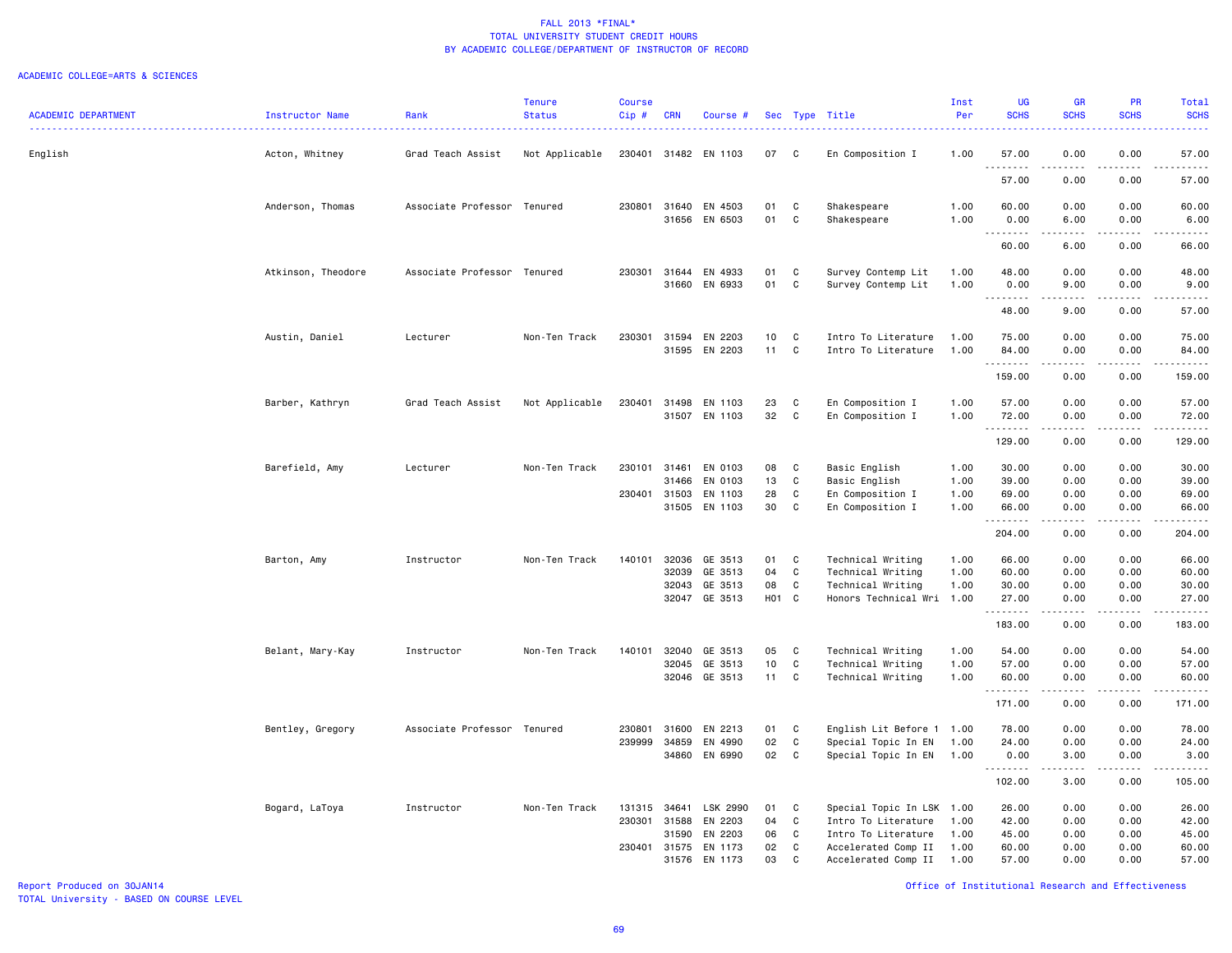#### ACADEMIC COLLEGE=ARTS & SCIENCES

| <b>ACADEMIC DEPARTMENT</b> | Instructor Name    | Rank                        | <b>Tenure</b><br><b>Status</b> | <b>Course</b><br>Cip# | <b>CRN</b>     | Course #             |                       |                   | Sec Type Title                             | Inst<br>Per  | UG<br><b>SCHS</b>   | <b>GR</b><br><b>SCHS</b> | PR<br><b>SCHS</b>                   | Total<br><b>SCHS</b>  |
|----------------------------|--------------------|-----------------------------|--------------------------------|-----------------------|----------------|----------------------|-----------------------|-------------------|--------------------------------------------|--------------|---------------------|--------------------------|-------------------------------------|-----------------------|
| English                    | Acton, Whitney     | Grad Teach Assist           | Not Applicable                 | 230401                |                | 31482 EN 1103        | 07                    | C                 | En Composition I                           | 1.00         | 57.00               | 0.00                     | 0.00                                | 57.00                 |
|                            |                    |                             |                                |                       |                |                      |                       |                   |                                            |              | -----<br>57.00      | 0.00                     | 0.00                                | 57.00                 |
|                            | Anderson, Thomas   | Associate Professor Tenured |                                | 230801                | 31640          | EN 4503              | 01                    | $\mathtt{C}$      | Shakespeare                                | 1.00         | 60.00               | 0.00                     | 0.00                                | 60.00                 |
|                            |                    |                             |                                |                       |                | 31656 EN 6503        | 01                    | C                 | Shakespeare                                | 1.00         | 0.00<br>.           | 6.00                     | 0.00                                | 6.00                  |
|                            |                    |                             |                                |                       |                |                      |                       |                   |                                            |              | 60.00               | 6.00                     | 0.00                                | 66.00                 |
|                            | Atkinson, Theodore | Associate Professor Tenured |                                |                       |                | 230301 31644 EN 4933 | 01                    | C                 | Survey Contemp Lit                         | 1.00         | 48.00               | 0.00                     | 0.00                                | 48.00                 |
|                            |                    |                             |                                |                       |                | 31660 EN 6933        | 01                    | C                 | Survey Contemp Lit                         | 1.00         | 0.00                | 9.00                     | 0.00                                | 9.00                  |
|                            |                    |                             |                                |                       |                |                      |                       |                   |                                            |              | .<br>48.00          | .<br>9.00                | .<br>0.00                           | .<br>57.00            |
|                            |                    |                             |                                |                       |                |                      |                       |                   |                                            |              |                     |                          |                                     |                       |
|                            | Austin, Daniel     | Lecturer                    | Non-Ten Track                  | 230301                | 31594<br>31595 | EN 2203<br>EN 2203   | 10 <sub>1</sub><br>11 | C<br>$\mathtt{C}$ | Intro To Literature<br>Intro To Literature | 1.00<br>1.00 | 75.00<br>84.00      | 0.00<br>0.00             | 0.00<br>0.00                        | 75.00<br>84.00        |
|                            |                    |                             |                                |                       |                |                      |                       |                   |                                            |              | .                   | .                        | .                                   | .                     |
|                            |                    |                             |                                |                       |                |                      |                       |                   |                                            |              | 159.00              | 0.00                     | 0.00                                | 159.00                |
|                            | Barber, Kathryn    | Grad Teach Assist           | Not Applicable                 | 230401                | 31498          | EN 1103              | 23                    | C                 | En Composition I                           | 1.00         | 57.00               | 0.00                     | 0.00                                | 57.00                 |
|                            |                    |                             |                                |                       |                | 31507 EN 1103        | 32                    | C                 | En Composition I                           | 1.00         | 72.00               | 0.00                     | 0.00                                | 72.00                 |
|                            |                    |                             |                                |                       |                |                      |                       |                   |                                            |              | .<br>129.00         | .<br>0.00                | .<br>0.00                           | .<br>129.00           |
|                            |                    | Lecturer                    | Non-Ten Track                  | 230101                | 31461          | EN 0103              |                       |                   |                                            | 1.00         | 30.00               |                          | 0.00                                | 30.00                 |
|                            | Barefield, Amy     |                             |                                |                       | 31466          | EN 0103              | 08<br>13              | C<br>C            | Basic English<br>Basic English             | 1.00         | 39.00               | 0.00<br>0.00             | 0.00                                | 39.00                 |
|                            |                    |                             |                                | 230401 31503          |                | EN 1103              | 28                    | C                 | En Composition I                           | 1.00         | 69.00               | 0.00                     | 0.00                                | 69.00                 |
|                            |                    |                             |                                |                       | 31505          | EN 1103              | 30                    | C                 | En Composition I                           | 1.00         | 66.00<br>. <b>.</b> | 0.00                     | 0.00<br>$\sim$ $\sim$ $\sim$ $\sim$ | 66.00                 |
|                            |                    |                             |                                |                       |                |                      |                       |                   |                                            |              | 204.00              | 0.00                     | 0.00                                | 204.00                |
|                            | Barton, Amy        | Instructor                  | Non-Ten Track                  | 140101                | 32036          | GE 3513              | 01                    | C                 | Technical Writing                          | 1.00         | 66.00               | 0.00                     | 0.00                                | 66.00                 |
|                            |                    |                             |                                |                       | 32039          | GE 3513              | 04                    | $\mathtt{C}$      | Technical Writing                          | 1.00         | 60.00               | 0.00                     | 0.00                                | 60.00                 |
|                            |                    |                             |                                |                       | 32043          | GE 3513              | 08                    | C                 | Technical Writing                          | 1.00         | 30.00               | 0.00                     | 0.00                                | 30.00                 |
|                            |                    |                             |                                |                       |                | 32047 GE 3513        | H01 C                 |                   | Honors Technical Wri 1.00                  |              | 27.00<br>.          | 0.00<br>22222.           | 0.00<br>.                           | 27.00<br>.            |
|                            |                    |                             |                                |                       |                |                      |                       |                   |                                            |              | 183.00              | 0.00                     | 0.00                                | 183.00                |
|                            | Belant, Mary-Kay   | Instructor                  | Non-Ten Track                  | 140101                | 32040          | GE 3513              | 05                    | C                 | Technical Writing                          | 1.00         | 54.00               | 0.00                     | 0.00                                | 54.00                 |
|                            |                    |                             |                                |                       | 32045          | GE 3513              | 10                    | $\mathbf C$       | Technical Writing                          | 1.00         | 57.00               | 0.00                     | 0.00                                | 57.00                 |
|                            |                    |                             |                                |                       |                | 32046 GE 3513        | $11 -$                | $\mathbf{C}$      | Technical Writing                          | 1.00         | 60.00<br>.          | 0.00<br>.                | 0.00<br>.                           | 60.00<br>.            |
|                            |                    |                             |                                |                       |                |                      |                       |                   |                                            |              | 171.00              | 0.00                     | 0.00                                | 171.00                |
|                            | Bentley, Gregory   | Associate Professor Tenured |                                | 230801                | 31600          | EN 2213              | 01                    | C                 | English Lit Before 1 1.00                  |              | 78.00               | 0.00                     | 0.00                                | 78.00                 |
|                            |                    |                             |                                | 239999                | 34859          | EN 4990              | 02                    | $\mathtt{C}$      | Special Topic In EN                        | 1.00         | 24.00               | 0.00                     | 0.00                                | 24.00                 |
|                            |                    |                             |                                |                       | 34860          | EN 6990              | 02                    | C                 | Special Topic In EN                        | 1.00         | 0.00<br>.           | 3.00                     | 0.00                                | 3.00<br>$\frac{1}{2}$ |
|                            |                    |                             |                                |                       |                |                      |                       |                   |                                            |              | 102.00              | 3.00                     | 0.00                                | 105.00                |
|                            | Bogard, LaToya     | Instructor                  | Non-Ten Track                  | 131315                | 34641          | LSK 2990             | 01                    | C                 | Special Topic In LSK 1.00                  |              | 26.00               | 0.00                     | 0.00                                | 26.00                 |
|                            |                    |                             |                                | 230301                | 31588          | EN 2203              | 04                    | C                 | Intro To Literature                        | 1.00         | 42.00               | 0.00                     | 0.00                                | 42.00                 |
|                            |                    |                             |                                |                       | 31590          | EN 2203              | 06                    | C                 | Intro To Literature                        | 1.00         | 45.00               | 0.00                     | 0.00                                | 45.00                 |
|                            |                    |                             |                                |                       | 230401 31575   | EN 1173              | 02                    | C                 | Accelerated Comp II                        | 1.00         | 60.00               | 0.00                     | 0.00                                | 60.00                 |
|                            |                    |                             |                                |                       | 31576          | EN 1173              | 03                    | C                 | Accelerated Comp II                        | 1.00         | 57.00               | 0.00                     | 0.00                                | 57.00                 |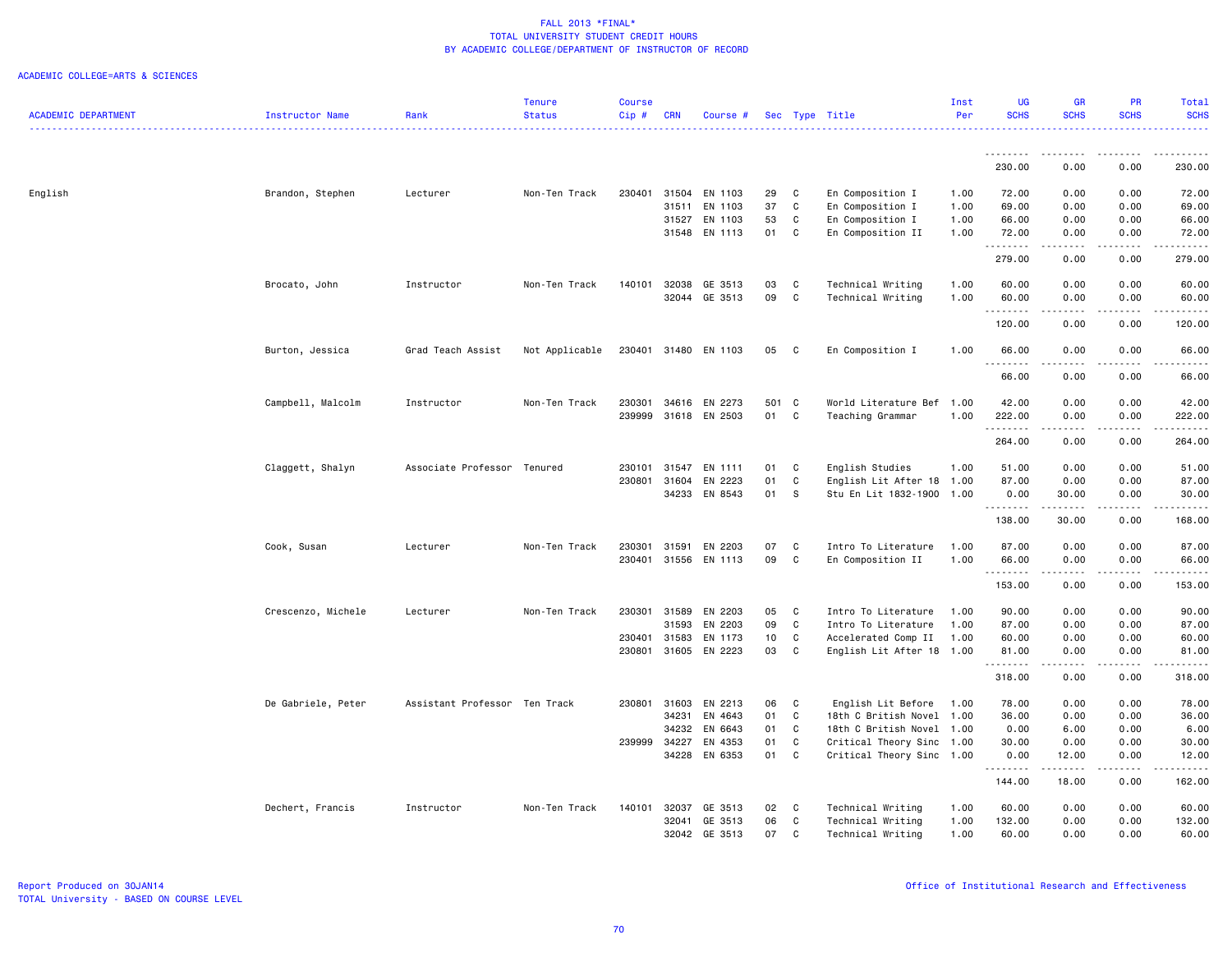|                            |                    |                               | <b>Tenure</b>  | <b>Course</b> |                |                      |                 |              |                           | Inst | <b>UG</b>   | <b>GR</b>                                                                                                                                                                                                                                                                                                                                                                                            | PR                                                                                                                                                   | Total                 |
|----------------------------|--------------------|-------------------------------|----------------|---------------|----------------|----------------------|-----------------|--------------|---------------------------|------|-------------|------------------------------------------------------------------------------------------------------------------------------------------------------------------------------------------------------------------------------------------------------------------------------------------------------------------------------------------------------------------------------------------------------|------------------------------------------------------------------------------------------------------------------------------------------------------|-----------------------|
| <b>ACADEMIC DEPARTMENT</b> | Instructor Name    | Rank                          | <b>Status</b>  | Cip#          | <b>CRN</b>     | Course #             |                 |              | Sec Type Title            | Per  | <b>SCHS</b> | <b>SCHS</b>                                                                                                                                                                                                                                                                                                                                                                                          | <b>SCHS</b>                                                                                                                                          | <b>SCHS</b><br>.      |
|                            |                    |                               |                |               |                |                      |                 |              |                           |      |             |                                                                                                                                                                                                                                                                                                                                                                                                      |                                                                                                                                                      |                       |
|                            |                    |                               |                |               |                |                      |                 |              |                           |      | .<br>230.00 | $\frac{1}{2} \frac{1}{2} \frac{1}{2} \frac{1}{2} \frac{1}{2} \frac{1}{2} \frac{1}{2} \frac{1}{2} \frac{1}{2} \frac{1}{2} \frac{1}{2} \frac{1}{2} \frac{1}{2} \frac{1}{2} \frac{1}{2} \frac{1}{2} \frac{1}{2} \frac{1}{2} \frac{1}{2} \frac{1}{2} \frac{1}{2} \frac{1}{2} \frac{1}{2} \frac{1}{2} \frac{1}{2} \frac{1}{2} \frac{1}{2} \frac{1}{2} \frac{1}{2} \frac{1}{2} \frac{1}{2} \frac{$<br>0.00 | .<br>0.00                                                                                                                                            | .<br>230.00           |
|                            |                    |                               |                |               |                |                      |                 |              |                           |      |             |                                                                                                                                                                                                                                                                                                                                                                                                      |                                                                                                                                                      |                       |
| English                    | Brandon, Stephen   | Lecturer                      | Non-Ten Track  | 230401        | 31504          | EN 1103              | 29              | C            | En Composition I          | 1.00 | 72.00       | 0.00                                                                                                                                                                                                                                                                                                                                                                                                 | 0.00                                                                                                                                                 | 72.00                 |
|                            |                    |                               |                |               | 31511          | EN 1103              | 37              | C            | En Composition I          | 1.00 | 69.00       | 0.00                                                                                                                                                                                                                                                                                                                                                                                                 | 0.00                                                                                                                                                 | 69.00                 |
|                            |                    |                               |                |               | 31527<br>31548 | EN 1103<br>EN 1113   | 53<br>01        | C            | En Composition I          | 1.00 | 66.00       | 0.00<br>0.00                                                                                                                                                                                                                                                                                                                                                                                         | 0.00<br>0.00                                                                                                                                         | 66.00<br>72.00        |
|                            |                    |                               |                |               |                |                      |                 | C            | En Composition II         | 1.00 | 72.00<br>.  | .                                                                                                                                                                                                                                                                                                                                                                                                    | .                                                                                                                                                    | .                     |
|                            |                    |                               |                |               |                |                      |                 |              |                           |      | 279.00      | 0.00                                                                                                                                                                                                                                                                                                                                                                                                 | 0.00                                                                                                                                                 | 279.00                |
|                            | Brocato, John      | Instructor                    | Non-Ten Track  | 140101        | 32038          | GE 3513              | 03              | C            | Technical Writing         | 1.00 | 60.00       | 0.00                                                                                                                                                                                                                                                                                                                                                                                                 | 0.00                                                                                                                                                 | 60.00                 |
|                            |                    |                               |                |               |                | 32044 GE 3513        | 09              | C            | Technical Writing         | 1.00 | 60.00       | 0.00                                                                                                                                                                                                                                                                                                                                                                                                 | 0.00                                                                                                                                                 | 60.00                 |
|                            |                    |                               |                |               |                |                      |                 |              |                           |      | 120.00      | 0.00                                                                                                                                                                                                                                                                                                                                                                                                 | 0.00                                                                                                                                                 | 120.00                |
|                            | Burton, Jessica    | Grad Teach Assist             | Not Applicable |               |                | 230401 31480 EN 1103 | 05              | C            | En Composition I          | 1.00 | 66.00       | 0.00                                                                                                                                                                                                                                                                                                                                                                                                 | 0.00                                                                                                                                                 | 66.00                 |
|                            |                    |                               |                |               |                |                      |                 |              |                           |      | .           | $\frac{1}{2}$                                                                                                                                                                                                                                                                                                                                                                                        | .                                                                                                                                                    | .                     |
|                            |                    |                               |                |               |                |                      |                 |              |                           |      | 66.00       | 0.00                                                                                                                                                                                                                                                                                                                                                                                                 | 0.00                                                                                                                                                 | 66.00                 |
|                            | Campbell, Malcolm  | Instructor                    | Non-Ten Track  | 230301        | 34616          | EN 2273              | 501 C           |              | World Literature Bef      | 1.00 | 42.00       | 0.00                                                                                                                                                                                                                                                                                                                                                                                                 | 0.00                                                                                                                                                 | 42.00                 |
|                            |                    |                               |                | 239999        |                | 31618 EN 2503        | 01              | $\mathtt{C}$ | Teaching Grammar          | 1.00 | 222.00<br>. | 0.00<br>.                                                                                                                                                                                                                                                                                                                                                                                            | 0.00<br>.                                                                                                                                            | 222.00<br>2.2.2.2.2.3 |
|                            |                    |                               |                |               |                |                      |                 |              |                           |      | 264.00      | 0.00                                                                                                                                                                                                                                                                                                                                                                                                 | 0.00                                                                                                                                                 | 264.00                |
|                            | Claggett, Shalyn   | Associate Professor Tenured   |                | 230101        | 31547          | EN 1111              | 01              | C            | English Studies           | 1.00 | 51.00       | 0.00                                                                                                                                                                                                                                                                                                                                                                                                 | 0.00                                                                                                                                                 | 51.00                 |
|                            |                    |                               |                | 230801        | 31604          | EN 2223              | 01              | C            | English Lit After 18 1.00 |      | 87.00       | 0.00                                                                                                                                                                                                                                                                                                                                                                                                 | 0.00                                                                                                                                                 | 87.00                 |
|                            |                    |                               |                |               | 34233          | EN 8543              | 01              | S            | Stu En Lit 1832-1900      | 1.00 | 0.00<br>.   | 30.00                                                                                                                                                                                                                                                                                                                                                                                                | 0.00                                                                                                                                                 | 30.00<br>.            |
|                            |                    |                               |                |               |                |                      |                 |              |                           |      | 138.00      | 30.00                                                                                                                                                                                                                                                                                                                                                                                                | 0.00                                                                                                                                                 | 168.00                |
|                            | Cook, Susan        | Lecturer                      | Non-Ten Track  | 230301        | 31591          | EN 2203              | 07              | C            | Intro To Literature       | 1.00 | 87.00       | 0.00                                                                                                                                                                                                                                                                                                                                                                                                 | 0.00                                                                                                                                                 | 87.00                 |
|                            |                    |                               |                |               |                | 230401 31556 EN 1113 | 09              | C            | En Composition II         | 1.00 | 66.00       | 0.00                                                                                                                                                                                                                                                                                                                                                                                                 | 0.00                                                                                                                                                 | 66.00                 |
|                            |                    |                               |                |               |                |                      |                 |              |                           |      | .           | -----                                                                                                                                                                                                                                                                                                                                                                                                | $\frac{1}{2} \left( \frac{1}{2} \right) \left( \frac{1}{2} \right) \left( \frac{1}{2} \right) \left( \frac{1}{2} \right) \left( \frac{1}{2} \right)$ | .                     |
|                            |                    |                               |                |               |                |                      |                 |              |                           |      | 153.00      | 0.00                                                                                                                                                                                                                                                                                                                                                                                                 | 0.00                                                                                                                                                 | 153.00                |
|                            | Crescenzo, Michele | Lecturer                      | Non-Ten Track  | 230301        | 31589          | EN 2203              | 05              | C            | Intro To Literature       | 1.00 | 90.00       | 0.00                                                                                                                                                                                                                                                                                                                                                                                                 | 0.00                                                                                                                                                 | 90.00                 |
|                            |                    |                               |                |               | 31593          | EN 2203              | 09              | $\mathtt{C}$ | Intro To Literature       | 1.00 | 87.00       | 0.00                                                                                                                                                                                                                                                                                                                                                                                                 | 0.00                                                                                                                                                 | 87.00                 |
|                            |                    |                               |                | 230401        | 31583          | EN 1173              | 10 <sub>1</sub> | C            | Accelerated Comp II       | 1.00 | 60.00       | 0.00                                                                                                                                                                                                                                                                                                                                                                                                 | 0.00                                                                                                                                                 | 60.00                 |
|                            |                    |                               |                | 230801        | 31605          | EN 2223              | 03              | C            | English Lit After 18 1.00 |      | 81.00<br>.  | 0.00<br>.                                                                                                                                                                                                                                                                                                                                                                                            | 0.00<br>.                                                                                                                                            | 81.00<br>.            |
|                            |                    |                               |                |               |                |                      |                 |              |                           |      | 318.00      | 0.00                                                                                                                                                                                                                                                                                                                                                                                                 | 0.00                                                                                                                                                 | 318.00                |
|                            | De Gabriele, Peter | Assistant Professor Ten Track |                | 230801        | 31603          | EN 2213              | 06              | C            | English Lit Before        | 1.00 | 78.00       | 0.00                                                                                                                                                                                                                                                                                                                                                                                                 | 0.00                                                                                                                                                 | 78.00                 |
|                            |                    |                               |                |               | 34231          | EN 4643              | 01              | C            | 18th C British Novel 1.00 |      | 36.00       | 0.00                                                                                                                                                                                                                                                                                                                                                                                                 | 0.00                                                                                                                                                 | 36.00                 |
|                            |                    |                               |                |               | 34232          | EN 6643              | 01              | C            | 18th C British Novel 1.00 |      | 0.00        | 6.00                                                                                                                                                                                                                                                                                                                                                                                                 | 0.00                                                                                                                                                 | 6.00                  |
|                            |                    |                               |                | 239999        | 34227          | EN 4353              | 01              | C            | Critical Theory Sinc 1.00 |      | 30.00       | 0.00                                                                                                                                                                                                                                                                                                                                                                                                 | 0.00                                                                                                                                                 | 30.00                 |
|                            |                    |                               |                |               |                | 34228 EN 6353        | 01              | C            | Critical Theory Sinc 1.00 |      | 0.00<br>.   | 12.00<br>$\frac{1}{2} \left( \frac{1}{2} \right) \left( \frac{1}{2} \right) \left( \frac{1}{2} \right) \left( \frac{1}{2} \right) \left( \frac{1}{2} \right)$                                                                                                                                                                                                                                        | 0.00<br>.                                                                                                                                            | 12.00<br>.            |
|                            |                    |                               |                |               |                |                      |                 |              |                           |      | 144.00      | 18.00                                                                                                                                                                                                                                                                                                                                                                                                | 0.00                                                                                                                                                 | 162.00                |
|                            | Dechert, Francis   | Instructor                    | Non-Ten Track  | 140101        | 32037          | GE 3513              | 02              | C.           | Technical Writing         | 1.00 | 60.00       | 0.00                                                                                                                                                                                                                                                                                                                                                                                                 | 0.00                                                                                                                                                 | 60.00                 |
|                            |                    |                               |                |               | 32041          | GE 3513              | 06              | C            | Technical Writing         | 1.00 | 132.00      | 0.00                                                                                                                                                                                                                                                                                                                                                                                                 | 0.00                                                                                                                                                 | 132.00                |
|                            |                    |                               |                |               |                | 32042 GE 3513        | 07              | $\mathtt{C}$ | Technical Writing         | 1.00 | 60.00       | 0.00                                                                                                                                                                                                                                                                                                                                                                                                 | 0.00                                                                                                                                                 | 60.00                 |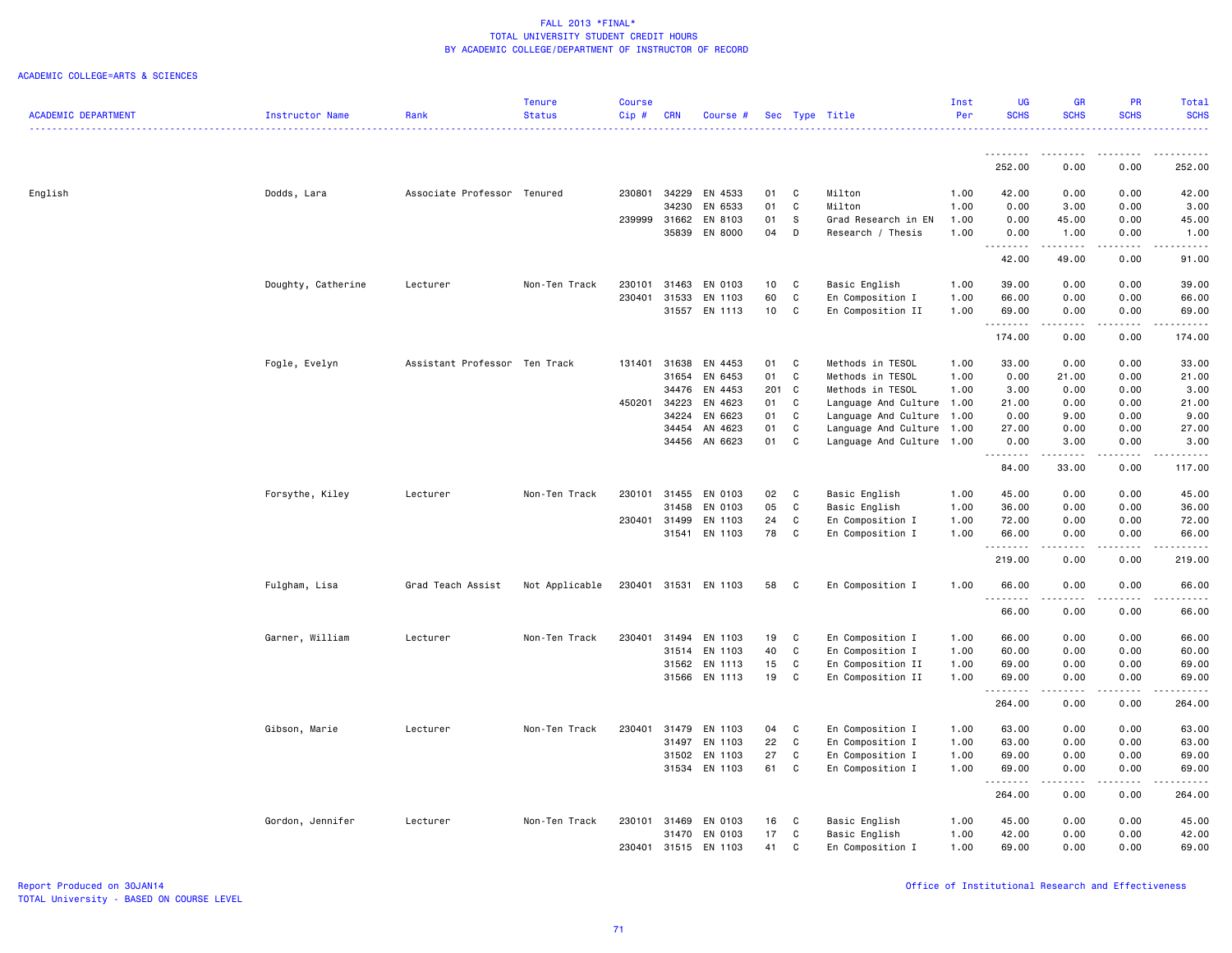|                            |                    |                               | <b>Tenure</b>  | <b>Course</b> |            |               |                 |              |                           | Inst | <b>UG</b>   | <b>GR</b>              | PR          | Total                   |
|----------------------------|--------------------|-------------------------------|----------------|---------------|------------|---------------|-----------------|--------------|---------------------------|------|-------------|------------------------|-------------|-------------------------|
| <b>ACADEMIC DEPARTMENT</b> | Instructor Name    | Rank                          | <b>Status</b>  | Cip#          | <b>CRN</b> | Course #      |                 |              | Sec Type Title            | Per  | <b>SCHS</b> | <b>SCHS</b>            | <b>SCHS</b> | <b>SCHS</b><br><u>.</u> |
|                            |                    |                               |                |               |            |               |                 |              |                           |      | .           |                        |             |                         |
|                            |                    |                               |                |               |            |               |                 |              |                           |      | 252.00      | 0.00                   | 0.00        | 252.00                  |
| English                    | Dodds, Lara        | Associate Professor Tenured   |                | 230801        | 34229      | EN 4533       | 01              | C            | Milton                    | 1.00 | 42.00       | 0.00                   | 0.00        | 42.00                   |
|                            |                    |                               |                |               | 34230      | EN 6533       | 01              | $\mathtt{C}$ | Milton                    | 1.00 | 0.00        | 3.00                   | 0.00        | 3.00                    |
|                            |                    |                               |                | 239999        | 31662      | EN 8103       | 01              | S            | Grad Research in EN       | 1.00 | 0.00        | 45.00                  | 0.00        | 45.00                   |
|                            |                    |                               |                |               | 35839      | EN 8000       | 04              | D            | Research / Thesis         | 1.00 | 0.00        | 1.00                   | 0.00        | 1.00                    |
|                            |                    |                               |                |               |            |               |                 |              |                           |      | .<br>42.00  | . <b>.</b><br>49.00    | .<br>0.00   | .<br>91.00              |
|                            | Doughty, Catherine | Lecturer                      | Non-Ten Track  | 230101        | 31463      | EN 0103       | 10 <sub>1</sub> | C            | Basic English             | 1.00 | 39.00       | 0.00                   | 0.00        | 39.00                   |
|                            |                    |                               |                | 230401        | 31533      | EN 1103       | 60              | C            | En Composition I          | 1.00 | 66.00       | 0.00                   | 0.00        | 66.00                   |
|                            |                    |                               |                |               |            | 31557 EN 1113 | 10 <sub>1</sub> | C            | En Composition II         | 1.00 | 69.00       | 0.00                   | 0.00        | 69.00                   |
|                            |                    |                               |                |               |            |               |                 |              |                           |      | .<br>174.00 | .<br>0.00              | .<br>0.00   | .<br>174.00             |
|                            | Fogle, Evelyn      | Assistant Professor Ten Track |                | 131401        | 31638      | EN 4453       | 01              | C            | Methods in TESOL          | 1.00 | 33.00       | 0.00                   | 0.00        | 33.00                   |
|                            |                    |                               |                |               | 31654      | EN 6453       | 01              | $\mathtt{C}$ | Methods in TESOL          | 1.00 | 0.00        | 21.00                  | 0.00        | 21.00                   |
|                            |                    |                               |                |               | 34476      | EN 4453       | 201 C           |              | Methods in TESOL          | 1.00 | 3.00        | 0.00                   | 0.00        | 3.00                    |
|                            |                    |                               |                | 450201        | 34223      | EN 4623       | 01              | C            | Language And Culture 1.00 |      | 21.00       | 0.00                   | 0.00        | 21.00                   |
|                            |                    |                               |                |               | 34224      | EN 6623       | 01              | C            | Language And Culture 1.00 |      | 0.00        | 9.00                   | 0.00        | 9.00                    |
|                            |                    |                               |                |               | 34454      | AN 4623       | 01              | C            | Language And Culture 1.00 |      | 27.00       | 0.00                   | 0.00        | 27.00                   |
|                            |                    |                               |                |               | 34456      | AN 6623       | 01              | C            | Language And Culture 1.00 |      | 0.00        | 3.00                   | 0.00        | 3.00                    |
|                            |                    |                               |                |               |            |               |                 |              |                           |      | .<br>84.00  | 33.00                  | 0.00        | . <b>.</b><br>117.00    |
|                            | Forsythe, Kiley    | Lecturer                      | Non-Ten Track  | 230101        | 31455      | EN 0103       | 02              | C            | Basic English             | 1.00 | 45.00       | 0.00                   | 0.00        | 45.00                   |
|                            |                    |                               |                |               | 31458      | EN 0103       | 05              | $\mathtt{C}$ | Basic English             | 1.00 | 36.00       | 0.00                   | 0.00        | 36.00                   |
|                            |                    |                               |                | 230401        | 31499      | EN 1103       | 24              | C            | En Composition I          | 1.00 | 72.00       | 0.00                   | 0.00        | 72.00                   |
|                            |                    |                               |                |               | 31541      | EN 1103       | 78              | C            | En Composition I          | 1.00 | 66.00       | 0.00                   | 0.00        | 66.00                   |
|                            |                    |                               |                |               |            |               |                 |              |                           |      |             |                        |             |                         |
|                            |                    |                               |                |               |            |               |                 |              |                           |      | 219.00      | 0.00                   | 0.00        | 219.00                  |
|                            | Fulgham, Lisa      | Grad Teach Assist             | Not Applicable | 230401        |            | 31531 EN 1103 | 58              | C            | En Composition I          | 1.00 | 66.00       | 0.00                   | 0.00        | 66.00                   |
|                            |                    |                               |                |               |            |               |                 |              |                           |      | .<br>66.00  | الداعات الداري<br>0.00 | .<br>0.00   | $\frac{1}{2}$<br>66.00  |
|                            | Garner, William    | Lecturer                      | Non-Ten Track  | 230401        | 31494      | EN 1103       | 19              | C            | En Composition I          | 1.00 | 66.00       | 0.00                   | 0.00        | 66.00                   |
|                            |                    |                               |                |               | 31514      | EN 1103       | 40              | C            | En Composition I          | 1.00 | 60.00       | 0.00                   | 0.00        | 60.00                   |
|                            |                    |                               |                |               | 31562      | EN 1113       | 15              | C            | En Composition II         | 1.00 | 69.00       | 0.00                   | 0.00        | 69.00                   |
|                            |                    |                               |                |               |            | 31566 EN 1113 | 19              | C            | En Composition II         | 1.00 | 69.00       | 0.00                   | 0.00        | 69.00                   |
|                            |                    |                               |                |               |            |               |                 |              |                           |      | .<br>264.00 | .<br>0.00              | .<br>0.00   | .<br>264.00             |
|                            | Gibson, Marie      | Lecturer                      | Non-Ten Track  | 230401        | 31479      | EN 1103       | 04              | C            | En Composition I          | 1.00 | 63.00       | 0.00                   | 0.00        | 63.00                   |
|                            |                    |                               |                |               | 31497      | EN 1103       | 22              | $\mathtt{C}$ | En Composition I          | 1.00 | 63.00       | 0.00                   | 0.00        | 63.00                   |
|                            |                    |                               |                |               | 31502      | EN 1103       | 27              | C            | En Composition I          | 1.00 | 69.00       | 0.00                   | 0.00        | 69.00                   |
|                            |                    |                               |                |               |            | 31534 EN 1103 | 61              | C            | En Composition I          | 1.00 | 69.00       | 0.00                   | 0.00        | 69.00                   |
|                            |                    |                               |                |               |            |               |                 |              |                           |      | .<br>264.00 | .<br>0.00              | .<br>0.00   | .<br>264.00             |
|                            | Gordon, Jennifer   | Lecturer                      | Non-Ten Track  | 230101        | 31469      | EN 0103       | 16              | C            | Basic English             | 1.00 | 45.00       | 0.00                   | 0.00        | 45.00                   |
|                            |                    |                               |                |               | 31470      | EN 0103       | 17              | C            | Basic English             | 1.00 | 42.00       | 0.00                   | 0.00        | 42.00                   |
|                            |                    |                               |                | 230401        |            | 31515 EN 1103 | 41              | C            | En Composition I          | 1.00 | 69.00       | 0.00                   | 0.00        | 69.00                   |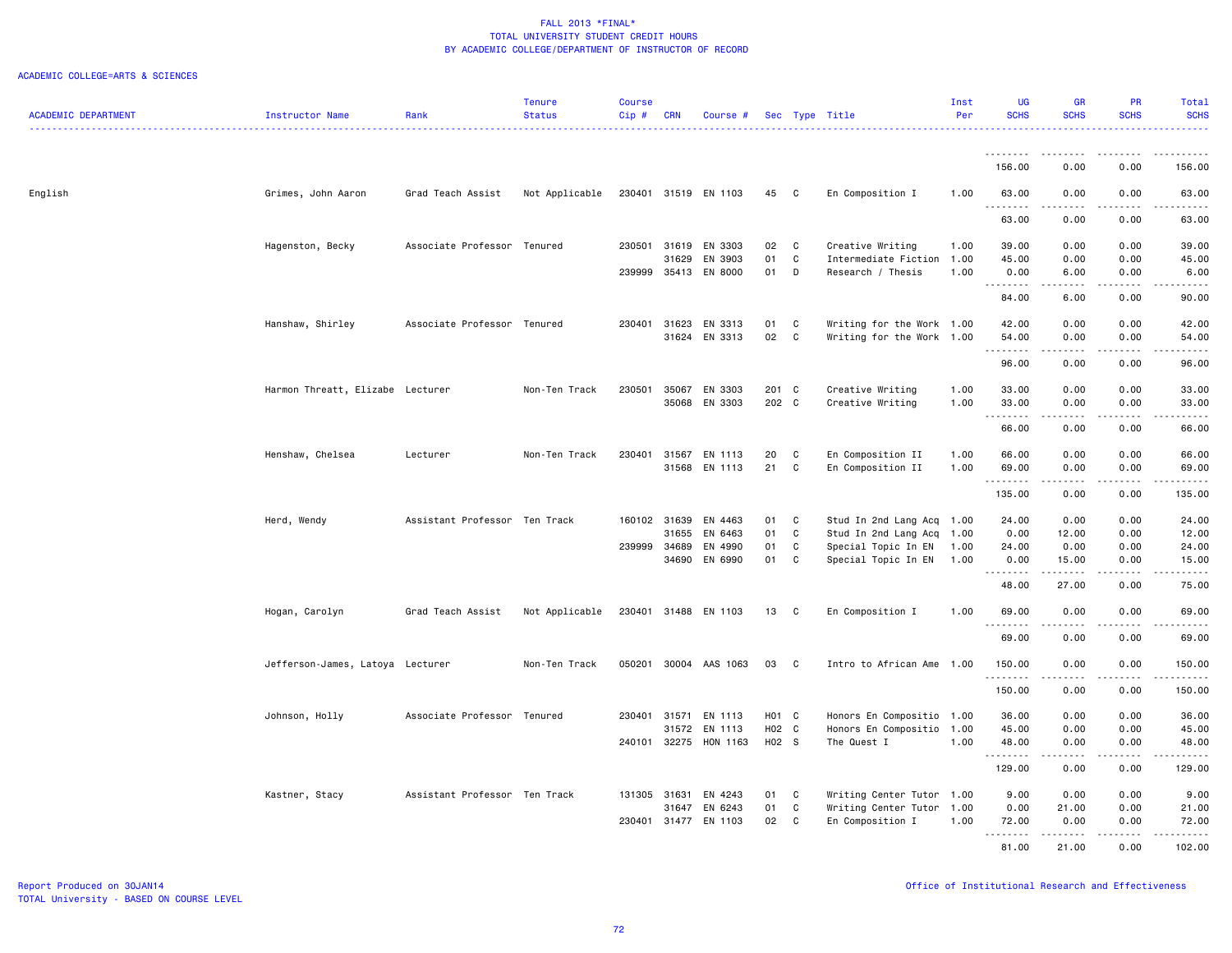|                            |                                  |                               | <b>Tenure</b>  | <b>Course</b> |                |                      |                   |        |                                               | Inst | <b>UG</b>         | <b>GR</b>                                                                                                                                                    | <b>PR</b>       | Total                |
|----------------------------|----------------------------------|-------------------------------|----------------|---------------|----------------|----------------------|-------------------|--------|-----------------------------------------------|------|-------------------|--------------------------------------------------------------------------------------------------------------------------------------------------------------|-----------------|----------------------|
| <b>ACADEMIC DEPARTMENT</b> | Instructor Name                  | Rank                          | <b>Status</b>  | Cip#          | <b>CRN</b>     | Course #             |                   |        | Sec Type Title                                | Per  | <b>SCHS</b>       | <b>SCHS</b>                                                                                                                                                  | <b>SCHS</b>     | <b>SCHS</b>          |
|                            |                                  |                               |                |               |                |                      |                   |        |                                               |      |                   |                                                                                                                                                              |                 | .                    |
|                            |                                  |                               |                |               |                |                      |                   |        |                                               |      |                   |                                                                                                                                                              |                 |                      |
|                            |                                  |                               |                |               |                |                      |                   |        |                                               |      | 156.00            | 0.00                                                                                                                                                         | 0.00            | 156.00               |
| English                    | Grimes, John Aaron               | Grad Teach Assist             | Not Applicable |               |                | 230401 31519 EN 1103 | 45                | C      | En Composition I                              | 1.00 | 63.00             | 0.00                                                                                                                                                         | 0.00            | 63.00                |
|                            |                                  |                               |                |               |                |                      |                   |        |                                               |      | .                 | $- - - - -$                                                                                                                                                  | .               | .                    |
|                            |                                  |                               |                |               |                |                      |                   |        |                                               |      | 63.00             | 0.00                                                                                                                                                         | 0.00            | 63.00                |
|                            |                                  |                               |                |               |                |                      |                   |        |                                               |      |                   |                                                                                                                                                              |                 |                      |
|                            | Hagenston, Becky                 | Associate Professor Tenured   |                | 230501        | 31619<br>31629 | EN 3303<br>EN 3903   | 02<br>01          | C<br>C | Creative Writing<br>Intermediate Fiction 1.00 | 1.00 | 39.00<br>45.00    | 0.00<br>0.00                                                                                                                                                 | 0.00<br>0.00    | 39.00<br>45.00       |
|                            |                                  |                               |                | 239999 35413  |                | EN 8000              | 01                | D      | Research / Thesis                             | 1.00 | 0.00              | 6.00                                                                                                                                                         | 0.00            | 6.00                 |
|                            |                                  |                               |                |               |                |                      |                   |        |                                               |      | .                 | .                                                                                                                                                            | .               | .                    |
|                            |                                  |                               |                |               |                |                      |                   |        |                                               |      | 84.00             | 6.00                                                                                                                                                         | 0.00            | 90.00                |
|                            |                                  |                               |                |               |                |                      |                   |        |                                               |      |                   |                                                                                                                                                              |                 |                      |
|                            | Hanshaw, Shirley                 | Associate Professor Tenured   |                | 230401        | 31623          | EN 3313<br>EN 3313   | 01                | C<br>C | Writing for the Work 1.00                     |      | 42.00             | 0.00                                                                                                                                                         | 0.00<br>0.00    | 42.00                |
|                            |                                  |                               |                |               | 31624          |                      | 02                |        | Writing for the Work 1.00                     |      | 54.00<br><u>.</u> | 0.00                                                                                                                                                         |                 | 54.00<br>$- - - - -$ |
|                            |                                  |                               |                |               |                |                      |                   |        |                                               |      | 96.00             | 0.00                                                                                                                                                         | 0.00            | 96.00                |
|                            |                                  |                               |                |               |                |                      |                   |        |                                               |      |                   |                                                                                                                                                              |                 |                      |
|                            | Harmon Threatt, Elizabe Lecturer |                               | Non-Ten Track  | 230501        | 35067          | EN 3303              | 201 C             |        | Creative Writing                              | 1.00 | 33.00             | 0.00                                                                                                                                                         | 0.00            | 33.00                |
|                            |                                  |                               |                |               | 35068          | EN 3303              | 202 C             |        | Creative Writing                              | 1.00 | 33.00             | 0.00                                                                                                                                                         | 0.00            | 33.00                |
|                            |                                  |                               |                |               |                |                      |                   |        |                                               |      | .<br>66.00        | $\frac{1}{2} \left( \frac{1}{2} \right) \left( \frac{1}{2} \right) \left( \frac{1}{2} \right) \left( \frac{1}{2} \right) \left( \frac{1}{2} \right)$<br>0.00 | .<br>0.00       | .<br>66.00           |
|                            |                                  |                               |                |               |                |                      |                   |        |                                               |      |                   |                                                                                                                                                              |                 |                      |
|                            | Henshaw, Chelsea                 | Lecturer                      | Non-Ten Track  | 230401        | 31567          | EN 1113              | 20                | C      | En Composition II                             | 1.00 | 66.00             | 0.00                                                                                                                                                         | 0.00            | 66.00                |
|                            |                                  |                               |                |               | 31568          | EN 1113              | 21                | C      | En Composition II                             | 1.00 | 69.00             | 0.00                                                                                                                                                         | 0.00            | 69.00                |
|                            |                                  |                               |                |               |                |                      |                   |        |                                               |      | .                 | $\frac{1}{2} \left( \frac{1}{2} \right) \left( \frac{1}{2} \right) \left( \frac{1}{2} \right) \left( \frac{1}{2} \right) \left( \frac{1}{2} \right)$         | .               | .                    |
|                            |                                  |                               |                |               |                |                      |                   |        |                                               |      | 135.00            | 0.00                                                                                                                                                         | 0.00            | 135.00               |
|                            | Herd, Wendy                      | Assistant Professor Ten Track |                | 160102 31639  |                | EN 4463              | 01                | C      | Stud In 2nd Lang Acq 1.00                     |      | 24.00             | 0.00                                                                                                                                                         | 0.00            | 24.00                |
|                            |                                  |                               |                |               | 31655          | EN 6463              | 01                | C      | Stud In 2nd Lang Acq 1.00                     |      | 0.00              | 12.00                                                                                                                                                        | 0.00            | 12.00                |
|                            |                                  |                               |                | 239999 34689  |                | EN 4990              | 01                | C      | Special Topic In EN                           | 1.00 | 24.00             | 0.00                                                                                                                                                         | 0.00            | 24.00                |
|                            |                                  |                               |                |               | 34690          | EN 6990              | 01                | C      | Special Topic In EN                           | 1.00 | 0.00              | 15.00                                                                                                                                                        | 0.00            | 15.00                |
|                            |                                  |                               |                |               |                |                      |                   |        |                                               |      | .<br>48.00        | $- - - - -$<br>27.00                                                                                                                                         | .<br>0.00       | .<br>75.00           |
|                            |                                  |                               |                |               |                |                      |                   |        |                                               |      |                   |                                                                                                                                                              |                 |                      |
|                            | Hogan, Carolyn                   | Grad Teach Assist             | Not Applicable |               |                | 230401 31488 EN 1103 | 13                | C      | En Composition I                              | 1.00 | 69.00             | 0.00                                                                                                                                                         | 0.00            | 69.00                |
|                            |                                  |                               |                |               |                |                      |                   |        |                                               |      | .                 | $\frac{1}{2} \left( \frac{1}{2} \right) \left( \frac{1}{2} \right) \left( \frac{1}{2} \right) \left( \frac{1}{2} \right) \left( \frac{1}{2} \right)$         | $\frac{1}{2}$   | .                    |
|                            |                                  |                               |                |               |                |                      |                   |        |                                               |      | 69.00             | 0.00                                                                                                                                                         | 0.00            | 69.00                |
|                            | Jefferson-James, Latoya Lecturer |                               | Non-Ten Track  | 050201        |                | 30004 AAS 1063       | 03                | C      | Intro to African Ame 1.00                     |      | 150,00            | 0.00                                                                                                                                                         | 0.00            | 150.00               |
|                            |                                  |                               |                |               |                |                      |                   |        |                                               |      | .                 | .                                                                                                                                                            | .               | .                    |
|                            |                                  |                               |                |               |                |                      |                   |        |                                               |      | 150.00            | 0.00                                                                                                                                                         | 0.00            | 150.00               |
|                            |                                  |                               |                |               |                |                      |                   |        |                                               |      |                   |                                                                                                                                                              |                 |                      |
|                            | Johnson, Holly                   | Associate Professor Tenured   |                | 230401 31571  |                | EN 1113              | H <sub>01</sub> C |        | Honors En Compositio 1.00                     |      | 36.00             | 0.00                                                                                                                                                         | 0.00            | 36.00                |
|                            |                                  |                               |                |               | 31572          | EN 1113              | H02 C             |        | Honors En Compositio                          | 1.00 | 45.00             | 0.00                                                                                                                                                         | 0.00            | 45.00                |
|                            |                                  |                               |                | 240101 32275  |                | HON 1163             | H02 S             |        | The Quest I                                   | 1.00 | 48.00<br>.        | 0.00<br>$\frac{1}{2} \left( \frac{1}{2} \right) \left( \frac{1}{2} \right) \left( \frac{1}{2} \right) \left( \frac{1}{2} \right) \left( \frac{1}{2} \right)$ | 0.00<br>د د د د | 48.00<br>.           |
|                            |                                  |                               |                |               |                |                      |                   |        |                                               |      | 129.00            | 0.00                                                                                                                                                         | 0.00            | 129.00               |
|                            |                                  |                               |                |               |                |                      |                   |        |                                               |      |                   |                                                                                                                                                              |                 |                      |
|                            | Kastner, Stacy                   | Assistant Professor Ten Track |                |               | 131305 31631   | EN 4243              | 01                | C      | Writing Center Tutor 1.00                     |      | 9.00              | 0.00                                                                                                                                                         | 0.00            | 9.00                 |
|                            |                                  |                               |                |               | 31647          | EN 6243              | 01                | C      | Writing Center Tutor 1.00                     |      | 0.00              | 21.00                                                                                                                                                        | 0.00            | 21.00                |
|                            |                                  |                               |                | 230401        | 31477          | EN 1103              | 02                | C      | En Composition I                              | 1.00 | 72.00<br>.        | 0.00                                                                                                                                                         | 0.00            | 72.00                |
|                            |                                  |                               |                |               |                |                      |                   |        |                                               |      | 81.00             | .<br>21.00                                                                                                                                                   | .<br>0.00       | .<br>102.00          |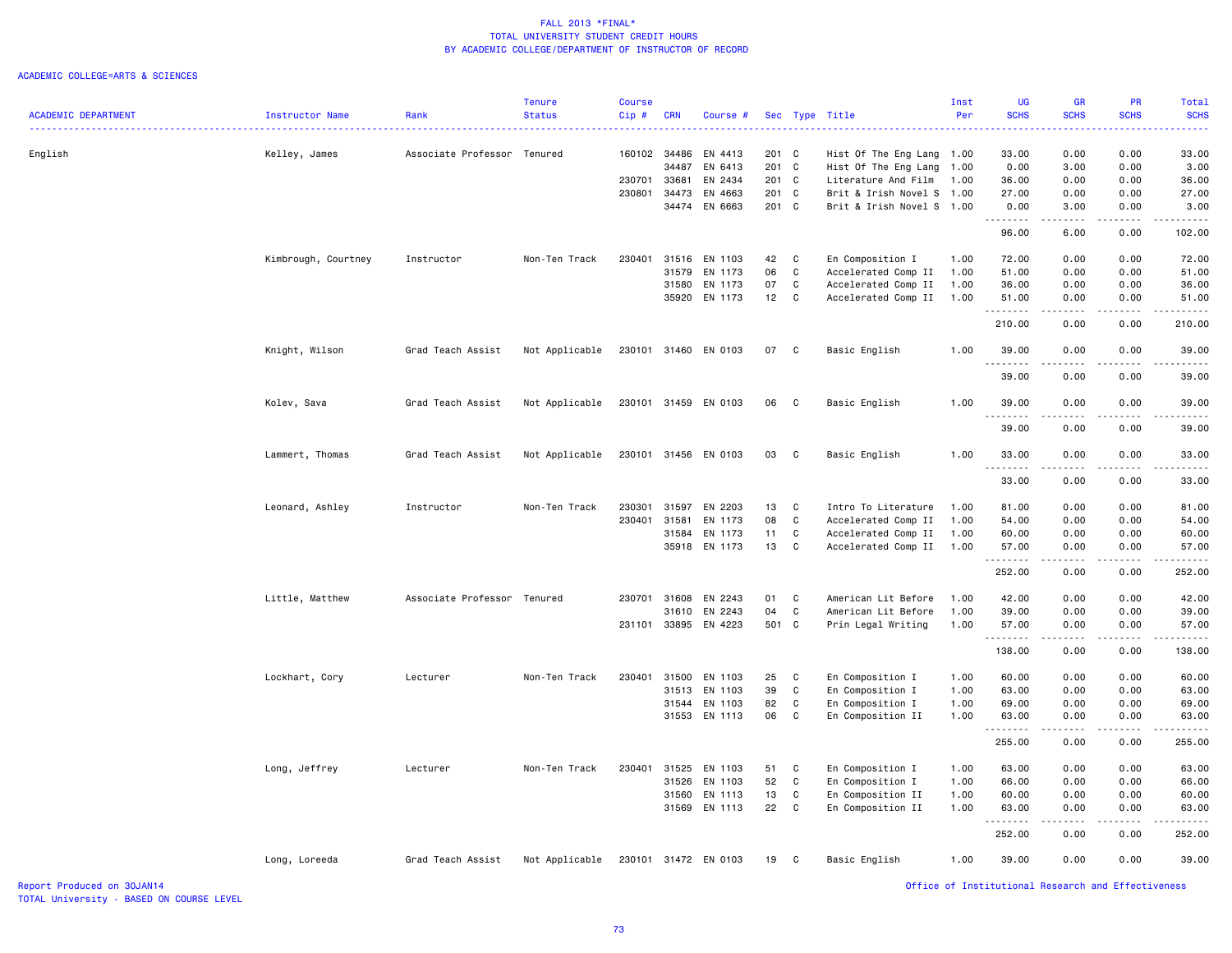#### ACADEMIC COLLEGE=ARTS & SCIENCES

| <b>ACADEMIC DEPARTMENT</b> | Instructor Name     | Rank                        | <b>Tenure</b><br><b>Status</b> | <b>Course</b><br>Cip# | <b>CRN</b> | Course #             |       |              | Sec Type Title            | Inst<br>Per | UG<br><b>SCHS</b>                                  | <b>GR</b><br><b>SCHS</b> | PR<br><b>SCHS</b>     | Total<br><b>SCHS</b> |
|----------------------------|---------------------|-----------------------------|--------------------------------|-----------------------|------------|----------------------|-------|--------------|---------------------------|-------------|----------------------------------------------------|--------------------------|-----------------------|----------------------|
|                            |                     |                             |                                |                       |            |                      |       |              |                           |             |                                                    |                          |                       |                      |
| English                    | Kelley, James       | Associate Professor Tenured |                                | 160102                | 34486      | EN 4413              | 201 C |              | Hist Of The Eng Lang      | 1.00        | 33.00                                              | 0.00                     | 0.00                  | 33.00                |
|                            |                     |                             |                                |                       | 34487      | EN 6413              | 201 C |              | Hist Of The Eng Lang      | 1.00        | 0.00                                               | 3.00                     | 0.00                  | 3.00                 |
|                            |                     |                             |                                | 230701                | 33681      | EN 2434              | 201 C |              | Literature And Film       | 1.00        | 36.00                                              | 0.00                     | 0.00                  | 36.00                |
|                            |                     |                             |                                | 230801                | 34473      | EN 4663              | 201   | C            | Brit & Irish Novel S 1.00 |             | 27.00                                              | 0.00                     | 0.00                  | 27.00                |
|                            |                     |                             |                                |                       |            | 34474 EN 6663        | 201 C |              | Brit & Irish Novel S 1.00 |             | 0.00<br>.                                          | 3,00<br>.                | 0.00<br>.             | 3.00<br>.            |
|                            |                     |                             |                                |                       |            |                      |       |              |                           |             | 96.00                                              | 6.00                     | 0.00                  | 102.00               |
|                            | Kimbrough, Courtney | Instructor                  | Non-Ten Track                  | 230401                |            | 31516 EN 1103        | 42    | C            | En Composition I          | 1.00        | 72.00                                              | 0.00                     | 0.00                  | 72.00                |
|                            |                     |                             |                                |                       | 31579      | EN 1173              | 06    | $\mathbf C$  | Accelerated Comp II       | 1.00        | 51.00                                              | 0.00                     | 0.00                  | 51.00                |
|                            |                     |                             |                                |                       | 31580      | EN 1173              | 07    | C            | Accelerated Comp II       | 1.00        | 36.00                                              | 0.00                     | 0.00                  | 36.00                |
|                            |                     |                             |                                |                       |            | 35920 EN 1173        | 12    | C            | Accelerated Comp II       | 1.00        | 51.00                                              | 0.00                     | 0.00                  | 51.00                |
|                            |                     |                             |                                |                       |            |                      |       |              |                           |             | .<br>210.00                                        | د د د د<br>0.00          | .<br>0.00             | 210.00               |
|                            | Knight, Wilson      | Grad Teach Assist           | Not Applicable                 |                       |            | 230101 31460 EN 0103 | 07    | C            | Basic English             | 1.00        | 39.00                                              | 0.00                     | 0.00                  | 39.00                |
|                            |                     |                             |                                |                       |            |                      |       |              |                           |             | 39.00                                              | 0.00                     | 0.00                  | 39.00                |
|                            | Kolev, Sava         | Grad Teach Assist           | Not Applicable                 |                       |            | 230101 31459 EN 0103 | 06    | $\mathbf{C}$ | Basic English             | 1.00        | 39.00                                              | 0.00                     | 0.00                  | 39.00                |
|                            |                     |                             |                                |                       |            |                      |       |              |                           |             | 39.00                                              | 0.00                     | 0.00                  | 39.00                |
|                            | Lammert, Thomas     | Grad Teach Assist           | Not Applicable                 |                       |            | 230101 31456 EN 0103 | 03    | C            | Basic English             | 1.00        | 33.00                                              | 0.00                     | 0.00                  | 33.00                |
|                            |                     |                             |                                |                       |            |                      |       |              |                           |             | .<br>33.00                                         | 0.00                     | 0.00                  | 33.00                |
|                            | Leonard, Ashley     | Instructor                  | Non-Ten Track                  | 230301                | 31597      | EN 2203              | 13    | C            | Intro To Literature       | 1.00        | 81.00                                              | 0.00                     | 0.00                  | 81.00                |
|                            |                     |                             |                                | 230401                | 31581      | EN 1173              | 08    | C            | Accelerated Comp II       | 1.00        | 54.00                                              | 0.00                     | 0.00                  | 54.00                |
|                            |                     |                             |                                |                       |            | 31584 EN 1173        | 11    | $\mathbf C$  | Accelerated Comp II       | 1.00        | 60.00                                              | 0.00                     | 0.00                  | 60.00                |
|                            |                     |                             |                                |                       |            | 35918 EN 1173        | 13    | C            | Accelerated Comp II       | 1.00        | 57.00<br><u>.</u>                                  | 0.00<br>.                | 0.00<br>$- - - - -$   | 57.00<br>.           |
|                            |                     |                             |                                |                       |            |                      |       |              |                           |             | 252.00                                             | 0.00                     | 0.00                  | 252.00               |
|                            | Little, Matthew     | Associate Professor Tenured |                                |                       |            | 230701 31608 EN 2243 | 01    | C            | American Lit Before       | 1.00        | 42.00                                              | 0.00                     | 0.00                  | 42.00                |
|                            |                     |                             |                                |                       | 31610      | EN 2243              | 04    | C            | American Lit Before       | 1.00        | 39.00                                              | 0.00                     | 0.00                  | 39.00                |
|                            |                     |                             |                                | 231101                |            | 33895 EN 4223        | 501 C |              | Prin Legal Writing        | 1.00        | 57.00                                              | 0.00                     | 0.00                  | 57.00                |
|                            |                     |                             |                                |                       |            |                      |       |              |                           |             | .                                                  |                          |                       |                      |
|                            |                     |                             |                                |                       |            |                      |       |              |                           |             | 138.00                                             | 0.00                     | 0.00                  | 138.00               |
|                            | Lockhart, Cory      | Lecturer                    | Non-Ten Track                  | 230401                | 31500      | EN 1103              | 25    | C            | En Composition I          | 1.00        | 60.00                                              | 0.00                     | 0.00                  | 60.00                |
|                            |                     |                             |                                |                       |            | 31513 EN 1103        | 39    | C            | En Composition I          | 1.00        | 63.00                                              | 0.00                     | 0.00                  | 63.00                |
|                            |                     |                             |                                |                       |            | 31544 EN 1103        | 82    | C            | En Composition I          | 1.00        | 69.00                                              | 0.00                     | 0.00                  | 69.00                |
|                            |                     |                             |                                |                       |            | 31553 EN 1113        | 06    | C            | En Composition II         | 1.00        | 63.00<br>. <b>.</b>                                | 0.00<br>.                | 0.00<br>$\frac{1}{2}$ | 63.00<br><u>.</u>    |
|                            |                     |                             |                                |                       |            |                      |       |              |                           |             | 255.00                                             | 0.00                     | 0.00                  | 255.00               |
|                            | Long, Jeffrey       | Lecturer                    | Non-Ten Track                  | 230401                |            | 31525 EN 1103        | 51    | C            | En Composition I          | 1.00        | 63.00                                              | 0.00                     | 0.00                  | 63.00                |
|                            |                     |                             |                                |                       | 31526      | EN 1103              | 52    | C            | En Composition I          | 1.00        | 66.00                                              | 0.00                     | 0.00                  | 66.00                |
|                            |                     |                             |                                |                       | 31560      | EN 1113              | 13    | C            | En Composition II         | 1.00        | 60.00                                              | 0.00                     | 0.00                  | 60.00                |
|                            |                     |                             |                                |                       |            | 31569 EN 1113        | 22    | C            | En Composition II         | 1.00        | 63.00                                              | 0.00                     | 0.00                  | 63.00                |
|                            |                     |                             |                                |                       |            |                      |       |              |                           |             | 252.00                                             | 0.00                     | 0.00                  | 252.00               |
|                            | Long, Loreeda       | Grad Teach Assist           | Not Applicable                 |                       |            | 230101 31472 EN 0103 | 19    | $\mathbf{C}$ | Basic English             | 1.00        | 39.00                                              | 0.00                     | 0.00                  | 39.00                |
| Report Produced on 30JAN14 |                     |                             |                                |                       |            |                      |       |              |                           |             | Office of Institutional Research and Effectiveness |                          |                       |                      |

TOTAL University - BASED ON COURSE LEVEL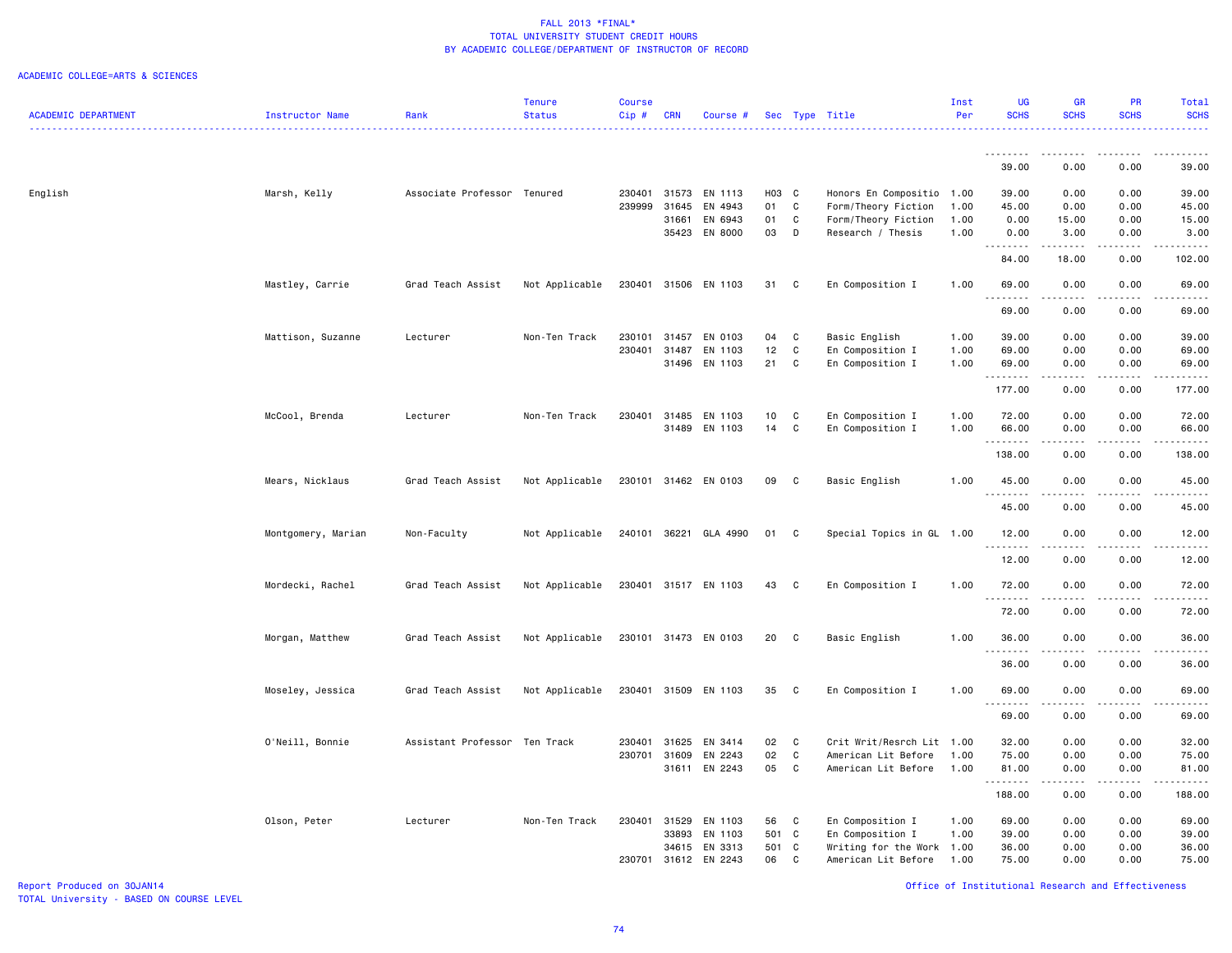### ACADEMIC COLLEGE=ARTS & SCIENCES

|                            |                        |                               | <b>Tenure</b>  | <b>Course</b> |            |                      |       |              |                           | Inst | UG                                                                                                                                                            | <b>GR</b>                                                                                                                         | <b>PR</b>                                                                                                                         | Total              |
|----------------------------|------------------------|-------------------------------|----------------|---------------|------------|----------------------|-------|--------------|---------------------------|------|---------------------------------------------------------------------------------------------------------------------------------------------------------------|-----------------------------------------------------------------------------------------------------------------------------------|-----------------------------------------------------------------------------------------------------------------------------------|--------------------|
| <b>ACADEMIC DEPARTMENT</b> | <b>Instructor Name</b> | Rank                          | <b>Status</b>  | Cip#          | <b>CRN</b> | Course #             |       |              | Sec Type Title            | Per  | <b>SCHS</b>                                                                                                                                                   | <b>SCHS</b>                                                                                                                       | <b>SCHS</b>                                                                                                                       | <b>SCHS</b>        |
|                            |                        |                               |                |               |            |                      |       |              |                           |      |                                                                                                                                                               |                                                                                                                                   |                                                                                                                                   |                    |
|                            |                        |                               |                |               |            |                      |       |              |                           |      | 39.00                                                                                                                                                         | 0.00                                                                                                                              | 0.00                                                                                                                              | 39.00              |
| English                    | Marsh, Kelly           | Associate Professor Tenured   |                | 230401        | 31573      | EN 1113              | H03 C |              | Honors En Compositio 1.00 |      | 39.00                                                                                                                                                         | 0.00                                                                                                                              | 0.00                                                                                                                              | 39.00              |
|                            |                        |                               |                | 239999        | 31645      | EN 4943              | 01    | $\mathtt{C}$ | Form/Theory Fiction       | 1.00 | 45.00                                                                                                                                                         | 0.00                                                                                                                              | 0.00                                                                                                                              | 45.00              |
|                            |                        |                               |                |               | 31661      | EN 6943              | 01    | C            | Form/Theory Fiction       | 1.00 | 0.00                                                                                                                                                          | 15.00                                                                                                                             | 0.00                                                                                                                              | 15.00              |
|                            |                        |                               |                |               |            | 35423 EN 8000        | 03    | D            | Research / Thesis         | 1.00 | 0.00<br>.                                                                                                                                                     | 3.00<br>.                                                                                                                         | 0.00<br>.                                                                                                                         | 3.00<br>.          |
|                            |                        |                               |                |               |            |                      |       |              |                           |      | 84.00                                                                                                                                                         | 18.00                                                                                                                             | 0.00                                                                                                                              | 102.00             |
|                            | Mastley, Carrie        | Grad Teach Assist             | Not Applicable |               |            | 230401 31506 EN 1103 | 31    | C            | En Composition I          | 1.00 | 69.00<br>1.1.1.1.1.1.1                                                                                                                                        | 0.00<br><b>.</b>                                                                                                                  | 0.00<br>.                                                                                                                         | 69.00<br>والمستحدث |
|                            |                        |                               |                |               |            |                      |       |              |                           |      | 69.00                                                                                                                                                         | 0.00                                                                                                                              | 0.00                                                                                                                              | 69.00              |
|                            | Mattison, Suzanne      | Lecturer                      | Non-Ten Track  | 230101        | 31457      | EN 0103              | 04    | C            | Basic English             | 1.00 | 39.00                                                                                                                                                         | 0.00                                                                                                                              | 0.00                                                                                                                              | 39.00              |
|                            |                        |                               |                | 230401        | 31487      | EN 1103              | 12    | C            | En Composition I          | 1.00 | 69.00                                                                                                                                                         | 0.00                                                                                                                              | 0.00                                                                                                                              | 69.00              |
|                            |                        |                               |                |               | 31496      | EN 1103              | 21    | C            | En Composition I          | 1.00 | 69.00<br>.                                                                                                                                                    | 0.00<br>.                                                                                                                         | 0.00<br>$\omega$ is a $\omega$                                                                                                    | 69.00<br>.         |
|                            |                        |                               |                |               |            |                      |       |              |                           |      | 177.00                                                                                                                                                        | 0.00                                                                                                                              | 0.00                                                                                                                              | 177.00             |
|                            | McCool, Brenda         | Lecturer                      | Non-Ten Track  | 230401        | 31485      | EN 1103              | 10    | C            | En Composition I          | 1.00 | 72.00                                                                                                                                                         | 0.00                                                                                                                              | 0.00                                                                                                                              | 72.00              |
|                            |                        |                               |                |               | 31489      | EN 1103              | 14    | C            | En Composition I          | 1.00 | 66.00                                                                                                                                                         | 0.00                                                                                                                              | 0.00                                                                                                                              | 66.00              |
|                            |                        |                               |                |               |            |                      |       |              |                           |      | .<br>138.00                                                                                                                                                   | 0.00                                                                                                                              | 0.00                                                                                                                              | 138.00             |
|                            | Mears, Nicklaus        | Grad Teach Assist             | Not Applicable |               |            | 230101 31462 EN 0103 | 09    | C            | Basic English             | 1.00 | 45.00                                                                                                                                                         | 0.00                                                                                                                              | 0.00                                                                                                                              | 45.00              |
|                            |                        |                               |                |               |            |                      |       |              |                           |      | 45.00                                                                                                                                                         | 0.00                                                                                                                              | 0.00                                                                                                                              | 45.00              |
|                            | Montgomery, Marian     | Non-Faculty                   | Not Applicable | 240101 36221  |            | GLA 4990             | 01    | C            | Special Topics in GL 1.00 |      | 12.00                                                                                                                                                         | 0.00                                                                                                                              | 0.00                                                                                                                              | 12.00              |
|                            |                        |                               |                |               |            |                      |       |              |                           |      | <u>.</u>                                                                                                                                                      | .                                                                                                                                 | .                                                                                                                                 | .                  |
|                            |                        |                               |                |               |            |                      |       |              |                           |      | 12.00                                                                                                                                                         | 0.00                                                                                                                              | 0.00                                                                                                                              | 12.00              |
|                            | Mordecki, Rachel       | Grad Teach Assist             | Not Applicable |               |            | 230401 31517 EN 1103 | 43    | C            | En Composition I          | 1.00 | 72.00<br><u>.</u>                                                                                                                                             | 0.00                                                                                                                              | 0.00                                                                                                                              | 72.00              |
|                            |                        |                               |                |               |            |                      |       |              |                           |      | 72.00                                                                                                                                                         | 0.00                                                                                                                              | 0.00                                                                                                                              | 72.00              |
|                            | Morgan, Matthew        | Grad Teach Assist             | Not Applicable |               |            | 230101 31473 EN 0103 | 20    | C            | Basic English             | 1.00 | 36.00                                                                                                                                                         | 0.00                                                                                                                              | 0.00                                                                                                                              | 36.00              |
|                            |                        |                               |                |               |            |                      |       |              |                           |      | .<br>36.00                                                                                                                                                    | 0.00                                                                                                                              | 0.00                                                                                                                              | 36.00              |
|                            | Moseley, Jessica       | Grad Teach Assist             | Not Applicable |               |            | 230401 31509 EN 1103 | 35    | C            | En Composition I          | 1.00 | 69.00                                                                                                                                                         | 0.00                                                                                                                              | 0.00                                                                                                                              | 69.00              |
|                            |                        |                               |                |               |            |                      |       |              |                           |      | $\frac{1}{2} \left( \frac{1}{2} \right) \left( \frac{1}{2} \right) \left( \frac{1}{2} \right) \left( \frac{1}{2} \right) \left( \frac{1}{2} \right)$<br>69.00 | $\frac{1}{2} \left( \frac{1}{2} \right) \left( \frac{1}{2} \right) \left( \frac{1}{2} \right) \left( \frac{1}{2} \right)$<br>0.00 | $\frac{1}{2} \left( \frac{1}{2} \right) \left( \frac{1}{2} \right) \left( \frac{1}{2} \right) \left( \frac{1}{2} \right)$<br>0.00 | 69.00              |
|                            | O'Neill, Bonnie        | Assistant Professor Ten Track |                | 230401        | 31625      | EN 3414              | 02    | C            | Crit Writ/Resrch Lit 1.00 |      | 32.00                                                                                                                                                         | 0.00                                                                                                                              | 0.00                                                                                                                              | 32.00              |
|                            |                        |                               |                | 230701 31609  |            | EN 2243              | 02    | $\mathtt{C}$ | American Lit Before       | 1.00 | 75.00                                                                                                                                                         | 0.00                                                                                                                              | 0.00                                                                                                                              | 75.00              |
|                            |                        |                               |                |               |            | 31611 EN 2243        | 05    | C            | American Lit Before       | 1.00 | 81.00                                                                                                                                                         | 0.00                                                                                                                              | 0.00                                                                                                                              | 81.00              |
|                            |                        |                               |                |               |            |                      |       |              |                           |      | .<br>188.00                                                                                                                                                   | 0.00                                                                                                                              | 0.00                                                                                                                              | .<br>188.00        |
|                            | Olson, Peter           | Lecturer                      | Non-Ten Track  | 230401        | 31529      | EN 1103              | 56    | C            | En Composition I          | 1.00 | 69.00                                                                                                                                                         | 0.00                                                                                                                              | 0.00                                                                                                                              | 69.00              |
|                            |                        |                               |                |               | 33893      | EN 1103              | 501   | C            | En Composition I          | 1.00 | 39.00                                                                                                                                                         | 0.00                                                                                                                              | 0.00                                                                                                                              | 39.00              |
|                            |                        |                               |                |               | 34615      | EN 3313              | 501 C |              | Writing for the Work 1.00 |      | 36.00                                                                                                                                                         | 0.00                                                                                                                              | 0.00                                                                                                                              | 36.00              |
|                            |                        |                               |                | 230701        | 31612      | EN 2243              | 06    | C            | American Lit Before       | 1.00 | 75.00                                                                                                                                                         | 0.00                                                                                                                              | 0.00                                                                                                                              | 75.00              |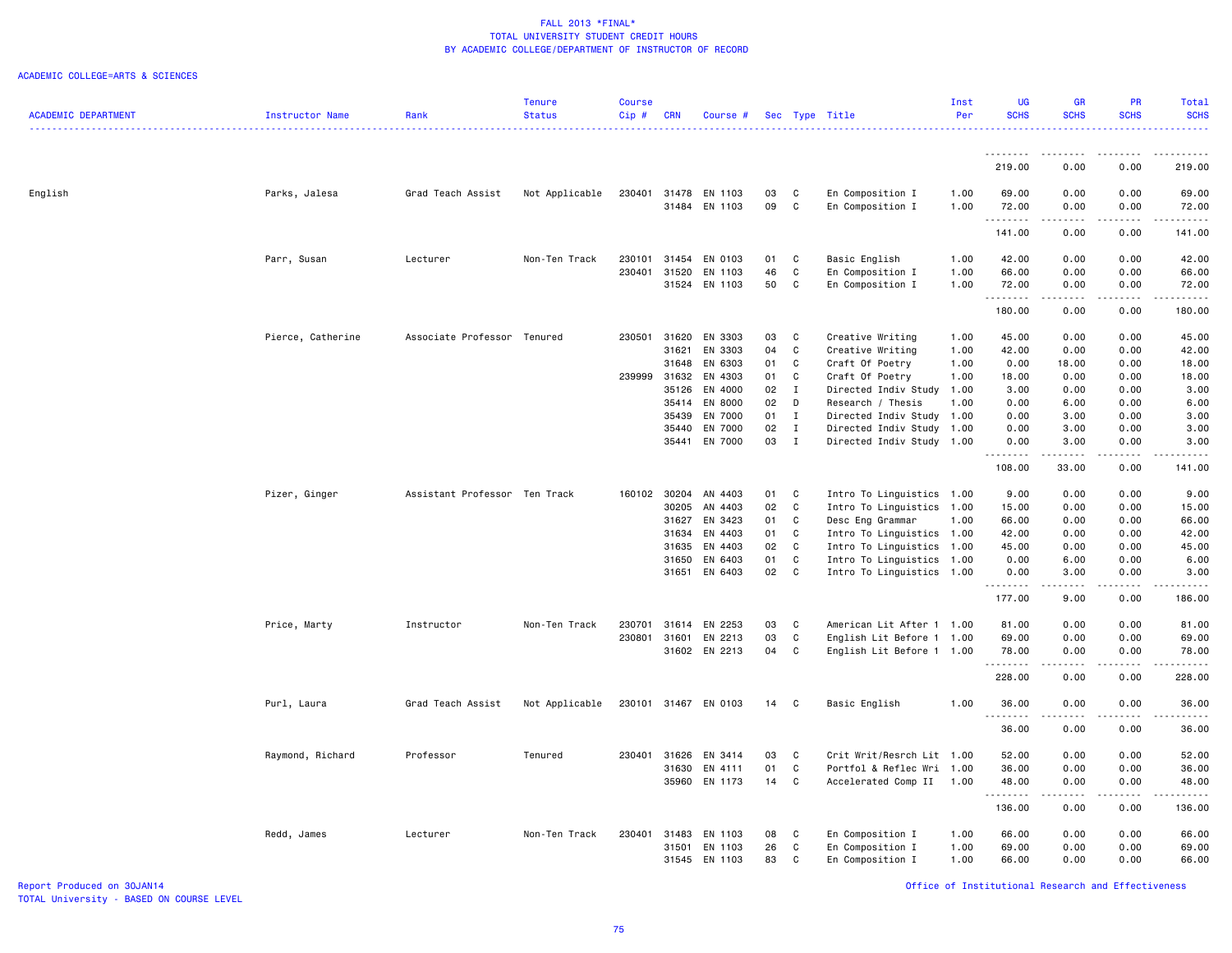#### ACADEMIC COLLEGE=ARTS & SCIENCES

|                            |                   |                               | <b>Tenure</b>  | <b>Course</b>    |                |                          |          |                   |                                                        | Inst         | <b>UG</b>          | <b>GR</b>                                                                                                                                                    | <b>PR</b>                                                                                                                                                    | Total                                                                                                                                                                                     |
|----------------------------|-------------------|-------------------------------|----------------|------------------|----------------|--------------------------|----------|-------------------|--------------------------------------------------------|--------------|--------------------|--------------------------------------------------------------------------------------------------------------------------------------------------------------|--------------------------------------------------------------------------------------------------------------------------------------------------------------|-------------------------------------------------------------------------------------------------------------------------------------------------------------------------------------------|
| <b>ACADEMIC DEPARTMENT</b> | Instructor Name   | Rank                          | <b>Status</b>  | Cip#             | <b>CRN</b>     | Course #                 |          |                   | Sec Type Title                                         | Per          | <b>SCHS</b>        | <b>SCHS</b>                                                                                                                                                  | <b>SCHS</b>                                                                                                                                                  | <b>SCHS</b><br>.                                                                                                                                                                          |
|                            |                   |                               |                |                  |                |                          |          |                   |                                                        |              |                    |                                                                                                                                                              |                                                                                                                                                              |                                                                                                                                                                                           |
|                            |                   |                               |                |                  |                |                          |          |                   |                                                        |              | <u>.</u><br>219.00 | .<br>0.00                                                                                                                                                    | .<br>0.00                                                                                                                                                    | $\frac{1}{2} \left( \frac{1}{2} \right) \left( \frac{1}{2} \right) \left( \frac{1}{2} \right) \left( \frac{1}{2} \right) \left( \frac{1}{2} \right) \left( \frac{1}{2} \right)$<br>219.00 |
| English                    | Parks, Jalesa     | Grad Teach Assist             | Not Applicable | 230401           |                | 31478 EN 1103            | 03       | C                 | En Composition I                                       | 1.00         | 69.00              | 0.00                                                                                                                                                         | 0.00                                                                                                                                                         | 69.00                                                                                                                                                                                     |
|                            |                   |                               |                |                  |                | 31484 EN 1103            | 09       | C                 | En Composition I                                       | 1.00         | 72.00              | 0.00                                                                                                                                                         | 0.00                                                                                                                                                         | 72.00                                                                                                                                                                                     |
|                            |                   |                               |                |                  |                |                          |          |                   |                                                        |              | .<br>141.00        | $\omega$ is $\omega$ in $\omega$<br>0.00                                                                                                                     | $\frac{1}{2} \left( \frac{1}{2} \right) \left( \frac{1}{2} \right) \left( \frac{1}{2} \right) \left( \frac{1}{2} \right) \left( \frac{1}{2} \right)$<br>0.00 | .<br>141.00                                                                                                                                                                               |
|                            |                   |                               |                |                  |                |                          |          |                   |                                                        |              |                    |                                                                                                                                                              |                                                                                                                                                              |                                                                                                                                                                                           |
|                            | Parr, Susan       | Lecturer                      | Non-Ten Track  | 230101<br>230401 | 31520          | 31454 EN 0103<br>EN 1103 | 01<br>46 | C<br>C            | Basic English<br>En Composition I                      | 1.00<br>1.00 | 42.00<br>66.00     | 0.00<br>0.00                                                                                                                                                 | 0.00<br>0.00                                                                                                                                                 | 42.00<br>66.00                                                                                                                                                                            |
|                            |                   |                               |                |                  |                | 31524 EN 1103            | 50       | C                 | En Composition I                                       | 1.00         | 72.00              | 0.00                                                                                                                                                         | 0.00                                                                                                                                                         | 72.00                                                                                                                                                                                     |
|                            |                   |                               |                |                  |                |                          |          |                   |                                                        |              | .                  | .                                                                                                                                                            |                                                                                                                                                              | .                                                                                                                                                                                         |
|                            |                   |                               |                |                  |                |                          |          |                   |                                                        |              | 180.00             | 0.00                                                                                                                                                         | 0.00                                                                                                                                                         | 180.00                                                                                                                                                                                    |
|                            | Pierce, Catherine | Associate Professor Tenured   |                | 230501           | 31620          | EN 3303                  | 03       | C                 | Creative Writing                                       | 1.00         | 45.00              | 0.00                                                                                                                                                         | 0.00                                                                                                                                                         | 45.00                                                                                                                                                                                     |
|                            |                   |                               |                |                  | 31621          | EN 3303                  | 04       | C                 | Creative Writing                                       | 1.00         | 42.00              | 0.00                                                                                                                                                         | 0.00                                                                                                                                                         | 42.00                                                                                                                                                                                     |
|                            |                   |                               |                |                  | 31648          | EN 6303                  | 01       | C                 | Craft Of Poetry                                        | 1.00         | 0.00               | 18.00                                                                                                                                                        | 0.00                                                                                                                                                         | 18.00                                                                                                                                                                                     |
|                            |                   |                               |                | 239999           | 31632          | EN 4303                  | 01       | C                 | Craft Of Poetry                                        | 1.00         | 18.00              | 0.00                                                                                                                                                         | 0.00                                                                                                                                                         | 18.00                                                                                                                                                                                     |
|                            |                   |                               |                |                  | 35126<br>35414 | EN 4000<br>EN 8000       | 02<br>02 | $\mathbf{I}$<br>D | Directed Indiv Study 1.00<br>Research / Thesis         | 1.00         | 3.00<br>0.00       | 0.00<br>6.00                                                                                                                                                 | 0.00<br>0.00                                                                                                                                                 | 3.00<br>6.00                                                                                                                                                                              |
|                            |                   |                               |                |                  | 35439          | EN 7000                  | 01       | $\mathbf{I}$      | Directed Indiv Study                                   | 1.00         | 0.00               | 3.00                                                                                                                                                         | 0.00                                                                                                                                                         | 3.00                                                                                                                                                                                      |
|                            |                   |                               |                |                  | 35440          | EN 7000                  | 02       | $\mathbf{I}$      | Directed Indiv Study 1.00                              |              | 0.00               | 3.00                                                                                                                                                         | 0.00                                                                                                                                                         | 3.00                                                                                                                                                                                      |
|                            |                   |                               |                |                  |                | 35441 EN 7000            | 03       | $\mathbf{I}$      | Directed Indiv Study 1.00                              |              | 0.00               | 3.00                                                                                                                                                         | 0.00                                                                                                                                                         | 3.00                                                                                                                                                                                      |
|                            |                   |                               |                |                  |                |                          |          |                   |                                                        |              | .<br>108.00        | .<br>33.00                                                                                                                                                   | .<br>0.00                                                                                                                                                    | 141.00                                                                                                                                                                                    |
|                            | Pizer, Ginger     | Assistant Professor Ten Track |                | 160102           | 30204          | AN 4403                  | 01       | C                 | Intro To Linguistics 1.00                              |              | 9.00               | 0.00                                                                                                                                                         | 0.00                                                                                                                                                         | 9.00                                                                                                                                                                                      |
|                            |                   |                               |                |                  | 30205          | AN 4403                  | 02       | C                 | Intro To Linguistics 1.00                              |              | 15.00              | 0.00                                                                                                                                                         | 0.00                                                                                                                                                         | 15.00                                                                                                                                                                                     |
|                            |                   |                               |                |                  | 31627          | EN 3423                  | 01       | C                 | Desc Eng Grammar                                       | 1.00         | 66.00              | 0.00                                                                                                                                                         | 0.00                                                                                                                                                         | 66.00                                                                                                                                                                                     |
|                            |                   |                               |                |                  | 31634          | EN 4403                  | 01       | C                 | Intro To Linguistics 1.00                              |              | 42.00              | 0.00                                                                                                                                                         | 0.00                                                                                                                                                         | 42.00                                                                                                                                                                                     |
|                            |                   |                               |                |                  | 31635          | EN 4403                  | 02       | C                 | Intro To Linguistics                                   | 1.00         | 45.00              | 0.00                                                                                                                                                         | 0.00                                                                                                                                                         | 45.00                                                                                                                                                                                     |
|                            |                   |                               |                |                  | 31650          | EN 6403<br>31651 EN 6403 | 01<br>02 | C<br>$\mathbf{C}$ | Intro To Linguistics 1.00<br>Intro To Linguistics 1.00 |              | 0.00<br>0.00       | 6.00<br>3.00                                                                                                                                                 | 0.00<br>0.00                                                                                                                                                 | 6.00<br>3.00                                                                                                                                                                              |
|                            |                   |                               |                |                  |                |                          |          |                   |                                                        |              | . <b>.</b>         |                                                                                                                                                              |                                                                                                                                                              |                                                                                                                                                                                           |
|                            |                   |                               |                |                  |                |                          |          |                   |                                                        |              | 177.00             | 9.00                                                                                                                                                         | 0.00                                                                                                                                                         | 186.00                                                                                                                                                                                    |
|                            | Price, Marty      | Instructor                    | Non-Ten Track  | 230701           | 31614          | EN 2253                  | 03       | C                 | American Lit After 1 1.00                              |              | 81.00              | 0.00                                                                                                                                                         | 0.00                                                                                                                                                         | 81.00                                                                                                                                                                                     |
|                            |                   |                               |                | 230801           | 31601          | EN 2213                  | 03       | C                 | English Lit Before 1 1.00                              |              | 69.00              | 0.00                                                                                                                                                         | 0.00                                                                                                                                                         | 69.00                                                                                                                                                                                     |
|                            |                   |                               |                |                  |                | 31602 EN 2213            | 04       | $\mathbf c$       | English Lit Before 1 1.00                              |              | 78.00<br>.         | 0.00<br>.                                                                                                                                                    | 0.00<br>.                                                                                                                                                    | 78.00<br>.                                                                                                                                                                                |
|                            |                   |                               |                |                  |                |                          |          |                   |                                                        |              | 228.00             | 0.00                                                                                                                                                         | 0.00                                                                                                                                                         | 228.00                                                                                                                                                                                    |
|                            | Purl, Laura       | Grad Teach Assist             | Not Applicable |                  |                | 230101 31467 EN 0103     | 14       | C                 | Basic English                                          | 1.00         | 36.00              | 0.00                                                                                                                                                         | 0.00                                                                                                                                                         | 36.00                                                                                                                                                                                     |
|                            |                   |                               |                |                  |                |                          |          |                   |                                                        |              | .<br>36.00         | $\frac{1}{2} \left( \frac{1}{2} \right) \left( \frac{1}{2} \right) \left( \frac{1}{2} \right) \left( \frac{1}{2} \right) \left( \frac{1}{2} \right)$<br>0.00 | $\frac{1}{2}$<br>0.00                                                                                                                                        | .<br>36.00                                                                                                                                                                                |
|                            | Raymond, Richard  | Professor                     | Tenured        |                  | 230401 31626   | EN 3414                  | 03       | C                 | Crit Writ/Resrch Lit 1.00                              |              | 52.00              | 0.00                                                                                                                                                         | 0.00                                                                                                                                                         | 52.00                                                                                                                                                                                     |
|                            |                   |                               |                |                  | 31630          | EN 4111                  | 01       | $\mathbf c$       | Portfol & Reflec Wri 1.00                              |              | 36.00              | 0.00                                                                                                                                                         | 0.00                                                                                                                                                         | 36.00                                                                                                                                                                                     |
|                            |                   |                               |                |                  |                | 35960 EN 1173            | 14       | $\mathbf c$       | Accelerated Comp II                                    | 1.00         | 48.00<br>.         | 0.00<br><b><i><u>.</u></i></b>                                                                                                                               | 0.00<br>.                                                                                                                                                    | 48.00<br><u>.</u>                                                                                                                                                                         |
|                            |                   |                               |                |                  |                |                          |          |                   |                                                        |              | 136.00             | 0.00                                                                                                                                                         | 0.00                                                                                                                                                         | 136.00                                                                                                                                                                                    |
|                            | Redd, James       | Lecturer                      | Non-Ten Track  | 230401           | 31483          | EN 1103                  | 08       | C                 | En Composition I                                       | 1.00         | 66.00              | 0.00                                                                                                                                                         | 0.00                                                                                                                                                         | 66.00                                                                                                                                                                                     |
|                            |                   |                               |                |                  | 31501          | EN 1103                  | 26       | $\mathbf c$       | En Composition I                                       | 1.00         | 69.00              | 0.00                                                                                                                                                         | 0.00                                                                                                                                                         | 69.00                                                                                                                                                                                     |
|                            |                   |                               |                |                  |                | 31545 EN 1103            | 83       | C                 | En Composition I                                       | 1.00         | 66.00              | 0.00                                                                                                                                                         | 0.00                                                                                                                                                         | 66.00                                                                                                                                                                                     |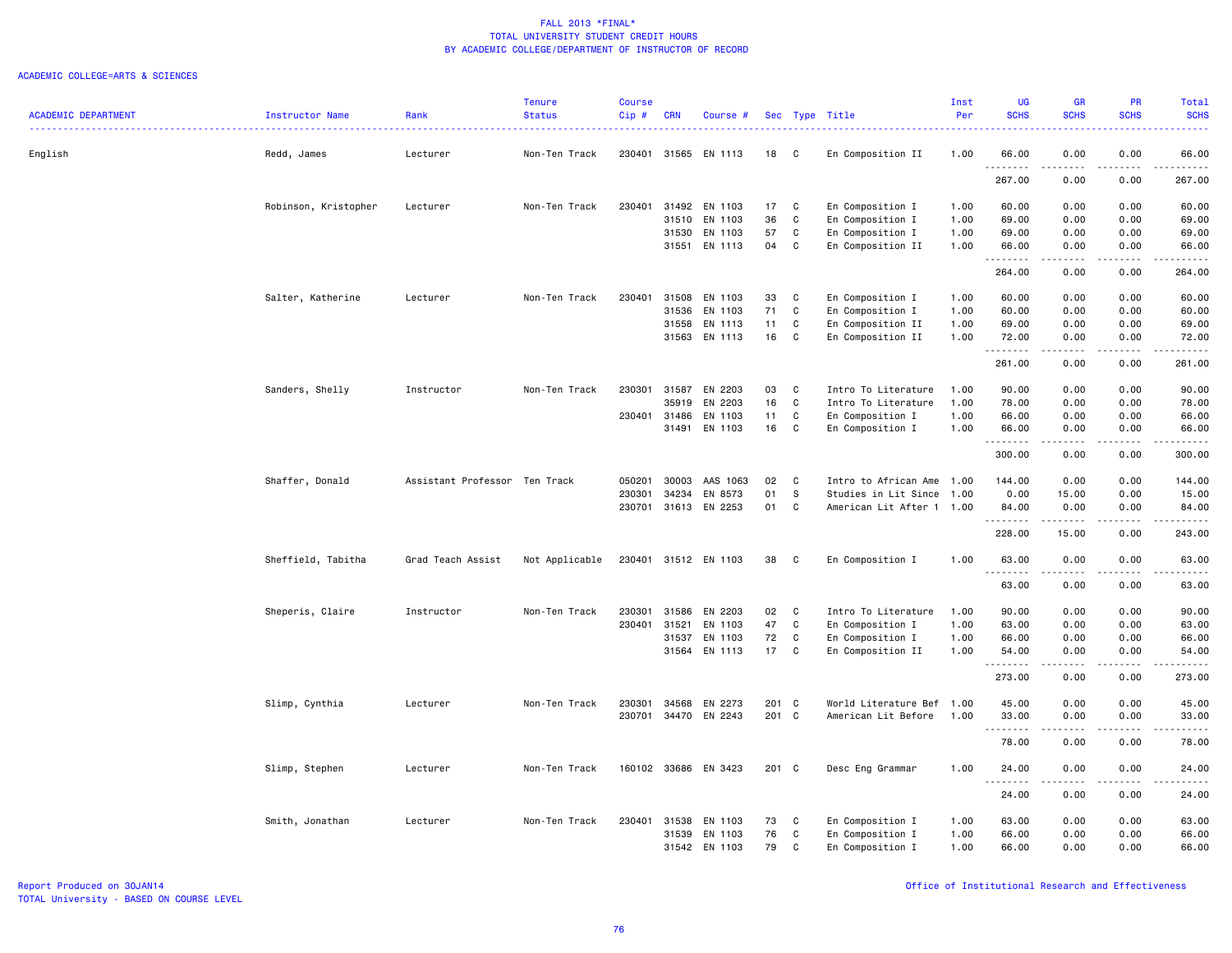|                            |                        |                               | <b>Tenure</b>  | <b>Course</b> |            |               |       |              |                           | Inst | <b>UG</b>              | <b>GR</b>   | <b>PR</b>             | Total                |
|----------------------------|------------------------|-------------------------------|----------------|---------------|------------|---------------|-------|--------------|---------------------------|------|------------------------|-------------|-----------------------|----------------------|
| <b>ACADEMIC DEPARTMENT</b> | <b>Instructor Name</b> | Rank                          | <b>Status</b>  | Cip #         | <b>CRN</b> | Course #      |       |              | Sec Type Title            | Per  | <b>SCHS</b>            | <b>SCHS</b> | <b>SCHS</b>           | <b>SCHS</b><br>.     |
| English                    | Redd, James            | Lecturer                      | Non-Ten Track  | 230401        | 31565      | EN 1113       | 18    | C            | En Composition II         | 1.00 | 66.00                  | 0.00        | 0.00                  | 66.00                |
|                            |                        |                               |                |               |            |               |       |              |                           |      | .<br>267.00            | 0.00        | .<br>0.00             | .<br>267.00          |
|                            | Robinson, Kristopher   | Lecturer                      | Non-Ten Track  | 230401        | 31492      | EN 1103       | 17    | $\mathbf c$  | En Composition I          | 1.00 | 60.00                  | 0.00        | 0.00                  | 60.00                |
|                            |                        |                               |                |               | 31510      | EN 1103       | 36    | C            | En Composition I          | 1.00 | 69.00                  | 0.00        | 0.00                  | 69.00                |
|                            |                        |                               |                |               | 31530      | EN 1103       | 57    | C            | En Composition I          | 1.00 | 69.00                  | 0.00        | 0.00                  | 69.00                |
|                            |                        |                               |                |               | 31551      | EN 1113       | 04    | C            | En Composition II         | 1.00 | 66.00<br>.             | 0.00        | 0.00                  | 66.00<br>وبالمسامين  |
|                            |                        |                               |                |               |            |               |       |              |                           |      | 264.00                 | 0.00        | 0.00                  | 264.00               |
|                            | Salter, Katherine      | Lecturer                      | Non-Ten Track  | 230401        | 31508      | EN 1103       | 33    | C            | En Composition I          | 1.00 | 60.00                  | 0.00        | 0.00                  | 60.00                |
|                            |                        |                               |                |               | 31536      | EN 1103       | 71    | $\mathbb{C}$ | En Composition I          | 1.00 | 60.00                  | 0.00        | 0.00                  | 60.00                |
|                            |                        |                               |                |               | 31558      | EN 1113       | 11    | C            | En Composition II         | 1.00 | 69.00                  | 0.00        | 0.00                  | 69.00                |
|                            |                        |                               |                |               | 31563      | EN 1113       | 16    | C            | En Composition II         | 1.00 | 72.00<br>.             | 0.00        | 0.00                  | 72.00                |
|                            |                        |                               |                |               |            |               |       |              |                           |      | 261.00                 | 0.00        | 0.00                  | 261.00               |
|                            | Sanders, Shelly        | Instructor                    | Non-Ten Track  | 230301        | 31587      | EN 2203       | 03    | C            | Intro To Literature       | 1.00 | 90.00                  | 0.00        | 0.00                  | 90.00                |
|                            |                        |                               |                |               | 35919      | EN 2203       | 16    | $\mathtt{C}$ | Intro To Literature       | 1.00 | 78.00                  | 0.00        | 0.00                  | 78.00                |
|                            |                        |                               |                | 230401        | 31486      | EN 1103       | 11    | C            | En Composition I          | 1.00 | 66.00                  | 0.00        | 0.00                  | 66.00                |
|                            |                        |                               |                |               | 31491      | EN 1103       | 16    | C            | En Composition I          | 1.00 | 66.00                  | 0.00        | 0.00                  | 66.00                |
|                            |                        |                               |                |               |            |               |       |              |                           |      | .<br>300.00            | 0.00        | 0.00                  | والمناصبات<br>300.00 |
|                            | Shaffer, Donald        | Assistant Professor Ten Track |                | 050201        | 30003      | AAS 1063      | 02    | $\mathbf{C}$ | Intro to African Ame      | 1.00 | 144.00                 | 0.00        | 0.00                  | 144.00               |
|                            |                        |                               |                | 230301        | 34234      | EN 8573       | 01    | S            | Studies in Lit Since      | 1.00 | 0.00                   | 15.00       | 0.00                  | 15.00                |
|                            |                        |                               |                | 230701        |            | 31613 EN 2253 | 01    | C            | American Lit After 1 1.00 |      | 84.00                  | 0.00<br>.   | 0.00<br>.             | 84.00<br>.           |
|                            |                        |                               |                |               |            |               |       |              |                           |      | 228.00                 | 15.00       | 0.00                  | 243.00               |
|                            | Sheffield, Tabitha     | Grad Teach Assist             | Not Applicable | 230401        |            | 31512 EN 1103 | 38    | C            | En Composition I          | 1.00 | 63.00<br><u>.</u>      | 0.00        | 0.00                  | 63.00<br>$    -$     |
|                            |                        |                               |                |               |            |               |       |              |                           |      | 63.00                  | 0.00        | 0.00                  | 63.00                |
|                            | Sheperis, Claire       | Instructor                    | Non-Ten Track  | 230301        | 31586      | EN 2203       | 02    | C            | Intro To Literature       | 1.00 | 90.00                  | 0.00        | 0.00                  | 90.00                |
|                            |                        |                               |                | 230401        | 31521      | EN 1103       | 47    | C            | En Composition I          | 1.00 | 63.00                  | 0.00        | 0.00                  | 63.00                |
|                            |                        |                               |                |               | 31537      | EN 1103       | 72    | C            | En Composition I          | 1.00 | 66.00                  | 0.00        | 0.00                  | 66.00                |
|                            |                        |                               |                |               | 31564      | EN 1113       | 17    | C            | En Composition II         | 1.00 | 54.00                  | 0.00        | 0.00                  | 54.00                |
|                            |                        |                               |                |               |            |               |       |              |                           |      | 273.00                 | .<br>0.00   | $\frac{1}{2}$<br>0.00 | .<br>273.00          |
|                            | Slimp, Cynthia         | Lecturer                      | Non-Ten Track  | 230301        | 34568      | EN 2273       | 201 C |              | World Literature Bef      | 1.00 | 45.00                  | 0.00        | 0.00                  | 45.00                |
|                            |                        |                               |                | 230701        |            | 34470 EN 2243 | 201 C |              | American Lit Before       | 1.00 | 33.00                  | 0.00        | 0.00                  | 33.00                |
|                            |                        |                               |                |               |            |               |       |              |                           |      | . <b>.</b><br>78.00    | .<br>0.00   | $\cdots$<br>0.00      | .<br>78.00           |
|                            | Slimp, Stephen         | Lecturer                      | Non-Ten Track  | 160102        |            | 33686 EN 3423 | 201 C |              | Desc Eng Grammar          | 1.00 | 24.00                  | 0.00        | 0.00                  | 24.00                |
|                            |                        |                               |                |               |            |               |       |              |                           |      | 1.1.1.1.1.1.1<br>24.00 | 0.00        | 0.00                  | 24.00                |
|                            | Smith, Jonathan        | Lecturer                      | Non-Ten Track  | 230401        | 31538      | EN 1103       | 73    | C            | En Composition I          | 1.00 | 63.00                  | 0.00        | 0.00                  | 63.00                |
|                            |                        |                               |                |               | 31539      | EN 1103       | 76    | $\mathbb{C}$ | En Composition I          | 1.00 | 66.00                  | 0.00        | 0.00                  | 66.00                |
|                            |                        |                               |                |               |            | 31542 EN 1103 | 79    | C            | En Composition I          | 1.00 | 66.00                  | 0.00        | 0.00                  | 66.00                |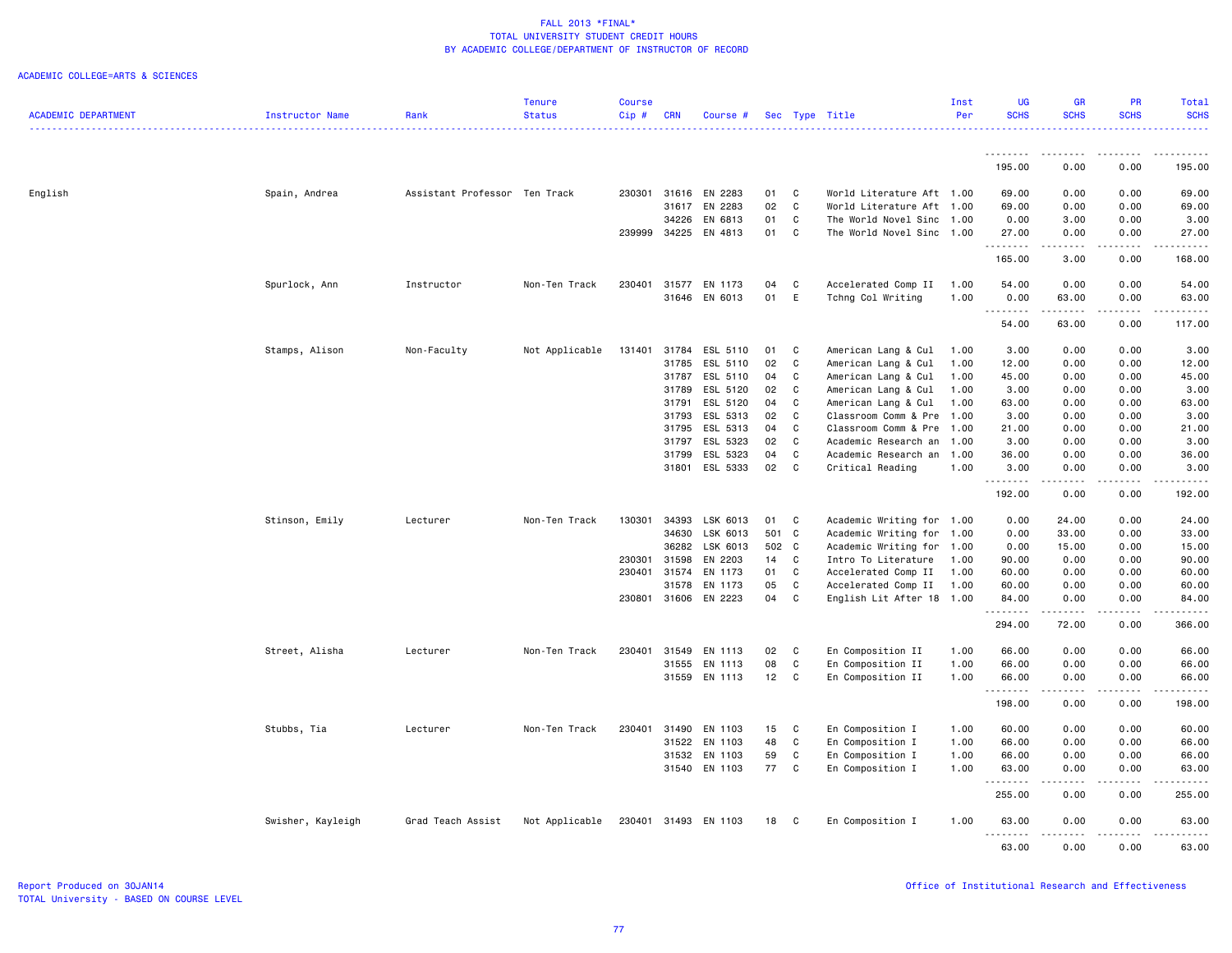|                            |                   |                               | <b>Tenure</b>  | <b>Course</b> |            |               |       |              |                           | Inst | UG          | GR                                                                                                                                | PR                             | Total            |
|----------------------------|-------------------|-------------------------------|----------------|---------------|------------|---------------|-------|--------------|---------------------------|------|-------------|-----------------------------------------------------------------------------------------------------------------------------------|--------------------------------|------------------|
| <b>ACADEMIC DEPARTMENT</b> | Instructor Name   | Rank                          | <b>Status</b>  | Cip#          | <b>CRN</b> | Course #      |       |              | Sec Type Title            | Per  | <b>SCHS</b> | <b>SCHS</b>                                                                                                                       | <b>SCHS</b>                    | <b>SCHS</b><br>. |
|                            |                   |                               |                |               |            |               |       |              |                           |      | <u>.</u>    | $\frac{1}{2}$                                                                                                                     | .                              | .                |
|                            |                   |                               |                |               |            |               |       |              |                           |      | 195.00      | 0.00                                                                                                                              | 0.00                           | 195.00           |
| English                    | Spain, Andrea     | Assistant Professor Ten Track |                | 230301        |            | 31616 EN 2283 | 01    | C            | World Literature Aft 1.00 |      | 69.00       | 0.00                                                                                                                              | 0.00                           | 69.00            |
|                            |                   |                               |                |               | 31617      | EN 2283       | 02    | C            | World Literature Aft 1.00 |      | 69.00       | 0.00                                                                                                                              | 0.00                           | 69.00            |
|                            |                   |                               |                |               | 34226      | EN 6813       | 01    | C            | The World Novel Sinc      | 1.00 | 0.00        | 3.00                                                                                                                              | 0.00                           | 3.00             |
|                            |                   |                               |                | 239999        | 34225      | EN 4813       | 01    | C            | The World Novel Sinc 1.00 |      | 27.00       | 0.00                                                                                                                              | 0.00                           | 27.00            |
|                            |                   |                               |                |               |            |               |       |              |                           |      | .<br>165.00 | $\frac{1}{2} \left( \frac{1}{2} \right) \left( \frac{1}{2} \right) \left( \frac{1}{2} \right) \left( \frac{1}{2} \right)$<br>3.00 | .<br>0.00                      | 168.00           |
|                            |                   |                               |                |               |            |               |       |              |                           |      |             |                                                                                                                                   |                                |                  |
|                            | Spurlock, Ann     | Instructor                    | Non-Ten Track  | 230401        | 31577      | EN 1173       | 04    | C            | Accelerated Comp II       | 1.00 | 54.00       | 0.00                                                                                                                              | 0.00                           | 54.00            |
|                            |                   |                               |                |               | 31646      | EN 6013       | 01    | Ε            | Tchng Col Writing         | 1.00 | 0.00<br>.   | 63.00                                                                                                                             | 0.00<br>$\omega \sim \omega$ . | 63.00<br>.       |
|                            |                   |                               |                |               |            |               |       |              |                           |      | 54.00       | 63.00                                                                                                                             | 0.00                           | 117.00           |
|                            | Stamps, Alison    | Non-Faculty                   | Not Applicable | 131401        | 31784      | ESL 5110      | 01    | C            | American Lang & Cul       | 1.00 | 3.00        | 0.00                                                                                                                              | 0.00                           | 3.00             |
|                            |                   |                               |                |               | 31785      | ESL 5110      | 02    | C            | American Lang & Cul       | 1.00 | 12.00       | 0.00                                                                                                                              | 0.00                           | 12.00            |
|                            |                   |                               |                |               | 31787      | ESL 5110      | 04    | C            | American Lang & Cul       | 1.00 | 45.00       | 0.00                                                                                                                              | 0.00                           | 45.00            |
|                            |                   |                               |                |               | 31789      | ESL 5120      | 02    | C            | American Lang & Cul       | 1.00 | 3.00        | 0.00                                                                                                                              | 0.00                           | 3.00             |
|                            |                   |                               |                |               | 31791      | ESL 5120      | 04    | C            | American Lang & Cul       | 1.00 | 63.00       | 0.00                                                                                                                              | 0.00                           | 63.00            |
|                            |                   |                               |                |               | 31793      | ESL 5313      | 02    | $\mathbb{C}$ | Classroom Comm & Pre      | 1.00 | 3.00        | 0.00                                                                                                                              | 0.00                           | 3.00             |
|                            |                   |                               |                |               | 31795      | ESL 5313      | 04    | C            | Classroom Comm & Pre      | 1.00 | 21.00       | 0.00                                                                                                                              | 0.00                           | 21.00            |
|                            |                   |                               |                |               | 31797      | ESL 5323      | 02    | C            | Academic Research an      | 1.00 | 3.00        | 0.00                                                                                                                              | 0.00                           | 3.00             |
|                            |                   |                               |                |               | 31799      | ESL 5323      | 04    | C            | Academic Research an 1.00 |      | 36.00       | 0.00                                                                                                                              | 0.00                           | 36.00            |
|                            |                   |                               |                |               | 31801      | ESL 5333      | 02    | C            | Critical Reading          | 1.00 | 3.00        | 0.00                                                                                                                              | 0.00                           | 3.00             |
|                            |                   |                               |                |               |            |               |       |              |                           |      | .<br>192.00 | .<br>0.00                                                                                                                         | .<br>0.00                      | .<br>192.00      |
|                            | Stinson, Emily    | Lecturer                      | Non-Ten Track  | 130301        | 34393      | LSK 6013      | 01    | C            | Academic Writing for 1.00 |      | 0.00        | 24.00                                                                                                                             | 0.00                           | 24.00            |
|                            |                   |                               |                |               | 34630      | LSK 6013      | 501   | $\mathbf{C}$ | Academic Writing for      | 1.00 | 0.00        | 33.00                                                                                                                             | 0.00                           | 33.00            |
|                            |                   |                               |                |               | 36282      | LSK 6013      | 502 C |              | Academic Writing for      | 1.00 | 0.00        | 15.00                                                                                                                             | 0.00                           | 15.00            |
|                            |                   |                               |                | 230301        | 31598      | EN 2203       | 14    | C            | Intro To Literature       | 1.00 | 90.00       | 0.00                                                                                                                              | 0.00                           | 90.00            |
|                            |                   |                               |                | 230401        | 31574      | EN 1173       | 01    | C            | Accelerated Comp II       | 1.00 | 60.00       | 0.00                                                                                                                              | 0.00                           | 60.00            |
|                            |                   |                               |                |               | 31578      | EN 1173       | 05    | C            | Accelerated Comp II       | 1.00 | 60.00       | 0.00                                                                                                                              | 0.00                           | 60.00            |
|                            |                   |                               |                | 230801        | 31606      | EN 2223       | 04    | C            | English Lit After 18 1.00 |      | 84.00       | 0.00                                                                                                                              | 0.00                           | 84.00            |
|                            |                   |                               |                |               |            |               |       |              |                           |      | .           | .                                                                                                                                 | .                              | .                |
|                            |                   |                               |                |               |            |               |       |              |                           |      | 294.00      | 72.00                                                                                                                             | 0.00                           | 366.00           |
|                            | Street, Alisha    | Lecturer                      | Non-Ten Track  | 230401        | 31549      | EN 1113       | 02    | C            | En Composition II         | 1.00 | 66.00       | 0.00                                                                                                                              | 0.00                           | 66.00            |
|                            |                   |                               |                |               | 31555      | EN 1113       | 08    | C            | En Composition II         | 1.00 | 66.00       | 0.00                                                                                                                              | 0.00                           | 66.00            |
|                            |                   |                               |                |               |            | 31559 EN 1113 | 12    | $\mathsf{C}$ | En Composition II         | 1.00 | 66.00<br>.  | 0.00<br>.                                                                                                                         | 0.00<br>.                      | 66.00<br>.       |
|                            |                   |                               |                |               |            |               |       |              |                           |      | 198.00      | 0.00                                                                                                                              | 0.00                           | 198.00           |
|                            | Stubbs, Tia       | Lecturer                      | Non-Ten Track  | 230401        | 31490      | EN 1103       | 15    | C            | En Composition I          | 1.00 | 60.00       | 0.00                                                                                                                              | 0.00                           | 60.00            |
|                            |                   |                               |                |               | 31522      | EN 1103       | 48    | $\mathtt{C}$ | En Composition I          | 1.00 | 66.00       | 0.00                                                                                                                              | 0.00                           | 66.00            |
|                            |                   |                               |                |               | 31532      | EN 1103       | 59    | C            | En Composition I          | 1.00 | 66.00       | 0.00                                                                                                                              | 0.00                           | 66.00            |
|                            |                   |                               |                |               |            | 31540 EN 1103 | 77    | C            | En Composition I          | 1.00 | 63.00       | 0.00                                                                                                                              | 0.00                           | 63.00            |
|                            |                   |                               |                |               |            |               |       |              |                           |      | .<br>255.00 | .<br>0.00                                                                                                                         | .<br>0.00                      | .<br>255.00      |
|                            | Swisher, Kayleigh | Grad Teach Assist             | Not Applicable | 230401        |            | 31493 EN 1103 | 18    | C            | En Composition I          | 1.00 | 63.00       | 0.00                                                                                                                              | 0.00                           | 63.00            |
|                            |                   |                               |                |               |            |               |       |              |                           |      | .<br>63.00  | 0.00                                                                                                                              | 0.00                           | 63.00            |
|                            |                   |                               |                |               |            |               |       |              |                           |      |             |                                                                                                                                   |                                |                  |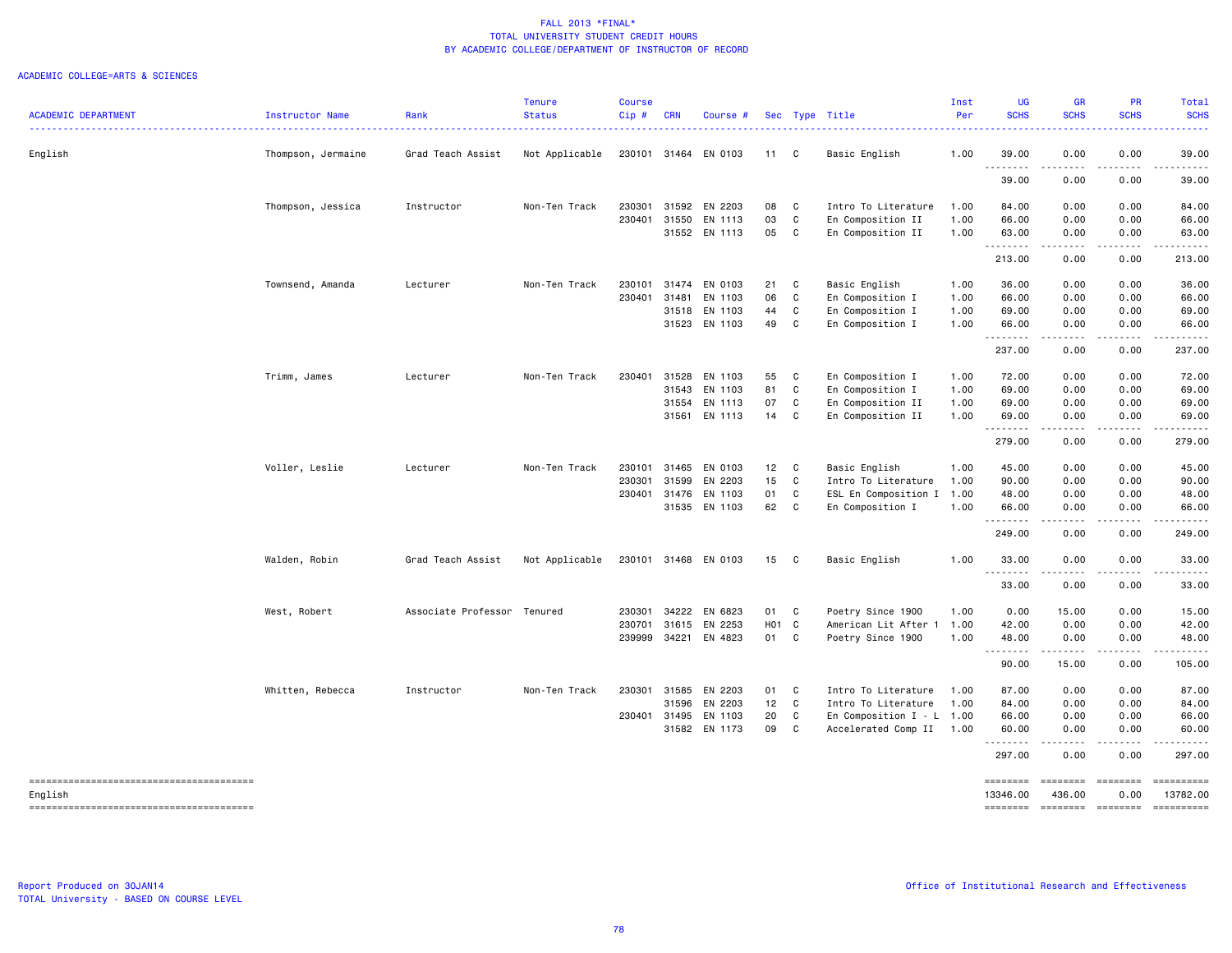| <b>ACADEMIC DEPARTMENT</b> | Instructor Name    | Rank                        | <b>Tenure</b><br><b>Status</b> | <b>Course</b><br>Cip# | <b>CRN</b> | Course #             |                   |   | Sec Type Title         | Inst<br>Per | UG<br><b>SCHS</b> | <b>GR</b><br><b>SCHS</b>                                                                                                          | <b>PR</b><br><b>SCHS</b>                                                         | <b>Total</b><br><b>SCHS</b> |
|----------------------------|--------------------|-----------------------------|--------------------------------|-----------------------|------------|----------------------|-------------------|---|------------------------|-------------|-------------------|-----------------------------------------------------------------------------------------------------------------------------------|----------------------------------------------------------------------------------|-----------------------------|
| English                    | Thompson, Jermaine | Grad Teach Assist           | Not Applicable                 |                       |            | 230101 31464 EN 0103 | 11 C              |   | Basic English          | 1.00        | 39.00             | 0.00                                                                                                                              | 0.00                                                                             | 39.00                       |
|                            |                    |                             |                                |                       |            |                      |                   |   |                        |             | .<br>39.00        | .<br>0.00                                                                                                                         | 0.00                                                                             | 39.00                       |
|                            | Thompson, Jessica  | Instructor                  | Non-Ten Track                  | 230301                |            | 31592 EN 2203        | 08                | C | Intro To Literature    | 1.00        | 84.00             | 0.00                                                                                                                              | 0.00                                                                             | 84.00                       |
|                            |                    |                             |                                | 230401                | 31550      | EN 1113              | 03                | C | En Composition II      | 1.00        | 66.00             | 0.00                                                                                                                              | 0.00                                                                             | 66.00                       |
|                            |                    |                             |                                |                       |            | 31552 EN 1113        | 05                | C | En Composition II      | 1.00        | 63.00<br>.        | 0.00<br>.                                                                                                                         | 0.00<br>-----                                                                    | 63.00                       |
|                            |                    |                             |                                |                       |            |                      |                   |   |                        |             | 213.00            | 0.00                                                                                                                              | 0.00                                                                             | 213.00                      |
|                            | Townsend, Amanda   | Lecturer                    | Non-Ten Track                  | 230101                |            | 31474 EN 0103        | 21                | C | Basic English          | 1.00        | 36.00             | 0.00                                                                                                                              | 0.00                                                                             | 36.00                       |
|                            |                    |                             |                                | 230401                | 31481      | EN 1103              | 06                | C | En Composition I       | 1.00        | 66.00             | 0.00                                                                                                                              | 0.00                                                                             | 66.00                       |
|                            |                    |                             |                                |                       |            | 31518 EN 1103        | 44                | C | En Composition I       | 1.00        | 69.00             | 0.00                                                                                                                              | 0.00                                                                             | 69.00                       |
|                            |                    |                             |                                |                       | 31523      | EN 1103              | 49                | C | En Composition I       | 1.00        | 66.00<br>.        | 0.00                                                                                                                              | 0.00                                                                             | 66.00                       |
|                            |                    |                             |                                |                       |            |                      |                   |   |                        |             | 237.00            | 0.00                                                                                                                              | 0.00                                                                             | 237.00                      |
|                            | Trimm, James       | Lecturer                    | Non-Ten Track                  | 230401                | 31528      | EN 1103              | 55                | C | En Composition I       | 1.00        | 72.00             | 0.00                                                                                                                              | 0.00                                                                             | 72.00                       |
|                            |                    |                             |                                |                       |            | 31543 EN 1103        | 81                | C | En Composition I       | 1.00        | 69.00             | 0.00                                                                                                                              | 0.00                                                                             | 69.00                       |
|                            |                    |                             |                                |                       |            | 31554 EN 1113        | 07                | C | En Composition II      | 1.00        | 69.00             | 0.00                                                                                                                              | 0.00                                                                             | 69.00                       |
|                            |                    |                             |                                |                       |            | 31561 EN 1113        | 14                | C | En Composition II      | 1.00        | 69.00<br>.        | 0.00<br>$\frac{1}{2} \left( \frac{1}{2} \right) \left( \frac{1}{2} \right) \left( \frac{1}{2} \right) \left( \frac{1}{2} \right)$ | 0.00<br>.                                                                        | 69.00                       |
|                            |                    |                             |                                |                       |            |                      |                   |   |                        |             | 279.00            | 0.00                                                                                                                              | 0.00                                                                             | 279.00                      |
|                            | Voller, Leslie     | Lecturer                    | Non-Ten Track                  | 230101                | 31465      | EN 0103              | 12                | C | Basic English          | 1.00        | 45.00             | 0.00                                                                                                                              | 0.00                                                                             | 45.00                       |
|                            |                    |                             |                                | 230301                | 31599      | EN 2203              | 15                | C | Intro To Literature    | 1.00        | 90.00             | 0.00                                                                                                                              | 0.00                                                                             | 90.00                       |
|                            |                    |                             |                                | 230401                |            | 31476 EN 1103        | 01                | C | ESL En Composition I   | 1.00        | 48.00             | 0.00                                                                                                                              | 0.00                                                                             | 48.00                       |
|                            |                    |                             |                                |                       |            | 31535 EN 1103        | 62                | C | En Composition I       | 1.00        | 66.00<br>.        | 0.00<br>$\sim$ $\sim$ $\sim$ $\sim$                                                                                               | 0.00<br>-----                                                                    | 66.00<br>.                  |
|                            |                    |                             |                                |                       |            |                      |                   |   |                        |             | 249.00            | 0.00                                                                                                                              | 0.00                                                                             | 249.00                      |
|                            | Walden, Robin      | Grad Teach Assist           | Not Applicable                 |                       |            | 230101 31468 EN 0103 | 15 C              |   | Basic English          | 1.00        | 33.00             | 0.00                                                                                                                              | 0.00                                                                             | 33.00                       |
|                            |                    |                             |                                |                       |            |                      |                   |   |                        |             | .<br>33.00        | 0.00                                                                                                                              | 0.00                                                                             | 33.00                       |
|                            | West, Robert       | Associate Professor Tenured |                                | 230301                |            | 34222 EN 6823        | 01                | C | Poetry Since 1900      | 1.00        | 0.00              | 15.00                                                                                                                             | 0.00                                                                             | 15.00                       |
|                            |                    |                             |                                | 230701                |            | 31615 EN 2253        | H <sub>01</sub> C |   | American Lit After 1   | 1.00        | 42.00             | 0.00                                                                                                                              | 0.00                                                                             | 42.00                       |
|                            |                    |                             |                                | 239999                |            | 34221 EN 4823        | 01                | C | Poetry Since 1900      | 1.00        | 48.00             | 0.00                                                                                                                              | 0.00                                                                             | 48.00                       |
|                            |                    |                             |                                |                       |            |                      |                   |   |                        |             | .<br>90.00        | $- - - -$<br>15.00                                                                                                                | .<br>0.00                                                                        | 105.00                      |
|                            | Whitten, Rebecca   | Instructor                  | Non-Ten Track                  | 230301                |            | 31585 EN 2203        | 01                | C | Intro To Literature    | 1.00        | 87.00             | 0.00                                                                                                                              | 0.00                                                                             | 87.00                       |
|                            |                    |                             |                                |                       | 31596      | EN 2203              | 12                | C | Intro To Literature    | 1.00        | 84.00             | 0.00                                                                                                                              | 0.00                                                                             | 84.00                       |
|                            |                    |                             |                                | 230401                | 31495      | EN 1103              | 20                | C | En Composition $I - L$ | 1.00        | 66.00             | 0.00                                                                                                                              | 0.00                                                                             | 66.00                       |
|                            |                    |                             |                                |                       |            | 31582 EN 1173        | 09                | C | Accelerated Comp II    | 1.00        | 60.00<br>.        | 0.00<br>لأعاجب                                                                                                                    | 0.00<br>.                                                                        | 60.00                       |
|                            |                    |                             |                                |                       |            |                      |                   |   |                        |             | 297.00            | 0.00                                                                                                                              | 0.00                                                                             | 297.00                      |
|                            |                    |                             |                                |                       |            |                      |                   |   |                        |             | ========          | ========                                                                                                                          | $\begin{array}{c} \texttt{m} = \texttt{m} = \texttt{m} = \texttt{m} \end{array}$ | ==========                  |
| English                    |                    |                             |                                |                       |            |                      |                   |   |                        |             | 13346.00          | 436.00                                                                                                                            | 0.00                                                                             | 13782.00                    |
|                            |                    |                             |                                |                       |            |                      |                   |   |                        |             | ========          |                                                                                                                                   | -------- -------                                                                 |                             |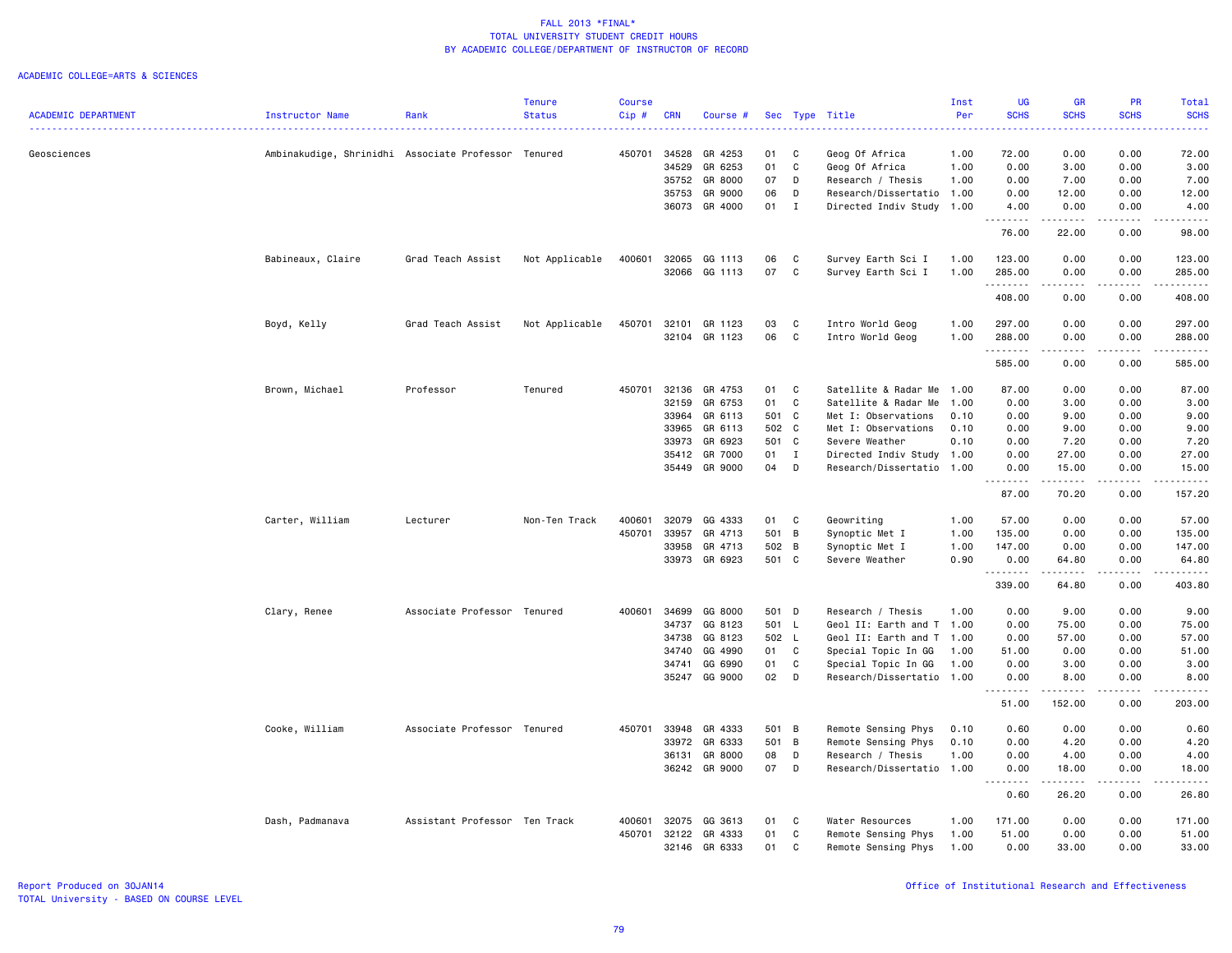| <b>ACADEMIC DEPARTMENT</b> | <b>Instructor Name</b>                              | Rank                          | <b>Tenure</b><br><b>Status</b> | <b>Course</b><br>Cip# | <b>CRN</b>     | Course #           |          |              | Sec Type Title                            | Inst<br>Per  | <b>UG</b><br><b>SCHS</b>                      | <b>GR</b><br><b>SCHS</b> | <b>PR</b><br><b>SCHS</b> | Total<br><b>SCHS</b> |
|----------------------------|-----------------------------------------------------|-------------------------------|--------------------------------|-----------------------|----------------|--------------------|----------|--------------|-------------------------------------------|--------------|-----------------------------------------------|--------------------------|--------------------------|----------------------|
|                            |                                                     |                               |                                |                       |                |                    |          |              |                                           |              |                                               |                          |                          | .                    |
| Geosciences                | Ambinakudige, Shrinidhi Associate Professor Tenured |                               |                                | 450701                | 34528          | GR 4253            | 01       | C            | Geog Of Africa                            | 1.00         | 72.00                                         | 0.00                     | 0.00                     | 72.00                |
|                            |                                                     |                               |                                |                       | 34529          | GR 6253            | 01<br>07 | C            | Geog Of Africa                            | 1.00         | 0.00                                          | 3.00                     | 0.00                     | 3.00                 |
|                            |                                                     |                               |                                |                       | 35752<br>35753 | GR 8000<br>GR 9000 | 06       | D<br>D       | Research / Thesis<br>Research/Dissertatio | 1.00<br>1.00 | 0.00<br>0.00                                  | 7.00<br>12.00            | 0.00<br>0.00             | 7.00<br>12.00        |
|                            |                                                     |                               |                                |                       |                | 36073 GR 4000      | 01       | $\mathbf{I}$ | Directed Indiv Study                      | 1.00         | 4.00                                          | 0.00                     | 0.00                     | 4.00                 |
|                            |                                                     |                               |                                |                       |                |                    |          |              |                                           |              | .                                             | .                        |                          | . <u>.</u> .         |
|                            |                                                     |                               |                                |                       |                |                    |          |              |                                           |              | 76.00                                         | 22.00                    | 0.00                     | 98.00                |
|                            | Babineaux, Claire                                   | Grad Teach Assist             | Not Applicable                 | 400601                | 32065          | GG 1113            | 06       | C            | Survey Earth Sci I                        | 1.00         | 123.00                                        | 0.00                     | 0.00                     | 123.00               |
|                            |                                                     |                               |                                |                       | 32066          | GG 1113            | 07       | C            | Survey Earth Sci I                        | 1.00         | 285.00<br>.                                   | 0.00<br>.                | 0.00<br>.                | 285.00<br>.          |
|                            |                                                     |                               |                                |                       |                |                    |          |              |                                           |              | 408.00                                        | 0.00                     | 0.00                     | 408.00               |
|                            | Boyd, Kelly                                         | Grad Teach Assist             | Not Applicable                 | 450701                | 32101          | GR 1123            | 03       | C            | Intro World Geog                          | 1.00         | 297.00                                        | 0.00                     | 0.00                     | 297.00               |
|                            |                                                     |                               |                                |                       | 32104          | GR 1123            | 06       | C            | Intro World Geog                          | 1.00         | 288.00<br>.                                   | 0.00                     | 0.00                     | 288.00               |
|                            |                                                     |                               |                                |                       |                |                    |          |              |                                           |              | 585.00                                        | 0.00                     | 0.00                     | 585.00               |
|                            | Brown, Michael                                      | Professor                     | Tenured                        | 450701                | 32136          | GR 4753            | 01       | C            | Satellite & Radar Me                      | 1.00         | 87.00                                         | 0.00                     | 0.00                     | 87.00                |
|                            |                                                     |                               |                                |                       | 32159          | GR 6753            | 01       | $\mathbb{C}$ | Satellite & Radar Me                      | 1.00         | 0.00                                          | 3.00                     | 0.00                     | 3.00                 |
|                            |                                                     |                               |                                |                       | 33964          | GR 6113            | 501 C    |              | Met I: Observations                       | 0.10         | 0.00                                          | 9.00                     | 0.00                     | 9.00                 |
|                            |                                                     |                               |                                |                       | 33965          | GR 6113            | 502 C    |              | Met I: Observations                       | 0.10         | 0.00                                          | 9.00                     | 0.00                     | 9.00                 |
|                            |                                                     |                               |                                |                       | 33973          | GR 6923            | 501 C    |              | Severe Weather                            | 0.10         | 0.00                                          | 7.20                     | 0.00                     | 7.20                 |
|                            |                                                     |                               |                                |                       | 35412          | GR 7000            | 01       | $\mathbf{I}$ | Directed Indiv Study 1.00                 |              | 0.00                                          | 27.00                    | 0.00                     | 27.00                |
|                            |                                                     |                               |                                |                       | 35449          | GR 9000            | 04       | D            | Research/Dissertatio 1.00                 |              | 0.00<br><u>.</u>                              | 15.00<br>.               | 0.00<br>.                | 15.00<br>.           |
|                            |                                                     |                               |                                |                       |                |                    |          |              |                                           |              | 87.00                                         | 70.20                    | 0.00                     | 157.20               |
|                            | Carter, William                                     | Lecturer                      | Non-Ten Track                  | 400601                | 32079          | GG 4333            | 01       | C            | Geowriting                                | 1.00         | 57.00                                         | 0.00                     | 0.00                     | 57.00                |
|                            |                                                     |                               |                                | 450701                | 33957          | GR 4713            | 501 B    |              | Synoptic Met I                            | 1.00         | 135.00                                        | 0.00                     | 0.00                     | 135.00               |
|                            |                                                     |                               |                                |                       | 33958          | GR 4713            | 502 B    |              | Synoptic Met I                            | 1.00         | 147.00                                        | 0.00                     | 0.00                     | 147.00               |
|                            |                                                     |                               |                                |                       | 33973          | GR 6923            | 501 C    |              | Severe Weather                            | 0.90         | 0.00                                          | 64.80<br>.               | 0.00<br>.                | 64.80<br><u>.</u>    |
|                            |                                                     |                               |                                |                       |                |                    |          |              |                                           |              | 339.00                                        | 64.80                    | 0.00                     | 403.80               |
|                            | Clary, Renee                                        | Associate Professor Tenured   |                                | 400601                | 34699          | GG 8000            | 501 D    |              | Research / Thesis                         | 1.00         | 0.00                                          | 9.00                     | 0.00                     | 9.00                 |
|                            |                                                     |                               |                                |                       | 34737          | GG 8123            | 501 L    |              | Geol II: Earth and T 1.00                 |              | 0.00                                          | 75.00                    | 0.00                     | 75.00                |
|                            |                                                     |                               |                                |                       | 34738          | GG 8123            | 502 L    |              | Geol II: Earth and T                      | 1.00         | 0.00                                          | 57.00                    | 0.00                     | 57.00                |
|                            |                                                     |                               |                                |                       | 34740          | GG 4990            | 01       | C            | Special Topic In GG                       | 1.00         | 51.00                                         | 0.00                     | 0.00                     | 51.00                |
|                            |                                                     |                               |                                |                       | 34741          | GG 6990            | 01       | C            | Special Topic In GG                       | 1.00         | 0.00                                          | 3.00                     | 0.00                     | 3.00                 |
|                            |                                                     |                               |                                |                       | 35247          | GG 9000            | 02       | D            | Research/Dissertatio 1.00                 |              | 0.00<br><u>.</u>                              | 8.00<br>.                | 0.00<br>$- - - -$        | 8.00<br>.            |
|                            |                                                     |                               |                                |                       |                |                    |          |              |                                           |              | 51.00                                         | 152.00                   | 0.00                     | 203.00               |
|                            | Cooke, William                                      | Associate Professor Tenured   |                                | 450701                | 33948          | GR 4333            | 501 B    |              | Remote Sensing Phys                       | 0.10         | 0.60                                          | 0.00                     | 0.00                     | 0.60                 |
|                            |                                                     |                               |                                |                       | 33972          | GR 6333            | 501 B    |              | Remote Sensing Phys                       | 0.10         | 0.00                                          | 4.20                     | 0.00                     | 4.20                 |
|                            |                                                     |                               |                                |                       | 36131          | GR 8000            | 08       | D            | Research / Thesis                         | 1.00         | 0.00                                          | 4.00                     | 0.00                     | 4.00                 |
|                            |                                                     |                               |                                |                       |                | 36242 GR 9000      | 07       | D            | Research/Dissertatio 1.00                 |              | 0.00<br>$\sim$ $\sim$ $\sim$<br>$\frac{1}{2}$ | 18.00<br>. <u>.</u>      | 0.00<br>$- - - -$        | 18.00<br>. <u>.</u>  |
|                            |                                                     |                               |                                |                       |                |                    |          |              |                                           |              | 0.60                                          | 26.20                    | 0.00                     | 26.80                |
|                            | Dash, Padmanava                                     | Assistant Professor Ten Track |                                | 400601                | 32075          | GG 3613            | 01       | C            | Water Resources                           | 1.00         | 171.00                                        | 0.00                     | 0.00                     | 171.00               |
|                            |                                                     |                               |                                | 450701                | 32122          | GR 4333            | 01       | C            | Remote Sensing Phys                       | 1.00         | 51.00                                         | 0.00                     | 0.00                     | 51.00                |
|                            |                                                     |                               |                                |                       | 32146          | GR 6333            | 01       | C            | Remote Sensing Phys                       | 1.00         | 0.00                                          | 33.00                    | 0.00                     | 33.00                |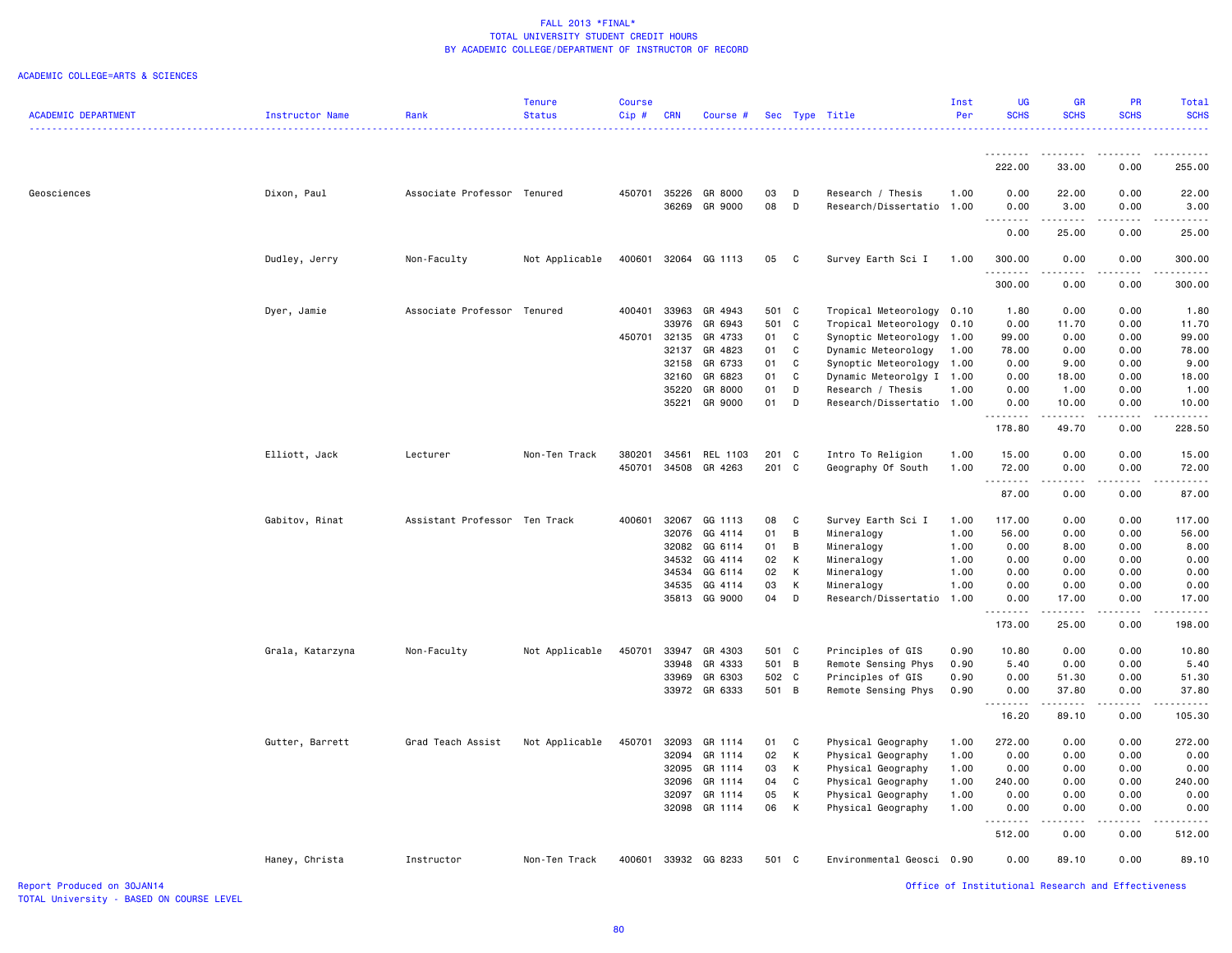|                            |                  |                               | Tenure         | Course  |            |                      |       |              |                           | Inst | <b>UG</b>                           | <b>GR</b>         | <b>PR</b>                                                                                                                                                    | Total            |
|----------------------------|------------------|-------------------------------|----------------|---------|------------|----------------------|-------|--------------|---------------------------|------|-------------------------------------|-------------------|--------------------------------------------------------------------------------------------------------------------------------------------------------------|------------------|
| <b>ACADEMIC DEPARTMENT</b> | Instructor Name  | Rank                          | <b>Status</b>  | $Cip$ # | <b>CRN</b> | Course #             |       |              | Sec Type Title            | Per  | <b>SCHS</b>                         | <b>SCHS</b>       | <b>SCHS</b>                                                                                                                                                  | <b>SCHS</b><br>. |
|                            |                  |                               |                |         |            |                      |       |              |                           |      | . <b>.</b>                          | .                 | $- - - - - -$                                                                                                                                                | . <u>.</u> .     |
|                            |                  |                               |                |         |            |                      |       |              |                           |      | 222.00                              | 33.00             | 0.00                                                                                                                                                         | 255.00           |
| Geosciences                | Dixon, Paul      | Associate Professor Tenured   |                | 450701  | 35226      | GR 8000              | 03    | D            | Research / Thesis         | 1.00 | 0.00                                | 22.00             | 0.00                                                                                                                                                         | 22.00            |
|                            |                  |                               |                |         |            | 36269 GR 9000        | 08    | D            | Research/Dissertatio 1.00 |      | 0.00<br>$\sim$ $\sim$<br>. <b>.</b> | 3.00<br>.         | 0.00<br>-----                                                                                                                                                | 3.00<br>.        |
|                            |                  |                               |                |         |            |                      |       |              |                           |      | 0.00                                | 25.00             | 0.00                                                                                                                                                         | 25.00            |
|                            | Dudley, Jerry    | Non-Faculty                   | Not Applicable |         |            | 400601 32064 GG 1113 | 05    | $\mathbf{C}$ | Survey Earth Sci I        | 1.00 | 300.00<br>.                         | 0.00<br><u>.</u>  | 0.00<br>.                                                                                                                                                    | 300.00<br>.      |
|                            |                  |                               |                |         |            |                      |       |              |                           |      | 300.00                              | 0.00              | 0.00                                                                                                                                                         | 300.00           |
|                            | Dyer, Jamie      | Associate Professor Tenured   |                | 400401  | 33963      | GR 4943              | 501 C |              | Tropical Meteorology      | 0.10 | 1.80                                | 0.00              | 0.00                                                                                                                                                         | 1.80             |
|                            |                  |                               |                |         | 33976      | GR 6943              | 501 C |              | Tropical Meteorology      | 0.10 | 0.00                                | 11.70             | 0.00                                                                                                                                                         | 11.70            |
|                            |                  |                               |                | 450701  | 32135      | GR 4733              | 01    | C            | Synoptic Meteorology 1.00 |      | 99.00                               | 0.00              | 0.00                                                                                                                                                         | 99.00            |
|                            |                  |                               |                |         | 32137      | GR 4823              | 01    | C            | Dynamic Meteorology       | 1.00 | 78.00                               | 0.00              | 0.00                                                                                                                                                         | 78.00            |
|                            |                  |                               |                |         | 32158      | GR 6733              | 01    | C            | Synoptic Meteorology 1.00 |      | 0.00                                | 9.00              | 0.00                                                                                                                                                         | 9.00             |
|                            |                  |                               |                |         | 32160      | GR 6823              | 01    | C            | Dynamic Meteorolgy I 1.00 |      | 0.00                                | 18.00             | 0.00                                                                                                                                                         | 18.00            |
|                            |                  |                               |                |         | 35220      | GR 8000              | 01    | D            | Research / Thesis         | 1.00 | 0.00                                | 1.00              | 0.00                                                                                                                                                         | 1.00             |
|                            |                  |                               |                |         | 35221      | GR 9000              | 01    | D            | Research/Dissertatio 1.00 |      | 0.00<br>.                           | 10.00<br>.        | 0.00<br>-----                                                                                                                                                | 10.00<br>.       |
|                            |                  |                               |                |         |            |                      |       |              |                           |      | 178.80                              | 49.70             | 0.00                                                                                                                                                         | 228.50           |
|                            | Elliott, Jack    | Lecturer                      | Non-Ten Track  | 380201  | 34561      | REL 1103             | 201 C |              | Intro To Religion         | 1.00 | 15.00                               | 0.00              | 0.00                                                                                                                                                         | 15.00            |
|                            |                  |                               |                | 450701  |            | 34508 GR 4263        | 201 C |              | Geography Of South        | 1.00 | 72.00<br>.                          | 0.00<br>.         | 0.00<br>.                                                                                                                                                    | 72.00<br>.       |
|                            |                  |                               |                |         |            |                      |       |              |                           |      | 87.00                               | 0.00              | 0.00                                                                                                                                                         | 87.00            |
|                            | Gabitov, Rinat   | Assistant Professor Ten Track |                | 400601  | 32067      | GG 1113              | 08    | C            | Survey Earth Sci I        | 1.00 | 117.00                              | 0.00              | 0.00                                                                                                                                                         | 117.00           |
|                            |                  |                               |                |         | 32076      | GG 4114              | 01    | B            | Mineralogy                | 1.00 | 56.00                               | 0.00              | 0.00                                                                                                                                                         | 56.00            |
|                            |                  |                               |                |         | 32082      | GG 6114              | 01    | B            | Mineralogy                | 1.00 | 0.00                                | 8.00              | 0.00                                                                                                                                                         | 8.00             |
|                            |                  |                               |                |         | 34532      | GG 4114              | 02    | K            | Mineralogy                | 1.00 | 0.00                                | 0.00              | 0.00                                                                                                                                                         | 0.00             |
|                            |                  |                               |                |         |            | 34534 GG 6114        | 02    | K            | Mineralogy                | 1.00 | 0.00                                | 0.00              | 0.00                                                                                                                                                         | 0.00             |
|                            |                  |                               |                |         |            | 34535 GG 4114        | 03    | K            | Mineralogy                | 1.00 | 0.00                                | 0.00              | 0.00                                                                                                                                                         | 0.00             |
|                            |                  |                               |                |         |            | 35813 GG 9000        | 04    | D            | Research/Dissertatio      | 1.00 | 0.00                                | 17.00             | 0.00                                                                                                                                                         | 17.00            |
|                            |                  |                               |                |         |            |                      |       |              |                           |      | .<br>173.00                         | 25.00             | 0.00                                                                                                                                                         | 198.00           |
|                            | Grala, Katarzyna | Non-Faculty                   | Not Applicable | 450701  | 33947      | GR 4303              | 501 C |              | Principles of GIS         | 0.90 | 10.80                               | 0.00              | 0.00                                                                                                                                                         | 10.80            |
|                            |                  |                               |                |         | 33948      | GR 4333              | 501 B |              | Remote Sensing Phys       | 0.90 | 5.40                                | 0.00              | 0.00                                                                                                                                                         | 5.40             |
|                            |                  |                               |                |         | 33969      | GR 6303              | 502 C |              | Principles of GIS         | 0.90 | 0.00                                | 51.30             | 0.00                                                                                                                                                         | 51.30            |
|                            |                  |                               |                |         |            | 33972 GR 6333        | 501 B |              | Remote Sensing Phys       | 0.90 | 0.00<br><b></b>                     | 37.80<br><u>.</u> | 0.00<br>$\frac{1}{2} \left( \frac{1}{2} \right) \left( \frac{1}{2} \right) \left( \frac{1}{2} \right) \left( \frac{1}{2} \right) \left( \frac{1}{2} \right)$ | 37.80<br>.       |
|                            |                  |                               |                |         |            |                      |       |              |                           |      | 16.20                               | 89.10             | 0.00                                                                                                                                                         | 105.30           |
|                            | Gutter, Barrett  | Grad Teach Assist             | Not Applicable | 450701  | 32093      | GR 1114              | 01    | C            | Physical Geography        | 1.00 | 272.00                              | 0.00              | 0.00                                                                                                                                                         | 272.00           |
|                            |                  |                               |                |         |            | 32094 GR 1114        | 02    | K            | Physical Geography        | 1.00 | 0.00                                | 0.00              | 0.00                                                                                                                                                         | 0.00             |
|                            |                  |                               |                |         | 32095      | GR 1114              | 03    | К            | Physical Geography        | 1.00 | 0.00                                | 0.00              | 0.00                                                                                                                                                         | 0.00             |
|                            |                  |                               |                |         |            | 32096 GR 1114        | 04    | C            | Physical Geography        | 1.00 | 240.00                              | 0.00              | 0.00                                                                                                                                                         | 240.00           |
|                            |                  |                               |                |         | 32097      | GR 1114              | 05    | K            | Physical Geography        | 1.00 | 0.00                                | 0.00              | 0.00                                                                                                                                                         | 0.00             |
|                            |                  |                               |                |         |            | 32098 GR 1114        | 06    | K            | Physical Geography        | 1.00 | 0.00<br>.                           | 0.00              | 0.00                                                                                                                                                         | 0.00             |
|                            |                  |                               |                |         |            |                      |       |              |                           |      | 512.00                              | 0.00              | 0.00                                                                                                                                                         | 512.00           |
|                            | Haney, Christa   | Instructor                    | Non-Ten Track  |         |            | 400601 33932 GG 8233 | 501 C |              | Environmental Geosci 0.90 |      | 0.00                                | 89.10             | 0.00                                                                                                                                                         | 89.10            |
|                            |                  |                               |                |         |            |                      |       |              |                           |      |                                     |                   |                                                                                                                                                              |                  |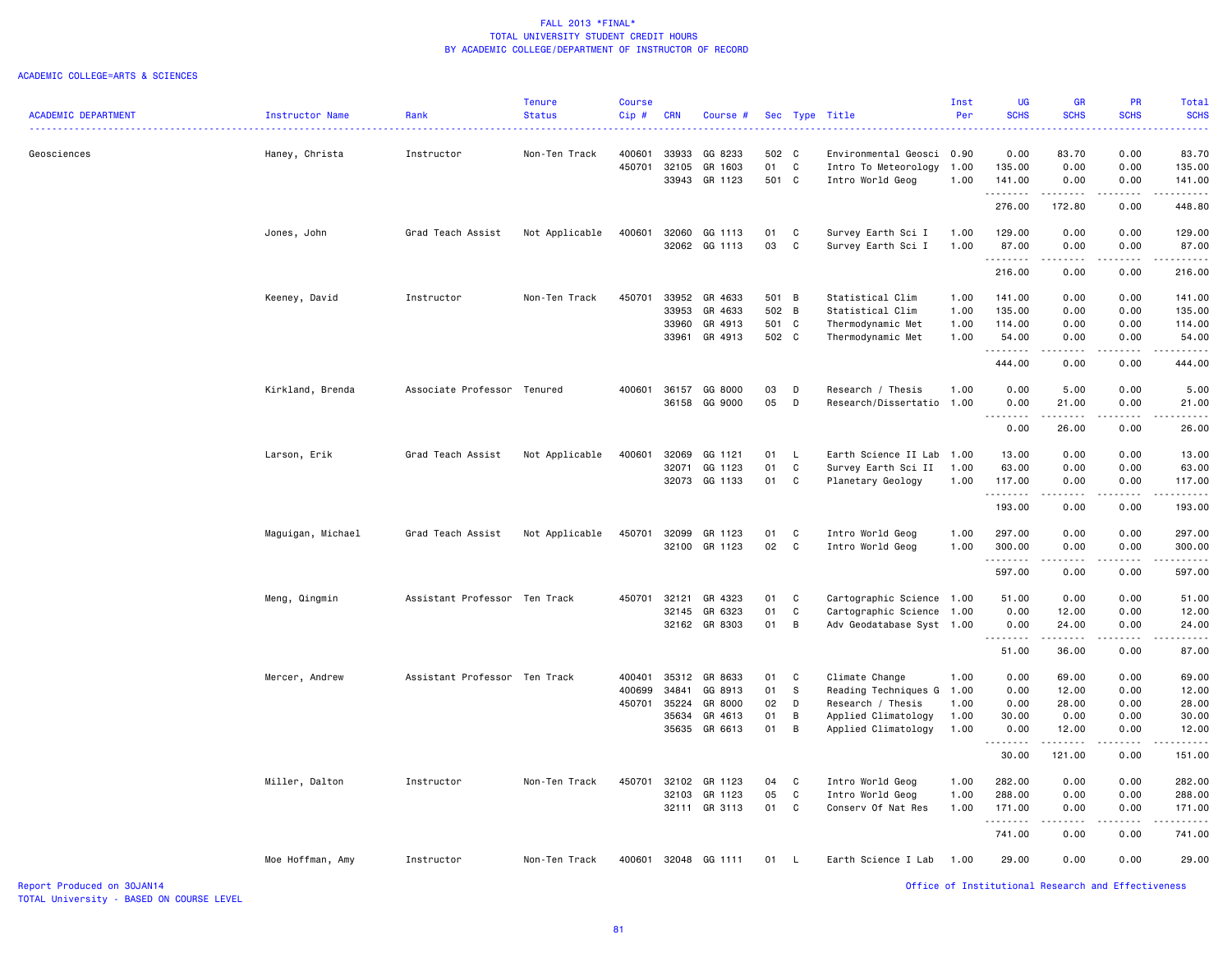#### ACADEMIC COLLEGE=ARTS & SCIENCES

|                            |                        |                               | <b>Tenure</b>  | <b>Course</b> |            |                      |          |              |                           | Inst | <b>UG</b>     | <b>GR</b>                                                                                                                                            | PR                          | <b>Total</b>                                                                                                              |
|----------------------------|------------------------|-------------------------------|----------------|---------------|------------|----------------------|----------|--------------|---------------------------|------|---------------|------------------------------------------------------------------------------------------------------------------------------------------------------|-----------------------------|---------------------------------------------------------------------------------------------------------------------------|
| <b>ACADEMIC DEPARTMENT</b> | <b>Instructor Name</b> | Rank                          | <b>Status</b>  | $Cip$ #       | <b>CRN</b> | Course #             |          |              | Sec Type Title            | Per  | <b>SCHS</b>   | <b>SCHS</b>                                                                                                                                          | <b>SCHS</b>                 | <b>SCHS</b>                                                                                                               |
|                            |                        |                               |                |               |            |                      |          |              |                           |      |               |                                                                                                                                                      |                             | $\frac{1}{2} \left( \frac{1}{2} \right) \left( \frac{1}{2} \right) \left( \frac{1}{2} \right) \left( \frac{1}{2} \right)$ |
|                            |                        |                               |                |               |            |                      |          |              |                           |      |               |                                                                                                                                                      |                             |                                                                                                                           |
| Geosciences                | Haney, Christa         | Instructor                    | Non-Ten Track  | 400601        | 33933      | GG 8233              | 502 C    |              | Environmental Geosci 0.90 |      | 0.00          | 83.70                                                                                                                                                | 0.00                        | 83.70                                                                                                                     |
|                            |                        |                               |                | 450701        | 32105      | GR 1603              | 01       | $\mathbb{C}$ | Intro To Meteorology      | 1.00 | 135.00        | 0.00                                                                                                                                                 | 0.00                        | 135.00                                                                                                                    |
|                            |                        |                               |                |               | 33943      | GR 1123              | 501 C    |              | Intro World Geog          | 1.00 | 141.00        | 0.00                                                                                                                                                 | 0.00                        | 141.00                                                                                                                    |
|                            |                        |                               |                |               |            |                      |          |              |                           |      | .             | .                                                                                                                                                    | المتمام المتحدة             | .                                                                                                                         |
|                            |                        |                               |                |               |            |                      |          |              |                           |      | 276.00        | 172.80                                                                                                                                               | 0.00                        | 448.80                                                                                                                    |
|                            |                        |                               |                |               |            |                      |          |              |                           |      |               |                                                                                                                                                      |                             |                                                                                                                           |
|                            | Jones, John            | Grad Teach Assist             | Not Applicable | 400601        | 32060      | GG 1113              | 01       | C            | Survey Earth Sci I        | 1.00 | 129.00        | 0.00                                                                                                                                                 | 0.00                        | 129.00                                                                                                                    |
|                            |                        |                               |                |               |            | 32062 GG 1113        | 03       | C            | Survey Earth Sci I        | 1.00 | 87.00         | 0.00                                                                                                                                                 | 0.00                        | 87.00                                                                                                                     |
|                            |                        |                               |                |               |            |                      |          |              |                           |      | .             | .                                                                                                                                                    | $\sim$ $\sim$ $\sim$ $\sim$ | .                                                                                                                         |
|                            |                        |                               |                |               |            |                      |          |              |                           |      | 216.00        | 0.00                                                                                                                                                 | 0.00                        | 216.00                                                                                                                    |
|                            |                        |                               |                |               |            |                      |          |              |                           |      |               |                                                                                                                                                      |                             |                                                                                                                           |
|                            | Keeney, David          | Instructor                    | Non-Ten Track  | 450701        | 33952      | GR 4633              | 501 B    |              | Statistical Clim          | 1.00 | 141.00        | 0.00                                                                                                                                                 | 0.00                        | 141.00                                                                                                                    |
|                            |                        |                               |                |               | 33953      | GR 4633              | 502 B    |              | Statistical Clim          | 1.00 | 135.00        | 0.00                                                                                                                                                 | 0.00                        | 135.00                                                                                                                    |
|                            |                        |                               |                |               | 33960      | GR 4913              | 501      | C            | Thermodynamic Met         | 1.00 | 114.00        | 0.00                                                                                                                                                 | 0.00                        | 114.00                                                                                                                    |
|                            |                        |                               |                |               | 33961      | GR 4913              | 502 C    |              | Thermodynamic Met         | 1.00 | 54.00         | 0.00                                                                                                                                                 | 0.00                        | 54.00                                                                                                                     |
|                            |                        |                               |                |               |            |                      |          |              |                           |      | .             | -----                                                                                                                                                |                             | .                                                                                                                         |
|                            |                        |                               |                |               |            |                      |          |              |                           |      | 444.00        | 0.00                                                                                                                                                 | 0.00                        | 444.00                                                                                                                    |
|                            |                        |                               |                |               |            |                      |          |              |                           |      |               |                                                                                                                                                      |                             |                                                                                                                           |
|                            |                        | Associate Professor Tenured   |                | 400601        | 36157      | GG 8000              |          |              |                           | 1.00 | 0.00          | 5.00                                                                                                                                                 | 0.00                        |                                                                                                                           |
|                            | Kirkland, Brenda       |                               |                |               |            |                      | 03<br>05 | D            | Research / Thesis         |      |               |                                                                                                                                                      |                             | 5.00                                                                                                                      |
|                            |                        |                               |                |               | 36158      | GG 9000              |          | D            | Research/Dissertatio      | 1.00 | 0.00          | 21.00                                                                                                                                                | 0.00                        | 21.00<br>المتحدث                                                                                                          |
|                            |                        |                               |                |               |            |                      |          |              |                           |      | $\frac{1}{2}$ | $\frac{1}{2} \left( \frac{1}{2} \right) \left( \frac{1}{2} \right) \left( \frac{1}{2} \right) \left( \frac{1}{2} \right) \left( \frac{1}{2} \right)$ | $\cdots$                    |                                                                                                                           |
|                            |                        |                               |                |               |            |                      |          |              |                           |      | 0.00          | 26.00                                                                                                                                                | 0.00                        | 26.00                                                                                                                     |
|                            |                        |                               |                |               |            |                      |          |              |                           |      |               |                                                                                                                                                      |                             |                                                                                                                           |
|                            | Larson, Erik           | Grad Teach Assist             | Not Applicable | 400601        | 32069      | GG 1121              | 01       | L            | Earth Science II Lab      | 1.00 | 13.00         | 0.00                                                                                                                                                 | 0.00                        | 13.00                                                                                                                     |
|                            |                        |                               |                |               | 32071      | GG 1123              | 01       | $\mathbb{C}$ | Survey Earth Sci II       | 1.00 | 63.00         | 0.00                                                                                                                                                 | 0.00                        | 63.00                                                                                                                     |
|                            |                        |                               |                |               |            | 32073 GG 1133        | 01       | C            | Planetary Geology         | 1.00 | 117.00        | 0.00                                                                                                                                                 | 0.00                        | 117.00                                                                                                                    |
|                            |                        |                               |                |               |            |                      |          |              |                           |      | .             | .                                                                                                                                                    | .                           | .                                                                                                                         |
|                            |                        |                               |                |               |            |                      |          |              |                           |      | 193.00        | 0.00                                                                                                                                                 | 0.00                        | 193.00                                                                                                                    |
|                            |                        |                               |                |               |            |                      |          |              |                           |      |               |                                                                                                                                                      |                             |                                                                                                                           |
|                            | Maguigan, Michael      | Grad Teach Assist             | Not Applicable | 450701        | 32099      | GR 1123              | 01       | C            | Intro World Geog          | 1.00 | 297.00        | 0.00                                                                                                                                                 | 0.00                        | 297.00                                                                                                                    |
|                            |                        |                               |                |               |            | 32100 GR 1123        | 02       | C            | Intro World Geog          | 1.00 | 300.00        | 0.00                                                                                                                                                 | 0.00                        | 300.00                                                                                                                    |
|                            |                        |                               |                |               |            |                      |          |              |                           |      | .             | $\frac{1}{2} \left( \frac{1}{2} \right) \left( \frac{1}{2} \right) \left( \frac{1}{2} \right) \left( \frac{1}{2} \right) \left( \frac{1}{2} \right)$ | .                           | .                                                                                                                         |
|                            |                        |                               |                |               |            |                      |          |              |                           |      | 597.00        | 0.00                                                                                                                                                 | 0.00                        | 597.00                                                                                                                    |
|                            |                        |                               |                |               |            |                      |          |              |                           |      |               |                                                                                                                                                      |                             |                                                                                                                           |
|                            | Meng, Qingmin          | Assistant Professor Ten Track |                | 450701        | 32121      | GR 4323              | 01       | C            | Cartographic Science 1.00 |      | 51.00         | 0.00                                                                                                                                                 | 0.00                        | 51.00                                                                                                                     |
|                            |                        |                               |                |               | 32145      | GR 6323              | 01       | $\mathtt{C}$ | Cartographic Science      | 1.00 | 0.00          | 12.00                                                                                                                                                | 0.00                        | 12.00                                                                                                                     |
|                            |                        |                               |                |               |            | 32162 GR 8303        | 01       | B            | Adv Geodatabase Syst 1.00 |      | 0.00          | 24.00                                                                                                                                                | 0.00                        | 24.00                                                                                                                     |
|                            |                        |                               |                |               |            |                      |          |              |                           |      | .             | .                                                                                                                                                    | 2.2.2.2.2                   | .                                                                                                                         |
|                            |                        |                               |                |               |            |                      |          |              |                           |      | 51.00         | 36.00                                                                                                                                                | 0.00                        | 87.00                                                                                                                     |
|                            |                        |                               |                |               |            |                      |          |              |                           |      |               |                                                                                                                                                      |                             |                                                                                                                           |
|                            | Mercer, Andrew         | Assistant Professor Ten Track |                | 400401        | 35312      | GR 8633              | 01       | C            | Climate Change            | 1.00 | 0.00          | 69.00                                                                                                                                                | 0.00                        | 69.00                                                                                                                     |
|                            |                        |                               |                | 400699        | 34841      | GG 8913              | 01       | S            | Reading Techniques G      | 1.00 | 0.00          | 12.00                                                                                                                                                | 0.00                        | 12.00                                                                                                                     |
|                            |                        |                               |                | 450701        | 35224      | GR 8000              | 02       | D            | Research / Thesis         | 1.00 | 0.00          | 28.00                                                                                                                                                | 0.00                        | 28.00                                                                                                                     |
|                            |                        |                               |                |               | 35634      | GR 4613              | 01       | B            | Applied Climatology       | 1.00 | 30.00         | 0.00                                                                                                                                                 | 0.00                        | 30.00                                                                                                                     |
|                            |                        |                               |                |               |            | 35635 GR 6613        | 01       | B            | Applied Climatology       | 1.00 | 0.00          | 12.00                                                                                                                                                | 0.00                        | 12.00                                                                                                                     |
|                            |                        |                               |                |               |            |                      |          |              |                           |      | .             |                                                                                                                                                      | 2.2.2.2.2                   | .                                                                                                                         |
|                            |                        |                               |                |               |            |                      |          |              |                           |      | 30.00         | 121.00                                                                                                                                               | 0.00                        | 151.00                                                                                                                    |
|                            |                        |                               |                |               |            |                      |          |              |                           |      |               |                                                                                                                                                      |                             |                                                                                                                           |
|                            | Miller, Dalton         | Instructor                    | Non-Ten Track  | 450701        | 32102      | GR 1123              | 04       | C            | Intro World Geog          | 1.00 | 282.00        | 0.00                                                                                                                                                 | 0.00                        | 282.00                                                                                                                    |
|                            |                        |                               |                |               | 32103      | GR 1123              | 05       | $\mathbb{C}$ | Intro World Geog          | 1.00 | 288.00        | 0.00                                                                                                                                                 | 0.00                        | 288.00                                                                                                                    |
|                            |                        |                               |                |               |            | 32111 GR 3113        | 01       | C            | Conserv Of Nat Res        | 1.00 | 171.00        | 0.00                                                                                                                                                 | 0.00                        | 171.00                                                                                                                    |
|                            |                        |                               |                |               |            |                      |          |              |                           |      | .             |                                                                                                                                                      |                             |                                                                                                                           |
|                            |                        |                               |                |               |            |                      |          |              |                           |      |               |                                                                                                                                                      |                             |                                                                                                                           |
|                            |                        |                               |                |               |            |                      |          |              |                           |      | 741.00        | 0.00                                                                                                                                                 | 0.00                        | 741.00                                                                                                                    |
|                            |                        |                               |                |               |            |                      |          |              |                           |      |               |                                                                                                                                                      |                             |                                                                                                                           |
|                            | Moe Hoffman, Amy       | Instructor                    | Non-Ten Track  |               |            | 400601 32048 GG 1111 | 01       | $\mathsf{L}$ | Earth Science I Lab       | 1.00 | 29.00         | 0.00                                                                                                                                                 | 0.00                        | 29.00                                                                                                                     |
|                            |                        |                               |                |               |            |                      |          |              |                           |      |               |                                                                                                                                                      |                             |                                                                                                                           |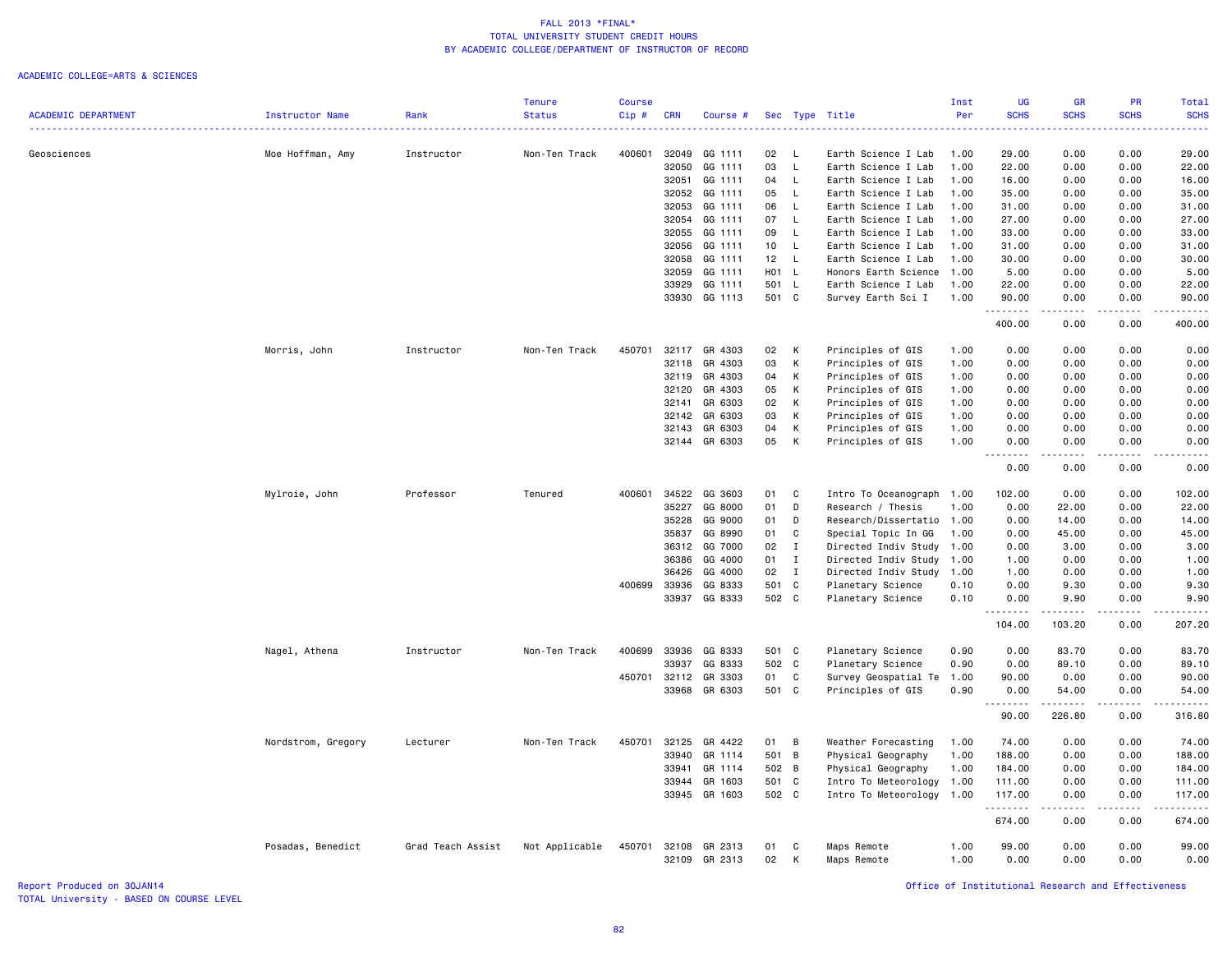#### ACADEMIC COLLEGE=ARTS & SCIENCES

|                            |                        |                   | <b>Tenure</b>  | <b>Course</b> |                |                          |                 |                |                                            | Inst         | <b>UG</b>                  | <b>GR</b>       | <b>PR</b>    | Total                                                                                                                             |
|----------------------------|------------------------|-------------------|----------------|---------------|----------------|--------------------------|-----------------|----------------|--------------------------------------------|--------------|----------------------------|-----------------|--------------|-----------------------------------------------------------------------------------------------------------------------------------|
| <b>ACADEMIC DEPARTMENT</b> | <b>Instructor Name</b> | Rank              | <b>Status</b>  | Cip#          | <b>CRN</b>     | Course #                 |                 |                | Sec Type Title                             | Per          | <b>SCHS</b>                | <b>SCHS</b>     | <b>SCHS</b>  | <b>SCHS</b>                                                                                                                       |
|                            |                        |                   |                |               |                |                          |                 |                |                                            |              |                            |                 |              |                                                                                                                                   |
| Geosciences                | Moe Hoffman, Amy       | Instructor        | Non-Ten Track  | 400601        | 32049          | GG 1111                  | 02              | L.             | Earth Science I Lab                        | 1.00         | 29.00                      | 0.00            | 0.00         | 29.00                                                                                                                             |
|                            |                        |                   |                |               | 32050<br>32051 | GG 1111<br>GG 1111       | 03<br>04        | L<br>L.        | Earth Science I Lab<br>Earth Science I Lab | 1.00<br>1.00 | 22.00<br>16.00             | 0.00<br>0.00    | 0.00<br>0.00 | 22.00<br>16.00                                                                                                                    |
|                            |                        |                   |                |               | 32052          | GG 1111                  | 05              | L.             | Earth Science I Lab                        | 1.00         | 35.00                      | 0.00            | 0.00         | 35.00                                                                                                                             |
|                            |                        |                   |                |               | 32053          | GG 1111                  | 06              | $\mathsf{L}$   | Earth Science I Lab                        | 1.00         | 31.00                      | 0.00            | 0.00         | 31.00                                                                                                                             |
|                            |                        |                   |                |               | 32054          | GG 1111                  | 07              | <b>L</b>       | Earth Science I Lab                        | 1.00         | 27.00                      | 0.00            | 0.00         | 27.00                                                                                                                             |
|                            |                        |                   |                |               | 32055          | GG 1111                  | 09              | L.             | Earth Science I Lab                        | 1.00         | 33.00                      | 0.00            | 0.00         | 33.00                                                                                                                             |
|                            |                        |                   |                |               | 32056          | GG 1111                  | 10 <sub>1</sub> | L.             | Earth Science I Lab                        | 1.00         | 31.00                      | 0.00            | 0.00         | 31.00                                                                                                                             |
|                            |                        |                   |                |               | 32058          | GG 1111                  | 12 <sub>2</sub> | $\mathsf{L}$   | Earth Science I Lab                        | 1.00         | 30.00                      | 0.00            | 0.00         | 30.00                                                                                                                             |
|                            |                        |                   |                |               | 32059          | GG 1111                  | H01 L           |                | Honors Earth Science                       | 1.00         | 5.00                       | 0.00            | 0.00         | 5.00                                                                                                                              |
|                            |                        |                   |                |               | 33929          | GG 1111                  | 501             | L.             | Earth Science I Lab                        | 1.00         | 22.00                      | 0.00            | 0.00         | 22.00                                                                                                                             |
|                            |                        |                   |                |               | 33930          | GG 1113                  | 501 C           |                | Survey Earth Sci I                         | 1.00         | 90.00                      | 0.00            | 0.00         | 90.00                                                                                                                             |
|                            |                        |                   |                |               |                |                          |                 |                |                                            |              | .<br>400.00                | د د د د<br>0.00 | .<br>0.00    | .<br>400.00                                                                                                                       |
|                            | Morris, John           | Instructor        | Non-Ten Track  | 450701        | 32117          | GR 4303                  | 02              | К              | Principles of GIS                          | 1.00         | 0.00                       | 0.00            | 0.00         | 0.00                                                                                                                              |
|                            |                        |                   |                |               | 32118          | GR 4303                  | 03              | К              | Principles of GIS                          | 1.00         | 0.00                       | 0.00            | 0.00         | 0.00                                                                                                                              |
|                            |                        |                   |                |               | 32119          | GR 4303                  | 04              | К              | Principles of GIS                          | 1.00         | 0.00                       | 0.00            | 0.00         | 0.00                                                                                                                              |
|                            |                        |                   |                |               | 32120          | GR 4303                  | 05              | К              | Principles of GIS                          | 1.00         | 0.00                       | 0.00            | 0.00         | 0.00                                                                                                                              |
|                            |                        |                   |                |               | 32141          | GR 6303                  | 02              | К              | Principles of GIS                          | 1.00         | 0.00                       | 0.00            | 0.00         | 0.00                                                                                                                              |
|                            |                        |                   |                |               | 32142          | GR 6303                  | 03              | K              | Principles of GIS                          | 1.00         | 0.00                       | 0.00            | 0.00         | 0.00                                                                                                                              |
|                            |                        |                   |                |               | 32143          | GR 6303<br>32144 GR 6303 | 04<br>05        | К<br>К         | Principles of GIS<br>Principles of GIS     | 1.00<br>1.00 | 0.00<br>0.00               | 0.00<br>0.00    | 0.00<br>0.00 | 0.00<br>0.00                                                                                                                      |
|                            |                        |                   |                |               |                |                          |                 |                |                                            |              | .<br>$\sim$ $\sim$<br>0.00 | .<br>0.00       | .<br>0.00    | $\frac{1}{2} \left( \frac{1}{2} \right) \left( \frac{1}{2} \right) \left( \frac{1}{2} \right) \left( \frac{1}{2} \right)$<br>0.00 |
|                            |                        |                   | Tenured        | 400601        |                |                          |                 |                |                                            |              |                            |                 |              |                                                                                                                                   |
|                            | Mylroie, John          | Professor         |                |               | 34522          | GG 3603                  | 01<br>01        | C              | Intro To Oceanograph                       | 1.00         | 102.00                     | 0.00            | 0.00         | 102.00                                                                                                                            |
|                            |                        |                   |                |               | 35227<br>35228 | GG 8000<br>GG 9000       | 01              | D<br>D         | Research / Thesis<br>Research/Dissertatio  | 1.00<br>1.00 | 0.00                       | 22.00           | 0.00<br>0.00 | 22.00                                                                                                                             |
|                            |                        |                   |                |               | 35837          | GG 8990                  | 01              | C              | Special Topic In GG                        | 1.00         | 0.00<br>0.00               | 14.00<br>45.00  | 0.00         | 14.00<br>45.00                                                                                                                    |
|                            |                        |                   |                |               | 36312          | GG 7000                  | 02              | $\mathbf I$    | Directed Indiv Study                       | 1.00         | 0.00                       | 3.00            | 0.00         | 3.00                                                                                                                              |
|                            |                        |                   |                |               | 36386          | GG 4000                  | 01              | I              | Directed Indiv Study                       | 1.00         | 1.00                       | 0.00            | 0.00         | 1.00                                                                                                                              |
|                            |                        |                   |                |               | 36426          | GG 4000                  | 02              | $\mathbf{I}$   | Directed Indiv Study                       | 1.00         | 1.00                       | 0.00            | 0.00         | 1.00                                                                                                                              |
|                            |                        |                   |                | 400699        | 33936          | GG 8333                  | 501             | C              | Planetary Science                          | 0.10         | 0.00                       | 9.30            | 0.00         | 9.30                                                                                                                              |
|                            |                        |                   |                |               | 33937          | GG 8333                  | 502 C           |                | Planetary Science                          | 0.10         | 0.00                       | 9.90            | 0.00         | 9.90                                                                                                                              |
|                            |                        |                   |                |               |                |                          |                 |                |                                            |              | د د د د<br>104.00          | .<br>103.20     | .<br>0.00    | .<br>207.20                                                                                                                       |
|                            | Nagel, Athena          | Instructor        | Non-Ten Track  | 400699        | 33936          | GG 8333                  | 501 C           |                | Planetary Science                          | 0.90         | 0.00                       | 83.70           | 0.00         | 83.70                                                                                                                             |
|                            |                        |                   |                |               | 33937          | GG 8333                  | 502 C           |                | Planetary Science                          | 0.90         | 0.00                       | 89.10           | 0.00         | 89.10                                                                                                                             |
|                            |                        |                   |                | 450701        | 32112          | GR 3303                  | 01              | C              | Survey Geospatial Te                       | 1.00         | 90.00                      | 0.00            | 0.00         | 90.00                                                                                                                             |
|                            |                        |                   |                |               | 33968          | GR 6303                  | 501 C           |                | Principles of GIS                          | 0.90         | 0.00<br>.                  | 54.00<br>.      | 0.00<br>.    | 54.00<br>.                                                                                                                        |
|                            |                        |                   |                |               |                |                          |                 |                |                                            |              | 90.00                      | 226.80          | 0.00         | 316.80                                                                                                                            |
|                            | Nordstrom, Gregory     | Lecturer          | Non-Ten Track  | 450701        | 32125          | GR 4422                  | 01              | $\overline{B}$ | Weather Forecasting                        | 1.00         | 74.00                      | 0.00            | 0.00         | 74.00                                                                                                                             |
|                            |                        |                   |                |               | 33940          | GR 1114                  | 501 B           |                | Physical Geography                         | 1.00         | 188.00                     | 0.00            | 0.00         | 188.00                                                                                                                            |
|                            |                        |                   |                |               | 33941          | GR 1114                  | 502 B           |                | Physical Geography                         | 1.00         | 184.00                     | 0.00            | 0.00         | 184.00                                                                                                                            |
|                            |                        |                   |                |               | 33944          | GR 1603                  | 501 C           |                | Intro To Meteorology                       | 1.00         | 111.00                     | 0.00            | 0.00         | 111.00                                                                                                                            |
|                            |                        |                   |                |               | 33945          | GR 1603                  | 502 C           |                | Intro To Meteorology                       | 1.00         | 117.00<br>.                | 0.00<br>.       | 0.00<br>.    | 117.00<br>.                                                                                                                       |
|                            |                        |                   |                |               |                |                          |                 |                |                                            |              | 674.00                     | 0.00            | 0.00         | 674.00                                                                                                                            |
|                            | Posadas, Benedict      | Grad Teach Assist | Not Applicable | 450701        | 32108          | GR 2313                  | 01              | C              | Maps Remote                                | 1.00         | 99.00                      | 0.00            | 0.00         | 99.00                                                                                                                             |
|                            |                        |                   |                |               | 32109          | GR 2313                  | 02              | К              | Maps Remote                                | 1.00         | 0.00                       | 0.00            | 0.00         | 0.00                                                                                                                              |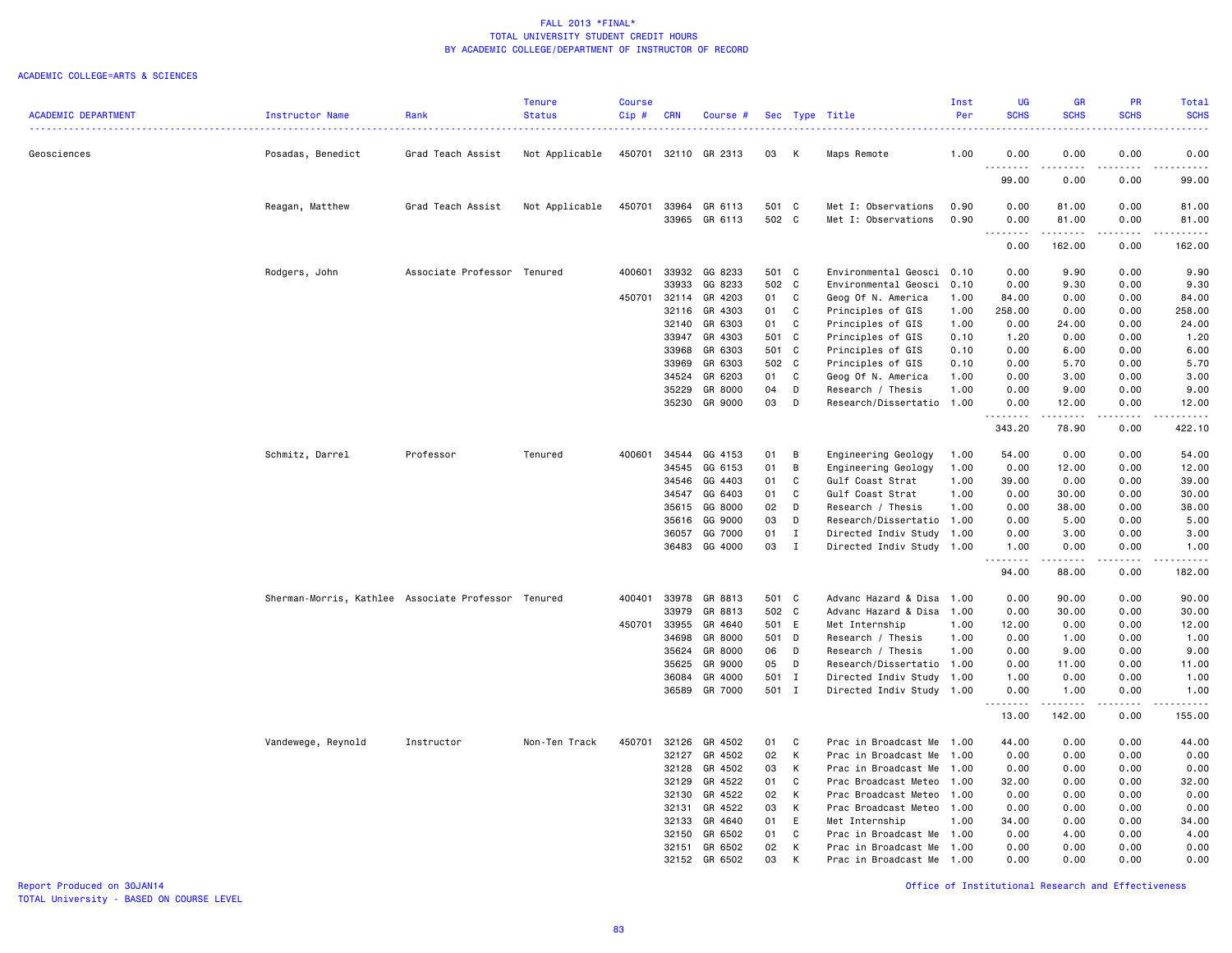#### ACADEMIC COLLEGE=ARTS & SCIENCES

|                            |                                                     |                             | <b>Tenure</b>  | Course  |            |          |       |              |                           | Inst | UG                    | <b>GR</b>                                                                                                                                                    | PR                                  | Total                                                                                                                                    |
|----------------------------|-----------------------------------------------------|-----------------------------|----------------|---------|------------|----------|-------|--------------|---------------------------|------|-----------------------|--------------------------------------------------------------------------------------------------------------------------------------------------------------|-------------------------------------|------------------------------------------------------------------------------------------------------------------------------------------|
| <b>ACADEMIC DEPARTMENT</b> | <b>Instructor Name</b>                              | Rank                        | <b>Status</b>  | $Cip$ # | <b>CRN</b> | Course # |       |              | Sec Type Title            | Per  | <b>SCHS</b>           | <b>SCHS</b>                                                                                                                                                  | <b>SCHS</b>                         | <b>SCHS</b><br>$\frac{1}{2} \left( \frac{1}{2} \right) \left( \frac{1}{2} \right) \left( \frac{1}{2} \right) \left( \frac{1}{2} \right)$ |
| Geosciences                | Posadas, Benedict                                   | Grad Teach Assist           | Not Applicable | 450701  | 32110      | GR 2313  | 03    | к            | Maps Remote               | 1.00 | 0.00                  | 0.00                                                                                                                                                         | 0.00                                | 0.00                                                                                                                                     |
|                            |                                                     |                             |                |         |            |          |       |              |                           |      | .<br>99.00            | ----<br>0.00                                                                                                                                                 | $\sim$ $\sim$ $\sim$<br>0.00        | $\frac{1}{2}$<br>99.00                                                                                                                   |
|                            | Reagan, Matthew                                     | Grad Teach Assist           | Not Applicable | 450701  | 33964      | GR 6113  | 501 C |              | Met I: Observations       | 0.90 | 0.00                  | 81.00                                                                                                                                                        | 0.00                                | 81.00                                                                                                                                    |
|                            |                                                     |                             |                |         | 33965      | GR 6113  | 502 C |              | Met I: Observations       | 0.90 | 0.00                  | 81.00                                                                                                                                                        | 0.00                                | 81.00                                                                                                                                    |
|                            |                                                     |                             |                |         |            |          |       |              |                           |      | .<br>0.00             | ------<br>162.00                                                                                                                                             | .<br>0.00                           | $\omega$ is $\omega$ in $\omega$ in<br>162.00                                                                                            |
|                            | Rodgers, John                                       | Associate Professor Tenured |                | 400601  | 33932      | GG 8233  | 501 C |              | Environmental Geosci      | 0.10 | 0.00                  | 9.90                                                                                                                                                         | 0.00                                | 9.90                                                                                                                                     |
|                            |                                                     |                             |                |         | 33933      | GG 8233  | 502 C |              | Environmental Geosci      | 0.10 | 0.00                  | 9.30                                                                                                                                                         | 0.00                                | 9.30                                                                                                                                     |
|                            |                                                     |                             |                | 450701  | 32114      | GR 4203  | 01    | C            | Geog Of N. America        | 1.00 | 84.00                 | 0.00                                                                                                                                                         | 0.00                                | 84.00                                                                                                                                    |
|                            |                                                     |                             |                |         | 32116      | GR 4303  | 01    | C            | Principles of GIS         | 1.00 | 258.00                | 0.00                                                                                                                                                         | 0.00                                | 258.00                                                                                                                                   |
|                            |                                                     |                             |                |         | 32140      | GR 6303  | 01    | C            | Principles of GIS         | 1.00 | 0.00                  | 24.00                                                                                                                                                        | 0.00                                | 24.00                                                                                                                                    |
|                            |                                                     |                             |                |         | 33947      | GR 4303  | 501 C |              | Principles of GIS         | 0.10 | 1.20                  | 0.00                                                                                                                                                         | 0.00                                | 1.20                                                                                                                                     |
|                            |                                                     |                             |                |         | 33968      | GR 6303  | 501 C |              | Principles of GIS         | 0.10 | 0.00                  | 6.00                                                                                                                                                         | 0.00                                | 6.00                                                                                                                                     |
|                            |                                                     |                             |                |         | 33969      | GR 6303  | 502 C |              | Principles of GIS         | 0.10 | 0.00                  | 5.70                                                                                                                                                         | 0.00                                | 5.70                                                                                                                                     |
|                            |                                                     |                             |                |         | 34524      | GR 6203  | 01    | C            | Geog Of N. America        | 1.00 | 0.00                  | 3.00                                                                                                                                                         | 0.00                                | 3.00                                                                                                                                     |
|                            |                                                     |                             |                |         | 35229      | GR 8000  | 04    | D            | Research / Thesis         | 1.00 | 0.00                  | 9.00                                                                                                                                                         | 0.00                                | 9.00                                                                                                                                     |
|                            |                                                     |                             |                |         | 35230      | GR 9000  | 03    | D            | Research/Dissertatio      | 1.00 | 0.00<br>د د د د       | 12.00<br>$- - - - -$                                                                                                                                         | 0.00<br>$- - - -$                   | 12.00<br>.                                                                                                                               |
|                            |                                                     |                             |                |         |            |          |       |              |                           |      | 343.20                | 78.90                                                                                                                                                        | 0.00                                | 422.10                                                                                                                                   |
|                            | Schmitz, Darrel                                     | Professor                   | Tenured        | 400601  | 34544      | GG 4153  | 01    | В            | Engineering Geology       | 1.00 | 54.00                 | 0.00                                                                                                                                                         | 0.00                                | 54.00                                                                                                                                    |
|                            |                                                     |                             |                |         | 34545      | GG 6153  | 01    | B            | Engineering Geology       | 1.00 | 0.00                  | 12.00                                                                                                                                                        | 0.00                                | 12.00                                                                                                                                    |
|                            |                                                     |                             |                |         | 34546      | GG 4403  | 01    | C            | Gulf Coast Strat          | 1.00 | 39.00                 | 0.00                                                                                                                                                         | 0.00                                | 39.00                                                                                                                                    |
|                            |                                                     |                             |                |         | 34547      | GG 6403  | 01    | C            | Gulf Coast Strat          | 1.00 | 0.00                  | 30.00                                                                                                                                                        | 0.00                                | 30.00                                                                                                                                    |
|                            |                                                     |                             |                |         | 35615      | GG 8000  | 02    | D            | Research / Thesis         | 1.00 | 0.00                  | 38.00                                                                                                                                                        | 0.00                                | 38.00                                                                                                                                    |
|                            |                                                     |                             |                |         | 35616      | GG 9000  | 03    | D            | Research/Dissertatio 1.00 |      | 0.00                  | 5.00                                                                                                                                                         | 0.00                                | 5.00                                                                                                                                     |
|                            |                                                     |                             |                |         | 36057      | GG 7000  | 01    | $\mathbf{I}$ | Directed Indiv Study      | 1.00 | 0.00                  | 3.00                                                                                                                                                         | 0.00                                | 3.00                                                                                                                                     |
|                            |                                                     |                             |                |         | 36483      | GG 4000  | 03    | $\mathbf{I}$ | Directed Indiv Study      | 1.00 | 1.00<br>.             | 0.00<br>$\frac{1}{2} \left( \frac{1}{2} \right) \left( \frac{1}{2} \right) \left( \frac{1}{2} \right) \left( \frac{1}{2} \right) \left( \frac{1}{2} \right)$ | 0.00<br>$\sim$ $\sim$ $\sim$ $\sim$ | 1.00<br>.                                                                                                                                |
|                            |                                                     |                             |                |         |            |          |       |              |                           |      | 94.00                 | 88.00                                                                                                                                                        | 0.00                                | 182.00                                                                                                                                   |
|                            | Sherman-Morris, Kathlee Associate Professor Tenured |                             |                | 400401  | 33978      | GR 8813  | 501 C |              | Advanc Hazard & Disa      | 1.00 | 0.00                  | 90.00                                                                                                                                                        | 0.00                                | 90.00                                                                                                                                    |
|                            |                                                     |                             |                |         | 33979      | GR 8813  | 502 C |              | Advanc Hazard & Disa      | 1.00 | 0.00                  | 30.00                                                                                                                                                        | 0.00                                | 30.00                                                                                                                                    |
|                            |                                                     |                             |                | 450701  | 33955      | GR 4640  | 501 E |              | Met Internship            | 1.00 | 12.00                 | 0.00                                                                                                                                                         | 0.00                                | 12.00                                                                                                                                    |
|                            |                                                     |                             |                |         | 34698      | GR 8000  | 501 D |              | Research / Thesis         | 1.00 | 0.00                  | 1.00                                                                                                                                                         | 0.00                                | 1.00                                                                                                                                     |
|                            |                                                     |                             |                |         | 35624      | GR 8000  | 06    | D            | Research / Thesis         | 1.00 | 0.00                  | 9.00                                                                                                                                                         | 0.00                                | 9.00                                                                                                                                     |
|                            |                                                     |                             |                |         | 35625      | GR 9000  | 05    | D            | Research/Dissertatio 1.00 |      | 0.00                  | 11.00                                                                                                                                                        | 0.00                                | 11.00                                                                                                                                    |
|                            |                                                     |                             |                |         | 36084      | GR 4000  | 501 I |              | Directed Indiv Study      | 1.00 | 1.00                  | 0.00                                                                                                                                                         | 0.00                                | 1.00                                                                                                                                     |
|                            |                                                     |                             |                |         | 36589      | GR 7000  | 501 I |              | Directed Indiv Study 1.00 |      | 0.00<br>1.1.1.1.1.1.1 | 1.00<br>.                                                                                                                                                    | 0.00<br>.                           | 1.00<br>.                                                                                                                                |
|                            |                                                     |                             |                |         |            |          |       |              |                           |      | 13.00                 | 142.00                                                                                                                                                       | 0.00                                | 155.00                                                                                                                                   |
|                            | Vandewege, Reynold                                  | Instructor                  | Non-Ten Track  | 450701  | 32126      | GR 4502  | 01    | C            | Prac in Broadcast Me      | 1.00 | 44.00                 | 0.00                                                                                                                                                         | 0.00                                | 44.00                                                                                                                                    |
|                            |                                                     |                             |                |         | 32127      | GR 4502  | 02    | K            | Prac in Broadcast Me      | 1.00 | 0.00                  | 0.00                                                                                                                                                         | 0.00                                | 0.00                                                                                                                                     |
|                            |                                                     |                             |                |         | 32128      | GR 4502  | 03    | К            | Prac in Broadcast Me      | 1.00 | 0.00                  | 0.00                                                                                                                                                         | 0.00                                | 0.00                                                                                                                                     |
|                            |                                                     |                             |                |         | 32129      | GR 4522  | 01    | C            | Prac Broadcast Meteo      | 1.00 | 32.00                 | 0.00                                                                                                                                                         | 0.00                                | 32.00                                                                                                                                    |
|                            |                                                     |                             |                |         | 32130      | GR 4522  | 02    | K            | Prac Broadcast Meteo      | 1.00 | 0.00                  | 0.00                                                                                                                                                         | 0.00                                | 0.00                                                                                                                                     |
|                            |                                                     |                             |                |         | 32131      | GR 4522  | 03    | K            | Prac Broadcast Meteo      | 1.00 | 0.00                  | 0.00                                                                                                                                                         | 0.00                                | 0.00                                                                                                                                     |
|                            |                                                     |                             |                |         | 32133      | GR 4640  | 01    | E            | Met Internship            | 1.00 | 34.00                 | 0.00                                                                                                                                                         | 0.00                                | 34.00                                                                                                                                    |
|                            |                                                     |                             |                |         | 32150      | GR 6502  | 01    | C            | Prac in Broadcast Me      | 1.00 | 0.00                  | 4.00                                                                                                                                                         | 0.00                                | 4.00                                                                                                                                     |
|                            |                                                     |                             |                |         | 32151      | GR 6502  | 02    | К            | Prac in Broadcast Me      | 1.00 | 0.00                  | 0.00                                                                                                                                                         | 0.00                                | 0.00                                                                                                                                     |
|                            |                                                     |                             |                |         | 32152      | GR 6502  | 03    | К            | Prac in Broadcast Me      | 1.00 | 0.00                  | 0.00                                                                                                                                                         | 0.00                                | 0.00                                                                                                                                     |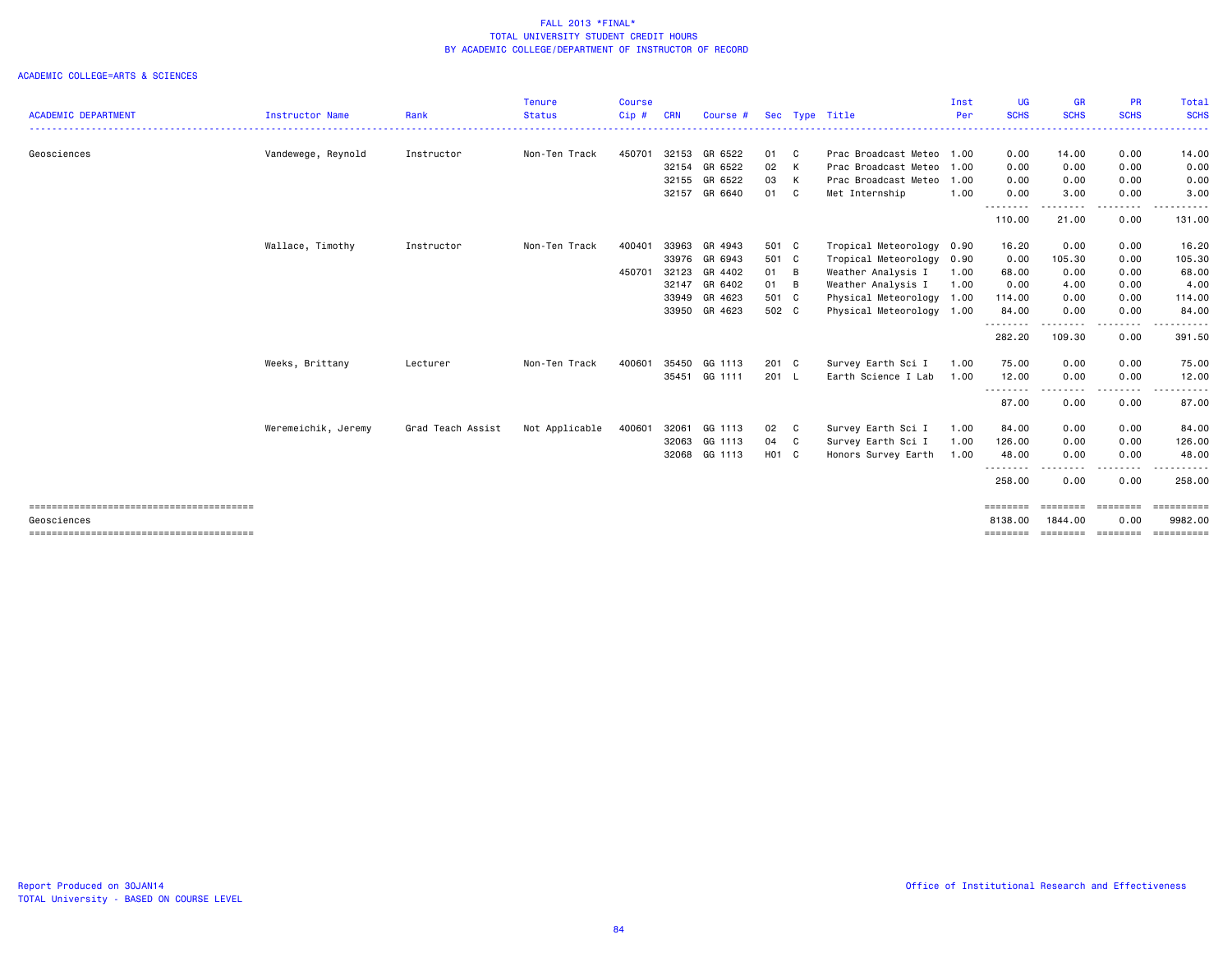|                            |                     |                   | Tenure         | <b>Course</b> |            |               |               |   |                           | Inst | UG                          | <b>GR</b>                 | <b>PR</b>     | Total                                                                                                                                                                                                                                                                                                                                                                                                                               |
|----------------------------|---------------------|-------------------|----------------|---------------|------------|---------------|---------------|---|---------------------------|------|-----------------------------|---------------------------|---------------|-------------------------------------------------------------------------------------------------------------------------------------------------------------------------------------------------------------------------------------------------------------------------------------------------------------------------------------------------------------------------------------------------------------------------------------|
| <b>ACADEMIC DEPARTMENT</b> | Instructor Name     | Rank              | <b>Status</b>  | $Cip$ #       | <b>CRN</b> | Course #      |               |   | Sec Type Title            | Per  | <b>SCHS</b><br>. <b>.</b> . | <b>SCHS</b><br>. <u>.</u> | <b>SCHS</b>   | <b>SCHS</b>                                                                                                                                                                                                                                                                                                                                                                                                                         |
| Geosciences                | Vandewege, Reynold  | Instructor        | Non-Ten Track  | 450701        | 32153      | GR 6522       | 01 C          |   | Prac Broadcast Meteo 1.00 |      | 0.00                        | 14.00                     | 0.00          | 14.00                                                                                                                                                                                                                                                                                                                                                                                                                               |
|                            |                     |                   |                |               | 32154      | GR 6522       | 02 K          |   | Prac Broadcast Meteo      | 1.00 | 0.00                        | 0.00                      | 0.00          | 0.00                                                                                                                                                                                                                                                                                                                                                                                                                                |
|                            |                     |                   |                |               | 32155      | GR 6522       | 03 K          |   | Prac Broadcast Meteo      | 1.00 | 0.00                        | 0.00                      | 0.00          | 0.00                                                                                                                                                                                                                                                                                                                                                                                                                                |
|                            |                     |                   |                |               |            | 32157 GR 6640 | 01 C          |   | Met Internship            | 1.00 | 0.00                        | 3.00                      | 0.00          | 3.00                                                                                                                                                                                                                                                                                                                                                                                                                                |
|                            |                     |                   |                |               |            |               |               |   |                           |      | .<br>110.00                 | .<br>21.00                | -----<br>0.00 | 131.00                                                                                                                                                                                                                                                                                                                                                                                                                              |
|                            | Wallace, Timothy    | Instructor        | Non-Ten Track  | 400401        | 33963      | GR 4943       | 501 C         |   | Tropical Meteorology      | 0.90 | 16.20                       | 0.00                      | 0.00          | 16.20                                                                                                                                                                                                                                                                                                                                                                                                                               |
|                            |                     |                   |                |               |            | 33976 GR 6943 | 501 C         |   | Tropical Meteorology      | 0.90 | 0.00                        | 105.30                    | 0.00          | 105.30                                                                                                                                                                                                                                                                                                                                                                                                                              |
|                            |                     |                   |                | 450701        | 32123      | GR 4402       | 01 B          |   | Weather Analysis I        | 1.00 | 68.00                       | 0.00                      | 0.00          | 68.00                                                                                                                                                                                                                                                                                                                                                                                                                               |
|                            |                     |                   |                |               | 32147      | GR 6402       | 01 B          |   | Weather Analysis I        | 1.00 | 0.00                        | 4.00                      | 0.00          | 4.00                                                                                                                                                                                                                                                                                                                                                                                                                                |
|                            |                     |                   |                |               | 33949      | GR 4623       | 501 C         |   | Physical Meteorology      | 1.00 | 114.00                      | 0.00                      | 0.00          | 114.00                                                                                                                                                                                                                                                                                                                                                                                                                              |
|                            |                     |                   |                |               | 33950      | GR 4623       | 502 C         |   | Physical Meteorology 1.00 |      | 84.00<br>.                  | 0.00<br>$- - - -$         | 0.00<br>.     | 84.00                                                                                                                                                                                                                                                                                                                                                                                                                               |
|                            |                     |                   |                |               |            |               |               |   |                           |      | 282.20                      | 109.30                    | 0.00          | 391.50                                                                                                                                                                                                                                                                                                                                                                                                                              |
|                            | Weeks, Brittany     | Lecturer          | Non-Ten Track  | 400601        | 35450      | GG 1113       | $201 \quad C$ |   | Survey Earth Sci I        | 1.00 | 75.00                       | 0.00                      | 0.00          | 75.00                                                                                                                                                                                                                                                                                                                                                                                                                               |
|                            |                     |                   |                |               | 35451      | GG 1111       | $201$ L       |   | Earth Science I Lab       | 1.00 | 12.00                       | 0.00                      | 0.00          | 12.00<br>.                                                                                                                                                                                                                                                                                                                                                                                                                          |
|                            |                     |                   |                |               |            |               |               |   |                           |      | ---------<br>87.00          | .<br>0.00                 | 0.00          | 87.00                                                                                                                                                                                                                                                                                                                                                                                                                               |
|                            | Weremeichik, Jeremy | Grad Teach Assist | Not Applicable | 400601        | 32061      | GG 1113       | 02 C          |   | Survey Earth Sci I        | 1.00 | 84.00                       | 0.00                      | 0.00          | 84.00                                                                                                                                                                                                                                                                                                                                                                                                                               |
|                            |                     |                   |                |               | 32063      | GG 1113       | 04            | C | Survey Earth Sci I        | 1.00 | 126.00                      | 0.00                      | 0.00          | 126.00                                                                                                                                                                                                                                                                                                                                                                                                                              |
|                            |                     |                   |                |               | 32068      | GG 1113       | H01 C         |   | Honors Survey Earth       | 1.00 | 48.00                       | 0.00                      | 0.00          | 48.00                                                                                                                                                                                                                                                                                                                                                                                                                               |
|                            |                     |                   |                |               |            |               |               |   |                           |      | .<br>258.00                 | .<br>0.00                 | 0.00          | 258.00                                                                                                                                                                                                                                                                                                                                                                                                                              |
|                            |                     |                   |                |               |            |               |               |   |                           |      | ========                    | ========                  | ========      | $\begin{minipage}{0.9\linewidth} \hspace*{-0.2cm} \textbf{1} & \textbf{2} & \textbf{3} & \textbf{5} & \textbf{6} & \textbf{7} & \textbf{8} \\ \textbf{5} & \textbf{6} & \textbf{7} & \textbf{8} & \textbf{8} & \textbf{8} & \textbf{9} & \textbf{1} & \textbf{1} & \textbf{1} \\ \textbf{6} & \textbf{8} & \textbf{8} & \textbf{8} & \textbf{8} & \textbf{8} & \textbf{1} & \textbf{1} & \textbf{1} & \textbf{1} & \textbf{1} \\ \$ |
| Geosciences                |                     |                   |                |               |            |               |               |   |                           |      | 8138,00                     | 1844.00                   | 0.00          | 9982.00                                                                                                                                                                                                                                                                                                                                                                                                                             |
|                            |                     |                   |                |               |            |               |               |   |                           |      | ========                    | ========                  | ---------     | ==========                                                                                                                                                                                                                                                                                                                                                                                                                          |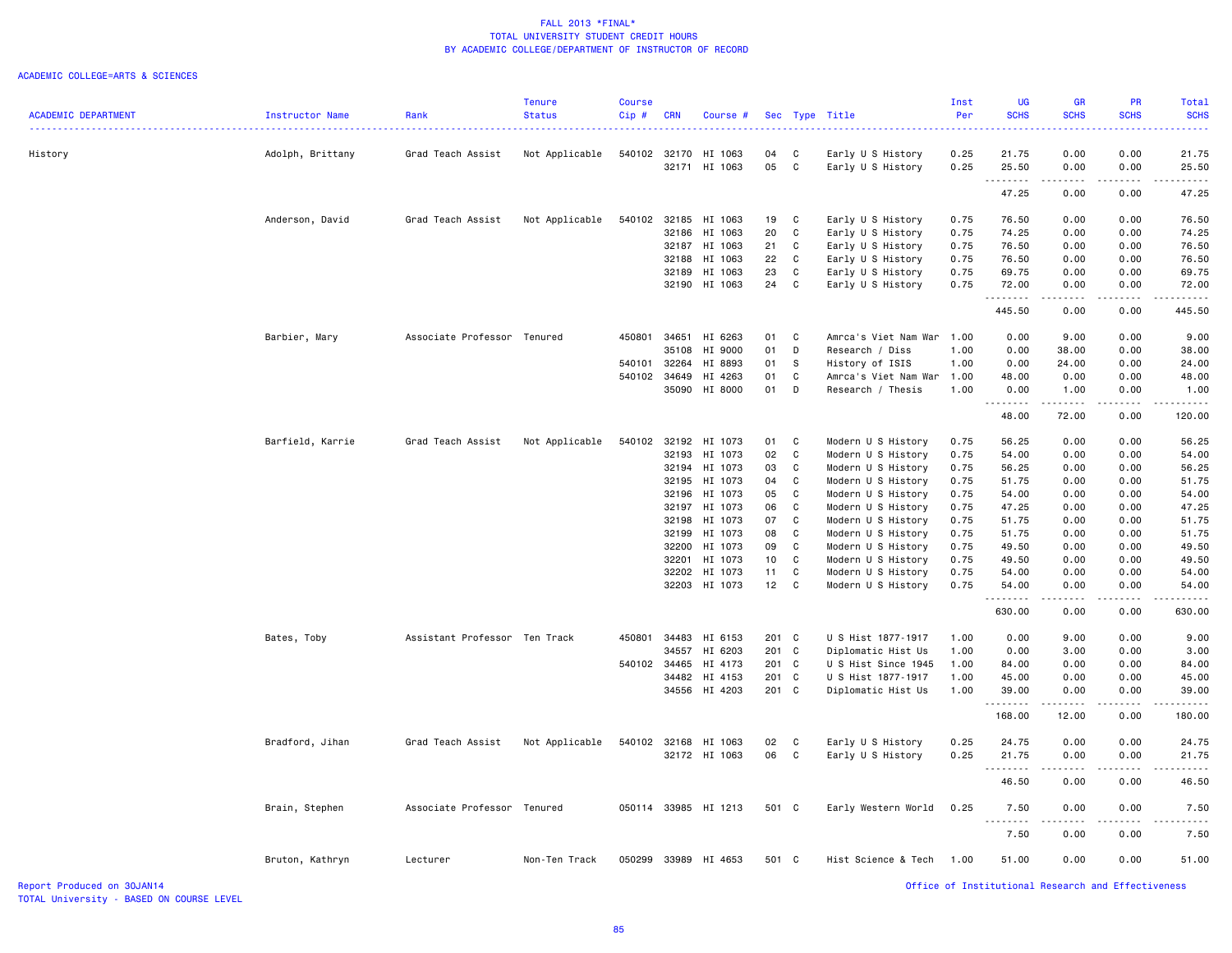#### ACADEMIC COLLEGE=ARTS & SCIENCES

| <b>ACADEMIC DEPARTMENT</b> | Instructor Name  | Rank                          | <b>Tenure</b><br><b>Status</b> | <b>Course</b><br>Cip# | <b>CRN</b> | Course #      |                 |              | Sec Type Title            | Inst<br>Per | UG<br><b>SCHS</b>                                  | <b>GR</b><br><b>SCHS</b>            | PR<br><b>SCHS</b> | Total<br><b>SCHS</b>                       |
|----------------------------|------------------|-------------------------------|--------------------------------|-----------------------|------------|---------------|-----------------|--------------|---------------------------|-------------|----------------------------------------------------|-------------------------------------|-------------------|--------------------------------------------|
|                            |                  | .                             |                                |                       |            |               |                 |              |                           |             |                                                    |                                     |                   |                                            |
| History                    | Adolph, Brittany | Grad Teach Assist             | Not Applicable                 | 540102                |            | 32170 HI 1063 | 04              | C            | Early U S History         | 0.25        | 21.75                                              | 0.00                                | 0.00              | 21.75                                      |
|                            |                  |                               |                                |                       |            | 32171 HI 1063 | 05              | C            | Early U S History         | 0.25        | 25.50<br>.                                         | 0.00<br>.                           | 0.00              | 25.50                                      |
|                            |                  |                               |                                |                       |            |               |                 |              |                           |             | 47.25                                              | 0.00                                | 0.00              | 47.25                                      |
|                            | Anderson, David  | Grad Teach Assist             | Not Applicable                 | 540102                |            | 32185 HI 1063 | 19              | C            | Early U S History         | 0.75        | 76.50                                              | 0.00                                | 0.00              | 76.50                                      |
|                            |                  |                               |                                |                       |            | 32186 HI 1063 | 20              | C            | Early U S History         | 0.75        | 74.25                                              | 0.00                                | 0.00              | 74.25                                      |
|                            |                  |                               |                                |                       |            | 32187 HI 1063 | 21              | C            | Early U S History         | 0.75        | 76.50                                              | 0.00                                | 0.00              | 76.50                                      |
|                            |                  |                               |                                |                       |            | 32188 HI 1063 | 22              | C            | Early U S History         | 0.75        | 76.50                                              | 0.00                                | 0.00              | 76.50                                      |
|                            |                  |                               |                                |                       | 32189      | HI 1063       | 23              | C            | Early U S History         | 0.75        | 69.75                                              | 0.00                                | 0.00              | 69.75                                      |
|                            |                  |                               |                                |                       |            | 32190 HI 1063 | 24              | C            | Early U S History         | 0.75        | 72.00<br>.                                         | 0.00<br>$\sim$ $\sim$ $\sim$ $\sim$ | 0.00<br>.         | 72.00<br>.                                 |
|                            |                  |                               |                                |                       |            |               |                 |              |                           |             | 445.50                                             | 0.00                                | 0.00              | 445.50                                     |
|                            | Barbier, Mary    | Associate Professor Tenured   |                                | 450801                | 34651      | HI 6263       | 01              | C            | Amrca's Viet Nam War      | 1.00        | 0.00                                               | 9.00                                | 0.00              | 9.00                                       |
|                            |                  |                               |                                |                       | 35108      | HI 9000       | 01              | D            | Research / Diss           | 1.00        | 0.00                                               | 38.00                               | 0.00              | 38.00                                      |
|                            |                  |                               |                                | 540101                | 32264      | HI 8893       | 01              | S            | History of ISIS           | 1.00        | 0.00                                               | 24.00                               | 0.00              | 24.00                                      |
|                            |                  |                               |                                | 540102                |            | 34649 HI 4263 | 01              | C            | Amrca's Viet Nam War 1.00 |             | 48.00                                              | 0.00                                | 0.00              | 48.00                                      |
|                            |                  |                               |                                |                       |            | 35090 HI 8000 | 01              | D            | Research / Thesis         | 1.00        | 0.00<br><b></b>                                    | 1.00<br>.                           | 0.00<br>.         | 1.00<br>$\omega$ is $\omega$ in $\omega$ . |
|                            |                  |                               |                                |                       |            |               |                 |              |                           |             | 48.00                                              | 72.00                               | 0.00              | 120.00                                     |
|                            | Barfield, Karrie | Grad Teach Assist             | Not Applicable                 | 540102                |            | 32192 HI 1073 | 01              | C            | Modern U S History        | 0.75        | 56.25                                              | 0.00                                | 0.00              | 56.25                                      |
|                            |                  |                               |                                |                       | 32193      | HI 1073       | 02              | C            | Modern U S History        | 0.75        | 54.00                                              | 0.00                                | 0.00              | 54.00                                      |
|                            |                  |                               |                                |                       |            | 32194 HI 1073 | 03              | C            | Modern U S History        | 0.75        | 56.25                                              | 0.00                                | 0.00              | 56.25                                      |
|                            |                  |                               |                                |                       | 32195      | HI 1073       | 04              | C            | Modern U S History        | 0.75        | 51.75                                              | 0.00                                | 0.00              | 51.75                                      |
|                            |                  |                               |                                |                       |            | 32196 HI 1073 | 05              | C            | Modern U S History        | 0.75        | 54.00                                              | 0.00                                | 0.00              | 54.00                                      |
|                            |                  |                               |                                |                       | 32197      | HI 1073       | 06              | C            | Modern U S History        | 0.75        | 47.25                                              | 0.00                                | 0.00              | 47.25                                      |
|                            |                  |                               |                                |                       | 32198      | HI 1073       | 07              | C            | Modern U S History        | 0.75        | 51.75                                              | 0.00                                | 0.00              | 51.75                                      |
|                            |                  |                               |                                |                       | 32199      | HI 1073       | 08              | C            | Modern U S History        | 0.75        | 51.75                                              | 0.00                                | 0.00              | 51.75                                      |
|                            |                  |                               |                                |                       |            | 32200 HI 1073 | 09              | C            | Modern U S History        | 0.75        | 49.50                                              | 0.00                                | 0.00              | 49.50                                      |
|                            |                  |                               |                                |                       | 32201      | HI 1073       | 10 <sub>1</sub> | C            | Modern U S History        | 0.75        | 49.50                                              | 0.00                                | 0.00              | 49.50                                      |
|                            |                  |                               |                                |                       |            | 32202 HI 1073 | 11              | C            | Modern U S History        | 0.75        | 54.00                                              | 0.00                                | 0.00              | 54.00                                      |
|                            |                  |                               |                                |                       |            | 32203 HI 1073 | 12              | C            | Modern U S History        | 0.75        | 54.00                                              | 0.00                                | 0.00              | 54.00                                      |
|                            |                  |                               |                                |                       |            |               |                 |              |                           |             | .<br>630.00                                        | 0.00                                | 0.00              | 630.00                                     |
|                            | Bates, Toby      | Assistant Professor Ten Track |                                | 450801                |            | 34483 HI 6153 | 201 C           |              | U S Hist 1877-1917        | 1.00        | 0.00                                               | 9.00                                | 0.00              | 9.00                                       |
|                            |                  |                               |                                |                       |            | 34557 HI 6203 | 201 C           |              | Diplomatic Hist Us        | 1.00        | 0.00                                               | 3.00                                | 0.00              | 3.00                                       |
|                            |                  |                               |                                | 540102                |            | 34465 HI 4173 | 201 C           |              | U S Hist Since 1945       | 1.00        | 84.00                                              | 0.00                                | 0.00              | 84.00                                      |
|                            |                  |                               |                                |                       |            | 34482 HI 4153 | 201 C           |              | U S Hist 1877-1917        | 1.00        | 45.00                                              | 0.00                                | 0.00              | 45.00                                      |
|                            |                  |                               |                                |                       |            | 34556 HI 4203 | 201             | $\mathbf{C}$ | Diplomatic Hist Us        | 1.00        | 39.00                                              | 0.00                                | 0.00              | 39.00                                      |
|                            |                  |                               |                                |                       |            |               |                 |              |                           |             | .<br>168.00                                        | .<br>12.00                          | .<br>0.00         | .<br>180.00                                |
|                            | Bradford, Jihan  | Grad Teach Assist             | Not Applicable                 | 540102                |            | 32168 HI 1063 | 02              | C            | Early U S History         | 0.25        | 24.75                                              | 0.00                                | 0.00              | 24.75                                      |
|                            |                  |                               |                                |                       |            | 32172 HI 1063 | 06              | C            | Early U S History         | 0.25        | 21.75                                              | 0.00                                | 0.00              | 21.75                                      |
|                            |                  |                               |                                |                       |            |               |                 |              |                           |             | -----                                              |                                     |                   |                                            |
|                            |                  |                               |                                |                       |            |               |                 |              |                           |             | 46.50                                              | 0.00                                | 0.00              | 46.50                                      |
|                            | Brain, Stephen   | Associate Professor Tenured   |                                | 050114                |            | 33985 HI 1213 | 501 C           |              | Early Western World       | 0.25        | 7.50<br>.                                          | 0.00<br>.                           | 0.00              | 7.50                                       |
|                            |                  |                               |                                |                       |            |               |                 |              |                           |             | 7.50                                               | 0.00                                | 0.00              | 7.50                                       |
|                            | Bruton, Kathryn  | Lecturer                      | Non-Ten Track                  | 050299                |            | 33989 HI 4653 | 501 C           |              | Hist Science & Tech       | 1.00        | 51.00                                              | 0.00                                | 0.00              | 51.00                                      |
| Report Produced on 30JAN14 |                  |                               |                                |                       |            |               |                 |              |                           |             | Office of Institutional Research and Effectiveness |                                     |                   |                                            |

TOTAL University - BASED ON COURSE LEVEL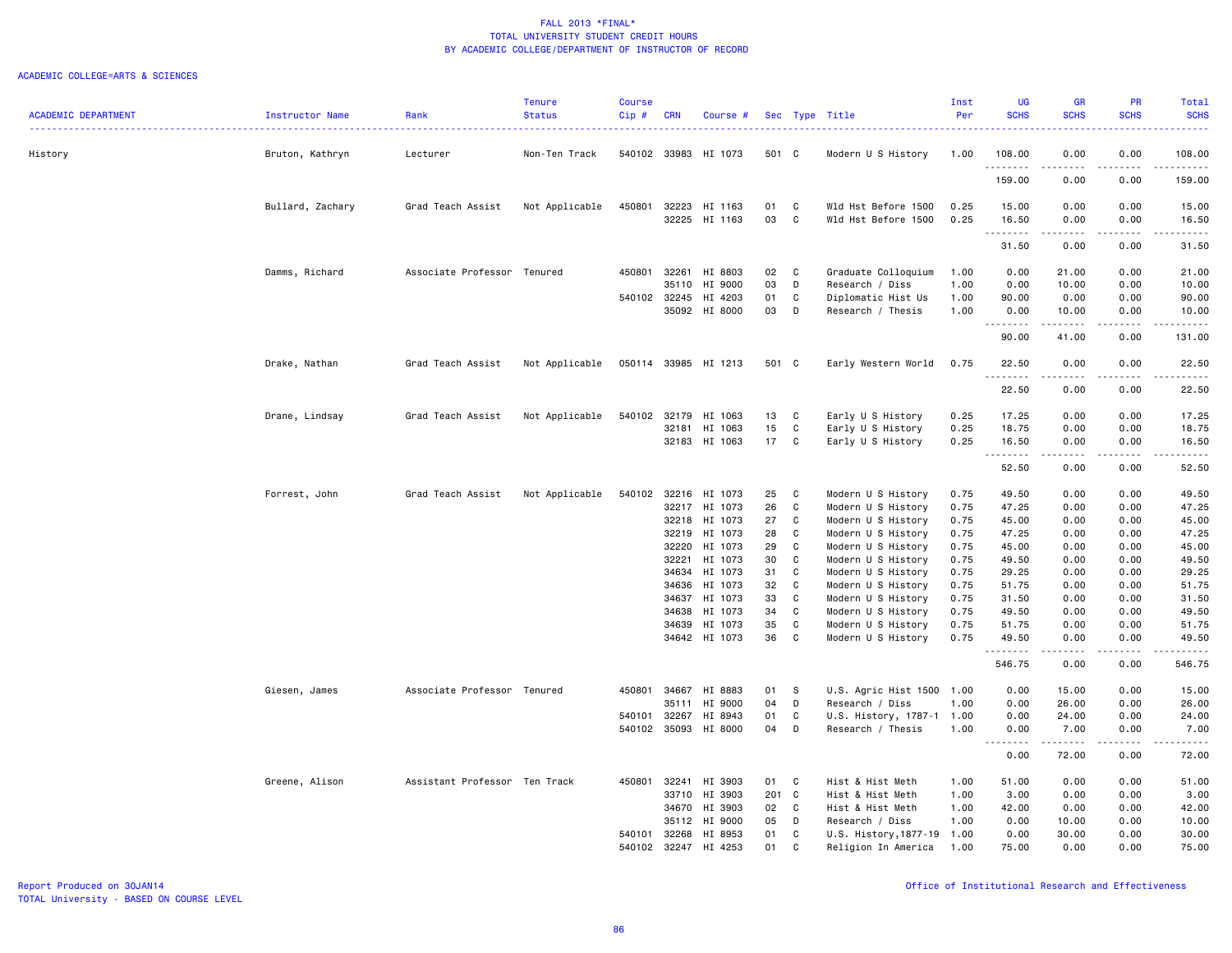|                            |                        |                               | <b>Tenure</b>  | <b>Course</b> |            |                      |       |              |                                | Inst | <b>UG</b>                          | <b>GR</b>   | <b>PR</b>                           | <b>Total</b>       |
|----------------------------|------------------------|-------------------------------|----------------|---------------|------------|----------------------|-------|--------------|--------------------------------|------|------------------------------------|-------------|-------------------------------------|--------------------|
| <b>ACADEMIC DEPARTMENT</b> | <b>Instructor Name</b> | Rank                          | <b>Status</b>  | Cip#          | <b>CRN</b> | Course #             |       |              | Sec Type Title<br>. <u>.</u> . | Per  | <b>SCHS</b>                        | <b>SCHS</b> | <b>SCHS</b>                         | <b>SCHS</b><br>.   |
| History                    | Bruton, Kathryn        | Lecturer                      | Non-Ten Track  | 540102 33983  |            | HI 1073              | 501 C |              | Modern U S History             | 1.00 | 108.00                             | 0.00        | 0.00                                | 108.00             |
|                            |                        |                               |                |               |            |                      |       |              |                                |      | .<br>159.00                        | 0.00        | $\sim$ $\sim$ $\sim$ $\sim$<br>0.00 | .<br>159.00        |
|                            | Bullard, Zachary       | Grad Teach Assist             | Not Applicable | 450801        | 32223      | HI 1163              | 01    | C            | Wld Hst Before 1500            | 0.25 | 15.00                              | 0.00        | 0.00                                | 15.00              |
|                            |                        |                               |                |               |            | 32225 HI 1163        | 03    | C            | Wld Hst Before 1500            | 0.25 | 16.50                              | 0.00        | 0.00                                | 16.50              |
|                            |                        |                               |                |               |            |                      |       |              |                                |      | .<br>31.50                         | 0.00        | 0.00                                | $- - - -$<br>31.50 |
|                            | Damms, Richard         | Associate Professor Tenured   |                | 450801        | 32261      | HI 8803              | 02    | $\mathbf{C}$ | Graduate Colloquium            | 1.00 | 0.00                               | 21.00       | 0.00                                | 21.00              |
|                            |                        |                               |                |               | 35110      | HI 9000              | 03    | D            | Research / Diss                | 1.00 | 0.00                               | 10.00       | 0.00                                | 10.00              |
|                            |                        |                               |                | 540102 32245  |            | HI 4203              | 01    | C            | Diplomatic Hist Us             | 1.00 | 90.00                              | 0.00        | 0.00                                | 90.00              |
|                            |                        |                               |                |               |            | 35092 HI 8000        | 03    | D            | Research / Thesis              | 1.00 | 0.00                               | 10.00       | 0.00                                | 10.00              |
|                            |                        |                               |                |               |            |                      |       |              |                                |      | .<br>90.00                         | .<br>41.00  | .<br>0.00                           | .<br>131.00        |
|                            | Drake, Nathan          | Grad Teach Assist             | Not Applicable |               |            | 050114 33985 HI 1213 | 501 C |              | Early Western World            | 0.75 | 22.50                              | 0.00        | 0.00                                | 22.50              |
|                            |                        |                               |                |               |            |                      |       |              |                                |      | 22.50                              | .<br>0.00   | .<br>0.00                           | .<br>22.50         |
|                            | Drane, Lindsay         | Grad Teach Assist             | Not Applicable | 540102 32179  |            | HI 1063              | 13    | C            | Early U S History              | 0.25 | 17.25                              | 0.00        | 0.00                                | 17.25              |
|                            |                        |                               |                |               | 32181      | HI 1063              | 15    | C            | Early U S History              | 0.25 | 18.75                              | 0.00        | 0.00                                | 18.75              |
|                            |                        |                               |                |               |            | 32183 HI 1063        | 17    | $\mathbf{C}$ | Early U S History              | 0.25 | 16.50                              | 0.00        | 0.00                                | 16.50              |
|                            |                        |                               |                |               |            |                      |       |              |                                |      | .                                  | .           | $- - - -$                           | والمستحدث          |
|                            |                        |                               |                |               |            |                      |       |              |                                |      | 52.50                              | 0.00        | 0.00                                | 52.50              |
|                            | Forrest, John          | Grad Teach Assist             | Not Applicable |               |            | 540102 32216 HI 1073 | 25    | C            | Modern U S History             | 0.75 | 49.50                              | 0.00        | 0.00                                | 49.50              |
|                            |                        |                               |                |               | 32217      | HI 1073              | 26    | C            | Modern U S History             | 0.75 | 47.25                              | 0.00        | 0.00                                | 47.25              |
|                            |                        |                               |                |               | 32218      | HI 1073              | 27    | $\mathbb C$  | Modern U S History             | 0.75 | 45.00                              | 0.00        | 0.00                                | 45.00              |
|                            |                        |                               |                |               | 32219      | HI 1073              | 28    | C            | Modern U S History             | 0.75 | 47.25                              | 0.00        | 0.00                                | 47.25              |
|                            |                        |                               |                |               | 32220      | HI 1073              | 29    | C            | Modern U S History             | 0.75 | 45.00                              | 0.00        | 0.00                                | 45.00              |
|                            |                        |                               |                |               | 32221      | HI 1073              | 30    | C            | Modern U S History             | 0.75 | 49.50                              | 0.00        | 0.00                                | 49.50              |
|                            |                        |                               |                |               | 34634      | HI 1073              | 31    | C            | Modern U S History             | 0.75 | 29.25                              | 0.00        | 0.00                                | 29.25              |
|                            |                        |                               |                |               | 34636      | HI 1073              | 32    | C            | Modern U S History             | 0.75 | 51.75                              | 0.00        | 0.00                                | 51.75              |
|                            |                        |                               |                |               | 34637      | HI 1073              | 33    | $\mathtt{C}$ | Modern U S History             | 0.75 | 31.50                              | 0.00        | 0.00                                | 31.50              |
|                            |                        |                               |                |               | 34638      | HI 1073              | 34    | $\mathbb C$  | Modern U S History             | 0.75 | 49.50                              | 0.00        | 0.00                                | 49.50              |
|                            |                        |                               |                |               | 34639      | HI 1073              | 35    | C            | Modern U S History             | 0.75 | 51.75                              | 0.00        | 0.00                                | 51.75              |
|                            |                        |                               |                |               | 34642      | HI 1073              | 36    | C            | Modern U S History             | 0.75 | 49.50<br>.                         | 0.00<br>.   | 0.00<br>.                           | 49.50<br>.         |
|                            |                        |                               |                |               |            |                      |       |              |                                |      | 546.75                             | 0.00        | 0.00                                | 546.75             |
|                            | Giesen, James          | Associate Professor Tenured   |                | 450801        | 34667      | HI 8883              | 01    | -S           | U.S. Agric Hist 1500           | 1.00 | 0.00                               | 15.00       | 0.00                                | 15.00              |
|                            |                        |                               |                |               | 35111      | HI 9000              | 04    | D            | Research / Diss                | 1.00 | 0.00                               | 26.00       | 0.00                                | 26.00              |
|                            |                        |                               |                | 540101        | 32267      | HI 8943              | 01    | C            | U.S. History, 1787-1 1.00      |      | 0.00                               | 24.00       | 0.00                                | 24.00              |
|                            |                        |                               |                | 540102        | 35093      | HI 8000              | 04    | D            | Research / Thesis              | 1.00 | 0.00<br>$- - - -$<br>$\frac{1}{2}$ | 7.00<br>.   | 0.00<br>.                           | 7.00<br>.          |
|                            |                        |                               |                |               |            |                      |       |              |                                |      | 0.00                               | 72.00       | 0.00                                | 72.00              |
|                            | Greene, Alison         | Assistant Professor Ten Track |                | 450801        | 32241      | HI 3903              | 01    | C            | Hist & Hist Meth               | 1.00 | 51.00                              | 0.00        | 0.00                                | 51.00              |
|                            |                        |                               |                |               | 33710      | HI 3903              | 201 C |              | Hist & Hist Meth               | 1.00 | 3.00                               | 0.00        | 0.00                                | 3.00               |
|                            |                        |                               |                |               | 34670      | HI 3903              | 02    | C            | Hist & Hist Meth               | 1.00 | 42.00                              | 0.00        | 0.00                                | 42.00              |
|                            |                        |                               |                |               | 35112      | HI 9000              | 05    | D            | Research / Diss                | 1.00 | 0.00                               | 10.00       | 0.00                                | 10.00              |
|                            |                        |                               |                | 540101        | 32268      | HI 8953              | 01    | C            | U.S. History, 1877-19 1.00     |      | 0.00                               | 30.00       | 0.00                                | 30.00              |
|                            |                        |                               |                | 540102        | 32247      | HI 4253              | 01    | C            | Religion In America            | 1.00 | 75.00                              | 0.00        | 0.00                                | 75.00              |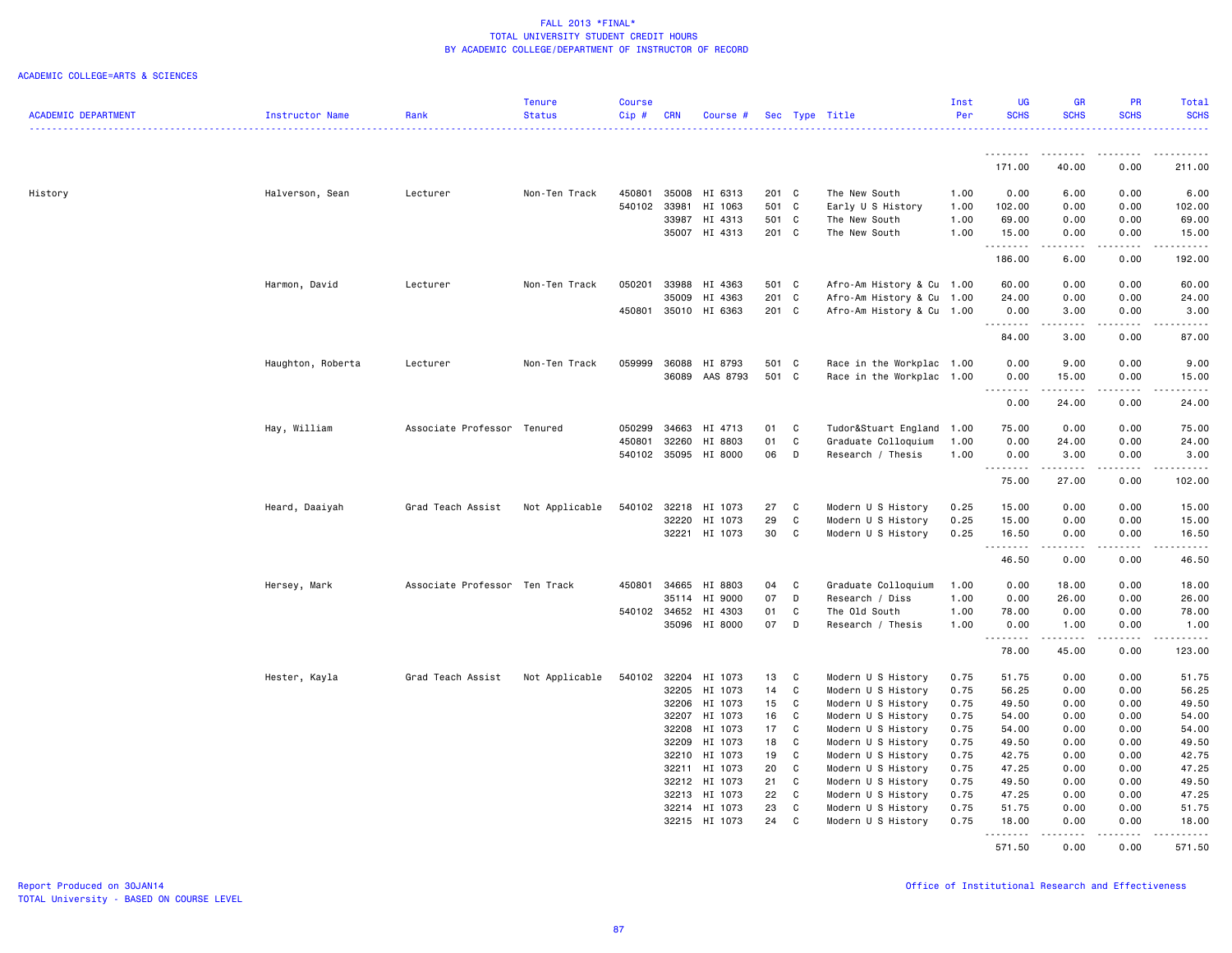|                            |                   |                               | <b>Tenure</b>  | <b>Course</b> |                |                      |          |              |                                          | Inst         | <b>UG</b>                 | <b>GR</b>                                                                                                                                                                                                                                                                                                                            | <b>PR</b>                    | Total                |
|----------------------------|-------------------|-------------------------------|----------------|---------------|----------------|----------------------|----------|--------------|------------------------------------------|--------------|---------------------------|--------------------------------------------------------------------------------------------------------------------------------------------------------------------------------------------------------------------------------------------------------------------------------------------------------------------------------------|------------------------------|----------------------|
| <b>ACADEMIC DEPARTMENT</b> | Instructor Name   | Rank                          | <b>Status</b>  | Cip#          | <b>CRN</b>     | Course #             |          |              | Sec Type Title                           | Per          | <b>SCHS</b>               | <b>SCHS</b>                                                                                                                                                                                                                                                                                                                          | <b>SCHS</b>                  | <b>SCHS</b>          |
|                            |                   |                               |                |               |                |                      |          |              |                                          |              |                           |                                                                                                                                                                                                                                                                                                                                      |                              |                      |
|                            |                   |                               |                |               |                |                      |          |              |                                          |              | .<br>171.00               | --------<br>40.00                                                                                                                                                                                                                                                                                                                    | -----<br>0.00                | .<br>211.00          |
| History                    | Halverson, Sean   | Lecturer                      | Non-Ten Track  | 450801        | 35008          | HI 6313              | 201 C    |              | The New South                            | 1.00         | 0.00                      | 6.00                                                                                                                                                                                                                                                                                                                                 | 0.00                         | 6.00                 |
|                            |                   |                               |                | 540102        | 33981          | HI 1063              | 501 C    |              | Early U S History                        | 1.00         | 102.00                    | 0.00                                                                                                                                                                                                                                                                                                                                 | 0.00                         | 102.00               |
|                            |                   |                               |                |               | 33987          | HI 4313              | 501 C    |              | The New South                            | 1.00         | 69.00                     | 0.00                                                                                                                                                                                                                                                                                                                                 | 0.00                         | 69.00                |
|                            |                   |                               |                |               |                | 35007 HI 4313        | 201 C    |              | The New South                            | 1.00         | 15.00                     | 0.00                                                                                                                                                                                                                                                                                                                                 | 0.00                         | 15.00                |
|                            |                   |                               |                |               |                |                      |          |              |                                          |              | .                         | $\frac{1}{2} \left( \begin{array}{ccc} 1 & 0 & 0 & 0 \\ 0 & 0 & 0 & 0 \\ 0 & 0 & 0 & 0 \\ 0 & 0 & 0 & 0 \\ 0 & 0 & 0 & 0 \\ 0 & 0 & 0 & 0 \\ 0 & 0 & 0 & 0 \\ 0 & 0 & 0 & 0 \\ 0 & 0 & 0 & 0 \\ 0 & 0 & 0 & 0 \\ 0 & 0 & 0 & 0 & 0 \\ 0 & 0 & 0 & 0 & 0 \\ 0 & 0 & 0 & 0 & 0 \\ 0 & 0 & 0 & 0 & 0 \\ 0 & 0 & 0 & 0 & 0 \\ 0 & 0 & 0$ | -----                        | .                    |
|                            |                   |                               |                |               |                |                      |          |              |                                          |              | 186.00                    | 6.00                                                                                                                                                                                                                                                                                                                                 | 0.00                         | 192.00               |
|                            | Harmon, David     | Lecturer                      | Non-Ten Track  | 050201        | 33988          | HI 4363              | 501 C    |              | Afro-Am History & Cu 1.00                |              | 60.00                     | 0.00                                                                                                                                                                                                                                                                                                                                 | 0.00                         | 60.00                |
|                            |                   |                               |                |               | 35009          | HI 4363              | 201 C    |              | Afro-Am History & Cu 1.00                |              | 24.00                     | 0.00                                                                                                                                                                                                                                                                                                                                 | 0.00                         | 24.00                |
|                            |                   |                               |                | 450801        |                | 35010 HI 6363        | 201 C    |              | Afro-Am History & Cu 1.00                |              | 0.00<br>.                 | 3.00<br>$\sim$ $\sim$ $\sim$ $\sim$                                                                                                                                                                                                                                                                                                  | 0.00<br>.                    | 3.00<br>. <u>.</u> . |
|                            |                   |                               |                |               |                |                      |          |              |                                          |              | 84.00                     | 3.00                                                                                                                                                                                                                                                                                                                                 | 0.00                         | 87.00                |
|                            | Haughton, Roberta | Lecturer                      | Non-Ten Track  | 059999        | 36088          | HI 8793              | 501 C    |              | Race in the Workplac 1.00                |              | 0.00                      | 9.00                                                                                                                                                                                                                                                                                                                                 | 0.00                         | 9.00                 |
|                            |                   |                               |                |               | 36089          | AAS 8793             | 501 C    |              | Race in the Workplac 1.00                |              | 0.00                      | 15.00                                                                                                                                                                                                                                                                                                                                | 0.00                         | 15.00                |
|                            |                   |                               |                |               |                |                      |          |              |                                          |              | .<br>$\sim$ $\sim$ $\sim$ | .                                                                                                                                                                                                                                                                                                                                    | .                            | . <u>.</u> .         |
|                            |                   |                               |                |               |                |                      |          |              |                                          |              | 0.00                      | 24.00                                                                                                                                                                                                                                                                                                                                | 0.00                         | 24.00                |
|                            | Hay, William      | Associate Professor Tenured   |                | 050299        | 34663          | HI 4713              | 01       | C            | Tudor&Stuart England                     | 1.00         | 75.00                     | 0.00                                                                                                                                                                                                                                                                                                                                 | 0.00                         | 75.00                |
|                            |                   |                               |                | 450801        | 32260          | HI 8803              | 01       | C            | Graduate Colloquium                      | 1.00         | 0.00                      | 24.00                                                                                                                                                                                                                                                                                                                                | 0.00                         | 24.00                |
|                            |                   |                               |                |               |                | 540102 35095 HI 8000 | 06       | D            | Research / Thesis                        | 1.00         | 0.00                      | 3.00                                                                                                                                                                                                                                                                                                                                 | 0.00                         | 3.00                 |
|                            |                   |                               |                |               |                |                      |          |              |                                          |              | . <b>.</b>                | .<br>27.00                                                                                                                                                                                                                                                                                                                           | .<br>0.00                    | .<br>102.00          |
|                            |                   |                               |                |               |                |                      |          |              |                                          |              | 75.00                     |                                                                                                                                                                                                                                                                                                                                      |                              |                      |
|                            | Heard, Daaiyah    | Grad Teach Assist             | Not Applicable | 540102        | 32218          | HI 1073              | 27       | C            | Modern U S History                       | 0.25         | 15.00                     | 0.00                                                                                                                                                                                                                                                                                                                                 | 0.00                         | 15.00                |
|                            |                   |                               |                |               | 32220          | HI 1073              | 29       | $\mathtt{C}$ | Modern U S History                       | 0.25         | 15.00                     | 0.00                                                                                                                                                                                                                                                                                                                                 | 0.00                         | 15.00                |
|                            |                   |                               |                |               | 32221          | HI 1073              | 30       | C            | Modern U S History                       | 0.25         | 16.50<br>.                | 0.00<br>$\frac{1}{2} \left( \frac{1}{2} \right) \left( \frac{1}{2} \right) \left( \frac{1}{2} \right) \left( \frac{1}{2} \right) \left( \frac{1}{2} \right)$                                                                                                                                                                         | 0.00<br>.                    | 16.50<br>.           |
|                            |                   |                               |                |               |                |                      |          |              |                                          |              | 46.50                     | 0.00                                                                                                                                                                                                                                                                                                                                 | 0.00                         | 46.50                |
|                            | Hersey, Mark      | Associate Professor Ten Track |                | 450801        | 34665          | HI 8803              | 04       | C            | Graduate Colloquium                      | 1.00         | 0.00                      | 18.00                                                                                                                                                                                                                                                                                                                                | 0.00                         | 18.00                |
|                            |                   |                               |                |               | 35114          | HI 9000              | 07       | D            | Research / Diss                          | 1.00         | 0.00                      | 26.00                                                                                                                                                                                                                                                                                                                                | 0.00                         | 26.00                |
|                            |                   |                               |                | 540102        |                | 34652 HI 4303        | 01       | C            | The Old South                            | 1.00         | 78.00                     | 0.00                                                                                                                                                                                                                                                                                                                                 | 0.00                         | 78.00                |
|                            |                   |                               |                |               |                | 35096 HI 8000        | 07       | D            | Research / Thesis                        | 1.00         | 0.00                      | 1.00                                                                                                                                                                                                                                                                                                                                 | 0.00                         | 1.00                 |
|                            |                   |                               |                |               |                |                      |          |              |                                          |              | <u>.</u><br>78.00         | -----<br>45.00                                                                                                                                                                                                                                                                                                                       | $\sim$ $\sim$ $\sim$<br>0.00 | المستما<br>123.00    |
|                            | Hester, Kayla     | Grad Teach Assist             | Not Applicable |               |                | 540102 32204 HI 1073 | 13       | C            | Modern U S History                       | 0.75         | 51.75                     | 0.00                                                                                                                                                                                                                                                                                                                                 | 0.00                         | 51.75                |
|                            |                   |                               |                |               | 32205          | HI 1073              | 14       | C            | Modern U S History                       | 0.75         | 56.25                     | 0.00                                                                                                                                                                                                                                                                                                                                 | 0.00                         | 56.25                |
|                            |                   |                               |                |               | 32206          | HI 1073              | 15       | C            | Modern U S History                       | 0.75         | 49.50                     | 0.00                                                                                                                                                                                                                                                                                                                                 | 0.00                         | 49.50                |
|                            |                   |                               |                |               | 32207          | HI 1073              | 16       | C            | Modern U S History                       | 0.75         | 54.00                     | 0.00                                                                                                                                                                                                                                                                                                                                 | 0.00                         | 54.00                |
|                            |                   |                               |                |               | 32208          | HI 1073              | 17       | C            |                                          | 0.75         | 54.00                     | 0.00                                                                                                                                                                                                                                                                                                                                 | 0.00                         |                      |
|                            |                   |                               |                |               |                |                      |          |              | Modern U S History                       |              |                           |                                                                                                                                                                                                                                                                                                                                      |                              | 54.00                |
|                            |                   |                               |                |               | 32209<br>32210 | HI 1073<br>HI 1073   | 18<br>19 | C<br>C       | Modern U S History<br>Modern U S History | 0.75<br>0.75 | 49.50<br>42.75            | 0.00<br>0.00                                                                                                                                                                                                                                                                                                                         | 0.00<br>0.00                 | 49.50<br>42.75       |
|                            |                   |                               |                |               |                | HI 1073              | 20       | C            |                                          | 0.75         | 47.25                     | 0.00                                                                                                                                                                                                                                                                                                                                 | 0.00                         | 47.25                |
|                            |                   |                               |                |               | 32211          | HI 1073              |          |              | Modern U S History                       |              |                           |                                                                                                                                                                                                                                                                                                                                      |                              |                      |
|                            |                   |                               |                |               | 32212          |                      | 21<br>22 | C<br>C       | Modern U S History                       | 0.75<br>0.75 | 49.50                     | 0.00                                                                                                                                                                                                                                                                                                                                 | 0.00                         | 49.50                |
|                            |                   |                               |                |               | 32213          | HI 1073              | 23       | C            | Modern U S History<br>Modern U S History | 0.75         | 47.25<br>51.75            | 0.00<br>0.00                                                                                                                                                                                                                                                                                                                         | 0.00<br>0.00                 | 47.25<br>51.75       |
|                            |                   |                               |                |               |                | 32214 HI 1073        | 24       | C            |                                          |              |                           |                                                                                                                                                                                                                                                                                                                                      | 0.00                         |                      |
|                            |                   |                               |                |               |                | 32215 HI 1073        |          |              | Modern U S History                       | 0.75         | 18.00<br>.                | 0.00<br>.                                                                                                                                                                                                                                                                                                                            | .                            | 18.00<br>.           |
|                            |                   |                               |                |               |                |                      |          |              |                                          |              | 571.50                    | 0.00                                                                                                                                                                                                                                                                                                                                 | 0.00                         | 571.50               |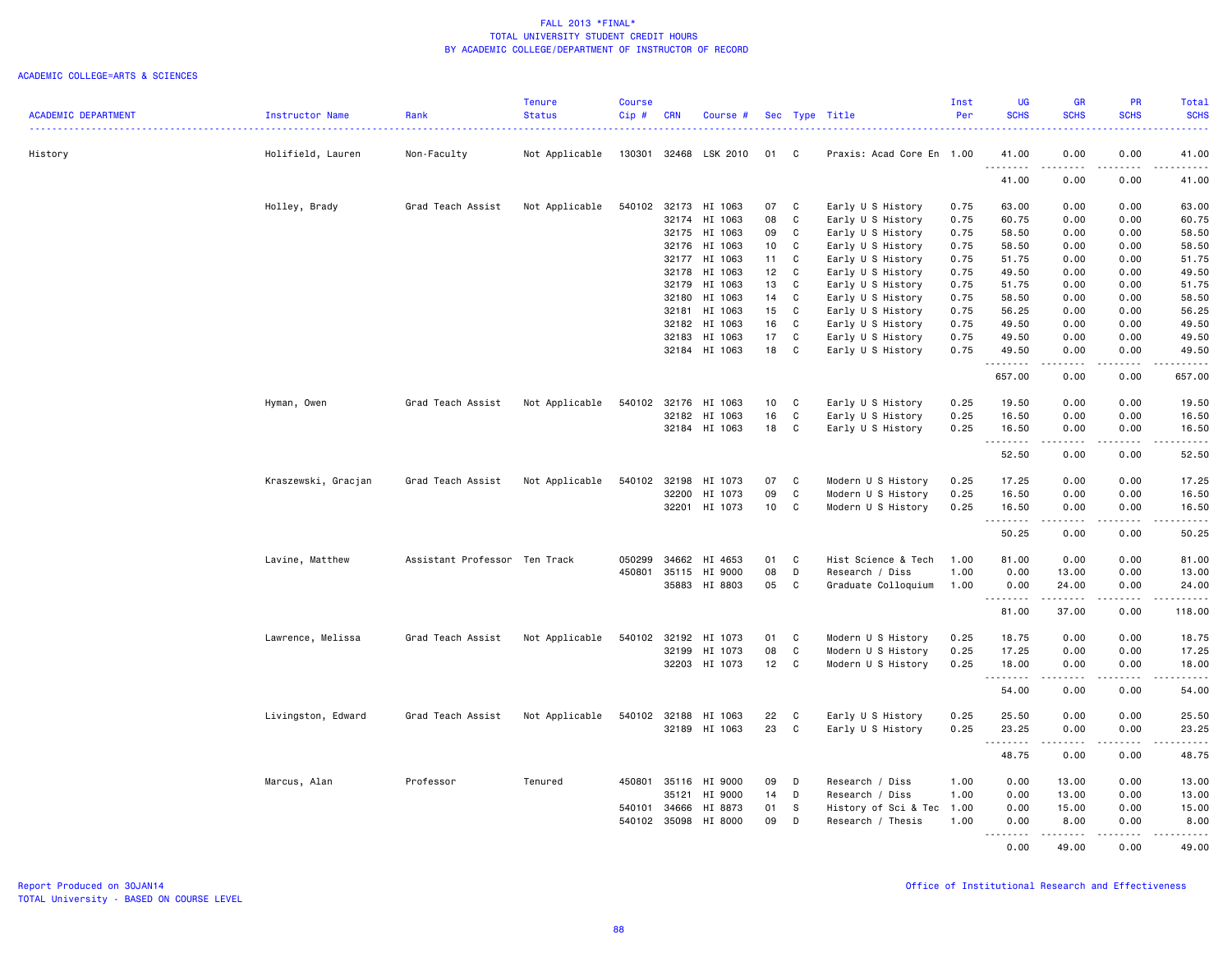|                            |                     |                               | <b>Tenure</b>  | <b>Course</b> |              |                      |                 |              |                           | Inst | <b>UG</b>                          | <b>GR</b>                                                                                                                                                    | PR                           | Total                                                                                                                                                         |
|----------------------------|---------------------|-------------------------------|----------------|---------------|--------------|----------------------|-----------------|--------------|---------------------------|------|------------------------------------|--------------------------------------------------------------------------------------------------------------------------------------------------------------|------------------------------|---------------------------------------------------------------------------------------------------------------------------------------------------------------|
| <b>ACADEMIC DEPARTMENT</b> | Instructor Name     | Rank                          | <b>Status</b>  | Cip#          | <b>CRN</b>   | Course #             |                 |              | Sec Type Title            | Per  | <b>SCHS</b>                        | <b>SCHS</b>                                                                                                                                                  | <b>SCHS</b>                  | <b>SCHS</b>                                                                                                                                                   |
| History                    | Holifield, Lauren   | Non-Faculty                   | Not Applicable | 130301        | 32468        | LSK 2010             | 01              | C.           | Praxis: Acad Core En 1.00 |      | 41.00                              | 0.00                                                                                                                                                         | 0.00                         | 41.00                                                                                                                                                         |
|                            |                     |                               |                |               |              |                      |                 |              |                           |      | .<br>41.00                         | $\frac{1}{2}$<br>0.00                                                                                                                                        | $\sim$ $\sim$ $\sim$<br>0.00 | .<br>41.00                                                                                                                                                    |
|                            | Holley, Brady       | Grad Teach Assist             | Not Applicable | 540102        | 32173        | HI 1063              | 07              | C            | Early U S History         | 0.75 | 63.00                              | 0.00                                                                                                                                                         | 0.00                         | 63.00                                                                                                                                                         |
|                            |                     |                               |                |               | 32174        | HI 1063              | 08              | C            | Early U S History         | 0.75 | 60.75                              | 0.00                                                                                                                                                         | 0.00                         | 60.75                                                                                                                                                         |
|                            |                     |                               |                |               | 32175        | HI 1063              | 09              | $\mathtt{C}$ | Early U S History         | 0.75 | 58.50                              | 0.00                                                                                                                                                         | 0.00                         | 58.50                                                                                                                                                         |
|                            |                     |                               |                |               | 32176        | HI 1063              | 10              | C            | Early U S History         | 0.75 | 58.50                              | 0.00                                                                                                                                                         | 0.00                         | 58.50                                                                                                                                                         |
|                            |                     |                               |                |               | 32177        | HI 1063              | 11              | C            | Early U S History         | 0.75 | 51.75                              | 0.00                                                                                                                                                         | 0.00                         | 51.75                                                                                                                                                         |
|                            |                     |                               |                |               | 32178        | HI 1063              | 12              | C            | Early U S History         | 0.75 | 49.50                              | 0.00                                                                                                                                                         | 0.00                         | 49.50                                                                                                                                                         |
|                            |                     |                               |                |               | 32179        | HI 1063              | 13              | C            | Early U S History         | 0.75 | 51.75                              | 0.00                                                                                                                                                         | 0.00                         | 51.75                                                                                                                                                         |
|                            |                     |                               |                |               | 32180        | HI 1063              | 14              | $\mathbf c$  | Early U S History         | 0.75 | 58.50                              | 0.00                                                                                                                                                         | 0.00                         | 58.50                                                                                                                                                         |
|                            |                     |                               |                |               | 32181        | HI 1063              | 15              | C            | Early U S History         | 0.75 | 56.25                              | 0.00                                                                                                                                                         | 0.00                         | 56.25                                                                                                                                                         |
|                            |                     |                               |                |               | 32182        | HI 1063              | 16              | C            | Early U S History         | 0.75 | 49.50                              | 0.00                                                                                                                                                         | 0.00                         | 49.50                                                                                                                                                         |
|                            |                     |                               |                |               | 32183        | HI 1063              | 17              | C.           | Early U S History         | 0.75 | 49.50                              | 0.00                                                                                                                                                         | 0.00                         | 49.50                                                                                                                                                         |
|                            |                     |                               |                |               |              | 32184 HI 1063        | 18              | C            | Early U S History         | 0.75 | 49.50<br><u>.</u>                  | 0.00<br>.                                                                                                                                                    | 0.00<br>.                    | 49.50<br>.                                                                                                                                                    |
|                            |                     |                               |                |               |              |                      |                 |              |                           |      | 657.00                             | 0.00                                                                                                                                                         | 0.00                         | 657.00                                                                                                                                                        |
|                            | Hyman, Owen         | Grad Teach Assist             | Not Applicable | 540102        | 32176        | HI 1063              | 10 <sub>1</sub> | C            | Early U S History         | 0.25 | 19.50                              | 0.00                                                                                                                                                         | 0.00                         | 19.50                                                                                                                                                         |
|                            |                     |                               |                |               | 32182        | HI 1063              | 16              | C            | Early U S History         | 0.25 | 16.50                              | 0.00                                                                                                                                                         | 0.00                         | 16.50                                                                                                                                                         |
|                            |                     |                               |                |               |              | 32184 HI 1063        | 18              | C            | Early U S History         | 0.25 | 16.50<br>.                         | 0.00<br>$\frac{1}{2} \left( \frac{1}{2} \right) \left( \frac{1}{2} \right) \left( \frac{1}{2} \right) \left( \frac{1}{2} \right) \left( \frac{1}{2} \right)$ | 0.00<br>.                    | 16.50<br>.                                                                                                                                                    |
|                            |                     |                               |                |               |              |                      |                 |              |                           |      | 52.50                              | 0.00                                                                                                                                                         | 0.00                         | 52.50                                                                                                                                                         |
|                            | Kraszewski, Gracjan | Grad Teach Assist             | Not Applicable | 540102        | 32198        | HI 1073              | 07              | C            | Modern U S History        | 0.25 | 17.25                              | 0.00                                                                                                                                                         | 0.00                         | 17.25                                                                                                                                                         |
|                            |                     |                               |                |               | 32200        | HI 1073              | 09              | C            | Modern U S History        | 0.25 | 16.50                              | 0.00                                                                                                                                                         | 0.00                         | 16.50                                                                                                                                                         |
|                            |                     |                               |                |               | 32201        | HI 1073              | 10              | C            | Modern U S History        | 0.25 | 16.50<br>.                         | 0.00<br>$\frac{1}{2}$                                                                                                                                        | 0.00<br>$\frac{1}{2}$        | 16.50<br>$\frac{1}{2} \left( \frac{1}{2} \right) \left( \frac{1}{2} \right) \left( \frac{1}{2} \right) \left( \frac{1}{2} \right) \left( \frac{1}{2} \right)$ |
|                            |                     |                               |                |               |              |                      |                 |              |                           |      | 50.25                              | 0.00                                                                                                                                                         | 0.00                         | 50.25                                                                                                                                                         |
|                            | Lavine, Matthew     | Assistant Professor Ten Track |                | 050299        | 34662        | HI 4653              | 01              | C            | Hist Science & Tech       | 1.00 | 81.00                              | 0.00                                                                                                                                                         | 0.00                         | 81.00                                                                                                                                                         |
|                            |                     |                               |                | 450801        | 35115        | HI 9000              | 08              | D            | Research / Diss           | 1.00 | 0.00                               | 13.00                                                                                                                                                        | 0.00                         | 13.00                                                                                                                                                         |
|                            |                     |                               |                |               | 35883        | HI 8803              | 05              | C            | Graduate Colloquium       | 1.00 | 0.00                               | 24.00                                                                                                                                                        | 0.00                         | 24.00                                                                                                                                                         |
|                            |                     |                               |                |               |              |                      |                 |              |                           |      | .<br>81.00                         | .<br>37.00                                                                                                                                                   | .<br>0.00                    | .<br>118.00                                                                                                                                                   |
|                            | Lawrence, Melissa   | Grad Teach Assist             | Not Applicable | 540102        | 32192        | HI 1073              | 01              | C            | Modern U S History        | 0.25 | 18.75                              | 0.00                                                                                                                                                         | 0.00                         | 18.75                                                                                                                                                         |
|                            |                     |                               |                |               | 32199        | HI 1073              | 08              | C            | Modern U S History        | 0.25 | 17.25                              | 0.00                                                                                                                                                         | 0.00                         | 17.25                                                                                                                                                         |
|                            |                     |                               |                |               |              | 32203 HI 1073        | 12              | C            | Modern U S History        | 0.25 | 18.00                              | 0.00                                                                                                                                                         | 0.00                         | 18.00                                                                                                                                                         |
|                            |                     |                               |                |               |              |                      |                 |              |                           |      | $\sim$ $\sim$ $\sim$<br>.<br>54.00 | 0.00                                                                                                                                                         | $\sim$ $\sim$ $\sim$<br>0.00 | $\omega$ is $\omega$ in .<br>54.00                                                                                                                            |
|                            |                     |                               |                |               |              |                      |                 |              |                           |      |                                    |                                                                                                                                                              |                              |                                                                                                                                                               |
|                            | Livingston, Edward  | Grad Teach Assist             | Not Applicable |               |              | 540102 32188 HI 1063 | 22              | C            | Early U S History         | 0.25 | 25.50                              | 0.00                                                                                                                                                         | 0.00                         | 25.50                                                                                                                                                         |
|                            |                     |                               |                |               |              | 32189 HI 1063        | 23              | C            | Early U S History         | 0.25 | 23.25<br>.                         | 0.00                                                                                                                                                         | 0.00<br>.                    | 23.25<br>.                                                                                                                                                    |
|                            |                     |                               |                |               |              |                      |                 |              |                           |      | 48.75                              | 0.00                                                                                                                                                         | 0.00                         | 48.75                                                                                                                                                         |
|                            | Marcus, Alan        | Professor                     | Tenured        |               | 450801 35116 | HI 9000              | 09              | D            | Research / Diss           | 1.00 | 0.00                               | 13.00                                                                                                                                                        | 0.00                         | 13.00                                                                                                                                                         |
|                            |                     |                               |                |               | 35121        | HI 9000              | 14              | D            | Research / Diss           | 1.00 | 0.00                               | 13.00                                                                                                                                                        | 0.00                         | 13.00                                                                                                                                                         |
|                            |                     |                               |                | 540101        | 34666        | HI 8873              | 01              | S.           | History of Sci & Tec      | 1.00 | 0.00                               | 15.00                                                                                                                                                        | 0.00                         | 15.00                                                                                                                                                         |
|                            |                     |                               |                | 540102        | 35098        | HI 8000              | 09              | D            | Research / Thesis         | 1.00 | 0.00<br>.                          | 8.00<br>.                                                                                                                                                    | 0.00<br>د د د د د            | 8,00<br>$\begin{array}{cccccccccccccc} \bullet & \bullet & \bullet & \bullet & \bullet & \bullet & \bullet & \bullet \end{array}$                             |
|                            |                     |                               |                |               |              |                      |                 |              |                           |      | 0.00                               | 49.00                                                                                                                                                        | 0.00                         | 49.00                                                                                                                                                         |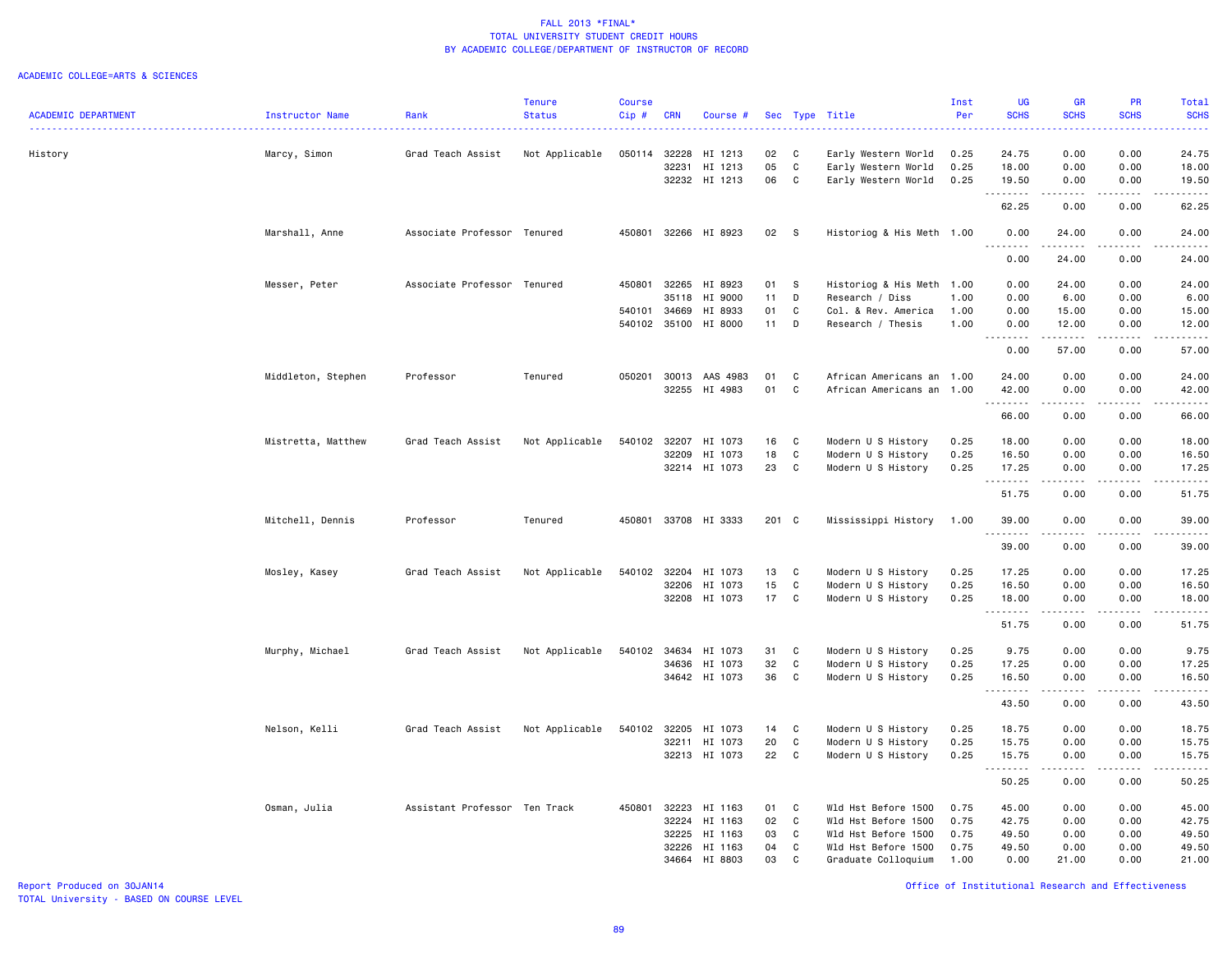#### ACADEMIC COLLEGE=ARTS & SCIENCES

|                            |                    |                               | <b>Tenure</b>  | <b>Course</b> |              |                       |       |             |                           | Inst | <b>UG</b>   | <b>GR</b>                      | <b>PR</b>   | Total       |
|----------------------------|--------------------|-------------------------------|----------------|---------------|--------------|-----------------------|-------|-------------|---------------------------|------|-------------|--------------------------------|-------------|-------------|
| <b>ACADEMIC DEPARTMENT</b> | Instructor Name    | Rank                          | <b>Status</b>  | Cip#          | <b>CRN</b>   | Course #              |       |             | Sec Type Title            | Per  | <b>SCHS</b> | <b>SCHS</b>                    | <b>SCHS</b> | <b>SCHS</b> |
| History                    | Marcy, Simon       | Grad Teach Assist             | Not Applicable | 050114 32228  |              | HI 1213               | 02    | C           | Early Western World       | 0.25 | 24.75       | 0.00                           | 0.00        | 24.75       |
|                            |                    |                               |                |               | 32231        | HI 1213               | 05    | C           | Early Western World       | 0.25 | 18.00       | 0.00                           | 0.00        | 18.00       |
|                            |                    |                               |                |               |              | 32232 HI 1213         | 06    | $\mathbf c$ | Early Western World       | 0.25 | 19.50       | 0.00                           | 0.00        | 19.50       |
|                            |                    |                               |                |               |              |                       |       |             |                           |      | .<br>62.25  | .<br>0.00                      | 0.00        | 62.25       |
|                            | Marshall, Anne     | Associate Professor Tenured   |                |               |              | 450801 32266 HI 8923  | 02    | <b>S</b>    | Historiog & His Meth 1.00 |      | 0.00<br>.   | 24.00<br>.                     | 0.00        | 24.00<br>.  |
|                            |                    |                               |                |               |              |                       |       |             |                           |      | 0.00        | 24.00                          | 0.00        | 24.00       |
|                            | Messer, Peter      | Associate Professor Tenured   |                |               |              | 450801 32265 HI 8923  | 01    | - S         | Historiog & His Meth 1.00 |      | 0.00        | 24.00                          | 0.00        | 24.00       |
|                            |                    |                               |                |               | 35118        | HI 9000               | 11    | D           | Research / Diss           | 1.00 | 0.00        | 6.00                           | 0.00        | 6.00        |
|                            |                    |                               |                | 540101 34669  |              | HI 8933               | 01    | C           | Col. & Rev. America       | 1.00 | 0.00        | 15.00                          | 0.00        | 15.00       |
|                            |                    |                               |                |               |              | 540102 35100 HI 8000  | 11    | D           | Research / Thesis         | 1.00 | 0.00<br>.   | 12.00<br>.                     | 0.00<br>.   | 12.00<br>.  |
|                            |                    |                               |                |               |              |                       |       |             |                           |      | 0.00        | 57.00                          | 0.00        | 57.00       |
|                            | Middleton, Stephen | Professor                     | Tenured        |               |              | 050201 30013 AAS 4983 | 01    | $\mathbf c$ | African Americans an 1.00 |      | 24.00       | 0.00                           | 0.00        | 24.00       |
|                            |                    |                               |                |               |              | 32255 HI 4983         | 01    | C           | African Americans an 1.00 |      | 42.00       | 0.00                           | 0.00        | 42.00       |
|                            |                    |                               |                |               |              |                       |       |             |                           |      | .<br>66.00  | المتماما<br>0.00               | .<br>0.00   | .<br>66.00  |
|                            | Mistretta, Matthew | Grad Teach Assist             | Not Applicable | 540102 32207  |              | HI 1073               | 16    | C           | Modern U S History        | 0.25 | 18.00       | 0.00                           | 0.00        | 18.00       |
|                            |                    |                               |                |               | 32209        | HI 1073               | 18    | C           | Modern U S History        | 0.25 | 16.50       | 0.00                           | 0.00        | 16.50       |
|                            |                    |                               |                |               | 32214        | HI 1073               | 23    | C           | Modern U S History        | 0.25 | 17.25<br>.  | 0.00<br>.                      | 0.00        | 17.25       |
|                            |                    |                               |                |               |              |                       |       |             |                           |      | 51.75       | 0.00                           | 0.00        | 51.75       |
|                            | Mitchell, Dennis   | Professor                     | Tenured        | 450801        |              | 33708 HI 3333         | 201 C |             | Mississippi History       | 1.00 | 39.00<br>.  | 0.00<br>$\omega$ is a $\omega$ | 0.00        | 39.00       |
|                            |                    |                               |                |               |              |                       |       |             |                           |      | 39.00       | 0.00                           | 0.00        | 39.00       |
|                            | Mosley, Kasey      | Grad Teach Assist             | Not Applicable | 540102        | 32204        | HI 1073               | 13    | C           | Modern U S History        | 0.25 | 17.25       | 0.00                           | 0.00        | 17.25       |
|                            |                    |                               |                |               | 32206        | HI 1073               | 15    | C           | Modern U S History        | 0.25 | 16.50       | 0.00                           | 0.00        | 16.50       |
|                            |                    |                               |                |               |              | 32208 HI 1073         | 17    | C           | Modern U S History        | 0.25 | 18.00<br>.  | 0.00<br>المتماما               | 0.00<br>.   | 18.00<br>.  |
|                            |                    |                               |                |               |              |                       |       |             |                           |      | 51.75       | 0.00                           | 0.00        | 51.75       |
|                            | Murphy, Michael    | Grad Teach Assist             | Not Applicable |               |              | 540102 34634 HI 1073  | 31    | C           | Modern U S History        | 0.25 | 9.75        | 0.00                           | 0.00        | 9.75        |
|                            |                    |                               |                |               |              | 34636 HI 1073         | 32    | C           | Modern U S History        | 0.25 | 17.25       | 0.00                           | 0.00        | 17.25       |
|                            |                    |                               |                |               |              | 34642 HI 1073         | 36    | C           | Modern U S History        | 0.25 | 16.50<br>.  | 0.00<br>$\frac{1}{2}$          | 0.00        | 16.50       |
|                            |                    |                               |                |               |              |                       |       |             |                           |      | 43.50       | 0.00                           | 0.00        | 43.50       |
|                            | Nelson, Kelli      | Grad Teach Assist             | Not Applicable |               | 540102 32205 | HI 1073               | 14    | C           | Modern U S History        | 0.25 | 18.75       | 0.00                           | 0.00        | 18.75       |
|                            |                    |                               |                |               | 32211        | HI 1073               | 20    | C           | Modern U S History        | 0.25 | 15.75       | 0.00                           | 0.00        | 15.75       |
|                            |                    |                               |                |               |              | 32213 HI 1073         | 22    | C           | Modern U S History        | 0.25 | 15.75<br>.  | 0.00<br>.                      | 0.00<br>.   | 15.75<br>.  |
|                            |                    |                               |                |               |              |                       |       |             |                           |      | 50.25       | 0.00                           | 0.00        | 50.25       |
|                            | Osman, Julia       | Assistant Professor Ten Track |                | 450801 32223  |              | HI 1163               | 01    | C           | Wld Hst Before 1500       | 0.75 | 45.00       | 0.00                           | 0.00        | 45.00       |
|                            |                    |                               |                |               | 32224        | HI 1163               | 02    | C           | Wld Hst Before 1500       | 0.75 | 42.75       | 0.00                           | 0.00        | 42.75       |
|                            |                    |                               |                |               | 32225        | HI 1163               | 03    | C           | Wld Hst Before 1500       | 0.75 | 49.50       | 0.00                           | 0.00        | 49.50       |
|                            |                    |                               |                |               | 32226        | HI 1163               | 04    | C           | Wld Hst Before 1500       | 0.75 | 49.50       | 0.00                           | 0.00        | 49.50       |
|                            |                    |                               |                |               |              | 34664 HI 8803         | 03    | C           | Graduate Colloquium       | 1.00 | 0.00        | 21.00                          | 0.00        | 21.00       |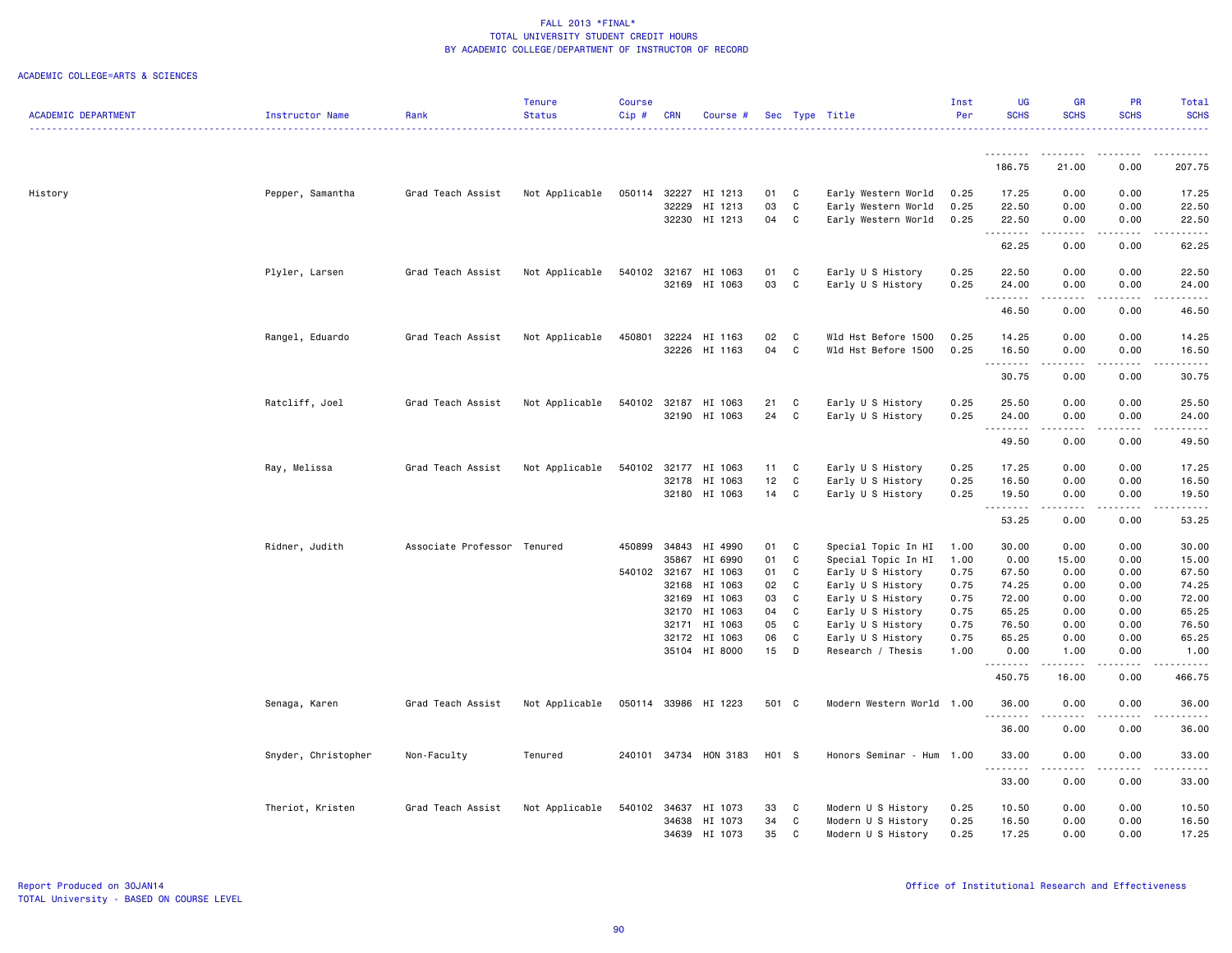|                            |                     |                             | Tenure         | <b>Course</b> |            |                      |       |              |                                        | Inst | <b>UG</b>   | <b>GR</b>                           | <b>PR</b>       | Total       |
|----------------------------|---------------------|-----------------------------|----------------|---------------|------------|----------------------|-------|--------------|----------------------------------------|------|-------------|-------------------------------------|-----------------|-------------|
| <b>ACADEMIC DEPARTMENT</b> | Instructor Name     | Rank                        | <b>Status</b>  | Cip#          | <b>CRN</b> | Course #             |       |              | Sec Type Title                         | Per  | <b>SCHS</b> | <b>SCHS</b>                         | <b>SCHS</b>     | <b>SCHS</b> |
|                            |                     |                             |                |               |            |                      |       |              |                                        |      | <u>.</u>    | .                                   |                 |             |
|                            |                     |                             |                |               |            |                      |       |              |                                        |      | 186.75      | 21.00                               | 0.00            | 207.75      |
| History                    | Pepper, Samantha    | Grad Teach Assist           | Not Applicable | 050114 32227  |            | HI 1213              | 01    | $\mathbf{C}$ | Early Western World                    | 0.25 | 17.25       | 0.00                                | 0.00            | 17.25       |
|                            |                     |                             |                |               | 32229      | HI 1213              | 03    | C            |                                        | 0.25 | 22.50       |                                     | 0.00            | 22.50       |
|                            |                     |                             |                |               |            |                      |       |              | Early Western World                    |      |             | 0.00                                |                 |             |
|                            |                     |                             |                |               |            | 32230 HI 1213        | 04    | <b>C</b>     | Early Western World                    | 0.25 | 22.50<br>.  | 0.00<br>$\sim$ $\sim$ $\sim$ $\sim$ | 0.00<br>د د د د | 22.50       |
|                            |                     |                             |                |               |            |                      |       |              |                                        |      | 62.25       | 0.00                                | 0.00            | 62.25       |
|                            | Plyler, Larsen      | Grad Teach Assist           | Not Applicable |               |            | 540102 32167 HI 1063 | 01    | C            | Early U S History                      | 0.25 | 22.50       | 0.00                                | 0.00            | 22.50       |
|                            |                     |                             |                |               |            | 32169 HI 1063        | 03    | C            | Early U S History                      | 0.25 | 24.00       | 0.00                                | 0.00            | 24.00       |
|                            |                     |                             |                |               |            |                      |       |              |                                        |      | .           | .                                   | .               |             |
|                            |                     |                             |                |               |            |                      |       |              |                                        |      | 46.50       | 0.00                                | 0.00            | 46.50       |
|                            | Rangel, Eduardo     | Grad Teach Assist           | Not Applicable | 450801        | 32224      | HI 1163              | 02    | C            | Wld Hst Before 1500                    | 0.25 | 14.25       | 0.00                                | 0.00            | 14.25       |
|                            |                     |                             |                |               |            | 32226 HI 1163        | 04    | <b>C</b>     | Wld Hst Before 1500                    | 0.25 | 16.50       | 0.00                                | 0.00            | 16.50       |
|                            |                     |                             |                |               |            |                      |       |              |                                        |      | .           | .                                   | . <b>.</b>      | .           |
|                            |                     |                             |                |               |            |                      |       |              |                                        |      | 30.75       | 0.00                                | 0.00            | 30.75       |
|                            | Ratcliff, Joel      | Grad Teach Assist           | Not Applicable |               |            | 540102 32187 HI 1063 | 21    | C            | Early U S History                      | 0.25 | 25.50       | 0.00                                | 0.00            | 25.50       |
|                            |                     |                             |                |               |            | 32190 HI 1063        | 24    | C            | Early U S History                      | 0.25 | 24.00       | 0.00                                | 0.00            | 24.00       |
|                            |                     |                             |                |               |            |                      |       |              |                                        |      | <u>.</u>    |                                     |                 |             |
|                            |                     |                             |                |               |            |                      |       |              |                                        |      | 49.50       | 0.00                                | 0.00            | 49.50       |
|                            | Ray, Melissa        | Grad Teach Assist           | Not Applicable |               |            | 540102 32177 HI 1063 | 11    | C            | Early U S History                      | 0.25 | 17.25       | 0.00                                | 0.00            | 17.25       |
|                            |                     |                             |                |               |            | 32178 HI 1063        | 12    | $\mathtt{C}$ | Early U S History                      | 0.25 | 16.50       | 0.00                                | 0.00            | 16.50       |
|                            |                     |                             |                |               |            | 32180 HI 1063        | 14    | C            | Early U S History                      | 0.25 | 19.50       | 0.00                                | 0.00            | 19.50       |
|                            |                     |                             |                |               |            |                      |       |              |                                        |      | 53.25       | .<br>0.00                           | 0.00            | 53.25       |
|                            | Ridner, Judith      | Associate Professor Tenured |                | 450899        | 34843      | HI 4990              | 01    | C            | Special Topic In HI                    | 1.00 | 30.00       | 0.00                                | 0.00            | 30.00       |
|                            |                     |                             |                |               | 35867      | HI 6990              | 01    | C            | Special Topic In HI                    | 1.00 | 0.00        | 15.00                               | 0.00            | 15.00       |
|                            |                     |                             |                | 540102 32167  |            | HI 1063              | 01    | C            | Early U S History                      | 0.75 | 67.50       | 0.00                                | 0.00            | 67.50       |
|                            |                     |                             |                |               | 32168      | HI 1063              | 02    | <b>C</b>     | Early U S History                      | 0.75 | 74.25       | 0.00                                | 0.00            | 74.25       |
|                            |                     |                             |                |               | 32169      | HI 1063              | 03    | C            | Early U S History                      | 0.75 | 72.00       | 0.00                                | 0.00            | 72.00       |
|                            |                     |                             |                |               | 32170      | HI 1063              | 04    | <b>C</b>     | Early U S History                      | 0.75 | 65.25       | 0.00                                | 0.00            | 65.25       |
|                            |                     |                             |                |               | 32171      | HI 1063              | 05    | C            | Early U S History                      | 0.75 | 76.50       | 0.00                                | 0.00            | 76.50       |
|                            |                     |                             |                |               |            | 32172 HI 1063        | 06    | C            |                                        | 0.75 | 65.25       | 0.00                                | 0.00            | 65.25       |
|                            |                     |                             |                |               |            | 35104 HI 8000        | 15    | D            | Early U S History<br>Research / Thesis | 1.00 | 0.00        | 1.00                                | 0.00            | 1.00        |
|                            |                     |                             |                |               |            |                      |       |              |                                        |      | .           | $- - - - -$                         | .               | 22222.      |
|                            |                     |                             |                |               |            |                      |       |              |                                        |      | 450.75      | 16.00                               | 0.00            | 466.75      |
|                            | Senaga, Karen       | Grad Teach Assist           | Not Applicable |               |            | 050114 33986 HI 1223 | 501 C |              | Modern Western World 1.00              |      | 36.00       | 0.00                                | 0.00            | 36.00       |
|                            |                     |                             |                |               |            |                      |       |              |                                        |      | 36.00       | 0.00                                | 0.00            | 36.00       |
|                            | Snyder, Christopher | Non-Faculty                 | Tenured        | 240101 34734  |            | HON 3183             | H01 S |              | Honors Seminar - Hum 1.00              |      | 33.00       | 0.00                                | 0.00            | 33.00       |
|                            |                     |                             |                |               |            |                      |       |              |                                        |      |             |                                     |                 |             |
|                            |                     |                             |                |               |            |                      |       |              |                                        |      | 33.00       | 0.00                                | 0.00            | 33.00       |
|                            | Theriot, Kristen    | Grad Teach Assist           | Not Applicable | 540102 34637  |            | HI 1073              | 33    | C            | Modern U S History                     | 0.25 | 10.50       | 0.00                                | 0.00            | 10.50       |
|                            |                     |                             |                |               | 34638      | HI 1073              | 34    | C            | Modern U S History                     | 0.25 | 16.50       | 0.00                                | 0.00            | 16.50       |
|                            |                     |                             |                |               |            | 34639 HI 1073        | 35    | C            | Modern U S History                     | 0.25 | 17.25       | 0.00                                | 0.00            | 17.25       |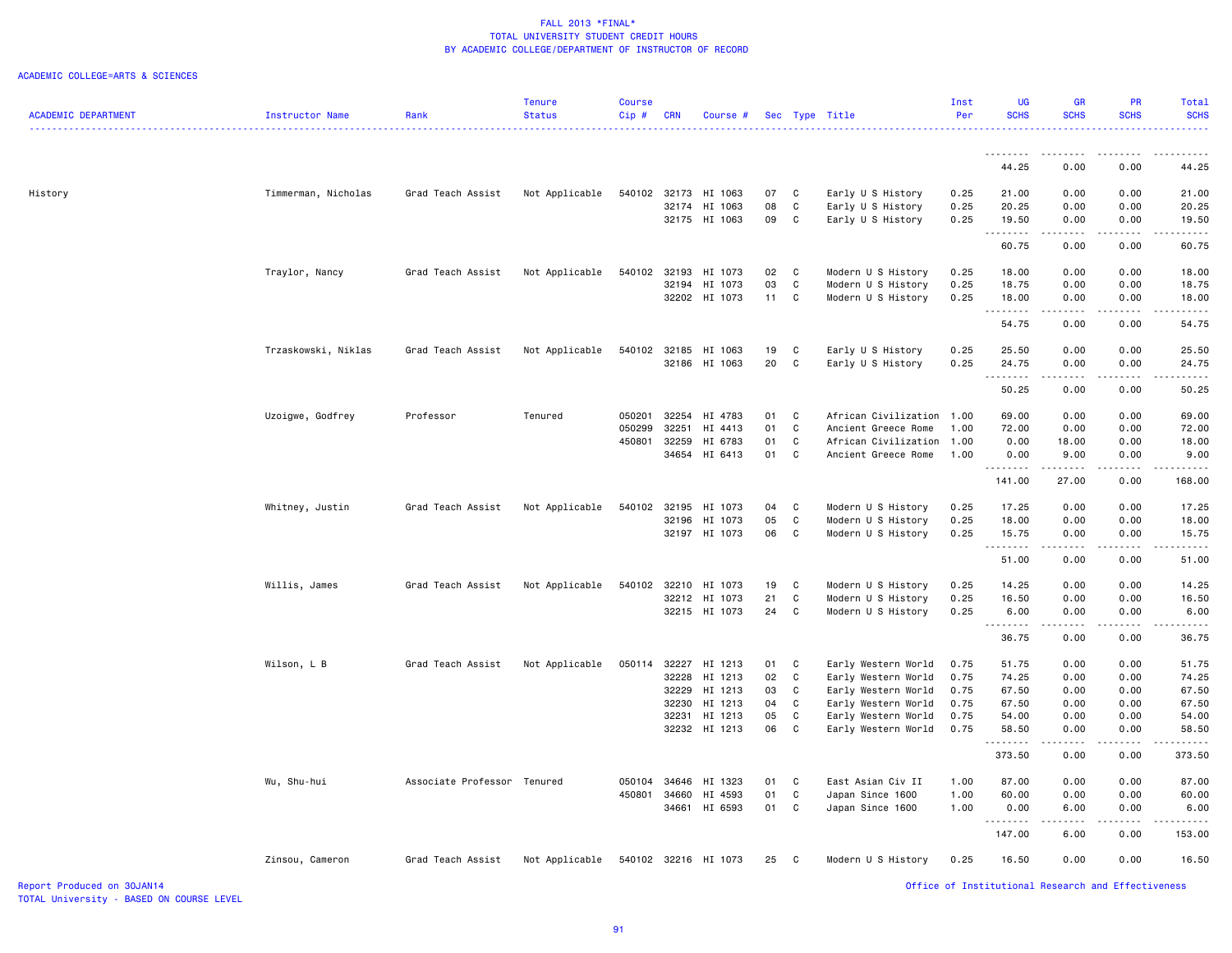#### ACADEMIC COLLEGE=ARTS & SCIENCES

|                            |                     |                             | Tenure         | Course |            |                                |          |                   |                                          | Inst         | <b>UG</b>                                          | <b>GR</b>                                                                                                                                            | PR            | Total         |
|----------------------------|---------------------|-----------------------------|----------------|--------|------------|--------------------------------|----------|-------------------|------------------------------------------|--------------|----------------------------------------------------|------------------------------------------------------------------------------------------------------------------------------------------------------|---------------|---------------|
| <b>ACADEMIC DEPARTMENT</b> | Instructor Name     | Rank                        | <b>Status</b>  | Cip#   | <b>CRN</b> | Course #                       |          |                   | Sec Type Title                           | Per          | <b>SCHS</b>                                        | <b>SCHS</b>                                                                                                                                          | <b>SCHS</b>   | <b>SCHS</b>   |
|                            |                     |                             |                |        |            |                                |          |                   |                                          |              |                                                    |                                                                                                                                                      |               | .             |
|                            |                     |                             |                |        |            |                                |          |                   |                                          |              | .                                                  | ------                                                                                                                                               |               |               |
|                            |                     |                             |                |        |            |                                |          |                   |                                          |              | 44.25                                              | 0.00                                                                                                                                                 | 0.00          | 44.25         |
|                            |                     |                             |                |        |            |                                |          |                   |                                          |              |                                                    |                                                                                                                                                      |               |               |
| History                    | Timmerman, Nicholas | Grad Teach Assist           | Not Applicable | 540102 |            | 32173 HI 1063                  | 07       | C                 | Early U S History                        | 0.25         | 21.00                                              | 0.00                                                                                                                                                 | 0.00          | 21.00         |
|                            |                     |                             |                |        |            | 32174 HI 1063                  | 08       | C                 | Early U S History                        | 0.25         | 20.25                                              | 0.00                                                                                                                                                 | 0.00          | 20.25         |
|                            |                     |                             |                |        |            | 32175 HI 1063                  | 09       | C                 | Early U S History                        | 0.25         | 19.50                                              | 0.00                                                                                                                                                 | 0.00          | 19.50         |
|                            |                     |                             |                |        |            |                                |          |                   |                                          |              | .                                                  | .                                                                                                                                                    | $- - - - -$   | .             |
|                            |                     |                             |                |        |            |                                |          |                   |                                          |              | 60.75                                              | 0.00                                                                                                                                                 | 0.00          | 60.75         |
|                            | Traylor, Nancy      | Grad Teach Assist           | Not Applicable |        |            | 540102 32193 HI 1073           | 02       | C                 | Modern U S History                       | 0.25         | 18.00                                              | 0.00                                                                                                                                                 | 0.00          | 18.00         |
|                            |                     |                             |                |        |            | 32194 HI 1073                  | 03       | $\mathbf c$       | Modern U S History                       | 0.25         | 18.75                                              | 0.00                                                                                                                                                 | 0.00          | 18.75         |
|                            |                     |                             |                |        |            | 32202 HI 1073                  | 11       | C                 | Modern U S History                       | 0.25         | 18.00                                              | 0.00                                                                                                                                                 | 0.00          | 18.00         |
|                            |                     |                             |                |        |            |                                |          |                   |                                          |              | .                                                  | .                                                                                                                                                    | .             | .             |
|                            |                     |                             |                |        |            |                                |          |                   |                                          |              | 54.75                                              | 0.00                                                                                                                                                 | 0.00          | 54.75         |
|                            |                     |                             |                |        |            |                                |          |                   |                                          |              |                                                    |                                                                                                                                                      |               |               |
|                            | Trzaskowski, Niklas | Grad Teach Assist           | Not Applicable | 540102 |            | 32185 HI 1063                  | 19<br>20 | C<br>$\mathbb{C}$ | Early U S History                        | 0.25         | 25.50                                              | 0.00                                                                                                                                                 | 0.00          | 25.50         |
|                            |                     |                             |                |        |            | 32186 HI 1063                  |          |                   | Early U S History                        | 0.25         | 24.75<br>.                                         | 0.00<br>$\begin{array}{cccccccccc} \bullet & \bullet & \bullet & \bullet & \bullet & \bullet \end{array}$                                            | 0.00<br>.     | 24.75<br>.    |
|                            |                     |                             |                |        |            |                                |          |                   |                                          |              | 50.25                                              | 0.00                                                                                                                                                 | 0.00          | 50.25         |
|                            |                     |                             |                |        |            |                                |          |                   |                                          |              |                                                    |                                                                                                                                                      |               |               |
|                            | Uzoigwe, Godfrey    | Professor                   | Tenured        | 050201 | 32254      | HI 4783                        | 01       | C                 | African Civilization 1.00                |              | 69.00                                              | 0.00                                                                                                                                                 | 0.00          | 69.00         |
|                            |                     |                             |                | 050299 | 32251      | HI 4413                        | 01       | $\mathbf C$       | Ancient Greece Rome                      | 1.00         | 72.00                                              | 0.00                                                                                                                                                 | 0.00          | 72.00         |
|                            |                     |                             |                | 450801 | 32259      | HI 6783                        | 01       | C                 | African Civilization                     | 1.00         | 0.00                                               | 18.00                                                                                                                                                | 0.00          | 18.00         |
|                            |                     |                             |                |        |            | 34654 HI 6413                  | 01       | C                 | Ancient Greece Rome                      | 1.00         | 0.00                                               | 9.00                                                                                                                                                 | 0.00          | 9.00          |
|                            |                     |                             |                |        |            |                                |          |                   |                                          |              | . <b>.</b>                                         | $\frac{1}{2} \left( \frac{1}{2} \right) \left( \frac{1}{2} \right) \left( \frac{1}{2} \right) \left( \frac{1}{2} \right) \left( \frac{1}{2} \right)$ | .             | .             |
|                            |                     |                             |                |        |            |                                |          |                   |                                          |              | 141.00                                             | 27.00                                                                                                                                                | 0.00          | 168.00        |
|                            | Whitney, Justin     | Grad Teach Assist           | Not Applicable | 540102 |            | 32195 HI 1073                  | 04       | C                 | Modern U S History                       | 0.25         | 17.25                                              | 0.00                                                                                                                                                 | 0.00          | 17.25         |
|                            |                     |                             |                |        |            | 32196 HI 1073                  | 05       | C                 | Modern U S History                       | 0.25         | 18.00                                              | 0.00                                                                                                                                                 | 0.00          | 18.00         |
|                            |                     |                             |                |        |            | 32197 HI 1073                  | 06       | C                 | Modern U S History                       | 0.25         | 15.75                                              | 0.00                                                                                                                                                 | 0.00          | 15.75         |
|                            |                     |                             |                |        |            |                                |          |                   |                                          |              | .                                                  | $\frac{1}{2} \left( \frac{1}{2} \right) \left( \frac{1}{2} \right) \left( \frac{1}{2} \right) \left( \frac{1}{2} \right) \left( \frac{1}{2} \right)$ | .             | .             |
|                            |                     |                             |                |        |            |                                |          |                   |                                          |              | 51.00                                              | 0.00                                                                                                                                                 | 0.00          | 51.00         |
|                            |                     |                             |                |        |            |                                |          |                   |                                          |              |                                                    |                                                                                                                                                      |               |               |
|                            | Willis, James       | Grad Teach Assist           | Not Applicable | 540102 |            | 32210 HI 1073                  | 19       | C                 | Modern U S History                       | 0.25         | 14.25                                              | 0.00                                                                                                                                                 | 0.00          | 14.25         |
|                            |                     |                             |                |        |            | 32212 HI 1073<br>32215 HI 1073 | 21<br>24 | C<br>C            | Modern U S History<br>Modern U S History | 0.25<br>0.25 | 16.50<br>6.00                                      | 0.00<br>0.00                                                                                                                                         | 0.00<br>0.00  | 16.50<br>6.00 |
|                            |                     |                             |                |        |            |                                |          |                   |                                          |              | .                                                  | <b>.</b>                                                                                                                                             | $\frac{1}{2}$ | .             |
|                            |                     |                             |                |        |            |                                |          |                   |                                          |              | 36.75                                              | 0.00                                                                                                                                                 | 0.00          | 36.75         |
|                            |                     |                             |                |        |            |                                |          |                   |                                          |              |                                                    |                                                                                                                                                      |               |               |
|                            | Wilson, L B         | Grad Teach Assist           | Not Applicable | 050114 |            | 32227 HI 1213                  | 01       | C                 | Early Western World                      | 0.75         | 51.75                                              | 0.00                                                                                                                                                 | 0.00          | 51.75         |
|                            |                     |                             |                |        | 32228      | HI 1213                        | 02       | $\mathbf c$       | Early Western World                      | 0.75         | 74.25                                              | 0.00                                                                                                                                                 | 0.00          | 74.25         |
|                            |                     |                             |                |        |            | 32229 HI 1213                  | 03       | C                 | Early Western World                      | 0.75         | 67.50                                              | 0.00                                                                                                                                                 | 0.00          | 67.50         |
|                            |                     |                             |                |        | 32230      | HI 1213                        | 04       | $\mathbf c$       | Early Western World                      | 0.75         | 67.50                                              | 0.00                                                                                                                                                 | 0.00          | 67.50         |
|                            |                     |                             |                |        |            | 32231 HI 1213                  | 05<br>06 | C<br>C            | Early Western World                      | 0.75<br>0.75 | 54.00<br>58.50                                     | 0.00<br>0.00                                                                                                                                         | 0.00<br>0.00  | 54.00         |
|                            |                     |                             |                |        |            | 32232 HI 1213                  |          |                   | Early Western World                      |              | .                                                  | .                                                                                                                                                    | .             | 58.50<br>.    |
|                            |                     |                             |                |        |            |                                |          |                   |                                          |              | 373.50                                             | 0.00                                                                                                                                                 | 0.00          | 373.50        |
|                            |                     |                             |                |        |            |                                |          |                   |                                          |              |                                                    |                                                                                                                                                      |               |               |
|                            | Wu, Shu-hui         | Associate Professor Tenured |                | 050104 | 34646      | HI 1323                        | 01       | C                 | East Asian Civ II                        | 1.00         | 87.00                                              | 0.00                                                                                                                                                 | 0.00          | 87.00         |
|                            |                     |                             |                | 450801 | 34660      | HI 4593                        | 01       | C                 | Japan Since 1600                         | 1.00         | 60.00                                              | 0.00                                                                                                                                                 | 0.00          | 60.00         |
|                            |                     |                             |                |        |            | 34661 HI 6593                  | 01       | C                 | Japan Since 1600                         | 1.00         | 0.00                                               | 6.00                                                                                                                                                 | 0.00          | 6.00          |
|                            |                     |                             |                |        |            |                                |          |                   |                                          |              | .                                                  | .                                                                                                                                                    | .             | ------        |
|                            |                     |                             |                |        |            |                                |          |                   |                                          |              | 147.00                                             | 6.00                                                                                                                                                 | 0.00          | 153.00        |
|                            | Zinsou, Cameron     | Grad Teach Assist           | Not Applicable |        |            | 540102 32216 HI 1073           | 25       | C                 | Modern U S History                       | 0.25         | 16.50                                              | 0.00                                                                                                                                                 | 0.00          | 16.50         |
|                            |                     |                             |                |        |            |                                |          |                   |                                          |              |                                                    |                                                                                                                                                      |               |               |
| Report Produced on 30JAN14 |                     |                             |                |        |            |                                |          |                   |                                          |              | Office of Institutional Research and Effectiveness |                                                                                                                                                      |               |               |

TOTAL University - BASED ON COURSE LEVEL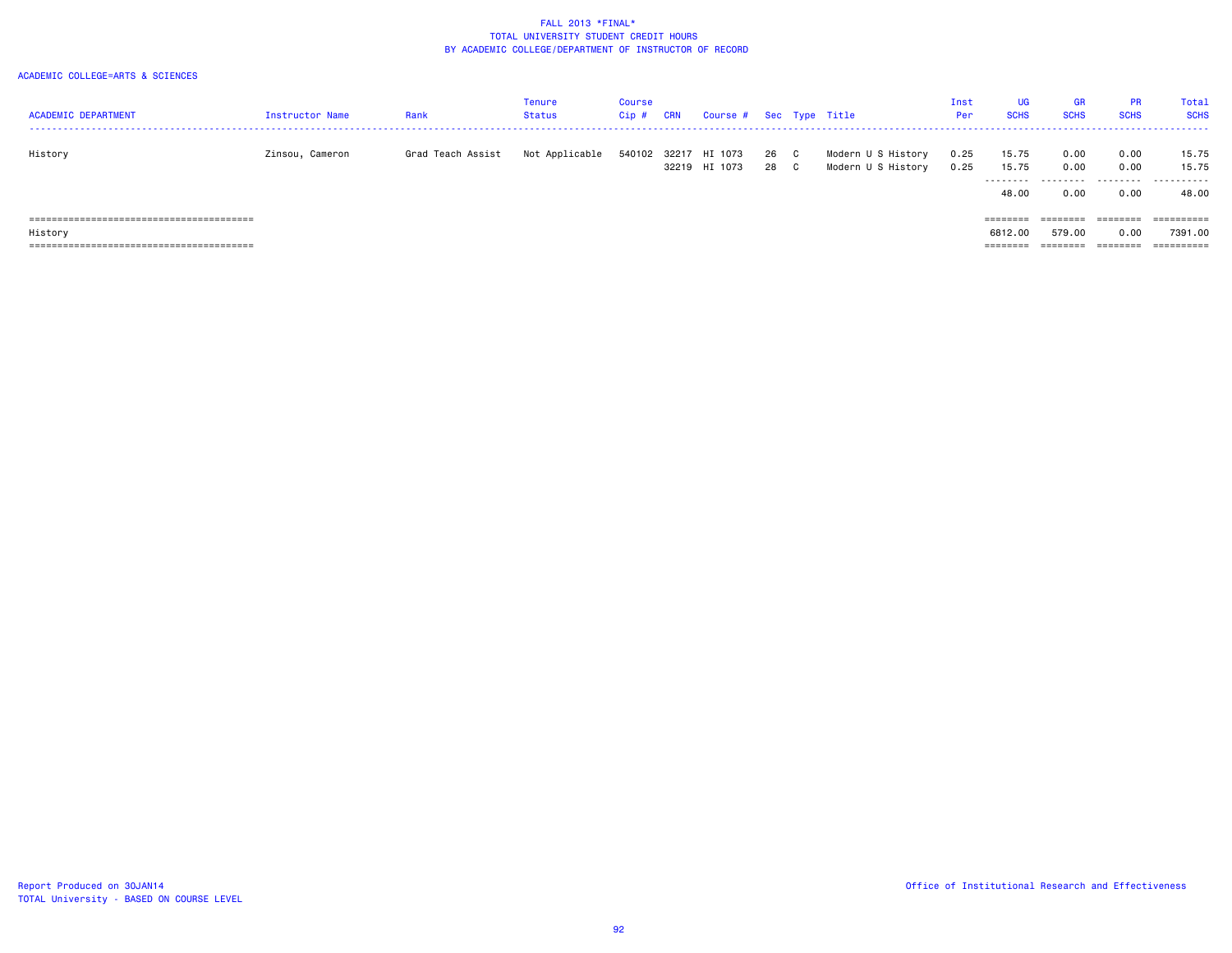| <b>ACADEMIC DEPARTMENT</b> | Instructor Name | Rank              | Tenure<br>Status | Course<br>Cip # | <b>CRN</b> | Course #                 |            |              | Sec Type Title                           | Inst<br>Per  | <b>UG</b><br><b>SCHS</b> | <b>GR</b><br><b>SCHS</b> | <b>PR</b><br><b>SCHS</b> | Total<br><b>SCHS</b> |
|----------------------------|-----------------|-------------------|------------------|-----------------|------------|--------------------------|------------|--------------|------------------------------------------|--------------|--------------------------|--------------------------|--------------------------|----------------------|
| History                    | Zinsou, Cameron | Grad Teach Assist | Not Applicable   | 540102          | 32217      | HI 1073<br>32219 HI 1073 | 26 C<br>28 | $\mathbf{C}$ | Modern U S History<br>Modern U S History | 0.25<br>0.25 | 15.75<br>15.75           | 0.00<br>0.00             | 0.00<br>0.00             | 15.75<br>15.75       |
|                            |                 |                   |                  |                 |            |                          |            |              |                                          |              | ---------<br>48.00       | .<br>0.00                | 0.00                     | .<br>48.00           |
|                            |                 |                   |                  |                 |            |                          |            |              |                                          |              | ========                 | ========                 | ========                 | ==========           |
| History                    |                 |                   |                  |                 |            |                          |            |              |                                          |              | 6812.00                  | 579.00                   | 0.00                     | 7391.00              |
|                            |                 |                   |                  |                 |            |                          |            |              |                                          |              | ========                 | ========                 | ========                 | ==========           |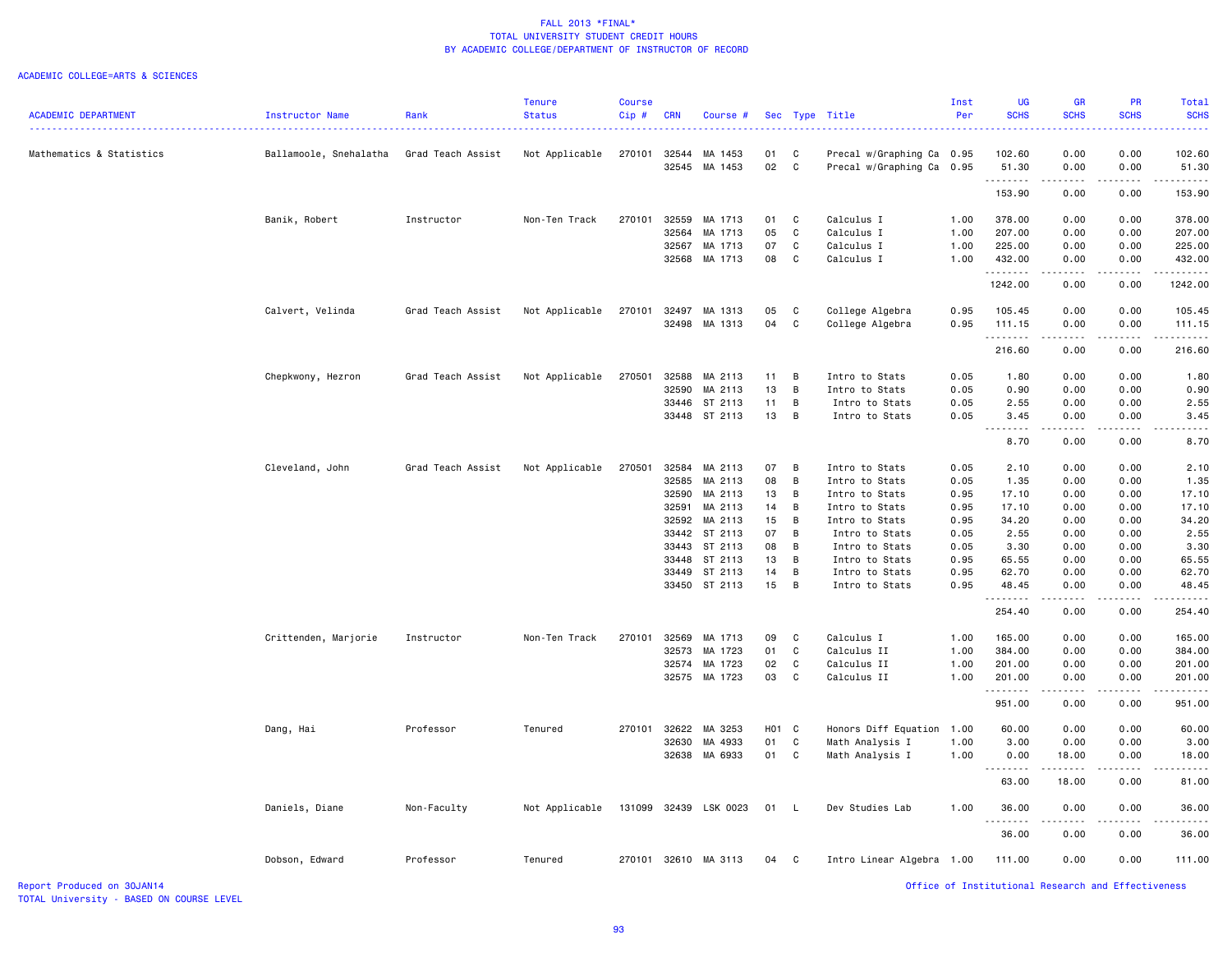#### ACADEMIC COLLEGE=ARTS & SCIENCES

|                            |                        |                   | <b>Tenure</b>  | <b>Course</b> |            |                       |       |             |                           | Inst | UG                                                 | <b>GR</b>                                                                                                                                | PR                                                                                                                                                           | <b>Total</b>         |
|----------------------------|------------------------|-------------------|----------------|---------------|------------|-----------------------|-------|-------------|---------------------------|------|----------------------------------------------------|------------------------------------------------------------------------------------------------------------------------------------------|--------------------------------------------------------------------------------------------------------------------------------------------------------------|----------------------|
| <b>ACADEMIC DEPARTMENT</b> | Instructor Name        | Rank              | <b>Status</b>  | $Cip$ #       | <b>CRN</b> | Course #              |       |             | Sec Type Title            | Per  | <b>SCHS</b>                                        | <b>SCHS</b><br>$\frac{1}{2} \left( \frac{1}{2} \right) \left( \frac{1}{2} \right) \left( \frac{1}{2} \right) \left( \frac{1}{2} \right)$ | <b>SCHS</b><br>.                                                                                                                                             | <b>SCHS</b>          |
| Mathematics & Statistics   | Ballamoole, Snehalatha | Grad Teach Assist | Not Applicable |               |            | 270101 32544 MA 1453  | 01    | C           | Precal w/Graphing Ca 0.95 |      | 102.60                                             | 0.00                                                                                                                                     | 0.00                                                                                                                                                         | 102.60               |
|                            |                        |                   |                |               |            | 32545 MA 1453         | 02    | C           | Precal w/Graphing Ca 0.95 |      | 51.30<br>.                                         | 0.00<br>$\sim$ $\sim$ $\sim$ $\sim$                                                                                                      | 0.00<br>.                                                                                                                                                    | 51.30                |
|                            |                        |                   |                |               |            |                       |       |             |                           |      | 153.90                                             | 0.00                                                                                                                                     | 0.00                                                                                                                                                         | 153.90               |
|                            | Banik, Robert          | Instructor        | Non-Ten Track  | 270101        |            | 32559 MA 1713         | 01    | C           | Calculus I                | 1.00 | 378.00                                             | 0.00                                                                                                                                     | 0.00                                                                                                                                                         | 378.00               |
|                            |                        |                   |                |               | 32564      | MA 1713               | 05    | C           | Calculus I                | 1.00 | 207.00                                             | 0.00                                                                                                                                     | 0.00                                                                                                                                                         | 207.00               |
|                            |                        |                   |                |               | 32567      | MA 1713               | 07    | C           | Calculus I                | 1.00 | 225.00                                             | 0.00                                                                                                                                     | 0.00                                                                                                                                                         | 225.00               |
|                            |                        |                   |                |               |            | 32568 MA 1713         | 08    | C           | Calculus I                | 1.00 | 432.00<br>.                                        | 0.00<br>$\sim$ $\sim$ $\sim$ $\sim$                                                                                                      | 0.00<br>.                                                                                                                                                    | 432.00               |
|                            |                        |                   |                |               |            |                       |       |             |                           |      | 1242.00                                            | 0.00                                                                                                                                     | 0.00                                                                                                                                                         | 1242.00              |
|                            | Calvert, Velinda       | Grad Teach Assist | Not Applicable | 270101        |            | 32497 MA 1313         | 05    | C           | College Algebra           | 0.95 | 105.45                                             | 0.00                                                                                                                                     | 0.00                                                                                                                                                         | 105.45               |
|                            |                        |                   |                |               |            | 32498 MA 1313         | 04    | $\mathbf c$ | College Algebra           | 0.95 | 111.15<br>.                                        | 0.00<br>.                                                                                                                                | 0.00<br>$\frac{1}{2} \left( \frac{1}{2} \right) \left( \frac{1}{2} \right) \left( \frac{1}{2} \right) \left( \frac{1}{2} \right) \left( \frac{1}{2} \right)$ | 111.15<br>. <u>.</u> |
|                            |                        |                   |                |               |            |                       |       |             |                           |      | 216.60                                             | 0.00                                                                                                                                     | 0.00                                                                                                                                                         | 216.60               |
|                            | Chepkwony, Hezron      | Grad Teach Assist | Not Applicable | 270501        |            | 32588 MA 2113         | 11    | B           | Intro to Stats            | 0.05 | 1.80                                               | 0.00                                                                                                                                     | 0.00                                                                                                                                                         | 1.80                 |
|                            |                        |                   |                |               |            | 32590 MA 2113         | 13    | B           | Intro to Stats            | 0.05 | 0.90                                               | 0.00                                                                                                                                     | 0.00                                                                                                                                                         | 0.90                 |
|                            |                        |                   |                |               |            | 33446 ST 2113         | 11    | B           | Intro to Stats            | 0.05 | 2.55                                               | 0.00                                                                                                                                     | 0.00                                                                                                                                                         | 2.55                 |
|                            |                        |                   |                |               |            | 33448 ST 2113         | 13    | B           | Intro to Stats            | 0.05 | 3.45<br>. <b>.</b>                                 | 0.00                                                                                                                                     | 0.00                                                                                                                                                         | 3.45                 |
|                            |                        |                   |                |               |            |                       |       |             |                           |      | 8.70                                               | 0.00                                                                                                                                     | 0.00                                                                                                                                                         | 8.70                 |
|                            | Cleveland, John        | Grad Teach Assist | Not Applicable | 270501        |            | 32584 MA 2113         | 07    | B           | Intro to Stats            | 0.05 | 2.10                                               | 0.00                                                                                                                                     | 0.00                                                                                                                                                         | 2.10                 |
|                            |                        |                   |                |               | 32585      | MA 2113               | 08    | B           | Intro to Stats            | 0.05 | 1.35                                               | 0.00                                                                                                                                     | 0.00                                                                                                                                                         | 1.35                 |
|                            |                        |                   |                |               |            | 32590 MA 2113         | 13    | B           | Intro to Stats            | 0.95 | 17.10                                              | 0.00                                                                                                                                     | 0.00                                                                                                                                                         | 17.10                |
|                            |                        |                   |                |               | 32591      | MA 2113               | 14    | B           | Intro to Stats            | 0.95 | 17.10                                              | 0.00                                                                                                                                     | 0.00                                                                                                                                                         | 17.10                |
|                            |                        |                   |                |               |            | 32592 MA 2113         | 15    | B           | Intro to Stats            | 0.95 | 34.20                                              | 0.00                                                                                                                                     | 0.00                                                                                                                                                         | 34.20                |
|                            |                        |                   |                |               |            | 33442 ST 2113         | 07    | B           | Intro to Stats            | 0.05 | 2.55                                               | 0.00                                                                                                                                     | 0.00                                                                                                                                                         | 2.55                 |
|                            |                        |                   |                |               |            | 33443 ST 2113         | 08    | B           | Intro to Stats            | 0.05 | 3.30                                               | 0.00                                                                                                                                     | 0.00                                                                                                                                                         | 3.30                 |
|                            |                        |                   |                |               |            | 33448 ST 2113         | 13    | B           | Intro to Stats            | 0.95 | 65.55                                              | 0.00                                                                                                                                     | 0.00                                                                                                                                                         | 65.55                |
|                            |                        |                   |                |               |            | 33449 ST 2113         | 14    | B           | Intro to Stats            | 0.95 | 62.70                                              | 0.00                                                                                                                                     | 0.00                                                                                                                                                         | 62.70                |
|                            |                        |                   |                |               |            | 33450 ST 2113         | 15    | B           | Intro to Stats            | 0.95 | 48.45<br>.                                         | 0.00<br>$\frac{1}{2}$                                                                                                                    | 0.00                                                                                                                                                         | 48.45                |
|                            |                        |                   |                |               |            |                       |       |             |                           |      | 254.40                                             | 0.00                                                                                                                                     | 0.00                                                                                                                                                         | 254.40               |
|                            | Crittenden, Marjorie   | Instructor        | Non-Ten Track  | 270101        |            | 32569 MA 1713         | 09    | C           | Calculus I                | 1.00 | 165.00                                             | 0.00                                                                                                                                     | 0.00                                                                                                                                                         | 165.00               |
|                            |                        |                   |                |               | 32573      | MA 1723               | 01    | C           | Calculus II               | 1.00 | 384.00                                             | 0.00                                                                                                                                     | 0.00                                                                                                                                                         | 384.00               |
|                            |                        |                   |                |               |            | 32574 MA 1723         | 02    | C           | Calculus II               | 1.00 | 201.00                                             | 0.00                                                                                                                                     | 0.00                                                                                                                                                         | 201.00               |
|                            |                        |                   |                |               |            | 32575 MA 1723         | 03    | C           | Calculus II               | 1.00 | 201.00<br>.                                        | 0.00<br>$\omega$ is $\omega$ in                                                                                                          | 0.00<br>.                                                                                                                                                    | 201.00<br>.          |
|                            |                        |                   |                |               |            |                       |       |             |                           |      | 951.00                                             | 0.00                                                                                                                                     | 0.00                                                                                                                                                         | 951.00               |
|                            | Dang, Hai              | Professor         | Tenured        | 270101        |            | 32622 MA 3253         | H01 C |             | Honors Diff Equation      | 1.00 | 60.00                                              | 0.00                                                                                                                                     | 0.00                                                                                                                                                         | 60.00                |
|                            |                        |                   |                |               | 32630      | MA 4933               | 01    | C           | Math Analysis I           | 1.00 | 3.00                                               | 0.00                                                                                                                                     | 0.00                                                                                                                                                         | 3.00                 |
|                            |                        |                   |                |               |            | 32638 MA 6933         | 01    | C           | Math Analysis I           | 1.00 | 0.00                                               | 18.00                                                                                                                                    | 0.00                                                                                                                                                         | 18.00                |
|                            |                        |                   |                |               |            |                       |       |             |                           |      | 63.00                                              | 18.00                                                                                                                                    | 0.00                                                                                                                                                         | 81.00                |
|                            | Daniels, Diane         | Non-Faculty       | Not Applicable |               |            | 131099 32439 LSK 0023 | 01 L  |             | Dev Studies Lab           | 1.00 | 36.00                                              | 0.00                                                                                                                                     | 0.00                                                                                                                                                         | 36.00                |
|                            |                        |                   |                |               |            |                       |       |             |                           |      | 36.00                                              | 0.00                                                                                                                                     | 0.00                                                                                                                                                         | 36.00                |
|                            | Dobson, Edward         | Professor         | Tenured        |               |            | 270101 32610 MA 3113  | 04 C  |             | Intro Linear Algebra 1.00 |      | 111.00                                             | 0.00                                                                                                                                     | 0.00                                                                                                                                                         | 111.00               |
| Report Produced on 30JAN14 |                        |                   |                |               |            |                       |       |             |                           |      | Office of Institutional Research and Effectiveness |                                                                                                                                          |                                                                                                                                                              |                      |

TOTAL University - BASED ON COURSE LEVEL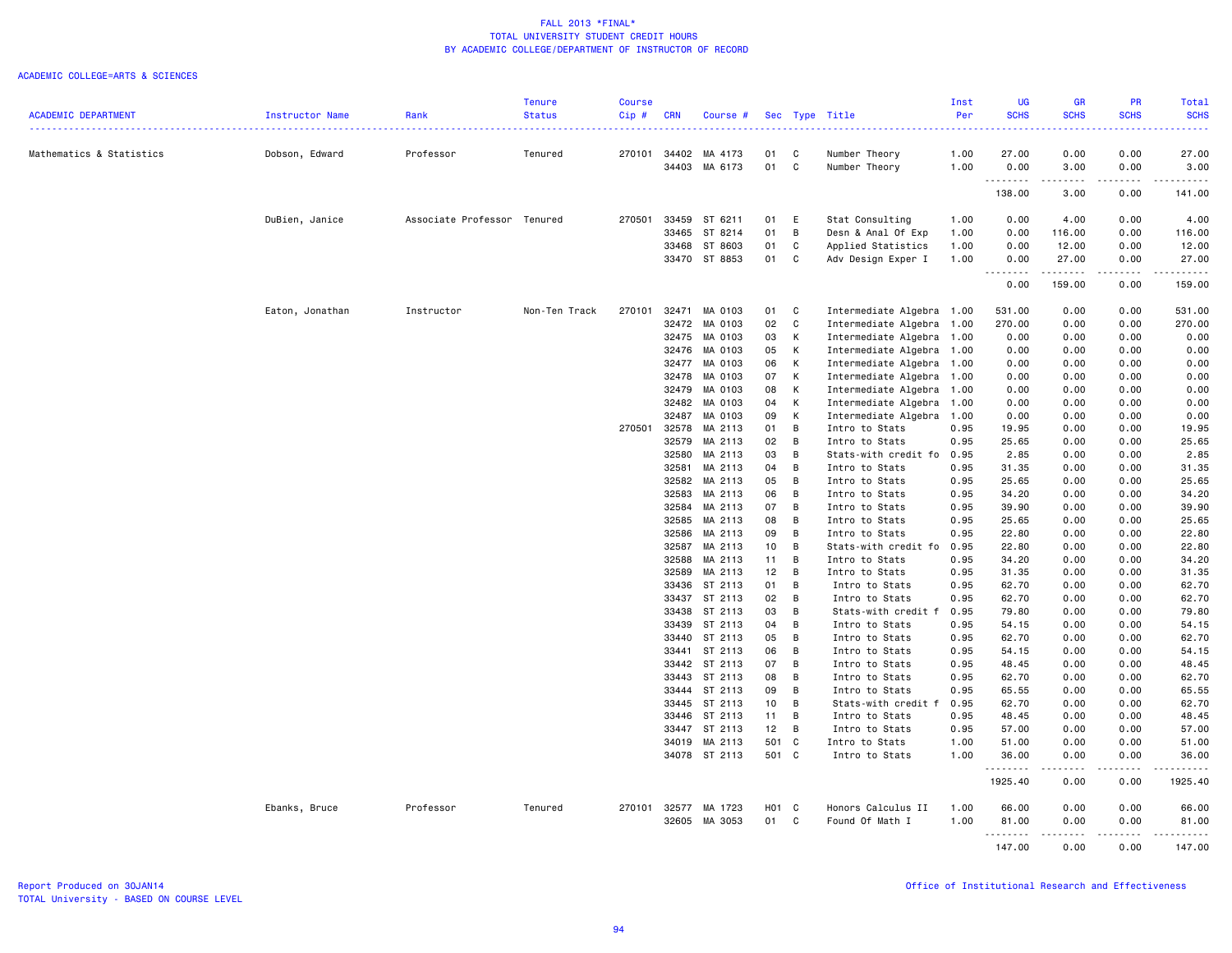|                            |                 |                             | <b>Tenure</b> | <b>Course</b> |            |                          |          |                |                                | Inst         | <b>UG</b>     | <b>GR</b>    | <b>PR</b>                                                                                                                                                                               | Total         |
|----------------------------|-----------------|-----------------------------|---------------|---------------|------------|--------------------------|----------|----------------|--------------------------------|--------------|---------------|--------------|-----------------------------------------------------------------------------------------------------------------------------------------------------------------------------------------|---------------|
| <b>ACADEMIC DEPARTMENT</b> | Instructor Name | Rank                        | <b>Status</b> | Cip#          | <b>CRN</b> | Course #                 |          |                | Sec Type Title                 | Per          | <b>SCHS</b>   | <b>SCHS</b>  | <b>SCHS</b>                                                                                                                                                                             | <b>SCHS</b>   |
|                            |                 |                             |               |               |            |                          |          |                |                                |              |               |              |                                                                                                                                                                                         |               |
| Mathematics & Statistics   | Dobson, Edward  | Professor                   | Tenured       | 270101        | 34403      | 34402 MA 4173<br>MA 6173 | 01<br>01 | C<br>C         | Number Theory<br>Number Theory | 1.00<br>1.00 | 27.00<br>0.00 | 0.00<br>3.00 | 0.00<br>0.00                                                                                                                                                                            | 27.00<br>3.00 |
|                            |                 |                             |               |               |            |                          |          |                |                                |              | .             | .            | -----                                                                                                                                                                                   |               |
|                            |                 |                             |               |               |            |                          |          |                |                                |              | 138.00        | 3.00         | 0.00                                                                                                                                                                                    | 141.00        |
|                            | DuBien, Janice  | Associate Professor Tenured |               | 270501        |            | 33459 ST 6211            | 01       | E              | Stat Consulting                | 1.00         | 0.00          | 4.00         | 0.00                                                                                                                                                                                    | 4.00          |
|                            |                 |                             |               |               |            | 33465 ST 8214            | 01       | B              | Desn & Anal Of Exp             | 1.00         | 0.00          | 116.00       | 0.00                                                                                                                                                                                    | 116.00        |
|                            |                 |                             |               |               |            | 33468 ST 8603            | 01       | C              | Applied Statistics             | 1.00         | 0.00          | 12.00        | 0.00                                                                                                                                                                                    | 12.00         |
|                            |                 |                             |               |               |            | 33470 ST 8853            | 01       | C              | Adv Design Exper I             | 1.00         | 0.00<br>.     | 27.00<br>.   | 0.00<br>.                                                                                                                                                                               | 27.00         |
|                            |                 |                             |               |               |            |                          |          |                |                                |              | 0.00          | 159.00       | 0.00                                                                                                                                                                                    | 159.00        |
|                            | Eaton, Jonathan | Instructor                  | Non-Ten Track | 270101        | 32471      | MA 0103                  | 01       | C              | Intermediate Algebra 1.00      |              | 531.00        | 0.00         | 0.00                                                                                                                                                                                    | 531.00        |
|                            |                 |                             |               |               | 32472      | MA 0103                  | 02       | $\mathbf{C}$   | Intermediate Algebra           | 1.00         | 270.00        | 0.00         | 0.00                                                                                                                                                                                    | 270.00        |
|                            |                 |                             |               |               | 32475      | MA 0103                  | 03       | К              | Intermediate Algebra           | 1.00         | 0.00          | 0.00         | 0.00                                                                                                                                                                                    | 0.00          |
|                            |                 |                             |               |               | 32476      | MA 0103                  | 05       | К              | Intermediate Algebra 1.00      |              | 0.00          | 0.00         | 0.00                                                                                                                                                                                    | 0.00          |
|                            |                 |                             |               |               | 32477      | MA 0103                  | 06       | К              | Intermediate Algebra           | 1.00         | 0.00          | 0.00         | 0.00                                                                                                                                                                                    | 0.00          |
|                            |                 |                             |               |               | 32478      | MA 0103                  | 07       | K              | Intermediate Algebra           | 1.00         | 0.00          | 0.00         | 0.00                                                                                                                                                                                    | 0.00          |
|                            |                 |                             |               |               | 32479      | MA 0103                  | 08       | К              | Intermediate Algebra           | 1.00         | 0.00          | 0.00         | 0.00                                                                                                                                                                                    | 0.00          |
|                            |                 |                             |               |               | 32482      | MA 0103                  | 04       | К              | Intermediate Algebra           | 1.00         | 0.00          | 0.00         | 0.00                                                                                                                                                                                    | 0.00          |
|                            |                 |                             |               |               | 32487      | MA 0103                  | 09       | K              | Intermediate Algebra           | 1.00         | 0.00          | 0.00         | 0.00                                                                                                                                                                                    | 0.00          |
|                            |                 |                             |               | 270501        | 32578      | MA 2113                  | 01       | B              | Intro to Stats                 | 0.95         | 19.95         | 0.00         | 0.00                                                                                                                                                                                    | 19.95         |
|                            |                 |                             |               |               | 32579      | MA 2113                  | 02       | B              | Intro to Stats                 | 0.95         | 25.65         | 0.00         | 0.00                                                                                                                                                                                    | 25.65         |
|                            |                 |                             |               |               | 32580      | MA 2113                  | 03       | B              | Stats-with credit fo           | 0.95         | 2.85          | 0.00         | 0.00                                                                                                                                                                                    | 2.85          |
|                            |                 |                             |               |               | 32581      | MA 2113                  | 04       | B              | Intro to Stats                 | 0.95         | 31.35         | 0.00         | 0.00                                                                                                                                                                                    | 31.35         |
|                            |                 |                             |               |               |            | 32582 MA 2113            | 05       | B              | Intro to Stats                 | 0.95         | 25.65         | 0.00         | 0.00                                                                                                                                                                                    | 25.65         |
|                            |                 |                             |               |               | 32583      | MA 2113                  | 06       | B              | Intro to Stats                 | 0.95         | 34.20         | 0.00         | 0.00                                                                                                                                                                                    | 34.20         |
|                            |                 |                             |               |               | 32584      | MA 2113                  | 07       | $\overline{B}$ | Intro to Stats                 | 0.95         | 39.90         | 0.00         | 0.00                                                                                                                                                                                    | 39.90         |
|                            |                 |                             |               |               | 32585      | MA 2113                  | 08       | B              | Intro to Stats                 | 0.95         | 25.65         | 0.00         | 0.00                                                                                                                                                                                    | 25.65         |
|                            |                 |                             |               |               | 32586      | MA 2113                  | 09       | B              | Intro to Stats                 | 0.95         | 22.80         | 0.00         | 0.00                                                                                                                                                                                    | 22.80         |
|                            |                 |                             |               |               |            | 32587 MA 2113            | 10       | B              | Stats-with credit fo           | 0.95         | 22.80         | 0.00         | 0.00                                                                                                                                                                                    | 22.80         |
|                            |                 |                             |               |               | 32588      | MA 2113                  | 11       | B              | Intro to Stats                 | 0.95         | 34.20         | 0.00         | 0.00                                                                                                                                                                                    | 34.20         |
|                            |                 |                             |               |               | 32589      | MA 2113                  | 12       | $\overline{B}$ | Intro to Stats                 | 0.95         | 31.35         | 0.00         | 0.00                                                                                                                                                                                    | 31.35         |
|                            |                 |                             |               |               | 33436      | ST 2113                  | 01       | B              | Intro to Stats                 | 0.95         | 62.70         | 0.00         | 0.00                                                                                                                                                                                    | 62.70         |
|                            |                 |                             |               |               |            | 33437 ST 2113            | 02       | $\overline{B}$ | Intro to Stats                 | 0.95         | 62.70         | 0.00         | 0.00                                                                                                                                                                                    | 62.70         |
|                            |                 |                             |               |               | 33438      | ST 2113                  | 03       | B              | Stats-with credit f            | 0.95         | 79.80         | 0.00         | 0.00                                                                                                                                                                                    | 79.80         |
|                            |                 |                             |               |               |            | 33439 ST 2113            | 04       | B              | Intro to Stats                 | 0.95         | 54.15         | 0.00         | 0.00                                                                                                                                                                                    | 54.15         |
|                            |                 |                             |               |               |            | 33440 ST 2113            | 05       | B              | Intro to Stats                 | 0.95         | 62.70         | 0.00         | 0.00                                                                                                                                                                                    | 62.70         |
|                            |                 |                             |               |               |            | 33441 ST 2113            | 06       | $\overline{B}$ | Intro to Stats                 | 0.95         | 54.15         | 0.00         | 0.00                                                                                                                                                                                    | 54.15         |
|                            |                 |                             |               |               |            | 33442 ST 2113            | 07       | B              | Intro to Stats                 | 0.95         | 48.45         | 0.00         | 0.00                                                                                                                                                                                    | 48.45         |
|                            |                 |                             |               |               |            | 33443 ST 2113            | 08       | B              | Intro to Stats                 | 0.95         | 62.70         | 0.00         | 0.00                                                                                                                                                                                    | 62.70         |
|                            |                 |                             |               |               |            | 33444 ST 2113            | 09       | B              | Intro to Stats                 | 0.95         | 65.55         | 0.00         | 0.00                                                                                                                                                                                    | 65.55         |
|                            |                 |                             |               |               |            | 33445 ST 2113            | 10       | B              | Stats-with credit f            | 0.95         | 62.70         | 0.00         | 0.00                                                                                                                                                                                    | 62.70         |
|                            |                 |                             |               |               |            | 33446 ST 2113            | 11       | B              | Intro to Stats                 | 0.95         | 48.45         | 0.00         | 0.00                                                                                                                                                                                    | 48.45         |
|                            |                 |                             |               |               |            | 33447 ST 2113            | 12       | $\overline{B}$ | Intro to Stats                 | 0.95         | 57.00         | 0.00         | 0.00                                                                                                                                                                                    | 57.00         |
|                            |                 |                             |               |               |            | 34019 MA 2113            | 501 C    |                | Intro to Stats                 | 1.00         | 51.00         | 0.00         | 0.00                                                                                                                                                                                    | 51.00         |
|                            |                 |                             |               |               |            | 34078 ST 2113            | 501 C    |                | Intro to Stats                 | 1.00         | 36.00         | 0.00         | 0.00                                                                                                                                                                                    | 36.00         |
|                            |                 |                             |               |               |            |                          |          |                |                                |              | .<br>1925.40  | .<br>0.00    | $\frac{1}{2} \left( \frac{1}{2} \right) \left( \frac{1}{2} \right) \left( \frac{1}{2} \right) \left( \frac{1}{2} \right) \left( \frac{1}{2} \right) \left( \frac{1}{2} \right)$<br>0.00 | 1925.40       |
|                            | Ebanks, Bruce   | Professor                   | Tenured       | 270101        |            | 32577 MA 1723            | H01 C    |                | Honors Calculus II             | 1.00         | 66.00         | 0.00         | 0.00                                                                                                                                                                                    | 66.00         |
|                            |                 |                             |               |               |            | 32605 MA 3053            | 01 C     |                | Found Of Math I                | 1.00         | 81.00         | 0.00         | 0.00                                                                                                                                                                                    | 81.00         |
|                            |                 |                             |               |               |            |                          |          |                |                                |              | --------      | .            | $\begin{array}{cccccccccccccc} \bullet & \bullet & \bullet & \bullet & \bullet & \bullet & \bullet \end{array}$                                                                         |               |
|                            |                 |                             |               |               |            |                          |          |                |                                |              | 147.00        | 0.00         | 0.00                                                                                                                                                                                    | 147.00        |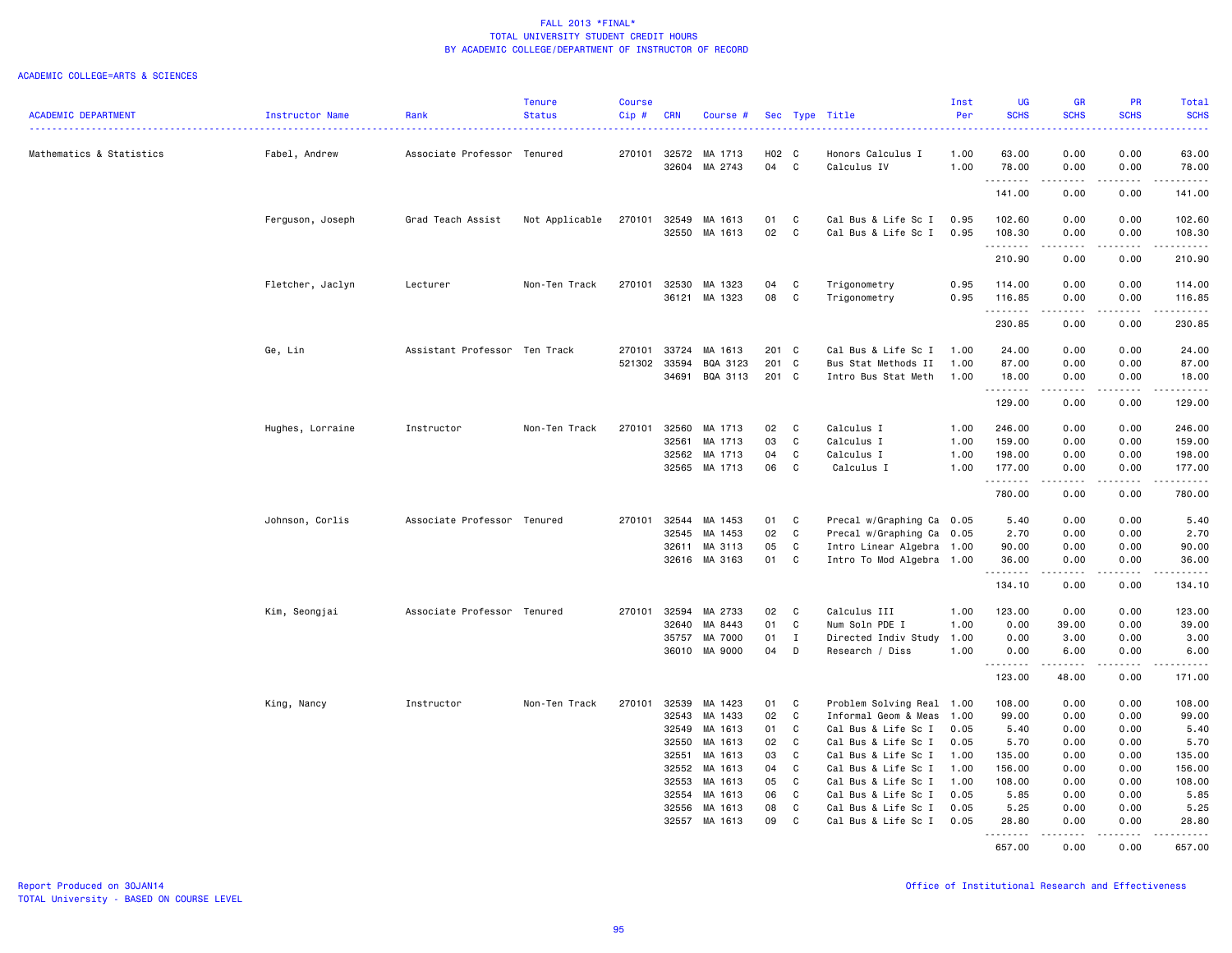|                            |                  |                               | <b>Tenure</b>  | <b>Course</b> |              |                    |          |              |                           | Inst | <b>UG</b>           | <b>GR</b>                                                                                                                                                                                                                                                                                                                                    | <b>PR</b>                    | Total                                                                                                                                                                                                                                                                                                                                                                                                                                                                                           |
|----------------------------|------------------|-------------------------------|----------------|---------------|--------------|--------------------|----------|--------------|---------------------------|------|---------------------|----------------------------------------------------------------------------------------------------------------------------------------------------------------------------------------------------------------------------------------------------------------------------------------------------------------------------------------------|------------------------------|-------------------------------------------------------------------------------------------------------------------------------------------------------------------------------------------------------------------------------------------------------------------------------------------------------------------------------------------------------------------------------------------------------------------------------------------------------------------------------------------------|
| <b>ACADEMIC DEPARTMENT</b> | Instructor Name  | Rank                          | <b>Status</b>  | Cip#          | <b>CRN</b>   | Course             |          |              | Sec Type Title            | Per  | <b>SCHS</b>         | <b>SCHS</b>                                                                                                                                                                                                                                                                                                                                  | <b>SCHS</b>                  | <b>SCHS</b><br>.                                                                                                                                                                                                                                                                                                                                                                                                                                                                                |
| Mathematics & Statistics   | Fabel, Andrew    | Associate Professor Tenured   |                | 270101        | 32572        | MA 1713            | H02 C    |              | Honors Calculus I         | 1.00 | 63.00               | 0.00                                                                                                                                                                                                                                                                                                                                         | 0.00                         | 63.00                                                                                                                                                                                                                                                                                                                                                                                                                                                                                           |
|                            |                  |                               |                |               | 32604        | MA 2743            | 04       | C            | Calculus IV               | 1.00 | 78.00<br>.          | 0.00<br>.                                                                                                                                                                                                                                                                                                                                    | 0.00<br>.                    | 78.00                                                                                                                                                                                                                                                                                                                                                                                                                                                                                           |
|                            |                  |                               |                |               |              |                    |          |              |                           |      | 141.00              | 0.00                                                                                                                                                                                                                                                                                                                                         | 0.00                         | 141.00                                                                                                                                                                                                                                                                                                                                                                                                                                                                                          |
|                            | Ferguson, Joseph | Grad Teach Assist             | Not Applicable | 270101        | 32549        | MA 1613            | 01       | C            | Cal Bus & Life Sc I       | 0.95 | 102.60              | 0.00                                                                                                                                                                                                                                                                                                                                         | 0.00                         | 102.60                                                                                                                                                                                                                                                                                                                                                                                                                                                                                          |
|                            |                  |                               |                |               | 32550        | MA 1613            | 02       | C            | Cal Bus & Life Sc I       | 0.95 | 108.30<br>.         | 0.00<br>2.2.2.2.2                                                                                                                                                                                                                                                                                                                            | 0.00<br>.                    | 108.30<br>.                                                                                                                                                                                                                                                                                                                                                                                                                                                                                     |
|                            |                  |                               |                |               |              |                    |          |              |                           |      | 210.90              | 0.00                                                                                                                                                                                                                                                                                                                                         | 0.00                         | 210.90                                                                                                                                                                                                                                                                                                                                                                                                                                                                                          |
|                            | Fletcher, Jaclyn | Lecturer                      | Non-Ten Track  | 270101        | 32530        | MA 1323            | 04       | C            | Trigonometry              | 0.95 | 114.00              | 0.00                                                                                                                                                                                                                                                                                                                                         | 0.00                         | 114.00                                                                                                                                                                                                                                                                                                                                                                                                                                                                                          |
|                            |                  |                               |                |               | 36121        | MA 1323            | 08       | C            | Trigonometry              | 0.95 | 116.85<br>.         | 0.00<br>$\frac{1}{2} \left( \begin{array}{ccc} 1 & 0 & 0 & 0 \\ 0 & 0 & 0 & 0 \\ 0 & 0 & 0 & 0 \\ 0 & 0 & 0 & 0 \\ 0 & 0 & 0 & 0 \\ 0 & 0 & 0 & 0 \\ 0 & 0 & 0 & 0 \\ 0 & 0 & 0 & 0 \\ 0 & 0 & 0 & 0 \\ 0 & 0 & 0 & 0 \\ 0 & 0 & 0 & 0 & 0 \\ 0 & 0 & 0 & 0 & 0 \\ 0 & 0 & 0 & 0 & 0 \\ 0 & 0 & 0 & 0 & 0 \\ 0 & 0 & 0 & 0 & 0 \\ 0 & 0 & 0$ | 0.00<br>.                    | 116.85<br>.                                                                                                                                                                                                                                                                                                                                                                                                                                                                                     |
|                            |                  |                               |                |               |              |                    |          |              |                           |      | 230.85              | 0.00                                                                                                                                                                                                                                                                                                                                         | 0.00                         | 230.85                                                                                                                                                                                                                                                                                                                                                                                                                                                                                          |
|                            | Ge, Lin          | Assistant Professor Ten Track |                | 270101        | 33724        | MA 1613            | 201      | $\mathbf{C}$ | Cal Bus & Life Sc I       | 1.00 | 24.00               | 0.00                                                                                                                                                                                                                                                                                                                                         | 0.00                         | 24.00                                                                                                                                                                                                                                                                                                                                                                                                                                                                                           |
|                            |                  |                               |                | 521302        | 33594        | BQA 3123           | 201      | $\mathbf{C}$ | Bus Stat Methods II       | 1.00 | 87.00               | 0.00                                                                                                                                                                                                                                                                                                                                         | 0.00                         | 87.00                                                                                                                                                                                                                                                                                                                                                                                                                                                                                           |
|                            |                  |                               |                |               | 34691        | BQA 3113           | 201      | $\mathbf{C}$ | Intro Bus Stat Meth       | 1.00 | 18.00<br>.          | 0.00<br>.                                                                                                                                                                                                                                                                                                                                    | 0.00<br>.                    | 18.00<br>.                                                                                                                                                                                                                                                                                                                                                                                                                                                                                      |
|                            |                  |                               |                |               |              |                    |          |              |                           |      | 129.00              | 0.00                                                                                                                                                                                                                                                                                                                                         | 0.00                         | 129.00                                                                                                                                                                                                                                                                                                                                                                                                                                                                                          |
|                            | Hughes, Lorraine | Instructor                    | Non-Ten Track  | 270101        | 32560        | MA 1713            | 02       | C            | Calculus I                | 1.00 | 246.00              | 0.00                                                                                                                                                                                                                                                                                                                                         | 0.00                         | 246.00                                                                                                                                                                                                                                                                                                                                                                                                                                                                                          |
|                            |                  |                               |                |               | 32561        | MA 1713            | 03       | C            | Calculus I                | 1.00 | 159.00              | 0.00                                                                                                                                                                                                                                                                                                                                         | 0.00                         | 159.00                                                                                                                                                                                                                                                                                                                                                                                                                                                                                          |
|                            |                  |                               |                |               | 32562        | MA 1713            | 04       | C            | Calculus I                | 1.00 | 198.00              | 0.00                                                                                                                                                                                                                                                                                                                                         | 0.00                         | 198.00                                                                                                                                                                                                                                                                                                                                                                                                                                                                                          |
|                            |                  |                               |                |               |              | 32565 MA 1713      | 06       | C            | Calculus I                | 1.00 | 177.00<br>.         | 0.00<br>.                                                                                                                                                                                                                                                                                                                                    | 0.00<br>$\sim$ $\sim$ $\sim$ | 177.00<br>.                                                                                                                                                                                                                                                                                                                                                                                                                                                                                     |
|                            |                  |                               |                |               |              |                    |          |              |                           |      | 780.00              | 0.00                                                                                                                                                                                                                                                                                                                                         | 0.00                         | 780.00                                                                                                                                                                                                                                                                                                                                                                                                                                                                                          |
|                            | Johnson, Corlis  | Associate Professor Tenured   |                | 270101        | 32544        | MA 1453            | 01       | C            | Precal w/Graphing Ca 0.05 |      | 5.40                | 0.00                                                                                                                                                                                                                                                                                                                                         | 0.00                         | 5.40                                                                                                                                                                                                                                                                                                                                                                                                                                                                                            |
|                            |                  |                               |                |               | 32545        | MA 1453            | 02       | C            | Precal w/Graphing Ca 0.05 |      | 2.70                | 0.00                                                                                                                                                                                                                                                                                                                                         | 0.00                         | 2.70                                                                                                                                                                                                                                                                                                                                                                                                                                                                                            |
|                            |                  |                               |                |               | 32611        | MA 3113            | 05       | C            | Intro Linear Algebra 1.00 |      | 90.00               | 0.00                                                                                                                                                                                                                                                                                                                                         | 0.00                         | 90.00                                                                                                                                                                                                                                                                                                                                                                                                                                                                                           |
|                            |                  |                               |                |               | 32616        | MA 3163            | 01       | C            | Intro To Mod Algebra 1.00 |      | 36.00<br>. <b>.</b> | 0.00                                                                                                                                                                                                                                                                                                                                         | 0.00<br>.                    | 36.00<br>.                                                                                                                                                                                                                                                                                                                                                                                                                                                                                      |
|                            |                  |                               |                |               |              |                    |          |              |                           |      | 134.10              | 0.00                                                                                                                                                                                                                                                                                                                                         | 0.00                         | 134.10                                                                                                                                                                                                                                                                                                                                                                                                                                                                                          |
|                            | Kim, Seongjai    | Associate Professor Tenured   |                |               | 270101 32594 | MA 2733            | 02       | C            | Calculus III              | 1.00 | 123.00              | 0.00                                                                                                                                                                                                                                                                                                                                         | 0.00                         | 123.00                                                                                                                                                                                                                                                                                                                                                                                                                                                                                          |
|                            |                  |                               |                |               | 32640        | MA 8443            | 01       | C            | Num Soln PDE I            | 1.00 | 0.00                | 39.00                                                                                                                                                                                                                                                                                                                                        | 0.00                         | 39.00                                                                                                                                                                                                                                                                                                                                                                                                                                                                                           |
|                            |                  |                               |                |               | 35757        | MA 7000            | 01       | $\mathbf{I}$ | Directed Indiv Study 1.00 |      | 0.00                | 3.00                                                                                                                                                                                                                                                                                                                                         | 0.00                         | 3.00                                                                                                                                                                                                                                                                                                                                                                                                                                                                                            |
|                            |                  |                               |                |               | 36010        | MA 9000            | 04       | D            | Research / Diss           | 1.00 | 0.00<br>.           | 6.00<br>.                                                                                                                                                                                                                                                                                                                                    | 0.00<br>.                    | 6.00<br>.                                                                                                                                                                                                                                                                                                                                                                                                                                                                                       |
|                            |                  |                               |                |               |              |                    |          |              |                           |      | 123.00              | 48.00                                                                                                                                                                                                                                                                                                                                        | 0.00                         | 171.00                                                                                                                                                                                                                                                                                                                                                                                                                                                                                          |
|                            | King, Nancy      | Instructor                    | Non-Ten Track  | 270101        | 32539        | MA 1423            | 01       | C            | Problem Solving Real 1.00 |      | 108.00              | 0.00                                                                                                                                                                                                                                                                                                                                         | 0.00                         | 108.00                                                                                                                                                                                                                                                                                                                                                                                                                                                                                          |
|                            |                  |                               |                |               | 32543        | MA 1433            | 02       | C            | Informal Geom & Meas      | 1.00 | 99.00               | 0.00                                                                                                                                                                                                                                                                                                                                         | 0.00                         | 99.00                                                                                                                                                                                                                                                                                                                                                                                                                                                                                           |
|                            |                  |                               |                |               | 32549        | MA 1613            | 01       | C            | Cal Bus & Life Sc I       | 0.05 | 5.40                | 0.00                                                                                                                                                                                                                                                                                                                                         | 0.00                         | 5.40                                                                                                                                                                                                                                                                                                                                                                                                                                                                                            |
|                            |                  |                               |                |               | 32550        | MA 1613            | 02       | C.           | Cal Bus & Life Sc I       | 0.05 | 5.70                | 0.00                                                                                                                                                                                                                                                                                                                                         | 0.00                         | 5.70                                                                                                                                                                                                                                                                                                                                                                                                                                                                                            |
|                            |                  |                               |                |               | 32551        | MA 1613            | 03       | C            | Cal Bus & Life Sc I       | 1.00 | 135.00              | 0.00                                                                                                                                                                                                                                                                                                                                         | 0.00                         | 135.00                                                                                                                                                                                                                                                                                                                                                                                                                                                                                          |
|                            |                  |                               |                |               | 32552        | MA 1613            | 04       | C            | Cal Bus & Life Sc I       | 1.00 | 156.00              | 0.00                                                                                                                                                                                                                                                                                                                                         | 0.00                         | 156.00                                                                                                                                                                                                                                                                                                                                                                                                                                                                                          |
|                            |                  |                               |                |               | 32553        | MA 1613            | 05       | C            | Cal Bus & Life Sc I       | 1.00 | 108.00              | 0.00                                                                                                                                                                                                                                                                                                                                         | 0.00                         | 108.00                                                                                                                                                                                                                                                                                                                                                                                                                                                                                          |
|                            |                  |                               |                |               | 32554        | MA 1613            | 06       | C            | Cal Bus & Life Sc I       | 0.05 | 5.85                | 0.00                                                                                                                                                                                                                                                                                                                                         | 0.00                         | 5.85                                                                                                                                                                                                                                                                                                                                                                                                                                                                                            |
|                            |                  |                               |                |               | 32556        | MA 1613<br>MA 1613 | 08<br>09 | C<br>C       | Cal Bus & Life Sc I       | 0.05 | 5.25                | 0.00                                                                                                                                                                                                                                                                                                                                         | 0.00                         | 5.25                                                                                                                                                                                                                                                                                                                                                                                                                                                                                            |
|                            |                  |                               |                |               | 32557        |                    |          |              | Cal Bus & Life Sc I       | 0.05 | 28.80<br>.          | 0.00<br>$\frac{1}{2} \left( \frac{1}{2} \right) \left( \frac{1}{2} \right) \left( \frac{1}{2} \right) \left( \frac{1}{2} \right) \left( \frac{1}{2} \right)$                                                                                                                                                                                 | 0.00<br>.                    | 28.80<br>$\begin{array}{cccccccccccccc} \multicolumn{2}{c}{} & \multicolumn{2}{c}{} & \multicolumn{2}{c}{} & \multicolumn{2}{c}{} & \multicolumn{2}{c}{} & \multicolumn{2}{c}{} & \multicolumn{2}{c}{} & \multicolumn{2}{c}{} & \multicolumn{2}{c}{} & \multicolumn{2}{c}{} & \multicolumn{2}{c}{} & \multicolumn{2}{c}{} & \multicolumn{2}{c}{} & \multicolumn{2}{c}{} & \multicolumn{2}{c}{} & \multicolumn{2}{c}{} & \multicolumn{2}{c}{} & \multicolumn{2}{c}{} & \multicolumn{2}{c}{} & \$ |
|                            |                  |                               |                |               |              |                    |          |              |                           |      | 657.00              | 0.00                                                                                                                                                                                                                                                                                                                                         | 0.00                         | 657.00                                                                                                                                                                                                                                                                                                                                                                                                                                                                                          |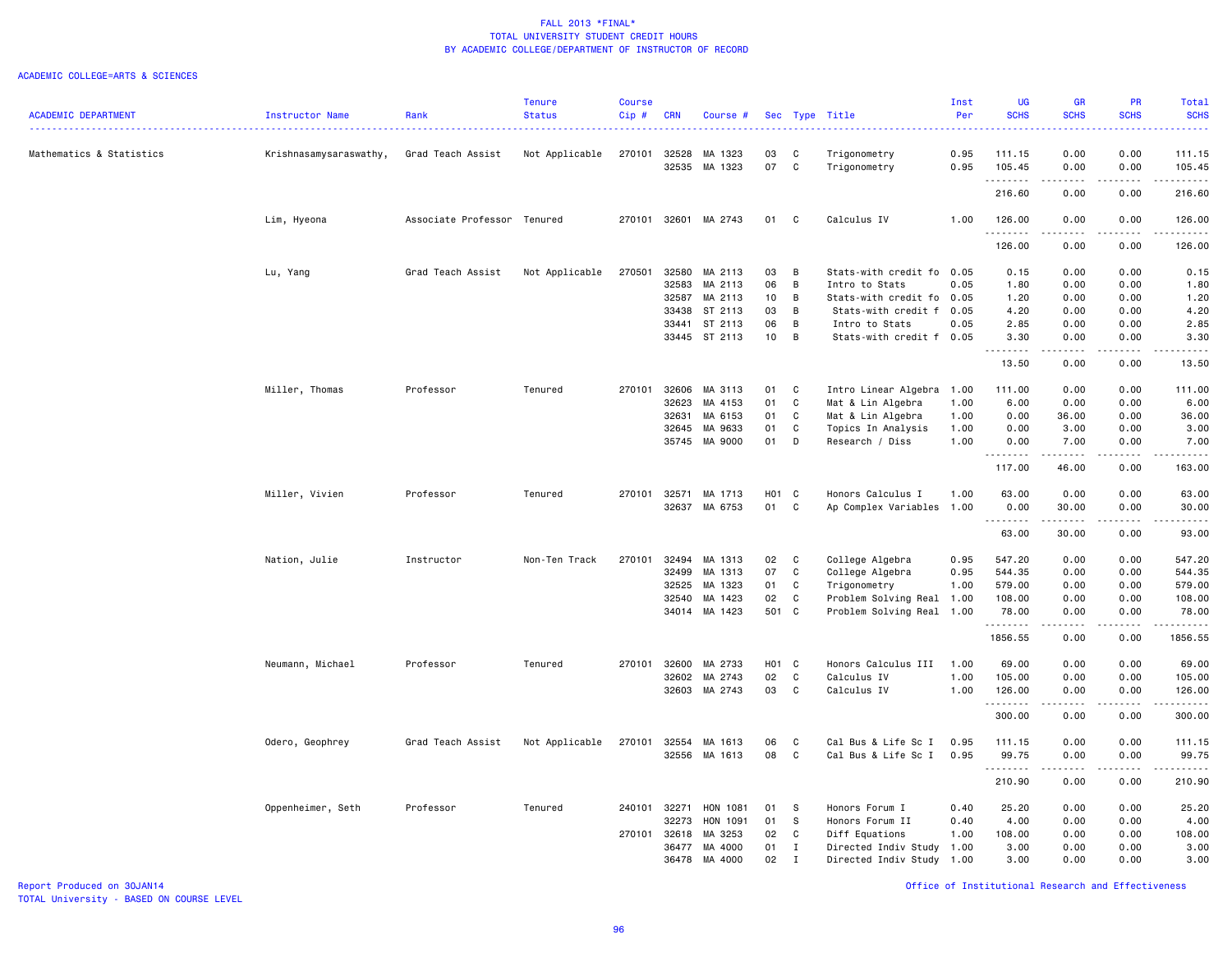#### ACADEMIC COLLEGE=ARTS & SCIENCES

|                            |                        |                             | <b>Tenure</b>  | <b>Course</b> |            |               |       |             |                           | Inst | <b>UG</b>   | <b>GR</b>                                                                                                                                                                                                                                                                                                                                                                                                                                                                                      | <b>PR</b>                    | Total                                                          |
|----------------------------|------------------------|-----------------------------|----------------|---------------|------------|---------------|-------|-------------|---------------------------|------|-------------|------------------------------------------------------------------------------------------------------------------------------------------------------------------------------------------------------------------------------------------------------------------------------------------------------------------------------------------------------------------------------------------------------------------------------------------------------------------------------------------------|------------------------------|----------------------------------------------------------------|
| <b>ACADEMIC DEPARTMENT</b> | Instructor Name        | Rank                        | <b>Status</b>  | $Cip \#$      | <b>CRN</b> | Course #      |       |             | Sec Type Title            | Per  | <b>SCHS</b> | <b>SCHS</b><br>$\sim$ $\sim$ $\sim$ $\sim$                                                                                                                                                                                                                                                                                                                                                                                                                                                     | <b>SCHS</b><br>.             | <b>SCHS</b><br>.                                               |
| Mathematics & Statistics   | Krishnasamysaraswathy, | Grad Teach Assist           | Not Applicable | 270101        | 32528      | MA 1323       | 03    | C           | Trigonometry              | 0.95 | 111.15      | 0.00                                                                                                                                                                                                                                                                                                                                                                                                                                                                                           | 0.00                         | 111.15                                                         |
|                            |                        |                             |                |               | 32535      | MA 1323       | 07    | C           | Trigonometry              | 0.95 | 105.45<br>. | 0.00                                                                                                                                                                                                                                                                                                                                                                                                                                                                                           | 0.00                         | 105.45                                                         |
|                            |                        |                             |                |               |            |               |       |             |                           |      | 216.60      | 0.00                                                                                                                                                                                                                                                                                                                                                                                                                                                                                           | 0.00                         | .<br>216.60                                                    |
|                            | Lim, Hyeona            | Associate Professor Tenured |                | 270101        | 32601      | MA 2743       | 01    | C           | Calculus IV               | 1.00 | 126.00      | 0.00                                                                                                                                                                                                                                                                                                                                                                                                                                                                                           | 0.00                         | 126.00                                                         |
|                            |                        |                             |                |               |            |               |       |             |                           |      | .<br>126.00 | 0.00                                                                                                                                                                                                                                                                                                                                                                                                                                                                                           | 0.00                         | 126.00                                                         |
|                            | Lu, Yang               | Grad Teach Assist           | Not Applicable | 270501        | 32580      | MA 2113       | 03    | B           | Stats-with credit fo      | 0.05 | 0.15        | 0.00                                                                                                                                                                                                                                                                                                                                                                                                                                                                                           | 0.00                         | 0.15                                                           |
|                            |                        |                             |                |               | 32583      | MA 2113       | 06    | B           | Intro to Stats            | 0.05 | 1.80        | 0.00                                                                                                                                                                                                                                                                                                                                                                                                                                                                                           | 0.00                         | 1.80                                                           |
|                            |                        |                             |                |               | 32587      | MA 2113       | 10    | B           | Stats-with credit fo 0.05 |      | 1.20        | 0.00                                                                                                                                                                                                                                                                                                                                                                                                                                                                                           | 0.00                         | 1.20                                                           |
|                            |                        |                             |                |               | 33438      | ST 2113       | 03    | B           | Stats-with credit f       | 0.05 | 4.20        | 0.00                                                                                                                                                                                                                                                                                                                                                                                                                                                                                           | 0.00                         | 4.20                                                           |
|                            |                        |                             |                |               | 33441      | ST 2113       | 06    | B           | Intro to Stats            | 0.05 | 2.85        | 0.00                                                                                                                                                                                                                                                                                                                                                                                                                                                                                           | 0.00                         | 2.85                                                           |
|                            |                        |                             |                |               |            | 33445 ST 2113 | 10    | B           | Stats-with credit f 0.05  |      | 3.30<br>.   | 0.00<br>.                                                                                                                                                                                                                                                                                                                                                                                                                                                                                      | 0.00<br>.                    | 3.30<br>.                                                      |
|                            |                        |                             |                |               |            |               |       |             |                           |      | 13.50       | 0.00                                                                                                                                                                                                                                                                                                                                                                                                                                                                                           | 0.00                         | 13.50                                                          |
|                            | Miller, Thomas         | Professor                   | Tenured        | 270101        | 32606      | MA 3113       | 01    | C           | Intro Linear Algebra      | 1.00 | 111.00      | 0.00                                                                                                                                                                                                                                                                                                                                                                                                                                                                                           | 0.00                         | 111.00                                                         |
|                            |                        |                             |                |               | 32623      | MA 4153       | 01    | C           | Mat & Lin Algebra         | 1.00 | 6.00        | 0.00                                                                                                                                                                                                                                                                                                                                                                                                                                                                                           | 0.00                         | 6.00                                                           |
|                            |                        |                             |                |               | 32631      | MA 6153       | 01    | C           | Mat & Lin Algebra         | 1.00 | 0.00        | 36.00                                                                                                                                                                                                                                                                                                                                                                                                                                                                                          | 0.00                         | 36.00                                                          |
|                            |                        |                             |                |               | 32645      | MA 9633       | 01    | C           | Topics In Analysis        | 1.00 | 0.00        | 3.00                                                                                                                                                                                                                                                                                                                                                                                                                                                                                           | 0.00                         | 3.00                                                           |
|                            |                        |                             |                |               |            | 35745 MA 9000 | 01    | D           | Research / Diss           | 1.00 | 0.00        | 7.00                                                                                                                                                                                                                                                                                                                                                                                                                                                                                           | 0.00                         | 7.00                                                           |
|                            |                        |                             |                |               |            |               |       |             |                           |      | .<br>117.00 | د د د د د<br>46.00                                                                                                                                                                                                                                                                                                                                                                                                                                                                             | $\sim$ $\sim$ $\sim$<br>0.00 | .<br>163.00                                                    |
|                            | Miller, Vivien         | Professor                   | Tenured        | 270101        | 32571      | MA 1713       | H01 C |             | Honors Calculus I         | 1.00 | 63.00       | 0.00                                                                                                                                                                                                                                                                                                                                                                                                                                                                                           | 0.00                         | 63.00                                                          |
|                            |                        |                             |                |               | 32637      | MA 6753       | 01    | C           | Ap Complex Variables      | 1.00 | 0.00        | 30.00<br>.                                                                                                                                                                                                                                                                                                                                                                                                                                                                                     | 0.00<br>.                    | 30.00<br>.                                                     |
|                            |                        |                             |                |               |            |               |       |             |                           |      | 63.00       | 30.00                                                                                                                                                                                                                                                                                                                                                                                                                                                                                          | 0.00                         | 93.00                                                          |
|                            | Nation, Julie          | Instructor                  | Non-Ten Track  | 270101        | 32494      | MA 1313       | 02    | C           | College Algebra           | 0.95 | 547.20      | 0.00                                                                                                                                                                                                                                                                                                                                                                                                                                                                                           | 0.00                         | 547.20                                                         |
|                            |                        |                             |                |               | 32499      | MA 1313       | 07    | C           | College Algebra           | 0.95 | 544.35      | 0.00                                                                                                                                                                                                                                                                                                                                                                                                                                                                                           | 0.00                         | 544.35                                                         |
|                            |                        |                             |                |               | 32525      | MA 1323       | 01    | C           | Trigonometry              | 1.00 | 579.00      | 0.00                                                                                                                                                                                                                                                                                                                                                                                                                                                                                           | 0.00                         | 579.00                                                         |
|                            |                        |                             |                |               | 32540      | MA 1423       | 02    | C           | Problem Solving Real 1.00 |      | 108.00      | 0.00                                                                                                                                                                                                                                                                                                                                                                                                                                                                                           | 0.00                         | 108.00                                                         |
|                            |                        |                             |                |               |            | 34014 MA 1423 | 501 C |             | Problem Solving Real      | 1.00 | 78.00<br>.  | 0.00<br>$\sim$ $\sim$ $\sim$ $\sim$                                                                                                                                                                                                                                                                                                                                                                                                                                                            | 0.00<br>.                    | 78.00                                                          |
|                            |                        |                             |                |               |            |               |       |             |                           |      | 1856.55     | 0.00                                                                                                                                                                                                                                                                                                                                                                                                                                                                                           | 0.00                         | 1856.55                                                        |
|                            | Neumann, Michael       | Professor                   | Tenured        | 270101        | 32600      | MA 2733       | H01 C |             | Honors Calculus III       | 1.00 | 69.00       | 0.00                                                                                                                                                                                                                                                                                                                                                                                                                                                                                           | 0.00                         | 69.00                                                          |
|                            |                        |                             |                |               | 32602      | MA 2743       | 02    | C           | Calculus IV               | 1.00 | 105.00      | 0.00                                                                                                                                                                                                                                                                                                                                                                                                                                                                                           | 0.00                         | 105.00                                                         |
|                            |                        |                             |                |               | 32603      | MA 2743       | 03    | C           | Calculus IV               | 1.00 | 126.00<br>. | 0.00<br>$\begin{array}{cccccccccccccc} \multicolumn{2}{c}{} & \multicolumn{2}{c}{} & \multicolumn{2}{c}{} & \multicolumn{2}{c}{} & \multicolumn{2}{c}{} & \multicolumn{2}{c}{} & \multicolumn{2}{c}{} & \multicolumn{2}{c}{} & \multicolumn{2}{c}{} & \multicolumn{2}{c}{} & \multicolumn{2}{c}{} & \multicolumn{2}{c}{} & \multicolumn{2}{c}{} & \multicolumn{2}{c}{} & \multicolumn{2}{c}{} & \multicolumn{2}{c}{} & \multicolumn{2}{c}{} & \multicolumn{2}{c}{} & \multicolumn{2}{c}{} & \$ | 0.00<br>.                    | 126.00<br>$\alpha$ , $\alpha$ , $\alpha$ , $\alpha$ , $\alpha$ |
|                            |                        |                             |                |               |            |               |       |             |                           |      | 300.00      | 0.00                                                                                                                                                                                                                                                                                                                                                                                                                                                                                           | 0.00                         | 300.00                                                         |
|                            | Odero, Geophrey        | Grad Teach Assist           | Not Applicable | 270101        | 32554      | MA 1613       | 06    | C           | Cal Bus & Life Sc I       | 0.95 | 111.15      | 0.00                                                                                                                                                                                                                                                                                                                                                                                                                                                                                           | 0.00                         | 111.15                                                         |
|                            |                        |                             |                |               | 32556      | MA 1613       | 08    | C           | Cal Bus & Life Sc I       | 0.95 | 99.75       | 0.00                                                                                                                                                                                                                                                                                                                                                                                                                                                                                           | 0.00                         | 99.75                                                          |
|                            |                        |                             |                |               |            |               |       |             |                           |      | .<br>210.90 | $\frac{1}{2}$<br>0.00                                                                                                                                                                                                                                                                                                                                                                                                                                                                          | $- - - -$<br>0.00            | .<br>210.90                                                    |
|                            | Oppenheimer, Seth      | Professor                   | Tenured        | 240101        | 32271      | HON 1081      | 01    | S           | Honors Forum I            | 0.40 | 25.20       | 0.00                                                                                                                                                                                                                                                                                                                                                                                                                                                                                           | 0.00                         | 25.20                                                          |
|                            |                        |                             |                |               | 32273      | HON 1091      | 01    | S           | Honors Forum II           | 0.40 | 4.00        | 0.00                                                                                                                                                                                                                                                                                                                                                                                                                                                                                           | 0.00                         | 4.00                                                           |
|                            |                        |                             |                | 270101        | 32618      | MA 3253       | 02    | C           | Diff Equations            | 1.00 | 108.00      | 0.00                                                                                                                                                                                                                                                                                                                                                                                                                                                                                           | 0.00                         | 108.00                                                         |
|                            |                        |                             |                |               | 36477      | MA 4000       | 01    | $\bf{I}$    | Directed Indiv Study      | 1.00 | 3.00        | 0.00                                                                                                                                                                                                                                                                                                                                                                                                                                                                                           | 0.00                         | 3.00                                                           |
|                            |                        |                             |                |               | 36478      | MA 4000       | 02    | $\mathbf I$ | Directed Indiv Study      | 1.00 | 3.00        | 0.00                                                                                                                                                                                                                                                                                                                                                                                                                                                                                           | 0.00                         | 3.00                                                           |
|                            |                        |                             |                |               |            |               |       |             |                           |      |             |                                                                                                                                                                                                                                                                                                                                                                                                                                                                                                |                              |                                                                |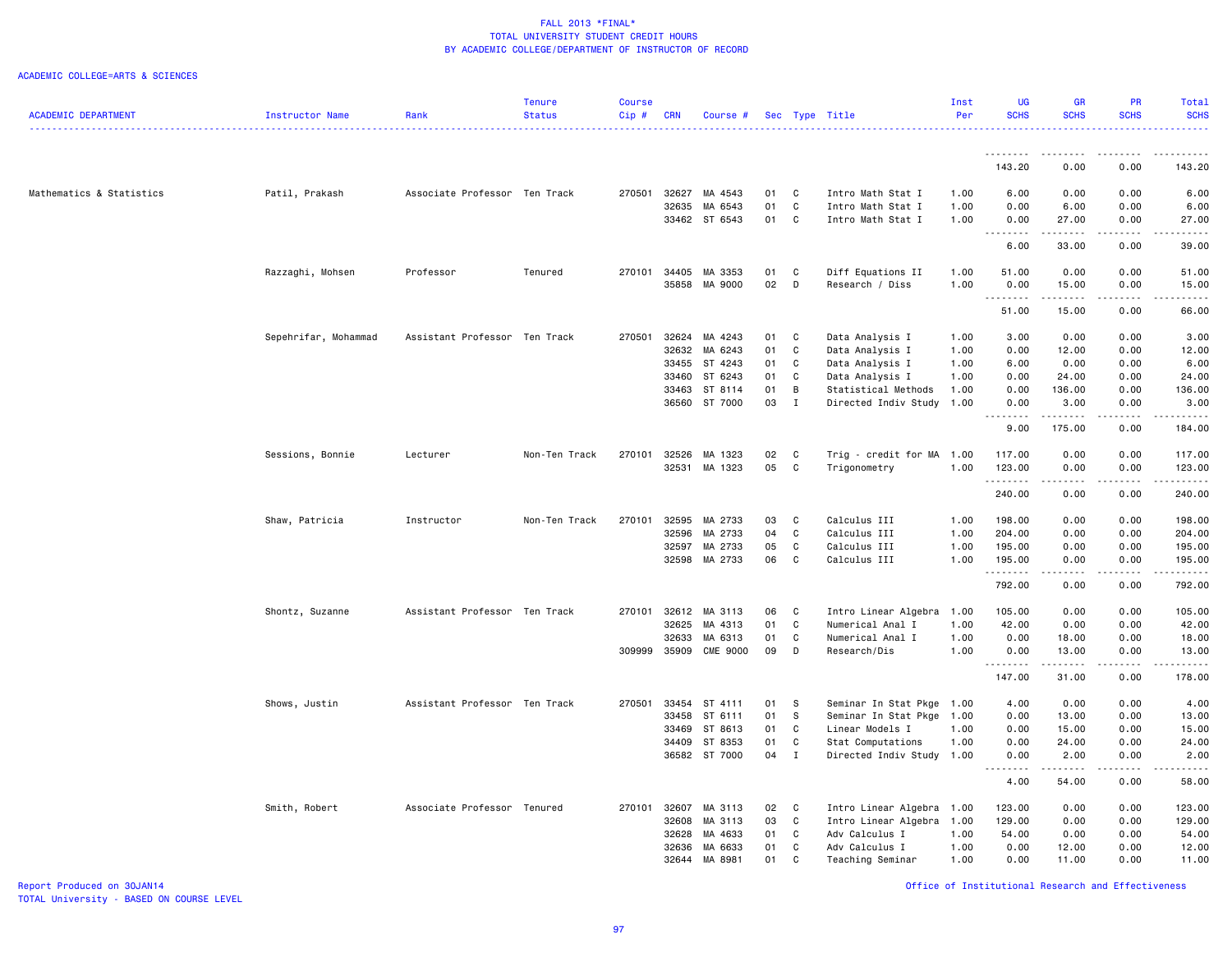### ACADEMIC COLLEGE=ARTS & SCIENCES

|                            |                        |                               | <b>Tenure</b> | <b>Course</b> |            |                 |    |              |                           | Inst | UG                                    | <b>GR</b>       | <b>PR</b>   | Total                                                                                                                                                                                   |
|----------------------------|------------------------|-------------------------------|---------------|---------------|------------|-----------------|----|--------------|---------------------------|------|---------------------------------------|-----------------|-------------|-----------------------------------------------------------------------------------------------------------------------------------------------------------------------------------------|
| <b>ACADEMIC DEPARTMENT</b> | <b>Instructor Name</b> | Rank                          | <b>Status</b> | Cip#          | <b>CRN</b> | Course #        |    |              | Sec Type Title            | Per  | <b>SCHS</b>                           | <b>SCHS</b>     | <b>SCHS</b> | <b>SCHS</b>                                                                                                                                                                             |
|                            |                        |                               |               |               |            |                 |    |              |                           |      | .                                     |                 |             |                                                                                                                                                                                         |
|                            |                        |                               |               |               |            |                 |    |              |                           |      | 143.20                                | 0.00            | 0.00        | 143.20                                                                                                                                                                                  |
| Mathematics & Statistics   | Patil, Prakash         | Associate Professor Ten Track |               | 270501        | 32627      | MA 4543         | 01 | C            | Intro Math Stat I         | 1.00 | 6.00                                  | 0.00            | 0.00        | 6.00                                                                                                                                                                                    |
|                            |                        |                               |               |               | 32635      | MA 6543         | 01 | $\mathbf{C}$ | Intro Math Stat I         | 1.00 | 0.00                                  | 6.00            | 0.00        | 6.00                                                                                                                                                                                    |
|                            |                        |                               |               |               |            | 33462 ST 6543   | 01 | $\mathbf{C}$ | Intro Math Stat I         | 1.00 | 0.00<br>-----<br>$\sim$ $\sim$ $\sim$ | 27.00           | 0.00        | 27.00<br>$\sim$ $\sim$ $\sim$ $\sim$ $\sim$                                                                                                                                             |
|                            |                        |                               |               |               |            |                 |    |              |                           |      | 6.00                                  | 33.00           | 0.00        | 39.00                                                                                                                                                                                   |
|                            | Razzaghi, Mohsen       | Professor                     | Tenured       | 270101        | 34405      | MA 3353         | 01 | C            | Diff Equations II         | 1.00 | 51.00                                 | 0.00            | 0.00        | 51.00                                                                                                                                                                                   |
|                            |                        |                               |               |               | 35858      | MA 9000         | 02 | D            | Research / Diss           | 1.00 | 0.00                                  | 15.00           | 0.00        | 15.00                                                                                                                                                                                   |
|                            |                        |                               |               |               |            |                 |    |              |                           |      | 51.00                                 | .<br>15.00      | .<br>0.00   | .<br>66.00                                                                                                                                                                              |
|                            | Sepehrifar, Mohammad   | Assistant Professor Ten Track |               | 270501        | 32624      | MA 4243         | 01 | C            | Data Analysis I           | 1.00 | 3.00                                  | 0.00            | 0.00        | 3.00                                                                                                                                                                                    |
|                            |                        |                               |               |               | 32632      | MA 6243         | 01 | C            | Data Analysis I           | 1.00 | 0.00                                  | 12.00           | 0.00        | 12.00                                                                                                                                                                                   |
|                            |                        |                               |               |               | 33455      | ST 4243         | 01 | C            | Data Analysis I           | 1.00 | 6.00                                  | 0.00            | 0.00        | 6.00                                                                                                                                                                                    |
|                            |                        |                               |               |               | 33460      | ST 6243         | 01 | C            | Data Analysis I           | 1.00 | 0.00                                  | 24.00           | 0.00        | 24.00                                                                                                                                                                                   |
|                            |                        |                               |               |               | 33463      | ST 8114         | 01 | В            | Statistical Methods       | 1.00 | 0.00                                  | 136.00          | 0.00        | 136.00                                                                                                                                                                                  |
|                            |                        |                               |               |               | 36560      | ST 7000         | 03 | $\mathbf{I}$ | Directed Indiv Study      | 1.00 | 0.00<br>1.1.1.1.1.1.1                 | 3.00<br><b></b> | 0.00<br>.   | 3.00<br>$\frac{1}{2} \left( \frac{1}{2} \right) \left( \frac{1}{2} \right) \left( \frac{1}{2} \right) \left( \frac{1}{2} \right) \left( \frac{1}{2} \right) \left( \frac{1}{2} \right)$ |
|                            |                        |                               |               |               |            |                 |    |              |                           |      | 9.00                                  | 175.00          | 0.00        | 184.00                                                                                                                                                                                  |
|                            | Sessions, Bonnie       | Lecturer                      | Non-Ten Track | 270101        | 32526      | MA 1323         | 02 | C            | Trig - credit for MA 1.00 |      | 117.00                                | 0.00            | 0.00        | 117.00                                                                                                                                                                                  |
|                            |                        |                               |               |               | 32531      | MA 1323         | 05 | C            | Trigonometry              | 1.00 | 123.00                                | 0.00            | 0.00        | 123.00                                                                                                                                                                                  |
|                            |                        |                               |               |               |            |                 |    |              |                           |      | <u>.</u><br>240.00                    | 0.00            | 0.00        | $- - - - - -$<br>240.00                                                                                                                                                                 |
|                            | Shaw, Patricia         | Instructor                    | Non-Ten Track | 270101        | 32595      | MA 2733         | 03 | C            | Calculus III              | 1.00 | 198.00                                | 0.00            | 0.00        | 198.00                                                                                                                                                                                  |
|                            |                        |                               |               |               | 32596      | MA 2733         | 04 | C            | Calculus III              | 1.00 | 204.00                                | 0.00            | 0.00        | 204.00                                                                                                                                                                                  |
|                            |                        |                               |               |               | 32597      | MA 2733         | 05 | $\mathbb{C}$ | Calculus III              | 1.00 | 195.00                                | 0.00            | 0.00        | 195.00                                                                                                                                                                                  |
|                            |                        |                               |               |               | 32598      | MA 2733         | 06 | C            | Calculus III              | 1.00 | 195.00                                | 0.00            | 0.00        | 195.00                                                                                                                                                                                  |
|                            |                        |                               |               |               |            |                 |    |              |                           |      | .<br>792.00                           | .<br>0.00       | .<br>0.00   | .<br>792.00                                                                                                                                                                             |
|                            | Shontz, Suzanne        | Assistant Professor Ten Track |               | 270101        | 32612      | MA 3113         | 06 | C            | Intro Linear Algebra      | 1.00 | 105.00                                | 0.00            | 0.00        | 105.00                                                                                                                                                                                  |
|                            |                        |                               |               |               | 32625      | MA 4313         | 01 | C            | Numerical Anal I          | 1.00 | 42.00                                 | 0.00            | 0.00        | 42.00                                                                                                                                                                                   |
|                            |                        |                               |               |               | 32633      | MA 6313         | 01 | C            | Numerical Anal I          | 1.00 | 0.00                                  | 18.00           | 0.00        | 18,00                                                                                                                                                                                   |
|                            |                        |                               |               | 309999        | 35909      | <b>CME 9000</b> | 09 | D            | Research/Dis              | 1.00 | 0.00                                  | 13.00           | 0.00        | 13.00                                                                                                                                                                                   |
|                            |                        |                               |               |               |            |                 |    |              |                           |      | 147.00                                | ------<br>31.00 | .<br>0.00   | .<br>178.00                                                                                                                                                                             |
|                            | Shows, Justin          | Assistant Professor Ten Track |               | 270501        | 33454      | ST 4111         | 01 | S            | Seminar In Stat Pkge 1.00 |      | 4.00                                  | 0.00            | 0.00        | 4.00                                                                                                                                                                                    |
|                            |                        |                               |               |               | 33458      | ST 6111         | 01 | s            | Seminar In Stat Pkge      | 1.00 | 0.00                                  | 13.00           | 0.00        | 13.00                                                                                                                                                                                   |
|                            |                        |                               |               |               | 33469      | ST 8613         | 01 | C            | Linear Models I           | 1.00 | 0.00                                  | 15.00           | 0.00        | 15.00                                                                                                                                                                                   |
|                            |                        |                               |               |               | 34409      | ST 8353         | 01 | $\mathbf{C}$ | Stat Computations         | 1.00 | 0.00                                  | 24.00           | 0.00        | 24.00                                                                                                                                                                                   |
|                            |                        |                               |               |               | 36582      | ST 7000         | 04 | $\mathbf I$  | Directed Indiv Study      | 1.00 | 0.00                                  | 2.00            | 0.00        | 2.00                                                                                                                                                                                    |
|                            |                        |                               |               |               |            |                 |    |              |                           |      | .<br>$\sim$ $\sim$ $\sim$<br>4.00     | .<br>54.00      | .<br>0.00   | .<br>58.00                                                                                                                                                                              |
|                            | Smith, Robert          | Associate Professor Tenured   |               | 270101        | 32607      | MA 3113         | 02 | C            | Intro Linear Algebra 1.00 |      | 123.00                                | 0.00            | 0.00        | 123.00                                                                                                                                                                                  |
|                            |                        |                               |               |               | 32608      | MA 3113         | 03 | C            | Intro Linear Algebra 1.00 |      | 129.00                                | 0.00            | 0.00        | 129.00                                                                                                                                                                                  |
|                            |                        |                               |               |               | 32628      | MA 4633         | 01 | C            | Adv Calculus I            | 1.00 | 54.00                                 | 0.00            | 0.00        | 54.00                                                                                                                                                                                   |
|                            |                        |                               |               |               | 32636      | MA 6633         | 01 | C            | Adv Calculus I            | 1.00 | 0.00                                  | 12.00           | 0.00        | 12.00                                                                                                                                                                                   |
|                            |                        |                               |               |               | 32644      | MA 8981         | 01 | C            | Teaching Seminar          | 1.00 | 0.00                                  | 11.00           | 0.00        | 11.00                                                                                                                                                                                   |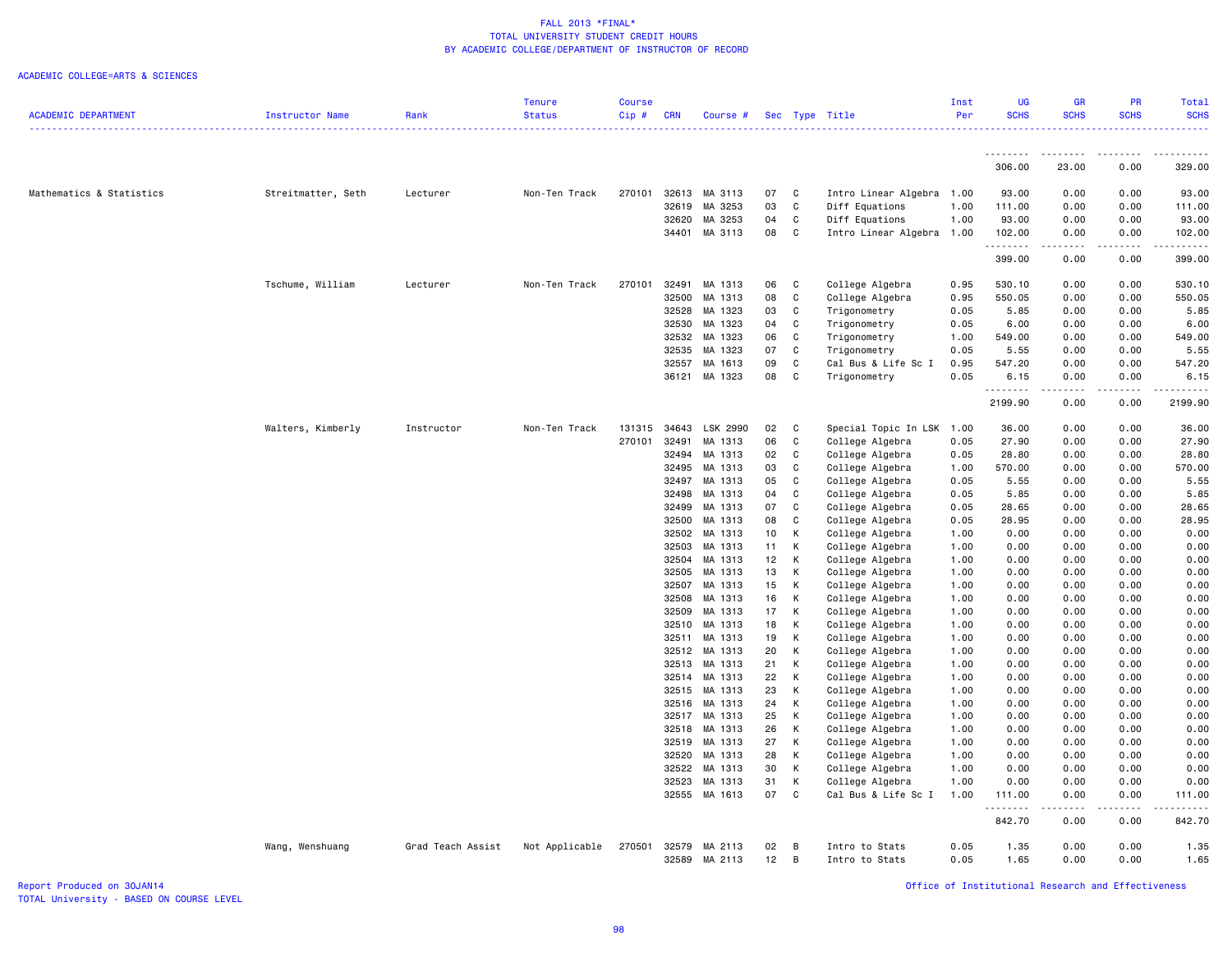### ACADEMIC COLLEGE=ARTS & SCIENCES

|                            |                    |                   | <b>Tenure</b>  | <b>Course</b> |                |                    |          |              |                                    | Inst         | <b>UG</b>    | <b>GR</b>                                                                                                                                            | <b>PR</b>    | Total                               |
|----------------------------|--------------------|-------------------|----------------|---------------|----------------|--------------------|----------|--------------|------------------------------------|--------------|--------------|------------------------------------------------------------------------------------------------------------------------------------------------------|--------------|-------------------------------------|
| <b>ACADEMIC DEPARTMENT</b> | Instructor Name    | Rank              | <b>Status</b>  | Cip#          | <b>CRN</b>     | Course #           |          |              | Sec Type Title                     | Per          | <b>SCHS</b>  | <b>SCHS</b>                                                                                                                                          | <b>SCHS</b>  | <b>SCHS</b>                         |
|                            |                    |                   |                |               |                |                    |          |              |                                    |              |              |                                                                                                                                                      |              |                                     |
|                            |                    |                   |                |               |                |                    |          |              |                                    |              |              |                                                                                                                                                      |              |                                     |
|                            |                    |                   |                |               |                |                    |          |              |                                    |              | .            | <b></b>                                                                                                                                              | .            | . <u>.</u>                          |
|                            |                    |                   |                |               |                |                    |          |              |                                    |              | 306.00       | 23.00                                                                                                                                                | 0.00         | 329.00                              |
| Mathematics & Statistics   | Streitmatter, Seth | Lecturer          | Non-Ten Track  | 270101        | 32613          | MA 3113            | 07       | C            | Intro Linear Algebra 1.00          |              | 93.00        | 0.00                                                                                                                                                 | 0.00         | 93.00                               |
|                            |                    |                   |                |               | 32619          | MA 3253            | 03       | C            | Diff Equations                     | 1.00         | 111.00       | 0.00                                                                                                                                                 | 0.00         | 111.00                              |
|                            |                    |                   |                |               | 32620          | MA 3253            | 04       | C            | Diff Equations                     | 1.00         | 93.00        | 0.00                                                                                                                                                 | 0.00         | 93.00                               |
|                            |                    |                   |                |               | 34401          | MA 3113            | 08       | C            | Intro Linear Algebra 1.00          |              | 102.00       | 0.00                                                                                                                                                 | 0.00         | 102.00                              |
|                            |                    |                   |                |               |                |                    |          |              |                                    |              | .            | $\frac{1}{2} \left( \frac{1}{2} \right) \left( \frac{1}{2} \right) \left( \frac{1}{2} \right) \left( \frac{1}{2} \right) \left( \frac{1}{2} \right)$ | .            | $\omega$ is $\omega$ in $\omega$ in |
|                            |                    |                   |                |               |                |                    |          |              |                                    |              | 399.00       | 0.00                                                                                                                                                 | 0.00         | 399.00                              |
|                            |                    |                   |                |               |                |                    |          |              |                                    |              |              |                                                                                                                                                      |              |                                     |
|                            | Tschume, William   | Lecturer          | Non-Ten Track  | 270101        | 32491          | MA 1313            | 06       | C            | College Algebra                    | 0.95         | 530.10       | 0.00                                                                                                                                                 | 0.00         | 530.10                              |
|                            |                    |                   |                |               | 32500          | MA 1313            | 08       | C            | College Algebra                    | 0.95         | 550.05       | 0.00                                                                                                                                                 | 0.00         | 550.05                              |
|                            |                    |                   |                |               | 32528          | MA 1323            | 03       | C            | Trigonometry                       | 0.05         | 5.85         | 0.00                                                                                                                                                 | 0.00         | 5.85                                |
|                            |                    |                   |                |               | 32530          | MA 1323            | 04       | C            | Trigonometry                       | 0.05         | 6.00         | 0.00                                                                                                                                                 | 0.00         | 6.00                                |
|                            |                    |                   |                |               | 32532          | MA 1323            | 06       | C            | Trigonometry                       | 1.00         | 549.00       | 0.00                                                                                                                                                 | 0.00         | 549.00                              |
|                            |                    |                   |                |               | 32535          | MA 1323            | 07       | C            | Trigonometry                       | 0.05         | 5.55         | 0.00                                                                                                                                                 | 0.00         | 5.55                                |
|                            |                    |                   |                |               | 32557          | MA 1613            | 09       | C            | Cal Bus & Life Sc I                | 0.95         | 547.20       | 0.00                                                                                                                                                 | 0.00         | 547.20                              |
|                            |                    |                   |                |               | 36121          | MA 1323            | 08       | C            | Trigonometry                       | 0.05         | 6.15         | 0.00                                                                                                                                                 | 0.00         | 6.15                                |
|                            |                    |                   |                |               |                |                    |          |              |                                    |              | .            | .                                                                                                                                                    | .            | .                                   |
|                            |                    |                   |                |               |                |                    |          |              |                                    |              | 2199.90      | 0.00                                                                                                                                                 | 0.00         | 2199.90                             |
|                            |                    |                   |                |               |                |                    |          |              |                                    |              |              |                                                                                                                                                      |              |                                     |
|                            | Walters, Kimberly  | Instructor        | Non-Ten Track  | 131315        | 34643          | LSK 2990           | 02       | C            | Special Topic In LSK 1.00          |              | 36.00        | 0.00                                                                                                                                                 | 0.00         | 36.00                               |
|                            |                    |                   |                | 270101        | 32491          | MA 1313            | 06       | $\mathbf{C}$ | College Algebra                    | 0.05         | 27.90        | 0.00                                                                                                                                                 | 0.00         | 27.90                               |
|                            |                    |                   |                |               | 32494          | MA 1313            | 02       | C            | College Algebra                    | 0.05         | 28.80        | 0.00                                                                                                                                                 | 0.00         | 28.80                               |
|                            |                    |                   |                |               | 32495          | MA 1313            | 03       | C            | College Algebra                    | 1.00         | 570.00       | 0.00                                                                                                                                                 | 0.00         | 570.00                              |
|                            |                    |                   |                |               | 32497          | MA 1313            | 05       | C            | College Algebra                    | 0.05         | 5.55         | 0.00                                                                                                                                                 | 0.00         | 5.55                                |
|                            |                    |                   |                |               | 32498          | MA 1313            | 04       | C            | College Algebra                    | 0.05         | 5.85         | 0.00                                                                                                                                                 | 0.00         | 5.85                                |
|                            |                    |                   |                |               | 32499          | MA 1313            | 07       | C            | College Algebra                    | 0.05         | 28.65        | 0.00                                                                                                                                                 | 0.00         | 28.65                               |
|                            |                    |                   |                |               | 32500          | MA 1313            | 08       | C            | College Algebra                    | 0.05         | 28.95        | 0.00                                                                                                                                                 | 0.00         | 28.95                               |
|                            |                    |                   |                |               | 32502          | MA 1313            | 10       | К            | College Algebra                    | 1.00         | 0.00         | 0.00                                                                                                                                                 | 0.00         | 0.00                                |
|                            |                    |                   |                |               | 32503          | MA 1313            | 11       | К            | College Algebra                    | 1.00         | 0.00         | 0.00                                                                                                                                                 | 0.00         | 0.00                                |
|                            |                    |                   |                |               | 32504          | MA 1313            | 12       | К            | College Algebra                    | 1.00         | 0.00         | 0.00                                                                                                                                                 | 0.00         | 0.00                                |
|                            |                    |                   |                |               | 32505          | MA 1313            | 13       | K            | College Algebra                    | 1.00         | 0.00         | 0.00                                                                                                                                                 | 0.00         | 0.00                                |
|                            |                    |                   |                |               | 32507          | MA 1313            | 15       | К            | College Algebra                    | 1.00         | 0.00         | 0.00                                                                                                                                                 | 0.00         | 0.00                                |
|                            |                    |                   |                |               | 32508          | MA 1313            | 16       | K            | College Algebra                    | 1.00         | 0.00         | 0.00                                                                                                                                                 | 0.00         | 0.00                                |
|                            |                    |                   |                |               | 32509          | MA 1313            | 17       | К            | College Algebra                    | 1.00         | 0.00         | 0.00                                                                                                                                                 | 0.00         | 0.00                                |
|                            |                    |                   |                |               | 32510          | MA 1313            | 18       | K            | College Algebra                    | 1.00         | 0.00         | 0.00                                                                                                                                                 | 0.00         | 0.00                                |
|                            |                    |                   |                |               | 32511          | MA 1313            | 19       | K            | College Algebra                    | 1.00         | 0.00         | 0.00                                                                                                                                                 | 0.00         | 0.00                                |
|                            |                    |                   |                |               |                | 32512 MA 1313      | 20       | К            | College Algebra                    | 1.00         | 0.00         | 0.00                                                                                                                                                 | 0.00         | 0.00                                |
|                            |                    |                   |                |               | 32513          | MA 1313            | 21       | К            | College Algebra                    | 1.00         | 0.00         | 0.00                                                                                                                                                 | 0.00         | 0.00                                |
|                            |                    |                   |                |               |                | 32514 MA 1313      | 22<br>23 | К<br>K       | College Algebra                    | 1.00<br>1.00 | 0.00<br>0.00 | 0.00<br>0.00                                                                                                                                         | 0.00<br>0.00 | 0.00                                |
|                            |                    |                   |                |               |                | 32515 MA 1313      |          |              | College Algebra                    |              |              |                                                                                                                                                      |              | 0.00                                |
|                            |                    |                   |                |               | 32516<br>32517 | MA 1313<br>MA 1313 | 24<br>25 | К<br>K       | College Algebra<br>College Algebra | 1.00<br>1.00 | 0.00<br>0.00 | 0.00<br>0.00                                                                                                                                         | 0.00<br>0.00 | 0.00<br>0.00                        |
|                            |                    |                   |                |               |                | MA 1313            | 26       | K            |                                    |              |              | 0.00                                                                                                                                                 | 0.00         | 0.00                                |
|                            |                    |                   |                |               | 32518          |                    |          | K            | College Algebra                    | 1.00         | 0.00         |                                                                                                                                                      | 0.00         |                                     |
|                            |                    |                   |                |               | 32519<br>32520 | MA 1313<br>MA 1313 | 27<br>28 | К            | College Algebra                    | 1.00<br>1.00 | 0.00<br>0.00 | 0.00<br>0.00                                                                                                                                         | 0.00         | 0.00<br>0.00                        |
|                            |                    |                   |                |               | 32522          | MA 1313            | 30       | К            | College Algebra<br>College Algebra | 1.00         | 0.00         | 0.00                                                                                                                                                 | 0.00         | 0.00                                |
|                            |                    |                   |                |               | 32523          | MA 1313            | 31       | К            | College Algebra                    | 1.00         | 0.00         | 0.00                                                                                                                                                 | 0.00         | 0.00                                |
|                            |                    |                   |                |               |                | 32555 MA 1613      | 07       | C            | Cal Bus & Life Sc I                | 1.00         | 111.00       | 0.00                                                                                                                                                 | 0.00         | 111.00                              |
|                            |                    |                   |                |               |                |                    |          |              |                                    |              | .            | .                                                                                                                                                    | .            | .                                   |
|                            |                    |                   |                |               |                |                    |          |              |                                    |              | 842.70       | 0.00                                                                                                                                                 | 0.00         | 842.70                              |
|                            |                    |                   |                |               |                |                    |          |              |                                    |              |              |                                                                                                                                                      |              |                                     |
|                            | Wang, Wenshuang    | Grad Teach Assist | Not Applicable | 270501        | 32579          | MA 2113            | 02       | B            | Intro to Stats                     | 0.05         | 1.35         | 0.00                                                                                                                                                 | 0.00         | 1.35                                |
|                            |                    |                   |                |               |                | 32589 MA 2113      | 12       | B            | Intro to Stats                     | 0.05         | 1.65         | 0.00                                                                                                                                                 | 0.00         | 1.65                                |
|                            |                    |                   |                |               |                |                    |          |              |                                    |              |              |                                                                                                                                                      |              |                                     |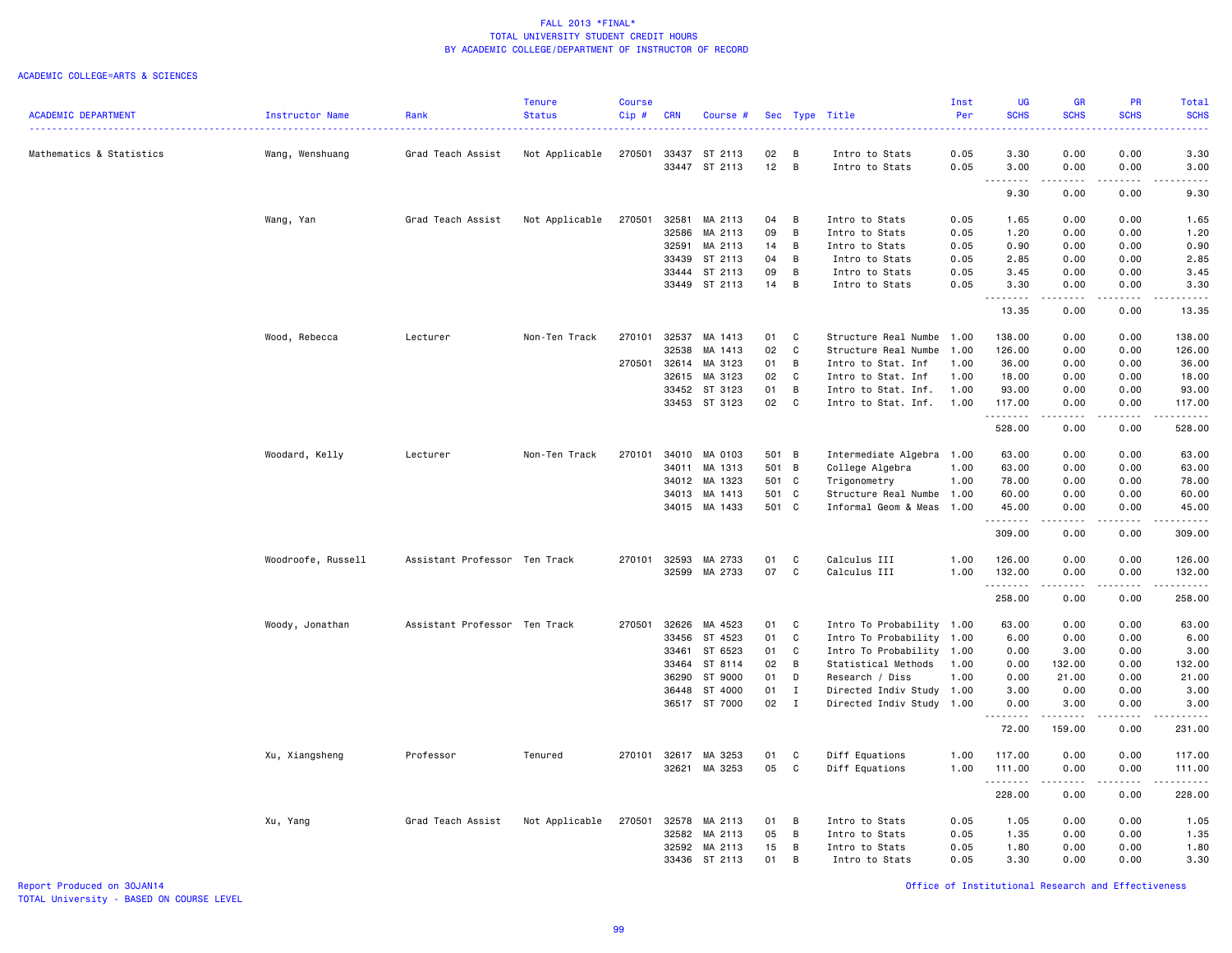### ACADEMIC COLLEGE=ARTS & SCIENCES

|                            |                    |                               | <b>Tenure</b>  | <b>Course</b> |                |                    |          |                |                                              | Inst         | <b>UG</b>                    | <b>GR</b>    | PR                                  | Total                                                                                                                                                                           |
|----------------------------|--------------------|-------------------------------|----------------|---------------|----------------|--------------------|----------|----------------|----------------------------------------------|--------------|------------------------------|--------------|-------------------------------------|---------------------------------------------------------------------------------------------------------------------------------------------------------------------------------|
| <b>ACADEMIC DEPARTMENT</b> | Instructor Name    | Rank                          | <b>Status</b>  | Cip#          | <b>CRN</b>     | Course #           |          |                | Sec Type Title                               | Per          | <b>SCHS</b>                  | <b>SCHS</b>  | <b>SCHS</b>                         | <b>SCHS</b><br>.                                                                                                                                                                |
| Mathematics & Statistics   | Wang, Wenshuang    | Grad Teach Assist             | Not Applicable | 270501        |                | 33437 ST 2113      | 02       | - B            | Intro to Stats                               | 0.05         | 3.30                         | 0.00         | 0.00                                | 3.30                                                                                                                                                                            |
|                            |                    |                               |                |               | 33447          | ST 2113            | 12       | $\overline{B}$ | Intro to Stats                               | 0.05         | 3.00                         | 0.00         | 0.00                                | 3.00                                                                                                                                                                            |
|                            |                    |                               |                |               |                |                    |          |                |                                              |              | .<br>$\sim$ $\sim$ .<br>9.30 | .<br>0.00    | $- - -$<br>0.00                     | .<br>9.30                                                                                                                                                                       |
|                            |                    |                               |                |               |                |                    |          |                |                                              |              |                              |              |                                     |                                                                                                                                                                                 |
|                            | Wang, Yan          | Grad Teach Assist             | Not Applicable | 270501        | 32581          | MA 2113            | 04       | B              | Intro to Stats                               | 0.05         | 1.65                         | 0.00         | 0.00                                | 1.65                                                                                                                                                                            |
|                            |                    |                               |                |               | 32586<br>32591 | MA 2113<br>MA 2113 | 09<br>14 | B<br>B         | Intro to Stats<br>Intro to Stats             | 0.05<br>0.05 | 1.20<br>0.90                 | 0.00<br>0.00 | 0.00<br>0.00                        | 1.20<br>0.90                                                                                                                                                                    |
|                            |                    |                               |                |               | 33439          | ST 2113            | 04       | B              | Intro to Stats                               | 0.05         | 2.85                         | 0.00         | 0.00                                | 2.85                                                                                                                                                                            |
|                            |                    |                               |                |               | 33444          | ST 2113            | 09       | B              | Intro to Stats                               | 0.05         | 3.45                         | 0.00         | 0.00                                | 3.45                                                                                                                                                                            |
|                            |                    |                               |                |               |                | 33449 ST 2113      | 14       | $\overline{B}$ | Intro to Stats                               | 0.05         | 3.30                         | 0.00         | 0.00                                | 3.30                                                                                                                                                                            |
|                            |                    |                               |                |               |                |                    |          |                |                                              |              | <u>.</u><br>13.35            | .<br>0.00    | $\sim$ $\sim$ $\sim$ $\sim$<br>0.00 | $- - - -$<br>13.35                                                                                                                                                              |
|                            |                    |                               |                |               |                |                    |          |                |                                              |              |                              |              |                                     |                                                                                                                                                                                 |
|                            | Wood, Rebecca      | Lecturer                      | Non-Ten Track  | 270101        | 32537<br>32538 | MA 1413<br>MA 1413 | 01<br>02 | C<br>C         | Structure Real Numbe<br>Structure Real Numbe | 1.00<br>1.00 | 138.00<br>126.00             | 0.00<br>0.00 | 0.00<br>0.00                        | 138.00<br>126.00                                                                                                                                                                |
|                            |                    |                               |                | 270501        | 32614          | MA 3123            | 01       | B              | Intro to Stat. Inf                           | 1.00         | 36.00                        | 0.00         | 0.00                                | 36.00                                                                                                                                                                           |
|                            |                    |                               |                |               | 32615          | MA 3123            | 02       | C              | Intro to Stat. Inf                           | 1.00         | 18.00                        | 0.00         | 0.00                                | 18.00                                                                                                                                                                           |
|                            |                    |                               |                |               |                | 33452 ST 3123      | 01       | B              | Intro to Stat. Inf.                          | 1.00         | 93.00                        | 0.00         | 0.00                                | 93.00                                                                                                                                                                           |
|                            |                    |                               |                |               | 33453          | ST 3123            | 02       | C              | Intro to Stat. Inf.                          | 1.00         | 117.00                       | 0.00         | 0.00                                | 117.00                                                                                                                                                                          |
|                            |                    |                               |                |               |                |                    |          |                |                                              |              | <u>.</u>                     | -----        | .                                   | 2.2.2.2.2.2                                                                                                                                                                     |
|                            |                    |                               |                |               |                |                    |          |                |                                              |              | 528.00                       | 0.00         | 0.00                                | 528.00                                                                                                                                                                          |
|                            | Woodard, Kelly     | Lecturer                      | Non-Ten Track  | 270101        | 34010          | MA 0103            | 501 B    |                | Intermediate Algebra 1.00                    |              | 63.00                        | 0.00         | 0.00                                | 63.00                                                                                                                                                                           |
|                            |                    |                               |                |               | 34011          | MA 1313            | 501 B    |                | College Algebra                              | 1.00         | 63.00                        | 0.00         | 0.00                                | 63.00                                                                                                                                                                           |
|                            |                    |                               |                |               | 34012          | MA 1323            | 501 C    |                | Trigonometry                                 | 1.00         | 78.00                        | 0.00         | 0.00                                | 78.00                                                                                                                                                                           |
|                            |                    |                               |                |               | 34013          | MA 1413            | 501 C    |                | Structure Real Numbe 1.00                    |              | 60.00                        | 0.00         | 0.00                                | 60.00                                                                                                                                                                           |
|                            |                    |                               |                |               |                | 34015 MA 1433      | 501 C    |                | Informal Geom & Meas                         | 1.00         | 45.00<br>.                   | 0.00         | 0.00                                | 45.00<br>$\frac{1}{2}$                                                                                                                                                          |
|                            |                    |                               |                |               |                |                    |          |                |                                              |              | 309.00                       | 0.00         | 0.00                                | 309.00                                                                                                                                                                          |
|                            | Woodroofe, Russell | Assistant Professor Ten Track |                | 270101        | 32593          | MA 2733            | 01       | C              | Calculus III                                 | 1.00         | 126.00                       | 0.00         | 0.00                                | 126.00                                                                                                                                                                          |
|                            |                    |                               |                |               | 32599          | MA 2733            | 07       | C              | Calculus III                                 | 1.00         | 132.00                       | 0.00         | 0.00                                | 132.00                                                                                                                                                                          |
|                            |                    |                               |                |               |                |                    |          |                |                                              |              | <u>.</u>                     | -----        | $\sim$ $\sim$ $\sim$                | $\frac{1}{2} \left( \frac{1}{2} \right) \left( \frac{1}{2} \right) \left( \frac{1}{2} \right) \left( \frac{1}{2} \right) \left( \frac{1}{2} \right) \left( \frac{1}{2} \right)$ |
|                            |                    |                               |                |               |                |                    |          |                |                                              |              | 258.00                       | 0.00         | 0.00                                | 258.00                                                                                                                                                                          |
|                            | Woody, Jonathan    | Assistant Professor Ten Track |                | 270501        | 32626          | MA 4523            | 01       | C              | Intro To Probability 1.00                    |              | 63.00                        | 0.00         | 0.00                                | 63.00                                                                                                                                                                           |
|                            |                    |                               |                |               | 33456          | ST 4523            | 01       | C              | Intro To Probability 1.00                    |              | 6.00                         | 0.00         | 0.00                                | 6.00                                                                                                                                                                            |
|                            |                    |                               |                |               | 33461          | ST 6523            | 01       | C              | Intro To Probability 1.00                    |              | 0.00                         | 3.00         | 0.00                                | 3.00                                                                                                                                                                            |
|                            |                    |                               |                |               | 33464          | ST 8114            | 02       | B              | Statistical Methods                          | 1.00         | 0.00                         | 132.00       | 0.00                                | 132.00                                                                                                                                                                          |
|                            |                    |                               |                |               | 36290          | ST 9000            | 01       | D              | Research / Diss                              | 1.00         | 0.00                         | 21.00        | 0.00                                | 21.00                                                                                                                                                                           |
|                            |                    |                               |                |               | 36448          | ST 4000            | 01       | $\mathbf{I}$   | Directed Indiv Study 1.00                    |              | 3.00                         | 0.00         | 0.00                                | 3.00                                                                                                                                                                            |
|                            |                    |                               |                |               |                | 36517 ST 7000      | 02       | $\mathbf{I}$   | Directed Indiv Study 1.00                    |              | 0.00<br>.                    | 3.00<br>.    | 0.00<br>.                           | 3.00<br>.                                                                                                                                                                       |
|                            |                    |                               |                |               |                |                    |          |                |                                              |              | 72.00                        | 159.00       | 0.00                                | 231.00                                                                                                                                                                          |
|                            | Xu, Xiangsheng     | Professor                     | Tenured        | 270101        | 32617          | MA 3253            | 01       | C              | Diff Equations                               | 1.00         | 117.00                       | 0.00         | 0.00                                | 117.00                                                                                                                                                                          |
|                            |                    |                               |                |               | 32621          | MA 3253            | 05       | C              | Diff Equations                               | 1.00         | 111.00<br><u>.</u>           | 0.00<br>.    | 0.00<br>.                           | 111.00<br>.                                                                                                                                                                     |
|                            |                    |                               |                |               |                |                    |          |                |                                              |              | 228.00                       | 0.00         | 0.00                                | 228.00                                                                                                                                                                          |
|                            | Xu, Yang           | Grad Teach Assist             | Not Applicable | 270501        | 32578          | MA 2113            | 01       | B              | Intro to Stats                               | 0.05         | 1.05                         | 0.00         | 0.00                                | 1.05                                                                                                                                                                            |
|                            |                    |                               |                |               | 32582          | MA 2113            | 05       | B              | Intro to Stats                               | 0.05         | 1.35                         | 0.00         | 0.00                                | 1.35                                                                                                                                                                            |
|                            |                    |                               |                |               | 32592          | MA 2113            | 15       | $\overline{B}$ | Intro to Stats                               | 0.05         | 1.80                         | 0.00         | 0.00                                | 1.80                                                                                                                                                                            |
|                            |                    |                               |                |               |                | 33436 ST 2113      | 01       | $\overline{B}$ | Intro to Stats                               | 0.05         | 3.30                         | 0.00         | 0.00                                | 3.30                                                                                                                                                                            |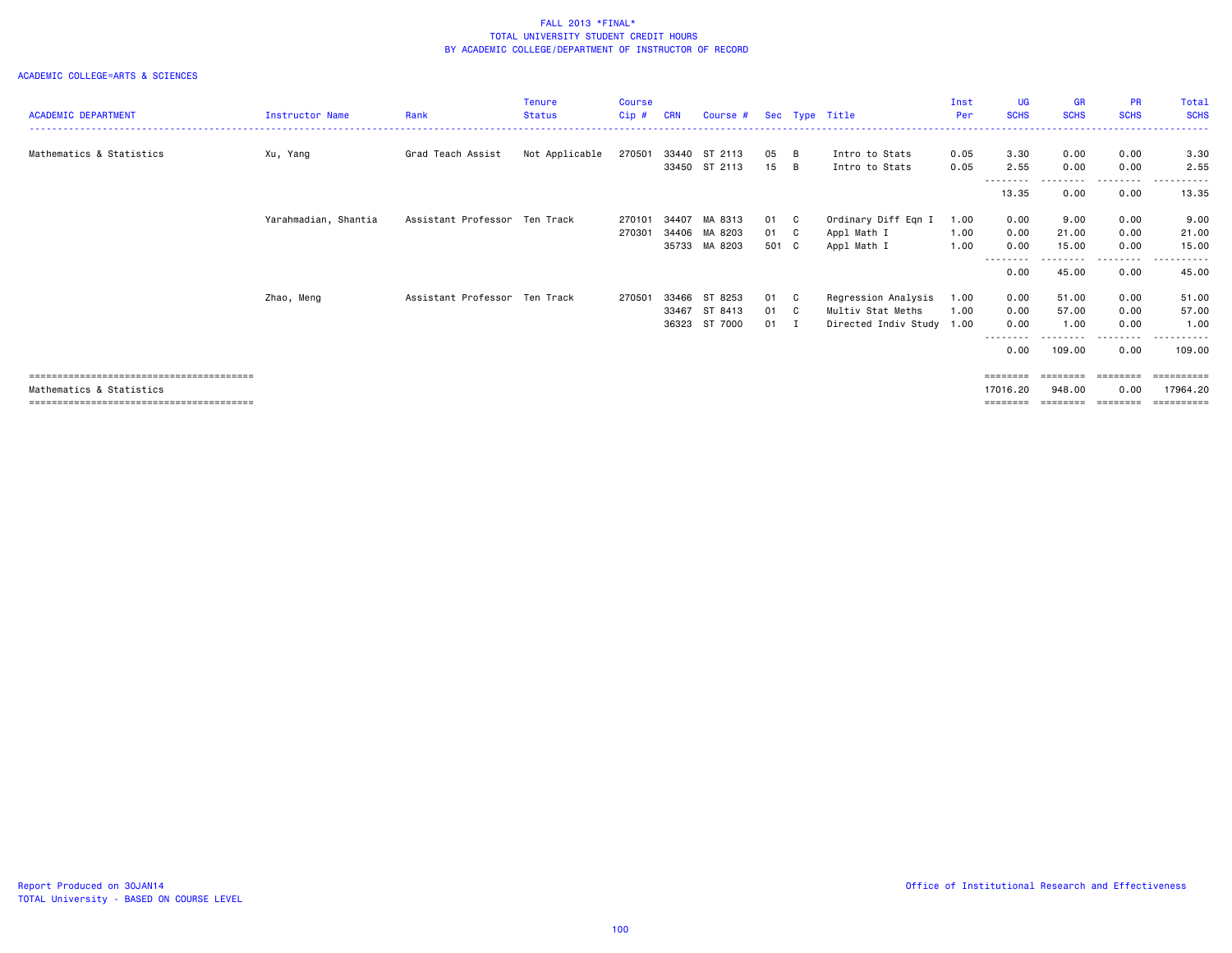|                            |                        |                               | <b>Tenure</b>  | <b>Course</b> |            |               |       |              |                           | Inst | <b>UG</b>                      | <b>GR</b>   | <b>PR</b>        | Total           |
|----------------------------|------------------------|-------------------------------|----------------|---------------|------------|---------------|-------|--------------|---------------------------|------|--------------------------------|-------------|------------------|-----------------|
| <b>ACADEMIC DEPARTMENT</b> | <b>Instructor Name</b> | Rank                          | <b>Status</b>  | $Cip$ #       | <b>CRN</b> | Course #      |       |              | Sec Type Title            | Per  | <b>SCHS</b>                    | <b>SCHS</b> | <b>SCHS</b>      | <b>SCHS</b>     |
|                            |                        |                               |                |               |            |               |       |              |                           |      |                                |             |                  |                 |
| Mathematics & Statistics   | Xu, Yang               | Grad Teach Assist             | Not Applicable | 270501        |            | 33440 ST 2113 | 05    | B            | Intro to Stats            | 0.05 | 3.30                           | 0.00        | 0.00             | 3.30            |
|                            |                        |                               |                |               | 33450      | ST 2113       | 15    | B            | Intro to Stats            | 0.05 | 2.55                           | 0.00        | 0.00             | 2.55            |
|                            |                        |                               |                |               |            |               |       |              |                           |      | --------                       | .           | --------         | .               |
|                            |                        |                               |                |               |            |               |       |              |                           |      | 13.35                          | 0.00        | 0.00             | 13.35           |
|                            | Yarahmadian, Shantia   | Assistant Professor Ten Track |                | 270101        | 34407      | MA 8313       | 01 C  |              | Ordinary Diff Eqn I       | 1.00 | 0.00                           | 9.00        | 0.00             | 9.00            |
|                            |                        |                               |                | 270301        | 34406      | MA 8203       | 01 C  |              | Appl Math I               | 1.00 | 0.00                           | 21.00       | 0.00             | 21.00           |
|                            |                        |                               |                |               | 35733      | MA 8203       | 501 C |              | Appl Math I               | 1.00 | 0.00                           | 15.00       | 0.00             | 15.00           |
|                            |                        |                               |                |               |            |               |       |              |                           |      | - - - - - - - <b>-</b><br>0.00 | 45.00       | <u>.</u><br>0.00 | ------<br>45.00 |
|                            | Zhao, Meng             | Assistant Professor Ten Track |                | 270501        | 33466      | ST 8253       | 01    | $\mathbf{C}$ | Regression Analysis       | 1.00 | 0.00                           | 51.00       | 0.00             | 51.00           |
|                            |                        |                               |                |               | 33467      | ST 8413       | 01 C  |              | Multiv Stat Meths         | 1.00 | 0.00                           | 57.00       | 0.00             | 57.00           |
|                            |                        |                               |                |               | 36323      | ST 7000       | 01 I  |              | Directed Indiv Study 1.00 |      | 0.00                           | 1.00        | 0.00             | 1.00            |
|                            |                        |                               |                |               |            |               |       |              |                           |      | -------<br>0.00                | 109.00      | 0.00             | 109.00          |
|                            |                        |                               |                |               |            |               |       |              |                           |      | ========                       | ========    | ========         | ==========      |
| Mathematics & Statistics   |                        |                               |                |               |            |               |       |              |                           |      | 17016.20                       | 948,00      | 0.00             | 17964,20        |
|                            |                        |                               |                |               |            |               |       |              |                           |      | ========                       | ========    | ========         | ==========      |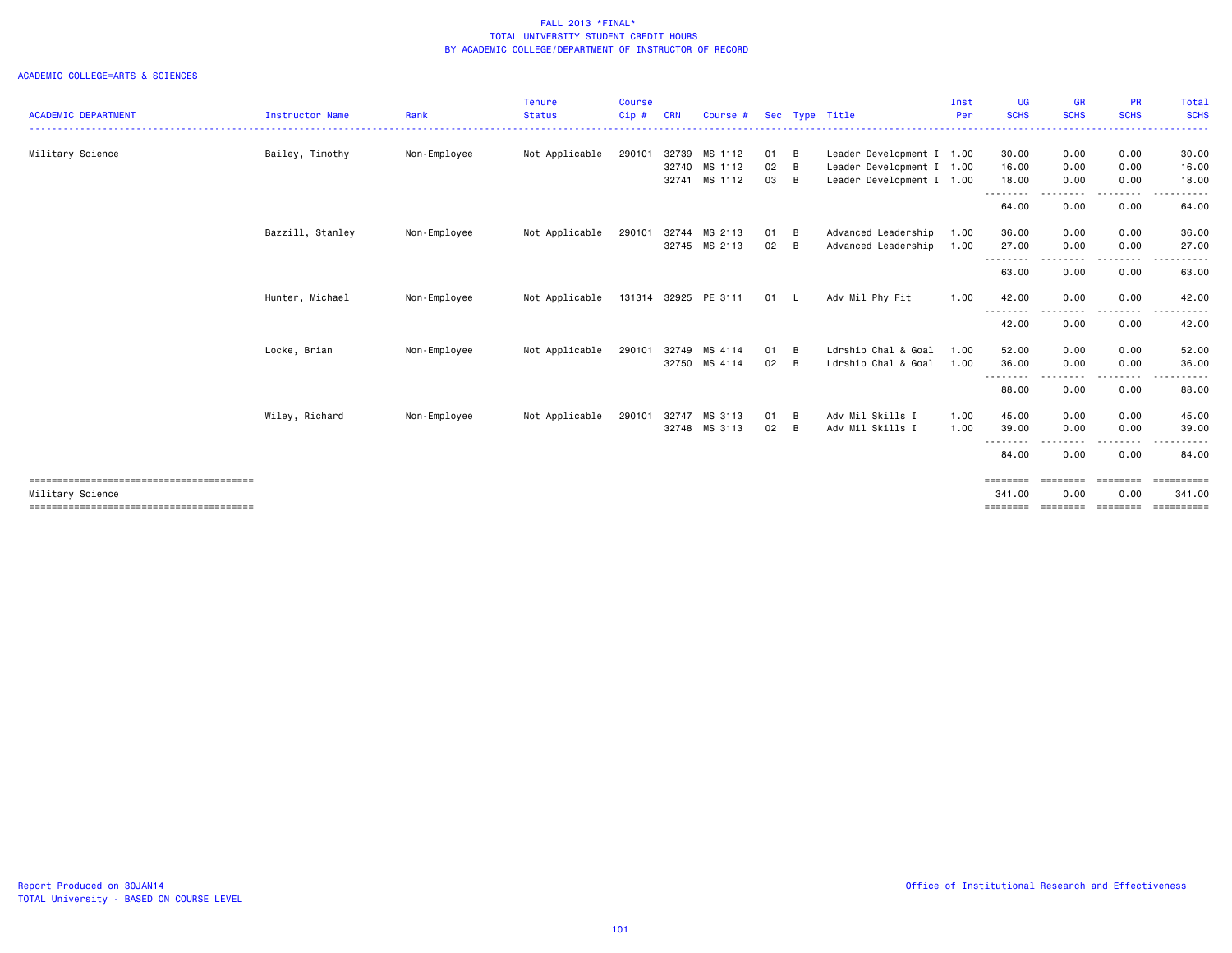|                            |                        |              | Tenure         | <b>Course</b> |            |                      |              |     |                           | Inst | UG                 | <b>GR</b>                                                                                                                         | <b>PR</b>   | Total       |
|----------------------------|------------------------|--------------|----------------|---------------|------------|----------------------|--------------|-----|---------------------------|------|--------------------|-----------------------------------------------------------------------------------------------------------------------------------|-------------|-------------|
| <b>ACADEMIC DEPARTMENT</b> | <b>Instructor Name</b> | Rank         | <b>Status</b>  | $Cip$ #       | <b>CRN</b> | Course #             |              |     | Sec Type Title            | Per  | <b>SCHS</b>        | <b>SCHS</b>                                                                                                                       | <b>SCHS</b> | <b>SCHS</b> |
| Military Science           | Bailey, Timothy        | Non-Employee | Not Applicable | 290101        | 32739      | MS 1112              | 01 B         |     | Leader Development I 1.00 |      | 30.00              | 0.00                                                                                                                              | 0.00        | 30.00       |
|                            |                        |              |                |               |            | 32740 MS 1112        | $02 \quad B$ |     | Leader Development I 1.00 |      | 16.00              | 0.00                                                                                                                              | 0.00        | 16.00       |
|                            |                        |              |                |               | 32741      | MS 1112              | 03 B         |     | Leader Development I 1.00 |      | 18.00              | 0.00                                                                                                                              | 0.00        | 18.00       |
|                            |                        |              |                |               |            |                      |              |     |                           |      | --------<br>64.00  | 0.00                                                                                                                              | 0.00        | 64.00       |
|                            | Bazzill, Stanley       | Non-Employee | Not Applicable | 290101        | 32744      | MS 2113              | 01 B         |     | Advanced Leadership       | 1.00 | 36.00              | 0.00                                                                                                                              | 0.00        | 36.00       |
|                            |                        |              |                |               |            | 32745 MS 2113        | $02 \quad B$ |     | Advanced Leadership       | 1.00 | 27.00<br>--------  | 0.00<br>$\frac{1}{2} \left( \frac{1}{2} \right) \left( \frac{1}{2} \right) \left( \frac{1}{2} \right) \left( \frac{1}{2} \right)$ | 0.00        | 27.00       |
|                            |                        |              |                |               |            |                      |              |     |                           |      | 63.00              | 0.00                                                                                                                              | 0.00        | 63.00       |
|                            | Hunter, Michael        | Non-Employee | Not Applicable |               |            | 131314 32925 PE 3111 | 01 L         |     | Adv Mil Phy Fit           | 1.00 | 42.00              | 0.00                                                                                                                              | 0.00        | 42.00       |
|                            |                        |              |                |               |            |                      |              |     |                           |      | --------<br>42.00  | ----<br>0.00                                                                                                                      | 0.00        | .<br>42.00  |
|                            | Locke, Brian           | Non-Employee | Not Applicable | 290101        |            | 32749 MS 4114        | $01 \quad B$ |     | Ldrship Chal & Goal       | 1.00 | 52.00              | 0.00                                                                                                                              | 0.00        | 52.00       |
|                            |                        |              |                |               |            | 32750 MS 4114        | $02 \quad B$ |     | Ldrship Chal & Goal       | 1.00 | 36.00              | 0.00                                                                                                                              | 0.00        | 36.00       |
|                            |                        |              |                |               |            |                      |              |     |                           |      | ---------<br>88.00 | 0.00                                                                                                                              | 0.00        | 88.00       |
|                            | Wiley, Richard         | Non-Employee | Not Applicable | 290101        | 32747      | MS 3113              | 01           | B   | Adv Mil Skills I          | 1.00 | 45.00              | 0.00                                                                                                                              | 0.00        | 45.00       |
|                            |                        |              |                |               |            | 32748 MS 3113        | 02           | - B | Adv Mil Skills I          | 1.00 | 39.00              | 0.00<br>----                                                                                                                      | 0.00        | 39.00       |
|                            |                        |              |                |               |            |                      |              |     |                           |      | --------<br>84.00  | 0.00                                                                                                                              | 0.00        | 84.00       |
|                            |                        |              |                |               |            |                      |              |     |                           |      | ========           | ========                                                                                                                          | ========    | ==========  |
| Military Science           |                        |              |                |               |            |                      |              |     |                           |      | 341.00             | 0.00                                                                                                                              | 0.00        | 341.00      |
|                            |                        |              |                |               |            |                      |              |     |                           |      | $=$ = = = = = = =  | ========                                                                                                                          | ========    |             |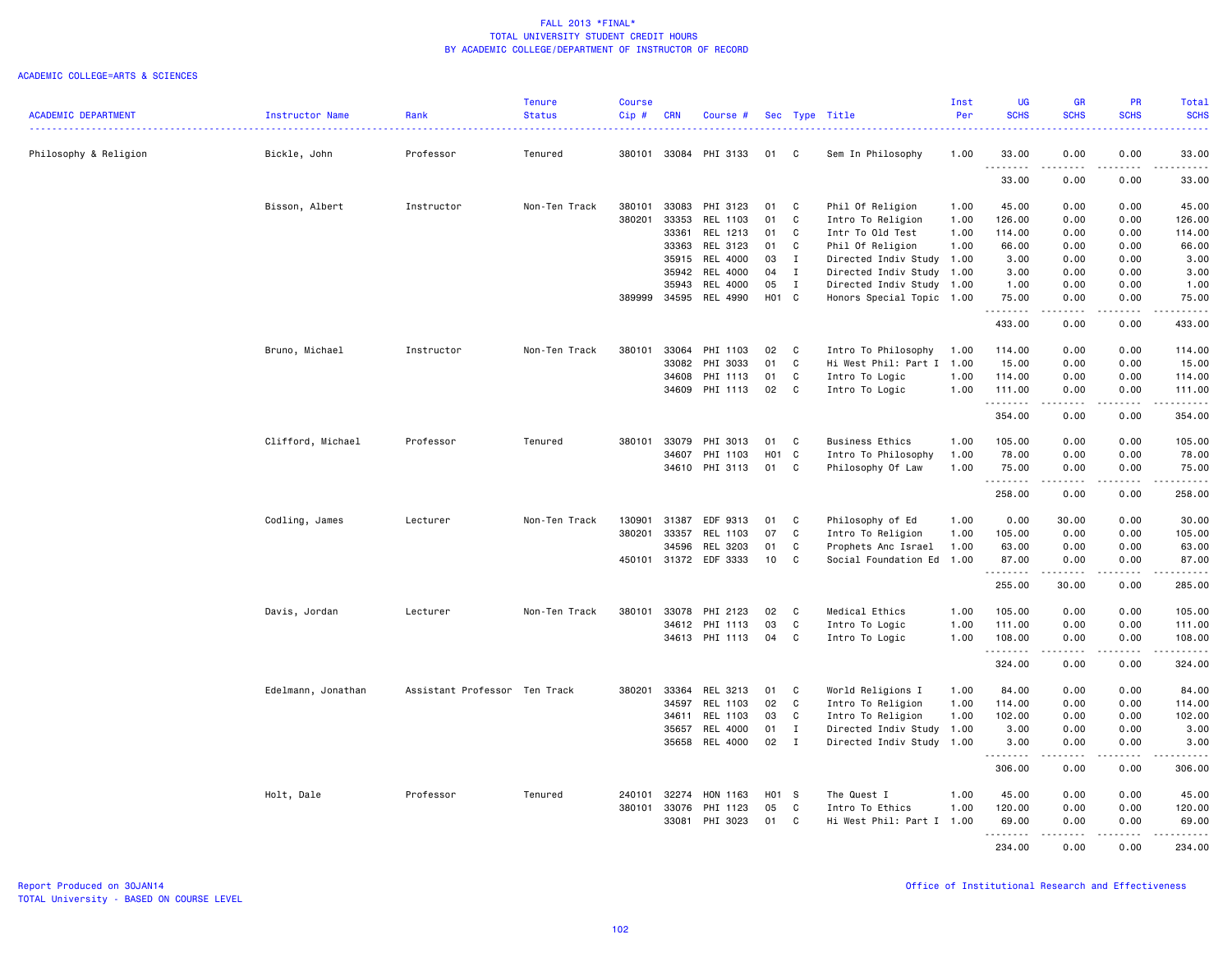|                            |                    |                               | <b>Tenure</b> | <b>Course</b> |              |                 |       |              |                           | Inst | <b>UG</b>              | <b>GR</b>             | PR                                  | Total                                                                                                                 |
|----------------------------|--------------------|-------------------------------|---------------|---------------|--------------|-----------------|-------|--------------|---------------------------|------|------------------------|-----------------------|-------------------------------------|-----------------------------------------------------------------------------------------------------------------------|
| <b>ACADEMIC DEPARTMENT</b> | Instructor Name    | Rank                          | <b>Status</b> | Cip#          | <b>CRN</b>   | Course #        |       |              | Sec Type Title            | Per  | <b>SCHS</b>            | <b>SCHS</b>           | <b>SCHS</b>                         | <b>SCHS</b>                                                                                                           |
| Philosophy & Religion      | Bickle, John       | Professor                     | Tenured       | 380101        | 33084        | PHI 3133        | 01    | C            | Sem In Philosophy         | 1.00 | 33.00                  | 0.00                  | 0.00                                | 33.00                                                                                                                 |
|                            |                    |                               |               |               |              |                 |       |              |                           |      | .<br>33.00             | $\frac{1}{2}$<br>0.00 | $- - - -$<br>0.00                   | .<br>33.00                                                                                                            |
|                            | Bisson, Albert     | Instructor                    | Non-Ten Track | 380101        | 33083        | PHI 3123        | 01    | C            | Phil Of Religion          | 1.00 | 45.00                  | 0.00                  | 0.00                                | 45.00                                                                                                                 |
|                            |                    |                               |               | 380201        | 33353        | REL 1103        | 01    | C            | Intro To Religion         | 1.00 | 126.00                 | 0.00                  | 0.00                                | 126.00                                                                                                                |
|                            |                    |                               |               |               | 33361        | REL 1213        | 01    | C            | Intr To Old Test          | 1.00 | 114.00                 | 0.00                  | 0.00                                | 114.00                                                                                                                |
|                            |                    |                               |               |               | 33363        | REL 3123        | 01    | C            | Phil Of Religion          | 1.00 | 66.00                  | 0.00                  | 0.00                                | 66.00                                                                                                                 |
|                            |                    |                               |               |               | 35915        | REL 4000        | 03    | $\mathbf{I}$ | Directed Indiv Study 1.00 |      | 3.00                   | 0.00                  | 0.00                                | 3.00                                                                                                                  |
|                            |                    |                               |               |               | 35942        | REL 4000        | 04    | $\mathbf{I}$ | Directed Indiv Study 1.00 |      | 3.00                   | 0.00                  | 0.00                                | 3.00                                                                                                                  |
|                            |                    |                               |               |               | 35943        | REL 4000        | 05    | $\mathbf{I}$ | Directed Indiv Study 1.00 |      | 1.00                   | 0.00                  | 0.00                                | 1.00                                                                                                                  |
|                            |                    |                               |               | 389999        | 34595        | REL 4990        | H01 C |              | Honors Special Topic 1.00 |      | 75.00<br>.             | 0.00                  | 0.00<br>$\sim$ $\sim$ $\sim$        | 75.00<br>.                                                                                                            |
|                            |                    |                               |               |               |              |                 |       |              |                           |      | 433.00                 | 0.00                  | 0.00                                | 433.00                                                                                                                |
|                            | Bruno, Michael     | Instructor                    | Non-Ten Track | 380101        | 33064        | PHI 1103        | 02    | C            | Intro To Philosophy       | 1.00 | 114.00                 | 0.00                  | 0.00                                | 114.00                                                                                                                |
|                            |                    |                               |               |               | 33082        | PHI 3033        | 01    | C            | Hi West Phil: Part I 1.00 |      | 15.00                  | 0.00                  | 0.00                                | 15.00                                                                                                                 |
|                            |                    |                               |               |               | 34608        | PHI 1113        | 01    | C            | Intro To Logic            | 1.00 | 114.00                 | 0.00                  | 0.00                                | 114.00                                                                                                                |
|                            |                    |                               |               |               | 34609        | PHI 1113        | 02    | C            | Intro To Logic            | 1.00 | 111.00                 | 0.00                  | 0.00                                | 111.00                                                                                                                |
|                            |                    |                               |               |               |              |                 |       |              |                           |      | .<br>354.00            | -----<br>0.00         | .<br>0.00                           | $\begin{array}{cccccccccc} \bullet & \bullet & \bullet & \bullet & \bullet & \bullet & \bullet \end{array}$<br>354.00 |
|                            |                    |                               |               |               |              |                 |       |              |                           |      |                        |                       |                                     |                                                                                                                       |
|                            | Clifford, Michael  | Professor                     | Tenured       | 380101        | 33079        | PHI 3013        | 01    | C            | <b>Business Ethics</b>    | 1.00 | 105.00                 | 0.00                  | 0.00                                | 105.00                                                                                                                |
|                            |                    |                               |               |               | 34607        | PHI 1103        | H01   | $\mathbf{C}$ | Intro To Philosophy       | 1.00 | 78.00                  | 0.00                  | 0.00                                | 78.00                                                                                                                 |
|                            |                    |                               |               |               |              | 34610 PHI 3113  | 01    | C            | Philosophy Of Law         | 1.00 | 75.00<br>.             | 0.00                  | 0.00<br>$\sim$ $\sim$ $\sim$ $\sim$ | 75.00<br>د د د د د                                                                                                    |
|                            |                    |                               |               |               |              |                 |       |              |                           |      | 258.00                 | 0.00                  | 0.00                                | 258.00                                                                                                                |
|                            | Codling, James     | Lecturer                      | Non-Ten Track | 130901        | 31387        | EDF 9313        | 01    | C            | Philosophy of Ed          | 1.00 | 0.00                   | 30.00                 | 0.00                                | 30.00                                                                                                                 |
|                            |                    |                               |               | 380201        | 33357        | REL 1103        | 07    | C            | Intro To Religion         | 1.00 | 105.00                 | 0.00                  | 0.00                                | 105.00                                                                                                                |
|                            |                    |                               |               |               | 34596        | REL 3203        | 01    | C            | Prophets Anc Israel       | 1.00 | 63.00                  | 0.00                  | 0.00                                | 63.00                                                                                                                 |
|                            |                    |                               |               | 450101        | 31372        | EDF 3333        | 10    | C            | Social Foundation Ed      | 1.00 | 87.00<br>1.1.1.1.1.1.1 | 0.00                  | 0.00                                | 87.00                                                                                                                 |
|                            |                    |                               |               |               |              |                 |       |              |                           |      | 255.00                 | 30.00                 | 0.00                                | .<br>285.00                                                                                                           |
|                            | Davis, Jordan      | Lecturer                      | Non-Ten Track | 380101        | 33078        | PHI 2123        | 02    | C            | Medical Ethics            | 1.00 | 105.00                 | 0.00                  | 0.00                                | 105.00                                                                                                                |
|                            |                    |                               |               |               | 34612        | PHI 1113        | 03    | $\mathtt{C}$ | Intro To Logic            | 1.00 | 111.00                 | 0.00                  | 0.00                                | 111.00                                                                                                                |
|                            |                    |                               |               |               | 34613        | PHI 1113        | 04    | C            | Intro To Logic            | 1.00 | 108.00                 | 0.00                  | 0.00                                | 108.00                                                                                                                |
|                            |                    |                               |               |               |              |                 |       |              |                           |      | .<br>324.00            | .<br>0.00             | .<br>0.00                           | .<br>324.00                                                                                                           |
|                            | Edelmann, Jonathan | Assistant Professor Ten Track |               | 380201        | 33364        | REL 3213        | 01    | C            | World Religions I         | 1.00 | 84.00                  | 0.00                  | 0.00                                | 84.00                                                                                                                 |
|                            |                    |                               |               |               | 34597        | REL 1103        | 02    | C            | Intro To Religion         | 1.00 | 114.00                 | 0.00                  | 0.00                                | 114.00                                                                                                                |
|                            |                    |                               |               |               | 34611        | REL 1103        | 03    | C            | Intro To Religion         | 1.00 | 102.00                 | 0.00                  | 0.00                                | 102.00                                                                                                                |
|                            |                    |                               |               |               | 35657        | <b>REL 4000</b> | 01    | $\mathbf{I}$ | Directed Indiv Study 1.00 |      | 3.00                   | 0.00                  | 0.00                                | 3.00                                                                                                                  |
|                            |                    |                               |               |               | 35658        | REL 4000        | 02    | $\mathbf{I}$ | Directed Indiv Study      | 1.00 | 3.00                   | 0.00                  | 0.00                                | 3.00                                                                                                                  |
|                            |                    |                               |               |               |              |                 |       |              |                           |      | 306.00                 | 0.00                  | 0.00                                | 306.00                                                                                                                |
|                            | Holt, Dale         | Professor                     | Tenured       |               | 240101 32274 | HON 1163        | H01 S |              | The Quest I               | 1.00 | 45.00                  | 0.00                  | 0.00                                | 45.00                                                                                                                 |
|                            |                    |                               |               | 380101        | 33076        | PHI 1123        | 05    | C            | Intro To Ethics           | 1.00 | 120.00                 | 0.00                  | 0.00                                | 120.00                                                                                                                |
|                            |                    |                               |               |               | 33081        | PHI 3023        | 01    | C            | Hi West Phil: Part I 1.00 |      | 69.00                  | 0.00                  | 0.00                                | 69.00                                                                                                                 |
|                            |                    |                               |               |               |              |                 |       |              |                           |      | .                      | $\frac{1}{2}$         | $\frac{1}{2}$                       | .                                                                                                                     |
|                            |                    |                               |               |               |              |                 |       |              |                           |      | 234.00                 | 0.00                  | 0.00                                | 234.00                                                                                                                |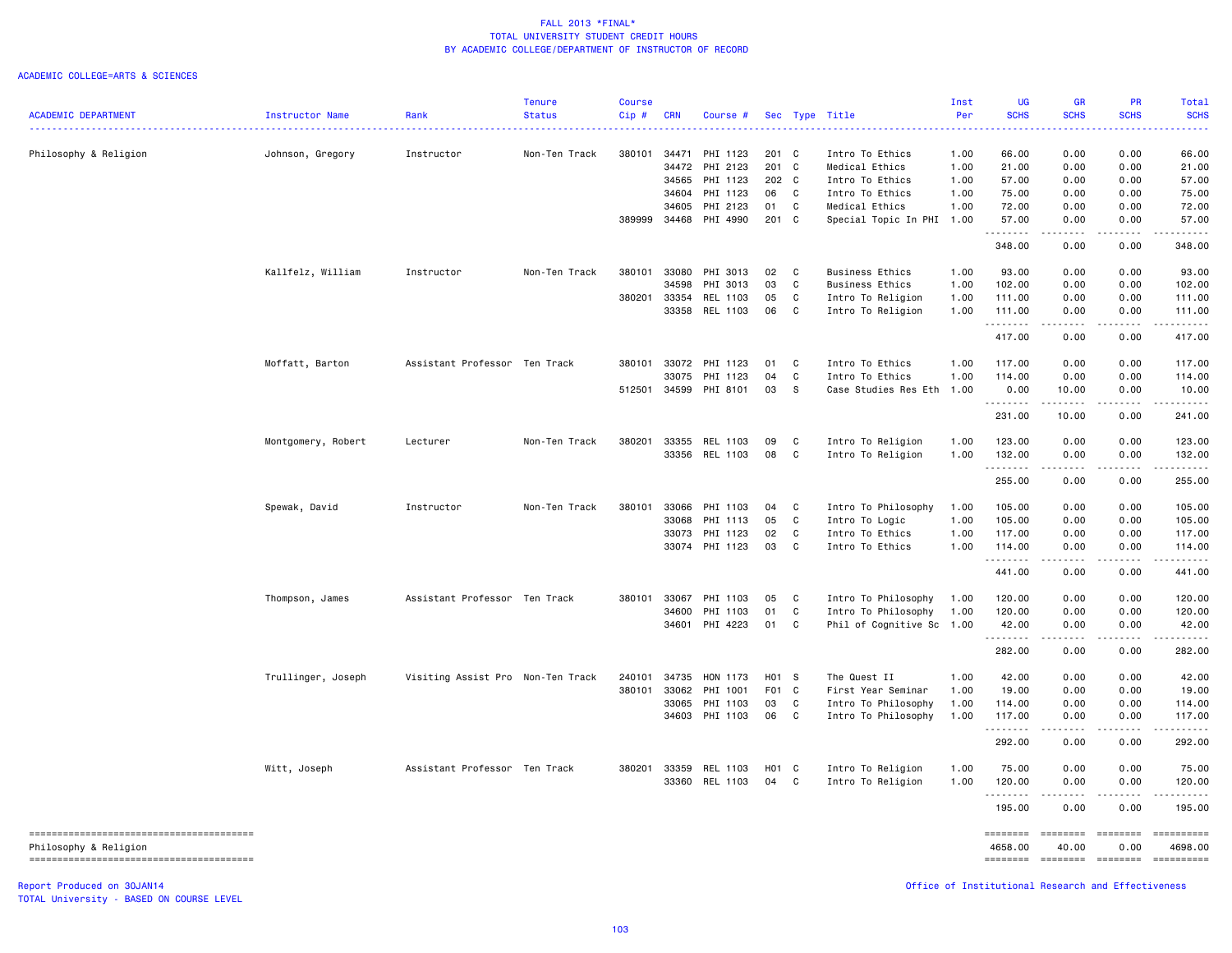#### ACADEMIC COLLEGE=ARTS & SCIENCES

|                            |                    |                                   | <b>Tenure</b> | <b>Course</b> |            |                |          |              |                                        | Inst         | UG          | <b>GR</b>             | PR                                                                                                                                      | <b>Total</b>                                                                                                                                                                                                                                                                                                                                                                                                                                                                              |
|----------------------------|--------------------|-----------------------------------|---------------|---------------|------------|----------------|----------|--------------|----------------------------------------|--------------|-------------|-----------------------|-----------------------------------------------------------------------------------------------------------------------------------------|-------------------------------------------------------------------------------------------------------------------------------------------------------------------------------------------------------------------------------------------------------------------------------------------------------------------------------------------------------------------------------------------------------------------------------------------------------------------------------------------|
| <b>ACADEMIC DEPARTMENT</b> | Instructor Name    | Rank                              | <b>Status</b> | Cip#          | <b>CRN</b> | Course #       |          |              | Sec Type Title                         | Per          | <b>SCHS</b> | <b>SCHS</b>           | <b>SCHS</b>                                                                                                                             | <b>SCHS</b>                                                                                                                                                                                                                                                                                                                                                                                                                                                                               |
|                            |                    |                                   |               | 380101        |            | 34471 PHI 1123 | 201 C    |              | Intro To Ethics                        | 1.00         | 66.00       | 0.00                  | 0.00                                                                                                                                    | 66.00                                                                                                                                                                                                                                                                                                                                                                                                                                                                                     |
| Philosophy & Religion      | Johnson, Gregory   | Instructor                        | Non-Ten Track |               |            | 34472 PHI 2123 | 201 C    |              | Medical Ethics                         | 1.00         | 21.00       | 0.00                  | 0.00                                                                                                                                    | 21.00                                                                                                                                                                                                                                                                                                                                                                                                                                                                                     |
|                            |                    |                                   |               |               |            | 34565 PHI 1123 | 202 C    |              | Intro To Ethics                        | 1.00         | 57.00       | 0.00                  | 0.00                                                                                                                                    | 57.00                                                                                                                                                                                                                                                                                                                                                                                                                                                                                     |
|                            |                    |                                   |               |               |            | 34604 PHI 1123 | 06 C     |              | Intro To Ethics                        | 1.00         | 75.00       | 0.00                  | 0.00                                                                                                                                    | 75.00                                                                                                                                                                                                                                                                                                                                                                                                                                                                                     |
|                            |                    |                                   |               |               |            | 34605 PHI 2123 | 01       | $\mathbf{C}$ | Medical Ethics                         | 1.00         | 72.00       | 0.00                  | 0.00                                                                                                                                    | 72.00                                                                                                                                                                                                                                                                                                                                                                                                                                                                                     |
|                            |                    |                                   |               | 389999        |            | 34468 PHI 4990 | 201 C    |              | Special Topic In PHI                   | 1.00         | 57.00       | 0.00                  | 0.00                                                                                                                                    | 57.00                                                                                                                                                                                                                                                                                                                                                                                                                                                                                     |
|                            |                    |                                   |               |               |            |                |          |              |                                        |              | .<br>348.00 | 0.00                  | 0.00                                                                                                                                    | 348.00                                                                                                                                                                                                                                                                                                                                                                                                                                                                                    |
|                            | Kallfelz, William  | Instructor                        | Non-Ten Track | 380101        |            | 33080 PHI 3013 | 02 C     |              | <b>Business Ethics</b>                 | 1.00         | 93.00       | 0.00                  | 0.00                                                                                                                                    | 93.00                                                                                                                                                                                                                                                                                                                                                                                                                                                                                     |
|                            |                    |                                   |               |               | 34598      | PHI 3013       | 03       | C            | <b>Business Ethics</b>                 | 1.00         | 102.00      | 0.00                  | 0.00                                                                                                                                    | 102.00                                                                                                                                                                                                                                                                                                                                                                                                                                                                                    |
|                            |                    |                                   |               | 380201        |            | 33354 REL 1103 | 05       | C            | Intro To Religion                      | 1.00         | 111.00      | 0.00                  | 0.00                                                                                                                                    | 111.00                                                                                                                                                                                                                                                                                                                                                                                                                                                                                    |
|                            |                    |                                   |               |               |            | 33358 REL 1103 | 06       | $\mathbf{C}$ | Intro To Religion                      | 1.00         | 111.00      | 0.00                  | 0.00                                                                                                                                    | 111.00                                                                                                                                                                                                                                                                                                                                                                                                                                                                                    |
|                            |                    |                                   |               |               |            |                |          |              |                                        |              | .<br>417.00 | .<br>0.00             | المتمامين<br>0.00                                                                                                                       | 417.00                                                                                                                                                                                                                                                                                                                                                                                                                                                                                    |
|                            | Moffatt, Barton    | Assistant Professor Ten Track     |               | 380101        |            | 33072 PHI 1123 | 01 C     |              | Intro To Ethics                        | 1.00         | 117.00      | 0.00                  | 0.00                                                                                                                                    | 117.00                                                                                                                                                                                                                                                                                                                                                                                                                                                                                    |
|                            |                    |                                   |               |               |            | 33075 PHI 1123 | 04       | C            | Intro To Ethics                        | 1.00         | 114.00      | 0.00                  | 0.00                                                                                                                                    | 114.00                                                                                                                                                                                                                                                                                                                                                                                                                                                                                    |
|                            |                    |                                   |               | 512501        |            | 34599 PHI 8101 | 03       | $\mathbf{s}$ | Case Studies Res Eth 1.00              |              | 0.00        | 10.00                 | 0.00                                                                                                                                    | 10.00                                                                                                                                                                                                                                                                                                                                                                                                                                                                                     |
|                            |                    |                                   |               |               |            |                |          |              |                                        |              | .<br>231.00 | 2.2.2.2.2.2<br>10.00  | $\mathcal{L}^{\mathcal{A}}\mathcal{L}^{\mathcal{A}}\mathcal{L}^{\mathcal{A}}\mathcal{L}^{\mathcal{A}}\mathcal{L}^{\mathcal{A}}$<br>0.00 | 241.00                                                                                                                                                                                                                                                                                                                                                                                                                                                                                    |
|                            |                    |                                   | Non-Ten Track | 380201        |            | 33355 REL 1103 |          | C            |                                        |              | 123.00      |                       | 0.00                                                                                                                                    |                                                                                                                                                                                                                                                                                                                                                                                                                                                                                           |
|                            | Montgomery, Robert | Lecturer                          |               |               |            | 33356 REL 1103 | 09<br>08 | $\mathbf{C}$ | Intro To Religion<br>Intro To Religion | 1.00<br>1.00 | 132.00      | 0.00<br>0.00          | 0.00                                                                                                                                    | 123.00<br>132.00                                                                                                                                                                                                                                                                                                                                                                                                                                                                          |
|                            |                    |                                   |               |               |            |                |          |              |                                        |              | .           | .                     | .                                                                                                                                       | . <b>.</b>                                                                                                                                                                                                                                                                                                                                                                                                                                                                                |
|                            |                    |                                   |               |               |            |                |          |              |                                        |              | 255.00      | 0.00                  | 0.00                                                                                                                                    | 255.00                                                                                                                                                                                                                                                                                                                                                                                                                                                                                    |
|                            | Spewak, David      | Instructor                        | Non-Ten Track | 380101        |            | 33066 PHI 1103 | 04 C     |              | Intro To Philosophy                    | 1.00         | 105.00      | 0.00                  | 0.00                                                                                                                                    | 105.00                                                                                                                                                                                                                                                                                                                                                                                                                                                                                    |
|                            |                    |                                   |               |               | 33068      | PHI 1113       | 05       | $\mathbf{C}$ | Intro To Logic                         | 1.00         | 105.00      | 0.00                  | 0.00                                                                                                                                    | 105.00                                                                                                                                                                                                                                                                                                                                                                                                                                                                                    |
|                            |                    |                                   |               |               |            | 33073 PHI 1123 | 02       | $\mathbf{C}$ | Intro To Ethics                        | 1.00         | 117.00      | 0.00                  | 0.00                                                                                                                                    | 117.00                                                                                                                                                                                                                                                                                                                                                                                                                                                                                    |
|                            |                    |                                   |               |               |            | 33074 PHI 1123 | 03       | $\mathbf{C}$ | Intro To Ethics                        | 1.00         | 114.00<br>. | 0.00<br>.             | 0.00<br>$- - - - - -$                                                                                                                   | 114.00                                                                                                                                                                                                                                                                                                                                                                                                                                                                                    |
|                            |                    |                                   |               |               |            |                |          |              |                                        |              | 441.00      | 0.00                  | 0.00                                                                                                                                    | 441.00                                                                                                                                                                                                                                                                                                                                                                                                                                                                                    |
|                            | Thompson, James    | Assistant Professor Ten Track     |               | 380101        |            | 33067 PHI 1103 | 05       | $\mathbf{C}$ | Intro To Philosophy                    | 1.00         | 120.00      | 0.00                  | 0.00                                                                                                                                    | 120.00                                                                                                                                                                                                                                                                                                                                                                                                                                                                                    |
|                            |                    |                                   |               |               |            | 34600 PHI 1103 | 01       | $\mathbf{C}$ | Intro To Philosophy                    | 1.00         | 120.00      | 0.00                  | 0.00                                                                                                                                    | 120.00                                                                                                                                                                                                                                                                                                                                                                                                                                                                                    |
|                            |                    |                                   |               |               |            | 34601 PHI 4223 | 01 C     |              | Phil of Cognitive Sc 1.00              |              | 42.00       | 0.00                  | 0.00                                                                                                                                    | 42.00                                                                                                                                                                                                                                                                                                                                                                                                                                                                                     |
|                            |                    |                                   |               |               |            |                |          |              |                                        |              | .<br>282.00 | الأمالات الما<br>0.00 | المتمامين<br>0.00                                                                                                                       | 282.00                                                                                                                                                                                                                                                                                                                                                                                                                                                                                    |
|                            | Trullinger, Joseph | Visiting Assist Pro Non-Ten Track |               | 240101        | 34735      | HON 1173       | H01 S    |              | The Quest II                           | 1.00         | 42.00       | 0.00                  | 0.00                                                                                                                                    | 42.00                                                                                                                                                                                                                                                                                                                                                                                                                                                                                     |
|                            |                    |                                   |               | 380101        |            | 33062 PHI 1001 | F01 C    |              | First Year Seminar                     | 1.00         | 19.00       | 0.00                  | 0.00                                                                                                                                    | 19.00                                                                                                                                                                                                                                                                                                                                                                                                                                                                                     |
|                            |                    |                                   |               |               |            | 33065 PHI 1103 | 03       | $\mathbf{C}$ | Intro To Philosophy                    | 1.00         | 114.00      | 0.00                  | 0.00                                                                                                                                    | 114.00                                                                                                                                                                                                                                                                                                                                                                                                                                                                                    |
|                            |                    |                                   |               |               |            | 34603 PHI 1103 | 06       | $\mathbf{C}$ | Intro To Philosophy                    | 1.00         | 117.00      | 0.00                  | 0.00                                                                                                                                    | 117.00                                                                                                                                                                                                                                                                                                                                                                                                                                                                                    |
|                            |                    |                                   |               |               |            |                |          |              |                                        |              | .<br>292.00 | .<br>0.00             | .<br>0.00                                                                                                                               | 292.00                                                                                                                                                                                                                                                                                                                                                                                                                                                                                    |
|                            | Witt, Joseph       | Assistant Professor Ten Track     |               | 380201        |            | 33359 REL 1103 | H01 C    |              | Intro To Religion                      | 1.00         | 75.00       | 0.00                  | 0.00                                                                                                                                    | 75.00                                                                                                                                                                                                                                                                                                                                                                                                                                                                                     |
|                            |                    |                                   |               |               |            | 33360 REL 1103 | 04       | $\mathbf{C}$ | Intro To Religion                      | 1.00         | 120.00      | 0.00                  | 0.00                                                                                                                                    | 120.00                                                                                                                                                                                                                                                                                                                                                                                                                                                                                    |
|                            |                    |                                   |               |               |            |                |          |              |                                        |              | .<br>195.00 | المتمامين<br>0.00     | $\mathcal{L}^{\mathcal{A}}\mathcal{L}^{\mathcal{A}}\mathcal{L}^{\mathcal{A}}\mathcal{L}^{\mathcal{A}}\mathcal{L}^{\mathcal{A}}$<br>0.00 | .<br>195.00                                                                                                                                                                                                                                                                                                                                                                                                                                                                               |
|                            |                    |                                   |               |               |            |                |          |              |                                        |              | ========    |                       | <b>ESSESSE</b>                                                                                                                          | $\begin{minipage}{0.03\linewidth} \begin{tabular}{l} \multicolumn{2}{l}{} & \multicolumn{2}{l}{} & \multicolumn{2}{l}{} \\ \multicolumn{2}{l}{} & \multicolumn{2}{l}{} & \multicolumn{2}{l}{} \\ \multicolumn{2}{l}{} & \multicolumn{2}{l}{} & \multicolumn{2}{l}{} \\ \multicolumn{2}{l}{} & \multicolumn{2}{l}{} & \multicolumn{2}{l}{} \\ \multicolumn{2}{l}{} & \multicolumn{2}{l}{} & \multicolumn{2}{l}{} \\ \multicolumn{2}{l}{} & \multicolumn{2}{l}{} & \multicolumn{2}{l}{} \\$ |
| Philosophy & Religion      |                    |                                   |               |               |            |                |          |              |                                        |              | 4658.00     | 40.00                 | 0.00                                                                                                                                    | 4698.00                                                                                                                                                                                                                                                                                                                                                                                                                                                                                   |
|                            |                    |                                   |               |               |            |                |          |              |                                        |              |             |                       |                                                                                                                                         | -------- ------- -------- ---------                                                                                                                                                                                                                                                                                                                                                                                                                                                       |
|                            |                    |                                   |               |               |            |                |          |              |                                        |              |             |                       |                                                                                                                                         |                                                                                                                                                                                                                                                                                                                                                                                                                                                                                           |

TOTAL University - BASED ON COURSE LEVEL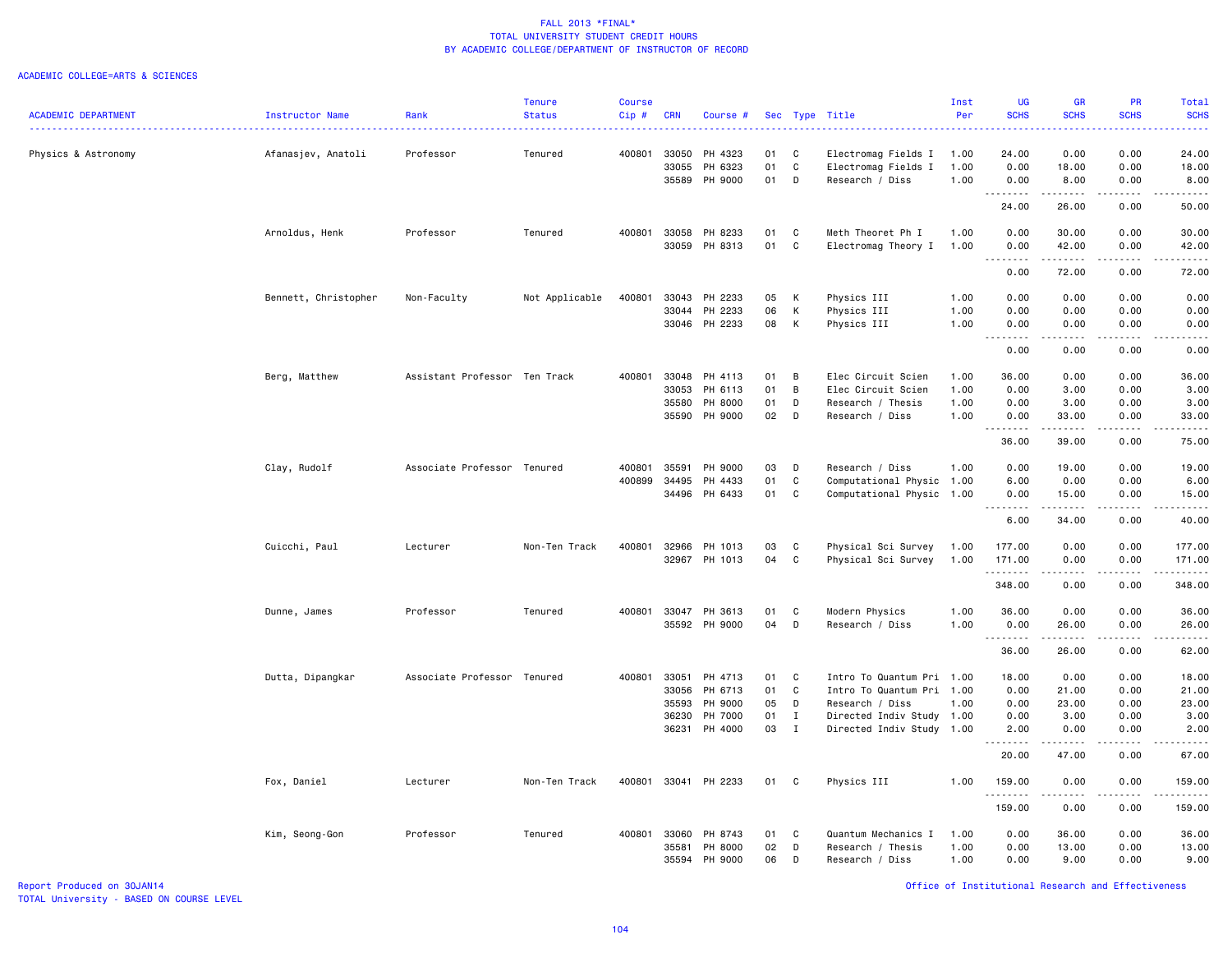#### ACADEMIC COLLEGE=ARTS & SCIENCES

|                            |                      |                               | <b>Tenure</b>  | Course       |            |                      |    |              |                           | Inst | <b>UG</b>   | GR            | PR                           | Total                                                                                                                                                        |
|----------------------------|----------------------|-------------------------------|----------------|--------------|------------|----------------------|----|--------------|---------------------------|------|-------------|---------------|------------------------------|--------------------------------------------------------------------------------------------------------------------------------------------------------------|
| <b>ACADEMIC DEPARTMENT</b> | Instructor Name      | Rank                          | <b>Status</b>  | Cip#         | <b>CRN</b> | Course #             |    |              | Sec Type Title            | Per  | <b>SCHS</b> | <b>SCHS</b>   | <b>SCHS</b>                  | <b>SCHS</b>                                                                                                                                                  |
|                            |                      |                               |                |              |            |                      |    |              |                           |      |             |               |                              | والمستناب                                                                                                                                                    |
| Physics & Astronomy        | Afanasjev, Anatoli   | Professor                     | Tenured        | 400801       | 33050      | PH 4323              | 01 | C            | Electromag Fields I       | 1.00 | 24.00       | 0.00          | 0.00                         | 24.00                                                                                                                                                        |
|                            |                      |                               |                |              | 33055      | PH 6323              | 01 | C            | Electromag Fields I       | 1.00 | 0.00        | 18.00         | 0.00                         | 18.00                                                                                                                                                        |
|                            |                      |                               |                |              | 35589      | PH 9000              | 01 | D            | Research / Diss           | 1.00 | 0.00        | 8.00          | 0.00                         | 8.00                                                                                                                                                         |
|                            |                      |                               |                |              |            |                      |    |              |                           |      | .           | .             | .                            | .                                                                                                                                                            |
|                            |                      |                               |                |              |            |                      |    |              |                           |      | 24.00       | 26.00         | 0.00                         | 50.00                                                                                                                                                        |
|                            | Arnoldus, Henk       | Professor                     | Tenured        | 400801       | 33058      | PH 8233              | 01 | C            | Meth Theoret Ph I         | 1.00 | 0.00        | 30.00         | 0.00                         | 30.00                                                                                                                                                        |
|                            |                      |                               |                |              | 33059      | PH 8313              | 01 | C            | Electromag Theory I       | 1.00 | 0.00        | 42.00         | 0.00                         | 42.00                                                                                                                                                        |
|                            |                      |                               |                |              |            |                      |    |              |                           |      | .<br>0.00   | .<br>72.00    | .<br>0.00                    | .<br>72.00                                                                                                                                                   |
|                            |                      |                               |                |              |            |                      |    |              |                           |      |             |               |                              |                                                                                                                                                              |
|                            | Bennett, Christopher | Non-Faculty                   | Not Applicable | 400801       | 33043      | PH 2233              | 05 | K            | Physics III               | 1.00 | 0.00        | 0.00          | 0.00                         | 0.00                                                                                                                                                         |
|                            |                      |                               |                |              | 33044      | PH 2233              | 06 | к            | Physics III               | 1.00 | 0.00        | 0.00          | 0.00                         | 0.00                                                                                                                                                         |
|                            |                      |                               |                |              | 33046      | PH 2233              | 08 | к            | Physics III               | 1.00 | 0.00<br>.   | 0.00<br>.     | 0.00<br>.                    | 0.00<br>22222                                                                                                                                                |
|                            |                      |                               |                |              |            |                      |    |              |                           |      | 0.00        | 0.00          | 0.00                         | 0.00                                                                                                                                                         |
|                            | Berg, Matthew        | Assistant Professor Ten Track |                | 400801       | 33048      | PH 4113              | 01 | B            | Elec Circuit Scien        | 1.00 | 36.00       | 0.00          | 0.00                         | 36.00                                                                                                                                                        |
|                            |                      |                               |                |              | 33053      | PH 6113              | 01 | B            | Elec Circuit Scien        | 1.00 | 0.00        | 3.00          | 0.00                         | 3.00                                                                                                                                                         |
|                            |                      |                               |                |              | 35580      | PH 8000              | 01 | D            | Research / Thesis         | 1.00 | 0.00        | 3.00          | 0.00                         | 3.00                                                                                                                                                         |
|                            |                      |                               |                |              | 35590      | PH 9000              | 02 | D            | Research / Diss           | 1.00 | 0.00        | 33.00         | 0.00                         | 33.00                                                                                                                                                        |
|                            |                      |                               |                |              |            |                      |    |              |                           |      | .           | $\frac{1}{2}$ | .                            | .                                                                                                                                                            |
|                            |                      |                               |                |              |            |                      |    |              |                           |      | 36.00       | 39.00         | 0.00                         | 75.00                                                                                                                                                        |
|                            | Clay, Rudolf         | Associate Professor Tenured   |                | 400801       | 35591      | PH 9000              | 03 | D            | Research / Diss           | 1.00 | 0.00        | 19.00         | 0.00                         | 19.00                                                                                                                                                        |
|                            |                      |                               |                | 400899       | 34495      | PH 4433              | 01 | C            | Computational Physic 1.00 |      | 6.00        | 0.00          | 0.00                         | 6.00                                                                                                                                                         |
|                            |                      |                               |                |              | 34496      | PH 6433              | 01 | C            | Computational Physic 1.00 |      | 0.00<br>.   | 15.00<br>.    | 0.00<br>.                    | 15.00<br>.                                                                                                                                                   |
|                            |                      |                               |                |              |            |                      |    |              |                           |      | 6.00        | 34.00         | 0.00                         | 40.00                                                                                                                                                        |
|                            | Cuicchi, Paul        | Lecturer                      | Non-Ten Track  | 400801       | 32966      | PH 1013              | 03 | C            | Physical Sci Survey       | 1.00 | 177.00      | 0.00          | 0.00                         | 177.00                                                                                                                                                       |
|                            |                      |                               |                |              | 32967      | PH 1013              | 04 | C            | Physical Sci Survey       | 1.00 | 171.00      | 0.00          | 0.00                         | 171.00                                                                                                                                                       |
|                            |                      |                               |                |              |            |                      |    |              |                           |      | .           | $- - - - -$   | .                            | <u>.</u>                                                                                                                                                     |
|                            |                      |                               |                |              |            |                      |    |              |                           |      | 348.00      | 0.00          | 0.00                         | 348.00                                                                                                                                                       |
|                            | Dunne, James         | Professor                     | Tenured        | 400801       | 33047      | PH 3613              | 01 | C            | Modern Physics            | 1.00 | 36.00       | 0.00          | 0.00                         | 36.00                                                                                                                                                        |
|                            |                      |                               |                |              |            | 35592 PH 9000        | 04 | D            | Research / Diss           | 1.00 | 0.00        | 26.00         | 0.00                         | 26.00                                                                                                                                                        |
|                            |                      |                               |                |              |            |                      |    |              |                           |      | .<br>36.00  | .<br>26.00    | د د د د<br>0.00              | .<br>62.00                                                                                                                                                   |
|                            |                      |                               |                |              |            |                      |    |              |                           |      |             |               |                              |                                                                                                                                                              |
|                            | Dutta, Dipangkar     | Associate Professor Tenured   |                | 400801       | 33051      | PH 4713              | 01 | C            | Intro To Quantum Pri 1.00 |      | 18.00       | 0.00          | 0.00                         | 18.00                                                                                                                                                        |
|                            |                      |                               |                |              | 33056      | PH 6713              | 01 | C            | Intro To Quantum Pri 1.00 |      | 0.00        | 21.00         | 0.00                         | 21.00                                                                                                                                                        |
|                            |                      |                               |                |              | 35593      | PH 9000              | 05 | D            | Research / Diss           | 1.00 | 0.00        | 23.00         | 0.00                         | 23.00                                                                                                                                                        |
|                            |                      |                               |                |              | 36230      | PH 7000              | 01 | $\mathbf{I}$ | Directed Indiv Study 1.00 |      | 0.00        | 3.00          | 0.00                         | 3.00                                                                                                                                                         |
|                            |                      |                               |                |              | 36231      | PH 4000              | 03 | $\mathbf{I}$ | Directed Indiv Study 1.00 |      | 2.00<br>.   | 0.00          | 0.00<br>$\sim$ $\sim$ $\sim$ | 2.00<br>$\frac{1}{2} \left( \frac{1}{2} \right) \left( \frac{1}{2} \right) \left( \frac{1}{2} \right) \left( \frac{1}{2} \right) \left( \frac{1}{2} \right)$ |
|                            |                      |                               |                |              |            |                      |    |              |                           |      | 20.00       | 47.00         | 0.00                         | 67.00                                                                                                                                                        |
|                            | Fox, Daniel          | Lecturer                      | Non-Ten Track  |              |            | 400801 33041 PH 2233 | 01 | C            | Physics III               | 1.00 | 159.00<br>. | 0.00<br>.     | 0.00<br>.                    | 159.00<br>.                                                                                                                                                  |
|                            |                      |                               |                |              |            |                      |    |              |                           |      | 159.00      | 0.00          | 0.00                         | 159.00                                                                                                                                                       |
|                            | Kim, Seong-Gon       | Professor                     | Tenured        | 400801 33060 |            | PH 8743              | 01 | C            | Quantum Mechanics I       | 1.00 | 0.00        | 36.00         | 0.00                         | 36.00                                                                                                                                                        |
|                            |                      |                               |                |              | 35581      | PH 8000              | 02 | D            | Research / Thesis         | 1.00 | 0.00        | 13.00         | 0.00                         | 13.00                                                                                                                                                        |
|                            |                      |                               |                |              | 35594      | PH 9000              | 06 | D            | Research / Diss           | 1.00 | 0.00        | 9.00          | 0.00                         | 9.00                                                                                                                                                         |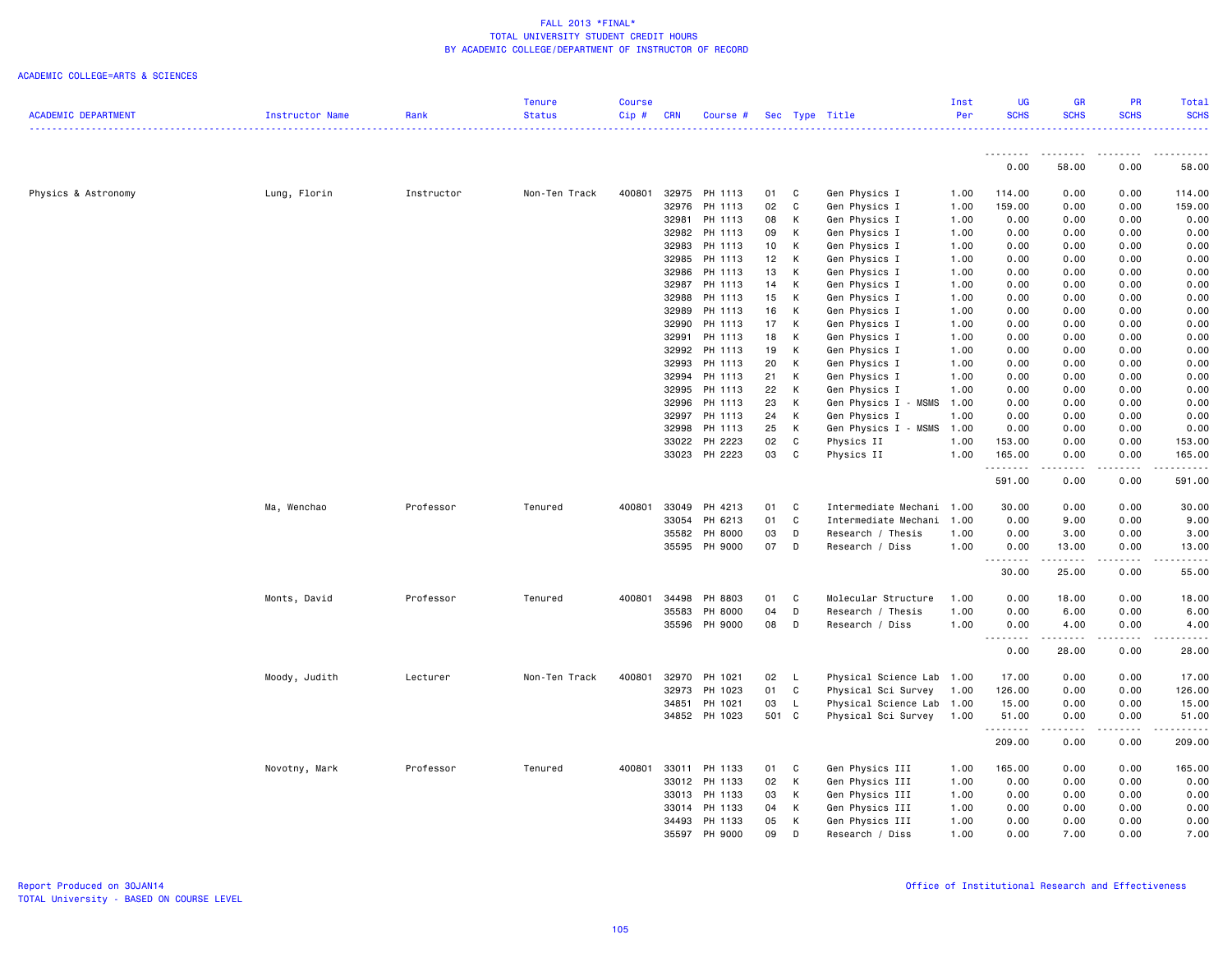|                            |                 |            | <b>Tenure</b> | Course  |            |                    |          |              |                                                   | Inst | <b>UG</b>     | <b>GR</b>    | PR                                                                                                                        | Total                                                                                                       |
|----------------------------|-----------------|------------|---------------|---------|------------|--------------------|----------|--------------|---------------------------------------------------|------|---------------|--------------|---------------------------------------------------------------------------------------------------------------------------|-------------------------------------------------------------------------------------------------------------|
| <b>ACADEMIC DEPARTMENT</b> | Instructor Name | Rank       | <b>Status</b> | $Cip$ # | <b>CRN</b> | Course #           |          |              | Sec Type Title                                    | Per  | <b>SCHS</b>   | <b>SCHS</b>  | <b>SCHS</b>                                                                                                               | <b>SCHS</b>                                                                                                 |
|                            |                 |            |               |         |            |                    |          |              |                                                   |      |               |              |                                                                                                                           | ----------------                                                                                            |
|                            |                 |            |               |         |            |                    |          |              |                                                   |      | <u>.</u>      |              | .                                                                                                                         | .                                                                                                           |
|                            |                 |            |               |         |            |                    |          |              |                                                   |      | 0.00          | 58.00        | 0.00                                                                                                                      | 58.00                                                                                                       |
|                            |                 |            |               |         |            |                    |          |              |                                                   |      |               |              |                                                                                                                           |                                                                                                             |
| Physics & Astronomy        | Lung, Florin    | Instructor | Non-Ten Track | 400801  | 32975      | PH 1113            | 01       | C            | Gen Physics I                                     | 1.00 | 114.00        | 0.00         | 0.00                                                                                                                      | 114.00                                                                                                      |
|                            |                 |            |               |         | 32976      | PH 1113            | 02       | C            | Gen Physics I                                     | 1.00 | 159.00        | 0.00         | 0.00                                                                                                                      | 159.00                                                                                                      |
|                            |                 |            |               |         | 32981      | PH 1113            | 08       | К            | Gen Physics I                                     | 1.00 | 0.00          | 0.00         | 0.00                                                                                                                      | 0.00                                                                                                        |
|                            |                 |            |               |         | 32982      | PH 1113            | 09       | К            | Gen Physics I                                     | 1.00 | 0.00          | 0.00         | 0.00                                                                                                                      | 0.00                                                                                                        |
|                            |                 |            |               |         | 32983      | PH 1113            | 10       | К            | Gen Physics I                                     | 1.00 | 0.00          | 0.00         | 0.00                                                                                                                      | 0.00                                                                                                        |
|                            |                 |            |               |         | 32985      | PH 1113            | 12       | Κ            | Gen Physics I                                     | 1.00 | 0.00          | 0.00         | 0.00                                                                                                                      | 0.00                                                                                                        |
|                            |                 |            |               |         | 32986      | PH 1113            | 13       | К            | Gen Physics I                                     | 1.00 | 0.00          | 0.00         | 0.00                                                                                                                      | 0.00                                                                                                        |
|                            |                 |            |               |         | 32987      | PH 1113            | 14       | К            | Gen Physics I                                     | 1.00 | 0.00          | 0.00         | 0.00                                                                                                                      | 0.00                                                                                                        |
|                            |                 |            |               |         | 32988      | PH 1113            | 15       | К            | Gen Physics I                                     | 1.00 | 0.00          | 0.00         | 0.00                                                                                                                      | 0.00                                                                                                        |
|                            |                 |            |               |         | 32989      | PH 1113            | 16       | К            | Gen Physics I                                     | 1.00 | 0.00          | 0.00         | 0.00                                                                                                                      | 0.00                                                                                                        |
|                            |                 |            |               |         | 32990      | PH 1113            | 17       | К            | Gen Physics I                                     | 1.00 | 0.00          | 0.00         | 0.00                                                                                                                      | 0.00                                                                                                        |
|                            |                 |            |               |         | 32991      | PH 1113            | 18       | К            | Gen Physics I                                     | 1.00 | 0.00          | 0.00         | 0.00                                                                                                                      | 0.00                                                                                                        |
|                            |                 |            |               |         | 32992      | PH 1113            | 19       | К            | Gen Physics I                                     | 1.00 | 0.00          | 0.00         | 0.00                                                                                                                      | 0.00                                                                                                        |
|                            |                 |            |               |         | 32993      | PH 1113            | 20       | Κ            | Gen Physics I                                     | 1.00 | 0.00          | 0.00         | 0.00                                                                                                                      | 0.00                                                                                                        |
|                            |                 |            |               |         | 32994      | PH 1113            | 21       | К            | Gen Physics I                                     | 1.00 | 0.00          | 0.00         | 0.00                                                                                                                      | 0.00                                                                                                        |
|                            |                 |            |               |         | 32995      | PH 1113            | 22       | К            | Gen Physics I                                     | 1.00 | 0.00          | 0.00         | 0.00                                                                                                                      | 0.00                                                                                                        |
|                            |                 |            |               |         | 32996      | PH 1113            | 23       | К            | Gen Physics I - MSMS                              | 1.00 | 0.00          | 0.00         | 0.00                                                                                                                      | 0.00                                                                                                        |
|                            |                 |            |               |         | 32997      | PH 1113            | 24       | К            | Gen Physics I                                     | 1.00 | 0.00          | 0.00         | 0.00                                                                                                                      | 0.00                                                                                                        |
|                            |                 |            |               |         | 32998      | PH 1113            | 25       | Κ            | Gen Physics I - MSMS                              | 1.00 | 0.00          | 0.00         | 0.00                                                                                                                      | 0.00                                                                                                        |
|                            |                 |            |               |         | 33022      | PH 2223            | 02       | $\mathbf c$  | Physics II                                        | 1.00 | 153.00        | 0.00         | 0.00                                                                                                                      | 153.00                                                                                                      |
|                            |                 |            |               |         | 33023      | PH 2223            | 03       | C            | Physics II                                        | 1.00 | 165.00        | 0.00         | 0.00                                                                                                                      | 165.00                                                                                                      |
|                            |                 |            |               |         |            |                    |          |              |                                                   |      | .             |              | $\sim$ $\sim$ $\sim$ $\sim$                                                                                               | $\begin{array}{cccccccccc} \bullet & \bullet & \bullet & \bullet & \bullet & \bullet & \bullet \end{array}$ |
|                            |                 |            |               |         |            |                    |          |              |                                                   |      | 591.00        | 0.00         | 0.00                                                                                                                      | 591.00                                                                                                      |
|                            |                 |            |               | 400801  | 33049      |                    |          | C            |                                                   |      |               |              | 0.00                                                                                                                      |                                                                                                             |
|                            | Ma, Wenchao     | Professor  | Tenured       |         | 33054      | PH 4213<br>PH 6213 | 01<br>01 | C            | Intermediate Mechani 1.00<br>Intermediate Mechani | 1.00 | 30.00<br>0.00 | 0.00<br>9.00 | 0.00                                                                                                                      | 30.00<br>9.00                                                                                               |
|                            |                 |            |               |         | 35582      | PH 8000            | 03       | D            | Research / Thesis                                 | 1.00 | 0.00          | 3.00         | 0.00                                                                                                                      | 3.00                                                                                                        |
|                            |                 |            |               |         |            | 35595 PH 9000      | 07       | D            | Research / Diss                                   | 1.00 | 0.00          | 13.00        | 0.00                                                                                                                      | 13.00                                                                                                       |
|                            |                 |            |               |         |            |                    |          |              |                                                   |      | .             | .            | .                                                                                                                         | .                                                                                                           |
|                            |                 |            |               |         |            |                    |          |              |                                                   |      | 30.00         | 25.00        | 0.00                                                                                                                      | 55.00                                                                                                       |
|                            |                 |            |               |         |            |                    |          |              |                                                   |      |               |              |                                                                                                                           |                                                                                                             |
|                            | Monts, David    | Professor  | Tenured       | 400801  | 34498      | PH 8803            | 01       | C            | Molecular Structure                               | 1.00 | 0.00          | 18.00        | 0.00                                                                                                                      | 18.00                                                                                                       |
|                            |                 |            |               |         | 35583      | PH 8000            | 04       | D            | Research / Thesis                                 | 1.00 | 0.00          | 6.00         | 0.00                                                                                                                      | 6.00                                                                                                        |
|                            |                 |            |               |         | 35596      | PH 9000            | 08       | D            | Research / Diss                                   | 1.00 | 0.00          | 4.00         | 0.00                                                                                                                      | 4.00                                                                                                        |
|                            |                 |            |               |         |            |                    |          |              |                                                   |      | . <b>.</b>    | د د د د د د  | .                                                                                                                         | .                                                                                                           |
|                            |                 |            |               |         |            |                    |          |              |                                                   |      | 0.00          | 28.00        | 0.00                                                                                                                      | 28.00                                                                                                       |
|                            |                 |            |               |         |            |                    |          |              |                                                   |      |               |              |                                                                                                                           |                                                                                                             |
|                            | Moody, Judith   | Lecturer   | Non-Ten Track | 400801  | 32970      | PH 1021            | 02       | L            | Physical Science Lab 1.00                         |      | 17.00         | 0.00         | 0.00                                                                                                                      | 17.00                                                                                                       |
|                            |                 |            |               |         | 32973      | PH 1023            | 01       | C            | Physical Sci Survey                               | 1.00 | 126.00        | 0.00         | 0.00                                                                                                                      | 126.00                                                                                                      |
|                            |                 |            |               |         | 34851      | PH 1021            | 03       | $\mathsf{L}$ | Physical Science Lab 1.00                         |      | 15.00         | 0.00         | 0.00                                                                                                                      | 15.00                                                                                                       |
|                            |                 |            |               |         |            | 34852 PH 1023      | 501 C    |              | Physical Sci Survey                               | 1.00 | 51.00         | 0.00         | 0.00                                                                                                                      | 51.00                                                                                                       |
|                            |                 |            |               |         |            |                    |          |              |                                                   |      | <u>.</u>      | 0.00         | $\frac{1}{2} \left( \frac{1}{2} \right) \left( \frac{1}{2} \right) \left( \frac{1}{2} \right) \left( \frac{1}{2} \right)$ | .                                                                                                           |
|                            |                 |            |               |         |            |                    |          |              |                                                   |      | 209.00        |              | 0.00                                                                                                                      | 209.00                                                                                                      |
|                            | Novotny, Mark   | Professor  | Tenured       | 400801  | 33011      | PH 1133            | 01       | C            | Gen Physics III                                   | 1.00 | 165.00        | 0.00         | 0.00                                                                                                                      | 165.00                                                                                                      |
|                            |                 |            |               |         | 33012      | PH 1133            | 02       | К            | Gen Physics III                                   | 1.00 | 0.00          | 0.00         | 0.00                                                                                                                      | 0.00                                                                                                        |
|                            |                 |            |               |         | 33013      | PH 1133            | 03       | К            | Gen Physics III                                   | 1.00 | 0.00          | 0.00         | 0.00                                                                                                                      | 0.00                                                                                                        |
|                            |                 |            |               |         | 33014      | PH 1133            | 04       | К            | Gen Physics III                                   | 1.00 | 0.00          | 0.00         | 0.00                                                                                                                      | 0.00                                                                                                        |
|                            |                 |            |               |         | 34493      | PH 1133            | 05       | К            | Gen Physics III                                   | 1.00 | 0.00          | 0.00         | 0.00                                                                                                                      | 0.00                                                                                                        |
|                            |                 |            |               |         | 35597      | PH 9000            | 09       | D            | Research / Diss                                   | 1.00 | 0.00          | 7.00         | 0.00                                                                                                                      | 7.00                                                                                                        |
|                            |                 |            |               |         |            |                    |          |              |                                                   |      |               |              |                                                                                                                           |                                                                                                             |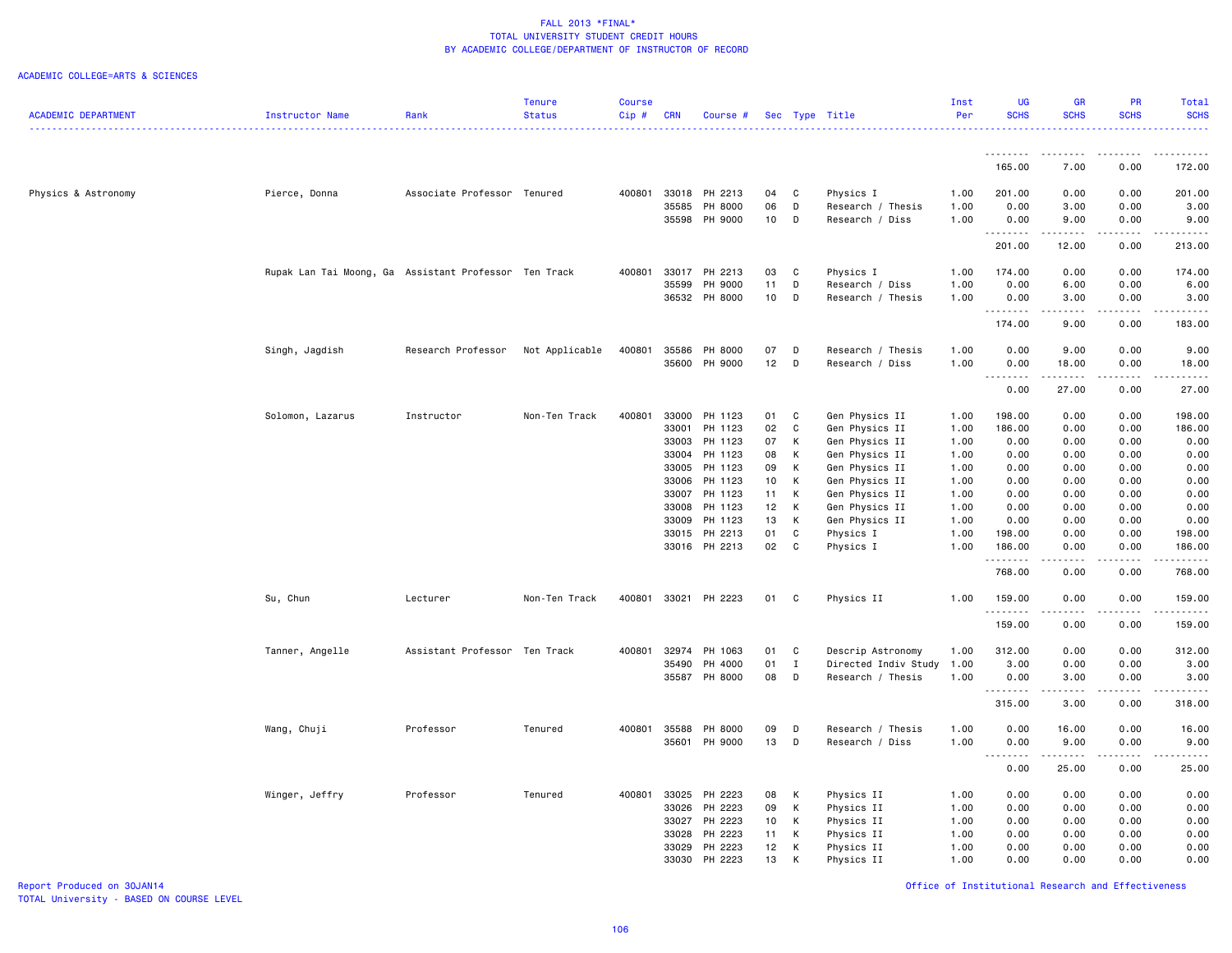### ACADEMIC COLLEGE=ARTS & SCIENCES

|                            |                                                       |                               | <b>Tenure</b>  | <b>Course</b> |            |                      |    |              |                      | Inst | <b>UG</b>       | <b>GR</b>              | PR          | <b>Total</b>     |
|----------------------------|-------------------------------------------------------|-------------------------------|----------------|---------------|------------|----------------------|----|--------------|----------------------|------|-----------------|------------------------|-------------|------------------|
| <b>ACADEMIC DEPARTMENT</b> | <b>Instructor Name</b>                                | Rank                          | <b>Status</b>  | $Cip$ #       | <b>CRN</b> | Course #             |    |              | Sec Type Title       | Per  | <b>SCHS</b>     | <b>SCHS</b>            | <b>SCHS</b> | <b>SCHS</b><br>. |
|                            |                                                       |                               |                |               |            |                      |    |              |                      |      |                 |                        |             |                  |
|                            |                                                       |                               |                |               |            |                      |    |              |                      |      | 165.00          | 7.00                   | 0.00        | 172.00           |
| Physics & Astronomy        | Pierce, Donna                                         | Associate Professor Tenured   |                |               |            | 400801 33018 PH 2213 | 04 | C            | Physics I            | 1.00 | 201.00          | 0.00                   | 0.00        | 201.00           |
|                            |                                                       |                               |                |               | 35585      | PH 8000              | 06 | D            | Research / Thesis    | 1.00 | 0.00            | 3.00                   | 0.00        | 3.00             |
|                            |                                                       |                               |                |               |            | 35598 PH 9000        | 10 | D            | Research / Diss      | 1.00 | 0.00            | 9.00                   | 0.00        | 9.00             |
|                            |                                                       |                               |                |               |            |                      |    |              |                      |      | .               |                        |             | .                |
|                            |                                                       |                               |                |               |            |                      |    |              |                      |      | 201.00          | 12.00                  | 0.00        | 213.00           |
|                            | Rupak Lan Tai Moong, Ga Assistant Professor Ten Track |                               |                | 400801        | 33017      | PH 2213              | 03 | C            | Physics I            | 1.00 | 174.00          | 0.00                   | 0.00        | 174.00           |
|                            |                                                       |                               |                |               | 35599      | PH 9000              | 11 | D            | Research / Diss      | 1.00 | 0.00            | 6.00                   | 0.00        | 6.00             |
|                            |                                                       |                               |                |               | 36532      | PH 8000              | 10 | D            | Research / Thesis    | 1.00 | 0.00            | 3.00<br>22222          | 0.00<br>.   | 3.00<br>.        |
|                            |                                                       |                               |                |               |            |                      |    |              |                      |      | 174.00          | 9.00                   | 0.00        | 183.00           |
|                            | Singh, Jagdish                                        | Research Professor            | Not Applicable | 400801        | 35586      | PH 8000              | 07 | D            | Research / Thesis    | 1.00 | 0.00            | 9.00                   | 0.00        | 9.00             |
|                            |                                                       |                               |                |               |            | 35600 PH 9000        | 12 | D            | Research / Diss      | 1.00 | 0.00            | 18.00                  | 0.00        | 18.00            |
|                            |                                                       |                               |                |               |            |                      |    |              |                      |      | <b></b><br>0.00 | 27.00                  | 0.00        | 27.00            |
|                            | Solomon, Lazarus                                      | Instructor                    | Non-Ten Track  | 400801        | 33000      | PH 1123              | 01 | C            | Gen Physics II       | 1.00 | 198.00          | 0.00                   | 0.00        | 198.00           |
|                            |                                                       |                               |                |               | 33001      | PH 1123              | 02 | $\mathtt{C}$ | Gen Physics II       | 1.00 | 186.00          | 0.00                   | 0.00        | 186.00           |
|                            |                                                       |                               |                |               |            |                      | 07 | К            |                      |      |                 |                        |             |                  |
|                            |                                                       |                               |                |               | 33003      | PH 1123              |    |              | Gen Physics II       | 1.00 | 0.00            | 0.00                   | 0.00        | 0.00             |
|                            |                                                       |                               |                |               | 33004      | PH 1123              | 08 | к            | Gen Physics II       | 1.00 | 0.00            | 0.00                   | 0.00        | 0.00             |
|                            |                                                       |                               |                |               | 33005      | PH 1123              | 09 | K            | Gen Physics II       | 1.00 | 0.00            | 0.00                   | 0.00        | 0.00             |
|                            |                                                       |                               |                |               | 33006      | PH 1123              | 10 | К            | Gen Physics II       | 1.00 | 0.00            | 0.00                   | 0.00        | 0.00             |
|                            |                                                       |                               |                |               | 33007      | PH 1123              | 11 | К            | Gen Physics II       | 1.00 | 0.00            | 0.00                   | 0.00        | 0.00             |
|                            |                                                       |                               |                |               | 33008      | PH 1123              | 12 | К            | Gen Physics II       | 1.00 | 0.00            | 0.00                   | 0.00        | 0.00             |
|                            |                                                       |                               |                |               | 33009      | PH 1123              | 13 | K            | Gen Physics II       | 1.00 | 0.00            | 0.00                   | 0.00        | 0.00             |
|                            |                                                       |                               |                |               |            | 33015 PH 2213        | 01 | C            | Physics I            | 1.00 | 198.00          | 0.00                   | 0.00        | 198.00           |
|                            |                                                       |                               |                |               |            | 33016 PH 2213        | 02 | C            | Physics I            | 1.00 | 186.00<br>.     | 0.00<br>.              | 0.00<br>.   | 186.00<br>------ |
|                            |                                                       |                               |                |               |            |                      |    |              |                      |      | 768.00          | 0.00                   | 0.00        | 768.00           |
|                            | Su, Chun                                              | Lecturer                      | Non-Ten Track  | 400801        | 33021      | PH 2223              | 01 | C            | Physics II           | 1.00 | 159.00          | 0.00                   | 0.00        | 159.00           |
|                            |                                                       |                               |                |               |            |                      |    |              |                      |      | .               | <b><i><u>.</u></i></b> | .           |                  |
|                            |                                                       |                               |                |               |            |                      |    |              |                      |      | 159.00          | 0.00                   | 0.00        | 159.00           |
|                            | Tanner, Angelle                                       | Assistant Professor Ten Track |                | 400801        | 32974      | PH 1063              | 01 | C            | Descrip Astronomy    | 1.00 | 312.00          | 0.00                   | 0.00        | 312.00           |
|                            |                                                       |                               |                |               | 35490      | PH 4000              | 01 | $\mathbf{I}$ | Directed Indiv Study | 1.00 | 3.00            | 0.00                   | 0.00        | 3.00             |
|                            |                                                       |                               |                |               |            | 35587 PH 8000        | 08 | D            | Research / Thesis    | 1.00 | 0.00<br>.       | 3.00<br><u>.</u>       | 0.00<br>.   | 3.00<br>.        |
|                            |                                                       |                               |                |               |            |                      |    |              |                      |      | 315.00          | 3.00                   | 0.00        | 318.00           |
|                            | Wang, Chuji                                           | Professor                     | Tenured        | 400801        | 35588      | PH 8000              | 09 | D            | Research / Thesis    | 1.00 | 0.00            | 16.00                  | 0.00        | 16.00            |
|                            |                                                       |                               |                |               | 35601      | PH 9000              | 13 | D            | Research / Diss      | 1.00 | 0.00            | 9.00                   | 0.00        | 9.00             |
|                            |                                                       |                               |                |               |            |                      |    |              |                      |      | . <b>.</b>      | $- - - - - - -$        | <b>.</b>    | .                |
|                            |                                                       |                               |                |               |            |                      |    |              |                      |      | 0.00            | 25.00                  | 0.00        | 25.00            |
|                            | Winger, Jeffry                                        | Professor                     | Tenured        | 400801        | 33025      | PH 2223              | 08 | К            | Physics II           | 1.00 | 0.00            | 0.00                   | 0.00        | 0.00             |
|                            |                                                       |                               |                |               | 33026      | PH 2223              | 09 | Κ            | Physics II           | 1.00 | 0.00            | 0.00                   | 0.00        | 0.00             |
|                            |                                                       |                               |                |               | 33027      | PH 2223              | 10 | К            | Physics II           | 1.00 | 0.00            | 0.00                   | 0.00        | 0.00             |
|                            |                                                       |                               |                |               | 33028      | PH 2223              | 11 | к            | Physics II           | 1.00 | 0.00            | 0.00                   | 0.00        | 0.00             |
|                            |                                                       |                               |                |               | 33029      | PH 2223              | 12 | К            | Physics II           | 1.00 | 0.00            | 0.00                   | 0.00        | 0.00             |
|                            |                                                       |                               |                |               | 33030      | PH 2223              | 13 | Κ            | Physics II           | 1.00 | 0.00            | 0.00                   | 0.00        | 0.00             |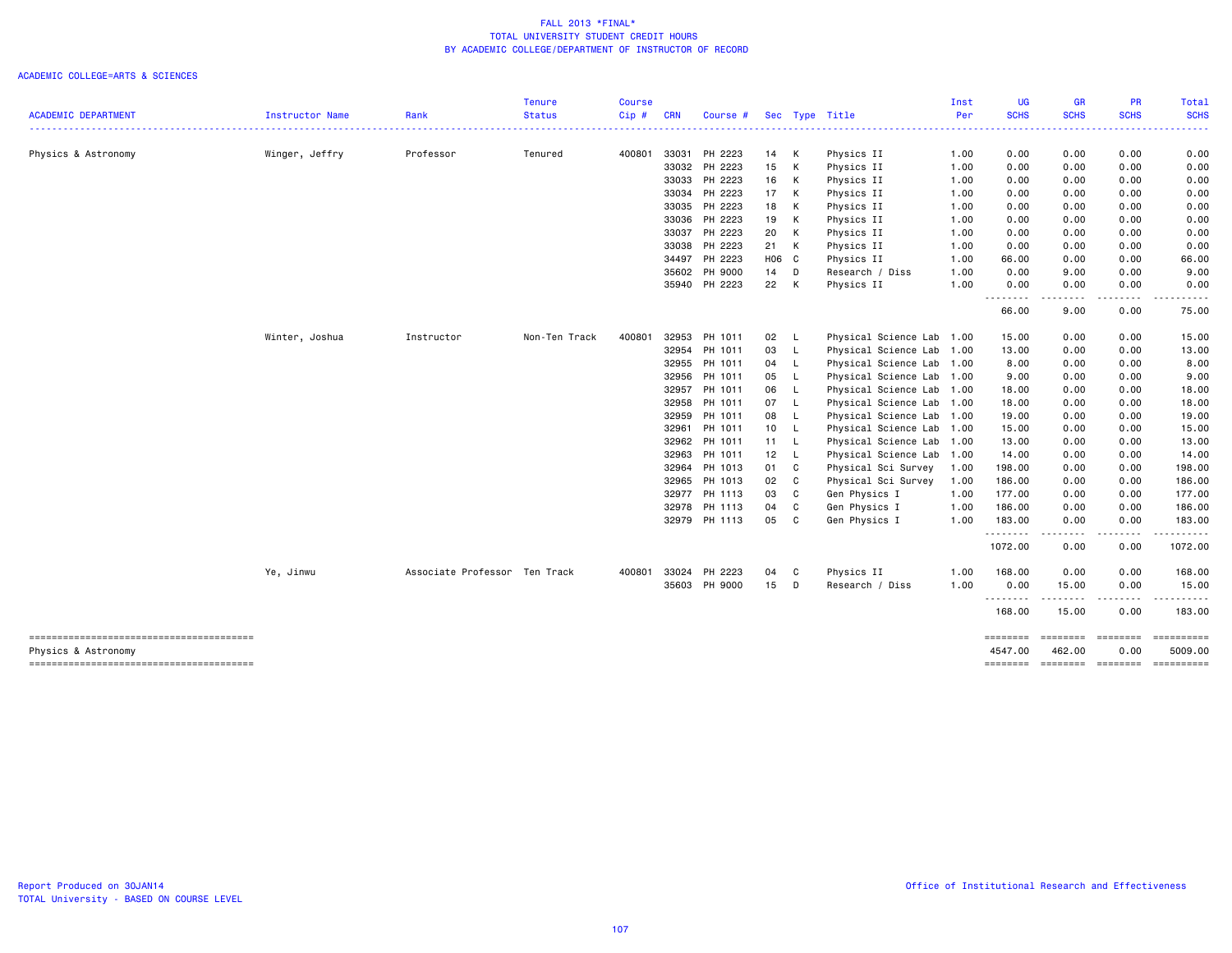|                                        |                 |                               | <b>Tenure</b> | <b>Course</b> |            |               |                 |              |                           | Inst | UG                  | <b>GR</b>                                                                                                                          | PR               | Total                 |
|----------------------------------------|-----------------|-------------------------------|---------------|---------------|------------|---------------|-----------------|--------------|---------------------------|------|---------------------|------------------------------------------------------------------------------------------------------------------------------------|------------------|-----------------------|
| <b>ACADEMIC DEPARTMENT</b>             | Instructor Name | Rank                          | <b>Status</b> | Cip#          | <b>CRN</b> | Course #      |                 |              | Sec Type Title            | Per  | <b>SCHS</b>         | <b>SCHS</b>                                                                                                                        | <b>SCHS</b>      | <b>SCHS</b>           |
| Physics & Astronomy                    | Winger, Jeffry  | Professor                     | Tenured       | 400801        | 33031      | PH 2223       | 14 K            |              | Physics II                | 1.00 | 0.00                | 0.00                                                                                                                               | 0.00             | 0.00                  |
|                                        |                 |                               |               |               |            | 33032 PH 2223 | 15              | K            | Physics II                | 1.00 | 0.00                | 0.00                                                                                                                               | 0.00             | 0.00                  |
|                                        |                 |                               |               |               |            | 33033 PH 2223 | 16              | К            | Physics II                | 1.00 | 0.00                | 0.00                                                                                                                               | 0.00             | 0.00                  |
|                                        |                 |                               |               |               | 33034      | PH 2223       | 17              | К            | Physics II                | 1.00 | 0.00                | 0.00                                                                                                                               | 0.00             | 0.00                  |
|                                        |                 |                               |               |               |            | 33035 PH 2223 | 18              | к            | Physics II                | 1.00 | 0.00                | 0.00                                                                                                                               | 0.00             | 0.00                  |
|                                        |                 |                               |               |               |            | 33036 PH 2223 | 19              | к            | Physics II                | 1.00 | 0.00                | 0.00                                                                                                                               | 0.00             | 0.00                  |
|                                        |                 |                               |               |               | 33037      | PH 2223       | 20              | К            | Physics II                | 1.00 | 0.00                | 0.00                                                                                                                               | 0.00             | 0.00                  |
|                                        |                 |                               |               |               |            | 33038 PH 2223 | 21 K            |              | Physics II                | 1.00 | 0.00                | 0.00                                                                                                                               | 0.00             | 0.00                  |
|                                        |                 |                               |               |               |            | 34497 PH 2223 | H06 C           |              | Physics II                | 1.00 | 66.00               | 0.00                                                                                                                               | 0.00             | 66.00                 |
|                                        |                 |                               |               |               |            | 35602 PH 9000 | 14              | D            | Research / Diss           | 1.00 | 0.00                | 9.00                                                                                                                               | 0.00             | 9.00                  |
|                                        |                 |                               |               |               |            | 35940 PH 2223 | 22              | К            | Physics II                | 1.00 | 0.00<br>.           | 0.00<br>$\frac{1}{2} \left( \frac{1}{2} \right) \left( \frac{1}{2} \right) \left( \frac{1}{2} \right) \left( \frac{1}{2} \right)$  | 0.00             | 0.00                  |
|                                        |                 |                               |               |               |            |               |                 |              |                           |      | 66.00               | 9.00                                                                                                                               | 0.00             | 75.00                 |
|                                        | Winter, Joshua  | Instructor                    | Non-Ten Track | 400801        |            | 32953 PH 1011 | 02              | - L          | Physical Science Lab 1.00 |      | 15.00               | 0.00                                                                                                                               | 0.00             | 15.00                 |
|                                        |                 |                               |               |               | 32954      | PH 1011       | 03              | L            | Physical Science Lab      | 1.00 | 13.00               | 0.00                                                                                                                               | 0.00             | 13.00                 |
|                                        |                 |                               |               |               |            | 32955 PH 1011 | 04              | L            | Physical Science Lab      | 1.00 | 8.00                | 0.00                                                                                                                               | 0.00             | 8.00                  |
|                                        |                 |                               |               |               |            | 32956 PH 1011 | 05              |              | Physical Science Lab      | 1.00 | 9.00                | 0.00                                                                                                                               | 0.00             | 9.00                  |
|                                        |                 |                               |               |               | 32957      | PH 1011       | 06              |              | Physical Science Lab      | 1.00 | 18.00               | 0.00                                                                                                                               | 0.00             | 18.00                 |
|                                        |                 |                               |               |               | 32958      | PH 1011       | 07              | L.           | Physical Science Lab      | 1.00 | 18.00               | 0.00                                                                                                                               | 0.00             | 18.00                 |
|                                        |                 |                               |               |               |            | 32959 PH 1011 | 08              | L            | Physical Science Lab      | 1.00 | 19.00               | 0.00                                                                                                                               | 0.00             | 19.00                 |
|                                        |                 |                               |               |               | 32961      | PH 1011       | 10 <sub>1</sub> | L.           | Physical Science Lab      | 1.00 | 15.00               | 0.00                                                                                                                               | 0.00             | 15.00                 |
|                                        |                 |                               |               |               | 32962      | PH 1011       | $11 -$          | L.           | Physical Science Lab      | 1.00 | 13.00               | 0.00                                                                                                                               | 0.00             | 13.00                 |
|                                        |                 |                               |               |               | 32963      | PH 1011       | 12              | -L           | Physical Science Lab      | 1.00 | 14.00               | 0.00                                                                                                                               | 0.00             | 14.00                 |
|                                        |                 |                               |               |               | 32964      | PH 1013       | 01 C            |              | Physical Sci Survey       | 1.00 | 198.00              | 0.00                                                                                                                               | 0.00             | 198.00                |
|                                        |                 |                               |               |               |            | 32965 PH 1013 | 02              | C            | Physical Sci Survey       | 1.00 | 186.00              | 0.00                                                                                                                               | 0.00             | 186.00                |
|                                        |                 |                               |               |               | 32977      | PH 1113       | 03              | C            | Gen Physics I             | 1.00 | 177.00              | 0.00                                                                                                                               | 0.00             | 177.00                |
|                                        |                 |                               |               |               |            | 32978 PH 1113 | 04              | C            | Gen Physics I             | 1.00 | 186.00              | 0.00                                                                                                                               | 0.00             | 186.00                |
|                                        |                 |                               |               |               |            | 32979 PH 1113 | 05              | $\mathbf{C}$ | Gen Physics I             | 1.00 | 183.00<br>.         | 0.00<br>$\frac{1}{2} \left( \frac{1}{2} \right) \left( \frac{1}{2} \right) \left( \frac{1}{2} \right) \left( \frac{1}{2} \right)$  | 0.00             | 183.00<br>------      |
|                                        |                 |                               |               |               |            |               |                 |              |                           |      | 1072.00             | 0.00                                                                                                                               | .<br>0.00        | 1072.00               |
|                                        | Ye, Jinwu       | Associate Professor Ten Track |               | 400801        | 33024      | PH 2223       | 04 C            |              | Physics II                | 1.00 | 168.00              | 0.00                                                                                                                               | 0.00             | 168.00                |
|                                        |                 |                               |               |               |            | 35603 PH 9000 | $15$ D          |              | Research / Diss           | 1.00 | 0.00<br>.           | 15.00<br>$\frac{1}{2} \left( \frac{1}{2} \right) \left( \frac{1}{2} \right) \left( \frac{1}{2} \right) \left( \frac{1}{2} \right)$ | 0.00             | 15.00                 |
|                                        |                 |                               |               |               |            |               |                 |              |                           |      | 168.00              | 15.00                                                                                                                              | 0.00             | 183.00                |
| Physics & Astronomy                    |                 |                               |               |               |            |               |                 |              |                           |      | ========<br>4547.00 | <b>EEEEEEE</b><br>462.00                                                                                                           | ========<br>0.00 | ==========<br>5009.00 |
| -------------------------------------- |                 |                               |               |               |            |               |                 |              |                           |      | ========            | --------- --------                                                                                                                 |                  | ==========            |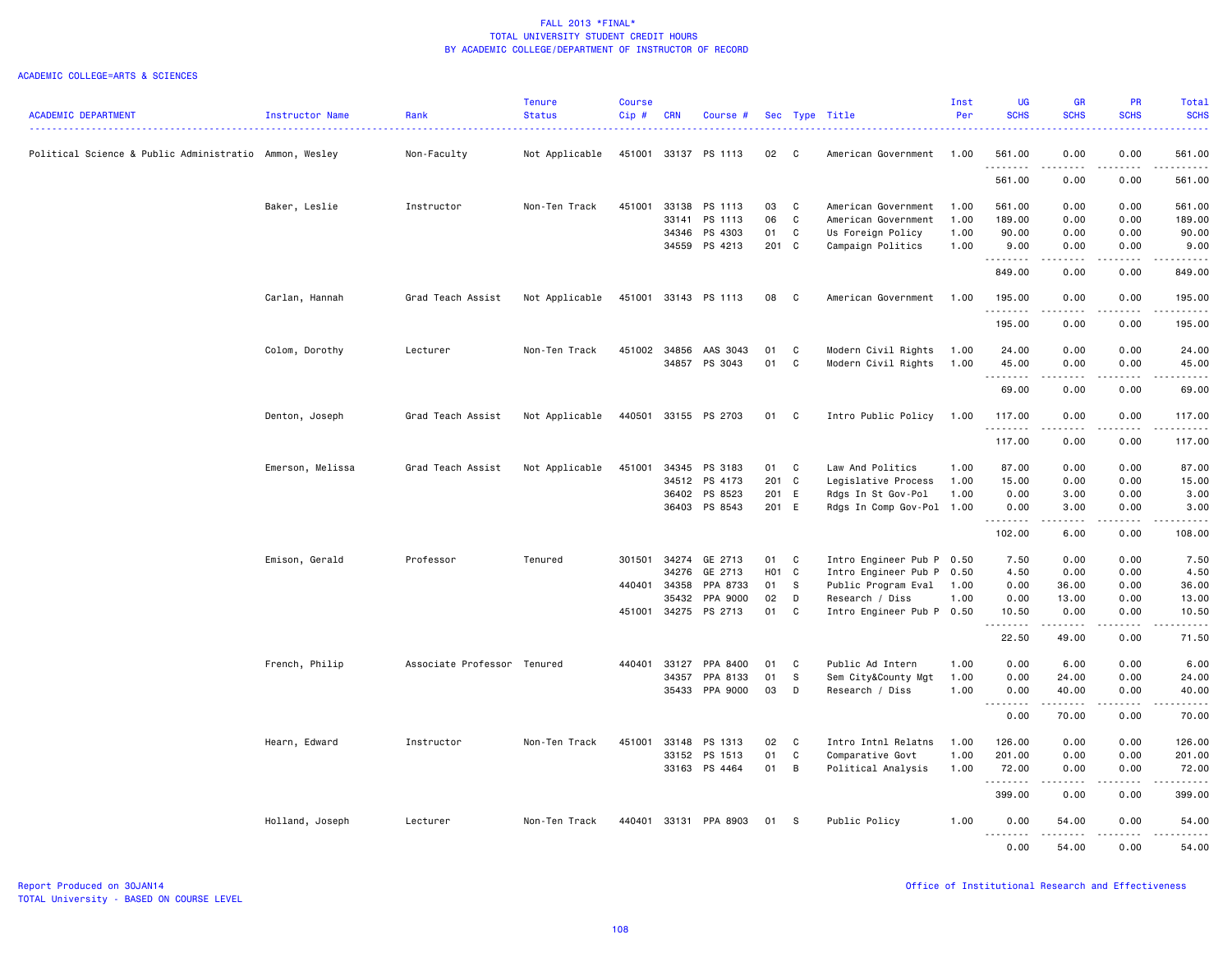|                                                        |                  |                             | <b>Tenure</b>  | <b>Course</b> |              |                      |       |                |                           | Inst | UG                  | GR                                                                                                                                                           | <b>PR</b>        | Total                                                                                                                                                                                    |
|--------------------------------------------------------|------------------|-----------------------------|----------------|---------------|--------------|----------------------|-------|----------------|---------------------------|------|---------------------|--------------------------------------------------------------------------------------------------------------------------------------------------------------|------------------|------------------------------------------------------------------------------------------------------------------------------------------------------------------------------------------|
| <b>ACADEMIC DEPARTMENT</b>                             | Instructor Name  | Rank                        | <b>Status</b>  | Cip#          | <b>CRN</b>   | Course #             |       |                | Sec Type Title            | Per  | <b>SCHS</b>         | <b>SCHS</b>                                                                                                                                                  | <b>SCHS</b>      | <b>SCHS</b>                                                                                                                                                                              |
| Political Science & Public Administratio Ammon, Wesley |                  | Non-Faculty                 | Not Applicable |               |              | 451001 33137 PS 1113 | 02    | $\mathbf{C}$   | American Government       | 1.00 | 561.00              | 0.00                                                                                                                                                         | 0.00             | 561.00                                                                                                                                                                                   |
|                                                        |                  |                             |                |               |              |                      |       |                |                           |      | <u>.</u><br>561.00  | .<br>0.00                                                                                                                                                    | المتماما<br>0.00 | .<br>561.00                                                                                                                                                                              |
|                                                        | Baker, Leslie    | Instructor                  | Non-Ten Track  | 451001        | 33138        | PS 1113              | 03    | C              | American Government       | 1.00 | 561.00              | 0.00                                                                                                                                                         | 0.00             | 561.00                                                                                                                                                                                   |
|                                                        |                  |                             |                |               | 33141        | PS 1113              | 06    | C              | American Government       | 1.00 | 189.00              | 0.00                                                                                                                                                         | 0.00             | 189.00                                                                                                                                                                                   |
|                                                        |                  |                             |                |               | 34346        | PS 4303              | 01    | C              | Us Foreign Policy         | 1.00 | 90.00               | 0.00                                                                                                                                                         | 0.00             | 90.00                                                                                                                                                                                    |
|                                                        |                  |                             |                |               | 34559        | PS 4213              | 201 C |                | Campaign Politics         | 1.00 | 9.00<br>--------    | 0.00<br>.                                                                                                                                                    | 0.00<br>.        | 9.00<br>.                                                                                                                                                                                |
|                                                        |                  |                             |                |               |              |                      |       |                |                           |      | 849.00              | 0.00                                                                                                                                                         | 0.00             | 849.00                                                                                                                                                                                   |
|                                                        | Carlan, Hannah   | Grad Teach Assist           | Not Applicable |               |              | 451001 33143 PS 1113 | 08    | $\mathbf{C}$   | American Government       | 1.00 | 195.00<br><u>.</u>  | 0.00                                                                                                                                                         | 0.00             | 195.00<br>.                                                                                                                                                                              |
|                                                        |                  |                             |                |               |              |                      |       |                |                           |      | 195.00              | 0.00                                                                                                                                                         | 0.00             | 195.00                                                                                                                                                                                   |
|                                                        | Colom, Dorothy   | Lecturer                    | Non-Ten Track  | 451002        | 34856        | AAS 3043             | 01    | C              | Modern Civil Rights       | 1.00 | 24.00               | 0.00                                                                                                                                                         | 0.00             | 24.00                                                                                                                                                                                    |
|                                                        |                  |                             |                |               |              | 34857 PS 3043        | 01    | C              | Modern Civil Rights       | 1.00 | 45.00<br>.          | 0.00<br>.                                                                                                                                                    | 0.00<br>.        | 45.00<br>.                                                                                                                                                                               |
|                                                        |                  |                             |                |               |              |                      |       |                |                           |      | 69.00               | 0.00                                                                                                                                                         | 0.00             | 69.00                                                                                                                                                                                    |
|                                                        | Denton, Joseph   | Grad Teach Assist           | Not Applicable | 440501        |              | 33155 PS 2703        | 01    | C              | Intro Public Policy       | 1.00 | 117.00<br>.         | 0.00<br>د د د د                                                                                                                                              | 0.00<br>د د د د  | 117.00<br>2.2.2.2.2.3                                                                                                                                                                    |
|                                                        |                  |                             |                |               |              |                      |       |                |                           |      | 117.00              | 0.00                                                                                                                                                         | 0.00             | 117.00                                                                                                                                                                                   |
|                                                        | Emerson, Melissa | Grad Teach Assist           | Not Applicable | 451001        | 34345        | PS 3183              | 01    | C              | Law And Politics          | 1.00 | 87.00               | 0.00                                                                                                                                                         | 0.00             | 87.00                                                                                                                                                                                    |
|                                                        |                  |                             |                |               | 34512        | PS 4173              | 201 C |                | Legislative Process       | 1.00 | 15.00               | 0.00                                                                                                                                                         | 0.00             | 15.00                                                                                                                                                                                    |
|                                                        |                  |                             |                |               | 36402        | PS 8523              | 201 E |                | Rdgs In St Gov-Pol        | 1.00 | 0.00                | 3.00                                                                                                                                                         | 0.00             | 3.00                                                                                                                                                                                     |
|                                                        |                  |                             |                |               |              | 36403 PS 8543        | 201 E |                | Rdgs In Comp Gov-Pol 1.00 |      | 0.00<br><u>.</u>    | 3.00<br>$\frac{1}{2} \left( \frac{1}{2} \right) \left( \frac{1}{2} \right) \left( \frac{1}{2} \right) \left( \frac{1}{2} \right) \left( \frac{1}{2} \right)$ | 0.00<br>.        | 3.00<br>.                                                                                                                                                                                |
|                                                        |                  |                             |                |               |              |                      |       |                |                           |      | 102.00              | 6.00                                                                                                                                                         | 0.00             | 108.00                                                                                                                                                                                   |
|                                                        | Emison, Gerald   | Professor                   | Tenured        | 301501        | 34274        | GE 2713              | 01    | C              | Intro Engineer Pub P      | 0.50 | 7.50                | 0.00                                                                                                                                                         | 0.00             | 7.50                                                                                                                                                                                     |
|                                                        |                  |                             |                |               | 34276        | GE 2713              | H01 C |                | Intro Engineer Pub P      | 0.50 | 4.50                | 0.00                                                                                                                                                         | 0.00             | 4.50                                                                                                                                                                                     |
|                                                        |                  |                             |                |               | 440401 34358 | PPA 8733             | 01    | $\mathbf{s}$   | Public Program Eval       | 1.00 | 0.00                | 36.00                                                                                                                                                        | 0.00             | 36.00                                                                                                                                                                                    |
|                                                        |                  |                             |                |               | 35432        | PPA 9000             | 02    | D              | Research / Diss           | 1.00 | 0.00                | 13.00                                                                                                                                                        | 0.00             | 13.00                                                                                                                                                                                    |
|                                                        |                  |                             |                | 451001        | 34275        | PS 2713              | 01    | C              | Intro Engineer Pub P 0.50 |      | 10.50<br>. <b>.</b> | 0.00<br>.                                                                                                                                                    | 0.00<br>.        | 10.50<br>.                                                                                                                                                                               |
|                                                        |                  |                             |                |               |              |                      |       |                |                           |      | 22.50               | 49.00                                                                                                                                                        | 0.00             | 71.50                                                                                                                                                                                    |
|                                                        | French, Philip   | Associate Professor Tenured |                | 440401        | 33127        | PPA 8400             | 01    | C              | Public Ad Intern          | 1.00 | 0.00                | 6.00                                                                                                                                                         | 0.00             | 6.00                                                                                                                                                                                     |
|                                                        |                  |                             |                |               | 34357        | PPA 8133             | 01    | S              | Sem City&County Mgt       | 1.00 | 0.00                | 24.00                                                                                                                                                        | 0.00             | 24.00                                                                                                                                                                                    |
|                                                        |                  |                             |                |               | 35433        | PPA 9000             | 03    | D              | Research / Diss           | 1.00 | 0.00                | 40.00                                                                                                                                                        | 0.00             | 40.00                                                                                                                                                                                    |
|                                                        |                  |                             |                |               |              |                      |       |                |                           |      | .<br>0.00           | .<br>70.00                                                                                                                                                   | .<br>0.00        | .<br>70.00                                                                                                                                                                               |
|                                                        | Hearn, Edward    | Instructor                  | Non-Ten Track  | 451001        | 33148        | PS 1313              | 02    | C              | Intro Intnl Relatns       | 1.00 | 126.00              | 0.00                                                                                                                                                         | 0.00             | 126.00                                                                                                                                                                                   |
|                                                        |                  |                             |                |               | 33152        | PS 1513              | 01    | C              | Comparative Govt          | 1.00 | 201.00              | 0.00                                                                                                                                                         | 0.00             | 201.00                                                                                                                                                                                   |
|                                                        |                  |                             |                |               |              | 33163 PS 4464        | 01    | $\overline{B}$ | Political Analysis        | 1.00 | 72.00<br>.          | 0.00<br>22222                                                                                                                                                | 0.00<br>.        | 72.00<br>$\frac{1}{2} \left( \frac{1}{2} \right) \left( \frac{1}{2} \right) \left( \frac{1}{2} \right) \left( \frac{1}{2} \right) \left( \frac{1}{2} \right) \left( \frac{1}{2} \right)$ |
|                                                        |                  |                             |                |               |              |                      |       |                |                           |      | 399.00              | 0.00                                                                                                                                                         | 0.00             | 399.00                                                                                                                                                                                   |
|                                                        | Holland, Joseph  | Lecturer                    | Non-Ten Track  | 440401        |              | 33131 PPA 8903       | 01    | - S            | Public Policy             | 1.00 | 0.00<br>.           | 54.00                                                                                                                                                        | 0.00             | 54.00                                                                                                                                                                                    |
|                                                        |                  |                             |                |               |              |                      |       |                |                           |      | 0.00                | 54.00                                                                                                                                                        | 0.00             | 54.00                                                                                                                                                                                    |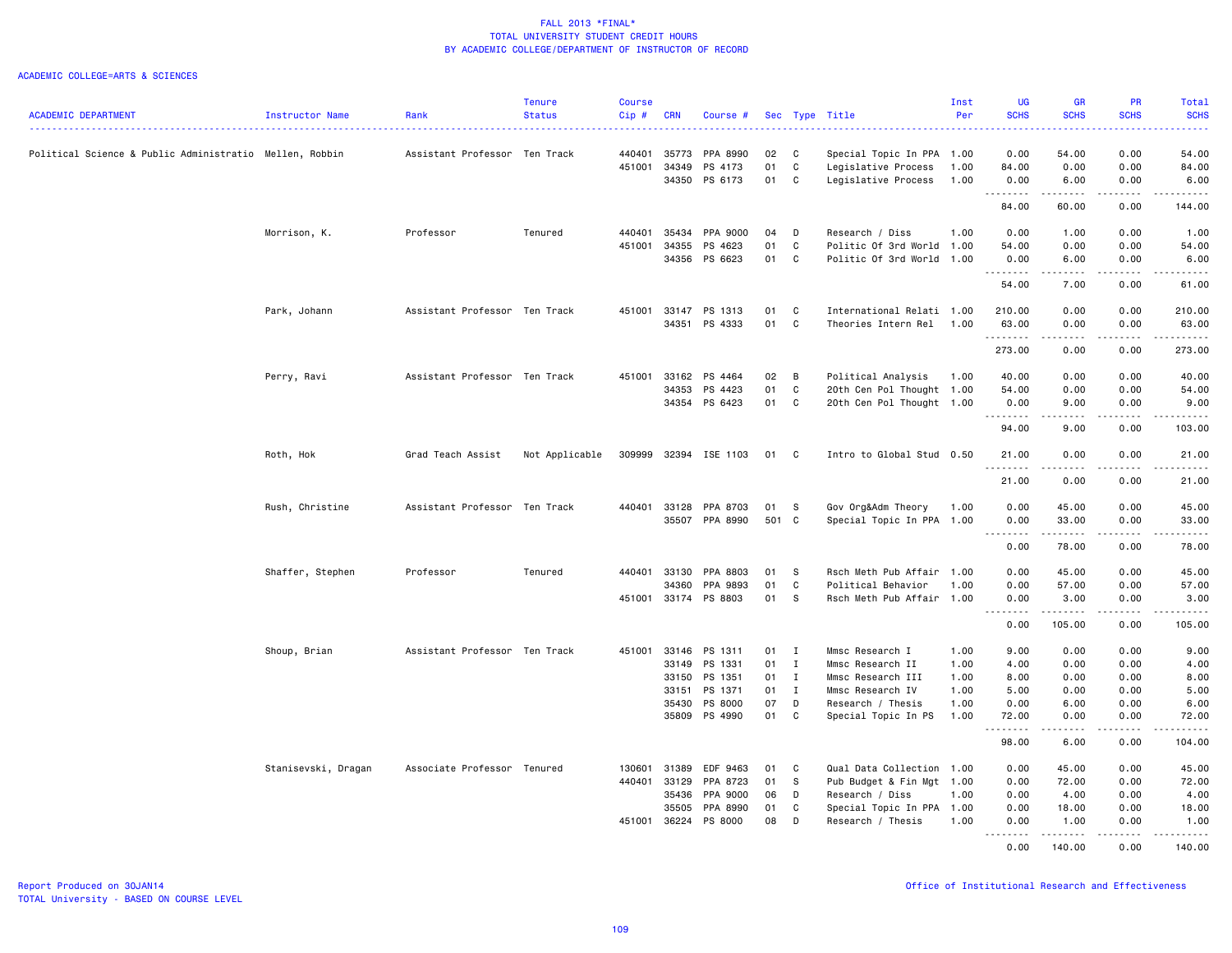|                                                         |                     |                               | <b>Tenure</b>  | <b>Course</b> |                |                       |             |              |                                                 | Inst | <b>UG</b>                    | <b>GR</b>                                                                                                                                                                               | <b>PR</b>             | Total                                                                                                                                    |
|---------------------------------------------------------|---------------------|-------------------------------|----------------|---------------|----------------|-----------------------|-------------|--------------|-------------------------------------------------|------|------------------------------|-----------------------------------------------------------------------------------------------------------------------------------------------------------------------------------------|-----------------------|------------------------------------------------------------------------------------------------------------------------------------------|
| <b>ACADEMIC DEPARTMENT</b>                              | Instructor Name     | Rank                          | <b>Status</b>  | Cip#          | <b>CRN</b>     | Course #              |             |              | Sec Type Title                                  | Per  | <b>SCHS</b>                  | <b>SCHS</b>                                                                                                                                                                             | <b>SCHS</b>           | <b>SCHS</b><br>$\frac{1}{2} \left( \frac{1}{2} \right) \left( \frac{1}{2} \right) \left( \frac{1}{2} \right) \left( \frac{1}{2} \right)$ |
| Political Science & Public Administratio Mellen, Robbin |                     | Assistant Professor Ten Track |                | 440401        | 35773          | PPA 8990              | 02          | C            | Special Topic In PPA 1.00                       |      | 0.00                         | 54.00                                                                                                                                                                                   | 0.00                  | 54.00                                                                                                                                    |
|                                                         |                     |                               |                | 451001        | 34349          | PS 4173               | 01          | $\mathtt{C}$ | Legislative Process                             | 1.00 | 84.00                        | 0.00                                                                                                                                                                                    | 0.00                  | 84.00                                                                                                                                    |
|                                                         |                     |                               |                |               | 34350          | PS 6173               | 01          | C            | Legislative Process                             | 1.00 | 0.00                         | 6.00                                                                                                                                                                                    | 0.00                  | 6.00                                                                                                                                     |
|                                                         |                     |                               |                |               |                |                       |             |              |                                                 |      | .<br>84.00                   | -----<br>60.00                                                                                                                                                                          | .<br>0.00             | .<br>144.00                                                                                                                              |
|                                                         |                     |                               |                |               |                |                       |             |              |                                                 |      |                              |                                                                                                                                                                                         |                       |                                                                                                                                          |
|                                                         | Morrison, K.        | Professor                     | Tenured        | 440401        | 35434          | PPA 9000              | 04          | D            | Research / Diss                                 | 1.00 | 0.00                         | 1.00                                                                                                                                                                                    | 0.00                  | 1.00                                                                                                                                     |
|                                                         |                     |                               |                | 451001        | 34355          | PS 4623               | 01          | C            | Politic Of 3rd World                            | 1.00 | 54.00                        | 0.00                                                                                                                                                                                    | 0.00                  | 54.00                                                                                                                                    |
|                                                         |                     |                               |                |               | 34356          | PS 6623               | 01          | C            | Politic Of 3rd World                            | 1.00 | 0.00<br>.                    | 6.00<br>.                                                                                                                                                                               | 0.00<br>$\frac{1}{2}$ | 6.00<br>.                                                                                                                                |
|                                                         |                     |                               |                |               |                |                       |             |              |                                                 |      | 54.00                        | 7.00                                                                                                                                                                                    | 0.00                  | 61.00                                                                                                                                    |
|                                                         | Park, Johann        | Assistant Professor Ten Track |                |               | 451001 33147   | PS 1313               | 01          | C            | International Relati 1.00                       |      | 210.00                       | 0.00                                                                                                                                                                                    | 0.00                  | 210.00                                                                                                                                   |
|                                                         |                     |                               |                |               | 34351          | PS 4333               | 01          | C            | Theories Intern Rel                             | 1.00 | 63.00<br>.                   | 0.00<br>$\frac{1}{2} \left( \frac{1}{2} \right) \left( \frac{1}{2} \right) \left( \frac{1}{2} \right) \left( \frac{1}{2} \right) \left( \frac{1}{2} \right)$                            | 0.00<br>.             | 63.00                                                                                                                                    |
|                                                         |                     |                               |                |               |                |                       |             |              |                                                 |      | 273.00                       | 0.00                                                                                                                                                                                    | 0.00                  | 273.00                                                                                                                                   |
|                                                         | Perry, Ravi         | Assistant Professor Ten Track |                | 451001        | 33162          | PS 4464               | 02          | B            | Political Analysis                              | 1.00 | 40.00                        | 0.00                                                                                                                                                                                    | 0.00                  | 40.00                                                                                                                                    |
|                                                         |                     |                               |                |               | 34353          | PS 4423               | 01          | C            | 20th Cen Pol Thought 1.00                       |      | 54.00                        | 0.00                                                                                                                                                                                    | 0.00                  | 54.00                                                                                                                                    |
|                                                         |                     |                               |                |               |                | 34354 PS 6423         | 01          | $\mathbf{C}$ | 20th Cen Pol Thought 1.00                       |      | 0.00                         | 9.00                                                                                                                                                                                    | 0.00                  | 9.00                                                                                                                                     |
|                                                         |                     |                               |                |               |                |                       |             |              |                                                 |      | .<br>94.00                   | $\frac{1}{2} \left( \frac{1}{2} \right) \left( \frac{1}{2} \right) \left( \frac{1}{2} \right) \left( \frac{1}{2} \right)$<br>9.00                                                       | د د د د<br>0.00       | .<br>103.00                                                                                                                              |
|                                                         | Roth, Hok           | Grad Teach Assist             | Not Applicable |               |                | 309999 32394 ISE 1103 | 01 C        |              | Intro to Global Stud 0.50                       |      | 21.00                        | 0.00                                                                                                                                                                                    | 0.00                  | 21.00                                                                                                                                    |
|                                                         |                     |                               |                |               |                |                       |             |              |                                                 |      | .<br>21.00                   | .<br>0.00                                                                                                                                                                               | .<br>0.00             | .<br>21.00                                                                                                                               |
|                                                         |                     |                               |                |               |                |                       |             |              |                                                 |      |                              |                                                                                                                                                                                         |                       |                                                                                                                                          |
|                                                         | Rush, Christine     | Assistant Professor Ten Track |                | 440401        | 33128<br>35507 | PPA 8703<br>PPA 8990  | 01<br>501 C | s            | Gov Org&Adm Theory<br>Special Topic In PPA 1.00 | 1.00 | 0.00<br>0.00                 | 45.00<br>33.00                                                                                                                                                                          | 0.00<br>0.00          | 45.00<br>33.00                                                                                                                           |
|                                                         |                     |                               |                |               |                |                       |             |              |                                                 |      | .                            | .                                                                                                                                                                                       | .                     | .                                                                                                                                        |
|                                                         |                     |                               |                |               |                |                       |             |              |                                                 |      | 0.00                         | 78.00                                                                                                                                                                                   | 0.00                  | 78.00                                                                                                                                    |
|                                                         | Shaffer, Stephen    | Professor                     | Tenured        | 440401        | 33130          | PPA 8803              | 01          | s            | Rsch Meth Pub Affair                            | 1.00 | 0.00                         | 45.00                                                                                                                                                                                   | 0.00                  | 45.00                                                                                                                                    |
|                                                         |                     |                               |                |               | 34360          | PPA 9893              | 01          | C            | Political Behavior                              | 1.00 | 0.00                         | 57.00                                                                                                                                                                                   | 0.00                  | 57.00                                                                                                                                    |
|                                                         |                     |                               |                | 451001        | 33174          | PS 8803               | 01          | s            | Rsch Meth Pub Affair 1.00                       |      | 0.00<br>$\sim$ $\sim$ .<br>. | 3.00<br>$- - - - - - -$                                                                                                                                                                 | 0.00<br>.             | 3.00<br>.                                                                                                                                |
|                                                         |                     |                               |                |               |                |                       |             |              |                                                 |      | 0.00                         | 105.00                                                                                                                                                                                  | 0.00                  | 105.00                                                                                                                                   |
|                                                         | Shoup, Brian        | Assistant Professor Ten Track |                | 451001        | 33146          | PS 1311               | $01$ I      |              | Mmsc Research I                                 | 1.00 | 9.00                         | 0.00                                                                                                                                                                                    | 0.00                  | 9.00                                                                                                                                     |
|                                                         |                     |                               |                |               | 33149          | PS 1331               | 01          | $\mathbf{I}$ | Mmsc Research II                                | 1.00 | 4.00                         | 0.00                                                                                                                                                                                    | 0.00                  | 4.00                                                                                                                                     |
|                                                         |                     |                               |                |               | 33150          | PS 1351               | 01 I        |              | Mmsc Research III                               | 1.00 | 8.00                         | 0.00                                                                                                                                                                                    | 0.00                  | 8.00                                                                                                                                     |
|                                                         |                     |                               |                |               | 33151          | PS 1371               | 01          | $\mathbf{I}$ | Mmsc Research IV                                | 1.00 | 5.00                         | 0.00                                                                                                                                                                                    | 0.00                  | 5.00                                                                                                                                     |
|                                                         |                     |                               |                |               | 35430          | PS 8000               | 07          | D            | Research / Thesis                               | 1.00 | 0.00                         | 6.00                                                                                                                                                                                    | 0.00                  | 6.00                                                                                                                                     |
|                                                         |                     |                               |                |               | 35809          | PS 4990               | 01          | C            | Special Topic In PS                             | 1.00 | 72.00<br>. <b>.</b>          | 0.00<br>$\frac{1}{2} \left( \frac{1}{2} \right) \left( \frac{1}{2} \right) \left( \frac{1}{2} \right) \left( \frac{1}{2} \right) \left( \frac{1}{2} \right) \left( \frac{1}{2} \right)$ | 0.00<br>.             | 72.00<br>.                                                                                                                               |
|                                                         |                     |                               |                |               |                |                       |             |              |                                                 |      | 98.00                        | 6.00                                                                                                                                                                                    | 0.00                  | 104.00                                                                                                                                   |
|                                                         | Stanisevski, Dragan | Associate Professor Tenured   |                | 130601        | 31389          | EDF 9463              | 01          | C            | Qual Data Collection 1.00                       |      | 0.00                         | 45.00                                                                                                                                                                                   | 0.00                  | 45.00                                                                                                                                    |
|                                                         |                     |                               |                | 440401        | 33129          | PPA 8723              | 01          | - S          | Pub Budget & Fin Mgt 1.00                       |      | 0.00                         | 72.00                                                                                                                                                                                   | 0.00                  | 72.00                                                                                                                                    |
|                                                         |                     |                               |                |               | 35436          | PPA 9000              | 06          | D            | Research / Diss                                 | 1.00 | 0.00                         | 4.00                                                                                                                                                                                    | 0.00                  | 4.00                                                                                                                                     |
|                                                         |                     |                               |                |               | 35505          | PPA 8990              | 01          | C            | Special Topic In PPA 1.00                       |      | 0.00                         | 18.00                                                                                                                                                                                   | 0.00                  | 18.00                                                                                                                                    |
|                                                         |                     |                               |                | 451001        | 36224          | PS 8000               | 08          | D            | Research / Thesis                               | 1.00 | 0.00                         | 1.00                                                                                                                                                                                    | 0.00                  | 1.00                                                                                                                                     |
|                                                         |                     |                               |                |               |                |                       |             |              |                                                 |      | .<br>0.00                    | . <b>.</b><br>140.00                                                                                                                                                                    | .<br>0.00             | .<br>140.00                                                                                                                              |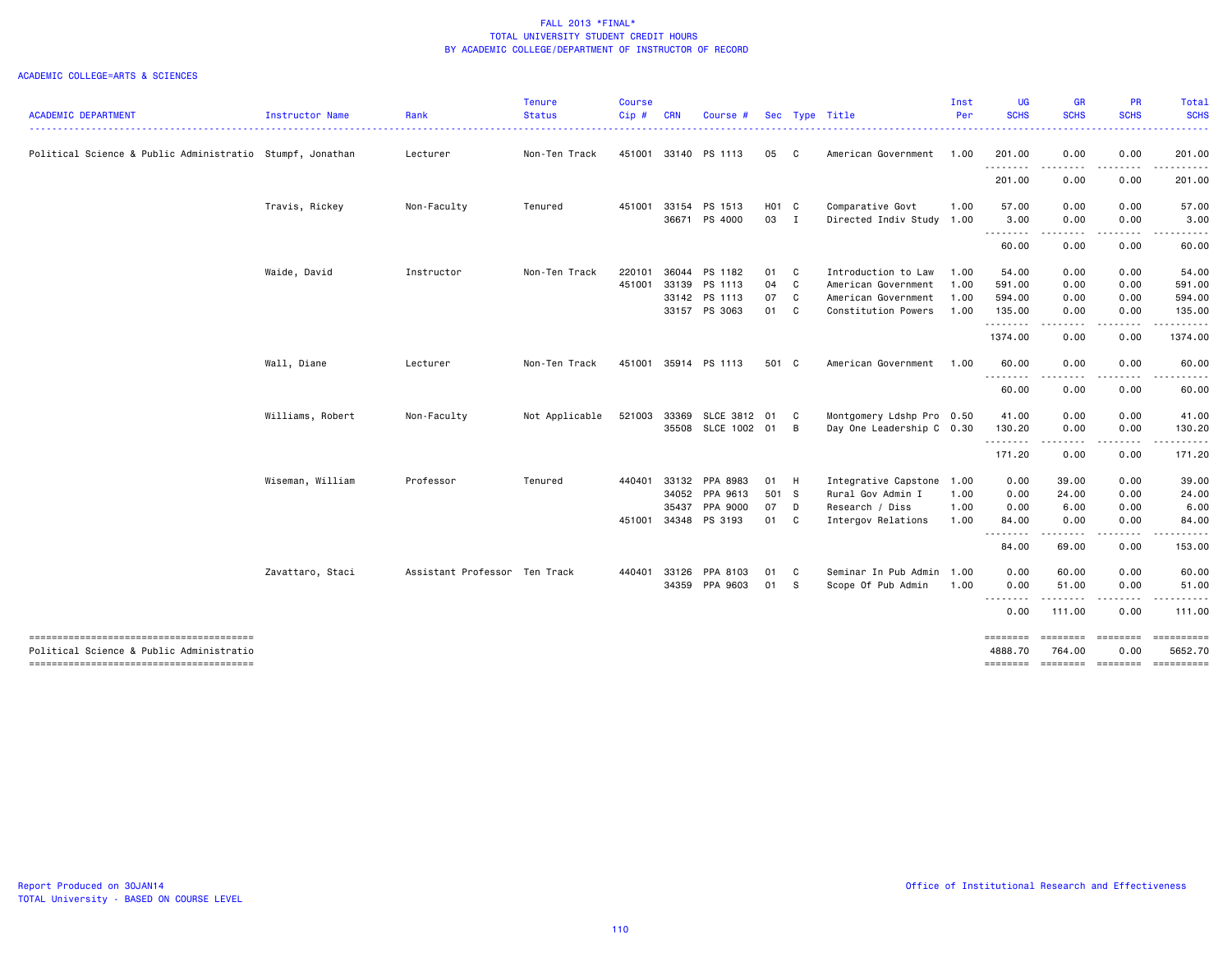|                                                                                    |                  |                               | Tenure         | <b>Course</b> |            |                          |                           |                |                                               | Inst | <b>UG</b>                   | GR                                                                                                                                | PR               | Total                                                                                                                                                                                                                                                                                                                                                                                                                                                                                                 |
|------------------------------------------------------------------------------------|------------------|-------------------------------|----------------|---------------|------------|--------------------------|---------------------------|----------------|-----------------------------------------------|------|-----------------------------|-----------------------------------------------------------------------------------------------------------------------------------|------------------|-------------------------------------------------------------------------------------------------------------------------------------------------------------------------------------------------------------------------------------------------------------------------------------------------------------------------------------------------------------------------------------------------------------------------------------------------------------------------------------------------------|
| <b>ACADEMIC DEPARTMENT</b>                                                         | Instructor Name  | Rank                          | <b>Status</b>  | Cip#          | <b>CRN</b> | Course #                 |                           |                | Sec Type Title                                | Per  | <b>SCHS</b><br>. <b>.</b> . | <b>SCHS</b>                                                                                                                       | <b>SCHS</b>      | <b>SCHS</b><br>$\begin{array}{cccccccccccccc} \multicolumn{2}{c}{} & \multicolumn{2}{c}{} & \multicolumn{2}{c}{} & \multicolumn{2}{c}{} & \multicolumn{2}{c}{} & \multicolumn{2}{c}{} & \multicolumn{2}{c}{} & \multicolumn{2}{c}{} & \multicolumn{2}{c}{} & \multicolumn{2}{c}{} & \multicolumn{2}{c}{} & \multicolumn{2}{c}{} & \multicolumn{2}{c}{} & \multicolumn{2}{c}{} & \multicolumn{2}{c}{} & \multicolumn{2}{c}{} & \multicolumn{2}{c}{} & \multicolumn{2}{c}{} & \multicolumn{2}{c}{} & \$ |
| Political Science & Public Administratio Stumpf, Jonathan                          |                  | Lecturer                      | Non-Ten Track  | 451001        |            | 33140 PS 1113            | 05 C                      |                | American Government                           | 1.00 | 201.00                      | 0.00                                                                                                                              | 0.00             | 201.00                                                                                                                                                                                                                                                                                                                                                                                                                                                                                                |
|                                                                                    |                  |                               |                |               |            |                          |                           |                |                                               |      | .<br>201.00                 | 0.00                                                                                                                              | 0.00             | 201.00                                                                                                                                                                                                                                                                                                                                                                                                                                                                                                |
|                                                                                    | Travis, Rickey   | Non-Faculty                   | Tenured        | 451001        | 33154      | PS 1513<br>36671 PS 4000 | H <sub>01</sub> C<br>03 I |                | Comparative Govt<br>Directed Indiv Study 1.00 | 1.00 | 57.00<br>3.00               | 0.00<br>0.00                                                                                                                      | 0.00<br>0.00     | 57.00<br>3.00                                                                                                                                                                                                                                                                                                                                                                                                                                                                                         |
|                                                                                    |                  |                               |                |               |            |                          |                           |                |                                               |      | .                           | $\frac{1}{2} \left( \frac{1}{2} \right) \left( \frac{1}{2} \right) \left( \frac{1}{2} \right) \left( \frac{1}{2} \right)$         | .                |                                                                                                                                                                                                                                                                                                                                                                                                                                                                                                       |
|                                                                                    |                  |                               |                |               |            |                          |                           |                |                                               |      | 60.00                       | 0.00                                                                                                                              | 0.00             | 60.00                                                                                                                                                                                                                                                                                                                                                                                                                                                                                                 |
|                                                                                    | Waide, David     | Instructor                    | Non-Ten Track  | 220101        |            | 36044 PS 1182            | 01                        | C.             | Introduction to Law                           | 1.00 | 54.00                       | 0.00                                                                                                                              | 0.00             | 54.00                                                                                                                                                                                                                                                                                                                                                                                                                                                                                                 |
|                                                                                    |                  |                               |                | 451001        |            | 33139 PS 1113            | 04 C                      |                | American Government                           | 1.00 | 591.00                      | 0.00                                                                                                                              | 0.00             | 591.00                                                                                                                                                                                                                                                                                                                                                                                                                                                                                                |
|                                                                                    |                  |                               |                |               |            | 33142 PS 1113            | 07                        | $\mathbf{C}$   | American Government                           | 1.00 | 594.00                      | 0.00                                                                                                                              | 0.00             | 594.00                                                                                                                                                                                                                                                                                                                                                                                                                                                                                                |
|                                                                                    |                  |                               |                |               | 33157      | PS 3063                  | 01                        | $\mathbf{C}$   | Constitution Powers                           | 1.00 | 135.00<br>.                 | 0.00<br>.                                                                                                                         | 0.00             | 135.00                                                                                                                                                                                                                                                                                                                                                                                                                                                                                                |
|                                                                                    |                  |                               |                |               |            |                          |                           |                |                                               |      | 1374.00                     | 0.00                                                                                                                              | 0.00             | 1374.00                                                                                                                                                                                                                                                                                                                                                                                                                                                                                               |
|                                                                                    | Wall, Diane      | Lecturer                      | Non-Ten Track  | 451001        |            | 35914 PS 1113            | 501 C                     |                | American Government                           | 1.00 | 60.00                       | 0.00                                                                                                                              | 0.00             | 60.00                                                                                                                                                                                                                                                                                                                                                                                                                                                                                                 |
|                                                                                    |                  |                               |                |               |            |                          |                           |                |                                               |      | --------<br>60.00           | ----<br>0.00                                                                                                                      | 0.00             | 60.00                                                                                                                                                                                                                                                                                                                                                                                                                                                                                                 |
|                                                                                    | Williams, Robert | Non-Faculty                   | Not Applicable | 521003        |            | 33369 SLCE 3812 01       |                           | $\mathbf{C}$   | Montgomery Ldshp Pro 0.50                     |      | 41.00                       | 0.00                                                                                                                              | 0.00             | 41.00                                                                                                                                                                                                                                                                                                                                                                                                                                                                                                 |
|                                                                                    |                  |                               |                |               |            | 35508 SLCE 1002 01       |                           | $\overline{B}$ | Day One Leadership C 0.30                     |      | 130.20<br>.                 | 0.00<br>$\frac{1}{2} \left( \frac{1}{2} \right) \left( \frac{1}{2} \right) \left( \frac{1}{2} \right) \left( \frac{1}{2} \right)$ | 0.00<br>-----    | 130.20                                                                                                                                                                                                                                                                                                                                                                                                                                                                                                |
|                                                                                    |                  |                               |                |               |            |                          |                           |                |                                               |      | 171.20                      | 0.00                                                                                                                              | 0.00             | 171.20                                                                                                                                                                                                                                                                                                                                                                                                                                                                                                |
|                                                                                    | Wiseman, William | Professor                     | Tenured        | 440401        | 33132      | PPA 8983                 | 01 H                      |                | Integrative Capstone                          | 1.00 | 0.00                        | 39.00                                                                                                                             | 0.00             | 39.00                                                                                                                                                                                                                                                                                                                                                                                                                                                                                                 |
|                                                                                    |                  |                               |                |               | 34052      | PPA 9613                 | 501 S                     |                | Rural Gov Admin I                             | 1.00 | 0.00                        | 24.00                                                                                                                             | 0.00             | 24.00                                                                                                                                                                                                                                                                                                                                                                                                                                                                                                 |
|                                                                                    |                  |                               |                |               | 35437      | PPA 9000                 | 07 D                      |                | Research / Diss                               | 1.00 | 0.00                        | 6.00                                                                                                                              | 0.00             | 6.00                                                                                                                                                                                                                                                                                                                                                                                                                                                                                                  |
|                                                                                    |                  |                               |                | 451001        |            | 34348 PS 3193            | 01 C                      |                | Intergov Relations                            | 1.00 | 84.00<br>--------           | 0.00<br>.                                                                                                                         | 0.00<br>.        | 84.00                                                                                                                                                                                                                                                                                                                                                                                                                                                                                                 |
|                                                                                    |                  |                               |                |               |            |                          |                           |                |                                               |      | 84.00                       | 69.00                                                                                                                             | 0.00             | 153.00                                                                                                                                                                                                                                                                                                                                                                                                                                                                                                |
|                                                                                    | Zavattaro, Staci | Assistant Professor Ten Track |                | 440401        | 33126      | PPA 8103                 | 01                        | C              | Seminar In Pub Admin                          | 1.00 | 0.00                        | 60.00                                                                                                                             | 0.00             | 60.00                                                                                                                                                                                                                                                                                                                                                                                                                                                                                                 |
|                                                                                    |                  |                               |                |               |            | 34359 PPA 9603           | 01                        | $\mathbf{s}$   | Scope Of Pub Admin                            | 1.00 | 0.00<br><u>.</u>            | 51.00                                                                                                                             | 0.00             | 51.00                                                                                                                                                                                                                                                                                                                                                                                                                                                                                                 |
|                                                                                    |                  |                               |                |               |            |                          |                           |                |                                               |      | 0.00                        | 111.00                                                                                                                            | 0.00             | 111.00                                                                                                                                                                                                                                                                                                                                                                                                                                                                                                |
| --------------------------------------<br>Political Science & Public Administratio |                  |                               |                |               |            |                          |                           |                |                                               |      | ========<br>4888.70         | ========<br>764.00                                                                                                                | ========<br>0.00 | $=$ ==========<br>5652.70                                                                                                                                                                                                                                                                                                                                                                                                                                                                             |
|                                                                                    |                  |                               |                |               |            |                          |                           |                |                                               |      | <b>SEBERBER</b>             |                                                                                                                                   |                  | ======== ======== =========                                                                                                                                                                                                                                                                                                                                                                                                                                                                           |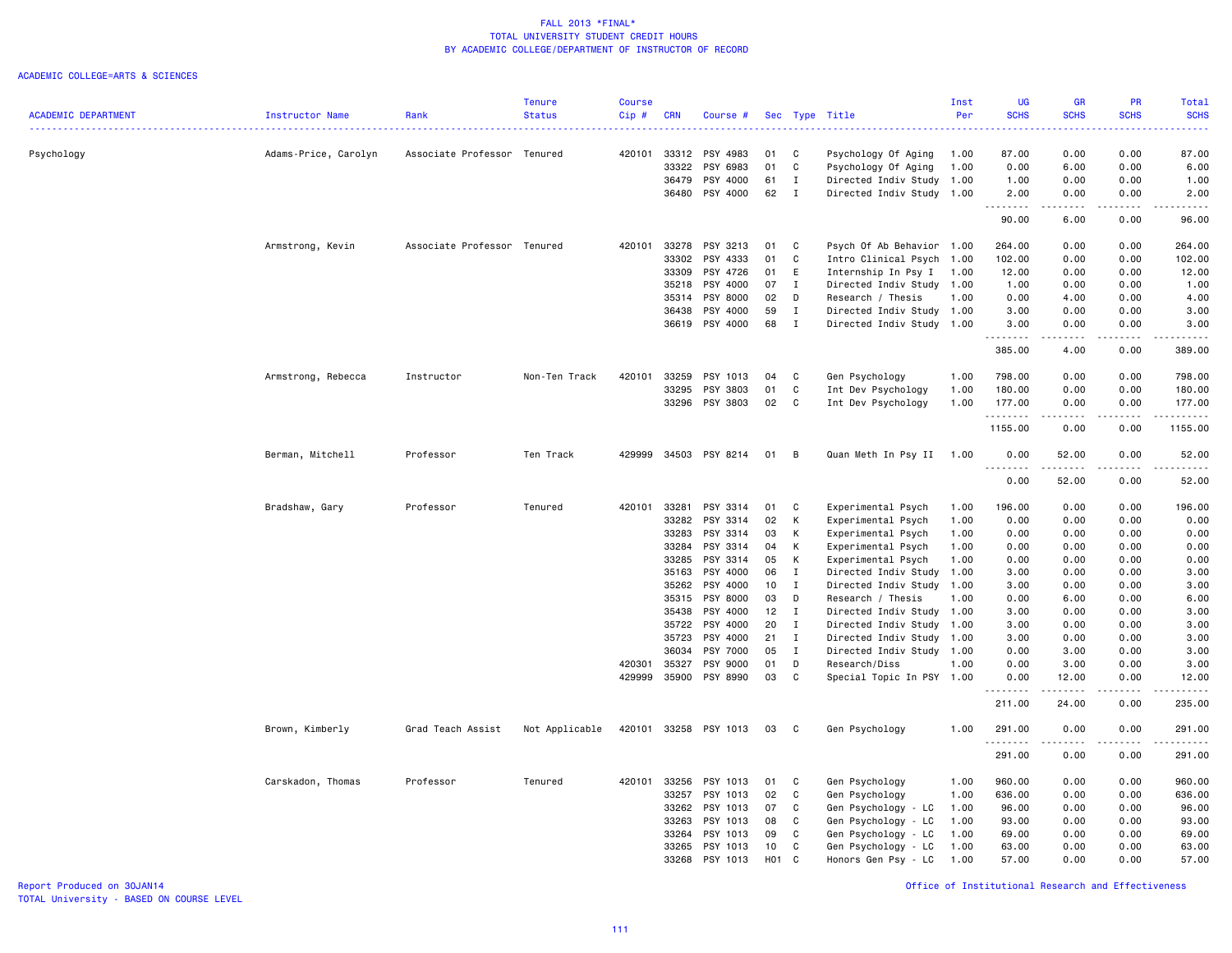### ACADEMIC COLLEGE=ARTS & SCIENCES

|                            |                        |                             | <b>Tenure</b>  | <b>Course</b> |                |                      |            |              |                                                  | Inst | <b>UG</b>              | <b>GR</b>                                                                                                                                            | <b>PR</b>    | Total                                       |
|----------------------------|------------------------|-----------------------------|----------------|---------------|----------------|----------------------|------------|--------------|--------------------------------------------------|------|------------------------|------------------------------------------------------------------------------------------------------------------------------------------------------|--------------|---------------------------------------------|
| <b>ACADEMIC DEPARTMENT</b> | <b>Instructor Name</b> | Rank                        | <b>Status</b>  | Cip#          | <b>CRN</b>     | Course #             |            |              | Sec Type Title                                   | Per  | <b>SCHS</b>            | <b>SCHS</b>                                                                                                                                          | <b>SCHS</b>  | <b>SCHS</b>                                 |
|                            |                        |                             |                |               |                |                      |            |              |                                                  |      |                        |                                                                                                                                                      |              | $\omega_{\rm{eff}}$ and $\omega_{\rm{eff}}$ |
|                            |                        |                             |                |               |                |                      |            |              |                                                  |      |                        |                                                                                                                                                      |              |                                             |
| Psychology                 | Adams-Price, Carolyn   | Associate Professor Tenured |                | 420101        | 33312<br>33322 | PSY 4983             | 01<br>01   | C<br>C       | Psychology Of Aging                              | 1.00 | 87.00<br>0.00          | 0.00                                                                                                                                                 | 0.00         | 87.00<br>6.00                               |
|                            |                        |                             |                |               | 36479          | PSY 6983<br>PSY 4000 | 61         | $\mathbf I$  | Psychology Of Aging<br>Directed Indiv Study 1.00 | 1.00 | 1.00                   | 6.00<br>0.00                                                                                                                                         | 0.00<br>0.00 | 1.00                                        |
|                            |                        |                             |                |               |                |                      | 62         | $\mathbf{I}$ |                                                  |      |                        |                                                                                                                                                      |              |                                             |
|                            |                        |                             |                |               |                | 36480 PSY 4000       |            |              | Directed Indiv Study 1.00                        |      | 2.00<br>.              | 0.00<br>.                                                                                                                                            | 0.00<br>.    | 2.00<br>.                                   |
|                            |                        |                             |                |               |                |                      |            |              |                                                  |      | 90.00                  | 6.00                                                                                                                                                 | 0.00         | 96.00                                       |
|                            | Armstrong, Kevin       | Associate Professor Tenured |                | 420101        | 33278          | PSY 3213             | 01         | C            | Psych Of Ab Behavior 1.00                        |      | 264.00                 | 0.00                                                                                                                                                 | 0.00         | 264.00                                      |
|                            |                        |                             |                |               | 33302          | PSY 4333             | 01         | C            | Intro Clinical Psych 1.00                        |      | 102.00                 | 0.00                                                                                                                                                 | 0.00         | 102.00                                      |
|                            |                        |                             |                |               | 33309          | PSY 4726             | 01         | E            | Internship In Psy I                              | 1.00 | 12.00                  | 0.00                                                                                                                                                 | 0.00         | 12.00                                       |
|                            |                        |                             |                |               | 35218          | PSY 4000             | 07         | Ι.           | Directed Indiv Study                             | 1.00 | 1.00                   | 0.00                                                                                                                                                 | 0.00         | 1.00                                        |
|                            |                        |                             |                |               | 35314          | PSY 8000             | 02         | D            | Research / Thesis                                | 1.00 | 0.00                   | 4.00                                                                                                                                                 | 0.00         | 4.00                                        |
|                            |                        |                             |                |               | 36438          | PSY 4000             | 59         | $\mathbf I$  | Directed Indiv Study                             | 1.00 | 3.00                   | 0.00                                                                                                                                                 | 0.00         | 3.00                                        |
|                            |                        |                             |                |               | 36619          | PSY 4000             | 68         | $\mathbf I$  | Directed Indiv Study 1.00                        |      | 3.00                   | 0.00                                                                                                                                                 | 0.00         | 3.00                                        |
|                            |                        |                             |                |               |                |                      |            |              |                                                  |      |                        |                                                                                                                                                      |              | .                                           |
|                            |                        |                             |                |               |                |                      |            |              |                                                  |      | 385.00                 | 4.00                                                                                                                                                 | 0.00         | 389.00                                      |
|                            | Armstrong, Rebecca     | Instructor                  | Non-Ten Track  | 420101        | 33259          | PSY 1013             | 04         | C            | Gen Psychology                                   | 1.00 | 798.00                 | 0.00                                                                                                                                                 | 0.00         | 798.00                                      |
|                            |                        |                             |                |               | 33295          | PSY 3803             | 01         | C            | Int Dev Psychology                               | 1.00 | 180.00                 | 0.00                                                                                                                                                 | 0.00         | 180.00                                      |
|                            |                        |                             |                |               | 33296          | PSY 3803             | 02         | C            | Int Dev Psychology                               | 1.00 | 177.00                 | 0.00                                                                                                                                                 | 0.00         | 177.00                                      |
|                            |                        |                             |                |               |                |                      |            |              |                                                  |      | .                      | $\frac{1}{2} \left( \frac{1}{2} \right) \left( \frac{1}{2} \right) \left( \frac{1}{2} \right) \left( \frac{1}{2} \right) \left( \frac{1}{2} \right)$ | 22222        | 1.1.1.1.1.1                                 |
|                            |                        |                             |                |               |                |                      |            |              |                                                  |      | 1155.00                | 0.00                                                                                                                                                 | 0.00         | 1155.00                                     |
|                            | Berman, Mitchell       | Professor                   | Ten Track      | 429999        |                | 34503 PSY 8214       | 01         | B            | Quan Meth In Psy II                              | 1.00 | 0.00                   | 52.00                                                                                                                                                | 0.00         | 52.00                                       |
|                            |                        |                             |                |               |                |                      |            |              |                                                  |      | 0.00                   | .<br>52.00                                                                                                                                           | .<br>0.00    | .<br>52.00                                  |
|                            |                        |                             |                |               |                |                      |            |              |                                                  |      |                        |                                                                                                                                                      |              |                                             |
|                            | Bradshaw, Gary         | Professor                   | Tenured        | 420101        | 33281          | PSY 3314             | 01         | C            | Experimental Psych                               | 1.00 | 196.00                 | 0.00                                                                                                                                                 | 0.00         | 196.00                                      |
|                            |                        |                             |                |               | 33282          | PSY 3314             | 02         | К            | Experimental Psych                               | 1.00 | 0.00                   | 0.00                                                                                                                                                 | 0.00         | 0.00                                        |
|                            |                        |                             |                |               | 33283          | PSY 3314             | 03         | К            | Experimental Psych                               | 1.00 | 0.00                   | 0.00                                                                                                                                                 | 0.00         | 0.00                                        |
|                            |                        |                             |                |               | 33284          | PSY 3314             | 04         | к            | Experimental Psych                               | 1.00 | 0.00                   | 0.00                                                                                                                                                 | 0.00         | 0.00                                        |
|                            |                        |                             |                |               | 33285          | PSY 3314             | 05         | K            | Experimental Psych                               | 1.00 | 0.00                   | 0.00                                                                                                                                                 | 0.00         | 0.00                                        |
|                            |                        |                             |                |               | 35163          | PSY 4000             | 06         | $\mathbf{I}$ | Directed Indiv Study                             | 1.00 | 3.00                   | 0.00                                                                                                                                                 | 0.00         | 3.00                                        |
|                            |                        |                             |                |               | 35262          | PSY 4000             | 10         | $\mathbf{I}$ | Directed Indiv Study                             | 1.00 | 3.00                   | 0.00                                                                                                                                                 | 0.00         | 3.00                                        |
|                            |                        |                             |                |               | 35315          | PSY 8000             | 03         | D            | Research / Thesis                                | 1.00 | 0.00                   | 6.00                                                                                                                                                 | 0.00         | 6.00                                        |
|                            |                        |                             |                |               | 35438          | PSY 4000             | 12         | $\mathbf{I}$ | Directed Indiv Study                             | 1.00 | 3.00                   | 0.00                                                                                                                                                 | 0.00         | 3.00                                        |
|                            |                        |                             |                |               | 35722          | PSY 4000             | 20         | $\mathbf{I}$ | Directed Indiv Study                             | 1.00 | 3.00                   | 0.00                                                                                                                                                 | 0.00         | 3.00                                        |
|                            |                        |                             |                |               | 35723          | PSY 4000             | 21         | I            | Directed Indiv Study                             | 1.00 | 3.00                   | 0.00                                                                                                                                                 | 0.00         | 3.00                                        |
|                            |                        |                             |                |               | 36034          | PSY 7000             | 05         | $\mathbf{I}$ | Directed Indiv Study                             | 1.00 | 0.00                   | 3.00                                                                                                                                                 | 0.00         | 3.00                                        |
|                            |                        |                             |                | 420301        | 35327          | PSY 9000             | 01         | D            | Research/Diss                                    | 1.00 | 0.00                   | 3.00                                                                                                                                                 | 0.00         | 3.00                                        |
|                            |                        |                             |                | 429999        | 35900          | PSY 8990             | 03         | $\mathbf c$  | Special Topic In PSY 1.00                        |      | 0.00                   | 12.00                                                                                                                                                | 0.00         | 12.00                                       |
|                            |                        |                             |                |               |                |                      |            |              |                                                  |      | 211.00                 | 24.00                                                                                                                                                | 0.00         | 235.00                                      |
|                            |                        |                             |                |               |                |                      |            |              |                                                  |      |                        |                                                                                                                                                      |              |                                             |
|                            | Brown, Kimberly        | Grad Teach Assist           | Not Applicable | 420101        |                | 33258 PSY 1013       | 03         | C.           | Gen Psychology                                   | 1.00 | 291.00<br>. <u>.</u> . | 0.00                                                                                                                                                 | 0.00         | 291.00                                      |
|                            |                        |                             |                |               |                |                      |            |              |                                                  |      | 291.00                 | 0.00                                                                                                                                                 | 0.00         | 291.00                                      |
|                            | Carskadon, Thomas      | Professor                   | Tenured        | 420101        | 33256          | PSY 1013             | 01         | C            | Gen Psychology                                   | 1.00 | 960.00                 | 0.00                                                                                                                                                 | 0.00         | 960.00                                      |
|                            |                        |                             |                |               | 33257          | PSY 1013             | 02         | C            | Gen Psychology                                   | 1.00 | 636.00                 | 0.00                                                                                                                                                 | 0.00         | 636.00                                      |
|                            |                        |                             |                |               | 33262          | PSY 1013             | 07         | C            | Gen Psychology - LC                              | 1.00 | 96.00                  | 0.00                                                                                                                                                 | 0.00         | 96.00                                       |
|                            |                        |                             |                |               | 33263          | PSY 1013             | 08         | C            | Gen Psychology - LC                              | 1.00 | 93.00                  | 0.00                                                                                                                                                 | 0.00         | 93.00                                       |
|                            |                        |                             |                |               | 33264          | PSY 1013             | 09         | C            | Gen Psychology - LC                              | 1.00 | 69.00                  | 0.00                                                                                                                                                 | 0.00         | 69.00                                       |
|                            |                        |                             |                |               | 33265          | PSY 1013             | 10         | C            | Gen Psychology - LC                              | 1.00 | 63.00                  | 0.00                                                                                                                                                 | 0.00         | 63.00                                       |
|                            |                        |                             |                |               | 33268          | PSY 1013             | <b>HO1</b> | $\mathbf{C}$ | Honors Gen Psy - LC                              | 1.00 | 57.00                  | 0.00                                                                                                                                                 | 0.00         | 57.00                                       |
|                            |                        |                             |                |               |                |                      |            |              |                                                  |      |                        |                                                                                                                                                      |              |                                             |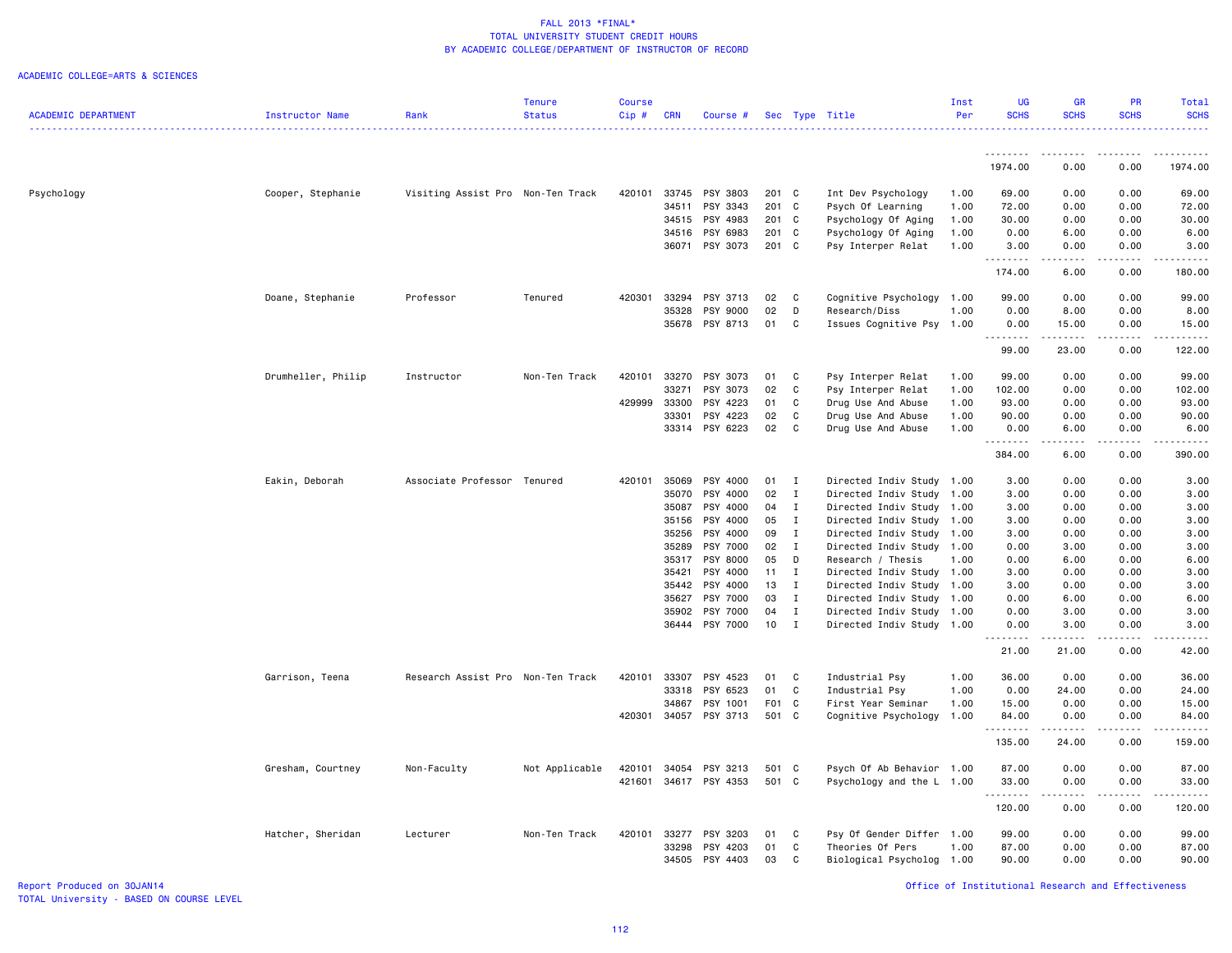### ACADEMIC COLLEGE=ARTS & SCIENCES

|                            |                    |                                   | Tenure         | <b>Course</b> |            |                            |          |                              |                                                        | Inst | <b>UG</b>           | GR                    | <b>PR</b>    | Total                    |
|----------------------------|--------------------|-----------------------------------|----------------|---------------|------------|----------------------------|----------|------------------------------|--------------------------------------------------------|------|---------------------|-----------------------|--------------|--------------------------|
| <b>ACADEMIC DEPARTMENT</b> | Instructor Name    | Rank                              | <b>Status</b>  | Cip#          | <b>CRN</b> | Course #                   |          |                              | Sec Type Title                                         | Per  | <b>SCHS</b>         | <b>SCHS</b>           | <b>SCHS</b>  | <b>SCHS</b><br>2.2.2.2.1 |
|                            |                    |                                   |                |               |            |                            |          |                              |                                                        |      |                     |                       |              |                          |
|                            |                    |                                   |                |               |            |                            |          |                              |                                                        |      | <u>.</u><br>1974.00 | 0.00                  | 0.00         | 1974.00                  |
|                            |                    |                                   |                |               |            |                            |          |                              |                                                        |      |                     |                       |              |                          |
| Psychology                 | Cooper, Stephanie  | Visiting Assist Pro Non-Ten Track |                | 420101        | 33745      | PSY 3803                   | 201 C    |                              | Int Dev Psychology                                     | 1.00 | 69.00               | 0.00                  | 0.00         | 69.00                    |
|                            |                    |                                   |                |               | 34511      | PSY 3343                   | 201 C    |                              | Psych Of Learning                                      | 1.00 | 72.00               | 0.00                  | 0.00         | 72.00                    |
|                            |                    |                                   |                |               | 34515      | PSY 4983                   | 201 C    |                              | Psychology Of Aging                                    | 1.00 | 30.00               | 0.00                  | 0.00         | 30.00                    |
|                            |                    |                                   |                |               | 34516      | PSY 6983                   | 201 C    |                              | Psychology Of Aging                                    | 1.00 | 0.00                | 6.00                  | 0.00         | 6.00                     |
|                            |                    |                                   |                |               |            | 36071 PSY 3073             | 201 C    |                              | Psy Interper Relat                                     | 1.00 | 3.00<br>.           | 0.00<br>.             | 0.00<br>.    | 3.00<br>.                |
|                            |                    |                                   |                |               |            |                            |          |                              |                                                        |      | 174.00              | 6.00                  | 0.00         | 180.00                   |
|                            | Doane, Stephanie   | Professor                         | Tenured        | 420301        | 33294      | PSY 3713                   | 02       | $\mathbf{C}$                 | Cognitive Psychology 1.00                              |      | 99.00               | 0.00                  | 0.00         | 99.00                    |
|                            |                    |                                   |                |               | 35328      | PSY 9000                   | 02       | D                            | Research/Diss                                          | 1.00 | 0.00                | 8.00                  | 0.00         | 8.00                     |
|                            |                    |                                   |                |               | 35678      | PSY 8713                   | 01       | C                            | Issues Cognitive Psy                                   | 1.00 | 0.00                | 15.00                 | 0.00         | 15.00                    |
|                            |                    |                                   |                |               |            |                            |          |                              |                                                        |      | 99.00               | 23.00                 | 0.00         | 122.00                   |
|                            | Drumheller, Philip | Instructor                        | Non-Ten Track  | 420101        | 33270      | PSY 3073                   | 01       | C                            | Psy Interper Relat                                     | 1.00 | 99.00               | 0.00                  | 0.00         | 99.00                    |
|                            |                    |                                   |                |               | 33271      | PSY 3073                   | 02       | C                            | Psy Interper Relat                                     | 1.00 | 102.00              | 0.00                  | 0.00         | 102.00                   |
|                            |                    |                                   |                | 429999        | 33300      | PSY 4223                   | 01       | C                            | Drug Use And Abuse                                     | 1.00 | 93.00               | 0.00                  | 0.00         | 93.00                    |
|                            |                    |                                   |                |               | 33301      | PSY 4223                   | 02       | C                            | Drug Use And Abuse                                     | 1.00 | 90.00               | 0.00                  | 0.00         | 90.00                    |
|                            |                    |                                   |                |               |            | 33314 PSY 6223             | 02       | C                            | Drug Use And Abuse                                     | 1.00 | 0.00                | 6.00                  | 0.00         | 6.00                     |
|                            |                    |                                   |                |               |            |                            |          |                              |                                                        |      | .<br>384.00         | .<br>6.00             | .<br>0.00    | .<br>390.00              |
|                            | Eakin, Deborah     | Associate Professor Tenured       |                | 420101        | 35069      | PSY 4000                   | 01       | $\mathbf I$                  | Directed Indiv Study 1.00                              |      | 3.00                | 0.00                  | 0.00         | 3.00                     |
|                            |                    |                                   |                |               | 35070      | PSY 4000                   | 02       | $\mathbf{I}$                 | Directed Indiv Study                                   | 1.00 | 3.00                | 0.00                  | 0.00         | 3.00                     |
|                            |                    |                                   |                |               | 35087      | PSY 4000                   | 04       | $\mathbf{I}$                 | Directed Indiv Study                                   | 1.00 | 3.00                | 0.00                  | 0.00         | 3.00                     |
|                            |                    |                                   |                |               | 35156      | PSY 4000                   | 05       | $\mathbf{I}$                 | Directed Indiv Study 1.00                              |      | 3.00                | 0.00                  | 0.00         | 3.00                     |
|                            |                    |                                   |                |               | 35256      | PSY 4000                   | 09       | Ι.                           | Directed Indiv Study                                   | 1.00 | 3.00                | 0.00                  | 0.00         | 3.00                     |
|                            |                    |                                   |                |               | 35289      | <b>PSY 7000</b>            | 02       | $\mathbf I$                  | Directed Indiv Study 1.00                              |      | 0.00                | 3.00                  | 0.00         | 3.00                     |
|                            |                    |                                   |                |               | 35317      | PSY 8000                   | 05       | D                            | Research / Thesis                                      | 1.00 | 0.00                | 6.00                  | 0.00         | 6.00                     |
|                            |                    |                                   |                |               | 35421      | PSY 4000                   | 11       | $\mathbf{I}$                 | Directed Indiv Study 1.00                              |      | 3.00                | 0.00                  | 0.00         | 3.00                     |
|                            |                    |                                   |                |               | 35442      | PSY 4000                   | 13       | $\mathbf I$                  | Directed Indiv Study 1.00                              |      | 3.00                | 0.00                  | 0.00         | 3.00                     |
|                            |                    |                                   |                |               | 35627      | PSY 7000                   | 03       | $\mathbf{I}$                 | Directed Indiv Study 1.00                              |      | 0.00                | 6.00                  | 0.00         | 6.00                     |
|                            |                    |                                   |                |               | 35902      | PSY 7000<br>36444 PSY 7000 | 04<br>10 | $\mathbf{I}$<br>$\mathbf{I}$ | Directed Indiv Study 1.00<br>Directed Indiv Study 1.00 |      | 0.00<br>0.00        | 3.00<br>3.00          | 0.00<br>0.00 | 3.00<br>3.00             |
|                            |                    |                                   |                |               |            |                            |          |                              |                                                        |      | .                   | .                     | .            | .                        |
|                            |                    |                                   |                |               |            |                            |          |                              |                                                        |      | 21.00               | 21.00                 | 0.00         | 42.00                    |
|                            | Garrison, Teena    | Research Assist Pro Non-Ten Track |                | 420101        | 33307      | PSY 4523                   | 01       | C                            | Industrial Psy                                         | 1.00 | 36.00               | 0.00                  | 0.00         | 36.00                    |
|                            |                    |                                   |                |               | 33318      | PSY 6523                   | 01       | C                            | Industrial Psy                                         | 1.00 | 0.00                | 24.00                 | 0.00         | 24.00                    |
|                            |                    |                                   |                |               | 34867      | PSY 1001                   | F01 C    |                              | First Year Seminar                                     | 1.00 | 15.00               | 0.00                  | 0.00         | 15.00                    |
|                            |                    |                                   |                | 420301        |            | 34057 PSY 3713             | 501 C    |                              | Cognitive Psychology                                   | 1.00 | 84.00<br>.          | 0.00<br>.             | 0.00         | 84.00<br>.               |
|                            |                    |                                   |                |               |            |                            |          |                              |                                                        |      | 135.00              | 24.00                 | 0.00         | 159.00                   |
|                            | Gresham, Courtney  | Non-Faculty                       | Not Applicable | 420101        | 34054      | PSY 3213                   | 501 C    |                              | Psych Of Ab Behavior 1.00                              |      | 87.00               | 0.00                  | 0.00         | 87.00                    |
|                            |                    |                                   |                |               |            | 421601 34617 PSY 4353      | 501 C    |                              | Psychology and the L 1.00                              |      | 33.00<br>.          | 0.00<br>المتمام المنا | 0.00<br>.    | 33.00<br>.               |
|                            |                    |                                   |                |               |            |                            |          |                              |                                                        |      | 120.00              | 0.00                  | 0.00         | 120.00                   |
|                            | Hatcher, Sheridan  | Lecturer                          | Non-Ten Track  | 420101        | 33277      | PSY 3203                   | 01       | C                            | Psy Of Gender Differ 1.00                              |      | 99.00               | 0.00                  | 0.00         | 99.00                    |
|                            |                    |                                   |                |               | 33298      | PSY 4203                   | 01       | C                            | Theories Of Pers                                       | 1.00 | 87.00               | 0.00                  | 0.00         | 87.00                    |
|                            |                    |                                   |                |               | 34505      | PSY 4403                   | 03       | C                            | Biological Psycholog                                   | 1.00 | 90.00               | 0.00                  | 0.00         | 90.00                    |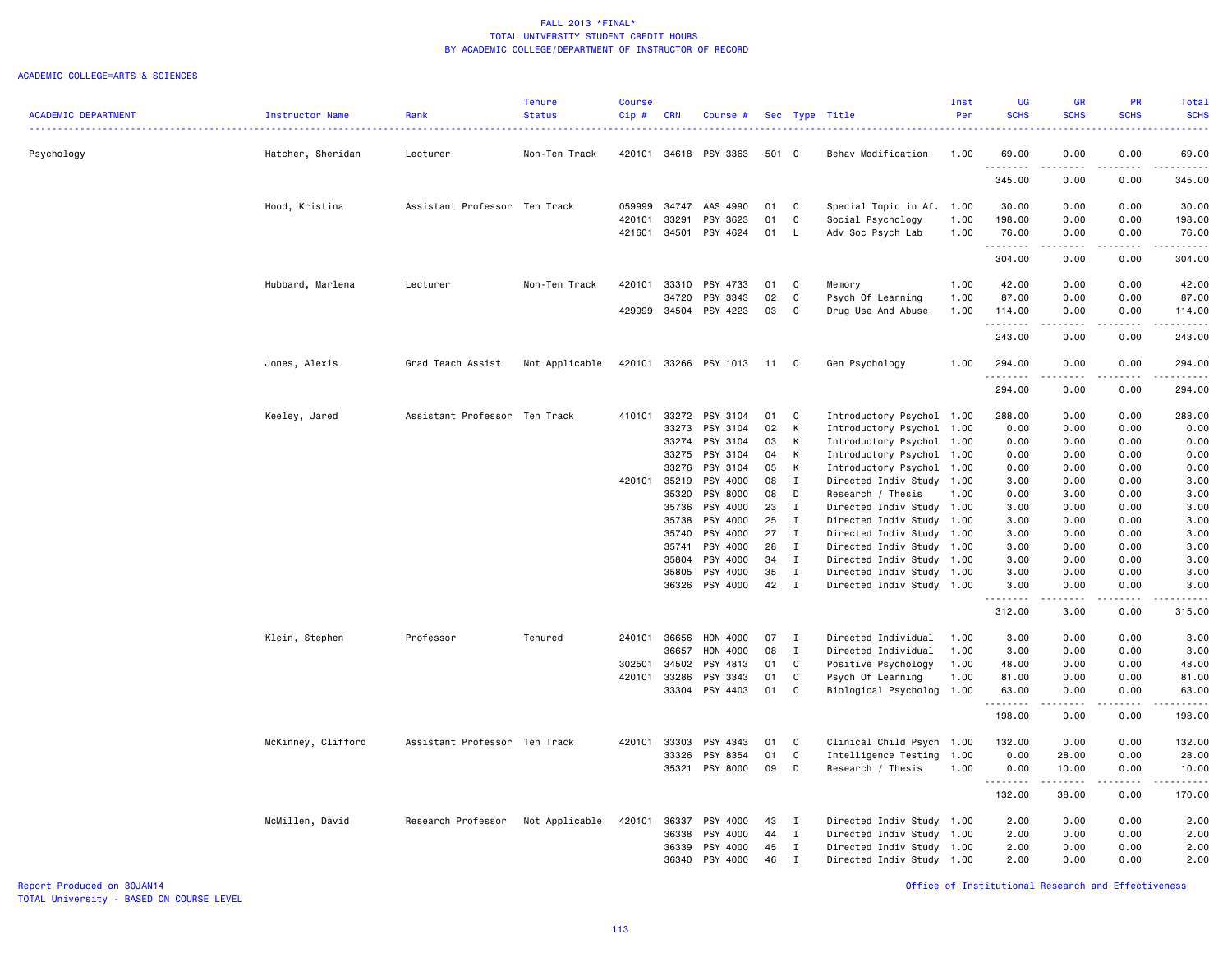### ACADEMIC COLLEGE=ARTS & SCIENCES

|                            |                    |                               | <b>Tenure</b>  | <b>Course</b>    |                |                      |          |              |                           | Inst         | <b>UG</b>             | <b>GR</b>                                                                                                                                            | PR                                                                                                                        | Total           |
|----------------------------|--------------------|-------------------------------|----------------|------------------|----------------|----------------------|----------|--------------|---------------------------|--------------|-----------------------|------------------------------------------------------------------------------------------------------------------------------------------------------|---------------------------------------------------------------------------------------------------------------------------|-----------------|
| <b>ACADEMIC DEPARTMENT</b> | Instructor Name    | Rank                          | <b>Status</b>  | Cip#             | <b>CRN</b>     | Course #             |          |              | Sec Type Title            | Per          | <b>SCHS</b>           | <b>SCHS</b>                                                                                                                                          | <b>SCHS</b>                                                                                                               | <b>SCHS</b>     |
|                            |                    |                               |                |                  |                |                      |          |              |                           |              |                       |                                                                                                                                                      |                                                                                                                           | الدائد ب        |
|                            |                    |                               |                |                  |                |                      |          |              |                           |              |                       |                                                                                                                                                      |                                                                                                                           |                 |
| Psychology                 | Hatcher, Sheridan  | Lecturer                      | Non-Ten Track  | 420101           |                | 34618 PSY 3363       | 501 C    |              | Behav Modification        | 1.00         | 69.00                 | 0.00                                                                                                                                                 | 0.00                                                                                                                      | 69.00           |
|                            |                    |                               |                |                  |                |                      |          |              |                           |              | .                     | .                                                                                                                                                    | $\frac{1}{2} \left( \frac{1}{2} \right) \left( \frac{1}{2} \right) \left( \frac{1}{2} \right) \left( \frac{1}{2} \right)$ | .               |
|                            |                    |                               |                |                  |                |                      |          |              |                           |              | 345.00                | 0.00                                                                                                                                                 | 0.00                                                                                                                      | 345.00          |
|                            |                    |                               |                |                  |                |                      |          |              |                           |              |                       |                                                                                                                                                      |                                                                                                                           |                 |
|                            | Hood, Kristina     | Assistant Professor Ten Track |                | 059999           | 34747          | AAS 4990             | 01       | C            | Special Topic in Af. 1.00 |              | 30.00                 | 0.00                                                                                                                                                 | 0.00                                                                                                                      | 30.00           |
|                            |                    |                               |                | 420101<br>421601 | 33291<br>34501 | PSY 3623<br>PSY 4624 | 01<br>01 | C            | Social Psychology         | 1.00<br>1.00 | 198.00<br>76.00       | 0.00                                                                                                                                                 | 0.00<br>0.00                                                                                                              | 198.00<br>76.00 |
|                            |                    |                               |                |                  |                |                      |          | L.           | Adv Soc Psych Lab         |              | <u> - - - - - - -</u> | 0.00<br>.                                                                                                                                            | $\omega$ $\omega$ $\omega$ $\omega$                                                                                       | <u>.</u>        |
|                            |                    |                               |                |                  |                |                      |          |              |                           |              | 304.00                | 0.00                                                                                                                                                 | 0.00                                                                                                                      | 304.00          |
|                            |                    |                               |                |                  |                |                      |          |              |                           |              |                       |                                                                                                                                                      |                                                                                                                           |                 |
|                            | Hubbard, Marlena   | Lecturer                      | Non-Ten Track  | 420101           | 33310          | PSY 4733             | 01       | C            | Memory                    | 1.00         | 42.00                 | 0.00                                                                                                                                                 | 0.00                                                                                                                      | 42.00           |
|                            |                    |                               |                |                  | 34720          | PSY 3343             | 02       | C            | Psych Of Learning         | 1.00         | 87.00                 | 0.00                                                                                                                                                 | 0.00                                                                                                                      | 87.00           |
|                            |                    |                               |                | 429999           | 34504          | PSY 4223             | 03       | C            | Drug Use And Abuse        | 1.00         | 114.00                | 0.00                                                                                                                                                 | 0.00                                                                                                                      | 114.00          |
|                            |                    |                               |                |                  |                |                      |          |              |                           |              | .                     |                                                                                                                                                      |                                                                                                                           | .               |
|                            |                    |                               |                |                  |                |                      |          |              |                           |              | 243.00                | 0.00                                                                                                                                                 | 0.00                                                                                                                      | 243.00          |
|                            |                    |                               |                |                  |                |                      |          |              |                           |              |                       |                                                                                                                                                      |                                                                                                                           |                 |
|                            | Jones, Alexis      | Grad Teach Assist             | Not Applicable | 420101           | 33266          | PSY 1013             | 11       | C            | Gen Psychology            | 1.00         | 294.00                | 0.00                                                                                                                                                 | 0.00                                                                                                                      | 294.00          |
|                            |                    |                               |                |                  |                |                      |          |              |                           |              | .                     |                                                                                                                                                      |                                                                                                                           | .               |
|                            |                    |                               |                |                  |                |                      |          |              |                           |              | 294.00                | 0.00                                                                                                                                                 | 0.00                                                                                                                      | 294.00          |
|                            |                    |                               |                |                  |                |                      |          |              |                           |              |                       |                                                                                                                                                      |                                                                                                                           |                 |
|                            | Keeley, Jared      | Assistant Professor Ten Track |                | 410101           | 33272          | PSY 3104             | 01       | C            | Introductory Psychol 1.00 |              | 288.00                | 0.00                                                                                                                                                 | 0.00                                                                                                                      | 288.00          |
|                            |                    |                               |                |                  | 33273          | PSY 3104             | 02       | К            | Introductory Psychol 1.00 |              | 0.00                  | 0.00                                                                                                                                                 | 0.00                                                                                                                      | 0.00            |
|                            |                    |                               |                |                  | 33274          | PSY 3104             | 03       | К            | Introductory Psychol 1.00 |              | 0.00                  | 0.00                                                                                                                                                 | 0.00                                                                                                                      | 0.00            |
|                            |                    |                               |                |                  | 33275          | PSY 3104             | 04       | Κ            | Introductory Psychol 1.00 |              | 0.00                  | 0.00                                                                                                                                                 | 0.00                                                                                                                      | 0.00            |
|                            |                    |                               |                |                  | 33276          | PSY 3104             | 05       | К            | Introductory Psychol 1.00 |              | 0.00                  | 0.00                                                                                                                                                 | 0.00                                                                                                                      | 0.00            |
|                            |                    |                               |                | 420101 35219     |                | PSY 4000             | 08       | $\mathbf{I}$ | Directed Indiv Study 1.00 |              | 3.00                  | 0.00                                                                                                                                                 | 0.00                                                                                                                      | 3.00            |
|                            |                    |                               |                |                  | 35320          | PSY 8000             | 08       | D            | Research / Thesis         | 1.00         | 0.00                  | 3.00                                                                                                                                                 | 0.00                                                                                                                      | 3.00            |
|                            |                    |                               |                |                  | 35736          | PSY 4000             | 23       | $\mathbf{I}$ | Directed Indiv Study 1.00 |              | 3.00                  | 0.00                                                                                                                                                 | 0.00                                                                                                                      | 3.00            |
|                            |                    |                               |                |                  | 35738          | PSY 4000             | 25       | $\mathbf{I}$ | Directed Indiv Study 1.00 |              | 3.00                  | 0.00                                                                                                                                                 | 0.00                                                                                                                      | 3.00            |
|                            |                    |                               |                |                  | 35740          | PSY 4000             | 27       | $\mathbf{I}$ | Directed Indiv Study 1.00 |              | 3.00                  | 0.00                                                                                                                                                 | 0.00                                                                                                                      | 3.00            |
|                            |                    |                               |                |                  | 35741          | PSY 4000             | 28       | $\mathbf{I}$ | Directed Indiv Study 1.00 |              | 3.00                  | 0.00                                                                                                                                                 | 0.00                                                                                                                      | 3.00            |
|                            |                    |                               |                |                  | 35804          | PSY 4000             | 34       | $\mathbf{I}$ | Directed Indiv Study 1.00 |              | 3.00                  | 0.00                                                                                                                                                 | 0.00                                                                                                                      | 3.00            |
|                            |                    |                               |                |                  | 35805          | PSY 4000             | 35       | $\mathbf{I}$ | Directed Indiv Study 1.00 |              | 3.00                  | 0.00                                                                                                                                                 | 0.00                                                                                                                      | 3.00            |
|                            |                    |                               |                |                  | 36326          | PSY 4000             | 42       | $\mathbf{I}$ | Directed Indiv Study 1.00 |              | 3.00                  | 0.00                                                                                                                                                 | 0.00                                                                                                                      | 3.00            |
|                            |                    |                               |                |                  |                |                      |          |              |                           |              | .                     | $\frac{1}{2} \left( \frac{1}{2} \right) \left( \frac{1}{2} \right) \left( \frac{1}{2} \right) \left( \frac{1}{2} \right) \left( \frac{1}{2} \right)$ | .                                                                                                                         | .               |
|                            |                    |                               |                |                  |                |                      |          |              |                           |              | 312.00                | 3.00                                                                                                                                                 | 0.00                                                                                                                      | 315.00          |
|                            |                    |                               |                |                  |                |                      |          |              |                           |              |                       |                                                                                                                                                      |                                                                                                                           |                 |
|                            | Klein, Stephen     | Professor                     | Tenured        | 240101           | 36656          | HON 4000             | 07       | $\mathbf{I}$ | Directed Individual       | 1.00         | 3.00                  | 0.00                                                                                                                                                 | 0.00                                                                                                                      | 3.00            |
|                            |                    |                               |                |                  | 36657          | HON 4000             | 08       | $\bf{I}$     | Directed Individual       | 1.00         | 3.00                  | 0.00                                                                                                                                                 | 0.00                                                                                                                      | 3.00            |
|                            |                    |                               |                | 302501           | 34502          | PSY 4813             | 01       | C            | Positive Psychology       | 1.00         | 48.00                 | 0.00                                                                                                                                                 | 0.00                                                                                                                      | 48.00           |
|                            |                    |                               |                | 420101           | 33286          | PSY 3343             | 01       | C            | Psych Of Learning         | 1.00         | 81.00                 | 0.00                                                                                                                                                 | 0.00                                                                                                                      | 81.00           |
|                            |                    |                               |                |                  | 33304          | PSY 4403             | 01       | C            | Biological Psycholog      | 1.00         | 63.00                 | 0.00                                                                                                                                                 | 0.00                                                                                                                      | 63.00           |
|                            |                    |                               |                |                  |                |                      |          |              |                           |              | .                     | .                                                                                                                                                    | .                                                                                                                         | .               |
|                            |                    |                               |                |                  |                |                      |          |              |                           |              | 198.00                | 0.00                                                                                                                                                 | 0.00                                                                                                                      | 198.00          |
|                            |                    |                               |                |                  |                |                      |          |              |                           |              |                       |                                                                                                                                                      |                                                                                                                           |                 |
|                            | McKinney, Clifford | Assistant Professor Ten Track |                | 420101           | 33303          | PSY 4343             | 01       | C            | Clinical Child Psych 1.00 |              | 132.00                | 0.00                                                                                                                                                 | 0.00                                                                                                                      | 132.00          |
|                            |                    |                               |                |                  | 33326          | PSY 8354             | 01       | C            | Intelligence Testing      | 1.00         | 0.00                  | 28.00                                                                                                                                                | 0.00                                                                                                                      | 28.00           |
|                            |                    |                               |                |                  | 35321          | PSY 8000             | 09       | D            | Research / Thesis         | 1.00         | 0.00                  | 10.00                                                                                                                                                | 0.00                                                                                                                      | 10.00           |
|                            |                    |                               |                |                  |                |                      |          |              |                           |              | .                     | .                                                                                                                                                    | .                                                                                                                         | .               |
|                            |                    |                               |                |                  |                |                      |          |              |                           |              | 132.00                | 38.00                                                                                                                                                | 0.00                                                                                                                      | 170.00          |
|                            |                    |                               |                |                  |                |                      |          |              |                           |              |                       |                                                                                                                                                      |                                                                                                                           |                 |
|                            | McMillen, David    | Research Professor            | Not Applicable | 420101           | 36337          | PSY 4000             | 43       | $\mathbf{I}$ | Directed Indiv Study 1.00 |              | 2.00                  | 0.00                                                                                                                                                 | 0.00                                                                                                                      | 2.00            |
|                            |                    |                               |                |                  | 36338          | PSY 4000             | 44       | $\mathbf{I}$ | Directed Indiv Study 1.00 |              | 2.00                  | 0.00                                                                                                                                                 | 0.00                                                                                                                      | 2.00            |
|                            |                    |                               |                |                  | 36339          | PSY 4000             | 45       | $\mathbf{I}$ | Directed Indiv Study 1.00 |              | 2.00                  | 0.00                                                                                                                                                 | 0.00                                                                                                                      | 2.00            |
|                            |                    |                               |                |                  | 36340          | PSY 4000             | 46       | $\mathbf{I}$ | Directed Indiv Study 1.00 |              | 2.00                  | 0.00                                                                                                                                                 | 0.00                                                                                                                      | 2.00            |
|                            |                    |                               |                |                  |                |                      |          |              |                           |              |                       |                                                                                                                                                      |                                                                                                                           |                 |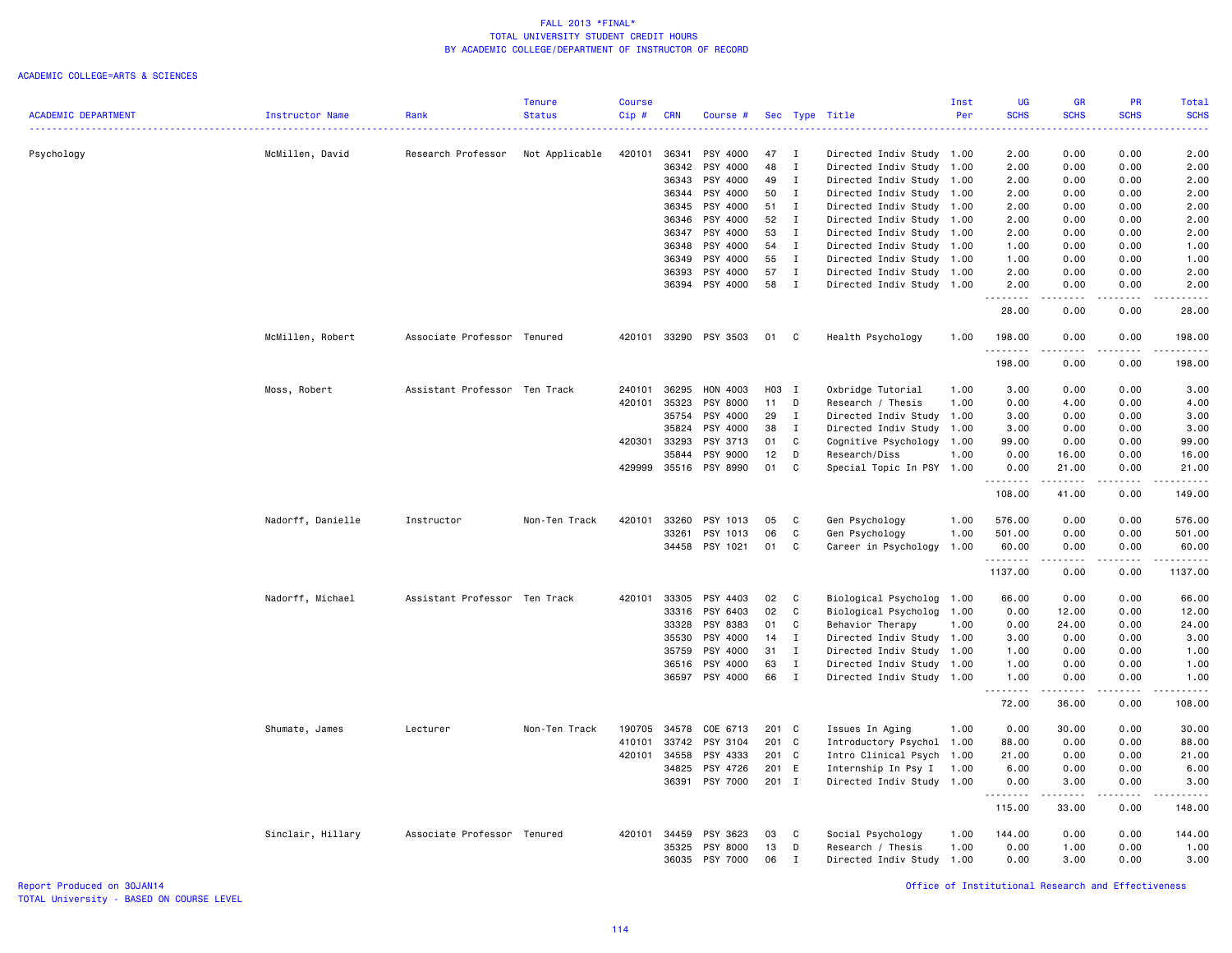### ACADEMIC COLLEGE=ARTS & SCIENCES

|                            |                        |                               | <b>Tenure</b>  | <b>Course</b> |            |                |       |              |                           | Inst | UG           | <b>GR</b>     | <b>PR</b>                                                                                                                         | Total                                                                                                                                                         |
|----------------------------|------------------------|-------------------------------|----------------|---------------|------------|----------------|-------|--------------|---------------------------|------|--------------|---------------|-----------------------------------------------------------------------------------------------------------------------------------|---------------------------------------------------------------------------------------------------------------------------------------------------------------|
| <b>ACADEMIC DEPARTMENT</b> | <b>Instructor Name</b> | Rank                          | <b>Status</b>  | Cip#          | <b>CRN</b> | Course #       |       | Sec Type     | Title                     | Per  | <b>SCHS</b>  | <b>SCHS</b>   | <b>SCHS</b>                                                                                                                       | <b>SCHS</b>                                                                                                                                                   |
| Psychology                 | McMillen, David        | Research Professor            | Not Applicable | 420101        | 36341      | PSY 4000       | 47    | I            | Directed Indiv Study      | 1.00 | 2.00         | 0.00          | 0.00                                                                                                                              | 2.00                                                                                                                                                          |
|                            |                        |                               |                |               | 36342      | PSY 4000       | 48    | T            | Directed Indiv Study      | 1.00 | 2.00         | 0.00          | 0.00                                                                                                                              | 2.00                                                                                                                                                          |
|                            |                        |                               |                |               | 36343      | PSY 4000       | 49    | $\mathbf I$  | Directed Indiv Study      | 1.00 | 2.00         | 0.00          | 0.00                                                                                                                              | 2.00                                                                                                                                                          |
|                            |                        |                               |                |               | 36344      | PSY 4000       | 50    | $\mathbf I$  | Directed Indiv Study      | 1.00 | 2.00         | 0.00          | 0.00                                                                                                                              | 2.00                                                                                                                                                          |
|                            |                        |                               |                |               | 36345      | PSY 4000       | 51    | $\mathbf{I}$ | Directed Indiv Study      | 1.00 | 2.00         | 0.00          | 0.00                                                                                                                              | 2.00                                                                                                                                                          |
|                            |                        |                               |                |               | 36346      | PSY 4000       | 52    | I            | Directed Indiv Study      | 1.00 | 2.00         | 0.00          | 0.00                                                                                                                              | 2.00                                                                                                                                                          |
|                            |                        |                               |                |               | 36347      | PSY 4000       | 53    | $\mathbf I$  | Directed Indiv Study      | 1.00 | 2.00         | 0.00          | 0.00                                                                                                                              | 2.00                                                                                                                                                          |
|                            |                        |                               |                |               | 36348      | PSY 4000       | 54    | $\mathbf{I}$ | Directed Indiv Study 1.00 |      | 1.00         | 0.00          | 0.00                                                                                                                              | 1.00                                                                                                                                                          |
|                            |                        |                               |                |               | 36349      | PSY 4000       | 55    | $\mathbf{I}$ | Directed Indiv Study      | 1.00 | 1.00         | 0.00          | 0.00                                                                                                                              | 1.00                                                                                                                                                          |
|                            |                        |                               |                |               | 36393      | PSY 4000       | 57    | $\mathbf{I}$ | Directed Indiv Study 1.00 |      | 2.00         | 0.00          | 0.00                                                                                                                              | 2.00                                                                                                                                                          |
|                            |                        |                               |                |               | 36394      | PSY 4000       | 58    | $\mathbf{I}$ | Directed Indiv Study 1.00 |      | 2.00         | 0.00          | 0.00                                                                                                                              | 2.00                                                                                                                                                          |
|                            |                        |                               |                |               |            |                |       |              |                           |      | .<br>28.00   | .<br>0.00     | $\frac{1}{2} \left( \frac{1}{2} \right) \left( \frac{1}{2} \right) \left( \frac{1}{2} \right) \left( \frac{1}{2} \right)$<br>0.00 | $\frac{1}{2} \left( \frac{1}{2} \right) \left( \frac{1}{2} \right) \left( \frac{1}{2} \right) \left( \frac{1}{2} \right) \left( \frac{1}{2} \right)$<br>28.00 |
|                            | McMillen, Robert       | Associate Professor Tenured   |                | 420101        |            | 33290 PSY 3503 | 01    | C            | Health Psychology         | 1.00 | 198.00<br>.  | 0.00          | 0.00<br>$\frac{1}{2}$                                                                                                             | 198.00<br>.                                                                                                                                                   |
|                            |                        |                               |                |               |            |                |       |              |                           |      | 198.00       | 0.00          | 0.00                                                                                                                              | 198.00                                                                                                                                                        |
|                            | Moss, Robert           | Assistant Professor Ten Track |                | 240101        | 36295      | HON 4003       | H03 I |              | Oxbridge Tutorial         | 1.00 | 3.00         | 0.00          | 0.00                                                                                                                              | 3.00                                                                                                                                                          |
|                            |                        |                               |                | 420101        | 35323      | PSY 8000       | 11    | D            | Research / Thesis         | 1.00 | 0.00         | 4.00          | 0.00                                                                                                                              | 4.00                                                                                                                                                          |
|                            |                        |                               |                |               | 35754      | PSY 4000       | 29    | I            | Directed Indiv Study      | 1.00 | 3.00         | 0.00          | 0.00                                                                                                                              | 3.00                                                                                                                                                          |
|                            |                        |                               |                |               | 35824      | PSY 4000       | 38    | I            | Directed Indiv Study      | 1.00 | 3.00         | 0.00          | 0.00                                                                                                                              | 3.00                                                                                                                                                          |
|                            |                        |                               |                | 420301        | 33293      | PSY 3713       | 01    | C            | Cognitive Psychology      | 1.00 | 99.00        | 0.00          | 0.00                                                                                                                              | 99.00                                                                                                                                                         |
|                            |                        |                               |                |               | 35844      | PSY 9000       | 12    | D            | Research/Diss             | 1.00 | 0.00         | 16.00         | 0.00                                                                                                                              | 16.00                                                                                                                                                         |
|                            |                        |                               |                | 429999        | 35516      | PSY 8990       | 01    | C            | Special Topic In PSY 1.00 |      | 0.00<br>.    | 21.00         | 0.00                                                                                                                              | 21.00                                                                                                                                                         |
|                            |                        |                               |                |               |            |                |       |              |                           |      | 108.00       | 41.00         | 0.00                                                                                                                              | 149.00                                                                                                                                                        |
|                            | Nadorff, Danielle      | Instructor                    | Non-Ten Track  | 420101        | 33260      | PSY 1013       | 05    | C.           | Gen Psychology            | 1.00 | 576.00       | 0.00          | 0.00                                                                                                                              | 576.00                                                                                                                                                        |
|                            |                        |                               |                |               | 33261      | PSY 1013       | 06    | C            | Gen Psychology            | 1.00 | 501.00       | 0.00          | 0.00                                                                                                                              | 501.00                                                                                                                                                        |
|                            |                        |                               |                |               | 34458      | PSY 1021       | 01    | C            | Career in Psychology      | 1.00 | 60.00        | 0.00          | 0.00                                                                                                                              | 60.00                                                                                                                                                         |
|                            |                        |                               |                |               |            |                |       |              |                           |      | .<br>1137.00 | -----<br>0.00 | .<br>0.00                                                                                                                         | .<br>1137.00                                                                                                                                                  |
|                            | Nadorff, Michael       | Assistant Professor Ten Track |                | 420101        | 33305      | PSY 4403       | 02    | C            | Biological Psycholog      | 1.00 | 66.00        | 0.00          | 0.00                                                                                                                              | 66.00                                                                                                                                                         |
|                            |                        |                               |                |               | 33316      | PSY 6403       | 02    | C            | Biological Psycholog      | 1.00 | 0.00         | 12.00         | 0.00                                                                                                                              | 12.00                                                                                                                                                         |
|                            |                        |                               |                |               | 33328      | PSY 8383       | 01    | C            | Behavior Therapy          | 1.00 | 0.00         | 24.00         | 0.00                                                                                                                              | 24.00                                                                                                                                                         |
|                            |                        |                               |                |               | 35530      | PSY 4000       | 14    | T            | Directed Indiv Study      | 1.00 | 3.00         | 0.00          | 0.00                                                                                                                              | 3.00                                                                                                                                                          |
|                            |                        |                               |                |               | 35759      | PSY 4000       | 31    | I            | Directed Indiv Study      | 1.00 | 1.00         | 0.00          | 0.00                                                                                                                              | 1.00                                                                                                                                                          |
|                            |                        |                               |                |               | 36516      | PSY 4000       | 63    | $\mathbf I$  | Directed Indiv Study      | 1.00 | 1.00         | 0.00          | 0.00                                                                                                                              | 1.00                                                                                                                                                          |
|                            |                        |                               |                |               | 36597      | PSY 4000       | 66    | $\mathbf{I}$ | Directed Indiv Study 1.00 |      | 1.00<br>.    | 0.00          | 0.00                                                                                                                              | 1.00<br>.                                                                                                                                                     |
|                            |                        |                               |                |               |            |                |       |              |                           |      | 72.00        | 36.00         | 0.00                                                                                                                              | 108.00                                                                                                                                                        |
|                            | Shumate, James         | Lecturer                      | Non-Ten Track  | 190705        | 34578      | COE 6713       | 201 C |              | Issues In Aging           | 1.00 | 0.00         | 30.00         | 0.00                                                                                                                              | 30.00                                                                                                                                                         |
|                            |                        |                               |                | 410101        | 33742      | PSY 3104       | 201 C |              | Introductory Psychol 1.00 |      | 88.00        | 0.00          | 0.00                                                                                                                              | 88.00                                                                                                                                                         |
|                            |                        |                               |                | 420101        | 34558      | PSY 4333       | 201 C |              | Intro Clinical Psych 1.00 |      | 21.00        | 0.00          | 0.00                                                                                                                              | 21.00                                                                                                                                                         |
|                            |                        |                               |                |               | 34825      | PSY 4726       | 201 E |              | Internship In Psy I       | 1.00 | 6.00         | 0.00          | 0.00                                                                                                                              | 6.00                                                                                                                                                          |
|                            |                        |                               |                |               |            | 36391 PSY 7000 | 201 I |              | Directed Indiv Study 1.00 |      | 0.00         | 3.00          | 0.00                                                                                                                              | 3.00<br>.                                                                                                                                                     |
|                            |                        |                               |                |               |            |                |       |              |                           |      | 115.00       | 33.00         | 0.00                                                                                                                              | 148.00                                                                                                                                                        |
|                            | Sinclair, Hillary      | Associate Professor Tenured   |                | 420101        | 34459      | PSY 3623       | 03    | C            | Social Psychology         | 1.00 | 144.00       | 0.00          | 0.00                                                                                                                              | 144.00                                                                                                                                                        |
|                            |                        |                               |                |               | 35325      | PSY 8000       | 13    | D            | Research / Thesis         | 1.00 | 0.00         | 1.00          | 0.00                                                                                                                              | 1.00                                                                                                                                                          |
|                            |                        |                               |                |               | 36035      | PSY 7000       | 06    | T            | Directed Indiv Study      | 1.00 | 0.00         | 3.00          | 0.00                                                                                                                              | 3.00                                                                                                                                                          |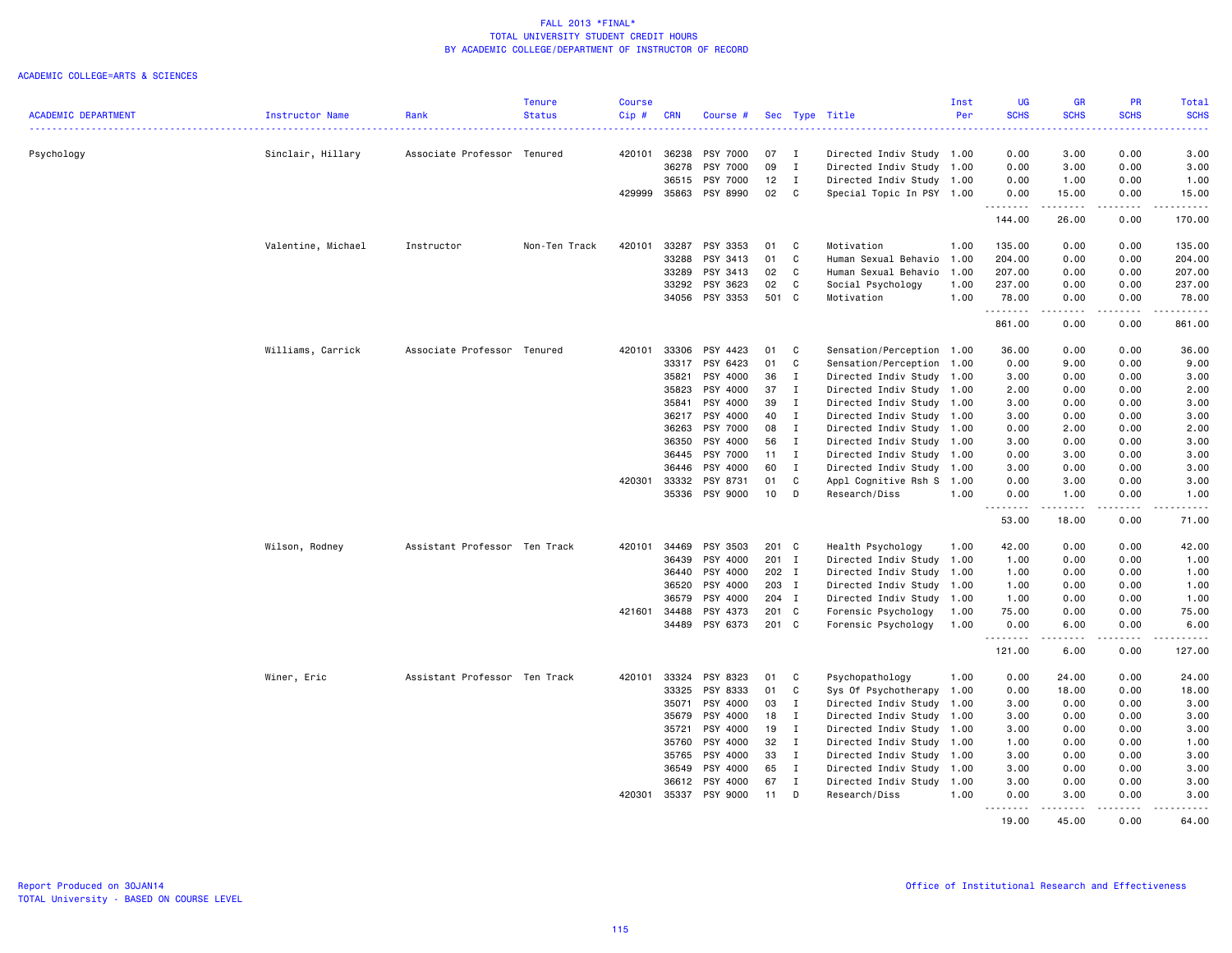|                            |                    |                               | <b>Tenure</b> | <b>Course</b> |                       |                      |          |              |                                            | Inst | UG                  | <b>GR</b>                                                                                                                                                     | PR                           | Total                             |
|----------------------------|--------------------|-------------------------------|---------------|---------------|-----------------------|----------------------|----------|--------------|--------------------------------------------|------|---------------------|---------------------------------------------------------------------------------------------------------------------------------------------------------------|------------------------------|-----------------------------------|
| <b>ACADEMIC DEPARTMENT</b> | Instructor Name    | Rank                          | <b>Status</b> | Cip#          | <b>CRN</b>            | Course #             |          |              | Sec Type Title                             | Per  | <b>SCHS</b>         | <b>SCHS</b>                                                                                                                                                   | <b>SCHS</b>                  | <b>SCHS</b><br>.                  |
| Psychology                 | Sinclair, Hillary  | Associate Professor Tenured   |               | 420101        | 36238                 | PSY 7000             | 07       | $\mathbf{I}$ | Directed Indiv Study 1.00                  |      | 0.00                | 3.00                                                                                                                                                          | 0.00                         | 3.00                              |
|                            |                    |                               |               |               | 36278                 | PSY 7000             | 09       | $\mathbf{I}$ | Directed Indiv Study 1.00                  |      | 0.00                | 3.00                                                                                                                                                          | 0.00                         | 3.00                              |
|                            |                    |                               |               |               | 36515                 | PSY 7000             | 12       | $\mathbf{I}$ | Directed Indiv Study 1.00                  |      | 0.00                | 1.00                                                                                                                                                          | 0.00                         | 1.00                              |
|                            |                    |                               |               | 429999        | 35863                 | PSY 8990             | 02       | C.           | Special Topic In PSY 1.00                  |      | 0.00                | 15.00                                                                                                                                                         | 0.00                         | 15.00                             |
|                            |                    |                               |               |               |                       |                      |          |              |                                            |      | .<br>144.00         | $\frac{1}{2} \left( \frac{1}{2} \right) \left( \frac{1}{2} \right) \left( \frac{1}{2} \right) \left( \frac{1}{2} \right) \left( \frac{1}{2} \right)$<br>26.00 | .<br>0.00                    | .<br>170.00                       |
|                            | Valentine, Michael | Instructor                    | Non-Ten Track | 420101        | 33287                 | PSY 3353             | 01       | C            | Motivation                                 | 1.00 | 135.00              | 0.00                                                                                                                                                          | 0.00                         | 135.00                            |
|                            |                    |                               |               |               | 33288                 | PSY 3413             | 01       | C            | Human Sexual Behavio 1.00                  |      | 204.00              | 0.00                                                                                                                                                          | 0.00                         | 204.00                            |
|                            |                    |                               |               |               | 33289                 | PSY 3413             | 02       | C.           | Human Sexual Behavio                       | 1.00 | 207.00              | 0.00                                                                                                                                                          | 0.00                         | 207.00                            |
|                            |                    |                               |               |               | 33292                 | PSY 3623             | 02       | C            | Social Psychology                          | 1.00 | 237.00              | 0.00                                                                                                                                                          | 0.00                         | 237.00                            |
|                            |                    |                               |               |               |                       | 34056 PSY 3353       | 501 C    |              | Motivation                                 | 1.00 | 78.00               | 0.00                                                                                                                                                          | 0.00                         | 78.00                             |
|                            |                    |                               |               |               |                       |                      |          |              |                                            |      | .<br>861.00         | .<br>0.00                                                                                                                                                     | .<br>0.00                    | .<br>861,00                       |
|                            | Williams, Carrick  | Associate Professor Tenured   |               | 420101        | 33306                 | PSY 4423             | 01       | C            | Sensation/Perception 1.00                  |      | 36.00               | 0.00                                                                                                                                                          | 0.00                         | 36.00                             |
|                            |                    |                               |               |               | 33317                 | PSY 6423             | 01       | C            | Sensation/Perception 1.00                  |      | 0.00                | 9.00                                                                                                                                                          | 0.00                         | 9.00                              |
|                            |                    |                               |               |               | 35821                 | PSY 4000             | 36       | $\mathbf I$  | Directed Indiv Study 1.00                  |      | 3.00                | 0.00                                                                                                                                                          | 0.00                         | 3.00                              |
|                            |                    |                               |               |               | 35823                 | PSY 4000             | 37       | $\mathbf{I}$ | Directed Indiv Study 1.00                  |      | 2.00                | 0.00                                                                                                                                                          | 0.00                         | 2.00                              |
|                            |                    |                               |               |               | 35841                 | PSY 4000             | 39       | $\mathbf I$  | Directed Indiv Study 1.00                  |      | 3.00                | 0.00                                                                                                                                                          | 0.00                         | 3.00                              |
|                            |                    |                               |               |               | 36217                 | PSY 4000             | 40       | $\mathbf{I}$ | Directed Indiv Study 1.00                  |      | 3.00                | 0.00                                                                                                                                                          | 0.00                         | 3.00                              |
|                            |                    |                               |               |               | 36263                 | PSY 7000             | 08       | $\mathbf{I}$ |                                            |      | 0.00                | 2.00                                                                                                                                                          | 0.00                         | 2.00                              |
|                            |                    |                               |               |               |                       |                      |          |              | Directed Indiv Study 1.00                  |      |                     |                                                                                                                                                               |                              |                                   |
|                            |                    |                               |               |               | 36350                 | PSY 4000<br>PSY 7000 | 56       | $\mathbf{I}$ | Directed Indiv Study 1.00                  |      | 3.00                | 0.00                                                                                                                                                          | 0.00                         | 3.00<br>3.00                      |
|                            |                    |                               |               |               | 36445                 |                      | 11       | I            | Directed Indiv Study 1.00                  |      | 0.00                | 3.00                                                                                                                                                          | 0.00                         |                                   |
|                            |                    |                               |               |               | 36446                 | PSY 4000             | 60       | $\mathbf{I}$ | Directed Indiv Study 1.00                  |      | 3.00                | 0.00                                                                                                                                                          | 0.00                         | 3.00                              |
|                            |                    |                               |               |               | 420301 33332<br>35336 | PSY 8731<br>PSY 9000 | 01<br>10 | C<br>D       | Appl Cognitive Rsh S 1.00<br>Research/Diss | 1.00 | 0.00<br>0.00        | 3.00<br>1.00                                                                                                                                                  | 0.00<br>0.00                 | 3.00<br>1.00                      |
|                            |                    |                               |               |               |                       |                      |          |              |                                            |      | .<br>53.00          | $- - - - -$<br>18.00                                                                                                                                          | .<br>0.00                    | $\frac{1}{2}$<br>71.00            |
|                            |                    |                               |               |               |                       |                      |          |              |                                            |      |                     |                                                                                                                                                               |                              |                                   |
|                            | Wilson, Rodney     | Assistant Professor Ten Track |               | 420101        | 34469                 | PSY 3503             | 201 C    |              | Health Psychology                          | 1.00 | 42.00               | 0.00                                                                                                                                                          | 0.00                         | 42.00                             |
|                            |                    |                               |               |               | 36439                 | PSY 4000             | 201 I    |              | Directed Indiv Study 1.00                  |      | 1.00                | 0.00                                                                                                                                                          | 0.00                         | 1.00                              |
|                            |                    |                               |               |               | 36440                 | PSY 4000             | 202 I    |              | Directed Indiv Study 1.00                  |      | 1.00                | 0.00                                                                                                                                                          | 0.00                         | 1.00                              |
|                            |                    |                               |               |               | 36520                 | PSY 4000             | 203 I    |              | Directed Indiv Study 1.00                  |      | 1.00                | 0.00                                                                                                                                                          | 0.00                         | 1.00                              |
|                            |                    |                               |               |               | 36579                 | PSY 4000             | 204 I    |              | Directed Indiv Study 1.00                  |      | 1.00                | 0.00                                                                                                                                                          | 0.00                         | 1.00                              |
|                            |                    |                               |               | 421601        | 34488                 | PSY 4373             | 201 C    |              | Forensic Psychology                        | 1.00 | 75.00               | 0.00                                                                                                                                                          | 0.00                         | 75.00                             |
|                            |                    |                               |               |               | 34489                 | PSY 6373             | 201 C    |              | Forensic Psychology                        | 1.00 | 0.00<br>.           | 6.00                                                                                                                                                          | 0.00<br>$\sim$ $\sim$ $\sim$ | 6.00<br>$\omega$ is $\omega$ in . |
|                            |                    |                               |               |               |                       |                      |          |              |                                            |      | 121.00              | 6.00                                                                                                                                                          | 0.00                         | 127.00                            |
|                            | Winer, Eric        | Assistant Professor Ten Track |               | 420101        | 33324                 | PSY 8323             | 01       | C            | Psychopathology                            | 1.00 | 0.00                | 24.00                                                                                                                                                         | 0.00                         | 24.00                             |
|                            |                    |                               |               |               | 33325                 | PSY 8333             | 01       | C            | Sys Of Psychotherapy 1.00                  |      | 0.00                | 18.00                                                                                                                                                         | 0.00                         | 18.00                             |
|                            |                    |                               |               |               | 35071                 | PSY 4000             | 03       | I            | Directed Indiv Study 1.00                  |      | 3.00                | 0.00                                                                                                                                                          | 0.00                         | 3.00                              |
|                            |                    |                               |               |               | 35679                 | PSY 4000             | 18       | $\mathbf{I}$ | Directed Indiv Study 1.00                  |      | 3.00                | 0.00                                                                                                                                                          | 0.00                         | 3.00                              |
|                            |                    |                               |               |               | 35721                 | PSY 4000             | 19       | $\mathbf{I}$ | Directed Indiv Study 1.00                  |      | 3.00                | 0.00                                                                                                                                                          | 0.00                         | 3.00                              |
|                            |                    |                               |               |               | 35760                 | PSY 4000             | 32       | $\mathbf I$  | Directed Indiv Study 1.00                  |      | 1.00                | 0.00                                                                                                                                                          | 0.00                         | 1.00                              |
|                            |                    |                               |               |               | 35765                 | PSY 4000             | 33       | $\mathbf{I}$ | Directed Indiv Study 1.00                  |      | 3.00                | 0.00                                                                                                                                                          | 0.00                         | 3.00                              |
|                            |                    |                               |               |               | 36549                 | PSY 4000             | 65       | $\mathbf{I}$ | Directed Indiv Study 1.00                  |      | 3.00                | 0.00                                                                                                                                                          | 0.00                         | 3.00                              |
|                            |                    |                               |               |               | 36612                 | PSY 4000             | 67       | $\mathbf I$  | Directed Indiv Study 1.00                  |      | 3.00                | 0.00                                                                                                                                                          | 0.00                         | 3.00                              |
|                            |                    |                               |               | 420301        | 35337                 | PSY 9000             | 11       | D            | Research/Diss                              | 1.00 | 0.00                | 3.00                                                                                                                                                          | 0.00                         | 3.00                              |
|                            |                    |                               |               |               |                       |                      |          |              |                                            |      | . <b>.</b><br>19.00 | $- - - - -$<br>45.00                                                                                                                                          | $\frac{1}{2}$<br>0.00        | -----<br>64.00                    |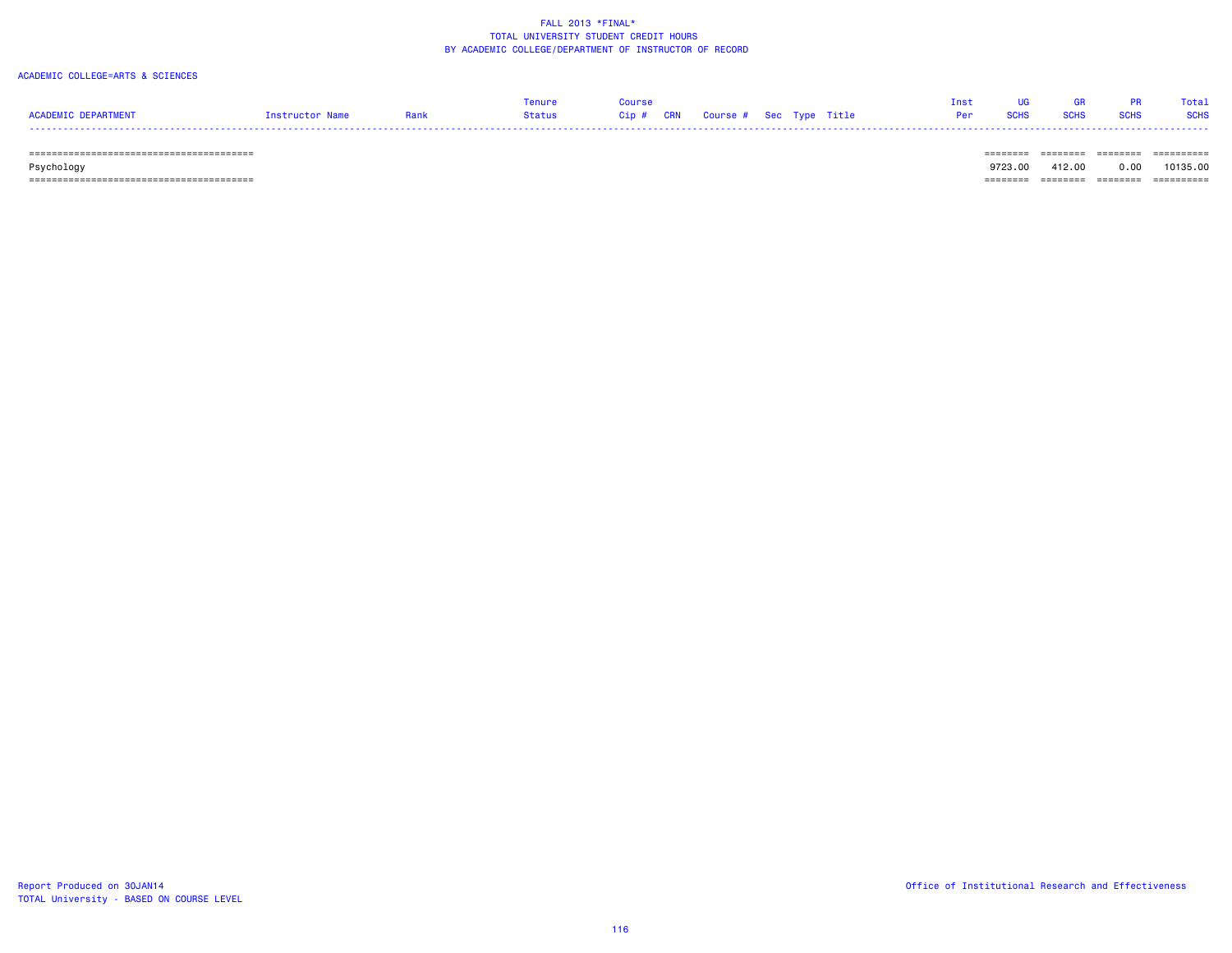### ACADEMIC COLLEGE=ARTS & SCIENCES

| ACADEMIC DEPARTMENT          | Instructor Name | Rank | Tenure<br>Status | Course | Cip # CRN Course # Sec Type Title |  | Per | <b>SCHS</b> | <b>GR</b><br><b>SCHS</b> | <b>PR</b><br><b>SCHS</b> | Total<br><b>SCHS</b> |
|------------------------------|-----------------|------|------------------|--------|-----------------------------------|--|-----|-------------|--------------------------|--------------------------|----------------------|
| ============================ |                 |      |                  |        |                                   |  |     |             |                          |                          | ==========           |

Psychology 9723.00 412.00 0.00 10135.00

======================================== ======== ======== ======== ==========

TOTAL University - BASED ON COURSE LEVEL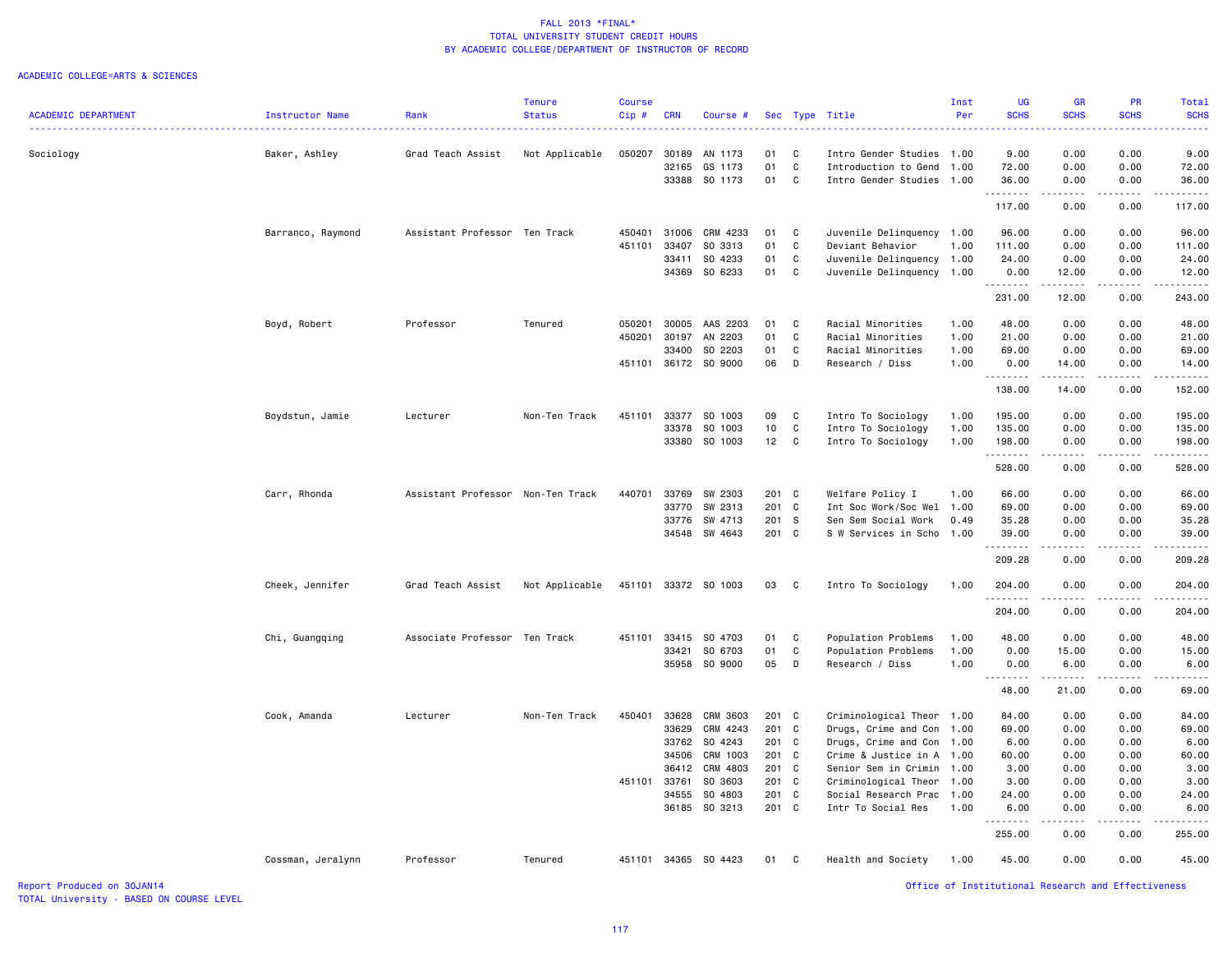|                            |                   |                                   | <b>Tenure</b>  | <b>Course</b> |            |                      |         |    |                           | Inst | <b>UG</b>                                          | <b>GR</b>                                                                                                                                                     | PR                                                                                                                                                               | Total       |
|----------------------------|-------------------|-----------------------------------|----------------|---------------|------------|----------------------|---------|----|---------------------------|------|----------------------------------------------------|---------------------------------------------------------------------------------------------------------------------------------------------------------------|------------------------------------------------------------------------------------------------------------------------------------------------------------------|-------------|
| <b>ACADEMIC DEPARTMENT</b> | Instructor Name   | Rank                              | <b>Status</b>  | Cip#          | <b>CRN</b> | Course #             |         |    | Sec Type Title            | Per  | <b>SCHS</b>                                        | <b>SCHS</b><br><b>.</b>                                                                                                                                       | <b>SCHS</b>                                                                                                                                                      | <b>SCHS</b> |
| Sociology                  |                   | Grad Teach Assist                 | Not Applicable | 050207        |            | 30189 AN 1173        | 01      | C. | Intro Gender Studies      | 1.00 | 9.00                                               | 0.00                                                                                                                                                          | 0.00                                                                                                                                                             | 9.00        |
|                            | Baker, Ashley     |                                   |                |               | 32165      | GS 1173              | 01      | C  | Introduction to Gend      | 1.00 | 72.00                                              | 0.00                                                                                                                                                          | 0.00                                                                                                                                                             | 72.00       |
|                            |                   |                                   |                |               |            | 33388 SO 1173        | 01      | C  | Intro Gender Studies      | 1.00 | 36.00                                              | 0.00                                                                                                                                                          | 0.00                                                                                                                                                             | 36.00       |
|                            |                   |                                   |                |               |            |                      |         |    |                           |      | .                                                  | $- - -$                                                                                                                                                       |                                                                                                                                                                  |             |
|                            |                   |                                   |                |               |            |                      |         |    |                           |      | 117.00                                             | 0.00                                                                                                                                                          | 0.00                                                                                                                                                             | 117.00      |
|                            | Barranco, Raymond | Assistant Professor Ten Track     |                | 450401        | 31006      | CRM 4233             | 01      | C  | Juvenile Delinquency      | 1.00 | 96.00                                              | 0.00                                                                                                                                                          | 0.00                                                                                                                                                             | 96.00       |
|                            |                   |                                   |                | 451101        | 33407      | SO 3313              | 01      | C  | Deviant Behavior          | 1.00 | 111.00                                             | 0.00                                                                                                                                                          | 0.00                                                                                                                                                             | 111.00      |
|                            |                   |                                   |                |               | 33411      | SO 4233              | 01      | C  | Juvenile Delinquency 1.00 |      | 24.00                                              | 0.00                                                                                                                                                          | 0.00                                                                                                                                                             | 24.00       |
|                            |                   |                                   |                |               |            | 34369 SO 6233        | 01      | C  | Juvenile Delinquency 1.00 |      | 0.00<br>.                                          | 12.00<br>.                                                                                                                                                    | 0.00<br>$\mathcal{L}^{\mathcal{L}}\mathcal{L}^{\mathcal{L}}\mathcal{L}^{\mathcal{L}}\mathcal{L}^{\mathcal{L}}\mathcal{L}^{\mathcal{L}}\mathcal{L}^{\mathcal{L}}$ | 12.00       |
|                            |                   |                                   |                |               |            |                      |         |    |                           |      | 231.00                                             | 12.00                                                                                                                                                         | 0.00                                                                                                                                                             | 243.00      |
|                            | Boyd, Robert      | Professor                         | Tenured        | 050201        |            | 30005 AAS 2203       | 01      | C  | Racial Minorities         | 1.00 | 48.00                                              | 0.00                                                                                                                                                          | 0.00                                                                                                                                                             | 48.00       |
|                            |                   |                                   |                | 450201        | 30197      | AN 2203              | 01      | C  | Racial Minorities         | 1.00 | 21.00                                              | 0.00                                                                                                                                                          | 0.00                                                                                                                                                             | 21.00       |
|                            |                   |                                   |                |               | 33400      | SO 2203              | 01      | C. | Racial Minorities         | 1.00 | 69.00                                              | 0.00                                                                                                                                                          | 0.00                                                                                                                                                             | 69.00       |
|                            |                   |                                   |                |               |            | 451101 36172 SO 9000 | 06      | D  | Research / Diss           | 1.00 | 0.00<br>.                                          | 14.00<br>.                                                                                                                                                    | 0.00<br>$\frac{1}{2} \left( \frac{1}{2} \right) \left( \frac{1}{2} \right) \left( \frac{1}{2} \right) \left( \frac{1}{2} \right) \left( \frac{1}{2} \right)$     | 14.00       |
|                            |                   |                                   |                |               |            |                      |         |    |                           |      | 138.00                                             | 14.00                                                                                                                                                         | 0.00                                                                                                                                                             | 152.00      |
|                            | Boydstun, Jamie   | Lecturer                          | Non-Ten Track  | 451101        |            | 33377 SO 1003        | 09      | C  | Intro To Sociology        | 1.00 | 195.00                                             | 0.00                                                                                                                                                          | 0.00                                                                                                                                                             | 195.00      |
|                            |                   |                                   |                |               | 33378      | SO 1003              | 10      | C  | Intro To Sociology        | 1.00 | 135.00                                             | 0.00                                                                                                                                                          | 0.00                                                                                                                                                             | 135.00      |
|                            |                   |                                   |                |               |            | 33380 SO 1003        | 12      | C  | Intro To Sociology        | 1.00 | 198.00<br>.                                        | 0.00<br>-----                                                                                                                                                 | 0.00<br>$\mathcal{L}^{\mathcal{L}}\mathcal{L}^{\mathcal{L}}\mathcal{L}^{\mathcal{L}}\mathcal{L}^{\mathcal{L}}\mathcal{L}^{\mathcal{L}}\mathcal{L}^{\mathcal{L}}$ | 198.00<br>. |
|                            |                   |                                   |                |               |            |                      |         |    |                           |      | 528.00                                             | 0.00                                                                                                                                                          | 0.00                                                                                                                                                             | 528.00      |
|                            | Carr, Rhonda      | Assistant Professor Non-Ten Track |                | 440701        |            | 33769 SW 2303        | 201 C   |    | Welfare Policy I          | 1.00 | 66.00                                              | 0.00                                                                                                                                                          | 0.00                                                                                                                                                             | 66.00       |
|                            |                   |                                   |                |               | 33770      | SW 2313              | 201 C   |    | Int Soc Work/Soc Wel      | 1.00 | 69.00                                              | 0.00                                                                                                                                                          | 0.00                                                                                                                                                             | 69.00       |
|                            |                   |                                   |                |               | 33776      | SW 4713              | 201 S   |    | Sen Sem Social Work       | 0.49 | 35.28                                              | 0.00                                                                                                                                                          | 0.00                                                                                                                                                             | 35.28       |
|                            |                   |                                   |                |               |            | 34548 SW 4643        | 201 C   |    | S W Services in Scho      | 1.00 | 39.00<br>.                                         | 0.00<br>.                                                                                                                                                     | 0.00<br>$\frac{1}{2}$                                                                                                                                            | 39.00       |
|                            |                   |                                   |                |               |            |                      |         |    |                           |      | 209.28                                             | 0.00                                                                                                                                                          | 0.00                                                                                                                                                             | 209.28      |
|                            | Cheek, Jennifer   | Grad Teach Assist                 | Not Applicable | 451101        |            | 33372 SO 1003        | 03      | C  | Intro To Sociology        | 1.00 | 204.00                                             | 0.00                                                                                                                                                          | 0.00                                                                                                                                                             | 204.00      |
|                            |                   |                                   |                |               |            |                      |         |    |                           |      | .<br>204.00                                        | 0.00                                                                                                                                                          | 0.00                                                                                                                                                             | 204.00      |
|                            | Chi, Guangqing    | Associate Professor Ten Track     |                | 451101        | 33415      | SO 4703              | 01      | C  | Population Problems       | 1.00 | 48.00                                              | 0.00                                                                                                                                                          | 0.00                                                                                                                                                             | 48.00       |
|                            |                   |                                   |                |               | 33421      | SO 6703              | 01      | C  | Population Problems       | 1.00 | 0.00                                               | 15.00                                                                                                                                                         | 0.00                                                                                                                                                             | 15.00       |
|                            |                   |                                   |                |               |            | 35958 SO 9000        | 05      | D  | Research / Diss           | 1.00 | 0.00                                               | 6.00                                                                                                                                                          | 0.00<br>$- - - - -$                                                                                                                                              | 6.00<br>.   |
|                            |                   |                                   |                |               |            |                      |         |    |                           |      | .<br>48.00                                         | $\frac{1}{2} \left( \frac{1}{2} \right) \left( \frac{1}{2} \right) \left( \frac{1}{2} \right) \left( \frac{1}{2} \right) \left( \frac{1}{2} \right)$<br>21.00 | 0.00                                                                                                                                                             | 69.00       |
|                            | Cook, Amanda      | Lecturer                          | Non-Ten Track  | 450401        |            | 33628 CRM 3603       | 201 C   |    | Criminological Theor      | 1.00 | 84.00                                              | 0.00                                                                                                                                                          | 0.00                                                                                                                                                             | 84.00       |
|                            |                   |                                   |                |               | 33629      | CRM 4243             | 201 C   |    | Drugs, Crime and Con      | 1.00 | 69.00                                              | 0.00                                                                                                                                                          | 0.00                                                                                                                                                             | 69.00       |
|                            |                   |                                   |                |               |            | 33762 SO 4243        | 201 C   |    | Drugs, Crime and Con      | 1.00 | 6.00                                               | 0.00                                                                                                                                                          | 0.00                                                                                                                                                             | 6.00        |
|                            |                   |                                   |                |               | 34506      | CRM 1003             | 201 C   |    | Crime & Justice in A      | 1.00 | 60.00                                              | 0.00                                                                                                                                                          | 0.00                                                                                                                                                             | 60.00       |
|                            |                   |                                   |                |               | 36412      | CRM 4803             | $201$ C |    | Senior Sem in Crimin      | 1.00 | 3.00                                               | 0.00                                                                                                                                                          | 0.00                                                                                                                                                             | 3.00        |
|                            |                   |                                   |                | 451101        | 33761      | SO 3603              | 201 C   |    | Criminological Theor      | 1.00 | 3.00                                               | 0.00                                                                                                                                                          | 0.00                                                                                                                                                             | 3.00        |
|                            |                   |                                   |                |               |            | 34555 SO 4803        | 201     | C  | Social Research Prac      | 1.00 | 24.00                                              | 0.00                                                                                                                                                          | 0.00                                                                                                                                                             | 24.00       |
|                            |                   |                                   |                |               |            | 36185 SO 3213        | 201 C   |    | Intr To Social Res        | 1.00 | 6.00<br>-----                                      | 0.00<br>$- - - -$                                                                                                                                             | 0.00                                                                                                                                                             | 6.00        |
|                            |                   |                                   |                |               |            |                      |         |    |                           |      | 255.00                                             | 0.00                                                                                                                                                          | 0.00                                                                                                                                                             | 255.00      |
|                            | Cossman, Jeralynn | Professor                         | Tenured        |               |            | 451101 34365 SO 4423 | 01      | C  | Health and Society        | 1.00 | 45.00                                              | 0.00                                                                                                                                                          | 0.00                                                                                                                                                             | 45.00       |
| Report Produced on 30JAN14 |                   |                                   |                |               |            |                      |         |    |                           |      | Office of Institutional Research and Effectiveness |                                                                                                                                                               |                                                                                                                                                                  |             |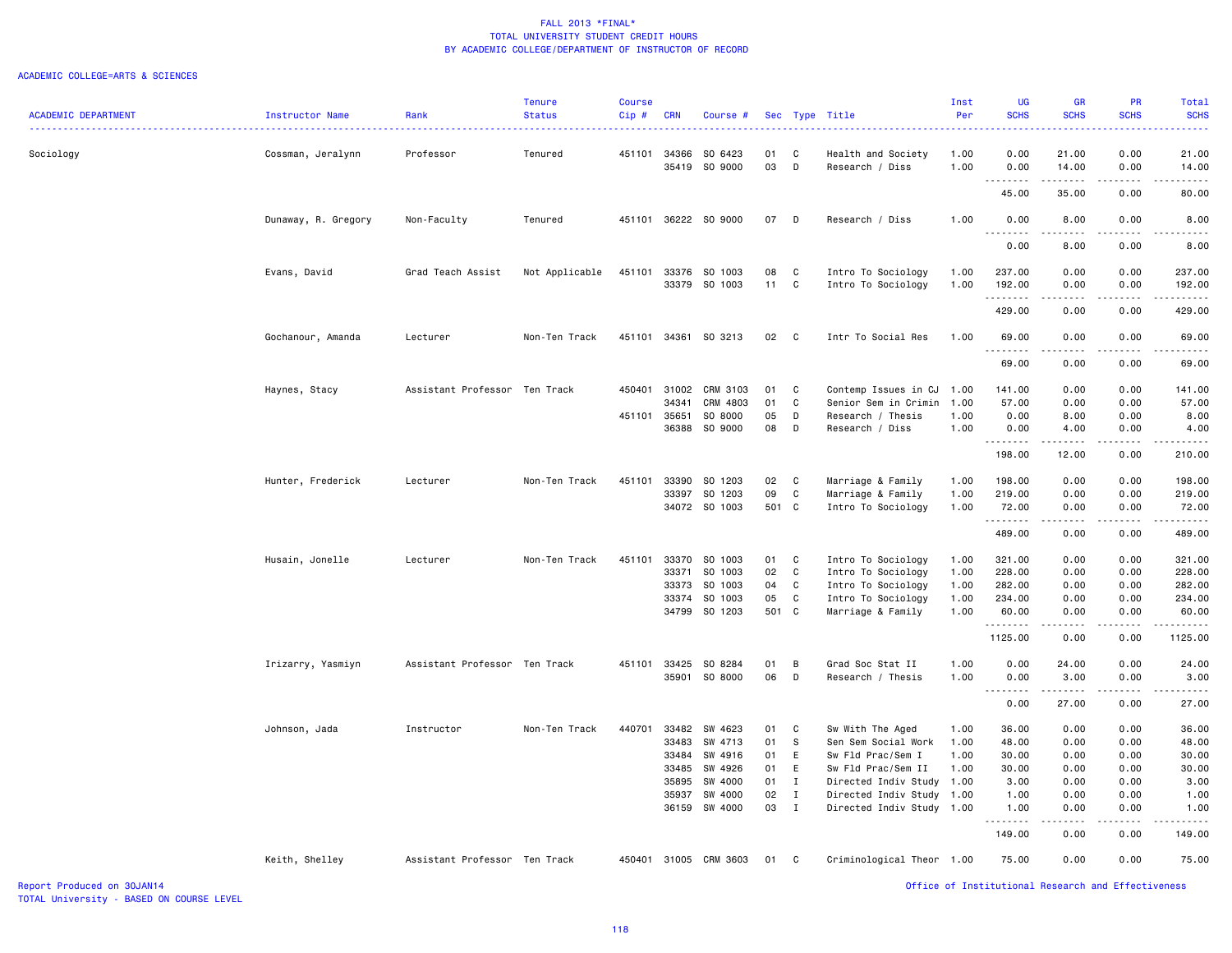### ACADEMIC COLLEGE=ARTS & SCIENCES

| <b>ACADEMIC DEPARTMENT</b> | Instructor Name     | Rank                          | <b>Tenure</b><br><b>Status</b> | <b>Course</b><br>Cip# | <b>CRN</b>   | Course #                 |          |              | Sec Type Title            | Inst<br>Per | <b>UG</b><br><b>SCHS</b> | <b>GR</b><br><b>SCHS</b> | PR<br><b>SCHS</b> | Total<br><b>SCHS</b>   |
|----------------------------|---------------------|-------------------------------|--------------------------------|-----------------------|--------------|--------------------------|----------|--------------|---------------------------|-------------|--------------------------|--------------------------|-------------------|------------------------|
| Sociology                  | Cossman, Jeralynn   | Professor                     | Tenured                        |                       |              | 451101 34366 SO 6423     | 01       | C            | Health and Society        | 1.00        | 0.00                     | 21.00                    | 0.00              | 21.00                  |
|                            |                     |                               |                                |                       |              | 35419 SO 9000            | 03       | D            | Research / Diss           | 1.00        | 0.00<br>.                | 14.00                    | 0.00              | 14.00                  |
|                            | Dunaway, R. Gregory | Non-Faculty                   | Tenured                        |                       |              | 451101 36222 SO 9000     | 07       | D            | Research / Diss           | 1.00        | 45.00<br>0.00            | 35.00<br>8.00            | 0.00<br>0.00      | 80.00<br>8.00          |
|                            |                     |                               |                                |                       |              |                          |          |              |                           |             | 0.00                     | 8.00                     | 0.00              | 8.00                   |
|                            | Evans, David        | Grad Teach Assist             | Not Applicable                 | 451101                | 33376        | SO 1003<br>33379 SO 1003 | 08<br>11 | C<br>C       | Intro To Sociology        | 1.00        | 237.00                   | 0.00                     | 0.00              | 237.00                 |
|                            |                     |                               |                                |                       |              |                          |          |              | Intro To Sociology        | 1.00        | 192.00                   | 0.00                     | 0.00              | 192.00                 |
|                            | Gochanour, Amanda   | Lecturer                      | Non-Ten Track                  |                       |              | 451101 34361 SO 3213     | 02       | $\mathbf{C}$ | Intr To Social Res        | 1.00        | 429.00<br>69.00          | 0.00<br>0.00             | 0.00<br>0.00      | 429.00<br>69.00        |
|                            |                     |                               |                                |                       |              |                          |          |              |                           |             | 69.00                    | 0.00                     | 0.00              | 69.00                  |
|                            | Haynes, Stacy       | Assistant Professor Ten Track |                                |                       | 450401 31002 | CRM 3103                 | 01       | C            | Contemp Issues in CJ      | 1.00        | 141.00                   | 0.00                     | 0.00              | 141.00                 |
|                            |                     |                               |                                |                       | 34341        | CRM 4803                 | 01       | C            | Senior Sem in Crimin      | 1.00        | 57.00                    | 0.00                     | 0.00              | 57.00                  |
|                            |                     |                               |                                | 451101 35651          |              | SO 8000                  | 05       | D            | Research / Thesis         | 1.00        | 0.00                     | 8.00                     | 0.00              | 8.00                   |
|                            |                     |                               |                                |                       | 36388        | SO 9000                  | 08       | D            | Research / Diss           | 1.00        | 0.00<br>.                | 4.00<br>.                | 0.00<br>.         | 4.00                   |
|                            |                     |                               |                                |                       |              |                          |          |              |                           |             | 198.00                   | 12.00                    | 0.00              | 210.00                 |
|                            | Hunter, Frederick   | Lecturer                      | Non-Ten Track                  | 451101                | 33390        | SO 1203                  | 02       | C            | Marriage & Family         | 1.00        | 198.00                   | 0.00                     | 0.00              | 198.00                 |
|                            |                     |                               |                                |                       | 33397        | SO 1203                  | 09       | C            | Marriage & Family         | 1.00        | 219.00                   | 0.00                     | 0.00              | 219.00                 |
|                            |                     |                               |                                |                       |              | 34072 SO 1003            | 501 C    |              | Intro To Sociology        | 1.00        | 72.00<br>.               | 0.00<br>.                | 0.00<br>.         | 72.00<br>$- - - - - -$ |
|                            |                     |                               |                                |                       |              |                          |          |              |                           |             | 489.00                   | 0.00                     | 0.00              | 489.00                 |
|                            | Husain, Jonelle     | Lecturer                      | Non-Ten Track                  | 451101                | 33370        | SO 1003                  | 01       | C            | Intro To Sociology        | 1.00        | 321.00                   | 0.00                     | 0.00              | 321.00                 |
|                            |                     |                               |                                |                       | 33371        | SO 1003                  | 02       | C            | Intro To Sociology        | 1.00        | 228.00                   | 0.00                     | 0.00              | 228.00                 |
|                            |                     |                               |                                |                       | 33373        | SO 1003                  | 04       | C            | Intro To Sociology        | 1.00        | 282.00                   | 0.00                     | 0.00              | 282.00                 |
|                            |                     |                               |                                |                       | 33374        | SO 1003                  | 05       | C            | Intro To Sociology        | 1.00        | 234.00                   | 0.00                     | 0.00              | 234.00                 |
|                            |                     |                               |                                |                       |              | 34799 SO 1203            | 501 C    |              | Marriage & Family         | 1.00        | 60.00<br>.               | 0.00<br>.                | 0.00<br>.         | 60.00<br>.             |
|                            |                     |                               |                                |                       |              |                          |          |              |                           |             | 1125.00                  | 0.00                     | 0.00              | 1125.00                |
|                            | Irizarry, Yasmiyn   | Assistant Professor Ten Track |                                | 451101                | 33425        | SO 8284                  | 01       | B            | Grad Soc Stat II          | 1.00        | 0.00                     | 24.00                    | 0.00              | 24.00                  |
|                            |                     |                               |                                |                       | 35901        | SO 8000                  | 06       | D            | Research / Thesis         | 1.00        | 0.00<br>.                | 3.00<br>.                | 0.00<br>.         | 3.00<br>.              |
|                            |                     |                               |                                |                       |              |                          |          |              |                           |             | 0.00                     | 27.00                    | 0.00              | 27.00                  |
|                            | Johnson, Jada       | Instructor                    | Non-Ten Track                  | 440701                | 33482        | SW 4623                  | 01       | C            | Sw With The Aged          | 1.00        | 36.00                    | 0.00                     | 0.00              | 36.00                  |
|                            |                     |                               |                                |                       | 33483        | SW 4713                  | 01       | s            | Sen Sem Social Work       | 1.00        | 48.00                    | 0.00                     | 0.00              | 48.00                  |
|                            |                     |                               |                                |                       | 33484        | SW 4916                  | 01       | E            | Sw Fld Prac/Sem I         | 1.00        | 30.00                    | 0.00                     | 0.00              | 30.00                  |
|                            |                     |                               |                                |                       | 33485        | SW 4926                  | 01       | E            | Sw Fld Prac/Sem II        | 1.00        | 30.00                    | 0.00                     | 0.00              | 30.00                  |
|                            |                     |                               |                                |                       | 35895        | SW 4000                  | 01       | $\mathbf{I}$ | Directed Indiv Study      | 1.00        | 3.00                     | 0.00                     | 0.00              | 3.00                   |
|                            |                     |                               |                                |                       | 35937        | SW 4000                  | 02       | $\mathbf{I}$ | Directed Indiv Study      | 1.00        | 1.00                     | 0.00                     | 0.00              | 1.00                   |
|                            |                     |                               |                                |                       | 36159        | SW 4000                  | 03       | $\mathbf{I}$ | Directed Indiv Study      | 1.00        | 1.00                     | 0.00                     | 0.00              | 1.00                   |
|                            |                     |                               |                                |                       |              |                          |          |              |                           |             | 149.00                   | 0.00                     | 0.00              | 149.00                 |
|                            | Keith, Shelley      | Assistant Professor Ten Track |                                |                       |              | 450401 31005 CRM 3603    | 01       | $\mathbf{C}$ | Criminological Theor 1.00 |             | 75.00                    | 0.00                     | 0.00              | 75.00                  |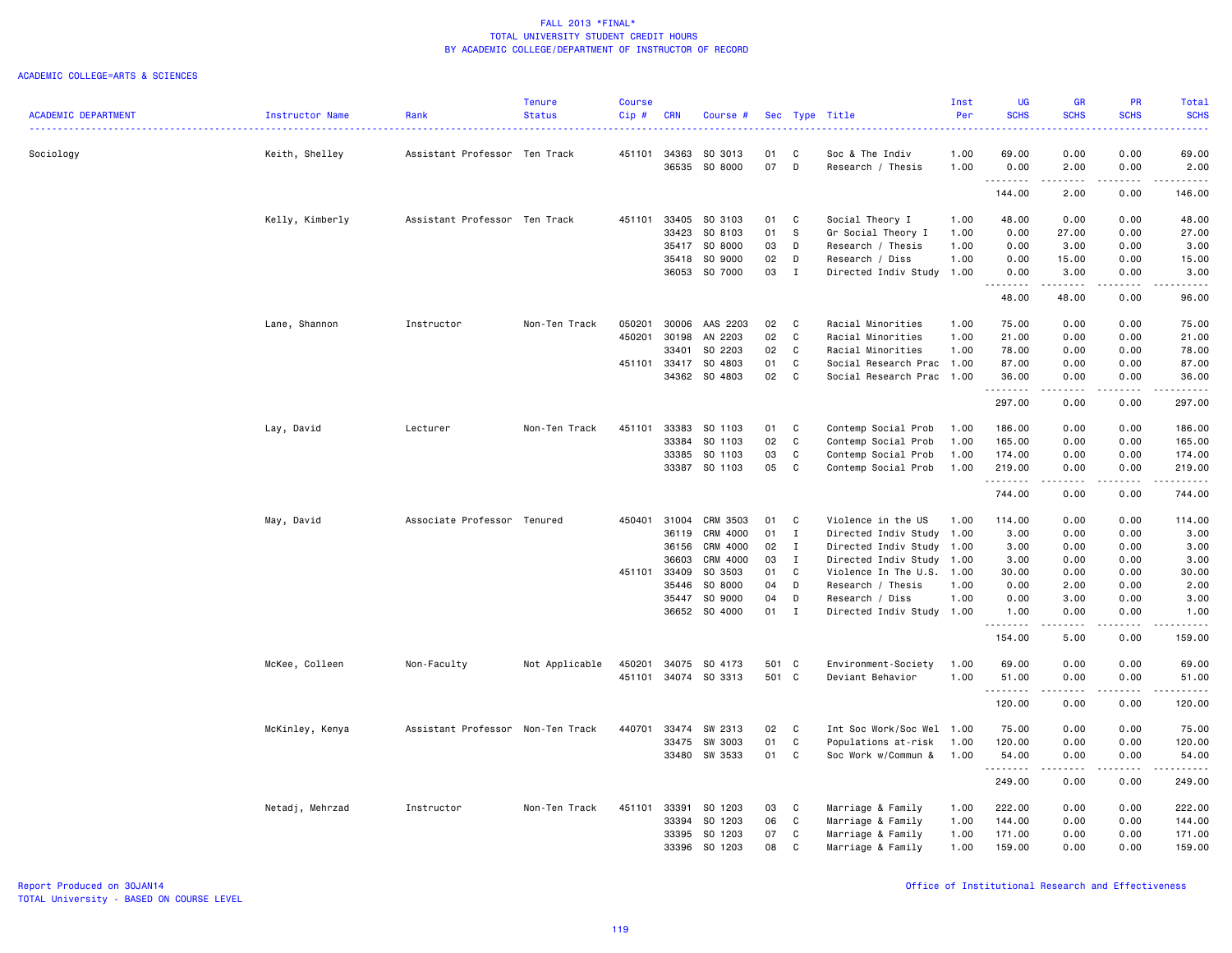|                            |                 |                                   | <b>Tenure</b>  | <b>Course</b> |            |               |       |              |                           | Inst | <b>UG</b>                         | GR                    | <b>PR</b>             | <b>Total</b>                                                                                                                                                                             |
|----------------------------|-----------------|-----------------------------------|----------------|---------------|------------|---------------|-------|--------------|---------------------------|------|-----------------------------------|-----------------------|-----------------------|------------------------------------------------------------------------------------------------------------------------------------------------------------------------------------------|
| <b>ACADEMIC DEPARTMENT</b> | Instructor Name | Rank                              | <b>Status</b>  | $Cip$ #       | <b>CRN</b> | Course #      |       |              | Sec Type Title            | Per  | <b>SCHS</b>                       | <b>SCHS</b>           | <b>SCHS</b>           | <b>SCHS</b><br>$\frac{1}{2} \left( \frac{1}{2} \right) \left( \frac{1}{2} \right) \left( \frac{1}{2} \right) \left( \frac{1}{2} \right)$                                                 |
| Sociology                  | Keith, Shelley  | Assistant Professor Ten Track     |                | 451101        | 34363      | SO 3013       | 01    | C            | Soc & The Indiv           | 1.00 | 69.00                             | 0.00                  | 0.00                  | 69.00                                                                                                                                                                                    |
|                            |                 |                                   |                |               | 36535      | SO 8000       | 07    | D            | Research / Thesis         | 1.00 | 0.00<br>.                         | 2.00<br>.             | 0.00<br>.             | 2.00<br>.                                                                                                                                                                                |
|                            |                 |                                   |                |               |            |               |       |              |                           |      | 144.00                            | 2.00                  | 0.00                  | 146.00                                                                                                                                                                                   |
|                            | Kelly, Kimberly | Assistant Professor Ten Track     |                | 451101        | 33405      | SO 3103       | 01    | C            | Social Theory I           | 1.00 | 48.00                             | 0.00                  | 0.00                  | 48.00                                                                                                                                                                                    |
|                            |                 |                                   |                |               | 33423      | SO 8103       | 01    | <b>S</b>     | Gr Social Theory I        | 1.00 | 0.00                              | 27.00                 | 0.00                  | 27.00                                                                                                                                                                                    |
|                            |                 |                                   |                |               | 35417      | SO 8000       | 03    | D            | Research / Thesis         | 1.00 | 0.00                              | 3.00                  | 0.00                  | 3.00                                                                                                                                                                                     |
|                            |                 |                                   |                |               | 35418      | SO 9000       | 02    | D            | Research / Diss           | 1.00 | 0.00                              | 15.00                 | 0.00                  | 15.00                                                                                                                                                                                    |
|                            |                 |                                   |                |               | 36053      | SO 7000       | 03    | $\mathbf{I}$ | Directed Indiv Study 1.00 |      | 0.00<br>.<br>$\sim$ $\sim$ $\sim$ | 3.00<br>------        | 0.00<br>.             | 3.00<br>.                                                                                                                                                                                |
|                            |                 |                                   |                |               |            |               |       |              |                           |      | 48.00                             | 48.00                 | 0.00                  | 96.00                                                                                                                                                                                    |
|                            | Lane, Shannon   | Instructor                        | Non-Ten Track  | 050201        | 30006      | AAS 2203      | 02    | C            | Racial Minorities         | 1.00 | 75.00                             | 0.00                  | 0.00                  | 75.00                                                                                                                                                                                    |
|                            |                 |                                   |                | 450201        | 30198      | AN 2203       | 02    | C            | Racial Minorities         | 1.00 | 21.00                             | 0.00                  | 0.00                  | 21.00                                                                                                                                                                                    |
|                            |                 |                                   |                |               | 33401      | SO 2203       | 02    | C            | Racial Minorities         | 1.00 | 78.00                             | 0.00                  | 0.00                  | 78.00                                                                                                                                                                                    |
|                            |                 |                                   |                | 451101 33417  |            | SO 4803       | 01    | C            | Social Research Prac 1.00 |      | 87.00                             | 0.00                  | 0.00                  | 87.00                                                                                                                                                                                    |
|                            |                 |                                   |                |               | 34362      | SO 4803       | 02    | C            | Social Research Prac      | 1.00 | 36.00<br>.                        | 0.00<br>$\frac{1}{2}$ | 0.00<br>$\frac{1}{2}$ | 36.00<br>.                                                                                                                                                                               |
|                            |                 |                                   |                |               |            |               |       |              |                           |      | 297.00                            | 0.00                  | 0.00                  | 297.00                                                                                                                                                                                   |
|                            | Lay, David      | Lecturer                          | Non-Ten Track  | 451101        | 33383      | SO 1103       | 01    | C            | Contemp Social Prob       | 1.00 | 186.00                            | 0.00                  | 0.00                  | 186.00                                                                                                                                                                                   |
|                            |                 |                                   |                |               | 33384      | SO 1103       | 02    | $\mathtt{C}$ | Contemp Social Prob       | 1.00 | 165.00                            | 0.00                  | 0.00                  | 165.00                                                                                                                                                                                   |
|                            |                 |                                   |                |               | 33385      | SO 1103       | 03    | C            | Contemp Social Prob       | 1.00 | 174.00                            | 0.00                  | 0.00                  | 174.00                                                                                                                                                                                   |
|                            |                 |                                   |                |               | 33387      | SO 1103       | 05    | C            | Contemp Social Prob       | 1.00 | 219.00<br>.                       | 0.00<br>.             | 0.00<br>.             | 219.00<br>$- - - - - - -$                                                                                                                                                                |
|                            |                 |                                   |                |               |            |               |       |              |                           |      | 744.00                            | 0.00                  | 0.00                  | 744.00                                                                                                                                                                                   |
|                            | May, David      | Associate Professor Tenured       |                | 450401        | 31004      | CRM 3503      | 01    | C            | Violence in the US        | 1.00 | 114.00                            | 0.00                  | 0.00                  | 114.00                                                                                                                                                                                   |
|                            |                 |                                   |                |               | 36119      | CRM 4000      | 01    | $\mathbf{I}$ | Directed Indiv Study 1.00 |      | 3.00                              | 0.00                  | 0.00                  | 3.00                                                                                                                                                                                     |
|                            |                 |                                   |                |               | 36156      | CRM 4000      | 02    | $\mathbf{I}$ | Directed Indiv Study 1.00 |      | 3.00                              | 0.00                  | 0.00                  | 3.00                                                                                                                                                                                     |
|                            |                 |                                   |                |               | 36603      | CRM 4000      | 03    | $\mathbf{I}$ | Directed Indiv Study 1.00 |      | 3.00                              | 0.00                  | 0.00                  | 3.00                                                                                                                                                                                     |
|                            |                 |                                   |                | 451101        | 33409      | SO 3503       | 01    | C            | Violence In The U.S. 1.00 |      | 30.00                             | 0.00                  | 0.00                  | 30.00                                                                                                                                                                                    |
|                            |                 |                                   |                |               | 35446      | SO 8000       | 04    | D            | Research / Thesis         | 1.00 | 0.00                              | 2.00                  | 0.00                  | 2.00                                                                                                                                                                                     |
|                            |                 |                                   |                |               | 35447      | SO 9000       | 04    | D            | Research / Diss           | 1.00 | 0.00                              | 3.00                  | 0.00                  | 3.00                                                                                                                                                                                     |
|                            |                 |                                   |                |               |            | 36652 SO 4000 | 01    | $\mathbf{I}$ | Directed Indiv Study 1.00 |      | 1.00<br>.                         | 0.00<br>-----         | 0.00<br>.             | 1.00<br>.                                                                                                                                                                                |
|                            |                 |                                   |                |               |            |               |       |              |                           |      | 154.00                            | 5.00                  | 0.00                  | 159.00                                                                                                                                                                                   |
|                            | McKee, Colleen  | Non-Faculty                       | Not Applicable | 450201        | 34075      | SO 4173       | 501 C |              | Environment-Society       | 1.00 | 69.00                             | 0.00                  | 0.00                  | 69.00                                                                                                                                                                                    |
|                            |                 |                                   |                | 451101        |            | 34074 SO 3313 | 501 C |              | Deviant Behavior          | 1.00 | 51.00                             | 0.00                  | 0.00                  | 51.00<br>.                                                                                                                                                                               |
|                            |                 |                                   |                |               |            |               |       |              |                           |      | .<br>120.00                       | 0.00                  | 0.00                  | 120.00                                                                                                                                                                                   |
|                            | McKinley, Kenya | Assistant Professor Non-Ten Track |                | 440701        | 33474      | SW 2313       | 02    | C            | Int Soc Work/Soc Wel 1.00 |      | 75.00                             | 0.00                  | 0.00                  | 75.00                                                                                                                                                                                    |
|                            |                 |                                   |                |               | 33475      | SW 3003       | 01    | C            | Populations at-risk       | 1.00 | 120.00                            | 0.00                  | 0.00                  | 120.00                                                                                                                                                                                   |
|                            |                 |                                   |                |               |            | 33480 SW 3533 | 01    | $\mathtt{C}$ | Soc Work w/Commun &       | 1.00 | 54.00<br>.                        | 0.00<br>.             | 0.00<br>.             | 54.00<br>$\frac{1}{2} \left( \frac{1}{2} \right) \left( \frac{1}{2} \right) \left( \frac{1}{2} \right) \left( \frac{1}{2} \right) \left( \frac{1}{2} \right) \left( \frac{1}{2} \right)$ |
|                            |                 |                                   |                |               |            |               |       |              |                           |      | 249.00                            | 0.00                  | 0.00                  | 249.00                                                                                                                                                                                   |
|                            | Netadj, Mehrzad | Instructor                        | Non-Ten Track  | 451101        | 33391      | SO 1203       | 03    | $\mathtt{C}$ | Marriage & Family         | 1.00 | 222.00                            | 0.00                  | 0.00                  | 222.00                                                                                                                                                                                   |
|                            |                 |                                   |                |               | 33394      | SO 1203       | 06    | C            | Marriage & Family         | 1.00 | 144.00                            | 0.00                  | 0.00                  | 144.00                                                                                                                                                                                   |
|                            |                 |                                   |                |               | 33395      | SO 1203       | 07    | C            | Marriage & Family         | 1.00 | 171.00                            | 0.00                  | 0.00                  | 171.00                                                                                                                                                                                   |
|                            |                 |                                   |                |               | 33396      | SO 1203       | 08    | C            | Marriage & Family         | 1.00 | 159.00                            | 0.00                  | 0.00                  | 159.00                                                                                                                                                                                   |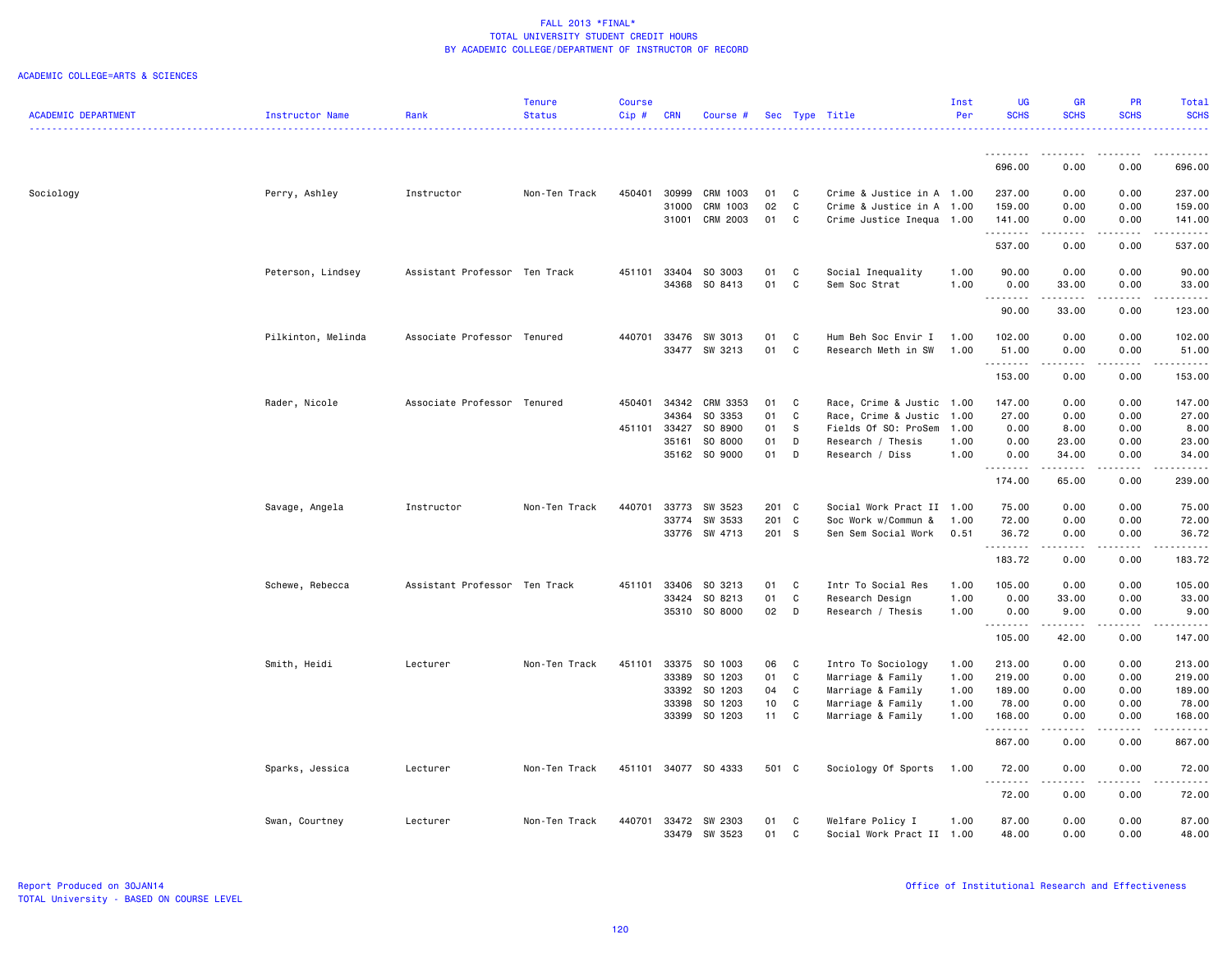|                            |                    |                               | Tenure        | <b>Course</b> |              |                      |                 |              |                           | Inst | UG                   | GR                      | <b>PR</b>        | Total                                                                                                                                                          |
|----------------------------|--------------------|-------------------------------|---------------|---------------|--------------|----------------------|-----------------|--------------|---------------------------|------|----------------------|-------------------------|------------------|----------------------------------------------------------------------------------------------------------------------------------------------------------------|
| <b>ACADEMIC DEPARTMENT</b> | Instructor Name    | Rank                          | <b>Status</b> | Cip#          | <b>CRN</b>   | Course #             |                 |              | Sec Type Title            | Per  | <b>SCHS</b>          | <b>SCHS</b><br><u>.</u> | <b>SCHS</b>      | <b>SCHS</b><br>.                                                                                                                                               |
|                            |                    |                               |               |               |              |                      |                 |              |                           |      | .                    | ----                    |                  |                                                                                                                                                                |
|                            |                    |                               |               |               |              |                      |                 |              |                           |      | 696.00               | 0.00                    | 0.00             | 696.00                                                                                                                                                         |
| Sociology                  | Perry, Ashley      | Instructor                    | Non-Ten Track | 450401        | 30999        | CRM 1003             | 01              | C            | Crime & Justice in A 1.00 |      | 237.00               | 0.00                    | 0.00             | 237.00                                                                                                                                                         |
|                            |                    |                               |               |               | 31000        | CRM 1003             | 02              | C            | Crime & Justice in A 1.00 |      | 159.00               | 0.00                    | 0.00             | 159.00                                                                                                                                                         |
|                            |                    |                               |               |               | 31001        | CRM 2003             | 01              | C            | Crime Justice Inequa 1.00 |      | 141.00<br>.          | 0.00<br>.               | 0.00<br>.        | 141.00<br>$\frac{1}{2} \left( \frac{1}{2} \right) \left( \frac{1}{2} \right) \left( \frac{1}{2} \right) \left( \frac{1}{2} \right) \left( \frac{1}{2} \right)$ |
|                            |                    |                               |               |               |              |                      |                 |              |                           |      | 537.00               | 0.00                    | 0.00             | 537.00                                                                                                                                                         |
|                            | Peterson, Lindsey  | Assistant Professor Ten Track |               |               | 451101 33404 | SO 3003              | 01              | C            | Social Inequality         | 1.00 | 90.00                | 0.00                    | 0.00             | 90.00                                                                                                                                                          |
|                            |                    |                               |               |               | 34368        | SO 8413              | 01              | C            | Sem Soc Strat             | 1.00 | 0.00<br>.            | 33.00                   | 0.00<br>المتماما | 33.00<br>.                                                                                                                                                     |
|                            |                    |                               |               |               |              |                      |                 |              |                           |      | 90.00                | 33.00                   | 0.00             | 123.00                                                                                                                                                         |
|                            | Pilkinton, Melinda | Associate Professor Tenured   |               | 440701        | 33476        | SW 3013              | 01              | C            | Hum Beh Soc Envir I       | 1.00 | 102.00               | 0.00                    | 0.00             | 102.00                                                                                                                                                         |
|                            |                    |                               |               |               |              | 33477 SW 3213        | 01              | C            | Research Meth in SW       | 1.00 | 51.00<br>.           | 0.00<br>.               | 0.00<br>-----    | 51.00<br>$\frac{1}{2} \left( \frac{1}{2} \right) \left( \frac{1}{2} \right) \left( \frac{1}{2} \right) \left( \frac{1}{2} \right) \left( \frac{1}{2} \right)$  |
|                            |                    |                               |               |               |              |                      |                 |              |                           |      | 153.00               | 0.00                    | 0.00             | 153.00                                                                                                                                                         |
|                            | Rader, Nicole      | Associate Professor Tenured   |               | 450401        | 34342        | CRM 3353             | 01              | C            | Race, Crime & Justic 1.00 |      | 147.00               | 0.00                    | 0.00             | 147.00                                                                                                                                                         |
|                            |                    |                               |               |               | 34364        | SO 3353              | 01              | C            | Race, Crime & Justic 1.00 |      | 27.00                | 0.00                    | 0.00             | 27.00                                                                                                                                                          |
|                            |                    |                               |               | 451101 33427  |              | SO 8900              | 01              | s            | Fields Of SO: ProSem      | 1.00 | 0.00                 | 8.00                    | 0.00             | 8.00                                                                                                                                                           |
|                            |                    |                               |               |               | 35161        | SO 8000              | 01              | D            | Research / Thesis         | 1.00 | 0.00                 | 23.00                   | 0.00             | 23.00                                                                                                                                                          |
|                            |                    |                               |               |               |              | 35162 SO 9000        | 01              | D            | Research / Diss           | 1.00 | 0.00<br>.            | 34.00<br>.              | 0.00             | 34.00<br>.                                                                                                                                                     |
|                            |                    |                               |               |               |              |                      |                 |              |                           |      | 174.00               | 65.00                   | 0.00             | 239.00                                                                                                                                                         |
|                            | Savage, Angela     | Instructor                    | Non-Ten Track | 440701        | 33773        | SW 3523              | 201 C           |              | Social Work Pract II 1.00 |      | 75.00                | 0.00                    | 0.00             | 75.00                                                                                                                                                          |
|                            |                    |                               |               |               | 33774        | SW 3533              | 201 C           |              | Soc Work w/Commun &       | 1.00 | 72.00                | 0.00                    | 0.00             | 72.00                                                                                                                                                          |
|                            |                    |                               |               |               | 33776        | SW 4713              | 201 S           |              | Sen Sem Social Work       | 0.51 | 36.72                | 0.00                    | 0.00             | 36.72                                                                                                                                                          |
|                            |                    |                               |               |               |              |                      |                 |              |                           |      | .<br>183.72          | 0.00                    | 0.00             | 183.72                                                                                                                                                         |
|                            |                    |                               |               |               |              |                      |                 |              |                           |      |                      |                         |                  |                                                                                                                                                                |
|                            | Schewe, Rebecca    | Assistant Professor Ten Track |               | 451101        | 33406        | SO 3213              | 01              | C            | Intr To Social Res        | 1.00 | 105.00               | 0.00                    | 0.00             | 105.00                                                                                                                                                         |
|                            |                    |                               |               |               | 33424        | SO 8213              | 01              | C            | Research Design           | 1.00 | 0.00                 | 33.00                   | 0.00             | 33.00                                                                                                                                                          |
|                            |                    |                               |               |               | 35310        | SO 8000              | 02              | D            | Research / Thesis         | 1.00 | 0.00<br>.            | 9.00<br>.               | 0.00<br>.        | 9.00<br>.                                                                                                                                                      |
|                            |                    |                               |               |               |              |                      |                 |              |                           |      | 105.00               | 42.00                   | 0.00             | 147.00                                                                                                                                                         |
|                            | Smith, Heidi       | Lecturer                      | Non-Ten Track | 451101        | 33375        | SO 1003              | 06              | $\mathbf{C}$ | Intro To Sociology        | 1.00 | 213.00               | 0.00                    | 0.00             | 213.00                                                                                                                                                         |
|                            |                    |                               |               |               | 33389        | SO 1203              | 01              | C            | Marriage & Family         | 1.00 | 219.00               | 0.00                    | 0.00             | 219.00                                                                                                                                                         |
|                            |                    |                               |               |               | 33392        | S0 1203              | 04              | C            | Marriage & Family         | 1.00 | 189.00               | 0.00                    | 0.00             | 189.00                                                                                                                                                         |
|                            |                    |                               |               |               | 33398        | SO 1203              | 10 <sub>1</sub> | C            | Marriage & Family         | 1.00 | 78.00                | 0.00                    | 0.00             | 78.00                                                                                                                                                          |
|                            |                    |                               |               |               |              | 33399 SO 1203        | 11              | C            | Marriage & Family         | 1.00 | 168.00               | 0.00                    | 0.00             | 168.00                                                                                                                                                         |
|                            |                    |                               |               |               |              |                      |                 |              |                           |      | . <b>.</b><br>867.00 | 0.00                    | 0.00             | .<br>867.00                                                                                                                                                    |
|                            | Sparks, Jessica    | Lecturer                      | Non-Ten Track |               |              | 451101 34077 SO 4333 | 501 C           |              | Sociology Of Sports       | 1.00 | 72.00                | 0.00                    | 0.00             | 72.00                                                                                                                                                          |
|                            |                    |                               |               |               |              |                      |                 |              |                           |      | <u>.</u><br>72.00    | $\frac{1}{2}$<br>0.00   | .<br>0.00        | .<br>72.00                                                                                                                                                     |
|                            | Swan, Courtney     | Lecturer                      | Non-Ten Track | 440701        | 33472        | SW 2303              | 01              | C            | Welfare Policy I          | 1.00 | 87.00                | 0.00                    | 0.00             | 87.00                                                                                                                                                          |
|                            |                    |                               |               |               | 33479        | SW 3523              | 01              | $\mathtt{C}$ | Social Work Pract II 1.00 |      | 48.00                | 0.00                    | 0.00             | 48.00                                                                                                                                                          |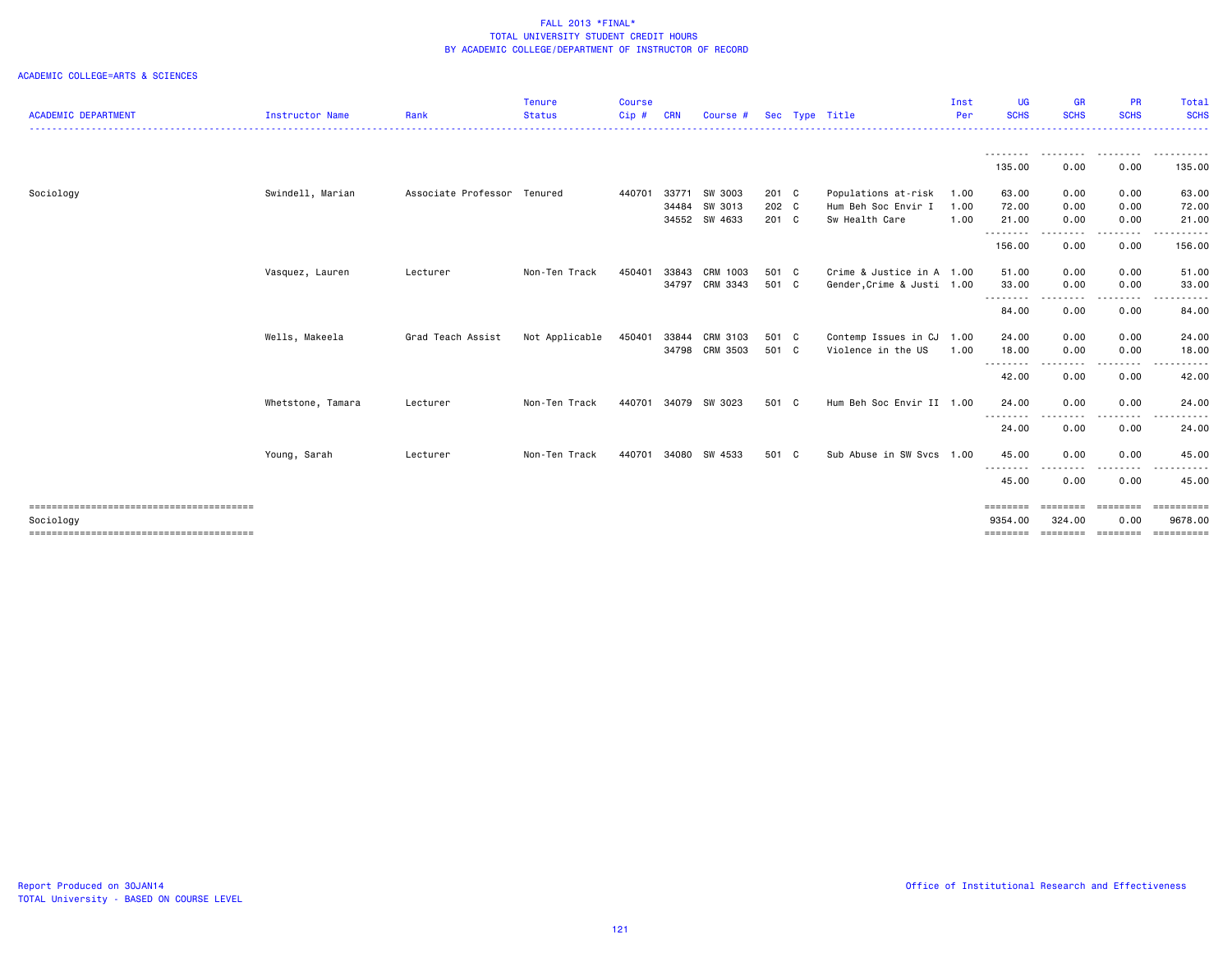|                            |                   |                     | <b>Tenure</b>  | Course |            |                |       |                            | Inst | UG                  | <b>GR</b>              | <b>PR</b>          | Total                     |
|----------------------------|-------------------|---------------------|----------------|--------|------------|----------------|-------|----------------------------|------|---------------------|------------------------|--------------------|---------------------------|
| <b>ACADEMIC DEPARTMENT</b> | Instructor Name   | Rank                | <b>Status</b>  | Cip#   | <b>CRN</b> | Course #       |       | Sec Type Title             | Per  | <b>SCHS</b>         | <b>SCHS</b>            | <b>SCHS</b>        | <b>SCHS</b>               |
|                            |                   |                     |                |        |            |                |       |                            |      | .<br>135.00         | --------<br>0.00       | <u>.</u><br>0.00   | .<br>135.00               |
|                            |                   |                     |                |        |            |                |       |                            |      |                     |                        |                    |                           |
| Sociology                  | Swindell, Marian  | Associate Professor | Tenured        | 440701 | 33771      | SW 3003        | 201 C | Populations at-risk        | 1.00 | 63.00               | 0.00                   | 0.00               | 63.00                     |
|                            |                   |                     |                |        | 34484      | SW 3013        | 202 C | Hum Beh Soc Envir I        | 1.00 | 72.00               | 0.00                   | 0.00               | 72.00                     |
|                            |                   |                     |                |        |            | 34552 SW 4633  | 201 C | Sw Health Care             | 1.00 | 21.00<br>.          | 0.00<br>-----          | 0.00<br>-----      | 21.00<br>.                |
|                            |                   |                     |                |        |            |                |       |                            |      | 156.00              | 0.00                   | 0.00               | 156.00                    |
|                            | Vasquez, Lauren   | Lecturer            | Non-Ten Track  | 450401 | 33843      | CRM 1003       | 501 C | Crime & Justice in A 1.00  |      | 51.00               | 0.00                   | 0.00               | 51.00                     |
|                            |                   |                     |                |        |            | 34797 CRM 3343 | 501 C | Gender, Crime & Justi 1.00 |      | 33.00               | 0.00                   | 0.00               | 33.00                     |
|                            |                   |                     |                |        |            |                |       |                            |      | ---------<br>84.00  | .<br>0.00              | 0.00               | .<br>84.00                |
|                            | Wells, Makeela    | Grad Teach Assist   | Not Applicable | 450401 | 33844      | CRM 3103       | 501 C | Contemp Issues in CJ 1.00  |      | 24.00               | 0.00                   | 0.00               | 24.00                     |
|                            |                   |                     |                |        |            | 34798 CRM 3503 | 501 C | Violence in the US         | 1.00 | 18.00               | 0.00                   | 0.00               | 18.00                     |
|                            |                   |                     |                |        |            |                |       |                            |      | .<br>42.00          | .<br>0.00              | .<br>0.00          | .<br>42.00                |
|                            | Whetstone, Tamara | Lecturer            | Non-Ten Track  | 440701 | 34079      | SW 3023        | 501 C | Hum Beh Soc Envir II 1.00  |      | 24.00               | 0.00                   | 0.00               | 24.00                     |
|                            |                   |                     |                |        |            |                |       |                            |      | --------<br>24.00   | 0.00                   | 0.00               | 24.00                     |
|                            | Young, Sarah      | Lecturer            | Non-Ten Track  | 440701 | 34080      | SW 4533        | 501 C | Sub Abuse in SW Svcs 1.00  |      | 45.00               | 0.00                   | 0.00               | 45.00                     |
|                            |                   |                     |                |        |            |                |       |                            |      | ---------<br>45.00  | . <b>. .</b> .<br>0.00 | .<br>0.00          | 45.00                     |
| Sociology                  |                   |                     |                |        |            |                |       |                            |      | ========<br>9354.00 | 324.00                 | ========<br>0.00   | $=$ ==========<br>9678.00 |
|                            |                   |                     |                |        |            |                |       |                            |      | ========            |                        | --------- -------- | ==========                |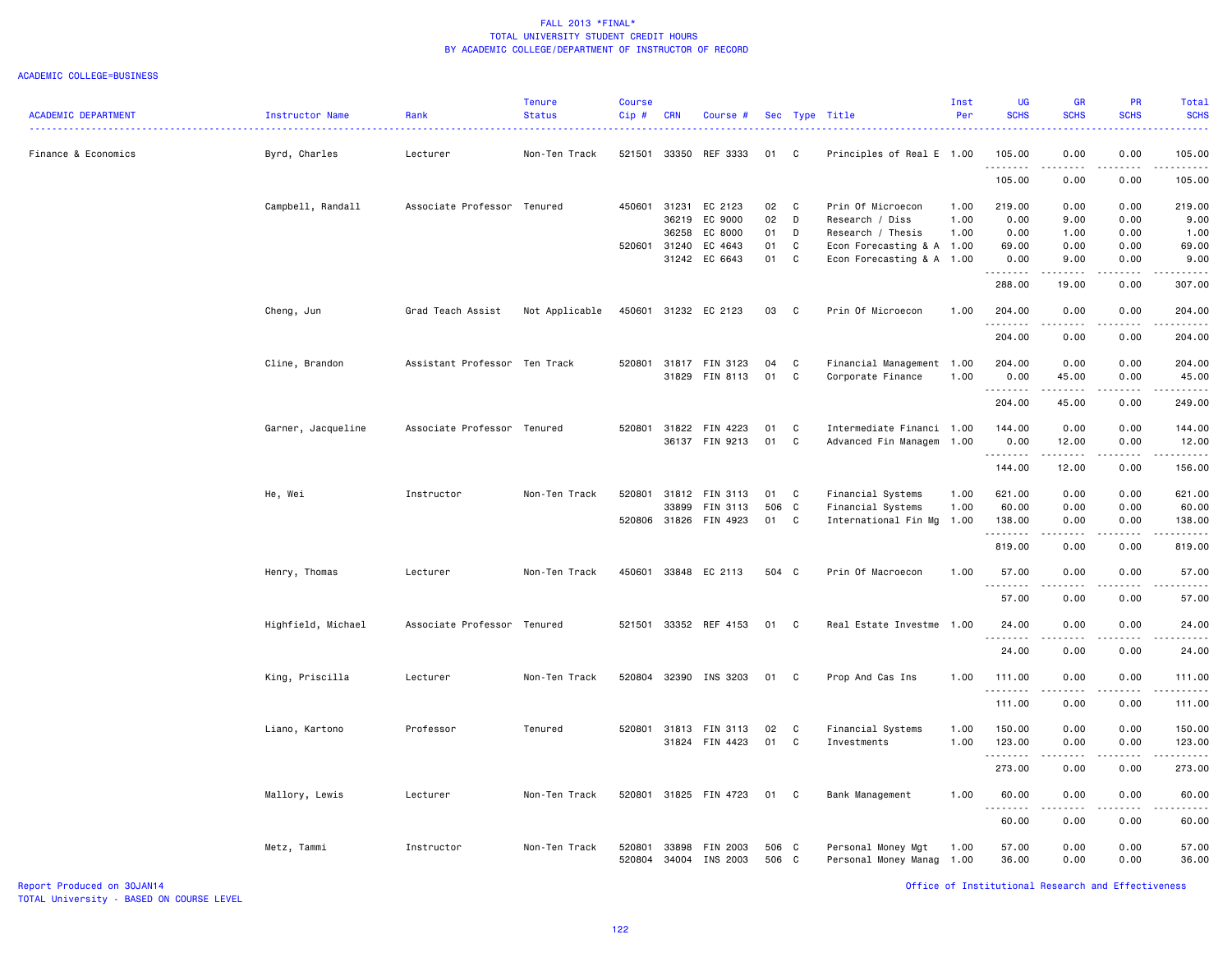|                            |                    |                               | Tenure         | Course       |            |                       |       |              |                           | Inst | <b>UG</b><br><b>SCHS</b> | <b>GR</b><br><b>SCHS</b> | <b>PR</b><br><b>SCHS</b> | Total                                                                                                                                                          |
|----------------------------|--------------------|-------------------------------|----------------|--------------|------------|-----------------------|-------|--------------|---------------------------|------|--------------------------|--------------------------|--------------------------|----------------------------------------------------------------------------------------------------------------------------------------------------------------|
| <b>ACADEMIC DEPARTMENT</b> | Instructor Name    | Rank                          | <b>Status</b>  | Cip#         | <b>CRN</b> | Course #              |       |              | Sec Type Title            | Per  |                          |                          |                          | <b>SCHS</b>                                                                                                                                                    |
| Finance & Economics        | Byrd, Charles      | Lecturer                      | Non-Ten Track  | 521501       |            | 33350 REF 3333        | 01    | $\mathbf{C}$ | Principles of Real E 1.00 |      | 105.00<br>.              | 0.00<br>الداعات المالية  | 0.00<br>.                | 105.00                                                                                                                                                         |
|                            |                    |                               |                |              |            |                       |       |              |                           |      | 105.00                   | 0.00                     | 0.00                     | 105.00                                                                                                                                                         |
|                            | Campbell, Randall  | Associate Professor Tenured   |                | 450601       | 31231      | EC 2123               | 02    | $\mathbf{C}$ | Prin Of Microecon         | 1.00 | 219.00                   | 0.00                     | 0.00                     | 219.00                                                                                                                                                         |
|                            |                    |                               |                |              | 36219      | EC 9000               | 02    | D            | Research / Diss           | 1.00 | 0.00                     | 9.00                     | 0.00                     | 9.00                                                                                                                                                           |
|                            |                    |                               |                |              | 36258      | EC 8000               | 01    | D            | Research / Thesis         | 1.00 | 0.00                     | 1.00                     | 0.00                     | 1.00                                                                                                                                                           |
|                            |                    |                               |                | 520601 31240 |            | EC 4643               | 01    | C            | Econ Forecasting & A 1.00 |      | 69.00                    | 0.00                     | 0.00                     | 69.00                                                                                                                                                          |
|                            |                    |                               |                |              | 31242      | EC 6643               | 01    | C            | Econ Forecasting & A 1.00 |      | 0.00<br>.                | 9.00                     | 0.00                     | 9.00<br>$\sim$ $\sim$ $\sim$ $\sim$                                                                                                                            |
|                            |                    |                               |                |              |            |                       |       |              |                           |      | 288.00                   | 19.00                    | 0.00                     | 307.00                                                                                                                                                         |
|                            | Cheng, Jun         | Grad Teach Assist             | Not Applicable | 450601       |            | 31232 EC 2123         | 03    | $\mathbf{C}$ | Prin Of Microecon         | 1.00 | 204.00<br>. <b>.</b>     | 0.00                     | 0.00                     | 204.00                                                                                                                                                         |
|                            |                    |                               |                |              |            |                       |       |              |                           |      | 204.00                   | 0.00                     | 0.00                     | 204.00                                                                                                                                                         |
|                            | Cline, Brandon     | Assistant Professor Ten Track |                | 520801       |            | 31817 FIN 3123        | 04    | C            | Financial Management 1.00 |      | 204.00                   | 0.00                     | 0.00                     | 204.00                                                                                                                                                         |
|                            |                    |                               |                |              |            | 31829 FIN 8113        | 01    | C            | Corporate Finance         | 1.00 | 0.00                     | 45.00                    | 0.00                     | 45.00                                                                                                                                                          |
|                            |                    |                               |                |              |            |                       |       |              |                           |      | .                        | .                        |                          | .                                                                                                                                                              |
|                            |                    |                               |                |              |            |                       |       |              |                           |      | 204.00                   | 45.00                    | 0.00                     | 249.00                                                                                                                                                         |
|                            | Garner, Jacqueline | Associate Professor Tenured   |                | 520801       |            | 31822 FIN 4223        | 01    | C            | Intermediate Financi 1.00 |      | 144.00                   | 0.00                     | 0.00                     | 144.00                                                                                                                                                         |
|                            |                    |                               |                |              |            | 36137 FIN 9213        | 01    | $\mathbf{C}$ | Advanced Fin Managem 1.00 |      | 0.00                     | 12.00                    | 0.00                     | 12.00                                                                                                                                                          |
|                            |                    |                               |                |              |            |                       |       |              |                           |      | .<br>144.00              | .<br>12.00               | .<br>0.00                | $\frac{1}{2} \left( \frac{1}{2} \right) \left( \frac{1}{2} \right) \left( \frac{1}{2} \right) \left( \frac{1}{2} \right) \left( \frac{1}{2} \right)$<br>156.00 |
|                            |                    | Instructor                    |                | 520801       |            | 31812 FIN 3113        | 01    | $\mathbf{C}$ | Financial Systems         | 1.00 | 621.00                   | 0.00                     | 0.00                     | 621.00                                                                                                                                                         |
|                            | He, Wei            |                               | Non-Ten Track  |              | 33899      | FIN 3113              | 506   | $\mathbf{C}$ | Financial Systems         | 1.00 | 60.00                    | 0.00                     | 0.00                     | 60.00                                                                                                                                                          |
|                            |                    |                               |                |              |            | 520806 31826 FIN 4923 | 01    | $\mathbf{C}$ | International Fin Mg      | 1.00 | 138.00                   | 0.00                     | 0.00                     | 138.00                                                                                                                                                         |
|                            |                    |                               |                |              |            |                       |       |              |                           |      | .                        |                          | . <u>. .</u>             | .                                                                                                                                                              |
|                            |                    |                               |                |              |            |                       |       |              |                           |      | 819.00                   | 0.00                     | 0.00                     | 819.00                                                                                                                                                         |
|                            | Henry, Thomas      | Lecturer                      | Non-Ten Track  | 450601       |            | 33848 EC 2113         | 504 C |              | Prin Of Macroecon         | 1.00 | 57.00                    | 0.00                     | 0.00                     | 57.00                                                                                                                                                          |
|                            |                    |                               |                |              |            |                       |       |              |                           |      | .<br>57.00               | 0.00                     | 0.00                     | 57.00                                                                                                                                                          |
|                            | Highfield, Michael | Associate Professor Tenured   |                | 521501       |            | 33352 REF 4153        | 01    | $\mathbf{C}$ | Real Estate Investme      | 1.00 | 24.00                    | 0.00                     | 0.00                     | 24.00                                                                                                                                                          |
|                            |                    |                               |                |              |            |                       |       |              |                           |      |                          |                          |                          |                                                                                                                                                                |
|                            |                    |                               |                |              |            |                       |       |              |                           |      | 24.00                    | 0.00                     | 0.00                     | 24.00                                                                                                                                                          |
|                            | King, Priscilla    | Lecturer                      | Non-Ten Track  |              |            | 520804 32390 INS 3203 | 01    | C            | Prop And Cas Ins          | 1.00 | 111.00                   | 0.00                     | 0.00                     | 111.00                                                                                                                                                         |
|                            |                    |                               |                |              |            |                       |       |              |                           |      | .                        |                          |                          | وعامامات                                                                                                                                                       |
|                            |                    |                               |                |              |            |                       |       |              |                           |      | 111.00                   | 0.00                     | 0.00                     | 111.00                                                                                                                                                         |
|                            | Liano, Kartono     | Professor                     | Tenured        |              |            | 520801 31813 FIN 3113 | 02    | C            | Financial Systems         | 1.00 | 150.00                   | 0.00                     | 0.00                     | 150.00                                                                                                                                                         |
|                            |                    |                               |                |              |            | 31824 FIN 4423        | 01    | C            | Investments               | 1.00 | 123.00                   | 0.00                     | 0.00                     | 123.00                                                                                                                                                         |
|                            |                    |                               |                |              |            |                       |       |              |                           |      | .                        | .                        | .                        | 2.2.2.2.2.3                                                                                                                                                    |
|                            |                    |                               |                |              |            |                       |       |              |                           |      | 273.00                   | 0.00                     | 0.00                     | 273.00                                                                                                                                                         |
|                            | Mallory, Lewis     | Lecturer                      | Non-Ten Track  |              |            | 520801 31825 FIN 4723 | 01 C  |              | Bank Management           | 1.00 | 60.00                    | 0.00                     | 0.00                     | 60.00                                                                                                                                                          |
|                            |                    |                               |                |              |            |                       |       |              |                           |      | .                        | .                        | .                        | .                                                                                                                                                              |
|                            |                    |                               |                |              |            |                       |       |              |                           |      | 60.00                    | 0.00                     | 0.00                     | 60.00                                                                                                                                                          |
|                            | Metz, Tammi        | Instructor                    | Non-Ten Track  | 520801       | 33898      | FIN 2003              | 506 C |              | Personal Money Mgt        | 1.00 | 57.00                    | 0.00                     | 0.00                     | 57.00                                                                                                                                                          |
|                            |                    |                               |                | 520804       | 34004      | INS 2003              | 506 C |              | Personal Money Manag 1.00 |      | 36.00                    | 0.00                     | 0.00                     | 36.00                                                                                                                                                          |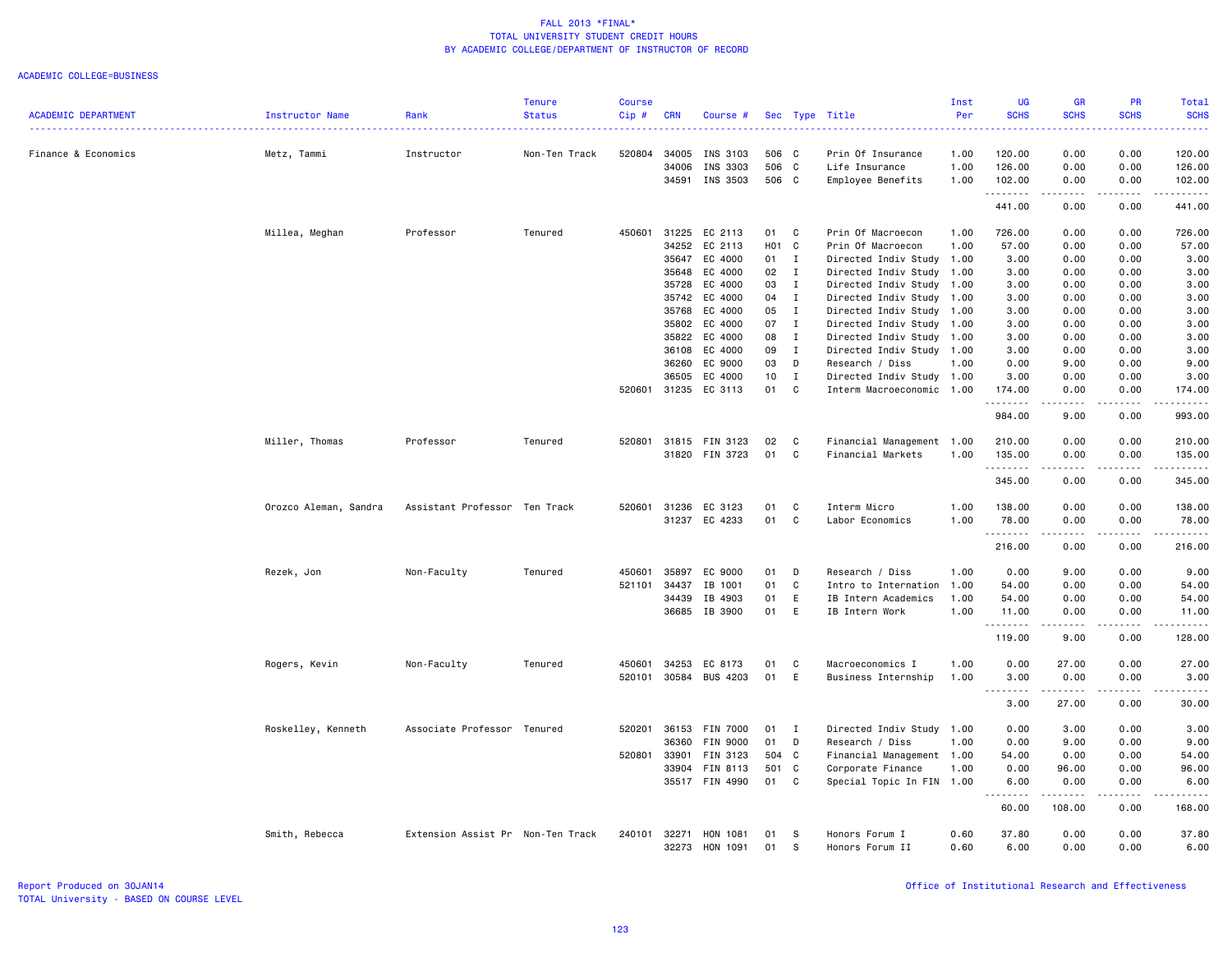|                            |                       |                                   | <b>Tenure</b> | <b>Course</b> |                |                      |                 |                   |                                              | Inst         | <b>UG</b>          | <b>GR</b>                                                                                                                         | PR                           | Total                                                                                                                                                          |
|----------------------------|-----------------------|-----------------------------------|---------------|---------------|----------------|----------------------|-----------------|-------------------|----------------------------------------------|--------------|--------------------|-----------------------------------------------------------------------------------------------------------------------------------|------------------------------|----------------------------------------------------------------------------------------------------------------------------------------------------------------|
| <b>ACADEMIC DEPARTMENT</b> | Instructor Name       | Rank                              | <b>Status</b> | Cip#          | <b>CRN</b>     | Course #             |                 |                   | Sec Type Title                               | Per          | <b>SCHS</b>        | <b>SCHS</b>                                                                                                                       | <b>SCHS</b>                  | <b>SCHS</b><br>2222                                                                                                                                            |
| Finance & Economics        | Metz, Tammi           | Instructor                        | Non-Ten Track | 520804        | 34005          | INS 3103             | 506 C           |                   | Prin Of Insurance                            | 1.00         | 120.00             | 0.00                                                                                                                              | 0.00                         | 120.00                                                                                                                                                         |
|                            |                       |                                   |               |               | 34006          | INS 3303             | 506 C           |                   | Life Insurance                               | 1.00         | 126.00             | 0.00                                                                                                                              | 0.00                         | 126.00                                                                                                                                                         |
|                            |                       |                                   |               |               | 34591          | INS 3503             | 506 C           |                   | Employee Benefits                            | 1.00         | 102.00             | 0.00                                                                                                                              | 0.00                         | 102.00                                                                                                                                                         |
|                            |                       |                                   |               |               |                |                      |                 |                   |                                              |              | .<br>441.00        | $\frac{1}{2}$<br>0.00                                                                                                             | $\sim$ $\sim$ $\sim$<br>0.00 | 441.00                                                                                                                                                         |
|                            | Millea, Meghan        | Professor                         | Tenured       | 450601        | 31225          | EC 2113              | 01              | $\mathbf{C}$      | Prin Of Macroecon                            | 1.00         | 726.00             | 0.00                                                                                                                              | 0.00                         | 726.00                                                                                                                                                         |
|                            |                       |                                   |               |               | 34252          | EC 2113              | H01 C           |                   | Prin Of Macroecon                            | 1.00         | 57.00              | 0.00                                                                                                                              | 0.00                         | 57.00                                                                                                                                                          |
|                            |                       |                                   |               |               | 35647          | EC 4000              | 01              | $\mathbf{I}$      | Directed Indiv Study 1.00                    |              | 3.00               | 0.00                                                                                                                              | 0.00                         | 3.00                                                                                                                                                           |
|                            |                       |                                   |               |               | 35648          | EC 4000              | 02              | $\mathbf{I}$      | Directed Indiv Study 1.00                    |              | 3.00               | 0.00                                                                                                                              | 0.00                         | 3.00                                                                                                                                                           |
|                            |                       |                                   |               |               | 35728          | EC 4000              | 03              | $\mathbf{I}$      | Directed Indiv Study 1.00                    |              | 3.00               | 0.00                                                                                                                              | 0.00                         | 3.00                                                                                                                                                           |
|                            |                       |                                   |               |               | 35742          | EC 4000              | 04              | $\mathbf{I}$      | Directed Indiv Study                         | 1.00         | 3.00               | 0.00                                                                                                                              | 0.00                         | 3.00                                                                                                                                                           |
|                            |                       |                                   |               |               | 35768          | EC 4000              | 05              | $\mathbf{I}$      | Directed Indiv Study 1.00                    |              | 3.00               | 0.00                                                                                                                              | 0.00                         | 3.00                                                                                                                                                           |
|                            |                       |                                   |               |               | 35802          | EC 4000              | 07              | $\mathbf{I}$      | Directed Indiv Study 1.00                    |              | 3.00               | 0.00                                                                                                                              | 0.00                         | 3.00                                                                                                                                                           |
|                            |                       |                                   |               |               | 35822          | EC 4000              | 08              | $\mathbf{I}$      | Directed Indiv Study 1.00                    |              | 3.00               | 0.00                                                                                                                              | 0.00                         | 3.00                                                                                                                                                           |
|                            |                       |                                   |               |               | 36108          | EC 4000              | 09              | $\mathbf{I}$      | Directed Indiv Study 1.00                    |              | 3.00               | 0.00                                                                                                                              | 0.00                         | 3.00                                                                                                                                                           |
|                            |                       |                                   |               |               | 36260          | EC 9000              | 03              | D                 | Research / Diss                              | 1.00         | 0.00               | 9.00                                                                                                                              | 0.00                         | 9.00                                                                                                                                                           |
|                            |                       |                                   |               |               | 36505          | EC 4000              | 10 <sub>1</sub> | $\mathbf{I}$      | Directed Indiv Study 1.00                    |              | 3.00               | 0.00                                                                                                                              | 0.00                         | 3.00                                                                                                                                                           |
|                            |                       |                                   |               | 520601        | 31235          | EC 3113              | 01              | C                 | Interm Macroeconomic 1.00                    |              | 174.00<br><u>.</u> | 0.00                                                                                                                              | 0.00<br>. <b>.</b> .         | 174.00<br>.                                                                                                                                                    |
|                            |                       |                                   |               |               |                |                      |                 |                   |                                              |              | 984.00             | 9.00                                                                                                                              | 0.00                         | 993.00                                                                                                                                                         |
|                            | Miller, Thomas        | Professor                         | Tenured       | 520801        | 31815          | FIN 3123             | 02              | C                 | Financial Management 1.00                    |              | 210.00             | 0.00                                                                                                                              | 0.00                         | 210.00                                                                                                                                                         |
|                            |                       |                                   |               |               |                | 31820 FIN 3723       | 01              | C                 | Financial Markets                            | 1.00         | 135.00             | 0.00                                                                                                                              | 0.00                         | 135.00                                                                                                                                                         |
|                            |                       |                                   |               |               |                |                      |                 |                   |                                              |              | .<br>345.00        | $\frac{1}{2} \left( \frac{1}{2} \right) \left( \frac{1}{2} \right) \left( \frac{1}{2} \right) \left( \frac{1}{2} \right)$<br>0.00 | .<br>0.00                    | $\frac{1}{2} \left( \frac{1}{2} \right) \left( \frac{1}{2} \right) \left( \frac{1}{2} \right) \left( \frac{1}{2} \right) \left( \frac{1}{2} \right)$<br>345.00 |
|                            |                       |                                   |               |               |                |                      |                 |                   |                                              |              |                    |                                                                                                                                   |                              |                                                                                                                                                                |
|                            | Orozco Aleman, Sandra | Assistant Professor Ten Track     |               | 520601        | 31236          | EC 3123              | 01              | C                 | Interm Micro                                 | 1.00         | 138.00             | 0.00                                                                                                                              | 0.00                         | 138.00                                                                                                                                                         |
|                            |                       |                                   |               |               | 31237          | EC 4233              | 01              | C                 | Labor Economics                              | 1.00         | 78.00<br><u>.</u>  | 0.00                                                                                                                              | 0.00                         | 78.00                                                                                                                                                          |
|                            |                       |                                   |               |               |                |                      |                 |                   |                                              |              | 216.00             | 0.00                                                                                                                              | 0.00                         | 216.00                                                                                                                                                         |
|                            | Rezek, Jon            | Non-Faculty                       | Tenured       | 450601        | 35897          | EC 9000              | 01              | D                 | Research / Diss                              | 1.00         | 0.00               | 9.00                                                                                                                              | 0.00                         | 9.00                                                                                                                                                           |
|                            |                       |                                   |               | 521101        | 34437          | IB 1001              | 01              | C                 | Intro to Internation                         | 1.00         | 54.00              | 0.00                                                                                                                              | 0.00                         | 54.00                                                                                                                                                          |
|                            |                       |                                   |               |               | 34439          | IB 4903              | 01              | E                 | IB Intern Academics                          | 1.00         | 54.00              | 0.00                                                                                                                              | 0.00                         | 54.00                                                                                                                                                          |
|                            |                       |                                   |               |               | 36685          | IB 3900              | 01              | E                 | IB Intern Work                               | 1.00         | 11.00<br>.         | 0.00<br>.                                                                                                                         | 0.00<br>.                    | 11.00<br>.                                                                                                                                                     |
|                            |                       |                                   |               |               |                |                      |                 |                   |                                              |              | 119.00             | 9.00                                                                                                                              | 0.00                         | 128.00                                                                                                                                                         |
|                            | Rogers, Kevin         | Non-Faculty                       | Tenured       | 450601        | 34253          | EC 8173              | 01              | C                 | Macroeconomics I                             | 1.00         | 0.00               | 27.00                                                                                                                             | 0.00                         | 27.00                                                                                                                                                          |
|                            |                       |                                   |               | 520101        | 30584          | BUS 4203             | 01              | E                 | Business Internship                          | 1.00         | 3.00               | 0.00                                                                                                                              | 0.00                         | 3.00                                                                                                                                                           |
|                            |                       |                                   |               |               |                |                      |                 |                   |                                              |              | .<br>3.00          | 27.00                                                                                                                             | د د د د<br>0.00              | .<br>30.00                                                                                                                                                     |
|                            |                       |                                   |               |               |                |                      |                 |                   |                                              |              |                    |                                                                                                                                   |                              |                                                                                                                                                                |
|                            | Roskelley, Kenneth    | Associate Professor Tenured       |               | 520201        | 36153<br>36360 | FIN 7000<br>FIN 9000 | 01<br>01        | $\mathbf{I}$<br>D | Directed Indiv Study 1.00                    | 1.00         | 0.00<br>0.00       | 3.00<br>9.00                                                                                                                      | 0.00<br>0.00                 | 3.00<br>9.00                                                                                                                                                   |
|                            |                       |                                   |               | 520801        | 33901          | FIN 3123             | 504 C           |                   | Research / Diss<br>Financial Management 1.00 |              | 54.00              | 0.00                                                                                                                              | 0.00                         | 54.00                                                                                                                                                          |
|                            |                       |                                   |               |               | 33904          | FIN 8113             | 501 C           |                   | Corporate Finance                            | 1.00         | 0.00               | 96.00                                                                                                                             | 0.00                         | 96.00                                                                                                                                                          |
|                            |                       |                                   |               |               | 35517          | FIN 4990             | 01              | C                 |                                              |              | 6.00               | 0.00                                                                                                                              | 0.00                         | 6.00                                                                                                                                                           |
|                            |                       |                                   |               |               |                |                      |                 |                   | Special Topic In FIN 1.00                    |              | .                  | .                                                                                                                                 | .                            | .                                                                                                                                                              |
|                            |                       |                                   |               |               |                |                      |                 |                   |                                              |              | 60.00              | 108.00                                                                                                                            | 0.00                         | 168.00                                                                                                                                                         |
|                            | Smith, Rebecca        | Extension Assist Pr Non-Ten Track |               | 240101        | 32271<br>32273 | HON 1081<br>HON 1091 | 01<br>01        | s<br>S            | Honors Forum I<br>Honors Forum II            | 0.60<br>0.60 | 37.80<br>6.00      | 0.00<br>0.00                                                                                                                      | 0.00<br>0.00                 | 37.80<br>6.00                                                                                                                                                  |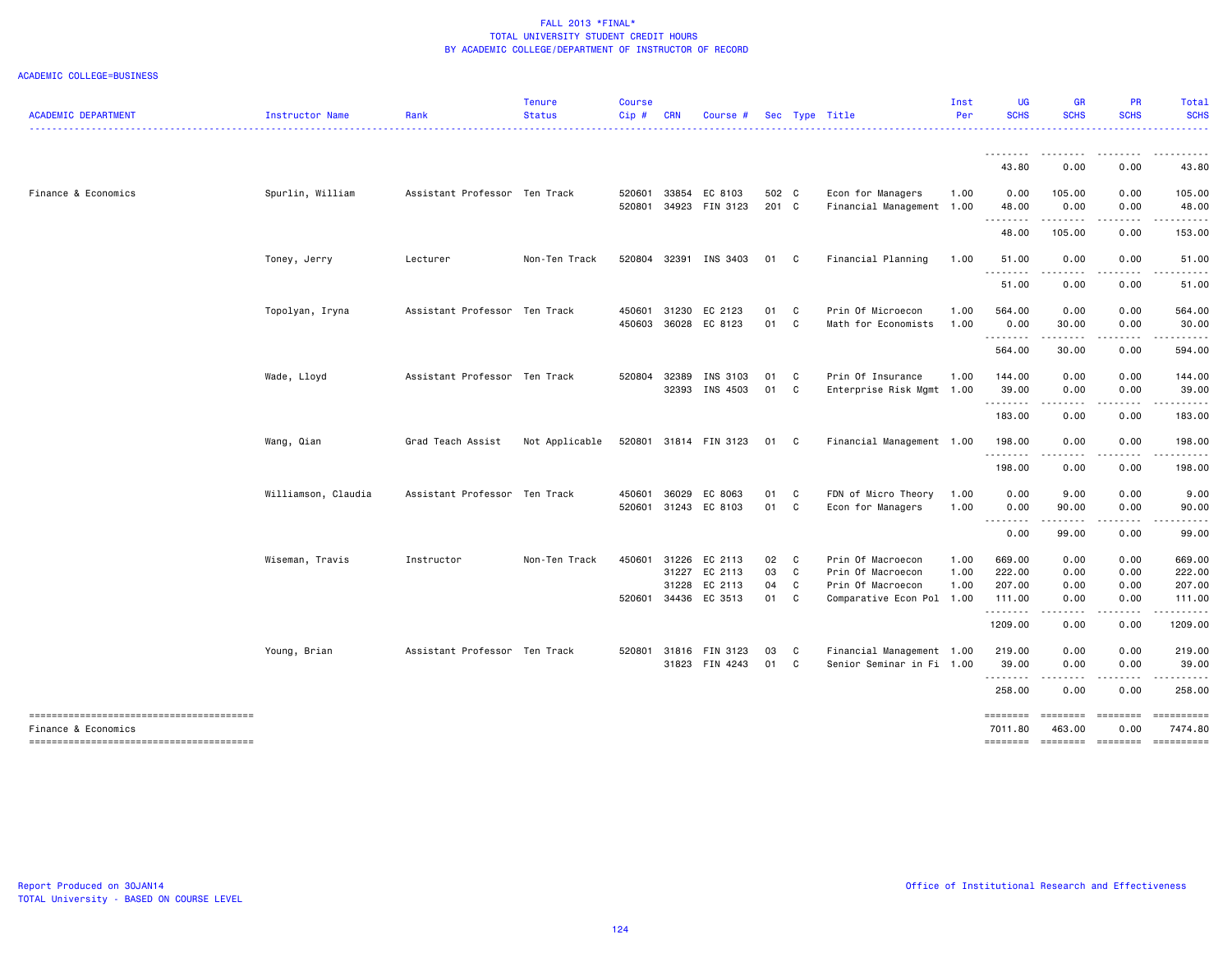| <b>ACADEMIC DEPARTMENT</b> | Instructor Name     | Rank                          | <b>Tenure</b><br><b>Status</b> | <b>Course</b><br>Cip# | <b>CRN</b>              | Course #                      |                |                     | Sec Type Title                                              | Inst<br>Per          | <b>UG</b><br><b>SCHS</b>         | <b>GR</b><br><b>SCHS</b>        | <b>PR</b><br><b>SCHS</b>                                                                                                                                     | Total<br><b>SCHS</b>                         |
|----------------------------|---------------------|-------------------------------|--------------------------------|-----------------------|-------------------------|-------------------------------|----------------|---------------------|-------------------------------------------------------------|----------------------|----------------------------------|---------------------------------|--------------------------------------------------------------------------------------------------------------------------------------------------------------|----------------------------------------------|
|                            |                     |                               |                                |                       |                         |                               |                |                     |                                                             |                      |                                  |                                 |                                                                                                                                                              | .                                            |
|                            |                     |                               |                                |                       |                         |                               |                |                     |                                                             |                      | 43.80                            | 0.00                            | 0.00                                                                                                                                                         | 43.80                                        |
| Finance & Economics        | Spurlin, William    | Assistant Professor Ten Track |                                | 520601<br>520801      | 33854<br>34923          | EC 8103<br>FIN 3123           | 502 C<br>201 C |                     | Econ for Managers<br>Financial Management 1.00              | 1.00                 | 0.00<br>48.00                    | 105.00<br>0.00                  | 0.00<br>0.00                                                                                                                                                 | 105.00<br>48.00                              |
|                            |                     |                               |                                |                       |                         |                               |                |                     |                                                             |                      | 48.00                            | .<br>105.00                     | -----<br>0.00                                                                                                                                                | 153.00                                       |
|                            | Toney, Jerry        | Lecturer                      | Non-Ten Track                  | 520804                | 32391                   | INS 3403                      | 01             | C                   | Financial Planning                                          | 1.00                 | 51.00                            | 0.00                            | 0.00                                                                                                                                                         | 51.00                                        |
|                            |                     |                               |                                |                       |                         |                               |                |                     |                                                             |                      | .<br>51.00                       | 0.00                            | 0.00                                                                                                                                                         | 51.00                                        |
|                            | Topolyan, Iryna     | Assistant Professor Ten Track |                                | 450601<br>450603      | 31230<br>36028          | EC 2123<br>EC 8123            | 01<br>01       | C<br>C              | Prin Of Microecon<br>Math for Economists                    | 1.00<br>1.00         | 564.00<br>0.00                   | 0.00<br>30.00                   | 0.00<br>0.00                                                                                                                                                 | 564.00<br>30.00                              |
|                            |                     |                               |                                |                       |                         |                               |                |                     |                                                             |                      | --------<br>564.00               | ------<br>30.00                 | $\frac{1}{2} \left( \frac{1}{2} \right) \left( \frac{1}{2} \right) \left( \frac{1}{2} \right) \left( \frac{1}{2} \right) \left( \frac{1}{2} \right)$<br>0.00 | .<br>594.00                                  |
|                            | Wade, Lloyd         | Assistant Professor Ten Track |                                | 520804                | 32389<br>32393          | INS 3103<br>INS 4503          | 01<br>01       | C<br>C              | Prin Of Insurance<br>Enterprise Risk Mgmt 1.00              | 1.00                 | 144.00<br>39.00                  | 0.00<br>0.00                    | 0.00<br>0.00                                                                                                                                                 | 144.00<br>39.00                              |
|                            |                     |                               |                                |                       |                         |                               |                |                     |                                                             |                      | .<br>183.00                      | 0.00                            | 0.00                                                                                                                                                         | .<br>183.00                                  |
|                            | Wang, Qian          | Grad Teach Assist             | Not Applicable                 |                       |                         | 520801 31814 FIN 3123         | 01             | C                   | Financial Management 1.00                                   |                      | 198.00<br><u>.</u>               | 0.00                            | 0.00                                                                                                                                                         | 198.00                                       |
|                            |                     |                               |                                |                       |                         |                               |                |                     |                                                             |                      | 198.00                           | 0.00                            | 0.00                                                                                                                                                         | 198.00                                       |
|                            | Williamson, Claudia | Assistant Professor Ten Track |                                | 450601<br>520601      | 36029                   | EC 8063<br>31243 EC 8103      | 01<br>01       | C<br>C <sub>1</sub> | FDN of Micro Theory<br>Econ for Managers                    | 1.00<br>1.00         | 0.00<br>0.00                     | 9.00<br>90.00                   | 0.00<br>0.00                                                                                                                                                 | 9.00<br>90.00                                |
|                            |                     |                               |                                |                       |                         |                               |                |                     |                                                             |                      | --------<br>0.00                 | . <b>.</b><br>99.00             | .<br>0.00                                                                                                                                                    | . <b>.</b> .<br>99.00                        |
|                            | Wiseman, Travis     | Instructor                    | Non-Ten Track                  | 450601                | 31226<br>31227<br>31228 | EC 2113<br>EC 2113<br>EC 2113 | 02<br>03<br>04 | C<br>C<br>C         | Prin Of Macroecon<br>Prin Of Macroecon<br>Prin Of Macroecon | 1.00<br>1.00<br>1.00 | 669.00<br>222.00<br>207.00       | 0.00<br>0.00<br>0.00            | 0.00<br>0.00<br>0.00                                                                                                                                         | 669.00<br>222.00<br>207.00                   |
|                            |                     |                               |                                | 520601                | 34436                   | EC 3513                       | 01             | C                   | Comparative Econ Pol 1.00                                   |                      | 111.00<br>.                      | 0.00                            | 0.00                                                                                                                                                         | 111.00<br>$\sim$ $\sim$ $\sim$ $\sim$ $\sim$ |
|                            |                     |                               |                                |                       |                         |                               |                |                     |                                                             |                      | 1209.00                          | 0.00                            | 0.00                                                                                                                                                         | 1209.00                                      |
|                            | Young, Brian        | Assistant Professor Ten Track |                                | 520801                | 31816                   | FIN 3123<br>31823 FIN 4243    | 03<br>01       | C<br>C              | Financial Management 1.00<br>Senior Seminar in Fi 1.00      |                      | 219.00<br>39.00                  | 0.00<br>0.00                    | 0.00<br>0.00                                                                                                                                                 | 219.00<br>39.00                              |
|                            |                     |                               |                                |                       |                         |                               |                |                     |                                                             |                      | .<br>258.00                      | - - -<br>0.00                   | 0.00                                                                                                                                                         | 258.00                                       |
| Finance & Economics        |                     |                               |                                |                       |                         |                               |                |                     |                                                             |                      | ========<br>7011.80<br>--------- | ========<br>463,00<br>--------- | eeeeeee<br>0.00<br><b>Concocco</b>                                                                                                                           | ==========<br>7474.80<br>==========          |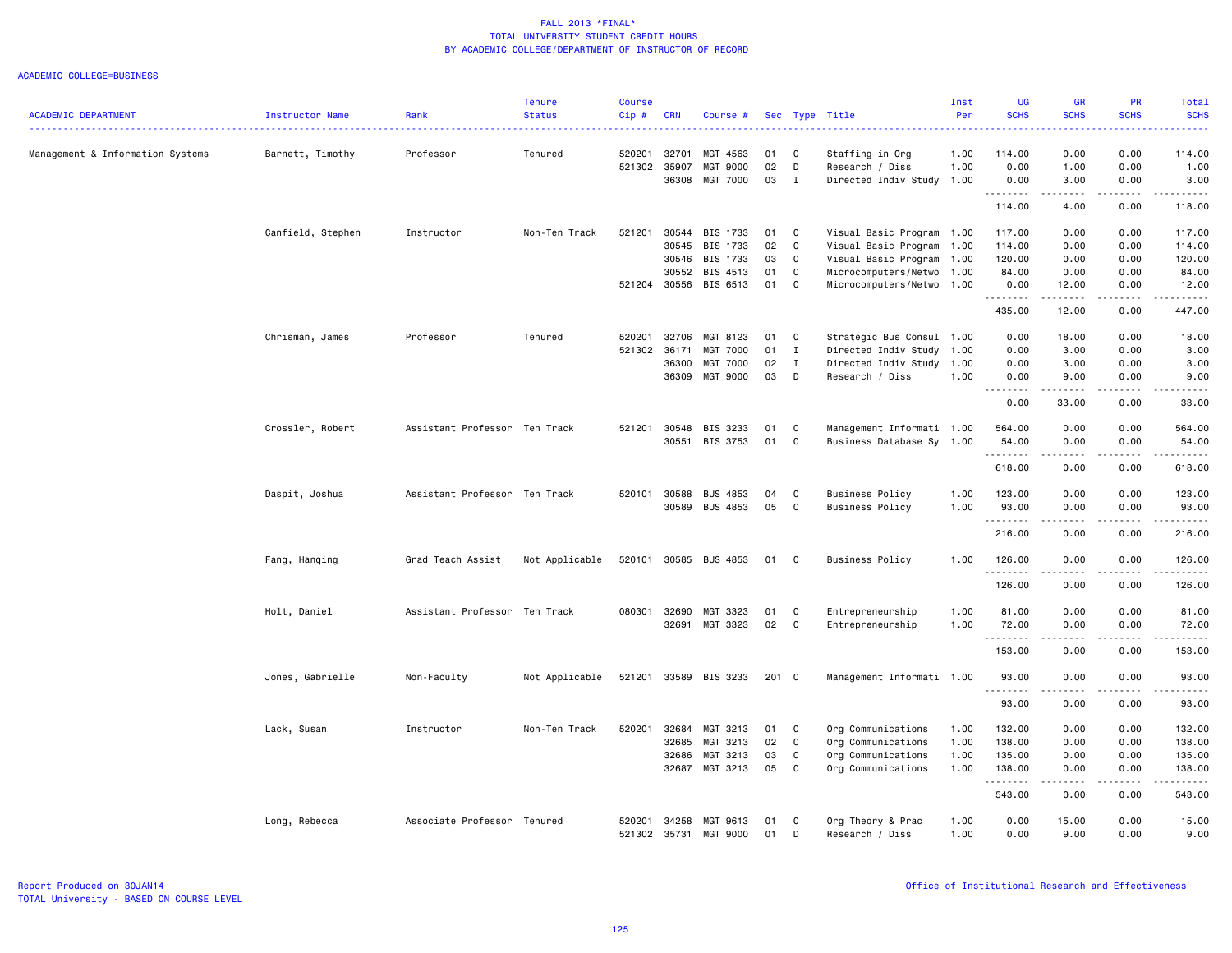|                                  |                   |                               | <b>Tenure</b>  | <b>Course</b> |              |                       |       |              |                           | Inst | <b>UG</b>                             | GR                                                                                                                                | PR                                                                                                                                | Total       |
|----------------------------------|-------------------|-------------------------------|----------------|---------------|--------------|-----------------------|-------|--------------|---------------------------|------|---------------------------------------|-----------------------------------------------------------------------------------------------------------------------------------|-----------------------------------------------------------------------------------------------------------------------------------|-------------|
| <b>ACADEMIC DEPARTMENT</b>       | Instructor Name   | Rank                          | <b>Status</b>  | $Cip$ #       | <b>CRN</b>   | Course #              |       |              | Sec Type Title            | Per  | <b>SCHS</b>                           | <b>SCHS</b>                                                                                                                       | <b>SCHS</b>                                                                                                                       | <b>SCHS</b> |
| Management & Information Systems | Barnett, Timothy  | Professor                     | Tenured        | 520201        | 32701        | MGT 4563              | 01    | C            | Staffing in Org           | 1.00 | 114.00                                | 0.00                                                                                                                              | 0.00                                                                                                                              | 114.00      |
|                                  |                   |                               |                | 521302        | 35907        | MGT 9000              | 02    | D            | Research / Diss           | 1.00 | 0.00                                  | 1.00                                                                                                                              | 0.00                                                                                                                              | 1.00        |
|                                  |                   |                               |                |               | 36308        | <b>MGT 7000</b>       | 03    | $\mathbf{I}$ | Directed Indiv Study 1.00 |      | 0.00                                  | 3.00                                                                                                                              | 0.00                                                                                                                              | 3.00        |
|                                  |                   |                               |                |               |              |                       |       |              |                           |      | <u>.</u><br>114.00                    | .<br>4.00                                                                                                                         | د د د د<br>0.00                                                                                                                   | .<br>118.00 |
|                                  | Canfield, Stephen | Instructor                    | Non-Ten Track  | 521201        | 30544        | BIS 1733              | 01    | C            | Visual Basic Program 1.00 |      | 117.00                                | 0.00                                                                                                                              | 0.00                                                                                                                              | 117.00      |
|                                  |                   |                               |                |               | 30545        | <b>BIS 1733</b>       | 02    | C            | Visual Basic Program 1.00 |      | 114.00                                | 0.00                                                                                                                              | 0.00                                                                                                                              | 114.00      |
|                                  |                   |                               |                |               | 30546        | BIS 1733              | 03    | C            | Visual Basic Program 1.00 |      | 120.00                                | 0.00                                                                                                                              | 0.00                                                                                                                              | 120.00      |
|                                  |                   |                               |                |               | 30552        | BIS 4513              | 01    | C            | Microcomputers/Netwo 1.00 |      | 84.00                                 | 0.00                                                                                                                              | 0.00                                                                                                                              | 84.00       |
|                                  |                   |                               |                | 521204        | 30556        | BIS 6513              | 01    | C            | Microcomputers/Netwo 1.00 |      | 0.00<br><b><i><u><u>.</u></u></i></b> | 12.00                                                                                                                             | 0.00                                                                                                                              | 12.00<br>.  |
|                                  |                   |                               |                |               |              |                       |       |              |                           |      | 435.00                                | 12.00                                                                                                                             | 0.00                                                                                                                              | 447.00      |
|                                  | Chrisman, James   | Professor                     | Tenured        | 520201        | 32706        | MGT 8123              | 01    | C            | Strategic Bus Consul 1.00 |      | 0.00                                  | 18.00                                                                                                                             | 0.00                                                                                                                              | 18.00       |
|                                  |                   |                               |                | 521302        | 36171        | MGT 7000              | 01    | $\mathbf{I}$ | Directed Indiv Study      | 1.00 | 0.00                                  | 3.00                                                                                                                              | 0.00                                                                                                                              | 3.00        |
|                                  |                   |                               |                |               | 36300        | MGT 7000              | 02    | $\mathbf{I}$ | Directed Indiv Study      | 1.00 | 0.00                                  | 3.00                                                                                                                              | 0.00                                                                                                                              | 3.00        |
|                                  |                   |                               |                |               | 36309        | <b>MGT 9000</b>       | 03    | D            | Research / Diss           | 1.00 | 0.00<br>.                             | 9.00<br>.                                                                                                                         | 0.00<br>د د د د                                                                                                                   | 9.00<br>.   |
|                                  |                   |                               |                |               |              |                       |       |              |                           |      | 0.00                                  | 33.00                                                                                                                             | 0.00                                                                                                                              | 33.00       |
|                                  | Crossler, Robert  | Assistant Professor Ten Track |                | 521201        | 30548        | BIS 3233              | 01    | C            | Management Informati 1.00 |      | 564.00                                | 0.00                                                                                                                              | 0.00                                                                                                                              | 564.00      |
|                                  |                   |                               |                |               | 30551        | BIS 3753              | 01    | C            | Business Database Sy 1.00 |      | 54.00<br>. <b>.</b>                   | 0.00<br>.                                                                                                                         | 0.00<br>.                                                                                                                         | 54.00<br>.  |
|                                  |                   |                               |                |               |              |                       |       |              |                           |      | 618.00                                | 0.00                                                                                                                              | 0.00                                                                                                                              | 618.00      |
|                                  | Daspit, Joshua    | Assistant Professor Ten Track |                | 520101        | 30588        | <b>BUS 4853</b>       | 04    | C            | <b>Business Policy</b>    | 1.00 | 123.00                                | 0.00                                                                                                                              | 0.00                                                                                                                              | 123.00      |
|                                  |                   |                               |                |               | 30589        | <b>BUS 4853</b>       | 05    | C            | Business Policy           | 1.00 | 93.00<br>.                            | 0.00<br>.                                                                                                                         | 0.00<br>$\frac{1}{2} \left( \frac{1}{2} \right) \left( \frac{1}{2} \right) \left( \frac{1}{2} \right) \left( \frac{1}{2} \right)$ | 93.00<br>.  |
|                                  |                   |                               |                |               |              |                       |       |              |                           |      | 216.00                                | 0.00                                                                                                                              | 0.00                                                                                                                              | 216.00      |
|                                  | Fang, Hanging     | Grad Teach Assist             | Not Applicable |               | 520101 30585 | <b>BUS 4853</b>       | 01 C  |              | <b>Business Policy</b>    | 1.00 | 126.00<br><u>.</u>                    | 0.00<br>.                                                                                                                         | 0.00<br>.                                                                                                                         | 126.00<br>. |
|                                  |                   |                               |                |               |              |                       |       |              |                           |      | 126.00                                | 0.00                                                                                                                              | 0.00                                                                                                                              | 126.00      |
|                                  | Holt, Daniel      | Assistant Professor Ten Track |                |               | 080301 32690 | MGT 3323              | 01    | C            | Entrepreneurship          | 1.00 | 81.00                                 | 0.00                                                                                                                              | 0.00                                                                                                                              | 81.00       |
|                                  |                   |                               |                |               | 32691        | MGT 3323              | 02    | C            | Entrepreneurship          | 1.00 | 72.00                                 | 0.00                                                                                                                              | 0.00                                                                                                                              | 72.00       |
|                                  |                   |                               |                |               |              |                       |       |              |                           |      | .                                     |                                                                                                                                   | $\frac{1}{2}$                                                                                                                     | .           |
|                                  |                   |                               |                |               |              |                       |       |              |                           |      | 153.00                                | 0.00                                                                                                                              | 0.00                                                                                                                              | 153.00      |
|                                  | Jones, Gabrielle  | Non-Faculty                   | Not Applicable |               |              | 521201 33589 BIS 3233 | 201 C |              | Management Informati 1.00 |      | 93.00<br><b></b>                      | 0.00<br>$- - - -$                                                                                                                 | 0.00<br>$\frac{1}{2}$                                                                                                             | 93.00<br>.  |
|                                  |                   |                               |                |               |              |                       |       |              |                           |      | 93.00                                 | 0.00                                                                                                                              | 0.00                                                                                                                              | 93.00       |
|                                  | Lack, Susan       | Instructor                    | Non-Ten Track  | 520201        | 32684        | MGT 3213              | 01    | $\mathbf{C}$ | Org Communications        | 1.00 | 132.00                                | 0.00                                                                                                                              | 0.00                                                                                                                              | 132.00      |
|                                  |                   |                               |                |               | 32685        | MGT 3213              | 02    | C            | Org Communications        | 1.00 | 138.00                                | 0.00                                                                                                                              | 0.00                                                                                                                              | 138.00      |
|                                  |                   |                               |                |               | 32686        | MGT 3213              | 03    | C            | Org Communications        | 1.00 | 135.00                                | 0.00                                                                                                                              | 0.00                                                                                                                              | 135.00      |
|                                  |                   |                               |                |               | 32687        | MGT 3213              | 05    | C            | Org Communications        | 1.00 | 138.00<br>.                           | 0.00<br>$\frac{1}{2} \left( \frac{1}{2} \right) \left( \frac{1}{2} \right) \left( \frac{1}{2} \right) \left( \frac{1}{2} \right)$ | 0.00<br>$\sim$ $\sim$ $\sim$                                                                                                      | 138,00<br>. |
|                                  |                   |                               |                |               |              |                       |       |              |                           |      | 543.00                                | 0.00                                                                                                                              | 0.00                                                                                                                              | 543.00      |
|                                  | Long, Rebecca     | Associate Professor Tenured   |                | 520201        | 34258        | MGT 9613              | 01    | C            | Org Theory & Prac         | 1.00 | 0.00                                  | 15.00                                                                                                                             | 0.00                                                                                                                              | 15.00       |
|                                  |                   |                               |                | 521302        | 35731        | MGT 9000              | 01    | D            | Research / Diss           | 1.00 | 0.00                                  | 9.00                                                                                                                              | 0.00                                                                                                                              | 9.00        |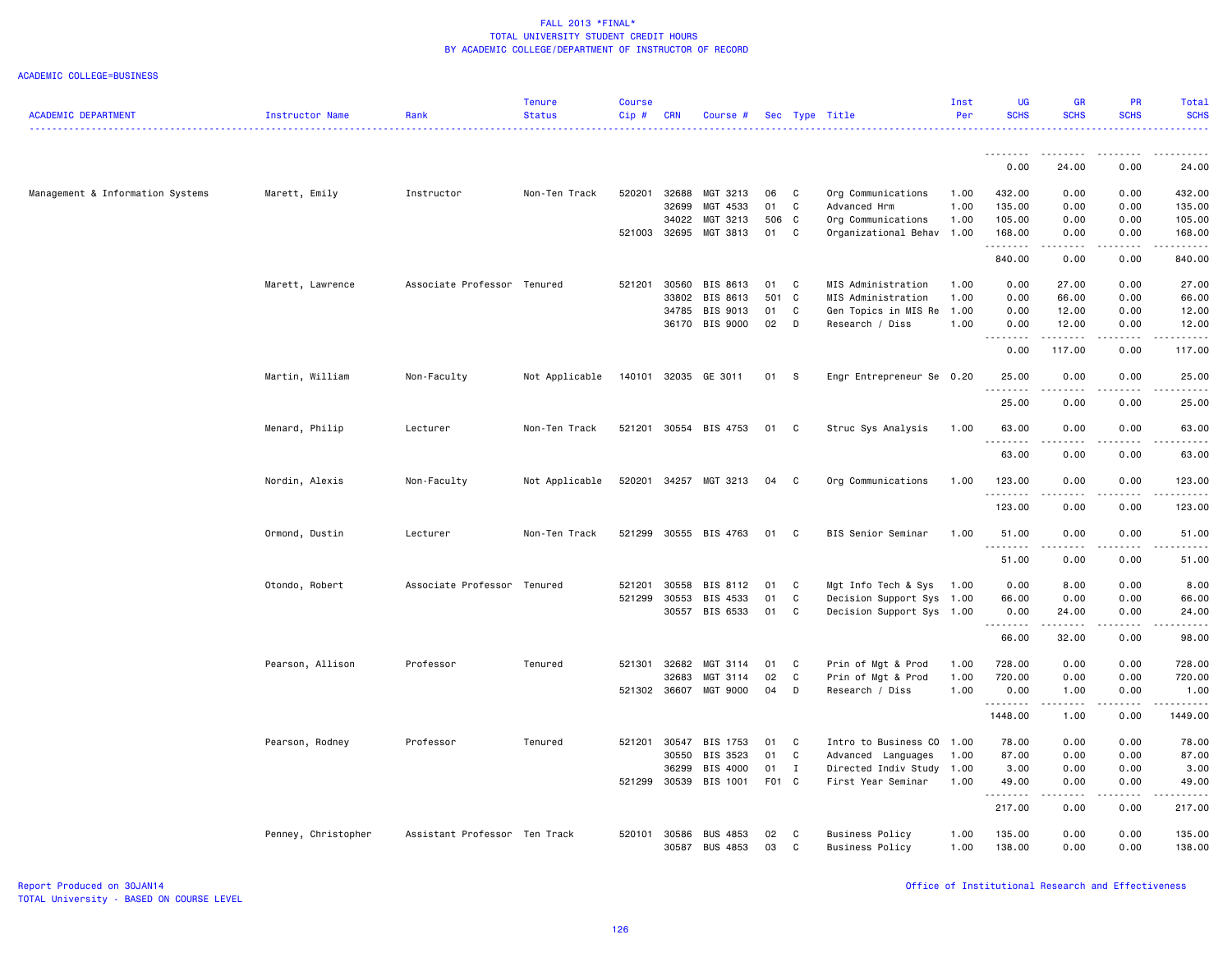| <b>ACADEMIC DEPARTMENT</b>       | Instructor Name     | Rank                          | <b>Tenure</b><br><b>Status</b> | <b>Course</b><br>Cip# | <b>CRN</b>     | Course #                           |          |              | Sec Type Title                                   | Inst<br>Per  | <b>UG</b><br><b>SCHS</b> | <b>GR</b><br><b>SCHS</b>                 | <b>PR</b><br><b>SCHS</b> | Total<br><b>SCHS</b>  |
|----------------------------------|---------------------|-------------------------------|--------------------------------|-----------------------|----------------|------------------------------------|----------|--------------|--------------------------------------------------|--------------|--------------------------|------------------------------------------|--------------------------|-----------------------|
|                                  |                     | . <b>.</b>                    |                                |                       |                |                                    |          |              |                                                  |              | --------                 | ------                                   |                          |                       |
|                                  |                     |                               |                                |                       |                |                                    |          |              |                                                  |              | 0.00                     | 24.00                                    | 0.00                     | 24.00                 |
| Management & Information Systems | Marett, Emily       | Instructor                    | Non-Ten Track                  | 520201                | 32688          | MGT 3213                           | 06       | C            | Org Communications                               | 1.00         | 432.00                   | 0.00                                     | 0.00                     | 432.00                |
|                                  |                     |                               |                                |                       | 32699          | MGT 4533                           | 01       | C            | Advanced Hrm                                     | 1.00         | 135.00                   | 0.00                                     | 0.00                     | 135.00                |
|                                  |                     |                               |                                |                       | 34022          | MGT 3213                           | 506      | C            | Org Communications                               | 1.00         | 105.00                   | 0.00                                     | 0.00                     | 105.00                |
|                                  |                     |                               |                                | 521003 32695          |                | MGT 3813                           | 01       | C            | Organizational Behav 1.00                        |              | 168.00<br>.              | 0.00<br>$\omega$ is $\omega$ in $\omega$ | 0.00<br>.                | 168.00<br>.           |
|                                  |                     |                               |                                |                       |                |                                    |          |              |                                                  |              | 840.00                   | 0.00                                     | 0.00                     | 840.00                |
|                                  | Marett, Lawrence    | Associate Professor Tenured   |                                | 521201                | 30560          | BIS 8613                           | 01       | C            | MIS Administration                               | 1.00         | 0.00                     | 27.00                                    | 0.00                     | 27.00                 |
|                                  |                     |                               |                                |                       | 33802          | BIS 8613                           | 501 C    |              | MIS Administration                               | 1.00         | 0.00                     | 66.00                                    | 0.00                     | 66.00                 |
|                                  |                     |                               |                                |                       | 34785          | BIS 9013                           | 01       | C            | Gen Topics in MIS Re                             | 1.00         | 0.00                     | 12.00                                    | 0.00                     | 12.00                 |
|                                  |                     |                               |                                |                       |                | 36170 BIS 9000                     | 02       | D            | Research / Diss                                  | 1.00         | 0.00<br>1.1.1.1.1.1.1    | 12.00<br>.                               | 0.00<br>.                | 12.00<br>.            |
|                                  |                     |                               |                                |                       |                |                                    |          |              |                                                  |              | 0.00                     | 117.00                                   | 0.00                     | 117.00                |
|                                  | Martin, William     | Non-Faculty                   | Not Applicable                 |                       |                | 140101 32035 GE 3011               | 01       | -S           | Engr Entrepreneur Se 0.20                        |              | 25.00<br>. <b>.</b>      | 0.00<br>.                                | 0.00<br>.                | 25.00<br>. <u>.</u> . |
|                                  |                     |                               |                                |                       |                |                                    |          |              |                                                  |              | 25.00                    | 0.00                                     | 0.00                     | 25.00                 |
|                                  | Menard, Philip      | Lecturer                      | Non-Ten Track                  | 521201                |                | 30554 BIS 4753                     | 01       | C            | Struc Sys Analysis                               | 1.00         | 63.00                    | 0.00                                     | 0.00                     | 63.00                 |
|                                  |                     |                               |                                |                       |                |                                    |          |              |                                                  |              | .<br>63.00               | 0.00                                     | 0.00                     | 63.00                 |
|                                  | Nordin, Alexis      | Non-Faculty                   | Not Applicable                 |                       |                | 520201 34257 MGT 3213              | 04       | C            | Org Communications                               | 1.00         | 123.00                   | 0.00                                     | 0.00                     | 123.00                |
|                                  |                     |                               |                                |                       |                |                                    |          |              |                                                  |              | 123.00                   | 0.00                                     | 0.00                     | 123.00                |
|                                  | Ormond, Dustin      | Lecturer                      | Non-Ten Track                  | 521299                |                | 30555 BIS 4763                     | 01       | C            | BIS Senior Seminar                               | 1.00         | 51.00                    | 0.00                                     | 0.00                     | 51.00                 |
|                                  |                     |                               |                                |                       |                |                                    |          |              |                                                  |              | .<br>51.00               | 0.00                                     | 0.00                     | 51.00                 |
|                                  | Otondo, Robert      | Associate Professor Tenured   |                                | 521201                | 30558          | BIS 8112                           | 01       | C            | Mgt Info Tech & Sys                              | 1.00         | 0.00                     | 8.00                                     | 0.00                     | 8.00                  |
|                                  |                     |                               |                                | 521299                | 30553          | BIS 4533                           | 01       | C            | Decision Support Sys 1.00                        |              | 66.00                    | 0.00                                     | 0.00                     | 66.00                 |
|                                  |                     |                               |                                |                       | 30557          | BIS 6533                           | 01       | C            | Decision Support Sys 1.00                        |              | 0.00<br><u>.</u>         | 24.00<br>.                               | 0.00<br>المتمام المناسب  | 24.00<br>.            |
|                                  |                     |                               |                                |                       |                |                                    |          |              |                                                  |              | 66.00                    | 32.00                                    | 0.00                     | 98.00                 |
|                                  | Pearson, Allison    | Professor                     | Tenured                        | 521301                | 32682          | MGT 3114                           | 01       | C            | Prin of Mgt & Prod                               | 1.00         | 728.00                   | 0.00                                     | 0.00                     | 728.00                |
|                                  |                     |                               |                                |                       | 32683          | MGT 3114                           | 02       | C            | Prin of Mgt & Prod                               | 1.00         | 720.00                   | 0.00                                     | 0.00                     | 720.00                |
|                                  |                     |                               |                                |                       |                | 521302 36607 MGT 9000              | 04       | D            | Research / Diss                                  | 1.00         | 0.00<br>. <b>.</b>       | 1.00<br><u>.</u>                         | 0.00<br>.                | 1.00<br>.             |
|                                  |                     |                               |                                |                       |                |                                    |          |              |                                                  |              | 1448.00                  | 1.00                                     | 0.00                     | 1449.00               |
|                                  | Pearson, Rodney     | Professor                     | Tenured                        | 521201 30547          |                | BIS 1753                           | 01       | C            | Intro to Business CO 1.00                        |              | 78.00                    | 0.00                                     | 0.00                     | 78.00                 |
|                                  |                     |                               |                                |                       | 30550          | BIS 3523                           | 01       | C            | Advanced Languages                               | 1.00         | 87.00                    | 0.00                                     | 0.00                     | 87.00                 |
|                                  |                     |                               |                                |                       | 36299          | BIS 4000                           | 01       | $\mathbf{I}$ | Directed Indiv Study 1.00                        |              | 3.00                     | 0.00                                     | 0.00                     | 3.00                  |
|                                  |                     |                               |                                | 521299                | 30539          | BIS 1001                           | F01 C    |              | First Year Seminar                               | 1.00         | 49.00<br>.               | 0.00<br>.                                | 0.00<br>.                | 49.00<br>.            |
|                                  |                     |                               |                                |                       |                |                                    |          |              |                                                  |              | 217.00                   | 0.00                                     | 0.00                     | 217.00                |
|                                  | Penney, Christopher | Assistant Professor Ten Track |                                | 520101                | 30586<br>30587 | <b>BUS 4853</b><br><b>BUS 4853</b> | 02<br>03 | C<br>C       | <b>Business Policy</b><br><b>Business Policy</b> | 1.00<br>1.00 | 135.00<br>138.00         | 0.00<br>0.00                             | 0.00<br>0.00             | 135.00<br>138.00      |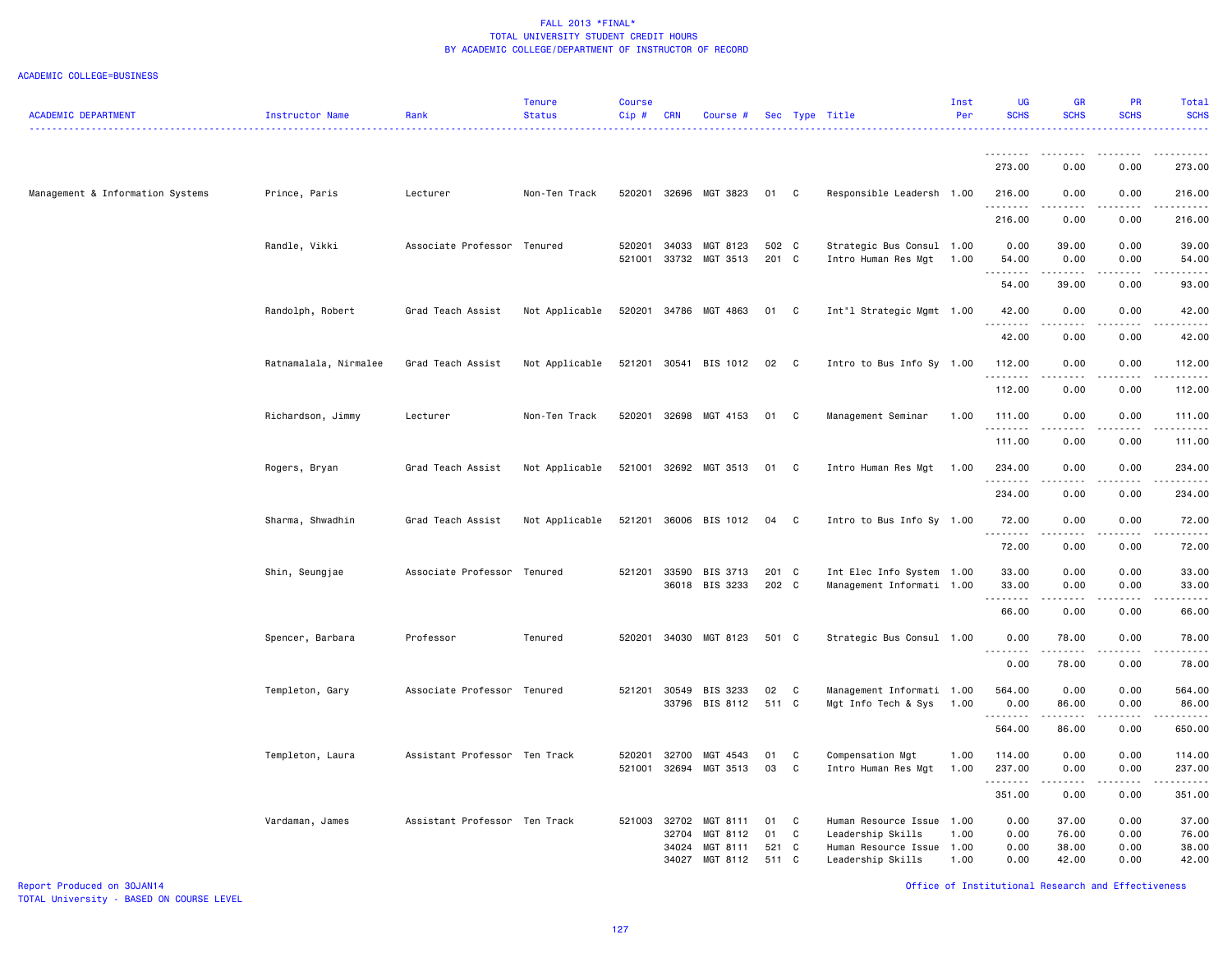| <b>ACADEMIC DEPARTMENT</b>       | Instructor Name       | Rank                          | <b>Tenure</b><br><b>Status</b> | <b>Course</b><br>Cip# | <b>CRN</b>     | Course #                   |                |                   | Sec Type Title                                         | Inst<br>Per  | <b>UG</b><br><b>SCHS</b> | <b>GR</b><br><b>SCHS</b>                                                                                                                                     | PR<br><b>SCHS</b> | Total<br><b>SCHS</b>                                                                                                                                                                      |
|----------------------------------|-----------------------|-------------------------------|--------------------------------|-----------------------|----------------|----------------------------|----------------|-------------------|--------------------------------------------------------|--------------|--------------------------|--------------------------------------------------------------------------------------------------------------------------------------------------------------|-------------------|-------------------------------------------------------------------------------------------------------------------------------------------------------------------------------------------|
|                                  |                       |                               |                                |                       |                |                            |                |                   |                                                        |              |                          |                                                                                                                                                              |                   | .                                                                                                                                                                                         |
|                                  |                       |                               |                                |                       |                |                            |                |                   |                                                        |              | <u>.</u><br>273.00       | 0.00                                                                                                                                                         | 0.00              | 273.00                                                                                                                                                                                    |
| Management & Information Systems | Prince, Paris         | Lecturer                      | Non-Ten Track                  |                       |                | 520201 32696 MGT 3823      | 01 C           |                   | Responsible Leadersh 1.00                              |              | 216.00                   | 0.00                                                                                                                                                         | 0.00              | 216.00                                                                                                                                                                                    |
|                                  |                       |                               |                                |                       |                |                            |                |                   |                                                        |              | .<br>216.00              | .<br>0.00                                                                                                                                                    | .<br>0.00         | $\frac{1}{2} \left( \frac{1}{2} \right) \left( \frac{1}{2} \right) \left( \frac{1}{2} \right) \left( \frac{1}{2} \right) \left( \frac{1}{2} \right) \left( \frac{1}{2} \right)$<br>216.00 |
|                                  | Randle, Vikki         | Associate Professor Tenured   |                                | 520201                | 34033          | MGT 8123                   | 502 C          |                   | Strategic Bus Consul 1.00                              |              | 0.00                     | 39.00                                                                                                                                                        | 0.00              | 39.00                                                                                                                                                                                     |
|                                  |                       |                               |                                | 521001                | 33732          | MGT 3513                   | 201 C          |                   | Intro Human Res Mgt                                    | 1.00         | 54.00<br>.               | 0.00<br>$\frac{1}{2} \left( \frac{1}{2} \right) \left( \frac{1}{2} \right) \left( \frac{1}{2} \right) \left( \frac{1}{2} \right) \left( \frac{1}{2} \right)$ | 0.00<br>.         | 54.00<br>$    -$                                                                                                                                                                          |
|                                  |                       |                               |                                |                       |                |                            |                |                   |                                                        |              | 54.00                    | 39.00                                                                                                                                                        | 0.00              | 93.00                                                                                                                                                                                     |
|                                  | Randolph, Robert      | Grad Teach Assist             | Not Applicable                 | 520201                |                | 34786 MGT 4863             | 01             | C                 | Int"l Strategic Mgmt 1.00                              |              | 42.00                    | 0.00                                                                                                                                                         | 0.00              | 42.00                                                                                                                                                                                     |
|                                  |                       |                               |                                |                       |                |                            |                |                   |                                                        |              | .<br>42.00               | .<br>0.00                                                                                                                                                    | .<br>0.00         | .<br>42.00                                                                                                                                                                                |
|                                  | Ratnamalala, Nirmalee | Grad Teach Assist             | Not Applicable                 | 521201                | 30541          | BIS 1012                   | 02             | C                 | Intro to Bus Info Sy 1.00                              |              | 112.00                   | 0.00                                                                                                                                                         | 0.00              | 112.00                                                                                                                                                                                    |
|                                  |                       |                               |                                |                       |                |                            |                |                   |                                                        |              | <u>.</u><br>112.00       | 0.00                                                                                                                                                         | 0.00              | .<br>112.00                                                                                                                                                                               |
|                                  | Richardson, Jimmy     | Lecturer                      | Non-Ten Track                  | 520201                |                | 32698 MGT 4153             | 01             | C                 | Management Seminar                                     | 1.00         | 111.00                   | 0.00                                                                                                                                                         | 0.00              | 111.00                                                                                                                                                                                    |
|                                  |                       |                               |                                |                       |                |                            |                |                   |                                                        |              | . <b>.</b><br>111.00     | 0.00                                                                                                                                                         | 0.00              | .<br>111.00                                                                                                                                                                               |
|                                  | Rogers, Bryan         | Grad Teach Assist             | Not Applicable                 | 521001                |                | 32692 MGT 3513             | 01             | C                 | Intro Human Res Mgt                                    | 1.00         | 234.00                   | 0.00                                                                                                                                                         | 0.00              | 234.00                                                                                                                                                                                    |
|                                  |                       |                               |                                |                       |                |                            |                |                   |                                                        |              | .<br>234.00              | 0.00                                                                                                                                                         | 0.00              | 234.00                                                                                                                                                                                    |
|                                  | Sharma, Shwadhin      | Grad Teach Assist             | Not Applicable                 | 521201                |                | 36006 BIS 1012             | 04             | $\mathbf{C}$      | Intro to Bus Info Sy 1.00                              |              | 72.00                    | 0.00                                                                                                                                                         | 0.00              | 72.00                                                                                                                                                                                     |
|                                  |                       |                               |                                |                       |                |                            |                |                   |                                                        |              | .<br>72.00               | 0.00                                                                                                                                                         | 0.00              | 72.00                                                                                                                                                                                     |
|                                  |                       |                               |                                |                       |                |                            |                |                   |                                                        |              |                          |                                                                                                                                                              |                   |                                                                                                                                                                                           |
|                                  | Shin, Seungjae        | Associate Professor Tenured   |                                | 521201                | 33590          | BIS 3713<br>36018 BIS 3233 | 201 C<br>202 C |                   | Int Elec Info System 1.00<br>Management Informati 1.00 |              | 33.00<br>33.00           | 0.00<br>0.00                                                                                                                                                 | 0.00<br>0.00      | 33.00<br>33.00                                                                                                                                                                            |
|                                  |                       |                               |                                |                       |                |                            |                |                   |                                                        |              | .<br>66.00               | .<br>0.00                                                                                                                                                    | 0.00              | .<br>66.00                                                                                                                                                                                |
|                                  | Spencer, Barbara      | Professor                     | Tenured                        | 520201                |                | 34030 MGT 8123             | 501 C          |                   | Strategic Bus Consul 1.00                              |              | 0.00                     | 78.00                                                                                                                                                        | 0.00              | 78.00                                                                                                                                                                                     |
|                                  |                       |                               |                                |                       |                |                            |                |                   |                                                        |              | .<br>0.00                | .<br>78.00                                                                                                                                                   | 0.00              | والمناصبات<br>78.00                                                                                                                                                                       |
|                                  | Templeton, Gary       | Associate Professor Tenured   |                                |                       | 521201 30549   | BIS 3233                   | 02             | C                 | Management Informati 1.00                              |              | 564.00                   | 0.00                                                                                                                                                         | 0.00              | 564.00                                                                                                                                                                                    |
|                                  |                       |                               |                                |                       |                | 33796 BIS 8112             | 511 C          |                   | Mgt Info Tech & Sys                                    | 1.00         | 0.00<br>.                | 86.00<br>.                                                                                                                                                   | 0.00<br>-----     | 86.00<br>.                                                                                                                                                                                |
|                                  |                       |                               |                                |                       |                |                            |                |                   |                                                        |              | 564.00                   | 86.00                                                                                                                                                        | 0.00              | 650.00                                                                                                                                                                                    |
|                                  | Templeton, Laura      | Assistant Professor Ten Track |                                | 520201<br>521001      | 32700<br>32694 | MGT 4543<br>MGT 3513       | 01<br>03       | C<br>$\mathtt{C}$ | Compensation Mgt<br>Intro Human Res Mgt                | 1.00<br>1.00 | 114.00<br>237.00         | 0.00<br>0.00                                                                                                                                                 | 0.00<br>0.00      | 114.00<br>237.00                                                                                                                                                                          |
|                                  |                       |                               |                                |                       |                |                            |                |                   |                                                        |              | .<br>351.00              | .<br>0.00                                                                                                                                                    | .<br>0.00         | .<br>351.00                                                                                                                                                                               |
|                                  | Vardaman, James       | Assistant Professor Ten Track |                                | 521003                | 32702          | MGT 8111                   | 01             | C                 | Human Resource Issue                                   | 1.00         | 0.00                     | 37.00                                                                                                                                                        | 0.00              | 37.00                                                                                                                                                                                     |
|                                  |                       |                               |                                |                       | 32704          | MGT 8112                   | 01             | C                 | Leadership Skills                                      | 1.00         | 0.00                     | 76.00                                                                                                                                                        | 0.00              | 76.00                                                                                                                                                                                     |
|                                  |                       |                               |                                |                       | 34024          | MGT 8111                   | 521 C          |                   | Human Resource Issue                                   | 1.00         | 0.00                     | 38.00                                                                                                                                                        | 0.00              | 38.00                                                                                                                                                                                     |
|                                  |                       |                               |                                |                       | 34027          | MGT 8112                   | 511 C          |                   | Leadership Skills                                      | 1.00         | 0.00                     | 42.00                                                                                                                                                        | 0.00              | 42.00                                                                                                                                                                                     |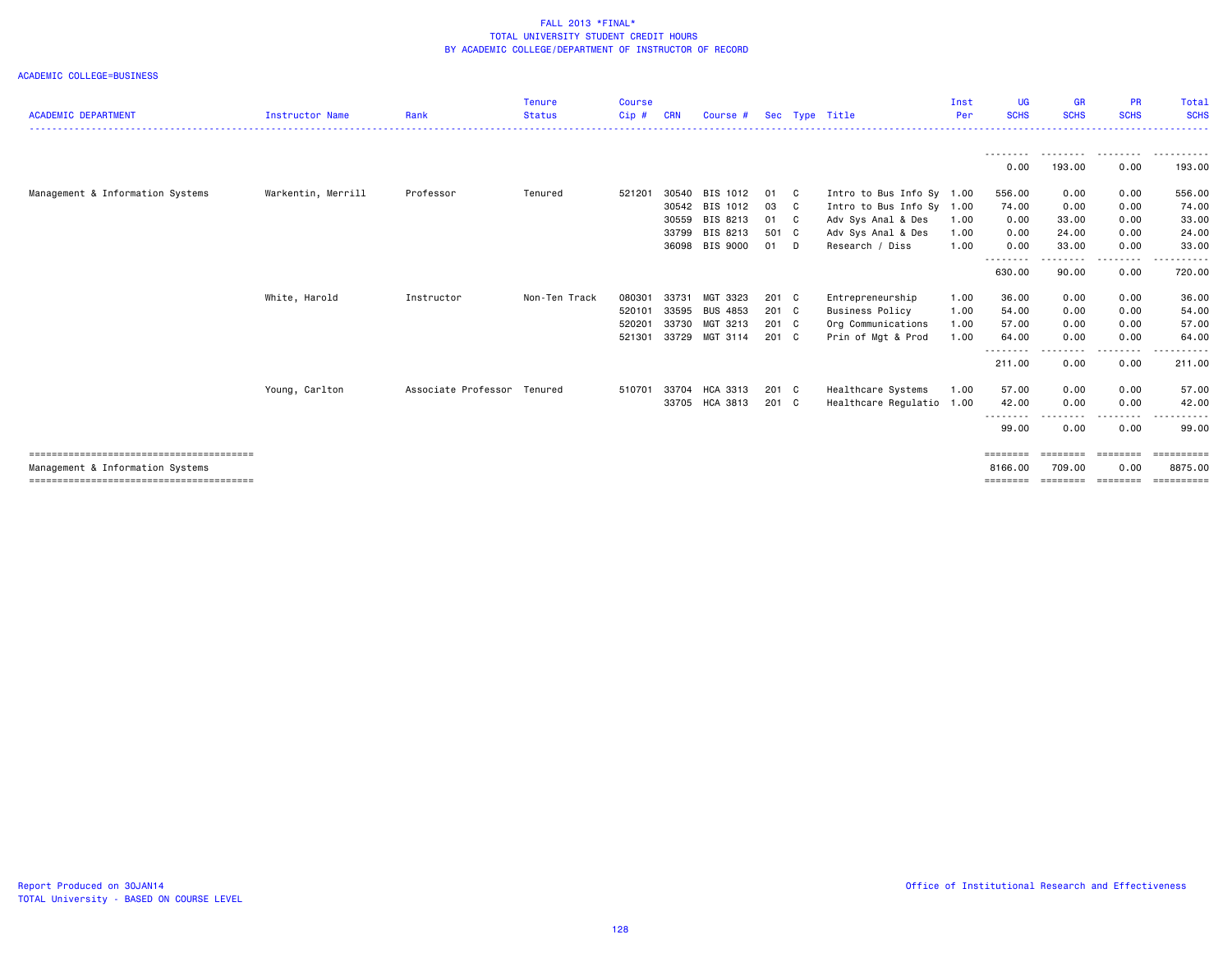| <b>ACADEMIC DEPARTMENT</b>       | <b>Instructor Name</b> | Rank                        | <b>Tenure</b><br><b>Status</b> | <b>Course</b><br>$Cip$ # | <b>CRN</b> | Course #        |       |                            | Sec Type Title            | Inst<br>Per | <b>UG</b><br><b>SCHS</b>  | <b>GR</b><br><b>SCHS</b> | <b>PR</b><br><b>SCHS</b> | <b>Total</b><br><b>SCHS</b> |
|----------------------------------|------------------------|-----------------------------|--------------------------------|--------------------------|------------|-----------------|-------|----------------------------|---------------------------|-------------|---------------------------|--------------------------|--------------------------|-----------------------------|
|                                  |                        |                             |                                |                          |            |                 |       |                            |                           |             |                           |                          |                          |                             |
|                                  |                        |                             |                                |                          |            |                 |       |                            |                           |             | ---------<br>0.00         | .<br>193.00              | .<br>0.00                | .<br>193.00                 |
| Management & Information Systems | Warkentin, Merrill     | Professor                   | Tenured                        | 521201                   | 30540      | BIS 1012        | 01    | $\mathbf{C}$               | Intro to Bus Info Sy 1.00 |             | 556.00                    | 0.00                     | 0.00                     | 556.00                      |
|                                  |                        |                             |                                |                          | 30542      | BIS 1012        | 03    | $\overline{\phantom{a}}$ C | Intro to Bus Info Sy 1.00 |             | 74.00                     | 0.00                     | 0.00                     | 74.00                       |
|                                  |                        |                             |                                |                          | 30559      | BIS 8213        | 01    | $\mathbf{C}$               | Adv Sys Anal & Des        | 1.00        | 0.00                      | 33.00                    | 0.00                     | 33.00                       |
|                                  |                        |                             |                                |                          | 33799      | BIS 8213        | 501 C |                            | Adv Sys Anal & Des        | 1.00        | 0.00                      | 24.00                    | 0.00                     | 24.00                       |
|                                  |                        |                             |                                |                          | 36098      | BIS 9000        | 01 D  |                            | Research / Diss           | 1.00        | 0.00                      | 33.00                    | 0.00                     | 33.00                       |
|                                  |                        |                             |                                |                          |            |                 |       |                            |                           |             | --------<br>630.00        | 90.00                    | 0.00                     | 720.00                      |
|                                  | White, Harold          | Instructor                  | Non-Ten Track                  | 080301                   | 33731      | MGT 3323        | 201 C |                            | Entrepreneurship          | 1.00        | 36.00                     | 0.00                     | 0.00                     | 36.00                       |
|                                  |                        |                             |                                | 520101                   | 33595      | <b>BUS 4853</b> | 201 C |                            | <b>Business Policy</b>    | 1.00        | 54.00                     | 0.00                     | 0.00                     | 54.00                       |
|                                  |                        |                             |                                | 520201                   | 33730      | MGT 3213        | 201 C |                            | Org Communications        | 1.00        | 57.00                     | 0.00                     | 0.00                     | 57.00                       |
|                                  |                        |                             |                                | 521301                   | 33729      | MGT 3114        | 201 C |                            | Prin of Mgt & Prod        | 1.00        | 64.00                     | 0.00                     | 0.00                     | 64.00                       |
|                                  |                        |                             |                                |                          |            |                 |       |                            |                           |             | - - - - - - - -<br>211.00 | $- - - -$<br>0.00        | .<br>0.00                | ------<br>211.00            |
|                                  | Young, Carlton         | Associate Professor Tenured |                                | 510701                   | 33704      | HCA 3313        | 201 C |                            | Healthcare Systems        | 1.00        | 57.00                     | 0.00                     | 0.00                     | 57.00                       |
|                                  |                        |                             |                                |                          | 33705      | HCA 3813        | 201 C |                            | Healthcare Regulatio      | 1.00        | 42.00                     | 0.00                     | 0.00                     | 42.00                       |
|                                  |                        |                             |                                |                          |            |                 |       |                            |                           |             | 99.00                     | .<br>0.00                | .<br>0.00                | ------<br>99.00             |
|                                  |                        |                             |                                |                          |            |                 |       |                            |                           |             | ========                  |                          | ========                 |                             |
| Management & Information Systems |                        |                             |                                |                          |            |                 |       |                            |                           |             | 8166,00                   | 709.00                   | 0.00                     | 8875.00                     |
|                                  |                        |                             |                                |                          |            |                 |       |                            |                           |             | ========                  | ========                 | ---------                | ==========                  |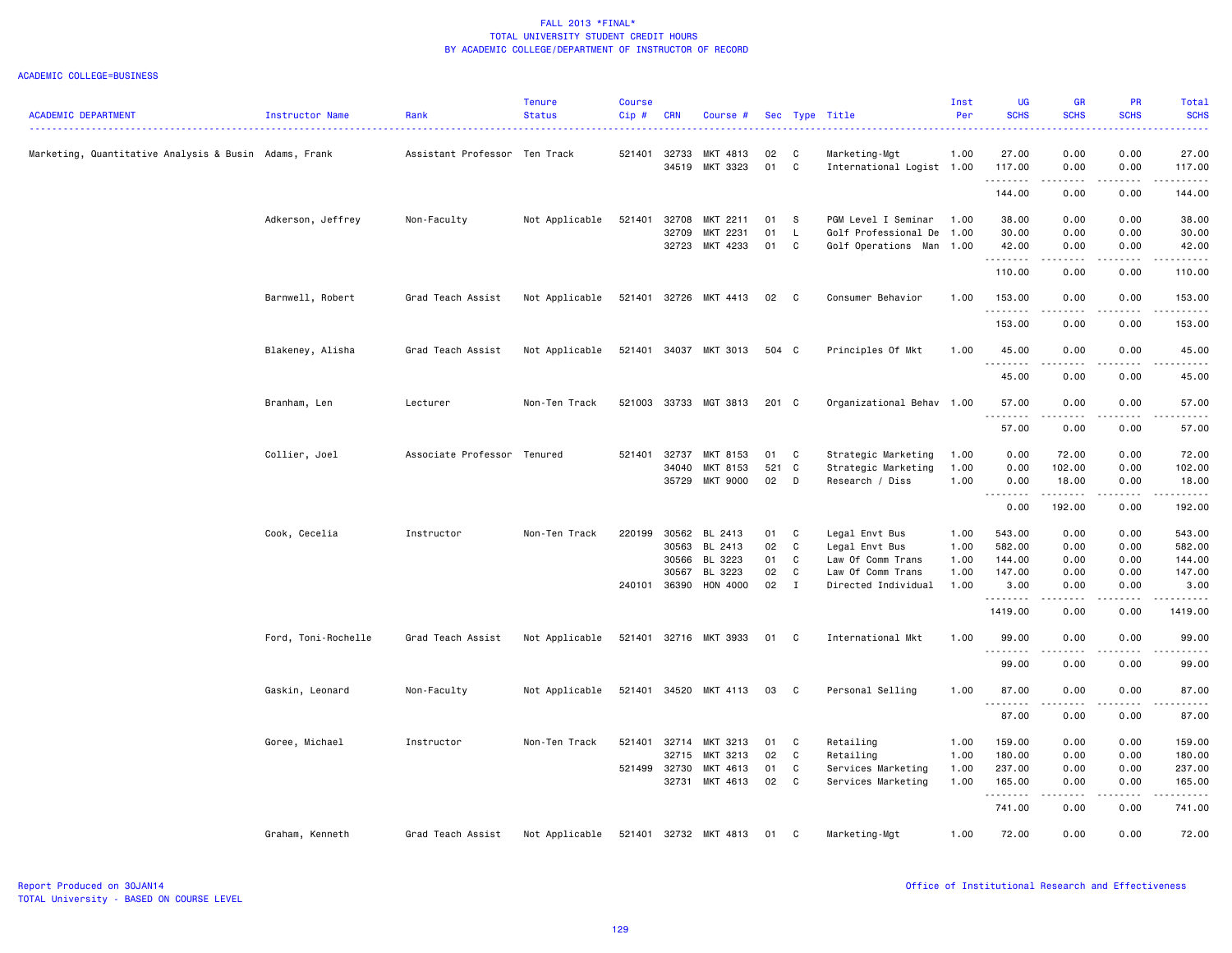|                                                       |                     |                               | <b>Tenure</b>  | <b>Course</b> |            |                       |       |              |                           | Inst | UG                 | <b>GR</b>         | <b>PR</b>             | Total       |
|-------------------------------------------------------|---------------------|-------------------------------|----------------|---------------|------------|-----------------------|-------|--------------|---------------------------|------|--------------------|-------------------|-----------------------|-------------|
| <b>ACADEMIC DEPARTMENT</b>                            | Instructor Name     | Rank                          | <b>Status</b>  | Cip#          | <b>CRN</b> | Course #              |       |              | Sec Type Title            | Per  | <b>SCHS</b>        | <b>SCHS</b>       | <b>SCHS</b>           | <b>SCHS</b> |
| Marketing, Quantitative Analysis & Busin Adams, Frank |                     | Assistant Professor Ten Track |                | 521401        | 32733      | MKT 4813              | 02    | C            | Marketing-Mgt             | 1.00 | 27.00              | 0.00              | 0.00                  | 27.00       |
|                                                       |                     |                               |                |               | 34519      | MKT 3323              | 01    | C            | International Logist 1.00 |      | 117.00             | 0.00              | 0.00                  | 117.00      |
|                                                       |                     |                               |                |               |            |                       |       |              |                           |      | .<br>144.00        | .<br>0.00         | .<br>0.00             | 144.00      |
|                                                       | Adkerson, Jeffrey   | Non-Faculty                   | Not Applicable | 521401        | 32708      | MKT 2211              | 01    | - S          | PGM Level I Seminar       | 1.00 | 38.00              | 0.00              | 0.00                  | 38.00       |
|                                                       |                     |                               |                |               | 32709      | MKT 2231              | 01    | $\mathsf{L}$ | Golf Professional De      | 1.00 | 30.00              | 0.00              | 0.00                  | 30.00       |
|                                                       |                     |                               |                |               | 32723      | MKT 4233              | 01    | $\mathbf{C}$ | Golf Operations Man       | 1.00 | 42.00<br><u>.</u>  | 0.00              | 0.00                  | 42.00<br>.  |
|                                                       |                     |                               |                |               |            |                       |       |              |                           |      | 110.00             | 0.00              | 0.00                  | 110.00      |
|                                                       | Barnwell, Robert    | Grad Teach Assist             | Not Applicable |               |            | 521401 32726 MKT 4413 | 02    | $\mathbf{C}$ | Consumer Behavior         | 1.00 | 153.00<br><u>.</u> | 0.00              | 0.00                  | 153.00<br>. |
|                                                       |                     |                               |                |               |            |                       |       |              |                           |      | 153.00             | $- - - -$<br>0.00 | $\frac{1}{2}$<br>0.00 | 153.00      |
|                                                       | Blakeney, Alisha    | Grad Teach Assist             | Not Applicable |               |            | 521401 34037 MKT 3013 | 504 C |              | Principles Of Mkt         | 1.00 | 45.00              | 0.00              | 0.00                  | 45.00       |
|                                                       |                     |                               |                |               |            |                       |       |              |                           |      | <u>.</u><br>45.00  | .<br>0.00         | .<br>0.00             | .<br>45.00  |
|                                                       | Branham, Len        | Lecturer                      | Non-Ten Track  | 521003        |            | 33733 MGT 3813        | 201 C |              | Organizational Behav 1.00 |      | 57.00              | 0.00              | 0.00                  | 57.00       |
|                                                       |                     |                               |                |               |            |                       |       |              |                           |      | .<br>57.00         | .<br>0.00         | .<br>0.00             | .<br>57.00  |
|                                                       | Collier, Joel       | Associate Professor Tenured   |                | 521401        | 32737      | MKT 8153              | 01    | C            | Strategic Marketing       | 1.00 | 0.00               | 72.00             | 0.00                  | 72.00       |
|                                                       |                     |                               |                |               | 34040      | MKT 8153              | 521   | C            | Strategic Marketing       | 1.00 | 0.00               | 102.00            | 0.00                  | 102.00      |
|                                                       |                     |                               |                |               | 35729      | MKT 9000              | 02    | D            | Research / Diss           | 1.00 | 0.00               | 18.00             | 0.00                  | 18.00       |
|                                                       |                     |                               |                |               |            |                       |       |              |                           |      | 0.00               | .<br>192.00       | .<br>0.00             | .<br>192.00 |
|                                                       | Cook, Cecelia       | Instructor                    | Non-Ten Track  | 220199        | 30562      | BL 2413               | 01    | C            | Legal Envt Bus            | 1.00 | 543.00             | 0.00              | 0.00                  | 543.00      |
|                                                       |                     |                               |                |               | 30563      | BL 2413               | 02    | C            | Legal Envt Bus            | 1.00 | 582.00             | 0.00              | 0.00                  | 582.00      |
|                                                       |                     |                               |                |               | 30566      | BL 3223               | 01    | C            | Law Of Comm Trans         | 1.00 | 144.00             | 0.00              | 0.00                  | 144.00      |
|                                                       |                     |                               |                |               | 30567      | BL 3223               | 02    | C            | Law Of Comm Trans         | 1.00 | 147.00             | 0.00              | 0.00                  | 147.00      |
|                                                       |                     |                               |                | 240101        | 36390      | HON 4000              | 02    | $\mathbf{I}$ | Directed Individual       | 1.00 | 3.00<br>.          | 0.00              | 0.00                  | 3.00<br>.   |
|                                                       |                     |                               |                |               |            |                       |       |              |                           |      | 1419.00            | 0.00              | 0.00                  | 1419.00     |
|                                                       | Ford, Toni-Rochelle | Grad Teach Assist             | Not Applicable |               |            | 521401 32716 MKT 3933 | 01    | $\mathbf{C}$ | International Mkt         | 1.00 | 99.00<br>.         | 0.00              | 0.00                  | 99.00       |
|                                                       |                     |                               |                |               |            |                       |       |              |                           |      | 99.00              | 0.00              | 0.00                  | 99.00       |
|                                                       | Gaskin, Leonard     | Non-Faculty                   | Not Applicable |               |            | 521401 34520 MKT 4113 | 03    | $\mathbf{C}$ | Personal Selling          | 1.00 | 87.00<br>.         | 0.00<br>.         | 0.00<br>.             | 87.00<br>.  |
|                                                       |                     |                               |                |               |            |                       |       |              |                           |      | 87.00              | 0.00              | 0.00                  | 87.00       |
|                                                       | Goree, Michael      | Instructor                    | Non-Ten Track  | 521401        | 32714      | MKT 3213              | 01    | C            | Retailing                 | 1.00 | 159.00             | 0.00              | 0.00                  | 159.00      |
|                                                       |                     |                               |                |               | 32715      | MKT 3213              | 02    | C            | Retailing                 | 1.00 | 180.00             | 0.00              | 0.00                  | 180.00      |
|                                                       |                     |                               |                | 521499 32730  |            | MKT 4613              | 01    | C            | Services Marketing        | 1.00 | 237.00             | 0.00              | 0.00                  | 237.00      |
|                                                       |                     |                               |                |               | 32731      | MKT 4613              | 02    | $\mathbf{C}$ | Services Marketing        | 1.00 | 165.00<br>.        | 0.00<br>.         | 0.00<br>.             | 165.00<br>. |
|                                                       |                     |                               |                |               |            |                       |       |              |                           |      | 741.00             | 0.00              | 0.00                  | 741.00      |
|                                                       | Graham, Kenneth     | Grad Teach Assist             | Not Applicable |               |            | 521401 32732 MKT 4813 | 01    | C            | Marketing-Mgt             | 1.00 | 72.00              | 0.00              | 0.00                  | 72.00       |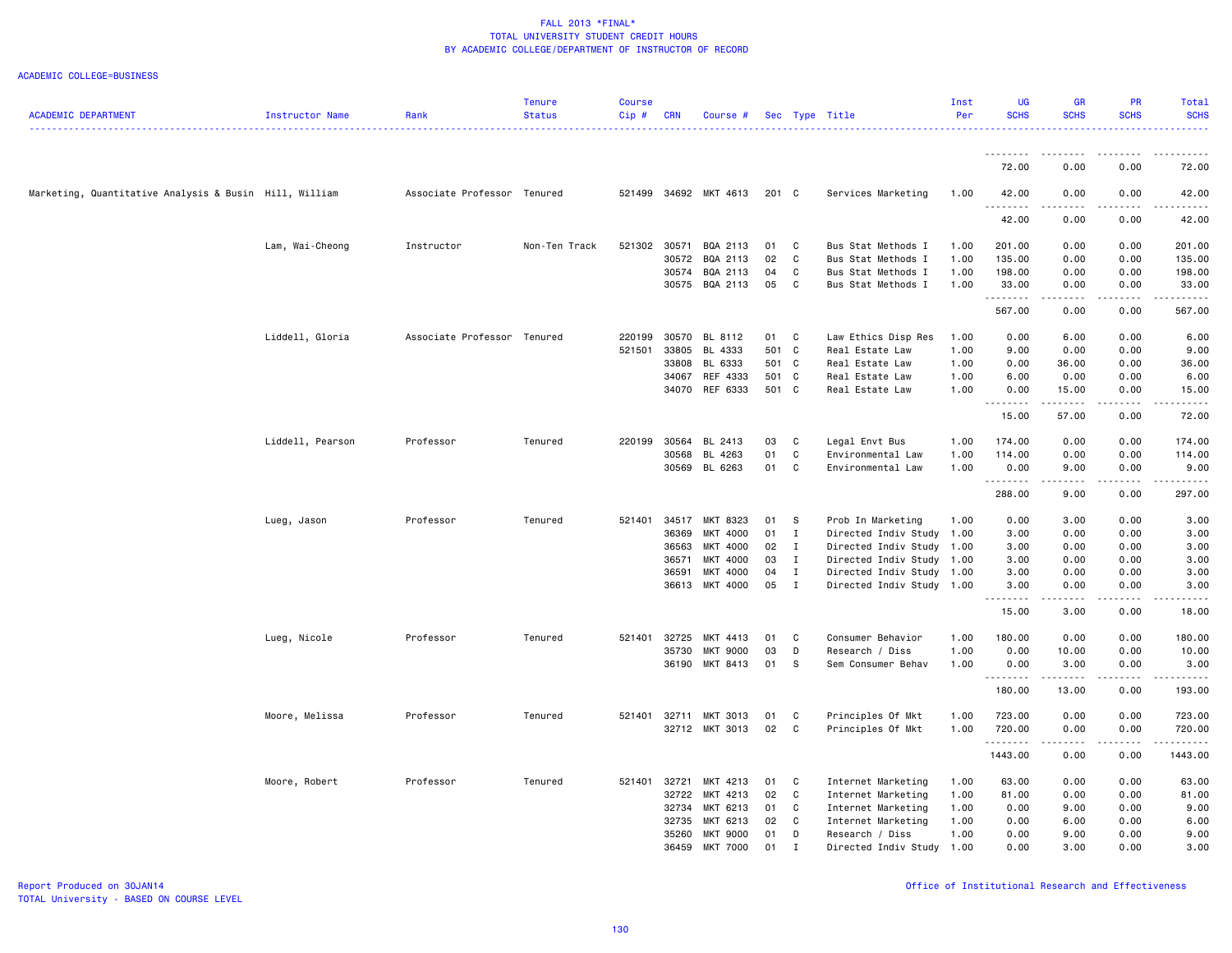| <b>ACADEMIC DEPARTMENT</b>                             | Instructor Name  | Rank                        | <b>Tenure</b><br><b>Status</b> | <b>Course</b><br>Cip# | <b>CRN</b>     | Course #              |                |                   | Sec Type Title                     | Inst<br>Per  | UG<br><b>SCHS</b> | <b>GR</b><br><b>SCHS</b>            | PR<br><b>SCHS</b>                                                                                                                                            | Total<br><b>SCHS</b> |
|--------------------------------------------------------|------------------|-----------------------------|--------------------------------|-----------------------|----------------|-----------------------|----------------|-------------------|------------------------------------|--------------|-------------------|-------------------------------------|--------------------------------------------------------------------------------------------------------------------------------------------------------------|----------------------|
|                                                        |                  |                             |                                |                       |                |                       |                |                   |                                    |              |                   |                                     |                                                                                                                                                              |                      |
|                                                        |                  |                             |                                |                       |                |                       |                |                   |                                    |              | .<br>72.00        | .<br>0.00                           | -----<br>0.00                                                                                                                                                | 72.00                |
| Marketing, Quantitative Analysis & Busin Hill, William |                  | Associate Professor Tenured |                                |                       |                | 521499 34692 MKT 4613 | 201 C          |                   | Services Marketing                 | 1.00         | 42.00             | 0.00                                | 0.00                                                                                                                                                         | 42.00                |
|                                                        |                  |                             |                                |                       |                |                       |                |                   |                                    |              | 42.00             | 0.00                                | 0.00                                                                                                                                                         | 42.00                |
|                                                        | Lam, Wai-Cheong  | Instructor                  | Non-Ten Track                  | 521302                |                | 30571 BQA 2113        | 01             | $\mathbf{C}$      | Bus Stat Methods I                 | 1.00         | 201.00            | 0.00                                | 0.00                                                                                                                                                         | 201.00               |
|                                                        |                  |                             |                                |                       |                | 30572 BQA 2113        | 02             | C                 | Bus Stat Methods I                 | 1.00         | 135.00            | 0.00                                | 0.00                                                                                                                                                         | 135.00               |
|                                                        |                  |                             |                                |                       |                | 30574 BQA 2113        | 04             | C                 | Bus Stat Methods I                 | 1.00         | 198.00            | 0.00                                | 0.00                                                                                                                                                         | 198.00               |
|                                                        |                  |                             |                                |                       |                | 30575 BQA 2113        | 05             | C                 | Bus Stat Methods I                 | 1.00         | 33.00<br>.        | 0.00<br>.                           | 0.00<br>-----                                                                                                                                                | 33.00<br>.           |
|                                                        |                  |                             |                                |                       |                |                       |                |                   |                                    |              | 567.00            | 0.00                                | 0.00                                                                                                                                                         | 567.00               |
|                                                        | Liddell, Gloria  | Associate Professor Tenured |                                | 220199                |                | 30570 BL 8112         | 01 C           |                   | Law Ethics Disp Res                | 1.00         | 0.00              | 6.00                                | 0.00                                                                                                                                                         | 6.00                 |
|                                                        |                  |                             |                                | 521501                | 33805<br>33808 | BL 4333<br>BL 6333    | 501 C<br>501 C |                   | Real Estate Law                    | 1.00         | 9.00              | 0.00                                | 0.00<br>0.00                                                                                                                                                 | 9.00<br>36.00        |
|                                                        |                  |                             |                                |                       | 34067          | REF 4333              | 501 C          |                   | Real Estate Law<br>Real Estate Law | 1.00<br>1.00 | 0.00<br>6.00      | 36.00<br>0.00                       | 0.00                                                                                                                                                         | 6.00                 |
|                                                        |                  |                             |                                |                       |                | 34070 REF 6333        | 501 C          |                   | Real Estate Law                    | 1.00         | 0.00              | 15.00                               | 0.00                                                                                                                                                         | 15.00                |
|                                                        |                  |                             |                                |                       |                |                       |                |                   |                                    |              | .<br>15.00        | -----<br>57.00                      | 0.00                                                                                                                                                         | 72.00                |
|                                                        | Liddell, Pearson | Professor                   | Tenured                        | 220199                |                | 30564 BL 2413         | 03             | $\mathbf{C}$      | Legal Envt Bus                     | 1.00         | 174.00            | 0.00                                | 0.00                                                                                                                                                         | 174.00               |
|                                                        |                  |                             |                                |                       | 30568          | BL 4263               | 01             | C                 | Environmental Law                  | 1.00         | 114.00            | 0.00                                | 0.00                                                                                                                                                         | 114.00               |
|                                                        |                  |                             |                                |                       |                | 30569 BL 6263         | 01             | C                 | Environmental Law                  | 1.00         | 0.00<br>.         | 9.00<br>.                           | 0.00<br>$\frac{1}{2} \left( \frac{1}{2} \right) \left( \frac{1}{2} \right) \left( \frac{1}{2} \right) \left( \frac{1}{2} \right) \left( \frac{1}{2} \right)$ | 9.00<br>.            |
|                                                        |                  |                             |                                |                       |                |                       |                |                   |                                    |              | 288.00            | 9.00                                | 0.00                                                                                                                                                         | 297.00               |
|                                                        | Lueg, Jason      | Professor                   | Tenured                        | 521401                | 34517          | MKT 8323              | 01             | s s               | Prob In Marketing                  | 1.00         | 0.00              | 3.00                                | 0.00                                                                                                                                                         | 3.00                 |
|                                                        |                  |                             |                                |                       | 36369          | MKT 4000              | 01             | $\mathbf{I}$      | Directed Indiv Study               | 1.00         | 3.00              | 0.00                                | 0.00                                                                                                                                                         | 3.00                 |
|                                                        |                  |                             |                                |                       | 36563          | MKT 4000              | $02 \qquad I$  |                   | Directed Indiv Study               | 1.00         | 3.00              | 0.00                                | 0.00                                                                                                                                                         | 3.00                 |
|                                                        |                  |                             |                                |                       | 36571          | MKT 4000              | 03             | $\mathbf{I}$      | Directed Indiv Study               | 1.00         | 3.00              | 0.00                                | 0.00                                                                                                                                                         | 3.00                 |
|                                                        |                  |                             |                                |                       | 36591          | MKT 4000              | 04 I           |                   | Directed Indiv Study               | 1.00         | 3.00              | 0.00                                | 0.00                                                                                                                                                         | 3.00                 |
|                                                        |                  |                             |                                |                       |                | 36613 MKT 4000        | 05 I           |                   | Directed Indiv Study 1.00          |              | 3.00              | 0.00<br>$\sim$ $\sim$ $\sim$ $\sim$ | 0.00<br>. <u>. .</u>                                                                                                                                         | 3.00                 |
|                                                        |                  |                             |                                |                       |                |                       |                |                   |                                    |              | 15.00             | 3.00                                | 0.00                                                                                                                                                         | 18.00                |
|                                                        | Lueg, Nicole     | Professor                   | Tenured                        | 521401                | 32725          | MKT 4413              | 01             | $\mathbf{C}$      | Consumer Behavior                  | 1.00         | 180.00            | 0.00                                | 0.00                                                                                                                                                         | 180.00               |
|                                                        |                  |                             |                                |                       | 35730          | <b>MKT 9000</b>       | 03             | D                 | Research / Diss                    | 1.00         | 0.00              | 10.00                               | 0.00                                                                                                                                                         | 10.00                |
|                                                        |                  |                             |                                |                       |                | 36190 MKT 8413        | 01             | <b>S</b>          | Sem Consumer Behav                 | 1.00         | 0.00<br>.         | 3.00                                | 0.00                                                                                                                                                         | 3.00                 |
|                                                        |                  |                             |                                |                       |                |                       |                |                   |                                    |              | 180.00            | 13.00                               | 0.00                                                                                                                                                         | 193.00               |
|                                                        | Moore, Melissa   | Professor                   | Tenured                        | 521401                |                | 32711 MKT 3013        | 01             | $\mathbf{C}$      | Principles Of Mkt                  | 1.00         | 723.00            | 0.00                                | 0.00                                                                                                                                                         | 723.00               |
|                                                        |                  |                             |                                |                       |                | 32712 MKT 3013        | 02 C           |                   | Principles Of Mkt                  | 1.00         | 720.00            | 0.00                                | 0.00                                                                                                                                                         | 720.00               |
|                                                        |                  |                             |                                |                       |                |                       |                |                   |                                    |              | .                 | $- - -$                             |                                                                                                                                                              |                      |
|                                                        |                  |                             |                                |                       |                |                       |                |                   |                                    |              | 1443.00           | 0.00                                | 0.00                                                                                                                                                         | 1443.00              |
|                                                        | Moore, Robert    | Professor                   | Tenured                        |                       |                | 521401 32721 MKT 4213 | 01 C           |                   | Internet Marketing                 | 1.00         | 63.00             | 0.00                                | 0.00                                                                                                                                                         | 63.00                |
|                                                        |                  |                             |                                |                       | 32722          | MKT 4213              | 02             | $\mathbf{C}$      | Internet Marketing                 | 1.00         | 81.00             | 0.00                                | 0.00                                                                                                                                                         | 81.00                |
|                                                        |                  |                             |                                |                       | 32734          | MKT 6213              | 01             | C                 | Internet Marketing                 | 1.00         | 0.00              | 9.00                                | 0.00                                                                                                                                                         | 9.00                 |
|                                                        |                  |                             |                                |                       | 32735          | MKT 6213              | 02             | C                 | Internet Marketing                 | 1.00         | 0.00              | 6.00                                | 0.00                                                                                                                                                         | 6.00                 |
|                                                        |                  |                             |                                |                       | 35260          | <b>MKT 9000</b>       | 01<br>01       | D<br>$\mathbf{I}$ | Research / Diss                    | 1.00<br>1.00 | 0.00<br>0.00      | 9.00<br>3.00                        | 0.00<br>0.00                                                                                                                                                 | 9.00<br>3.00         |
|                                                        |                  |                             |                                |                       | 36459          | MKT 7000              |                |                   | Directed Indiv Study               |              |                   |                                     |                                                                                                                                                              |                      |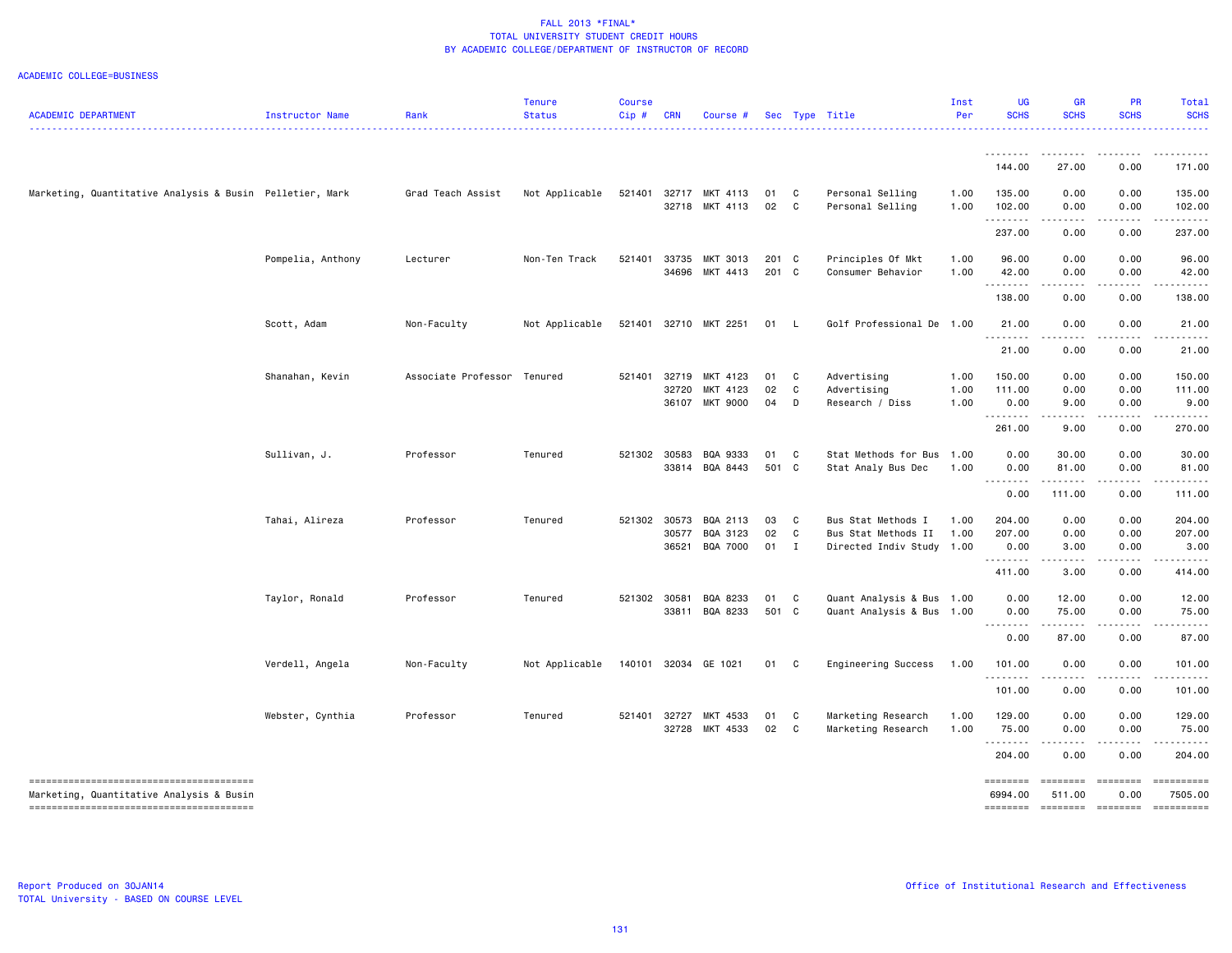| <b>ACADEMIC DEPARTMENT</b>                               | Instructor Name   | Rank                | <b>Tenure</b><br><b>Status</b> | <b>Course</b><br>Cip# | <b>CRN</b> | Course #             |        |              | Sec Type Title            | Inst<br>Per | <b>UG</b><br><b>SCHS</b> | GR<br><b>SCHS</b>   | <b>PR</b><br><b>SCHS</b> | Total<br><b>SCHS</b>                                                                                                                |
|----------------------------------------------------------|-------------------|---------------------|--------------------------------|-----------------------|------------|----------------------|--------|--------------|---------------------------|-------------|--------------------------|---------------------|--------------------------|-------------------------------------------------------------------------------------------------------------------------------------|
|                                                          |                   |                     |                                |                       |            |                      |        |              |                           |             |                          |                     |                          | .                                                                                                                                   |
|                                                          |                   |                     |                                |                       |            |                      |        |              |                           |             | 144.00                   | 27.00               | 0.00                     | 171.00                                                                                                                              |
| Marketing, Quantitative Analysis & Busin Pelletier, Mark |                   | Grad Teach Assist   | Not Applicable                 | 521401                | 32717      | MKT 4113             | 01     | C            | Personal Selling          | 1.00        | 135.00                   | 0.00                | 0.00                     | 135.00                                                                                                                              |
|                                                          |                   |                     |                                |                       |            | 32718 MKT 4113       | 02     | C            | Personal Selling          | 1.00        | 102.00<br>.              | 0.00<br>المتماما    | 0.00<br>المتماما         | 102.00<br>$\begin{array}{cccccccccccccc} \bullet & \bullet & \bullet & \bullet & \bullet & \bullet & \bullet & \bullet \end{array}$ |
|                                                          |                   |                     |                                |                       |            |                      |        |              |                           |             | 237.00                   | 0.00                | 0.00                     | 237.00                                                                                                                              |
|                                                          | Pompelia, Anthony | Lecturer            | Non-Ten Track                  | 521401                | 33735      | MKT 3013             | 201 C  |              | Principles Of Mkt         | 1.00        | 96.00                    | 0.00                | 0.00                     | 96.00                                                                                                                               |
|                                                          |                   |                     |                                |                       |            | 34696 MKT 4413       | 201 C  |              | Consumer Behavior         | 1.00        | 42.00                    | 0.00                | 0.00                     | 42.00                                                                                                                               |
|                                                          |                   |                     |                                |                       |            |                      |        |              |                           |             | .<br>138.00              | د د د د<br>0.00     | .<br>0.00                | .<br>138.00                                                                                                                         |
|                                                          | Scott, Adam       | Non-Faculty         | Not Applicable                 | 521401                |            | 32710 MKT 2251       | 01     | - L          | Golf Professional De 1.00 |             | 21.00                    | 0.00                | 0.00                     | 21.00                                                                                                                               |
|                                                          |                   |                     |                                |                       |            |                      |        |              |                           |             | .<br>21.00               | 0.00                | 0.00                     | $\frac{1}{2}$<br>21.00                                                                                                              |
|                                                          |                   |                     |                                |                       |            |                      |        |              |                           |             |                          |                     |                          |                                                                                                                                     |
|                                                          | Shanahan, Kevin   | Associate Professor | Tenured                        | 521401                | 32719      | MKT 4123             | 01     | C            | Advertising               | 1.00        | 150.00                   | 0.00                | 0.00                     | 150.00                                                                                                                              |
|                                                          |                   |                     |                                |                       | 32720      | MKT 4123             | 02     | $\mathbf C$  | Advertising               | 1.00        | 111.00                   | 0.00                | 0.00                     | 111.00                                                                                                                              |
|                                                          |                   |                     |                                |                       | 36107      | <b>MKT 9000</b>      | 04     | D            | Research / Diss           | 1.00        | 0.00                     | 9.00<br>$- - - -$   | 0.00<br>$\frac{1}{2}$    | 9.00<br>.                                                                                                                           |
|                                                          |                   |                     |                                |                       |            |                      |        |              |                           |             | 261.00                   | 9.00                | 0.00                     | 270.00                                                                                                                              |
|                                                          | Sullivan, J.      | Professor           | Tenured                        | 521302                | 30583      | BQA 9333             | 01     | C            | Stat Methods for Bus 1.00 |             | 0.00                     | 30.00               | 0.00                     | 30.00                                                                                                                               |
|                                                          |                   |                     |                                |                       |            | 33814 BQA 8443       | 501 C  |              | Stat Analy Bus Dec        | 1.00        | 0.00<br>.                | 81.00<br>. <u>.</u> | 0.00<br><u>.</u>         | 81.00<br><u>.</u>                                                                                                                   |
|                                                          |                   |                     |                                |                       |            |                      |        |              |                           |             | 0.00                     | 111.00              | 0.00                     | 111.00                                                                                                                              |
|                                                          | Tahai, Alireza    | Professor           | Tenured                        | 521302                | 30573      | BQA 2113             | 03     | $\mathbf{C}$ | Bus Stat Methods I        | 1.00        | 204.00                   | 0.00                | 0.00                     | 204.00                                                                                                                              |
|                                                          |                   |                     |                                |                       | 30577      | BQA 3123             | 02     | C            | Bus Stat Methods II       | 1.00        | 207.00                   | 0.00                | 0.00                     | 207.00                                                                                                                              |
|                                                          |                   |                     |                                |                       | 36521      | BQA 7000             | $01$ I |              | Directed Indiv Study 1.00 |             | 0.00                     | 3.00                | 0.00                     | 3.00                                                                                                                                |
|                                                          |                   |                     |                                |                       |            |                      |        |              |                           |             | 411.00                   | .<br>3.00           | .<br>0.00                | .<br>414.00                                                                                                                         |
|                                                          | Taylor, Ronald    | Professor           | Tenured                        | 521302                | 30581      | BQA 8233             | 01     | C            | Quant Analysis & Bus 1.00 |             | 0.00                     | 12.00               | 0.00                     | 12.00                                                                                                                               |
|                                                          |                   |                     |                                |                       | 33811      | BQA 8233             | 501 C  |              | Quant Analysis & Bus 1.00 |             | 0.00                     | 75.00               | 0.00                     | 75.00                                                                                                                               |
|                                                          |                   |                     |                                |                       |            |                      |        |              |                           |             | 0.00                     | .<br>87.00          | .<br>0.00                | .<br>87.00                                                                                                                          |
|                                                          | Verdell, Angela   | Non-Faculty         | Not Applicable                 |                       |            | 140101 32034 GE 1021 | 01     | $\mathbf{C}$ | Engineering Success       | 1.00        | 101.00                   | 0.00                | 0.00                     | 101.00                                                                                                                              |
|                                                          |                   |                     |                                |                       |            |                      |        |              |                           |             | .                        | $- - - - -$         | .                        | <u>.</u>                                                                                                                            |
|                                                          |                   |                     |                                |                       |            |                      |        |              |                           |             | 101.00                   | 0.00                | 0.00                     | 101.00                                                                                                                              |
|                                                          | Webster, Cynthia  | Professor           | Tenured                        | 521401                | 32727      | MKT 4533             | 01     | C            | Marketing Research        | 1.00        | 129.00                   | 0.00                | 0.00                     | 129.00                                                                                                                              |
|                                                          |                   |                     |                                |                       |            | 32728 MKT 4533       | 02     | $\mathbf{C}$ | Marketing Research        | 1.00        | 75.00<br>.               | 0.00<br>.           | 0.00<br>.                | 75.00<br>.                                                                                                                          |
|                                                          |                   |                     |                                |                       |            |                      |        |              |                           |             | 204.00                   | 0.00                | 0.00                     | 204.00                                                                                                                              |
|                                                          |                   |                     |                                |                       |            |                      |        |              |                           |             |                          | <b>ESSESSE</b>      | <b>EBBEBBBB</b>          | ==========                                                                                                                          |
| Marketing, Quantitative Analysis & Busin                 |                   |                     |                                |                       |            |                      |        |              |                           |             | 6994.00                  | 511.00              | 0.00                     | 7505.00                                                                                                                             |
|                                                          |                   |                     |                                |                       |            |                      |        |              |                           |             |                          |                     | --------- --------       | ==========                                                                                                                          |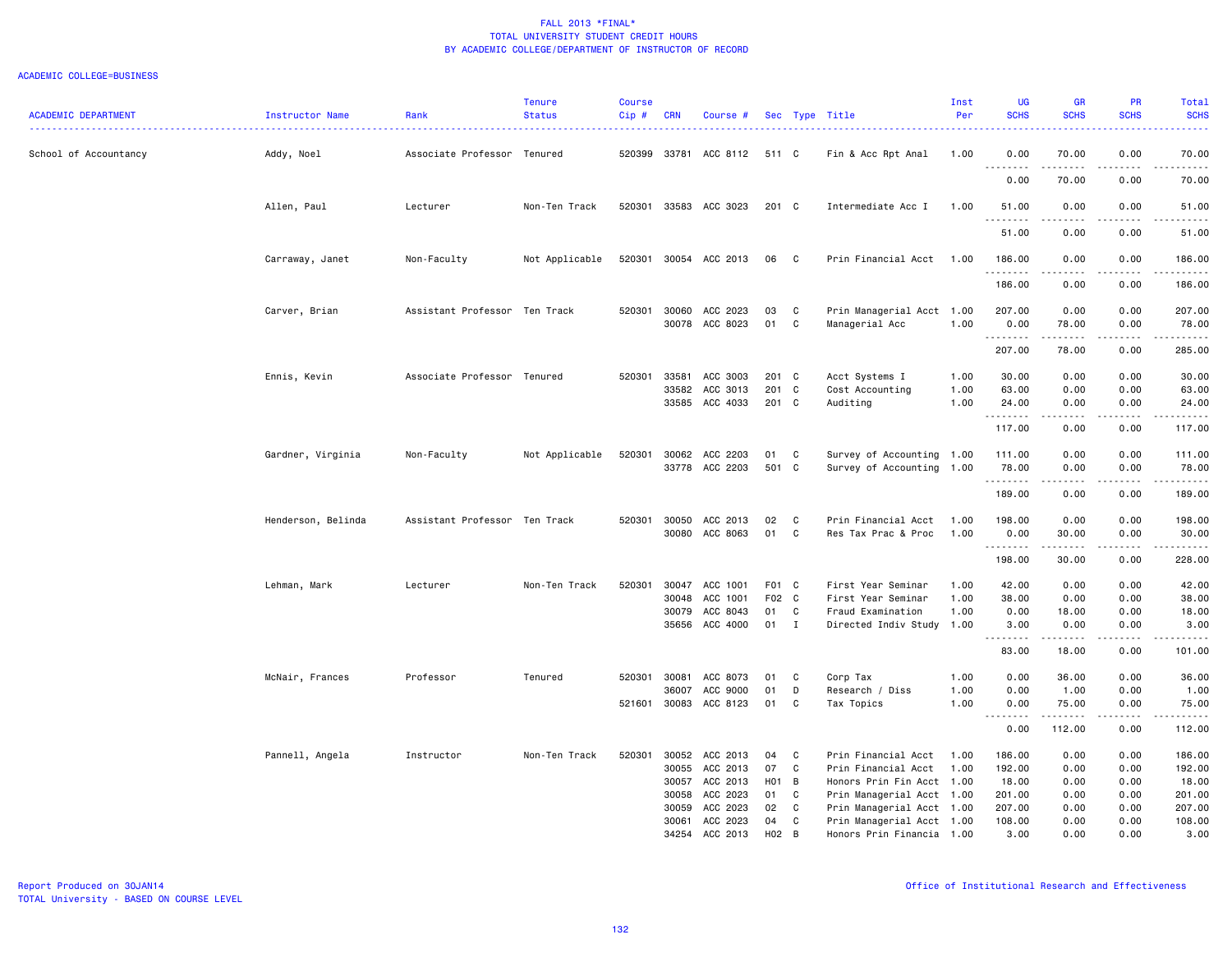| <b>ACADEMIC DEPARTMENT</b> | Instructor Name    | Rank                          | <b>Tenure</b><br><b>Status</b> | <b>Course</b><br>Cip# | <b>CRN</b>                                         | Course #                                                             |                                   |                                         | Sec Type Title                                                                                                                                                 | Inst<br>Per          | UG<br><b>SCHS</b><br>.                                  | <b>GR</b><br><b>SCHS</b>                                                                                                                                     | <b>PR</b><br><b>SCHS</b>                     | Total<br><b>SCHS</b><br>$\frac{1}{2} \left( \frac{1}{2} \right) \left( \frac{1}{2} \right) \left( \frac{1}{2} \right) \left( \frac{1}{2} \right)$ |
|----------------------------|--------------------|-------------------------------|--------------------------------|-----------------------|----------------------------------------------------|----------------------------------------------------------------------|-----------------------------------|-----------------------------------------|----------------------------------------------------------------------------------------------------------------------------------------------------------------|----------------------|---------------------------------------------------------|--------------------------------------------------------------------------------------------------------------------------------------------------------------|----------------------------------------------|---------------------------------------------------------------------------------------------------------------------------------------------------|
| School of Accountancy      | Addy, Noel         | Associate Professor Tenured   |                                | 520399                |                                                    | 33781 ACC 8112                                                       | 511 C                             |                                         | Fin & Acc Rpt Anal                                                                                                                                             | 1.00                 | 0.00                                                    | 70.00                                                                                                                                                        | 0.00                                         | 70.00                                                                                                                                             |
|                            |                    |                               |                                |                       |                                                    |                                                                      |                                   |                                         |                                                                                                                                                                |                      | .<br>0.00                                               | .<br>70.00                                                                                                                                                   | .<br>0.00                                    | .<br>70.00                                                                                                                                        |
|                            | Allen, Paul        | Lecturer                      | Non-Ten Track                  |                       |                                                    | 520301 33583 ACC 3023                                                | 201 C                             |                                         | Intermediate Acc I                                                                                                                                             | 1.00                 | 51.00<br>.                                              | 0.00<br><u>.</u>                                                                                                                                             | 0.00<br>.                                    | 51.00<br>والمستحيل                                                                                                                                |
|                            |                    |                               |                                |                       |                                                    |                                                                      |                                   |                                         |                                                                                                                                                                |                      | 51.00                                                   | 0.00                                                                                                                                                         | 0.00                                         | 51.00                                                                                                                                             |
|                            | Carraway, Janet    | Non-Faculty                   | Not Applicable                 |                       |                                                    | 520301 30054 ACC 2013                                                | 06                                | $\mathbf{C}$                            | Prin Financial Acct                                                                                                                                            | 1.00                 | 186.00<br>.                                             | 0.00<br>.                                                                                                                                                    | 0.00<br>.                                    | 186.00<br>$- - - - - - -$                                                                                                                         |
|                            |                    |                               |                                |                       |                                                    |                                                                      |                                   |                                         |                                                                                                                                                                |                      | 186.00                                                  | 0.00                                                                                                                                                         | 0.00                                         | 186.00                                                                                                                                            |
|                            | Carver, Brian      | Assistant Professor Ten Track |                                | 520301                | 30060                                              | ACC 2023<br>30078 ACC 8023                                           | 03<br>01                          | C<br>C                                  | Prin Managerial Acct 1.00<br>Managerial Acc                                                                                                                    | 1.00                 | 207.00<br>0.00<br>.                                     | 0.00<br>78.00<br>$- - - - -$                                                                                                                                 | 0.00<br>0.00<br>$- - - -$                    | 207.00<br>78.00<br>.                                                                                                                              |
|                            |                    |                               |                                |                       |                                                    |                                                                      |                                   |                                         |                                                                                                                                                                |                      | 207.00                                                  | 78.00                                                                                                                                                        | 0.00                                         | 285.00                                                                                                                                            |
|                            | Ennis, Kevin       | Associate Professor Tenured   |                                | 520301                | 33581<br>33582                                     | ACC 3003<br>ACC 3013<br>33585 ACC 4033                               | 201 C<br>201<br>201 C             | $\mathbf{C}$                            | Acct Systems I<br>Cost Accounting<br>Auditing                                                                                                                  | 1.00<br>1.00<br>1.00 | 30.00<br>63.00<br>24.00                                 | 0.00<br>0.00<br>0.00                                                                                                                                         | 0.00<br>0.00<br>0.00                         | 30.00<br>63.00<br>24.00                                                                                                                           |
|                            |                    |                               |                                |                       |                                                    |                                                                      |                                   |                                         |                                                                                                                                                                |                      | .<br>117.00                                             | .<br>0.00                                                                                                                                                    | 0.00                                         | .<br>117.00                                                                                                                                       |
|                            | Gardner, Virginia  | Non-Faculty                   | Not Applicable                 | 520301                | 30062<br>33778                                     | ACC 2203<br>ACC 2203                                                 | 01<br>501 C                       | C                                       | Survey of Accounting 1.00<br>Survey of Accounting 1.00                                                                                                         |                      | 111.00<br>78.00                                         | 0.00<br>0.00                                                                                                                                                 | 0.00<br>0.00                                 | 111.00<br>78.00                                                                                                                                   |
|                            |                    |                               |                                |                       |                                                    |                                                                      |                                   |                                         |                                                                                                                                                                |                      | .<br>189.00                                             | $\frac{1}{2} \left( \frac{1}{2} \right) \left( \frac{1}{2} \right) \left( \frac{1}{2} \right) \left( \frac{1}{2} \right) \left( \frac{1}{2} \right)$<br>0.00 | .<br>0.00                                    | .<br>189.00                                                                                                                                       |
|                            | Henderson, Belinda | Assistant Professor Ten Track |                                | 520301                | 30050<br>30080                                     | ACC 2013<br>ACC 8063                                                 | 02<br>01                          | C<br>C                                  | Prin Financial Acct<br>Res Tax Prac & Proc                                                                                                                     | 1.00<br>1.00         | 198.00<br>0.00                                          | 0.00<br>30.00                                                                                                                                                | 0.00<br>0.00                                 | 198.00<br>30.00                                                                                                                                   |
|                            |                    |                               |                                |                       |                                                    |                                                                      |                                   |                                         |                                                                                                                                                                |                      | .<br>198.00                                             | .<br>30.00                                                                                                                                                   | .<br>0.00                                    | .<br>228.00                                                                                                                                       |
|                            | Lehman, Mark       | Lecturer                      | Non-Ten Track                  | 520301                | 30047<br>30048<br>30079<br>35656                   | ACC 1001<br>ACC 1001<br>ACC 8043<br>ACC 4000                         | F01 C<br>F02 C<br>01<br>01 I      | C                                       | First Year Seminar<br>First Year Seminar<br>Fraud Examination<br>Directed Indiv Study 1.00                                                                     | 1.00<br>1.00<br>1.00 | 42.00<br>38.00<br>0.00<br>3.00<br>.<br>83.00            | 0.00<br>0.00<br>18.00<br>0.00<br>.<br>18.00                                                                                                                  | 0.00<br>0.00<br>0.00<br>0.00<br>.<br>0.00    | 42.00<br>38.00<br>18.00<br>3.00<br>.<br>101.00                                                                                                    |
|                            | McNair, Frances    | Professor                     | Tenured                        | 520301<br>521601      | 30081<br>36007<br>30083                            | ACC 8073<br>ACC 9000<br>ACC 8123                                     | 01<br>01<br>01                    | C<br>D<br>C                             | Corp Tax<br>Research / Diss<br>Tax Topics                                                                                                                      | 1.00<br>1.00<br>1.00 | 0.00<br>0.00<br>0.00                                    | 36.00<br>1.00<br>75.00                                                                                                                                       | 0.00<br>0.00<br>0.00                         | 36.00<br>1.00<br>75.00                                                                                                                            |
|                            |                    |                               |                                |                       |                                                    |                                                                      |                                   |                                         |                                                                                                                                                                |                      | .<br>0.00                                               | .<br>112.00                                                                                                                                                  | $\sim$ $\sim$ $\sim$<br>0.00                 | .<br>112.00                                                                                                                                       |
|                            | Pannell, Angela    | Instructor                    | Non-Ten Track                  | 520301                | 30052<br>30055<br>30057<br>30058<br>30059<br>30061 | ACC 2013<br>ACC 2013<br>ACC 2013<br>ACC 2023<br>ACC 2023<br>ACC 2023 | 04<br>07<br>H01<br>01<br>02<br>04 | C<br>C<br>$\overline{B}$<br>C<br>C<br>C | Prin Financial Acct<br>Prin Financial Acct<br>Honors Prin Fin Acct 1.00<br>Prin Managerial Acct 1.00<br>Prin Managerial Acct 1.00<br>Prin Managerial Acct 1.00 | 1.00<br>1.00         | 186.00<br>192.00<br>18.00<br>201.00<br>207.00<br>108.00 | 0.00<br>0.00<br>0.00<br>0.00<br>0.00<br>0.00                                                                                                                 | 0.00<br>0.00<br>0.00<br>0.00<br>0.00<br>0.00 | 186.00<br>192.00<br>18.00<br>201.00<br>207.00<br>108.00                                                                                           |
|                            |                    |                               |                                |                       | 34254                                              | ACC 2013                                                             | H <sub>02</sub>                   | B                                       | Honors Prin Financia 1.00                                                                                                                                      |                      | 3.00                                                    | 0.00                                                                                                                                                         | 0.00                                         | 3.00                                                                                                                                              |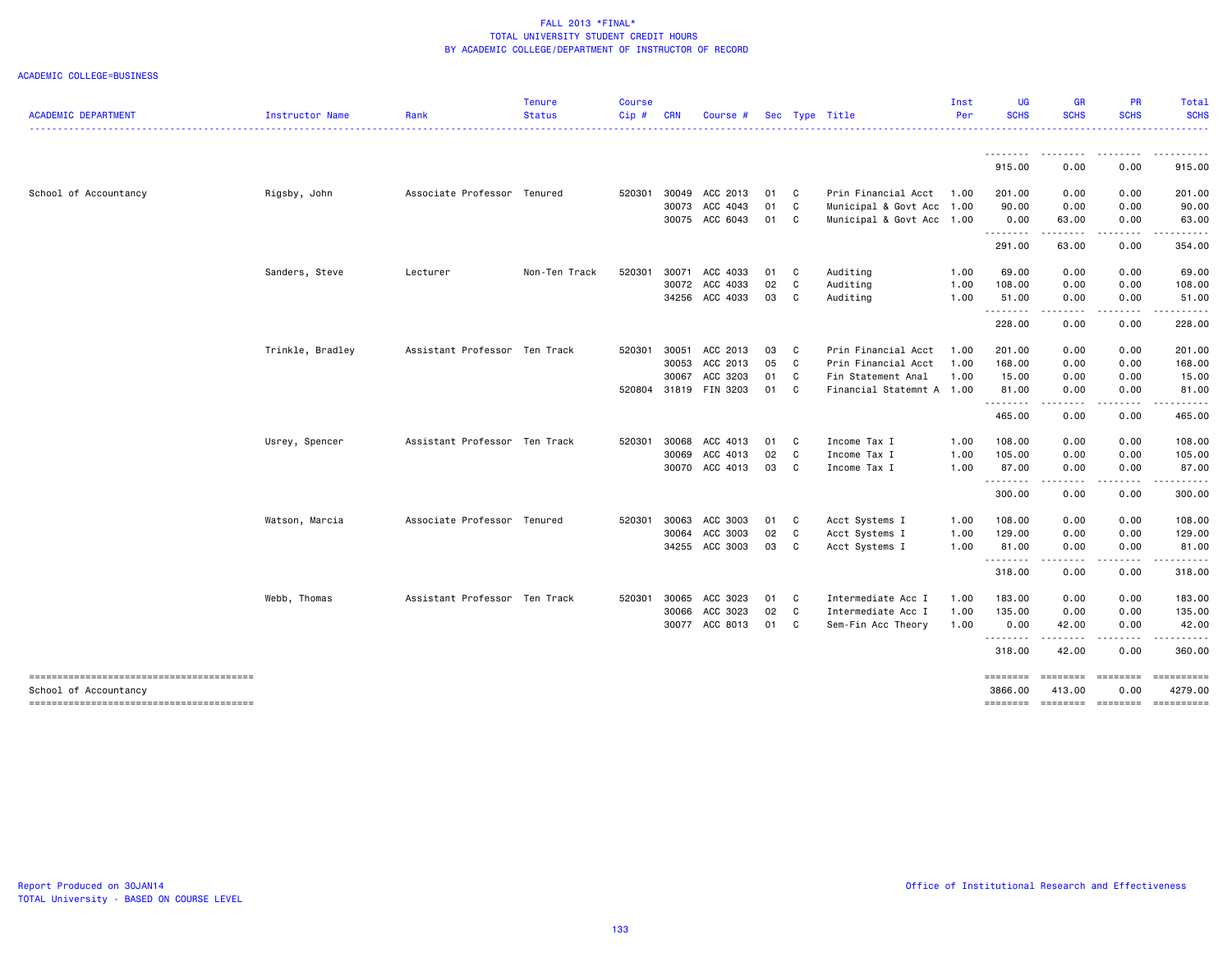|                                                                 |                  |                               | <b>Tenure</b> | <b>Course</b> |            |                       |      |                |                           | Inst | <b>UG</b><br><b>SCHS</b> | <b>GR</b><br><b>SCHS</b>            | PR<br><b>SCHS</b>                                                                                                                                                                                                                                                                                                                            | Total<br><b>SCHS</b>      |
|-----------------------------------------------------------------|------------------|-------------------------------|---------------|---------------|------------|-----------------------|------|----------------|---------------------------|------|--------------------------|-------------------------------------|----------------------------------------------------------------------------------------------------------------------------------------------------------------------------------------------------------------------------------------------------------------------------------------------------------------------------------------------|---------------------------|
| <b>ACADEMIC DEPARTMENT</b>                                      | Instructor Name  | Rank                          | <b>Status</b> | Cip#          | <b>CRN</b> | Course #              |      |                | Sec Type Title            | Per  |                          |                                     |                                                                                                                                                                                                                                                                                                                                              |                           |
|                                                                 |                  |                               |               |               |            |                       |      |                |                           |      | .<br>915.00              | .<br>0.00                           | .<br>0.00                                                                                                                                                                                                                                                                                                                                    | .<br>915.00               |
| School of Accountancy                                           | Rigsby, John     | Associate Professor Tenured   |               | 520301        |            | 30049 ACC 2013        | 01 C |                | Prin Financial Acct       | 1.00 | 201.00                   | 0.00                                | 0.00                                                                                                                                                                                                                                                                                                                                         | 201.00                    |
|                                                                 |                  |                               |               |               |            | 30073 ACC 4043        | 01   | $\mathbf{C}$   | Municipal & Govt Acc      | 1.00 | 90.00                    | 0.00                                | 0.00                                                                                                                                                                                                                                                                                                                                         | 90.00                     |
|                                                                 |                  |                               |               |               |            | 30075 ACC 6043        | 01 C |                | Municipal & Govt Acc 1.00 |      | 0.00                     | 63.00                               | 0.00                                                                                                                                                                                                                                                                                                                                         | 63.00                     |
|                                                                 |                  |                               |               |               |            |                       |      |                |                           |      | .<br>291.00              | .<br>63.00                          | .<br>0.00                                                                                                                                                                                                                                                                                                                                    | .<br>354.00               |
|                                                                 | Sanders, Steve   | Lecturer                      | Non-Ten Track | 520301        |            | 30071 ACC 4033        | 01 C |                | Auditing                  | 1.00 | 69.00                    | 0.00                                | 0.00                                                                                                                                                                                                                                                                                                                                         | 69.00                     |
|                                                                 |                  |                               |               |               |            | 30072 ACC 4033        | 02   | C              | Auditing                  | 1.00 | 108.00                   | 0.00                                | 0.00                                                                                                                                                                                                                                                                                                                                         | 108.00                    |
|                                                                 |                  |                               |               |               |            | 34256 ACC 4033        | 03 C |                | Auditing                  | 1.00 | 51.00                    | 0.00                                | 0.00                                                                                                                                                                                                                                                                                                                                         | 51.00                     |
|                                                                 |                  |                               |               |               |            |                       |      |                |                           |      | .<br>228.00              | $\sim$ $\sim$ $\sim$ $\sim$<br>0.00 | -----<br>0.00                                                                                                                                                                                                                                                                                                                                | 228.00                    |
|                                                                 | Trinkle, Bradley | Assistant Professor Ten Track |               | 520301        |            | 30051 ACC 2013        | 03   | $\mathbf{C}$   | Prin Financial Acct       | 1.00 | 201.00                   | 0.00                                | 0.00                                                                                                                                                                                                                                                                                                                                         | 201.00                    |
|                                                                 |                  |                               |               |               | 30053      | ACC 2013              | 05   | $\mathbf{C}$   | Prin Financial Acct       | 1.00 | 168.00                   | 0.00                                | 0.00                                                                                                                                                                                                                                                                                                                                         | 168.00                    |
|                                                                 |                  |                               |               |               | 30067      | ACC 3203              | 01   | C              | Fin Statement Anal        | 1.00 | 15.00                    | 0.00                                | 0.00                                                                                                                                                                                                                                                                                                                                         | 15.00                     |
|                                                                 |                  |                               |               |               |            | 520804 31819 FIN 3203 | 01   | C <sub>1</sub> | Financial Statemnt A 1.00 |      | 81.00<br><u>.</u>        | 0.00<br>.                           | 0.00<br>.                                                                                                                                                                                                                                                                                                                                    | 81.00                     |
|                                                                 |                  |                               |               |               |            |                       |      |                |                           |      | 465.00                   | 0.00                                | 0.00                                                                                                                                                                                                                                                                                                                                         | 465.00                    |
|                                                                 | Usrey, Spencer   | Assistant Professor Ten Track |               | 520301        |            | 30068 ACC 4013        | 01 C |                | Income Tax I              | 1.00 | 108.00                   | 0.00                                | 0.00                                                                                                                                                                                                                                                                                                                                         | 108.00                    |
|                                                                 |                  |                               |               |               |            | 30069 ACC 4013        | 02   | $\mathbf{C}$   | Income Tax I              | 1.00 | 105.00                   | 0.00                                | 0.00                                                                                                                                                                                                                                                                                                                                         | 105.00                    |
|                                                                 |                  |                               |               |               |            | 30070 ACC 4013        | 03   | $\mathbf{C}$   | Income Tax I              | 1.00 | 87.00<br>.               | 0.00<br>.                           | 0.00                                                                                                                                                                                                                                                                                                                                         | 87.00                     |
|                                                                 |                  |                               |               |               |            |                       |      |                |                           |      | 300.00                   | 0.00                                | 0.00                                                                                                                                                                                                                                                                                                                                         | 300.00                    |
|                                                                 | Watson, Marcia   | Associate Professor Tenured   |               | 520301        |            | 30063 ACC 3003        | 01 C |                | Acct Systems I            | 1.00 | 108.00                   | 0.00                                | 0.00                                                                                                                                                                                                                                                                                                                                         | 108.00                    |
|                                                                 |                  |                               |               |               |            | 30064 ACC 3003        | 02   | $\mathbf{C}$   | Acct Systems I            | 1.00 | 129.00                   | 0.00                                | 0.00                                                                                                                                                                                                                                                                                                                                         | 129.00                    |
|                                                                 |                  |                               |               |               |            | 34255 ACC 3003        | 03   | - C            | Acct Systems I            | 1.00 | 81.00<br>.               | 0.00<br>-----                       | 0.00<br>$\frac{1}{2} \left( \begin{array}{ccc} 1 & 0 & 0 & 0 \\ 0 & 0 & 0 & 0 \\ 0 & 0 & 0 & 0 \\ 0 & 0 & 0 & 0 \\ 0 & 0 & 0 & 0 \\ 0 & 0 & 0 & 0 \\ 0 & 0 & 0 & 0 \\ 0 & 0 & 0 & 0 \\ 0 & 0 & 0 & 0 \\ 0 & 0 & 0 & 0 \\ 0 & 0 & 0 & 0 & 0 \\ 0 & 0 & 0 & 0 & 0 \\ 0 & 0 & 0 & 0 & 0 \\ 0 & 0 & 0 & 0 & 0 \\ 0 & 0 & 0 & 0 & 0 \\ 0 & 0 & 0$ | 81.00<br>.                |
|                                                                 |                  |                               |               |               |            |                       |      |                |                           |      | 318.00                   | 0.00                                | 0.00                                                                                                                                                                                                                                                                                                                                         | 318.00                    |
|                                                                 | Webb, Thomas     | Assistant Professor Ten Track |               | 520301        | 30065      | ACC 3023              | 01 C |                | Intermediate Acc I        | 1.00 | 183.00                   | 0.00                                | 0.00                                                                                                                                                                                                                                                                                                                                         | 183.00                    |
|                                                                 |                  |                               |               |               |            | 30066 ACC 3023        | 02   | $\mathbf{C}$   | Intermediate Acc I        | 1.00 | 135.00                   | 0.00                                | 0.00                                                                                                                                                                                                                                                                                                                                         | 135.00                    |
|                                                                 |                  |                               |               |               |            | 30077 ACC 8013        | 01   | $\mathbf{C}$   | Sem-Fin Acc Theory        | 1.00 | 0.00<br>.                | 42.00<br>.                          | 0.00<br>$\begin{array}{cccccccccccccc} \bullet & \bullet & \bullet & \bullet & \bullet & \bullet & \bullet \end{array}$                                                                                                                                                                                                                      | 42.00                     |
|                                                                 |                  |                               |               |               |            |                       |      |                |                           |      | 318.00                   | 42.00                               | 0.00                                                                                                                                                                                                                                                                                                                                         | 360.00                    |
| --------------------------------------<br>School of Accountancy |                  |                               |               |               |            |                       |      |                |                           |      | ========<br>3866.00      | ========<br>413.00                  | ========<br>0.00                                                                                                                                                                                                                                                                                                                             | $=$ ==========<br>4279.00 |
|                                                                 |                  |                               |               |               |            |                       |      |                |                           |      | ========                 | ==============================      |                                                                                                                                                                                                                                                                                                                                              |                           |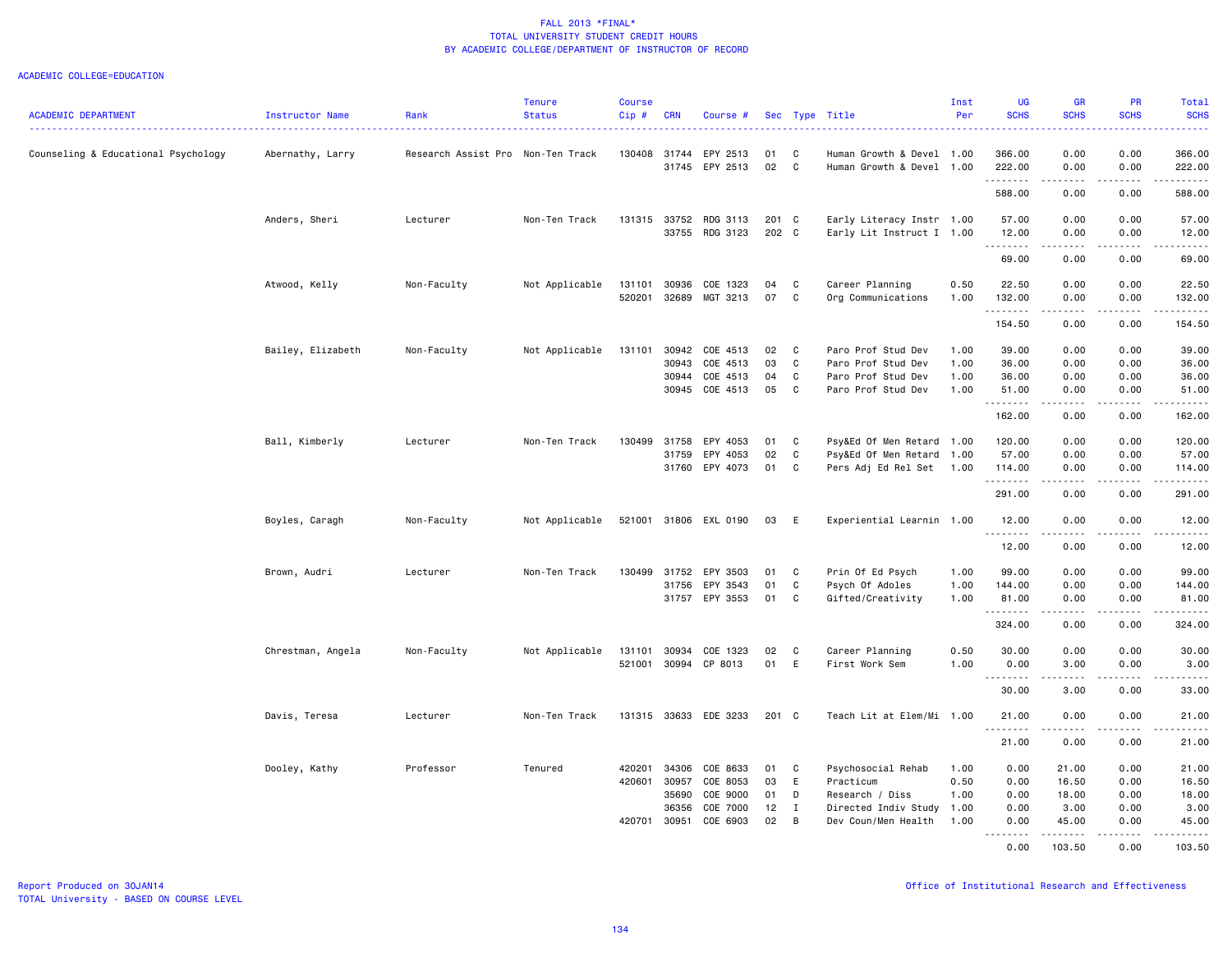|                                     |                   |                                   | <b>Tenure</b>  | <b>Course</b> |              |                       |       |              |                           | Inst | <b>UG</b>        | <b>GR</b>                                                                                                                                                                               | <b>PR</b>             | <b>Total</b>     |
|-------------------------------------|-------------------|-----------------------------------|----------------|---------------|--------------|-----------------------|-------|--------------|---------------------------|------|------------------|-----------------------------------------------------------------------------------------------------------------------------------------------------------------------------------------|-----------------------|------------------|
| <b>ACADEMIC DEPARTMENT</b>          | Instructor Name   | Rank                              | <b>Status</b>  | Cip#          | <b>CRN</b>   | Course #              |       |              | Sec Type Title            | Per  | <b>SCHS</b>      | <b>SCHS</b>                                                                                                                                                                             | <b>SCHS</b>           | <b>SCHS</b><br>. |
| Counseling & Educational Psychology | Abernathy, Larry  | Research Assist Pro Non-Ten Track |                | 130408        | 31744        | EPY 2513              | 01    | C            | Human Growth & Devel 1.00 |      | 366.00           | 0.00                                                                                                                                                                                    | 0.00                  | 366.00           |
|                                     |                   |                                   |                |               |              | 31745 EPY 2513        | 02    | C            | Human Growth & Devel 1.00 |      | 222.00<br>.      | 0.00<br>$\frac{1}{2} \left( \frac{1}{2} \right) \left( \frac{1}{2} \right) \left( \frac{1}{2} \right) \left( \frac{1}{2} \right)$                                                       | 0.00<br>$\frac{1}{2}$ | 222.00<br>.      |
|                                     |                   |                                   |                |               |              |                       |       |              |                           |      | 588.00           | 0.00                                                                                                                                                                                    | 0.00                  | 588.00           |
|                                     | Anders, Sheri     | Lecturer                          | Non-Ten Track  |               | 131315 33752 | RDG 3113              | 201 C |              | Early Literacy Instr 1.00 |      | 57.00            | 0.00                                                                                                                                                                                    | 0.00                  | 57.00            |
|                                     |                   |                                   |                |               |              | 33755 RDG 3123        | 202 C |              | Early Lit Instruct I 1.00 |      | 12.00            | 0.00<br>.                                                                                                                                                                               | 0.00<br>.             | 12.00<br>.       |
|                                     |                   |                                   |                |               |              |                       |       |              |                           |      | .<br>69.00       | 0.00                                                                                                                                                                                    | 0.00                  | 69.00            |
|                                     | Atwood, Kelly     | Non-Faculty                       | Not Applicable | 131101        | 30936        | COE 1323              | 04    | C            | Career Planning           | 0.50 | 22.50            | 0.00                                                                                                                                                                                    | 0.00                  | 22.50            |
|                                     |                   |                                   |                | 520201        | 32689        | MGT 3213              | 07    | C            | Org Communications        | 1.00 | 132.00<br>.      | 0.00<br>.                                                                                                                                                                               | 0.00<br>.             | 132.00<br>.      |
|                                     |                   |                                   |                |               |              |                       |       |              |                           |      | 154.50           | 0.00                                                                                                                                                                                    | 0.00                  | 154.50           |
|                                     | Bailey, Elizabeth | Non-Faculty                       | Not Applicable | 131101        | 30942        | COE 4513              | 02    | C            | Paro Prof Stud Dev        | 1.00 | 39.00            | 0.00                                                                                                                                                                                    | 0.00                  | 39.00            |
|                                     |                   |                                   |                |               | 30943        | COE 4513              | 03    | C            | Paro Prof Stud Dev        | 1.00 | 36.00            | 0.00                                                                                                                                                                                    | 0.00                  | 36.00            |
|                                     |                   |                                   |                |               | 30944        | COE 4513              | 04    | C            | Paro Prof Stud Dev        | 1.00 | 36.00            | 0.00                                                                                                                                                                                    | 0.00                  | 36.00            |
|                                     |                   |                                   |                |               |              | 30945 COE 4513        | 05    | C            | Paro Prof Stud Dev        | 1.00 | 51.00<br>.       | 0.00<br>.                                                                                                                                                                               | 0.00<br>$\cdots$      | 51.00<br>.       |
|                                     |                   |                                   |                |               |              |                       |       |              |                           |      | 162.00           | 0.00                                                                                                                                                                                    | 0.00                  | 162.00           |
|                                     | Ball, Kimberly    | Lecturer                          | Non-Ten Track  | 130499        | 31758        | EPY 4053              | 01    | C            | Psy&Ed Of Men Retard 1.00 |      | 120.00           | 0.00                                                                                                                                                                                    | 0.00                  | 120.00           |
|                                     |                   |                                   |                |               | 31759        | EPY 4053              | 02    | C            | Psy&Ed Of Men Retard 1.00 |      | 57.00            | 0.00                                                                                                                                                                                    | 0.00                  | 57.00            |
|                                     |                   |                                   |                |               |              | 31760 EPY 4073        | 01    | C            | Pers Adj Ed Rel Set 1.00  |      | 114.00<br>.      | 0.00<br>$\frac{1}{2} \left( \frac{1}{2} \right) \left( \frac{1}{2} \right) \left( \frac{1}{2} \right) \left( \frac{1}{2} \right) \left( \frac{1}{2} \right) \left( \frac{1}{2} \right)$ | 0.00<br>.             | 114.00<br>------ |
|                                     |                   |                                   |                |               |              |                       |       |              |                           |      | 291.00           | 0.00                                                                                                                                                                                    | 0.00                  | 291.00           |
|                                     | Boyles, Caragh    | Non-Faculty                       | Not Applicable |               |              | 521001 31806 EXL 0190 | 03    | E            | Experiential Learnin 1.00 |      | 12.00<br>.       | 0.00<br>.                                                                                                                                                                               | 0.00<br>.             | 12.00<br>.       |
|                                     |                   |                                   |                |               |              |                       |       |              |                           |      | 12.00            | 0.00                                                                                                                                                                                    | 0.00                  | 12.00            |
|                                     | Brown, Audri      | Lecturer                          | Non-Ten Track  | 130499        | 31752        | EPY 3503              | 01    | C            | Prin Of Ed Psych          | 1.00 | 99.00            | 0.00                                                                                                                                                                                    | 0.00                  | 99.00            |
|                                     |                   |                                   |                |               | 31756        | EPY 3543              | 01    | C            | Psych Of Adoles           | 1.00 | 144.00           | 0.00                                                                                                                                                                                    | 0.00                  | 144.00           |
|                                     |                   |                                   |                |               |              | 31757 EPY 3553        | 01    | C            | Gifted/Creativity         | 1.00 | 81.00<br>.       | 0.00                                                                                                                                                                                    | 0.00                  | 81.00<br>.       |
|                                     |                   |                                   |                |               |              |                       |       |              |                           |      | 324.00           | 0.00                                                                                                                                                                                    | 0.00                  | 324.00           |
|                                     | Chrestman, Angela | Non-Faculty                       | Not Applicable |               | 131101 30934 | COE 1323              | 02    | C            | Career Planning           | 0.50 | 30.00            | 0.00                                                                                                                                                                                    | 0.00                  | 30.00            |
|                                     |                   |                                   |                |               |              | 521001 30994 CP 8013  | 01    | E            | First Work Sem            | 1.00 | 0.00<br><u>.</u> | 3.00<br>. <b>.</b>                                                                                                                                                                      | 0.00<br>.             | 3.00<br>.        |
|                                     |                   |                                   |                |               |              |                       |       |              |                           |      | 30.00            | 3.00                                                                                                                                                                                    | 0.00                  | 33.00            |
|                                     | Davis, Teresa     | Lecturer                          | Non-Ten Track  |               |              | 131315 33633 EDE 3233 | 201 C |              | Teach Lit at Elem/Mi 1.00 |      | 21.00            | 0.00                                                                                                                                                                                    | 0.00                  | 21.00            |
|                                     |                   |                                   |                |               |              |                       |       |              |                           |      | .<br>21.00       | $- - - - -$<br>0.00                                                                                                                                                                     | .<br>0.00             | .<br>21.00       |
|                                     | Dooley, Kathy     | Professor                         | Tenured        | 420201        | 34306        | COE 8633              | 01    | C            | Psychosocial Rehab        | 1.00 | 0.00             | 21.00                                                                                                                                                                                   | 0.00                  | 21.00            |
|                                     |                   |                                   |                | 420601        | 30957        | COE 8053              | 03    | E            | Practicum                 | 0.50 | 0.00             | 16.50                                                                                                                                                                                   | 0.00                  | 16.50            |
|                                     |                   |                                   |                |               | 35690        | COE 9000              | 01    | D            | Research / Diss           | 1.00 | 0.00             | 18.00                                                                                                                                                                                   | 0.00                  | 18.00            |
|                                     |                   |                                   |                |               | 36356        | COE 7000              | 12    | $\mathbf{I}$ | Directed Indiv Study      | 1.00 | 0.00             | 3.00                                                                                                                                                                                    | 0.00                  | 3.00             |
|                                     |                   |                                   |                | 420701        | 30951        | COE 6903              | 02    | B            | Dev Coun/Men Health       | 1.00 | 0.00<br>.        | 45.00<br>. <b>.</b>                                                                                                                                                                     | 0.00<br>.             | 45.00<br>.       |
|                                     |                   |                                   |                |               |              |                       |       |              |                           |      | 0.00             | 103.50                                                                                                                                                                                  | 0.00                  | 103.50           |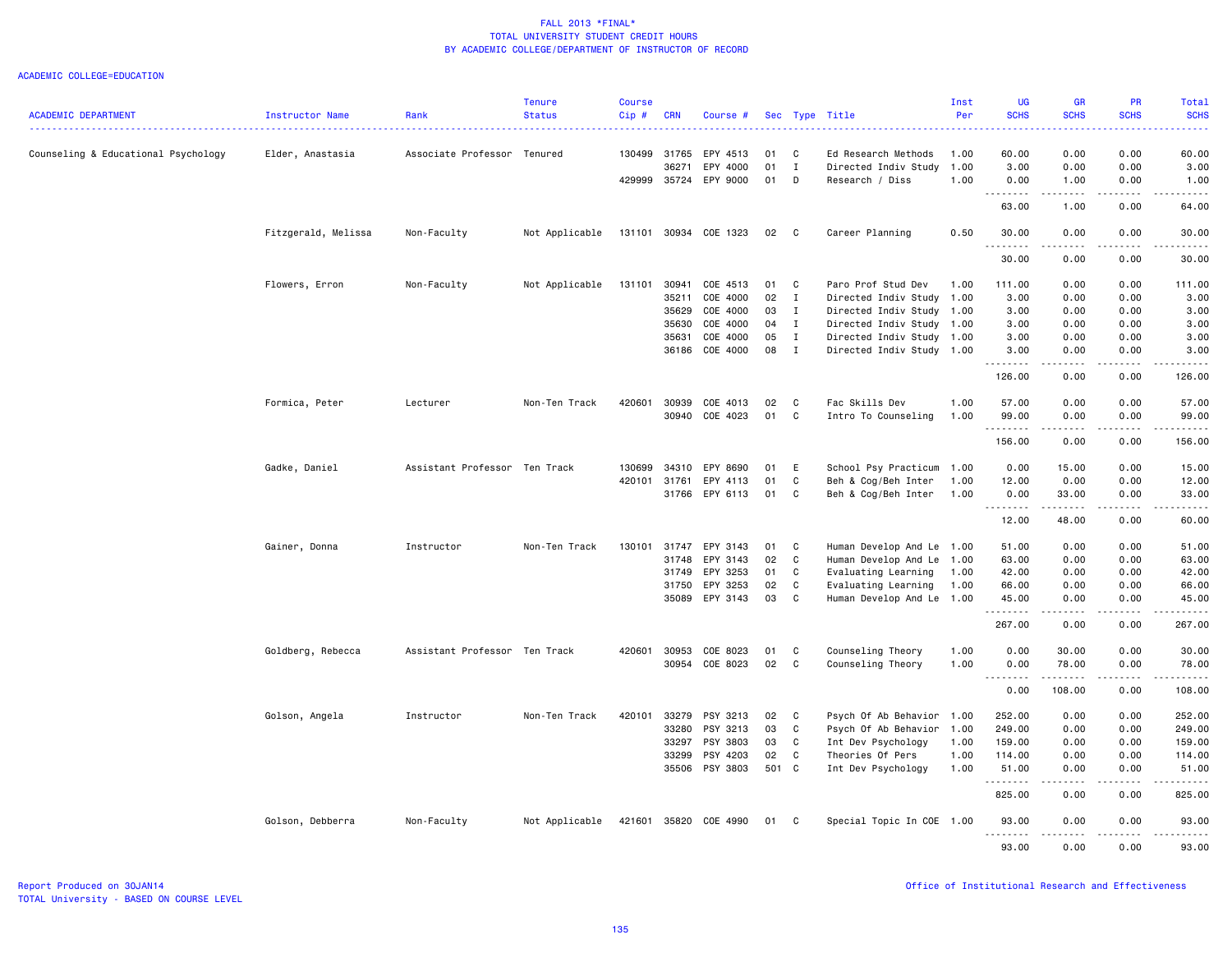|                                     |                     |                               | <b>Tenure</b>  | <b>Course</b> |              |                       |       |              |                           | Inst | <b>UG</b>                                                                                                                                                                            | <b>GR</b>             | <b>PR</b>               | <b>Total</b>           |
|-------------------------------------|---------------------|-------------------------------|----------------|---------------|--------------|-----------------------|-------|--------------|---------------------------|------|--------------------------------------------------------------------------------------------------------------------------------------------------------------------------------------|-----------------------|-------------------------|------------------------|
| <b>ACADEMIC DEPARTMENT</b>          | Instructor Name     | Rank                          | <b>Status</b>  | Cip#          | <b>CRN</b>   | Course #              |       |              | Sec Type Title            | Per  | <b>SCHS</b>                                                                                                                                                                          | <b>SCHS</b>           | <b>SCHS</b>             | <b>SCHS</b>            |
| Counseling & Educational Psychology | Elder, Anastasia    | Associate Professor Tenured   |                | 130499        | 31765        | EPY 4513              | 01    | C            | Ed Research Methods       | 1.00 | 60.00                                                                                                                                                                                | 0.00                  | 0.00                    | 60.00                  |
|                                     |                     |                               |                |               | 36271        | EPY 4000              | 01    | I            | Directed Indiv Study      | 1.00 | 3.00                                                                                                                                                                                 | 0.00                  | 0.00                    | 3.00                   |
|                                     |                     |                               |                |               | 429999 35724 | EPY 9000              | 01    | D            | Research / Diss           | 1.00 | 0.00                                                                                                                                                                                 | 1.00                  | 0.00                    | 1.00                   |
|                                     |                     |                               |                |               |              |                       |       |              |                           |      |                                                                                                                                                                                      | .                     | .                       | $\frac{1}{2}$          |
|                                     |                     |                               |                |               |              |                       |       |              |                           |      | 63.00                                                                                                                                                                                | 1.00                  | 0.00                    | 64.00                  |
|                                     | Fitzgerald, Melissa | Non-Faculty                   | Not Applicable |               |              | 131101 30934 COE 1323 | 02    | C            | Career Planning           | 0.50 | 30.00<br>.                                                                                                                                                                           | 0.00<br>$- - - - -$   | 0.00<br>.               | 30.00<br>.             |
|                                     |                     |                               |                |               |              |                       |       |              |                           |      | 30.00                                                                                                                                                                                | 0.00                  | 0.00                    | 30.00                  |
|                                     | Flowers, Erron      | Non-Faculty                   | Not Applicable | 131101        | 30941        | COE 4513              | 01    | C            | Paro Prof Stud Dev        | 1.00 | 111.00                                                                                                                                                                               | 0.00                  | 0.00                    | 111.00                 |
|                                     |                     |                               |                |               | 35211        | COE 4000              | 02    | $\mathbf{I}$ | Directed Indiv Study      | 1.00 | 3.00                                                                                                                                                                                 | 0.00                  | 0.00                    | 3.00                   |
|                                     |                     |                               |                |               | 35629        | COE 4000              | 03    | Ι            | Directed Indiv Study      | 1.00 | 3.00                                                                                                                                                                                 | 0.00                  | 0.00                    | 3.00                   |
|                                     |                     |                               |                |               | 35630        | COE 4000              | 04    | $\mathbf{I}$ | Directed Indiv Study 1.00 |      | 3.00                                                                                                                                                                                 | 0.00                  | 0.00                    | 3.00                   |
|                                     |                     |                               |                |               | 35631        | COE 4000              | 05    | $\mathbf{I}$ | Directed Indiv Study 1.00 |      | 3.00                                                                                                                                                                                 | 0.00                  | 0.00                    | 3.00                   |
|                                     |                     |                               |                |               |              | 36186 COE 4000        | 08    | $\mathbf{I}$ | Directed Indiv Study 1.00 |      | 3.00                                                                                                                                                                                 | 0.00                  | 0.00                    | 3.00                   |
|                                     |                     |                               |                |               |              |                       |       |              |                           |      | .<br>126.00                                                                                                                                                                          | .<br>0.00             | .<br>0.00               | . <u>.</u> .<br>126.00 |
|                                     | Formica, Peter      | Lecturer                      | Non-Ten Track  | 420601        | 30939        | COE 4013              | 02    | C            | Fac Skills Dev            | 1.00 | 57.00                                                                                                                                                                                | 0.00                  | 0.00                    | 57.00                  |
|                                     |                     |                               |                |               | 30940        | COE 4023              | 01    | C            | Intro To Counseling       | 1.00 | 99.00<br>.                                                                                                                                                                           | 0.00<br>.             | 0.00<br>.               | 99.00<br>.             |
|                                     |                     |                               |                |               |              |                       |       |              |                           |      | 156.00                                                                                                                                                                               | 0.00                  | 0.00                    | 156.00                 |
|                                     | Gadke, Daniel       | Assistant Professor Ten Track |                | 130699        | 34310        | EPY 8690              | 01    | E            | School Psy Practicum      | 1.00 | 0.00                                                                                                                                                                                 | 15.00                 | 0.00                    | 15.00                  |
|                                     |                     |                               |                | 420101        | 31761        | EPY 4113              | 01    | C            | Beh & Cog/Beh Inter       | 1.00 | 12.00                                                                                                                                                                                | 0.00                  | 0.00                    | 12.00                  |
|                                     |                     |                               |                |               |              | 31766 EPY 6113        | 01    | C            | Beh & Cog/Beh Inter       | 1.00 | 0.00<br><u>.</u>                                                                                                                                                                     | 33.00<br>.            | 0.00<br>.               | 33.00<br>.             |
|                                     |                     |                               |                |               |              |                       |       |              |                           |      | 12.00                                                                                                                                                                                | 48.00                 | 0.00                    | 60.00                  |
|                                     | Gainer, Donna       | Instructor                    | Non-Ten Track  | 130101        | 31747        | EPY 3143              | 01    | C            | Human Develop And Le 1.00 |      | 51.00                                                                                                                                                                                | 0.00                  | 0.00                    | 51.00                  |
|                                     |                     |                               |                |               | 31748        | EPY 3143              | 02    | C            | Human Develop And Le      | 1.00 | 63.00                                                                                                                                                                                | 0.00                  | 0.00                    | 63.00                  |
|                                     |                     |                               |                |               | 31749        | EPY 3253              | 01    | C            | Evaluating Learning       | 1.00 | 42.00                                                                                                                                                                                | 0.00                  | 0.00                    | 42.00                  |
|                                     |                     |                               |                |               | 31750        | EPY 3253              | 02    | C            | Evaluating Learning       | 1.00 | 66.00                                                                                                                                                                                | 0.00                  | 0.00                    | 66.00                  |
|                                     |                     |                               |                |               | 35089        | EPY 3143              | 03    | C            | Human Develop And Le 1.00 |      | 45.00<br>.                                                                                                                                                                           | 0.00<br>$\frac{1}{2}$ | 0.00<br>$\frac{1}{2}$   | 45.00<br>.             |
|                                     |                     |                               |                |               |              |                       |       |              |                           |      | 267.00                                                                                                                                                                               | 0.00                  | 0.00                    | 267.00                 |
|                                     | Goldberg, Rebecca   | Assistant Professor Ten Track |                | 420601        | 30953        | COE 8023              | 01    | C            | Counseling Theory         | 1.00 | 0.00                                                                                                                                                                                 | 30.00                 | 0.00                    | 30.00                  |
|                                     |                     |                               |                |               |              | 30954 COE 8023        | 02    | C            | Counseling Theory         | 1.00 | 0.00<br>$\sim$ $\sim$ $\sim$<br>$\frac{1}{2} \left( \frac{1}{2} \right) \left( \frac{1}{2} \right) \left( \frac{1}{2} \right) \left( \frac{1}{2} \right) \left( \frac{1}{2} \right)$ | 78.00<br>.            | 0.00<br>$\frac{1}{2}$   | 78.00<br>.             |
|                                     |                     |                               |                |               |              |                       |       |              |                           |      | 0.00                                                                                                                                                                                 | 108.00                | 0.00                    | 108.00                 |
|                                     | Golson, Angela      | Instructor                    | Non-Ten Track  | 420101        | 33279        | PSY 3213              | 02    | C            | Psych Of Ab Behavior 1.00 |      | 252.00                                                                                                                                                                               | 0.00                  | 0.00                    | 252.00                 |
|                                     |                     |                               |                |               | 33280        | PSY 3213              | 03    | C            | Psych Of Ab Behavior 1.00 |      | 249.00                                                                                                                                                                               | 0.00                  | 0.00                    | 249.00                 |
|                                     |                     |                               |                |               | 33297        | PSY 3803              | 03    | C            | Int Dev Psychology        | 1.00 | 159.00                                                                                                                                                                               | 0.00                  | 0.00                    | 159.00                 |
|                                     |                     |                               |                |               | 33299        | PSY 4203              | 02    | C            | Theories Of Pers          | 1.00 | 114.00                                                                                                                                                                               | 0.00                  | 0.00                    | 114.00                 |
|                                     |                     |                               |                |               |              | 35506 PSY 3803        | 501 C |              | Int Dev Psychology        | 1.00 | 51.00<br>.                                                                                                                                                                           | 0.00<br>.             | 0.00<br>.               | 51.00<br>.             |
|                                     |                     |                               |                |               |              |                       |       |              |                           |      | 825.00                                                                                                                                                                               | 0.00                  | 0.00                    | 825.00                 |
|                                     | Golson, Debberra    | Non-Faculty                   | Not Applicable | 421601        |              | 35820 COE 4990        | 01    | C            | Special Topic In COE 1.00 |      | 93.00<br>.                                                                                                                                                                           | 0.00<br>$\frac{1}{2}$ | 0.00<br>المتمام المتحدة | 93.00<br>.             |
|                                     |                     |                               |                |               |              |                       |       |              |                           |      | 93.00                                                                                                                                                                                | 0.00                  | 0.00                    | 93.00                  |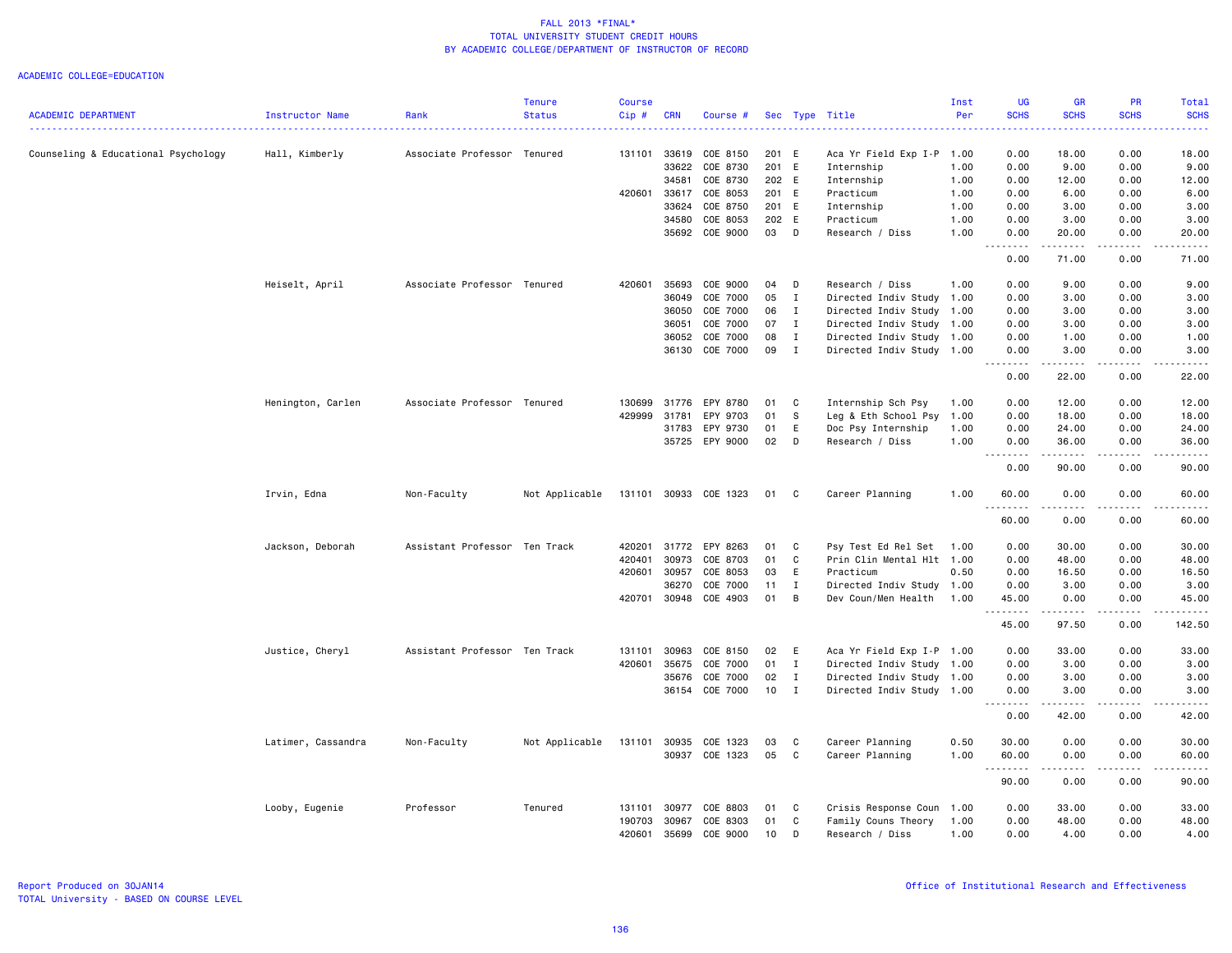|                                     |                    |                               | <b>Tenure</b>  | <b>Course</b> |              |                       |       |              |                           | Inst | <b>UG</b>                 | <b>GR</b>                                                                                                           | PR               | Total                 |
|-------------------------------------|--------------------|-------------------------------|----------------|---------------|--------------|-----------------------|-------|--------------|---------------------------|------|---------------------------|---------------------------------------------------------------------------------------------------------------------|------------------|-----------------------|
| <b>ACADEMIC DEPARTMENT</b>          | Instructor Name    | Rank                          | <b>Status</b>  | Cip#          | <b>CRN</b>   | Course #              |       |              | Sec Type Title            | Per  | <b>SCHS</b><br>ت با با با | <b>SCHS</b>                                                                                                         | <b>SCHS</b>      | <b>SCHS</b><br>دعاعات |
| Counseling & Educational Psychology | Hall, Kimberly     | Associate Professor Tenured   |                | 131101        | 33619        | COE 8150              | 201 E |              | Aca Yr Field Exp I-P      | 1.00 | 0.00                      | 18.00                                                                                                               | 0.00             | 18.00                 |
|                                     |                    |                               |                |               | 33622        | COE 8730              | 201 E |              | Internship                | 1.00 | 0.00                      | 9.00                                                                                                                | 0.00             | 9.00                  |
|                                     |                    |                               |                |               | 34581        | COE 8730              | 202 E |              | Internship                | 1.00 | 0.00                      | 12.00                                                                                                               | 0.00             | 12.00                 |
|                                     |                    |                               |                | 420601        | 33617        | COE 8053              | 201 E |              | Practicum                 | 1.00 | 0.00                      | 6.00                                                                                                                | 0.00             | 6.00                  |
|                                     |                    |                               |                |               | 33624        | COE 8750              | 201 E |              | Internship                | 1.00 | 0.00                      | 3.00                                                                                                                | 0.00             | 3.00                  |
|                                     |                    |                               |                |               | 34580        | COE 8053              | 202 E |              | Practicum                 | 1.00 | 0.00                      | 3.00                                                                                                                | 0.00             | 3.00                  |
|                                     |                    |                               |                |               | 35692        | COE 9000              | 03    | $\mathsf{D}$ | Research / Diss           | 1.00 | 0.00                      | 20.00                                                                                                               | 0.00             | 20.00                 |
|                                     |                    |                               |                |               |              |                       |       |              |                           |      | .<br>0.00                 | 71.00                                                                                                               | 0.00             | 71.00                 |
|                                     | Heiselt, April     | Associate Professor Tenured   |                | 420601        | 35693        | COE 9000              | 04    | D            | Research / Diss           | 1.00 | 0.00                      | 9.00                                                                                                                | 0.00             | 9.00                  |
|                                     |                    |                               |                |               | 36049        | COE 7000              | 05    | Ι.           | Directed Indiv Study      | 1.00 | 0.00                      | 3.00                                                                                                                | 0.00             | 3.00                  |
|                                     |                    |                               |                |               | 36050        | COE 7000              | 06    | $\mathbf{I}$ | Directed Indiv Study      | 1.00 | 0.00                      | 3.00                                                                                                                | 0.00             | 3.00                  |
|                                     |                    |                               |                |               | 36051        | COE 7000              | 07    | I            | Directed Indiv Study 1.00 |      | 0.00                      | 3.00                                                                                                                | 0.00             | 3.00                  |
|                                     |                    |                               |                |               | 36052        | COE 7000              | 08    | $\mathbf I$  | Directed Indiv Study      | 1.00 | 0.00                      | 1.00                                                                                                                | 0.00             | 1.00                  |
|                                     |                    |                               |                |               | 36130        | COE 7000              | 09    | $\mathbf{I}$ | Directed Indiv Study 1.00 |      | 0.00                      | 3.00                                                                                                                | 0.00             | 3.00                  |
|                                     |                    |                               |                |               |              |                       |       |              |                           |      | .<br>0.00                 | 22.00                                                                                                               | .<br>0.00        | .<br>22.00            |
|                                     | Henington, Carlen  | Associate Professor Tenured   |                | 130699        | 31776        | EPY 8780              | 01    | C            | Internship Sch Psy        | 1.00 | 0.00                      | 12.00                                                                                                               | 0.00             | 12.00                 |
|                                     |                    |                               |                | 429999        | 31781        | EPY 9703              | 01    | s            | Leg & Eth School Psy      | 1.00 | 0.00                      | 18.00                                                                                                               | 0.00             | 18.00                 |
|                                     |                    |                               |                |               | 31783        | EPY 9730              | 01    | E            | Doc Psy Internship        | 1.00 | 0.00                      | 24.00                                                                                                               | 0.00             | 24.00                 |
|                                     |                    |                               |                |               | 35725        | EPY 9000              | 02    | D            | Research / Diss           | 1.00 | 0.00                      | 36.00                                                                                                               | 0.00             | 36.00                 |
|                                     |                    |                               |                |               |              |                       |       |              |                           |      | .<br>0.00                 | .<br>90.00                                                                                                          | .<br>0.00        | .<br>90.00            |
|                                     | Irvin, Edna        | Non-Faculty                   | Not Applicable |               |              | 131101 30933 COE 1323 | 01    | $\mathbf{C}$ | Career Planning           | 1.00 | 60.00                     | 0.00                                                                                                                | 0.00             | 60.00                 |
|                                     |                    |                               |                |               |              |                       |       |              |                           |      | 60.00                     | 0.00                                                                                                                | 0.00             | 60.00                 |
|                                     | Jackson, Deborah   | Assistant Professor Ten Track |                | 420201        | 31772        | EPY 8263              | 01    | C            | Psy Test Ed Rel Set       | 1.00 | 0.00                      | 30.00                                                                                                               | 0.00             | 30.00                 |
|                                     |                    |                               |                | 420401        | 30973        | COE 8703              | 01    | $\mathtt{C}$ | Prin Clin Mental Hlt 1.00 |      | 0.00                      | 48.00                                                                                                               | 0.00             | 48.00                 |
|                                     |                    |                               |                | 420601        | 30957        | COE 8053              | 03    | E            | Practicum                 | 0.50 | 0.00                      | 16.50                                                                                                               | 0.00             | 16.50                 |
|                                     |                    |                               |                |               | 36270        | COE 7000              | 11    | Ι.           | Directed Indiv Study 1.00 |      | 0.00                      | 3.00                                                                                                                | 0.00             | 3.00                  |
|                                     |                    |                               |                |               | 420701 30948 | COE 4903              | 01    | B            | Dev Coun/Men Health       | 1.00 | 45.00                     | 0.00                                                                                                                | 0.00             | 45.00                 |
|                                     |                    |                               |                |               |              |                       |       |              |                           |      | <u>.</u><br>45.00         | .<br>97.50                                                                                                          | .<br>0.00        | .<br>142.50           |
|                                     | Justice, Cheryl    | Assistant Professor Ten Track |                | 131101        | 30963        | COE 8150              | 02    | E            | Aca Yr Field Exp I-P 1.00 |      | 0.00                      | 33.00                                                                                                               | 0.00             | 33.00                 |
|                                     |                    |                               |                | 420601        | 35675        | COE 7000              | 01    | I            | Directed Indiv Study 1.00 |      | 0.00                      | 3.00                                                                                                                | 0.00             | 3.00                  |
|                                     |                    |                               |                |               | 35676        | COE 7000              | 02    | Ι.           | Directed Indiv Study      | 1.00 | 0.00                      | 3.00                                                                                                                | 0.00             | 3.00                  |
|                                     |                    |                               |                |               | 36154        | COE 7000              | 10    | Ι.           | Directed Indiv Study 1.00 |      | 0.00                      | 3.00                                                                                                                | 0.00             | 3.00                  |
|                                     |                    |                               |                |               |              |                       |       |              |                           |      | 22222<br>0.00             | المتمامين<br>42.00                                                                                                  | الأعامات<br>0.00 | الداعات<br>42.00      |
|                                     | Latimer, Cassandra | Non-Faculty                   | Not Applicable | 131101        | 30935        | COE 1323              | 03    | C            | Career Planning           | 0.50 | 30.00                     | 0.00                                                                                                                | 0.00             | 30.00                 |
|                                     |                    |                               |                |               |              | 30937 COE 1323        | 05    | C            | Career Planning           | 1.00 | 60.00                     | 0.00                                                                                                                | 0.00             | 60.00                 |
|                                     |                    |                               |                |               |              |                       |       |              |                           |      | .<br>90.00                | $\begin{array}{cccccccccc} \bullet & \bullet & \bullet & \bullet & \bullet & \bullet & \bullet \end{array}$<br>0.00 | .<br>0.00        | .<br>90.00            |
|                                     | Looby, Eugenie     | Professor                     | Tenured        | 131101        | 30977        | COE 8803              | 01    | C            | Crisis Response Coun      | 1.00 | 0.00                      | 33.00                                                                                                               | 0.00             | 33.00                 |
|                                     |                    |                               |                | 190703        | 30967        | COE 8303              | 01    | C            | Family Couns Theory       | 1.00 | 0.00                      | 48.00                                                                                                               | 0.00             | 48.00                 |
|                                     |                    |                               |                | 420601        | 35699        | COE 9000              | 10    | D            | Research / Diss           | 1.00 | 0.00                      | 4.00                                                                                                                | 0.00             | 4.00                  |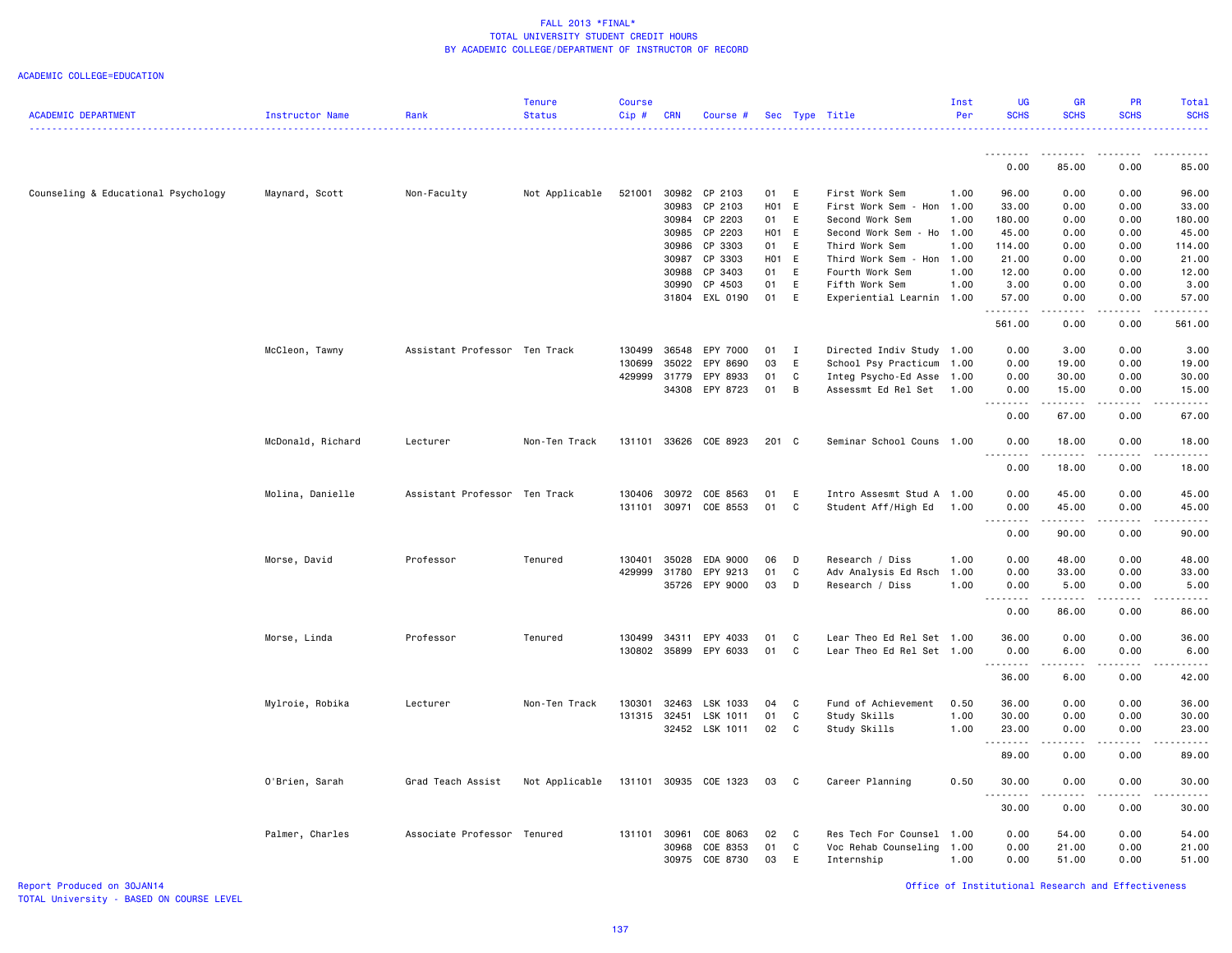ACADEMIC COLLEGE=EDUCATION

| <b>ACADEMIC DEPARTMENT</b>          | Instructor Name   | Rank                          | <b>Tenure</b><br><b>Status</b> | <b>Course</b><br>Cip# | <b>CRN</b> | Course #              |       |              | Sec Type Title            | Inst<br>Per | UG<br><b>SCHS</b>   | <b>GR</b><br><b>SCHS</b>                                                                                                                                      | PR<br><b>SCHS</b>                                                                                                                                                               | Total<br><b>SCHS</b> |
|-------------------------------------|-------------------|-------------------------------|--------------------------------|-----------------------|------------|-----------------------|-------|--------------|---------------------------|-------------|---------------------|---------------------------------------------------------------------------------------------------------------------------------------------------------------|---------------------------------------------------------------------------------------------------------------------------------------------------------------------------------|----------------------|
|                                     |                   |                               |                                |                       |            |                       |       |              |                           |             | <b></b>             | .                                                                                                                                                             | $\frac{1}{2} \left( \frac{1}{2} \right) \left( \frac{1}{2} \right) \left( \frac{1}{2} \right) \left( \frac{1}{2} \right) \left( \frac{1}{2} \right) \left( \frac{1}{2} \right)$ |                      |
|                                     |                   |                               |                                |                       |            |                       |       |              |                           |             | 0.00                | 85.00                                                                                                                                                         | 0.00                                                                                                                                                                            | 85.00                |
| Counseling & Educational Psychology | Maynard, Scott    | Non-Faculty                   | Not Applicable                 | 521001                |            | 30982 CP 2103         | 01 E  |              | First Work Sem            | 1.00        | 96.00               | 0.00                                                                                                                                                          | 0.00                                                                                                                                                                            | 96.00                |
|                                     |                   |                               |                                |                       | 30983      | CP 2103               | H01 E |              | First Work Sem - Hon      | 1.00        | 33.00               | 0.00                                                                                                                                                          | 0.00                                                                                                                                                                            | 33.00                |
|                                     |                   |                               |                                |                       |            | 30984 CP 2203         | 01    | E            | Second Work Sem           | 1.00        | 180.00              | 0.00                                                                                                                                                          | 0.00                                                                                                                                                                            | 180.00               |
|                                     |                   |                               |                                |                       |            | 30985 CP 2203         | H01 E |              | Second Work Sem - Ho      | 1.00        | 45.00               | 0.00                                                                                                                                                          | 0.00                                                                                                                                                                            | 45.00                |
|                                     |                   |                               |                                |                       | 30986      | CP 3303               | 01    | E            | Third Work Sem            | 1.00        | 114.00              | 0.00                                                                                                                                                          | 0.00                                                                                                                                                                            | 114.00               |
|                                     |                   |                               |                                |                       |            | 30987 CP 3303         | H01 E |              | Third Work Sem - Hon      | 1.00        | 21.00               | 0.00                                                                                                                                                          | 0.00                                                                                                                                                                            | 21.00                |
|                                     |                   |                               |                                |                       | 30988      | CP 3403               | 01    | E            | Fourth Work Sem           | 1.00        | 12.00               | 0.00                                                                                                                                                          | 0.00                                                                                                                                                                            | 12.00                |
|                                     |                   |                               |                                |                       | 30990      | CP 4503               | 01    | E            | Fifth Work Sem            | 1.00        | 3.00                | 0.00                                                                                                                                                          | 0.00                                                                                                                                                                            | 3.00                 |
|                                     |                   |                               |                                |                       |            | 31804 EXL 0190        | 01    | E            | Experiential Learnin      | 1.00        | 57.00               | 0.00                                                                                                                                                          | 0.00                                                                                                                                                                            | 57.00                |
|                                     |                   |                               |                                |                       |            |                       |       |              |                           |             | .                   | $- - -$                                                                                                                                                       | $   -$                                                                                                                                                                          |                      |
|                                     |                   |                               |                                |                       |            |                       |       |              |                           |             | 561.00              | 0.00                                                                                                                                                          | 0.00                                                                                                                                                                            | 561.00               |
|                                     | McCleon, Tawny    | Assistant Professor Ten Track |                                | 130499                | 36548      | EPY 7000              | 01    | $\mathbf{I}$ | Directed Indiv Study      | 1.00        | 0.00                | 3.00                                                                                                                                                          | 0.00                                                                                                                                                                            | 3.00                 |
|                                     |                   |                               |                                | 130699                | 35022      | EPY 8690              | 03    | E            | School Psy Practicum      | 1.00        | 0.00                | 19.00                                                                                                                                                         | 0.00                                                                                                                                                                            | 19.00                |
|                                     |                   |                               |                                | 429999                | 31779      | EPY 8933              | 01    | C            | Integ Psycho-Ed Asse      | 1.00        | 0.00                | 30.00                                                                                                                                                         | 0.00                                                                                                                                                                            | 30.00                |
|                                     |                   |                               |                                |                       |            | 34308 EPY 8723        | 01    | B            | Assessmt Ed Rel Set       | 1.00        | 0.00                | 15.00                                                                                                                                                         | 0.00                                                                                                                                                                            | 15.00                |
|                                     |                   |                               |                                |                       |            |                       |       |              |                           |             | .<br>0.00           | .<br>67.00                                                                                                                                                    | 22222<br>0.00                                                                                                                                                                   | د د د د د<br>67.00   |
|                                     | McDonald, Richard | Lecturer                      | Non-Ten Track                  | 131101                |            | 33626 COE 8923        | 201 C |              | Seminar School Couns 1.00 |             | 0.00                | 18.00                                                                                                                                                         | 0.00                                                                                                                                                                            | 18.00                |
|                                     |                   |                               |                                |                       |            |                       |       |              |                           |             | 0.00                | وبالمستريث<br>18.00                                                                                                                                           | 0.00                                                                                                                                                                            | 18.00                |
|                                     |                   |                               |                                |                       |            |                       |       |              |                           |             |                     |                                                                                                                                                               |                                                                                                                                                                                 |                      |
|                                     | Molina, Danielle  | Assistant Professor Ten Track |                                | 130406                | 30972      | COE 8563              | 01    | E            | Intro Assesmt Stud A      | 1.00        | 0.00                | 45.00                                                                                                                                                         | 0.00                                                                                                                                                                            | 45.00                |
|                                     |                   |                               |                                | 131101                |            | 30971 COE 8553        | 01    | C            | Student Aff/High Ed       | 1.00        | 0.00                | 45.00                                                                                                                                                         | 0.00                                                                                                                                                                            | 45.00                |
|                                     |                   |                               |                                |                       |            |                       |       |              |                           |             | 0.00                | 90.00                                                                                                                                                         | 0.00                                                                                                                                                                            | 90.00                |
|                                     | Morse, David      | Professor                     | Tenured                        | 130401                | 35028      | EDA 9000              | 06    | D            | Research / Diss           | 1.00        | 0.00                | 48.00                                                                                                                                                         | 0.00                                                                                                                                                                            | 48.00                |
|                                     |                   |                               |                                | 429999                | 31780      | EPY 9213              | 01    | C            | Adv Analysis Ed Rsch      | 1.00        | 0.00                | 33.00                                                                                                                                                         | 0.00                                                                                                                                                                            | 33.00                |
|                                     |                   |                               |                                |                       |            | 35726 EPY 9000        | 03    | D            | Research / Diss           | 1.00        | 0.00                | 5.00                                                                                                                                                          | 0.00                                                                                                                                                                            | 5.00                 |
|                                     |                   |                               |                                |                       |            |                       |       |              |                           |             | .<br>0.00           | $\frac{1}{2} \left( \frac{1}{2} \right) \left( \frac{1}{2} \right) \left( \frac{1}{2} \right) \left( \frac{1}{2} \right) \left( \frac{1}{2} \right)$<br>86.00 | .<br>0.00                                                                                                                                                                       | 86.00                |
|                                     | Morse, Linda      | Professor                     | Tenured                        | 130499                |            | 34311 EPY 4033        | 01    | C            | Lear Theo Ed Rel Set 1.00 |             | 36.00               | 0.00                                                                                                                                                          | 0.00                                                                                                                                                                            | 36.00                |
|                                     |                   |                               |                                | 130802                | 35899      | EPY 6033              | 01    | C            | Lear Theo Ed Rel Set 1.00 |             | 0.00                | 6.00                                                                                                                                                          | 0.00                                                                                                                                                                            | 6.00                 |
|                                     |                   |                               |                                |                       |            |                       |       |              |                           |             | .                   | $\sim$ $\sim$ $\sim$ $\sim$                                                                                                                                   | .                                                                                                                                                                               | .                    |
|                                     |                   |                               |                                |                       |            |                       |       |              |                           |             | 36.00               | 6.00                                                                                                                                                          | 0.00                                                                                                                                                                            | 42.00                |
|                                     | Mylroie, Robika   | Lecturer                      | Non-Ten Track                  | 130301                | 32463      | LSK 1033              | 04    | $\mathbf{C}$ | Fund of Achievement       | 0.50        | 36.00               | 0.00                                                                                                                                                          | 0.00                                                                                                                                                                            | 36.00                |
|                                     |                   |                               |                                | 131315                | 32451      | LSK 1011              | 01    | C            | Study Skills              | 1.00        | 30.00               | 0.00                                                                                                                                                          | 0.00                                                                                                                                                                            | 30.00                |
|                                     |                   |                               |                                |                       |            | 32452 LSK 1011        | 02 C  |              | Study Skills              | 1.00        | 23.00               | 0.00                                                                                                                                                          | 0.00                                                                                                                                                                            | 23.00                |
|                                     |                   |                               |                                |                       |            |                       |       |              |                           |             | . <b>.</b><br>89.00 | .<br>0.00                                                                                                                                                     | .<br>0.00                                                                                                                                                                       | 89.00                |
|                                     | O'Brien, Sarah    | Grad Teach Assist             | Not Applicable                 |                       |            | 131101 30935 COE 1323 | 03 C  |              | Career Planning           | 0.50        | 30.00               | 0.00                                                                                                                                                          | 0.00                                                                                                                                                                            | 30.00                |
|                                     |                   |                               |                                |                       |            |                       |       |              |                           |             | .<br>30.00          | ----<br>0.00                                                                                                                                                  | 0.00                                                                                                                                                                            | 30.00                |
|                                     | Palmer, Charles   | Associate Professor Tenured   |                                | 131101                | 30961      | COE 8063              | 02    | $\mathbf{C}$ | Res Tech For Counsel      | 1.00        | 0.00                | 54.00                                                                                                                                                         | 0.00                                                                                                                                                                            | 54.00                |
|                                     |                   |                               |                                |                       | 30968      | COE 8353              | 01    | $\mathbb C$  | Voc Rehab Counseling      | 1.00        | 0.00                | 21.00                                                                                                                                                         | 0.00                                                                                                                                                                            | 21.00                |
|                                     |                   |                               |                                |                       | 30975      | COE 8730              | 03    | Ε            | Internship                | 1.00        | 0.00                | 51.00                                                                                                                                                         | 0.00                                                                                                                                                                            | 51.00                |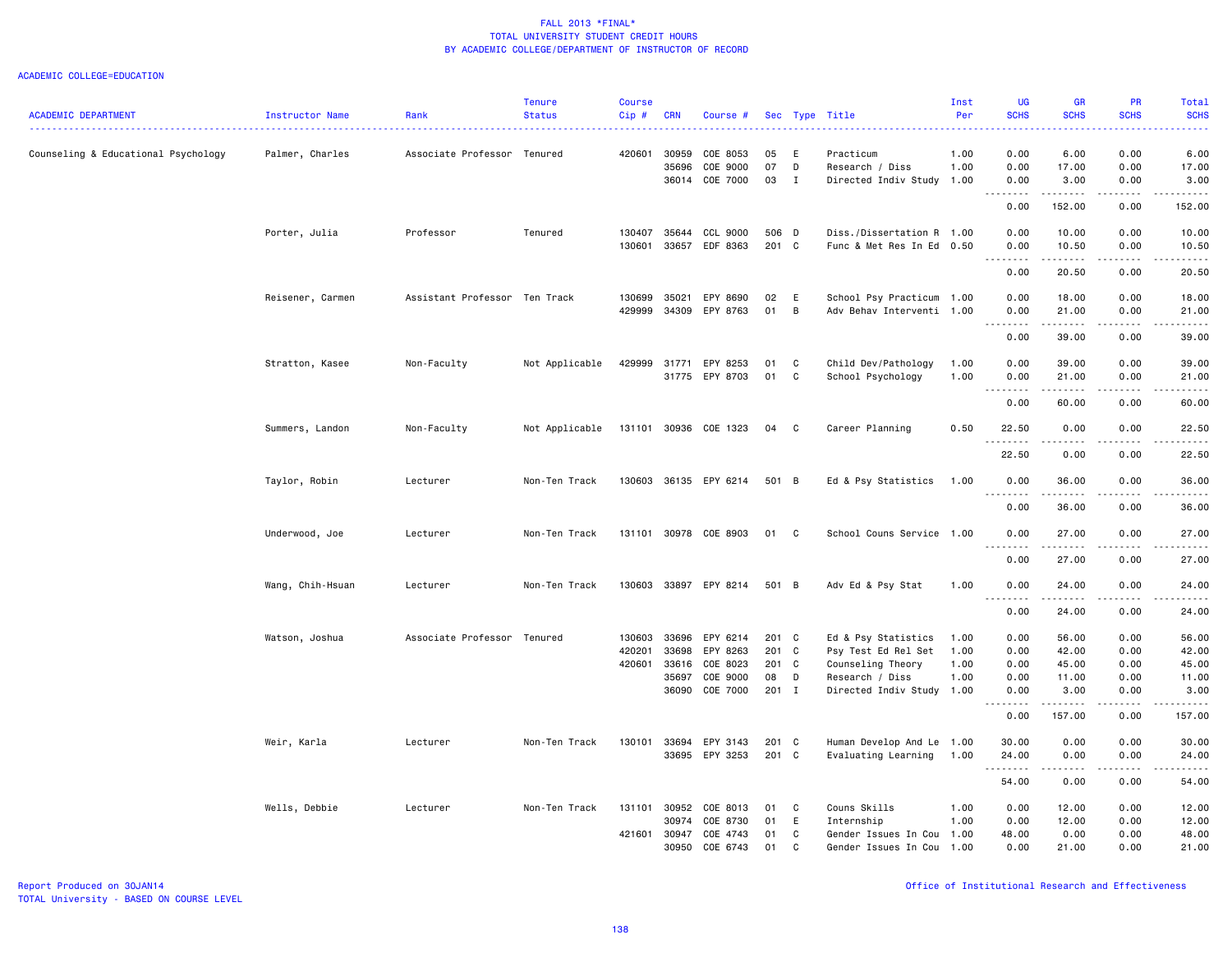| <b>ACADEMIC DEPARTMENT</b>          | Instructor Name  | Rank                          | <b>Tenure</b><br><b>Status</b> | <b>Course</b><br>Cip# | <b>CRN</b>     | Course #                   |             |                         | Sec Type Title                               | Inst<br>Per  | <b>UG</b><br><b>SCHS</b> | <b>GR</b><br><b>SCHS</b>                                                                                                                                      | <b>PR</b><br><b>SCHS</b> | Total<br><b>SCHS</b>                                                                                                                                         |
|-------------------------------------|------------------|-------------------------------|--------------------------------|-----------------------|----------------|----------------------------|-------------|-------------------------|----------------------------------------------|--------------|--------------------------|---------------------------------------------------------------------------------------------------------------------------------------------------------------|--------------------------|--------------------------------------------------------------------------------------------------------------------------------------------------------------|
| Counseling & Educational Psychology | Palmer, Charles  | Associate Professor Tenured   |                                | 420601                | 30959<br>35696 | COE 8053<br>COE 9000       | 05<br>07    | E<br>D                  | Practicum<br>Research / Diss                 | 1.00<br>1.00 | 0.00<br>0.00             | 6.00<br>17.00                                                                                                                                                 | 0.00<br>0.00             | 6.00<br>17.00                                                                                                                                                |
|                                     |                  |                               |                                |                       |                | 36014 COE 7000             | 03          | $\mathbf{I}$            | Directed Indiv Study 1.00                    |              | 0.00<br>.                | 3.00<br>.                                                                                                                                                     | 0.00<br>22222            | 3.00<br>$\frac{1}{2} \left( \frac{1}{2} \right) \left( \frac{1}{2} \right) \left( \frac{1}{2} \right) \left( \frac{1}{2} \right) \left( \frac{1}{2} \right)$ |
|                                     |                  |                               |                                |                       |                |                            |             |                         |                                              |              | 0.00                     | 152.00                                                                                                                                                        | 0.00                     | 152.00                                                                                                                                                       |
|                                     | Porter, Julia    | Professor                     | Tenured                        | 130407                |                | 35644 CCL 9000             | 506 D       |                         | Diss./Dissertation R 1.00                    |              | 0.00                     | 10.00                                                                                                                                                         | 0.00                     | 10.00                                                                                                                                                        |
|                                     |                  |                               |                                | 130601                |                | 33657 EDF 8363             | 201 C       |                         | Func & Met Res In Ed 0.50                    |              | 0.00<br><u>.</u>         | 10.50<br>. <b>.</b>                                                                                                                                           | 0.00                     | 10.50<br>. <b>.</b> .                                                                                                                                        |
|                                     |                  |                               |                                |                       |                |                            |             |                         |                                              |              | 0.00                     | 20.50                                                                                                                                                         | 0.00                     | 20.50                                                                                                                                                        |
|                                     | Reisener, Carmen | Assistant Professor Ten Track |                                | 130699                | 35021          | EPY 8690                   | 02          | E                       | School Psy Practicum 1.00                    |              | 0.00                     | 18.00                                                                                                                                                         | 0.00                     | 18.00                                                                                                                                                        |
|                                     |                  |                               |                                | 429999                |                | 34309 EPY 8763             | 01          | $\overline{B}$          | Adv Behav Interventi 1.00                    |              | 0.00                     | 21.00                                                                                                                                                         | 0.00                     | 21.00                                                                                                                                                        |
|                                     |                  |                               |                                |                       |                |                            |             |                         |                                              |              | .<br>0.00                | .<br>39.00                                                                                                                                                    | .<br>0.00                | 39.00                                                                                                                                                        |
|                                     | Stratton, Kasee  | Non-Faculty                   | Not Applicable                 | 429999                | 31771          | EPY 8253                   | 01          | C                       | Child Dev/Pathology                          | 1.00         | 0.00                     | 39.00                                                                                                                                                         | 0.00                     | 39.00                                                                                                                                                        |
|                                     |                  |                               |                                |                       | 31775          | EPY 8703                   | 01          | C                       | School Psychology                            | 1.00         | 0.00                     | 21.00                                                                                                                                                         | 0.00                     | 21.00                                                                                                                                                        |
|                                     |                  |                               |                                |                       |                |                            |             |                         |                                              |              | .<br>0.00                | .<br>60.00                                                                                                                                                    | د د د د<br>0.00          | 60.00                                                                                                                                                        |
|                                     | Summers, Landon  | Non-Faculty                   | Not Applicable                 |                       |                | 131101 30936 COE 1323      | 04 C        |                         | Career Planning                              | 0.50         | 22.50                    | 0.00                                                                                                                                                          | 0.00                     | 22.50                                                                                                                                                        |
|                                     |                  |                               |                                |                       |                |                            |             |                         |                                              |              | 22.50                    | 0.00                                                                                                                                                          | 0.00                     | 22.50                                                                                                                                                        |
|                                     | Taylor, Robin    | Lecturer                      | Non-Ten Track                  |                       |                | 130603 36135 EPY 6214      | 501 B       |                         | Ed & Psy Statistics                          | 1.00         | 0.00                     | 36.00                                                                                                                                                         | 0.00                     | 36.00                                                                                                                                                        |
|                                     |                  |                               |                                |                       |                |                            |             |                         |                                              |              | .<br>0.00                | 36.00                                                                                                                                                         | 0.00                     | 36.00                                                                                                                                                        |
|                                     | Underwood, Joe   | Lecturer                      | Non-Ten Track                  |                       |                | 131101 30978 COE 8903      | 01          | $\overline{\mathbf{C}}$ | School Couns Service 1.00                    |              | 0.00                     | 27.00                                                                                                                                                         | 0.00                     | 27.00                                                                                                                                                        |
|                                     |                  |                               |                                |                       |                |                            |             |                         |                                              |              | 0.00                     | $\frac{1}{2} \left( \frac{1}{2} \right) \left( \frac{1}{2} \right) \left( \frac{1}{2} \right) \left( \frac{1}{2} \right) \left( \frac{1}{2} \right)$<br>27.00 | 0.00                     | 27.00                                                                                                                                                        |
|                                     | Wang, Chih-Hsuan | Lecturer                      | Non-Ten Track                  |                       |                | 130603 33897 EPY 8214      | 501 B       |                         | Adv Ed & Psy Stat                            | 1.00         | 0.00                     | 24.00                                                                                                                                                         | 0.00                     | 24.00                                                                                                                                                        |
|                                     |                  |                               |                                |                       |                |                            |             |                         |                                              |              | .<br>0.00                | ------<br>24.00                                                                                                                                               | .<br>0.00                | .<br>24.00                                                                                                                                                   |
|                                     | Watson, Joshua   | Associate Professor Tenured   |                                | 130603                | 33696          | EPY 6214                   | 201 C       |                         | Ed & Psy Statistics                          | 1.00         | 0.00                     | 56.00                                                                                                                                                         | 0.00                     | 56.00                                                                                                                                                        |
|                                     |                  |                               |                                | 420201                | 33698          | EPY 8263                   | 201 C       |                         | Psy Test Ed Rel Set                          | 1.00         | 0.00                     | 42.00                                                                                                                                                         | 0.00                     | 42.00                                                                                                                                                        |
|                                     |                  |                               |                                | 420601                | 33616          | COE 8023                   | 201 C       |                         | Counseling Theory                            | 1.00         | 0.00                     | 45.00                                                                                                                                                         | 0.00                     | 45.00                                                                                                                                                        |
|                                     |                  |                               |                                |                       | 35697          | COE 9000<br>36090 COE 7000 | 08<br>201 I | D                       | Research / Diss<br>Directed Indiv Study 1.00 | 1.00         | 0.00<br>0.00             | 11.00<br>3.00                                                                                                                                                 | 0.00<br>0.00             | 11.00<br>3.00                                                                                                                                                |
|                                     |                  |                               |                                |                       |                |                            |             |                         |                                              |              | .                        | .                                                                                                                                                             | -----                    | $\mathbf{1} \cdot \mathbf{1} \cdot \mathbf{1} \cdot \mathbf{1} \cdot \mathbf{1}$                                                                             |
|                                     |                  |                               |                                |                       |                |                            |             |                         |                                              |              | 0.00                     | 157.00                                                                                                                                                        | 0.00                     | 157.00                                                                                                                                                       |
|                                     | Weir, Karla      | Lecturer                      | Non-Ten Track                  | 130101                | 33694          | EPY 3143                   | 201 C       |                         | Human Develop And Le 1.00                    |              | 30.00                    | 0.00                                                                                                                                                          | 0.00                     | 30.00                                                                                                                                                        |
|                                     |                  |                               |                                |                       |                | 33695 EPY 3253             | 201 C       |                         | Evaluating Learning                          | 1.00         | 24.00<br>. <b>.</b>      | 0.00<br>.                                                                                                                                                     | 0.00<br>.                | 24.00<br>.                                                                                                                                                   |
|                                     |                  |                               |                                |                       |                |                            |             |                         |                                              |              | 54.00                    | 0.00                                                                                                                                                          | 0.00                     | 54.00                                                                                                                                                        |
|                                     | Wells, Debbie    | Lecturer                      | Non-Ten Track                  |                       | 131101 30952   | COE 8013                   | 01          | C                       | Couns Skills                                 | 1.00         | 0.00                     | 12.00                                                                                                                                                         | 0.00                     | 12.00                                                                                                                                                        |
|                                     |                  |                               |                                |                       | 30974          | COE 8730                   | 01          | E                       | Internship                                   | 1.00         | 0.00                     | 12.00                                                                                                                                                         | 0.00                     | 12.00                                                                                                                                                        |
|                                     |                  |                               |                                | 421601                | 30947          | COE 4743                   | 01          | C                       | Gender Issues In Cou 1.00                    |              | 48.00                    | 0.00                                                                                                                                                          | 0.00                     | 48.00                                                                                                                                                        |
|                                     |                  |                               |                                |                       | 30950          | COE 6743                   | 01          | C                       | Gender Issues In Cou 1.00                    |              | 0.00                     | 21.00                                                                                                                                                         | 0.00                     | 21.00                                                                                                                                                        |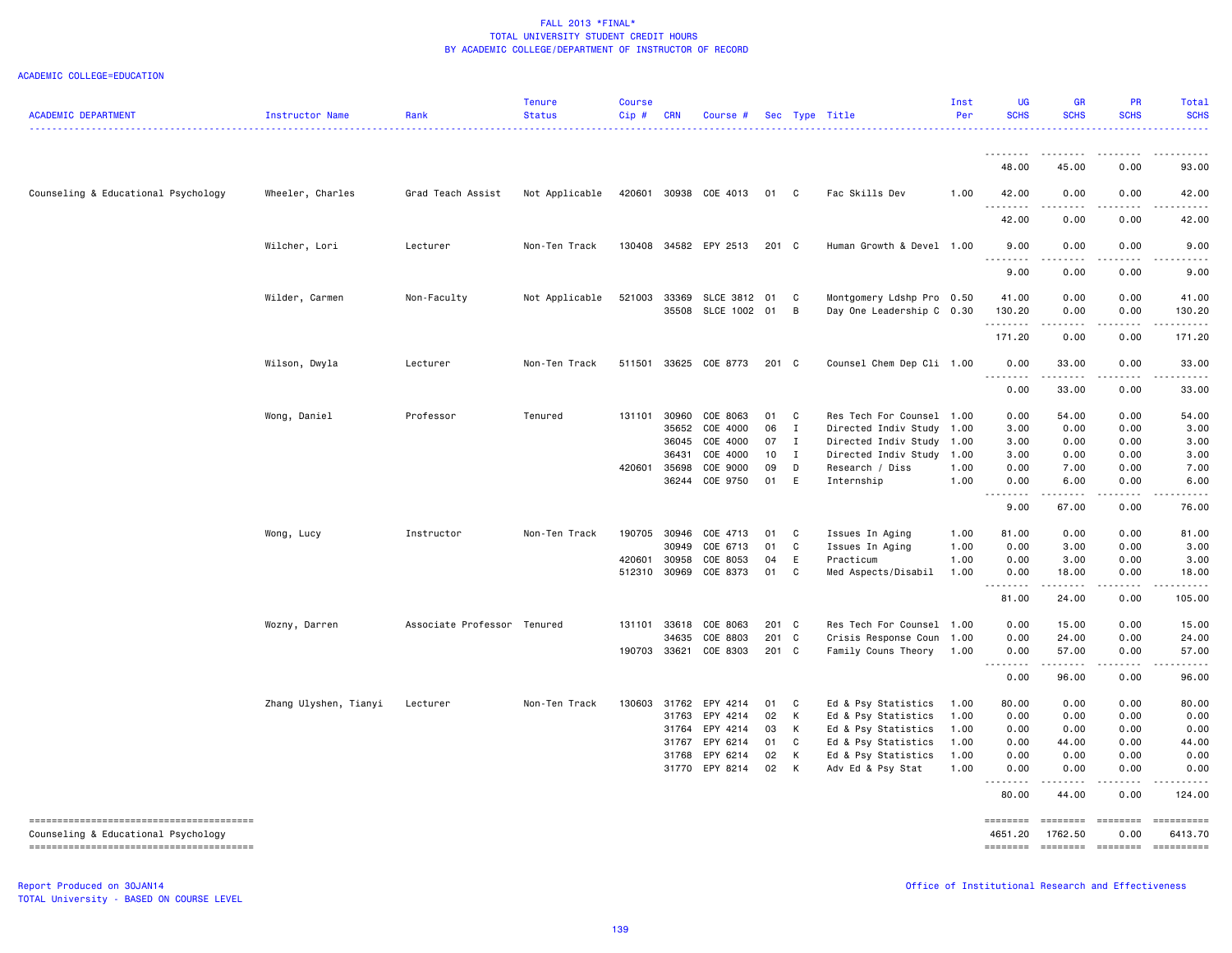ACADEMIC COLLEGE=EDUCATION

| <b>ACADEMIC DEPARTMENT</b>          | Instructor Name       | Rank                        | <b>Tenure</b><br><b>Status</b> | <b>Course</b><br>Cip# | <b>CRN</b> | Course #              |       |              | Sec Type Title            | Inst<br>Per | UG<br><b>SCHS</b>                | <b>GR</b><br><b>SCHS</b>             | <b>PR</b><br><b>SCHS</b>                                                                                                                                     | Total<br><b>SCHS</b>                                                                          |
|-------------------------------------|-----------------------|-----------------------------|--------------------------------|-----------------------|------------|-----------------------|-------|--------------|---------------------------|-------------|----------------------------------|--------------------------------------|--------------------------------------------------------------------------------------------------------------------------------------------------------------|-----------------------------------------------------------------------------------------------|
|                                     |                       |                             |                                |                       |            |                       |       |              |                           |             | .                                | .                                    | .                                                                                                                                                            | .                                                                                             |
|                                     |                       |                             |                                |                       |            |                       |       |              |                           |             | 48.00                            | 45.00                                | 0.00                                                                                                                                                         | 93.00                                                                                         |
| Counseling & Educational Psychology | Wheeler, Charles      | Grad Teach Assist           | Not Applicable                 | 420601                |            | 30938 COE 4013        | 01 C  |              | Fac Skills Dev            | 1.00        | 42.00                            | 0.00                                 | 0.00                                                                                                                                                         | 42.00                                                                                         |
|                                     |                       |                             |                                |                       |            |                       |       |              |                           |             | 42.00                            | 0.00                                 | 0.00                                                                                                                                                         | 42.00                                                                                         |
|                                     | Wilcher, Lori         | Lecturer                    | Non-Ten Track                  |                       |            | 130408 34582 EPY 2513 | 201 C |              | Human Growth & Devel 1.00 |             | 9.00<br>.                        | 0.00<br>$\sim$ $\sim$ $\sim$ $\sim$  | 0.00                                                                                                                                                         | 9.00                                                                                          |
|                                     |                       |                             |                                |                       |            |                       |       |              |                           |             | 9.00                             | 0.00                                 | 0.00                                                                                                                                                         | 9.00                                                                                          |
|                                     | Wilder, Carmen        | Non-Faculty                 | Not Applicable                 | 521003                |            | 33369 SLCE 3812 01 C  |       |              | Montgomery Ldshp Pro 0.50 |             | 41.00                            | 0.00                                 | 0.00                                                                                                                                                         | 41.00                                                                                         |
|                                     |                       |                             |                                |                       |            | 35508 SLCE 1002 01 B  |       |              | Day One Leadership C 0.30 |             | 130.20                           | 0.00                                 | 0.00                                                                                                                                                         | 130.20                                                                                        |
|                                     |                       |                             |                                |                       |            |                       |       |              |                           |             | .<br>171.20                      | .<br>0.00                            | .<br>0.00                                                                                                                                                    | .<br>171.20                                                                                   |
|                                     | Wilson, Dwyla         | Lecturer                    | Non-Ten Track                  | 511501                |            | 33625 COE 8773        | 201 C |              | Counsel Chem Dep Cli 1.00 |             | 0.00<br>.                        | 33.00<br>22222                       | 0.00                                                                                                                                                         | 33.00                                                                                         |
|                                     |                       |                             |                                |                       |            |                       |       |              |                           |             | 0.00                             | 33.00                                | 0.00                                                                                                                                                         | 33.00                                                                                         |
|                                     | Wong, Daniel          | Professor                   | Tenured                        |                       |            | 131101 30960 COE 8063 | 01 C  |              | Res Tech For Counsel 1.00 |             | 0.00                             | 54.00                                | 0.00                                                                                                                                                         | 54.00                                                                                         |
|                                     |                       |                             |                                |                       | 35652      | COE 4000              | 06    | $\mathbf{I}$ | Directed Indiv Study      | 1.00        | 3.00                             | 0.00                                 | 0.00                                                                                                                                                         | 3.00                                                                                          |
|                                     |                       |                             |                                |                       | 36045      | COE 4000              | 07    | $\mathbf{I}$ | Directed Indiv Study      | 1.00        | 3.00                             | 0.00                                 | 0.00                                                                                                                                                         | 3.00                                                                                          |
|                                     |                       |                             |                                |                       | 36431      | COE 4000              | 10    | $\mathbf{I}$ | Directed Indiv Study      | 1.00        | 3.00                             | 0.00                                 | 0.00                                                                                                                                                         | 3.00                                                                                          |
|                                     |                       |                             |                                | 420601                | 35698      | COE 9000              | 09    | D            | Research / Diss           | 1.00        | 0.00                             | 7.00                                 | 0.00                                                                                                                                                         | 7.00                                                                                          |
|                                     |                       |                             |                                |                       | 36244      | COE 9750              | 01    | E            | Internship                | 1.00        | 0.00                             | 6.00                                 | 0.00<br>.                                                                                                                                                    | 6.00                                                                                          |
|                                     |                       |                             |                                |                       |            |                       |       |              |                           |             | .<br>9.00                        | $\sim$ $\sim$ $\sim$ $\sim$<br>67.00 | 0.00                                                                                                                                                         | 76.00                                                                                         |
|                                     | Wong, Lucy            | Instructor                  | Non-Ten Track                  | 190705                | 30946      | COE 4713              | 01 C  |              | Issues In Aging           | 1.00        | 81.00                            | 0.00                                 | 0.00                                                                                                                                                         | 81.00                                                                                         |
|                                     |                       |                             |                                |                       | 30949      | COE 6713              | 01    | C            | Issues In Aging           | 1.00        | 0.00                             | 3.00                                 | 0.00                                                                                                                                                         | 3.00                                                                                          |
|                                     |                       |                             |                                | 420601                | 30958      | COE 8053              | 04    | E            | Practicum                 | 1.00        | 0.00                             | 3.00                                 | 0.00                                                                                                                                                         | 3.00                                                                                          |
|                                     |                       |                             |                                | 512310                | 30969      | COE 8373              | 01    | C            | Med Aspects/Disabil       | 1.00        | 0.00                             | 18.00<br>.                           | 0.00                                                                                                                                                         | 18.00                                                                                         |
|                                     |                       |                             |                                |                       |            |                       |       |              |                           |             | .<br>81.00                       | 24.00                                | $\frac{1}{2} \left( \frac{1}{2} \right) \left( \frac{1}{2} \right) \left( \frac{1}{2} \right) \left( \frac{1}{2} \right) \left( \frac{1}{2} \right)$<br>0.00 | .<br>105.00                                                                                   |
|                                     | Wozny, Darren         | Associate Professor Tenured |                                | 131101                | 33618      | COE 8063              | 201 C |              | Res Tech For Counsel 1.00 |             | 0.00                             | 15.00                                | 0.00                                                                                                                                                         | 15.00                                                                                         |
|                                     |                       |                             |                                |                       | 34635      | COE 8803              | 201 C |              | Crisis Response Coun      | 1.00        | 0.00                             | 24.00                                | 0.00                                                                                                                                                         | 24.00                                                                                         |
|                                     |                       |                             |                                |                       |            | 190703 33621 COE 8303 | 201 C |              | Family Couns Theory       | 1.00        | 0.00<br>$\omega_{\rm{eff}}$<br>. | 57.00<br>.                           | 0.00                                                                                                                                                         | 57.00                                                                                         |
|                                     |                       |                             |                                |                       |            |                       |       |              |                           |             | 0.00                             | 96.00                                | 0.00                                                                                                                                                         | 96.00                                                                                         |
|                                     | Zhang Ulyshen, Tianyi | Lecturer                    | Non-Ten Track                  |                       |            | 130603 31762 EPY 4214 | 01    | $\mathbf{C}$ | Ed & Psy Statistics       | 1.00        | 80.00                            | 0.00                                 | 0.00                                                                                                                                                         | 80.00                                                                                         |
|                                     |                       |                             |                                |                       | 31763      | EPY 4214              | 02    | К            | Ed & Psy Statistics       | 1.00        | 0.00                             | 0.00                                 | 0.00                                                                                                                                                         | 0.00                                                                                          |
|                                     |                       |                             |                                |                       | 31764      | EPY 4214              | 03    | К            | Ed & Psy Statistics       | 1.00        | 0.00                             | 0.00                                 | 0.00                                                                                                                                                         | 0.00                                                                                          |
|                                     |                       |                             |                                |                       | 31767      | EPY 6214              | 01    | C            | Ed & Psy Statistics       | 1.00        | 0.00                             | 44.00                                | 0.00                                                                                                                                                         | 44.00                                                                                         |
|                                     |                       |                             |                                |                       |            | 31768 EPY 6214        | 02    | К            | Ed & Psy Statistics       | 1.00        | 0.00                             | 0.00                                 | 0.00                                                                                                                                                         | 0.00                                                                                          |
|                                     |                       |                             |                                |                       |            | 31770 EPY 8214        | 02    | К            | Adv Ed & Psy Stat         | 1.00        | 0.00<br>.                        | 0.00<br>.                            | 0.00                                                                                                                                                         | 0.00                                                                                          |
|                                     |                       |                             |                                |                       |            |                       |       |              |                           |             | 80.00                            | 44.00                                | 0.00                                                                                                                                                         | 124.00                                                                                        |
|                                     |                       |                             |                                |                       |            |                       |       |              |                           |             | ========                         | ========                             |                                                                                                                                                              | ==========                                                                                    |
| Counseling & Educational Psychology |                       |                             |                                |                       |            |                       |       |              |                           |             | 4651.20                          | 1762.50                              | 0.00                                                                                                                                                         | 6413.70                                                                                       |
|                                     |                       |                             |                                |                       |            |                       |       |              |                           |             | ========                         |                                      | -------- -------                                                                                                                                             | $\begin{array}{c} \texttt{m} = \texttt{m} = \texttt{m} = \texttt{m} = \texttt{m} \end{array}$ |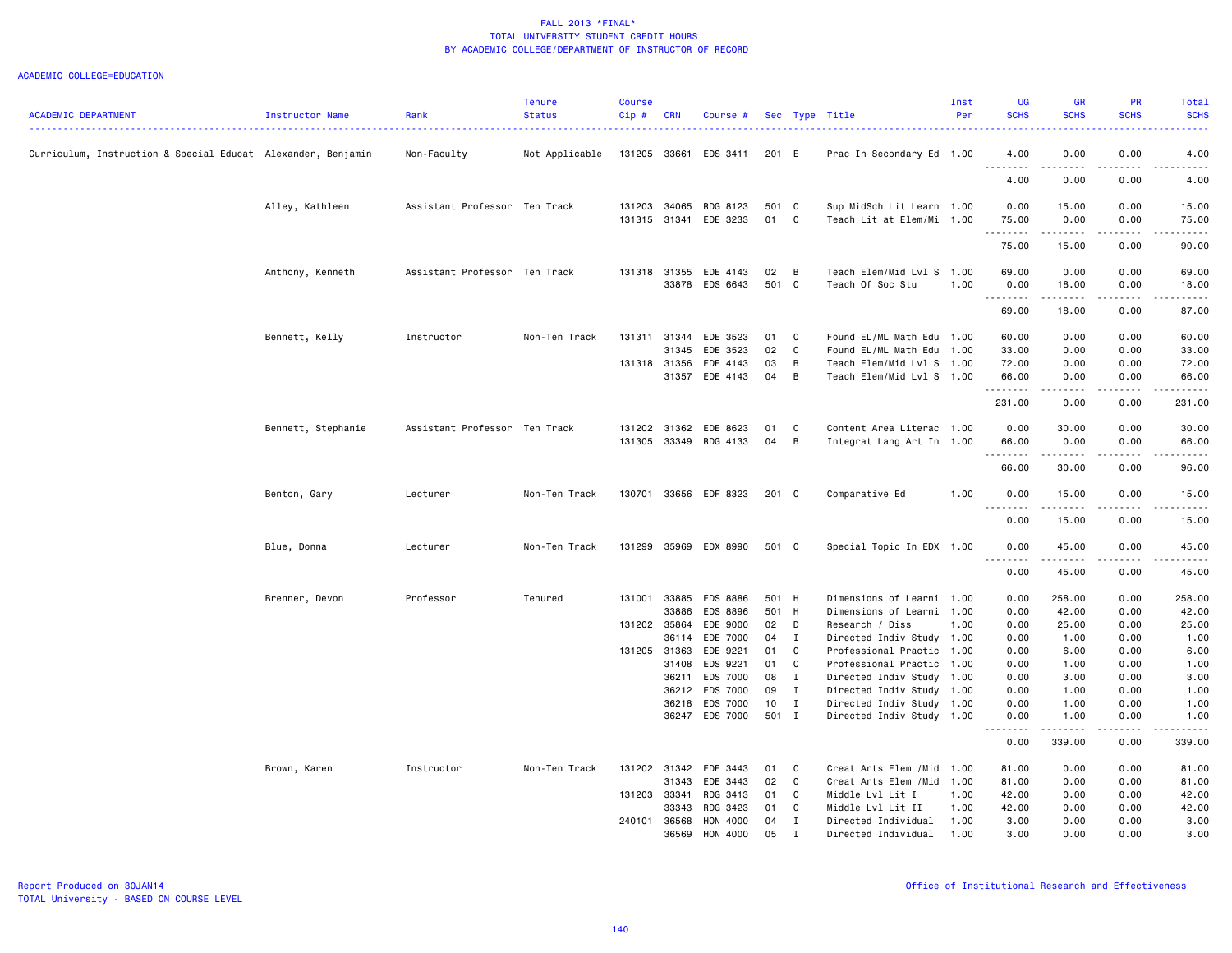| 0.00<br>0.00<br>Curriculum, Instruction & Special Educat Alexander, Benjamin<br>Non-Faculty<br>Not Applicable<br>131205 33661<br>EDS 3411<br>201 E<br>Prac In Secondary Ed 1.00<br>4.00<br>4.00<br>.<br><u>.</u><br>. <b>.</b><br>----<br>4.00<br>0.00<br>0.00<br>4.00<br>Alley, Kathleen<br>Assistant Professor Ten Track<br>131203 34065<br>RDG 8123<br>501 C<br>Sup MidSch Lit Learn 1.00<br>0.00<br>15.00<br>0.00<br>15.00<br>01<br>131315 31341<br>EDE 3233<br>C<br>Teach Lit at Elem/Mi 1.00<br>75.00<br>0.00<br>0.00<br>75.00<br>.<br>.<br>-----<br>.<br>0.00<br>90.00<br>75.00<br>15.00<br>Anthony, Kenneth<br>Assistant Professor Ten Track<br>131318 31355<br>EDE 4143<br>02<br>$\overline{B}$<br>Teach Elem/Mid Lvl S 1.00<br>69.00<br>0.00<br>0.00<br>69.00<br>33878<br>EDS 6643<br>501 C<br>Teach Of Soc Stu<br>1.00<br>0.00<br>18.00<br>0.00<br>18.00<br>.<br>.<br>.<br>.<br>69.00<br>18.00<br>0.00<br>87.00<br>131311 31344<br>EDE 3523<br>Found EL/ML Math Edu 1.00<br>60.00<br>0.00<br>0.00<br>60.00<br>Bennett, Kelly<br>Instructor<br>Non-Ten Track<br>01<br>$\mathbf{C}$<br>EDE 3523<br>02<br>C<br>31345<br>Found EL/ML Math Edu 1.00<br>33.00<br>0.00<br>0.00<br>33.00<br>131318 31356<br>EDE 4143<br>03<br>B<br>Teach Elem/Mid Lvl S 1.00<br>72.00<br>0.00<br>0.00<br>72.00<br>31357 EDE 4143<br>04 B<br>Teach Elem/Mid Lvl S 1.00<br>66.00<br>0.00<br>66.00<br>0.00<br>.<br>.<br>.<br>. <b>.</b><br>231.00<br>0.00<br>0.00<br>231.00<br>Bennett, Stephanie<br>Assistant Professor Ten Track<br>131202 31362<br>EDE 8623<br>01<br>C<br>Content Area Literac 1.00<br>0.00<br>30.00<br>0.00<br>30.00<br>131305 33349 RDG 4133<br>04<br>$\overline{B}$<br>Integrat Lang Art In 1.00<br>66.00<br>0.00<br>0.00<br>66.00<br><u>.</u><br>.<br>.<br>.<br>0.00<br>66.00<br>30.00<br>96.00<br>Benton, Gary<br>Non-Ten Track<br>130701 33656 EDF 8323<br>201 C<br>Comparative Ed<br>1.00<br>0.00<br>15.00<br>0.00<br>15.00<br>Lecturer<br><u>.</u><br>.<br>.<br>.<br>0.00<br>15.00<br>0.00<br>15.00<br>Blue, Donna<br>Lecturer<br>Non-Ten Track<br>131299 35969 EDX 8990<br>501 C<br>0.00<br>45.00<br>0.00<br>45.00<br>Special Topic In EDX 1.00<br>.<br>--------<br>.<br>.<br>0.00<br>45.00<br>0.00<br>45.00<br>Professor<br>33885<br>EDS 8886<br>501 H<br>Dimensions of Learni 1.00<br>258.00<br>0.00<br>258.00<br>Brenner, Devon<br>Tenured<br>131001<br>0.00<br>33886<br>EDS 8896<br>501 H<br>Dimensions of Learni 1.00<br>0.00<br>42.00<br>0.00<br>42.00<br>131202 35864<br>EDE 9000<br>02<br>25.00<br>0.00<br>25.00<br>D<br>Research / Diss<br>1.00<br>0.00<br>EDE 7000<br>04 I<br>1.00<br>0.00<br>1.00<br>36114<br>Directed Indiv Study 1.00<br>0.00<br>131205 31363<br>EDE 9221<br>01 C<br>Professional Practic<br>1.00<br>0.00<br>6.00<br>0.00<br>6.00<br>EDS 9221<br>01<br>31408<br>C<br>Professional Practic 1.00<br>0.00<br>1.00<br>0.00<br>1.00<br>EDS 7000<br>08<br>$\mathbf{I}$<br>0.00<br>3.00<br>0.00<br>3.00<br>36211<br>Directed Indiv Study<br>1.00<br><b>EDS 7000</b><br>36212<br>09<br>$\mathbf{I}$<br>Directed Indiv Study<br>0.00<br>1.00<br>0.00<br>1.00<br>1.00<br>EDS 7000<br>36218<br>10 <sub>1</sub><br>$\blacksquare$<br>Directed Indiv Study 1.00<br>0.00<br>1.00<br>0.00<br>1.00<br>36247 EDS 7000<br>501 I<br>Directed Indiv Study 1.00<br>0.00<br>1.00<br>0.00<br>1.00<br>$- - - - -$<br><u>.</u><br>.<br>. <b>.</b><br>0.00<br>339.00<br>0.00<br>339.00<br>Brown, Karen<br>Instructor<br>Non-Ten Track<br>131202 31342 EDE 3443<br>01<br>Creat Arts Elem / Mid 1.00<br>81.00<br>0.00<br>0.00<br>81.00<br>C<br>EDE 3443<br>02<br>31343<br>$\mathbf{C}$<br>Creat Arts Elem / Mid 1.00<br>81.00<br>0.00<br>0.00<br>81.00<br>131203 33341<br>RDG 3413<br>C<br>Middle Lvl Lit I<br>42.00<br>0.00<br>0.00<br>01<br>1.00<br>42.00<br>33343<br>RDG 3423<br>01<br>C<br>Middle Lvl Lit II<br>1.00<br>42.00<br>0.00<br>0.00<br>42.00<br>36568<br>HON 4000<br>240101<br>04<br>$\blacksquare$<br>Directed Individual<br>1.00<br>3.00<br>0.00<br>0.00<br>3.00<br>HON 4000<br>05<br>0.00<br>36569<br>$\mathbf{I}$<br>1.00<br>3.00<br>0.00 | <b>ACADEMIC DEPARTMENT</b> | Instructor Name | Rank | <b>Tenure</b><br><b>Status</b> | <b>Course</b><br>Cip# | <b>CRN</b> | Course # |  | Sec Type Title      | Inst<br>Per | UG<br><b>SCHS</b> | <b>GR</b><br><b>SCHS</b> | <b>PR</b><br><b>SCHS</b> | Total<br><b>SCHS</b> |
|--------------------------------------------------------------------------------------------------------------------------------------------------------------------------------------------------------------------------------------------------------------------------------------------------------------------------------------------------------------------------------------------------------------------------------------------------------------------------------------------------------------------------------------------------------------------------------------------------------------------------------------------------------------------------------------------------------------------------------------------------------------------------------------------------------------------------------------------------------------------------------------------------------------------------------------------------------------------------------------------------------------------------------------------------------------------------------------------------------------------------------------------------------------------------------------------------------------------------------------------------------------------------------------------------------------------------------------------------------------------------------------------------------------------------------------------------------------------------------------------------------------------------------------------------------------------------------------------------------------------------------------------------------------------------------------------------------------------------------------------------------------------------------------------------------------------------------------------------------------------------------------------------------------------------------------------------------------------------------------------------------------------------------------------------------------------------------------------------------------------------------------------------------------------------------------------------------------------------------------------------------------------------------------------------------------------------------------------------------------------------------------------------------------------------------------------------------------------------------------------------------------------------------------------------------------------------------------------------------------------------------------------------------------------------------------------------------------------------------------------------------------------------------------------------------------------------------------------------------------------------------------------------------------------------------------------------------------------------------------------------------------------------------------------------------------------------------------------------------------------------------------------------------------------------------------------------------------------------------------------------------------------------------------------------------------------------------------------------------------------------------------------------------------------------------------------------------------------------------------------------------------------------------------------------------------------------------------------------------------------------------------------------------------------------------------------------------------------------------------------------------------------------------------------------------------------------------------------------------------------------------------------------------------------------------------------------------------------------------------------------------------------------------------------------------------------------|----------------------------|-----------------|------|--------------------------------|-----------------------|------------|----------|--|---------------------|-------------|-------------------|--------------------------|--------------------------|----------------------|
|                                                                                                                                                                                                                                                                                                                                                                                                                                                                                                                                                                                                                                                                                                                                                                                                                                                                                                                                                                                                                                                                                                                                                                                                                                                                                                                                                                                                                                                                                                                                                                                                                                                                                                                                                                                                                                                                                                                                                                                                                                                                                                                                                                                                                                                                                                                                                                                                                                                                                                                                                                                                                                                                                                                                                                                                                                                                                                                                                                                                                                                                                                                                                                                                                                                                                                                                                                                                                                                                                                                                                                                                                                                                                                                                                                                                                                                                                                                                                                                                                                                                          |                            |                 |      |                                |                       |            |          |  |                     |             |                   |                          |                          |                      |
|                                                                                                                                                                                                                                                                                                                                                                                                                                                                                                                                                                                                                                                                                                                                                                                                                                                                                                                                                                                                                                                                                                                                                                                                                                                                                                                                                                                                                                                                                                                                                                                                                                                                                                                                                                                                                                                                                                                                                                                                                                                                                                                                                                                                                                                                                                                                                                                                                                                                                                                                                                                                                                                                                                                                                                                                                                                                                                                                                                                                                                                                                                                                                                                                                                                                                                                                                                                                                                                                                                                                                                                                                                                                                                                                                                                                                                                                                                                                                                                                                                                                          |                            |                 |      |                                |                       |            |          |  |                     |             |                   |                          |                          |                      |
|                                                                                                                                                                                                                                                                                                                                                                                                                                                                                                                                                                                                                                                                                                                                                                                                                                                                                                                                                                                                                                                                                                                                                                                                                                                                                                                                                                                                                                                                                                                                                                                                                                                                                                                                                                                                                                                                                                                                                                                                                                                                                                                                                                                                                                                                                                                                                                                                                                                                                                                                                                                                                                                                                                                                                                                                                                                                                                                                                                                                                                                                                                                                                                                                                                                                                                                                                                                                                                                                                                                                                                                                                                                                                                                                                                                                                                                                                                                                                                                                                                                                          |                            |                 |      |                                |                       |            |          |  |                     |             |                   |                          |                          |                      |
|                                                                                                                                                                                                                                                                                                                                                                                                                                                                                                                                                                                                                                                                                                                                                                                                                                                                                                                                                                                                                                                                                                                                                                                                                                                                                                                                                                                                                                                                                                                                                                                                                                                                                                                                                                                                                                                                                                                                                                                                                                                                                                                                                                                                                                                                                                                                                                                                                                                                                                                                                                                                                                                                                                                                                                                                                                                                                                                                                                                                                                                                                                                                                                                                                                                                                                                                                                                                                                                                                                                                                                                                                                                                                                                                                                                                                                                                                                                                                                                                                                                                          |                            |                 |      |                                |                       |            |          |  |                     |             |                   |                          |                          |                      |
|                                                                                                                                                                                                                                                                                                                                                                                                                                                                                                                                                                                                                                                                                                                                                                                                                                                                                                                                                                                                                                                                                                                                                                                                                                                                                                                                                                                                                                                                                                                                                                                                                                                                                                                                                                                                                                                                                                                                                                                                                                                                                                                                                                                                                                                                                                                                                                                                                                                                                                                                                                                                                                                                                                                                                                                                                                                                                                                                                                                                                                                                                                                                                                                                                                                                                                                                                                                                                                                                                                                                                                                                                                                                                                                                                                                                                                                                                                                                                                                                                                                                          |                            |                 |      |                                |                       |            |          |  |                     |             |                   |                          |                          |                      |
|                                                                                                                                                                                                                                                                                                                                                                                                                                                                                                                                                                                                                                                                                                                                                                                                                                                                                                                                                                                                                                                                                                                                                                                                                                                                                                                                                                                                                                                                                                                                                                                                                                                                                                                                                                                                                                                                                                                                                                                                                                                                                                                                                                                                                                                                                                                                                                                                                                                                                                                                                                                                                                                                                                                                                                                                                                                                                                                                                                                                                                                                                                                                                                                                                                                                                                                                                                                                                                                                                                                                                                                                                                                                                                                                                                                                                                                                                                                                                                                                                                                                          |                            |                 |      |                                |                       |            |          |  |                     |             |                   |                          |                          |                      |
|                                                                                                                                                                                                                                                                                                                                                                                                                                                                                                                                                                                                                                                                                                                                                                                                                                                                                                                                                                                                                                                                                                                                                                                                                                                                                                                                                                                                                                                                                                                                                                                                                                                                                                                                                                                                                                                                                                                                                                                                                                                                                                                                                                                                                                                                                                                                                                                                                                                                                                                                                                                                                                                                                                                                                                                                                                                                                                                                                                                                                                                                                                                                                                                                                                                                                                                                                                                                                                                                                                                                                                                                                                                                                                                                                                                                                                                                                                                                                                                                                                                                          |                            |                 |      |                                |                       |            |          |  |                     |             |                   |                          |                          |                      |
|                                                                                                                                                                                                                                                                                                                                                                                                                                                                                                                                                                                                                                                                                                                                                                                                                                                                                                                                                                                                                                                                                                                                                                                                                                                                                                                                                                                                                                                                                                                                                                                                                                                                                                                                                                                                                                                                                                                                                                                                                                                                                                                                                                                                                                                                                                                                                                                                                                                                                                                                                                                                                                                                                                                                                                                                                                                                                                                                                                                                                                                                                                                                                                                                                                                                                                                                                                                                                                                                                                                                                                                                                                                                                                                                                                                                                                                                                                                                                                                                                                                                          |                            |                 |      |                                |                       |            |          |  |                     |             |                   |                          |                          |                      |
|                                                                                                                                                                                                                                                                                                                                                                                                                                                                                                                                                                                                                                                                                                                                                                                                                                                                                                                                                                                                                                                                                                                                                                                                                                                                                                                                                                                                                                                                                                                                                                                                                                                                                                                                                                                                                                                                                                                                                                                                                                                                                                                                                                                                                                                                                                                                                                                                                                                                                                                                                                                                                                                                                                                                                                                                                                                                                                                                                                                                                                                                                                                                                                                                                                                                                                                                                                                                                                                                                                                                                                                                                                                                                                                                                                                                                                                                                                                                                                                                                                                                          |                            |                 |      |                                |                       |            |          |  |                     |             |                   |                          |                          |                      |
|                                                                                                                                                                                                                                                                                                                                                                                                                                                                                                                                                                                                                                                                                                                                                                                                                                                                                                                                                                                                                                                                                                                                                                                                                                                                                                                                                                                                                                                                                                                                                                                                                                                                                                                                                                                                                                                                                                                                                                                                                                                                                                                                                                                                                                                                                                                                                                                                                                                                                                                                                                                                                                                                                                                                                                                                                                                                                                                                                                                                                                                                                                                                                                                                                                                                                                                                                                                                                                                                                                                                                                                                                                                                                                                                                                                                                                                                                                                                                                                                                                                                          |                            |                 |      |                                |                       |            |          |  |                     |             |                   |                          |                          |                      |
|                                                                                                                                                                                                                                                                                                                                                                                                                                                                                                                                                                                                                                                                                                                                                                                                                                                                                                                                                                                                                                                                                                                                                                                                                                                                                                                                                                                                                                                                                                                                                                                                                                                                                                                                                                                                                                                                                                                                                                                                                                                                                                                                                                                                                                                                                                                                                                                                                                                                                                                                                                                                                                                                                                                                                                                                                                                                                                                                                                                                                                                                                                                                                                                                                                                                                                                                                                                                                                                                                                                                                                                                                                                                                                                                                                                                                                                                                                                                                                                                                                                                          |                            |                 |      |                                |                       |            |          |  |                     |             |                   |                          |                          |                      |
|                                                                                                                                                                                                                                                                                                                                                                                                                                                                                                                                                                                                                                                                                                                                                                                                                                                                                                                                                                                                                                                                                                                                                                                                                                                                                                                                                                                                                                                                                                                                                                                                                                                                                                                                                                                                                                                                                                                                                                                                                                                                                                                                                                                                                                                                                                                                                                                                                                                                                                                                                                                                                                                                                                                                                                                                                                                                                                                                                                                                                                                                                                                                                                                                                                                                                                                                                                                                                                                                                                                                                                                                                                                                                                                                                                                                                                                                                                                                                                                                                                                                          |                            |                 |      |                                |                       |            |          |  |                     |             |                   |                          |                          |                      |
|                                                                                                                                                                                                                                                                                                                                                                                                                                                                                                                                                                                                                                                                                                                                                                                                                                                                                                                                                                                                                                                                                                                                                                                                                                                                                                                                                                                                                                                                                                                                                                                                                                                                                                                                                                                                                                                                                                                                                                                                                                                                                                                                                                                                                                                                                                                                                                                                                                                                                                                                                                                                                                                                                                                                                                                                                                                                                                                                                                                                                                                                                                                                                                                                                                                                                                                                                                                                                                                                                                                                                                                                                                                                                                                                                                                                                                                                                                                                                                                                                                                                          |                            |                 |      |                                |                       |            |          |  |                     |             |                   |                          |                          |                      |
|                                                                                                                                                                                                                                                                                                                                                                                                                                                                                                                                                                                                                                                                                                                                                                                                                                                                                                                                                                                                                                                                                                                                                                                                                                                                                                                                                                                                                                                                                                                                                                                                                                                                                                                                                                                                                                                                                                                                                                                                                                                                                                                                                                                                                                                                                                                                                                                                                                                                                                                                                                                                                                                                                                                                                                                                                                                                                                                                                                                                                                                                                                                                                                                                                                                                                                                                                                                                                                                                                                                                                                                                                                                                                                                                                                                                                                                                                                                                                                                                                                                                          |                            |                 |      |                                |                       |            |          |  |                     |             |                   |                          |                          |                      |
|                                                                                                                                                                                                                                                                                                                                                                                                                                                                                                                                                                                                                                                                                                                                                                                                                                                                                                                                                                                                                                                                                                                                                                                                                                                                                                                                                                                                                                                                                                                                                                                                                                                                                                                                                                                                                                                                                                                                                                                                                                                                                                                                                                                                                                                                                                                                                                                                                                                                                                                                                                                                                                                                                                                                                                                                                                                                                                                                                                                                                                                                                                                                                                                                                                                                                                                                                                                                                                                                                                                                                                                                                                                                                                                                                                                                                                                                                                                                                                                                                                                                          |                            |                 |      |                                |                       |            |          |  |                     |             |                   |                          |                          |                      |
|                                                                                                                                                                                                                                                                                                                                                                                                                                                                                                                                                                                                                                                                                                                                                                                                                                                                                                                                                                                                                                                                                                                                                                                                                                                                                                                                                                                                                                                                                                                                                                                                                                                                                                                                                                                                                                                                                                                                                                                                                                                                                                                                                                                                                                                                                                                                                                                                                                                                                                                                                                                                                                                                                                                                                                                                                                                                                                                                                                                                                                                                                                                                                                                                                                                                                                                                                                                                                                                                                                                                                                                                                                                                                                                                                                                                                                                                                                                                                                                                                                                                          |                            |                 |      |                                |                       |            |          |  |                     |             |                   |                          |                          |                      |
|                                                                                                                                                                                                                                                                                                                                                                                                                                                                                                                                                                                                                                                                                                                                                                                                                                                                                                                                                                                                                                                                                                                                                                                                                                                                                                                                                                                                                                                                                                                                                                                                                                                                                                                                                                                                                                                                                                                                                                                                                                                                                                                                                                                                                                                                                                                                                                                                                                                                                                                                                                                                                                                                                                                                                                                                                                                                                                                                                                                                                                                                                                                                                                                                                                                                                                                                                                                                                                                                                                                                                                                                                                                                                                                                                                                                                                                                                                                                                                                                                                                                          |                            |                 |      |                                |                       |            |          |  |                     |             |                   |                          |                          |                      |
|                                                                                                                                                                                                                                                                                                                                                                                                                                                                                                                                                                                                                                                                                                                                                                                                                                                                                                                                                                                                                                                                                                                                                                                                                                                                                                                                                                                                                                                                                                                                                                                                                                                                                                                                                                                                                                                                                                                                                                                                                                                                                                                                                                                                                                                                                                                                                                                                                                                                                                                                                                                                                                                                                                                                                                                                                                                                                                                                                                                                                                                                                                                                                                                                                                                                                                                                                                                                                                                                                                                                                                                                                                                                                                                                                                                                                                                                                                                                                                                                                                                                          |                            |                 |      |                                |                       |            |          |  |                     |             |                   |                          |                          |                      |
|                                                                                                                                                                                                                                                                                                                                                                                                                                                                                                                                                                                                                                                                                                                                                                                                                                                                                                                                                                                                                                                                                                                                                                                                                                                                                                                                                                                                                                                                                                                                                                                                                                                                                                                                                                                                                                                                                                                                                                                                                                                                                                                                                                                                                                                                                                                                                                                                                                                                                                                                                                                                                                                                                                                                                                                                                                                                                                                                                                                                                                                                                                                                                                                                                                                                                                                                                                                                                                                                                                                                                                                                                                                                                                                                                                                                                                                                                                                                                                                                                                                                          |                            |                 |      |                                |                       |            |          |  |                     |             |                   |                          |                          |                      |
|                                                                                                                                                                                                                                                                                                                                                                                                                                                                                                                                                                                                                                                                                                                                                                                                                                                                                                                                                                                                                                                                                                                                                                                                                                                                                                                                                                                                                                                                                                                                                                                                                                                                                                                                                                                                                                                                                                                                                                                                                                                                                                                                                                                                                                                                                                                                                                                                                                                                                                                                                                                                                                                                                                                                                                                                                                                                                                                                                                                                                                                                                                                                                                                                                                                                                                                                                                                                                                                                                                                                                                                                                                                                                                                                                                                                                                                                                                                                                                                                                                                                          |                            |                 |      |                                |                       |            |          |  |                     |             |                   |                          |                          |                      |
|                                                                                                                                                                                                                                                                                                                                                                                                                                                                                                                                                                                                                                                                                                                                                                                                                                                                                                                                                                                                                                                                                                                                                                                                                                                                                                                                                                                                                                                                                                                                                                                                                                                                                                                                                                                                                                                                                                                                                                                                                                                                                                                                                                                                                                                                                                                                                                                                                                                                                                                                                                                                                                                                                                                                                                                                                                                                                                                                                                                                                                                                                                                                                                                                                                                                                                                                                                                                                                                                                                                                                                                                                                                                                                                                                                                                                                                                                                                                                                                                                                                                          |                            |                 |      |                                |                       |            |          |  |                     |             |                   |                          |                          |                      |
|                                                                                                                                                                                                                                                                                                                                                                                                                                                                                                                                                                                                                                                                                                                                                                                                                                                                                                                                                                                                                                                                                                                                                                                                                                                                                                                                                                                                                                                                                                                                                                                                                                                                                                                                                                                                                                                                                                                                                                                                                                                                                                                                                                                                                                                                                                                                                                                                                                                                                                                                                                                                                                                                                                                                                                                                                                                                                                                                                                                                                                                                                                                                                                                                                                                                                                                                                                                                                                                                                                                                                                                                                                                                                                                                                                                                                                                                                                                                                                                                                                                                          |                            |                 |      |                                |                       |            |          |  |                     |             |                   |                          |                          |                      |
|                                                                                                                                                                                                                                                                                                                                                                                                                                                                                                                                                                                                                                                                                                                                                                                                                                                                                                                                                                                                                                                                                                                                                                                                                                                                                                                                                                                                                                                                                                                                                                                                                                                                                                                                                                                                                                                                                                                                                                                                                                                                                                                                                                                                                                                                                                                                                                                                                                                                                                                                                                                                                                                                                                                                                                                                                                                                                                                                                                                                                                                                                                                                                                                                                                                                                                                                                                                                                                                                                                                                                                                                                                                                                                                                                                                                                                                                                                                                                                                                                                                                          |                            |                 |      |                                |                       |            |          |  |                     |             |                   |                          |                          |                      |
|                                                                                                                                                                                                                                                                                                                                                                                                                                                                                                                                                                                                                                                                                                                                                                                                                                                                                                                                                                                                                                                                                                                                                                                                                                                                                                                                                                                                                                                                                                                                                                                                                                                                                                                                                                                                                                                                                                                                                                                                                                                                                                                                                                                                                                                                                                                                                                                                                                                                                                                                                                                                                                                                                                                                                                                                                                                                                                                                                                                                                                                                                                                                                                                                                                                                                                                                                                                                                                                                                                                                                                                                                                                                                                                                                                                                                                                                                                                                                                                                                                                                          |                            |                 |      |                                |                       |            |          |  |                     |             |                   |                          |                          |                      |
|                                                                                                                                                                                                                                                                                                                                                                                                                                                                                                                                                                                                                                                                                                                                                                                                                                                                                                                                                                                                                                                                                                                                                                                                                                                                                                                                                                                                                                                                                                                                                                                                                                                                                                                                                                                                                                                                                                                                                                                                                                                                                                                                                                                                                                                                                                                                                                                                                                                                                                                                                                                                                                                                                                                                                                                                                                                                                                                                                                                                                                                                                                                                                                                                                                                                                                                                                                                                                                                                                                                                                                                                                                                                                                                                                                                                                                                                                                                                                                                                                                                                          |                            |                 |      |                                |                       |            |          |  |                     |             |                   |                          |                          |                      |
|                                                                                                                                                                                                                                                                                                                                                                                                                                                                                                                                                                                                                                                                                                                                                                                                                                                                                                                                                                                                                                                                                                                                                                                                                                                                                                                                                                                                                                                                                                                                                                                                                                                                                                                                                                                                                                                                                                                                                                                                                                                                                                                                                                                                                                                                                                                                                                                                                                                                                                                                                                                                                                                                                                                                                                                                                                                                                                                                                                                                                                                                                                                                                                                                                                                                                                                                                                                                                                                                                                                                                                                                                                                                                                                                                                                                                                                                                                                                                                                                                                                                          |                            |                 |      |                                |                       |            |          |  |                     |             |                   |                          |                          |                      |
|                                                                                                                                                                                                                                                                                                                                                                                                                                                                                                                                                                                                                                                                                                                                                                                                                                                                                                                                                                                                                                                                                                                                                                                                                                                                                                                                                                                                                                                                                                                                                                                                                                                                                                                                                                                                                                                                                                                                                                                                                                                                                                                                                                                                                                                                                                                                                                                                                                                                                                                                                                                                                                                                                                                                                                                                                                                                                                                                                                                                                                                                                                                                                                                                                                                                                                                                                                                                                                                                                                                                                                                                                                                                                                                                                                                                                                                                                                                                                                                                                                                                          |                            |                 |      |                                |                       |            |          |  |                     |             |                   |                          |                          |                      |
|                                                                                                                                                                                                                                                                                                                                                                                                                                                                                                                                                                                                                                                                                                                                                                                                                                                                                                                                                                                                                                                                                                                                                                                                                                                                                                                                                                                                                                                                                                                                                                                                                                                                                                                                                                                                                                                                                                                                                                                                                                                                                                                                                                                                                                                                                                                                                                                                                                                                                                                                                                                                                                                                                                                                                                                                                                                                                                                                                                                                                                                                                                                                                                                                                                                                                                                                                                                                                                                                                                                                                                                                                                                                                                                                                                                                                                                                                                                                                                                                                                                                          |                            |                 |      |                                |                       |            |          |  |                     |             |                   |                          |                          |                      |
|                                                                                                                                                                                                                                                                                                                                                                                                                                                                                                                                                                                                                                                                                                                                                                                                                                                                                                                                                                                                                                                                                                                                                                                                                                                                                                                                                                                                                                                                                                                                                                                                                                                                                                                                                                                                                                                                                                                                                                                                                                                                                                                                                                                                                                                                                                                                                                                                                                                                                                                                                                                                                                                                                                                                                                                                                                                                                                                                                                                                                                                                                                                                                                                                                                                                                                                                                                                                                                                                                                                                                                                                                                                                                                                                                                                                                                                                                                                                                                                                                                                                          |                            |                 |      |                                |                       |            |          |  |                     |             |                   |                          |                          |                      |
|                                                                                                                                                                                                                                                                                                                                                                                                                                                                                                                                                                                                                                                                                                                                                                                                                                                                                                                                                                                                                                                                                                                                                                                                                                                                                                                                                                                                                                                                                                                                                                                                                                                                                                                                                                                                                                                                                                                                                                                                                                                                                                                                                                                                                                                                                                                                                                                                                                                                                                                                                                                                                                                                                                                                                                                                                                                                                                                                                                                                                                                                                                                                                                                                                                                                                                                                                                                                                                                                                                                                                                                                                                                                                                                                                                                                                                                                                                                                                                                                                                                                          |                            |                 |      |                                |                       |            |          |  |                     |             |                   |                          |                          |                      |
|                                                                                                                                                                                                                                                                                                                                                                                                                                                                                                                                                                                                                                                                                                                                                                                                                                                                                                                                                                                                                                                                                                                                                                                                                                                                                                                                                                                                                                                                                                                                                                                                                                                                                                                                                                                                                                                                                                                                                                                                                                                                                                                                                                                                                                                                                                                                                                                                                                                                                                                                                                                                                                                                                                                                                                                                                                                                                                                                                                                                                                                                                                                                                                                                                                                                                                                                                                                                                                                                                                                                                                                                                                                                                                                                                                                                                                                                                                                                                                                                                                                                          |                            |                 |      |                                |                       |            |          |  |                     |             |                   |                          |                          |                      |
|                                                                                                                                                                                                                                                                                                                                                                                                                                                                                                                                                                                                                                                                                                                                                                                                                                                                                                                                                                                                                                                                                                                                                                                                                                                                                                                                                                                                                                                                                                                                                                                                                                                                                                                                                                                                                                                                                                                                                                                                                                                                                                                                                                                                                                                                                                                                                                                                                                                                                                                                                                                                                                                                                                                                                                                                                                                                                                                                                                                                                                                                                                                                                                                                                                                                                                                                                                                                                                                                                                                                                                                                                                                                                                                                                                                                                                                                                                                                                                                                                                                                          |                            |                 |      |                                |                       |            |          |  |                     |             |                   |                          |                          |                      |
|                                                                                                                                                                                                                                                                                                                                                                                                                                                                                                                                                                                                                                                                                                                                                                                                                                                                                                                                                                                                                                                                                                                                                                                                                                                                                                                                                                                                                                                                                                                                                                                                                                                                                                                                                                                                                                                                                                                                                                                                                                                                                                                                                                                                                                                                                                                                                                                                                                                                                                                                                                                                                                                                                                                                                                                                                                                                                                                                                                                                                                                                                                                                                                                                                                                                                                                                                                                                                                                                                                                                                                                                                                                                                                                                                                                                                                                                                                                                                                                                                                                                          |                            |                 |      |                                |                       |            |          |  |                     |             |                   |                          |                          |                      |
|                                                                                                                                                                                                                                                                                                                                                                                                                                                                                                                                                                                                                                                                                                                                                                                                                                                                                                                                                                                                                                                                                                                                                                                                                                                                                                                                                                                                                                                                                                                                                                                                                                                                                                                                                                                                                                                                                                                                                                                                                                                                                                                                                                                                                                                                                                                                                                                                                                                                                                                                                                                                                                                                                                                                                                                                                                                                                                                                                                                                                                                                                                                                                                                                                                                                                                                                                                                                                                                                                                                                                                                                                                                                                                                                                                                                                                                                                                                                                                                                                                                                          |                            |                 |      |                                |                       |            |          |  |                     |             |                   |                          |                          |                      |
|                                                                                                                                                                                                                                                                                                                                                                                                                                                                                                                                                                                                                                                                                                                                                                                                                                                                                                                                                                                                                                                                                                                                                                                                                                                                                                                                                                                                                                                                                                                                                                                                                                                                                                                                                                                                                                                                                                                                                                                                                                                                                                                                                                                                                                                                                                                                                                                                                                                                                                                                                                                                                                                                                                                                                                                                                                                                                                                                                                                                                                                                                                                                                                                                                                                                                                                                                                                                                                                                                                                                                                                                                                                                                                                                                                                                                                                                                                                                                                                                                                                                          |                            |                 |      |                                |                       |            |          |  | Directed Individual |             |                   |                          |                          | 3.00                 |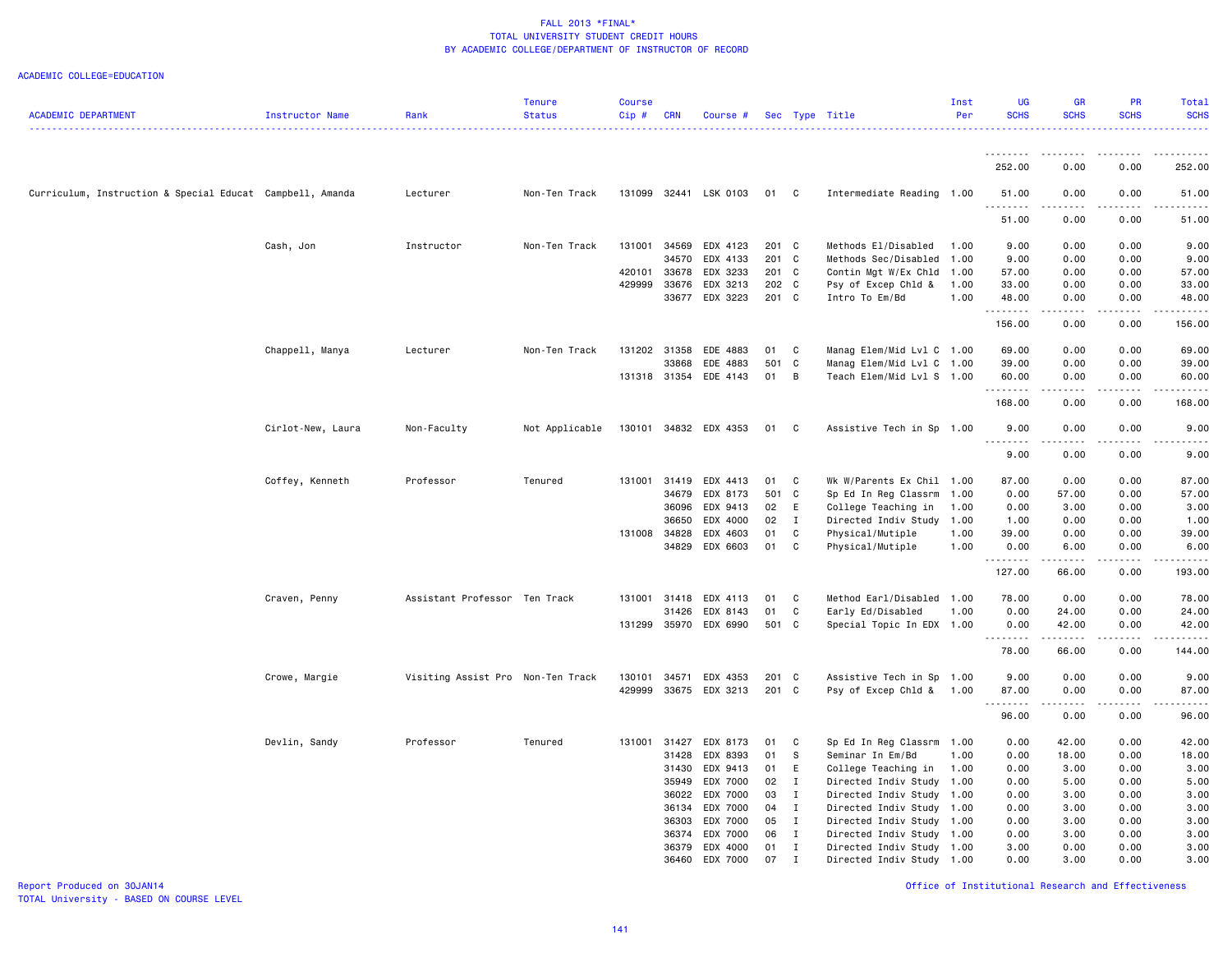ACADEMIC COLLEGE=EDUCATION

| <b>ACADEMIC DEPARTMENT</b>                                | Instructor Name   | Rank                              | <b>Tenure</b><br><b>Status</b> | <b>Course</b><br>Cip# | <b>CRN</b>   | Course #              |       |                | Sec Type Title            | Inst<br>Per | UG<br><b>SCHS</b>  | <b>GR</b><br><b>SCHS</b> | <b>PR</b><br><b>SCHS</b>                                                                                                                                     | <b>Total</b><br><b>SCHS</b> |
|-----------------------------------------------------------|-------------------|-----------------------------------|--------------------------------|-----------------------|--------------|-----------------------|-------|----------------|---------------------------|-------------|--------------------|--------------------------|--------------------------------------------------------------------------------------------------------------------------------------------------------------|-----------------------------|
|                                                           |                   |                                   |                                |                       |              |                       |       |                |                           |             | <u>.</u>           | .                        | -----                                                                                                                                                        | .                           |
|                                                           |                   |                                   |                                |                       |              |                       |       |                |                           |             | 252.00             | 0.00                     | 0.00                                                                                                                                                         | 252.00                      |
| Curriculum, Instruction & Special Educat Campbell, Amanda |                   | Lecturer                          | Non-Ten Track                  |                       |              | 131099 32441 LSK 0103 | 01 C  |                | Intermediate Reading      | 1.00        | 51.00              | 0.00                     | 0.00                                                                                                                                                         | 51.00                       |
|                                                           |                   |                                   |                                |                       |              |                       |       |                |                           |             | $- - - -$<br>51.00 | $- - - -$<br>0.00        | $   -$<br>0.00                                                                                                                                               | 51.00                       |
|                                                           | Cash, Jon         | Instructor                        | Non-Ten Track                  | 131001                | 34569        | EDX 4123              | 201 C |                | Methods El/Disabled       | 1.00        | 9.00               | 0.00                     | 0.00                                                                                                                                                         | 9.00                        |
|                                                           |                   |                                   |                                |                       | 34570        | EDX 4133              | 201 C |                | Methods Sec/Disabled      | 1.00        | 9.00               | 0.00                     | 0.00                                                                                                                                                         | 9.00                        |
|                                                           |                   |                                   |                                | 420101                | 33678        | EDX 3233              | 201 C |                | Contin Mgt W/Ex Chld      | 1.00        | 57.00              | 0.00                     | 0.00                                                                                                                                                         | 57.00                       |
|                                                           |                   |                                   |                                | 429999                | 33676        | EDX 3213              | 202 C |                | Psy of Excep Chld &       | 1.00        | 33.00              | 0.00                     | 0.00                                                                                                                                                         | 33.00                       |
|                                                           |                   |                                   |                                |                       |              | 33677 EDX 3223        | 201 C |                | Intro To Em/Bd            | 1.00        | 48.00              | 0.00                     | 0.00<br>$   -$                                                                                                                                               | 48.00                       |
|                                                           |                   |                                   |                                |                       |              |                       |       |                |                           |             | .<br>156.00        | .<br>0.00                | 0.00                                                                                                                                                         | 156.00                      |
|                                                           | Chappell, Manya   | Lecturer                          | Non-Ten Track                  | 131202                | 31358        | EDE 4883              | 01    | C              | Manag Elem/Mid Lvl C 1.00 |             | 69.00              | 0.00                     | 0.00                                                                                                                                                         | 69.00                       |
|                                                           |                   |                                   |                                |                       | 33868        | EDE 4883              | 501 C |                | Manag Elem/Mid Lvl C 1.00 |             | 39.00              | 0.00                     | 0.00                                                                                                                                                         | 39.00                       |
|                                                           |                   |                                   |                                |                       |              | 131318 31354 EDE 4143 | 01 B  |                | Teach Elem/Mid Lvl S 1.00 |             | 60.00              | 0.00                     | 0.00                                                                                                                                                         | 60.00                       |
|                                                           |                   |                                   |                                |                       |              |                       |       |                |                           |             | 168.00             | .<br>0.00                | 0.00                                                                                                                                                         | 168.00                      |
|                                                           | Cirlot-New, Laura | Non-Faculty                       | Not Applicable                 |                       |              | 130101 34832 EDX 4353 | 01 C  |                | Assistive Tech in Sp 1.00 |             | 9.00               | 0.00                     | 0.00                                                                                                                                                         | 9.00                        |
|                                                           |                   |                                   |                                |                       |              |                       |       |                |                           |             | .<br>9.00          | 0.00                     | 0.00                                                                                                                                                         | 9.00                        |
|                                                           | Coffey, Kenneth   | Professor                         | Tenured                        |                       |              | 131001 31419 EDX 4413 | 01 C  |                | Wk W/Parents Ex Chil 1.00 |             | 87.00              | 0.00                     | 0.00                                                                                                                                                         | 87.00                       |
|                                                           |                   |                                   |                                |                       | 34679        | EDX 8173              | 501 C |                | Sp Ed In Reg Classrm      | 1.00        | 0.00               | 57.00                    | 0.00                                                                                                                                                         | 57.00                       |
|                                                           |                   |                                   |                                |                       | 36096        | EDX 9413              | 02    | E              | College Teaching in       | 1.00        | 0.00               | 3.00                     | 0.00                                                                                                                                                         | 3.00                        |
|                                                           |                   |                                   |                                |                       | 36650        | EDX 4000              | 02    | $\mathbf{I}$   | Directed Indiv Study      | 1.00        | 1.00               | 0.00                     | 0.00                                                                                                                                                         | 1.00                        |
|                                                           |                   |                                   |                                |                       | 131008 34828 | EDX 4603              | 01    | $\mathbf{C}$   | Physical/Mutiple          | 1.00        | 39.00              | 0.00                     | 0.00                                                                                                                                                         | 39.00                       |
|                                                           |                   |                                   |                                |                       | 34829        | EDX 6603              | 01    | C              | Physical/Mutiple          | 1.00        | 0.00               | 6.00                     | 0.00                                                                                                                                                         | 6.00                        |
|                                                           |                   |                                   |                                |                       |              |                       |       |                |                           |             | .<br>127.00        | د د د د<br>66.00         | .<br>0.00                                                                                                                                                    | .<br>193.00                 |
|                                                           | Craven, Penny     | Assistant Professor Ten Track     |                                | 131001                | 31418        | EDX 4113              | 01 C  |                | Method Earl/Disabled      | 1.00        | 78.00              | 0.00                     | 0.00                                                                                                                                                         | 78.00                       |
|                                                           |                   |                                   |                                |                       | 31426        | EDX 8143              | 01    | $\mathbf{C}$   | Early Ed/Disabled         | 1.00        | 0.00               | 24.00                    | 0.00                                                                                                                                                         | 24.00                       |
|                                                           |                   |                                   |                                | 131299                |              | 35970 EDX 6990        | 501 C |                | Special Topic In EDX 1.00 |             | 0.00<br>.          | 42.00                    | 0.00                                                                                                                                                         | 42.00                       |
|                                                           |                   |                                   |                                |                       |              |                       |       |                |                           |             | 78.00              | .<br>66.00               | $\frac{1}{2} \left( \frac{1}{2} \right) \left( \frac{1}{2} \right) \left( \frac{1}{2} \right) \left( \frac{1}{2} \right) \left( \frac{1}{2} \right)$<br>0.00 | 144.00                      |
|                                                           | Crowe, Margie     | Visiting Assist Pro Non-Ten Track |                                | 130101                | 34571        | EDX 4353              | 201 C |                | Assistive Tech in Sp 1.00 |             | 9.00               | 0.00                     | 0.00                                                                                                                                                         | 9.00                        |
|                                                           |                   |                                   |                                | 429999                |              | 33675 EDX 3213        | 201 C |                | Psy of Excep Chld &       | 1.00        | 87.00              | 0.00                     | 0.00                                                                                                                                                         | 87.00                       |
|                                                           |                   |                                   |                                |                       |              |                       |       |                |                           |             | <u>.</u><br>96.00  | .<br>0.00                | .<br>0.00                                                                                                                                                    | .<br>96.00                  |
|                                                           | Devlin, Sandy     | Professor                         | Tenured                        |                       | 131001 31427 | EDX 8173              | 01 C  |                | Sp Ed In Reg Classrm      | 1.00        | 0.00               | 42.00                    | 0.00                                                                                                                                                         | 42.00                       |
|                                                           |                   |                                   |                                |                       | 31428        | EDX 8393              | 01    | S              | Seminar In Em/Bd          | 1.00        | 0.00               | 18.00                    | 0.00                                                                                                                                                         | 18.00                       |
|                                                           |                   |                                   |                                |                       | 31430        | EDX 9413              | 01    | E              | College Teaching in       | 1.00        | 0.00               | 3.00                     | 0.00                                                                                                                                                         | 3.00                        |
|                                                           |                   |                                   |                                |                       | 35949        | EDX 7000              | 02    | $\mathbf{I}$   | Directed Indiv Study      | 1.00        | 0.00               | 5.00                     | 0.00                                                                                                                                                         | 5.00                        |
|                                                           |                   |                                   |                                |                       | 36022        | EDX 7000              | 03    | $\mathbf I$    | Directed Indiv Study      | 1.00        | 0.00               | 3.00                     | 0.00                                                                                                                                                         | 3.00                        |
|                                                           |                   |                                   |                                |                       | 36134        | EDX 7000              | 04    | $\mathbf{I}$   | Directed Indiv Study      | 1.00        | 0.00               | 3.00                     | 0.00                                                                                                                                                         | 3.00                        |
|                                                           |                   |                                   |                                |                       | 36303        | EDX 7000              | 05    | $\blacksquare$ | Directed Indiv Study      | 1.00        | 0.00               | 3.00                     | 0.00                                                                                                                                                         | 3.00                        |
|                                                           |                   |                                   |                                |                       | 36374        | EDX 7000              | 06    | $\mathbf{I}$   | Directed Indiv Study      | 1.00        | 0.00               | 3.00                     | 0.00                                                                                                                                                         | 3.00                        |
|                                                           |                   |                                   |                                |                       | 36379        | EDX 4000              | 01    | $\mathbf{I}$   | Directed Indiv Study      | 1.00        | 3.00               | 0.00                     | 0.00                                                                                                                                                         | 3.00                        |
|                                                           |                   |                                   |                                |                       | 36460        | EDX 7000              | 07    | I              | Directed Indiv Study      | 1.00        | 0.00               | 3.00                     | 0.00                                                                                                                                                         | 3.00                        |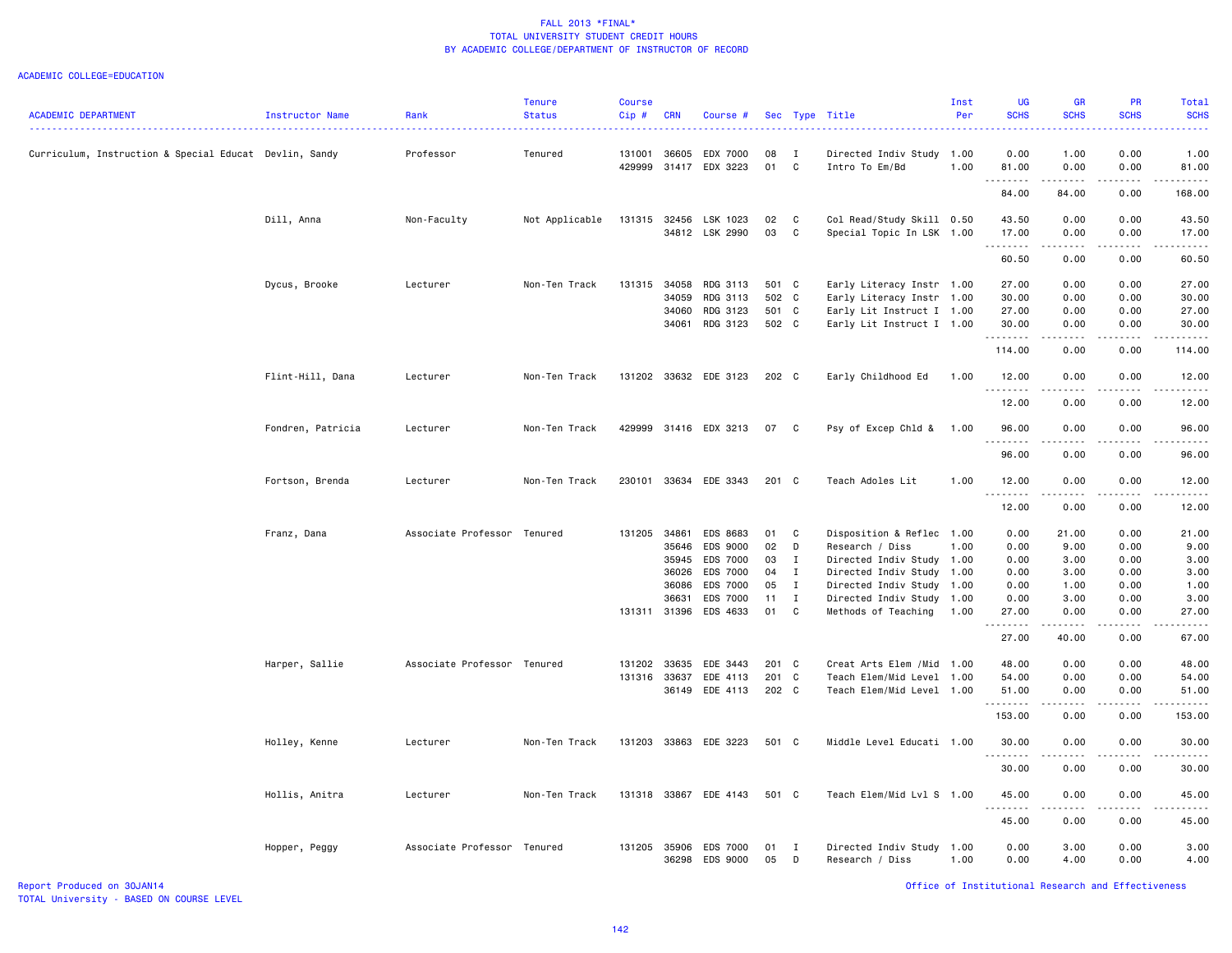#### ACADEMIC COLLEGE=EDUCATION

| <b>ACADEMIC DEPARTMENT</b>                             | <b>Instructor Name</b> | Rank                        | <b>Tenure</b><br><b>Status</b> | <b>Course</b><br>Cip# | <b>CRN</b>   | Course #              |          |                | Sec Type Title<br>.        | Inst<br>Per | UG<br><b>SCHS</b>   | GR<br><b>SCHS</b>                   | PR<br><b>SCHS</b>   | Total<br><b>SCHS</b> |
|--------------------------------------------------------|------------------------|-----------------------------|--------------------------------|-----------------------|--------------|-----------------------|----------|----------------|----------------------------|-------------|---------------------|-------------------------------------|---------------------|----------------------|
| Curriculum, Instruction & Special Educat Devlin, Sandy |                        | Professor                   | Tenured                        | 131001                | 36605        | EDX 7000              | 08       | $\mathbf{I}$   | Directed Indiv Study       | 1.00        | 0.00                | 1.00                                | 0.00                | 1.00                 |
|                                                        |                        |                             |                                | 429999                |              | 31417 EDX 3223        | 01       | $\mathbf{C}$   | Intro To Em/Bd             | 1.00        | 81.00<br>. <b>.</b> | 0.00                                | 0.00<br>.           | 81.00                |
|                                                        |                        |                             |                                |                       |              |                       |          |                |                            |             | 84.00               | 84.00                               | 0.00                | 168.00               |
|                                                        | Dill, Anna             | Non-Faculty                 | Not Applicable                 | 131315                |              | 32456 LSK 1023        | 02       | $\mathbf{C}$   | Col Read/Study Skill 0.50  |             | 43.50               | 0.00                                | 0.00                | 43.50                |
|                                                        |                        |                             |                                |                       |              | 34812 LSK 2990        | 03       | C              | Special Topic In LSK 1.00  |             | 17.00<br>.          | 0.00                                | 0.00                | 17.00                |
|                                                        |                        |                             |                                |                       |              |                       |          |                |                            |             | 60.50               | $\sim$ $\sim$ $\sim$ $\sim$<br>0.00 | .<br>0.00           | 60.50                |
|                                                        | Dycus, Brooke          | Lecturer                    | Non-Ten Track                  | 131315                |              | 34058 RDG 3113        | 501 C    |                | Early Literacy Instr 1.00  |             | 27.00               | 0.00                                | 0.00                | 27.00                |
|                                                        |                        |                             |                                |                       | 34059        | RDG 3113              | 502 C    |                | Early Literacy Instr 1.00  |             | 30.00               | 0.00                                | 0.00                | 30.00                |
|                                                        |                        |                             |                                |                       | 34060        | RDG 3123              | 501 C    |                | Early Lit Instruct I 1.00  |             | 27.00               | 0.00                                | 0.00                | 27.00                |
|                                                        |                        |                             |                                |                       |              | 34061 RDG 3123        | 502 C    |                | Early Lit Instruct I 1.00  |             | 30.00<br>.          | 0.00<br>د د د د                     | 0.00                | 30.00                |
|                                                        |                        |                             |                                |                       |              |                       |          |                |                            |             | 114.00              | 0.00                                | .<br>0.00           | .<br>114.00          |
|                                                        | Flint-Hill, Dana       | Lecturer                    | Non-Ten Track                  |                       |              | 131202 33632 EDE 3123 | 202 C    |                | Early Childhood Ed         | 1.00        | 12.00<br>.          | 0.00                                | 0.00                | 12.00                |
|                                                        |                        |                             |                                |                       |              |                       |          |                |                            |             | 12.00               | .<br>0.00                           | .<br>0.00           | 12.00                |
|                                                        | Fondren, Patricia      | Lecturer                    | Non-Ten Track                  |                       |              | 429999 31416 EDX 3213 | 07       | $\overline{C}$ | Psy of Excep Chld &        | 1.00        | 96.00               | 0.00                                | 0.00                | 96.00                |
|                                                        |                        |                             |                                |                       |              |                       |          |                |                            |             | .<br>96.00          | .<br>0.00                           | 0.00                | 96.00                |
|                                                        | Fortson, Brenda        | Lecturer                    | Non-Ten Track                  | 230101                |              | 33634 EDE 3343        | 201 C    |                | Teach Adoles Lit           | 1.00        | 12.00               | 0.00                                | 0.00                | 12.00                |
|                                                        |                        |                             |                                |                       |              |                       |          |                |                            |             | . <b>.</b><br>12.00 | .<br>0.00                           | $- - - -$<br>0.00   | 12.00                |
|                                                        | Franz, Dana            | Associate Professor Tenured |                                | 131205                | 34861        | EDS 8683              | 01 C     |                | Disposition & Reflec       | 1.00        | 0.00                | 21.00                               | 0.00                | 21.00                |
|                                                        |                        |                             |                                |                       | 35646        | EDS 9000              | 02       | D              | Research / Diss            | 1.00        | 0.00                | 9.00                                | 0.00                | 9.00                 |
|                                                        |                        |                             |                                |                       | 35945        | EDS 7000              | 03       | $\mathbf{I}$   | Directed Indiv Study       | 1.00        | 0.00                | 3.00                                | 0.00                | 3.00                 |
|                                                        |                        |                             |                                |                       | 36026        | <b>EDS 7000</b>       | 04       | $\mathbf{I}$   | Directed Indiv Study 1.00  |             | 0.00                | 3.00                                | 0.00                | 3.00                 |
|                                                        |                        |                             |                                |                       | 36086        | EDS 7000              | 05       | $\mathbf{I}$   | Directed Indiv Study       | 1.00        | 0.00                | 1.00                                | 0.00                | 1.00                 |
|                                                        |                        |                             |                                |                       | 36631        | <b>EDS 7000</b>       | 11       | $\mathbf{I}$   | Directed Indiv Study       | 1.00        | 0.00                | 3.00                                | 0.00                | 3.00                 |
|                                                        |                        |                             |                                |                       |              | 131311 31396 EDS 4633 | 01       | C              | Methods of Teaching        | 1.00        | 27.00               | 0.00                                | 0.00                | 27.00                |
|                                                        |                        |                             |                                |                       |              |                       |          |                |                            |             | 27.00               | 40.00                               | 0.00                | 67.00                |
|                                                        | Harper, Sallie         | Associate Professor Tenured |                                | 131202                | 33635        | EDE 3443              | 201 C    |                | Creat Arts Elem / Mid 1.00 |             | 48.00               | 0.00                                | 0.00                | 48.00                |
|                                                        |                        |                             |                                |                       | 131316 33637 | EDE 4113              | 201 C    |                | Teach Elem/Mid Level       | 1.00        | 54.00               | 0.00                                | 0.00                | 54.00                |
|                                                        |                        |                             |                                |                       |              | 36149 EDE 4113        | 202 C    |                | Teach Elem/Mid Level 1.00  |             | 51.00<br>.          | 0.00<br>د د د د                     | 0.00<br>$- - - - -$ | 51.00<br>.           |
|                                                        |                        |                             |                                |                       |              |                       |          |                |                            |             | 153.00              | 0.00                                | 0.00                | 153.00               |
|                                                        | Holley, Kenne          | Lecturer                    | Non-Ten Track                  |                       |              | 131203 33863 EDE 3223 | 501 C    |                | Middle Level Educati 1.00  |             | 30.00<br><u>.</u>   | 0.00<br>$\frac{1}{2}$               | 0.00<br>$- - - - -$ | 30.00                |
|                                                        |                        |                             |                                |                       |              |                       |          |                |                            |             | 30.00               | 0.00                                | 0.00                | 30.00                |
|                                                        | Hollis, Anitra         | Lecturer                    | Non-Ten Track                  |                       |              | 131318 33867 EDE 4143 | 501 C    |                | Teach Elem/Mid Lvl S 1.00  |             | 45.00<br>.          | 0.00<br>.                           | 0.00<br>.           | 45.00                |
|                                                        |                        |                             |                                |                       |              |                       |          |                |                            |             | 45.00               | 0.00                                | 0.00                | 45.00                |
|                                                        | Hopper, Peggy          | Associate Professor Tenured |                                | 131205                |              | 35906 EDS 7000        | 01<br>05 | $\blacksquare$ | Directed Indiv Study       | 1.00        | 0.00                | 3.00<br>4.00                        | 0.00<br>0.00        | 3.00<br>4.00         |
|                                                        |                        |                             |                                |                       |              | 36298 EDS 9000        |          | D              | Research / Diss            | 1.00        | 0.00                |                                     |                     |                      |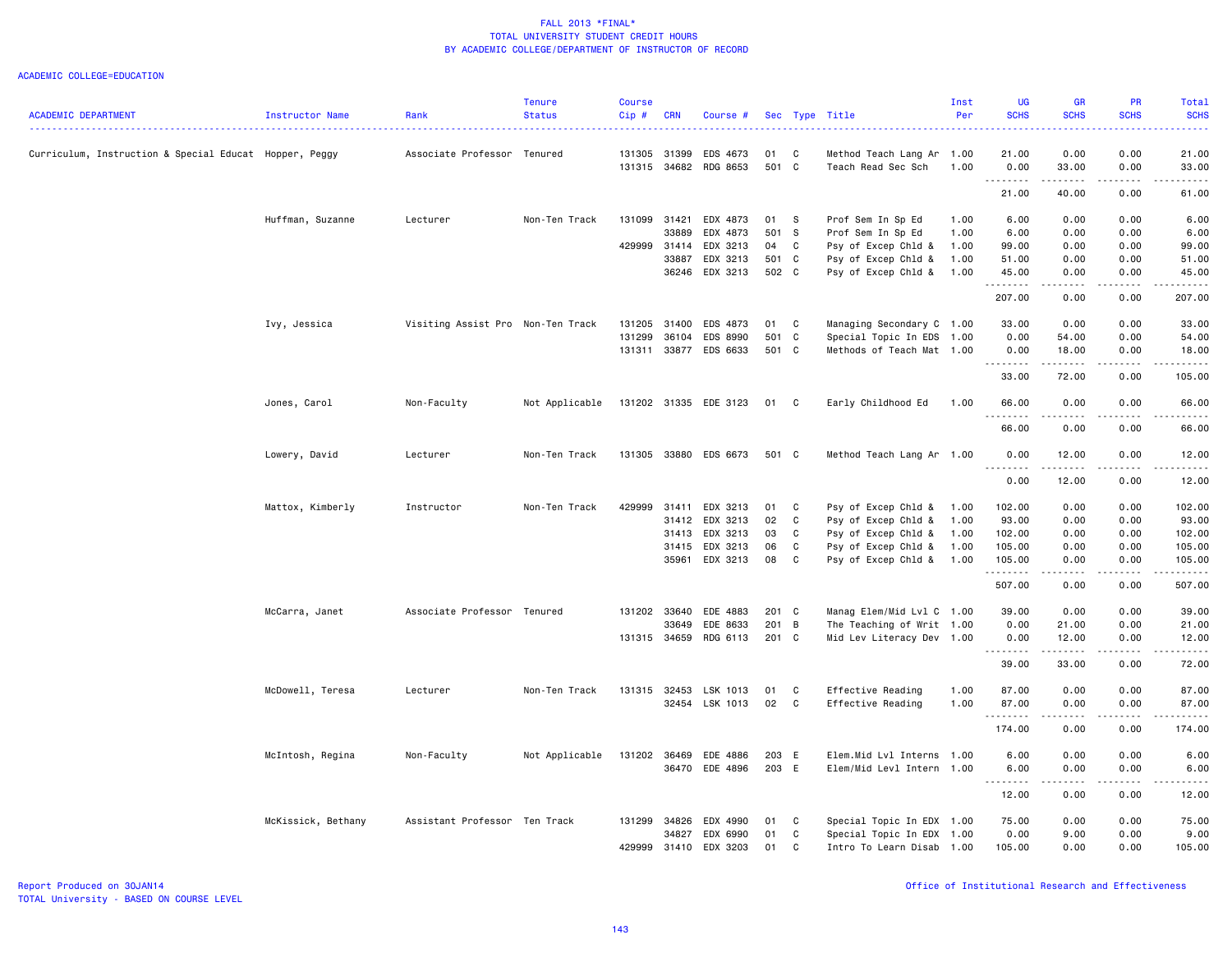|                                                        |                        |                                   | <b>Tenure</b>  | <b>Course</b> |            |                       |       |              |                           | Inst | <b>UG</b>           | <b>GR</b>                                                                                                                                                                                                                                                                                                                                                                                            | PR          | Total                                                                                                                                                         |
|--------------------------------------------------------|------------------------|-----------------------------------|----------------|---------------|------------|-----------------------|-------|--------------|---------------------------|------|---------------------|------------------------------------------------------------------------------------------------------------------------------------------------------------------------------------------------------------------------------------------------------------------------------------------------------------------------------------------------------------------------------------------------------|-------------|---------------------------------------------------------------------------------------------------------------------------------------------------------------|
| <b>ACADEMIC DEPARTMENT</b>                             | <b>Instructor Name</b> | Rank                              | <b>Status</b>  | Cip#          | <b>CRN</b> | Course #              |       |              | Sec Type Title            | Per  | <b>SCHS</b>         | <b>SCHS</b>                                                                                                                                                                                                                                                                                                                                                                                          | <b>SCHS</b> | <b>SCHS</b>                                                                                                                                                   |
| Curriculum, Instruction & Special Educat Hopper, Peggy |                        | Associate Professor Tenured       |                | 131305        | 31399      | EDS 4673              | 01    | C            | Method Teach Lang Ar      | 1.00 | 21.00               | 0.00                                                                                                                                                                                                                                                                                                                                                                                                 | 0.00        | 21.00                                                                                                                                                         |
|                                                        |                        |                                   |                |               |            | 131315 34682 RDG 8653 | 501 C |              | Teach Read Sec Sch        | 1.00 | 0.00<br>.           | 33.00<br>.                                                                                                                                                                                                                                                                                                                                                                                           | 0.00        | 33.00<br>.                                                                                                                                                    |
|                                                        |                        |                                   |                |               |            |                       |       |              |                           |      | 21.00               | 40.00                                                                                                                                                                                                                                                                                                                                                                                                | 0.00        | 61.00                                                                                                                                                         |
|                                                        | Huffman, Suzanne       | Lecturer                          | Non-Ten Track  | 131099 31421  |            | EDX 4873              | 01    | - S          | Prof Sem In Sp Ed         | 1.00 | 6.00                | 0.00                                                                                                                                                                                                                                                                                                                                                                                                 | 0.00        | 6.00                                                                                                                                                          |
|                                                        |                        |                                   |                |               | 33889      | EDX 4873              | 501 S |              | Prof Sem In Sp Ed         | 1.00 | 6.00                | 0.00                                                                                                                                                                                                                                                                                                                                                                                                 | 0.00        | 6.00                                                                                                                                                          |
|                                                        |                        |                                   |                | 429999        | 31414      | EDX 3213              | 04    | C            | Psy of Excep Chld &       | 1.00 | 99.00               | 0.00                                                                                                                                                                                                                                                                                                                                                                                                 | 0.00        | 99.00                                                                                                                                                         |
|                                                        |                        |                                   |                |               | 33887      | EDX 3213              | 501 C |              | Psy of Excep Chld &       | 1.00 | 51.00               | 0.00                                                                                                                                                                                                                                                                                                                                                                                                 | 0.00        | 51.00                                                                                                                                                         |
|                                                        |                        |                                   |                |               | 36246      | EDX 3213              | 502 C |              | Psy of Excep Chld &       | 1.00 | 45.00<br>. <b>.</b> | 0.00<br>$\frac{1}{2} \frac{1}{2} \frac{1}{2} \frac{1}{2} \frac{1}{2} \frac{1}{2} \frac{1}{2} \frac{1}{2} \frac{1}{2} \frac{1}{2} \frac{1}{2} \frac{1}{2} \frac{1}{2} \frac{1}{2} \frac{1}{2} \frac{1}{2} \frac{1}{2} \frac{1}{2} \frac{1}{2} \frac{1}{2} \frac{1}{2} \frac{1}{2} \frac{1}{2} \frac{1}{2} \frac{1}{2} \frac{1}{2} \frac{1}{2} \frac{1}{2} \frac{1}{2} \frac{1}{2} \frac{1}{2} \frac{$ | 0.00        | 45.00                                                                                                                                                         |
|                                                        |                        |                                   |                |               |            |                       |       |              |                           |      | 207.00              | 0.00                                                                                                                                                                                                                                                                                                                                                                                                 | 0.00        | 207.00                                                                                                                                                        |
|                                                        | Ivy, Jessica           | Visiting Assist Pro Non-Ten Track |                | 131205 31400  |            | EDS 4873              | 01    | $\mathbf{C}$ | Managing Secondary C 1.00 |      | 33.00               | 0.00                                                                                                                                                                                                                                                                                                                                                                                                 | 0.00        | 33.00                                                                                                                                                         |
|                                                        |                        |                                   |                | 131299        | 36104      | EDS 8990              | 501 C |              | Special Topic In EDS      | 1.00 | 0.00                | 54.00                                                                                                                                                                                                                                                                                                                                                                                                | 0.00        | 54.00                                                                                                                                                         |
|                                                        |                        |                                   |                | 131311        |            | 33877 EDS 6633        | 501 C |              | Methods of Teach Mat 1.00 |      | 0.00<br>.           | 18.00<br>$\frac{1}{2} \left( \frac{1}{2} \right) \left( \frac{1}{2} \right) \left( \frac{1}{2} \right) \left( \frac{1}{2} \right) \left( \frac{1}{2} \right) \left( \frac{1}{2} \right)$                                                                                                                                                                                                             | 0.00<br>.   | 18.00<br>.                                                                                                                                                    |
|                                                        |                        |                                   |                |               |            |                       |       |              |                           |      | 33.00               | 72.00                                                                                                                                                                                                                                                                                                                                                                                                | 0.00        | 105.00                                                                                                                                                        |
|                                                        | Jones, Carol           | Non-Faculty                       | Not Applicable |               |            | 131202 31335 EDE 3123 | 01    | $\mathbf{C}$ | Early Childhood Ed        | 1.00 | 66.00               | 0.00                                                                                                                                                                                                                                                                                                                                                                                                 | 0.00        | 66.00                                                                                                                                                         |
|                                                        |                        |                                   |                |               |            |                       |       |              |                           |      | .<br>66.00          | .<br>0.00                                                                                                                                                                                                                                                                                                                                                                                            | 0.00        | $\frac{1}{2} \left( \frac{1}{2} \right) \left( \frac{1}{2} \right) \left( \frac{1}{2} \right) \left( \frac{1}{2} \right) \left( \frac{1}{2} \right)$<br>66.00 |
|                                                        | Lowery, David          | Lecturer                          | Non-Ten Track  |               |            | 131305 33880 EDS 6673 | 501 C |              | Method Teach Lang Ar 1.00 |      | 0.00                | 12.00                                                                                                                                                                                                                                                                                                                                                                                                | 0.00        | 12.00                                                                                                                                                         |
|                                                        |                        |                                   |                |               |            |                       |       |              |                           |      | 0.00                | 12.00                                                                                                                                                                                                                                                                                                                                                                                                | 0.00        | 12.00                                                                                                                                                         |
|                                                        | Mattox, Kimberly       | Instructor                        | Non-Ten Track  | 429999        | 31411      | EDX 3213              | 01    | C            | Psy of Excep Chld &       | 1.00 | 102.00              | 0.00                                                                                                                                                                                                                                                                                                                                                                                                 | 0.00        | 102.00                                                                                                                                                        |
|                                                        |                        |                                   |                |               | 31412      | EDX 3213              | 02    | C            | Psy of Excep Chld &       | 1.00 | 93.00               | 0.00                                                                                                                                                                                                                                                                                                                                                                                                 | 0.00        | 93.00                                                                                                                                                         |
|                                                        |                        |                                   |                |               | 31413      | EDX 3213              | 03    | C            | Psy of Excep Chld &       | 1.00 | 102.00              | 0.00                                                                                                                                                                                                                                                                                                                                                                                                 | 0.00        | 102.00                                                                                                                                                        |
|                                                        |                        |                                   |                |               | 31415      | EDX 3213              | 06    | C            | Psy of Excep Chld &       | 1.00 | 105.00              | 0.00                                                                                                                                                                                                                                                                                                                                                                                                 | 0.00        | 105.00                                                                                                                                                        |
|                                                        |                        |                                   |                |               | 35961      | EDX 3213              | 08    | C            | Psy of Excep Chld &       | 1.00 | 105.00              | 0.00                                                                                                                                                                                                                                                                                                                                                                                                 | 0.00        | 105.00                                                                                                                                                        |
|                                                        |                        |                                   |                |               |            |                       |       |              |                           |      | .<br>507.00         | .<br>0.00                                                                                                                                                                                                                                                                                                                                                                                            | .<br>0.00   | د د د د د د<br>507.00                                                                                                                                         |
|                                                        | McCarra, Janet         | Associate Professor Tenured       |                | 131202 33640  |            | EDE 4883              | 201 C |              | Manag Elem/Mid Lvl C 1.00 |      | 39.00               | 0.00                                                                                                                                                                                                                                                                                                                                                                                                 | 0.00        | 39.00                                                                                                                                                         |
|                                                        |                        |                                   |                |               | 33649      | EDE 8633              | 201 B |              | The Teaching of Writ 1.00 |      | 0.00                | 21.00                                                                                                                                                                                                                                                                                                                                                                                                | 0.00        | 21.00                                                                                                                                                         |
|                                                        |                        |                                   |                | 131315 34659  |            | RDG 6113              | 201 C |              | Mid Lev Literacy Dev 1.00 |      | 0.00<br>.           | 12.00<br>.                                                                                                                                                                                                                                                                                                                                                                                           | 0.00<br>.   | 12.00<br>.                                                                                                                                                    |
|                                                        |                        |                                   |                |               |            |                       |       |              |                           |      | 39.00               | 33.00                                                                                                                                                                                                                                                                                                                                                                                                | 0.00        | 72.00                                                                                                                                                         |
|                                                        | McDowell, Teresa       | Lecturer                          | Non-Ten Track  | 131315        | 32453      | LSK 1013              | 01    | C            | Effective Reading         | 1.00 | 87.00               | 0.00                                                                                                                                                                                                                                                                                                                                                                                                 | 0.00        | 87.00                                                                                                                                                         |
|                                                        |                        |                                   |                |               |            | 32454 LSK 1013        | 02    | C            | Effective Reading         | 1.00 | 87.00<br>.          | 0.00<br>.                                                                                                                                                                                                                                                                                                                                                                                            | 0.00<br>.   | 87.00<br>.                                                                                                                                                    |
|                                                        |                        |                                   |                |               |            |                       |       |              |                           |      | 174.00              | 0.00                                                                                                                                                                                                                                                                                                                                                                                                 | 0.00        | 174.00                                                                                                                                                        |
|                                                        | McIntosh, Regina       | Non-Faculty                       | Not Applicable | 131202        | 36469      | EDE 4886              | 203 E |              | Elem.Mid Lvl Interns 1.00 |      | 6.00                | 0.00                                                                                                                                                                                                                                                                                                                                                                                                 | 0.00        | 6.00                                                                                                                                                          |
|                                                        |                        |                                   |                |               |            | 36470 EDE 4896        | 203 E |              | Elem/Mid Levl Intern 1.00 |      | 6.00                | 0.00                                                                                                                                                                                                                                                                                                                                                                                                 | 0.00        | 6.00                                                                                                                                                          |
|                                                        |                        |                                   |                |               |            |                       |       |              |                           |      | .<br>12.00          | 0.00                                                                                                                                                                                                                                                                                                                                                                                                 | 0.00        | 12.00                                                                                                                                                         |
|                                                        | McKissick, Bethany     | Assistant Professor Ten Track     |                | 131299        | 34826      | EDX 4990              | 01    | C            | Special Topic In EDX 1.00 |      | 75.00               | 0.00                                                                                                                                                                                                                                                                                                                                                                                                 | 0.00        | 75.00                                                                                                                                                         |
|                                                        |                        |                                   |                |               | 34827      | EDX 6990              | 01    | $\mathtt{C}$ | Special Topic In EDX 1.00 |      | 0.00                | 9.00                                                                                                                                                                                                                                                                                                                                                                                                 | 0.00        | 9.00                                                                                                                                                          |
|                                                        |                        |                                   |                | 429999        | 31410      | EDX 3203              | 01    | C            | Intro To Learn Disab 1.00 |      | 105.00              | 0.00                                                                                                                                                                                                                                                                                                                                                                                                 | 0.00        | 105.00                                                                                                                                                        |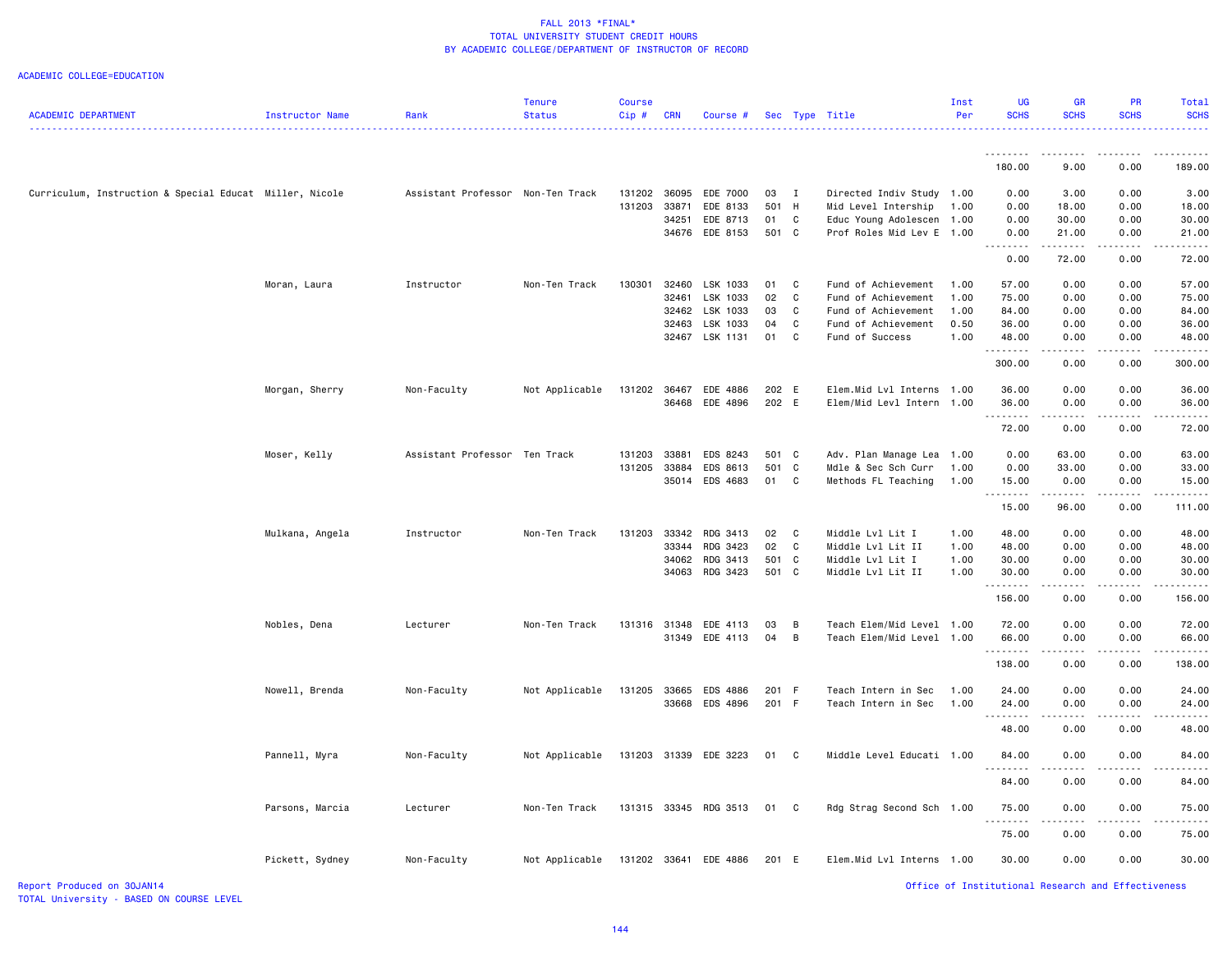| <b>ACADEMIC DEPARTMENT</b>                              | Instructor Name | Rank                              | <b>Tenure</b><br><b>Status</b> | <b>Course</b><br>Cip#  | <b>CRN</b> | Course #              |           |                     | Sec Type Title                                   | Inst<br>Per | <b>UG</b><br><b>SCHS</b> | <b>GR</b><br><b>SCHS</b>                                                                                                                                     | <b>PR</b><br><b>SCHS</b>                           | <b>Total</b><br><b>SCHS</b> |
|---------------------------------------------------------|-----------------|-----------------------------------|--------------------------------|------------------------|------------|-----------------------|-----------|---------------------|--------------------------------------------------|-------------|--------------------------|--------------------------------------------------------------------------------------------------------------------------------------------------------------|----------------------------------------------------|-----------------------------|
|                                                         |                 |                                   |                                |                        |            |                       |           |                     |                                                  |             | 180.00                   | 9.00                                                                                                                                                         | .<br>0.00                                          | .<br>189.00                 |
|                                                         |                 |                                   |                                |                        |            |                       |           |                     |                                                  |             |                          |                                                                                                                                                              |                                                    |                             |
| Curriculum, Instruction & Special Educat Miller, Nicole |                 | Assistant Professor Non-Ten Track |                                | 131202 36095<br>131203 | 33871      | EDE 7000<br>EDE 8133  | 03<br>501 | $\blacksquare$<br>H | Directed Indiv Study 1.00<br>Mid Level Intership | 1.00        | 0.00<br>0.00             | 3.00<br>18.00                                                                                                                                                | 0.00<br>0.00                                       | 3.00<br>18.00               |
|                                                         |                 |                                   |                                |                        | 34251      | EDE 8713              | 01        | C                   | Educ Young Adolescen                             | 1.00        | 0.00                     | 30.00                                                                                                                                                        | 0.00                                               | 30.00                       |
|                                                         |                 |                                   |                                |                        | 34676      | EDE 8153              | 501 C     |                     | Prof Roles Mid Lev E 1.00                        |             | 0.00                     | 21.00                                                                                                                                                        | 0.00                                               | 21.00                       |
|                                                         |                 |                                   |                                |                        |            |                       |           |                     |                                                  |             | .<br>0.00                | .<br>72.00                                                                                                                                                   | .<br>0.00                                          | .<br>72.00                  |
|                                                         | Moran, Laura    | Instructor                        | Non-Ten Track                  | 130301                 | 32460      | LSK 1033              | 01        | C                   | Fund of Achievement                              | 1.00        | 57.00                    | 0.00                                                                                                                                                         | 0.00                                               | 57.00                       |
|                                                         |                 |                                   |                                |                        | 32461      | LSK 1033              | 02        | C                   | Fund of Achievement                              | 1.00        | 75.00                    | 0.00                                                                                                                                                         | 0.00                                               | 75.00                       |
|                                                         |                 |                                   |                                |                        | 32462      | LSK 1033              | 03        | C                   | Fund of Achievement                              | 1.00        | 84.00                    | 0.00                                                                                                                                                         | 0.00                                               | 84.00                       |
|                                                         |                 |                                   |                                |                        | 32463      | LSK 1033              | 04        | C                   | Fund of Achievement                              | 0.50        | 36.00                    | 0.00                                                                                                                                                         | 0.00                                               | 36.00                       |
|                                                         |                 |                                   |                                |                        | 32467      | LSK 1131              | 01        | C <sub>1</sub>      | Fund of Success                                  | 1.00        | 48.00                    | 0.00                                                                                                                                                         | 0.00                                               | 48.00                       |
|                                                         |                 |                                   |                                |                        |            |                       |           |                     |                                                  |             | .<br>300.00              | 0.00                                                                                                                                                         | 0.00                                               | والمناصبات<br>300.00        |
|                                                         | Morgan, Sherry  | Non-Faculty                       | Not Applicable                 | 131202                 | 36467      | EDE 4886              | 202 E     |                     | Elem.Mid Lvl Interns 1.00                        |             | 36.00                    | 0.00                                                                                                                                                         | 0.00                                               | 36.00                       |
|                                                         |                 |                                   |                                |                        | 36468      | EDE 4896              | 202 E     |                     | Elem/Mid Levl Intern 1.00                        |             | 36.00                    | 0.00                                                                                                                                                         | 0.00                                               | 36.00                       |
|                                                         |                 |                                   |                                |                        |            |                       |           |                     |                                                  |             | . <b>.</b><br>72.00      | 0.00                                                                                                                                                         | 0.00                                               | .<br>72.00                  |
|                                                         | Moser, Kelly    | Assistant Professor Ten Track     |                                | 131203                 | 33881      | EDS 8243              | 501 C     |                     | Adv. Plan Manage Lea 1.00                        |             | 0.00                     | 63.00                                                                                                                                                        | 0.00                                               | 63.00                       |
|                                                         |                 |                                   |                                | 131205                 | 33884      | EDS 8613              | 501       | C <sub>1</sub>      | Mdle & Sec Sch Curr                              | 1.00        | 0.00                     | 33.00                                                                                                                                                        | 0.00                                               | 33.00                       |
|                                                         |                 |                                   |                                |                        |            | 35014 EDS 4683        | 01        | $\mathbf{C}$        | Methods FL Teaching                              | 1.00        | 15.00<br><u>.</u>        | 0.00                                                                                                                                                         | 0.00<br>$\sim$ $\sim$ $\sim$                       | 15.00<br>.                  |
|                                                         |                 |                                   |                                |                        |            |                       |           |                     |                                                  |             | 15.00                    | 96.00                                                                                                                                                        | 0.00                                               | 111.00                      |
|                                                         | Mulkana, Angela | Instructor                        | Non-Ten Track                  | 131203                 | 33342      | RDG 3413              | 02        | C                   | Middle Lvl Lit I                                 | 1.00        | 48.00                    | 0.00                                                                                                                                                         | 0.00                                               | 48.00                       |
|                                                         |                 |                                   |                                |                        | 33344      | RDG 3423              | 02        | $\mathbb{C}$        | Middle Lvl Lit II                                | 1.00        | 48.00                    | 0.00                                                                                                                                                         | 0.00                                               | 48.00                       |
|                                                         |                 |                                   |                                |                        | 34062      | RDG 3413              | 501 C     |                     | Middle Lvl Lit I                                 | 1.00        | 30.00                    | 0.00                                                                                                                                                         | 0.00                                               | 30.00                       |
|                                                         |                 |                                   |                                |                        | 34063      | RDG 3423              | 501 C     |                     | Middle Lvl Lit II                                | 1.00        | 30.00<br><u>.</u>        | 0.00                                                                                                                                                         | 0.00                                               | 30.00<br>.                  |
|                                                         |                 |                                   |                                |                        |            |                       |           |                     |                                                  |             | 156.00                   | 0.00                                                                                                                                                         | 0.00                                               | 156.00                      |
|                                                         | Nobles, Dena    | Lecturer                          | Non-Ten Track                  | 131316                 | 31348      | EDE 4113              | 03        | B                   | Teach Elem/Mid Level                             | 1.00        | 72.00                    | 0.00                                                                                                                                                         | 0.00                                               | 72.00                       |
|                                                         |                 |                                   |                                |                        |            | 31349 EDE 4113        | 04        | B                   | Teach Elem/Mid Level 1.00                        |             | 66.00                    | 0.00                                                                                                                                                         | 0.00<br>.                                          | 66.00                       |
|                                                         |                 |                                   |                                |                        |            |                       |           |                     |                                                  |             | .<br>138.00              | $\frac{1}{2} \left( \frac{1}{2} \right) \left( \frac{1}{2} \right) \left( \frac{1}{2} \right) \left( \frac{1}{2} \right) \left( \frac{1}{2} \right)$<br>0.00 | 0.00                                               | .<br>138.00                 |
|                                                         | Nowell, Brenda  | Non-Faculty                       | Not Applicable                 | 131205                 | 33665      | EDS 4886              | 201 F     |                     | Teach Intern in Sec                              | 1.00        | 24.00                    | 0.00                                                                                                                                                         | 0.00                                               | 24.00                       |
|                                                         |                 |                                   |                                |                        | 33668      | EDS 4896              | 201 F     |                     | Teach Intern in Sec                              | 1.00        | 24.00                    | 0.00                                                                                                                                                         | 0.00                                               | 24.00                       |
|                                                         |                 |                                   |                                |                        |            |                       |           |                     |                                                  |             | .<br>48.00               | .<br>0.00                                                                                                                                                    | .<br>0.00                                          | .<br>48.00                  |
|                                                         | Pannell, Myra   | Non-Faculty                       | Not Applicable                 |                        |            | 131203 31339 EDE 3223 | 01        | C                   | Middle Level Educati 1.00                        |             | 84.00                    | 0.00                                                                                                                                                         | 0.00                                               | 84.00                       |
|                                                         |                 |                                   |                                |                        |            |                       |           |                     |                                                  |             | 84.00                    | 0.00                                                                                                                                                         | 0.00                                               | 84.00                       |
|                                                         | Parsons, Marcia | Lecturer                          | Non-Ten Track                  |                        |            | 131315 33345 RDG 3513 | 01        | - C                 | Rdg Strag Second Sch 1.00                        |             | 75.00                    | 0.00                                                                                                                                                         | 0.00                                               | 75.00                       |
|                                                         |                 |                                   |                                |                        |            |                       |           |                     |                                                  |             | 75.00                    | 0.00                                                                                                                                                         | 0.00                                               | 75.00                       |
|                                                         | Pickett, Sydney | Non-Faculty                       | Not Applicable                 | 131202 33641           |            | EDE 4886              | 201 E     |                     | Elem.Mid Lvl Interns 1.00                        |             | 30.00                    | 0.00                                                                                                                                                         | 0.00                                               | 30.00                       |
| Report Produced on 30JAN14                              |                 |                                   |                                |                        |            |                       |           |                     |                                                  |             |                          |                                                                                                                                                              | Office of Institutional Research and Effectiveness |                             |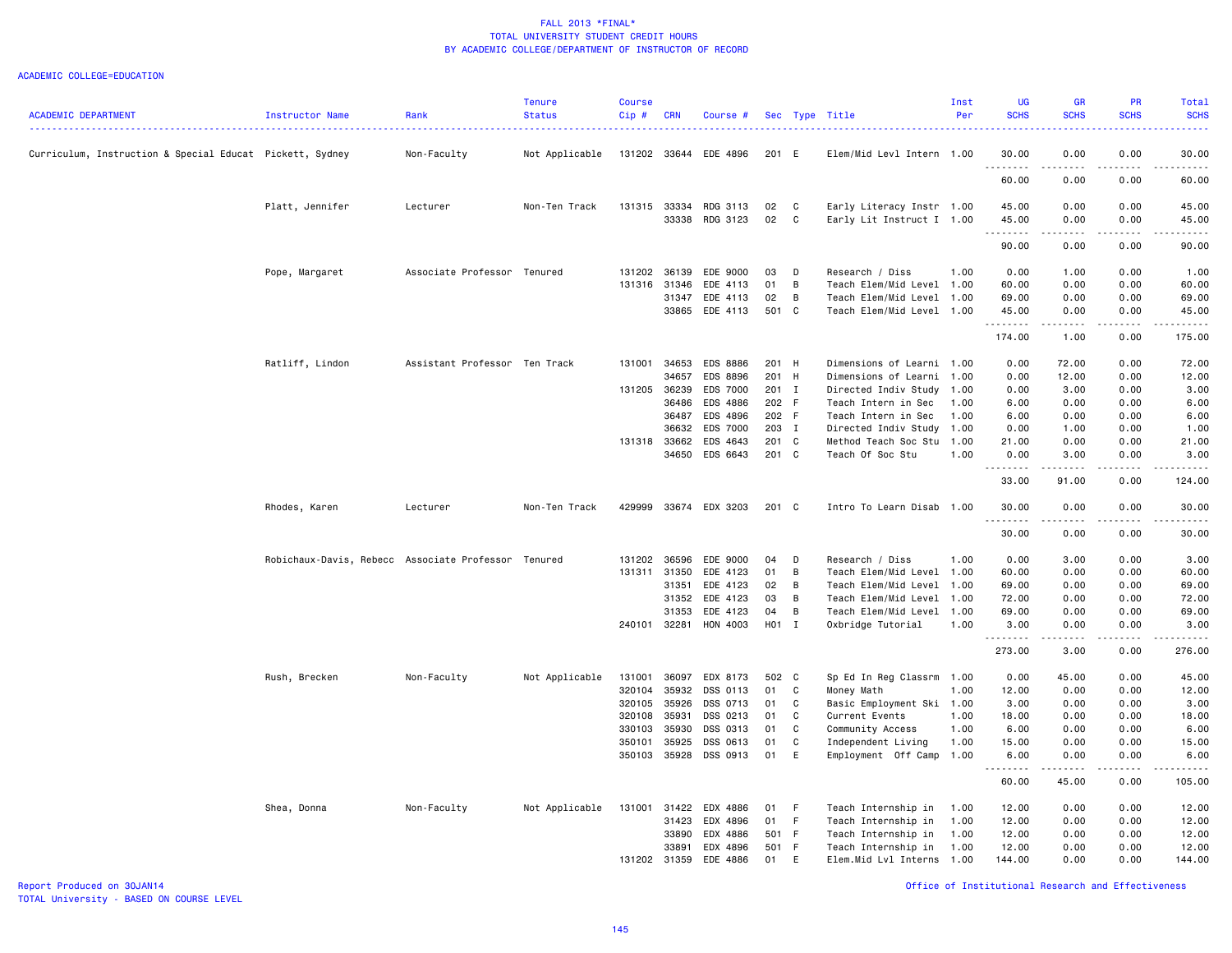#### ACADEMIC COLLEGE=EDUCATION

|                                                          |                                                     |                               | <b>Tenure</b>  | <b>Course</b> |              |                 |       |              |                           | Inst | UG                     | GR                                                                                                                                                           | PR              | Total       |
|----------------------------------------------------------|-----------------------------------------------------|-------------------------------|----------------|---------------|--------------|-----------------|-------|--------------|---------------------------|------|------------------------|--------------------------------------------------------------------------------------------------------------------------------------------------------------|-----------------|-------------|
| ACADEMIC DEPARTMENT                                      | <b>Instructor Name</b>                              | Rank                          | <b>Status</b>  | Cip#          | <b>CRN</b>   | Course #        |       |              | Sec Type Title            | Per  | <b>SCHS</b>            | <b>SCHS</b>                                                                                                                                                  | <b>SCHS</b>     | <b>SCHS</b> |
| Curriculum, Instruction & Special Educat Pickett, Sydney |                                                     | Non-Faculty                   | Not Applicable | 131202 33644  |              | EDE 4896        | 201 E |              | Elem/Mid Levl Intern 1.00 |      | 30.00                  | 0.00                                                                                                                                                         | 0.00            | 30.00       |
|                                                          |                                                     |                               |                |               |              |                 |       |              |                           |      | $\frac{1}{2}$<br>60.00 | 0.00                                                                                                                                                         | 0.00            | 60.00       |
|                                                          | Platt, Jennifer                                     | Lecturer                      | Non-Ten Track  | 131315        | 33334        | RDG 3113        | 02    | $\mathbf{C}$ | Early Literacy Instr 1.00 |      | 45.00                  | 0.00                                                                                                                                                         | 0.00            | 45.00       |
|                                                          |                                                     |                               |                |               | 33338        | RDG 3123        | 02    | C            | Early Lit Instruct I 1.00 |      | 45.00                  | 0.00                                                                                                                                                         | 0.00            | 45.00       |
|                                                          |                                                     |                               |                |               |              |                 |       |              |                           |      | .                      | 22222                                                                                                                                                        | .               | .           |
|                                                          |                                                     |                               |                |               |              |                 |       |              |                           |      | 90.00                  | 0.00                                                                                                                                                         | 0.00            | 90.00       |
|                                                          | Pope, Margaret                                      | Associate Professor Tenured   |                | 131202 36139  |              | EDE 9000        | 03    | D            | Research / Diss           | 1.00 | 0.00                   | 1.00                                                                                                                                                         | 0.00            | 1.00        |
|                                                          |                                                     |                               |                | 131316 31346  |              | EDE 4113        | 01    | B            | Teach Elem/Mid Level 1.00 |      | 60.00                  | 0.00                                                                                                                                                         | 0.00            | 60.00       |
|                                                          |                                                     |                               |                |               | 31347        | EDE 4113        | 02    | B            | Teach Elem/Mid Level 1.00 |      | 69.00                  | 0.00                                                                                                                                                         | 0.00            | 69.00       |
|                                                          |                                                     |                               |                |               | 33865        | EDE 4113        | 501 C |              | Teach Elem/Mid Level 1.00 |      | 45.00<br>.             | 0.00<br>$\frac{1}{2} \left( \frac{1}{2} \right) \left( \frac{1}{2} \right) \left( \frac{1}{2} \right) \left( \frac{1}{2} \right) \left( \frac{1}{2} \right)$ | 0.00<br>.       | 45.00<br>.  |
|                                                          |                                                     |                               |                |               |              |                 |       |              |                           |      | 174.00                 | 1.00                                                                                                                                                         | 0.00            | 175.00      |
|                                                          | Ratliff, Lindon                                     | Assistant Professor Ten Track |                | 131001        | 34653        | <b>EDS 8886</b> | 201 H |              | Dimensions of Learni 1.00 |      | 0.00                   | 72.00                                                                                                                                                        | 0.00            | 72.00       |
|                                                          |                                                     |                               |                |               | 34657        | EDS 8896        | 201 H |              | Dimensions of Learni 1.00 |      | 0.00                   | 12.00                                                                                                                                                        | 0.00            | 12.00       |
|                                                          |                                                     |                               |                | 131205 36239  |              | EDS 7000        | 201 I |              | Directed Indiv Study      | 1.00 | 0.00                   | 3.00                                                                                                                                                         | 0.00            | 3.00        |
|                                                          |                                                     |                               |                |               | 36486        | EDS 4886        | 202 F |              | Teach Intern in Sec       | 1.00 | 6.00                   | 0.00                                                                                                                                                         | 0.00            | 6.00        |
|                                                          |                                                     |                               |                |               | 36487        | EDS 4896        | 202 F |              | Teach Intern in Sec       | 1.00 | 6.00                   | 0.00                                                                                                                                                         | 0.00            | 6.00        |
|                                                          |                                                     |                               |                |               | 36632        | EDS 7000        | 203 I |              | Directed Indiv Study      | 1.00 | 0.00                   | 1.00                                                                                                                                                         | 0.00            | 1.00        |
|                                                          |                                                     |                               |                |               | 131318 33662 | EDS 4643        | 201 C |              | Method Teach Soc Stu      | 1.00 | 21.00                  | 0.00                                                                                                                                                         | 0.00            | 21.00       |
|                                                          |                                                     |                               |                |               | 34650        | EDS 6643        | 201 C |              | Teach Of Soc Stu          | 1.00 | 0.00<br>.              | 3.00                                                                                                                                                         | 0.00<br>د د د د | 3.00<br>.   |
|                                                          |                                                     |                               |                |               |              |                 |       |              |                           |      | 33.00                  | 91.00                                                                                                                                                        | 0.00            | 124,00      |
|                                                          | Rhodes, Karen                                       | Lecturer                      | Non-Ten Track  | 429999        |              | 33674 EDX 3203  | 201 C |              | Intro To Learn Disab      | 1.00 | 30.00<br><u>.</u>      | 0.00                                                                                                                                                         | 0.00            | 30.00       |
|                                                          |                                                     |                               |                |               |              |                 |       |              |                           |      | 30.00                  | 0.00                                                                                                                                                         | 0.00            | 30.00       |
|                                                          | Robichaux-Davis, Rebecc Associate Professor Tenured |                               |                | 131202        | 36596        | EDE 9000        | 04    | D            | Research / Diss           | 1.00 | 0.00                   | 3.00                                                                                                                                                         | 0.00            | 3.00        |
|                                                          |                                                     |                               |                | 131311 31350  |              | EDE 4123        | 01    | B            | Teach Elem/Mid Level 1.00 |      | 60.00                  | 0.00                                                                                                                                                         | 0.00            | 60.00       |
|                                                          |                                                     |                               |                |               | 31351        | EDE 4123        | 02    | B            | Teach Elem/Mid Level 1.00 |      | 69.00                  | 0.00                                                                                                                                                         | 0.00            | 69.00       |
|                                                          |                                                     |                               |                |               | 31352        | EDE 4123        | 03    | B            | Teach Elem/Mid Level      | 1.00 | 72.00                  | 0.00                                                                                                                                                         | 0.00            | 72.00       |
|                                                          |                                                     |                               |                |               | 31353        | EDE 4123        | 04    | B            | Teach Elem/Mid Level 1.00 |      | 69.00                  | 0.00                                                                                                                                                         | 0.00            | 69.00       |
|                                                          |                                                     |                               |                | 240101 32281  |              | HON 4003        | H01 I |              | Oxbridge Tutorial         | 1.00 | 3.00<br>.              | 0.00<br>الدامات بال                                                                                                                                          | 0.00<br>.       | 3.00<br>.   |
|                                                          |                                                     |                               |                |               |              |                 |       |              |                           |      | 273.00                 | 3.00                                                                                                                                                         | 0.00            | 276.00      |
|                                                          | Rush, Brecken                                       | Non-Faculty                   | Not Applicable | 131001        | 36097        | EDX 8173        | 502 C |              | Sp Ed In Reg Classrm      | 1.00 | 0.00                   | 45.00                                                                                                                                                        | 0.00            | 45.00       |
|                                                          |                                                     |                               |                | 320104        | 35932        | DSS 0113        | 01    | C            | Money Math                | 1.00 | 12.00                  | 0.00                                                                                                                                                         | 0.00            | 12.00       |
|                                                          |                                                     |                               |                | 320105        | 35926        | DSS 0713        | 01    | C            | Basic Employment Ski      | 1.00 | 3.00                   | 0.00                                                                                                                                                         | 0.00            | 3.00        |
|                                                          |                                                     |                               |                | 320108        | 35931        | DSS 0213        | 01    | C            | Current Events            | 1.00 | 18.00                  | 0.00                                                                                                                                                         | 0.00            | 18.00       |
|                                                          |                                                     |                               |                | 330103        | 35930        | DSS 0313        | 01    | C            | Community Access          | 1.00 | 6.00                   | 0.00                                                                                                                                                         | 0.00            | 6.00        |
|                                                          |                                                     |                               |                | 350101        | 35925        | DSS 0613        | 01    | C            | Independent Living        | 1.00 | 15.00                  | 0.00                                                                                                                                                         | 0.00            | 15.00       |
|                                                          |                                                     |                               |                | 350103        | 35928        | DSS 0913        | 01    | E            | Employment Off Camp       | 1.00 | 6.00                   | 0.00                                                                                                                                                         | 0.00            | 6.00        |
|                                                          |                                                     |                               |                |               |              |                 |       |              |                           |      | <u>.</u><br>60.00      | .<br>45.00                                                                                                                                                   | .<br>0.00       | .<br>105.00 |
|                                                          | Shea, Donna                                         | Non-Faculty                   | Not Applicable | 131001        | 31422        | EDX 4886        | 01    | - F          | Teach Internship in       | 1.00 | 12.00                  | 0.00                                                                                                                                                         | 0.00            | 12.00       |
|                                                          |                                                     |                               |                |               | 31423        | EDX 4896        | 01    | $-F$         | Teach Internship in       | 1.00 | 12.00                  | 0.00                                                                                                                                                         | 0.00            | 12.00       |
|                                                          |                                                     |                               |                |               | 33890        | EDX 4886        | 501 F |              | Teach Internship in       | 1.00 | 12.00                  | 0.00                                                                                                                                                         | 0.00            | 12.00       |
|                                                          |                                                     |                               |                |               | 33891        | EDX 4896        | 501 F |              | Teach Internship in       | 1.00 | 12.00                  | 0.00                                                                                                                                                         | 0.00            | 12.00       |
|                                                          |                                                     |                               |                | 131202 31359  |              | EDE 4886        | 01    | E            | Elem.Mid Lvl Interns 1.00 |      | 144.00                 | 0.00                                                                                                                                                         | 0.00            | 144.00      |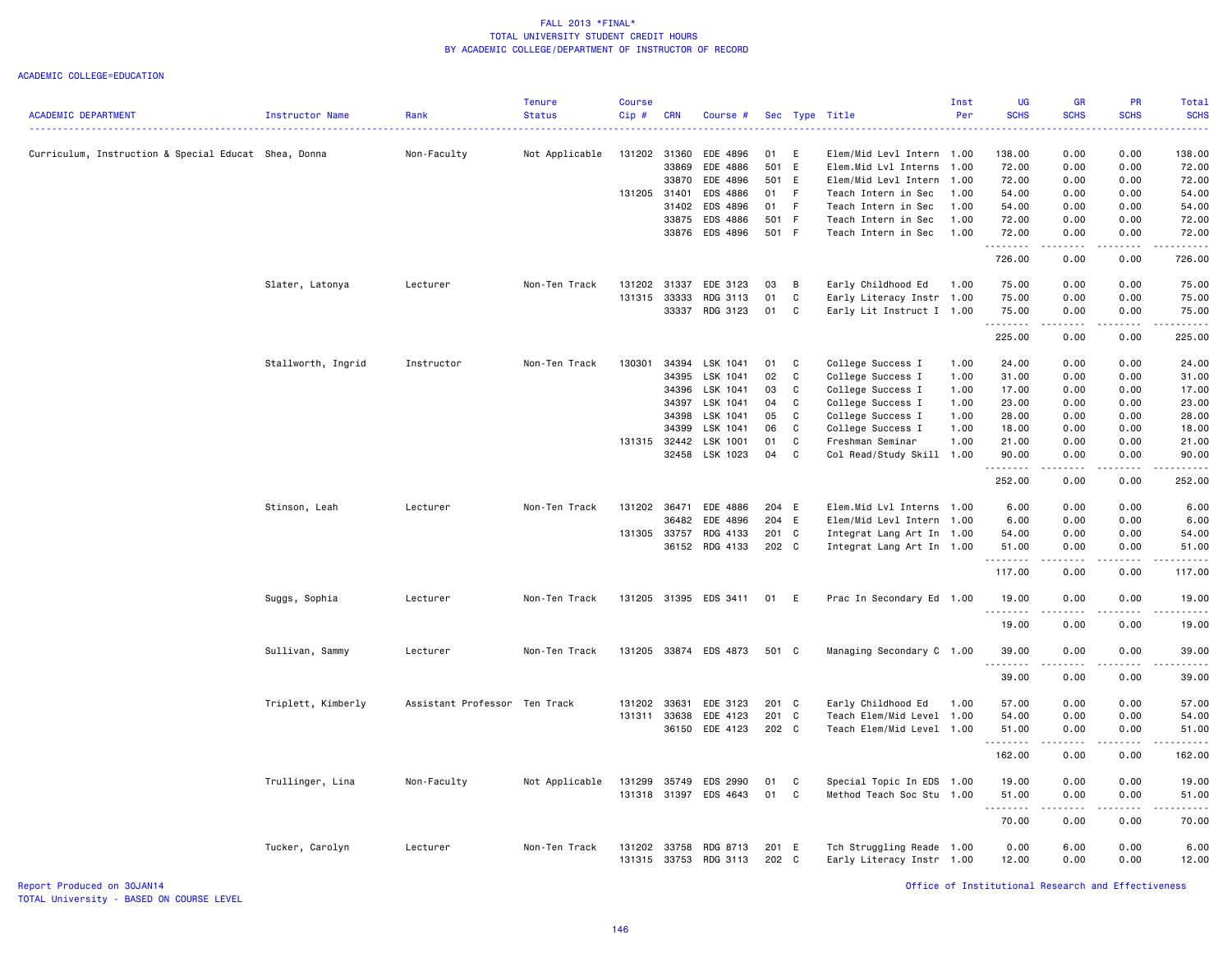### ACADEMIC COLLEGE=EDUCATION

| <b>ACADEMIC DEPARTMENT</b>                           | <b>Instructor Name</b> | Rank                          | <b>Tenure</b><br><b>Status</b> | Course<br>Cip# | <b>CRN</b>   | Course #              | Sec           |              | Type Title                                  | Inst<br>Per  | UG<br><b>SCHS</b> | GR<br><b>SCHS</b>                                                                                                                 | PR<br><b>SCHS</b> | Total<br><b>SCHS</b> |
|------------------------------------------------------|------------------------|-------------------------------|--------------------------------|----------------|--------------|-----------------------|---------------|--------------|---------------------------------------------|--------------|-------------------|-----------------------------------------------------------------------------------------------------------------------------------|-------------------|----------------------|
|                                                      |                        |                               |                                |                |              |                       |               |              |                                             |              |                   | <b></b>                                                                                                                           |                   | الداعات عاد          |
| Curriculum, Instruction & Special Educat Shea, Donna |                        | Non-Faculty                   | Not Applicable                 | 131202         | 31360        | EDE 4896              | 01<br>501 E   | E            | Elem/Mid Levl Intern 1.00                   |              | 138.00            | 0.00<br>0.00                                                                                                                      | 0.00<br>0.00      | 138.00               |
|                                                      |                        |                               |                                |                | 33869        | EDE 4886              |               |              | Elem.Mid Lvl Interns                        | 1.00         | 72.00<br>72.00    | 0.00                                                                                                                              |                   | 72.00<br>72.00       |
|                                                      |                        |                               |                                | 131205 31401   | 33870        | EDE 4896<br>EDS 4886  | 501 E<br>01 F |              | Elem/Mid Levl Intern<br>Teach Intern in Sec | 1.00<br>1.00 | 54.00             | 0.00                                                                                                                              | 0.00<br>0.00      | 54.00                |
|                                                      |                        |                               |                                |                | 31402        | EDS 4896              | 01 F          |              |                                             | 1.00         | 54.00             | 0.00                                                                                                                              | 0.00              | 54.00                |
|                                                      |                        |                               |                                |                | 33875        | EDS 4886              | 501 F         |              | Teach Intern in Sec<br>Teach Intern in Sec  | 1.00         | 72.00             | 0.00                                                                                                                              | 0.00              | 72.00                |
|                                                      |                        |                               |                                |                | 33876        | EDS 4896              | 501 F         |              | Teach Intern in Sec                         | 1.00         | 72.00             | 0.00                                                                                                                              | 0.00              | 72.00                |
|                                                      |                        |                               |                                |                |              |                       |               |              |                                             |              | .<br>726.00       | $\omega$ is a $\omega$<br>0.00                                                                                                    | .<br>0.00         | .<br>726.00          |
|                                                      | Slater, Latonya        | Lecturer                      | Non-Ten Track                  | 131202         | 31337        | EDE 3123              | 03            | B            | Early Childhood Ed                          | 1.00         | 75.00             | 0.00                                                                                                                              | 0.00              | 75.00                |
|                                                      |                        |                               |                                | 131315 33333   |              | RDG 3113              | 01            | $\mathtt{C}$ | Early Literacy Instr 1.00                   |              | 75.00             | 0.00                                                                                                                              | 0.00              | 75.00                |
|                                                      |                        |                               |                                |                | 33337        | RDG 3123              | 01            | C            | Early Lit Instruct I 1.00                   |              | 75.00<br>.        | 0.00<br>$- - - -$                                                                                                                 | 0.00<br>.         | 75.00<br>.           |
|                                                      |                        |                               |                                |                |              |                       |               |              |                                             |              | 225.00            | 0.00                                                                                                                              | 0.00              | 225.00               |
|                                                      | Stallworth, Ingrid     | Instructor                    | Non-Ten Track                  | 130301         | 34394        | LSK 1041              | 01            | C            | College Success I                           | 1.00         | 24.00             | 0.00                                                                                                                              | 0.00              | 24.00                |
|                                                      |                        |                               |                                |                | 34395        | LSK 1041              | 02            | C            | College Success I                           | 1.00         | 31.00             | 0.00                                                                                                                              | 0.00              | 31.00                |
|                                                      |                        |                               |                                |                | 34396        | LSK 1041              | 03            | C            | College Success I                           | 1.00         | 17.00             | 0.00                                                                                                                              | 0.00              | 17.00                |
|                                                      |                        |                               |                                |                | 34397        | LSK 1041              | 04            | C            | College Success I                           | 1.00         | 23.00             | 0.00                                                                                                                              | 0.00              | 23.00                |
|                                                      |                        |                               |                                |                | 34398        | LSK 1041              | 05            | C            | College Success I                           | 1.00         | 28.00             | 0.00                                                                                                                              | 0.00              | 28.00                |
|                                                      |                        |                               |                                |                | 34399        | LSK 1041              | 06            | C            | College Success I                           | 1.00         | 18.00             | 0.00                                                                                                                              | 0.00              | 18.00                |
|                                                      |                        |                               |                                |                | 131315 32442 | LSK 1001              | 01            | C            | Freshman Seminar                            | 1.00         | 21.00             | 0.00                                                                                                                              | 0.00              | 21.00                |
|                                                      |                        |                               |                                |                | 32458        | LSK 1023              | 04            | C            | Col Read/Study Skill 1.00                   |              | 90.00             | 0.00                                                                                                                              | 0.00              | 90.00                |
|                                                      |                        |                               |                                |                |              |                       |               |              |                                             |              | .<br>252.00       | .<br>0.00                                                                                                                         | .<br>0.00         | .<br>252.00          |
|                                                      | Stinson, Leah          | Lecturer                      | Non-Ten Track                  | 131202         | 36471        | EDE 4886              | 204 E         |              | Elem.Mid Lvl Interns 1.00                   |              | 6.00              | 0.00                                                                                                                              | 0.00              | 6.00                 |
|                                                      |                        |                               |                                |                | 36482        | EDE 4896              | 204 E         |              | Elem/Mid Levl Intern                        | 1.00         | 6.00              | 0.00                                                                                                                              | 0.00              | 6.00                 |
|                                                      |                        |                               |                                | 131305 33757   |              | RDG 4133              | 201 C         |              | Integrat Lang Art In 1.00                   |              | 54.00             | 0.00                                                                                                                              | 0.00              | 54.00                |
|                                                      |                        |                               |                                |                |              | 36152 RDG 4133        | 202 C         |              | Integrat Lang Art In 1.00                   |              | 51.00             | 0.00                                                                                                                              | 0.00              | 51.00                |
|                                                      |                        |                               |                                |                |              |                       |               |              |                                             |              | 117.00            | 0.00                                                                                                                              | 0.00              | 117.00               |
|                                                      | Suggs, Sophia          | Lecturer                      | Non-Ten Track                  |                |              | 131205 31395 EDS 3411 | 01 E          |              | Prac In Secondary Ed 1.00                   |              | 19.00             | 0.00                                                                                                                              | 0.00              | 19.00                |
|                                                      |                        |                               |                                |                |              |                       |               |              |                                             |              | .<br>19.00        | $\frac{1}{2} \left( \frac{1}{2} \right) \left( \frac{1}{2} \right) \left( \frac{1}{2} \right) \left( \frac{1}{2} \right)$<br>0.00 | .<br>0.00         | .<br>19.00           |
|                                                      | Sullivan, Sammy        | Lecturer                      | Non-Ten Track                  |                |              | 131205 33874 EDS 4873 | 501 C         |              | Managing Secondary C 1.00                   |              | 39.00             | 0.00                                                                                                                              | 0.00<br>.         | 39.00                |
|                                                      |                        |                               |                                |                |              |                       |               |              |                                             |              | .<br>39.00        | $\frac{1}{2} \left( \frac{1}{2} \right) \left( \frac{1}{2} \right) \left( \frac{1}{2} \right) \left( \frac{1}{2} \right)$<br>0.00 | 0.00              | .<br>39.00           |
|                                                      | Triplett, Kimberly     | Assistant Professor Ten Track |                                | 131202         | 33631        | EDE 3123              | 201 C         |              | Early Childhood Ed                          | 1.00         | 57.00             | 0.00                                                                                                                              | 0.00              | 57.00                |
|                                                      |                        |                               |                                | 131311         | 33638        | EDE 4123              | 201 C         |              | Teach Elem/Mid Level 1.00                   |              | 54.00             | 0.00                                                                                                                              | 0.00              | 54.00                |
|                                                      |                        |                               |                                |                |              | 36150 EDE 4123        | 202 C         |              | Teach Elem/Mid Level 1.00                   |              | 51.00             | 0.00                                                                                                                              | 0.00              | 51.00                |
|                                                      |                        |                               |                                |                |              |                       |               |              |                                             |              | .<br>162.00       | .<br>0.00                                                                                                                         | .<br>0.00         | .<br>162.00          |
|                                                      | Trullinger, Lina       | Non-Faculty                   | Not Applicable                 | 131299         | 35749        | EDS 2990              | 01            | C            | Special Topic In EDS 1.00                   |              | 19.00             | 0.00                                                                                                                              | 0.00              | 19.00                |
|                                                      |                        |                               |                                |                |              | 131318 31397 EDS 4643 | 01            | C            | Method Teach Soc Stu 1.00                   |              | 51.00             | 0.00                                                                                                                              | 0.00              | 51.00                |
|                                                      |                        |                               |                                |                |              |                       |               |              |                                             |              | .                 | .                                                                                                                                 | .                 | .                    |
|                                                      |                        |                               |                                |                |              |                       |               |              |                                             |              | 70.00             | 0.00                                                                                                                              | 0.00              | 70.00                |
|                                                      | Tucker, Carolyn        | Lecturer                      | Non-Ten Track                  | 131202         | 33758        | RDG 8713              | 201 E         |              | Tch Struggling Reade 1.00                   |              | 0.00              | 6.00                                                                                                                              | 0.00              | 6.00                 |
|                                                      |                        |                               |                                |                |              | 131315 33753 RDG 3113 | 202 C         |              | Early Literacy Instr 1.00                   |              | 12.00             | 0.00                                                                                                                              | 0.00              | 12.00                |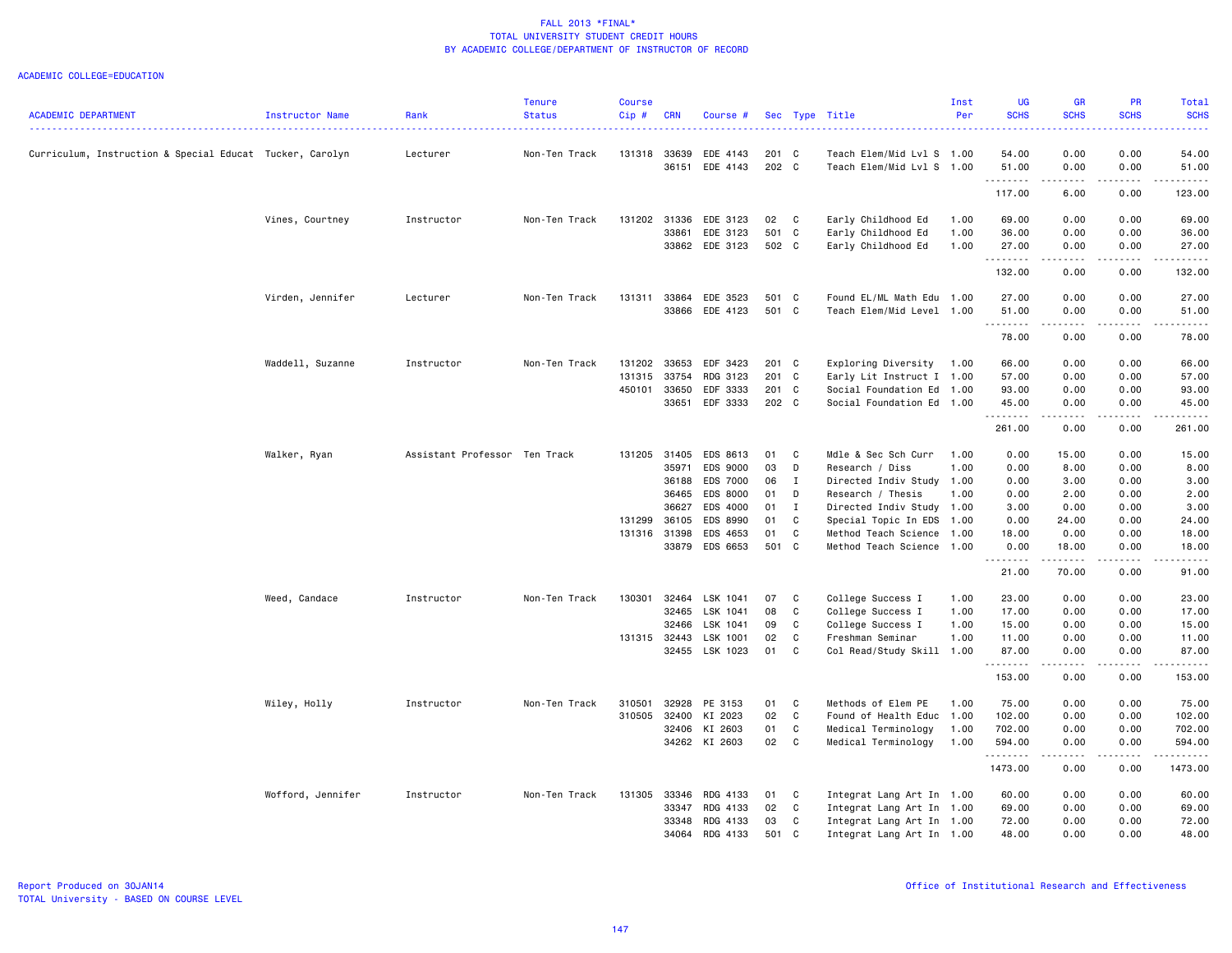|                                                          |                   |                               | <b>Tenure</b> | <b>Course</b> |              |                      |             |              |                           | Inst | <b>UG</b>     | <b>GR</b>                                                                                                                                                                                                                                                                                                                                    | PR           | Total                                                                                                                                                                                    |
|----------------------------------------------------------|-------------------|-------------------------------|---------------|---------------|--------------|----------------------|-------------|--------------|---------------------------|------|---------------|----------------------------------------------------------------------------------------------------------------------------------------------------------------------------------------------------------------------------------------------------------------------------------------------------------------------------------------------|--------------|------------------------------------------------------------------------------------------------------------------------------------------------------------------------------------------|
| <b>ACADEMIC DEPARTMENT</b>                               | Instructor Name   | Rank                          | <b>Status</b> | Cip#          | <b>CRN</b>   | Course #             | Sec         |              | Type Title                | Per  | <b>SCHS</b>   | <b>SCHS</b>                                                                                                                                                                                                                                                                                                                                  | <b>SCHS</b>  | <b>SCHS</b>                                                                                                                                                                              |
| Curriculum, Instruction & Special Educat Tucker, Carolyn |                   | Lecturer                      | Non-Ten Track | 131318        | 33639        | EDE 4143             | 201 C       |              | Teach Elem/Mid Lvl S 1.00 |      | 54.00         | 0.00                                                                                                                                                                                                                                                                                                                                         | 0.00         | 54.00                                                                                                                                                                                    |
|                                                          |                   |                               |               |               | 36151        | EDE 4143             | 202 C       |              | Teach Elem/Mid Lvl S 1.00 |      | 51.00<br>.    | 0.00<br>$- - - -$                                                                                                                                                                                                                                                                                                                            | 0.00<br>.    | 51.00<br>.                                                                                                                                                                               |
|                                                          |                   |                               |               |               |              |                      |             |              |                           |      | 117.00        | 6.00                                                                                                                                                                                                                                                                                                                                         | 0.00         | 123.00                                                                                                                                                                                   |
|                                                          | Vines, Courtney   | Instructor                    | Non-Ten Track |               | 131202 31336 | EDE 3123             | 02          | $\mathbf{C}$ | Early Childhood Ed        | 1.00 | 69.00         | 0.00                                                                                                                                                                                                                                                                                                                                         | 0.00         | 69.00                                                                                                                                                                                    |
|                                                          |                   |                               |               |               | 33861        | EDE 3123             | 501 C       |              | Early Childhood Ed        | 1.00 | 36.00         | 0.00                                                                                                                                                                                                                                                                                                                                         | 0.00         | 36.00                                                                                                                                                                                    |
|                                                          |                   |                               |               |               |              | 33862 EDE 3123       | 502 C       |              | Early Childhood Ed        | 1.00 | 27.00<br>.    | 0.00<br>$\frac{1}{2} \left( \begin{array}{ccc} 1 & 0 & 0 & 0 \\ 0 & 0 & 0 & 0 \\ 0 & 0 & 0 & 0 \\ 0 & 0 & 0 & 0 \\ 0 & 0 & 0 & 0 \\ 0 & 0 & 0 & 0 \\ 0 & 0 & 0 & 0 \\ 0 & 0 & 0 & 0 \\ 0 & 0 & 0 & 0 \\ 0 & 0 & 0 & 0 \\ 0 & 0 & 0 & 0 & 0 \\ 0 & 0 & 0 & 0 & 0 \\ 0 & 0 & 0 & 0 & 0 \\ 0 & 0 & 0 & 0 & 0 \\ 0 & 0 & 0 & 0 & 0 \\ 0 & 0 & 0$ | 0.00<br>.    | 27.00<br>$\frac{1}{2} \left( \frac{1}{2} \right) \left( \frac{1}{2} \right) \left( \frac{1}{2} \right) \left( \frac{1}{2} \right) \left( \frac{1}{2} \right) \left( \frac{1}{2} \right)$ |
|                                                          |                   |                               |               |               |              |                      |             |              |                           |      | 132.00        | 0.00                                                                                                                                                                                                                                                                                                                                         | 0.00         | 132.00                                                                                                                                                                                   |
|                                                          | Virden, Jennifer  | Lecturer                      | Non-Ten Track | 131311        | 33864        | EDE 3523             | 501 C       |              | Found EL/ML Math Edu      | 1.00 | 27.00         | 0.00                                                                                                                                                                                                                                                                                                                                         | 0.00         | 27.00                                                                                                                                                                                    |
|                                                          |                   |                               |               |               | 33866        | EDE 4123             | 501 C       |              | Teach Elem/Mid Level 1.00 |      | 51.00<br>.    | 0.00<br>.                                                                                                                                                                                                                                                                                                                                    | 0.00<br>.    | 51.00<br>.                                                                                                                                                                               |
|                                                          |                   |                               |               |               |              |                      |             |              |                           |      | 78.00         | 0.00                                                                                                                                                                                                                                                                                                                                         | 0.00         | 78.00                                                                                                                                                                                    |
|                                                          | Waddell, Suzanne  | Instructor                    | Non-Ten Track | 131202        | 33653        | EDF 3423             | 201 C       |              | Exploring Diversity       | 1.00 | 66.00         | 0.00                                                                                                                                                                                                                                                                                                                                         | 0.00         | 66.00                                                                                                                                                                                    |
|                                                          |                   |                               |               | 131315        | 33754        | RDG 3123             | 201 C       |              | Early Lit Instruct I 1.00 |      | 57.00         | 0.00                                                                                                                                                                                                                                                                                                                                         | 0.00         | 57.00                                                                                                                                                                                    |
|                                                          |                   |                               |               | 450101        | 33650        | EDF 3333             | 201 C       |              | Social Foundation Ed      | 1.00 | 93.00         | 0.00                                                                                                                                                                                                                                                                                                                                         | 0.00         | 93.00                                                                                                                                                                                    |
|                                                          |                   |                               |               |               | 33651        | EDF 3333             | 202 C       |              | Social Foundation Ed      | 1.00 | 45.00<br>.    | 0.00                                                                                                                                                                                                                                                                                                                                         | 0.00         | 45.00                                                                                                                                                                                    |
|                                                          |                   |                               |               |               |              |                      |             |              |                           |      | 261.00        | 0.00                                                                                                                                                                                                                                                                                                                                         | 0.00         | 261.00                                                                                                                                                                                   |
|                                                          | Walker, Ryan      | Assistant Professor Ten Track |               | 131205 31405  |              | EDS 8613             | 01          | C            | Mdle & Sec Sch Curr       | 1.00 | 0.00          | 15.00                                                                                                                                                                                                                                                                                                                                        | 0.00         | 15.00                                                                                                                                                                                    |
|                                                          |                   |                               |               |               | 35971        | EDS 9000             | 03          | D            | Research / Diss           | 1.00 | 0.00          | 8.00                                                                                                                                                                                                                                                                                                                                         | 0.00         | 8.00                                                                                                                                                                                     |
|                                                          |                   |                               |               |               | 36188        | EDS 7000             | 06          | $\mathbf{I}$ | Directed Indiv Study      | 1.00 | 0.00          | 3.00                                                                                                                                                                                                                                                                                                                                         | 0.00         | 3.00                                                                                                                                                                                     |
|                                                          |                   |                               |               |               | 36465        | EDS 8000             | 01          | D            | Research / Thesis         | 1.00 | 0.00          | 2.00                                                                                                                                                                                                                                                                                                                                         | 0.00         | 2.00                                                                                                                                                                                     |
|                                                          |                   |                               |               |               | 36627        | EDS 4000             | 01          | I            | Directed Indiv Study 1.00 |      | 3.00          | 0.00                                                                                                                                                                                                                                                                                                                                         | 0.00         | 3.00                                                                                                                                                                                     |
|                                                          |                   |                               |               | 131299        | 36105        | EDS 8990             | 01          | C            | Special Topic In EDS      | 1.00 | 0.00          | 24.00                                                                                                                                                                                                                                                                                                                                        | 0.00         | 24.00                                                                                                                                                                                    |
|                                                          |                   |                               |               | 131316 31398  | 33879        | EDS 4653<br>EDS 6653 | 01<br>501 C | C            | Method Teach Science      | 1.00 | 18.00<br>0.00 | 0.00<br>18.00                                                                                                                                                                                                                                                                                                                                | 0.00<br>0.00 | 18.00<br>18.00                                                                                                                                                                           |
|                                                          |                   |                               |               |               |              |                      |             |              | Method Teach Science 1.00 |      | <u>.</u>      | .                                                                                                                                                                                                                                                                                                                                            | .            | .                                                                                                                                                                                        |
|                                                          |                   |                               |               |               |              |                      |             |              |                           |      | 21.00         | 70.00                                                                                                                                                                                                                                                                                                                                        | 0.00         | 91.00                                                                                                                                                                                    |
|                                                          | Weed, Candace     | Instructor                    | Non-Ten Track | 130301        | 32464        | LSK 1041             | 07          | C            | College Success I         | 1.00 | 23.00         | 0.00                                                                                                                                                                                                                                                                                                                                         | 0.00         | 23.00                                                                                                                                                                                    |
|                                                          |                   |                               |               |               | 32465        | LSK 1041             | 08          | $\mathtt{C}$ | College Success I         | 1.00 | 17.00         | 0.00                                                                                                                                                                                                                                                                                                                                         | 0.00         | 17.00                                                                                                                                                                                    |
|                                                          |                   |                               |               |               | 32466        | LSK 1041             | 09          | C            | College Success I         | 1.00 | 15.00         | 0.00                                                                                                                                                                                                                                                                                                                                         | 0.00         | 15.00                                                                                                                                                                                    |
|                                                          |                   |                               |               | 131315 32443  |              | LSK 1001             | 02          | C            | Freshman Seminar          | 1.00 | 11.00         | 0.00                                                                                                                                                                                                                                                                                                                                         | 0.00         | 11.00                                                                                                                                                                                    |
|                                                          |                   |                               |               |               | 32455        | LSK 1023             | 01          | C            | Col Read/Study Skill 1.00 |      | 87.00<br>.    | 0.00<br>المتماما                                                                                                                                                                                                                                                                                                                             | 0.00<br>.    | 87.00<br>.                                                                                                                                                                               |
|                                                          |                   |                               |               |               |              |                      |             |              |                           |      | 153.00        | 0.00                                                                                                                                                                                                                                                                                                                                         | 0.00         | 153.00                                                                                                                                                                                   |
|                                                          | Wiley, Holly      | Instructor                    | Non-Ten Track | 310501        | 32928        | PE 3153              | 01          | C            | Methods of Elem PE        | 1.00 | 75.00         | 0.00                                                                                                                                                                                                                                                                                                                                         | 0.00         | 75.00                                                                                                                                                                                    |
|                                                          |                   |                               |               | 310505        | 32400        | KI 2023              | 02          | C            | Found of Health Educ 1.00 |      | 102.00        | 0.00                                                                                                                                                                                                                                                                                                                                         | 0.00         | 102.00                                                                                                                                                                                   |
|                                                          |                   |                               |               |               | 32406        | KI 2603              | 01          | C            | Medical Terminology       | 1.00 | 702.00        | 0.00                                                                                                                                                                                                                                                                                                                                         | 0.00         | 702.00                                                                                                                                                                                   |
|                                                          |                   |                               |               |               |              | 34262 KI 2603        | 02          | $\mathbf{C}$ | Medical Terminology       | 1.00 | 594.00<br>.   | 0.00<br>المتمام المنا                                                                                                                                                                                                                                                                                                                        | 0.00<br>.    | 594.00<br>.                                                                                                                                                                              |
|                                                          |                   |                               |               |               |              |                      |             |              |                           |      | 1473.00       | 0.00                                                                                                                                                                                                                                                                                                                                         | 0.00         | 1473.00                                                                                                                                                                                  |
|                                                          | Wofford, Jennifer | Instructor                    | Non-Ten Track | 131305        | 33346        | RDG 4133             | 01          | C            | Integrat Lang Art In 1.00 |      | 60.00         | 0.00                                                                                                                                                                                                                                                                                                                                         | 0.00         | 60.00                                                                                                                                                                                    |
|                                                          |                   |                               |               |               | 33347        | RDG 4133             | 02          | C            | Integrat Lang Art In 1.00 |      | 69.00         | 0.00                                                                                                                                                                                                                                                                                                                                         | 0.00         | 69.00                                                                                                                                                                                    |
|                                                          |                   |                               |               |               | 33348        | RDG 4133             | 03          | C            | Integrat Lang Art In 1.00 |      | 72.00         | 0.00                                                                                                                                                                                                                                                                                                                                         | 0.00         | 72.00                                                                                                                                                                                    |
|                                                          |                   |                               |               |               | 34064        | RDG 4133             | 501 C       |              | Integrat Lang Art In 1.00 |      | 48.00         | 0.00                                                                                                                                                                                                                                                                                                                                         | 0.00         | 48.00                                                                                                                                                                                    |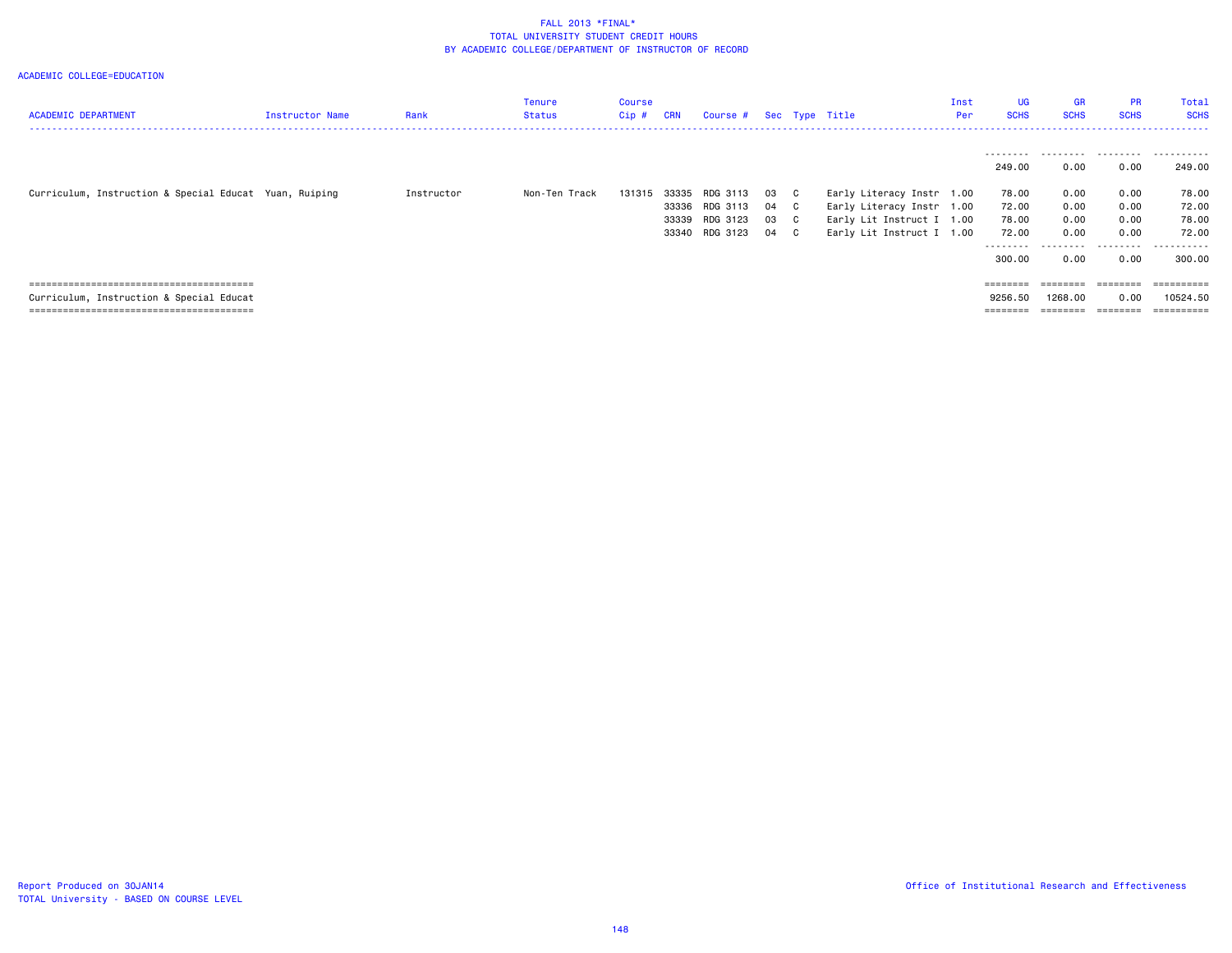| <b>ACADEMIC DEPARTMENT</b>                             | <b>Instructor Name</b> | Rank       | Tenure<br><b>Status</b> | Course<br>Cip # | <b>CRN</b> | Course # Sec Type Title |      |              |                           | Inst<br>Per | UG<br><b>SCHS</b> | <b>GR</b><br><b>SCHS</b> | <b>PR</b><br><b>SCHS</b> | Total<br><b>SCHS</b> |
|--------------------------------------------------------|------------------------|------------|-------------------------|-----------------|------------|-------------------------|------|--------------|---------------------------|-------------|-------------------|--------------------------|--------------------------|----------------------|
|                                                        |                        |            |                         |                 |            |                         |      |              |                           |             |                   |                          |                          | .                    |
|                                                        |                        |            |                         |                 |            |                         |      |              |                           |             | 249.00            | 0.00                     | 0.00                     | 249.00               |
| Curriculum, Instruction & Special Educat Yuan, Ruiping |                        | Instructor | Non-Ten Track           | 131315          |            | 33335 RDG 3113          | 03   | $\mathbf{C}$ | Early Literacy Instr 1.00 |             | 78.00             | 0.00                     | 0.00                     | 78.00                |
|                                                        |                        |            |                         |                 |            | 33336 RDG 3113          | 04 C |              | Early Literacy Instr 1.00 |             | 72.00             | 0.00                     | 0.00                     | 72.00                |
|                                                        |                        |            |                         |                 |            | 33339 RDG 3123          | 03   | $\mathbf{C}$ | Early Lit Instruct I 1.00 |             | 78.00             | 0.00                     | 0.00                     | 78.00                |
|                                                        |                        |            |                         |                 |            | 33340 RDG 3123          | 04   | $\mathbf{C}$ | Early Lit Instruct I 1.00 |             | 72.00             | 0.00                     | 0.00                     | 72.00                |
|                                                        |                        |            |                         |                 |            |                         |      |              |                           |             | .<br>300.00       | 0.00                     | .<br>0.00                | . <b>.</b><br>300.00 |
|                                                        |                        |            |                         |                 |            |                         |      |              |                           |             | $=$ = = = = = = = | ========                 |                          |                      |
| Curriculum, Instruction & Special Educat               |                        |            |                         |                 |            |                         |      |              |                           |             | 9256.50           | 1268,00                  | 0.00                     | 10524.50             |
|                                                        |                        |            |                         |                 |            |                         |      |              |                           |             |                   | .                        | ________                 | ==========           |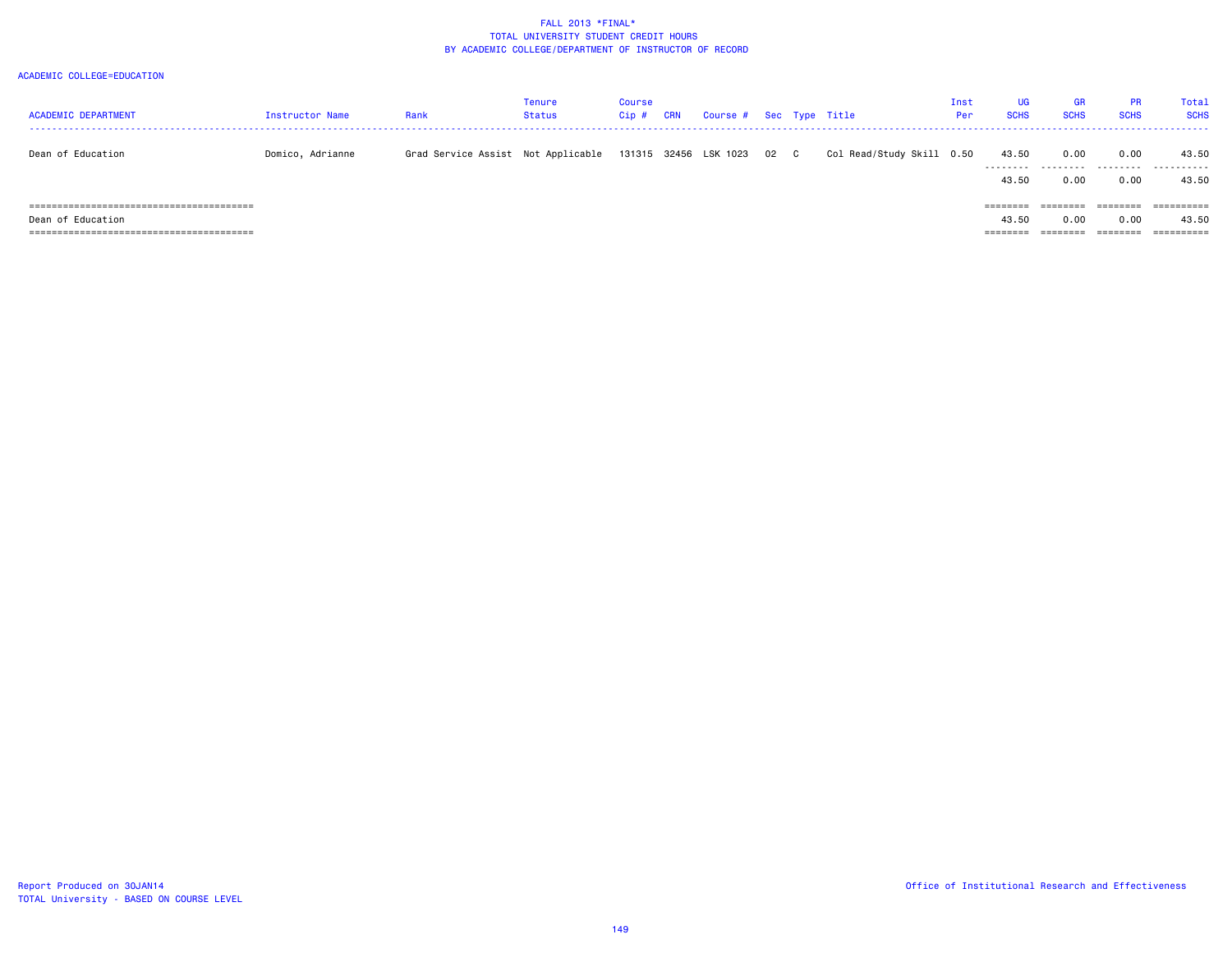| <b>ACADEMIC DEPARTMENT</b> | Instructor Name  | Rank                               | Tenure<br>Status | Course<br>Cip # | CRN | Course # Sec Type Title    |  |                           | Inst<br>Per | UG.<br><b>SCHS</b>                     | <b>GR</b><br><b>SCHS</b> | <b>PR</b><br><b>SCHS</b>     | Total<br><b>SCHS</b> |
|----------------------------|------------------|------------------------------------|------------------|-----------------|-----|----------------------------|--|---------------------------|-------------|----------------------------------------|--------------------------|------------------------------|----------------------|
| Dean of Education          | Domico, Adrianne | Grad Service Assist Not Applicable |                  |                 |     | 131315 32456 LSK 1023 02 C |  | Col Read/Study Skill 0.50 |             | 43.50<br>43.50                         | 0.00<br>0.00             | 0.00<br>0.00                 | 43.50<br>43.50       |
| Dean of Education          |                  |                                    |                  |                 |     |                            |  |                           |             | $=$ = = = = = = =<br>43.50<br>======== | 0.00                     | ========<br>0.00<br>======== | ==========<br>43.50  |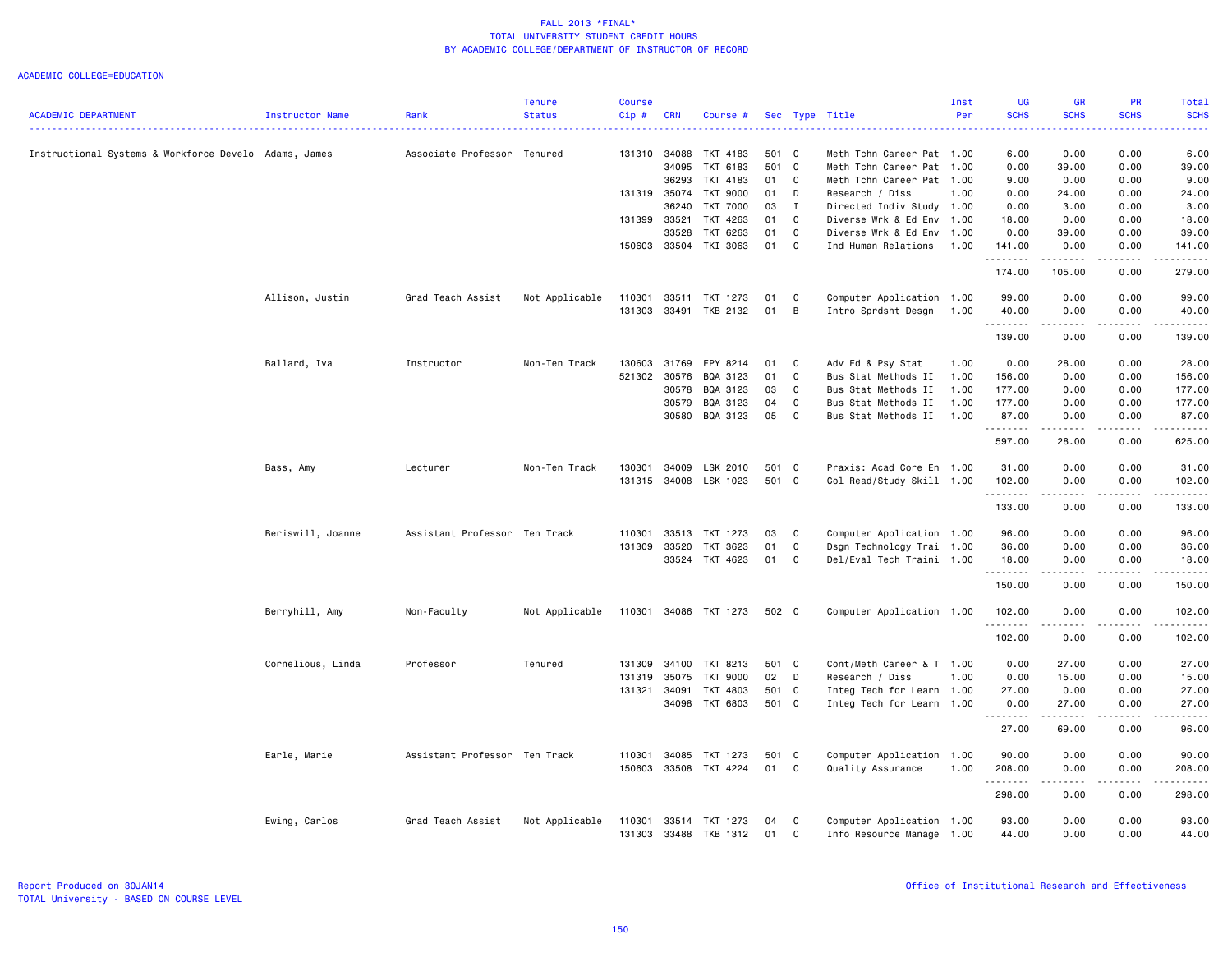| <b>SCHS</b><br><b>SCHS</b><br><b>SCHS</b><br>ACADEMIC DEPARTMENT<br>Instructor Name<br>Rank<br><b>Status</b><br>Cip#<br><b>CRN</b><br>Sec Type Title<br>Per<br>Course #<br>Associate Professor Tenured<br>131310<br>34088<br>TKT 4183<br>501 C<br>6.00<br>0.00<br>0.00<br>Instructional Systems & Workforce Develo Adams, James<br>Meth Tchn Career Pat 1.00<br>501 C<br>39.00<br>0.00<br>34095<br>TKT 6183<br>Meth Tchn Career Pat 1.00<br>0.00<br>TKT 4183<br>01<br>C<br>0.00<br>36293<br>Meth Tchn Career Pat 1.00<br>9.00<br>0.00<br>131319<br>35074<br><b>TKT 9000</b><br>01<br>D<br>Research / Diss<br>1.00<br>0.00<br>24.00<br>0.00<br>36240<br><b>TKT 7000</b><br>03<br>$\mathbf I$<br>Directed Indiv Study 1.00<br>0.00<br>3.00<br>0.00<br>131399 33521<br>TKT 4263<br>01<br>C<br>0.00<br>0.00<br>Diverse Wrk & Ed Env 1.00<br>18.00<br>33528<br>TKT 6263<br>01<br>C<br>0.00<br>39.00<br>0.00<br>Diverse Wrk & Ed Env 1.00<br>TKI 3063<br>01<br>C<br>150603 33504<br>Ind Human Relations<br>1.00<br>141.00<br>0.00<br>0.00<br>.<br>.<br>$\frac{1}{2} \left( \frac{1}{2} \right) \left( \frac{1}{2} \right) \left( \frac{1}{2} \right) \left( \frac{1}{2} \right) \left( \frac{1}{2} \right) \left( \frac{1}{2} \right)$<br>.<br>174.00<br>105.00<br>0.00<br>Allison, Justin<br>Grad Teach Assist<br>Not Applicable<br>110301<br>33511<br>TKT 1273<br>C<br>Computer Application 1.00<br>99.00<br>0.00<br>0.00<br>01<br>131303<br>33491<br>TKB 2132<br>01<br>B<br>Intro Sprdsht Desgn<br>40.00<br>0.00<br>0.00<br>1.00<br>.<br>.<br>.<br>-----<br>139.00<br>0.00<br>0.00<br>130603<br>Ballard, Iva<br>Instructor<br>Non-Ten Track<br>31769<br>EPY 8214<br>01<br>C<br>Adv Ed & Psy Stat<br>1.00<br>0.00<br>28.00<br>0.00<br>521302 30576<br>01<br>BQA 3123<br>C<br>Bus Stat Methods II<br>1.00<br>156.00<br>0.00<br>0.00<br>30578<br>BQA 3123<br>03<br>C<br>Bus Stat Methods II<br>1.00<br>177.00<br>0.00<br>0.00<br>BQA 3123<br>30579<br>04<br>C<br>Bus Stat Methods II<br>177.00<br>0.00<br>0.00<br>1.00<br>BQA 3123<br>05<br>C<br>30580<br>Bus Stat Methods II<br>1.00<br>87.00<br>0.00<br>0.00<br>.<br>597.00<br>28.00<br>0.00<br>Non-Ten Track<br>LSK 2010<br>Praxis: Acad Core En 1.00<br>31.00<br>0.00<br>0.00<br>Bass, Amy<br>Lecturer<br>130301<br>34009<br>501 C<br>131315<br>34008 LSK 1023<br>501 C<br>Col Read/Study Skill 1.00<br>102.00<br>0.00<br>0.00<br>.<br>.<br>دددددد<br>$\frac{1}{2} \left( \frac{1}{2} \right) \left( \frac{1}{2} \right) \left( \frac{1}{2} \right) \left( \frac{1}{2} \right) \left( \frac{1}{2} \right)$<br>133.00<br>0.00<br>0.00<br>Computer Application 1.00<br>Beriswill, Joanne<br>Assistant Professor Ten Track<br>110301<br>33513<br>TKT 1273<br>03<br>C<br>96.00<br>0.00<br>0.00<br>131309<br>33520<br>TKT 3623<br>01<br>C<br>Dsgn Technology Trai 1.00<br>36.00<br>0.00<br>0.00<br>33524 TKT 4623<br>01<br>$\mathbf{C}$<br>Del/Eval Tech Traini 1.00<br>18.00<br>0.00<br>0.00<br>. <b>.</b><br>$\frac{1}{2} \left( \frac{1}{2} \right) \left( \frac{1}{2} \right) \left( \frac{1}{2} \right) \left( \frac{1}{2} \right) \left( \frac{1}{2} \right)$<br>-----<br>------<br>150.00<br>0.00<br>0.00<br>Berryhill, Amy<br>Non-Faculty<br>Not Applicable<br>110301 34086 TKT 1273<br>502 C<br>Computer Application 1.00<br>102.00<br>0.00<br>0.00<br><b><i><u></u></i></b><br>.<br>.<br>.<br>102.00<br>0.00<br>0.00<br>Cornelious, Linda<br>Professor<br>Tenured<br>131309<br>34100<br>TKT 8213<br>501 C<br>Cont/Meth Career & T 1.00<br>0.00<br>27.00<br>0.00<br>TKT 9000<br>02<br>D<br>0.00<br>15.00<br>0.00<br>131319<br>35075<br>Research / Diss<br>1.00<br>131321<br>501 C<br>27.00<br>0.00<br>34091<br>TKT 4803<br>Integ Tech for Learn 1.00<br>0.00<br>TKT 6803<br>501 C<br>34098<br>Integ Tech for Learn 1.00<br>0.00<br>27.00<br>0.00<br>.<br>.<br>.<br>.<br>27.00<br>69.00<br>0.00<br>34085<br>501 C<br>0.00<br>0.00<br>Earle, Marie<br>Assistant Professor Ten Track<br>110301<br>TKT 1273<br>Computer Application 1.00<br>90.00<br>33508 TKI 4224<br>01 C<br>150603<br>Quality Assurance<br>1.00<br>208.00<br>0.00<br>0.00<br>.<br>.<br>.<br>----<br>298.00<br>0.00<br>0.00<br>Grad Teach Assist<br>Not Applicable<br>Computer Application 1.00<br>93.00<br>0.00<br>0.00<br>Ewing, Carlos<br>110301<br>33514<br>TKT 1273<br>04<br>C |  | <b>Tenure</b> | <b>Course</b> |       |          |    |   |                           | Inst | <b>UG</b> | <b>GR</b> | <b>PR</b> | Total          |
|-----------------------------------------------------------------------------------------------------------------------------------------------------------------------------------------------------------------------------------------------------------------------------------------------------------------------------------------------------------------------------------------------------------------------------------------------------------------------------------------------------------------------------------------------------------------------------------------------------------------------------------------------------------------------------------------------------------------------------------------------------------------------------------------------------------------------------------------------------------------------------------------------------------------------------------------------------------------------------------------------------------------------------------------------------------------------------------------------------------------------------------------------------------------------------------------------------------------------------------------------------------------------------------------------------------------------------------------------------------------------------------------------------------------------------------------------------------------------------------------------------------------------------------------------------------------------------------------------------------------------------------------------------------------------------------------------------------------------------------------------------------------------------------------------------------------------------------------------------------------------------------------------------------------------------------------------------------------------------------------------------------------------------------------------------------------------------------------------------------------------------------------------------------------------------------------------------------------------------------------------------------------------------------------------------------------------------------------------------------------------------------------------------------------------------------------------------------------------------------------------------------------------------------------------------------------------------------------------------------------------------------------------------------------------------------------------------------------------------------------------------------------------------------------------------------------------------------------------------------------------------------------------------------------------------------------------------------------------------------------------------------------------------------------------------------------------------------------------------------------------------------------------------------------------------------------------------------------------------------------------------------------------------------------------------------------------------------------------------------------------------------------------------------------------------------------------------------------------------------------------------------------------------------------------------------------------------------------------------------------------------------------------------------------------------------------------------------------------------------------------------------------------------------------------------------------------------------------------------------------------------------------------------------------------------------------------------------------------------------------------------------------------------------------------------------------------------------------------------------------------------------------------------------------------------------------------------------------------------------------------------------------------------------------------------|--|---------------|---------------|-------|----------|----|---|---------------------------|------|-----------|-----------|-----------|----------------|
|                                                                                                                                                                                                                                                                                                                                                                                                                                                                                                                                                                                                                                                                                                                                                                                                                                                                                                                                                                                                                                                                                                                                                                                                                                                                                                                                                                                                                                                                                                                                                                                                                                                                                                                                                                                                                                                                                                                                                                                                                                                                                                                                                                                                                                                                                                                                                                                                                                                                                                                                                                                                                                                                                                                                                                                                                                                                                                                                                                                                                                                                                                                                                                                                                                                                                                                                                                                                                                                                                                                                                                                                                                                                                                                                                                                                                                                                                                                                                                                                                                                                                                                                                                                                                                                                                                     |  |               |               |       |          |    |   |                           |      |           |           |           | <b>SCHS</b>    |
|                                                                                                                                                                                                                                                                                                                                                                                                                                                                                                                                                                                                                                                                                                                                                                                                                                                                                                                                                                                                                                                                                                                                                                                                                                                                                                                                                                                                                                                                                                                                                                                                                                                                                                                                                                                                                                                                                                                                                                                                                                                                                                                                                                                                                                                                                                                                                                                                                                                                                                                                                                                                                                                                                                                                                                                                                                                                                                                                                                                                                                                                                                                                                                                                                                                                                                                                                                                                                                                                                                                                                                                                                                                                                                                                                                                                                                                                                                                                                                                                                                                                                                                                                                                                                                                                                                     |  |               |               |       |          |    |   |                           |      |           |           |           | 6.00           |
|                                                                                                                                                                                                                                                                                                                                                                                                                                                                                                                                                                                                                                                                                                                                                                                                                                                                                                                                                                                                                                                                                                                                                                                                                                                                                                                                                                                                                                                                                                                                                                                                                                                                                                                                                                                                                                                                                                                                                                                                                                                                                                                                                                                                                                                                                                                                                                                                                                                                                                                                                                                                                                                                                                                                                                                                                                                                                                                                                                                                                                                                                                                                                                                                                                                                                                                                                                                                                                                                                                                                                                                                                                                                                                                                                                                                                                                                                                                                                                                                                                                                                                                                                                                                                                                                                                     |  |               |               |       |          |    |   |                           |      |           |           |           | 39.00          |
|                                                                                                                                                                                                                                                                                                                                                                                                                                                                                                                                                                                                                                                                                                                                                                                                                                                                                                                                                                                                                                                                                                                                                                                                                                                                                                                                                                                                                                                                                                                                                                                                                                                                                                                                                                                                                                                                                                                                                                                                                                                                                                                                                                                                                                                                                                                                                                                                                                                                                                                                                                                                                                                                                                                                                                                                                                                                                                                                                                                                                                                                                                                                                                                                                                                                                                                                                                                                                                                                                                                                                                                                                                                                                                                                                                                                                                                                                                                                                                                                                                                                                                                                                                                                                                                                                                     |  |               |               |       |          |    |   |                           |      |           |           |           | 9.00           |
|                                                                                                                                                                                                                                                                                                                                                                                                                                                                                                                                                                                                                                                                                                                                                                                                                                                                                                                                                                                                                                                                                                                                                                                                                                                                                                                                                                                                                                                                                                                                                                                                                                                                                                                                                                                                                                                                                                                                                                                                                                                                                                                                                                                                                                                                                                                                                                                                                                                                                                                                                                                                                                                                                                                                                                                                                                                                                                                                                                                                                                                                                                                                                                                                                                                                                                                                                                                                                                                                                                                                                                                                                                                                                                                                                                                                                                                                                                                                                                                                                                                                                                                                                                                                                                                                                                     |  |               |               |       |          |    |   |                           |      |           |           |           | 24.00          |
|                                                                                                                                                                                                                                                                                                                                                                                                                                                                                                                                                                                                                                                                                                                                                                                                                                                                                                                                                                                                                                                                                                                                                                                                                                                                                                                                                                                                                                                                                                                                                                                                                                                                                                                                                                                                                                                                                                                                                                                                                                                                                                                                                                                                                                                                                                                                                                                                                                                                                                                                                                                                                                                                                                                                                                                                                                                                                                                                                                                                                                                                                                                                                                                                                                                                                                                                                                                                                                                                                                                                                                                                                                                                                                                                                                                                                                                                                                                                                                                                                                                                                                                                                                                                                                                                                                     |  |               |               |       |          |    |   |                           |      |           |           |           | 3.00           |
|                                                                                                                                                                                                                                                                                                                                                                                                                                                                                                                                                                                                                                                                                                                                                                                                                                                                                                                                                                                                                                                                                                                                                                                                                                                                                                                                                                                                                                                                                                                                                                                                                                                                                                                                                                                                                                                                                                                                                                                                                                                                                                                                                                                                                                                                                                                                                                                                                                                                                                                                                                                                                                                                                                                                                                                                                                                                                                                                                                                                                                                                                                                                                                                                                                                                                                                                                                                                                                                                                                                                                                                                                                                                                                                                                                                                                                                                                                                                                                                                                                                                                                                                                                                                                                                                                                     |  |               |               |       |          |    |   |                           |      |           |           |           | 18.00          |
|                                                                                                                                                                                                                                                                                                                                                                                                                                                                                                                                                                                                                                                                                                                                                                                                                                                                                                                                                                                                                                                                                                                                                                                                                                                                                                                                                                                                                                                                                                                                                                                                                                                                                                                                                                                                                                                                                                                                                                                                                                                                                                                                                                                                                                                                                                                                                                                                                                                                                                                                                                                                                                                                                                                                                                                                                                                                                                                                                                                                                                                                                                                                                                                                                                                                                                                                                                                                                                                                                                                                                                                                                                                                                                                                                                                                                                                                                                                                                                                                                                                                                                                                                                                                                                                                                                     |  |               |               |       |          |    |   |                           |      |           |           |           | 39.00          |
|                                                                                                                                                                                                                                                                                                                                                                                                                                                                                                                                                                                                                                                                                                                                                                                                                                                                                                                                                                                                                                                                                                                                                                                                                                                                                                                                                                                                                                                                                                                                                                                                                                                                                                                                                                                                                                                                                                                                                                                                                                                                                                                                                                                                                                                                                                                                                                                                                                                                                                                                                                                                                                                                                                                                                                                                                                                                                                                                                                                                                                                                                                                                                                                                                                                                                                                                                                                                                                                                                                                                                                                                                                                                                                                                                                                                                                                                                                                                                                                                                                                                                                                                                                                                                                                                                                     |  |               |               |       |          |    |   |                           |      |           |           |           | 141.00         |
|                                                                                                                                                                                                                                                                                                                                                                                                                                                                                                                                                                                                                                                                                                                                                                                                                                                                                                                                                                                                                                                                                                                                                                                                                                                                                                                                                                                                                                                                                                                                                                                                                                                                                                                                                                                                                                                                                                                                                                                                                                                                                                                                                                                                                                                                                                                                                                                                                                                                                                                                                                                                                                                                                                                                                                                                                                                                                                                                                                                                                                                                                                                                                                                                                                                                                                                                                                                                                                                                                                                                                                                                                                                                                                                                                                                                                                                                                                                                                                                                                                                                                                                                                                                                                                                                                                     |  |               |               |       |          |    |   |                           |      |           |           |           | 279.00         |
|                                                                                                                                                                                                                                                                                                                                                                                                                                                                                                                                                                                                                                                                                                                                                                                                                                                                                                                                                                                                                                                                                                                                                                                                                                                                                                                                                                                                                                                                                                                                                                                                                                                                                                                                                                                                                                                                                                                                                                                                                                                                                                                                                                                                                                                                                                                                                                                                                                                                                                                                                                                                                                                                                                                                                                                                                                                                                                                                                                                                                                                                                                                                                                                                                                                                                                                                                                                                                                                                                                                                                                                                                                                                                                                                                                                                                                                                                                                                                                                                                                                                                                                                                                                                                                                                                                     |  |               |               |       |          |    |   |                           |      |           |           |           | 99.00          |
|                                                                                                                                                                                                                                                                                                                                                                                                                                                                                                                                                                                                                                                                                                                                                                                                                                                                                                                                                                                                                                                                                                                                                                                                                                                                                                                                                                                                                                                                                                                                                                                                                                                                                                                                                                                                                                                                                                                                                                                                                                                                                                                                                                                                                                                                                                                                                                                                                                                                                                                                                                                                                                                                                                                                                                                                                                                                                                                                                                                                                                                                                                                                                                                                                                                                                                                                                                                                                                                                                                                                                                                                                                                                                                                                                                                                                                                                                                                                                                                                                                                                                                                                                                                                                                                                                                     |  |               |               |       |          |    |   |                           |      |           |           |           | 40.00          |
|                                                                                                                                                                                                                                                                                                                                                                                                                                                                                                                                                                                                                                                                                                                                                                                                                                                                                                                                                                                                                                                                                                                                                                                                                                                                                                                                                                                                                                                                                                                                                                                                                                                                                                                                                                                                                                                                                                                                                                                                                                                                                                                                                                                                                                                                                                                                                                                                                                                                                                                                                                                                                                                                                                                                                                                                                                                                                                                                                                                                                                                                                                                                                                                                                                                                                                                                                                                                                                                                                                                                                                                                                                                                                                                                                                                                                                                                                                                                                                                                                                                                                                                                                                                                                                                                                                     |  |               |               |       |          |    |   |                           |      |           |           |           | 139.00         |
|                                                                                                                                                                                                                                                                                                                                                                                                                                                                                                                                                                                                                                                                                                                                                                                                                                                                                                                                                                                                                                                                                                                                                                                                                                                                                                                                                                                                                                                                                                                                                                                                                                                                                                                                                                                                                                                                                                                                                                                                                                                                                                                                                                                                                                                                                                                                                                                                                                                                                                                                                                                                                                                                                                                                                                                                                                                                                                                                                                                                                                                                                                                                                                                                                                                                                                                                                                                                                                                                                                                                                                                                                                                                                                                                                                                                                                                                                                                                                                                                                                                                                                                                                                                                                                                                                                     |  |               |               |       |          |    |   |                           |      |           |           |           | 28.00          |
|                                                                                                                                                                                                                                                                                                                                                                                                                                                                                                                                                                                                                                                                                                                                                                                                                                                                                                                                                                                                                                                                                                                                                                                                                                                                                                                                                                                                                                                                                                                                                                                                                                                                                                                                                                                                                                                                                                                                                                                                                                                                                                                                                                                                                                                                                                                                                                                                                                                                                                                                                                                                                                                                                                                                                                                                                                                                                                                                                                                                                                                                                                                                                                                                                                                                                                                                                                                                                                                                                                                                                                                                                                                                                                                                                                                                                                                                                                                                                                                                                                                                                                                                                                                                                                                                                                     |  |               |               |       |          |    |   |                           |      |           |           |           | 156.00         |
|                                                                                                                                                                                                                                                                                                                                                                                                                                                                                                                                                                                                                                                                                                                                                                                                                                                                                                                                                                                                                                                                                                                                                                                                                                                                                                                                                                                                                                                                                                                                                                                                                                                                                                                                                                                                                                                                                                                                                                                                                                                                                                                                                                                                                                                                                                                                                                                                                                                                                                                                                                                                                                                                                                                                                                                                                                                                                                                                                                                                                                                                                                                                                                                                                                                                                                                                                                                                                                                                                                                                                                                                                                                                                                                                                                                                                                                                                                                                                                                                                                                                                                                                                                                                                                                                                                     |  |               |               |       |          |    |   |                           |      |           |           |           | 177.00         |
|                                                                                                                                                                                                                                                                                                                                                                                                                                                                                                                                                                                                                                                                                                                                                                                                                                                                                                                                                                                                                                                                                                                                                                                                                                                                                                                                                                                                                                                                                                                                                                                                                                                                                                                                                                                                                                                                                                                                                                                                                                                                                                                                                                                                                                                                                                                                                                                                                                                                                                                                                                                                                                                                                                                                                                                                                                                                                                                                                                                                                                                                                                                                                                                                                                                                                                                                                                                                                                                                                                                                                                                                                                                                                                                                                                                                                                                                                                                                                                                                                                                                                                                                                                                                                                                                                                     |  |               |               |       |          |    |   |                           |      |           |           |           | 177.00         |
|                                                                                                                                                                                                                                                                                                                                                                                                                                                                                                                                                                                                                                                                                                                                                                                                                                                                                                                                                                                                                                                                                                                                                                                                                                                                                                                                                                                                                                                                                                                                                                                                                                                                                                                                                                                                                                                                                                                                                                                                                                                                                                                                                                                                                                                                                                                                                                                                                                                                                                                                                                                                                                                                                                                                                                                                                                                                                                                                                                                                                                                                                                                                                                                                                                                                                                                                                                                                                                                                                                                                                                                                                                                                                                                                                                                                                                                                                                                                                                                                                                                                                                                                                                                                                                                                                                     |  |               |               |       |          |    |   |                           |      |           |           |           | 87.00<br>.     |
|                                                                                                                                                                                                                                                                                                                                                                                                                                                                                                                                                                                                                                                                                                                                                                                                                                                                                                                                                                                                                                                                                                                                                                                                                                                                                                                                                                                                                                                                                                                                                                                                                                                                                                                                                                                                                                                                                                                                                                                                                                                                                                                                                                                                                                                                                                                                                                                                                                                                                                                                                                                                                                                                                                                                                                                                                                                                                                                                                                                                                                                                                                                                                                                                                                                                                                                                                                                                                                                                                                                                                                                                                                                                                                                                                                                                                                                                                                                                                                                                                                                                                                                                                                                                                                                                                                     |  |               |               |       |          |    |   |                           |      |           |           |           | 625.00         |
|                                                                                                                                                                                                                                                                                                                                                                                                                                                                                                                                                                                                                                                                                                                                                                                                                                                                                                                                                                                                                                                                                                                                                                                                                                                                                                                                                                                                                                                                                                                                                                                                                                                                                                                                                                                                                                                                                                                                                                                                                                                                                                                                                                                                                                                                                                                                                                                                                                                                                                                                                                                                                                                                                                                                                                                                                                                                                                                                                                                                                                                                                                                                                                                                                                                                                                                                                                                                                                                                                                                                                                                                                                                                                                                                                                                                                                                                                                                                                                                                                                                                                                                                                                                                                                                                                                     |  |               |               |       |          |    |   |                           |      |           |           |           | 31.00          |
|                                                                                                                                                                                                                                                                                                                                                                                                                                                                                                                                                                                                                                                                                                                                                                                                                                                                                                                                                                                                                                                                                                                                                                                                                                                                                                                                                                                                                                                                                                                                                                                                                                                                                                                                                                                                                                                                                                                                                                                                                                                                                                                                                                                                                                                                                                                                                                                                                                                                                                                                                                                                                                                                                                                                                                                                                                                                                                                                                                                                                                                                                                                                                                                                                                                                                                                                                                                                                                                                                                                                                                                                                                                                                                                                                                                                                                                                                                                                                                                                                                                                                                                                                                                                                                                                                                     |  |               |               |       |          |    |   |                           |      |           |           |           | 102.00         |
|                                                                                                                                                                                                                                                                                                                                                                                                                                                                                                                                                                                                                                                                                                                                                                                                                                                                                                                                                                                                                                                                                                                                                                                                                                                                                                                                                                                                                                                                                                                                                                                                                                                                                                                                                                                                                                                                                                                                                                                                                                                                                                                                                                                                                                                                                                                                                                                                                                                                                                                                                                                                                                                                                                                                                                                                                                                                                                                                                                                                                                                                                                                                                                                                                                                                                                                                                                                                                                                                                                                                                                                                                                                                                                                                                                                                                                                                                                                                                                                                                                                                                                                                                                                                                                                                                                     |  |               |               |       |          |    |   |                           |      |           |           |           | 133.00         |
|                                                                                                                                                                                                                                                                                                                                                                                                                                                                                                                                                                                                                                                                                                                                                                                                                                                                                                                                                                                                                                                                                                                                                                                                                                                                                                                                                                                                                                                                                                                                                                                                                                                                                                                                                                                                                                                                                                                                                                                                                                                                                                                                                                                                                                                                                                                                                                                                                                                                                                                                                                                                                                                                                                                                                                                                                                                                                                                                                                                                                                                                                                                                                                                                                                                                                                                                                                                                                                                                                                                                                                                                                                                                                                                                                                                                                                                                                                                                                                                                                                                                                                                                                                                                                                                                                                     |  |               |               |       |          |    |   |                           |      |           |           |           | 96.00          |
|                                                                                                                                                                                                                                                                                                                                                                                                                                                                                                                                                                                                                                                                                                                                                                                                                                                                                                                                                                                                                                                                                                                                                                                                                                                                                                                                                                                                                                                                                                                                                                                                                                                                                                                                                                                                                                                                                                                                                                                                                                                                                                                                                                                                                                                                                                                                                                                                                                                                                                                                                                                                                                                                                                                                                                                                                                                                                                                                                                                                                                                                                                                                                                                                                                                                                                                                                                                                                                                                                                                                                                                                                                                                                                                                                                                                                                                                                                                                                                                                                                                                                                                                                                                                                                                                                                     |  |               |               |       |          |    |   |                           |      |           |           |           | 36.00          |
|                                                                                                                                                                                                                                                                                                                                                                                                                                                                                                                                                                                                                                                                                                                                                                                                                                                                                                                                                                                                                                                                                                                                                                                                                                                                                                                                                                                                                                                                                                                                                                                                                                                                                                                                                                                                                                                                                                                                                                                                                                                                                                                                                                                                                                                                                                                                                                                                                                                                                                                                                                                                                                                                                                                                                                                                                                                                                                                                                                                                                                                                                                                                                                                                                                                                                                                                                                                                                                                                                                                                                                                                                                                                                                                                                                                                                                                                                                                                                                                                                                                                                                                                                                                                                                                                                                     |  |               |               |       |          |    |   |                           |      |           |           |           | 18.00          |
|                                                                                                                                                                                                                                                                                                                                                                                                                                                                                                                                                                                                                                                                                                                                                                                                                                                                                                                                                                                                                                                                                                                                                                                                                                                                                                                                                                                                                                                                                                                                                                                                                                                                                                                                                                                                                                                                                                                                                                                                                                                                                                                                                                                                                                                                                                                                                                                                                                                                                                                                                                                                                                                                                                                                                                                                                                                                                                                                                                                                                                                                                                                                                                                                                                                                                                                                                                                                                                                                                                                                                                                                                                                                                                                                                                                                                                                                                                                                                                                                                                                                                                                                                                                                                                                                                                     |  |               |               |       |          |    |   |                           |      |           |           |           | 150.00         |
|                                                                                                                                                                                                                                                                                                                                                                                                                                                                                                                                                                                                                                                                                                                                                                                                                                                                                                                                                                                                                                                                                                                                                                                                                                                                                                                                                                                                                                                                                                                                                                                                                                                                                                                                                                                                                                                                                                                                                                                                                                                                                                                                                                                                                                                                                                                                                                                                                                                                                                                                                                                                                                                                                                                                                                                                                                                                                                                                                                                                                                                                                                                                                                                                                                                                                                                                                                                                                                                                                                                                                                                                                                                                                                                                                                                                                                                                                                                                                                                                                                                                                                                                                                                                                                                                                                     |  |               |               |       |          |    |   |                           |      |           |           |           | 102.00         |
|                                                                                                                                                                                                                                                                                                                                                                                                                                                                                                                                                                                                                                                                                                                                                                                                                                                                                                                                                                                                                                                                                                                                                                                                                                                                                                                                                                                                                                                                                                                                                                                                                                                                                                                                                                                                                                                                                                                                                                                                                                                                                                                                                                                                                                                                                                                                                                                                                                                                                                                                                                                                                                                                                                                                                                                                                                                                                                                                                                                                                                                                                                                                                                                                                                                                                                                                                                                                                                                                                                                                                                                                                                                                                                                                                                                                                                                                                                                                                                                                                                                                                                                                                                                                                                                                                                     |  |               |               |       |          |    |   |                           |      |           |           |           | 102.00         |
|                                                                                                                                                                                                                                                                                                                                                                                                                                                                                                                                                                                                                                                                                                                                                                                                                                                                                                                                                                                                                                                                                                                                                                                                                                                                                                                                                                                                                                                                                                                                                                                                                                                                                                                                                                                                                                                                                                                                                                                                                                                                                                                                                                                                                                                                                                                                                                                                                                                                                                                                                                                                                                                                                                                                                                                                                                                                                                                                                                                                                                                                                                                                                                                                                                                                                                                                                                                                                                                                                                                                                                                                                                                                                                                                                                                                                                                                                                                                                                                                                                                                                                                                                                                                                                                                                                     |  |               |               |       |          |    |   |                           |      |           |           |           | 27.00          |
|                                                                                                                                                                                                                                                                                                                                                                                                                                                                                                                                                                                                                                                                                                                                                                                                                                                                                                                                                                                                                                                                                                                                                                                                                                                                                                                                                                                                                                                                                                                                                                                                                                                                                                                                                                                                                                                                                                                                                                                                                                                                                                                                                                                                                                                                                                                                                                                                                                                                                                                                                                                                                                                                                                                                                                                                                                                                                                                                                                                                                                                                                                                                                                                                                                                                                                                                                                                                                                                                                                                                                                                                                                                                                                                                                                                                                                                                                                                                                                                                                                                                                                                                                                                                                                                                                                     |  |               |               |       |          |    |   |                           |      |           |           |           | 15.00          |
|                                                                                                                                                                                                                                                                                                                                                                                                                                                                                                                                                                                                                                                                                                                                                                                                                                                                                                                                                                                                                                                                                                                                                                                                                                                                                                                                                                                                                                                                                                                                                                                                                                                                                                                                                                                                                                                                                                                                                                                                                                                                                                                                                                                                                                                                                                                                                                                                                                                                                                                                                                                                                                                                                                                                                                                                                                                                                                                                                                                                                                                                                                                                                                                                                                                                                                                                                                                                                                                                                                                                                                                                                                                                                                                                                                                                                                                                                                                                                                                                                                                                                                                                                                                                                                                                                                     |  |               |               |       |          |    |   |                           |      |           |           |           | 27.00          |
|                                                                                                                                                                                                                                                                                                                                                                                                                                                                                                                                                                                                                                                                                                                                                                                                                                                                                                                                                                                                                                                                                                                                                                                                                                                                                                                                                                                                                                                                                                                                                                                                                                                                                                                                                                                                                                                                                                                                                                                                                                                                                                                                                                                                                                                                                                                                                                                                                                                                                                                                                                                                                                                                                                                                                                                                                                                                                                                                                                                                                                                                                                                                                                                                                                                                                                                                                                                                                                                                                                                                                                                                                                                                                                                                                                                                                                                                                                                                                                                                                                                                                                                                                                                                                                                                                                     |  |               |               |       |          |    |   |                           |      |           |           |           | 27.00          |
|                                                                                                                                                                                                                                                                                                                                                                                                                                                                                                                                                                                                                                                                                                                                                                                                                                                                                                                                                                                                                                                                                                                                                                                                                                                                                                                                                                                                                                                                                                                                                                                                                                                                                                                                                                                                                                                                                                                                                                                                                                                                                                                                                                                                                                                                                                                                                                                                                                                                                                                                                                                                                                                                                                                                                                                                                                                                                                                                                                                                                                                                                                                                                                                                                                                                                                                                                                                                                                                                                                                                                                                                                                                                                                                                                                                                                                                                                                                                                                                                                                                                                                                                                                                                                                                                                                     |  |               |               |       |          |    |   |                           |      |           |           |           | 96.00          |
|                                                                                                                                                                                                                                                                                                                                                                                                                                                                                                                                                                                                                                                                                                                                                                                                                                                                                                                                                                                                                                                                                                                                                                                                                                                                                                                                                                                                                                                                                                                                                                                                                                                                                                                                                                                                                                                                                                                                                                                                                                                                                                                                                                                                                                                                                                                                                                                                                                                                                                                                                                                                                                                                                                                                                                                                                                                                                                                                                                                                                                                                                                                                                                                                                                                                                                                                                                                                                                                                                                                                                                                                                                                                                                                                                                                                                                                                                                                                                                                                                                                                                                                                                                                                                                                                                                     |  |               |               |       |          |    |   |                           |      |           |           |           | 90.00          |
|                                                                                                                                                                                                                                                                                                                                                                                                                                                                                                                                                                                                                                                                                                                                                                                                                                                                                                                                                                                                                                                                                                                                                                                                                                                                                                                                                                                                                                                                                                                                                                                                                                                                                                                                                                                                                                                                                                                                                                                                                                                                                                                                                                                                                                                                                                                                                                                                                                                                                                                                                                                                                                                                                                                                                                                                                                                                                                                                                                                                                                                                                                                                                                                                                                                                                                                                                                                                                                                                                                                                                                                                                                                                                                                                                                                                                                                                                                                                                                                                                                                                                                                                                                                                                                                                                                     |  |               |               |       |          |    |   |                           |      |           |           |           | 208,00         |
|                                                                                                                                                                                                                                                                                                                                                                                                                                                                                                                                                                                                                                                                                                                                                                                                                                                                                                                                                                                                                                                                                                                                                                                                                                                                                                                                                                                                                                                                                                                                                                                                                                                                                                                                                                                                                                                                                                                                                                                                                                                                                                                                                                                                                                                                                                                                                                                                                                                                                                                                                                                                                                                                                                                                                                                                                                                                                                                                                                                                                                                                                                                                                                                                                                                                                                                                                                                                                                                                                                                                                                                                                                                                                                                                                                                                                                                                                                                                                                                                                                                                                                                                                                                                                                                                                                     |  |               |               |       |          |    |   |                           |      |           |           |           | 298.00         |
|                                                                                                                                                                                                                                                                                                                                                                                                                                                                                                                                                                                                                                                                                                                                                                                                                                                                                                                                                                                                                                                                                                                                                                                                                                                                                                                                                                                                                                                                                                                                                                                                                                                                                                                                                                                                                                                                                                                                                                                                                                                                                                                                                                                                                                                                                                                                                                                                                                                                                                                                                                                                                                                                                                                                                                                                                                                                                                                                                                                                                                                                                                                                                                                                                                                                                                                                                                                                                                                                                                                                                                                                                                                                                                                                                                                                                                                                                                                                                                                                                                                                                                                                                                                                                                                                                                     |  |               | 131303        | 33488 | TKB 1312 | 01 | C | Info Resource Manage 1.00 |      | 44.00     | 0.00      | 0.00      | 93.00<br>44.00 |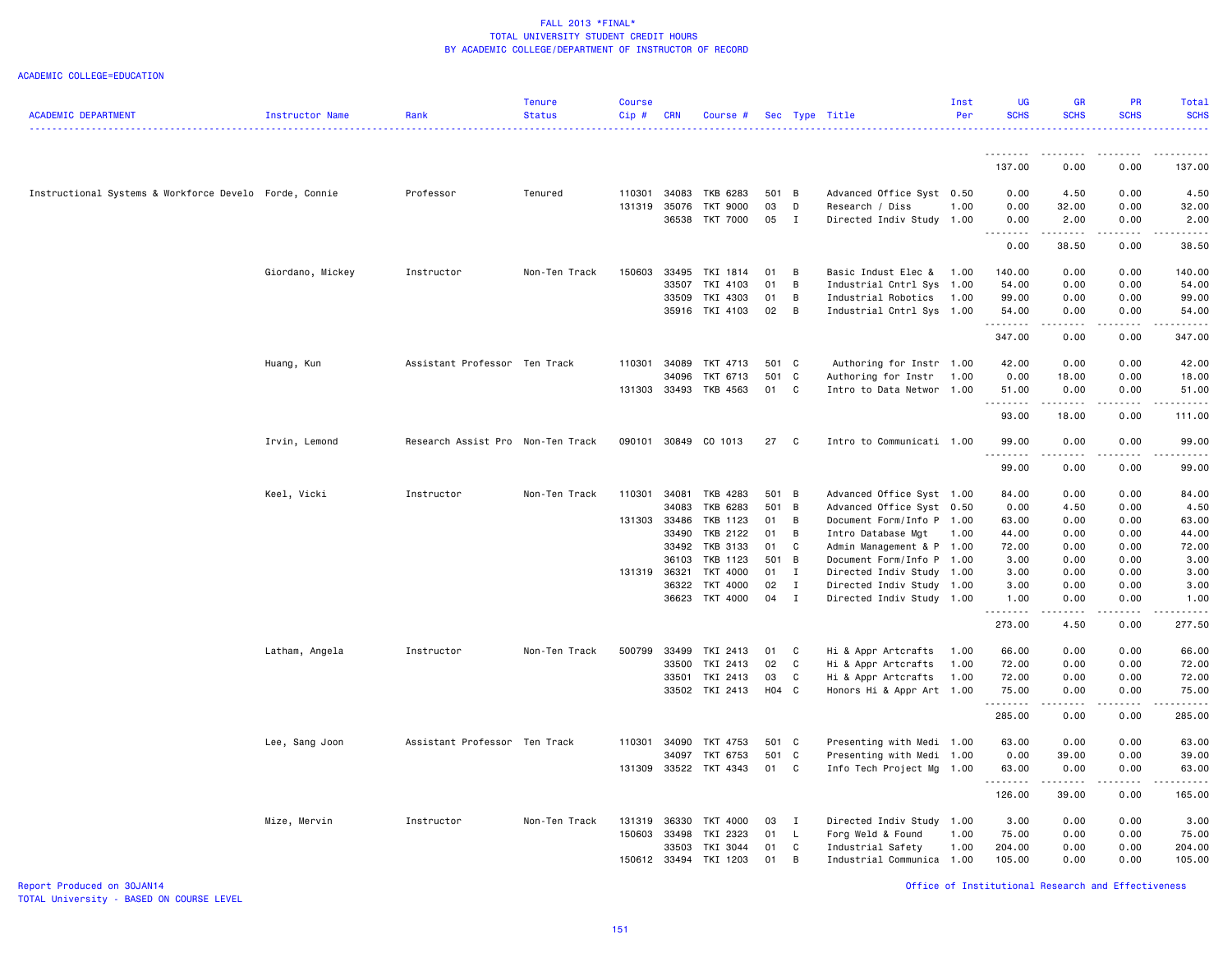### ACADEMIC COLLEGE=EDUCATION

|                                                        |                  |                                   | <b>Tenure</b> | <b>Course</b> |              |                       |         |                |                           | Inst | <b>UG</b>        | <b>GR</b>                                                                                                                 | PR              | Total                                                                                                                                                        |
|--------------------------------------------------------|------------------|-----------------------------------|---------------|---------------|--------------|-----------------------|---------|----------------|---------------------------|------|------------------|---------------------------------------------------------------------------------------------------------------------------|-----------------|--------------------------------------------------------------------------------------------------------------------------------------------------------------|
| <b>ACADEMIC DEPARTMENT</b>                             | Instructor Name  | Rank                              | <b>Status</b> | Cip#          | <b>CRN</b>   | Course #              |         |                | Sec Type Title            | Per  | <b>SCHS</b>      | <b>SCHS</b>                                                                                                               | <b>SCHS</b>     | <b>SCHS</b>                                                                                                                                                  |
|                                                        |                  |                                   |               |               |              |                       |         |                |                           |      | .                | $\frac{1}{2} \left( \frac{1}{2} \right) \left( \frac{1}{2} \right) \left( \frac{1}{2} \right) \left( \frac{1}{2} \right)$ |                 |                                                                                                                                                              |
|                                                        |                  |                                   |               |               |              |                       |         |                |                           |      | 137.00           | 0.00                                                                                                                      | 0.00            | 137.00                                                                                                                                                       |
| Instructional Systems & Workforce Develo Forde, Connie |                  | Professor                         | Tenured       | 110301        | 34083        | TKB 6283              | 501 B   |                | Advanced Office Syst 0.50 |      | 0.00             | 4.50                                                                                                                      | 0.00            | 4.50                                                                                                                                                         |
|                                                        |                  |                                   |               | 131319        | 35076        | TKT 9000              | 03      | D              | Research / Diss           | 1.00 | 0.00             | 32.00                                                                                                                     | 0.00            | 32.00                                                                                                                                                        |
|                                                        |                  |                                   |               |               |              | 36538 TKT 7000        | 05      | $\mathbf{I}$   | Directed Indiv Study 1.00 |      | 0.00<br><u>.</u> | 2.00                                                                                                                      | 0.00            | 2.00                                                                                                                                                         |
|                                                        |                  |                                   |               |               |              |                       |         |                |                           |      | 0.00             | 38.50                                                                                                                     | 0.00            | 38.50                                                                                                                                                        |
|                                                        | Giordano, Mickey | Instructor                        | Non-Ten Track | 150603        | 33495        | TKI 1814              | 01      | $\overline{B}$ | Basic Indust Elec &       | 1.00 | 140.00           | 0.00                                                                                                                      | 0.00            | 140.00                                                                                                                                                       |
|                                                        |                  |                                   |               |               | 33507        | TKI 4103              | 01      | $\overline{B}$ | Industrial Cntrl Sys 1.00 |      | 54.00            | 0.00                                                                                                                      | 0.00            | 54.00                                                                                                                                                        |
|                                                        |                  |                                   |               |               | 33509        | TKI 4303              | 01      | $\overline{B}$ | Industrial Robotics       | 1.00 | 99.00            | 0.00                                                                                                                      | 0.00            | 99.00                                                                                                                                                        |
|                                                        |                  |                                   |               |               | 35916        | TKI 4103              | 02      | B              | Industrial Cntrl Sys 1.00 |      | 54.00<br>.       | 0.00<br>.                                                                                                                 | 0.00<br>.       | 54.00<br>.                                                                                                                                                   |
|                                                        |                  |                                   |               |               |              |                       |         |                |                           |      | 347.00           | 0.00                                                                                                                      | 0.00            | 347.00                                                                                                                                                       |
|                                                        | Huang, Kun       | Assistant Professor Ten Track     |               | 110301        | 34089        | TKT 4713              | 501 C   |                | Authoring for Instr 1.00  |      | 42.00            | 0.00                                                                                                                      | 0.00            | 42.00                                                                                                                                                        |
|                                                        |                  |                                   |               |               | 34096        | TKT 6713              | 501 C   |                | Authoring for Instr       | 1.00 | 0.00             | 18.00                                                                                                                     | 0.00            | 18.00                                                                                                                                                        |
|                                                        |                  |                                   |               |               |              | 131303 33493 TKB 4563 | 01 C    |                | Intro to Data Networ 1.00 |      | 51.00<br>.       | 0.00                                                                                                                      | 0.00            | 51.00                                                                                                                                                        |
|                                                        |                  |                                   |               |               |              |                       |         |                |                           |      | 93.00            | 18.00                                                                                                                     | 0.00            | 111.00                                                                                                                                                       |
|                                                        | Irvin, Lemond    | Research Assist Pro Non-Ten Track |               |               |              | 090101 30849 CO 1013  | 27      | $\mathbf{C}$   | Intro to Communicati 1.00 |      | 99.00<br>.       | 0.00<br>----                                                                                                              | 0.00            | 99.00                                                                                                                                                        |
|                                                        |                  |                                   |               |               |              |                       |         |                |                           |      | 99.00            | 0.00                                                                                                                      | 0.00            | 99.00                                                                                                                                                        |
|                                                        | Keel, Vicki      | Instructor                        | Non-Ten Track | 110301        | 34081        | TKB 4283              | 501 B   |                | Advanced Office Syst 1.00 |      | 84.00            | 0.00                                                                                                                      | 0.00            | 84.00                                                                                                                                                        |
|                                                        |                  |                                   |               |               | 34083        | TKB 6283              | 501 B   |                | Advanced Office Syst 0.50 |      | 0.00             | 4.50                                                                                                                      | 0.00            | 4.50                                                                                                                                                         |
|                                                        |                  |                                   |               | 131303        | 33486        | TKB 1123              | 01 B    |                | Document Form/Info P 1.00 |      | 63.00            | 0.00                                                                                                                      | 0.00            | 63.00                                                                                                                                                        |
|                                                        |                  |                                   |               |               | 33490        | TKB 2122              | 01      | B              | Intro Database Mgt        | 1.00 | 44.00            | 0.00                                                                                                                      | 0.00            | 44.00                                                                                                                                                        |
|                                                        |                  |                                   |               |               |              | 33492 TKB 3133        | 01 C    |                | Admin Management & P 1.00 |      | 72.00            | 0.00                                                                                                                      | 0.00            | 72.00                                                                                                                                                        |
|                                                        |                  |                                   |               |               | 36103        | TKB 1123              | 501 B   |                | Document Form/Info P 1.00 |      | 3.00             | 0.00                                                                                                                      | 0.00            | 3.00                                                                                                                                                         |
|                                                        |                  |                                   |               | 131319        | 36321        | TKT 4000              | $01$ I  |                | Directed Indiv Study 1.00 |      | 3.00             | 0.00                                                                                                                      | 0.00            | 3.00                                                                                                                                                         |
|                                                        |                  |                                   |               |               | 36322        | TKT 4000              | 02      | $\mathbf{I}$   | Directed Indiv Study 1.00 |      | 3.00             | 0.00                                                                                                                      | 0.00            | 3.00                                                                                                                                                         |
|                                                        |                  |                                   |               |               |              | 36623 TKT 4000        | 04 I    |                | Directed Indiv Study 1.00 |      | 1.00<br><u>.</u> | 0.00<br>.                                                                                                                 | 0.00<br>.       | 1.00<br>$\frac{1}{2} \left( \frac{1}{2} \right) \left( \frac{1}{2} \right) \left( \frac{1}{2} \right) \left( \frac{1}{2} \right) \left( \frac{1}{2} \right)$ |
|                                                        |                  |                                   |               |               |              |                       |         |                |                           |      | 273.00           | 4.50                                                                                                                      | 0.00            | 277.50                                                                                                                                                       |
|                                                        | Latham, Angela   | Instructor                        | Non-Ten Track | 500799        | 33499        | TKI 2413              | 01      | $\mathbf{C}$   | Hi & Appr Artcrafts       | 1.00 | 66.00            | 0.00                                                                                                                      | 0.00            | 66.00                                                                                                                                                        |
|                                                        |                  |                                   |               |               | 33500        | TKI 2413              | 02      | C              | Hi & Appr Artcrafts       | 1.00 | 72.00            | 0.00                                                                                                                      | 0.00            | 72.00                                                                                                                                                        |
|                                                        |                  |                                   |               |               |              | 33501 TKI 2413        | 03      | C              | Hi & Appr Artcrafts       | 1.00 | 72.00            | 0.00                                                                                                                      | 0.00            | 72.00                                                                                                                                                        |
|                                                        |                  |                                   |               |               |              | 33502 TKI 2413        | $H04$ C |                | Honors Hi & Appr Art 1.00 |      | 75.00<br>.       | 0.00<br>.                                                                                                                 | 0.00<br>د د د د | 75.00                                                                                                                                                        |
|                                                        |                  |                                   |               |               |              |                       |         |                |                           |      | 285.00           | 0.00                                                                                                                      | 0.00            | 285.00                                                                                                                                                       |
|                                                        | Lee, Sang Joon   | Assistant Professor Ten Track     |               | 110301        | 34090        | TKT 4753              | 501 C   |                | Presenting with Medi 1.00 |      | 63.00            | 0.00                                                                                                                      | 0.00            | 63.00                                                                                                                                                        |
|                                                        |                  |                                   |               |               | 34097        | TKT 6753              | 501 C   |                | Presenting with Medi 1.00 |      | 0.00             | 39.00                                                                                                                     | 0.00            | 39.00                                                                                                                                                        |
|                                                        |                  |                                   |               | 131309        |              | 33522 TKT 4343        | 01 C    |                | Info Tech Project Mg      | 1.00 | 63,00            | 0.00                                                                                                                      | 0.00            | 63.00                                                                                                                                                        |
|                                                        |                  |                                   |               |               |              |                       |         |                |                           |      | 126.00           | 39.00                                                                                                                     | 0.00            | 165.00                                                                                                                                                       |
|                                                        | Mize, Mervin     | Instructor                        | Non-Ten Track | 131319        | 36330        | TKT 4000              | 03      | $\mathbf{I}$   | Directed Indiv Study 1.00 |      | 3.00             | 0.00                                                                                                                      | 0.00            | 3.00                                                                                                                                                         |
|                                                        |                  |                                   |               | 150603        | 33498        | TKI 2323              | 01      | $\mathsf{L}$   | Forg Weld & Found         | 1.00 | 75.00            | 0.00                                                                                                                      | 0.00            | 75.00                                                                                                                                                        |
|                                                        |                  |                                   |               |               | 33503        | TKI 3044              | 01      | C              | Industrial Safety         | 1.00 | 204.00           | 0.00                                                                                                                      | 0.00            | 204.00                                                                                                                                                       |
|                                                        |                  |                                   |               |               | 150612 33494 | TKI 1203              | 01      | $\mathbf{B}$   | Industrial Communica 1.00 |      | 105.00           | 0.00                                                                                                                      | 0.00            | 105.00                                                                                                                                                       |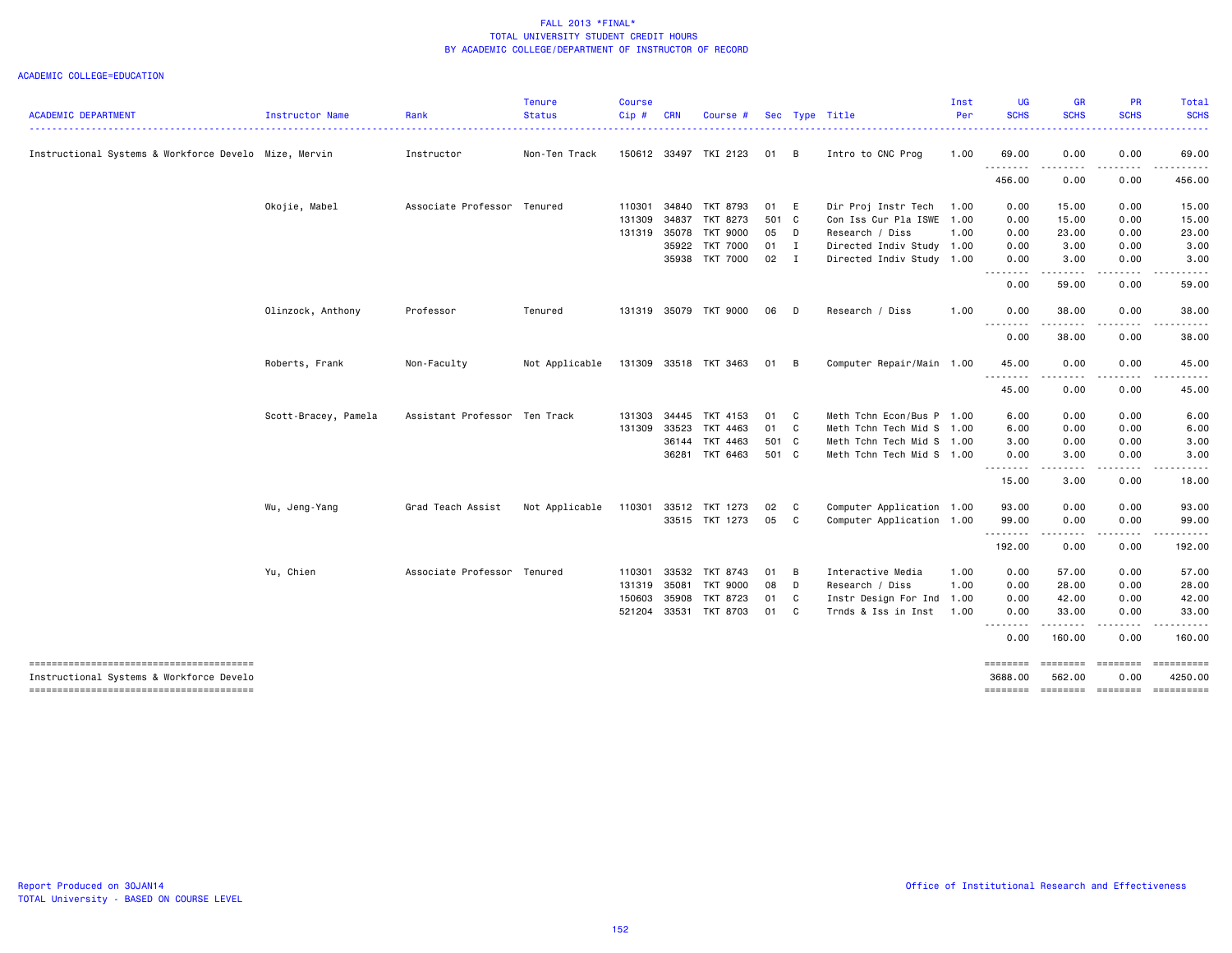|                                                                                    |                      |                               | <b>Tenure</b>  | <b>Course</b> |            |                       |        |              |                           | Inst | <b>UG</b>                 | <b>GR</b>                                                                                                                         | PR                                                                                                                      | <b>Total</b>                                                                                                                                                                                                                                                                                                                                                                                                                                    |
|------------------------------------------------------------------------------------|----------------------|-------------------------------|----------------|---------------|------------|-----------------------|--------|--------------|---------------------------|------|---------------------------|-----------------------------------------------------------------------------------------------------------------------------------|-------------------------------------------------------------------------------------------------------------------------|-------------------------------------------------------------------------------------------------------------------------------------------------------------------------------------------------------------------------------------------------------------------------------------------------------------------------------------------------------------------------------------------------------------------------------------------------|
| <b>ACADEMIC DEPARTMENT</b>                                                         | Instructor Name      | Rank                          | <b>Status</b>  | Cip#          | <b>CRN</b> | Course #              |        |              | Sec Type Title            | Per  | <b>SCHS</b>               | <b>SCHS</b>                                                                                                                       | <b>SCHS</b>                                                                                                             | <b>SCHS</b>                                                                                                                                                                                                                                                                                                                                                                                                                                     |
| Instructional Systems & Workforce Develo Mize, Mervin                              |                      | Instructor                    | Non-Ten Track  |               |            | 150612 33497 TKI 2123 | 01 B   |              | Intro to CNC Prog         | 1.00 | 69.00                     | 0.00                                                                                                                              | 0.00                                                                                                                    | 69.00                                                                                                                                                                                                                                                                                                                                                                                                                                           |
|                                                                                    |                      |                               |                |               |            |                       |        |              |                           |      | .<br>456.00               | - - - -<br>0.00                                                                                                                   | 0.00                                                                                                                    | 456.00                                                                                                                                                                                                                                                                                                                                                                                                                                          |
|                                                                                    | Okojie, Mabel        | Associate Professor Tenured   |                | 110301        |            | 34840 TKT 8793        | 01 E   |              | Dir Proj Instr Tech       | 1.00 | 0.00                      | 15.00                                                                                                                             | 0.00                                                                                                                    | 15.00                                                                                                                                                                                                                                                                                                                                                                                                                                           |
|                                                                                    |                      |                               |                | 131309        | 34837      | TKT 8273              | 501 C  |              | Con Iss Cur Pla ISWE 1.00 |      | 0.00                      | 15.00                                                                                                                             | 0.00                                                                                                                    | 15.00                                                                                                                                                                                                                                                                                                                                                                                                                                           |
|                                                                                    |                      |                               |                |               |            | 131319 35078 TKT 9000 | 05     | D D          | Research / Diss           | 1.00 | 0.00                      | 23.00                                                                                                                             | 0.00                                                                                                                    | 23.00                                                                                                                                                                                                                                                                                                                                                                                                                                           |
|                                                                                    |                      |                               |                |               |            | 35922 TKT 7000        | $01$ I |              | Directed Indiv Study 1.00 |      | 0.00                      | 3.00                                                                                                                              | 0.00                                                                                                                    | 3.00                                                                                                                                                                                                                                                                                                                                                                                                                                            |
|                                                                                    |                      |                               |                |               |            | 35938 TKT 7000        | 02 I   |              | Directed Indiv Study 1.00 |      | 0.00<br><u>.</u>          | 3.00<br>.                                                                                                                         | 0.00                                                                                                                    | 3.00                                                                                                                                                                                                                                                                                                                                                                                                                                            |
|                                                                                    |                      |                               |                |               |            |                       |        |              |                           |      | 0.00                      | 59.00                                                                                                                             | 0.00                                                                                                                    | 59.00                                                                                                                                                                                                                                                                                                                                                                                                                                           |
|                                                                                    | Olinzock, Anthony    | Professor                     | Tenured        |               |            | 131319 35079 TKT 9000 | 06     | $\Box$       | Research / Diss           | 1.00 | 0.00<br>----              | 38.00                                                                                                                             | 0.00                                                                                                                    | 38.00                                                                                                                                                                                                                                                                                                                                                                                                                                           |
|                                                                                    |                      |                               |                |               |            |                       |        |              |                           |      | 0.00                      | 38.00                                                                                                                             | 0.00                                                                                                                    | 38.00                                                                                                                                                                                                                                                                                                                                                                                                                                           |
|                                                                                    | Roberts, Frank       | Non-Faculty                   | Not Applicable |               |            | 131309 33518 TKT 3463 | 01 B   |              | Computer Repair/Main 1.00 |      | 45.00                     | 0.00                                                                                                                              | 0.00                                                                                                                    | 45.00                                                                                                                                                                                                                                                                                                                                                                                                                                           |
|                                                                                    |                      |                               |                |               |            |                       |        |              |                           |      | .<br>45.00                | 0.00                                                                                                                              | 0.00                                                                                                                    | 45.00                                                                                                                                                                                                                                                                                                                                                                                                                                           |
|                                                                                    | Scott-Bracey, Pamela | Assistant Professor Ten Track |                | 131303        | 34445      | TKT 4153              | 01 C   |              | Meth Tchn Econ/Bus P 1.00 |      | 6.00                      | 0.00                                                                                                                              | 0.00                                                                                                                    | 6.00                                                                                                                                                                                                                                                                                                                                                                                                                                            |
|                                                                                    |                      |                               |                | 131309        | 33523      | TKT 4463              | 01 C   |              | Meth Tchn Tech Mid S 1.00 |      | 6.00                      | 0.00                                                                                                                              | 0.00                                                                                                                    | 6.00                                                                                                                                                                                                                                                                                                                                                                                                                                            |
|                                                                                    |                      |                               |                |               |            | 36144 TKT 4463        | 501 C  |              | Meth Tchn Tech Mid S 1.00 |      | 3.00                      | 0.00                                                                                                                              | 0.00                                                                                                                    | 3.00                                                                                                                                                                                                                                                                                                                                                                                                                                            |
|                                                                                    |                      |                               |                |               |            | 36281 TKT 6463        | 501 C  |              | Meth Tchn Tech Mid S 1.00 |      | 0.00<br>--------          | 3.00<br>$\frac{1}{2} \left( \frac{1}{2} \right) \left( \frac{1}{2} \right) \left( \frac{1}{2} \right) \left( \frac{1}{2} \right)$ | 0.00<br>.                                                                                                               | 3.00                                                                                                                                                                                                                                                                                                                                                                                                                                            |
|                                                                                    |                      |                               |                |               |            |                       |        |              |                           |      | 15.00                     | 3.00                                                                                                                              | 0.00                                                                                                                    | 18.00                                                                                                                                                                                                                                                                                                                                                                                                                                           |
|                                                                                    | Wu, Jeng-Yang        | Grad Teach Assist             | Not Applicable | 110301        |            | 33512 TKT 1273        | 02     | $\mathbf{C}$ | Computer Application 1.00 |      | 93.00                     | 0.00                                                                                                                              | 0.00                                                                                                                    | 93.00                                                                                                                                                                                                                                                                                                                                                                                                                                           |
|                                                                                    |                      |                               |                |               |            | 33515 TKT 1273        | 05     | $\mathbf{C}$ | Computer Application 1.00 |      | 99.00                     | 0.00                                                                                                                              | 0.00                                                                                                                    | 99.00                                                                                                                                                                                                                                                                                                                                                                                                                                           |
|                                                                                    |                      |                               |                |               |            |                       |        |              |                           |      | .                         | .                                                                                                                                 |                                                                                                                         |                                                                                                                                                                                                                                                                                                                                                                                                                                                 |
|                                                                                    |                      |                               |                |               |            |                       |        |              |                           |      | 192.00                    | 0.00                                                                                                                              | 0.00                                                                                                                    | 192.00                                                                                                                                                                                                                                                                                                                                                                                                                                          |
|                                                                                    | Yu, Chien            | Associate Professor Tenured   |                | 110301        |            | 33532 TKT 8743        | 01 B   |              | Interactive Media         | 1.00 | 0.00                      | 57.00                                                                                                                             | 0.00                                                                                                                    | 57.00                                                                                                                                                                                                                                                                                                                                                                                                                                           |
|                                                                                    |                      |                               |                | 131319        | 35081      | <b>TKT 9000</b>       | 08     | $\mathsf{D}$ | Research / Diss           | 1.00 | 0.00                      | 28.00                                                                                                                             | 0.00                                                                                                                    | 28.00                                                                                                                                                                                                                                                                                                                                                                                                                                           |
|                                                                                    |                      |                               |                | 150603        | 35908      | TKT 8723              | 01 C   |              | Instr Design For Ind      | 1.00 | 0.00                      | 42.00                                                                                                                             | 0.00                                                                                                                    | 42.00                                                                                                                                                                                                                                                                                                                                                                                                                                           |
|                                                                                    |                      |                               |                | 521204        |            | 33531 TKT 8703        | 01 C   |              | Trnds & Iss in Inst       | 1.00 | 0.00<br>- - - - - - - -   | 33.00<br>.                                                                                                                        | 0.00<br>$\begin{array}{cccccccccccccc} \bullet & \bullet & \bullet & \bullet & \bullet & \bullet & \bullet \end{array}$ | 33.00                                                                                                                                                                                                                                                                                                                                                                                                                                           |
|                                                                                    |                      |                               |                |               |            |                       |        |              |                           |      | 0.00                      | 160.00                                                                                                                            | 0.00                                                                                                                    | 160.00                                                                                                                                                                                                                                                                                                                                                                                                                                          |
| --------------------------------------<br>Instructional Systems & Workforce Develo |                      |                               |                |               |            |                       |        |              |                           |      | <b>EBBERED</b><br>3688.00 | <b>EEEEEEE</b><br>562.00                                                                                                          | ========<br>0.00                                                                                                        | $\begin{minipage}{0.9\linewidth} \hspace*{-0.2cm} \textbf{1} & \textbf{2} & \textbf{3} & \textbf{5} & \textbf{6} & \textbf{7} \\ \textbf{5} & \textbf{6} & \textbf{7} & \textbf{8} & \textbf{8} & \textbf{9} & \textbf{1} \\ \textbf{6} & \textbf{8} & \textbf{8} & \textbf{8} & \textbf{9} & \textbf{1} \\ \textbf{7} & \textbf{9} & \textbf{9} & \textbf{1} & \textbf{1} & \textbf{1} \\ \textbf{8} & \textbf{1} & \textbf{1} & \$<br>4250.00 |
|                                                                                    |                      |                               |                |               |            |                       |        |              |                           |      | ========                  | ========                                                                                                                          | $=$ ========                                                                                                            | ==========                                                                                                                                                                                                                                                                                                                                                                                                                                      |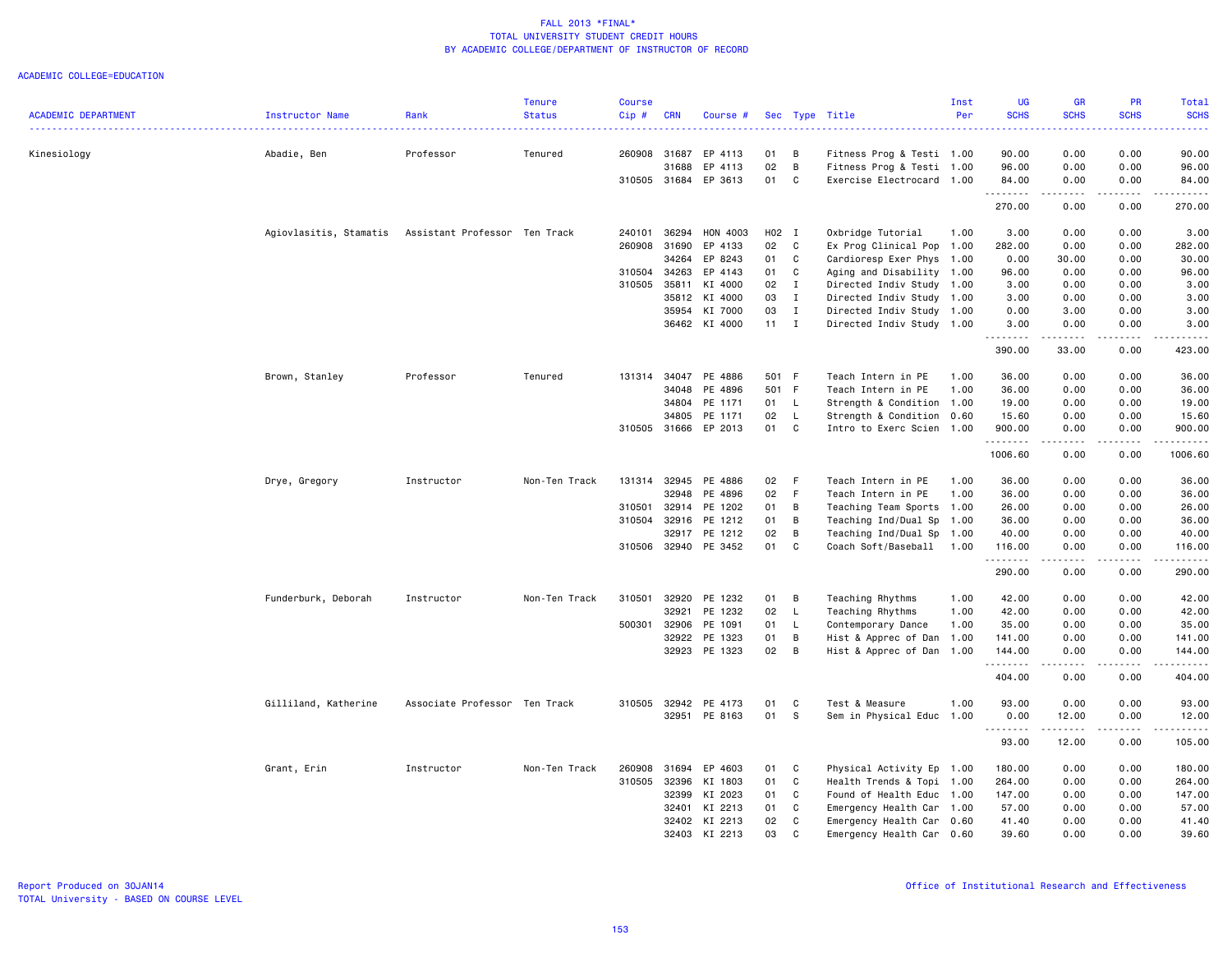|                            |                        |                               | <b>Tenure</b> | <b>Course</b> |            |                      |              |              |                           | Inst | <b>UG</b>    | <b>GR</b>                                                                                                                                                                                                                                                                                                                            | PR                    | Total                                                                                                                                    |
|----------------------------|------------------------|-------------------------------|---------------|---------------|------------|----------------------|--------------|--------------|---------------------------|------|--------------|--------------------------------------------------------------------------------------------------------------------------------------------------------------------------------------------------------------------------------------------------------------------------------------------------------------------------------------|-----------------------|------------------------------------------------------------------------------------------------------------------------------------------|
| <b>ACADEMIC DEPARTMENT</b> | Instructor Name        | Rank                          | <b>Status</b> | Cip#          | <b>CRN</b> | Course #             |              |              | Sec Type Title            | Per  | <b>SCHS</b>  | <b>SCHS</b>                                                                                                                                                                                                                                                                                                                          | <b>SCHS</b>           | <b>SCHS</b><br>$\frac{1}{2} \left( \frac{1}{2} \right) \left( \frac{1}{2} \right) \left( \frac{1}{2} \right) \left( \frac{1}{2} \right)$ |
| Kinesiology                | Abadie, Ben            | Professor                     | Tenured       | 260908        | 31687      | EP 4113              | 01           | B            | Fitness Prog & Testi 1.00 |      | 90.00        | 0.00                                                                                                                                                                                                                                                                                                                                 | 0.00                  | 90.00                                                                                                                                    |
|                            |                        |                               |               |               | 31688      | EP 4113              | 02           | B            | Fitness Prog & Testi 1.00 |      | 96.00        | 0.00                                                                                                                                                                                                                                                                                                                                 | 0.00                  | 96.00                                                                                                                                    |
|                            |                        |                               |               | 310505 31684  |            | EP 3613              | 01           | C            | Exercise Electrocard 1.00 |      | 84.00        | 0.00                                                                                                                                                                                                                                                                                                                                 | 0.00                  | 84.00                                                                                                                                    |
|                            |                        |                               |               |               |            |                      |              |              |                           |      | .            | $\frac{1}{2} \left( \begin{array}{ccc} 1 & 0 & 0 & 0 \\ 0 & 0 & 0 & 0 \\ 0 & 0 & 0 & 0 \\ 0 & 0 & 0 & 0 \\ 0 & 0 & 0 & 0 \\ 0 & 0 & 0 & 0 \\ 0 & 0 & 0 & 0 \\ 0 & 0 & 0 & 0 \\ 0 & 0 & 0 & 0 \\ 0 & 0 & 0 & 0 \\ 0 & 0 & 0 & 0 & 0 \\ 0 & 0 & 0 & 0 & 0 \\ 0 & 0 & 0 & 0 & 0 \\ 0 & 0 & 0 & 0 & 0 \\ 0 & 0 & 0 & 0 & 0 \\ 0 & 0 & 0$ | .                     | .                                                                                                                                        |
|                            |                        |                               |               |               |            |                      |              |              |                           |      | 270.00       | 0.00                                                                                                                                                                                                                                                                                                                                 | 0.00                  | 270.00                                                                                                                                   |
|                            | Agiovlasitis, Stamatis | Assistant Professor Ten Track |               | 240101        | 36294      | HON 4003             | H02 I        |              | Oxbridge Tutorial         | 1.00 | 3.00         | 0.00                                                                                                                                                                                                                                                                                                                                 | 0.00                  | 3.00                                                                                                                                     |
|                            |                        |                               |               | 260908        | 31690      | EP 4133              | 02           | C            | Ex Prog Clinical Pop 1.00 |      | 282.00       | 0.00                                                                                                                                                                                                                                                                                                                                 | 0.00                  | 282.00                                                                                                                                   |
|                            |                        |                               |               |               | 34264      | EP 8243              | 01           | C            | Cardioresp Exer Phys 1.00 |      | 0.00         | 30.00                                                                                                                                                                                                                                                                                                                                | 0.00                  | 30.00                                                                                                                                    |
|                            |                        |                               |               | 310504        | 34263      | EP 4143              | 01           | C            | Aging and Disability 1.00 |      | 96.00        | 0.00                                                                                                                                                                                                                                                                                                                                 | 0.00                  | 96.00                                                                                                                                    |
|                            |                        |                               |               | 310505        | 35811      | KI 4000              | 02           | $\mathbf{I}$ | Directed Indiv Study 1.00 |      | 3.00         | 0.00                                                                                                                                                                                                                                                                                                                                 | 0.00                  | 3.00                                                                                                                                     |
|                            |                        |                               |               |               | 35812      | KI 4000              | 03           | $\mathbf{I}$ | Directed Indiv Study 1.00 |      | 3.00         | 0.00                                                                                                                                                                                                                                                                                                                                 | 0.00                  | 3.00                                                                                                                                     |
|                            |                        |                               |               |               | 35954      | KI 7000              | 03           | $\mathbf{I}$ | Directed Indiv Study 1.00 |      | 0.00         | 3.00                                                                                                                                                                                                                                                                                                                                 | 0.00                  | 3.00                                                                                                                                     |
|                            |                        |                               |               |               |            | 36462 KI 4000        | $11 \quad I$ |              | Directed Indiv Study 1.00 |      | 3.00<br>.    | 0.00                                                                                                                                                                                                                                                                                                                                 | 0.00<br>.             | 3.00<br>.                                                                                                                                |
|                            |                        |                               |               |               |            |                      |              |              |                           |      | 390.00       | 33.00                                                                                                                                                                                                                                                                                                                                | 0.00                  | 423.00                                                                                                                                   |
|                            | Brown, Stanley         | Professor                     | Tenured       | 131314 34047  |            | PE 4886              | 501 F        |              | Teach Intern in PE        | 1.00 | 36.00        | 0.00                                                                                                                                                                                                                                                                                                                                 | 0.00                  | 36.00                                                                                                                                    |
|                            |                        |                               |               |               | 34048      | PE 4896              | 501 F        |              | Teach Intern in PE        | 1.00 | 36.00        | 0.00                                                                                                                                                                                                                                                                                                                                 | 0.00                  | 36.00                                                                                                                                    |
|                            |                        |                               |               |               | 34804      | PE 1171              | 01           | $\mathsf{L}$ | Strength & Condition 1.00 |      | 19.00        | 0.00                                                                                                                                                                                                                                                                                                                                 | 0.00                  | 19.00                                                                                                                                    |
|                            |                        |                               |               |               | 34805      | PE 1171              | 02           | L.           | Strength & Condition 0.60 |      | 15.60        | 0.00                                                                                                                                                                                                                                                                                                                                 | 0.00                  | 15.60                                                                                                                                    |
|                            |                        |                               |               | 310505 31666  |            | EP 2013              | 01           | C            | Intro to Exerc Scien 1.00 |      | 900.00       | 0.00                                                                                                                                                                                                                                                                                                                                 | 0.00                  | 900.00                                                                                                                                   |
|                            |                        |                               |               |               |            |                      |              |              |                           |      | .<br>1006.60 | $\frac{1}{2} \left( \frac{1}{2} \right) \left( \frac{1}{2} \right) \left( \frac{1}{2} \right) \left( \frac{1}{2} \right) \left( \frac{1}{2} \right)$<br>0.00                                                                                                                                                                         | .<br>0.00             | .<br>1006.60                                                                                                                             |
|                            | Drye, Gregory          | Instructor                    | Non-Ten Track | 131314        | 32945      | PE 4886              | 02           | - F          | Teach Intern in PE        | 1.00 | 36.00        | 0.00                                                                                                                                                                                                                                                                                                                                 | 0.00                  | 36.00                                                                                                                                    |
|                            |                        |                               |               |               | 32948      | PE 4896              | 02           | F            | Teach Intern in PE        | 1.00 | 36.00        | 0.00                                                                                                                                                                                                                                                                                                                                 | 0.00                  | 36.00                                                                                                                                    |
|                            |                        |                               |               | 310501        | 32914      | PE 1202              | 01           | B            | Teaching Team Sports 1.00 |      | 26.00        | 0.00                                                                                                                                                                                                                                                                                                                                 | 0.00                  | 26.00                                                                                                                                    |
|                            |                        |                               |               | 310504        | 32916      | PE 1212              | 01           | B            | Teaching Ind/Dual Sp 1.00 |      | 36.00        | 0.00                                                                                                                                                                                                                                                                                                                                 | 0.00                  | 36.00                                                                                                                                    |
|                            |                        |                               |               |               | 32917      | PE 1212              | 02           | B            | Teaching Ind/Dual Sp 1.00 |      | 40.00        | 0.00                                                                                                                                                                                                                                                                                                                                 | 0.00                  | 40.00                                                                                                                                    |
|                            |                        |                               |               |               |            | 310506 32940 PE 3452 | 01           | C            | Coach Soft/Baseball 1.00  |      | 116.00<br>.  | 0.00<br>$- - - - -$                                                                                                                                                                                                                                                                                                                  | 0.00<br>.             | 116.00<br>.                                                                                                                              |
|                            |                        |                               |               |               |            |                      |              |              |                           |      | 290.00       | 0.00                                                                                                                                                                                                                                                                                                                                 | 0.00                  | 290.00                                                                                                                                   |
|                            | Funderburk, Deborah    | Instructor                    | Non-Ten Track | 310501        | 32920      | PE 1232              | 01           | B            | Teaching Rhythms          | 1.00 | 42.00        | 0.00                                                                                                                                                                                                                                                                                                                                 | 0.00                  | 42.00                                                                                                                                    |
|                            |                        |                               |               |               | 32921      | PE 1232              | 02           | $\mathsf{L}$ | Teaching Rhythms          | 1.00 | 42.00        | 0.00                                                                                                                                                                                                                                                                                                                                 | 0.00                  | 42.00                                                                                                                                    |
|                            |                        |                               |               | 500301        | 32906      | PE 1091              | 01           | L.           | Contemporary Dance        | 1.00 | 35.00        | 0.00                                                                                                                                                                                                                                                                                                                                 | 0.00                  | 35.00                                                                                                                                    |
|                            |                        |                               |               |               | 32922      | PE 1323              | 01           | В            | Hist & Apprec of Dan      | 1.00 | 141.00       | 0.00                                                                                                                                                                                                                                                                                                                                 | 0.00                  | 141.00                                                                                                                                   |
|                            |                        |                               |               |               | 32923      | PE 1323              | 02           | B            | Hist & Apprec of Dan 1.00 |      | 144.00<br>.  | 0.00<br>.                                                                                                                                                                                                                                                                                                                            | 0.00<br>$\frac{1}{2}$ | 144.00<br>.                                                                                                                              |
|                            |                        |                               |               |               |            |                      |              |              |                           |      | 404.00       | 0.00                                                                                                                                                                                                                                                                                                                                 | 0.00                  | 404.00                                                                                                                                   |
|                            | Gilliland, Katherine   | Associate Professor Ten Track |               | 310505        | 32942      | PE 4173              | 01           | C            | Test & Measure            | 1.00 | 93.00        | 0.00                                                                                                                                                                                                                                                                                                                                 | 0.00                  | 93.00                                                                                                                                    |
|                            |                        |                               |               |               |            | 32951 PE 8163        | 01           | S            | Sem in Physical Educ 1.00 |      | 0.00         | 12.00                                                                                                                                                                                                                                                                                                                                | 0.00                  | 12.00                                                                                                                                    |
|                            |                        |                               |               |               |            |                      |              |              |                           |      | .            | <u>.</u>                                                                                                                                                                                                                                                                                                                             | $- - - -$             | .                                                                                                                                        |
|                            |                        |                               |               |               |            |                      |              |              |                           |      | 93.00        | 12.00                                                                                                                                                                                                                                                                                                                                | 0.00                  | 105.00                                                                                                                                   |
|                            | Grant, Erin            | Instructor                    | Non-Ten Track | 260908        | 31694      | EP 4603              | 01           | C            | Physical Activity Ep 1.00 |      | 180.00       | 0.00                                                                                                                                                                                                                                                                                                                                 | 0.00                  | 180.00                                                                                                                                   |
|                            |                        |                               |               | 310505        | 32396      | KI 1803              | 01           | C            | Health Trends & Topi 1.00 |      | 264.00       | 0.00                                                                                                                                                                                                                                                                                                                                 | 0.00                  | 264.00                                                                                                                                   |
|                            |                        |                               |               |               | 32399      | KI 2023              | 01           | C            | Found of Health Educ 1.00 |      | 147.00       | 0.00                                                                                                                                                                                                                                                                                                                                 | 0.00                  | 147.00                                                                                                                                   |
|                            |                        |                               |               |               | 32401      | KI 2213              | 01           | C            | Emergency Health Car 1.00 |      | 57.00        | 0.00                                                                                                                                                                                                                                                                                                                                 | 0.00                  | 57.00                                                                                                                                    |
|                            |                        |                               |               |               | 32402      | KI 2213              | 02           | C            | Emergency Health Car 0.60 |      | 41.40        | 0.00                                                                                                                                                                                                                                                                                                                                 | 0.00                  | 41.40                                                                                                                                    |
|                            |                        |                               |               |               | 32403      | KI 2213              | 03           | C            | Emergency Health Car 0.60 |      | 39.60        | 0.00                                                                                                                                                                                                                                                                                                                                 | 0.00                  | 39.60                                                                                                                                    |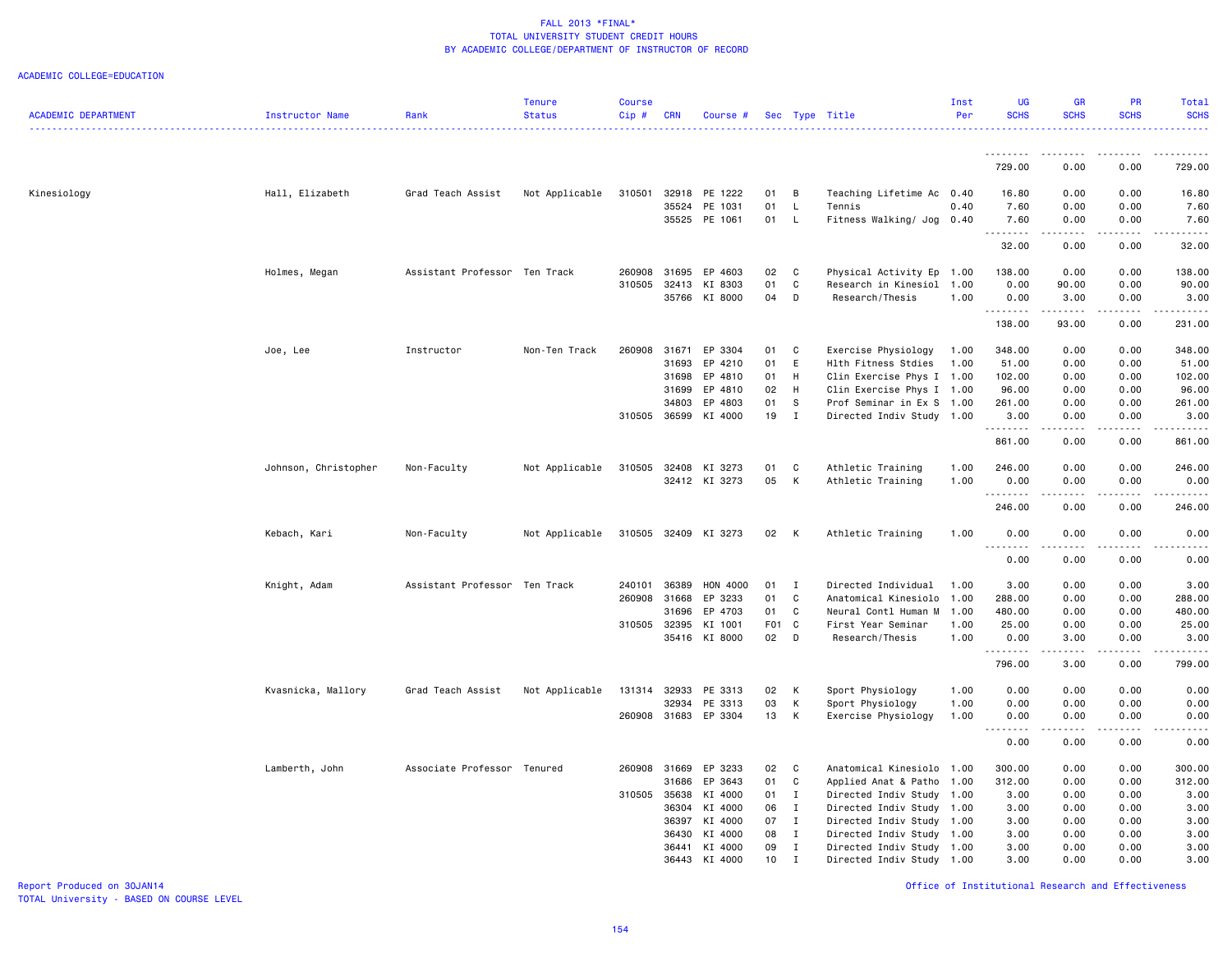### ACADEMIC COLLEGE=EDUCATION

| <b>ACADEMIC DEPARTMENT</b> | Instructor Name      | Rank                          | <b>Tenure</b><br><b>Status</b> | <b>Course</b><br>Cip# | <b>CRN</b>   | Course #             |            |                | Sec Type Title            | Inst<br>Per | <b>UG</b><br><b>SCHS</b>       | <b>GR</b><br><b>SCHS</b> | PR<br><b>SCHS</b>                                                                                                                                            | Total<br><b>SCHS</b>  |
|----------------------------|----------------------|-------------------------------|--------------------------------|-----------------------|--------------|----------------------|------------|----------------|---------------------------|-------------|--------------------------------|--------------------------|--------------------------------------------------------------------------------------------------------------------------------------------------------------|-----------------------|
|                            |                      |                               |                                |                       |              |                      |            |                |                           |             | .                              | .                        |                                                                                                                                                              | $\omega$ is a set of  |
|                            |                      |                               |                                |                       |              |                      |            |                |                           |             | 729.00                         | 0.00                     | 0.00                                                                                                                                                         | 729.00                |
| Kinesiology                | Hall, Elizabeth      | Grad Teach Assist             | Not Applicable                 | 310501                | 32918        | PE 1222              | 01         | B              | Teaching Lifetime Ac 0.40 |             | 16.80                          | 0.00                     | 0.00                                                                                                                                                         | 16.80                 |
|                            |                      |                               |                                |                       | 35524        | PE 1031              | 01         | $\mathsf{L}$   | Tennis                    | 0.40        | 7.60                           | 0.00                     | 0.00                                                                                                                                                         | 7.60                  |
|                            |                      |                               |                                |                       |              | 35525 PE 1061        | 01         | $\mathsf{L}$   | Fitness Walking/ Jog      | 0.40        | 7.60<br>.                      | 0.00<br>.                | 0.00                                                                                                                                                         | 7.60<br>.             |
|                            |                      |                               |                                |                       |              |                      |            |                |                           |             | 32.00                          | 0.00                     | 0.00                                                                                                                                                         | 32.00                 |
|                            | Holmes, Megan        | Assistant Professor Ten Track |                                | 260908                | 31695        | EP 4603              | 02         | C              | Physical Activity Ep 1.00 |             | 138.00                         | 0.00                     | 0.00                                                                                                                                                         | 138.00                |
|                            |                      |                               |                                | 310505                | 32413        | KI 8303              | 01         | $\mathtt{C}$   | Research in Kinesiol      | 1.00        | 0.00                           | 90.00                    | 0.00                                                                                                                                                         | 90.00                 |
|                            |                      |                               |                                |                       | 35766        | KI 8000              | 04         | D              | Research/Thesis           | 1.00        | 0.00                           | 3.00                     | 0.00                                                                                                                                                         | 3.00                  |
|                            |                      |                               |                                |                       |              |                      |            |                |                           |             | .<br>138.00                    | .<br>93.00               | $\frac{1}{2}$<br>0.00                                                                                                                                        | .<br>231.00           |
|                            | Joe, Lee             | Instructor                    | Non-Ten Track                  | 260908                | 31671        | EP 3304              | 01         | C              | Exercise Physiology       | 1.00        | 348.00                         | 0.00                     | 0.00                                                                                                                                                         | 348.00                |
|                            |                      |                               |                                |                       | 31693        | EP 4210              | 01         | E              | Hlth Fitness Stdies       | 1.00        | 51.00                          | 0.00                     | 0.00                                                                                                                                                         | 51.00                 |
|                            |                      |                               |                                |                       | 31698        | EP 4810              | 01         | H              | Clin Exercise Phys I      | 1.00        | 102.00                         | 0.00                     | 0.00                                                                                                                                                         | 102.00                |
|                            |                      |                               |                                |                       | 31699        | EP 4810              | 02         | H              | Clin Exercise Phys I 1.00 |             | 96.00                          | 0.00                     | 0.00                                                                                                                                                         | 96.00                 |
|                            |                      |                               |                                |                       | 34803        | EP 4803              | 01         | S              | Prof Seminar in Ex S      | 1.00        | 261.00                         | 0.00                     | 0.00                                                                                                                                                         | 261.00                |
|                            |                      |                               |                                | 310505                | 36599        | KI 4000              | 19         | $\mathbf{I}$   | Directed Indiv Study 1.00 |             | 3.00                           | 0.00                     | 0.00                                                                                                                                                         | 3.00                  |
|                            |                      |                               |                                |                       |              |                      |            |                |                           |             | .<br>861.00                    | .<br>0.00                | .<br>0.00                                                                                                                                                    | .<br>861.00           |
|                            | Johnson, Christopher | Non-Faculty                   | Not Applicable                 | 310505                | 32408        | KI 3273              | 01         | C              | Athletic Training         | 1.00        | 246.00                         | 0.00                     | 0.00                                                                                                                                                         | 246.00                |
|                            |                      |                               |                                |                       |              | 32412 KI 3273        | 05         | К              | Athletic Training         | 1.00        | 0.00                           | 0.00                     | 0.00                                                                                                                                                         | 0.00                  |
|                            |                      |                               |                                |                       |              |                      |            |                |                           |             | - - - - - - - -                | ----                     | .                                                                                                                                                            | -----                 |
|                            |                      |                               |                                |                       |              |                      |            |                |                           |             | 246.00                         | 0.00                     | 0.00                                                                                                                                                         | 246.00                |
|                            | Kebach, Kari         | Non-Faculty                   | Not Applicable                 |                       |              | 310505 32409 KI 3273 | 02         | $\mathsf{K}$   | Athletic Training         | 1.00        | 0.00<br>$- - - - -$<br>$- - -$ | 0.00<br>$\frac{1}{2}$    | 0.00<br>.                                                                                                                                                    | 0.00<br>$\frac{1}{2}$ |
|                            |                      |                               |                                |                       |              |                      |            |                |                           |             | 0.00                           | 0.00                     | 0.00                                                                                                                                                         | 0.00                  |
|                            | Knight, Adam         | Assistant Professor Ten Track |                                | 240101                | 36389        | HON 4000             | 01         | $\blacksquare$ | Directed Individual       | 1.00        | 3.00                           | 0.00                     | 0.00                                                                                                                                                         | 3.00                  |
|                            |                      |                               |                                | 260908                | 31668        | EP 3233              | 01         | C              | Anatomical Kinesiolo      | 1.00        | 288.00                         | 0.00                     | 0.00                                                                                                                                                         | 288.00                |
|                            |                      |                               |                                |                       | 31696        | EP 4703              | 01         | C              | Neural Contl Human M      | 1.00        | 480.00                         | 0.00                     | 0.00                                                                                                                                                         | 480.00                |
|                            |                      |                               |                                |                       | 310505 32395 | KI 1001              | <b>F01</b> | C              | First Year Seminar        | 1.00        | 25.00                          | 0.00                     | 0.00                                                                                                                                                         | 25.00                 |
|                            |                      |                               |                                |                       |              | 35416 KI 8000        | 02         | $\mathsf{D}$   | Research/Thesis           | 1.00        | 0.00                           | 3.00                     | 0.00                                                                                                                                                         | 3.00                  |
|                            |                      |                               |                                |                       |              |                      |            |                |                           |             | .<br>796.00                    | .<br>3.00                | $\frac{1}{2} \left( \frac{1}{2} \right) \left( \frac{1}{2} \right) \left( \frac{1}{2} \right) \left( \frac{1}{2} \right) \left( \frac{1}{2} \right)$<br>0.00 | .<br>799.00           |
|                            | Kvasnicka, Mallory   | Grad Teach Assist             | Not Applicable                 | 131314                | 32933        | PE 3313              | 02         | К              | Sport Physiology          | 1.00        | 0.00                           | 0.00                     | 0.00                                                                                                                                                         | 0.00                  |
|                            |                      |                               |                                |                       | 32934        | PE 3313              | 03         | К              | Sport Physiology          | 1.00        | 0.00                           | 0.00                     | 0.00                                                                                                                                                         | 0.00                  |
|                            |                      |                               |                                | 260908                | 31683        | EP 3304              | 13         | К              | Exercise Physiology       | 1.00        | 0.00                           | 0.00                     | 0.00                                                                                                                                                         | 0.00                  |
|                            |                      |                               |                                |                       |              |                      |            |                |                           |             | .                              | .                        | .                                                                                                                                                            | $- - - - -$           |
|                            |                      |                               |                                |                       |              |                      |            |                |                           |             | 0.00                           | 0.00                     | 0.00                                                                                                                                                         | 0.00                  |
|                            | Lamberth, John       | Associate Professor Tenured   |                                | 260908                | 31669        | EP 3233              | 02         | C              | Anatomical Kinesiolo      | 1.00        | 300.00                         | 0.00                     | 0.00                                                                                                                                                         | 300.00                |
|                            |                      |                               |                                |                       | 31686        | EP 3643              | 01         | C              | Applied Anat & Patho      | 1.00        | 312.00                         | 0.00                     | 0.00                                                                                                                                                         | 312.00                |
|                            |                      |                               |                                | 310505 35638          |              | KI 4000              | 01         | $\mathbf{I}$   | Directed Indiv Study      | 1.00        | 3.00                           | 0.00                     | 0.00                                                                                                                                                         | 3.00                  |
|                            |                      |                               |                                |                       | 36304        | KI 4000              | 06         | $\mathbf{I}$   | Directed Indiv Study 1.00 |             | 3.00                           | 0.00                     | 0.00                                                                                                                                                         | 3.00                  |
|                            |                      |                               |                                |                       | 36397        | KI 4000              | 07         | $\mathbf{I}$   | Directed Indiv Study 1.00 |             | 3.00                           | 0.00                     | 0.00                                                                                                                                                         | 3.00                  |
|                            |                      |                               |                                |                       | 36430        | KI 4000              | 08         | $\mathbf I$    | Directed Indiv Study      | 1.00        | 3.00                           | 0.00                     | 0.00                                                                                                                                                         | 3.00                  |
|                            |                      |                               |                                |                       | 36441        | KI 4000              | 09         | $\mathbf{I}$   | Directed Indiv Study      | 1.00        | 3.00                           | 0.00                     | 0.00                                                                                                                                                         | 3.00                  |
|                            |                      |                               |                                |                       | 36443        | KI 4000              | 10         | $\mathbf I$    | Directed Indiv Study 1.00 |             | 3.00                           | 0.00                     | 0.00                                                                                                                                                         | 3.00                  |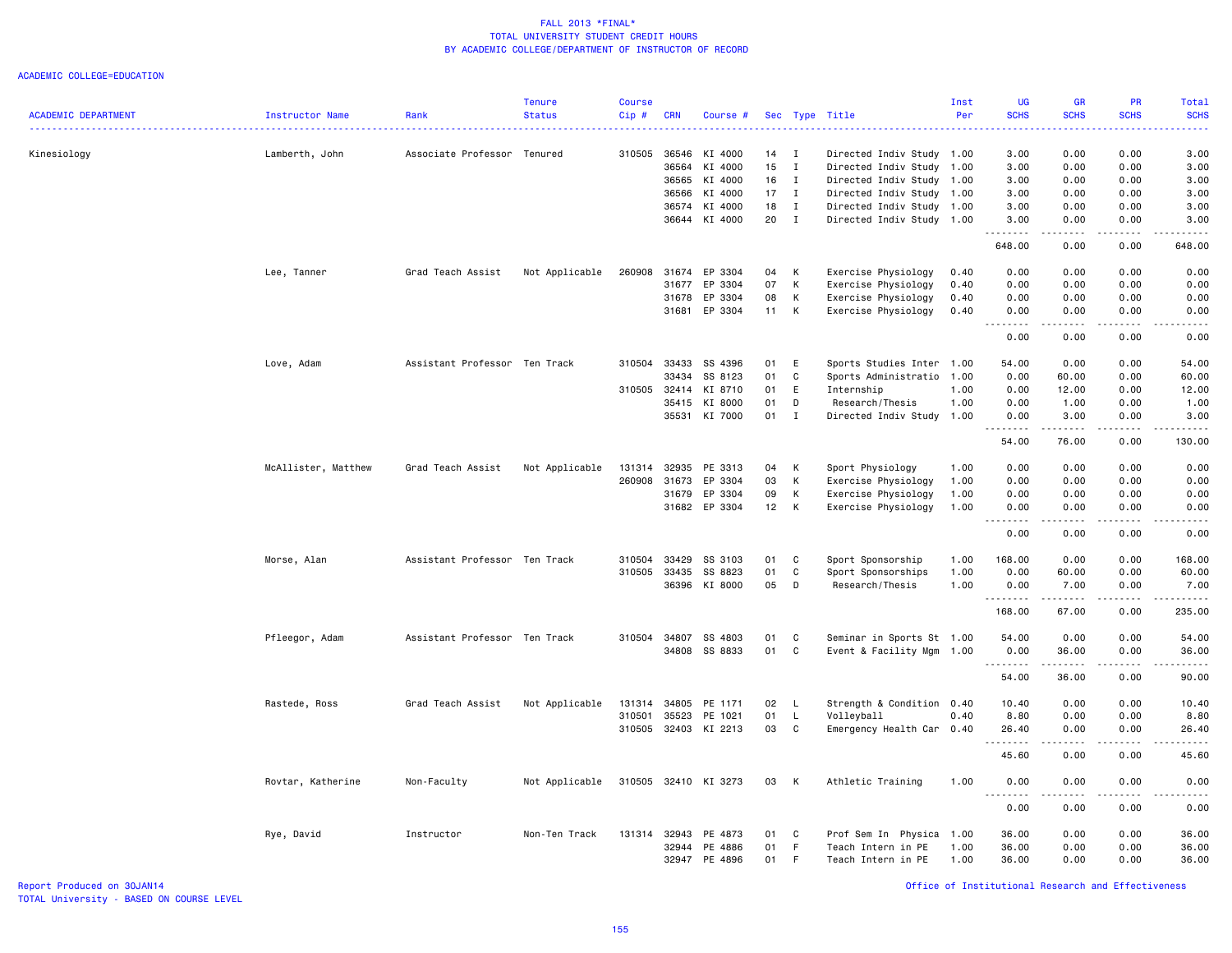#### ACADEMIC COLLEGE=EDUCATION

|                            |                     |                               | <b>Tenure</b>  | <b>Course</b> |            |                      |    |              |                           | Inst | <b>UG</b>                                     | <b>GR</b>   | PR              | Total                 |
|----------------------------|---------------------|-------------------------------|----------------|---------------|------------|----------------------|----|--------------|---------------------------|------|-----------------------------------------------|-------------|-----------------|-----------------------|
| <b>ACADEMIC DEPARTMENT</b> | Instructor Name     | Rank                          | <b>Status</b>  | $Cip$ #       | <b>CRN</b> | Course #             |    |              | Sec Type Title            | Per  | <b>SCHS</b>                                   | <b>SCHS</b> | <b>SCHS</b>     | <b>SCHS</b>           |
| Kinesiology                | Lamberth, John      | Associate Professor Tenured   |                | 310505        | 36546      | KI 4000              | 14 | I            | Directed Indiv Study      | 1.00 | 3.00                                          | 0.00        | 0.00            | 3.00                  |
|                            |                     |                               |                |               | 36564      | KI 4000              | 15 | $\mathbf I$  | Directed Indiv Study 1.00 |      | 3.00                                          | 0.00        | 0.00            | 3.00                  |
|                            |                     |                               |                |               | 36565      | KI 4000              | 16 | $\mathbf I$  | Directed Indiv Study      | 1.00 | 3.00                                          | 0.00        | 0.00            | 3.00                  |
|                            |                     |                               |                |               | 36566      | KI 4000              | 17 | $\mathbf{I}$ | Directed Indiv Study      | 1.00 | 3.00                                          | 0.00        | 0.00            | 3.00                  |
|                            |                     |                               |                |               | 36574      | KI 4000              | 18 | $\mathbf{I}$ | Directed Indiv Study 1.00 |      | 3.00                                          | 0.00        | 0.00            | 3.00                  |
|                            |                     |                               |                |               |            | 36644 KI 4000        | 20 | $\mathbf{I}$ | Directed Indiv Study 1.00 |      | 3.00<br>.                                     | 0.00<br>.   | 0.00            | 3.00<br>.             |
|                            |                     |                               |                |               |            |                      |    |              |                           |      | 648.00                                        | 0.00        | 0.00            | 648.00                |
|                            | Lee, Tanner         | Grad Teach Assist             | Not Applicable | 260908        | 31674      | EP 3304              | 04 | К            | Exercise Physiology       | 0.40 | 0.00                                          | 0.00        | 0.00            | 0.00                  |
|                            |                     |                               |                |               | 31677      | EP 3304              | 07 | К            | Exercise Physiology       | 0.40 | 0.00                                          | 0.00        | 0.00            | 0.00                  |
|                            |                     |                               |                |               | 31678      | EP 3304              | 08 | К            | Exercise Physiology       | 0.40 | 0.00                                          | 0.00        | 0.00            | 0.00                  |
|                            |                     |                               |                |               |            | 31681 EP 3304        | 11 | K            | Exercise Physiology       | 0.40 | 0.00                                          | 0.00<br>.   | 0.00            | 0.00                  |
|                            |                     |                               |                |               |            |                      |    |              |                           |      | 0.00                                          | 0.00        | 0.00            | 0.00                  |
|                            | Love, Adam          | Assistant Professor Ten Track |                | 310504        | 33433      | SS 4396              | 01 | Ε            | Sports Studies Inter      | 1.00 | 54.00                                         | 0.00        | 0.00            | 54.00                 |
|                            |                     |                               |                |               | 33434      | SS 8123              | 01 | C            | Sports Administratio      | 1.00 | 0.00                                          | 60.00       | 0.00            | 60.00                 |
|                            |                     |                               |                | 310505 32414  |            | KI 8710              | 01 | E            | Internship                | 1.00 | 0.00                                          | 12.00       | 0.00            | 12.00                 |
|                            |                     |                               |                |               | 35415      | KI 8000              | 01 | D            | Research/Thesis           | 1.00 | 0.00                                          | 1.00        | 0.00            | 1.00                  |
|                            |                     |                               |                |               |            | 35531 KI 7000        | 01 | $\mathbf{I}$ | Directed Indiv Study 1.00 |      | 0.00                                          | 3.00<br>.   | 0.00<br>د د د د | 3.00<br>.             |
|                            |                     |                               |                |               |            |                      |    |              |                           |      | 54.00                                         | 76.00       | 0.00            | 130.00                |
|                            | McAllister, Matthew | Grad Teach Assist             | Not Applicable | 131314        | 32935      | PE 3313              | 04 | К            | Sport Physiology          | 1.00 | 0.00                                          | 0.00        | 0.00            | 0.00                  |
|                            |                     |                               |                | 260908        | 31673      | EP 3304              | 03 | К            | Exercise Physiology       | 1.00 | 0.00                                          | 0.00        | 0.00            | 0.00                  |
|                            |                     |                               |                |               | 31679      | EP 3304              | 09 | К            | Exercise Physiology       | 1.00 | 0.00                                          | 0.00        | 0.00            | 0.00                  |
|                            |                     |                               |                |               |            | 31682 EP 3304        | 12 | К            | Exercise Physiology       | 1.00 | 0.00<br>$\sim$ $\sim$ $\sim$<br>$\frac{1}{2}$ | 0.00        | 0.00            | 0.00<br>$\frac{1}{2}$ |
|                            |                     |                               |                |               |            |                      |    |              |                           |      | 0.00                                          | 0.00        | 0.00            | 0.00                  |
|                            | Morse, Alan         | Assistant Professor Ten Track |                | 310504        | 33429      | SS 3103              | 01 | C            | Sport Sponsorship         | 1.00 | 168.00                                        | 0.00        | 0.00            | 168.00                |
|                            |                     |                               |                | 310505        | 33435      | SS 8823              | 01 | C            | Sport Sponsorships        | 1.00 | 0.00                                          | 60.00       | 0.00            | 60.00                 |
|                            |                     |                               |                |               | 36396      | KI 8000              | 05 | D            | Research/Thesis           | 1.00 | 0.00<br>. <b>.</b>                            | 7.00<br>.   | 0.00<br>.       | 7.00<br>.             |
|                            |                     |                               |                |               |            |                      |    |              |                           |      | 168.00                                        | 67.00       | 0.00            | 235.00                |
|                            | Pfleegor, Adam      | Assistant Professor Ten Track |                | 310504        | 34807      | SS 4803              | 01 | C            | Seminar in Sports St 1.00 |      | 54.00                                         | 0.00        | 0.00            | 54.00                 |
|                            |                     |                               |                |               | 34808      | SS 8833              | 01 | C            | Event & Facility Mgm      | 1.00 | 0.00                                          | 36.00       | 0.00            | 36.00<br>.            |
|                            |                     |                               |                |               |            |                      |    |              |                           |      | 54.00                                         | 36.00       | 0.00            | 90.00                 |
|                            | Rastede, Ross       | Grad Teach Assist             | Not Applicable | 131314        | 34805      | PE 1171              | 02 | L.           | Strength & Condition      | 0.40 | 10.40                                         | 0.00        | 0.00            | 10.40                 |
|                            |                     |                               |                | 310501        | 35523      | PE 1021              | 01 | L.           | Volleyball                | 0.40 | 8.80                                          | 0.00        | 0.00            | 8.80                  |
|                            |                     |                               |                | 310505        |            | 32403 KI 2213        | 03 | C            | Emergency Health Car 0.40 |      | 26.40<br>.                                    | 0.00<br>.   | 0.00<br>.       | 26.40<br>.            |
|                            |                     |                               |                |               |            |                      |    |              |                           |      | 45.60                                         | 0.00        | 0.00            | 45.60                 |
|                            | Rovtar, Katherine   | Non-Faculty                   | Not Applicable |               |            | 310505 32410 KI 3273 | 03 | K            | Athletic Training         | 1.00 | 0.00<br>د د د د                               | 0.00<br>.   | 0.00<br>-----   | 0.00<br>.             |
|                            |                     |                               |                |               |            |                      |    |              |                           |      | 0.00                                          | 0.00        | 0.00            | 0.00                  |
|                            | Rye, David          | Instructor                    | Non-Ten Track  | 131314        | 32943      | PE 4873              | 01 | C            | Prof Sem In Physica       | 1.00 | 36.00                                         | 0.00        | 0.00            | 36.00                 |
|                            |                     |                               |                |               | 32944      | PE 4886              | 01 | F.           | Teach Intern in PE        | 1.00 | 36.00                                         | 0.00        | 0.00            | 36.00                 |
|                            |                     |                               |                |               |            | 32947 PE 4896        | 01 | F            | Teach Intern in PE        | 1.00 | 36.00                                         | 0.00        | 0.00            | 36.00                 |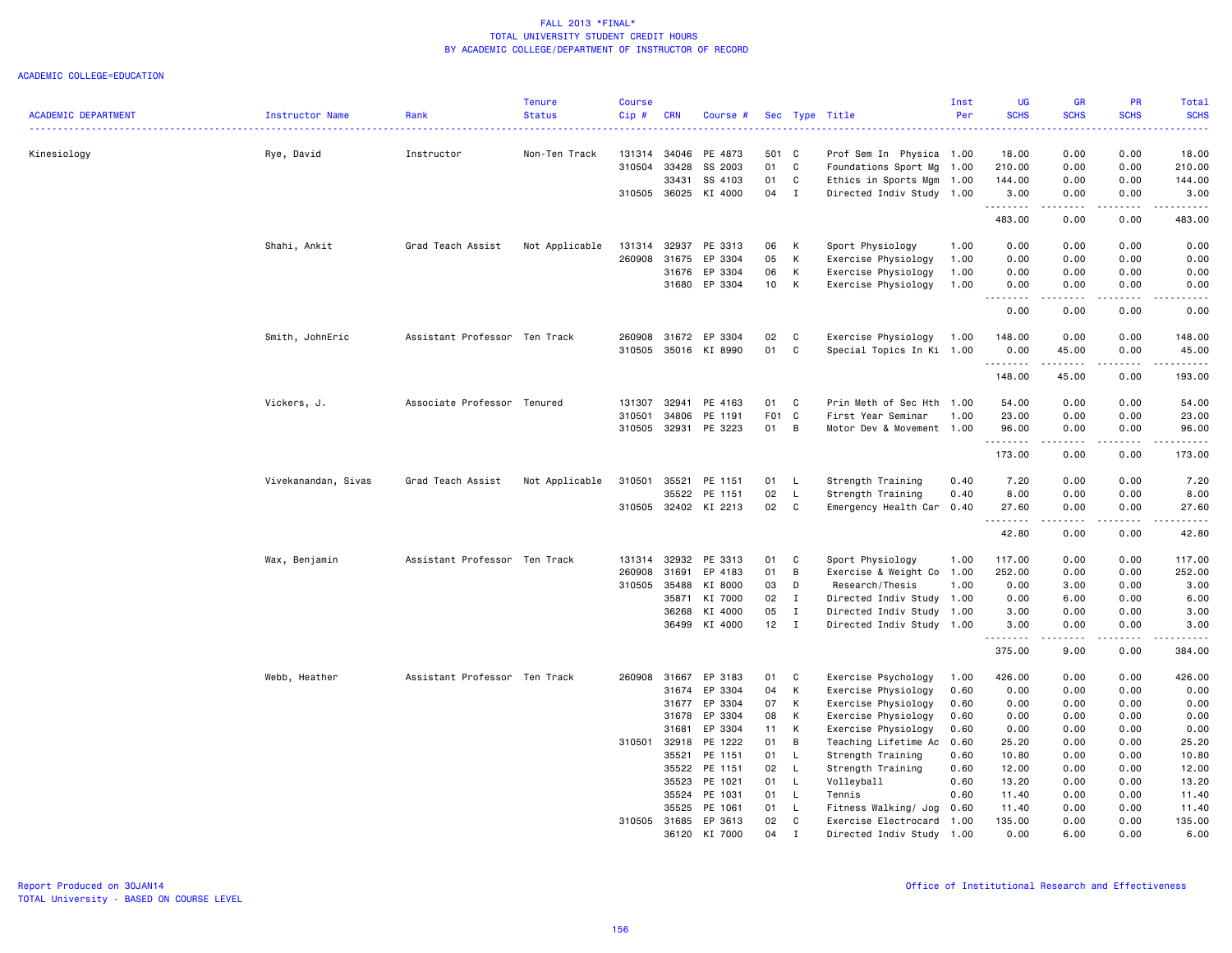|                            |                     |                               | <b>Tenure</b>  | <b>Course</b> |                       |                      |          |                   |                                                   | Inst | <b>UG</b>               | GR                                                                                                                                                           | PR                                  | Total                                                                                                                                                               |
|----------------------------|---------------------|-------------------------------|----------------|---------------|-----------------------|----------------------|----------|-------------------|---------------------------------------------------|------|-------------------------|--------------------------------------------------------------------------------------------------------------------------------------------------------------|-------------------------------------|---------------------------------------------------------------------------------------------------------------------------------------------------------------------|
| <b>ACADEMIC DEPARTMENT</b> | Instructor Name     | Rank                          | <b>Status</b>  | Cip#          | <b>CRN</b>            | Course #             |          |                   | Sec Type Title                                    | Per  | <b>SCHS</b>             | <b>SCHS</b>                                                                                                                                                  | <b>SCHS</b>                         | <b>SCHS</b><br>$\frac{1}{2} \left( \frac{1}{2} \right) \left( \frac{1}{2} \right) \left( \frac{1}{2} \right) \left( \frac{1}{2} \right) \left( \frac{1}{2} \right)$ |
| Kinesiology                | Rye, David          | Instructor                    | Non-Ten Track  | 131314        | 34046                 | PE 4873              | 501 C    |                   | Prof Sem In Physica 1.00                          |      | 18.00                   | 0.00                                                                                                                                                         | 0.00                                | 18.00                                                                                                                                                               |
|                            |                     |                               |                | 310504        | 33428                 | SS 2003              | 01       | C                 | Foundations Sport Mg                              | 1.00 | 210.00                  | 0.00                                                                                                                                                         | 0.00                                | 210.00                                                                                                                                                              |
|                            |                     |                               |                |               | 33431                 | SS 4103              | 01       | C                 | Ethics in Sports Mgm 1.00                         |      | 144.00                  | 0.00                                                                                                                                                         | 0.00                                | 144.00                                                                                                                                                              |
|                            |                     |                               |                | 310505        | 36025                 | KI 4000              | 04       | $\mathbf{I}$      | Directed Indiv Study 1.00                         |      | 3.00<br><u>.</u>        | 0.00                                                                                                                                                         | 0.00<br>$\sim$ $\sim$ $\sim$ $\sim$ | 3.00<br><u>.</u>                                                                                                                                                    |
|                            |                     |                               |                |               |                       |                      |          |                   |                                                   |      | 483.00                  | 0.00                                                                                                                                                         | 0.00                                | 483.00                                                                                                                                                              |
|                            | Shahi, Ankit        | Grad Teach Assist             | Not Applicable | 131314        | 32937                 | PE 3313              | 06       | К                 | Sport Physiology                                  | 1.00 | 0.00                    | 0.00                                                                                                                                                         | 0.00                                | 0.00                                                                                                                                                                |
|                            |                     |                               |                | 260908        | 31675                 | EP 3304              | 05       | К                 | Exercise Physiology                               | 1.00 | 0.00                    | 0.00                                                                                                                                                         | 0.00                                | 0.00                                                                                                                                                                |
|                            |                     |                               |                |               | 31676                 | EP 3304              | 06       | К                 | Exercise Physiology                               | 1.00 | 0.00                    | 0.00                                                                                                                                                         | 0.00                                | 0.00                                                                                                                                                                |
|                            |                     |                               |                |               | 31680                 | EP 3304              | 10       | K                 | Exercise Physiology                               | 1.00 | 0.00<br>.               | 0.00<br>.                                                                                                                                                    | 0.00                                | 0.00<br>.                                                                                                                                                           |
|                            |                     |                               |                |               |                       |                      |          |                   |                                                   |      | 0.00                    | 0.00                                                                                                                                                         | 0.00                                | 0.00                                                                                                                                                                |
|                            | Smith, JohnEric     | Assistant Professor Ten Track |                | 260908        | 31672                 | EP 3304              | 02       | C                 | Exercise Physiology                               | 1.00 | 148.00                  | 0.00                                                                                                                                                         | 0.00                                | 148.00                                                                                                                                                              |
|                            |                     |                               |                | 310505        | 35016                 | KI 8990              | 01       | C                 | Special Topics In Ki 1.00                         |      | 0.00<br>. <b>.</b>      | 45.00<br>.                                                                                                                                                   | 0.00<br>.                           | 45.00<br>------                                                                                                                                                     |
|                            |                     |                               |                |               |                       |                      |          |                   |                                                   |      | 148.00                  | 45.00                                                                                                                                                        | 0.00                                | 193.00                                                                                                                                                              |
|                            | Vickers, J.         | Associate Professor Tenured   |                | 131307        | 32941                 | PE 4163              | 01       | C                 | Prin Meth of Sec Hth 1.00                         |      | 54.00                   | 0.00                                                                                                                                                         | 0.00                                | 54.00                                                                                                                                                               |
|                            |                     |                               |                | 310501        | 34806                 | PE 1191              | F01      | C                 | First Year Seminar                                | 1.00 | 23.00                   | 0.00                                                                                                                                                         | 0.00                                | 23.00                                                                                                                                                               |
|                            |                     |                               |                | 310505        | 32931                 | PE 3223              | 01       | B                 | Motor Dev & Movement 1.00                         |      | 96.00                   | 0.00                                                                                                                                                         | 0.00<br>د د د د                     | 96.00<br>.                                                                                                                                                          |
|                            |                     |                               |                |               |                       |                      |          |                   |                                                   |      | .<br>173.00             | .<br>0.00                                                                                                                                                    | 0.00                                | 173.00                                                                                                                                                              |
|                            | Vivekanandan, Sivas | Grad Teach Assist             | Not Applicable | 310501        | 35521                 | PE 1151              | 01       | L.                | Strength Training                                 | 0.40 | 7.20                    | 0.00                                                                                                                                                         | 0.00                                | 7.20                                                                                                                                                                |
|                            |                     |                               |                |               | 35522                 | PE 1151              | 02       | L                 | Strength Training                                 | 0.40 | 8.00                    | 0.00                                                                                                                                                         | 0.00                                | 8.00                                                                                                                                                                |
|                            |                     |                               |                |               |                       | 310505 32402 KI 2213 | 02       | C                 | Emergency Health Car 0.40                         |      | 27.60<br>. <b>.</b>     | 0.00<br>$\frac{1}{2} \left( \frac{1}{2} \right) \left( \frac{1}{2} \right) \left( \frac{1}{2} \right) \left( \frac{1}{2} \right) \left( \frac{1}{2} \right)$ | 0.00<br>.                           | 27.60<br>.                                                                                                                                                          |
|                            |                     |                               |                |               |                       |                      |          |                   |                                                   |      | 42.80                   | 0.00                                                                                                                                                         | 0.00                                | 42.80                                                                                                                                                               |
|                            | Wax, Benjamin       | Assistant Professor Ten Track |                | 131314        | 32932                 | PE 3313              | 01       | C                 | Sport Physiology                                  | 1.00 | 117.00                  | 0.00                                                                                                                                                         | 0.00                                | 117.00                                                                                                                                                              |
|                            |                     |                               |                | 260908        | 31691                 | EP 4183              | 01       | B                 | Exercise & Weight Co 1.00                         |      | 252.00                  | 0.00                                                                                                                                                         | 0.00                                | 252.00                                                                                                                                                              |
|                            |                     |                               |                | 310505        | 35488                 | KI 8000              | 03       | D                 | Research/Thesis                                   | 1.00 | 0.00                    | 3.00                                                                                                                                                         | 0.00                                | 3.00                                                                                                                                                                |
|                            |                     |                               |                |               | 35871                 | KI 7000              | 02       | $\mathbf{I}$      | Directed Indiv Study 1.00                         |      | 0.00                    | 6.00                                                                                                                                                         | 0.00                                | 6.00                                                                                                                                                                |
|                            |                     |                               |                |               | 36268                 | KI 4000              | 05       | $\mathbf{I}$      | Directed Indiv Study 1.00                         |      | 3.00                    | 0.00                                                                                                                                                         | 0.00                                | 3.00                                                                                                                                                                |
|                            |                     |                               |                |               | 36499                 | KI 4000              | $12$ I   |                   | Directed Indiv Study 1.00                         |      | 3.00<br>- - - - - - - - | 0.00                                                                                                                                                         | 0.00<br>$\sim$ $\sim$ $\sim$        | 3.00<br>المتمام                                                                                                                                                     |
|                            |                     |                               |                |               |                       |                      |          |                   |                                                   |      | 375.00                  | 9.00                                                                                                                                                         | 0.00                                | 384.00                                                                                                                                                              |
|                            | Webb, Heather       | Assistant Professor Ten Track |                | 260908        | 31667                 | EP 3183              | 01       | C                 | Exercise Psychology                               | 1.00 | 426.00                  | 0.00                                                                                                                                                         | 0.00                                | 426.00                                                                                                                                                              |
|                            |                     |                               |                |               | 31674                 | EP 3304              | 04       | к                 | Exercise Physiology                               | 0.60 | 0.00                    | 0.00                                                                                                                                                         | 0.00                                | 0.00                                                                                                                                                                |
|                            |                     |                               |                |               | 31677                 | EP 3304              | 07       | Κ                 | Exercise Physiology                               | 0.60 | 0.00                    | 0.00                                                                                                                                                         | 0.00                                | 0.00                                                                                                                                                                |
|                            |                     |                               |                |               | 31678                 | EP 3304              | 08       | К                 | Exercise Physiology                               | 0.60 | 0.00                    | 0.00                                                                                                                                                         | 0.00                                | 0.00                                                                                                                                                                |
|                            |                     |                               |                |               | 31681                 | EP 3304              | 11       | К                 | Exercise Physiology                               | 0.60 | 0.00                    | 0.00                                                                                                                                                         | 0.00                                | 0.00                                                                                                                                                                |
|                            |                     |                               |                | 310501        | 32918                 | PE 1222              | 01       | B                 | Teaching Lifetime Ac                              | 0.60 | 25.20                   | 0.00                                                                                                                                                         | 0.00                                | 25.20                                                                                                                                                               |
|                            |                     |                               |                |               | 35521                 | PE 1151              | 01       | L                 | Strength Training                                 | 0.60 | 10.80                   | 0.00                                                                                                                                                         | 0.00                                | 10.80                                                                                                                                                               |
|                            |                     |                               |                |               | 35522                 | PE 1151              | 02       | L.                | Strength Training                                 | 0.60 | 12.00                   | 0.00                                                                                                                                                         | 0.00                                | 12.00                                                                                                                                                               |
|                            |                     |                               |                |               | 35523                 | PE 1021              | 01       | L.                | Volleyball                                        | 0.60 | 13.20                   | 0.00                                                                                                                                                         | 0.00                                | 13.20                                                                                                                                                               |
|                            |                     |                               |                |               | 35524                 | PE 1031              | 01 L     |                   | Tennis                                            | 0.60 | 11.40                   | 0.00                                                                                                                                                         | 0.00                                | 11.40                                                                                                                                                               |
|                            |                     |                               |                |               | 35525<br>310505 31685 | PE 1061<br>EP 3613   | 01<br>02 | $\mathsf{L}$<br>C | Fitness Walking/ Jog<br>Exercise Electrocard 1.00 | 0.60 | 11.40<br>135.00         | 0.00<br>0.00                                                                                                                                                 | 0.00<br>0.00                        | 11.40<br>135.00                                                                                                                                                     |
|                            |                     |                               |                |               | 36120                 | KI 7000              | 04       | $\mathbf I$       | Directed Indiv Study 1.00                         |      | 0.00                    | 6.00                                                                                                                                                         | 0.00                                | 6.00                                                                                                                                                                |
|                            |                     |                               |                |               |                       |                      |          |                   |                                                   |      |                         |                                                                                                                                                              |                                     |                                                                                                                                                                     |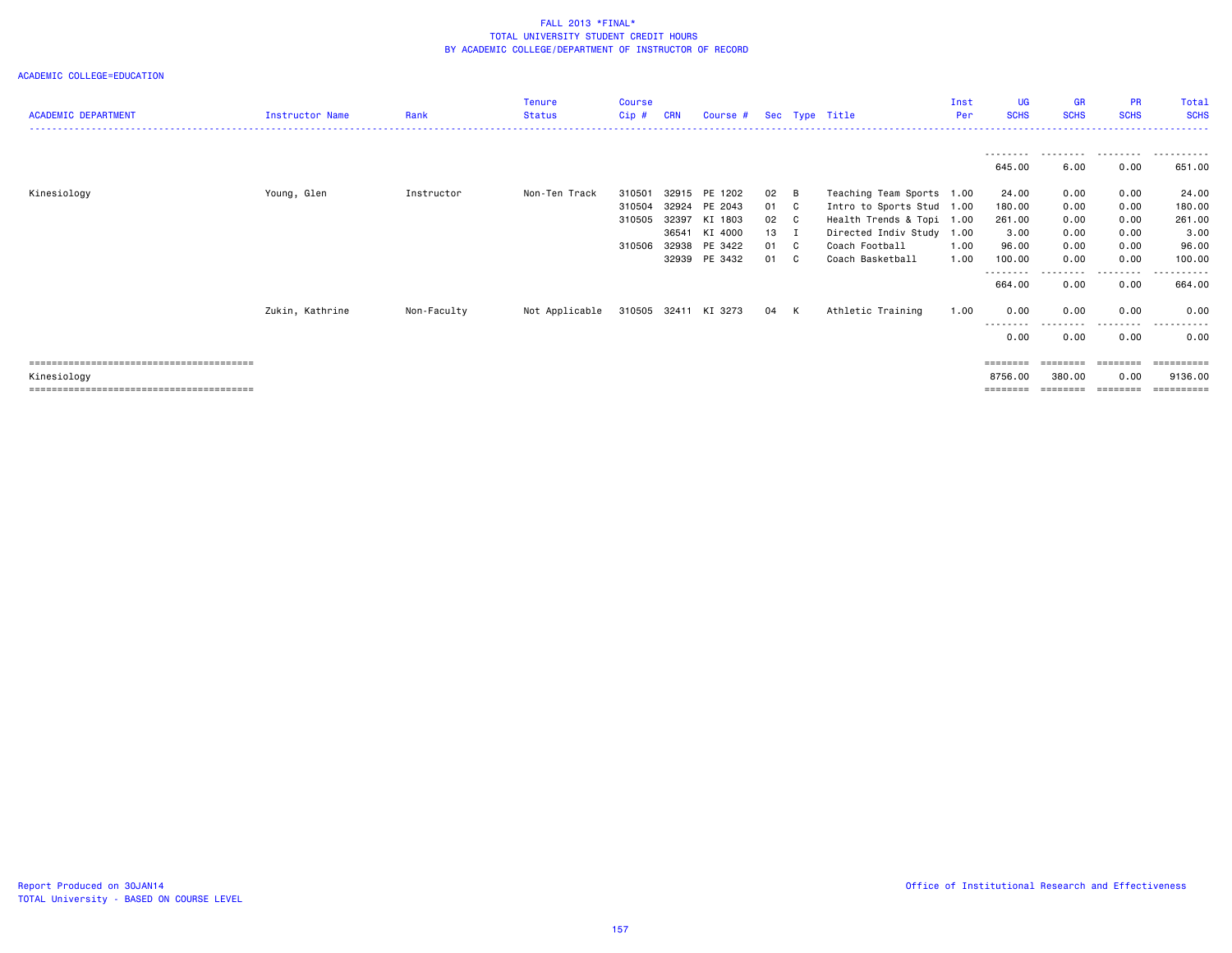| <b>ACADEMIC DEPARTMENT</b> | <b>Instructor Name</b> | Rank        | <b>Tenure</b><br><b>Status</b> | Course<br>$Cip$ #          | <b>CRN</b>              | Course #                                       |                              |                | Sec Type Title                                                                                                   | Inst<br>Per  | <b>UG</b><br><b>SCHS</b>          | <b>GR</b><br><b>SCHS</b>     | <b>PR</b><br><b>SCHS</b>     | Total<br><b>SCHS</b>              |
|----------------------------|------------------------|-------------|--------------------------------|----------------------------|-------------------------|------------------------------------------------|------------------------------|----------------|------------------------------------------------------------------------------------------------------------------|--------------|-----------------------------------|------------------------------|------------------------------|-----------------------------------|
|                            |                        |             |                                |                            |                         |                                                |                              |                |                                                                                                                  |              | - - - - - - - - -<br>645.00       | .<br>6.00                    | .<br>0.00                    | .<br>651.00                       |
| Kinesiology                | Young, Glen            | Instructor  | Non-Ten Track                  | 310501<br>310504<br>310505 | 32924<br>32397<br>36541 | 32915 PE 1202<br>PE 2043<br>KI 1803<br>KI 4000 | 02 B<br>01 C<br>02 C<br>13 I |                | Teaching Team Sports 1.00<br>Intro to Sports Stud 1.00<br>Health Trends & Topi 1.00<br>Directed Indiv Study 1.00 |              | 24.00<br>180.00<br>261.00<br>3.00 | 0.00<br>0.00<br>0.00<br>0.00 | 0.00<br>0.00<br>0.00<br>0.00 | 24.00<br>180.00<br>261.00<br>3.00 |
|                            |                        |             |                                | 310506                     | 32938                   | PE 3422<br>32939 PE 3432                       | 01 C<br>01                   | C <sub>c</sub> | Coach Football<br>Coach Basketball                                                                               | 1.00<br>1.00 | 96.00<br>100.00<br>--------       | 0.00<br>0.00<br>----         | 0.00<br>0.00<br>.            | 96.00<br>100.00<br>.              |
|                            | Zukin, Kathrine        | Non-Faculty | Not Applicable                 |                            |                         | 310505 32411 KI 3273                           | 04 K                         |                | Athletic Training                                                                                                | 1.00         | 664.00<br>0.00<br>--------        | 0.00<br>0.00<br>--------     | 0.00<br>0.00<br>---------    | 664.00<br>0.00<br>$- - -$         |
| Kinesiology                |                        |             |                                |                            |                         |                                                |                              |                |                                                                                                                  |              | 0.00<br>========<br>8756.00       | 0.00<br>========<br>380.00   | 0.00<br>--------<br>0.00     | 0.00<br>==========<br>9136.00     |
|                            |                        |             |                                |                            |                         |                                                |                              |                |                                                                                                                  |              | ========                          | :=======                     | ========                     |                                   |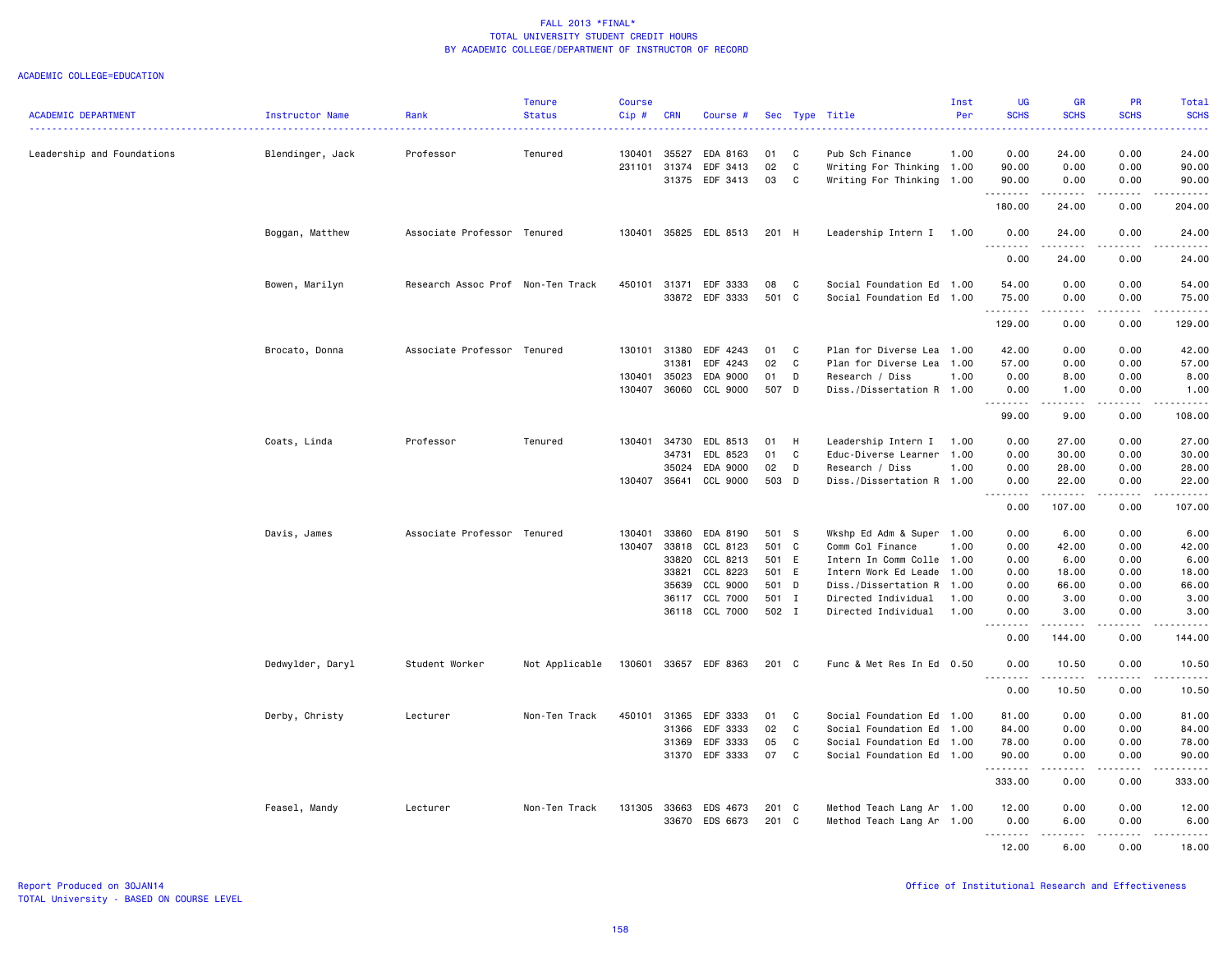| .<br>.<br>0.00<br>Leadership and Foundations<br>Professor<br>130401<br>35527<br>EDA 8163<br>01<br>C<br>Pub Sch Finance<br>0.00<br>24.00<br>24.00<br>Blendinger, Jack<br>Tenured<br>1.00<br>02<br>$\mathbb{C}$<br>0.00<br>231101<br>31374<br>EDF 3413<br>Writing For Thinking 1.00<br>90.00<br>0.00<br>90.00<br>31375<br>EDF 3413<br>03<br>C<br>Writing For Thinking 1.00<br>90.00<br>0.00<br>0.00<br>90.00<br>.<br>.<br>.<br>.<br>180.00<br>204.00<br>24.00<br>0.00<br>Boggan, Matthew<br>Associate Professor Tenured<br>130401<br>35825 EDL 8513<br>201 H<br>Leadership Intern I 1.00<br>0.00<br>24.00<br>0.00<br>24.00<br>.<br>0.00<br>0.00<br>24.00<br>24.00<br>Bowen, Marilyn<br>Research Assoc Prof Non-Ten Track<br>450101<br>EDF 3333<br>08<br>C<br>Social Foundation Ed<br>54.00<br>0.00<br>0.00<br>54.00<br>31371<br>1.00<br>33872 EDF 3333<br>501 C<br>0.00<br>Social Foundation Ed 1.00<br>75.00<br>0.00<br>75.00<br><u>.</u><br>.<br>.<br>.<br>129.00<br>0.00<br>0.00<br>129.00<br>42.00<br>0.00<br>Brocato, Donna<br>Associate Professor Tenured<br>130101<br>31380<br>EDF 4243<br>01<br>C<br>Plan for Diverse Lea<br>1.00<br>0.00<br>42.00<br>31381<br>EDF 4243<br>02<br>C<br>Plan for Diverse Lea<br>1.00<br>57.00<br>0.00<br>0.00<br>57.00<br>35023<br>EDA 9000<br>0.00<br>0.00<br>8.00<br>130401<br>01<br>D<br>Research / Diss<br>1.00<br>8.00<br>130407 36060<br>507 D<br>CCL 9000<br>Diss./Dissertation R 1.00<br>0.00<br>1.00<br>0.00<br>1.00<br>. <b>.</b><br>.<br>.<br>$- - - - - - -$<br>99.00<br>9.00<br>0.00<br>108.00<br>Coats, Linda<br>Professor<br>Tenured<br>130401<br>34730<br>EDL 8513<br>01<br>H<br>Leadership Intern I<br>0.00<br>27.00<br>0.00<br>27.00<br>1.00<br>34731<br>EDL 8523<br>01<br>C<br>Educ-Diverse Learner<br>1.00<br>0.00<br>30.00<br>0.00<br>30.00<br>35024<br>EDA 9000<br>02<br>D<br>Research / Diss<br>1.00<br>0.00<br>28.00<br>0.00<br>28.00<br>130407<br>35641<br>CCL 9000<br>503 D<br>Diss./Dissertation R 1.00<br>0.00<br>22.00<br>0.00<br>22.00<br>.<br>.<br>.<br>107.00<br>0.00<br>0.00<br>107.00<br>Davis, James<br>Associate Professor Tenured<br>130401<br>33860<br>EDA 8190<br>501 S<br>Wkshp Ed Adm & Super 1.00<br>0.00<br>6.00<br>0.00<br>6.00<br>130407<br>33818<br>CCL 8123<br>501 C<br>Comm Col Finance<br>1.00<br>0.00<br>42.00<br>0.00<br>42.00<br>33820<br>CCL 8213<br>501 E<br>0.00<br>6.00<br>0.00<br>6.00<br>Intern In Comm Colle<br>1.00<br>33821<br>CCL 8223<br>501 E<br>0.00<br>18.00<br>0.00<br>18.00<br>Intern Work Ed Leade<br>1.00<br>CCL 9000<br>501 D<br>66.00<br>35639<br>Diss./Dissertation R<br>1.00<br>0.00<br>0.00<br>66.00<br>CCL 7000<br>501 I<br>36117<br>Directed Individual<br>1.00<br>0.00<br>3.00<br>0.00<br>3.00<br>36118 CCL 7000<br>502 I<br>Directed Individual<br>0.00<br>1.00<br>0.00<br>3.00<br>3.00<br>. <b>.</b><br>.<br>.<br>$\frac{1}{2} \left( \frac{1}{2} \right) \left( \frac{1}{2} \right) \left( \frac{1}{2} \right) \left( \frac{1}{2} \right) \left( \frac{1}{2} \right) \left( \frac{1}{2} \right) \left( \frac{1}{2} \right)$<br>0.00<br>144.00<br>0.00<br>144.00<br>Dedwylder, Daryl<br>Student Worker<br>Not Applicable<br>130601<br>33657 EDF 8363<br>201 C<br>Func & Met Res In Ed 0.50<br>0.00<br>10.50<br>0.00<br>10.50<br><b></b><br>.<br>.<br>.<br>0.00<br>10.50<br>0.00<br>10.50<br>Derby, Christy<br>Lecturer<br>Non-Ten Track<br>450101<br>31365<br>EDF 3333<br>01<br>C<br>Social Foundation Ed<br>1.00<br>81.00<br>0.00<br>0.00<br>81.00<br>EDF 3333<br>02<br>C<br>Social Foundation Ed<br>84.00<br>0.00<br>0.00<br>31366<br>1.00<br>84.00<br>EDF 3333<br>05<br>31369<br>C<br>Social Foundation Ed<br>1.00<br>78.00<br>0.00<br>0.00<br>78.00<br>31370 EDF 3333<br>07<br>C<br>Social Foundation Ed 1.00<br>90.00<br>0.00<br>0.00<br>90.00<br>.<br>.<br>.<br>.<br>333.00<br>0.00<br>0.00<br>333.00<br>Feasel, Mandy<br>Lecturer<br>Non-Ten Track<br>131305<br>33663<br>EDS 4673<br>201 C<br>Method Teach Lang Ar 1.00<br>12.00<br>0.00<br>0.00<br>12.00<br>33670<br>EDS 6673<br>201 C<br>Method Teach Lang Ar 1.00<br>0.00<br>6.00<br>0.00<br>6.00<br>.<br>.<br>12.00<br>6.00<br>0.00<br>18.00 | <b>ACADEMIC DEPARTMENT</b> | Instructor Name | Rank | <b>Tenure</b><br><b>Status</b> | <b>Course</b><br>Cip# | <b>CRN</b> | Course # |  | Sec Type Title | Inst<br>Per | <b>UG</b><br><b>SCHS</b> | <b>GR</b><br><b>SCHS</b> | <b>PR</b><br><b>SCHS</b> | Total<br><b>SCHS</b> |
|-----------------------------------------------------------------------------------------------------------------------------------------------------------------------------------------------------------------------------------------------------------------------------------------------------------------------------------------------------------------------------------------------------------------------------------------------------------------------------------------------------------------------------------------------------------------------------------------------------------------------------------------------------------------------------------------------------------------------------------------------------------------------------------------------------------------------------------------------------------------------------------------------------------------------------------------------------------------------------------------------------------------------------------------------------------------------------------------------------------------------------------------------------------------------------------------------------------------------------------------------------------------------------------------------------------------------------------------------------------------------------------------------------------------------------------------------------------------------------------------------------------------------------------------------------------------------------------------------------------------------------------------------------------------------------------------------------------------------------------------------------------------------------------------------------------------------------------------------------------------------------------------------------------------------------------------------------------------------------------------------------------------------------------------------------------------------------------------------------------------------------------------------------------------------------------------------------------------------------------------------------------------------------------------------------------------------------------------------------------------------------------------------------------------------------------------------------------------------------------------------------------------------------------------------------------------------------------------------------------------------------------------------------------------------------------------------------------------------------------------------------------------------------------------------------------------------------------------------------------------------------------------------------------------------------------------------------------------------------------------------------------------------------------------------------------------------------------------------------------------------------------------------------------------------------------------------------------------------------------------------------------------------------------------------------------------------------------------------------------------------------------------------------------------------------------------------------------------------------------------------------------------------------------------------------------------------------------------------------------------------------------------------------------------------------------------------------------------------------------------------------------------------------------------------------------------------------------------------------------------------------------------------------------------------------------------------------------------------------------------------------------------------------------------------------------------------------------------------------------------------------|----------------------------|-----------------|------|--------------------------------|-----------------------|------------|----------|--|----------------|-------------|--------------------------|--------------------------|--------------------------|----------------------|
|                                                                                                                                                                                                                                                                                                                                                                                                                                                                                                                                                                                                                                                                                                                                                                                                                                                                                                                                                                                                                                                                                                                                                                                                                                                                                                                                                                                                                                                                                                                                                                                                                                                                                                                                                                                                                                                                                                                                                                                                                                                                                                                                                                                                                                                                                                                                                                                                                                                                                                                                                                                                                                                                                                                                                                                                                                                                                                                                                                                                                                                                                                                                                                                                                                                                                                                                                                                                                                                                                                                                                                                                                                                                                                                                                                                                                                                                                                                                                                                                                                                                                                                             |                            |                 |      |                                |                       |            |          |  |                |             |                          |                          |                          |                      |
|                                                                                                                                                                                                                                                                                                                                                                                                                                                                                                                                                                                                                                                                                                                                                                                                                                                                                                                                                                                                                                                                                                                                                                                                                                                                                                                                                                                                                                                                                                                                                                                                                                                                                                                                                                                                                                                                                                                                                                                                                                                                                                                                                                                                                                                                                                                                                                                                                                                                                                                                                                                                                                                                                                                                                                                                                                                                                                                                                                                                                                                                                                                                                                                                                                                                                                                                                                                                                                                                                                                                                                                                                                                                                                                                                                                                                                                                                                                                                                                                                                                                                                                             |                            |                 |      |                                |                       |            |          |  |                |             |                          |                          |                          |                      |
|                                                                                                                                                                                                                                                                                                                                                                                                                                                                                                                                                                                                                                                                                                                                                                                                                                                                                                                                                                                                                                                                                                                                                                                                                                                                                                                                                                                                                                                                                                                                                                                                                                                                                                                                                                                                                                                                                                                                                                                                                                                                                                                                                                                                                                                                                                                                                                                                                                                                                                                                                                                                                                                                                                                                                                                                                                                                                                                                                                                                                                                                                                                                                                                                                                                                                                                                                                                                                                                                                                                                                                                                                                                                                                                                                                                                                                                                                                                                                                                                                                                                                                                             |                            |                 |      |                                |                       |            |          |  |                |             |                          |                          |                          |                      |
|                                                                                                                                                                                                                                                                                                                                                                                                                                                                                                                                                                                                                                                                                                                                                                                                                                                                                                                                                                                                                                                                                                                                                                                                                                                                                                                                                                                                                                                                                                                                                                                                                                                                                                                                                                                                                                                                                                                                                                                                                                                                                                                                                                                                                                                                                                                                                                                                                                                                                                                                                                                                                                                                                                                                                                                                                                                                                                                                                                                                                                                                                                                                                                                                                                                                                                                                                                                                                                                                                                                                                                                                                                                                                                                                                                                                                                                                                                                                                                                                                                                                                                                             |                            |                 |      |                                |                       |            |          |  |                |             |                          |                          |                          |                      |
|                                                                                                                                                                                                                                                                                                                                                                                                                                                                                                                                                                                                                                                                                                                                                                                                                                                                                                                                                                                                                                                                                                                                                                                                                                                                                                                                                                                                                                                                                                                                                                                                                                                                                                                                                                                                                                                                                                                                                                                                                                                                                                                                                                                                                                                                                                                                                                                                                                                                                                                                                                                                                                                                                                                                                                                                                                                                                                                                                                                                                                                                                                                                                                                                                                                                                                                                                                                                                                                                                                                                                                                                                                                                                                                                                                                                                                                                                                                                                                                                                                                                                                                             |                            |                 |      |                                |                       |            |          |  |                |             |                          |                          |                          |                      |
|                                                                                                                                                                                                                                                                                                                                                                                                                                                                                                                                                                                                                                                                                                                                                                                                                                                                                                                                                                                                                                                                                                                                                                                                                                                                                                                                                                                                                                                                                                                                                                                                                                                                                                                                                                                                                                                                                                                                                                                                                                                                                                                                                                                                                                                                                                                                                                                                                                                                                                                                                                                                                                                                                                                                                                                                                                                                                                                                                                                                                                                                                                                                                                                                                                                                                                                                                                                                                                                                                                                                                                                                                                                                                                                                                                                                                                                                                                                                                                                                                                                                                                                             |                            |                 |      |                                |                       |            |          |  |                |             |                          |                          |                          |                      |
|                                                                                                                                                                                                                                                                                                                                                                                                                                                                                                                                                                                                                                                                                                                                                                                                                                                                                                                                                                                                                                                                                                                                                                                                                                                                                                                                                                                                                                                                                                                                                                                                                                                                                                                                                                                                                                                                                                                                                                                                                                                                                                                                                                                                                                                                                                                                                                                                                                                                                                                                                                                                                                                                                                                                                                                                                                                                                                                                                                                                                                                                                                                                                                                                                                                                                                                                                                                                                                                                                                                                                                                                                                                                                                                                                                                                                                                                                                                                                                                                                                                                                                                             |                            |                 |      |                                |                       |            |          |  |                |             |                          |                          |                          |                      |
|                                                                                                                                                                                                                                                                                                                                                                                                                                                                                                                                                                                                                                                                                                                                                                                                                                                                                                                                                                                                                                                                                                                                                                                                                                                                                                                                                                                                                                                                                                                                                                                                                                                                                                                                                                                                                                                                                                                                                                                                                                                                                                                                                                                                                                                                                                                                                                                                                                                                                                                                                                                                                                                                                                                                                                                                                                                                                                                                                                                                                                                                                                                                                                                                                                                                                                                                                                                                                                                                                                                                                                                                                                                                                                                                                                                                                                                                                                                                                                                                                                                                                                                             |                            |                 |      |                                |                       |            |          |  |                |             |                          |                          |                          |                      |
|                                                                                                                                                                                                                                                                                                                                                                                                                                                                                                                                                                                                                                                                                                                                                                                                                                                                                                                                                                                                                                                                                                                                                                                                                                                                                                                                                                                                                                                                                                                                                                                                                                                                                                                                                                                                                                                                                                                                                                                                                                                                                                                                                                                                                                                                                                                                                                                                                                                                                                                                                                                                                                                                                                                                                                                                                                                                                                                                                                                                                                                                                                                                                                                                                                                                                                                                                                                                                                                                                                                                                                                                                                                                                                                                                                                                                                                                                                                                                                                                                                                                                                                             |                            |                 |      |                                |                       |            |          |  |                |             |                          |                          |                          |                      |
|                                                                                                                                                                                                                                                                                                                                                                                                                                                                                                                                                                                                                                                                                                                                                                                                                                                                                                                                                                                                                                                                                                                                                                                                                                                                                                                                                                                                                                                                                                                                                                                                                                                                                                                                                                                                                                                                                                                                                                                                                                                                                                                                                                                                                                                                                                                                                                                                                                                                                                                                                                                                                                                                                                                                                                                                                                                                                                                                                                                                                                                                                                                                                                                                                                                                                                                                                                                                                                                                                                                                                                                                                                                                                                                                                                                                                                                                                                                                                                                                                                                                                                                             |                            |                 |      |                                |                       |            |          |  |                |             |                          |                          |                          |                      |
|                                                                                                                                                                                                                                                                                                                                                                                                                                                                                                                                                                                                                                                                                                                                                                                                                                                                                                                                                                                                                                                                                                                                                                                                                                                                                                                                                                                                                                                                                                                                                                                                                                                                                                                                                                                                                                                                                                                                                                                                                                                                                                                                                                                                                                                                                                                                                                                                                                                                                                                                                                                                                                                                                                                                                                                                                                                                                                                                                                                                                                                                                                                                                                                                                                                                                                                                                                                                                                                                                                                                                                                                                                                                                                                                                                                                                                                                                                                                                                                                                                                                                                                             |                            |                 |      |                                |                       |            |          |  |                |             |                          |                          |                          |                      |
|                                                                                                                                                                                                                                                                                                                                                                                                                                                                                                                                                                                                                                                                                                                                                                                                                                                                                                                                                                                                                                                                                                                                                                                                                                                                                                                                                                                                                                                                                                                                                                                                                                                                                                                                                                                                                                                                                                                                                                                                                                                                                                                                                                                                                                                                                                                                                                                                                                                                                                                                                                                                                                                                                                                                                                                                                                                                                                                                                                                                                                                                                                                                                                                                                                                                                                                                                                                                                                                                                                                                                                                                                                                                                                                                                                                                                                                                                                                                                                                                                                                                                                                             |                            |                 |      |                                |                       |            |          |  |                |             |                          |                          |                          |                      |
|                                                                                                                                                                                                                                                                                                                                                                                                                                                                                                                                                                                                                                                                                                                                                                                                                                                                                                                                                                                                                                                                                                                                                                                                                                                                                                                                                                                                                                                                                                                                                                                                                                                                                                                                                                                                                                                                                                                                                                                                                                                                                                                                                                                                                                                                                                                                                                                                                                                                                                                                                                                                                                                                                                                                                                                                                                                                                                                                                                                                                                                                                                                                                                                                                                                                                                                                                                                                                                                                                                                                                                                                                                                                                                                                                                                                                                                                                                                                                                                                                                                                                                                             |                            |                 |      |                                |                       |            |          |  |                |             |                          |                          |                          |                      |
|                                                                                                                                                                                                                                                                                                                                                                                                                                                                                                                                                                                                                                                                                                                                                                                                                                                                                                                                                                                                                                                                                                                                                                                                                                                                                                                                                                                                                                                                                                                                                                                                                                                                                                                                                                                                                                                                                                                                                                                                                                                                                                                                                                                                                                                                                                                                                                                                                                                                                                                                                                                                                                                                                                                                                                                                                                                                                                                                                                                                                                                                                                                                                                                                                                                                                                                                                                                                                                                                                                                                                                                                                                                                                                                                                                                                                                                                                                                                                                                                                                                                                                                             |                            |                 |      |                                |                       |            |          |  |                |             |                          |                          |                          |                      |
|                                                                                                                                                                                                                                                                                                                                                                                                                                                                                                                                                                                                                                                                                                                                                                                                                                                                                                                                                                                                                                                                                                                                                                                                                                                                                                                                                                                                                                                                                                                                                                                                                                                                                                                                                                                                                                                                                                                                                                                                                                                                                                                                                                                                                                                                                                                                                                                                                                                                                                                                                                                                                                                                                                                                                                                                                                                                                                                                                                                                                                                                                                                                                                                                                                                                                                                                                                                                                                                                                                                                                                                                                                                                                                                                                                                                                                                                                                                                                                                                                                                                                                                             |                            |                 |      |                                |                       |            |          |  |                |             |                          |                          |                          |                      |
|                                                                                                                                                                                                                                                                                                                                                                                                                                                                                                                                                                                                                                                                                                                                                                                                                                                                                                                                                                                                                                                                                                                                                                                                                                                                                                                                                                                                                                                                                                                                                                                                                                                                                                                                                                                                                                                                                                                                                                                                                                                                                                                                                                                                                                                                                                                                                                                                                                                                                                                                                                                                                                                                                                                                                                                                                                                                                                                                                                                                                                                                                                                                                                                                                                                                                                                                                                                                                                                                                                                                                                                                                                                                                                                                                                                                                                                                                                                                                                                                                                                                                                                             |                            |                 |      |                                |                       |            |          |  |                |             |                          |                          |                          |                      |
|                                                                                                                                                                                                                                                                                                                                                                                                                                                                                                                                                                                                                                                                                                                                                                                                                                                                                                                                                                                                                                                                                                                                                                                                                                                                                                                                                                                                                                                                                                                                                                                                                                                                                                                                                                                                                                                                                                                                                                                                                                                                                                                                                                                                                                                                                                                                                                                                                                                                                                                                                                                                                                                                                                                                                                                                                                                                                                                                                                                                                                                                                                                                                                                                                                                                                                                                                                                                                                                                                                                                                                                                                                                                                                                                                                                                                                                                                                                                                                                                                                                                                                                             |                            |                 |      |                                |                       |            |          |  |                |             |                          |                          |                          |                      |
|                                                                                                                                                                                                                                                                                                                                                                                                                                                                                                                                                                                                                                                                                                                                                                                                                                                                                                                                                                                                                                                                                                                                                                                                                                                                                                                                                                                                                                                                                                                                                                                                                                                                                                                                                                                                                                                                                                                                                                                                                                                                                                                                                                                                                                                                                                                                                                                                                                                                                                                                                                                                                                                                                                                                                                                                                                                                                                                                                                                                                                                                                                                                                                                                                                                                                                                                                                                                                                                                                                                                                                                                                                                                                                                                                                                                                                                                                                                                                                                                                                                                                                                             |                            |                 |      |                                |                       |            |          |  |                |             |                          |                          |                          |                      |
|                                                                                                                                                                                                                                                                                                                                                                                                                                                                                                                                                                                                                                                                                                                                                                                                                                                                                                                                                                                                                                                                                                                                                                                                                                                                                                                                                                                                                                                                                                                                                                                                                                                                                                                                                                                                                                                                                                                                                                                                                                                                                                                                                                                                                                                                                                                                                                                                                                                                                                                                                                                                                                                                                                                                                                                                                                                                                                                                                                                                                                                                                                                                                                                                                                                                                                                                                                                                                                                                                                                                                                                                                                                                                                                                                                                                                                                                                                                                                                                                                                                                                                                             |                            |                 |      |                                |                       |            |          |  |                |             |                          |                          |                          |                      |
|                                                                                                                                                                                                                                                                                                                                                                                                                                                                                                                                                                                                                                                                                                                                                                                                                                                                                                                                                                                                                                                                                                                                                                                                                                                                                                                                                                                                                                                                                                                                                                                                                                                                                                                                                                                                                                                                                                                                                                                                                                                                                                                                                                                                                                                                                                                                                                                                                                                                                                                                                                                                                                                                                                                                                                                                                                                                                                                                                                                                                                                                                                                                                                                                                                                                                                                                                                                                                                                                                                                                                                                                                                                                                                                                                                                                                                                                                                                                                                                                                                                                                                                             |                            |                 |      |                                |                       |            |          |  |                |             |                          |                          |                          |                      |
|                                                                                                                                                                                                                                                                                                                                                                                                                                                                                                                                                                                                                                                                                                                                                                                                                                                                                                                                                                                                                                                                                                                                                                                                                                                                                                                                                                                                                                                                                                                                                                                                                                                                                                                                                                                                                                                                                                                                                                                                                                                                                                                                                                                                                                                                                                                                                                                                                                                                                                                                                                                                                                                                                                                                                                                                                                                                                                                                                                                                                                                                                                                                                                                                                                                                                                                                                                                                                                                                                                                                                                                                                                                                                                                                                                                                                                                                                                                                                                                                                                                                                                                             |                            |                 |      |                                |                       |            |          |  |                |             |                          |                          |                          |                      |
|                                                                                                                                                                                                                                                                                                                                                                                                                                                                                                                                                                                                                                                                                                                                                                                                                                                                                                                                                                                                                                                                                                                                                                                                                                                                                                                                                                                                                                                                                                                                                                                                                                                                                                                                                                                                                                                                                                                                                                                                                                                                                                                                                                                                                                                                                                                                                                                                                                                                                                                                                                                                                                                                                                                                                                                                                                                                                                                                                                                                                                                                                                                                                                                                                                                                                                                                                                                                                                                                                                                                                                                                                                                                                                                                                                                                                                                                                                                                                                                                                                                                                                                             |                            |                 |      |                                |                       |            |          |  |                |             |                          |                          |                          |                      |
|                                                                                                                                                                                                                                                                                                                                                                                                                                                                                                                                                                                                                                                                                                                                                                                                                                                                                                                                                                                                                                                                                                                                                                                                                                                                                                                                                                                                                                                                                                                                                                                                                                                                                                                                                                                                                                                                                                                                                                                                                                                                                                                                                                                                                                                                                                                                                                                                                                                                                                                                                                                                                                                                                                                                                                                                                                                                                                                                                                                                                                                                                                                                                                                                                                                                                                                                                                                                                                                                                                                                                                                                                                                                                                                                                                                                                                                                                                                                                                                                                                                                                                                             |                            |                 |      |                                |                       |            |          |  |                |             |                          |                          |                          |                      |
|                                                                                                                                                                                                                                                                                                                                                                                                                                                                                                                                                                                                                                                                                                                                                                                                                                                                                                                                                                                                                                                                                                                                                                                                                                                                                                                                                                                                                                                                                                                                                                                                                                                                                                                                                                                                                                                                                                                                                                                                                                                                                                                                                                                                                                                                                                                                                                                                                                                                                                                                                                                                                                                                                                                                                                                                                                                                                                                                                                                                                                                                                                                                                                                                                                                                                                                                                                                                                                                                                                                                                                                                                                                                                                                                                                                                                                                                                                                                                                                                                                                                                                                             |                            |                 |      |                                |                       |            |          |  |                |             |                          |                          |                          |                      |
|                                                                                                                                                                                                                                                                                                                                                                                                                                                                                                                                                                                                                                                                                                                                                                                                                                                                                                                                                                                                                                                                                                                                                                                                                                                                                                                                                                                                                                                                                                                                                                                                                                                                                                                                                                                                                                                                                                                                                                                                                                                                                                                                                                                                                                                                                                                                                                                                                                                                                                                                                                                                                                                                                                                                                                                                                                                                                                                                                                                                                                                                                                                                                                                                                                                                                                                                                                                                                                                                                                                                                                                                                                                                                                                                                                                                                                                                                                                                                                                                                                                                                                                             |                            |                 |      |                                |                       |            |          |  |                |             |                          |                          |                          |                      |
|                                                                                                                                                                                                                                                                                                                                                                                                                                                                                                                                                                                                                                                                                                                                                                                                                                                                                                                                                                                                                                                                                                                                                                                                                                                                                                                                                                                                                                                                                                                                                                                                                                                                                                                                                                                                                                                                                                                                                                                                                                                                                                                                                                                                                                                                                                                                                                                                                                                                                                                                                                                                                                                                                                                                                                                                                                                                                                                                                                                                                                                                                                                                                                                                                                                                                                                                                                                                                                                                                                                                                                                                                                                                                                                                                                                                                                                                                                                                                                                                                                                                                                                             |                            |                 |      |                                |                       |            |          |  |                |             |                          |                          |                          |                      |
|                                                                                                                                                                                                                                                                                                                                                                                                                                                                                                                                                                                                                                                                                                                                                                                                                                                                                                                                                                                                                                                                                                                                                                                                                                                                                                                                                                                                                                                                                                                                                                                                                                                                                                                                                                                                                                                                                                                                                                                                                                                                                                                                                                                                                                                                                                                                                                                                                                                                                                                                                                                                                                                                                                                                                                                                                                                                                                                                                                                                                                                                                                                                                                                                                                                                                                                                                                                                                                                                                                                                                                                                                                                                                                                                                                                                                                                                                                                                                                                                                                                                                                                             |                            |                 |      |                                |                       |            |          |  |                |             |                          |                          |                          |                      |
|                                                                                                                                                                                                                                                                                                                                                                                                                                                                                                                                                                                                                                                                                                                                                                                                                                                                                                                                                                                                                                                                                                                                                                                                                                                                                                                                                                                                                                                                                                                                                                                                                                                                                                                                                                                                                                                                                                                                                                                                                                                                                                                                                                                                                                                                                                                                                                                                                                                                                                                                                                                                                                                                                                                                                                                                                                                                                                                                                                                                                                                                                                                                                                                                                                                                                                                                                                                                                                                                                                                                                                                                                                                                                                                                                                                                                                                                                                                                                                                                                                                                                                                             |                            |                 |      |                                |                       |            |          |  |                |             |                          |                          |                          |                      |
|                                                                                                                                                                                                                                                                                                                                                                                                                                                                                                                                                                                                                                                                                                                                                                                                                                                                                                                                                                                                                                                                                                                                                                                                                                                                                                                                                                                                                                                                                                                                                                                                                                                                                                                                                                                                                                                                                                                                                                                                                                                                                                                                                                                                                                                                                                                                                                                                                                                                                                                                                                                                                                                                                                                                                                                                                                                                                                                                                                                                                                                                                                                                                                                                                                                                                                                                                                                                                                                                                                                                                                                                                                                                                                                                                                                                                                                                                                                                                                                                                                                                                                                             |                            |                 |      |                                |                       |            |          |  |                |             |                          |                          |                          |                      |
|                                                                                                                                                                                                                                                                                                                                                                                                                                                                                                                                                                                                                                                                                                                                                                                                                                                                                                                                                                                                                                                                                                                                                                                                                                                                                                                                                                                                                                                                                                                                                                                                                                                                                                                                                                                                                                                                                                                                                                                                                                                                                                                                                                                                                                                                                                                                                                                                                                                                                                                                                                                                                                                                                                                                                                                                                                                                                                                                                                                                                                                                                                                                                                                                                                                                                                                                                                                                                                                                                                                                                                                                                                                                                                                                                                                                                                                                                                                                                                                                                                                                                                                             |                            |                 |      |                                |                       |            |          |  |                |             |                          |                          |                          |                      |
|                                                                                                                                                                                                                                                                                                                                                                                                                                                                                                                                                                                                                                                                                                                                                                                                                                                                                                                                                                                                                                                                                                                                                                                                                                                                                                                                                                                                                                                                                                                                                                                                                                                                                                                                                                                                                                                                                                                                                                                                                                                                                                                                                                                                                                                                                                                                                                                                                                                                                                                                                                                                                                                                                                                                                                                                                                                                                                                                                                                                                                                                                                                                                                                                                                                                                                                                                                                                                                                                                                                                                                                                                                                                                                                                                                                                                                                                                                                                                                                                                                                                                                                             |                            |                 |      |                                |                       |            |          |  |                |             |                          |                          |                          |                      |
|                                                                                                                                                                                                                                                                                                                                                                                                                                                                                                                                                                                                                                                                                                                                                                                                                                                                                                                                                                                                                                                                                                                                                                                                                                                                                                                                                                                                                                                                                                                                                                                                                                                                                                                                                                                                                                                                                                                                                                                                                                                                                                                                                                                                                                                                                                                                                                                                                                                                                                                                                                                                                                                                                                                                                                                                                                                                                                                                                                                                                                                                                                                                                                                                                                                                                                                                                                                                                                                                                                                                                                                                                                                                                                                                                                                                                                                                                                                                                                                                                                                                                                                             |                            |                 |      |                                |                       |            |          |  |                |             |                          |                          |                          |                      |
|                                                                                                                                                                                                                                                                                                                                                                                                                                                                                                                                                                                                                                                                                                                                                                                                                                                                                                                                                                                                                                                                                                                                                                                                                                                                                                                                                                                                                                                                                                                                                                                                                                                                                                                                                                                                                                                                                                                                                                                                                                                                                                                                                                                                                                                                                                                                                                                                                                                                                                                                                                                                                                                                                                                                                                                                                                                                                                                                                                                                                                                                                                                                                                                                                                                                                                                                                                                                                                                                                                                                                                                                                                                                                                                                                                                                                                                                                                                                                                                                                                                                                                                             |                            |                 |      |                                |                       |            |          |  |                |             |                          |                          |                          |                      |
|                                                                                                                                                                                                                                                                                                                                                                                                                                                                                                                                                                                                                                                                                                                                                                                                                                                                                                                                                                                                                                                                                                                                                                                                                                                                                                                                                                                                                                                                                                                                                                                                                                                                                                                                                                                                                                                                                                                                                                                                                                                                                                                                                                                                                                                                                                                                                                                                                                                                                                                                                                                                                                                                                                                                                                                                                                                                                                                                                                                                                                                                                                                                                                                                                                                                                                                                                                                                                                                                                                                                                                                                                                                                                                                                                                                                                                                                                                                                                                                                                                                                                                                             |                            |                 |      |                                |                       |            |          |  |                |             |                          |                          |                          |                      |
|                                                                                                                                                                                                                                                                                                                                                                                                                                                                                                                                                                                                                                                                                                                                                                                                                                                                                                                                                                                                                                                                                                                                                                                                                                                                                                                                                                                                                                                                                                                                                                                                                                                                                                                                                                                                                                                                                                                                                                                                                                                                                                                                                                                                                                                                                                                                                                                                                                                                                                                                                                                                                                                                                                                                                                                                                                                                                                                                                                                                                                                                                                                                                                                                                                                                                                                                                                                                                                                                                                                                                                                                                                                                                                                                                                                                                                                                                                                                                                                                                                                                                                                             |                            |                 |      |                                |                       |            |          |  |                |             |                          |                          |                          |                      |
|                                                                                                                                                                                                                                                                                                                                                                                                                                                                                                                                                                                                                                                                                                                                                                                                                                                                                                                                                                                                                                                                                                                                                                                                                                                                                                                                                                                                                                                                                                                                                                                                                                                                                                                                                                                                                                                                                                                                                                                                                                                                                                                                                                                                                                                                                                                                                                                                                                                                                                                                                                                                                                                                                                                                                                                                                                                                                                                                                                                                                                                                                                                                                                                                                                                                                                                                                                                                                                                                                                                                                                                                                                                                                                                                                                                                                                                                                                                                                                                                                                                                                                                             |                            |                 |      |                                |                       |            |          |  |                |             |                          |                          |                          |                      |
|                                                                                                                                                                                                                                                                                                                                                                                                                                                                                                                                                                                                                                                                                                                                                                                                                                                                                                                                                                                                                                                                                                                                                                                                                                                                                                                                                                                                                                                                                                                                                                                                                                                                                                                                                                                                                                                                                                                                                                                                                                                                                                                                                                                                                                                                                                                                                                                                                                                                                                                                                                                                                                                                                                                                                                                                                                                                                                                                                                                                                                                                                                                                                                                                                                                                                                                                                                                                                                                                                                                                                                                                                                                                                                                                                                                                                                                                                                                                                                                                                                                                                                                             |                            |                 |      |                                |                       |            |          |  |                |             |                          |                          |                          |                      |
|                                                                                                                                                                                                                                                                                                                                                                                                                                                                                                                                                                                                                                                                                                                                                                                                                                                                                                                                                                                                                                                                                                                                                                                                                                                                                                                                                                                                                                                                                                                                                                                                                                                                                                                                                                                                                                                                                                                                                                                                                                                                                                                                                                                                                                                                                                                                                                                                                                                                                                                                                                                                                                                                                                                                                                                                                                                                                                                                                                                                                                                                                                                                                                                                                                                                                                                                                                                                                                                                                                                                                                                                                                                                                                                                                                                                                                                                                                                                                                                                                                                                                                                             |                            |                 |      |                                |                       |            |          |  |                |             |                          |                          |                          |                      |
|                                                                                                                                                                                                                                                                                                                                                                                                                                                                                                                                                                                                                                                                                                                                                                                                                                                                                                                                                                                                                                                                                                                                                                                                                                                                                                                                                                                                                                                                                                                                                                                                                                                                                                                                                                                                                                                                                                                                                                                                                                                                                                                                                                                                                                                                                                                                                                                                                                                                                                                                                                                                                                                                                                                                                                                                                                                                                                                                                                                                                                                                                                                                                                                                                                                                                                                                                                                                                                                                                                                                                                                                                                                                                                                                                                                                                                                                                                                                                                                                                                                                                                                             |                            |                 |      |                                |                       |            |          |  |                |             |                          |                          |                          |                      |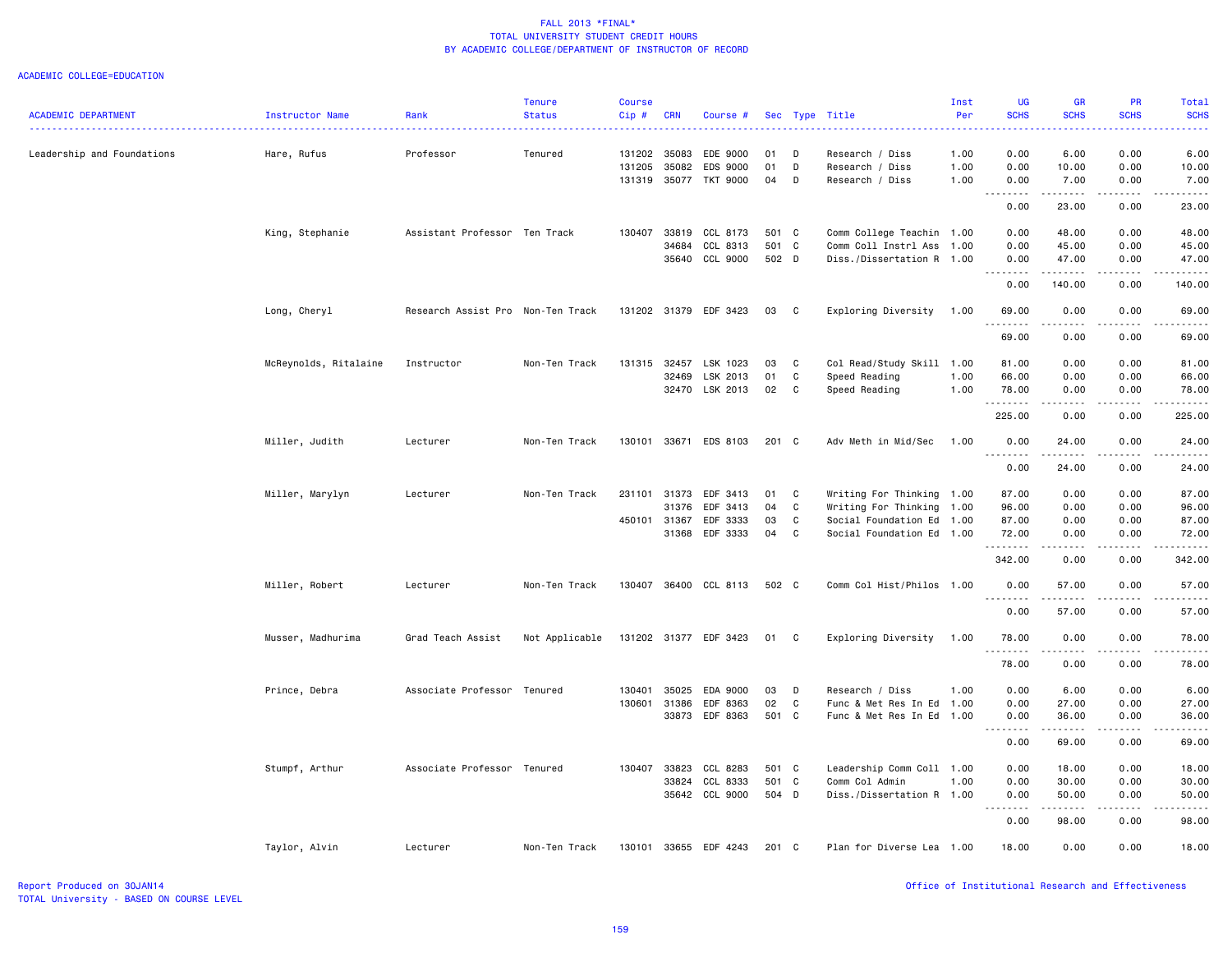| <b>ACADEMIC DEPARTMENT</b> | Instructor Name       | Rank                              | <b>Tenure</b><br><b>Status</b> | <b>Course</b><br>Cip# | <b>CRN</b>   | Course #              |               |              | Sec Type Title            | Inst<br>Per | UG<br><b>SCHS</b>                           | <b>GR</b><br><b>SCHS</b>                                                                                                                                     | PR<br><b>SCHS</b> | Total<br><b>SCHS</b> |
|----------------------------|-----------------------|-----------------------------------|--------------------------------|-----------------------|--------------|-----------------------|---------------|--------------|---------------------------|-------------|---------------------------------------------|--------------------------------------------------------------------------------------------------------------------------------------------------------------|-------------------|----------------------|
|                            |                       |                                   |                                |                       |              |                       |               |              |                           |             |                                             |                                                                                                                                                              |                   |                      |
| Leadership and Foundations | Hare, Rufus           | Professor                         | Tenured                        | 131202                | 35083        | EDE 9000              | 01            | D            | Research / Diss           | 1.00        | 0.00                                        | 6.00                                                                                                                                                         | 0.00              | 6.00                 |
|                            |                       |                                   |                                | 131205                | 35082        | EDS 9000              | 01            | D            | Research / Diss           | 1.00        | 0.00                                        | 10.00                                                                                                                                                        | 0.00              | 10.00                |
|                            |                       |                                   |                                | 131319 35077          |              | TKT 9000              | 04            | D            | Research / Diss           | 1.00        | 0.00<br>$- - - - -$<br>$\sim$ $\sim$ $\sim$ | 7.00<br>$- - - - - - -$                                                                                                                                      | 0.00<br>.         | 7.00<br>.            |
|                            |                       |                                   |                                |                       |              |                       |               |              |                           |             | 0.00                                        | 23.00                                                                                                                                                        | 0.00              | 23.00                |
|                            | King, Stephanie       | Assistant Professor Ten Track     |                                |                       | 130407 33819 | CCL 8173              | 501 C         |              | Comm College Teachin 1.00 |             | 0.00                                        | 48.00                                                                                                                                                        | 0.00              | 48.00                |
|                            |                       |                                   |                                |                       | 34684        | CCL 8313              | 501 C         |              | Comm Coll Instrl Ass      | 1.00        | 0.00                                        | 45.00                                                                                                                                                        | 0.00              | 45.00                |
|                            |                       |                                   |                                |                       | 35640        | CCL 9000              | 502 D         |              | Diss./Dissertation R 1.00 |             | 0.00                                        | 47.00<br>.                                                                                                                                                   | 0.00<br>.         | 47.00<br><u>.</u>    |
|                            |                       |                                   |                                |                       |              |                       |               |              |                           |             | 0.00                                        | 140.00                                                                                                                                                       | 0.00              | 140.00               |
|                            | Long, Cheryl          | Research Assist Pro Non-Ten Track |                                |                       |              | 131202 31379 EDF 3423 | 03            | C            | Exploring Diversity       | 1.00        | 69.00<br>.                                  | 0.00<br>.                                                                                                                                                    | 0.00<br>$- - -$   | 69.00<br>والمستحدث   |
|                            |                       |                                   |                                |                       |              |                       |               |              |                           |             | 69.00                                       | 0.00                                                                                                                                                         | 0.00              | 69.00                |
|                            | McReynolds, Ritalaine | Instructor                        | Non-Ten Track                  | 131315                | 32457        | LSK 1023              | 03            | C            | Col Read/Study Skill 1.00 |             | 81.00                                       | 0.00                                                                                                                                                         | 0.00              | 81.00                |
|                            |                       |                                   |                                |                       | 32469        | LSK 2013              | 01            | $\mathtt{C}$ | Speed Reading             | 1.00        | 66.00                                       | 0.00                                                                                                                                                         | 0.00              | 66.00                |
|                            |                       |                                   |                                |                       |              | 32470 LSK 2013        | 02            | C            | Speed Reading             | 1.00        | 78.00<br>.                                  | 0.00<br>$- - - - -$                                                                                                                                          | 0.00<br>.         | 78.00<br>.           |
|                            |                       |                                   |                                |                       |              |                       |               |              |                           |             | 225.00                                      | 0.00                                                                                                                                                         | 0.00              | 225.00               |
|                            | Miller, Judith        | Lecturer                          | Non-Ten Track                  | 130101                |              | 33671 EDS 8103        | $201 \quad C$ |              | Adv Meth in Mid/Sec       | 1.00        | 0.00<br>1.1.1.1.1.1.1                       | 24.00<br>.                                                                                                                                                   | 0.00<br>د د د د   | 24.00<br>.           |
|                            |                       |                                   |                                |                       |              |                       |               |              |                           |             | 0.00                                        | 24.00                                                                                                                                                        | 0.00              | 24.00                |
|                            | Miller, Marylyn       | Lecturer                          | Non-Ten Track                  | 231101                | 31373        | EDF 3413              | 01            | C            | Writing For Thinking 1.00 |             | 87.00                                       | 0.00                                                                                                                                                         | 0.00              | 87.00                |
|                            |                       |                                   |                                |                       | 31376        | EDF 3413              | 04            | C            | Writing For Thinking 1.00 |             | 96.00                                       | 0.00                                                                                                                                                         | 0.00              | 96.00                |
|                            |                       |                                   |                                | 450101                | 31367        | EDF 3333              | 03            | C            | Social Foundation Ed 1.00 |             | 87.00                                       | 0.00                                                                                                                                                         | 0.00              | 87.00                |
|                            |                       |                                   |                                |                       | 31368        | EDF 3333              | 04            | C            | Social Foundation Ed 1.00 |             | 72.00<br>.                                  | 0.00<br>$- - - - -$                                                                                                                                          | 0.00<br>.         | 72.00<br>.           |
|                            |                       |                                   |                                |                       |              |                       |               |              |                           |             | 342.00                                      | 0.00                                                                                                                                                         | 0.00              | 342.00               |
|                            | Miller, Robert        | Lecturer                          | Non-Ten Track                  |                       |              | 130407 36400 CCL 8113 | 502 C         |              | Comm Col Hist/Philos 1.00 |             | 0.00                                        | 57.00                                                                                                                                                        | 0.00              | 57.00<br>والمستحدث   |
|                            |                       |                                   |                                |                       |              |                       |               |              |                           |             | 0.00                                        | 57.00                                                                                                                                                        | 0.00              | 57.00                |
|                            | Musser, Madhurima     | Grad Teach Assist                 | Not Applicable                 |                       |              | 131202 31377 EDF 3423 | 01            | C            | Exploring Diversity       | 1.00        | 78.00<br>.                                  | 0.00<br>$\frac{1}{2} \left( \frac{1}{2} \right) \left( \frac{1}{2} \right) \left( \frac{1}{2} \right) \left( \frac{1}{2} \right) \left( \frac{1}{2} \right)$ | 0.00<br>$   -$    | 78.00<br>.           |
|                            |                       |                                   |                                |                       |              |                       |               |              |                           |             | 78.00                                       | 0.00                                                                                                                                                         | 0.00              | 78.00                |
|                            | Prince, Debra         | Associate Professor Tenured       |                                | 130401                | 35025        | EDA 9000              | 03            | D            | Research / Diss           | 1.00        | 0.00                                        | 6.00                                                                                                                                                         | 0.00              | 6.00                 |
|                            |                       |                                   |                                | 130601                | 31386        | EDF 8363              | 02            | $\mathbf c$  | Func & Met Res In Ed 1.00 |             | 0.00                                        | 27.00                                                                                                                                                        | 0.00              | 27.00                |
|                            |                       |                                   |                                |                       | 33873        | EDF 8363              | 501 C         |              | Func & Met Res In Ed 1.00 |             | 0.00<br>.                                   | 36.00                                                                                                                                                        | 0.00<br>$\cdots$  | 36.00<br>$- - - - -$ |
|                            |                       |                                   |                                |                       |              |                       |               |              |                           |             | 0.00                                        | 69.00                                                                                                                                                        | 0.00              | 69.00                |
|                            | Stumpf, Arthur        | Associate Professor Tenured       |                                | 130407                | 33823        | CCL 8283              | 501 C         |              | Leadership Comm Coll 1.00 |             | 0.00                                        | 18.00                                                                                                                                                        | 0.00              | 18.00                |
|                            |                       |                                   |                                |                       | 33824        | CCL 8333              | 501 C         |              | Comm Col Admin            | 1.00        | 0.00                                        | 30.00                                                                                                                                                        | 0.00              | 30.00                |
|                            |                       |                                   |                                |                       |              | 35642 CCL 9000        | 504 D         |              | Diss./Dissertation R 1.00 |             | 0.00                                        | 50.00                                                                                                                                                        | 0.00              | 50.00                |
|                            |                       |                                   |                                |                       |              |                       |               |              |                           |             | -----<br>$\sim$ $\sim$                      | <u>.</u>                                                                                                                                                     | .                 | .                    |
|                            |                       |                                   |                                |                       |              |                       |               |              |                           |             | 0.00                                        | 98.00                                                                                                                                                        | 0.00              | 98.00                |
|                            | Taylor, Alvin         | Lecturer                          | Non-Ten Track                  | 130101                |              | 33655 EDF 4243        | 201 C         |              | Plan for Diverse Lea 1.00 |             | 18.00                                       | 0.00                                                                                                                                                         | 0.00              | 18.00                |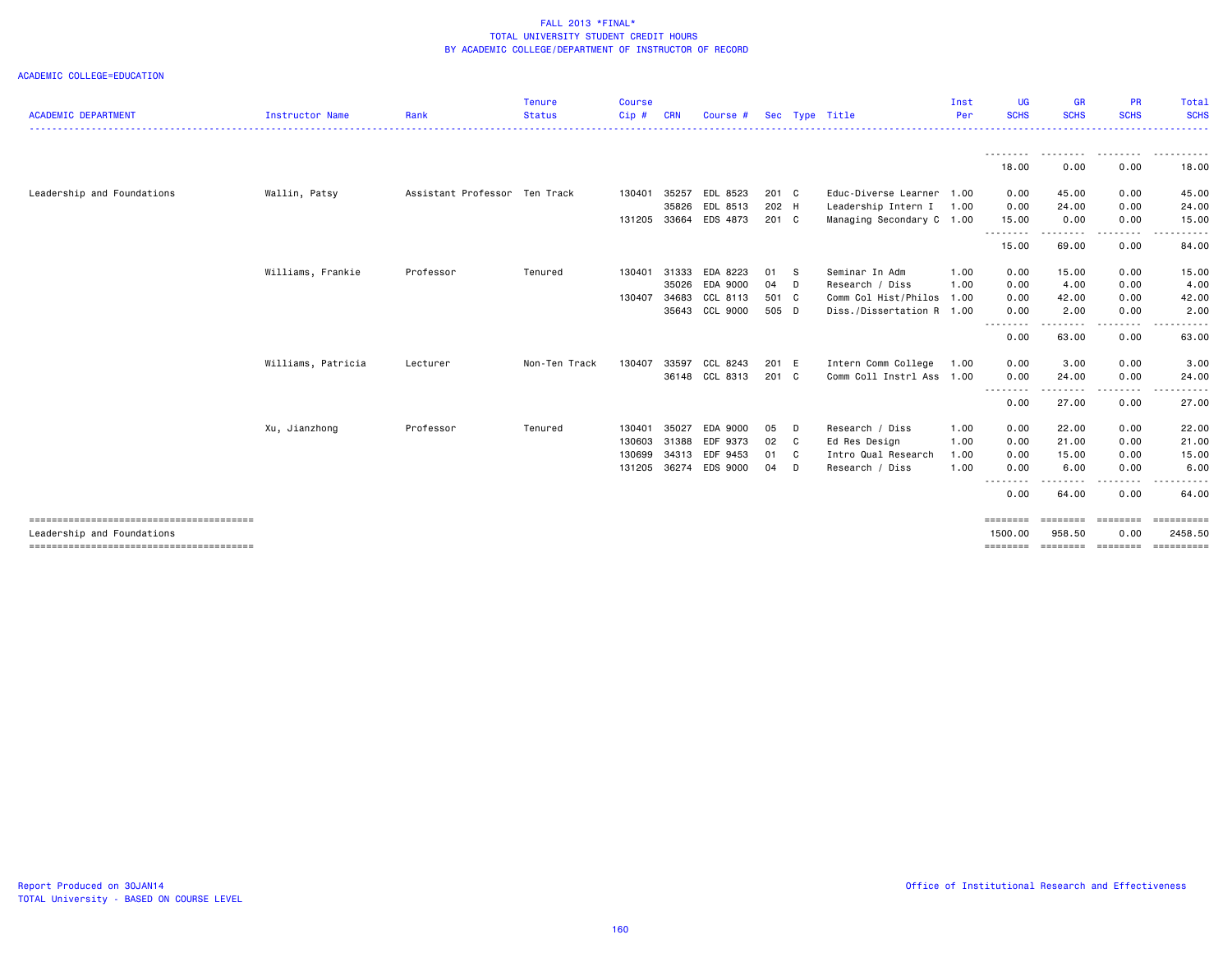| <b>ACADEMIC DEPARTMENT</b> | Instructor Name    | Rank                          | <b>Tenure</b><br><b>Status</b> | <b>Course</b><br>Cip# | <b>CRN</b> | Course #       |        |   | Sec Type Title            | Inst<br>Per | UG<br><b>SCHS</b>   | <b>GR</b><br><b>SCHS</b> | <b>PR</b><br><b>SCHS</b> | Total<br><b>SCHS</b>  |
|----------------------------|--------------------|-------------------------------|--------------------------------|-----------------------|------------|----------------|--------|---|---------------------------|-------------|---------------------|--------------------------|--------------------------|-----------------------|
|                            |                    |                               |                                |                       |            |                |        |   |                           |             |                     |                          |                          |                       |
|                            |                    |                               |                                |                       |            |                |        |   |                           |             | ---------<br>18.00  | .<br>0.00                | --------<br>0.00         | .<br>18.00            |
| Leadership and Foundations | Wallin, Patsy      | Assistant Professor Ten Track |                                | 130401                | 35257      | EDL 8523       | 201 C  |   | Educ-Diverse Learner      | 1.00        | 0.00                | 45.00                    | 0.00                     | 45.00                 |
|                            |                    |                               |                                |                       | 35826      | EDL 8513       | 202 H  |   | Leadership Intern I       | 1.00        | 0.00                | 24.00                    | 0.00                     | 24.00                 |
|                            |                    |                               |                                | 131205                | 33664      | EDS 4873       | 201 C  |   | Managing Secondary C 1.00 |             | 15.00               | 0.00                     | 0.00                     | 15.00                 |
|                            |                    |                               |                                |                       |            |                |        |   |                           |             | 15.00               | 69.00                    | 0.00                     | 84.00                 |
|                            | Williams, Frankie  | Professor                     | Tenured                        | 130401                | 31333      | EDA 8223       | 01 S   |   | Seminar In Adm            | 1.00        | 0.00                | 15.00                    | 0.00                     | 15.00                 |
|                            |                    |                               |                                |                       | 35026      | EDA 9000       | $04$ D |   | Research / Diss           | 1.00        | 0.00                | 4.00                     | 0.00                     | 4.00                  |
|                            |                    |                               |                                | 130407                | 34683      | CCL 8113       | 501 C  |   | Comm Col Hist/Philos      | 1.00        | 0.00                | 42.00                    | 0.00                     | 42.00                 |
|                            |                    |                               |                                |                       |            | 35643 CCL 9000 | 505 D  |   | Diss./Dissertation R 1.00 |             | 0.00<br>--------    | 2.00                     | 0.00                     | 2.00                  |
|                            |                    |                               |                                |                       |            |                |        |   |                           |             | 0.00                | 63.00                    | 0.00                     | 63.00                 |
|                            | Williams, Patricia | Lecturer                      | Non-Ten Track                  | 130407                | 33597      | CCL 8243       | 201 E  |   | Intern Comm College       | 1.00        | 0.00                | 3.00                     | 0.00                     | 3.00                  |
|                            |                    |                               |                                |                       |            | 36148 CCL 8313 | 201 C  |   | Comm Coll Instrl Ass 1.00 |             | 0.00                | 24.00                    | 0.00                     | 24.00                 |
|                            |                    |                               |                                |                       |            |                |        |   |                           |             | <u>.</u><br>0.00    | . <b>.</b> .<br>27.00    | -----<br>0.00            | 27.00                 |
|                            | Xu, Jianzhong      | Professor                     | Tenured                        | 130401                | 35027      | EDA 9000       | 05     | D | Research / Diss           | 1.00        | 0.00                | 22.00                    | 0.00                     | 22.00                 |
|                            |                    |                               |                                | 130603                | 31388      | EDF 9373       | 02 C   |   | Ed Res Design             | 1.00        | 0.00                | 21.00                    | 0.00                     | 21.00                 |
|                            |                    |                               |                                | 130699                |            | 34313 EDF 9453 | 01 C   |   | Intro Qual Research       | 1.00        | 0.00                | 15.00                    | 0.00                     | 15.00                 |
|                            |                    |                               |                                | 131205                |            | 36274 EDS 9000 | $04$ D |   | Research / Diss           | 1.00        | 0.00                | 6.00                     | 0.00                     | 6.00                  |
|                            |                    |                               |                                |                       |            |                |        |   |                           |             | 0.00                | 64.00                    | 0.00                     | 64.00                 |
| Leadership and Foundations |                    |                               |                                |                       |            |                |        |   |                           |             | ========<br>1500.00 | ========<br>958.50       | ========<br>0.00         | ==========<br>2458.50 |
|                            |                    |                               |                                |                       |            |                |        |   |                           |             | ========            | SESSESSE SESSESSE        |                          | <b>CONSESSED</b>      |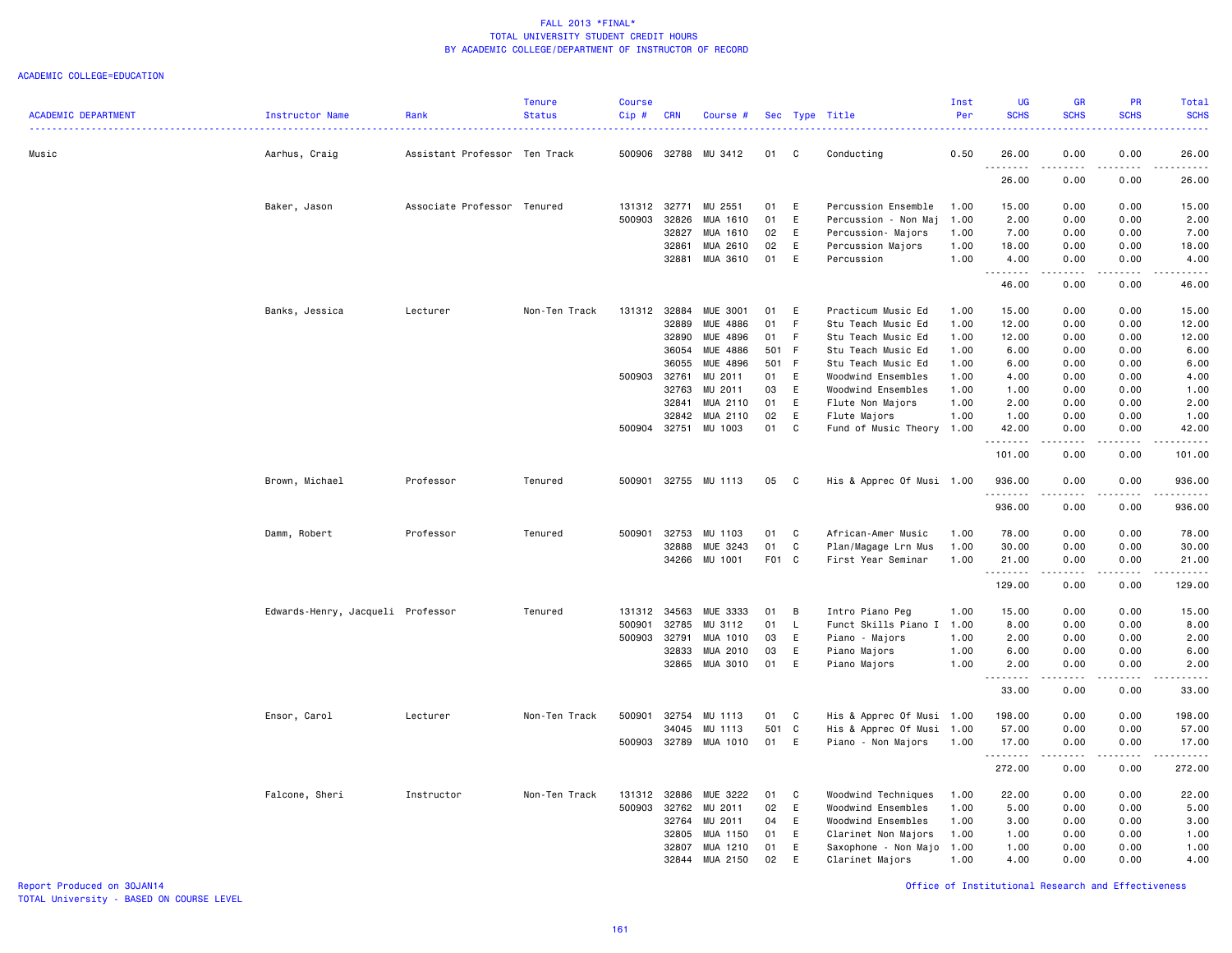#### ACADEMIC COLLEGE=EDUCATION

| <b>ACADEMIC DEPARTMENT</b> | Instructor Name                   | Rank                          | <b>Tenure</b><br><b>Status</b> | <b>Course</b><br>$Cip \#$ | <b>CRN</b>     | Course #              |          |              | Sec Type Title                   | Inst<br>Per  | <b>UG</b><br><b>SCHS</b> | <b>GR</b><br><b>SCHS</b> | <b>PR</b><br><b>SCHS</b>                                                                                                                                     | Total<br><b>SCHS</b><br>$\frac{1}{2} \left( \frac{1}{2} \right) \left( \frac{1}{2} \right) \left( \frac{1}{2} \right) \left( \frac{1}{2} \right)$             |
|----------------------------|-----------------------------------|-------------------------------|--------------------------------|---------------------------|----------------|-----------------------|----------|--------------|----------------------------------|--------------|--------------------------|--------------------------|--------------------------------------------------------------------------------------------------------------------------------------------------------------|---------------------------------------------------------------------------------------------------------------------------------------------------------------|
| Music                      | Aarhus, Craig                     | Assistant Professor Ten Track |                                | 500906 32788              |                | MU 3412               | 01       | C.           | Conducting                       | 0.50         | 26.00                    | 0.00                     | 0.00                                                                                                                                                         | 26.00                                                                                                                                                         |
|                            |                                   |                               |                                |                           |                |                       |          |              |                                  |              | .<br>26.00               | $\frac{1}{2}$<br>0.00    | 0.00                                                                                                                                                         | 26.00                                                                                                                                                         |
|                            | Baker, Jason                      | Associate Professor Tenured   |                                | 131312 32771              |                | MU 2551               | 01       | E            | Percussion Ensemble              | 1.00         | 15.00                    | 0.00                     | 0.00                                                                                                                                                         | 15.00                                                                                                                                                         |
|                            |                                   |                               |                                | 500903                    | 32826          | MUA 1610              | 01       | E            | Percussion - Non Maj             | 1.00         | 2.00                     | 0.00                     | 0.00                                                                                                                                                         | 2.00                                                                                                                                                          |
|                            |                                   |                               |                                |                           | 32827          | MUA 1610              | 02       | E            | Percussion- Majors               | 1.00         | 7.00                     | 0.00                     | 0.00                                                                                                                                                         | 7.00                                                                                                                                                          |
|                            |                                   |                               |                                |                           | 32861          | MUA 2610              | 02       | E            | Percussion Majors                | 1.00         | 18.00                    | 0.00                     | 0.00                                                                                                                                                         | 18.00                                                                                                                                                         |
|                            |                                   |                               |                                |                           | 32881          | MUA 3610              | 01       | E            | Percussion                       | 1.00         | 4.00                     | 0.00                     | 0.00                                                                                                                                                         | 4.00                                                                                                                                                          |
|                            |                                   |                               |                                |                           |                |                       |          |              |                                  |              | 46.00                    | 0.00                     | 0.00                                                                                                                                                         | 46.00                                                                                                                                                         |
|                            | Banks, Jessica                    | Lecturer                      | Non-Ten Track                  | 131312 32884              |                | <b>MUE 3001</b>       | 01       | E            | Practicum Music Ed               | 1.00         | 15.00                    | 0.00                     | 0.00                                                                                                                                                         | 15.00                                                                                                                                                         |
|                            |                                   |                               |                                |                           | 32889          | MUE 4886              | 01       | F            | Stu Teach Music Ed               | 1.00         | 12.00                    | 0.00                     | 0.00                                                                                                                                                         | 12.00                                                                                                                                                         |
|                            |                                   |                               |                                |                           | 32890          | MUE 4896              | 01       | F            | Stu Teach Music Ed               | 1.00         | 12.00                    | 0.00                     | 0.00                                                                                                                                                         | 12.00                                                                                                                                                         |
|                            |                                   |                               |                                |                           | 36054          | MUE 4886              | 501 F    |              | Stu Teach Music Ed               | 1.00         | 6.00                     | 0.00                     | 0.00                                                                                                                                                         | 6.00                                                                                                                                                          |
|                            |                                   |                               |                                |                           | 36055          | MUE 4896              | 501 F    |              | Stu Teach Music Ed               | 1.00         | 6.00                     | 0.00                     | 0.00                                                                                                                                                         | 6.00                                                                                                                                                          |
|                            |                                   |                               |                                | 500903                    | 32761          | MU 2011               | 01       | E            | Woodwind Ensembles               | 1.00         | 4.00                     | 0.00                     | 0.00                                                                                                                                                         | 4.00                                                                                                                                                          |
|                            |                                   |                               |                                |                           | 32763          | MU 2011               | 03       | E            | Woodwind Ensembles               | 1.00         | 1.00                     | 0.00                     | 0.00                                                                                                                                                         | 1.00                                                                                                                                                          |
|                            |                                   |                               |                                |                           | 32841<br>32842 | MUA 2110<br>MUA 2110  | 01<br>02 | E<br>E       | Flute Non Majors<br>Flute Majors | 1.00<br>1.00 | 2.00<br>1.00             | 0.00<br>0.00             | 0.00<br>0.00                                                                                                                                                 | 2.00<br>1.00                                                                                                                                                  |
|                            |                                   |                               |                                | 500904 32751              |                | MU 1003               | 01       | C            | Fund of Music Theory 1.00        |              | 42.00                    | 0.00                     | 0.00                                                                                                                                                         | 42.00                                                                                                                                                         |
|                            |                                   |                               |                                |                           |                |                       |          |              |                                  |              | .<br>101.00              | .<br>0.00                | 0.00                                                                                                                                                         | 101.00                                                                                                                                                        |
|                            | Brown, Michael                    | Professor                     | Tenured                        | 500901                    |                | 32755 MU 1113         | 05       | $\mathbf{C}$ | His & Apprec Of Musi 1.00        |              | 936.00                   | 0.00                     | 0.00                                                                                                                                                         | 936.00                                                                                                                                                        |
|                            |                                   |                               |                                |                           |                |                       |          |              |                                  |              | .<br>936.00              | .<br>0.00                | د د د د<br>0.00                                                                                                                                              | .<br>936.00                                                                                                                                                   |
|                            |                                   |                               |                                |                           |                |                       |          |              |                                  |              |                          |                          |                                                                                                                                                              |                                                                                                                                                               |
|                            | Damm, Robert                      | Professor                     | Tenured                        | 500901                    | 32753          | MU 1103               | 01       | C            | African-Amer Music               | 1.00         | 78.00                    | 0.00                     | 0.00                                                                                                                                                         | 78.00                                                                                                                                                         |
|                            |                                   |                               |                                |                           | 32888          | MUE 3243              | 01       | $\mathtt{C}$ | Plan/Magage Lrn Mus              | 1.00         | 30.00                    | 0.00                     | 0.00                                                                                                                                                         | 30.00                                                                                                                                                         |
|                            |                                   |                               |                                |                           |                | 34266 MU 1001         | F01 C    |              | First Year Seminar               | 1.00         | 21.00<br>.               | 0.00<br>.                | 0.00<br>-----                                                                                                                                                | 21.00<br>.                                                                                                                                                    |
|                            |                                   |                               |                                |                           |                |                       |          |              |                                  |              | 129.00                   | 0.00                     | 0.00                                                                                                                                                         | 129.00                                                                                                                                                        |
|                            | Edwards-Henry, Jacqueli Professor |                               | Tenured                        | 131312 34563              |                | MUE 3333              | 01       | B            | Intro Piano Peg                  | 1.00         | 15.00                    | 0.00                     | 0.00                                                                                                                                                         | 15.00                                                                                                                                                         |
|                            |                                   |                               |                                | 500901                    | 32785          | MU 3112               | 01       | $\mathsf{L}$ | Funct Skills Piano I 1.00        |              | 8.00                     | 0.00                     | 0.00                                                                                                                                                         | 8.00                                                                                                                                                          |
|                            |                                   |                               |                                | 500903                    | 32791          | MUA 1010              | 03       | E            | Piano - Majors                   | 1.00         | 2.00                     | 0.00                     | 0.00                                                                                                                                                         | 2.00                                                                                                                                                          |
|                            |                                   |                               |                                |                           | 32833          | MUA 2010              | 03       | E            | Piano Majors                     | 1.00         | 6.00                     | 0.00                     | 0.00                                                                                                                                                         | 6.00                                                                                                                                                          |
|                            |                                   |                               |                                |                           |                | 32865 MUA 3010        | 01       | E            | Piano Majors                     | 1.00         | 2.00                     | 0.00<br>.                | 0.00                                                                                                                                                         | 2.00                                                                                                                                                          |
|                            |                                   |                               |                                |                           |                |                       |          |              |                                  |              | 33.00                    | 0.00                     | 0.00                                                                                                                                                         | 33.00                                                                                                                                                         |
|                            | Ensor, Carol                      | Lecturer                      | Non-Ten Track                  | 500901                    | 32754          | MU 1113               | 01       | C            | His & Apprec Of Musi 1.00        |              | 198.00                   | 0.00                     | 0.00                                                                                                                                                         | 198.00                                                                                                                                                        |
|                            |                                   |                               |                                |                           | 34045          | MU 1113               | 501      | C            | His & Apprec Of Musi 1.00        |              | 57.00                    | 0.00                     | 0.00                                                                                                                                                         | 57.00                                                                                                                                                         |
|                            |                                   |                               |                                |                           |                | 500903 32789 MUA 1010 | 01       | E            | Piano - Non Majors               | 1.00         | 17.00<br>.               | 0.00<br>.                | 0.00<br>$\frac{1}{2} \left( \frac{1}{2} \right) \left( \frac{1}{2} \right) \left( \frac{1}{2} \right) \left( \frac{1}{2} \right) \left( \frac{1}{2} \right)$ | 17.00<br>$\frac{1}{2} \left( \frac{1}{2} \right) \left( \frac{1}{2} \right) \left( \frac{1}{2} \right) \left( \frac{1}{2} \right) \left( \frac{1}{2} \right)$ |
|                            |                                   |                               |                                |                           |                |                       |          |              |                                  |              | 272.00                   | 0.00                     | 0.00                                                                                                                                                         | 272.00                                                                                                                                                        |
|                            | Falcone, Sheri                    | Instructor                    | Non-Ten Track                  | 131312                    | 32886          | MUE 3222              | 01       | C            | Woodwind Techniques              | 1.00         | 22.00                    | 0.00                     | 0.00                                                                                                                                                         | 22.00                                                                                                                                                         |
|                            |                                   |                               |                                | 500903                    | 32762          | MU 2011               | 02       | E            | Woodwind Ensembles               | 1.00         | 5.00                     | 0.00                     | 0.00                                                                                                                                                         | 5.00                                                                                                                                                          |
|                            |                                   |                               |                                |                           | 32764          | MU 2011               | 04       | E            | Woodwind Ensembles               | 1.00         | 3.00                     | 0.00                     | 0.00                                                                                                                                                         | 3.00                                                                                                                                                          |
|                            |                                   |                               |                                |                           | 32805          | MUA 1150              | 01       | E            | Clarinet Non Majors              | 1.00         | 1.00                     | 0.00                     | 0.00                                                                                                                                                         | 1.00                                                                                                                                                          |
|                            |                                   |                               |                                |                           | 32807          | MUA 1210              | 01       | E            | Saxophone - Non Majo             | 1.00         | 1.00                     | 0.00                     | 0.00                                                                                                                                                         | 1.00                                                                                                                                                          |
|                            |                                   |                               |                                |                           | 32844          | MUA 2150              | 02       | E            | Clarinet Majors                  | 1.00         | 4.00                     | 0.00                     | 0.00                                                                                                                                                         | 4.00                                                                                                                                                          |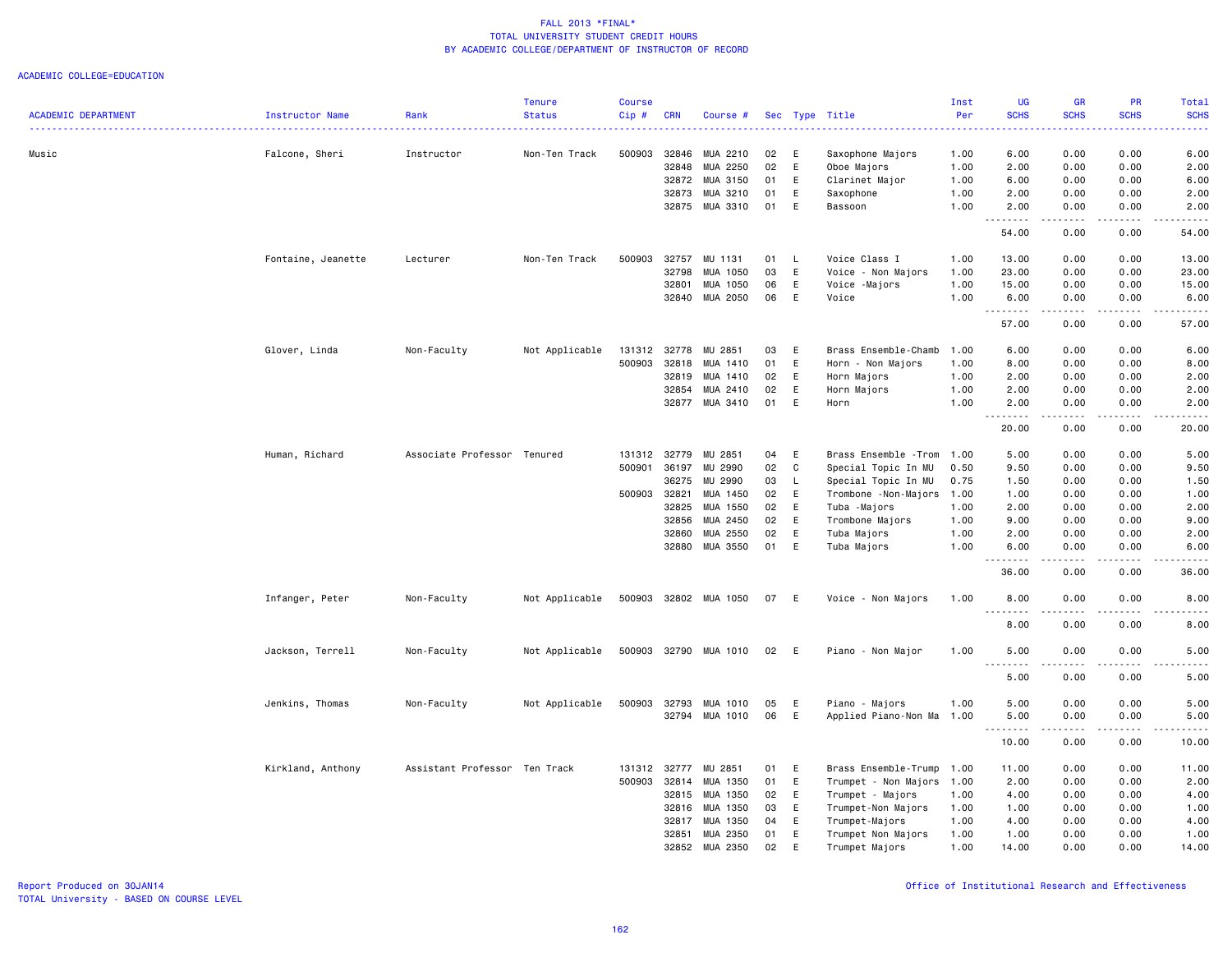| <b>ACADEMIC DEPARTMENT</b> | Instructor Name    | Rank                          | <b>Tenure</b><br><b>Status</b> | <b>Course</b><br>Cip# | <b>CRN</b>                       | Course #                                     |                      |                  | Sec Type Title                                                 | Inst<br>Per<br>.             | UG<br><b>SCHS</b><br>الدائدات | <b>GR</b><br><b>SCHS</b><br>. | <b>PR</b><br><b>SCHS</b>     | <b>Total</b><br><b>SCHS</b><br>2222. |
|----------------------------|--------------------|-------------------------------|--------------------------------|-----------------------|----------------------------------|----------------------------------------------|----------------------|------------------|----------------------------------------------------------------|------------------------------|-------------------------------|-------------------------------|------------------------------|--------------------------------------|
| Music                      | Falcone, Sheri     | Instructor                    | Non-Ten Track                  | 500903                | 32846<br>32848<br>32872<br>32873 | MUA 2210<br>MUA 2250<br>MUA 3150<br>MUA 3210 | 02<br>02<br>01<br>01 | Ε<br>E<br>E<br>E | Saxophone Majors<br>Oboe Majors<br>Clarinet Major<br>Saxophone | 1.00<br>1.00<br>1.00<br>1.00 | 6.00<br>2.00<br>6.00<br>2.00  | 0.00<br>0.00<br>0.00<br>0.00  | 0.00<br>0.00<br>0.00<br>0.00 | 6.00<br>2.00<br>6.00<br>2.00         |
|                            |                    |                               |                                |                       |                                  | 32875 MUA 3310                               | 01                   | E                | Bassoon                                                        | 1.00                         | 2.00<br>. <b>.</b>            | 0.00<br>.                     | 0.00<br>.                    | 2.00<br>$- - - - -$                  |
|                            |                    |                               |                                |                       |                                  |                                              |                      |                  |                                                                |                              | 54.00                         | 0.00                          | 0.00                         | 54.00                                |
|                            | Fontaine, Jeanette | Lecturer                      | Non-Ten Track                  | 500903                | 32757<br>32798                   | MU 1131                                      | 01                   | - L<br>E         | Voice Class I                                                  | 1.00<br>1.00                 | 13.00                         | 0.00                          | 0.00<br>0.00                 | 13.00                                |
|                            |                    |                               |                                |                       | 32801                            | MUA 1050<br>MUA 1050                         | 03<br>06             | E                | Voice - Non Majors                                             | 1.00                         | 23.00<br>15.00                | 0.00<br>0.00                  | 0.00                         | 23.00<br>15.00                       |
|                            |                    |                               |                                |                       |                                  |                                              |                      |                  | Voice -Majors                                                  |                              |                               |                               |                              |                                      |
|                            |                    |                               |                                |                       | 32840                            | MUA 2050                                     | 06                   | E                | Voice                                                          | 1.00                         | 6.00<br>.                     | 0.00<br>.                     | 0.00<br>.                    | 6.00<br>.                            |
|                            |                    |                               |                                |                       |                                  |                                              |                      |                  |                                                                |                              | 57.00                         | 0.00                          | 0.00                         | 57.00                                |
|                            | Glover, Linda      | Non-Faculty                   | Not Applicable                 | 131312                | 32778                            | MU 2851                                      | 03                   | Ε                | Brass Ensemble-Chamb                                           | 1.00                         | 6.00                          | 0.00                          | 0.00                         | 6.00                                 |
|                            |                    |                               |                                | 500903                | 32818                            | MUA 1410                                     | 01                   | E                | Horn - Non Majors                                              | 1.00                         | 8.00                          | 0.00                          | 0.00                         | 8.00                                 |
|                            |                    |                               |                                |                       | 32819                            | MUA 1410                                     | 02                   | E                | Horn Majors                                                    | 1.00                         | 2.00                          | 0.00                          | 0.00                         | 2.00                                 |
|                            |                    |                               |                                |                       | 32854                            | MUA 2410                                     | 02                   | E<br>E           | Horn Majors                                                    | 1.00                         | 2.00                          | 0.00                          | 0.00                         | 2.00                                 |
|                            |                    |                               |                                |                       | 32877                            | MUA 3410                                     | 01                   |                  | Horn                                                           | 1.00                         | 2.00<br>.<br>$\sim$ $\sim$ .  | 0.00<br>.                     | 0.00<br>.                    | 2.00<br>$\frac{1}{2}$                |
|                            |                    |                               |                                |                       |                                  |                                              |                      |                  |                                                                |                              | 20.00                         | 0.00                          | 0.00                         | 20.00                                |
|                            | Human, Richard     | Associate Professor Tenured   |                                | 131312 32779          |                                  | MU 2851                                      | 04                   | E                | Brass Ensemble - Trom 1.00                                     |                              | 5.00                          | 0.00                          | 0.00                         | 5.00                                 |
|                            |                    |                               |                                | 500901                | 36197                            | MU 2990                                      | 02                   | C                | Special Topic In MU                                            | 0.50                         | 9.50                          | 0.00                          | 0.00                         | 9.50                                 |
|                            |                    |                               |                                |                       | 36275                            | MU 2990                                      | 03                   | L                | Special Topic In MU                                            | 0.75                         | 1.50                          | 0.00                          | 0.00                         | 1.50                                 |
|                            |                    |                               |                                | 500903 32821          |                                  | MUA 1450                                     | 02                   | E                | Trombone - Non-Majors                                          | 1.00                         | 1.00                          | 0.00                          | 0.00                         | 1.00                                 |
|                            |                    |                               |                                |                       | 32825                            | MUA 1550                                     | 02                   | E                | Tuba -Majors                                                   | 1.00                         | 2.00                          | 0.00                          | 0.00                         | 2.00                                 |
|                            |                    |                               |                                |                       | 32856                            | MUA 2450                                     | 02                   | E                | Trombone Majors                                                | 1.00                         | 9.00                          | 0.00                          | 0.00                         | 9.00                                 |
|                            |                    |                               |                                |                       | 32860                            | MUA 2550                                     | 02                   | $\mathsf E$      | Tuba Majors                                                    | 1.00                         | 2.00                          | 0.00                          | 0.00                         | 2.00                                 |
|                            |                    |                               |                                |                       | 32880                            | MUA 3550                                     | 01                   | E                | Tuba Majors                                                    | 1.00                         | 6.00<br>.                     | 0.00<br>.                     | 0.00<br>.                    | 6.00<br>.                            |
|                            |                    |                               |                                |                       |                                  |                                              |                      |                  |                                                                |                              | 36.00                         | 0.00                          | 0.00                         | 36.00                                |
|                            | Infanger, Peter    | Non-Faculty                   | Not Applicable                 | 500903                |                                  | 32802 MUA 1050                               | 07                   | E                | Voice - Non Majors                                             | 1.00                         | 8.00<br>.                     | 0.00<br>.                     | 0.00<br>.                    | 8.00<br>.                            |
|                            |                    |                               |                                |                       |                                  |                                              |                      |                  |                                                                |                              | 8.00                          | 0.00                          | 0.00                         | 8.00                                 |
|                            | Jackson, Terrell   | Non-Faculty                   | Not Applicable                 | 500903                |                                  | 32790 MUA 1010                               | 02                   | - E              | Piano - Non Major                                              | 1.00                         | 5.00                          | 0.00                          | 0.00                         | 5.00                                 |
|                            |                    |                               |                                |                       |                                  |                                              |                      |                  |                                                                |                              | 5.00                          | 0.00                          | 0.00                         | 5.00                                 |
|                            | Jenkins, Thomas    | Non-Faculty                   | Not Applicable                 | 500903                | 32793                            | MUA 1010                                     | 05                   | E                | Piano - Majors                                                 | 1.00                         | 5.00                          | 0.00                          | 0.00                         | 5.00                                 |
|                            |                    |                               |                                |                       |                                  | 32794 MUA 1010                               | 06                   | E                | Applied Piano-Non Ma 1.00                                      |                              | 5.00<br><u>.</u>              | 0.00<br>.                     | 0.00<br>.                    | 5.00<br>.                            |
|                            |                    |                               |                                |                       |                                  |                                              |                      |                  |                                                                |                              | 10.00                         | 0.00                          | 0.00                         | 10.00                                |
|                            | Kirkland, Anthony  | Assistant Professor Ten Track |                                | 131312                | 32777                            | MU 2851                                      | 01                   | E                | Brass Ensemble-Trump                                           | 1.00                         | 11.00                         | 0.00                          | 0.00                         | 11.00                                |
|                            |                    |                               |                                | 500903 32814          |                                  | MUA 1350                                     | 01                   | E                | Trumpet - Non Majors                                           | 1.00                         | 2.00                          | 0.00                          | 0.00                         | 2.00                                 |
|                            |                    |                               |                                |                       | 32815                            | MUA 1350                                     | 02                   | E                | Trumpet - Majors                                               | 1.00                         | 4.00                          | 0.00                          | 0.00                         | 4.00                                 |
|                            |                    |                               |                                |                       | 32816                            | MUA 1350                                     | 03                   | E                | Trumpet-Non Majors                                             | 1.00                         | 1.00                          | 0.00                          | 0.00                         | 1.00                                 |
|                            |                    |                               |                                |                       | 32817                            | MUA 1350                                     | 04                   | E                | Trumpet-Majors                                                 | 1.00                         | 4.00                          | 0.00                          | 0.00                         | 4.00                                 |
|                            |                    |                               |                                |                       | 32851                            | MUA 2350                                     | 01                   | E                | Trumpet Non Majors                                             | 1.00                         | 1.00                          | 0.00                          | 0.00                         | 1.00                                 |
|                            |                    |                               |                                |                       | 32852                            | MUA 2350                                     | 02                   | E                | Trumpet Majors                                                 | 1.00                         | 14.00                         | 0.00                          | 0.00                         | 14.00                                |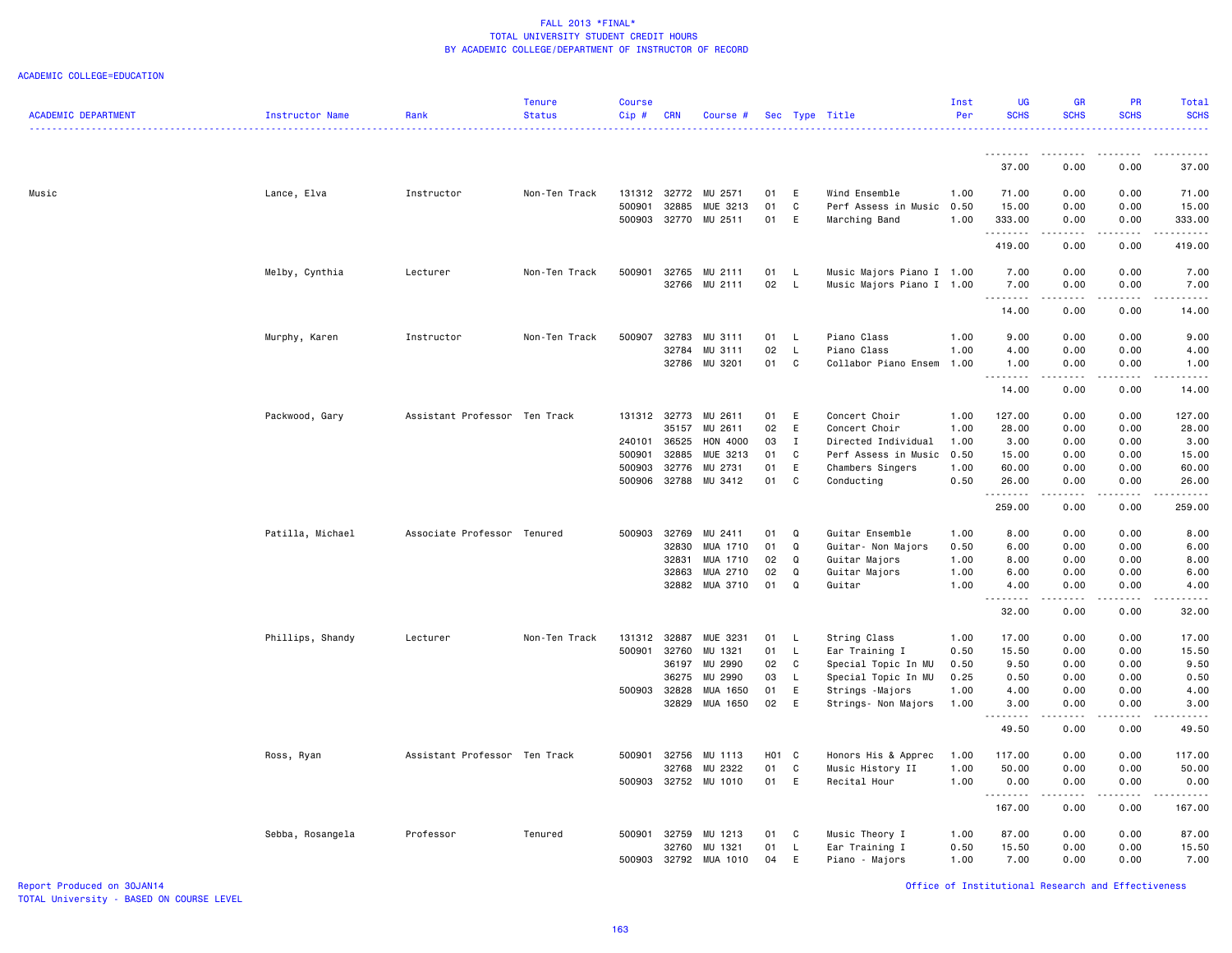#### ACADEMIC COLLEGE=EDUCATION

| <b>ACADEMIC DEPARTMENT</b> | Instructor Name  | Rank                          | <b>Tenure</b><br><b>Status</b> | Course<br>Cip# | <b>CRN</b>   | Course #              |          |                   | Sec Type Title                 | Inst<br>Per  | <b>UG</b><br><b>SCHS</b> | <b>GR</b><br><b>SCHS</b>       | PR<br><b>SCHS</b> | Total<br><b>SCHS</b>   |
|----------------------------|------------------|-------------------------------|--------------------------------|----------------|--------------|-----------------------|----------|-------------------|--------------------------------|--------------|--------------------------|--------------------------------|-------------------|------------------------|
|                            |                  |                               |                                |                |              |                       |          |                   |                                |              | .                        | .                              | -----             | .                      |
|                            |                  |                               |                                |                |              |                       |          |                   |                                |              | 37.00                    | 0.00                           | 0.00              | 37.00                  |
| Music                      | Lance, Elva      | Instructor                    | Non-Ten Track                  |                |              | 131312 32772 MU 2571  | 01 E     |                   | Wind Ensemble                  | 1.00         | 71.00                    | 0.00                           | 0.00              | 71.00                  |
|                            |                  |                               |                                | 500901         | 32885        | MUE 3213              | 01       | C                 | Perf Assess in Music           | 0.50         | 15.00                    | 0.00                           | 0.00              | 15.00                  |
|                            |                  |                               |                                | 500903         |              | 32770 MU 2511         | 01       | E                 | Marching Band                  | 1.00         | 333.00<br>.              | 0.00<br>.                      | 0.00<br>.         | 333.00<br>.            |
|                            |                  |                               |                                |                |              |                       |          |                   |                                |              | 419.00                   | 0.00                           | 0.00              | 419.00                 |
|                            | Melby, Cynthia   | Lecturer                      | Non-Ten Track                  | 500901         |              | 32765 MU 2111         | 01       | $\mathsf{L}$      | Music Majors Piano I 1.00      |              | 7.00                     | 0.00                           | 0.00              | 7.00                   |
|                            |                  |                               |                                |                |              | 32766 MU 2111         | 02       | $\mathsf{L}$      | Music Majors Piano I 1.00      |              | 7.00                     | 0.00                           | 0.00              | 7.00                   |
|                            |                  |                               |                                |                |              |                       |          |                   |                                |              | .<br>14.00               | .<br>0.00                      | .<br>0.00         | $\frac{1}{2}$<br>14.00 |
|                            |                  |                               |                                |                |              |                       |          |                   |                                |              |                          |                                |                   |                        |
|                            | Murphy, Karen    | Instructor                    | Non-Ten Track                  | 500907         | 32783        | MU 3111               | 01       | - L               | Piano Class                    | 1.00         | 9.00                     | 0.00                           | 0.00              | 9.00                   |
|                            |                  |                               |                                |                | 32784        | MU 3111               | 02<br>01 | L<br>C            | Piano Class                    | 1.00         | 4.00                     | 0.00                           | 0.00              | 4.00                   |
|                            |                  |                               |                                |                |              | 32786 MU 3201         |          |                   | Collabor Piano Ensem           | 1.00         | 1.00<br>.                | 0.00<br>$\omega$ is a $\omega$ | 0.00<br>.         | 1.00<br>$   -$         |
|                            |                  |                               |                                |                |              |                       |          |                   |                                |              | 14.00                    | 0.00                           | 0.00              | 14.00                  |
|                            | Packwood, Gary   | Assistant Professor Ten Track |                                | 131312         | 32773        | MU 2611               | 01       | E                 | Concert Choir                  | 1.00         | 127.00                   | 0.00                           | 0.00              | 127.00                 |
|                            |                  |                               |                                |                | 35157        | MU 2611               | 02       | E                 | Concert Choir                  | 1.00         | 28.00                    | 0.00                           | 0.00              | 28.00                  |
|                            |                  |                               |                                | 240101         | 36525        | HON 4000              | 03       | $\mathbf I$       | Directed Individual            | 1.00         | 3.00                     | 0.00                           | 0.00              | 3.00                   |
|                            |                  |                               |                                | 500901         | 32885        | MUE 3213              | 01       | C                 | Perf Assess in Music           | 0.50         | 15.00                    | 0.00                           | 0.00              | 15.00                  |
|                            |                  |                               |                                | 500903         | 32776        | MU 2731               | 01       | E                 | Chambers Singers               | 1.00         | 60.00                    | 0.00                           | 0.00              | 60.00                  |
|                            |                  |                               |                                | 500906         |              | 32788 MU 3412         | 01       | C                 | Conducting                     | 0.50         | 26.00<br>. <b>.</b>      | 0.00<br>-----                  | 0.00<br>-----     | 26.00<br>------        |
|                            |                  |                               |                                |                |              |                       |          |                   |                                |              | 259.00                   | 0.00                           | 0.00              | 259.00                 |
|                            | Patilla, Michael | Associate Professor Tenured   |                                | 500903         | 32769        | MU 2411               | 01       | Q                 | Guitar Ensemble                | 1.00         | 8.00                     | 0.00                           | 0.00              | 8.00                   |
|                            |                  |                               |                                |                | 32830        | MUA 1710              | 01       | Q                 | Guitar- Non Majors             | 0.50         | 6.00                     | 0.00                           | 0.00              | 6.00                   |
|                            |                  |                               |                                |                | 32831        | MUA 1710              | 02       | Q                 | Guitar Majors                  | 1.00         | 8.00                     | 0.00                           | 0.00              | 8.00                   |
|                            |                  |                               |                                |                | 32863        | MUA 2710              | 02       | Q                 | Guitar Majors                  | 1.00         | 6.00                     | 0.00                           | 0.00              | 6.00                   |
|                            |                  |                               |                                |                |              | 32882 MUA 3710        | 01       | Q                 | Guitar                         | 1.00         | 4.00<br>.                | 0.00<br>.                      | 0.00<br>.         | 4.00<br>. <b>.</b> .   |
|                            |                  |                               |                                |                |              |                       |          |                   |                                |              | 32.00                    | 0.00                           | 0.00              | 32.00                  |
|                            |                  |                               |                                |                |              |                       |          |                   |                                |              |                          |                                |                   |                        |
|                            | Phillips, Shandy | Lecturer                      | Non-Ten Track                  | 131312 32887   | 500901 32760 | MUE 3231<br>MU 1321   | 01<br>01 | L<br>$\mathsf{L}$ | String Class<br>Ear Training I | 1.00<br>0.50 | 17.00<br>15.50           | 0.00<br>0.00                   | 0.00<br>0.00      | 17.00<br>15.50         |
|                            |                  |                               |                                |                | 36197        | MU 2990               | 02       | C                 | Special Topic In MU            | 0.50         | 9.50                     | 0.00                           | 0.00              | 9.50                   |
|                            |                  |                               |                                |                | 36275        | MU 2990               | 03       | L                 | Special Topic In MU            | 0.25         | 0.50                     | 0.00                           | 0.00              | 0.50                   |
|                            |                  |                               |                                | 500903 32828   |              | MUA 1650              | 01       | E                 | Strings - Majors               | 1.00         | 4.00                     | 0.00                           | 0.00              | 4.00                   |
|                            |                  |                               |                                |                | 32829        | MUA 1650              | 02       | E                 | Strings- Non Majors            | 1.00         | 3.00                     | 0.00                           | 0.00              | 3.00                   |
|                            |                  |                               |                                |                |              |                       |          |                   |                                |              | .<br>49.50               | .<br>0.00                      | 22222<br>0.00     | .<br>49.50             |
|                            | Ross, Ryan       | Assistant Professor Ten Track |                                |                |              | 500901 32756 MU 1113  | H01 C    |                   | Honors His & Apprec            | 1.00         | 117.00                   | 0.00                           | 0.00              | 117.00                 |
|                            |                  |                               |                                |                | 32768        | MU 2322               | 01       | C                 | Music History II               | 1.00         | 50.00                    | 0.00                           | 0.00              | 50.00                  |
|                            |                  |                               |                                | 500903         |              | 32752 MU 1010         | 01       | E                 | Recital Hour                   | 1.00         | 0.00<br>.                | 0.00<br>.                      | 0.00              | 0.00<br>.              |
|                            |                  |                               |                                |                |              |                       |          |                   |                                |              | 167.00                   | 0.00                           | 0.00              | 167.00                 |
|                            | Sebba, Rosangela | Professor                     | Tenured                        | 500901 32759   |              | MU 1213               | 01       | C                 | Music Theory I                 | 1.00         | 87.00                    | 0.00                           | 0.00              | 87.00                  |
|                            |                  |                               |                                |                | 32760        | MU 1321               | 01       | L.                | Ear Training I                 | 0.50         | 15.50                    | 0.00                           | 0.00              | 15.50                  |
|                            |                  |                               |                                |                |              | 500903 32792 MUA 1010 | 04       | E                 | Piano - Majors                 | 1.00         | 7.00                     | 0.00                           | 0.00              | 7.00                   |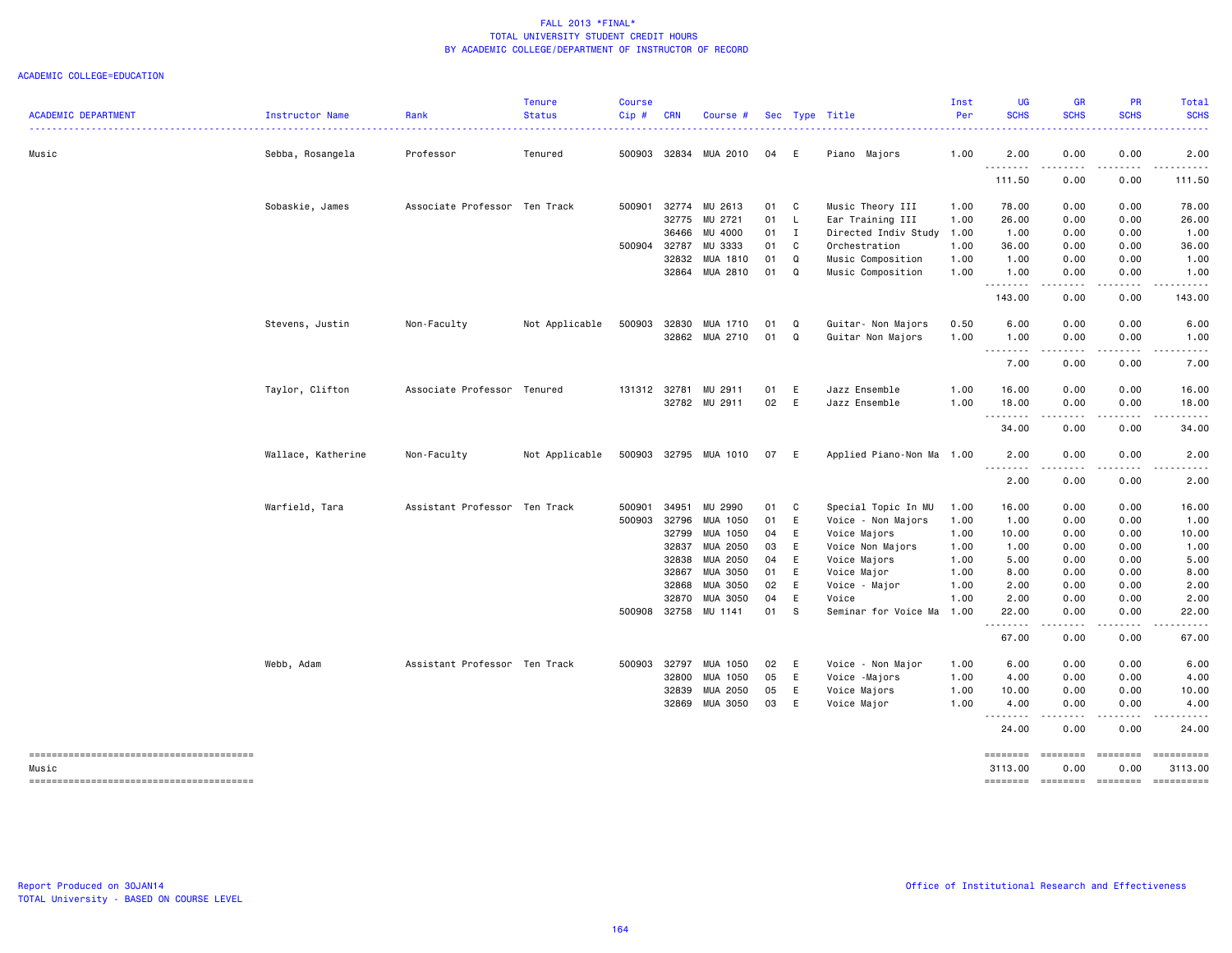| <b>ACADEMIC DEPARTMENT</b> | Instructor Name    | Rank                          | <b>Tenure</b><br><b>Status</b> | <b>Course</b><br>Cip# | <b>CRN</b> | Course #              |      |          | Sec Type Title            | Inst<br>Per | <b>UG</b><br><b>SCHS</b> | <b>GR</b><br><b>SCHS</b>                                                                                                                                                                                                                                                                                                                                                                                                                                                                                                                                          | PR<br><b>SCHS</b>                          | Total<br><b>SCHS</b>                                                                                                                                                                                                                                                                                                                                                                                                                 |
|----------------------------|--------------------|-------------------------------|--------------------------------|-----------------------|------------|-----------------------|------|----------|---------------------------|-------------|--------------------------|-------------------------------------------------------------------------------------------------------------------------------------------------------------------------------------------------------------------------------------------------------------------------------------------------------------------------------------------------------------------------------------------------------------------------------------------------------------------------------------------------------------------------------------------------------------------|--------------------------------------------|--------------------------------------------------------------------------------------------------------------------------------------------------------------------------------------------------------------------------------------------------------------------------------------------------------------------------------------------------------------------------------------------------------------------------------------|
| Music                      | Sebba, Rosangela   | .<br>Professor                | <u>.</u><br>Tenured            | .<br>500903           |            | 32834 MUA 2010        | 04   | - E      | Piano Majors              | 1.00        | 2.00                     | .<br>0.00                                                                                                                                                                                                                                                                                                                                                                                                                                                                                                                                                         | 0.00                                       | <u>.</u><br>2.00                                                                                                                                                                                                                                                                                                                                                                                                                     |
|                            |                    |                               |                                |                       |            |                       |      |          |                           |             | .<br>111.50              | 0.00                                                                                                                                                                                                                                                                                                                                                                                                                                                                                                                                                              | 0.00                                       | 111.50                                                                                                                                                                                                                                                                                                                                                                                                                               |
|                            |                    |                               |                                |                       |            |                       |      |          |                           |             |                          |                                                                                                                                                                                                                                                                                                                                                                                                                                                                                                                                                                   |                                            |                                                                                                                                                                                                                                                                                                                                                                                                                                      |
|                            | Sobaskie, James    | Associate Professor Ten Track |                                | 500901                | 32775      | 32774 MU 2613         | 01 C |          | Music Theory III          | 1.00        | 78.00                    | 0.00                                                                                                                                                                                                                                                                                                                                                                                                                                                                                                                                                              | 0.00                                       | 78.00                                                                                                                                                                                                                                                                                                                                                                                                                                |
|                            |                    |                               |                                |                       |            | MU 2721               | 01   | L.       | Ear Training III          | 1.00        | 26.00                    | 0.00                                                                                                                                                                                                                                                                                                                                                                                                                                                                                                                                                              | 0.00                                       | 26.00                                                                                                                                                                                                                                                                                                                                                                                                                                |
|                            |                    |                               |                                |                       | 36466      | MU 4000               | 01   | I        | Directed Indiv Study      | 1.00        | 1.00                     | 0.00                                                                                                                                                                                                                                                                                                                                                                                                                                                                                                                                                              | 0.00                                       | 1.00                                                                                                                                                                                                                                                                                                                                                                                                                                 |
|                            |                    |                               |                                | 500904                | 32787      | MU 3333               | 01   | C        | Orchestration             | 1.00        | 36.00                    | 0.00                                                                                                                                                                                                                                                                                                                                                                                                                                                                                                                                                              | 0.00                                       | 36.00                                                                                                                                                                                                                                                                                                                                                                                                                                |
|                            |                    |                               |                                |                       |            | 32832 MUA 1810        | 01   | $\Omega$ | Music Composition         | 1.00        | 1.00                     | 0.00                                                                                                                                                                                                                                                                                                                                                                                                                                                                                                                                                              | 0.00                                       | 1.00                                                                                                                                                                                                                                                                                                                                                                                                                                 |
|                            |                    |                               |                                |                       |            | 32864 MUA 2810        | 01   | Q        | Music Composition         | 1.00        | 1.00<br>.                | 0.00<br>.                                                                                                                                                                                                                                                                                                                                                                                                                                                                                                                                                         | 0.00<br>$\sim$ $\sim$ $\sim$ $\sim$ $\sim$ | 1.00<br>$\begin{array}{cccccccccccccc} \bullet & \bullet & \bullet & \bullet & \bullet & \bullet & \bullet & \bullet \end{array}$                                                                                                                                                                                                                                                                                                    |
|                            |                    |                               |                                |                       |            |                       |      |          |                           |             | 143.00                   | 0.00                                                                                                                                                                                                                                                                                                                                                                                                                                                                                                                                                              | 0.00                                       | 143.00                                                                                                                                                                                                                                                                                                                                                                                                                               |
|                            | Stevens, Justin    | Non-Faculty                   | Not Applicable                 | 500903                |            | 32830 MUA 1710        | 01   | Q        | Guitar- Non Majors        | 0.50        | 6.00                     | 0.00                                                                                                                                                                                                                                                                                                                                                                                                                                                                                                                                                              | 0.00                                       | 6.00                                                                                                                                                                                                                                                                                                                                                                                                                                 |
|                            |                    |                               |                                |                       |            | 32862 MUA 2710        | 01   | $\alpha$ | Guitar Non Majors         | 1.00        | 1.00                     | 0.00                                                                                                                                                                                                                                                                                                                                                                                                                                                                                                                                                              | 0.00                                       | 1.00                                                                                                                                                                                                                                                                                                                                                                                                                                 |
|                            |                    |                               |                                |                       |            |                       |      |          |                           |             | .<br>7.00                | .<br>0.00                                                                                                                                                                                                                                                                                                                                                                                                                                                                                                                                                         | -----<br>0.00                              | $- - - -$<br>7.00                                                                                                                                                                                                                                                                                                                                                                                                                    |
|                            | Taylor, Clifton    | Associate Professor Tenured   |                                | 131312                |            | 32781 MU 2911         | 01   | E        | Jazz Ensemble             | 1.00        | 16.00                    | 0.00                                                                                                                                                                                                                                                                                                                                                                                                                                                                                                                                                              | 0.00                                       | 16.00                                                                                                                                                                                                                                                                                                                                                                                                                                |
|                            |                    |                               |                                |                       |            |                       | 02   | E        |                           |             |                          |                                                                                                                                                                                                                                                                                                                                                                                                                                                                                                                                                                   |                                            |                                                                                                                                                                                                                                                                                                                                                                                                                                      |
|                            |                    |                               |                                |                       |            | 32782 MU 2911         |      |          | Jazz Ensemble             | 1.00        | 18.00<br>.               | 0.00<br>د د د د                                                                                                                                                                                                                                                                                                                                                                                                                                                                                                                                                   | 0.00<br>.                                  | 18.00<br>.                                                                                                                                                                                                                                                                                                                                                                                                                           |
|                            |                    |                               |                                |                       |            |                       |      |          |                           |             | 34.00                    | 0.00                                                                                                                                                                                                                                                                                                                                                                                                                                                                                                                                                              | 0.00                                       | 34.00                                                                                                                                                                                                                                                                                                                                                                                                                                |
|                            | Wallace, Katherine | Non-Faculty                   | Not Applicable                 |                       |            | 500903 32795 MUA 1010 | 07 E |          | Applied Piano-Non Ma 1.00 |             | 2.00                     | 0.00                                                                                                                                                                                                                                                                                                                                                                                                                                                                                                                                                              | 0.00                                       | 2.00                                                                                                                                                                                                                                                                                                                                                                                                                                 |
|                            |                    |                               |                                |                       |            |                       |      |          |                           |             | $ -$<br>2.00             | 0.00                                                                                                                                                                                                                                                                                                                                                                                                                                                                                                                                                              | 0.00                                       | 2.00                                                                                                                                                                                                                                                                                                                                                                                                                                 |
|                            | Warfield, Tara     | Assistant Professor Ten Track |                                | 500901                | 34951      | MU 2990               | 01   | C        | Special Topic In MU       | 1.00        | 16.00                    | 0.00                                                                                                                                                                                                                                                                                                                                                                                                                                                                                                                                                              | 0.00                                       | 16.00                                                                                                                                                                                                                                                                                                                                                                                                                                |
|                            |                    |                               |                                | 500903                | 32796      | MUA 1050              | 01   | E        | Voice - Non Majors        | 1.00        | 1.00                     | 0.00                                                                                                                                                                                                                                                                                                                                                                                                                                                                                                                                                              | 0.00                                       | 1.00                                                                                                                                                                                                                                                                                                                                                                                                                                 |
|                            |                    |                               |                                |                       | 32799      | MUA 1050              | 04   | E        | Voice Majors              | 1.00        | 10.00                    | 0.00                                                                                                                                                                                                                                                                                                                                                                                                                                                                                                                                                              | 0.00                                       | 10.00                                                                                                                                                                                                                                                                                                                                                                                                                                |
|                            |                    |                               |                                |                       | 32837      | MUA 2050              | 03   | E        | Voice Non Majors          | 1.00        | 1.00                     | 0.00                                                                                                                                                                                                                                                                                                                                                                                                                                                                                                                                                              | 0.00                                       | 1.00                                                                                                                                                                                                                                                                                                                                                                                                                                 |
|                            |                    |                               |                                |                       |            | 32838 MUA 2050        | 04   | E        | Voice Majors              | 1.00        | 5.00                     | 0.00                                                                                                                                                                                                                                                                                                                                                                                                                                                                                                                                                              | 0.00                                       | 5.00                                                                                                                                                                                                                                                                                                                                                                                                                                 |
|                            |                    |                               |                                |                       | 32867      | MUA 3050              | 01   | E        | Voice Major               | 1.00        | 8.00                     | 0.00                                                                                                                                                                                                                                                                                                                                                                                                                                                                                                                                                              | 0.00                                       | 8.00                                                                                                                                                                                                                                                                                                                                                                                                                                 |
|                            |                    |                               |                                |                       | 32868      | MUA 3050              | 02   | E        | Voice - Major             | 1.00        | 2.00                     | 0.00                                                                                                                                                                                                                                                                                                                                                                                                                                                                                                                                                              | 0.00                                       | 2.00                                                                                                                                                                                                                                                                                                                                                                                                                                 |
|                            |                    |                               |                                |                       | 32870      | MUA 3050              | 04   | E        | Voice                     | 1.00        | 2.00                     | 0.00                                                                                                                                                                                                                                                                                                                                                                                                                                                                                                                                                              | 0.00                                       | 2.00                                                                                                                                                                                                                                                                                                                                                                                                                                 |
|                            |                    |                               |                                | 500908                |            | 32758 MU 1141         | 01   | s        | Seminar for Voice Ma      | 1.00        | 22.00                    | 0.00                                                                                                                                                                                                                                                                                                                                                                                                                                                                                                                                                              | 0.00                                       | 22.00                                                                                                                                                                                                                                                                                                                                                                                                                                |
|                            |                    |                               |                                |                       |            |                       |      |          |                           |             | .<br>67.00               | $\frac{1}{2} \left( \frac{1}{2} \right) \left( \frac{1}{2} \right) \left( \frac{1}{2} \right) \left( \frac{1}{2} \right)$<br>0.00                                                                                                                                                                                                                                                                                                                                                                                                                                 | .<br>0.00                                  | 67.00                                                                                                                                                                                                                                                                                                                                                                                                                                |
|                            | Webb, Adam         | Assistant Professor Ten Track |                                | 500903                | 32797      | MUA 1050              | 02 E |          | Voice - Non Major         | 1.00        | 6.00                     | 0.00                                                                                                                                                                                                                                                                                                                                                                                                                                                                                                                                                              | 0.00                                       | 6.00                                                                                                                                                                                                                                                                                                                                                                                                                                 |
|                            |                    |                               |                                |                       | 32800      | MUA 1050              | 05   | E        | Voice - Majors            | 1.00        | 4.00                     | 0.00                                                                                                                                                                                                                                                                                                                                                                                                                                                                                                                                                              | 0.00                                       | 4.00                                                                                                                                                                                                                                                                                                                                                                                                                                 |
|                            |                    |                               |                                |                       |            | 32839 MUA 2050        | 05   | E        | Voice Majors              | 1.00        | 10.00                    | 0.00                                                                                                                                                                                                                                                                                                                                                                                                                                                                                                                                                              | 0.00                                       | 10.00                                                                                                                                                                                                                                                                                                                                                                                                                                |
|                            |                    |                               |                                |                       |            | 32869 MUA 3050        | 03   | E        | Voice Major               | 1.00        | 4.00                     | 0.00<br>$\sim$ $\sim$ $\sim$ $\sim$                                                                                                                                                                                                                                                                                                                                                                                                                                                                                                                               | 0.00                                       | 4.00                                                                                                                                                                                                                                                                                                                                                                                                                                 |
|                            |                    |                               |                                |                       |            |                       |      |          |                           |             | .<br>24.00               | 0.00                                                                                                                                                                                                                                                                                                                                                                                                                                                                                                                                                              | 0.00                                       | 24.00                                                                                                                                                                                                                                                                                                                                                                                                                                |
| Music                      |                    |                               |                                |                       |            |                       |      |          |                           |             | ========<br>3113.00      | <b>EEEEEEE</b><br>0.00                                                                                                                                                                                                                                                                                                                                                                                                                                                                                                                                            | $= 222222222$<br>0.00                      | ==========<br>3113.00                                                                                                                                                                                                                                                                                                                                                                                                                |
|                            |                    |                               |                                |                       |            |                       |      |          |                           |             | ========                 | $\qquad \qquad \overbrace{ \qquad \qquad } \qquad \qquad \overbrace{ \qquad \qquad } \qquad \qquad \overbrace{ \qquad \qquad } \qquad \qquad \overbrace{ \qquad \qquad } \qquad \qquad \overbrace{ \qquad \qquad } \qquad \qquad \overbrace{ \qquad \qquad } \qquad \qquad \overbrace{ \qquad \qquad } \qquad \qquad \overbrace{ \qquad \qquad } \qquad \qquad \overbrace{ \qquad \qquad } \qquad \qquad \overbrace{ \qquad \qquad } \qquad \qquad \overbrace{ \qquad \qquad } \qquad \qquad \overbrace{ \qquad \qquad } \qquad \qquad \overbrace{ \qquad \qquad$ | ========                                   | $\begin{minipage}{0.9\linewidth} \hspace*{-0.2cm} \textbf{1} & \textbf{2} & \textbf{3} & \textbf{5} & \textbf{6} & \textbf{7} \\ \textbf{5} & \textbf{6} & \textbf{7} & \textbf{8} & \textbf{8} & \textbf{9} & \textbf{1} \\ \textbf{6} & \textbf{8} & \textbf{8} & \textbf{8} & \textbf{9} & \textbf{1} & \textbf{1} \\ \textbf{7} & \textbf{9} & \textbf{1} & \textbf{1} & \textbf{1} & \textbf{1} & \textbf{1} \\ \textbf{8} & \$ |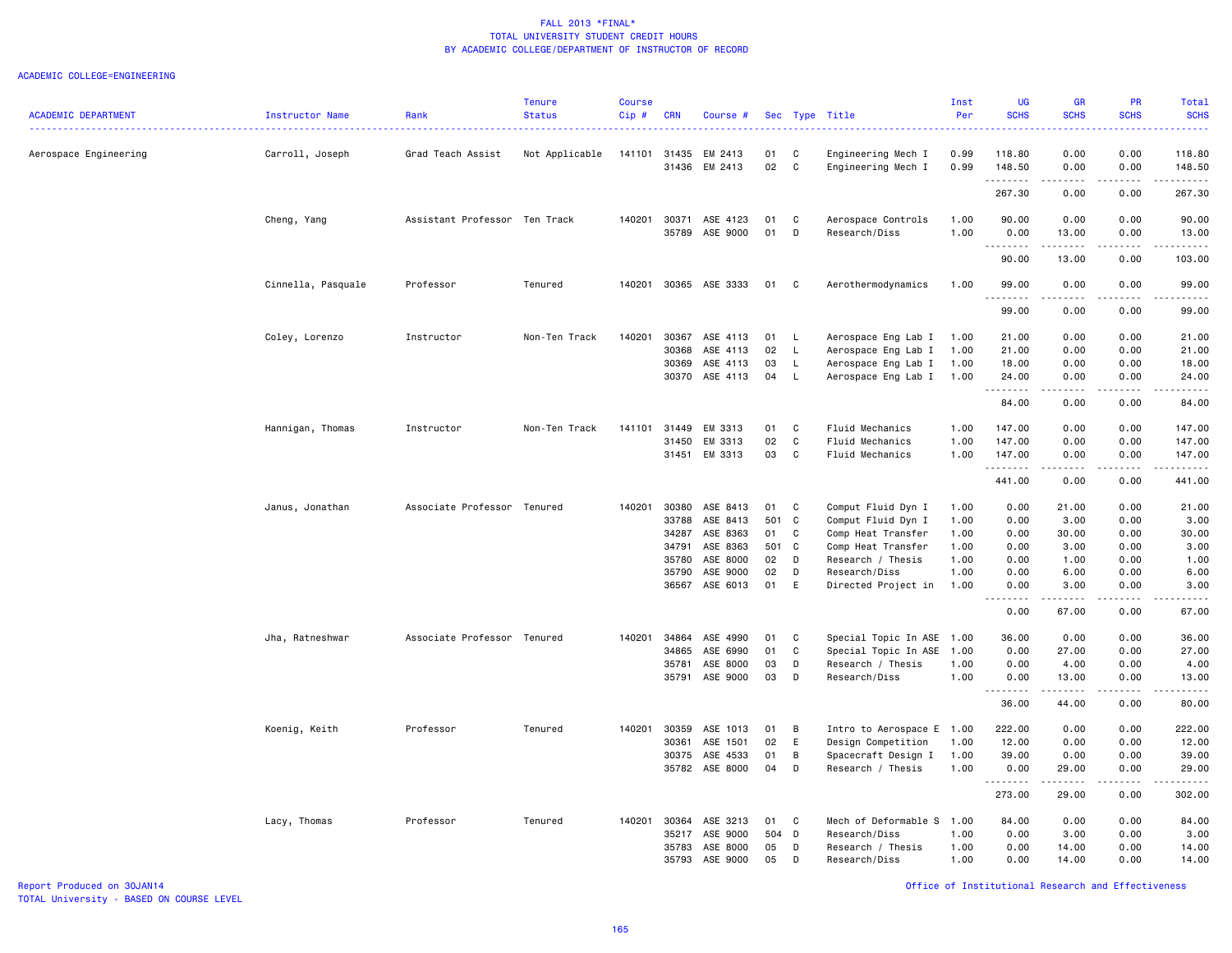### ACADEMIC COLLEGE=ENGINEERING

| <b>ACADEMIC DEPARTMENT</b> | Instructor Name    | Rank                          | <b>Tenure</b><br><b>Status</b> | <b>Course</b><br>$Cip$ # | <b>CRN</b>     | Course #                   |          |              | Sec Type Title                             | Inst<br>Per  | <b>UG</b><br><b>SCHS</b> | <b>GR</b><br><b>SCHS</b> | PR<br><b>SCHS</b><br>الداعات | Total<br><b>SCHS</b><br>$\frac{1}{2} \left( \frac{1}{2} \right) \left( \frac{1}{2} \right) \left( \frac{1}{2} \right) \left( \frac{1}{2} \right) \left( \frac{1}{2} \right)$ |
|----------------------------|--------------------|-------------------------------|--------------------------------|--------------------------|----------------|----------------------------|----------|--------------|--------------------------------------------|--------------|--------------------------|--------------------------|------------------------------|------------------------------------------------------------------------------------------------------------------------------------------------------------------------------|
| Aerospace Engineering      | Carroll, Joseph    | Grad Teach Assist             | Not Applicable                 | 141101                   | 31435<br>31436 | EM 2413<br>EM 2413         | 01<br>02 | C<br>C       | Engineering Mech I<br>Engineering Mech I   | 0.99<br>0.99 | 118.80<br>148.50         | 0.00<br>0.00             | 0.00<br>0.00                 | 118.80<br>148.50                                                                                                                                                             |
|                            |                    |                               |                                |                          |                |                            |          |              |                                            |              | .<br>267.30              | -----<br>0.00            | .<br>0.00                    | .<br>267.30                                                                                                                                                                  |
|                            | Cheng, Yang        | Assistant Professor Ten Track |                                | 140201                   | 30371          | ASE 4123                   | 01       | C            | Aerospace Controls                         | 1.00         | 90.00                    | 0.00                     | 0.00                         | 90.00                                                                                                                                                                        |
|                            |                    |                               |                                |                          | 35789          | ASE 9000                   | 01       | D            | Research/Diss                              | 1.00         | 0.00                     | 13.00                    | 0.00                         | 13.00                                                                                                                                                                        |
|                            |                    |                               |                                |                          |                |                            |          |              |                                            |              | .<br>90.00               | .<br>13.00               | .<br>0.00                    | .<br>103.00                                                                                                                                                                  |
|                            | Cinnella, Pasquale | Professor                     | Tenured                        | 140201                   |                | 30365 ASE 3333             | 01       | C            | Aerothermodynamics                         | 1.00         | 99.00                    | 0.00                     | 0.00                         | 99.00                                                                                                                                                                        |
|                            |                    |                               |                                |                          |                |                            |          |              |                                            |              | . <b>.</b><br>99.00      | $- - - - -$<br>0.00      | .<br>0.00                    | .<br>99.00                                                                                                                                                                   |
|                            |                    | Instructor                    | Non-Ten Track                  | 140201                   | 30367          | ASE 4113                   | 01       | - L          |                                            | 1.00         | 21.00                    | 0.00                     | 0.00                         | 21.00                                                                                                                                                                        |
|                            | Coley, Lorenzo     |                               |                                |                          | 30368          | ASE 4113                   | 02       | L            | Aerospace Eng Lab I<br>Aerospace Eng Lab I | 1.00         | 21.00                    | 0.00                     | 0.00                         | 21.00                                                                                                                                                                        |
|                            |                    |                               |                                |                          | 30369          | ASE 4113                   | 03       | L            | Aerospace Eng Lab I                        | 1.00         | 18.00                    | 0.00                     | 0.00                         | 18.00                                                                                                                                                                        |
|                            |                    |                               |                                |                          | 30370          | ASE 4113                   | 04       | L            | Aerospace Eng Lab I 1.00                   |              | 24.00<br>.               | 0.00<br>$- - - - -$      | 0.00<br>.                    | 24.00<br>.                                                                                                                                                                   |
|                            |                    |                               |                                |                          |                |                            |          |              |                                            |              | 84.00                    | 0.00                     | 0.00                         | 84.00                                                                                                                                                                        |
|                            | Hannigan, Thomas   | Instructor                    | Non-Ten Track                  | 141101                   | 31449          | EM 3313                    | 01       | C            | Fluid Mechanics                            | 1.00         | 147.00                   | 0.00                     | 0.00                         | 147.00                                                                                                                                                                       |
|                            |                    |                               |                                |                          | 31450          | EM 3313                    | 02       | C            | Fluid Mechanics                            | 1.00         | 147.00                   | 0.00                     | 0.00                         | 147.00                                                                                                                                                                       |
|                            |                    |                               |                                |                          | 31451          | EM 3313                    | 03       | C            | Fluid Mechanics                            | 1.00         | 147.00                   | 0.00                     | 0.00                         | 147.00                                                                                                                                                                       |
|                            |                    |                               |                                |                          |                |                            |          |              |                                            |              | .<br>441.00              | .<br>0.00                | .<br>0.00                    | .<br>441.00                                                                                                                                                                  |
|                            | Janus, Jonathan    | Associate Professor Tenured   |                                | 140201                   | 30380          | ASE 8413                   | 01       | C            | Comput Fluid Dyn I                         | 1.00         | 0.00                     | 21.00                    | 0.00                         | 21.00                                                                                                                                                                        |
|                            |                    |                               |                                |                          | 33788          | ASE 8413                   | 501      | C            | Comput Fluid Dyn I                         | 1.00         | 0.00                     | 3.00                     | 0.00                         | 3.00                                                                                                                                                                         |
|                            |                    |                               |                                |                          | 34287          | ASE 8363                   | 01       | C            | Comp Heat Transfer                         | 1.00         | 0.00                     | 30.00                    | 0.00                         | 30.00                                                                                                                                                                        |
|                            |                    |                               |                                |                          | 34791          | ASE 8363                   | 501      | $\mathbf{C}$ | Comp Heat Transfer                         | 1.00         | 0.00                     | 3.00                     | 0.00                         | 3.00                                                                                                                                                                         |
|                            |                    |                               |                                |                          | 35780          | ASE 8000                   | 02       | D            | Research / Thesis                          | 1.00         | 0.00                     | 1.00                     | 0.00                         | 1.00                                                                                                                                                                         |
|                            |                    |                               |                                |                          | 35790          | ASE 9000<br>36567 ASE 6013 | 02<br>01 | D<br>E       | Research/Diss<br>Directed Project in       | 1.00<br>1.00 | 0.00<br>0.00             | 6.00<br>3.00             | 0.00<br>0.00                 | 6.00<br>3.00                                                                                                                                                                 |
|                            |                    |                               |                                |                          |                |                            |          |              |                                            |              | .                        | -----                    | .                            | $\frac{1}{2} \left( \frac{1}{2} \right) \left( \frac{1}{2} \right) \left( \frac{1}{2} \right) \left( \frac{1}{2} \right)$                                                    |
|                            |                    |                               |                                |                          |                |                            |          |              |                                            |              | 0.00                     | 67.00                    | 0.00                         | 67.00                                                                                                                                                                        |
|                            | Jha, Ratneshwar    | Associate Professor Tenured   |                                | 140201                   | 34864          | ASE 4990                   | 01       | C            | Special Topic In ASE 1.00                  |              | 36.00                    | 0.00                     | 0.00                         | 36.00                                                                                                                                                                        |
|                            |                    |                               |                                |                          | 34865          | ASE 6990                   | 01       | C            | Special Topic In ASE                       | 1.00         | 0.00                     | 27.00                    | 0.00                         | 27.00                                                                                                                                                                        |
|                            |                    |                               |                                |                          | 35781          | ASE 8000                   | 03       | D            | Research / Thesis                          | 1.00         | 0.00                     | 4.00                     | 0.00                         | 4.00                                                                                                                                                                         |
|                            |                    |                               |                                |                          | 35791          | ASE 9000                   | 03       | D            | Research/Diss                              | 1.00         | 0.00<br>.                | 13.00<br>د د د د د       | 0.00<br>.                    | 13.00<br>.                                                                                                                                                                   |
|                            |                    |                               |                                |                          |                |                            |          |              |                                            |              | 36.00                    | 44.00                    | 0.00                         | 80.00                                                                                                                                                                        |
|                            | Koenig, Keith      | Professor                     | Tenured                        | 140201                   | 30359          | ASE 1013                   | 01       | B            | Intro to Aerospace E 1.00                  |              | 222.00                   | 0.00                     | 0.00                         | 222.00                                                                                                                                                                       |
|                            |                    |                               |                                |                          | 30361          | ASE 1501                   | 02       | E            | Design Competition                         | 1.00         | 12.00                    | 0.00                     | 0.00                         | 12.00                                                                                                                                                                        |
|                            |                    |                               |                                |                          | 30375          | ASE 4533                   | 01       | B            | Spacecraft Design I                        | 1.00         | 39.00                    | 0.00                     | 0.00                         | 39.00                                                                                                                                                                        |
|                            |                    |                               |                                |                          |                | 35782 ASE 8000             | 04       | D            | Research / Thesis                          | 1.00         | 0.00<br>.                | 29.00<br>$- - - - -$     | 0.00<br>.                    | 29.00<br>.                                                                                                                                                                   |
|                            |                    |                               |                                |                          |                |                            |          |              |                                            |              | 273.00                   | 29.00                    | 0.00                         | 302.00                                                                                                                                                                       |
|                            | Lacy, Thomas       | Professor                     | Tenured                        | 140201                   | 30364          | ASE 3213                   | 01       | C            | Mech of Deformable S                       | 1.00         | 84.00                    | 0.00                     | 0.00                         | 84.00                                                                                                                                                                        |
|                            |                    |                               |                                |                          | 35217          | ASE 9000                   | 504      | D            | Research/Diss                              | 1.00         | 0.00                     | 3.00                     | 0.00                         | 3.00                                                                                                                                                                         |
|                            |                    |                               |                                |                          | 35783          | ASE 8000                   | 05       | D            | Research / Thesis                          | 1.00         | 0.00                     | 14.00                    | 0.00                         | 14.00                                                                                                                                                                        |
|                            |                    |                               |                                |                          | 35793          | ASE 9000                   | 05       | D            | Research/Diss                              | 1.00         | 0.00                     | 14.00                    | 0.00                         | 14.00                                                                                                                                                                        |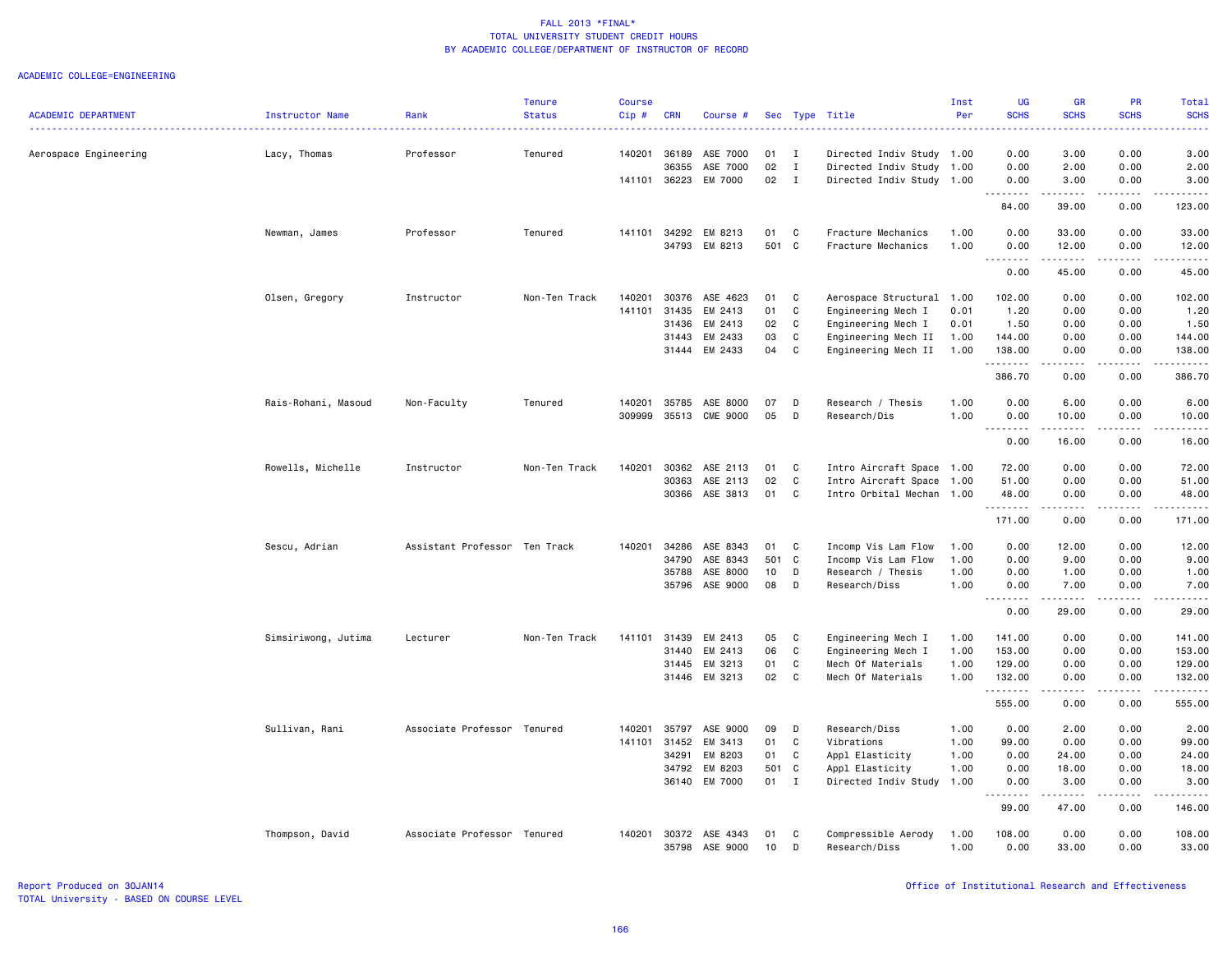|                            |                     |                               | <b>Tenure</b> | <b>Course</b> |              |               |            |              |                           | Inst | <b>UG</b>                           | <b>GR</b>                                                                                                                                                     | <b>PR</b>                    | Total                                                                                                                                                         |
|----------------------------|---------------------|-------------------------------|---------------|---------------|--------------|---------------|------------|--------------|---------------------------|------|-------------------------------------|---------------------------------------------------------------------------------------------------------------------------------------------------------------|------------------------------|---------------------------------------------------------------------------------------------------------------------------------------------------------------|
| <b>ACADEMIC DEPARTMENT</b> | Instructor Name     | Rank                          | <b>Status</b> | Cip#          | <b>CRN</b>   | Course #      | <b>Sec</b> |              | Type Title                | Per  | <b>SCHS</b><br>. <b>.</b> .         | <b>SCHS</b>                                                                                                                                                   | <b>SCHS</b>                  | <b>SCHS</b><br>$\frac{1}{2} \left( \frac{1}{2} \right) \left( \frac{1}{2} \right) \left( \frac{1}{2} \right) \left( \frac{1}{2} \right)$                      |
| Aerospace Engineering      | Lacy, Thomas        | Professor                     | Tenured       | 140201        | 36189        | ASE 7000      | 01         | I            | Directed Indiv Study 1.00 |      | 0.00                                | 3.00                                                                                                                                                          | 0.00                         | 3.00                                                                                                                                                          |
|                            |                     |                               |               |               | 36355        | ASE 7000      | 02         | $\mathbf{I}$ | Directed Indiv Study 1.00 |      | 0.00                                | 2.00                                                                                                                                                          | 0.00                         | 2.00                                                                                                                                                          |
|                            |                     |                               |               |               | 141101 36223 | EM 7000       | 02         | $\mathbf{I}$ | Directed Indiv Study 1.00 |      | 0.00                                | 3.00                                                                                                                                                          | 0.00                         | 3.00                                                                                                                                                          |
|                            |                     |                               |               |               |              |               |            |              |                           |      | .<br>$\sim$ $\sim$<br>84.00         | .<br>39.00                                                                                                                                                    | .<br>0.00                    | .<br>123.00                                                                                                                                                   |
|                            | Newman, James       | Professor                     | Tenured       |               | 141101 34292 | EM 8213       | 01         | C            | Fracture Mechanics        | 1.00 | 0.00                                | 33.00                                                                                                                                                         | 0.00                         | 33.00                                                                                                                                                         |
|                            |                     |                               |               |               | 34793        | EM 8213       | 501        | C            | Fracture Mechanics        | 1.00 | 0.00                                | 12.00                                                                                                                                                         | 0.00                         | 12.00                                                                                                                                                         |
|                            |                     |                               |               |               |              |               |            |              |                           |      | 0.00                                | 45.00                                                                                                                                                         | 0.00                         | $\frac{1}{2} \left( \frac{1}{2} \right) \left( \frac{1}{2} \right) \left( \frac{1}{2} \right) \left( \frac{1}{2} \right) \left( \frac{1}{2} \right)$<br>45.00 |
|                            | Olsen, Gregory      | Instructor                    | Non-Ten Track | 140201        | 30376        | ASE 4623      | 01         | C            | Aerospace Structural      | 1.00 | 102.00                              | 0.00                                                                                                                                                          | 0.00                         | 102.00                                                                                                                                                        |
|                            |                     |                               |               | 141101        | 31435        | EM 2413       | 01         | $\mathbf c$  | Engineering Mech I        | 0.01 | 1.20                                | 0.00                                                                                                                                                          | 0.00                         | 1.20                                                                                                                                                          |
|                            |                     |                               |               |               | 31436        | EM 2413       | 02         | C            | Engineering Mech I        | 0.01 | 1.50                                | 0.00                                                                                                                                                          | 0.00                         | 1.50                                                                                                                                                          |
|                            |                     |                               |               |               | 31443        | EM 2433       | 03         | C            | Engineering Mech II       | 1.00 | 144.00                              | 0.00                                                                                                                                                          | 0.00                         | 144.00                                                                                                                                                        |
|                            |                     |                               |               |               |              | 31444 EM 2433 | 04         | C            | Engineering Mech II       | 1.00 | 138.00                              | 0.00                                                                                                                                                          | 0.00                         | 138.00                                                                                                                                                        |
|                            |                     |                               |               |               |              |               |            |              |                           |      | .<br>386.70                         | د د د د د<br>0.00                                                                                                                                             | .<br>0.00                    | .<br>386.70                                                                                                                                                   |
|                            | Rais-Rohani, Masoud | Non-Faculty                   | Tenured       | 140201        | 35785        | ASE 8000      | 07         | D            | Research / Thesis         | 1.00 | 0.00                                | 6.00                                                                                                                                                          | 0.00                         | 6.00                                                                                                                                                          |
|                            |                     |                               |               | 309999        | 35513        | CME 9000      | 05         | D            | Research/Dis              | 1.00 | 0.00                                | 10.00                                                                                                                                                         | 0.00                         | 10.00                                                                                                                                                         |
|                            |                     |                               |               |               |              |               |            |              |                           |      | $\sim$ $\sim$ $\sim$ $\sim$<br>0.00 | د د د د د<br>16.00                                                                                                                                            | .<br>0.00                    | $\sim$ $\sim$ $\sim$ $\sim$ $\sim$<br>16.00                                                                                                                   |
|                            | Rowells, Michelle   | Instructor                    | Non-Ten Track | 140201        | 30362        | ASE 2113      | 01         | C            | Intro Aircraft Space 1.00 |      | 72.00                               | 0.00                                                                                                                                                          | 0.00                         | 72.00                                                                                                                                                         |
|                            |                     |                               |               |               | 30363        | ASE 2113      | 02         | C            | Intro Aircraft Space 1.00 |      | 51.00                               | 0.00                                                                                                                                                          | 0.00                         | 51.00                                                                                                                                                         |
|                            |                     |                               |               |               | 30366        | ASE 3813      | 01         | C            | Intro Orbital Mechan 1.00 |      | 48.00                               | 0.00                                                                                                                                                          | 0.00                         | 48.00                                                                                                                                                         |
|                            |                     |                               |               |               |              |               |            |              |                           |      | .<br>171.00                         | 0.00                                                                                                                                                          | $\sim$ $\sim$ $\sim$<br>0.00 | .<br>171.00                                                                                                                                                   |
|                            | Sescu, Adrian       | Assistant Professor Ten Track |               | 140201        | 34286        | ASE 8343      | 01         | C            | Incomp Vis Lam Flow       | 1.00 | 0.00                                | 12.00                                                                                                                                                         | 0.00                         | 12.00                                                                                                                                                         |
|                            |                     |                               |               |               | 34790        | ASE 8343      | 501        | $\mathbf{C}$ | Incomp Vis Lam Flow       | 1.00 | 0.00                                | 9.00                                                                                                                                                          | 0.00                         | 9.00                                                                                                                                                          |
|                            |                     |                               |               |               | 35788        | ASE 8000      | 10         | D            | Research / Thesis         | 1.00 | 0.00                                | 1.00                                                                                                                                                          | 0.00                         | 1.00                                                                                                                                                          |
|                            |                     |                               |               |               | 35796        | ASE 9000      | 08         | D            | Research/Diss             | 1.00 | 0.00                                | 7.00                                                                                                                                                          | 0.00                         | 7.00                                                                                                                                                          |
|                            |                     |                               |               |               |              |               |            |              |                           |      | $\sim$ $\sim$ $\sim$<br>.<br>0.00   | $\frac{1}{2} \left( \frac{1}{2} \right) \left( \frac{1}{2} \right) \left( \frac{1}{2} \right) \left( \frac{1}{2} \right) \left( \frac{1}{2} \right)$<br>29.00 | $\sim$ $\sim$ $\sim$<br>0.00 | $\frac{1}{2} \left( \frac{1}{2} \right) \left( \frac{1}{2} \right) \left( \frac{1}{2} \right) \left( \frac{1}{2} \right) \left( \frac{1}{2} \right)$<br>29.00 |
|                            | Simsiriwong, Jutima | Lecturer                      | Non-Ten Track | 141101        | 31439        | EM 2413       | 05         | C            | Engineering Mech I        | 1.00 | 141.00                              | 0.00                                                                                                                                                          | 0.00                         | 141.00                                                                                                                                                        |
|                            |                     |                               |               |               | 31440        | EM 2413       | 06         | C            | Engineering Mech I        | 1.00 | 153.00                              | 0.00                                                                                                                                                          | 0.00                         | 153.00                                                                                                                                                        |
|                            |                     |                               |               |               | 31445        | EM 3213       | 01         | C            | Mech Of Materials         | 1.00 | 129.00                              | 0.00                                                                                                                                                          | 0.00                         | 129.00                                                                                                                                                        |
|                            |                     |                               |               |               |              | 31446 EM 3213 | 02         | $\mathbf{C}$ | Mech Of Materials         | 1.00 | 132.00                              | 0.00                                                                                                                                                          | 0.00                         | 132.00                                                                                                                                                        |
|                            |                     |                               |               |               |              |               |            |              |                           |      | .<br>555.00                         | .<br>0.00                                                                                                                                                     | $\sim$ $\sim$ $\sim$<br>0.00 | <u>.</u><br>555.00                                                                                                                                            |
|                            | Sullivan, Rani      | Associate Professor Tenured   |               | 140201        | 35797        | ASE 9000      | 09         | D            | Research/Diss             | 1.00 | 0.00                                | 2.00                                                                                                                                                          | 0.00                         | 2.00                                                                                                                                                          |
|                            |                     |                               |               | 141101        | 31452        | EM 3413       | 01         | C            | Vibrations                | 1.00 | 99.00                               | 0.00                                                                                                                                                          | 0.00                         | 99.00                                                                                                                                                         |
|                            |                     |                               |               |               | 34291        | EM 8203       | 01         | C            | Appl Elasticity           | 1.00 | 0.00                                | 24.00                                                                                                                                                         | 0.00                         | 24.00                                                                                                                                                         |
|                            |                     |                               |               |               | 34792        | EM 8203       | 501        | C            | Appl Elasticity           | 1.00 | 0.00                                | 18.00                                                                                                                                                         | 0.00                         | 18.00                                                                                                                                                         |
|                            |                     |                               |               |               | 36140        | EM 7000       | 01         | $\mathbf{I}$ | Directed Indiv Study 1.00 |      | 0.00                                | 3.00                                                                                                                                                          | 0.00                         | 3.00                                                                                                                                                          |
|                            |                     |                               |               |               |              |               |            |              |                           |      | . <b>.</b><br>99.00                 | .<br>47.00                                                                                                                                                    | .<br>0.00                    | .<br>146.00                                                                                                                                                   |
|                            | Thompson, David     | Associate Professor Tenured   |               | 140201        | 30372        | ASE 4343      | 01         | C            | Compressible Aerody       | 1.00 | 108.00                              | 0.00                                                                                                                                                          | 0.00                         | 108.00                                                                                                                                                        |
|                            |                     |                               |               |               | 35798        | ASE 9000      | 10         | D            | Research/Diss             | 1.00 | 0.00                                | 33.00                                                                                                                                                         | 0.00                         | 33.00                                                                                                                                                         |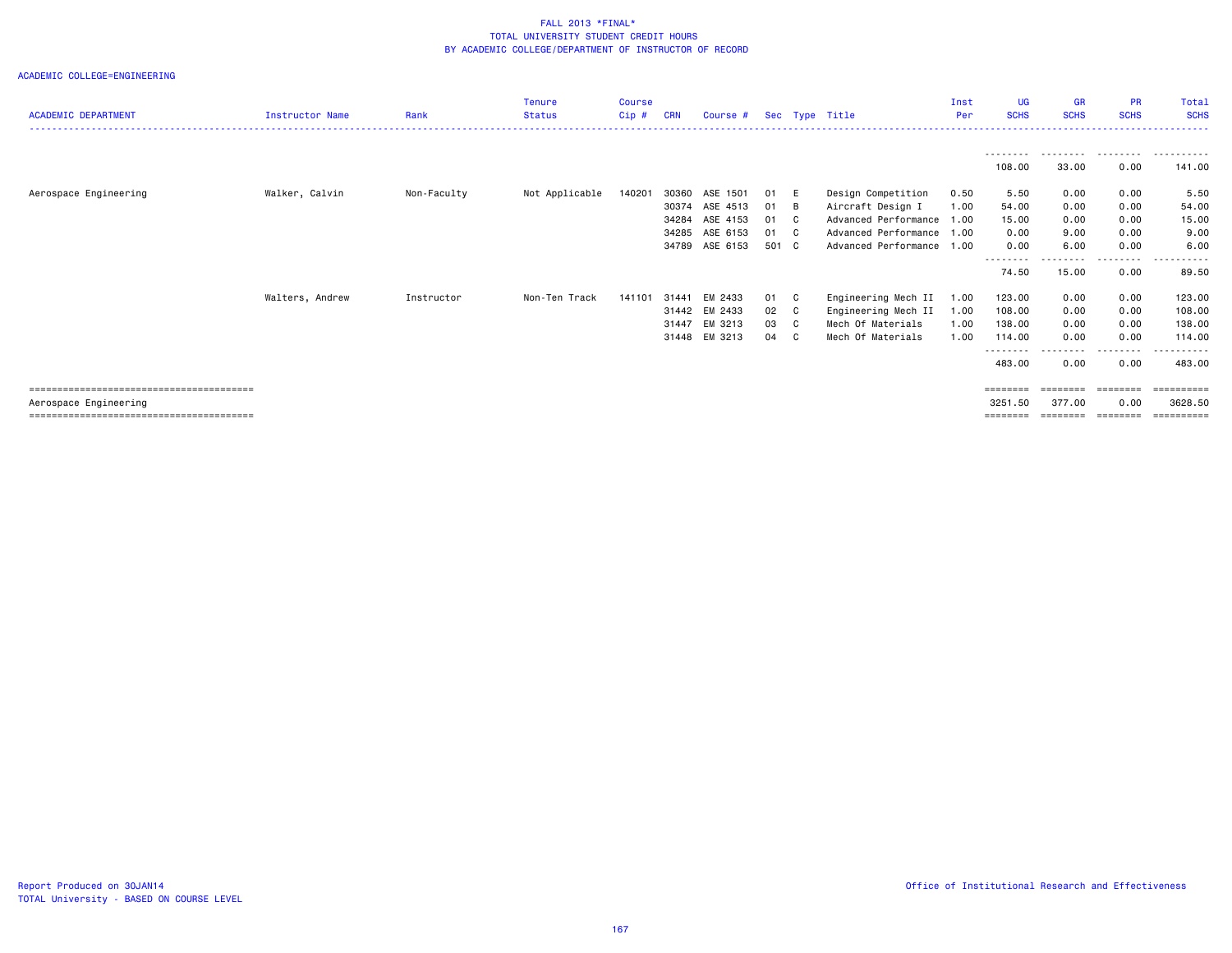| <b>ACADEMIC DEPARTMENT</b> | <b>Instructor Name</b> | Rank        | <b>Tenure</b><br><b>Status</b> | <b>Course</b><br>Cip# | <b>CRN</b>     | Course #             |          |                     | Sec Type Title                               | Inst<br>Per  | UG<br><b>SCHS</b>   | <b>GR</b><br><b>SCHS</b>       | <b>PR</b><br><b>SCHS</b>      | Total<br><b>SCHS</b>           |
|----------------------------|------------------------|-------------|--------------------------------|-----------------------|----------------|----------------------|----------|---------------------|----------------------------------------------|--------------|---------------------|--------------------------------|-------------------------------|--------------------------------|
|                            |                        |             |                                |                       |                |                      |          |                     |                                              |              | ---------<br>108.00 | .<br>33.00                     | .<br>0.00                     | .<br>141.00                    |
| Aerospace Engineering      | Walker, Calvin         | Non-Faculty | Not Applicable                 | 140201                | 30360<br>30374 | ASE 1501<br>ASE 4513 | 01<br>01 | - E<br>- B          | Design Competition<br>Aircraft Design I      | 0.50<br>1.00 | 5.50<br>54.00       | 0.00<br>0.00                   | 0.00<br>0.00                  | 5.50<br>54.00                  |
|                            |                        |             |                                |                       | 34284<br>34285 | ASE 4153<br>ASE 6153 | 01<br>01 | $\mathbf{C}$<br>C C | Advanced Performance<br>Advanced Performance | 1.00<br>1.00 | 15.00<br>0.00       | 0.00<br>9.00                   | 0.00<br>0.00                  | 15.00<br>9.00                  |
|                            |                        |             |                                |                       | 34789          | ASE 6153             | 501 C    |                     | Advanced Performance 1.00                    |              | 0.00<br>--------    | 6.00<br>--------               | 0.00<br>.                     | 6.00<br>.                      |
|                            | Walters, Andrew        | Instructor  | Non-Ten Track                  | 141101                | 31441          | EM 2433              | 01       | C.                  | Engineering Mech II                          | 1.00         | 74.50<br>123.00     | 15.00<br>0.00                  | 0.00<br>0.00                  | 89.50<br>123.00                |
|                            |                        |             |                                |                       | 31442<br>31447 | EM 2433<br>EM 3213   | 02<br>03 | C<br>C              | Engineering Mech II<br>Mech Of Materials     | 1.00<br>1.00 | 108.00<br>138.00    | 0.00<br>0.00                   | 0.00<br>0.00                  | 108.00<br>138.00               |
|                            |                        |             |                                |                       | 31448          | EM 3213              | 04       | C.                  | Mech Of Materials                            | 1.00         | 114.00<br>--------- | 0.00<br>---------              | 0.00<br>-----                 | 114,00<br>- - - - - - <b>-</b> |
|                            |                        |             |                                |                       |                |                      |          |                     |                                              |              | 483.00              | 0.00                           | 0.00                          | 483.00                         |
| Aerospace Engineering      |                        |             |                                |                       |                |                      |          |                     |                                              |              | 3251.50<br>======== | ========<br>377.00<br>======== | ========<br>0.00<br>--------- | 3628.50<br>==========          |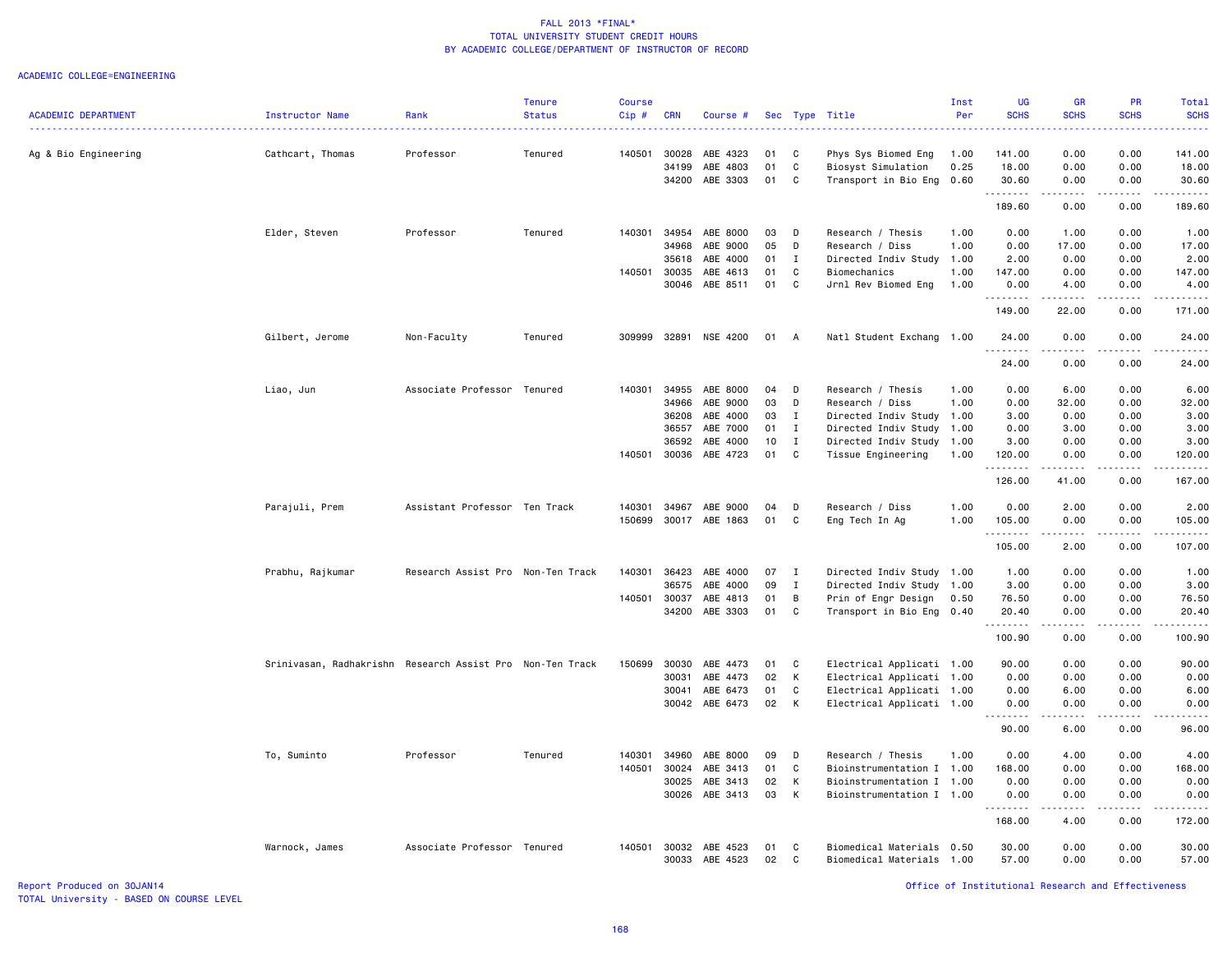### ACADEMIC COLLEGE=ENGINEERING

|                            |                                                           |                                   | <b>Tenure</b> | <b>Course</b> |            |                |    |              |                           | Inst | <b>UG</b>                      | <b>GR</b>                      | <b>PR</b>                           | <b>Total</b>                 |
|----------------------------|-----------------------------------------------------------|-----------------------------------|---------------|---------------|------------|----------------|----|--------------|---------------------------|------|--------------------------------|--------------------------------|-------------------------------------|------------------------------|
| <b>ACADEMIC DEPARTMENT</b> | <b>Instructor Name</b>                                    | Rank                              | <b>Status</b> | Cip#          | <b>CRN</b> | Course #       |    |              | Sec Type Title            | Per  | <b>SCHS</b>                    | <b>SCHS</b>                    | <b>SCHS</b>                         | <b>SCHS</b><br>الدائد الدائد |
| Ag & Bio Engineering       | Cathcart, Thomas                                          | Professor                         | Tenured       | 140501        | 30028      | ABE 4323       | 01 | C            | Phys Sys Biomed Eng       | 1.00 | 141.00                         | 0.00                           | 0.00                                | 141.00                       |
|                            |                                                           |                                   |               |               | 34199      | ABE 4803       | 01 | C            | Biosyst Simulation        | 0.25 | 18.00                          | 0.00                           | 0.00                                | 18.00                        |
|                            |                                                           |                                   |               |               | 34200      | ABE 3303       | 01 | C            | Transport in Bio Eng 0.60 |      | 30.60<br>.                     | 0.00<br>.                      | 0.00<br>$\sim$ $\sim$ $\sim$ $\sim$ | 30.60<br>.                   |
|                            |                                                           |                                   |               |               |            |                |    |              |                           |      | 189.60                         | 0.00                           | 0.00                                | 189.60                       |
|                            | Elder, Steven                                             | Professor                         | Tenured       | 140301        | 34954      | ABE 8000       | 03 | D            | Research / Thesis         | 1.00 | 0.00                           | 1.00                           | 0.00                                | 1.00                         |
|                            |                                                           |                                   |               |               | 34968      | ABE 9000       | 05 | D            | Research / Diss           | 1.00 | 0.00                           | 17.00                          | 0.00                                | 17.00                        |
|                            |                                                           |                                   |               |               | 35618      | ABE 4000       | 01 | $\mathbf{I}$ | Directed Indiv Study      | 1.00 | 2.00                           | 0.00                           | 0.00                                | 2.00                         |
|                            |                                                           |                                   |               | 140501        | 30035      | ABE 4613       | 01 | C            | Biomechanics              | 1.00 | 147.00                         | 0.00                           | 0.00                                | 147.00                       |
|                            |                                                           |                                   |               |               | 30046      | ABE 8511       | 01 | C            | Jrnl Rev Biomed Eng       | 1.00 | 0.00<br>.                      | 4.00<br><u>.</u>               | 0.00<br>.                           | 4.00<br>.                    |
|                            |                                                           |                                   |               |               |            |                |    |              |                           |      | 149.00                         | 22.00                          | 0.00                                | 171.00                       |
|                            | Gilbert, Jerome                                           | Non-Faculty                       | Tenured       | 309999        | 32891      | NSE 4200       | 01 | A            | Natl Student Exchang 1.00 |      | 24.00<br><b><i><u></u></i></b> | 0.00<br>.                      | 0.00<br>.                           | 24.00<br>.                   |
|                            |                                                           |                                   |               |               |            |                |    |              |                           |      | 24.00                          | 0.00                           | 0.00                                | 24.00                        |
|                            | Liao, Jun                                                 | Associate Professor Tenured       |               | 140301        | 34955      | ABE 8000       | 04 | D            | Research / Thesis         | 1.00 | 0.00                           | 6.00                           | 0.00                                | 6.00                         |
|                            |                                                           |                                   |               |               | 34966      | ABE 9000       | 03 | D            | Research / Diss           | 1.00 | 0.00                           | 32.00                          | 0.00                                | 32.00                        |
|                            |                                                           |                                   |               |               | 36208      | ABE 4000       | 03 | $\mathbf{I}$ | Directed Indiv Study      | 1.00 | 3.00                           | 0.00                           | 0.00                                | 3.00                         |
|                            |                                                           |                                   |               |               | 36557      | ABE 7000       | 01 | $\mathbf{I}$ | Directed Indiv Study 1.00 |      | 0.00                           | 3.00                           | 0.00                                | 3.00                         |
|                            |                                                           |                                   |               |               | 36592      | ABE 4000       | 10 | I            | Directed Indiv Study      | 1.00 | 3.00                           | 0.00                           | 0.00                                | 3.00                         |
|                            |                                                           |                                   |               | 140501 30036  |            | ABE 4723       | 01 | C            | Tissue Engineering        | 1.00 | 120.00<br>.                    | 0.00<br>.                      | 0.00<br>.                           | 120.00<br><u>.</u>           |
|                            |                                                           |                                   |               |               |            |                |    |              |                           |      | 126.00                         | 41.00                          | 0.00                                | 167.00                       |
|                            | Parajuli, Prem                                            | Assistant Professor Ten Track     |               | 140301        | 34967      | ABE 9000       | 04 | D            | Research / Diss           | 1.00 | 0.00                           | 2.00                           | 0.00                                | 2.00                         |
|                            |                                                           |                                   |               | 150699        | 30017      | ABE 1863       | 01 | C            | Eng Tech In Ag            | 1.00 | 105.00<br>.                    | 0.00<br>$\frac{1}{2}$          | 0.00<br>.                           | 105.00<br>.                  |
|                            |                                                           |                                   |               |               |            |                |    |              |                           |      | 105.00                         | 2.00                           | 0.00                                | 107.00                       |
|                            | Prabhu, Rajkumar                                          | Research Assist Pro Non-Ten Track |               | 140301        | 36423      | ABE 4000       | 07 | $\mathbf{I}$ | Directed Indiv Study      | 1.00 | 1.00                           | 0.00                           | 0.00                                | 1.00                         |
|                            |                                                           |                                   |               |               | 36575      | ABE 4000       | 09 | $\mathbf I$  | Directed Indiv Study      | 1.00 | 3.00                           | 0.00                           | 0.00                                | 3.00                         |
|                            |                                                           |                                   |               | 140501        | 30037      | ABE 4813       | 01 | B            | Prin of Engr Design       | 0.50 | 76.50                          | 0.00                           | 0.00                                | 76.50                        |
|                            |                                                           |                                   |               |               | 34200      | ABE 3303       | 01 | C            | Transport in Bio Eng      | 0.40 | 20.40<br>.                     | 0.00<br>.                      | 0.00<br>.                           | 20.40<br>.                   |
|                            |                                                           |                                   |               |               |            |                |    |              |                           |      | 100.90                         | 0.00                           | 0.00                                | 100.90                       |
|                            | Srinivasan, Radhakrishn Research Assist Pro Non-Ten Track |                                   |               | 150699        | 30030      | ABE 4473       | 01 | C            | Electrical Applicati 1.00 |      | 90.00                          | 0.00                           | 0.00                                | 90.00                        |
|                            |                                                           |                                   |               |               | 30031      | ABE 4473       | 02 | к            | Electrical Applicati      | 1.00 | 0.00                           | 0.00                           | 0.00                                | 0.00                         |
|                            |                                                           |                                   |               |               | 30041      | ABE 6473       | 01 | C            | Electrical Applicati 1.00 |      | 0.00                           | 6.00                           | 0.00                                | 6.00                         |
|                            |                                                           |                                   |               |               |            | 30042 ABE 6473 | 02 | К            | Electrical Applicati 1.00 |      | 0.00                           | 0.00                           | 0.00                                | 0.00                         |
|                            |                                                           |                                   |               |               |            |                |    |              |                           |      | 90.00                          | 6.00                           | 0.00                                | 96.00                        |
|                            | To, Suminto                                               | Professor                         | Tenured       | 140301        | 34960      | ABE 8000       | 09 | D            | Research / Thesis         | 1.00 | 0.00                           | 4.00                           | 0.00                                | 4.00                         |
|                            |                                                           |                                   |               | 140501        | 30024      | ABE 3413       | 01 | C            | Bioinstrumentation I 1.00 |      | 168.00                         | 0.00                           | 0.00                                | 168.00                       |
|                            |                                                           |                                   |               |               | 30025      | ABE 3413       | 02 | К            | Bioinstrumentation I      | 1.00 | 0.00                           | 0.00                           | 0.00                                | 0.00                         |
|                            |                                                           |                                   |               |               |            | 30026 ABE 3413 | 03 | K            | Bioinstrumentation I 1.00 |      | 0.00<br>.                      | 0.00<br><b><i><u>.</u></i></b> | 0.00<br>.                           | 0.00<br><u>.</u>             |
|                            |                                                           |                                   |               |               |            |                |    |              |                           |      | 168.00                         | 4.00                           | 0.00                                | 172.00                       |
|                            | Warnock, James                                            | Associate Professor Tenured       |               | 140501        | 30032      | ABE 4523       | 01 | C            | Biomedical Materials      | 0.50 | 30.00                          | 0.00                           | 0.00                                | 30.00                        |
|                            |                                                           |                                   |               |               |            | 30033 ABE 4523 | 02 | C.           | Biomedical Materials 1.00 |      | 57.00                          | 0.00                           | 0.00                                | 57.00                        |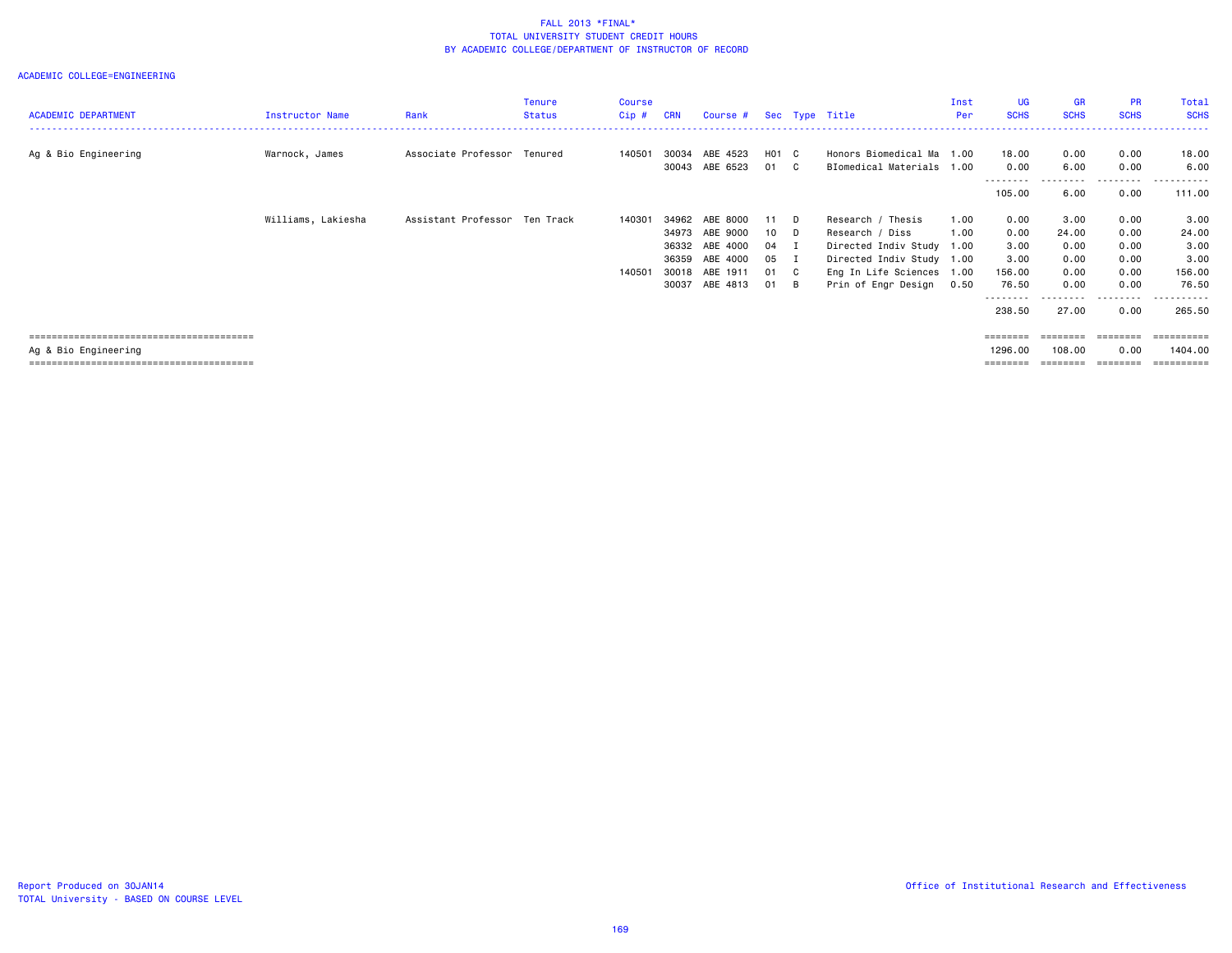| <b>ACADEMIC DEPARTMENT</b> | <b>Instructor Name</b> | Rank                          | Tenure<br><b>Status</b> | Course<br>$Cip$ # | <b>CRN</b>                       | Course #                                                       |                                      | Sec Type Title                                                                                                              | Inst<br>Per  | UG<br><b>SCHS</b>                        | GR<br><b>SCHS</b>                     | <b>PR</b><br><b>SCHS</b>             | Total<br><b>SCHS</b>                    |
|----------------------------|------------------------|-------------------------------|-------------------------|-------------------|----------------------------------|----------------------------------------------------------------|--------------------------------------|-----------------------------------------------------------------------------------------------------------------------------|--------------|------------------------------------------|---------------------------------------|--------------------------------------|-----------------------------------------|
| Ag & Bio Engineering       | Warnock, James         | Associate Professor           | Tenured                 | 140501            | 30034<br>30043                   | ABE 4523<br>ABE 6523                                           | H01 C<br>01 C                        | Honors Biomedical Ma 1.00<br>BIomedical Materials 1.00                                                                      |              | 18.00<br>0.00                            | 0.00<br>6.00                          | 0.00<br>0.00                         | 18.00<br>6.00                           |
|                            |                        |                               |                         |                   |                                  |                                                                |                                      |                                                                                                                             |              | ---------<br>105.00                      | .<br>6.00                             | ---------<br>0.00                    | ----------<br>111.00                    |
|                            | Williams, Lakiesha     | Assistant Professor Ten Track |                         | 140301<br>140501  | 34973<br>36332<br>36359<br>30018 | 34962 ABE 8000<br>ABE 9000<br>ABE 4000<br>ABE 4000<br>ABE 1911 | 11 D<br>10 D<br>04 I<br>05 I<br>01 C | Research / Thesis<br>Research / Diss<br>Directed Indiv Study 1.00<br>Directed Indiv Study 1.00<br>Eng In Life Sciences 1.00 | 1.00<br>1.00 | 0.00<br>0.00<br>3.00<br>3.00<br>156.00   | 3.00<br>24.00<br>0.00<br>0.00<br>0.00 | 0.00<br>0.00<br>0.00<br>0.00<br>0.00 | 3.00<br>24.00<br>3.00<br>3.00<br>156.00 |
|                            |                        |                               |                         |                   | 30037                            | ABE 4813                                                       | 01 B                                 | Prin of Engr Design                                                                                                         | 0.50         | 76.50<br>---------<br>238.50             | 0.00<br>27.00                         | 0.00<br>.<br>0.00                    | 76.50<br>.<br>265.50                    |
| Ag & Bio Engineering       |                        |                               |                         |                   |                                  |                                                                |                                      |                                                                                                                             |              | $= = = = = = = =$<br>1296.00<br>======== | ========<br>108.00                    | ========<br>0.00                     | 1404.00                                 |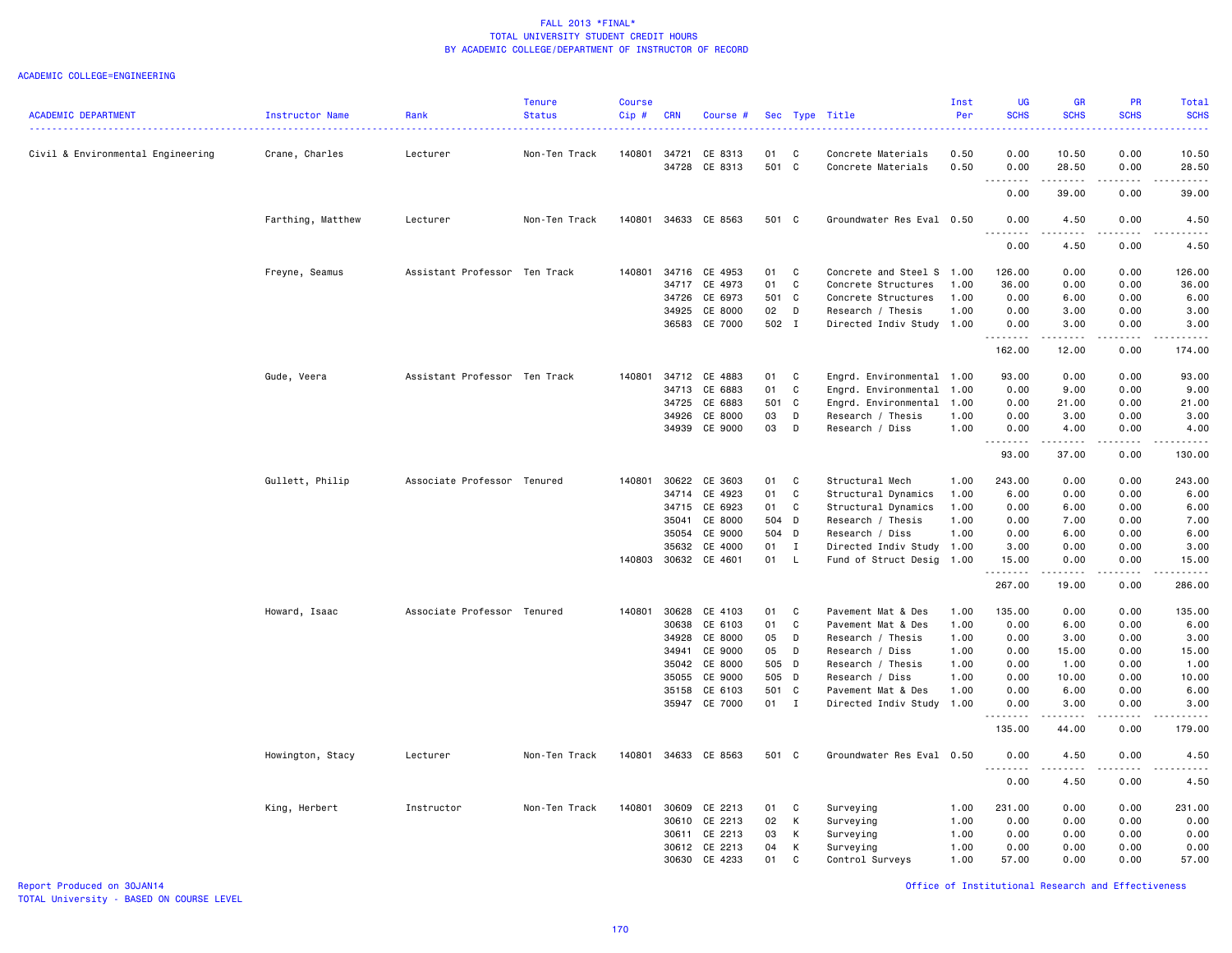### ACADEMIC COLLEGE=ENGINEERING

|                                   |                        |                               | <b>Tenure</b> | <b>Course</b> |            |               |       |              |                           | Inst | <b>UG</b>                                  | GR                | <b>PR</b>                    | Total                         |
|-----------------------------------|------------------------|-------------------------------|---------------|---------------|------------|---------------|-------|--------------|---------------------------|------|--------------------------------------------|-------------------|------------------------------|-------------------------------|
| <b>ACADEMIC DEPARTMENT</b>        | <b>Instructor Name</b> | Rank                          | <b>Status</b> | $Cip$ #       | <b>CRN</b> | Course #      |       |              | Sec Type Title            | Per  | <b>SCHS</b>                                | <b>SCHS</b>       | <b>SCHS</b>                  | <b>SCHS</b><br>والمتمام المار |
| Civil & Environmental Engineering | Crane, Charles         | Lecturer                      | Non-Ten Track | 140801        | 34721      | CE 8313       | 01    | C            | Concrete Materials        | 0.50 | 0.00                                       | 10.50             | 0.00                         | 10.50                         |
|                                   |                        |                               |               |               | 34728      | CE 8313       | 501 C |              | Concrete Materials        | 0.50 | 0.00<br>د ما ما ما<br>$\sim$ $\sim$ $\sim$ | 28.50<br>.        | 0.00<br>.                    | 28.50<br>.                    |
|                                   |                        |                               |               |               |            |               |       |              |                           |      | 0.00                                       | 39.00             | 0.00                         | 39.00                         |
|                                   | Farthing, Matthew      | Lecturer                      | Non-Ten Track | 140801        |            | 34633 CE 8563 | 501 C |              | Groundwater Res Eval 0.50 |      | 0.00                                       | 4.50              | 0.00                         | 4.50                          |
|                                   |                        |                               |               |               |            |               |       |              |                           |      | 0.00                                       | 4.50              | 0.00                         | 4.50                          |
|                                   | Freyne, Seamus         | Assistant Professor Ten Track |               | 140801        | 34716      | CE 4953       | 01    | C            | Concrete and Steel S      | 1.00 | 126.00                                     | 0.00              | 0.00                         | 126.00                        |
|                                   |                        |                               |               |               | 34717      | CE 4973       | 01    | C            | Concrete Structures       | 1.00 | 36.00                                      | 0.00              | 0.00                         | 36.00                         |
|                                   |                        |                               |               |               | 34726      | CE 6973       | 501 C |              | Concrete Structures       | 1.00 | 0.00                                       | 6.00              | 0.00                         | 6.00                          |
|                                   |                        |                               |               |               | 34925      | CE 8000       | 02    | D            | Research / Thesis         | 1.00 | 0.00                                       | 3.00              | 0.00                         | 3.00                          |
|                                   |                        |                               |               |               |            | 36583 CE 7000 | 502 I |              | Directed Indiv Study 1.00 |      | 0.00<br>.                                  | 3.00<br>د د د د د | 0.00                         | 3.00<br>.                     |
|                                   |                        |                               |               |               |            |               |       |              |                           |      | 162.00                                     | 12.00             | 0.00                         | 174.00                        |
|                                   | Gude, Veera            | Assistant Professor Ten Track |               | 140801        | 34712      | CE 4883       | 01    | C            | Engrd. Environmental 1.00 |      | 93.00                                      | 0.00              | 0.00                         | 93.00                         |
|                                   |                        |                               |               |               | 34713      | CE 6883       | 01    | C            | Engrd. Environmental      | 1.00 | 0.00                                       | 9.00              | 0.00                         | 9.00                          |
|                                   |                        |                               |               |               | 34725      | CE 6883       | 501 C |              | Engrd. Environmental      | 1.00 | 0.00                                       | 21.00             | 0.00                         | 21.00                         |
|                                   |                        |                               |               |               | 34926      | CE 8000       | 03    | D            | Research / Thesis         | 1.00 | 0.00                                       | 3.00              | 0.00                         | 3.00                          |
|                                   |                        |                               |               |               |            | 34939 CE 9000 | 03    | D            | Research / Diss           | 1.00 | 0.00<br>.                                  | 4.00<br>.         | 0.00<br>.                    | 4.00                          |
|                                   |                        |                               |               |               |            |               |       |              |                           |      | 93.00                                      | 37.00             | 0.00                         | 130.00                        |
|                                   | Gullett, Philip        | Associate Professor Tenured   |               | 140801        | 30622      | CE 3603       | 01    | C            | Structural Mech           | 1.00 | 243.00                                     | 0.00              | 0.00                         | 243.00                        |
|                                   |                        |                               |               |               | 34714      | CE 4923       | 01    | $\mathbf c$  | Structural Dynamics       | 1.00 | 6.00                                       | 0.00              | 0.00                         | 6.00                          |
|                                   |                        |                               |               |               | 34715      | CE 6923       | 01    | $\mathbb C$  | Structural Dynamics       | 1.00 | 0.00                                       | 6.00              | 0.00                         | 6.00                          |
|                                   |                        |                               |               |               | 35041      | CE 8000       | 504 D |              | Research / Thesis         | 1.00 | 0.00                                       | 7.00              | 0.00                         | 7.00                          |
|                                   |                        |                               |               |               | 35054      | CE 9000       | 504 D |              | Research / Diss           | 1.00 | 0.00                                       | 6.00              | 0.00                         | 6.00                          |
|                                   |                        |                               |               |               | 35632      | CE 4000       | 01    | $\mathbf{I}$ | Directed Indiv Study 1.00 |      | 3.00                                       | 0.00              | 0.00                         | 3.00                          |
|                                   |                        |                               |               | 140803        | 30632      | CE 4601       | 01    | <b>L</b>     | Fund of Struct Desig      | 1.00 | 15.00                                      | 0.00              | 0.00                         | 15.00                         |
|                                   |                        |                               |               |               |            |               |       |              |                           |      | -----<br>267.00                            | 19.00             | $\sim$ $\sim$ $\sim$<br>0.00 | وعاعات<br>286.00              |
|                                   | Howard, Isaac          | Associate Professor Tenured   |               | 140801        | 30628      | CE 4103       | 01    | C            | Pavement Mat & Des        | 1.00 | 135.00                                     | 0.00              | 0.00                         | 135.00                        |
|                                   |                        |                               |               |               | 30638      | CE 6103       | 01    | C            | Pavement Mat & Des        | 1.00 | 0.00                                       | 6.00              | 0.00                         | 6.00                          |
|                                   |                        |                               |               |               | 34928      | CE 8000       | 05    | D            | Research / Thesis         | 1.00 | 0.00                                       | 3.00              | 0.00                         | 3.00                          |
|                                   |                        |                               |               |               | 34941      | CE 9000       | 05    | D            | Research / Diss           | 1.00 | 0.00                                       | 15.00             | 0.00                         | 15.00                         |
|                                   |                        |                               |               |               | 35042      | CE 8000       | 505 D |              | Research / Thesis         | 1.00 | 0.00                                       | 1.00              | 0.00                         | 1.00                          |
|                                   |                        |                               |               |               | 35055      | CE 9000       | 505 D |              | Research / Diss           | 1.00 | 0.00                                       | 10.00             | 0.00                         | 10.00                         |
|                                   |                        |                               |               |               | 35158      | CE 6103       | 501 C |              | Pavement Mat & Des        | 1.00 | 0.00                                       | 6.00              | 0.00                         | 6.00                          |
|                                   |                        |                               |               |               | 35947      | CE 7000       | 01 I  |              | Directed Indiv Study 1.00 |      | 0.00                                       | 3.00              | 0.00                         | 3.00                          |
|                                   |                        |                               |               |               |            |               |       |              |                           |      | 135.00                                     | .<br>44.00        | .<br>0.00                    | .<br>179.00                   |
|                                   | Howington, Stacy       | Lecturer                      | Non-Ten Track | 140801        |            | 34633 CE 8563 | 501 C |              | Groundwater Res Eval 0.50 |      | 0.00                                       | 4.50              | 0.00                         | 4.50                          |
|                                   |                        |                               |               |               |            |               |       |              |                           |      | $\sim$ $\sim$ $\sim$<br>- - - -<br>0.00    | $- - - -$<br>4.50 | $- - -$<br>0.00              | $\frac{1}{2}$<br>4.50         |
|                                   |                        |                               |               |               |            |               |       |              |                           |      |                                            |                   |                              |                               |
|                                   | King, Herbert          | Instructor                    | Non-Ten Track | 140801        | 30609      | CE 2213       | 01    | C            | Surveying                 | 1.00 | 231.00                                     | 0.00              | 0.00                         | 231.00                        |
|                                   |                        |                               |               |               | 30610      | CE 2213       | 02    | К            | Surveying                 | 1.00 | 0.00                                       | 0.00              | 0.00                         | 0.00                          |
|                                   |                        |                               |               |               | 30611      | CE 2213       | 03    | К            | Surveying                 | 1.00 | 0.00                                       | 0.00              | 0.00                         | 0.00                          |
|                                   |                        |                               |               |               | 30612      | CE 2213       | 04    | К            | Surveying                 | 1.00 | 0.00                                       | 0.00              | 0.00                         | 0.00                          |
|                                   |                        |                               |               |               | 30630      | CE 4233       | 01    | C            | Control Surveys           | 1.00 | 57.00                                      | 0.00              | 0.00                         | 57.00                         |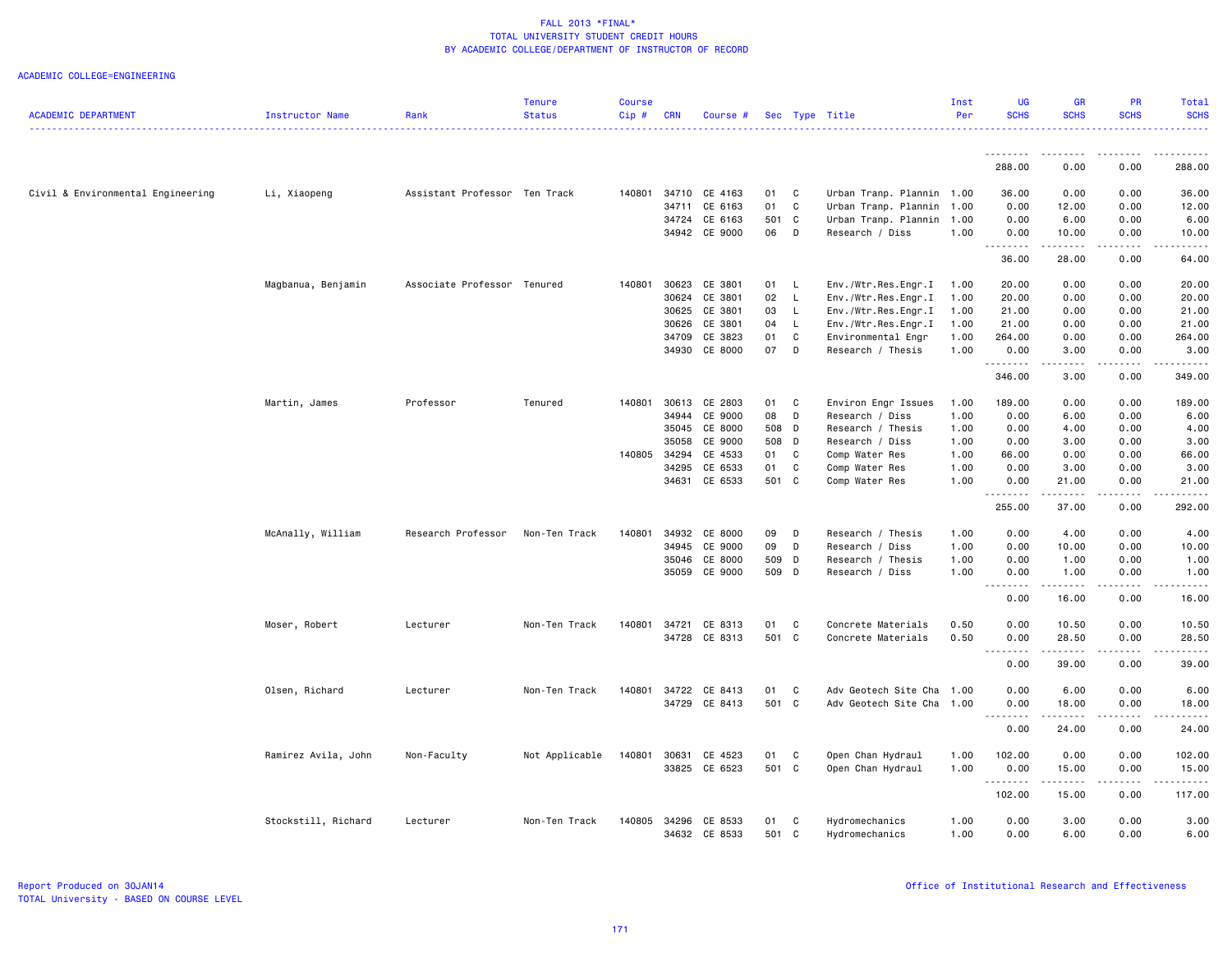|                                   |                     |                               | <b>Tenure</b>  | <b>Course</b> |            |               |       |              |                           | Inst | <b>UG</b>     | <b>GR</b>                                                                                                                                                     | <b>PR</b>                                                                                                                                            | Total                                                                                                                                                        |
|-----------------------------------|---------------------|-------------------------------|----------------|---------------|------------|---------------|-------|--------------|---------------------------|------|---------------|---------------------------------------------------------------------------------------------------------------------------------------------------------------|------------------------------------------------------------------------------------------------------------------------------------------------------|--------------------------------------------------------------------------------------------------------------------------------------------------------------|
| <b>ACADEMIC DEPARTMENT</b>        | Instructor Name     | Rank                          | <b>Status</b>  | Cip#          | <b>CRN</b> | Course #      |       |              | Sec Type Title            | Per  | <b>SCHS</b>   | <b>SCHS</b>                                                                                                                                                   | <b>SCHS</b>                                                                                                                                          | <b>SCHS</b>                                                                                                                                                  |
|                                   |                     |                               |                |               |            |               |       |              |                           |      | .             | .                                                                                                                                                             | $\frac{1}{2} \left( \frac{1}{2} \right) \left( \frac{1}{2} \right) \left( \frac{1}{2} \right) \left( \frac{1}{2} \right) \left( \frac{1}{2} \right)$ | .                                                                                                                                                            |
|                                   |                     |                               |                |               |            |               |       |              |                           |      | 288.00        | 0.00                                                                                                                                                          | 0.00                                                                                                                                                 | 288.00                                                                                                                                                       |
| Civil & Environmental Engineering | Li, Xiaopeng        | Assistant Professor Ten Track |                | 140801        | 34710      | CE 4163       | 01    | C.           | Urban Tranp. Plannin 1.00 |      | 36.00         | 0.00                                                                                                                                                          | 0.00                                                                                                                                                 | 36.00                                                                                                                                                        |
|                                   |                     |                               |                |               | 34711      | CE 6163       | 01    | C            | Urban Tranp. Plannin      | 1.00 | 0.00          | 12.00                                                                                                                                                         | 0.00                                                                                                                                                 | 12.00                                                                                                                                                        |
|                                   |                     |                               |                |               | 34724      | CE 6163       | 501 C |              | Urban Tranp. Plannin      | 1.00 | 0.00          | 6.00                                                                                                                                                          | 0.00                                                                                                                                                 | 6.00                                                                                                                                                         |
|                                   |                     |                               |                |               | 34942      | CE 9000       | 06    | D            | Research / Diss           | 1.00 | 0.00<br>----- | 10.00                                                                                                                                                         | 0.00                                                                                                                                                 | 10.00                                                                                                                                                        |
|                                   |                     |                               |                |               |            |               |       |              |                           |      | 36.00         | 28.00                                                                                                                                                         | 0.00                                                                                                                                                 | 64.00                                                                                                                                                        |
|                                   | Magbanua, Benjamin  | Associate Professor Tenured   |                | 140801        | 30623      | CE 3801       | 01    | L.           | Env./Wtr.Res.Engr.I       | 1.00 | 20.00         | 0.00                                                                                                                                                          | 0.00                                                                                                                                                 | 20.00                                                                                                                                                        |
|                                   |                     |                               |                |               | 30624      | CE 3801       | 02    | L.           | Env./Wtr.Res.Engr.I       | 1.00 | 20.00         | 0.00                                                                                                                                                          | 0.00                                                                                                                                                 | 20.00                                                                                                                                                        |
|                                   |                     |                               |                |               | 30625      | CE 3801       | 03    | $\mathsf{L}$ | Env./Wtr.Res.Engr.I       | 1.00 | 21.00         | 0.00                                                                                                                                                          | 0.00                                                                                                                                                 | 21.00                                                                                                                                                        |
|                                   |                     |                               |                |               | 30626      | CE 3801       | 04    | - L          | Env./Wtr.Res.Engr.I       | 1.00 | 21.00         | 0.00                                                                                                                                                          | 0.00                                                                                                                                                 | 21.00                                                                                                                                                        |
|                                   |                     |                               |                |               | 34709      | CE 3823       | 01    | C            | Environmental Engr        | 1.00 | 264.00        | 0.00                                                                                                                                                          | 0.00                                                                                                                                                 | 264.00                                                                                                                                                       |
|                                   |                     |                               |                |               | 34930      | CE 8000       | 07    | D            | Research / Thesis         | 1.00 | 0.00<br>.     | 3.00<br>.                                                                                                                                                     | 0.00<br>.                                                                                                                                            | 3.00<br>وبالمحامين                                                                                                                                           |
|                                   |                     |                               |                |               |            |               |       |              |                           |      | 346.00        | 3.00                                                                                                                                                          | 0.00                                                                                                                                                 | 349.00                                                                                                                                                       |
|                                   | Martin, James       | Professor                     | Tenured        | 140801        | 30613      | CE 2803       | 01    | C            | Environ Engr Issues       | 1.00 | 189.00        | 0.00                                                                                                                                                          | 0.00                                                                                                                                                 | 189.00                                                                                                                                                       |
|                                   |                     |                               |                |               | 34944      | CE 9000       | 08    | D            | Research / Diss           | 1.00 | 0.00          | 6.00                                                                                                                                                          | 0.00                                                                                                                                                 | 6.00                                                                                                                                                         |
|                                   |                     |                               |                |               | 35045      | CE 8000       | 508 D |              | Research / Thesis         | 1.00 | 0.00          | 4.00                                                                                                                                                          | 0.00                                                                                                                                                 | 4.00                                                                                                                                                         |
|                                   |                     |                               |                |               | 35058      | CE 9000       | 508 D |              | Research / Diss           | 1.00 | 0.00          | 3.00                                                                                                                                                          | 0.00                                                                                                                                                 | 3.00                                                                                                                                                         |
|                                   |                     |                               |                | 140805        | 34294      | CE 4533       | 01    | $\mathbf{C}$ | Comp Water Res            | 1.00 | 66.00         | 0.00                                                                                                                                                          | 0.00                                                                                                                                                 | 66.00                                                                                                                                                        |
|                                   |                     |                               |                |               | 34295      | CE 6533       | 01    | C            | Comp Water Res            | 1.00 | 0.00          | 3.00                                                                                                                                                          | 0.00                                                                                                                                                 | 3.00                                                                                                                                                         |
|                                   |                     |                               |                |               | 34631      | CE 6533       | 501 C |              | Comp Water Res            | 1.00 | 0.00          | 21.00<br>.                                                                                                                                                    | 0.00<br>.                                                                                                                                            | 21.00<br>.                                                                                                                                                   |
|                                   |                     |                               |                |               |            |               |       |              |                           |      | 255.00        | 37.00                                                                                                                                                         | 0.00                                                                                                                                                 | 292.00                                                                                                                                                       |
|                                   | McAnally, William   | Research Professor            | Non-Ten Track  | 140801        | 34932      | CE 8000       | 09    | D            | Research / Thesis         | 1.00 | 0.00          | 4.00                                                                                                                                                          | 0.00                                                                                                                                                 | 4.00                                                                                                                                                         |
|                                   |                     |                               |                |               | 34945      | CE 9000       | 09    | D            | Research / Diss           | 1.00 | 0.00          | 10.00                                                                                                                                                         | 0.00                                                                                                                                                 | 10.00                                                                                                                                                        |
|                                   |                     |                               |                |               | 35046      | CE 8000       | 509 D |              | Research / Thesis         | 1.00 | 0.00          | 1.00                                                                                                                                                          | 0.00                                                                                                                                                 | 1.00                                                                                                                                                         |
|                                   |                     |                               |                |               | 35059      | CE 9000       | 509 D |              | Research / Diss           | 1.00 | 0.00          | 1.00<br>.                                                                                                                                                     | 0.00<br>المتماما                                                                                                                                     | 1.00<br>$\frac{1}{2} \left( \frac{1}{2} \right) \left( \frac{1}{2} \right) \left( \frac{1}{2} \right) \left( \frac{1}{2} \right) \left( \frac{1}{2} \right)$ |
|                                   |                     |                               |                |               |            |               |       |              |                           |      | 0.00          | 16.00                                                                                                                                                         | 0.00                                                                                                                                                 | 16.00                                                                                                                                                        |
|                                   | Moser, Robert       | Lecturer                      | Non-Ten Track  | 140801        | 34721      | CE 8313       | 01    | $\mathbf{C}$ | Concrete Materials        | 0.50 | 0.00          | 10.50                                                                                                                                                         | 0.00                                                                                                                                                 | 10.50                                                                                                                                                        |
|                                   |                     |                               |                |               |            | 34728 CE 8313 | 501 C |              | Concrete Materials        | 0.50 | 0.00          | 28.50                                                                                                                                                         | 0.00                                                                                                                                                 | 28.50                                                                                                                                                        |
|                                   |                     |                               |                |               |            |               |       |              |                           |      | 0.00          | $\frac{1}{2} \left( \frac{1}{2} \right) \left( \frac{1}{2} \right) \left( \frac{1}{2} \right) \left( \frac{1}{2} \right) \left( \frac{1}{2} \right)$<br>39.00 | 0.00                                                                                                                                                 | 39.00                                                                                                                                                        |
|                                   | Olsen, Richard      | Lecturer                      | Non-Ten Track  | 140801        |            | 34722 CE 8413 | 01    | $\mathbf{C}$ | Adv Geotech Site Cha 1.00 |      | 0.00          | 6.00                                                                                                                                                          | 0.00                                                                                                                                                 | 6.00                                                                                                                                                         |
|                                   |                     |                               |                |               |            | 34729 CE 8413 | 501 C |              | Adv Geotech Site Cha      | 1.00 | 0.00          | 18.00                                                                                                                                                         | 0.00                                                                                                                                                 | 18.00                                                                                                                                                        |
|                                   |                     |                               |                |               |            |               |       |              |                           |      | 0.00          | 24.00                                                                                                                                                         | .<br>0.00                                                                                                                                            | .<br>24.00                                                                                                                                                   |
|                                   | Ramirez Avila, John | Non-Faculty                   | Not Applicable | 140801        | 30631      | CE 4523       | 01    | C            | Open Chan Hydraul         | 1.00 | 102.00        | 0.00                                                                                                                                                          | 0.00                                                                                                                                                 | 102.00                                                                                                                                                       |
|                                   |                     |                               |                |               |            | 33825 CE 6523 | 501 C |              | Open Chan Hydraul         | 1.00 | 0.00          | 15.00                                                                                                                                                         | 0.00                                                                                                                                                 | 15.00                                                                                                                                                        |
|                                   |                     |                               |                |               |            |               |       |              |                           |      | .<br>102.00   | .<br>15.00                                                                                                                                                    | .<br>0.00                                                                                                                                            | .<br>117.00                                                                                                                                                  |
|                                   | Stockstill, Richard | Lecturer                      | Non-Ten Track  | 140805        | 34296      | CE 8533       | 01    | C            | Hydromechanics            | 1.00 | 0.00          | 3.00                                                                                                                                                          | 0.00                                                                                                                                                 | 3.00                                                                                                                                                         |
|                                   |                     |                               |                |               |            | 34632 CE 8533 | 501 C |              | Hydromechanics            | 1.00 | 0.00          | 6.00                                                                                                                                                          | 0.00                                                                                                                                                 | 6.00                                                                                                                                                         |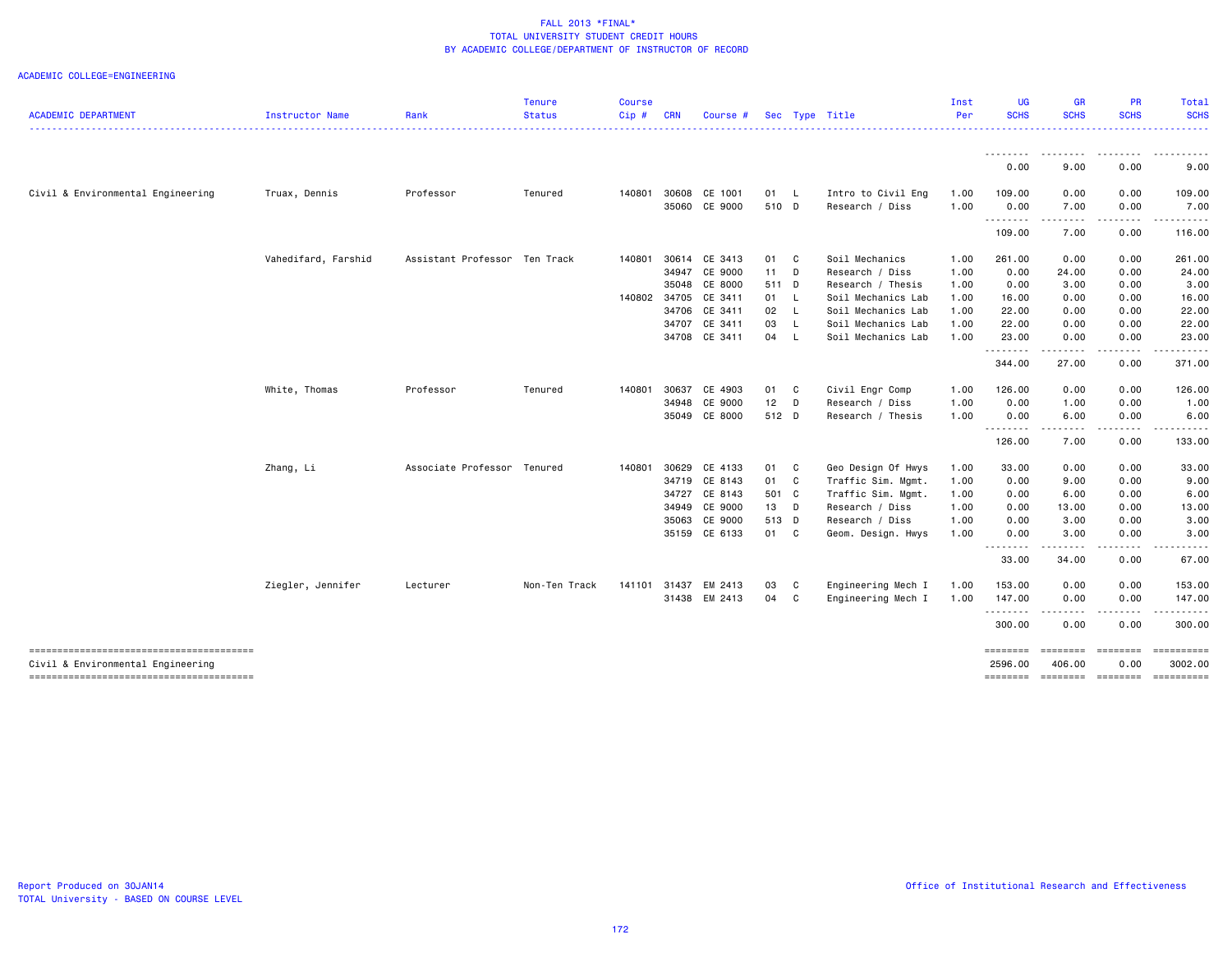| <b>ACADEMIC DEPARTMENT</b>        | Instructor Name     | Rank                          | <b>Status</b> | Cip#         | <b>CRN</b> | Course #      |       | Sec Type Title |                    | Per  | <b>SCHS</b>         | <b>SCHS</b>                         | <b>SCHS</b>           | <b>SCHS</b>           |
|-----------------------------------|---------------------|-------------------------------|---------------|--------------|------------|---------------|-------|----------------|--------------------|------|---------------------|-------------------------------------|-----------------------|-----------------------|
|                                   |                     |                               |               |              |            |               |       |                |                    |      |                     |                                     |                       | .                     |
|                                   |                     |                               |               |              |            |               |       |                |                    |      | .<br>0.00           | .<br>9.00                           | 0.00                  | 9.00                  |
| Civil & Environmental Engineering | Truax, Dennis       | Professor                     | Tenured       | 140801       | 30608      | CE 1001       | 01 L  |                | Intro to Civil Eng | 1.00 | 109.00              | 0.00                                | 0.00                  | 109.00                |
|                                   |                     |                               |               |              |            | 35060 CE 9000 | 510 D |                | Research / Diss    | 1.00 | 0.00                | 7.00                                | 0.00                  | 7.00                  |
|                                   |                     |                               |               |              |            |               |       |                |                    |      | .<br>109.00         | ----<br>7.00                        | $\cdots$<br>0.00      | 116.00                |
|                                   | Vahedifard, Farshid | Assistant Professor Ten Track |               | 140801       |            | 30614 CE 3413 | 01 C  |                | Soil Mechanics     | 1.00 | 261.00              | 0.00                                | 0.00                  | 261.00                |
|                                   |                     |                               |               |              |            | 34947 CE 9000 | 11 D  |                | Research / Diss    | 1.00 | 0.00                | 24.00                               | 0.00                  | 24.00                 |
|                                   |                     |                               |               |              | 35048      | CE 8000       | 511 D |                | Research / Thesis  | 1.00 | 0.00                | 3.00                                | 0.00                  | 3.00                  |
|                                   |                     |                               |               | 140802 34705 |            | CE 3411       | 01 L  |                | Soil Mechanics Lab | 1.00 | 16.00               | 0.00                                | 0.00                  | 16.00                 |
|                                   |                     |                               |               |              |            | 34706 CE 3411 | 02 L  |                | Soil Mechanics Lab | 1.00 | 22.00               | 0.00                                | 0.00                  | 22.00                 |
|                                   |                     |                               |               |              |            | 34707 CE 3411 | 03 L  |                | Soil Mechanics Lab | 1.00 | 22.00               | 0.00                                | 0.00                  | 22.00                 |
|                                   |                     |                               |               |              |            | 34708 CE 3411 | 04 L  |                | Soil Mechanics Lab | 1.00 | 23.00               | 0.00                                | 0.00                  | 23.00                 |
|                                   |                     |                               |               |              |            |               |       |                |                    |      | .<br>344.00         | .<br>27.00                          | .<br>0.00             | ------<br>371.00      |
|                                   | White, Thomas       | Professor                     | Tenured       | 140801       | 30637      | CE 4903       | 01 C  |                | Civil Engr Comp    | 1.00 | 126.00              | 0.00                                | 0.00                  | 126.00                |
|                                   |                     |                               |               |              | 34948      | CE 9000       | 12    | D              | Research / Diss    | 1.00 | 0.00                | 1.00                                | 0.00                  | 1.00                  |
|                                   |                     |                               |               |              |            | 35049 CE 8000 | 512 D |                | Research / Thesis  | 1.00 | 0.00                | 6.00                                | 0.00                  | 6.00                  |
|                                   |                     |                               |               |              |            |               |       |                |                    |      | <b></b><br>126.00   | ----<br>7.00                        | $\cdots$<br>0.00      | 133.00                |
|                                   | Zhang, Li           | Associate Professor Tenured   |               | 140801       | 30629      | CE 4133       | 01 C  |                | Geo Design Of Hwys | 1.00 | 33.00               | 0.00                                | 0.00                  | 33.00                 |
|                                   |                     |                               |               |              |            | 34719 CE 8143 | 01 C  |                | Traffic Sim. Mgmt. | 1.00 | 0.00                | 9.00                                | 0.00                  | 9.00                  |
|                                   |                     |                               |               |              |            | 34727 CE 8143 | 501 C |                | Traffic Sim. Mgmt. | 1.00 | 0.00                | 6.00                                | 0.00                  | 6.00                  |
|                                   |                     |                               |               |              | 34949      | CE 9000       | 13 D  |                | Research / Diss    | 1.00 | 0.00                | 13.00                               | 0.00                  | 13.00                 |
|                                   |                     |                               |               |              | 35063      | CE 9000       | 513 D |                | Research / Diss    | 1.00 | 0.00                | 3.00                                | 0.00                  | 3.00                  |
|                                   |                     |                               |               |              |            | 35159 CE 6133 | 01 C  |                | Geom. Design. Hwys | 1.00 | 0.00                | 3.00                                | 0.00                  | 3.00                  |
|                                   |                     |                               |               |              |            |               |       |                |                    |      | --------<br>33.00   | .<br>34.00                          | $\frac{1}{2}$<br>0.00 | 67.00                 |
|                                   | Ziegler, Jennifer   | Lecturer                      | Non-Ten Track | 141101       |            | 31437 EM 2413 | 03    | C.             | Engineering Mech I | 1.00 | 153.00              | 0.00                                | 0.00                  | 153.00                |
|                                   |                     |                               |               |              |            | 31438 EM 2413 | 04 C  |                | Engineering Mech I | 1.00 | 147.00              | 0.00                                | 0.00                  | 147.00                |
|                                   |                     |                               |               |              |            |               |       |                |                    |      | .<br>300.00         | $\sim$ $\sim$ $\sim$ $\sim$<br>0.00 | .<br>0.00             | .<br>300.00           |
| Civil & Environmental Engineering |                     |                               |               |              |            |               |       |                |                    |      | ========<br>2596.00 | ========<br>406.00                  | ========<br>0.00      | ==========<br>3002.00 |
|                                   |                     |                               |               |              |            |               |       |                |                    |      | ========            | ========                            | <b>ESSESSES</b>       | ==========            |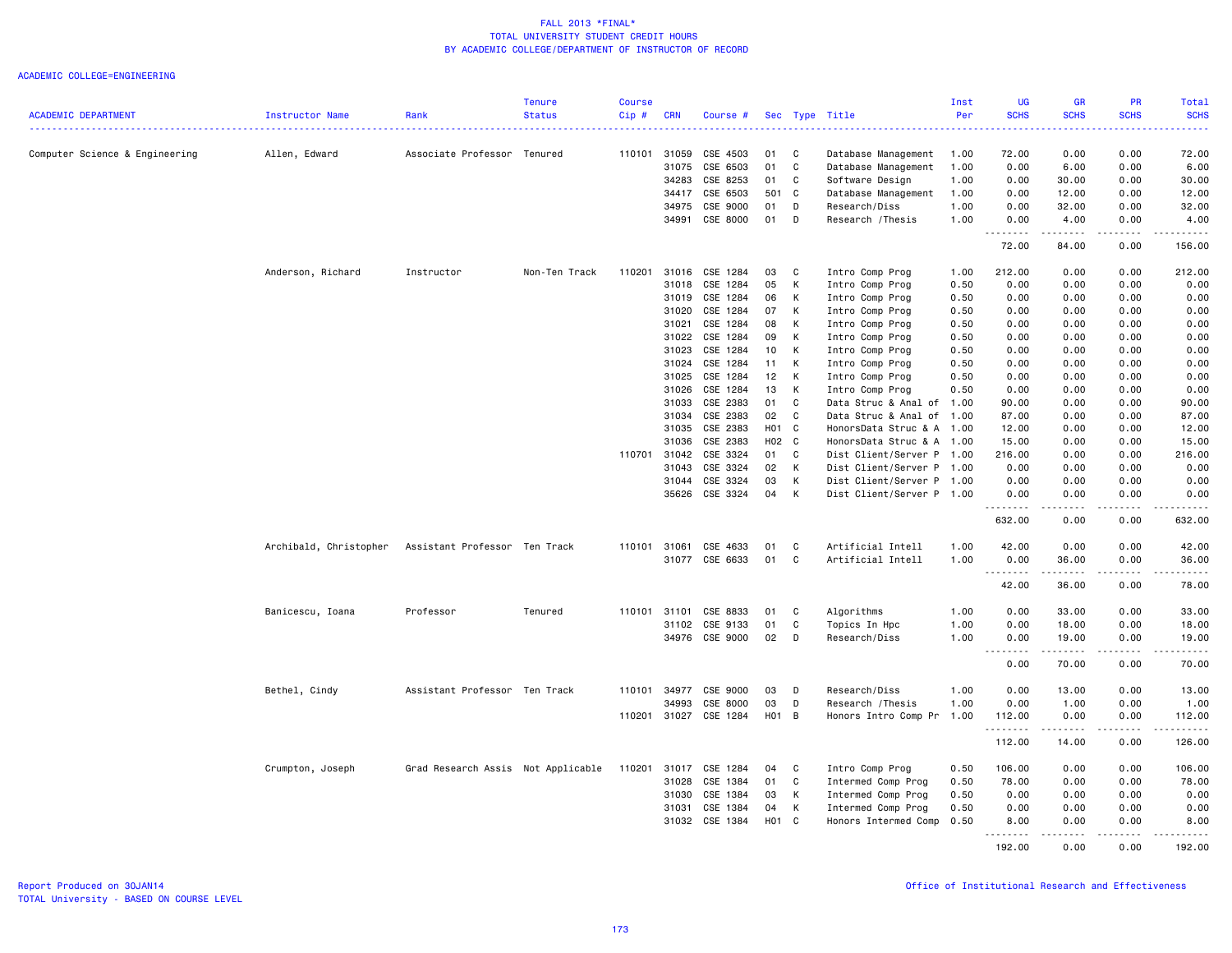|                                |                        |                                    | <b>Tenure</b> | Course |              |                       |     |              |                           | Inst | UG          | GR                                                                                                                                                           | PR                                  | Total            |
|--------------------------------|------------------------|------------------------------------|---------------|--------|--------------|-----------------------|-----|--------------|---------------------------|------|-------------|--------------------------------------------------------------------------------------------------------------------------------------------------------------|-------------------------------------|------------------|
| <b>ACADEMIC DEPARTMENT</b>     | <b>Instructor Name</b> | Rank                               | <b>Status</b> | Cip#   | <b>CRN</b>   | Course #              | Sec |              | Type Title                | Per  | <b>SCHS</b> | <b>SCHS</b>                                                                                                                                                  | <b>SCHS</b>                         | <b>SCHS</b><br>. |
|                                |                        |                                    |               |        |              |                       |     |              |                           |      |             |                                                                                                                                                              |                                     |                  |
| Computer Science & Engineering | Allen, Edward          | Associate Professor Tenured        |               |        | 110101 31059 | CSE 4503              | 01  | C            | Database Management       | 1.00 | 72.00       | 0.00                                                                                                                                                         | 0.00                                | 72.00            |
|                                |                        |                                    |               |        | 31075        | CSE 6503              | 01  | C            | Database Management       | 1.00 | 0.00        | 6.00                                                                                                                                                         | 0.00                                | 6.00             |
|                                |                        |                                    |               |        | 34283        | CSE 8253              | 01  | C            | Software Design           | 1.00 | 0.00        | 30.00                                                                                                                                                        | 0.00                                | 30.00            |
|                                |                        |                                    |               |        | 34417        | CSE 6503              | 501 | $\mathbf{C}$ | Database Management       | 1.00 | 0.00        | 12.00                                                                                                                                                        | 0.00                                | 12.00            |
|                                |                        |                                    |               |        | 34975        | CSE 9000              | 01  | D            | Research/Diss             | 1.00 | 0.00        | 32.00                                                                                                                                                        | 0.00                                | 32.00            |
|                                |                        |                                    |               |        | 34991        | CSE 8000              | 01  | D            | Research / Thesis         | 1.00 | 0.00<br>.   | 4.00<br>$\frac{1}{2} \left( \frac{1}{2} \right) \left( \frac{1}{2} \right) \left( \frac{1}{2} \right) \left( \frac{1}{2} \right) \left( \frac{1}{2} \right)$ | 0.00<br>.                           | 4.00<br>المتمام  |
|                                |                        |                                    |               |        |              |                       |     |              |                           |      | 72.00       | 84.00                                                                                                                                                        | 0.00                                | 156.00           |
|                                | Anderson, Richard      | Instructor                         | Non-Ten Track | 110201 |              | 31016 CSE 1284        | 03  | C.           | Intro Comp Prog           | 1.00 | 212.00      | 0.00                                                                                                                                                         | 0.00                                | 212.00           |
|                                |                        |                                    |               |        | 31018        | CSE 1284              | 05  | К            | Intro Comp Prog           | 0.50 | 0.00        | 0.00                                                                                                                                                         | 0.00                                | 0.00             |
|                                |                        |                                    |               |        | 31019        | CSE 1284              | 06  | К            | Intro Comp Prog           | 0.50 | 0.00        | 0.00                                                                                                                                                         | 0.00                                | 0.00             |
|                                |                        |                                    |               |        | 31020        | CSE 1284              | 07  | К            | Intro Comp Prog           | 0.50 | 0.00        | 0.00                                                                                                                                                         | 0.00                                | 0.00             |
|                                |                        |                                    |               |        | 31021        | CSE 1284              | 08  | к            | Intro Comp Prog           | 0.50 | 0.00        | 0.00                                                                                                                                                         | 0.00                                | 0.00             |
|                                |                        |                                    |               |        | 31022        | CSE 1284              | 09  | К            | Intro Comp Prog           | 0.50 | 0.00        | 0.00                                                                                                                                                         | 0.00                                | 0.00             |
|                                |                        |                                    |               |        | 31023        | CSE 1284              | 10  | К            | Intro Comp Prog           | 0.50 | 0.00        | 0.00                                                                                                                                                         | 0.00                                | 0.00             |
|                                |                        |                                    |               |        | 31024        | CSE 1284              | 11  | К            | Intro Comp Prog           | 0.50 | 0.00        | 0.00                                                                                                                                                         | 0.00                                | 0.00             |
|                                |                        |                                    |               |        | 31025        | CSE 1284              | 12  | K            | Intro Comp Prog           | 0.50 | 0.00        | 0.00                                                                                                                                                         | 0.00                                | 0.00             |
|                                |                        |                                    |               |        | 31026        | CSE 1284              | 13  | К            | Intro Comp Prog           | 0.50 | 0.00        | 0.00                                                                                                                                                         | 0.00                                | 0.00             |
|                                |                        |                                    |               |        | 31033        | CSE 2383              | 01  | C            | Data Struc & Anal of 1.00 |      | 90.00       | 0.00                                                                                                                                                         | 0.00                                | 90.00            |
|                                |                        |                                    |               |        | 31034        | CSE 2383              | 02  | C            | Data Struc & Anal of 1.00 |      | 87.00       | 0.00                                                                                                                                                         | 0.00                                | 87.00            |
|                                |                        |                                    |               |        | 31035        | CSE 2383              | H01 | <b>C</b>     | HonorsData Struc & A 1.00 |      | 12.00       | 0.00                                                                                                                                                         | 0.00                                | 12.00            |
|                                |                        |                                    |               |        | 31036        | CSE 2383              |     | H02 C        | HonorsData Struc & A 1.00 |      | 15.00       | 0.00                                                                                                                                                         | 0.00                                | 15.00            |
|                                |                        |                                    |               |        | 110701 31042 | CSE 3324              | 01  | C            | Dist Client/Server P 1.00 |      | 216.00      | 0.00                                                                                                                                                         | 0.00                                | 216.00           |
|                                |                        |                                    |               |        | 31043        | CSE 3324              | 02  | К            | Dist Client/Server P 1.00 |      | 0.00        | 0.00                                                                                                                                                         | 0.00                                | 0.00             |
|                                |                        |                                    |               |        | 31044        | CSE 3324              | 03  | К            | Dist Client/Server P 1.00 |      | 0.00        | 0.00                                                                                                                                                         | 0.00                                | 0.00             |
|                                |                        |                                    |               |        | 35626        | CSE 3324              | 04  | К            | Dist Client/Server P 1.00 |      | 0.00<br>.   | 0.00<br>$\frac{1}{2} \left( \frac{1}{2} \right) \left( \frac{1}{2} \right) \left( \frac{1}{2} \right) \left( \frac{1}{2} \right) \left( \frac{1}{2} \right)$ | 0.00<br>.                           | 0.00<br>.        |
|                                |                        |                                    |               |        |              |                       |     |              |                           |      | 632.00      | 0.00                                                                                                                                                         | 0.00                                | 632.00           |
|                                | Archibald, Christopher | Assistant Professor Ten Track      |               | 110101 | 31061        | CSE 4633              | 01  | C            | Artificial Intell         | 1.00 | 42.00       | 0.00                                                                                                                                                         | 0.00                                | 42.00            |
|                                |                        |                                    |               |        | 31077        | CSE 6633              | 01  | C            | Artificial Intell         | 1.00 | 0.00        | 36.00                                                                                                                                                        | 0.00                                | 36.00            |
|                                |                        |                                    |               |        |              |                       |     |              |                           |      | . <b>.</b>  | .                                                                                                                                                            | .                                   | .                |
|                                |                        |                                    |               |        |              |                       |     |              |                           |      | 42.00       | 36.00                                                                                                                                                        | 0.00                                | 78.00            |
|                                | Banicescu, Ioana       | Professor                          | Tenured       |        | 110101 31101 | CSE 8833              | 01  | C            | Algorithms                | 1.00 | 0.00        | 33.00                                                                                                                                                        | 0.00                                | 33.00            |
|                                |                        |                                    |               |        | 31102        | CSE 9133              | 01  | C            | Topics In Hpc             | 1.00 | 0.00        | 18.00                                                                                                                                                        | 0.00                                | 18.00            |
|                                |                        |                                    |               |        | 34976        | CSE 9000              | 02  | D            | Research/Diss             | 1.00 | 0.00        | 19.00                                                                                                                                                        | 0.00                                | 19.00            |
|                                |                        |                                    |               |        |              |                       |     |              |                           |      | .<br>0.00   | .<br>70.00                                                                                                                                                   | .<br>0.00                           | .<br>70.00       |
|                                |                        |                                    |               |        |              |                       |     |              |                           |      |             |                                                                                                                                                              |                                     |                  |
|                                | Bethel, Cindy          | Assistant Professor Ten Track      |               | 110101 | 34977        | CSE 9000              | 03  | D            | Research/Diss             | 1.00 | 0.00        | 13.00                                                                                                                                                        | 0.00                                | 13.00            |
|                                |                        |                                    |               |        | 34993        | CSE 8000              | 03  | D            | Research / Thesis         | 1.00 | 0.00        | 1.00                                                                                                                                                         | 0.00                                | 1.00             |
|                                |                        |                                    |               |        |              | 110201 31027 CSE 1284 | H01 | B            | Honors Intro Comp Pr 1.00 |      | 112.00<br>. | 0.00<br>.                                                                                                                                                    | 0.00<br>.                           | 112.00<br>.      |
|                                |                        |                                    |               |        |              |                       |     |              |                           |      | 112.00      | 14.00                                                                                                                                                        | 0.00                                | 126.00           |
|                                | Crumpton, Joseph       | Grad Research Assis Not Applicable |               | 110201 | 31017        | CSE 1284              | 04  | C            | Intro Comp Prog           | 0.50 | 106.00      | 0.00                                                                                                                                                         | 0.00                                | 106.00           |
|                                |                        |                                    |               |        | 31028        | CSE 1384              | 01  | C            | Intermed Comp Prog        | 0.50 | 78.00       | 0.00                                                                                                                                                         | 0.00                                | 78.00            |
|                                |                        |                                    |               |        | 31030        | CSE 1384              | 03  | К            | Intermed Comp Prog        | 0.50 | 0.00        | 0.00                                                                                                                                                         | 0.00                                | 0.00             |
|                                |                        |                                    |               |        | 31031        | CSE 1384              | 04  | К            | Intermed Comp Prog        | 0.50 | 0.00        | 0.00                                                                                                                                                         | 0.00                                | 0.00             |
|                                |                        |                                    |               |        | 31032        | CSE 1384              | H01 | C            | Honors Intermed Comp      | 0.50 | 8.00        | 0.00                                                                                                                                                         | 0.00                                | 8.00             |
|                                |                        |                                    |               |        |              |                       |     |              |                           |      | .<br>192.00 | 0.00                                                                                                                                                         | $\sim$ $\sim$ $\sim$ $\sim$<br>0.00 | .<br>192.00      |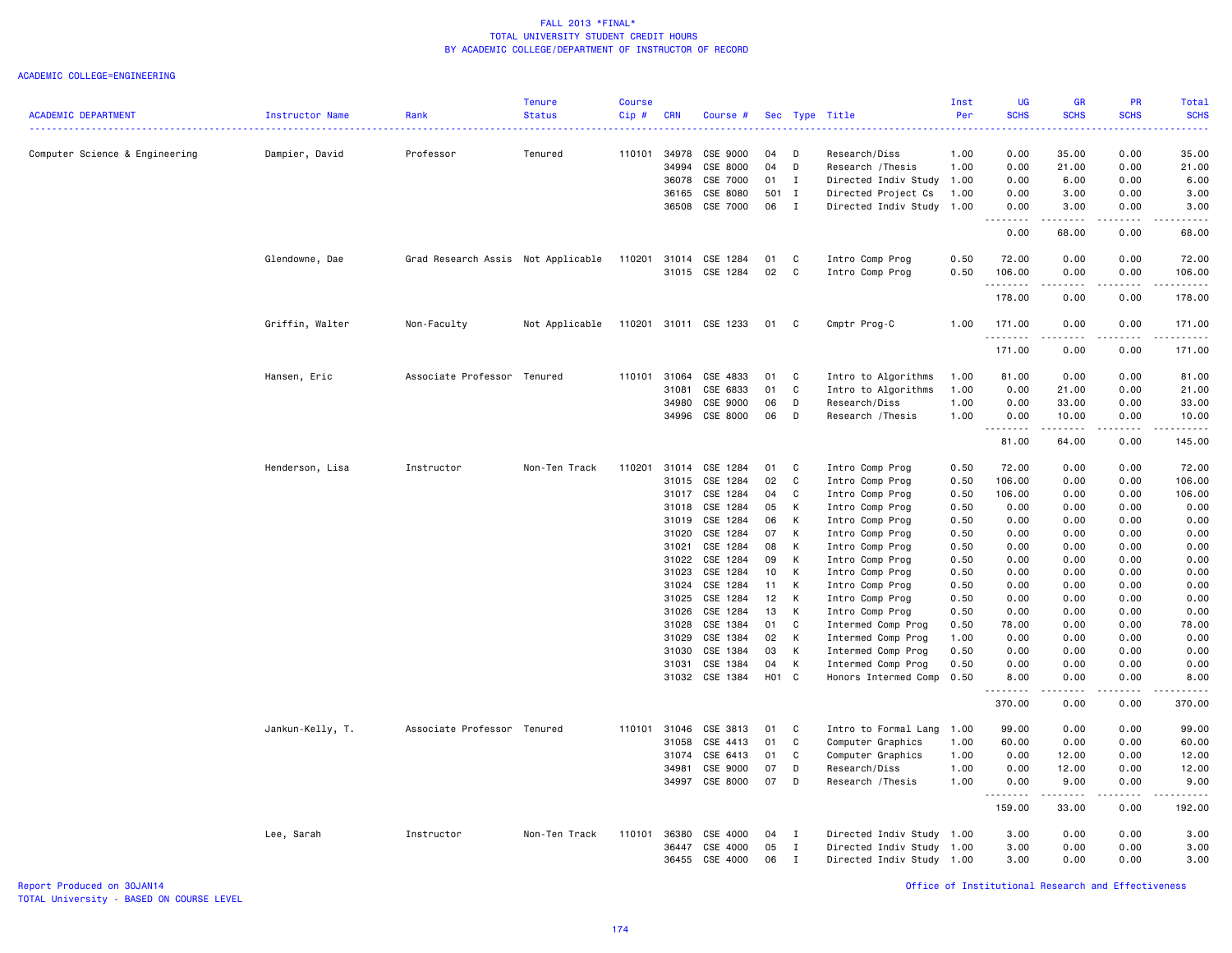### ACADEMIC COLLEGE=ENGINEERING

| <b>ACADEMIC DEPARTMENT</b>     | Instructor Name  | Rank                               | <b>Tenure</b><br><b>Status</b> | Course<br>Cip# | <b>CRN</b>     | Course #              |                   |              | Sec Type Title                     | Inst<br>Per  | <b>UG</b><br><b>SCHS</b> | <b>GR</b><br><b>SCHS</b>                                  | PR<br><b>SCHS</b> | <b>Total</b><br><b>SCHS</b> |
|--------------------------------|------------------|------------------------------------|--------------------------------|----------------|----------------|-----------------------|-------------------|--------------|------------------------------------|--------------|--------------------------|-----------------------------------------------------------|-------------------|-----------------------------|
|                                |                  |                                    |                                |                |                |                       |                   |              |                                    |              |                          |                                                           |                   |                             |
| Computer Science & Engineering | Dampier, David   | Professor                          | Tenured                        | 110101         | 34978<br>34994 | CSE 9000<br>CSE 8000  | 04<br>04          | D<br>D       | Research/Diss<br>Research / Thesis | 1.00<br>1.00 | 0.00<br>0.00             | 35.00<br>21.00                                            | 0.00<br>0.00      | 35.00<br>21.00              |
|                                |                  |                                    |                                |                | 36078          | CSE 7000              | 01                | I            | Directed Indiv Study               | 1.00         | 0.00                     | 6.00                                                      | 0.00              | 6.00                        |
|                                |                  |                                    |                                |                | 36165          | CSE 8080              | 501 I             |              | Directed Project Cs                | 1.00         | 0.00                     | 3.00                                                      | 0.00              | 3.00                        |
|                                |                  |                                    |                                |                | 36508          | CSE 7000              | 06                | I            | Directed Indiv Study               | 1.00         | 0.00                     | 3.00                                                      | 0.00              | 3.00                        |
|                                |                  |                                    |                                |                |                |                       |                   |              |                                    |              |                          |                                                           |                   |                             |
|                                |                  |                                    |                                |                |                |                       |                   |              |                                    |              | 0.00                     | 68.00                                                     | 0.00              | 68.00                       |
|                                | Glendowne, Dae   | Grad Research Assis Not Applicable |                                | 110201         | 31014          | CSE 1284              | 01                | C            | Intro Comp Prog                    | 0.50         | 72.00                    | 0.00                                                      | 0.00              | 72.00                       |
|                                |                  |                                    |                                |                |                | 31015 CSE 1284        | 02                | <b>C</b>     | Intro Comp Prog                    | 0.50         | 106.00<br>.              | 0.00<br>$\omega_{\alpha}=\omega_{\alpha}=\omega_{\alpha}$ | 0.00<br>.         | 106.00<br>.                 |
|                                |                  |                                    |                                |                |                |                       |                   |              |                                    |              | 178.00                   | 0.00                                                      | 0.00              | 178.00                      |
|                                | Griffin, Walter  | Non-Faculty                        | Not Applicable                 |                |                | 110201 31011 CSE 1233 | 01                | C            | Cmptr Prog-C                       | 1.00         | 171.00<br>.              | 0.00<br>.                                                 | 0.00<br>.         | 171.00<br>.                 |
|                                |                  |                                    |                                |                |                |                       |                   |              |                                    |              | 171.00                   | 0.00                                                      | 0.00              | 171.00                      |
|                                | Hansen, Eric     | Associate Professor Tenured        |                                | 110101         | 31064          | CSE 4833              | 01                | C            | Intro to Algorithms                | 1.00         | 81.00                    | 0.00                                                      | 0.00              | 81.00                       |
|                                |                  |                                    |                                |                | 31081          | CSE 6833              | 01                | C            | Intro to Algorithms                | 1.00         | 0.00                     | 21.00                                                     | 0.00              | 21.00                       |
|                                |                  |                                    |                                |                | 34980          | CSE 9000              | 06                | D            | Research/Diss                      | 1.00         | 0.00                     | 33.00                                                     | 0.00              | 33.00                       |
|                                |                  |                                    |                                |                | 34996          | CSE 8000              | 06                | D            | Research / Thesis                  | 1.00         | 0.00                     | 10.00                                                     | 0.00              | 10.00                       |
|                                |                  |                                    |                                |                |                |                       |                   |              |                                    |              | <u>.</u><br>81.00        | .<br>64.00                                                | .<br>0.00         | .<br>145.00                 |
|                                | Henderson, Lisa  | Instructor                         | Non-Ten Track                  | 110201         | 31014          | CSE 1284              | 01                | C            | Intro Comp Prog                    | 0.50         | 72.00                    | 0.00                                                      | 0.00              | 72.00                       |
|                                |                  |                                    |                                |                | 31015          | CSE 1284              | 02                | C            | Intro Comp Prog                    | 0.50         | 106.00                   | 0.00                                                      | 0.00              | 106.00                      |
|                                |                  |                                    |                                |                | 31017          | CSE 1284              | 04                | C            | Intro Comp Prog                    | 0.50         | 106.00                   | 0.00                                                      | 0.00              | 106.00                      |
|                                |                  |                                    |                                |                | 31018          | CSE 1284              | 05                | К            | Intro Comp Prog                    | 0.50         | 0.00                     | 0.00                                                      | 0.00              | 0.00                        |
|                                |                  |                                    |                                |                | 31019          | CSE 1284              | 06                | К            | Intro Comp Prog                    | 0.50         | 0.00                     | 0.00                                                      | 0.00              | 0.00                        |
|                                |                  |                                    |                                |                | 31020          | CSE 1284              | 07                | K            | Intro Comp Prog                    | 0.50         | 0.00                     | 0.00                                                      | 0.00              | 0.00                        |
|                                |                  |                                    |                                |                | 31021          | CSE 1284              | 08                | К            | Intro Comp Prog                    | 0.50         | 0.00                     | 0.00                                                      | 0.00              | 0.00                        |
|                                |                  |                                    |                                |                | 31022          | CSE 1284              | 09                | к            | Intro Comp Prog                    | 0.50         | 0.00                     | 0.00                                                      | 0.00              | 0.00                        |
|                                |                  |                                    |                                |                | 31023          | CSE 1284              | 10                | К            | Intro Comp Prog                    | 0.50         | 0.00                     | 0.00                                                      | 0.00              | 0.00                        |
|                                |                  |                                    |                                |                | 31024          | CSE 1284              | 11                | К            | Intro Comp Prog                    | 0.50         | 0.00                     | 0.00                                                      | 0.00              | 0.00                        |
|                                |                  |                                    |                                |                | 31025          | CSE 1284              | 12                | K            | Intro Comp Prog                    | 0.50         | 0.00                     | 0.00                                                      | 0.00              | 0.00                        |
|                                |                  |                                    |                                |                | 31026          | CSE 1284              | 13                | К            | Intro Comp Prog                    | 0.50         | 0.00                     | 0.00                                                      | 0.00              | 0.00                        |
|                                |                  |                                    |                                |                | 31028          | CSE 1384              | 01                | C            | Intermed Comp Prog                 | 0.50         | 78.00                    | 0.00                                                      | 0.00              | 78.00                       |
|                                |                  |                                    |                                |                | 31029          | CSE 1384              | 02                | K            | Intermed Comp Prog                 | 1.00         | 0.00                     | 0.00                                                      | 0.00              | 0.00                        |
|                                |                  |                                    |                                |                | 31030          | CSE 1384              | 03                | К            | Intermed Comp Prog                 | 0.50         | 0.00                     | 0.00                                                      | 0.00              | 0.00                        |
|                                |                  |                                    |                                |                | 31031          | CSE 1384              | 04                | К            | Intermed Comp Prog                 | 0.50         | 0.00                     | 0.00                                                      | 0.00              | 0.00                        |
|                                |                  |                                    |                                |                |                | 31032 CSE 1384        | H <sub>01</sub> C |              | Honors Intermed Comp               | 0.50         | 8.00<br><u>.</u>         | 0.00<br>.                                                 | 0.00<br>.         | 8.00<br>.                   |
|                                |                  |                                    |                                |                |                |                       |                   |              |                                    |              | 370.00                   | 0.00                                                      | 0.00              | 370.00                      |
|                                | Jankun-Kelly, T. | Associate Professor Tenured        |                                | 110101         | 31046          | CSE 3813              | 01                | C            | Intro to Formal Lang               | 1.00         | 99.00                    | 0.00                                                      | 0.00              | 99.00                       |
|                                |                  |                                    |                                |                | 31058          | CSE 4413              | 01                | C            | Computer Graphics                  | 1.00         | 60.00                    | 0.00                                                      | 0.00              | 60.00                       |
|                                |                  |                                    |                                |                | 31074          | CSE 6413              | 01                | C            | Computer Graphics                  | 1.00         | 0.00                     | 12.00                                                     | 0.00              | 12.00                       |
|                                |                  |                                    |                                |                | 34981          | CSE 9000              | 07                | D            | Research/Diss                      | 1.00         | 0.00                     | 12.00                                                     | 0.00              | 12.00                       |
|                                |                  |                                    |                                |                |                | 34997 CSE 8000        | 07                | D            | Research / Thesis                  | 1.00         | 0.00<br>.                | 9.00                                                      | 0.00              | 9.00                        |
|                                |                  |                                    |                                |                |                |                       |                   |              |                                    |              | 159.00                   | 33.00                                                     | 0.00              | 192.00                      |
|                                | Lee, Sarah       | Instructor                         | Non-Ten Track                  | 110101         | 36380          | CSE 4000              | 04                | I            | Directed Indiv Study 1.00          |              | 3.00                     | 0.00                                                      | 0.00              | 3.00                        |
|                                |                  |                                    |                                |                | 36447          | CSE 4000              | 05                | $\mathbf{I}$ | Directed Indiv Study 1.00          |              | 3.00                     | 0.00                                                      | 0.00              | 3.00                        |
|                                |                  |                                    |                                |                | 36455          | CSE 4000              | 06                | $\mathbf{I}$ | Directed Indiv Study 1.00          |              | 3.00                     | 0.00                                                      | 0.00              | 3.00                        |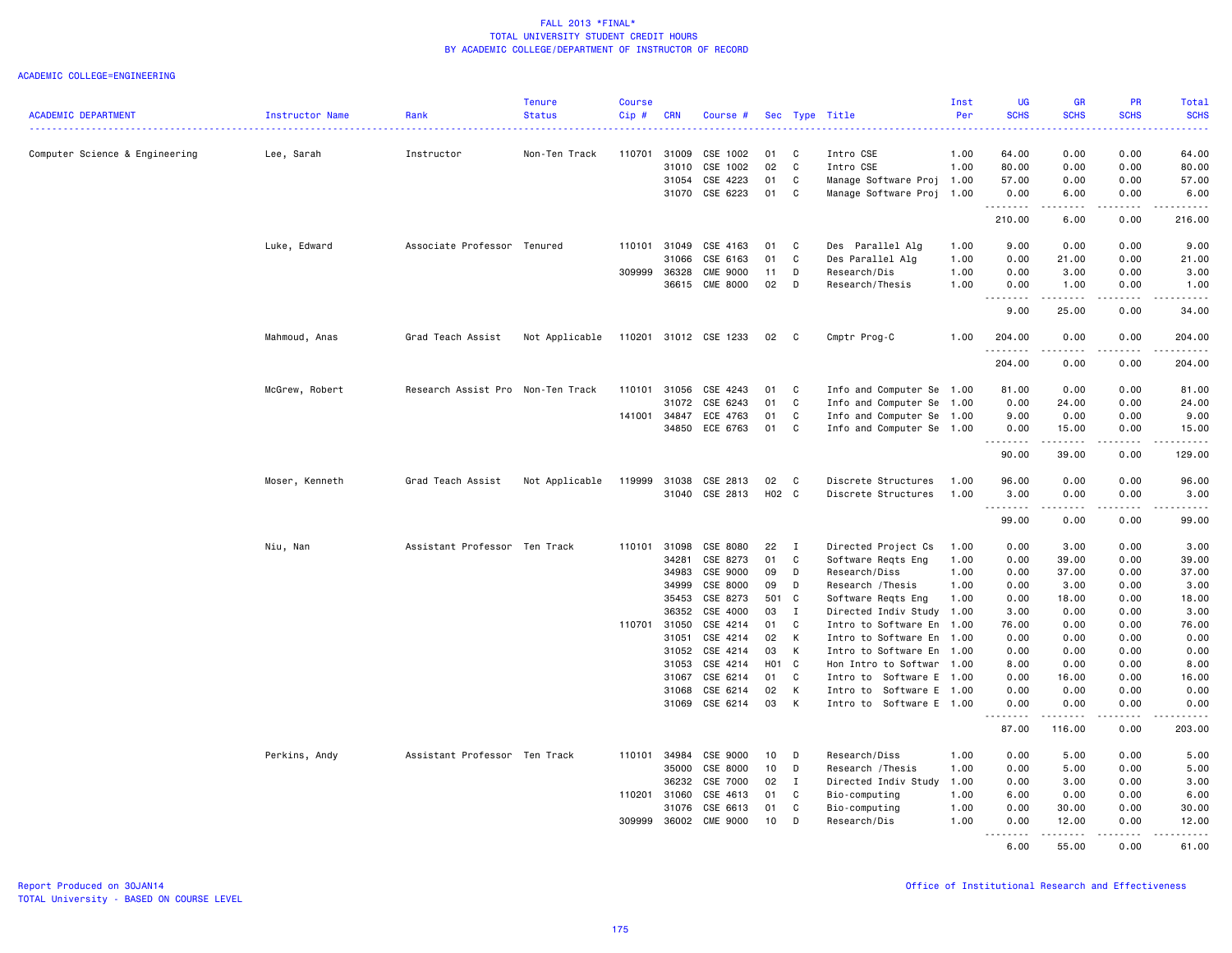|                                |                 |                                   | <b>Tenure</b>  | <b>Course</b> |                |                       |          |              |                                                   | Inst | UG                  | GR                                                                                                                                                             | <b>PR</b>        | Total                     |
|--------------------------------|-----------------|-----------------------------------|----------------|---------------|----------------|-----------------------|----------|--------------|---------------------------------------------------|------|---------------------|----------------------------------------------------------------------------------------------------------------------------------------------------------------|------------------|---------------------------|
| <b>ACADEMIC DEPARTMENT</b>     | Instructor Name | Rank                              | <b>Status</b>  | Cip#          | <b>CRN</b>     | Course #              |          |              | Sec Type Title                                    | Per  | <b>SCHS</b>         | <b>SCHS</b>                                                                                                                                                    | <b>SCHS</b>      | <b>SCHS</b><br>. <b>.</b> |
|                                |                 |                                   |                |               |                |                       |          |              |                                                   |      |                     |                                                                                                                                                                |                  |                           |
| Computer Science & Engineering | Lee, Sarah      | Instructor                        | Non-Ten Track  | 110701        | 31009          | CSE 1002              | 01       | C            | Intro CSE                                         | 1.00 | 64.00               | 0.00                                                                                                                                                           | 0.00             | 64.00                     |
|                                |                 |                                   |                |               | 31010          | CSE 1002              | 02       | C            | Intro CSE                                         | 1.00 | 80.00               | 0.00                                                                                                                                                           | 0.00             | 80.00                     |
|                                |                 |                                   |                |               | 31054          | CSE 4223              | 01       | C            | Manage Software Proj                              | 1.00 | 57.00               | 0.00                                                                                                                                                           | 0.00             | 57.00                     |
|                                |                 |                                   |                |               | 31070          | CSE 6223              | 01       | C            | Manage Software Proj                              | 1.00 | 0.00<br><u>.</u>    | 6.00<br>.                                                                                                                                                      | 0.00<br>.        | 6.00<br>.                 |
|                                |                 |                                   |                |               |                |                       |          |              |                                                   |      | 210.00              | 6.00                                                                                                                                                           | 0.00             | 216.00                    |
|                                | Luke, Edward    | Associate Professor Tenured       |                | 110101        | 31049          | CSE 4163              | 01       | C            | Des Parallel Alg                                  | 1.00 | 9.00                | 0.00                                                                                                                                                           | 0.00             | 9.00                      |
|                                |                 |                                   |                |               | 31066          | CSE 6163              | 01       | C            | Des Parallel Alg                                  | 1.00 | 0.00                | 21.00                                                                                                                                                          | 0.00             | 21.00                     |
|                                |                 |                                   |                | 309999        | 36328          | <b>CME 9000</b>       | 11       | D            | Research/Dis                                      | 1.00 | 0.00                | 3.00                                                                                                                                                           | 0.00             | 3.00                      |
|                                |                 |                                   |                |               | 36615          | <b>CME 8000</b>       | 02       | D            | Research/Thesis                                   | 1.00 | 0.00<br>.           | 1.00<br>.                                                                                                                                                      | 0.00<br>.        | 1.00<br>.                 |
|                                |                 |                                   |                |               |                |                       |          |              |                                                   |      | 9.00                | 25.00                                                                                                                                                          | 0.00             | 34.00                     |
|                                | Mahmoud, Anas   | Grad Teach Assist                 | Not Applicable |               |                | 110201 31012 CSE 1233 | 02       | $\mathbf{C}$ | Cmptr Prog-C                                      | 1.00 | 204.00<br><u>.</u>  | 0.00                                                                                                                                                           | 0.00<br>.        | 204.00<br>.               |
|                                |                 |                                   |                |               |                |                       |          |              |                                                   |      | 204.00              | 0.00                                                                                                                                                           | 0.00             | 204.00                    |
|                                | McGrew, Robert  | Research Assist Pro Non-Ten Track |                |               | 110101 31056   | CSE 4243              | 01       | C            | Info and Computer Se 1.00                         |      | 81.00               | 0.00                                                                                                                                                           | 0.00             | 81.00                     |
|                                |                 |                                   |                |               | 31072          | CSE 6243              | 01       | C            | Info and Computer Se                              | 1.00 | 0.00                | 24.00                                                                                                                                                          | 0.00             | 24.00                     |
|                                |                 |                                   |                | 141001        | 34847          | ECE 4763              | 01       | C            | Info and Computer Se                              | 1.00 | 9.00                | 0.00                                                                                                                                                           | 0.00             | 9.00                      |
|                                |                 |                                   |                |               | 34850          | ECE 6763              | 01       | C            | Info and Computer Se 1.00                         |      | 0.00<br>. <b>.</b>  | 15.00<br>.                                                                                                                                                     | 0.00<br>.        | 15.00<br>------           |
|                                |                 |                                   |                |               |                |                       |          |              |                                                   |      | 90.00               | 39.00                                                                                                                                                          | 0.00             | 129.00                    |
|                                | Moser, Kenneth  | Grad Teach Assist                 | Not Applicable | 119999        | 31038          | CSE 2813              | 02       | C            | Discrete Structures                               | 1.00 | 96.00               | 0.00                                                                                                                                                           | 0.00             | 96.00                     |
|                                |                 |                                   |                |               |                | 31040 CSE 2813        | H02 C    |              | Discrete Structures                               | 1.00 | 3.00<br>.           | 0.00<br>د د د د                                                                                                                                                | 0.00<br>.        | 3.00<br>.                 |
|                                |                 |                                   |                |               |                |                       |          |              |                                                   |      | 99.00               | 0.00                                                                                                                                                           | 0.00             | 99.00                     |
|                                | Niu, Nan        | Assistant Professor Ten Track     |                | 110101        | 31098          | CSE 8080              | 22       | $\mathbf{I}$ | Directed Project Cs                               | 1.00 | 0.00                | 3.00                                                                                                                                                           | 0.00             | 3.00                      |
|                                |                 |                                   |                |               | 34281          | CSE 8273              | 01       | C            | Software Reqts Eng                                | 1.00 | 0.00                | 39.00                                                                                                                                                          | 0.00             | 39.00                     |
|                                |                 |                                   |                |               | 34983          | CSE 9000              | 09       | D            | Research/Diss                                     | 1.00 | 0.00                | 37.00                                                                                                                                                          | 0.00             | 37.00                     |
|                                |                 |                                   |                |               | 34999          | CSE 8000              | 09       | D            | Research / Thesis                                 | 1.00 | 0.00                | 3.00                                                                                                                                                           | 0.00             | 3.00                      |
|                                |                 |                                   |                |               | 35453          | CSE 8273              | 501 C    |              | Software Reqts Eng                                | 1.00 | 0.00                | 18.00                                                                                                                                                          | 0.00             | 18.00                     |
|                                |                 |                                   |                |               | 36352          | CSE 4000              | 03       | I            | Directed Indiv Study 1.00                         |      | 3.00                | 0.00                                                                                                                                                           | 0.00             | 3.00                      |
|                                |                 |                                   |                | 110701 31050  |                | CSE 4214              | 01       | $\mathbf{C}$ | Intro to Software En                              | 1.00 | 76.00               | 0.00                                                                                                                                                           | 0.00             | 76.00                     |
|                                |                 |                                   |                |               | 31051<br>31052 | CSE 4214<br>CSE 4214  | 02<br>03 | K<br>К       | Intro to Software En                              | 1.00 | 0.00                | 0.00                                                                                                                                                           | 0.00             | 0.00                      |
|                                |                 |                                   |                |               | 31053          | CSE 4214              | H01 C    |              | Intro to Software En<br>Hon Intro to Softwar 1.00 | 1.00 | 0.00<br>8.00        | 0.00<br>0.00                                                                                                                                                   | 0.00<br>0.00     | 0.00<br>8.00              |
|                                |                 |                                   |                |               | 31067          | CSE 6214              | 01       | C            | Intro to Software E 1.00                          |      | 0.00                | 16.00                                                                                                                                                          | 0.00             | 16.00                     |
|                                |                 |                                   |                |               | 31068          | CSE 6214              | 02       | K            | Intro to Software E 1.00                          |      | 0.00                | 0.00                                                                                                                                                           | 0.00             | 0.00                      |
|                                |                 |                                   |                |               | 31069          | CSE 6214              | 03       | K            | Intro to Software E 1.00                          |      | 0.00                | 0.00                                                                                                                                                           | 0.00             | 0.00                      |
|                                |                 |                                   |                |               |                |                       |          |              |                                                   |      | .<br>$  -$<br>87.00 | $\frac{1}{2} \left( \frac{1}{2} \right) \left( \frac{1}{2} \right) \left( \frac{1}{2} \right) \left( \frac{1}{2} \right) \left( \frac{1}{2} \right)$<br>116.00 | .<br>0.00        | .<br>203.00               |
|                                | Perkins, Andy   | Assistant Professor Ten Track     |                | 110101        | 34984          | CSE 9000              | 10       | D            | Research/Diss                                     | 1.00 | 0.00                | 5.00                                                                                                                                                           | 0.00             | 5.00                      |
|                                |                 |                                   |                |               | 35000          | CSE 8000              | 10       | D            | Research / Thesis                                 | 1.00 | 0.00                | 5.00                                                                                                                                                           | 0.00             | 5.00                      |
|                                |                 |                                   |                |               | 36232          | CSE 7000              | 02       | $\mathbf{I}$ | Directed Indiv Study                              | 1.00 | 0.00                | 3.00                                                                                                                                                           | 0.00             | 3.00                      |
|                                |                 |                                   |                |               | 110201 31060   | CSE 4613              | 01       | C            | Bio-computing                                     | 1.00 | 6.00                | 0.00                                                                                                                                                           | 0.00             | 6.00                      |
|                                |                 |                                   |                |               | 31076          | CSE 6613              | 01       | C            | Bio-computing                                     | 1.00 | 0.00                | 30.00                                                                                                                                                          | 0.00             | 30.00                     |
|                                |                 |                                   |                | 309999        | 36002          | <b>CME 9000</b>       | 10       | D            | Research/Dis                                      | 1.00 | 0.00                | 12.00                                                                                                                                                          | 0.00             | 12.00                     |
|                                |                 |                                   |                |               |                |                       |          |              |                                                   |      | 6.00                | .<br>55.00                                                                                                                                                     | <u>.</u><br>0.00 | .<br>61.00                |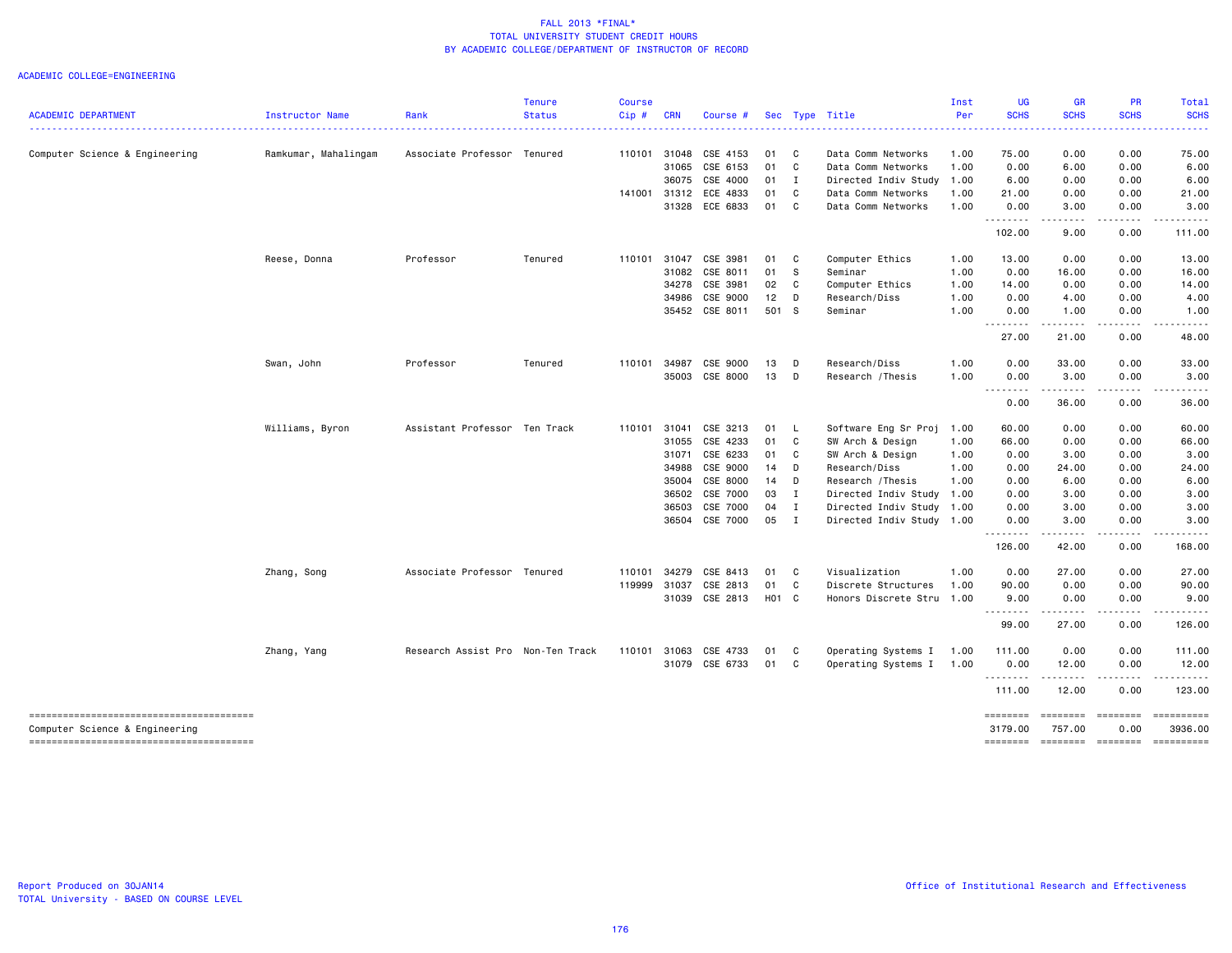|                                |                      | Rank                              | <b>Tenure</b> | <b>Course</b> | <b>CRN</b>   |                |        |                |                           | Inst | UG                                                                                                                                                                                                                                                                                                                                                                                                                                                                                             | <b>GR</b><br><b>SCHS</b>                                                                                                                             | PR<br><b>SCHS</b>                                                                                                                                                                       | <b>Total</b><br><b>SCHS</b> |
|--------------------------------|----------------------|-----------------------------------|---------------|---------------|--------------|----------------|--------|----------------|---------------------------|------|------------------------------------------------------------------------------------------------------------------------------------------------------------------------------------------------------------------------------------------------------------------------------------------------------------------------------------------------------------------------------------------------------------------------------------------------------------------------------------------------|------------------------------------------------------------------------------------------------------------------------------------------------------|-----------------------------------------------------------------------------------------------------------------------------------------------------------------------------------------|-----------------------------|
| <b>ACADEMIC DEPARTMENT</b>     | Instructor Name      |                                   | <b>Status</b> | Cip#          |              | Course #       |        |                | Sec Type Title            | Per  | <b>SCHS</b>                                                                                                                                                                                                                                                                                                                                                                                                                                                                                    | $\frac{1}{2} \left( \frac{1}{2} \right) \left( \frac{1}{2} \right) \left( \frac{1}{2} \right) \left( \frac{1}{2} \right) \left( \frac{1}{2} \right)$ |                                                                                                                                                                                         |                             |
| Computer Science & Engineering | Ramkumar, Mahalingam | Associate Professor Tenured       |               |               | 110101 31048 | CSE 4153       | 01 C   |                | Data Comm Networks        | 1.00 | 75.00                                                                                                                                                                                                                                                                                                                                                                                                                                                                                          | 0.00                                                                                                                                                 | 0.00                                                                                                                                                                                    | 75.00                       |
|                                |                      |                                   |               |               |              | 31065 CSE 6153 | 01 C   |                | Data Comm Networks        | 1.00 | 0.00                                                                                                                                                                                                                                                                                                                                                                                                                                                                                           | 6.00                                                                                                                                                 | 0.00                                                                                                                                                                                    | 6.00                        |
|                                |                      |                                   |               |               | 36075        | CSE 4000       | $01$ I |                | Directed Indiv Study      | 1.00 | 6.00                                                                                                                                                                                                                                                                                                                                                                                                                                                                                           | 0.00                                                                                                                                                 | 0.00                                                                                                                                                                                    | 6.00                        |
|                                |                      |                                   |               | 141001        | 31312        | ECE 4833       | 01     | $\mathbf{C}$   | Data Comm Networks        | 1.00 | 21.00                                                                                                                                                                                                                                                                                                                                                                                                                                                                                          | 0.00                                                                                                                                                 | 0.00                                                                                                                                                                                    | 21.00                       |
|                                |                      |                                   |               |               |              | 31328 ECE 6833 | 01 C   |                | Data Comm Networks        | 1.00 | 0.00<br>.                                                                                                                                                                                                                                                                                                                                                                                                                                                                                      | 3.00<br>.                                                                                                                                            | 0.00                                                                                                                                                                                    | 3.00                        |
|                                |                      |                                   |               |               |              |                |        |                |                           |      | 102.00                                                                                                                                                                                                                                                                                                                                                                                                                                                                                         | 9.00                                                                                                                                                 | 0.00                                                                                                                                                                                    | 111.00                      |
|                                | Reese, Donna         | Professor                         | Tenured       | 110101        | 31047        | CSE 3981       | 01 C   |                | Computer Ethics           | 1.00 | 13.00                                                                                                                                                                                                                                                                                                                                                                                                                                                                                          | 0.00                                                                                                                                                 | 0.00                                                                                                                                                                                    | 13.00                       |
|                                |                      |                                   |               |               | 31082        | CSE 8011       | 01     | <b>S</b>       | Seminar                   | 1.00 | 0.00                                                                                                                                                                                                                                                                                                                                                                                                                                                                                           | 16.00                                                                                                                                                | 0.00                                                                                                                                                                                    | 16.00                       |
|                                |                      |                                   |               |               | 34278        | CSE 3981       | 02     | C              | Computer Ethics           | 1.00 | 14.00                                                                                                                                                                                                                                                                                                                                                                                                                                                                                          | 0.00                                                                                                                                                 | 0.00                                                                                                                                                                                    | 14.00                       |
|                                |                      |                                   |               |               | 34986        | CSE 9000       | $12$ D |                | Research/Diss             | 1.00 | 0.00                                                                                                                                                                                                                                                                                                                                                                                                                                                                                           | 4.00                                                                                                                                                 | 0.00                                                                                                                                                                                    | 4.00                        |
|                                |                      |                                   |               |               |              | 35452 CSE 8011 | 501 S  |                | Seminar                   | 1.00 | 0.00<br><u>.</u>                                                                                                                                                                                                                                                                                                                                                                                                                                                                               | 1.00<br>.                                                                                                                                            | 0.00<br>.                                                                                                                                                                               | 1.00                        |
|                                |                      |                                   |               |               |              |                |        |                |                           |      | 27.00                                                                                                                                                                                                                                                                                                                                                                                                                                                                                          | 21.00                                                                                                                                                | 0.00                                                                                                                                                                                    | 48.00                       |
|                                | Swan, John           | Professor                         | Tenured       | 110101        | 34987        | CSE 9000       | 13     | $\Box$         | Research/Diss             | 1.00 | 0.00                                                                                                                                                                                                                                                                                                                                                                                                                                                                                           | 33.00                                                                                                                                                | 0.00                                                                                                                                                                                    | 33.00                       |
|                                |                      |                                   |               |               |              | 35003 CSE 8000 | $13$ D |                | Research / Thesis         | 1.00 | 0.00                                                                                                                                                                                                                                                                                                                                                                                                                                                                                           | 3.00                                                                                                                                                 | 0.00                                                                                                                                                                                    | 3.00                        |
|                                |                      |                                   |               |               |              |                |        |                |                           |      | --------<br>0.00                                                                                                                                                                                                                                                                                                                                                                                                                                                                               | .<br>36.00                                                                                                                                           | $\frac{1}{2} \left( \frac{1}{2} \right) \left( \frac{1}{2} \right) \left( \frac{1}{2} \right) \left( \frac{1}{2} \right) \left( \frac{1}{2} \right) \left( \frac{1}{2} \right)$<br>0.00 | .<br>36.00                  |
|                                | Williams, Byron      | Assistant Professor Ten Track     |               | 110101        | 31041        | CSE 3213       | 01 L   |                | Software Eng Sr Proj 1.00 |      | 60.00                                                                                                                                                                                                                                                                                                                                                                                                                                                                                          | 0.00                                                                                                                                                 | 0.00                                                                                                                                                                                    | 60.00                       |
|                                |                      |                                   |               |               | 31055        | CSE 4233       | 01     | $\mathbf{C}$   | SW Arch & Design          | 1.00 | 66.00                                                                                                                                                                                                                                                                                                                                                                                                                                                                                          | 0.00                                                                                                                                                 | 0.00                                                                                                                                                                                    | 66.00                       |
|                                |                      |                                   |               |               | 31071        | CSE 6233       | 01 C   |                | SW Arch & Design          | 1.00 | 0.00                                                                                                                                                                                                                                                                                                                                                                                                                                                                                           | 3.00                                                                                                                                                 | 0.00                                                                                                                                                                                    | 3.00                        |
|                                |                      |                                   |               |               | 34988        | CSE 9000       | $14$ D |                | Research/Diss             | 1.00 | 0.00                                                                                                                                                                                                                                                                                                                                                                                                                                                                                           | 24.00                                                                                                                                                | 0.00                                                                                                                                                                                    | 24.00                       |
|                                |                      |                                   |               |               | 35004        | CSE 8000       | $14$ D |                | Research / Thesis         | 1.00 | 0.00                                                                                                                                                                                                                                                                                                                                                                                                                                                                                           | 6.00                                                                                                                                                 | 0.00                                                                                                                                                                                    | 6.00                        |
|                                |                      |                                   |               |               |              | 36502 CSE 7000 | 03 I   |                | Directed Indiv Study      | 1.00 | 0.00                                                                                                                                                                                                                                                                                                                                                                                                                                                                                           | 3.00                                                                                                                                                 | 0.00                                                                                                                                                                                    | 3.00                        |
|                                |                      |                                   |               |               | 36503        | CSE 7000       | 04     | $\blacksquare$ | Directed Indiv Study      | 1.00 | 0.00                                                                                                                                                                                                                                                                                                                                                                                                                                                                                           | 3.00                                                                                                                                                 | 0.00                                                                                                                                                                                    | 3.00                        |
|                                |                      |                                   |               |               |              | 36504 CSE 7000 | 05 I   |                | Directed Indiv Study 1.00 |      | 0.00                                                                                                                                                                                                                                                                                                                                                                                                                                                                                           | 3.00                                                                                                                                                 | 0.00                                                                                                                                                                                    | 3.00                        |
|                                |                      |                                   |               |               |              |                |        |                |                           |      | .<br>126.00                                                                                                                                                                                                                                                                                                                                                                                                                                                                                    | .<br>42.00                                                                                                                                           | $\frac{1}{2} \left( \frac{1}{2} \right) \left( \frac{1}{2} \right) \left( \frac{1}{2} \right) \left( \frac{1}{2} \right) \left( \frac{1}{2} \right)$<br>0.00                            | 168.00                      |
|                                | Zhang, Song          | Associate Professor Tenured       |               | 110101        | 34279        | CSE 8413       | 01 C   |                | Visualization             | 1.00 | 0.00                                                                                                                                                                                                                                                                                                                                                                                                                                                                                           | 27.00                                                                                                                                                | 0.00                                                                                                                                                                                    | 27.00                       |
|                                |                      |                                   |               | 119999        | 31037        | CSE 2813       | 01 C   |                | Discrete Structures       | 1.00 | 90.00                                                                                                                                                                                                                                                                                                                                                                                                                                                                                          | 0.00                                                                                                                                                 | 0.00                                                                                                                                                                                    | 90.00                       |
|                                |                      |                                   |               |               |              | 31039 CSE 2813 | H01 C  |                | Honors Discrete Stru      | 1.00 | 9.00<br>$\begin{array}{cccccccccccccc} \multicolumn{2}{c}{} & \multicolumn{2}{c}{} & \multicolumn{2}{c}{} & \multicolumn{2}{c}{} & \multicolumn{2}{c}{} & \multicolumn{2}{c}{} & \multicolumn{2}{c}{} & \multicolumn{2}{c}{} & \multicolumn{2}{c}{} & \multicolumn{2}{c}{} & \multicolumn{2}{c}{} & \multicolumn{2}{c}{} & \multicolumn{2}{c}{} & \multicolumn{2}{c}{} & \multicolumn{2}{c}{} & \multicolumn{2}{c}{} & \multicolumn{2}{c}{} & \multicolumn{2}{c}{} & \multicolumn{2}{c}{} & \$ | 0.00<br>------                                                                                                                                       | 0.00<br>$\frac{1}{2} \left( \frac{1}{2} \right) \left( \frac{1}{2} \right) \left( \frac{1}{2} \right) \left( \frac{1}{2} \right) \left( \frac{1}{2} \right)$                            | 9.00<br>.                   |
|                                |                      |                                   |               |               |              |                |        |                |                           |      | 99.00                                                                                                                                                                                                                                                                                                                                                                                                                                                                                          | 27.00                                                                                                                                                | 0.00                                                                                                                                                                                    | 126.00                      |
|                                | Zhang, Yang          | Research Assist Pro Non-Ten Track |               | 110101        | 31063        | CSE 4733       | 01 C   |                | Operating Systems I       | 1.00 | 111.00                                                                                                                                                                                                                                                                                                                                                                                                                                                                                         | 0.00                                                                                                                                                 | 0.00                                                                                                                                                                                    | 111.00                      |
|                                |                      |                                   |               |               |              | 31079 CSE 6733 | 01 C   |                | Operating Systems I       | 1.00 | 0.00<br>.                                                                                                                                                                                                                                                                                                                                                                                                                                                                                      | 12.00<br>.                                                                                                                                           | 0.00<br>$\frac{1}{2} \left( \frac{1}{2} \right) \left( \frac{1}{2} \right) \left( \frac{1}{2} \right) \left( \frac{1}{2} \right) \left( \frac{1}{2} \right)$                            | 12.00<br>.                  |
|                                |                      |                                   |               |               |              |                |        |                |                           |      | 111.00                                                                                                                                                                                                                                                                                                                                                                                                                                                                                         | 12.00                                                                                                                                                | 0.00                                                                                                                                                                                    | 123.00                      |
| Computer Science & Engineering |                      |                                   |               |               |              |                |        |                |                           |      | ========<br>3179.00                                                                                                                                                                                                                                                                                                                                                                                                                                                                            | ========<br>757.00                                                                                                                                   | --------- ---------<br>0.00                                                                                                                                                             | 3936.00                     |
|                                |                      |                                   |               |               |              |                |        |                |                           |      | ========                                                                                                                                                                                                                                                                                                                                                                                                                                                                                       | $= 222222222$                                                                                                                                        | $=$ ========                                                                                                                                                                            | -222222222                  |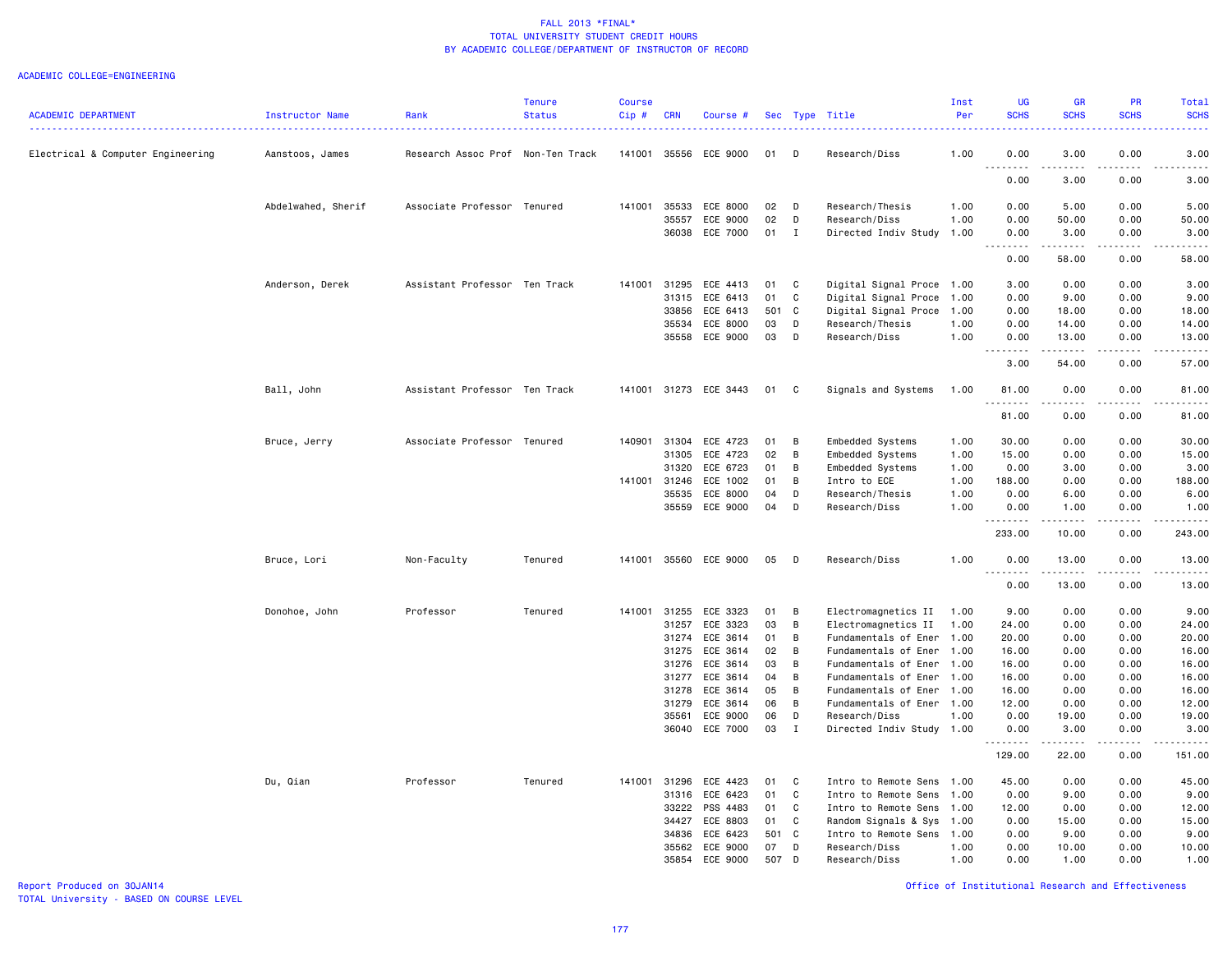### ACADEMIC COLLEGE=ENGINEERING

| <b>ACADEMIC DEPARTMENT</b>        | Instructor Name    | Rank                              | Tenure<br><b>Status</b> | <b>Course</b><br>Cip# | <b>CRN</b>   | Course #              |        |                | Sec Type Title            | Inst<br>Per | <b>UG</b><br><b>SCHS</b>                                                                                                           | <b>GR</b><br><b>SCHS</b> | <b>PR</b><br><b>SCHS</b> | <b>Total</b><br><b>SCHS</b> |
|-----------------------------------|--------------------|-----------------------------------|-------------------------|-----------------------|--------------|-----------------------|--------|----------------|---------------------------|-------------|------------------------------------------------------------------------------------------------------------------------------------|--------------------------|--------------------------|-----------------------------|
| Electrical & Computer Engineering | Aanstoos, James    | Research Assoc Prof Non-Ten Track |                         | 141001                | 35556        | ECE 9000              | 01     | D              | Research/Diss             | 1.00        | 0.00                                                                                                                               | 3.00                     | 0.00                     | 3.00                        |
|                                   |                    |                                   |                         |                       |              |                       |        |                |                           |             | 0.00                                                                                                                               | 3.00                     | 0.00                     | 3.00                        |
|                                   | Abdelwahed, Sherif | Associate Professor Tenured       |                         | 141001                | 35533        | ECE 8000              | 02     | D              | Research/Thesis           | 1.00        | 0.00                                                                                                                               | 5.00                     | 0.00                     | 5.00                        |
|                                   |                    |                                   |                         |                       | 35557        | ECE 9000              | 02     | D              | Research/Diss             | 1.00        | 0.00                                                                                                                               | 50.00                    | 0.00                     | 50.00                       |
|                                   |                    |                                   |                         |                       | 36038        | ECE 7000              | $01$ I |                | Directed Indiv Study 1.00 |             | 0.00                                                                                                                               | 3.00                     | 0.00                     | 3.00                        |
|                                   |                    |                                   |                         |                       |              |                       |        |                |                           |             | $- - -$<br>$\begin{array}{cccccccccccccc} \bullet & \bullet & \bullet & \bullet & \bullet & \bullet & \bullet \end{array}$<br>0.00 | .<br>58.00               | -----<br>0.00            | .<br>58.00                  |
|                                   | Anderson, Derek    | Assistant Professor Ten Track     |                         |                       | 141001 31295 | ECE 4413              | 01     | $\mathbf{C}$   | Digital Signal Proce 1.00 |             | 3.00                                                                                                                               | 0.00                     | 0.00                     | 3.00                        |
|                                   |                    |                                   |                         |                       | 31315        | ECE 6413              | 01     | C              | Digital Signal Proce      | 1.00        | 0.00                                                                                                                               | 9.00                     | 0.00                     | 9.00                        |
|                                   |                    |                                   |                         |                       | 33856        | ECE 6413              | 501 C  |                | Digital Signal Proce      | 1.00        | 0.00                                                                                                                               | 18.00                    | 0.00                     | 18.00                       |
|                                   |                    |                                   |                         |                       | 35534        | ECE 8000              | 03     | D              | Research/Thesis           | 1.00        | 0.00                                                                                                                               | 14.00                    | 0.00                     | 14.00                       |
|                                   |                    |                                   |                         |                       | 35558        | ECE 9000              | 03     | D              | Research/Diss             | 1.00        | 0.00<br>$- - - - -$                                                                                                                | 13.00<br>.               | 0.00<br><u>.</u>         | 13.00<br>.                  |
|                                   |                    |                                   |                         |                       |              |                       |        |                |                           |             | 3.00                                                                                                                               | 54.00                    | 0.00                     | 57.00                       |
|                                   | Ball, John         | Assistant Professor Ten Track     |                         |                       |              | 141001 31273 ECE 3443 | 01     | $\mathbf{C}$   | Signals and Systems       | 1.00        | 81.00<br>.                                                                                                                         | 0.00<br>.                | 0.00<br>.                | 81.00<br>.                  |
|                                   |                    |                                   |                         |                       |              |                       |        |                |                           |             | 81.00                                                                                                                              | 0.00                     | 0.00                     | 81.00                       |
|                                   | Bruce, Jerry       | Associate Professor Tenured       |                         |                       | 140901 31304 | ECE 4723              | 01     | B              | Embedded Systems          | 1.00        | 30.00                                                                                                                              | 0.00                     | 0.00                     | 30.00                       |
|                                   |                    |                                   |                         |                       | 31305        | ECE 4723              | 02     | B              | Embedded Systems          | 1.00        | 15.00                                                                                                                              | 0.00                     | 0.00                     | 15.00                       |
|                                   |                    |                                   |                         |                       | 31320        | ECE 6723              | 01     | B              | Embedded Systems          | 1.00        | 0.00                                                                                                                               | 3.00                     | 0.00                     | 3.00                        |
|                                   |                    |                                   |                         | 141001                | 31246        | ECE 1002              | 01     | B              | Intro to ECE              | 1.00        | 188.00                                                                                                                             | 0.00                     | 0.00                     | 188.00                      |
|                                   |                    |                                   |                         |                       | 35535        | ECE 8000              | 04     | D              | Research/Thesis           | 1.00        | 0.00                                                                                                                               | 6.00                     | 0.00                     | 6.00                        |
|                                   |                    |                                   |                         |                       | 35559        | ECE 9000              | 04     | D              | Research/Diss             | 1.00        | 0.00<br>. <b>.</b>                                                                                                                 | 1.00                     | 0.00                     | 1.00                        |
|                                   |                    |                                   |                         |                       |              |                       |        |                |                           |             | 233.00                                                                                                                             | 10.00                    | 0.00                     | 243,00                      |
|                                   | Bruce, Lori        | Non-Faculty                       | Tenured                 | 141001                |              | 35560 ECE 9000        | 05     | D              | Research/Diss             | 1.00        | 0.00<br>--------                                                                                                                   | 13.00                    | 0.00<br>.                | 13.00                       |
|                                   |                    |                                   |                         |                       |              |                       |        |                |                           |             | 0.00                                                                                                                               | 13.00                    | 0.00                     | 13.00                       |
|                                   | Donohoe, John      | Professor                         | Tenured                 | 141001                | 31255        | ECE 3323              | 01     | B              | Electromagnetics II       | 1.00        | 9.00                                                                                                                               | 0.00                     | 0.00                     | 9.00                        |
|                                   |                    |                                   |                         |                       | 31257        | ECE 3323              | 03     | B              | Electromagnetics II       | 1.00        | 24.00                                                                                                                              | 0.00                     | 0.00                     | 24.00                       |
|                                   |                    |                                   |                         |                       | 31274        | ECE 3614              | 01     | B              | Fundamentals of Ener      | 1.00        | 20.00                                                                                                                              | 0.00                     | 0.00                     | 20.00                       |
|                                   |                    |                                   |                         |                       | 31275        | ECE 3614              | 02     | B              | Fundamentals of Ener      | 1.00        | 16.00                                                                                                                              | 0.00                     | 0.00                     | 16.00                       |
|                                   |                    |                                   |                         |                       | 31276        | ECE 3614              | 03     | B              | Fundamentals of Ener      | 1.00        | 16.00                                                                                                                              | 0.00                     | 0.00                     | 16.00                       |
|                                   |                    |                                   |                         |                       | 31277        | ECE 3614              | 04     | B              | Fundamentals of Ener 1.00 |             | 16.00                                                                                                                              | 0.00                     | 0.00                     | 16.00                       |
|                                   |                    |                                   |                         |                       | 31278        | ECE 3614              | 05     | B              | Fundamentals of Ener 1.00 |             | 16.00                                                                                                                              | 0.00                     | 0.00                     | 16.00                       |
|                                   |                    |                                   |                         |                       | 31279        | ECE 3614              | 06     | B              | Fundamentals of Ener 1.00 |             | 12.00                                                                                                                              | 0.00                     | 0.00                     | 12.00                       |
|                                   |                    |                                   |                         |                       | 35561        | ECE 9000              | 06     | D              | Research/Diss             | 1.00        | 0.00                                                                                                                               | 19.00                    | 0.00                     | 19.00                       |
|                                   |                    |                                   |                         |                       |              | 36040 ECE 7000        | 03     | $\blacksquare$ | Directed Indiv Study 1.00 |             | 0.00<br>.                                                                                                                          | 3.00<br>.                | 0.00<br>.                | 3.00<br>.                   |
|                                   |                    |                                   |                         |                       |              |                       |        |                |                           |             | 129.00                                                                                                                             | 22.00                    | 0.00                     | 151.00                      |
|                                   | Du, Qian           | Professor                         | Tenured                 | 141001                | 31296        | ECE 4423              | 01     | C              | Intro to Remote Sens      | 1.00        | 45.00                                                                                                                              | 0.00                     | 0.00                     | 45.00                       |
|                                   |                    |                                   |                         |                       | 31316        | ECE 6423              | 01     | C              | Intro to Remote Sens      | 1.00        | 0.00                                                                                                                               | 9.00                     | 0.00                     | 9.00                        |
|                                   |                    |                                   |                         |                       | 33222        | PSS 4483              | 01     | C              | Intro to Remote Sens      | 1.00        | 12.00                                                                                                                              | 0.00                     | 0.00                     | 12.00                       |
|                                   |                    |                                   |                         |                       | 34427        | ECE 8803              | 01     | C              | Random Signals & Sys      | 1.00        | 0.00                                                                                                                               | 15.00                    | 0.00                     | 15.00                       |
|                                   |                    |                                   |                         |                       | 34836        | ECE 6423              | 501 C  |                | Intro to Remote Sens      | 1.00        | 0.00                                                                                                                               | 9.00                     | 0.00                     | 9.00                        |
|                                   |                    |                                   |                         |                       | 35562        | ECE 9000              | 07     | D              | Research/Diss             | 1.00        | 0.00                                                                                                                               | 10.00                    | 0.00                     | 10.00                       |
|                                   |                    |                                   |                         |                       | 35854        | ECE 9000              | 507 D  |                | Research/Diss             | 1.00        | 0.00                                                                                                                               | 1.00                     | 0.00                     | 1.00                        |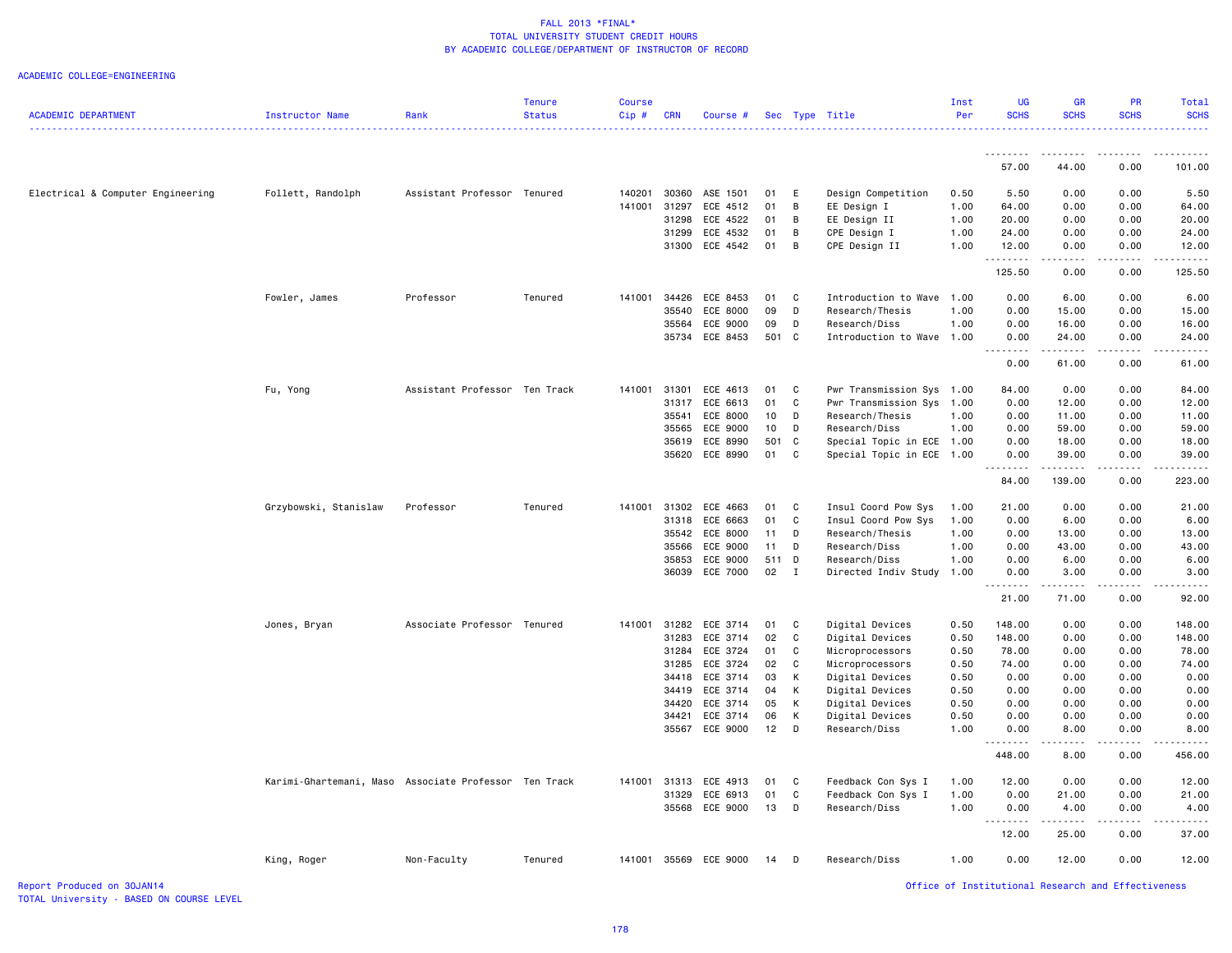### ACADEMIC COLLEGE=ENGINEERING

| <b>ACADEMIC DEPARTMENT</b>        | Instructor Name                                       | Rank                          | <b>Tenure</b><br><b>Status</b> | Course<br>Cip# | <b>CRN</b>     | Course #              |             |                | Sec Type Title                     | Inst<br>Per  | <b>UG</b><br><b>SCHS</b> | <b>GR</b><br><b>SCHS</b>                                                                                                                                      | PR<br><b>SCHS</b> | Total<br><b>SCHS</b> |
|-----------------------------------|-------------------------------------------------------|-------------------------------|--------------------------------|----------------|----------------|-----------------------|-------------|----------------|------------------------------------|--------------|--------------------------|---------------------------------------------------------------------------------------------------------------------------------------------------------------|-------------------|----------------------|
|                                   |                                                       |                               |                                |                |                |                       |             |                |                                    |              |                          |                                                                                                                                                               |                   |                      |
|                                   |                                                       |                               |                                |                |                |                       |             |                |                                    |              | . <b>.</b><br>57.00      | --------<br>44.00                                                                                                                                             | -----<br>0.00     | 101.00               |
| Electrical & Computer Engineering | Follett, Randolph                                     | Assistant Professor Tenured   |                                | 140201         | 30360          | ASE 1501              | 01          | E              | Design Competition                 | 0.50         | 5.50                     | 0.00                                                                                                                                                          | 0.00              | 5.50                 |
|                                   |                                                       |                               |                                | 141001         | 31297          | ECE 4512              | 01          | B              | EE Design I                        | 1.00         | 64.00                    | 0.00                                                                                                                                                          | 0.00              | 64.00                |
|                                   |                                                       |                               |                                |                | 31298          | ECE 4522              | 01          | B              | EE Design II                       | 1.00         | 20.00                    | 0.00                                                                                                                                                          | 0.00              | 20.00                |
|                                   |                                                       |                               |                                |                |                | 31299 ECE 4532        | 01          | B              | CPE Design I                       | 1.00         | 24.00                    | 0.00                                                                                                                                                          | 0.00              | 24.00                |
|                                   |                                                       |                               |                                |                |                | 31300 ECE 4542        | 01          | $\overline{B}$ | CPE Design II                      | 1.00         | 12.00<br>.               | 0.00<br>.                                                                                                                                                     | 0.00<br>.         | 12.00<br>.           |
|                                   |                                                       |                               |                                |                |                |                       |             |                |                                    |              | 125.50                   | 0.00                                                                                                                                                          | 0.00              | 125.50               |
|                                   | Fowler, James                                         | Professor                     | Tenured                        | 141001         | 34426          | ECE 8453              | 01          | <b>C</b>       | Introduction to Wave               | 1.00         | 0.00                     | 6.00                                                                                                                                                          | 0.00              | 6.00                 |
|                                   |                                                       |                               |                                |                | 35540          | ECE 8000              | 09          | D              | Research/Thesis                    | 1.00         | 0.00                     | 15.00                                                                                                                                                         | 0.00              | 15.00                |
|                                   |                                                       |                               |                                |                | 35564          | ECE 9000              | 09          | D              | Research/Diss                      | 1.00         | 0.00                     | 16.00                                                                                                                                                         | 0.00              | 16.00                |
|                                   |                                                       |                               |                                |                |                | 35734 ECE 8453        | 501 C       |                | Introduction to Wave 1.00          |              | 0.00<br>.                | 24.00<br><u>.</u>                                                                                                                                             | 0.00<br>.         | 24.00<br>.           |
|                                   |                                                       |                               |                                |                |                |                       |             |                |                                    |              | 0.00                     | 61.00                                                                                                                                                         | 0.00              | 61.00                |
|                                   | Fu, Yong                                              | Assistant Professor Ten Track |                                | 141001         | 31301          | ECE 4613              | 01          | C              | Pwr Transmission Sys 1.00          |              | 84.00                    | 0.00                                                                                                                                                          | 0.00              | 84.00                |
|                                   |                                                       |                               |                                |                | 31317          | ECE 6613              | 01          | C              | Pwr Transmission Sys               | 1.00         | 0.00                     | 12.00                                                                                                                                                         | 0.00              | 12.00                |
|                                   |                                                       |                               |                                |                | 35541          | ECE 8000              | 10          | D              | Research/Thesis                    | 1.00         | 0.00                     | 11.00                                                                                                                                                         | 0.00              | 11.00                |
|                                   |                                                       |                               |                                |                | 35565          | ECE 9000              | 10          | D              | Research/Diss                      | 1.00         | 0.00                     | 59.00                                                                                                                                                         | 0.00              | 59.00                |
|                                   |                                                       |                               |                                |                | 35619          | ECE 8990              | 501 C       |                | Special Topic in ECE 1.00          |              | 0.00                     | 18.00                                                                                                                                                         | 0.00              | 18.00                |
|                                   |                                                       |                               |                                |                |                | 35620 ECE 8990        | 01 C        |                | Special Topic in ECE 1.00          |              | 0.00<br>.                | 39.00<br>.                                                                                                                                                    | 0.00              | 39.00                |
|                                   |                                                       |                               |                                |                |                |                       |             |                |                                    |              | 84.00                    | 139.00                                                                                                                                                        | 0.00              | 223.00               |
|                                   | Grzybowski, Stanislaw                                 | Professor                     | Tenured                        |                |                | 141001 31302 ECE 4663 | 01          | $\mathbf{C}$   | Insul Coord Pow Sys                | 1.00         | 21.00                    | 0.00                                                                                                                                                          | 0.00              | 21.00                |
|                                   |                                                       |                               |                                |                | 31318          | ECE 6663              | 01          | C)             | Insul Coord Pow Sys                | 1.00         | 0.00                     | 6.00                                                                                                                                                          | 0.00              | 6.00                 |
|                                   |                                                       |                               |                                |                | 35542          | ECE 8000              | $11$ D      |                | Research/Thesis                    | 1.00         | 0.00                     | 13.00                                                                                                                                                         | 0.00              | 13.00                |
|                                   |                                                       |                               |                                |                | 35566<br>35853 | ECE 9000<br>ECE 9000  | 11<br>511 D | D              | Research/Diss<br>Research/Diss     | 1.00<br>1.00 | 0.00<br>0.00             | 43.00<br>6.00                                                                                                                                                 | 0.00<br>0.00      | 43.00<br>6.00        |
|                                   |                                                       |                               |                                |                |                | 36039 ECE 7000        | 02          | $\mathbf{I}$   | Directed Indiv Study               | 1.00         | 0.00                     | 3.00                                                                                                                                                          | 0.00              | 3.00                 |
|                                   |                                                       |                               |                                |                |                |                       |             |                |                                    |              | .<br>21.00               | $\frac{1}{2} \left( \frac{1}{2} \right) \left( \frac{1}{2} \right) \left( \frac{1}{2} \right) \left( \frac{1}{2} \right) \left( \frac{1}{2} \right)$<br>71.00 | .<br>0.00         | .<br>92.00           |
|                                   | Jones, Bryan                                          | Associate Professor Tenured   |                                | 141001         | 31282          | ECE 3714              | 01          | $\mathbf{C}$   | Digital Devices                    | 0.50         | 148.00                   | 0.00                                                                                                                                                          | 0.00              | 148.00               |
|                                   |                                                       |                               |                                |                | 31283          | ECE 3714              | 02          | C              | Digital Devices                    | 0.50         | 148.00                   | 0.00                                                                                                                                                          | 0.00              | 148.00               |
|                                   |                                                       |                               |                                |                | 31284          | ECE 3724              | 01          | C              | Microprocessors                    | 0.50         | 78.00                    | 0.00                                                                                                                                                          | 0.00              | 78.00                |
|                                   |                                                       |                               |                                |                | 31285          | ECE 3724              | 02          | C)             | Microprocessors                    | 0.50         | 74.00                    | 0.00                                                                                                                                                          | 0.00              | 74.00                |
|                                   |                                                       |                               |                                |                | 34418          | ECE 3714              | 03          | K              | Digital Devices                    | 0.50         | 0.00                     | 0.00                                                                                                                                                          | 0.00              | 0.00                 |
|                                   |                                                       |                               |                                |                | 34419          | ECE 3714              | 04          | K              | Digital Devices                    | 0.50         | 0.00                     | 0.00                                                                                                                                                          | 0.00              | 0.00                 |
|                                   |                                                       |                               |                                |                | 34420          | ECE 3714<br>ECE 3714  | 05<br>06    | K<br>K         | Digital Devices<br>Digital Devices | 0.50<br>0.50 | 0.00<br>0.00             | 0.00<br>0.00                                                                                                                                                  | 0.00<br>0.00      | 0.00<br>0.00         |
|                                   |                                                       |                               |                                |                | 34421          | 35567 ECE 9000        | 12          | D              | Research/Diss                      | 1.00         | 0.00                     | 8.00                                                                                                                                                          | 0.00              | 8.00                 |
|                                   |                                                       |                               |                                |                |                |                       |             |                |                                    |              | .                        | .                                                                                                                                                             | <u>.</u>          | .                    |
|                                   |                                                       |                               |                                |                |                |                       |             |                |                                    |              | 448.00                   | 8.00                                                                                                                                                          | 0.00              | 456.00               |
|                                   | Karimi-Ghartemani, Maso Associate Professor Ten Track |                               |                                |                |                | 141001 31313 ECE 4913 | 01          | <b>C</b>       | Feedback Con Sys I                 | 1.00         | 12.00                    | 0.00                                                                                                                                                          | 0.00              | 12.00                |
|                                   |                                                       |                               |                                |                | 31329          | ECE 6913              | 01          | C              | Feedback Con Sys I                 | 1.00         | 0.00                     | 21.00                                                                                                                                                         | 0.00              | 21.00                |
|                                   |                                                       |                               |                                |                |                | 35568 ECE 9000        | 13          | D              | Research/Diss                      | 1.00         | 0.00                     | 4.00                                                                                                                                                          | 0.00              | 4.00                 |
|                                   |                                                       |                               |                                |                |                |                       |             |                |                                    |              | 12.00                    | 25.00                                                                                                                                                         | 0.00              | 37.00                |
|                                   | King, Roger                                           | Non-Faculty                   | Tenured                        |                |                | 141001 35569 ECE 9000 | 14          | D              | Research/Diss                      | 1.00         | 0.00                     | 12.00                                                                                                                                                         | 0.00              | 12.00                |

TOTAL University - BASED ON COURSE LEVEL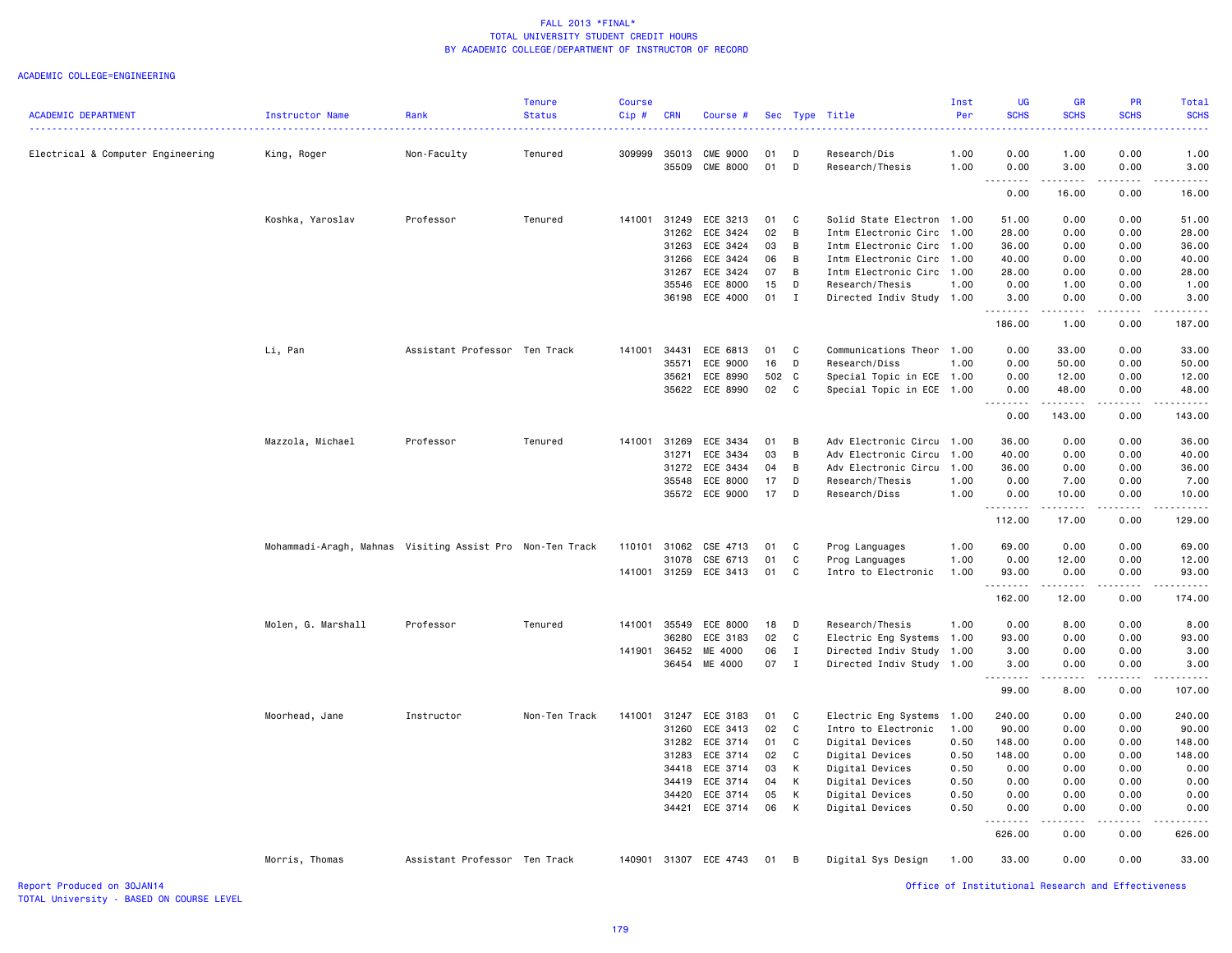### ACADEMIC COLLEGE=ENGINEERING

|                                   |                                                           |                               | <b>Tenure</b> | <b>Course</b> |            |                       |       |              |                           | Inst | <b>UG</b>   | <b>GR</b>                                                                                                                                                     | PR               | Total               |
|-----------------------------------|-----------------------------------------------------------|-------------------------------|---------------|---------------|------------|-----------------------|-------|--------------|---------------------------|------|-------------|---------------------------------------------------------------------------------------------------------------------------------------------------------------|------------------|---------------------|
| <b>ACADEMIC DEPARTMENT</b>        | Instructor Name                                           | Rank                          | <b>Status</b> | Cip#          | <b>CRN</b> | Course #              |       |              | Sec Type Title            | Per  | <b>SCHS</b> | <b>SCHS</b>                                                                                                                                                   | <b>SCHS</b>      | <b>SCHS</b><br>2222 |
| Electrical & Computer Engineering | King, Roger                                               | Non-Faculty                   | Tenured       | 309999        | 35013      | CME 9000              | 01    | D            | Research/Dis              | 1.00 | 0.00        | 1.00                                                                                                                                                          | 0.00             | 1.00                |
|                                   |                                                           |                               |               |               | 35509      | <b>CME 8000</b>       | 01    | D            | Research/Thesis           | 1.00 | 0.00<br>.   | 3.00                                                                                                                                                          | 0.00             | 3.00                |
|                                   |                                                           |                               |               |               |            |                       |       |              |                           |      | 0.00        | 16.00                                                                                                                                                         | 0.00             | 16.00               |
|                                   | Koshka, Yaroslav                                          | Professor                     | Tenured       | 141001        | 31249      | ECE 3213              | 01    | C            | Solid State Electron      | 1.00 | 51.00       | 0.00                                                                                                                                                          | 0.00             | 51.00               |
|                                   |                                                           |                               |               |               | 31262      | ECE 3424              | 02    | B            | Intm Electronic Circ      | 1.00 | 28.00       | 0.00                                                                                                                                                          | 0.00             | 28.00               |
|                                   |                                                           |                               |               |               | 31263      | ECE 3424              | 03    | B            | Intm Electronic Circ      | 1.00 | 36.00       | 0.00                                                                                                                                                          | 0.00             | 36.00               |
|                                   |                                                           |                               |               |               | 31266      | ECE 3424              | 06    | B            | Intm Electronic Circ      | 1.00 | 40.00       | 0.00                                                                                                                                                          | 0.00             | 40.00               |
|                                   |                                                           |                               |               |               | 31267      | ECE 3424              | 07    | B            | Intm Electronic Circ      | 1.00 | 28.00       | 0.00                                                                                                                                                          | 0.00             | 28.00               |
|                                   |                                                           |                               |               |               | 35546      | ECE 8000              | 15    | D            | Research/Thesis           | 1.00 | 0.00        | 1.00                                                                                                                                                          | 0.00             | 1.00                |
|                                   |                                                           |                               |               |               |            | 36198 ECE 4000        | 01    | $\mathbf I$  | Directed Indiv Study 1.00 |      | 3.00<br>.   | 0.00<br>المتماما                                                                                                                                              | 0.00<br>الأعامات | 3.00                |
|                                   |                                                           |                               |               |               |            |                       |       |              |                           |      | 186.00      | 1.00                                                                                                                                                          | 0.00             | 187.00              |
|                                   | Li, Pan                                                   | Assistant Professor Ten Track |               | 141001        | 34431      | ECE 6813              | 01    | C            | Communications Theor      | 1.00 | 0.00        | 33.00                                                                                                                                                         | 0.00             | 33.00               |
|                                   |                                                           |                               |               |               | 35571      | ECE 9000              | 16    | D            | Research/Diss             | 1.00 | 0.00        | 50.00                                                                                                                                                         | 0.00             | 50.00               |
|                                   |                                                           |                               |               |               | 35621      | ECE 8990              | 502 C |              | Special Topic in ECE 1.00 |      | 0.00        | 12.00                                                                                                                                                         | 0.00             | 12.00               |
|                                   |                                                           |                               |               |               | 35622      | ECE 8990              | 02    | C            | Special Topic in ECE 1.00 |      | 0.00<br>.   | 48.00                                                                                                                                                         | 0.00             | 48.00<br>.          |
|                                   |                                                           |                               |               |               |            |                       |       |              |                           |      | 0.00        | 143.00                                                                                                                                                        | 0.00             | 143.00              |
|                                   | Mazzola, Michael                                          | Professor                     | Tenured       | 141001        | 31269      | ECE 3434              | 01    | B            | Adv Electronic Circu      | 1.00 | 36.00       | 0.00                                                                                                                                                          | 0.00             | 36.00               |
|                                   |                                                           |                               |               |               | 31271      | ECE 3434              | 03    | B            | Adv Electronic Circu      | 1.00 | 40.00       | 0.00                                                                                                                                                          | 0.00             | 40.00               |
|                                   |                                                           |                               |               |               | 31272      | ECE 3434              | 04    | B            | Adv Electronic Circu      | 1.00 | 36.00       | 0.00                                                                                                                                                          | 0.00             | 36.00               |
|                                   |                                                           |                               |               |               | 35548      | ECE 8000              | 17    | D            | Research/Thesis           | 1.00 | 0.00        | 7.00                                                                                                                                                          | 0.00             | 7.00                |
|                                   |                                                           |                               |               |               | 35572      | ECE 9000              | 17    | D            | Research/Diss             | 1.00 | 0.00<br>.   | 10.00<br>$\frac{1}{2} \left( \frac{1}{2} \right) \left( \frac{1}{2} \right) \left( \frac{1}{2} \right) \left( \frac{1}{2} \right) \left( \frac{1}{2} \right)$ | 0.00             | 10.00<br>.          |
|                                   |                                                           |                               |               |               |            |                       |       |              |                           |      | 112.00      | 17.00                                                                                                                                                         | 0.00             | 129.00              |
|                                   | Mohammadi-Aragh, Mahnas Visiting Assist Pro Non-Ten Track |                               |               | 110101        | 31062      | CSE 4713              | 01    | C            | Prog Languages            | 1.00 | 69.00       | 0.00                                                                                                                                                          | 0.00             | 69.00               |
|                                   |                                                           |                               |               |               | 31078      | CSE 6713              | 01    | C            | Prog Languages            | 1.00 | 0.00        | 12.00                                                                                                                                                         | 0.00             | 12.00               |
|                                   |                                                           |                               |               | 141001        | 31259      | ECE 3413              | 01    | C            | Intro to Electronic       | 1.00 | 93.00<br>.  | 0.00<br>.                                                                                                                                                     | 0.00<br>.        | 93.00<br>.          |
|                                   |                                                           |                               |               |               |            |                       |       |              |                           |      | 162.00      | 12.00                                                                                                                                                         | 0.00             | 174.00              |
|                                   | Molen, G. Marshall                                        | Professor                     | Tenured       | 141001        | 35549      | ECE 8000              | 18    | D            | Research/Thesis           | 1.00 | 0.00        | 8.00                                                                                                                                                          | 0.00             | 8.00                |
|                                   |                                                           |                               |               |               | 36280      | ECE 3183              | 02    | C            | Electric Eng Systems      | 1.00 | 93.00       | 0.00                                                                                                                                                          | 0.00             | 93.00               |
|                                   |                                                           |                               |               | 141901        | 36452      | ME 4000               | 06    | I            | Directed Indiv Study 1.00 |      | 3.00        | 0.00                                                                                                                                                          | 0.00             | 3.00                |
|                                   |                                                           |                               |               |               |            | 36454 ME 4000         | 07    | $\mathbf{I}$ | Directed Indiv Study 1.00 |      | 3.00        | 0.00                                                                                                                                                          | 0.00             | 3.00                |
|                                   |                                                           |                               |               |               |            |                       |       |              |                           |      | 99.00       | 8.00                                                                                                                                                          | 0.00             | 107.00              |
|                                   | Moorhead, Jane                                            | Instructor                    | Non-Ten Track | 141001        | 31247      | ECE 3183              | 01    | C            | Electric Eng Systems      | 1.00 | 240.00      | 0.00                                                                                                                                                          | 0.00             | 240.00              |
|                                   |                                                           |                               |               |               | 31260      | ECE 3413              | 02    | C            | Intro to Electronic       | 1.00 | 90.00       | 0.00                                                                                                                                                          | 0.00             | 90.00               |
|                                   |                                                           |                               |               |               | 31282      | ECE 3714              | 01    | C            | Digital Devices           | 0.50 | 148.00      | 0.00                                                                                                                                                          | 0.00             | 148.00              |
|                                   |                                                           |                               |               |               | 31283      | ECE 3714              | 02    | C            | Digital Devices           | 0.50 | 148.00      | 0.00                                                                                                                                                          | 0.00             | 148.00              |
|                                   |                                                           |                               |               |               | 34418      | ECE 3714              | 03    | К            | Digital Devices           | 0.50 | 0.00        | 0.00                                                                                                                                                          | 0.00             | 0.00                |
|                                   |                                                           |                               |               |               | 34419      | ECE 3714              | 04    | К            | Digital Devices           | 0.50 | 0.00        | 0.00                                                                                                                                                          | 0.00             | 0.00                |
|                                   |                                                           |                               |               |               | 34420      | ECE 3714              | 05    | К            | Digital Devices           | 0.50 | 0.00        | 0.00                                                                                                                                                          | 0.00             | 0.00                |
|                                   |                                                           |                               |               |               | 34421      | ECE 3714              | 06    | K            | Digital Devices           | 0.50 | 0.00        | 0.00                                                                                                                                                          | 0.00             | 0.00                |
|                                   |                                                           |                               |               |               |            |                       |       |              |                           |      | 626.00      | 0.00                                                                                                                                                          | 0.00             | 626.00              |
|                                   | Morris, Thomas                                            | Assistant Professor Ten Track |               |               |            | 140901 31307 ECE 4743 | 01    | B            | Digital Sys Design        | 1.00 | 33.00       | 0.00                                                                                                                                                          | 0.00             | 33.00               |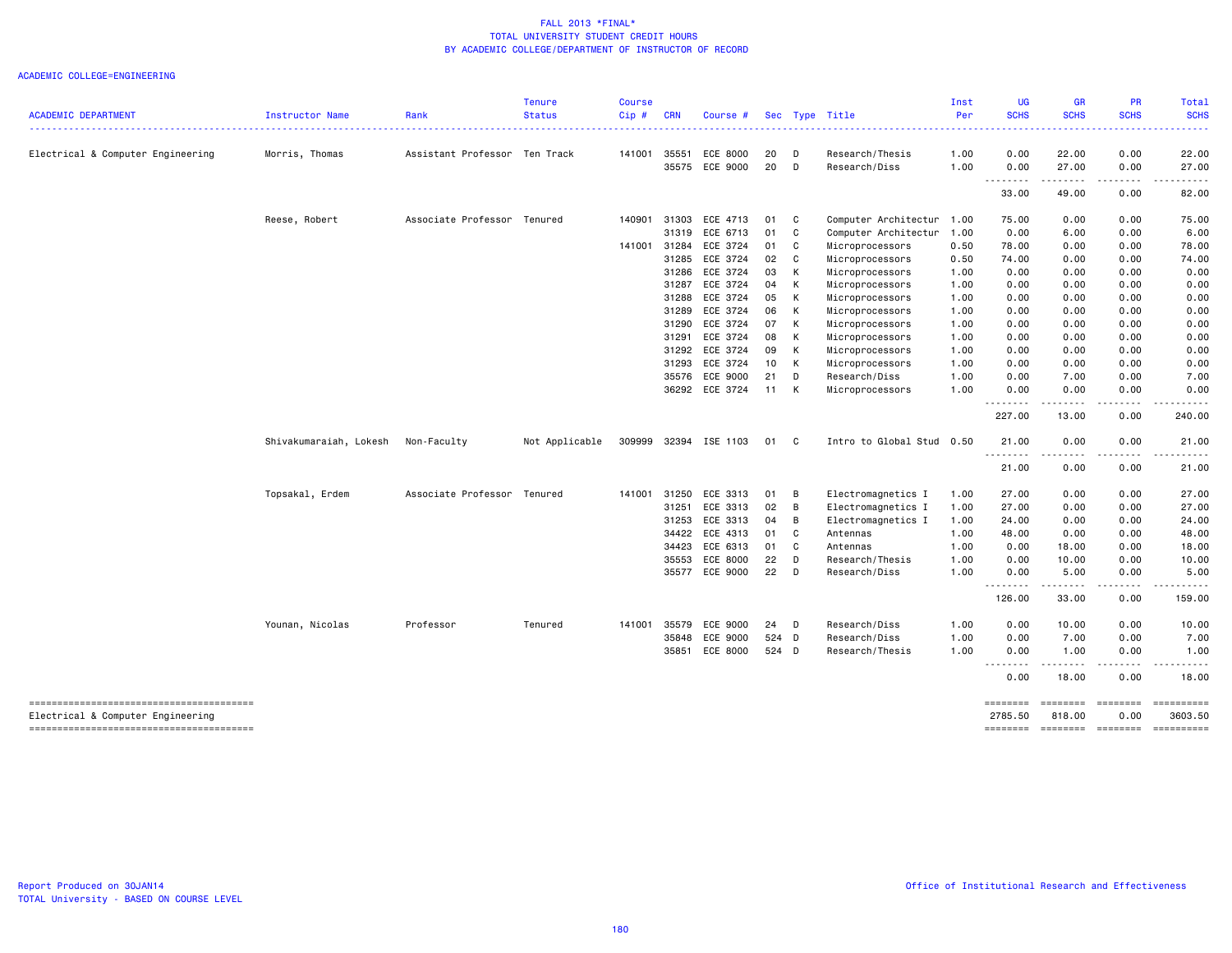| <b>ACADEMIC DEPARTMENT</b>                                                  | Instructor Name        | Rank                          | <b>Tenure</b><br><b>Status</b> | <b>Course</b><br>Cip# | <b>CRN</b> | Course #       |       |                | Sec Type Title            | Inst<br>Per | UG<br><b>SCHS</b>   | <b>GR</b><br><b>SCHS</b> | PR<br><b>SCHS</b>                                                                                                                                            | Total<br><b>SCHS</b>  |
|-----------------------------------------------------------------------------|------------------------|-------------------------------|--------------------------------|-----------------------|------------|----------------|-------|----------------|---------------------------|-------------|---------------------|--------------------------|--------------------------------------------------------------------------------------------------------------------------------------------------------------|-----------------------|
|                                                                             |                        |                               |                                |                       |            |                |       |                |                           | -----       |                     |                          |                                                                                                                                                              |                       |
| Electrical & Computer Engineering                                           | Morris, Thomas         | Assistant Professor Ten Track |                                | 141001                | 35551      | ECE 8000       | 20    | D              | Research/Thesis           | 1.00        | 0.00                | 22.00                    | 0.00                                                                                                                                                         | 22.00                 |
|                                                                             |                        |                               |                                |                       |            | 35575 ECE 9000 | 20    | D              | Research/Diss             | 1.00        | 0.00                | 27.00                    | 0.00                                                                                                                                                         | 27.00                 |
|                                                                             |                        |                               |                                |                       |            |                |       |                |                           |             | .<br>33.00          | $- - -$<br>49.00         | 0.00                                                                                                                                                         | 82.00                 |
|                                                                             | Reese, Robert          | Associate Professor Tenured   |                                | 140901                | 31303      | ECE 4713       | 01    | $\mathbf{C}$   | Computer Architectur      | 1.00        | 75.00               | 0.00                     | 0.00                                                                                                                                                         | 75.00                 |
|                                                                             |                        |                               |                                |                       | 31319      | ECE 6713       | 01    | C              | Computer Architectur      | 1.00        | 0.00                | 6.00                     | 0.00                                                                                                                                                         | 6.00                  |
|                                                                             |                        |                               |                                | 141001                | 31284      | ECE 3724       | 01    | C              | Microprocessors           | 0.50        | 78.00               | 0.00                     | 0.00                                                                                                                                                         | 78.00                 |
|                                                                             |                        |                               |                                |                       | 31285      | ECE 3724       | 02    | C              | Microprocessors           | 0.50        | 74.00               | 0.00                     | 0.00                                                                                                                                                         | 74.00                 |
|                                                                             |                        |                               |                                |                       | 31286      | ECE 3724       | 03    | K              | Microprocessors           | 1.00        | 0.00                | 0.00                     | 0.00                                                                                                                                                         | 0.00                  |
|                                                                             |                        |                               |                                |                       | 31287      | ECE 3724       | 04    | K              | Microprocessors           | 1.00        | 0.00                | 0.00                     | 0.00                                                                                                                                                         | 0.00                  |
|                                                                             |                        |                               |                                |                       | 31288      | ECE 3724       | 05    | $\mathsf{K}$   | Microprocessors           | 1.00        | 0.00                | 0.00                     | 0.00                                                                                                                                                         | 0.00                  |
|                                                                             |                        |                               |                                |                       | 31289      | ECE 3724       | 06    | K              | Microprocessors           | 1.00        | 0.00                | 0.00                     | 0.00                                                                                                                                                         | 0.00                  |
|                                                                             |                        |                               |                                |                       | 31290      | ECE 3724       | 07    | $\mathsf{K}$   | Microprocessors           | 1.00        | 0.00                | 0.00                     | 0.00                                                                                                                                                         | 0.00                  |
|                                                                             |                        |                               |                                |                       | 31291      | ECE 3724       | 08    | K              | Microprocessors           | 1.00        | 0.00                | 0.00                     | 0.00                                                                                                                                                         | 0.00                  |
|                                                                             |                        |                               |                                |                       | 31292      | ECE 3724       | 09    | K              | Microprocessors           | 1.00        | 0.00                | 0.00                     | 0.00                                                                                                                                                         | 0.00                  |
|                                                                             |                        |                               |                                |                       | 31293      | ECE 3724       | 10 K  |                | Microprocessors           | 1.00        | 0.00                | 0.00                     | 0.00                                                                                                                                                         | 0.00                  |
|                                                                             |                        |                               |                                |                       |            | 35576 ECE 9000 | 21    | D              | Research/Diss             | 1.00        | 0.00                | 7.00                     | 0.00                                                                                                                                                         | 7.00                  |
|                                                                             |                        |                               |                                |                       |            | 36292 ECE 3724 | 11 K  |                | Microprocessors           | 1.00        | 0.00                | 0.00                     | 0.00                                                                                                                                                         | 0.00                  |
|                                                                             |                        |                               |                                |                       |            |                |       |                |                           |             | <u>.</u><br>227.00  | .<br>13.00               | -----<br>0.00                                                                                                                                                | 240.00                |
|                                                                             | Shivakumaraiah, Lokesh | Non-Faculty                   | Not Applicable                 | 309999                |            | 32394 ISE 1103 | 01    | $\mathbf{C}$   | Intro to Global Stud 0.50 |             | 21.00               | 0.00                     | 0.00                                                                                                                                                         | 21.00                 |
|                                                                             |                        |                               |                                |                       |            |                |       |                |                           |             | <u>.</u><br>21.00   | $\frac{1}{2}$<br>0.00    | .<br>0.00                                                                                                                                                    | 21.00                 |
|                                                                             | Topsakal, Erdem        | Associate Professor Tenured   |                                | 141001                | 31250      | ECE 3313       | 01    | $\overline{B}$ | Electromagnetics I        | 1.00        | 27.00               | 0.00                     | 0.00                                                                                                                                                         | 27.00                 |
|                                                                             |                        |                               |                                |                       | 31251      | ECE 3313       | 02    | $\overline{B}$ | Electromagnetics I        | 1.00        | 27.00               | 0.00                     | 0.00                                                                                                                                                         | 27.00                 |
|                                                                             |                        |                               |                                |                       | 31253      | ECE 3313       | 04    | $\overline{B}$ | Electromagnetics I        | 1.00        | 24.00               | 0.00                     | 0.00                                                                                                                                                         | 24.00                 |
|                                                                             |                        |                               |                                |                       | 34422      | ECE 4313       | 01    | $\mathbf{C}$   | Antennas                  | 1.00        | 48.00               | 0.00                     | 0.00                                                                                                                                                         | 48.00                 |
|                                                                             |                        |                               |                                |                       | 34423      | ECE 6313       | 01    | $\mathbf{C}$   | Antennas                  | 1.00        | 0.00                | 18.00                    | 0.00                                                                                                                                                         | 18.00                 |
|                                                                             |                        |                               |                                |                       | 35553      | ECE 8000       | 22    | $\mathsf{D}$   | Research/Thesis           | 1.00        | 0.00                | 10.00                    | 0.00                                                                                                                                                         | 10.00                 |
|                                                                             |                        |                               |                                |                       | 35577      | ECE 9000       | 22    | $\Box$         | Research/Diss             | 1.00        | 0.00                | 5.00                     | 0.00                                                                                                                                                         | 5.00                  |
|                                                                             |                        |                               |                                |                       |            |                |       |                |                           |             | --------<br>126.00  | 33.00                    | 0.00                                                                                                                                                         | 159.00                |
|                                                                             | Younan, Nicolas        | Professor                     | Tenured                        | 141001                | 35579      | ECE 9000       | 24 D  |                | Research/Diss             | 1.00        | 0.00                | 10.00                    | 0.00                                                                                                                                                         | 10.00                 |
|                                                                             |                        |                               |                                |                       | 35848      | ECE 9000       | 524 D |                | Research/Diss             | 1.00        | 0.00                | 7.00                     | 0.00                                                                                                                                                         | 7.00                  |
|                                                                             |                        |                               |                                |                       | 35851      | ECE 8000       | 524 D |                | Research/Thesis           | 1.00        | 0.00                | 1.00                     | 0.00                                                                                                                                                         | 1.00                  |
|                                                                             |                        |                               |                                |                       |            |                |       |                |                           |             | .<br>0.00           | -----<br>18.00           | $\frac{1}{2} \left( \frac{1}{2} \right) \left( \frac{1}{2} \right) \left( \frac{1}{2} \right) \left( \frac{1}{2} \right) \left( \frac{1}{2} \right)$<br>0.00 | 18.00                 |
| --------------------------------------<br>Electrical & Computer Engineering |                        |                               |                                |                       |            |                |       |                |                           |             | ========<br>2785.50 | 818,00                   | <b>EBBEBBBB</b><br>0.00                                                                                                                                      | ==========<br>3603.50 |
| --------------------------------------                                      |                        |                               |                                |                       |            |                |       |                |                           |             | ========            | <b>EEEEEEEE</b>          | <b>ESSESSE</b>                                                                                                                                               | -----------           |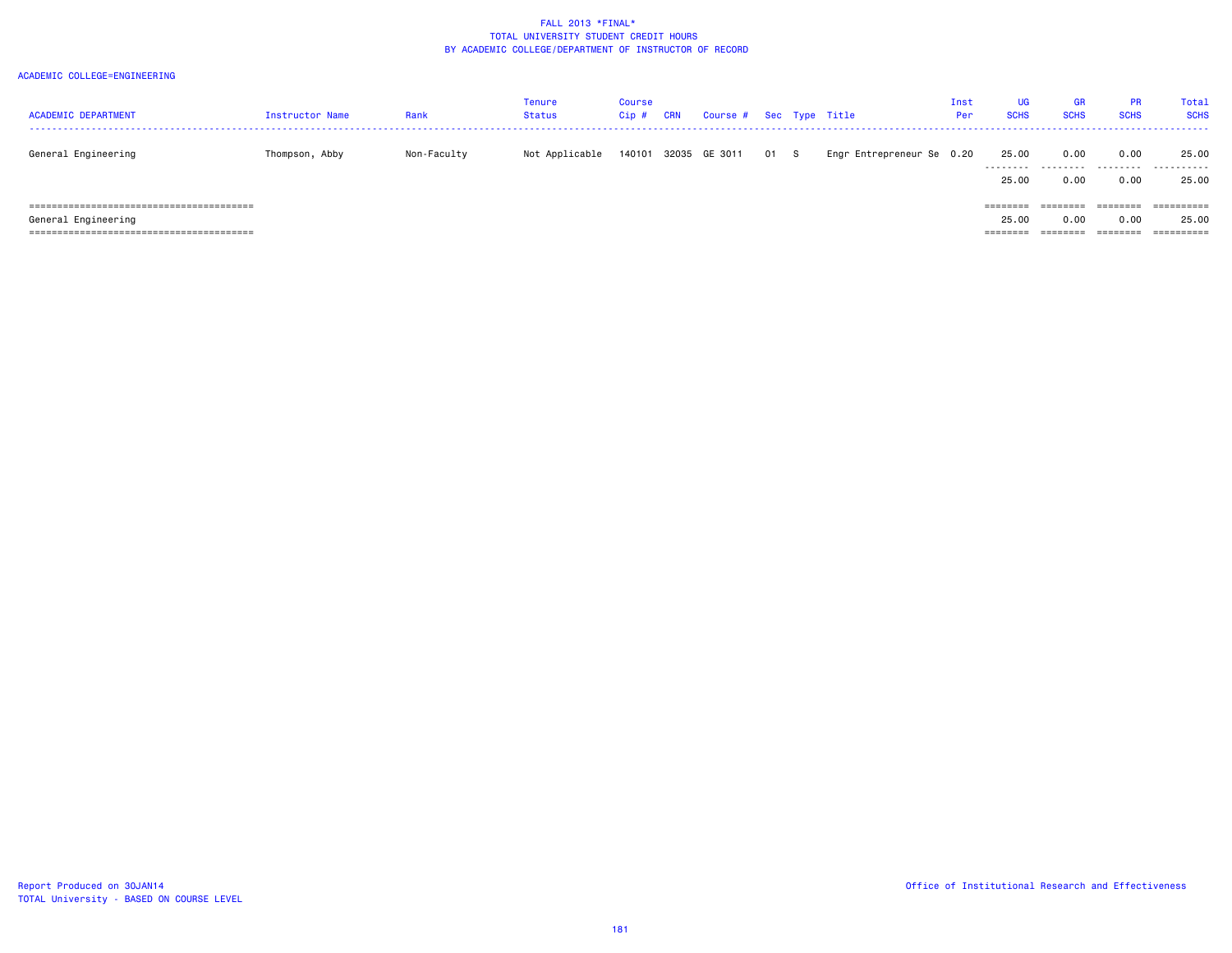| <b>ACADEMIC DEPARTMENT</b> | <b>Instructor Name</b> | Rank        | Tenure<br>Status | Course<br>Cip# | CRN | Course # Sec Type Title |      |                           | Inst<br>Per | UG<br><b>SCHS</b>                      | <b>GR</b><br><b>SCHS</b> | <b>PR</b><br><b>SCHS</b>    | Total<br><b>SCHS</b>                         |
|----------------------------|------------------------|-------------|------------------|----------------|-----|-------------------------|------|---------------------------|-------------|----------------------------------------|--------------------------|-----------------------------|----------------------------------------------|
| General Engineering        | Thompson, Abby         | Non-Faculty | Not Applicable   | 140101         |     | 32035 GE 3011           | 01 S | Engr Entrepreneur Se 0.20 |             | 25.00<br>.<br>25.00                    | 0.00<br>.<br>0.00        | 0.00<br>.<br>0.00           | 25.00<br>.<br>25.00                          |
| General Engineering        |                        |             |                  |                |     |                         |      |                           |             | $=$ = = = = = = =<br>25.00<br>======== | 0.00<br>========         | -------<br>0.00<br>======== | ==========<br>25.00<br>$=$ = = = = = = = = = |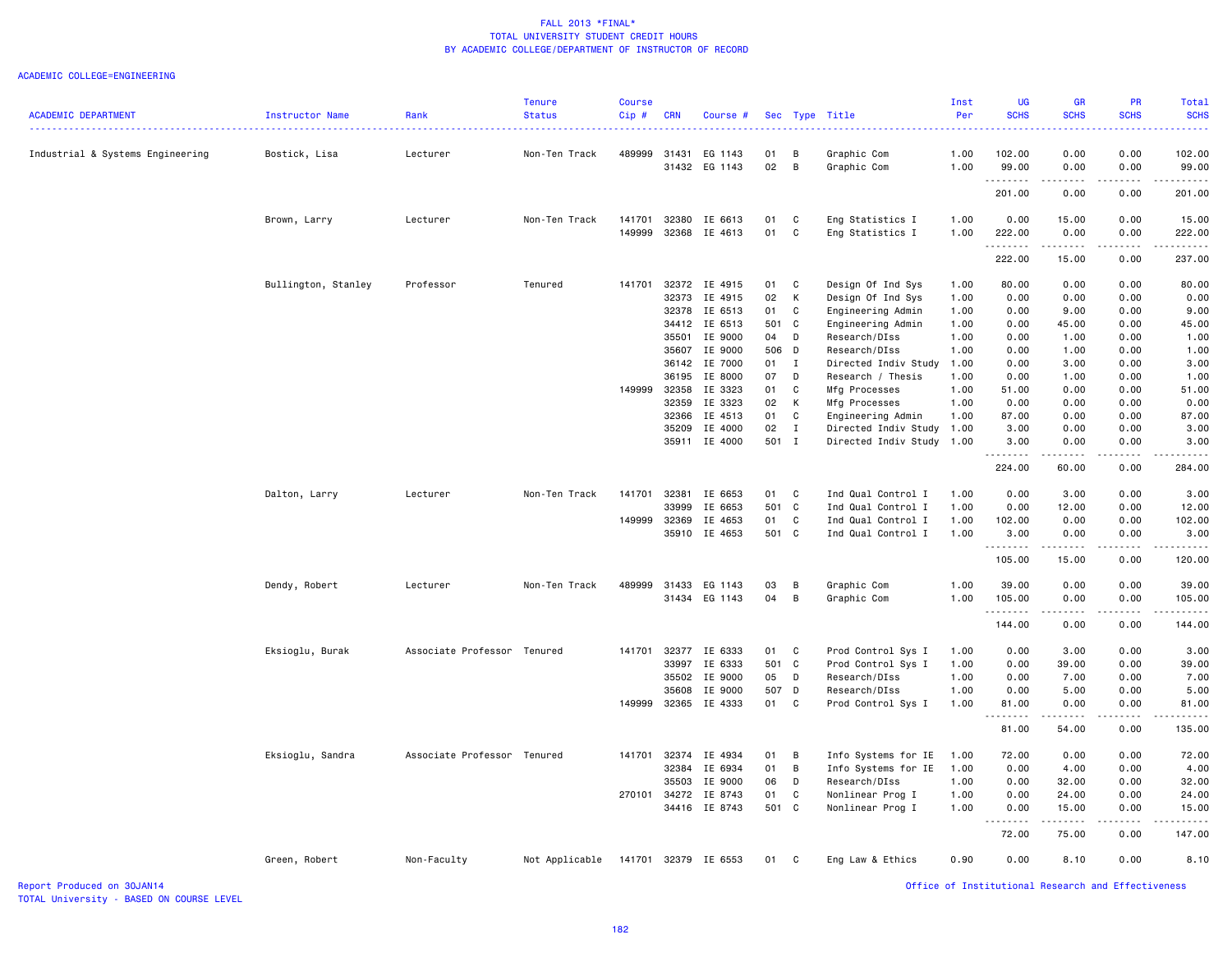|                                  |                     |                             | <b>Tenure</b>  | <b>Course</b> |                |                          |             |              |                                                   | Inst         | <b>UG</b>         | <b>GR</b>    | <b>PR</b>             | <b>Total</b>                                                                                                                        |
|----------------------------------|---------------------|-----------------------------|----------------|---------------|----------------|--------------------------|-------------|--------------|---------------------------------------------------|--------------|-------------------|--------------|-----------------------|-------------------------------------------------------------------------------------------------------------------------------------|
| <b>ACADEMIC DEPARTMENT</b>       | Instructor Name     | Rank                        | <b>Status</b>  | Cip#          | <b>CRN</b>     | Course #                 |             |              | Sec Type Title                                    | Per          | <b>SCHS</b>       | <b>SCHS</b>  | <b>SCHS</b>           | <b>SCHS</b>                                                                                                                         |
| Industrial & Systems Engineering | Bostick, Lisa       | Lecturer                    | Non-Ten Track  |               |                | 489999 31431 EG 1143     | 01          | B            | Graphic Com                                       | 1.00         | 102.00            | 0.00         | 0.00                  | 102.00                                                                                                                              |
|                                  |                     |                             |                |               |                | 31432 EG 1143            | 02          | B            | Graphic Com                                       | 1.00         | 99.00<br>.        | 0.00<br>.    | 0.00<br>.             | 99.00<br>.                                                                                                                          |
|                                  |                     |                             |                |               |                |                          |             |              |                                                   |              | 201.00            | 0.00         | 0.00                  | 201.00                                                                                                                              |
|                                  | Brown, Larry        | Lecturer                    | Non-Ten Track  | 141701        | 32380          | IE 6613                  | 01          | C            | Eng Statistics I                                  | 1.00         | 0.00              | 15.00        | 0.00                  | 15.00                                                                                                                               |
|                                  |                     |                             |                | 149999        |                | 32368 IE 4613            | 01          | $\mathbf c$  | Eng Statistics I                                  | 1.00         | 222.00<br>.       | 0.00<br>.    | 0.00<br>.             | 222.00<br>$\begin{array}{cccccccccccccc} \bullet & \bullet & \bullet & \bullet & \bullet & \bullet & \bullet & \bullet \end{array}$ |
|                                  |                     |                             |                |               |                |                          |             |              |                                                   |              | 222.00            | 15.00        | 0.00                  | 237.00                                                                                                                              |
|                                  | Bullington, Stanley | Professor                   | Tenured        | 141701        | 32372          | IE 4915                  | 01          | C            | Design Of Ind Sys                                 | 1.00         | 80.00             | 0.00         | 0.00                  | 80.00                                                                                                                               |
|                                  |                     |                             |                |               | 32373          | IE 4915                  | 02          | К            | Design Of Ind Sys                                 | 1.00         | 0.00              | 0.00         | 0.00                  | 0.00                                                                                                                                |
|                                  |                     |                             |                |               | 32378          | IE 6513                  | 01          | C            | Engineering Admin                                 | 1.00         | 0.00              | 9.00         | 0.00                  | 9.00                                                                                                                                |
|                                  |                     |                             |                |               | 34412          | IE 6513                  | 501 C       |              | Engineering Admin                                 | 1.00         | 0.00              | 45.00        | 0.00                  | 45.00                                                                                                                               |
|                                  |                     |                             |                |               | 35501          | IE 9000                  | 04          | D            | Research/DIss                                     | 1.00         | 0.00              | 1.00         | 0.00                  | 1.00                                                                                                                                |
|                                  |                     |                             |                |               | 35607          | IE 9000                  | 506 D       |              | Research/DIss                                     | 1.00         | 0.00              | 1.00         | 0.00                  | 1.00                                                                                                                                |
|                                  |                     |                             |                |               |                | 36142 IE 7000            | 01 I        |              | Directed Indiv Study                              | 1.00         | 0.00              | 3.00         | 0.00                  | 3.00                                                                                                                                |
|                                  |                     |                             |                |               | 36195          | IE 8000                  | 07          | D            | Research / Thesis                                 | 1.00         | 0.00              | 1.00         | 0.00                  | 1.00                                                                                                                                |
|                                  |                     |                             |                | 149999        | 32358          | IE 3323                  | 01          | C            | Mfg Processes                                     | 1.00         | 51.00             | 0.00         | 0.00                  | 51.00                                                                                                                               |
|                                  |                     |                             |                |               | 32359          | IE 3323                  | 02          | К            | Mfg Processes                                     | 1.00         | 0.00              | 0.00         | 0.00                  | 0.00                                                                                                                                |
|                                  |                     |                             |                |               | 32366          | IE 4513                  | 01          | C            | Engineering Admin                                 | 1.00         | 87.00             | 0.00         | 0.00                  | 87.00                                                                                                                               |
|                                  |                     |                             |                |               | 35209          | IE 4000<br>35911 IE 4000 | 02<br>501 I | $\mathbf{I}$ | Directed Indiv Study<br>Directed Indiv Study 1.00 | 1.00         | 3.00<br>3.00      | 0.00<br>0.00 | 0.00<br>0.00          | 3.00<br>3.00                                                                                                                        |
|                                  |                     |                             |                |               |                |                          |             |              |                                                   |              |                   |              |                       |                                                                                                                                     |
|                                  |                     |                             |                |               |                |                          |             |              |                                                   |              | 224.00            | 60.00        | 0.00                  | 284.00                                                                                                                              |
|                                  | Dalton, Larry       | Lecturer                    | Non-Ten Track  | 141701        | 32381          | IE 6653                  | 01          | $\mathbf c$  | Ind Qual Control I                                | 1.00         | 0.00              | 3.00         | 0.00                  | 3.00                                                                                                                                |
|                                  |                     |                             |                |               | 33999          | IE 6653                  | 501 C       |              | Ind Qual Control I                                | 1.00         | 0.00              | 12.00        | 0.00                  | 12.00                                                                                                                               |
|                                  |                     |                             |                | 149999        | 32369          | IE 4653                  | 01          | C            | Ind Qual Control I                                | 1.00         | 102.00            | 0.00         | 0.00                  | 102.00                                                                                                                              |
|                                  |                     |                             |                |               | 35910          | IE 4653                  | 501 C       |              | Ind Qual Control I                                | 1.00         | 3.00<br>.         | 0.00<br>.    | 0.00<br>$\frac{1}{2}$ | 3.00<br>$\frac{1}{2}$                                                                                                               |
|                                  |                     |                             |                |               |                |                          |             |              |                                                   |              | 105.00            | 15.00        | 0.00                  | 120.00                                                                                                                              |
|                                  | Dendy, Robert       | Lecturer                    | Non-Ten Track  | 489999        | 31433          | EG 1143                  | 03          | B            | Graphic Com                                       | 1.00         | 39.00             | 0.00         | 0.00                  | 39.00                                                                                                                               |
|                                  |                     |                             |                |               |                | 31434 EG 1143            | 04          | B            | Graphic Com                                       | 1.00         | 105.00            | 0.00         | 0.00                  | 105.00                                                                                                                              |
|                                  |                     |                             |                |               |                |                          |             |              |                                                   |              | .<br>144.00       | .<br>0.00    | 0.00                  | $- - - - - - -$<br>144.00                                                                                                           |
|                                  |                     |                             |                |               |                |                          |             |              |                                                   |              |                   |              |                       |                                                                                                                                     |
|                                  | Eksioglu, Burak     | Associate Professor Tenured |                | 141701        | 32377          | IE 6333                  | 01          | $\mathbf{C}$ | Prod Control Sys I                                | 1.00         | 0.00              | 3.00         | 0.00                  | 3.00                                                                                                                                |
|                                  |                     |                             |                |               | 33997          | IE 6333<br>IE 9000       | 501 C<br>05 | D            | Prod Control Sys I<br>Research/DIss               | 1.00         | 0.00<br>0.00      | 39.00        | 0.00<br>0.00          | 39.00                                                                                                                               |
|                                  |                     |                             |                |               | 35502<br>35608 | IE 9000                  | 507 D       |              | Research/DIss                                     | 1.00<br>1.00 | 0.00              | 7.00<br>5.00 | 0.00                  | 7.00<br>5.00                                                                                                                        |
|                                  |                     |                             |                | 149999        | 32365          | IE 4333                  | 01          | $\mathbf c$  | Prod Control Sys I                                | 1.00         | 81.00             | 0.00         | 0.00                  | 81.00                                                                                                                               |
|                                  |                     |                             |                |               |                |                          |             |              |                                                   |              | <u>.</u><br>81.00 | 54.00        | 0.00                  | 135.00                                                                                                                              |
|                                  |                     |                             |                |               |                |                          |             |              |                                                   |              |                   |              |                       |                                                                                                                                     |
|                                  | Eksioglu, Sandra    | Associate Professor Tenured |                | 141701        | 32374          | IE 4934                  | 01<br>01    | B<br>B       | Info Systems for IE                               | 1.00         | 72.00<br>0.00     | 0.00<br>4.00 | 0.00<br>0.00          | 72.00                                                                                                                               |
|                                  |                     |                             |                |               | 32384<br>35503 | IE 6934<br>IE 9000       | 06          | D            | Info Systems for IE<br>Research/DIss              | 1.00<br>1.00 | 0.00              | 32.00        | 0.00                  | 4.00<br>32.00                                                                                                                       |
|                                  |                     |                             |                | 270101        | 34272          | IE 8743                  | 01          | C            | Nonlinear Prog I                                  | 1.00         | 0.00              | 24.00        | 0.00                  | 24.00                                                                                                                               |
|                                  |                     |                             |                |               | 34416          | IE 8743                  | 501 C       |              | Nonlinear Prog I                                  | 1.00         | 0.00              | 15.00        | 0.00                  | 15.00                                                                                                                               |
|                                  |                     |                             |                |               |                |                          |             |              |                                                   |              |                   |              |                       |                                                                                                                                     |
|                                  |                     |                             |                |               |                |                          |             |              |                                                   |              | 72.00             | 75.00        | 0.00                  | 147.00                                                                                                                              |
|                                  | Green, Robert       | Non-Faculty                 | Not Applicable |               |                | 141701 32379 IE 6553     | 01          | C            | Eng Law & Ethics                                  | 0.90         | 0.00              | 8.10         | 0.00                  | 8.10                                                                                                                                |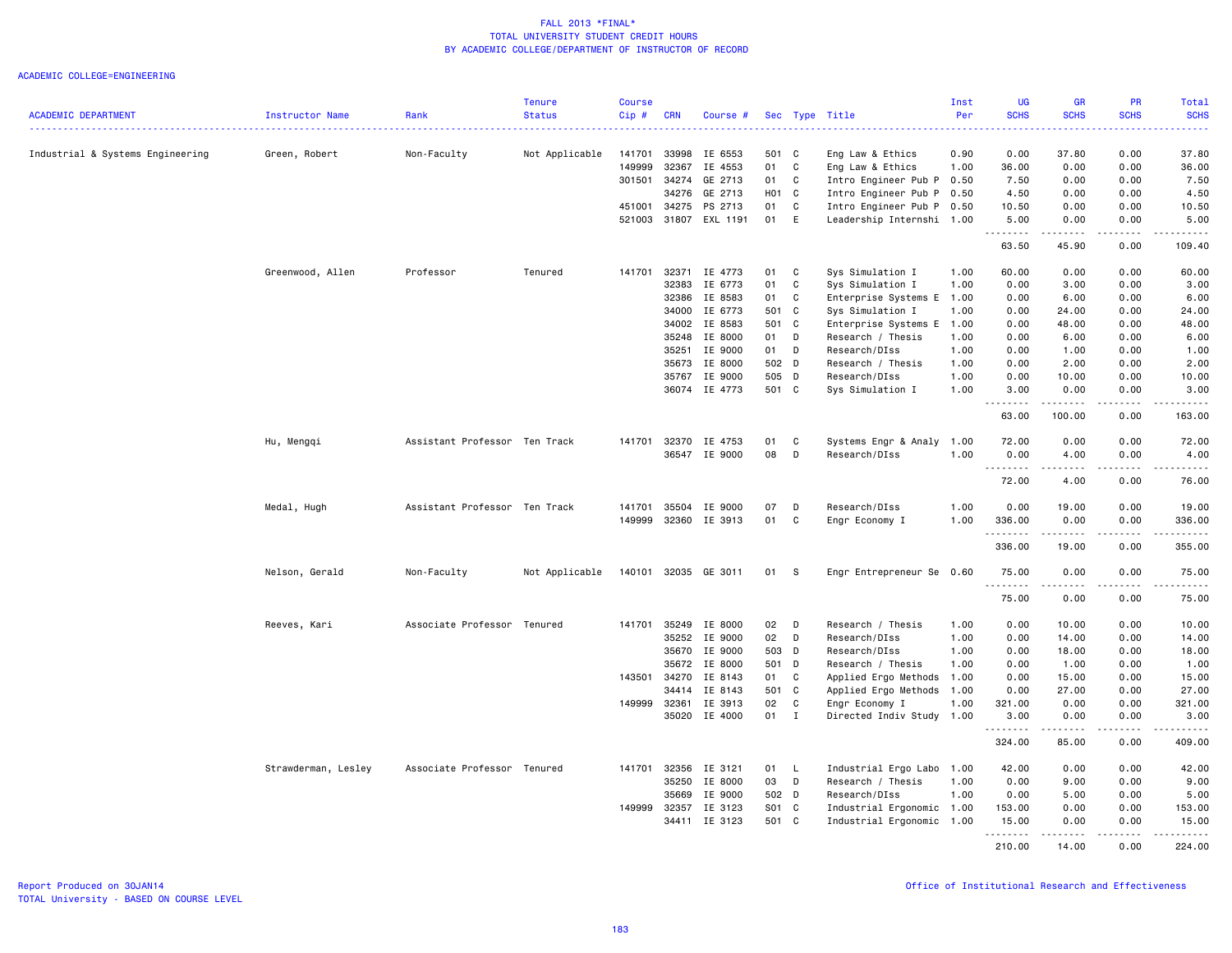|                                  |                     |                               | <b>Tenure</b>      | <b>Course</b> |              |                          |                |              |                                   | Inst         | UG                                         | <b>GR</b>       | PR                                                                                                                                | Total                                                                                                                                                                           |
|----------------------------------|---------------------|-------------------------------|--------------------|---------------|--------------|--------------------------|----------------|--------------|-----------------------------------|--------------|--------------------------------------------|-----------------|-----------------------------------------------------------------------------------------------------------------------------------|---------------------------------------------------------------------------------------------------------------------------------------------------------------------------------|
| <b>ACADEMIC DEPARTMENT</b>       | Instructor Name     | Rank                          | <b>Status</b><br>. | Cip#          | <b>CRN</b>   | Course #                 |                |              | Sec Type Title                    | Per          | <b>SCHS</b><br>$\sim$ $\sim$ $\sim$ $\sim$ | <b>SCHS</b>     | <b>SCHS</b>                                                                                                                       | <b>SCHS</b><br>والمستناب                                                                                                                                                        |
| Industrial & Systems Engineering | Green, Robert       | Non-Faculty                   | Not Applicable     | 141701        | 33998        | IE 6553                  | 501 C          |              | Eng Law & Ethics                  | 0.90         | 0.00                                       | 37.80           | 0.00                                                                                                                              | 37.80                                                                                                                                                                           |
|                                  |                     |                               |                    | 149999        | 32367        | IE 4553                  | 01             | C            | Eng Law & Ethics                  | 1.00         | 36.00                                      | 0.00            | 0.00                                                                                                                              | 36.00                                                                                                                                                                           |
|                                  |                     |                               |                    | 301501        | 34274        | GE 2713                  | 01             | C            | Intro Engineer Pub P              | 0.50         | 7.50                                       | 0.00            | 0.00                                                                                                                              | 7.50                                                                                                                                                                            |
|                                  |                     |                               |                    |               | 34276        | GE 2713                  | H01 C          |              | Intro Engineer Pub P              | 0.50         | 4.50                                       | 0.00            | 0.00                                                                                                                              | 4.50                                                                                                                                                                            |
|                                  |                     |                               |                    | 451001        | 34275        | PS 2713                  | 01             | C            | Intro Engineer Pub P 0.50         |              | 10.50                                      | 0.00            | 0.00                                                                                                                              | 10.50                                                                                                                                                                           |
|                                  |                     |                               |                    | 521003        | 31807        | EXL 1191                 | 01             | E            | Leadership Internshi 1.00         |              | 5.00<br>$\sim$ $\sim$ $\sim$               | 0.00            | 0.00<br>$\sim$ $\sim$ $\sim$                                                                                                      | 5.00<br>$\omega$ is $\omega$ in .                                                                                                                                               |
|                                  |                     |                               |                    |               |              |                          |                |              |                                   |              | 63.50                                      | 45.90           | 0.00                                                                                                                              | 109.40                                                                                                                                                                          |
|                                  | Greenwood, Allen    | Professor                     | Tenured            | 141701        | 32371        | IE 4773                  | 01             | C            | Sys Simulation I                  | 1.00         | 60.00                                      | 0.00            | 0.00                                                                                                                              | 60.00                                                                                                                                                                           |
|                                  |                     |                               |                    |               | 32383        | IE 6773                  | 01             | C            | Sys Simulation I                  | 1.00         | 0.00                                       | 3.00            | 0.00                                                                                                                              | 3.00                                                                                                                                                                            |
|                                  |                     |                               |                    |               | 32386        | IE 8583                  | 01             | C            | Enterprise Systems E              | 1.00         | 0.00                                       | 6.00            | 0.00                                                                                                                              | 6.00                                                                                                                                                                            |
|                                  |                     |                               |                    |               | 34000        | IE 6773                  | 501 C          |              | Sys Simulation I                  | 1.00         | 0.00                                       | 24.00           | 0.00                                                                                                                              | 24.00                                                                                                                                                                           |
|                                  |                     |                               |                    |               | 34002        | IE 8583                  | 501 C          |              | Enterprise Systems E              | 1.00         | 0.00                                       | 48.00           | 0.00                                                                                                                              | 48.00                                                                                                                                                                           |
|                                  |                     |                               |                    |               | 35248        | IE 8000                  | 01             | D            | Research / Thesis                 | 1.00         | 0.00                                       | 6.00            | 0.00                                                                                                                              | 6.00                                                                                                                                                                            |
|                                  |                     |                               |                    |               | 35251        | IE 9000                  | 01             | D            | Research/DIss                     | 1.00         | 0.00                                       | 1.00            | 0.00                                                                                                                              | 1.00                                                                                                                                                                            |
|                                  |                     |                               |                    |               | 35673        | IE 8000                  | 502 D          |              | Research / Thesis                 | 1.00         | 0.00                                       | 2.00            | 0.00                                                                                                                              | 2.00                                                                                                                                                                            |
|                                  |                     |                               |                    |               | 35767        | IE 9000<br>36074 IE 4773 | 505 D<br>501 C |              | Research/DIss<br>Sys Simulation I | 1.00<br>1.00 | 0.00<br>3.00                               | 10.00<br>0.00   | 0.00<br>0.00                                                                                                                      | 10.00<br>3,00                                                                                                                                                                   |
|                                  |                     |                               |                    |               |              |                          |                |              |                                   |              | .                                          | .               | .                                                                                                                                 | $\frac{1}{2} \left( \frac{1}{2} \right) \left( \frac{1}{2} \right) \left( \frac{1}{2} \right) \left( \frac{1}{2} \right) \left( \frac{1}{2} \right) \left( \frac{1}{2} \right)$ |
|                                  |                     |                               |                    |               |              |                          |                |              |                                   |              | 63.00                                      | 100.00          | 0.00                                                                                                                              | 163.00                                                                                                                                                                          |
|                                  | Hu, Mengqi          | Assistant Professor Ten Track |                    | 141701        | 32370        | IE 4753                  | 01             | C            | Systems Engr & Analy              | 1.00         | 72.00                                      | 0.00            | 0.00                                                                                                                              | 72.00                                                                                                                                                                           |
|                                  |                     |                               |                    |               | 36547        | IE 9000                  | 08             | D            | Research/DIss                     | 1.00         | 0.00<br>.                                  | 4.00            | 0.00<br>$\omega$ is a $\omega$                                                                                                    | 4.00                                                                                                                                                                            |
|                                  |                     |                               |                    |               |              |                          |                |              |                                   |              | 72.00                                      | د د د د<br>4.00 | 0.00                                                                                                                              | -----<br>76.00                                                                                                                                                                  |
|                                  | Medal, Hugh         | Assistant Professor Ten Track |                    | 141701        | 35504        | IE 9000                  | 07             | D            | Research/DIss                     | 1.00         | 0.00                                       | 19.00           | 0.00                                                                                                                              | 19.00                                                                                                                                                                           |
|                                  |                     |                               |                    | 149999        | 32360        | IE 3913                  | 01             | $\mathbb{C}$ | Engr Economy I                    | 1.00         | 336.00                                     | 0.00            | 0.00                                                                                                                              | 336.00                                                                                                                                                                          |
|                                  |                     |                               |                    |               |              |                          |                |              |                                   |              | .                                          | .               | $\sim$ $\sim$ $\sim$ $\sim$                                                                                                       | ------                                                                                                                                                                          |
|                                  |                     |                               |                    |               |              |                          |                |              |                                   |              | 336.00                                     | 19.00           | 0.00                                                                                                                              | 355.00                                                                                                                                                                          |
|                                  | Nelson, Gerald      | Non-Faculty                   | Not Applicable     |               |              | 140101 32035 GE 3011     | 01             | - S          | Engr Entrepreneur Se 0.60         |              | 75.00<br>.                                 | 0.00<br>.       | 0.00<br>$\frac{1}{2} \left( \frac{1}{2} \right) \left( \frac{1}{2} \right) \left( \frac{1}{2} \right) \left( \frac{1}{2} \right)$ | 75.00<br>.                                                                                                                                                                      |
|                                  |                     |                               |                    |               |              |                          |                |              |                                   |              | 75.00                                      | 0.00            | 0.00                                                                                                                              | 75.00                                                                                                                                                                           |
|                                  | Reeves, Kari        | Associate Professor Tenured   |                    | 141701        | 35249        | IE 8000                  | 02             | D            | Research / Thesis                 | 1.00         | 0.00                                       | 10.00           | 0.00                                                                                                                              | 10.00                                                                                                                                                                           |
|                                  |                     |                               |                    |               | 35252        | IE 9000                  | 02             | D            | Research/DIss                     | 1.00         | 0.00                                       | 14.00           | 0.00                                                                                                                              | 14.00                                                                                                                                                                           |
|                                  |                     |                               |                    |               | 35670        | IE 9000                  | 503 D          |              | Research/DIss                     | 1.00         | 0.00                                       | 18.00           | 0.00                                                                                                                              | 18.00                                                                                                                                                                           |
|                                  |                     |                               |                    |               | 35672        | IE 8000                  | 501 D          |              | Research / Thesis                 | 1.00         | 0.00                                       | 1.00            | 0.00                                                                                                                              | 1.00                                                                                                                                                                            |
|                                  |                     |                               |                    |               | 143501 34270 | IE 8143                  | 01             | $\mathbf{C}$ | Applied Ergo Methods              | 1.00         | 0.00                                       | 15.00           | 0.00                                                                                                                              | 15.00                                                                                                                                                                           |
|                                  |                     |                               |                    |               | 34414        | IE 8143                  | 501 C          |              | Applied Ergo Methods              | 1.00         | 0.00                                       | 27.00           | 0.00                                                                                                                              | 27.00                                                                                                                                                                           |
|                                  |                     |                               |                    | 149999        | 32361        | IE 3913                  | 02             | C            | Engr Economy I                    | 1.00         | 321.00                                     | 0.00            | 0.00                                                                                                                              | 321.00                                                                                                                                                                          |
|                                  |                     |                               |                    |               | 35020        | IE 4000                  | 01             | $\mathbf{I}$ | Directed Indiv Study 1.00         |              | 3.00<br>--------                           | 0.00<br>------  | 0.00<br>.                                                                                                                         | 3,00                                                                                                                                                                            |
|                                  |                     |                               |                    |               |              |                          |                |              |                                   |              | 324.00                                     | 85.00           | 0.00                                                                                                                              | 409.00                                                                                                                                                                          |
|                                  | Strawderman, Lesley | Associate Professor Tenured   |                    | 141701        | 32356        | IE 3121                  | 01             | $\mathsf{L}$ | Industrial Ergo Labo 1.00         |              | 42.00                                      | 0.00            | 0.00                                                                                                                              | 42.00                                                                                                                                                                           |
|                                  |                     |                               |                    |               | 35250        | IE 8000                  | 03             | D            | Research / Thesis                 | 1.00         | 0.00                                       | 9.00            | 0.00                                                                                                                              | 9.00                                                                                                                                                                            |
|                                  |                     |                               |                    |               | 35669        | IE 9000                  | 502 D          |              | Research/DIss                     | 1.00         | 0.00                                       | 5.00            | 0.00                                                                                                                              | 5.00                                                                                                                                                                            |
|                                  |                     |                               |                    |               | 149999 32357 | IE 3123                  | S01 C          |              | Industrial Ergonomic 1.00         |              | 153.00                                     | 0.00            | 0.00                                                                                                                              | 153.00                                                                                                                                                                          |
|                                  |                     |                               |                    |               | 34411        | IE 3123                  | 501 C          |              | Industrial Ergonomic 1.00         |              | 15.00                                      | 0.00            | 0.00                                                                                                                              | 15.00                                                                                                                                                                           |
|                                  |                     |                               |                    |               |              |                          |                |              |                                   |              | <u>.</u><br>210.00                         | .<br>14.00      | .<br>0.00                                                                                                                         | .<br>224.00                                                                                                                                                                     |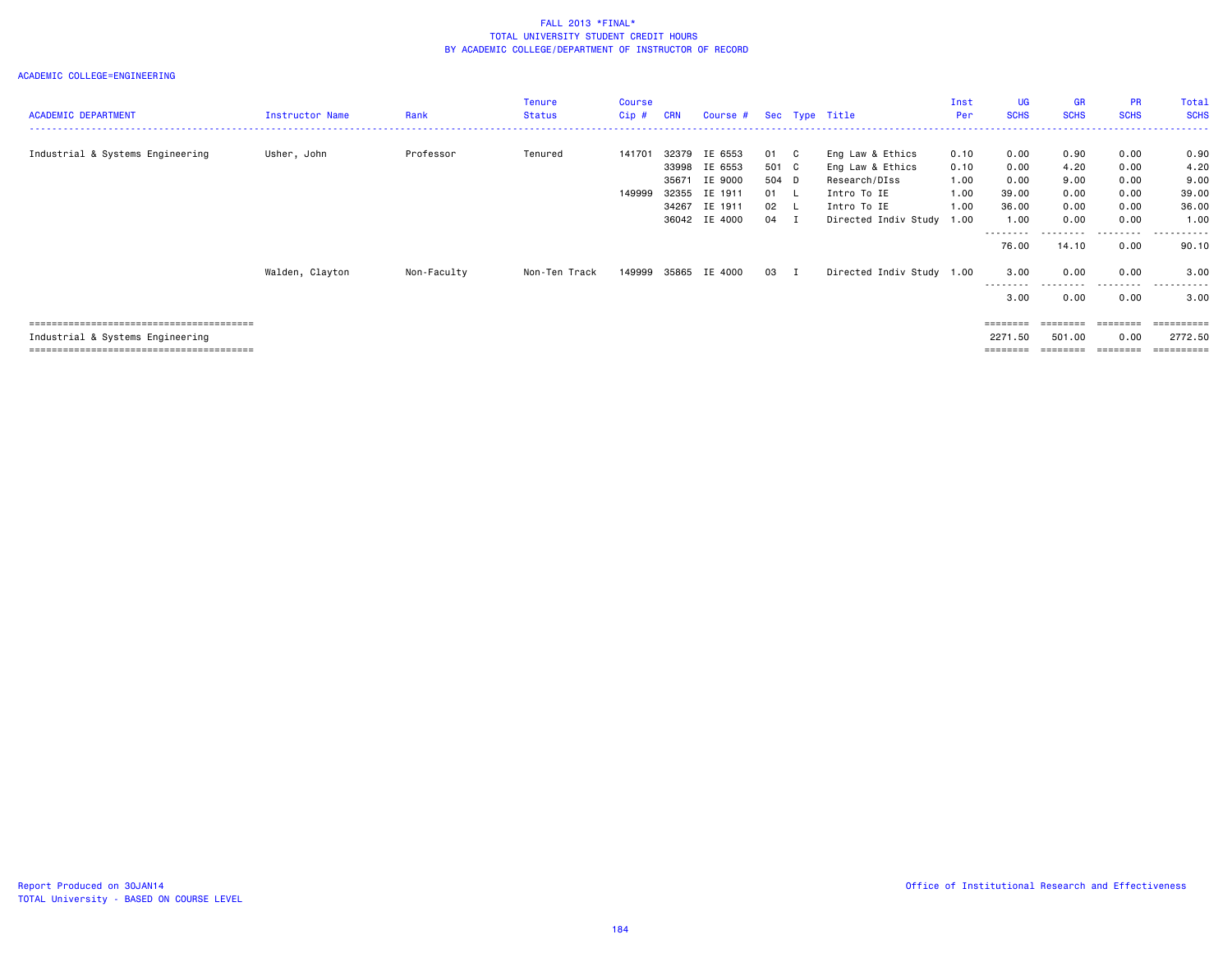| <b>ACADEMIC DEPARTMENT</b>       | <b>Instructor Name</b> | Rank        | Tenure<br><b>Status</b> | Course<br>$Cip$ # | <b>CRN</b>                                | Course # Sec Type Title                                              |                                              |     |                                                                                                                  | Inst<br>Per                          | UG.<br><b>SCHS</b>                             | <b>GR</b><br><b>SCHS</b>                     | <b>PR</b><br><b>SCHS</b>                     | Total<br><b>SCHS</b><br>------------------------------ |
|----------------------------------|------------------------|-------------|-------------------------|-------------------|-------------------------------------------|----------------------------------------------------------------------|----------------------------------------------|-----|------------------------------------------------------------------------------------------------------------------|--------------------------------------|------------------------------------------------|----------------------------------------------|----------------------------------------------|--------------------------------------------------------|
| Industrial & Systems Engineering | Usher, John            | Professor   | Tenured                 | 141701<br>149999  | 32379<br>33998<br>35671<br>32355<br>34267 | IE 6553<br>IE 6553<br>IE 9000<br>IE 1911<br>IE 1911<br>36042 IE 4000 | 01<br>501 C<br>504 D<br>01 L<br>02 L<br>04 I | - C | Eng Law & Ethics<br>Eng Law & Ethics<br>Research/DIss<br>Intro To IE<br>Intro To IE<br>Directed Indiv Study 1.00 | 0.10<br>0.10<br>1.00<br>1.00<br>1.00 | 0.00<br>0.00<br>0.00<br>39.00<br>36.00<br>1.00 | 0.90<br>4.20<br>9.00<br>0.00<br>0.00<br>0.00 | 0.00<br>0.00<br>0.00<br>0.00<br>0.00<br>0.00 | 0.90<br>4.20<br>9.00<br>39.00<br>36.00<br>1.00         |
|                                  | Walden, Clayton        | Non-Faculty | Non-Ten Track           | 149999            |                                           | 35865 IE 4000                                                        | 03 I                                         |     | Directed Indiv Study 1.00                                                                                        |                                      | --------<br>76.00<br>3.00<br>---------<br>3.00 | 14.10<br>0.00<br>.<br>0.00                   | .<br>0.00<br>0.00<br>.<br>0.00               | .<br>90.10<br>3.00<br>.<br>3.00                        |
| Industrial & Systems Engineering |                        |             |                         |                   |                                           |                                                                      |                                              |     |                                                                                                                  |                                      | ========<br>2271.50<br>========                | 501.00<br>========                           | 0.00<br>========                             | =========<br>2772.50                                   |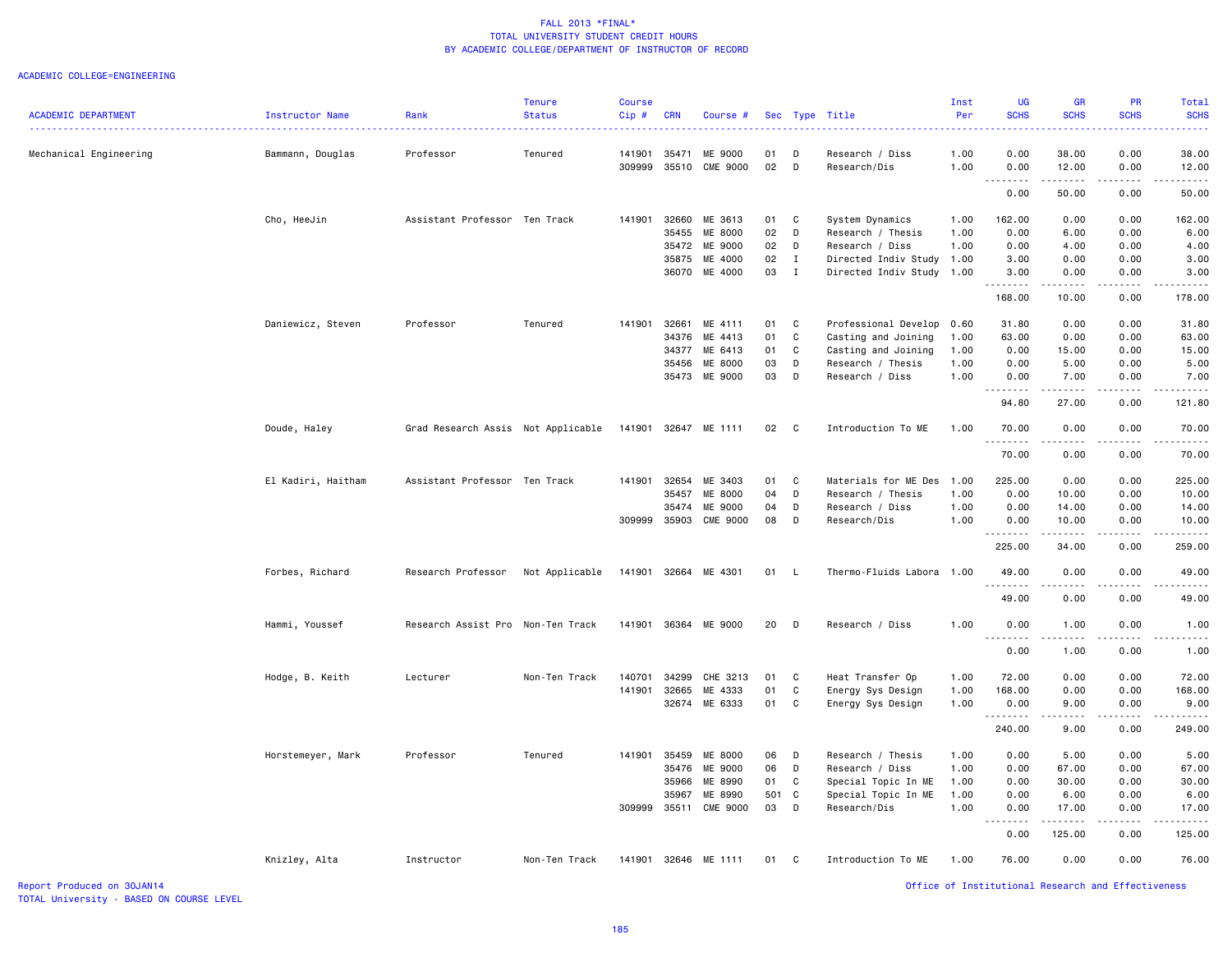#### ACADEMIC COLLEGE=ENGINEERING

| <b>ACADEMIC DEPARTMENT</b> | Instructor Name    | Rank                               | <b>Tenure</b><br><b>Status</b> | <b>Course</b><br>Cip# | <b>CRN</b>     | Course #                   |          |              | Sec Type Title                  | Inst<br>Per  | UG<br><b>SCHS</b> | <b>GR</b><br><b>SCHS</b>                                                                                                                                     | PR<br><b>SCHS</b>                                                                                                                                            | <b>Total</b><br><b>SCHS</b>                                                                                                                                                             |
|----------------------------|--------------------|------------------------------------|--------------------------------|-----------------------|----------------|----------------------------|----------|--------------|---------------------------------|--------------|-------------------|--------------------------------------------------------------------------------------------------------------------------------------------------------------|--------------------------------------------------------------------------------------------------------------------------------------------------------------|-----------------------------------------------------------------------------------------------------------------------------------------------------------------------------------------|
|                            |                    |                                    |                                |                       |                |                            |          |              |                                 |              |                   |                                                                                                                                                              |                                                                                                                                                              |                                                                                                                                                                                         |
| Mechanical Engineering     | Bammann, Douglas   | Professor                          | Tenured                        | 141901<br>309999      | 35471<br>35510 | ME 9000<br><b>CME 9000</b> | 01<br>02 | D<br>D       | Research / Diss<br>Research/Dis | 1.00<br>1.00 | 0.00<br>0.00      | 38.00<br>12.00                                                                                                                                               | 0.00<br>0.00                                                                                                                                                 | 38.00<br>12.00                                                                                                                                                                          |
|                            |                    |                                    |                                |                       |                |                            |          |              |                                 |              | .<br>0.00         | .<br>50.00                                                                                                                                                   | .<br>0.00                                                                                                                                                    | .<br>50.00                                                                                                                                                                              |
|                            | Cho, HeeJin        | Assistant Professor Ten Track      |                                | 141901                | 32660          | ME 3613                    | 01       | C            | System Dynamics                 | 1.00         | 162.00            | 0.00                                                                                                                                                         | 0.00                                                                                                                                                         | 162.00                                                                                                                                                                                  |
|                            |                    |                                    |                                |                       | 35455          | ME 8000                    | 02       | D            | Research / Thesis               | 1.00         | 0.00              | 6.00                                                                                                                                                         | 0.00                                                                                                                                                         | 6.00                                                                                                                                                                                    |
|                            |                    |                                    |                                |                       | 35472          | ME 9000                    | 02       | D            | Research / Diss                 | 1.00         | 0.00              | 4.00                                                                                                                                                         | 0.00                                                                                                                                                         | 4.00                                                                                                                                                                                    |
|                            |                    |                                    |                                |                       | 35875          | ME 4000                    | 02       | I            | Directed Indiv Study 1.00       |              | 3.00              | 0.00                                                                                                                                                         | 0.00                                                                                                                                                         | 3.00                                                                                                                                                                                    |
|                            |                    |                                    |                                |                       | 36070          | ME 4000                    | 03       | $\bf{I}$     | Directed Indiv Study            | 1.00         | 3.00<br>.         | 0.00<br>$\frac{1}{2} \left( \frac{1}{2} \right) \left( \frac{1}{2} \right) \left( \frac{1}{2} \right) \left( \frac{1}{2} \right) \left( \frac{1}{2} \right)$ | 0.00<br>.                                                                                                                                                    | 3.00<br>.                                                                                                                                                                               |
|                            |                    |                                    |                                |                       |                |                            |          |              |                                 |              | 168.00            | 10.00                                                                                                                                                        | 0.00                                                                                                                                                         | 178.00                                                                                                                                                                                  |
|                            | Daniewicz, Steven  | Professor                          | Tenured                        | 141901                |                | 32661 ME 4111              | 01       | C            | Professional Develop            | 0.60         | 31.80             | 0.00                                                                                                                                                         | 0.00                                                                                                                                                         | 31.80                                                                                                                                                                                   |
|                            |                    |                                    |                                |                       | 34376          | ME 4413                    | 01       | $\mathbf c$  | Casting and Joining             | 1.00         | 63.00             | 0.00                                                                                                                                                         | 0.00                                                                                                                                                         | 63.00                                                                                                                                                                                   |
|                            |                    |                                    |                                |                       | 34377          | ME 6413                    | 01       | C            | Casting and Joining             | 1.00         | 0.00              | 15.00                                                                                                                                                        | 0.00                                                                                                                                                         | 15.00                                                                                                                                                                                   |
|                            |                    |                                    |                                |                       | 35456          | ME 8000                    | 03       | D            | Research / Thesis               | 1.00         | 0.00              | 5.00                                                                                                                                                         | 0.00                                                                                                                                                         | 5.00                                                                                                                                                                                    |
|                            |                    |                                    |                                |                       |                | 35473 ME 9000              | 03       | D            | Research / Diss                 | 1.00         | 0.00<br>.         | 7.00<br>.                                                                                                                                                    | 0.00<br>$\frac{1}{2} \left( \frac{1}{2} \right) \left( \frac{1}{2} \right) \left( \frac{1}{2} \right) \left( \frac{1}{2} \right) \left( \frac{1}{2} \right)$ | 7.00<br>$\frac{1}{2} \left( \frac{1}{2} \right) \left( \frac{1}{2} \right) \left( \frac{1}{2} \right) \left( \frac{1}{2} \right) \left( \frac{1}{2} \right)$                            |
|                            |                    |                                    |                                |                       |                |                            |          |              |                                 |              | 94.80             | 27.00                                                                                                                                                        | 0.00                                                                                                                                                         | 121.80                                                                                                                                                                                  |
|                            | Doude, Haley       | Grad Research Assis Not Applicable |                                |                       |                | 141901 32647 ME 1111       | 02       | $\mathbf{C}$ | Introduction To ME              | 1.00         | 70.00<br>.        | 0.00<br>-----                                                                                                                                                | 0.00<br>.                                                                                                                                                    | 70.00<br><u>.</u>                                                                                                                                                                       |
|                            |                    |                                    |                                |                       |                |                            |          |              |                                 |              | 70.00             | 0.00                                                                                                                                                         | 0.00                                                                                                                                                         | 70.00                                                                                                                                                                                   |
|                            | El Kadiri, Haitham | Assistant Professor Ten Track      |                                | 141901                | 32654          | ME 3403                    | 01       | C.           | Materials for ME Des            | 1.00         | 225.00            | 0.00                                                                                                                                                         | 0.00                                                                                                                                                         | 225.00                                                                                                                                                                                  |
|                            |                    |                                    |                                |                       | 35457          | ME 8000                    | 04       | D            | Research / Thesis               | 1.00         | 0.00              | 10.00                                                                                                                                                        | 0.00                                                                                                                                                         | 10.00                                                                                                                                                                                   |
|                            |                    |                                    |                                |                       | 35474          | ME 9000                    | 04       | D            | Research / Diss                 | 1.00         | 0.00              | 14.00                                                                                                                                                        | 0.00                                                                                                                                                         | 14.00                                                                                                                                                                                   |
|                            |                    |                                    |                                | 309999                | 35903          | <b>CME 9000</b>            | 08       | D            | Research/Dis                    | 1.00         | 0.00<br>.         | 10.00<br>.                                                                                                                                                   | 0.00<br>.                                                                                                                                                    | 10.00<br>.                                                                                                                                                                              |
|                            |                    |                                    |                                |                       |                |                            |          |              |                                 |              | 225.00            | 34.00                                                                                                                                                        | 0.00                                                                                                                                                         | 259.00                                                                                                                                                                                  |
|                            | Forbes, Richard    | Research Professor                 | Not Applicable                 | 141901                |                | 32664 ME 4301              | 01       | $\mathsf{L}$ | Thermo-Fluids Labora 1.00       |              | 49.00             | 0.00                                                                                                                                                         | 0.00                                                                                                                                                         | 49.00                                                                                                                                                                                   |
|                            |                    |                                    |                                |                       |                |                            |          |              |                                 |              | 49.00             | 0.00                                                                                                                                                         | 0.00                                                                                                                                                         | 49.00                                                                                                                                                                                   |
|                            | Hammi, Youssef     | Research Assist Pro                | Non-Ten Track                  | 141901                |                | 36364 ME 9000              | 20       | D            | Research / Diss                 | 1.00         | 0.00<br>.         | 1.00                                                                                                                                                         | 0.00                                                                                                                                                         | 1.00                                                                                                                                                                                    |
|                            |                    |                                    |                                |                       |                |                            |          |              |                                 |              | 0.00              | 1.00                                                                                                                                                         | 0.00                                                                                                                                                         | 1.00                                                                                                                                                                                    |
|                            | Hodge, B. Keith    | Lecturer                           | Non-Ten Track                  | 140701                | 34299          | CHE 3213                   | 01       | C            | Heat Transfer Op                | 1.00         | 72.00             | 0.00                                                                                                                                                         | 0.00                                                                                                                                                         | 72.00                                                                                                                                                                                   |
|                            |                    |                                    |                                | 141901                | 32665          | ME 4333                    | 01       | $\mathbb C$  | Energy Sys Design               | 1.00         | 168.00            | 0.00                                                                                                                                                         | 0.00                                                                                                                                                         | 168.00                                                                                                                                                                                  |
|                            |                    |                                    |                                |                       |                | 32674 ME 6333              | 01       | C            | Energy Sys Design               | 1.00         | 0.00<br>.         | 9.00<br>.                                                                                                                                                    | 0.00<br>.                                                                                                                                                    | 9.00<br>$\frac{1}{2} \left( \frac{1}{2} \right) \left( \frac{1}{2} \right) \left( \frac{1}{2} \right) \left( \frac{1}{2} \right) \left( \frac{1}{2} \right) \left( \frac{1}{2} \right)$ |
|                            |                    |                                    |                                |                       |                |                            |          |              |                                 |              | 240.00            | 9.00                                                                                                                                                         | 0.00                                                                                                                                                         | 249.00                                                                                                                                                                                  |
|                            | Horstemeyer, Mark  | Professor                          | Tenured                        | 141901                | 35459          | ME 8000                    | 06       | D            | Research / Thesis               | 1.00         | 0.00              | 5.00                                                                                                                                                         | 0.00                                                                                                                                                         | 5.00                                                                                                                                                                                    |
|                            |                    |                                    |                                |                       | 35476          | ME 9000                    | 06       | D            | Research / Diss                 | 1.00         | 0.00              | 67.00                                                                                                                                                        | 0.00                                                                                                                                                         | 67.00                                                                                                                                                                                   |
|                            |                    |                                    |                                |                       | 35966          | ME 8990                    | 01       | C            | Special Topic In ME             | 1.00         | 0.00              | 30.00                                                                                                                                                        | 0.00                                                                                                                                                         | 30.00                                                                                                                                                                                   |
|                            |                    |                                    |                                |                       | 35967          | ME 8990                    | 501 C    |              | Special Topic In ME             | 1.00         | 0.00              | 6.00                                                                                                                                                         | 0.00                                                                                                                                                         | 6.00                                                                                                                                                                                    |
|                            |                    |                                    |                                | 309999                |                | 35511 CME 9000             | 03       | D            | Research/Dis                    | 1.00         | 0.00<br>.         | 17.00<br>.                                                                                                                                                   | 0.00<br>. <b>.</b>                                                                                                                                           | 17.00                                                                                                                                                                                   |
|                            |                    |                                    |                                |                       |                |                            |          |              |                                 |              | 0.00              | 125.00                                                                                                                                                       | 0.00                                                                                                                                                         | 125.00                                                                                                                                                                                  |
|                            | Knizley, Alta      | Instructor                         | Non-Ten Track                  |                       |                | 141901 32646 ME 1111       | 01       | C            | Introduction To ME              | 1.00         | 76.00             | 0.00                                                                                                                                                         | 0.00                                                                                                                                                         | 76.00                                                                                                                                                                                   |
| Report Produced on 30JAN14 |                    |                                    |                                |                       |                |                            |          |              |                                 |              |                   | Office of Institutional Research and Effectiveness                                                                                                           |                                                                                                                                                              |                                                                                                                                                                                         |

TOTAL University - BASED ON COURSE LEVEL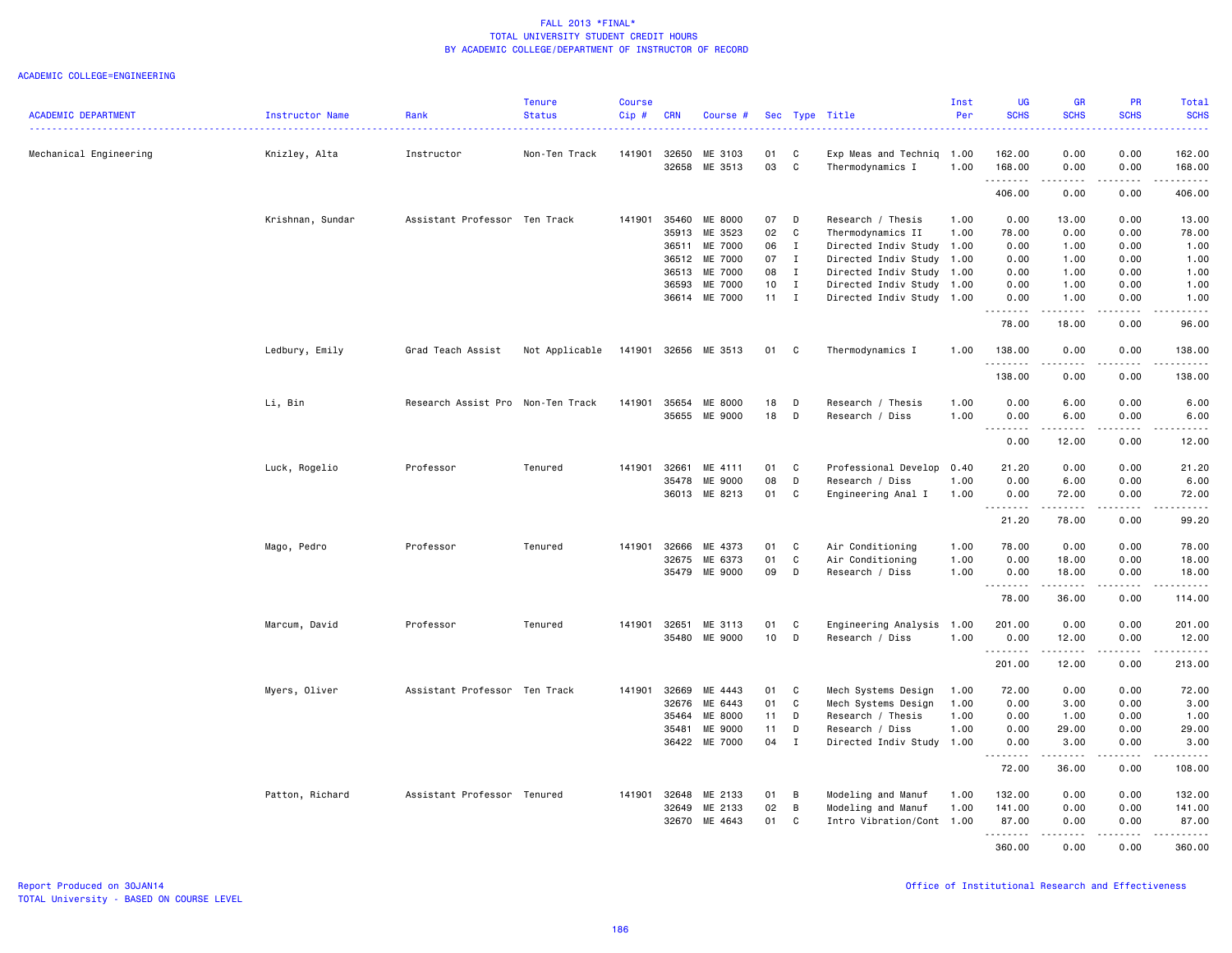|                            |                  |                                   | <b>Tenure</b>  | <b>Course</b> |              |               |      |              |                           | Inst | <b>UG</b>   | <b>GR</b>                                                                                                                                                     | <b>PR</b>                                                                                                                                            | Total                                                                                                                                                         |
|----------------------------|------------------|-----------------------------------|----------------|---------------|--------------|---------------|------|--------------|---------------------------|------|-------------|---------------------------------------------------------------------------------------------------------------------------------------------------------------|------------------------------------------------------------------------------------------------------------------------------------------------------|---------------------------------------------------------------------------------------------------------------------------------------------------------------|
| <b>ACADEMIC DEPARTMENT</b> | Instructor Name  | Rank                              | <b>Status</b>  | Cip#          | <b>CRN</b>   | Course #      |      |              | Sec Type Title            | Per  | <b>SCHS</b> | <b>SCHS</b>                                                                                                                                                   | <b>SCHS</b>                                                                                                                                          | <b>SCHS</b><br>.                                                                                                                                              |
| Mechanical Engineering     | Knizley, Alta    | Instructor                        | Non-Ten Track  | 141901        | 32650        | ME 3103       | 01   | C            | Exp Meas and Techniq      | 1.00 | 162.00      | 0.00                                                                                                                                                          | 0.00                                                                                                                                                 | 162.00                                                                                                                                                        |
|                            |                  |                                   |                |               | 32658        | ME 3513       | 03   | C            | Thermodynamics I          | 1.00 | 168.00<br>. | 0.00<br>$\frac{1}{2} \left( \frac{1}{2} \right) \left( \frac{1}{2} \right) \left( \frac{1}{2} \right) \left( \frac{1}{2} \right) \left( \frac{1}{2} \right)$  | 0.00<br>.                                                                                                                                            | 168.00<br>$\omega$ is $\omega$ in $\omega$ in                                                                                                                 |
|                            |                  |                                   |                |               |              |               |      |              |                           |      | 406.00      | 0.00                                                                                                                                                          | 0.00                                                                                                                                                 | 406.00                                                                                                                                                        |
|                            | Krishnan, Sundar | Assistant Professor Ten Track     |                | 141901        | 35460        | ME 8000       | 07   | D            | Research / Thesis         | 1.00 | 0.00        | 13.00                                                                                                                                                         | 0.00                                                                                                                                                 | 13.00                                                                                                                                                         |
|                            |                  |                                   |                |               | 35913        | ME 3523       | 02   | $\mathbf c$  | Thermodynamics II         | 1.00 | 78.00       | 0.00                                                                                                                                                          | 0.00                                                                                                                                                 | 78.00                                                                                                                                                         |
|                            |                  |                                   |                |               | 36511        | ME 7000       | 06   | $\mathbf{I}$ | Directed Indiv Study      | 1.00 | 0.00        | 1.00                                                                                                                                                          | 0.00                                                                                                                                                 | 1.00                                                                                                                                                          |
|                            |                  |                                   |                |               | 36512        | ME 7000       | 07   | $\mathbf{I}$ | Directed Indiv Study 1.00 |      | 0.00        | 1.00                                                                                                                                                          | 0.00                                                                                                                                                 | 1.00                                                                                                                                                          |
|                            |                  |                                   |                |               | 36513        | ME 7000       | 08 I |              | Directed Indiv Study 1.00 |      | 0.00        | 1.00                                                                                                                                                          | 0.00                                                                                                                                                 | 1.00                                                                                                                                                          |
|                            |                  |                                   |                |               | 36593        | ME 7000       | 10   | $\mathbf{I}$ | Directed Indiv Study 1.00 |      | 0.00        | 1.00                                                                                                                                                          | 0.00                                                                                                                                                 | 1.00                                                                                                                                                          |
|                            |                  |                                   |                |               | 36614        | ME 7000       | 11   | $\mathbf{I}$ | Directed Indiv Study 1.00 |      | 0.00        | 1.00                                                                                                                                                          | 0.00                                                                                                                                                 | 1.00                                                                                                                                                          |
|                            |                  |                                   |                |               |              |               |      |              |                           |      | .<br>78.00  | $\omega$ is a set of<br>18.00                                                                                                                                 | $\sim$ $\sim$ $\sim$<br>0.00                                                                                                                         | $\frac{1}{2} \left( \frac{1}{2} \right) \left( \frac{1}{2} \right) \left( \frac{1}{2} \right) \left( \frac{1}{2} \right) \left( \frac{1}{2} \right)$<br>96.00 |
|                            | Ledbury, Emily   | Grad Teach Assist                 | Not Applicable | 141901        |              | 32656 ME 3513 | 01   | C            | Thermodynamics I          | 1.00 | 138.00<br>. | 0.00<br>$- - - -$                                                                                                                                             | 0.00<br>$- - - -$                                                                                                                                    | 138.00<br>.                                                                                                                                                   |
|                            |                  |                                   |                |               |              |               |      |              |                           |      | 138.00      | 0.00                                                                                                                                                          | 0.00                                                                                                                                                 | 138.00                                                                                                                                                        |
|                            | Li, Bin          | Research Assist Pro Non-Ten Track |                | 141901        | 35654        | ME 8000       | 18   | D            | Research / Thesis         | 1.00 | 0.00        | 6.00                                                                                                                                                          | 0.00                                                                                                                                                 | 6.00                                                                                                                                                          |
|                            |                  |                                   |                |               | 35655        | ME 9000       | 18   | D            | Research / Diss           | 1.00 | 0.00        | 6.00                                                                                                                                                          | 0.00                                                                                                                                                 | 6.00                                                                                                                                                          |
|                            |                  |                                   |                |               |              |               |      |              |                           |      | .<br>0.00   | .<br>12.00                                                                                                                                                    | .<br>0.00                                                                                                                                            | .<br>12.00                                                                                                                                                    |
|                            | Luck, Rogelio    | Professor                         | Tenured        | 141901        | 32661        | ME 4111       | 01   | C            | Professional Develop      | 0.40 | 21.20       | 0.00                                                                                                                                                          | 0.00                                                                                                                                                 | 21.20                                                                                                                                                         |
|                            |                  |                                   |                |               | 35478        | ME 9000       | 08   | D            | Research / Diss           | 1.00 | 0.00        | 6.00                                                                                                                                                          | 0.00                                                                                                                                                 | 6.00                                                                                                                                                          |
|                            |                  |                                   |                |               | 36013        | ME 8213       | 01   | C            | Engineering Anal I        | 1.00 | 0.00        | 72.00                                                                                                                                                         | 0.00                                                                                                                                                 | 72.00                                                                                                                                                         |
|                            |                  |                                   |                |               |              |               |      |              |                           |      | .<br>21.20  | $\cdots \cdots \cdots$<br>78.00                                                                                                                               | .<br>0.00                                                                                                                                            | .<br>99.20                                                                                                                                                    |
|                            | Mago, Pedro      | Professor                         | Tenured        | 141901        | 32666        | ME 4373       | 01   | C            | Air Conditioning          | 1.00 | 78.00       | 0.00                                                                                                                                                          | 0.00                                                                                                                                                 | 78.00                                                                                                                                                         |
|                            |                  |                                   |                |               | 32675        | ME 6373       | 01   | C            | Air Conditioning          | 1.00 | 0.00        | 18.00                                                                                                                                                         | 0.00                                                                                                                                                 | 18.00                                                                                                                                                         |
|                            |                  |                                   |                |               | 35479        | ME 9000       | 09   | D            | Research / Diss           | 1.00 | 0.00        | 18.00                                                                                                                                                         | 0.00                                                                                                                                                 | 18.00                                                                                                                                                         |
|                            |                  |                                   |                |               |              |               |      |              |                           |      | .<br>78.00  | $\frac{1}{2} \left( \frac{1}{2} \right) \left( \frac{1}{2} \right) \left( \frac{1}{2} \right) \left( \frac{1}{2} \right) \left( \frac{1}{2} \right)$<br>36.00 | $\frac{1}{2} \left( \frac{1}{2} \right) \left( \frac{1}{2} \right) \left( \frac{1}{2} \right) \left( \frac{1}{2} \right)$<br>0.00                    | .<br>114.00                                                                                                                                                   |
|                            | Marcum, David    | Professor                         | Tenured        | 141901 32651  |              | ME 3113       | 01   | C            | Engineering Analysis 1.00 |      | 201.00      | 0.00                                                                                                                                                          | 0.00                                                                                                                                                 | 201.00                                                                                                                                                        |
|                            |                  |                                   |                |               | 35480        | ME 9000       | 10   | D            | Research / Diss           | 1.00 | 0.00        | 12.00                                                                                                                                                         | 0.00                                                                                                                                                 | 12.00                                                                                                                                                         |
|                            |                  |                                   |                |               |              |               |      |              |                           |      | .<br>201.00 | $\frac{1}{2}$<br>12.00                                                                                                                                        | $\frac{1}{2}$<br>0.00                                                                                                                                | .<br>213.00                                                                                                                                                   |
|                            | Myers, Oliver    | Assistant Professor Ten Track     |                | 141901        | 32669        | ME 4443       | 01   | C            | Mech Systems Design       | 1.00 | 72.00       | 0.00                                                                                                                                                          | 0.00                                                                                                                                                 | 72.00                                                                                                                                                         |
|                            |                  |                                   |                |               | 32676        | ME 6443       | 01   | C            | Mech Systems Design       | 1.00 | 0.00        | 3.00                                                                                                                                                          | 0.00                                                                                                                                                 | 3.00                                                                                                                                                          |
|                            |                  |                                   |                |               | 35464        | ME 8000       | 11   | D            | Research / Thesis         | 1.00 | 0.00        | 1.00                                                                                                                                                          | 0.00                                                                                                                                                 | 1.00                                                                                                                                                          |
|                            |                  |                                   |                |               | 35481        | ME 9000       | 11   | D            | Research / Diss           | 1.00 | 0.00        | 29.00                                                                                                                                                         | 0.00                                                                                                                                                 | 29.00                                                                                                                                                         |
|                            |                  |                                   |                |               |              | 36422 ME 7000 | 04   | $\mathbf{I}$ | Directed Indiv Study 1.00 |      | 0.00        | 3.00                                                                                                                                                          | 0.00                                                                                                                                                 | 3.00                                                                                                                                                          |
|                            |                  |                                   |                |               |              |               |      |              |                           |      | .<br>72.00  | .<br>36.00                                                                                                                                                    | .<br>0.00                                                                                                                                            | .<br>108.00                                                                                                                                                   |
|                            | Patton, Richard  | Assistant Professor Tenured       |                |               | 141901 32648 | ME 2133       | 01   | В            | Modeling and Manuf        | 1.00 | 132.00      | 0.00                                                                                                                                                          | 0.00                                                                                                                                                 | 132.00                                                                                                                                                        |
|                            |                  |                                   |                |               | 32649        | ME 2133       | 02   | В            | Modeling and Manuf        | 1.00 | 141.00      | 0.00                                                                                                                                                          | 0.00                                                                                                                                                 | 141.00                                                                                                                                                        |
|                            |                  |                                   |                |               | 32670        | ME 4643       | 01   | C            | Intro Vibration/Cont 1.00 |      | 87.00       | 0.00                                                                                                                                                          | 0.00                                                                                                                                                 | 87.00                                                                                                                                                         |
|                            |                  |                                   |                |               |              |               |      |              |                           |      | <u>.</u>    | .                                                                                                                                                             | $\frac{1}{2} \left( \frac{1}{2} \right) \left( \frac{1}{2} \right) \left( \frac{1}{2} \right) \left( \frac{1}{2} \right) \left( \frac{1}{2} \right)$ | <u> - - - - - - - - - -</u>                                                                                                                                   |
|                            |                  |                                   |                |               |              |               |      |              |                           |      | 360.00      | 0.00                                                                                                                                                          | 0.00                                                                                                                                                 | 360.00                                                                                                                                                        |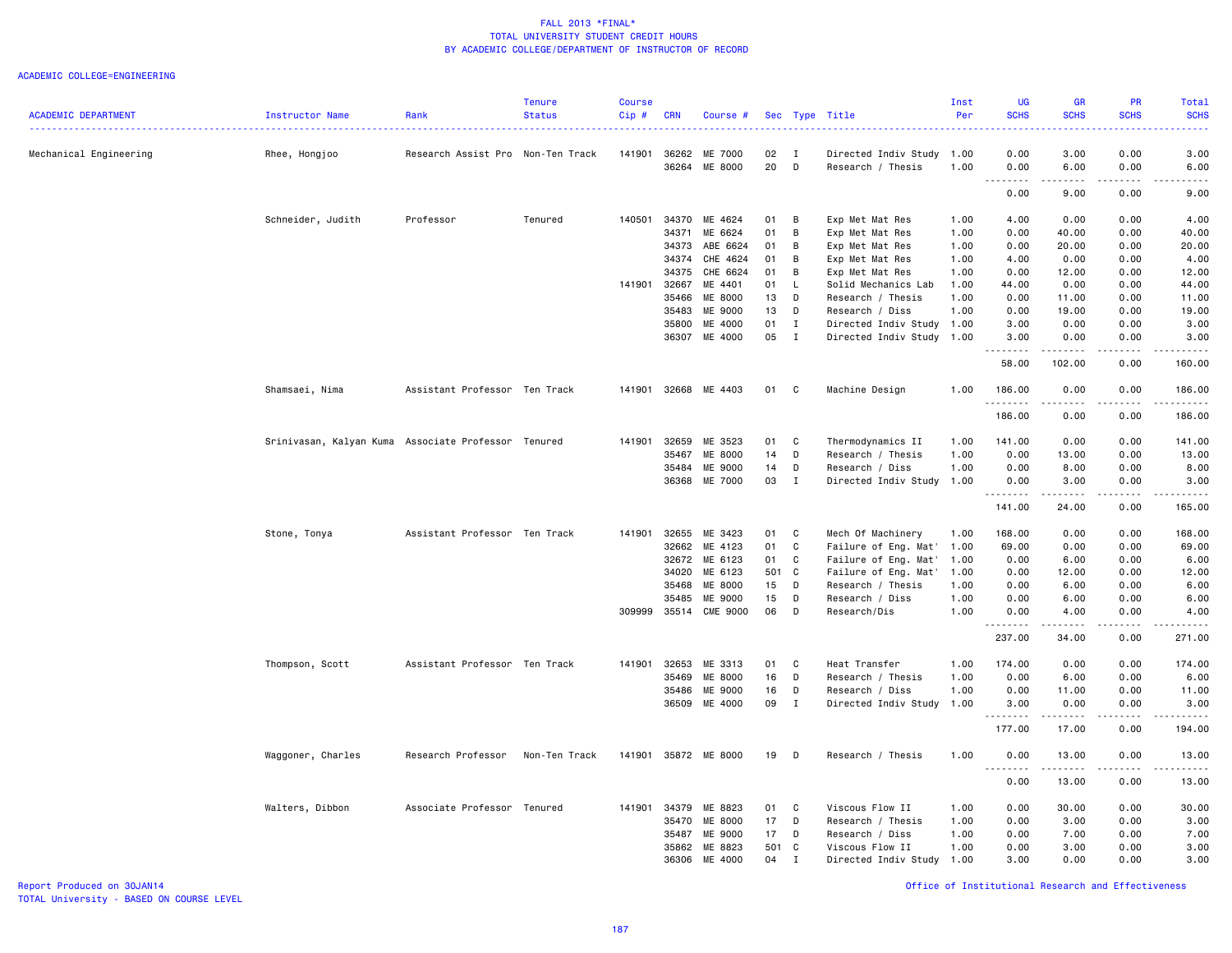#### ACADEMIC COLLEGE=ENGINEERING

|                            |                                                     |                                   | <b>Tenure</b> | <b>Course</b> |              |                          |          |                   |                                                | Inst | UG               | <b>GR</b>            | PR                                                                                                                                                           | Total                                                                                                                                                                                   |
|----------------------------|-----------------------------------------------------|-----------------------------------|---------------|---------------|--------------|--------------------------|----------|-------------------|------------------------------------------------|------|------------------|----------------------|--------------------------------------------------------------------------------------------------------------------------------------------------------------|-----------------------------------------------------------------------------------------------------------------------------------------------------------------------------------------|
| <b>ACADEMIC DEPARTMENT</b> | Instructor Name                                     | Rank                              | <b>Status</b> | Cip#          | <b>CRN</b>   | Course #                 |          |                   | Sec Type Title                                 | Per  | <b>SCHS</b>      | <b>SCHS</b>          | <b>SCHS</b>                                                                                                                                                  | <b>SCHS</b><br>$\frac{1}{2} \left( \frac{1}{2} \right) \left( \frac{1}{2} \right) \left( \frac{1}{2} \right) \left( \frac{1}{2} \right)$                                                |
|                            |                                                     |                                   |               |               |              |                          |          |                   |                                                |      |                  |                      |                                                                                                                                                              |                                                                                                                                                                                         |
| Mechanical Engineering     | Rhee, Hongjoo                                       | Research Assist Pro Non-Ten Track |               | 141901        | 36264        | 36262 ME 7000<br>ME 8000 | 02<br>20 | $\mathbf{I}$<br>D | Directed Indiv Study 1.00<br>Research / Thesis | 1.00 | 0.00<br>0.00     | 3.00<br>6.00         | 0.00<br>0.00                                                                                                                                                 | 3.00<br>6.00                                                                                                                                                                            |
|                            |                                                     |                                   |               |               |              |                          |          |                   |                                                |      | .                | .                    | .                                                                                                                                                            |                                                                                                                                                                                         |
|                            |                                                     |                                   |               |               |              |                          |          |                   |                                                |      | 0.00             | 9.00                 | 0.00                                                                                                                                                         | 9.00                                                                                                                                                                                    |
|                            | Schneider, Judith                                   | Professor                         | Tenured       | 140501        | 34370        | ME 4624                  | 01       | B                 | Exp Met Mat Res                                | 1.00 | 4.00             | 0.00                 | 0.00                                                                                                                                                         | 4.00                                                                                                                                                                                    |
|                            |                                                     |                                   |               |               | 34371        | ME 6624                  | 01       | B                 | Exp Met Mat Res                                | 1.00 | 0.00             | 40.00                | 0.00                                                                                                                                                         | 40.00                                                                                                                                                                                   |
|                            |                                                     |                                   |               |               | 34373        | ABE 6624                 | 01       | B                 | Exp Met Mat Res                                | 1.00 | 0.00             | 20.00                | 0.00                                                                                                                                                         | 20.00                                                                                                                                                                                   |
|                            |                                                     |                                   |               |               | 34374        | CHE 4624                 | 01       | В                 | Exp Met Mat Res                                | 1.00 | 4.00             | 0.00                 | 0.00                                                                                                                                                         | 4.00                                                                                                                                                                                    |
|                            |                                                     |                                   |               |               | 34375        | CHE 6624                 | 01       | B                 | Exp Met Mat Res                                | 1.00 | 0.00             | 12.00                | 0.00                                                                                                                                                         | 12.00                                                                                                                                                                                   |
|                            |                                                     |                                   |               | 141901        | 32667        | ME 4401                  | 01       | L.                | Solid Mechanics Lab                            | 1.00 | 44.00            | 0.00                 | 0.00                                                                                                                                                         | 44.00                                                                                                                                                                                   |
|                            |                                                     |                                   |               |               | 35466        | ME 8000                  | 13       | D                 | Research / Thesis                              | 1.00 | 0.00             | 11.00                | 0.00                                                                                                                                                         | 11.00                                                                                                                                                                                   |
|                            |                                                     |                                   |               |               | 35483        | ME 9000                  | 13       | D                 | Research / Diss                                | 1.00 | 0.00             | 19.00                | 0.00                                                                                                                                                         | 19.00                                                                                                                                                                                   |
|                            |                                                     |                                   |               |               | 35800        | ME 4000                  | 01       | I                 | Directed Indiv Study                           | 1.00 | 3.00             | 0.00                 | 0.00                                                                                                                                                         | 3.00                                                                                                                                                                                    |
|                            |                                                     |                                   |               |               |              | 36307 ME 4000            | 05       | $\mathbf{I}$      | Directed Indiv Study                           | 1.00 | 3.00<br>.        | 0.00<br>.            | 0.00<br>.                                                                                                                                                    | 3.00                                                                                                                                                                                    |
|                            |                                                     |                                   |               |               |              |                          |          |                   |                                                |      | 58.00            | 102.00               | 0.00                                                                                                                                                         | 160.00                                                                                                                                                                                  |
|                            | Shamsaei, Nima                                      | Assistant Professor Ten Track     |               |               |              | 141901 32668 ME 4403     | 01 C     |                   | Machine Design                                 | 1.00 | 186.00<br>.      | 0.00<br>.            | 0.00<br>$\frac{1}{2} \left( \frac{1}{2} \right) \left( \frac{1}{2} \right) \left( \frac{1}{2} \right) \left( \frac{1}{2} \right) \left( \frac{1}{2} \right)$ | 186.00<br>.                                                                                                                                                                             |
|                            |                                                     |                                   |               |               |              |                          |          |                   |                                                |      | 186.00           | 0.00                 | 0.00                                                                                                                                                         | 186.00                                                                                                                                                                                  |
|                            | Srinivasan, Kalyan Kuma Associate Professor Tenured |                                   |               |               | 141901 32659 | ME 3523                  | 01       | C                 | Thermodynamics II                              | 1.00 | 141.00           | 0.00                 | 0.00                                                                                                                                                         | 141.00                                                                                                                                                                                  |
|                            |                                                     |                                   |               |               | 35467        | ME 8000                  | 14       | D                 | Research / Thesis                              | 1.00 | 0.00             | 13.00                | 0.00                                                                                                                                                         | 13.00                                                                                                                                                                                   |
|                            |                                                     |                                   |               |               | 35484        | ME 9000                  | 14       | D                 | Research / Diss                                | 1.00 | 0.00             | 8.00                 | 0.00                                                                                                                                                         | 8.00                                                                                                                                                                                    |
|                            |                                                     |                                   |               |               |              | 36368 ME 7000            | 03       | $\mathbf{I}$      | Directed Indiv Study 1.00                      |      | 0.00<br>.        | 3.00<br>.            | 0.00<br>.                                                                                                                                                    | 3.00<br>$\frac{1}{2} \left( \frac{1}{2} \right) \left( \frac{1}{2} \right) \left( \frac{1}{2} \right) \left( \frac{1}{2} \right) \left( \frac{1}{2} \right) \left( \frac{1}{2} \right)$ |
|                            |                                                     |                                   |               |               |              |                          |          |                   |                                                |      | 141.00           | 24.00                | 0.00                                                                                                                                                         | 165.00                                                                                                                                                                                  |
|                            | Stone, Tonya                                        | Assistant Professor Ten Track     |               | 141901        | 32655        | ME 3423                  | 01       | C                 | Mech Of Machinery                              | 1.00 | 168.00           | 0.00                 | 0.00                                                                                                                                                         | 168.00                                                                                                                                                                                  |
|                            |                                                     |                                   |               |               |              | 32662 ME 4123            | 01       | C                 | Failure of Eng. Mat'                           | 1.00 | 69.00            | 0.00                 | 0.00                                                                                                                                                         | 69.00                                                                                                                                                                                   |
|                            |                                                     |                                   |               |               | 32672        | ME 6123                  | 01       | C                 | Failure of Eng. Mat'                           | 1.00 | 0.00             | 6.00                 | 0.00                                                                                                                                                         | 6.00                                                                                                                                                                                    |
|                            |                                                     |                                   |               |               | 34020        | ME 6123                  | 501 C    |                   | Failure of Eng. Mat'                           | 1.00 | 0.00             | 12.00                | 0.00                                                                                                                                                         | 12.00                                                                                                                                                                                   |
|                            |                                                     |                                   |               |               | 35468        | ME 8000                  | 15       | D                 | Research / Thesis                              | 1.00 | 0.00             | 6.00                 | 0.00                                                                                                                                                         | 6.00                                                                                                                                                                                    |
|                            |                                                     |                                   |               |               | 35485        | ME 9000                  | 15       | D                 | Research / Diss                                | 1.00 | 0.00             | 6.00                 | 0.00                                                                                                                                                         | 6.00                                                                                                                                                                                    |
|                            |                                                     |                                   |               | 309999        |              | 35514 CME 9000           | 06       | D                 | Research/Dis                                   | 1.00 | 0.00<br>.        | 4.00                 | 0.00                                                                                                                                                         | 4.00                                                                                                                                                                                    |
|                            |                                                     |                                   |               |               |              |                          |          |                   |                                                |      | 237.00           | 34.00                | 0.00                                                                                                                                                         | 271.00                                                                                                                                                                                  |
|                            | Thompson, Scott                                     | Assistant Professor Ten Track     |               | 141901        | 32653        | ME 3313                  | 01       | C                 | Heat Transfer                                  | 1.00 | 174.00           | 0.00                 | 0.00                                                                                                                                                         | 174.00                                                                                                                                                                                  |
|                            |                                                     |                                   |               |               | 35469        | ME 8000                  | 16       | D                 | Research / Thesis                              | 1.00 | 0.00             | 6.00                 | 0.00                                                                                                                                                         | 6.00                                                                                                                                                                                    |
|                            |                                                     |                                   |               |               | 35486        | ME 9000                  | 16       | D                 | Research / Diss                                | 1.00 | 0.00             | 11.00                | 0.00                                                                                                                                                         | 11.00                                                                                                                                                                                   |
|                            |                                                     |                                   |               |               | 36509        | ME 4000                  | 09       | $\mathbf{I}$      | Directed Indiv Study                           | 1.00 | 3.00<br>.        | 0.00<br>.            | 0.00<br>-----                                                                                                                                                | 3.00<br>$\frac{1}{2} \left( \frac{1}{2} \right) \left( \frac{1}{2} \right) \left( \frac{1}{2} \right) \left( \frac{1}{2} \right) \left( \frac{1}{2} \right)$                            |
|                            |                                                     |                                   |               |               |              |                          |          |                   |                                                |      | 177.00           | 17.00                | 0.00                                                                                                                                                         | 194.00                                                                                                                                                                                  |
|                            | Waggoner, Charles                                   | Research Professor                | Non-Ten Track | 141901        |              | 35872 ME 8000            | 19       | D                 | Research / Thesis                              | 1.00 | 0.00             | 13.00<br>$- - - - -$ | 0.00                                                                                                                                                         | 13.00                                                                                                                                                                                   |
|                            |                                                     |                                   |               |               |              |                          |          |                   |                                                |      | <u>.</u><br>0.00 | 13.00                | 0.00                                                                                                                                                         | 13.00                                                                                                                                                                                   |
|                            | Walters, Dibbon                                     | Associate Professor               | Tenured       | 141901        | 34379        | ME 8823                  | 01       | C                 | Viscous Flow II                                | 1.00 | 0.00             | 30.00                | 0.00                                                                                                                                                         | 30.00                                                                                                                                                                                   |
|                            |                                                     |                                   |               |               | 35470        | ME 8000                  | 17       | D                 | Research / Thesis                              | 1.00 | 0.00             | 3.00                 | 0.00                                                                                                                                                         | 3.00                                                                                                                                                                                    |
|                            |                                                     |                                   |               |               | 35487        | ME 9000                  | 17       | D                 | Research / Diss                                | 1.00 | 0.00             | 7.00                 | 0.00                                                                                                                                                         | 7.00                                                                                                                                                                                    |
|                            |                                                     |                                   |               |               | 35862        | ME 8823                  | 501 C    |                   | Viscous Flow II                                | 1.00 | 0.00             | 3.00                 | 0.00                                                                                                                                                         | 3.00                                                                                                                                                                                    |
|                            |                                                     |                                   |               |               | 36306        | ME 4000                  | 04       | $\mathbf I$       | Directed Indiv Study                           | 1.00 | 3.00             | 0.00                 | 0.00                                                                                                                                                         | 3,00                                                                                                                                                                                    |
|                            |                                                     |                                   |               |               |              |                          |          |                   |                                                |      |                  |                      |                                                                                                                                                              |                                                                                                                                                                                         |

Report Produced on 30JAN14 Office of Institutional Research and Effectiveness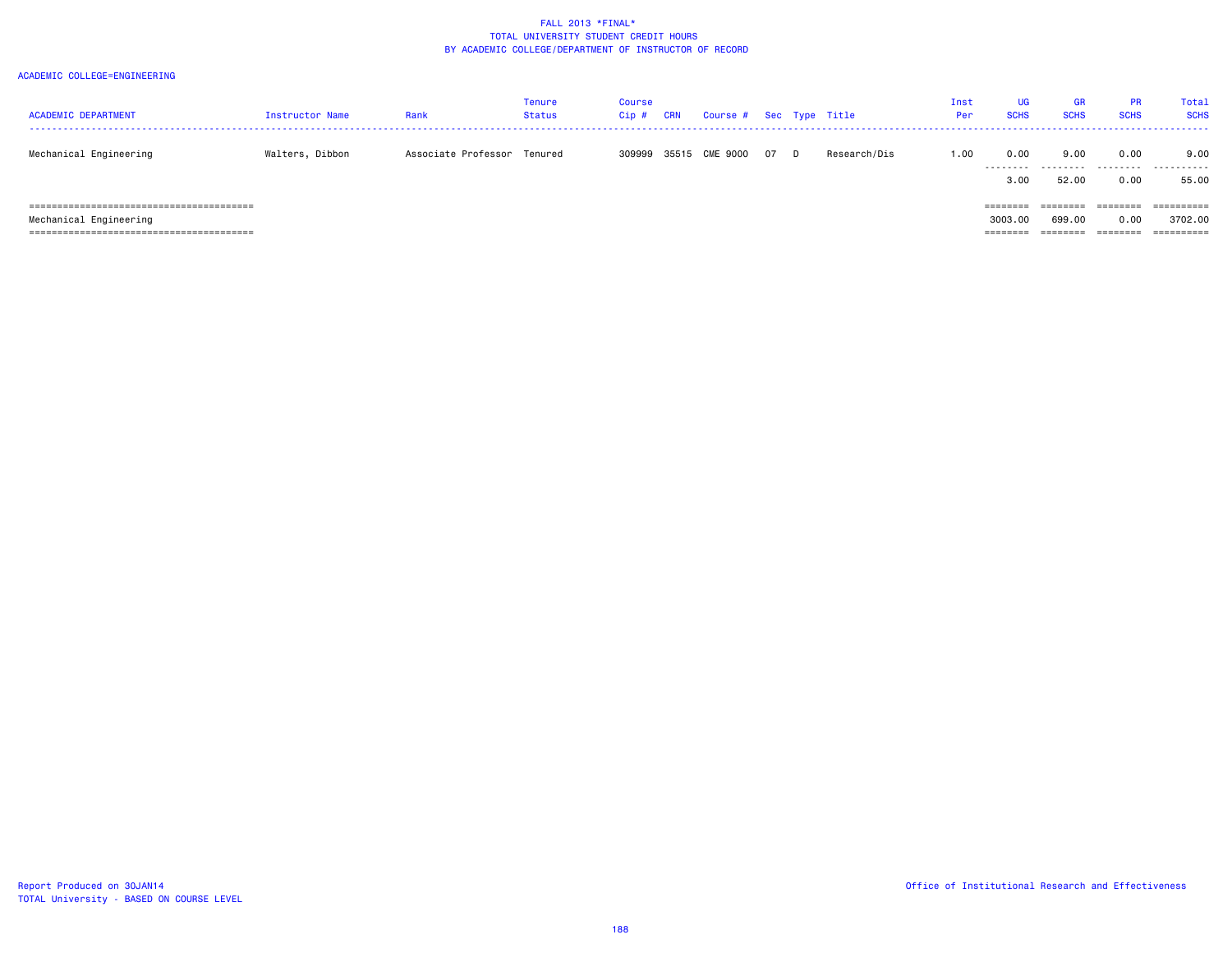| <b>ACADEMIC DEPARTMENT</b> | Instructor Name | Rank                        | Tenure<br>Status | Course<br>$Cip$ # | <b>CRN</b> | Course # Sec Type Title |      |              | Inst<br>Per | <b>UG</b><br><b>SCHS</b> | <b>GR</b><br><b>SCHS</b> | <b>PR</b><br><b>SCHS</b> | Total<br><b>SCHS</b> |
|----------------------------|-----------------|-----------------------------|------------------|-------------------|------------|-------------------------|------|--------------|-------------|--------------------------|--------------------------|--------------------------|----------------------|
| Mechanical Engineering     | Walters, Dibbon | Associate Professor Tenured |                  |                   |            | 309999 35515 CME 9000   | 07 D | Research/Dis | 1.00        | 0.00<br>---------        | 9.00<br>.                | 0.00                     | 9.00                 |
|                            |                 |                             |                  |                   |            |                         |      |              |             | 3.00                     | 52.00                    | 0.00                     | 55.00                |
|                            |                 |                             |                  |                   |            |                         |      |              |             | ========                 | ========                 | ========                 | ==========           |
| Mechanical Engineering     |                 |                             |                  |                   |            |                         |      |              |             | 3003.00                  | 699,00                   | 0.00                     | 3702.00              |
|                            |                 |                             |                  |                   |            |                         |      |              |             |                          |                          |                          |                      |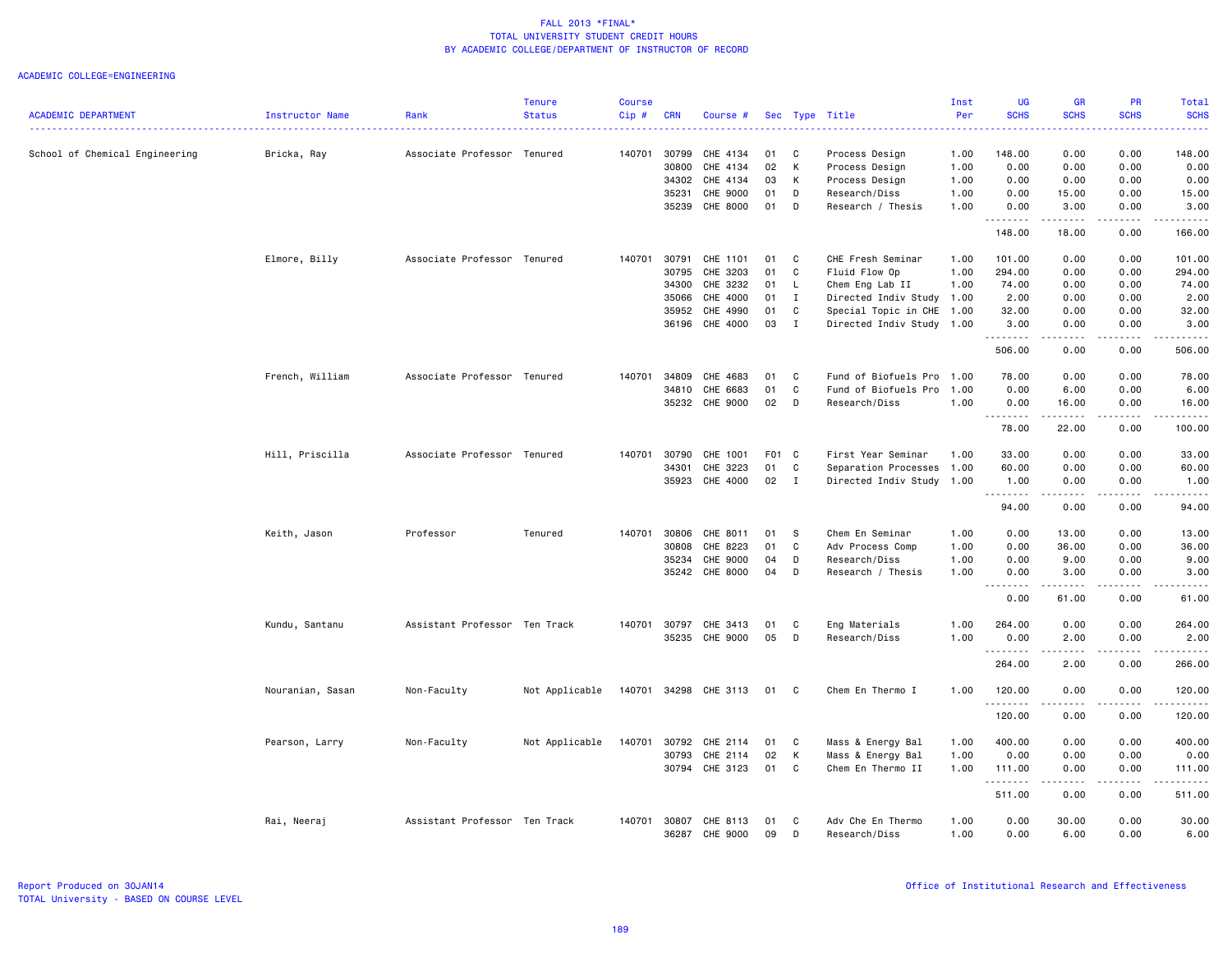| <b>ACADEMIC DEPARTMENT</b>     | Instructor Name  | Rank                          | <b>Tenure</b><br><b>Status</b> | <b>Course</b><br>Cip# | <b>CRN</b>   | Course #       |       |              | Sec Type Title            | Inst<br>Per | <b>UG</b><br><b>SCHS</b> | <b>GR</b><br><b>SCHS</b> | <b>PR</b><br><b>SCHS</b> | Total<br><b>SCHS</b>                                                                                                                |
|--------------------------------|------------------|-------------------------------|--------------------------------|-----------------------|--------------|----------------|-------|--------------|---------------------------|-------------|--------------------------|--------------------------|--------------------------|-------------------------------------------------------------------------------------------------------------------------------------|
| School of Chemical Engineering | Bricka, Ray      | Associate Professor Tenured   |                                | 140701                | 30799        | CHE 4134       | 01    | C            | Process Design            | 1.00        | 148.00                   | 0.00                     | 0.00                     | $\frac{1}{2} \left( \frac{1}{2} \right) \left( \frac{1}{2} \right) \left( \frac{1}{2} \right) \left( \frac{1}{2} \right)$<br>148.00 |
|                                |                  |                               |                                |                       | 30800        | CHE 4134       | 02    | K            | Process Design            | 1.00        | 0.00                     | 0.00                     | 0.00                     | 0.00                                                                                                                                |
|                                |                  |                               |                                |                       | 34302        | CHE 4134       | 03    | K            | Process Design            | 1.00        | 0.00                     | 0.00                     | 0.00                     | 0.00                                                                                                                                |
|                                |                  |                               |                                |                       | 35231        | CHE 9000       | 01    | D            | Research/Diss             | 1.00        | 0.00                     | 15.00                    | 0.00                     | 15.00                                                                                                                               |
|                                |                  |                               |                                |                       | 35239        | CHE 8000       | 01    | D            | Research / Thesis         | 1.00        | 0.00                     | 3.00                     | 0.00                     | 3.00                                                                                                                                |
|                                |                  |                               |                                |                       |              |                |       |              |                           |             | 148.00                   | 18.00                    | 0.00                     | 166.00                                                                                                                              |
|                                | Elmore, Billy    | Associate Professor Tenured   |                                | 140701                | 30791        | CHE 1101       | 01    | C            | CHE Fresh Seminar         | 1.00        | 101.00                   | 0.00                     | 0.00                     | 101.00                                                                                                                              |
|                                |                  |                               |                                |                       | 30795        | CHE 3203       | 01    | C            | Fluid Flow Op             | 1.00        | 294.00                   | 0.00                     | 0.00                     | 294.00                                                                                                                              |
|                                |                  |                               |                                |                       | 34300        | CHE 3232       | 01    | L.           | Chem Eng Lab II           | 1.00        | 74.00                    | 0.00                     | 0.00                     | 74.00                                                                                                                               |
|                                |                  |                               |                                |                       | 35066        | CHE 4000       | 01    | $\mathbf{I}$ | Directed Indiv Study 1.00 |             | 2.00                     | 0.00                     | 0.00                     | 2.00                                                                                                                                |
|                                |                  |                               |                                |                       | 35952        | CHE 4990       | 01    | C            | Special Topic in CHE 1.00 |             | 32.00                    | 0.00                     | 0.00                     | 32.00                                                                                                                               |
|                                |                  |                               |                                |                       |              | 36196 CHE 4000 | 03    | I            | Directed Indiv Study 1.00 |             | 3.00<br>.                | 0.00<br>.                | 0.00<br>.                | 3.00<br>.                                                                                                                           |
|                                |                  |                               |                                |                       |              |                |       |              |                           |             | 506.00                   | 0.00                     | 0.00                     | 506.00                                                                                                                              |
|                                | French, William  | Associate Professor Tenured   |                                | 140701                | 34809        | CHE 4683       | 01    | C            | Fund of Biofuels Pro      | 1.00        | 78.00                    | 0.00                     | 0.00                     | 78.00                                                                                                                               |
|                                |                  |                               |                                |                       | 34810        | CHE 6683       | 01    | C            | Fund of Biofuels Pro      | 1.00        | 0.00                     | 6.00                     | 0.00                     | 6.00                                                                                                                                |
|                                |                  |                               |                                |                       |              | 35232 CHE 9000 | 02    | $\mathsf{D}$ | Research/Diss             | 1.00        | 0.00                     | 16.00                    | 0.00                     | 16.00                                                                                                                               |
|                                |                  |                               |                                |                       |              |                |       |              |                           |             | .<br>78.00               | .<br>22.00               | .<br>0.00                | .<br>100.00                                                                                                                         |
|                                | Hill, Priscilla  | Associate Professor Tenured   |                                | 140701                | 30790        | CHE 1001       | F01 C |              | First Year Seminar        | 1.00        | 33.00                    | 0.00                     | 0.00                     | 33.00                                                                                                                               |
|                                |                  |                               |                                |                       | 34301        | CHE 3223       | 01    | $\mathbf C$  | Separation Processes      | 1.00        | 60.00                    | 0.00                     | 0.00                     | 60.00                                                                                                                               |
|                                |                  |                               |                                |                       | 35923        | CHE 4000       | 02    | $\mathbf{I}$ | Directed Indiv Study      | 1.00        | 1.00                     | 0.00                     | 0.00                     | 1.00                                                                                                                                |
|                                |                  |                               |                                |                       |              |                |       |              |                           |             | .<br>94.00               | .<br>0.00                | .<br>0.00                | .<br>94.00                                                                                                                          |
|                                | Keith, Jason     | Professor                     | Tenured                        | 140701                | 30806        | CHE 8011       | 01    | - S          | Chem En Seminar           | 1.00        | 0.00                     | 13.00                    | 0.00                     | 13.00                                                                                                                               |
|                                |                  |                               |                                |                       | 30808        | CHE 8223       | 01    | C            | Adv Process Comp          | 1.00        | 0.00                     | 36.00                    | 0.00                     | 36.00                                                                                                                               |
|                                |                  |                               |                                |                       | 35234        | CHE 9000       | 04    | D            | Research/Diss             | 1.00        | 0.00                     | 9.00                     | 0.00                     | 9.00                                                                                                                                |
|                                |                  |                               |                                |                       | 35242        | CHE 8000       | 04    | D            | Research / Thesis         | 1.00        | 0.00                     | 3.00                     | 0.00                     | 3.00                                                                                                                                |
|                                |                  |                               |                                |                       |              |                |       |              |                           |             | .<br>0.00                | 61.00                    | 0.00                     | $\frac{1}{2}$<br>61.00                                                                                                              |
|                                | Kundu, Santanu   | Assistant Professor Ten Track |                                |                       | 140701 30797 | CHE 3413       | 01    | C            | Eng Materials             | 1.00        | 264.00                   | 0.00                     | 0.00                     | 264.00                                                                                                                              |
|                                |                  |                               |                                |                       | 35235        | CHE 9000       | 05    | D            | Research/Diss             | 1.00        | 0.00                     | 2.00                     | 0.00                     | 2.00                                                                                                                                |
|                                |                  |                               |                                |                       |              |                |       |              |                           |             | .<br>264.00              | .<br>2.00                | .<br>0.00                | .<br>266.00                                                                                                                         |
|                                | Nouranian, Sasan | Non-Faculty                   | Not Applicable                 | 140701                |              | 34298 CHE 3113 | 01    | C.           | Chem En Thermo I          | 1.00        | 120.00                   | 0.00                     | 0.00                     | 120,00                                                                                                                              |
|                                |                  |                               |                                |                       |              |                |       |              |                           |             | <u>.</u><br>120.00       | .<br>0.00                | .<br>0.00                | .<br>120.00                                                                                                                         |
|                                | Pearson, Larry   | Non-Faculty                   | Not Applicable                 | 140701                | 30792        | CHE 2114       | 01    | C            | Mass & Energy Bal         | 1.00        | 400.00                   | 0.00                     | 0.00                     | 400.00                                                                                                                              |
|                                |                  |                               |                                |                       | 30793        | CHE 2114       | 02    | К            | Mass & Energy Bal         | 1.00        | 0.00                     | 0.00                     | 0.00                     | 0.00                                                                                                                                |
|                                |                  |                               |                                |                       |              | 30794 CHE 3123 | 01    | C            | Chem En Thermo II         | 1.00        | 111.00                   | 0.00                     | 0.00                     | 111.00                                                                                                                              |
|                                |                  |                               |                                |                       |              |                |       |              |                           |             | .<br>511.00              | .<br>0.00                | .<br>0.00                | .<br>511.00                                                                                                                         |
|                                | Rai, Neeraj      | Assistant Professor Ten Track |                                | 140701                | 30807        | CHE 8113       | 01    | C            | Adv Che En Thermo         | 1.00        | 0.00                     | 30.00                    | 0.00                     | 30.00                                                                                                                               |
|                                |                  |                               |                                |                       | 36287        | CHE 9000       | 09    | D            | Research/Diss             | 1.00        | 0.00                     | 6.00                     | 0.00                     | 6.00                                                                                                                                |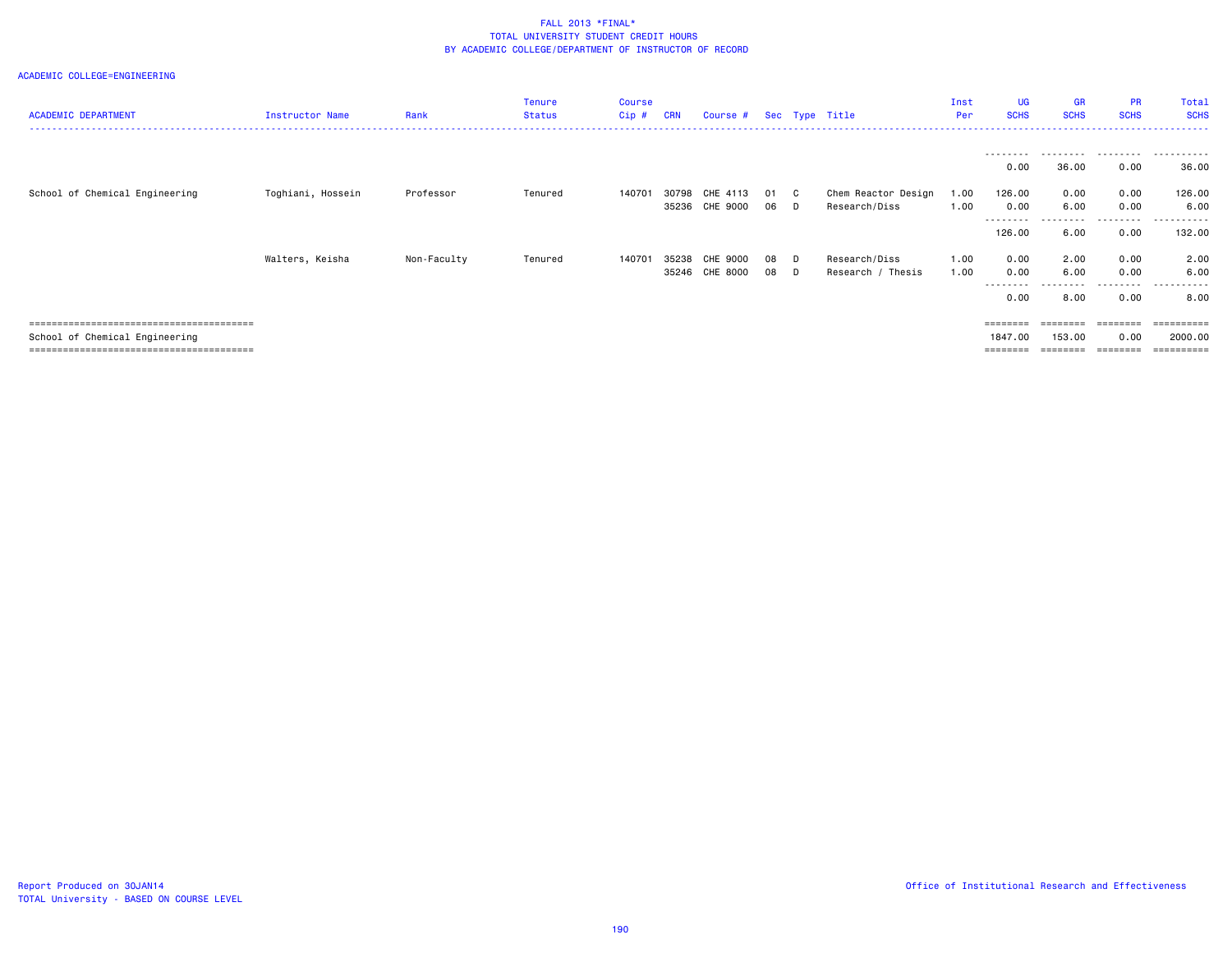| <b>ACADEMIC DEPARTMENT</b>     | <b>Instructor Name</b> | Rank        | <b>Tenure</b><br><b>Status</b> | <b>Course</b><br>Cip# | <b>CRN</b> | Course # Sec Type Title    |            |                    |                                      | Inst<br>Per  | <b>UG</b><br><b>SCHS</b>   | <b>GR</b><br><b>SCHS</b> | <b>PR</b><br><b>SCHS</b> | Total<br><b>SCHS</b>      |
|--------------------------------|------------------------|-------------|--------------------------------|-----------------------|------------|----------------------------|------------|--------------------|--------------------------------------|--------------|----------------------------|--------------------------|--------------------------|---------------------------|
|                                |                        |             |                                |                       |            |                            |            |                    |                                      |              | .<br>0.00                  | .<br>36.00               | 0.00                     | .<br>36.00                |
| School of Chemical Engineering | Toghiani, Hossein      | Professor   | Tenured                        | 140701                | 30798      | CHE 4113<br>35236 CHE 9000 | - 01<br>06 | $\mathbf{C}$<br>D. | Chem Reactor Design<br>Research/Diss | 1.00<br>1.00 | 126.00<br>0.00<br>-------- | 0.00<br>6.00<br>.        | 0.00<br>0.00<br>.        | 126.00<br>6.00<br>------- |
|                                |                        |             |                                |                       |            |                            |            |                    |                                      |              | 126.00                     | 6.00                     | 0.00                     | 132.00                    |
|                                | Walters, Keisha        | Non-Faculty | Tenured                        | 140701                | 35238      | CHE 9000                   | 08         | D                  | Research/Diss                        | 1.00         | 0.00                       | 2.00                     | 0.00                     | 2.00                      |
|                                |                        |             |                                |                       |            | 35246 CHE 8000             | 08         | D.                 | Research / Thesis                    | 1.00         | 0.00<br>.                  | 6.00<br>.                | 0.00<br>.                | 6.00<br>.                 |
|                                |                        |             |                                |                       |            |                            |            |                    |                                      |              | 0.00                       | 8.00                     | 0.00                     | 8.00                      |
|                                |                        |             |                                |                       |            |                            |            |                    |                                      |              | $=$ = = = = = = =          | ========                 | ========                 | ==========                |
| School of Chemical Engineering |                        |             |                                |                       |            |                            |            |                    |                                      |              | 1847.00                    | 153.00                   | 0.00                     | 2000.00                   |
|                                |                        |             |                                |                       |            |                            |            |                    |                                      |              | $=$ = = = = = = =          |                          |                          | ==========                |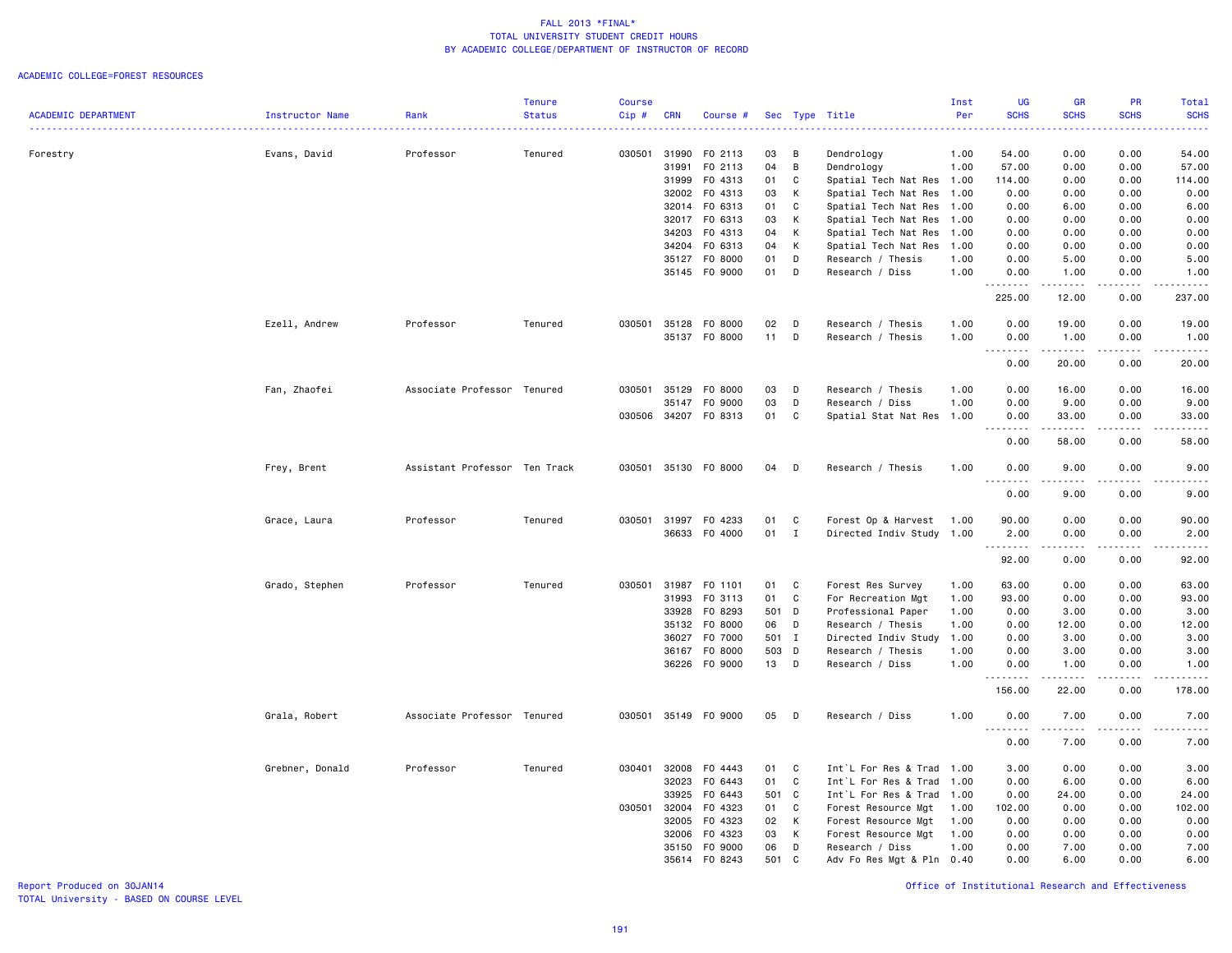#### ACADEMIC COLLEGE=FOREST RESOURCES

|                            |                 |                               | <b>Tenure</b> | Course       |            |                      |              |   |                           | Inst | <b>UG</b>                    | GR          | PR          | Total                                                                                                                                                         |
|----------------------------|-----------------|-------------------------------|---------------|--------------|------------|----------------------|--------------|---|---------------------------|------|------------------------------|-------------|-------------|---------------------------------------------------------------------------------------------------------------------------------------------------------------|
| <b>ACADEMIC DEPARTMENT</b> | Instructor Name | Rank                          | <b>Status</b> | Cip#         | <b>CRN</b> | Course #             |              |   | Sec Type Title            | Per  | <b>SCHS</b>                  | <b>SCHS</b> | <b>SCHS</b> | <b>SCHS</b>                                                                                                                                                   |
|                            |                 |                               |               |              |            |                      |              |   |                           |      |                              |             |             | والمستناب                                                                                                                                                     |
|                            |                 |                               |               |              |            |                      |              |   |                           |      |                              |             |             |                                                                                                                                                               |
| Forestry                   | Evans, David    | Professor                     | Tenured       | 030501       | 31990      | F0 2113              | 03           | B | Dendrology                | 1.00 | 54.00                        | 0.00        | 0.00        | 54.00                                                                                                                                                         |
|                            |                 |                               |               |              | 31991      | F0 2113              | 04           | B | Dendrology                | 1.00 | 57.00                        | 0.00        | 0.00        | 57.00                                                                                                                                                         |
|                            |                 |                               |               |              | 31999      | F0 4313              | 01           | C | Spatial Tech Nat Res 1.00 |      | 114.00                       | 0.00        | 0.00        | 114.00                                                                                                                                                        |
|                            |                 |                               |               |              | 32002      | F0 4313              | 03           | К | Spatial Tech Nat Res 1.00 |      | 0.00                         | 0.00        | 0.00        | 0.00                                                                                                                                                          |
|                            |                 |                               |               |              | 32014      | F0 6313              | 01           | C | Spatial Tech Nat Res 1.00 |      | 0.00                         | 6.00        | 0.00        | 6.00                                                                                                                                                          |
|                            |                 |                               |               |              | 32017      | F0 6313              | 03           | K | Spatial Tech Nat Res 1.00 |      | 0.00                         | 0.00        | 0.00        | 0.00                                                                                                                                                          |
|                            |                 |                               |               |              | 34203      | F0 4313              | 04           | К | Spatial Tech Nat Res 1.00 |      | 0.00                         | 0.00        | 0.00        | 0.00                                                                                                                                                          |
|                            |                 |                               |               |              | 34204      | F0 6313              | 04           | K | Spatial Tech Nat Res      | 1.00 | 0.00                         | 0.00        | 0.00        | 0.00                                                                                                                                                          |
|                            |                 |                               |               |              | 35127      | F0 8000              | 01           | D | Research / Thesis         | 1.00 | 0.00                         | 5.00        | 0.00        | 5.00                                                                                                                                                          |
|                            |                 |                               |               |              |            | 35145 FO 9000        | 01           | D | Research / Diss           | 1.00 | 0.00                         | 1.00        | 0.00        | 1.00                                                                                                                                                          |
|                            |                 |                               |               |              |            |                      |              |   |                           |      | .                            | .           | بالمحام     | .                                                                                                                                                             |
|                            |                 |                               |               |              |            |                      |              |   |                           |      | 225.00                       | 12.00       | 0.00        | 237.00                                                                                                                                                        |
|                            | Ezell, Andrew   | Professor                     | Tenured       | 030501       | 35128      | F0 8000              | 02           | D | Research / Thesis         | 1.00 | 0.00                         | 19.00       | 0.00        | 19.00                                                                                                                                                         |
|                            |                 |                               |               |              |            | 35137 FO 8000        | 11           | D | Research / Thesis         | 1.00 | 0.00                         | 1.00        | 0.00        | 1.00                                                                                                                                                          |
|                            |                 |                               |               |              |            |                      |              |   |                           |      | .<br>$\frac{1}{2}$           | .           | .           | .                                                                                                                                                             |
|                            |                 |                               |               |              |            |                      |              |   |                           |      | 0.00                         | 20.00       | 0.00        | 20.00                                                                                                                                                         |
|                            |                 | Associate Professor Tenured   |               | 030501 35129 |            | F0 8000              | 03           | D | Research / Thesis         | 1.00 |                              |             | 0.00        | 16.00                                                                                                                                                         |
|                            | Fan, Zhaofei    |                               |               |              |            |                      |              |   |                           |      | 0.00                         | 16.00       |             |                                                                                                                                                               |
|                            |                 |                               |               |              | 35147      | F0 9000              | 03           | D | Research / Diss           | 1.00 | 0.00                         | 9.00        | 0.00        | 9.00                                                                                                                                                          |
|                            |                 |                               |               | 030506       |            | 34207 FO 8313        | 01           | C | Spatial Stat Nat Res 1.00 |      | 0.00                         | 33.00       | 0.00        | 33.00                                                                                                                                                         |
|                            |                 |                               |               |              |            |                      |              |   |                           |      | $\sim$ $\sim$ $\sim$<br>0.00 | 58.00       | .<br>0.00   | $\frac{1}{2} \left( \frac{1}{2} \right) \left( \frac{1}{2} \right) \left( \frac{1}{2} \right) \left( \frac{1}{2} \right) \left( \frac{1}{2} \right)$<br>58.00 |
|                            |                 |                               |               |              |            |                      |              |   |                           |      |                              |             |             |                                                                                                                                                               |
|                            | Frey, Brent     | Assistant Professor Ten Track |               |              |            | 030501 35130 FO 8000 | 04           | D | Research / Thesis         | 1.00 | 0.00<br>.                    | 9.00        | 0.00        | 9.00<br>$\frac{1}{2} \left( \frac{1}{2} \right) \left( \frac{1}{2} \right) \left( \frac{1}{2} \right) \left( \frac{1}{2} \right) \left( \frac{1}{2} \right)$  |
|                            |                 |                               |               |              |            |                      |              |   |                           |      | 0.00                         | 9.00        | 0.00        | 9.00                                                                                                                                                          |
|                            |                 |                               |               |              |            |                      |              |   |                           |      |                              |             |             |                                                                                                                                                               |
|                            | Grace, Laura    | Professor                     | Tenured       | 030501       | 31997      | F0 4233              | 01           | C | Forest Op & Harvest       | 1.00 | 90.00                        | 0.00        | 0.00        | 90.00                                                                                                                                                         |
|                            |                 |                               |               |              |            | 36633 F0 4000        | $01 \quad I$ |   | Directed Indiv Study 1.00 |      | 2.00                         | 0.00        | 0.00        | 2.00                                                                                                                                                          |
|                            |                 |                               |               |              |            |                      |              |   |                           |      | .                            |             |             | .                                                                                                                                                             |
|                            |                 |                               |               |              |            |                      |              |   |                           |      | 92.00                        | 0.00        | 0.00        | 92.00                                                                                                                                                         |
|                            | Grado, Stephen  | Professor                     | Tenured       | 030501       | 31987      | F0 1101              | 01           | C | Forest Res Survey         | 1.00 | 63.00                        | 0.00        | 0.00        | 63.00                                                                                                                                                         |
|                            |                 |                               |               |              | 31993      | F0 3113              | 01           | C | For Recreation Mgt        | 1.00 | 93.00                        | 0.00        | 0.00        | 93.00                                                                                                                                                         |
|                            |                 |                               |               |              | 33928      | F0 8293              | 501 D        |   | Professional Paper        | 1.00 | 0.00                         | 3.00        | 0.00        | 3.00                                                                                                                                                          |
|                            |                 |                               |               |              | 35132      | F0 8000              | 06           | D | Research / Thesis         | 1.00 | 0.00                         | 12.00       | 0.00        | 12.00                                                                                                                                                         |
|                            |                 |                               |               |              | 36027      | F0 7000              | 501 I        |   | Directed Indiv Study      | 1.00 | 0.00                         | 3.00        | 0.00        | 3.00                                                                                                                                                          |
|                            |                 |                               |               |              | 36167      | F0 8000              | 503 D        |   | Research / Thesis         | 1.00 | 0.00                         | 3.00        | 0.00        | 3.00                                                                                                                                                          |
|                            |                 |                               |               |              |            | 36226 F0 9000        | 13           | D | Research / Diss           | 1.00 | 0.00                         | 1.00        | 0.00        | 1.00                                                                                                                                                          |
|                            |                 |                               |               |              |            |                      |              |   |                           |      | $\frac{1}{2}$                |             | .           | .                                                                                                                                                             |
|                            |                 |                               |               |              |            |                      |              |   |                           |      | 156.00                       | 22.00       | 0.00        | 178.00                                                                                                                                                        |
|                            | Grala, Robert   | Associate Professor Tenured   |               |              |            | 030501 35149 F0 9000 | 05           | D | Research / Diss           | 1.00 | 0.00                         | 7.00        | 0.00        | 7.00                                                                                                                                                          |
|                            |                 |                               |               |              |            |                      |              |   |                           |      | .                            |             |             | $\frac{1}{2} \left( \frac{1}{2} \right) \left( \frac{1}{2} \right) \left( \frac{1}{2} \right) \left( \frac{1}{2} \right) \left( \frac{1}{2} \right)$          |
|                            |                 |                               |               |              |            |                      |              |   |                           |      | 0.00                         | 7.00        | 0.00        | 7.00                                                                                                                                                          |
|                            | Grebner, Donald | Professor                     | Tenured       | 030401       | 32008      | F0 4443              | 01           | C | Int`L For Res & Trad 1.00 |      | 3.00                         | 0.00        | 0.00        | 3.00                                                                                                                                                          |
|                            |                 |                               |               |              | 32023      | F0 6443              | 01           | C | Int`L For Res & Trad      | 1.00 | 0.00                         | 6.00        | 0.00        | 6.00                                                                                                                                                          |
|                            |                 |                               |               |              | 33925      | F0 6443              | 501 C        |   | Int`L For Res & Trad      | 1.00 | 0.00                         | 24.00       | 0.00        | 24.00                                                                                                                                                         |
|                            |                 |                               |               | 030501       | 32004      | F0 4323              | 01           | C | Forest Resource Mgt       | 1.00 | 102.00                       | 0.00        | 0.00        | 102.00                                                                                                                                                        |
|                            |                 |                               |               |              | 32005      | F0 4323              | 02           | K | Forest Resource Mgt       | 1.00 | 0.00                         | 0.00        | 0.00        | 0.00                                                                                                                                                          |
|                            |                 |                               |               |              |            |                      |              |   |                           |      |                              |             |             |                                                                                                                                                               |
|                            |                 |                               |               |              | 32006      | F0 4323              | 03           | K | Forest Resource Mgt       | 1.00 | 0.00                         | 0.00        | 0.00        | 0.00                                                                                                                                                          |
|                            |                 |                               |               |              | 35150      | F0 9000              | 06           | D | Research / Diss           | 1.00 | 0.00                         | 7.00        | 0.00        | 7.00                                                                                                                                                          |
|                            |                 |                               |               |              | 35614      | F0 8243              | 501          | C | Adv Fo Res Mgt & Pln 0.40 |      | 0.00                         | 6.00        | 0.00        | 6.00                                                                                                                                                          |

Report Produced on 30JAN14 Office of Institutional Research and Effectiveness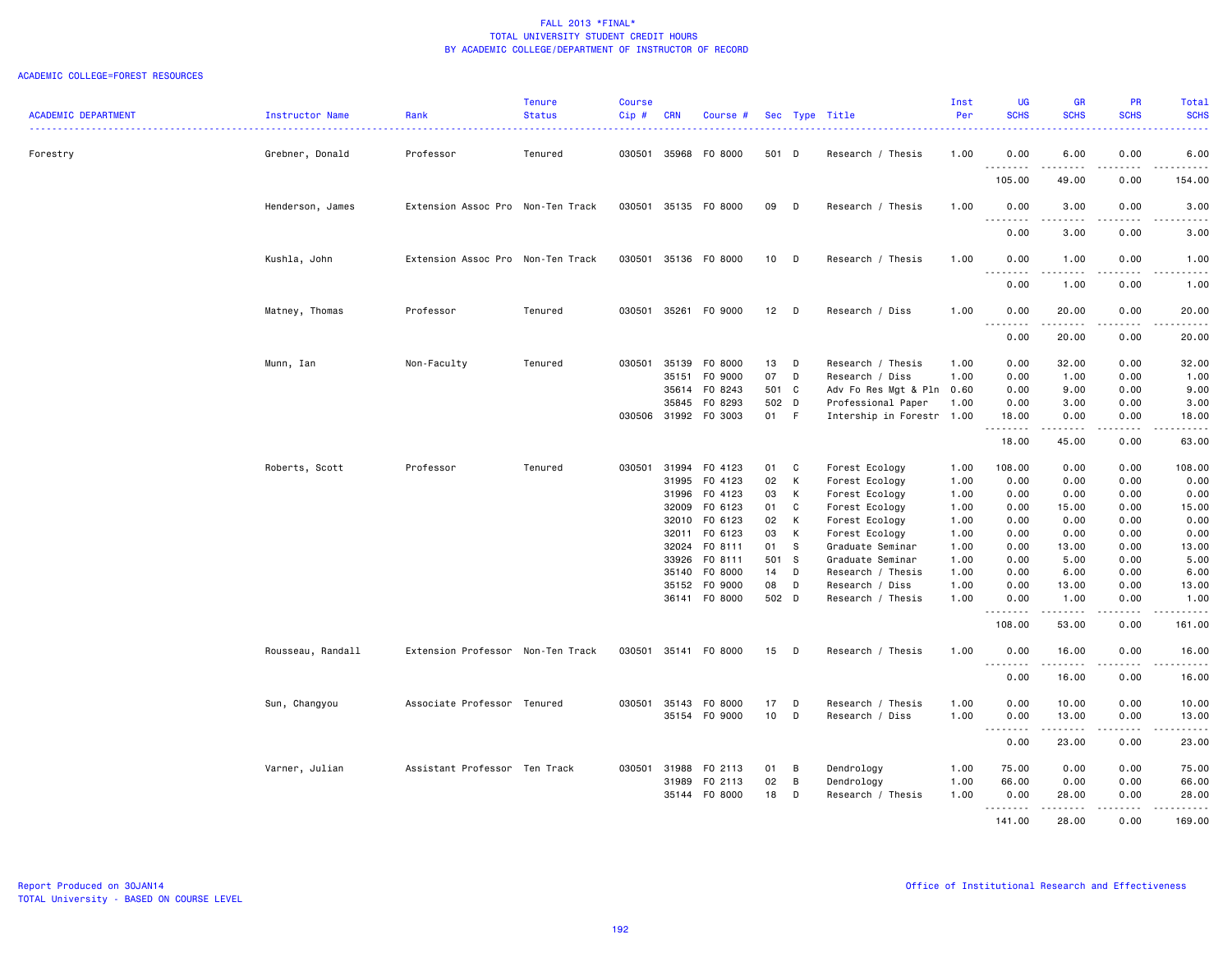#### ACADEMIC COLLEGE=FOREST RESOURCES

| <b>ACADEMIC DEPARTMENT</b> | Instructor Name   | Rank                              | <b>Tenure</b><br><b>Status</b> | <b>Course</b><br>Cip# | <b>CRN</b>     | Course #                 |               |        | Sec Type Title                                  | Inst<br>Per  | <b>UG</b><br><b>SCHS</b>          | <b>GR</b><br><b>SCHS</b>                                                                                                                                                                | <b>PR</b><br><b>SCHS</b> | Total<br><b>SCHS</b>                        |
|----------------------------|-------------------|-----------------------------------|--------------------------------|-----------------------|----------------|--------------------------|---------------|--------|-------------------------------------------------|--------------|-----------------------------------|-----------------------------------------------------------------------------------------------------------------------------------------------------------------------------------------|--------------------------|---------------------------------------------|
|                            |                   |                                   |                                |                       |                |                          |               |        |                                                 |              |                                   |                                                                                                                                                                                         |                          | .                                           |
| Forestry                   | Grebner, Donald   | Professor                         | Tenured                        |                       |                | 030501 35968 FO 8000     | 501 D         |        | Research / Thesis                               | 1.00         | 0.00<br>.                         | 6.00<br>$\frac{1}{2} \left( \frac{1}{2} \right) \left( \frac{1}{2} \right) \left( \frac{1}{2} \right) \left( \frac{1}{2} \right) \left( \frac{1}{2} \right) \left( \frac{1}{2} \right)$ | 0.00<br>$- - - -$        | 6.00<br>.                                   |
|                            |                   |                                   |                                |                       |                |                          |               |        |                                                 |              | 105.00                            | 49.00                                                                                                                                                                                   | 0.00                     | 154.00                                      |
|                            | Henderson, James  | Extension Assoc Pro Non-Ten Track |                                |                       |                | 030501 35135 FO 8000     | 09            | D      | Research / Thesis                               | 1.00         | 0.00<br>-----<br>.                | 3.00<br>$\frac{1}{2} \left( \frac{1}{2} \right) \left( \frac{1}{2} \right) \left( \frac{1}{2} \right) \left( \frac{1}{2} \right) \left( \frac{1}{2} \right)$                            | 0.00<br>.                | 3.00<br>-----                               |
|                            |                   |                                   |                                |                       |                |                          |               |        |                                                 |              | 0.00                              | 3.00                                                                                                                                                                                    | 0.00                     | 3.00                                        |
|                            | Kushla, John      | Extension Assoc Pro Non-Ten Track |                                | 030501                |                | 35136 FO 8000            | 10            | D      | Research / Thesis                               | 1.00         | 0.00<br>$\sim$ $\sim$ $\sim$<br>. | 1.00<br>$\frac{1}{2}$                                                                                                                                                                   | 0.00<br>. <b>.</b> .     | 1.00<br>-----                               |
|                            |                   |                                   |                                |                       |                |                          |               |        |                                                 |              | 0.00                              | 1.00                                                                                                                                                                                    | 0.00                     | 1.00                                        |
|                            | Matney, Thomas    | Professor                         | Tenured                        |                       |                | 030501 35261 F0 9000     | $12$ D        |        | Research / Diss                                 | 1.00         | 0.00<br>.                         | 20.00<br>.                                                                                                                                                                              | 0.00<br>$\frac{1}{2}$    | 20.00<br>د د د د د                          |
|                            |                   |                                   |                                |                       |                |                          |               |        |                                                 |              | 0.00                              | 20.00                                                                                                                                                                                   | 0.00                     | 20.00                                       |
|                            | Munn, Ian         | Non-Faculty                       | Tenured                        |                       |                | 030501 35139 F0 8000     | 13 D          |        | Research / Thesis                               | 1.00         | 0.00                              | 32.00                                                                                                                                                                                   | 0.00                     | 32.00                                       |
|                            |                   |                                   |                                |                       | 35151          | F0 9000                  | 07            | D      | Research / Diss                                 | 1.00         | 0.00                              | 1.00                                                                                                                                                                                    | 0.00                     | 1.00                                        |
|                            |                   |                                   |                                |                       |                | 35614 FO 8243            | 501 C         |        | Adv Fo Res Mgt & Pln 0.60                       |              | 0.00                              | 9.00                                                                                                                                                                                    | 0.00                     | 9.00                                        |
|                            |                   |                                   |                                | 030506                | 35845          | F0 8293<br>31992 F0 3003 | 502 D<br>01 F |        | Professional Paper<br>Intership in Forestr 1.00 | 1.00         | 0.00<br>18.00                     | 3.00<br>0.00                                                                                                                                                                            | 0.00<br>0.00             | 3.00<br>18.00                               |
|                            |                   |                                   |                                |                       |                |                          |               |        |                                                 |              | <u>.</u><br>18.00                 | $- - - - -$<br>45.00                                                                                                                                                                    | .<br>0.00                | $\frac{1}{2}$<br>63.00                      |
|                            | Roberts, Scott    | Professor                         | Tenured                        | 030501                | 31994          | F0 4123                  | 01            | C      | Forest Ecology                                  | 1.00         | 108.00                            | 0.00                                                                                                                                                                                    | 0.00                     | 108.00                                      |
|                            |                   |                                   |                                |                       | 31995          | F0 4123                  | 02            | K      | Forest Ecology                                  | 1.00         | 0.00                              | 0.00                                                                                                                                                                                    | 0.00                     | 0.00                                        |
|                            |                   |                                   |                                |                       | 31996          | F0 4123                  | 03            | K      | Forest Ecology                                  | 1.00         | 0.00                              | 0.00                                                                                                                                                                                    | 0.00                     | 0.00                                        |
|                            |                   |                                   |                                |                       | 32009          | F0 6123                  | 01            | C      | Forest Ecology                                  | 1.00         | 0.00                              | 15.00                                                                                                                                                                                   | 0.00                     | 15.00                                       |
|                            |                   |                                   |                                |                       | 32010          | F0 6123                  | 02            | K      | Forest Ecology                                  | 1.00         | 0.00                              | 0.00                                                                                                                                                                                    | 0.00                     | 0.00                                        |
|                            |                   |                                   |                                |                       |                | 32011 FO 6123            | 03            | K      | Forest Ecology                                  | 1.00         | 0.00                              | 0.00                                                                                                                                                                                    | 0.00                     | 0.00                                        |
|                            |                   |                                   |                                |                       |                | 32024 FO 8111            | 01            | - S    | Graduate Seminar                                | 1.00         | 0.00                              | 13.00                                                                                                                                                                                   | 0.00                     | 13.00                                       |
|                            |                   |                                   |                                |                       | 33926<br>35140 | FO 8111<br>F0 8000       | 501 S<br>14   | D      | Graduate Seminar<br>Research / Thesis           | 1.00<br>1.00 | 0.00<br>0.00                      | 5.00<br>6.00                                                                                                                                                                            | 0.00<br>0.00             | 5.00<br>6.00                                |
|                            |                   |                                   |                                |                       | 35152          | F0 9000                  | 08            | D      | Research / Diss                                 | 1.00         | 0.00                              | 13.00                                                                                                                                                                                   | 0.00                     | 13.00                                       |
|                            |                   |                                   |                                |                       |                | 36141 F0 8000            | 502 D         |        | Research / Thesis                               | 1.00         | 0.00<br>.                         | 1.00<br>$\frac{1}{2} \left( \frac{1}{2} \right) \left( \frac{1}{2} \right) \left( \frac{1}{2} \right) \left( \frac{1}{2} \right) \left( \frac{1}{2} \right)$                            | 0.00<br>$\frac{1}{2}$    | 1.00<br>.                                   |
|                            |                   |                                   |                                |                       |                |                          |               |        |                                                 |              | 108.00                            | 53.00                                                                                                                                                                                   | 0.00                     | 161.00                                      |
|                            | Rousseau, Randall | Extension Professor Non-Ten Track |                                | 030501                |                | 35141 FO 8000            | 15            | $\Box$ | Research / Thesis                               | 1.00         | 0.00<br>.                         | 16.00<br>.                                                                                                                                                                              | 0.00<br>د د د د          | 16.00<br>.                                  |
|                            |                   |                                   |                                |                       |                |                          |               |        |                                                 |              | 0.00                              | 16.00                                                                                                                                                                                   | 0.00                     | 16.00                                       |
|                            | Sun, Changyou     | Associate Professor Tenured       |                                | 030501                | 35143          | F0 8000                  | 17            | D      | Research / Thesis                               | 1.00         | 0.00                              | 10.00                                                                                                                                                                                   | 0.00                     | 10.00                                       |
|                            |                   |                                   |                                |                       |                | 35154 FO 9000            | 10            | D      | Research / Diss                                 | 1.00         | 0.00<br>.<br>$\sim$ $\sim$ $\sim$ | 13.00                                                                                                                                                                                   | 0.00<br>.                | 13.00<br>$\sim$ $\sim$ $\sim$ $\sim$ $\sim$ |
|                            |                   |                                   |                                |                       |                |                          |               |        |                                                 |              | 0.00                              | 23.00                                                                                                                                                                                   | 0.00                     | 23.00                                       |
|                            | Varner, Julian    | Assistant Professor Ten Track     |                                |                       | 030501 31988   | F0 2113                  | 01            | B      | Dendrology                                      | 1.00         | 75.00                             | 0.00                                                                                                                                                                                    | 0.00                     | 75.00                                       |
|                            |                   |                                   |                                |                       | 31989          | F0 2113                  | 02            | B      | Dendrology                                      | 1.00         | 66.00                             | 0.00                                                                                                                                                                                    | 0.00                     | 66.00                                       |
|                            |                   |                                   |                                |                       | 35144          | F0 8000                  | 18            | D      | Research / Thesis                               | 1.00         | 0.00                              | 28.00                                                                                                                                                                                   | 0.00                     | 28.00                                       |
|                            |                   |                                   |                                |                       |                |                          |               |        |                                                 |              | .<br>141.00                       | 28.00                                                                                                                                                                                   | .<br>0.00                | $    -$<br>169.00                           |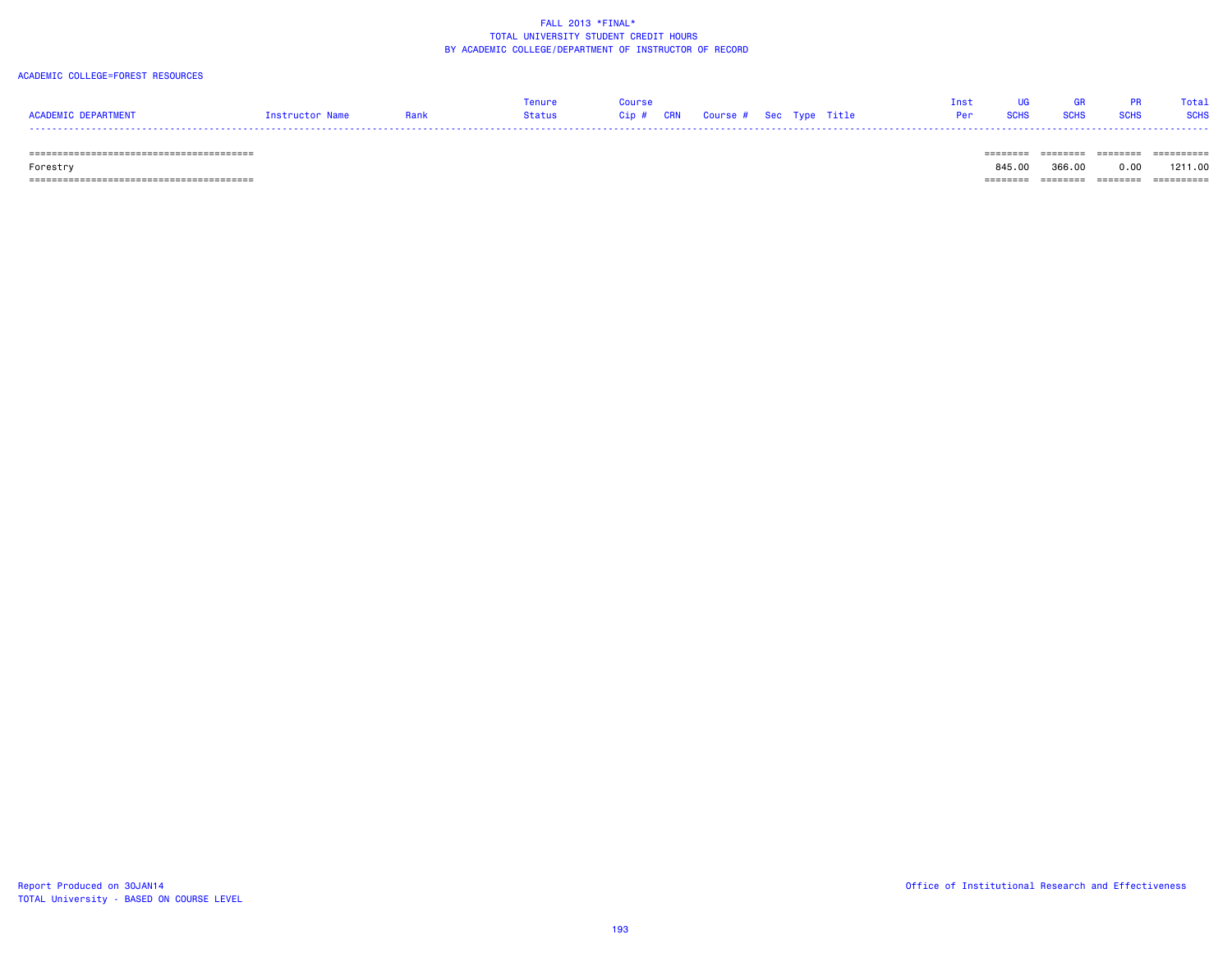#### ACADEMIC COLLEGE=FOREST RESOURCES

| ACADEMIC DEPARTMENT          | Instructor Name | Rank | Tenure<br>Status | Course | Cip # CRN Course # Sec Type Title |  | Inst<br>Per | <b>SCHS</b> | <b>SCHS</b> | PR.<br><b>SCHS</b> | Total<br><b>SCHS</b> |
|------------------------------|-----------------|------|------------------|--------|-----------------------------------|--|-------------|-------------|-------------|--------------------|----------------------|
| ============================ |                 |      |                  |        |                                   |  |             |             |             | _______            | ==========           |

Forestry 845.00 366.00 0.00 1211.00

======================================== ======== ======== ======== ==========

TOTAL University - BASED ON COURSE LEVEL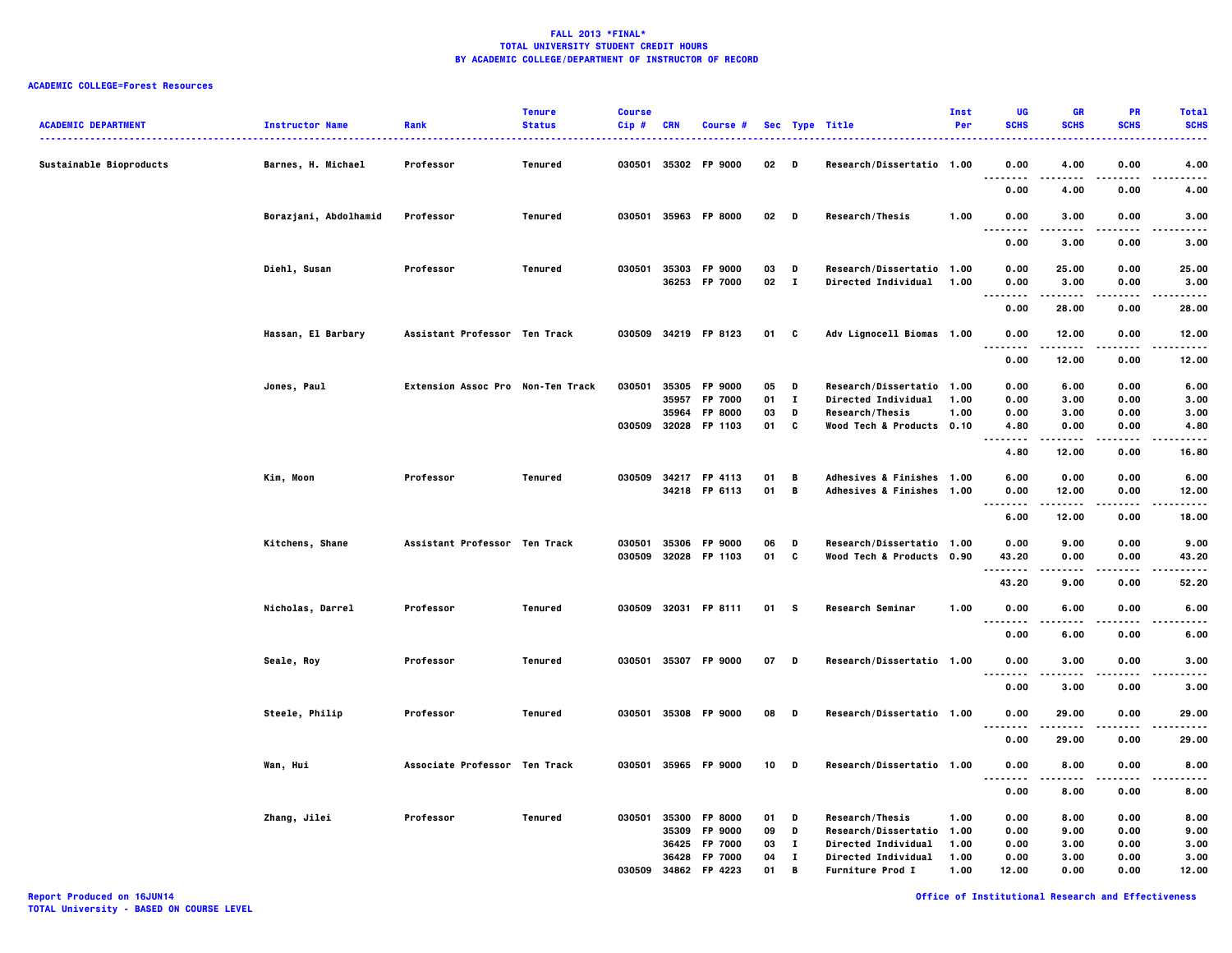# **ACADEMIC COLLEGE=Forest Resources**

| <b>ACADEMIC DEPARTMENT</b> | <b>Instructor Name</b> | Rank                              | <b>Tenure</b><br><b>Status</b> | <b>Course</b><br>Cip# | <b>CRN</b> | Course #                              |          |                   | Sec Type Title                                        | Inst<br>Per | UG<br><b>SCHS</b>     | <b>GR</b><br><b>SCHS</b> | <b>PR</b><br><b>SCHS</b> | <b>Total</b><br><b>SCHS</b><br>. |
|----------------------------|------------------------|-----------------------------------|--------------------------------|-----------------------|------------|---------------------------------------|----------|-------------------|-------------------------------------------------------|-------------|-----------------------|--------------------------|--------------------------|----------------------------------|
| Sustainable Bioproducts    | Barnes, H. Michael     | Professor                         | Tenured                        |                       |            | 030501 35302 FP 9000                  | 02       | D                 | Research/Dissertatio 1.00                             |             | 0.00<br><br>$- - - -$ | 4.00                     | 0.00                     | 4.00<br>.                        |
|                            |                        |                                   |                                |                       |            |                                       |          |                   |                                                       |             | 0.00                  | 4.00                     | 0.00                     | 4.00                             |
|                            | Borazjani, Abdolhamid  | Professor                         | Tenured                        |                       |            | 030501 35963 FP 8000                  | 02       | $\mathbf{D}$      | Research/Thesis                                       | 1.00        | 0.00                  | 3.00                     | 0.00                     | 3.00                             |
|                            |                        |                                   |                                |                       |            |                                       |          |                   |                                                       |             | 0.00                  | 3.00                     | 0.00                     | 3.00                             |
|                            | Diehl, Susan           | Professor                         | Tenured                        |                       |            | 030501 35303 FP 9000<br>36253 FP 7000 | 03<br>02 | D<br>$\mathbf{I}$ | Research/Dissertatio 1.00<br>Directed Individual 1.00 |             | 0.00<br>0.00          | 25.00<br>3.00            | 0.00<br>0.00             | 25.00<br>3.00                    |
|                            |                        |                                   |                                |                       |            |                                       |          |                   |                                                       |             | .<br>0.00             | .<br>28.00               | $\cdots$<br>0.00         | -----<br>28.00                   |
|                            | Hassan, El Barbary     | Assistant Professor Ten Track     |                                |                       |            | 030509 34219 FP 8123                  | 01       | C                 | Adv Lignocell Biomas 1.00                             |             | 0.00<br>. .<br>.      | 12.00<br>-----           | 0.00<br>----             | 12.00<br>-----                   |
|                            |                        |                                   |                                |                       |            |                                       |          |                   |                                                       |             | 0.00                  | 12.00                    | 0.00                     | 12.00                            |
|                            | Jones, Paul            | Extension Assoc Pro Non-Ten Track |                                | 030501                | 35305      | FP 9000                               | 05       | D                 | Research/Dissertatio 1.00                             |             | 0.00                  | 6.00                     | 0.00                     | 6.00                             |
|                            |                        |                                   |                                |                       | 35957      | FP 7000                               | 01       | $\mathbf{I}$      | Directed Individual                                   | 1.00        | 0.00                  | 3.00                     | 0.00                     | 3.00                             |
|                            |                        |                                   |                                |                       | 35964      | <b>FP 8000</b>                        | 03       | D                 | Research/Thesis                                       | 1.00        | 0.00                  | 3.00                     | 0.00                     | 3.00                             |
|                            |                        |                                   |                                |                       |            | 030509 32028 FP 1103                  | 01       | c                 | Wood Tech & Products 0.10                             |             | 4.80<br>.             | 0.00<br>-----            | 0.00                     | 4.80<br>                         |
|                            |                        |                                   |                                |                       |            |                                       |          |                   |                                                       |             | 4.80                  | 12.00                    | 0.00                     | 16.80                            |
|                            | Kim, Moon              | Professor                         | <b>Tenured</b>                 | 030509 34217          |            | FP 4113                               | 01       | B                 | Adhesives & Finishes 1.00                             |             | 6.00                  | 0.00                     | 0.00                     | 6.00                             |
|                            |                        |                                   |                                |                       |            | 34218 FP 6113                         | 01       | В                 | Adhesives & Finishes 1.00                             |             | 0.00<br><br>. .       | 12.00<br>-----           | 0.00<br>$\cdots$         | 12.00<br>$- - - - -$             |
|                            |                        |                                   |                                |                       |            |                                       |          |                   |                                                       |             | 6.00                  | 12.00                    | 0.00                     | 18.00                            |
|                            | Kitchens, Shane        | Assistant Professor Ten Track     |                                | 030501                | 35306      | FP 9000                               | 06       | D                 | Research/Dissertatio 1.00                             |             | 0.00                  | 9.00                     | 0.00                     | 9.00                             |
|                            |                        |                                   |                                | 030509                | 32028      | FP 1103                               | 01       | C                 | Wood Tech & Products 0.90                             |             | 43.20<br>.            | 0.00                     | 0.00                     | 43.20<br>-----                   |
|                            |                        |                                   |                                |                       |            |                                       |          |                   |                                                       |             | 43.20                 | -----<br>9.00            | .<br>0.00                | 52.20                            |
|                            | Nicholas, Darrel       | Professor                         | Tenured                        |                       |            | 030509 32031 FP 8111                  | 01       | <b>S</b>          | <b>Research Seminar</b>                               | 1.00        | 0.00<br>.<br>. .      | 6.00<br>$- - - -$        | 0.00<br>$- - - -$        | 6.00<br>.                        |
|                            |                        |                                   |                                |                       |            |                                       |          |                   |                                                       |             | 0.00                  | 6.00                     | 0.00                     | 6.00                             |
|                            | Seale, Roy             | Professor                         | Tenured                        | 030501                | 35307      | FP 9000                               | 07       | D                 | Research/Dissertatio 1.00                             |             | 0.00<br>.<br>         | 3.00                     | 0.00                     | 3.00<br>.                        |
|                            |                        |                                   |                                |                       |            |                                       |          |                   |                                                       |             | 0.00                  | 3.00                     | 0.00                     | 3.00                             |
|                            | Steele, Philip         | Professor                         | Tenured                        | 030501                |            | 35308 FP 9000                         | 08       | D                 | Research/Dissertatio 1.00                             |             | 0.00                  | 29.00                    | 0.00                     | 29.00                            |
|                            |                        |                                   |                                |                       |            |                                       |          |                   |                                                       |             | 0.00                  | 29.00                    | 0.00                     | 29.00                            |
|                            | Wan, Hui               | Associate Professor Ten Track     |                                | 030501 35965          |            | <b>FP 9000</b>                        | 10       | D                 | Research/Dissertatio 1.00                             |             | 0.00<br>. .<br>.      | 8.00                     | 0.00                     | 8.00                             |
|                            |                        |                                   |                                |                       |            |                                       |          |                   |                                                       |             | 0.00                  | 8.00                     | 0.00                     | 8.00                             |
|                            | Zhang, Jilei           | Professor                         | Tenured                        | 030501                | 35300      | FP 8000                               | 01       | D                 | Research/Thesis                                       | 1.00        | 0.00                  | 8.00                     | 0.00                     | 8.00                             |
|                            |                        |                                   |                                |                       | 35309      | FP 9000                               | 09       | D                 | Research/Dissertatio 1.00                             |             | 0.00                  | 9.00                     | 0.00                     | 9.00                             |
|                            |                        |                                   |                                |                       | 36425      | FP 7000                               | 03       | л.                | <b>Directed Individual</b>                            | 1.00        | 0.00                  | 3.00                     | 0.00                     | 3.00                             |
|                            |                        |                                   |                                |                       | 36428      | FP 7000                               | 04       | $\bf{I}$          | Directed Individual                                   | 1.00        | 0.00                  | 3.00                     | 0.00                     | 3.00                             |
|                            |                        |                                   |                                | 030509 34862          |            | FP 4223                               | 01       | В                 | Furniture Prod I                                      | 1.00        | 12.00                 | 0.00                     | 0.00                     | 12.00                            |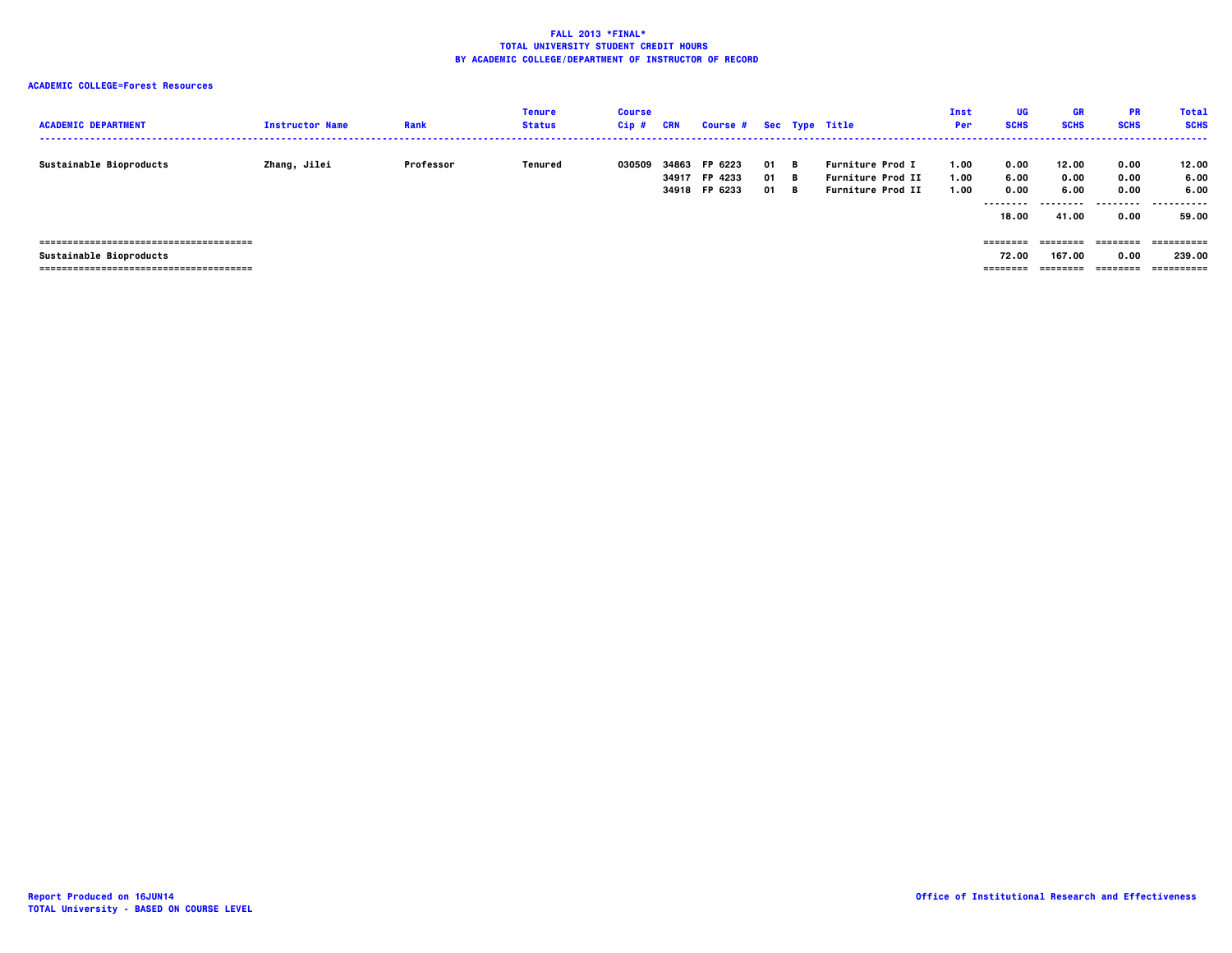# **ACADEMIC COLLEGE=Forest Resources**

| <b>ACADEMIC DEPARTMENT</b> | <b>Instructor Name</b> | Rank      | <b>Tenure</b><br><b>Status</b> | <b>Course</b><br>$Cip$ # | <b>CRN</b>     | Course # Sec Type Title             |                |                 |                                                                                 | Inst<br>Per          | <b>UG</b><br><b>SCHS</b>                  | <b>GR</b><br><b>SCHS</b>                   | <b>PR</b><br><b>SCHS</b>                  | <b>Total</b><br><b>SCHS</b><br>------ |
|----------------------------|------------------------|-----------|--------------------------------|--------------------------|----------------|-------------------------------------|----------------|-----------------|---------------------------------------------------------------------------------|----------------------|-------------------------------------------|--------------------------------------------|-------------------------------------------|---------------------------------------|
| Sustainable Bioproducts    | Zhang, Jilei           | Professor | Tenured                        | 030509                   | 34863<br>34917 | FP 6223<br>FP 4233<br>34918 FP 6233 | 01<br>01<br>01 | - в<br>B<br>- в | <b>Furniture Prod I</b><br><b>Furniture Prod II</b><br><b>Furniture Prod II</b> | 1.00<br>1.00<br>1.00 | 0.00<br>6.00<br>0.00<br>--------<br>18.00 | 12.00<br>0.00<br>6.00<br>--------<br>41.00 | 0.00<br>0.00<br>0.00<br>---------<br>0.00 | 12.00<br>6.00<br>6.00<br>.<br>59.00   |
| Sustainable Bioproducts    |                        |           |                                |                          |                |                                     |                |                 |                                                                                 |                      | ========<br>72.00<br>========             | ========<br>167.00<br>========             | ========<br>0.00<br>========              | ==========<br>239.00<br>==========    |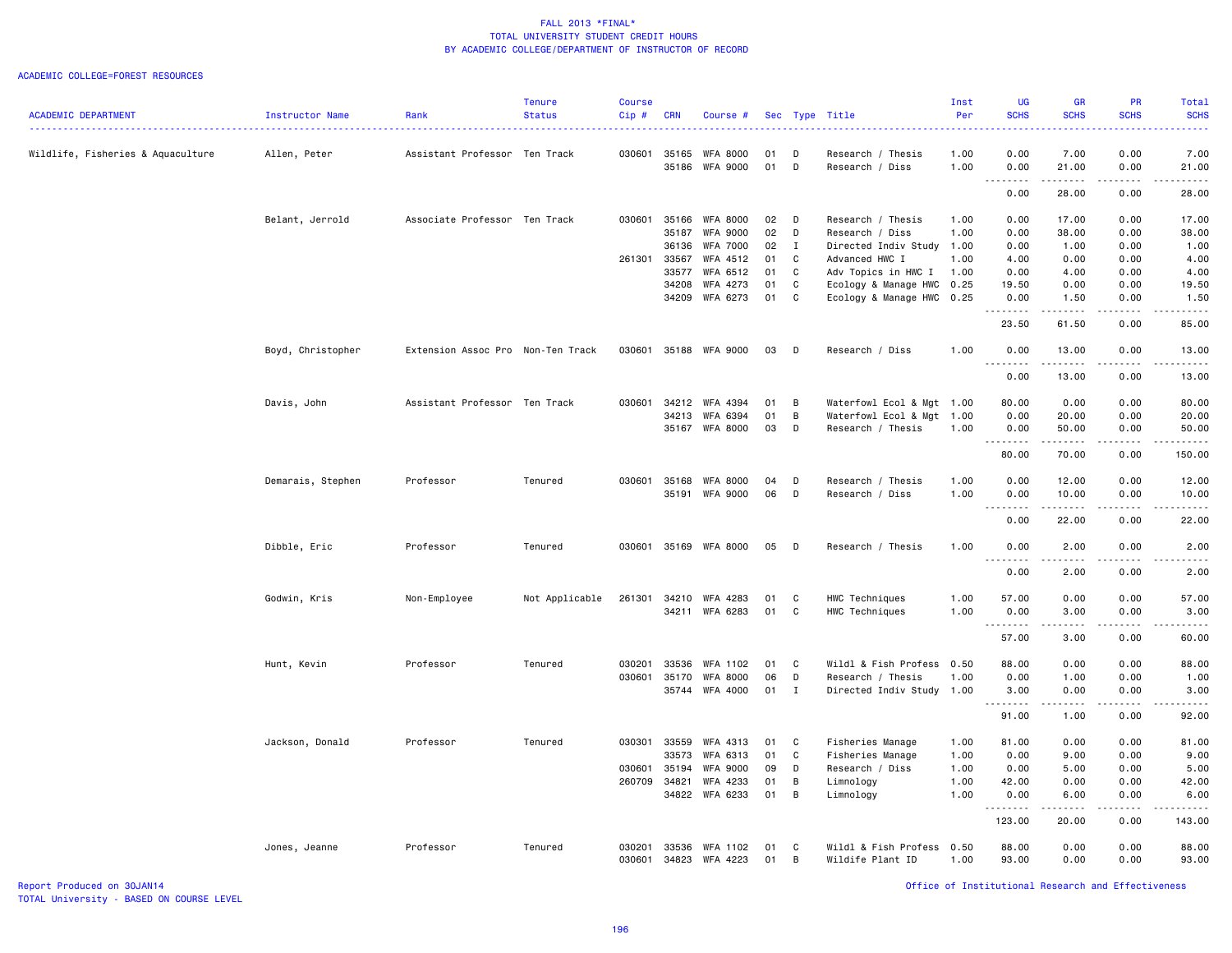#### ACADEMIC COLLEGE=FOREST RESOURCES

|                                   |                        |                                   | <b>Tenure</b>  | <b>Course</b> |            |                       |        |                |                           | Inst | <b>UG</b>          | <b>GR</b>                                                                                                                                                    | <b>PR</b>                                                                                                                                                    | <b>Total</b>  |
|-----------------------------------|------------------------|-----------------------------------|----------------|---------------|------------|-----------------------|--------|----------------|---------------------------|------|--------------------|--------------------------------------------------------------------------------------------------------------------------------------------------------------|--------------------------------------------------------------------------------------------------------------------------------------------------------------|---------------|
| <b>ACADEMIC DEPARTMENT</b>        | <b>Instructor Name</b> | Rank                              | <b>Status</b>  | Cip#          | <b>CRN</b> | Course #              |        |                | Sec Type Title            | Per  | <b>SCHS</b>        | <b>SCHS</b>                                                                                                                                                  | <b>SCHS</b>                                                                                                                                                  | <b>SCHS</b>   |
| Wildlife, Fisheries & Aquaculture | Allen, Peter           | Assistant Professor Ten Track     |                |               |            | 030601 35165 WFA 8000 | 01     | D              | Research / Thesis         | 1.00 | 0.00               | 7.00                                                                                                                                                         | 0.00                                                                                                                                                         | 7.00          |
|                                   |                        |                                   |                |               |            | 35186 WFA 9000        | 01     | D              | Research / Diss           | 1.00 | 0.00<br>.          | 21.00<br>.                                                                                                                                                   | 0.00<br>.                                                                                                                                                    | 21.00         |
|                                   |                        |                                   |                |               |            |                       |        |                |                           |      | 0.00               | 28.00                                                                                                                                                        | 0.00                                                                                                                                                         | 28.00         |
|                                   | Belant, Jerrold        | Associate Professor Ten Track     |                | 030601        | 35166      | WFA 8000              | 02     | $\mathsf{D}$   | Research / Thesis         | 1.00 | 0.00               | 17.00                                                                                                                                                        | 0.00                                                                                                                                                         | 17.00         |
|                                   |                        |                                   |                |               | 35187      | <b>WFA 9000</b>       | 02     | D              | Research / Diss           | 1.00 | 0.00               | 38.00                                                                                                                                                        | 0.00                                                                                                                                                         | 38.00         |
|                                   |                        |                                   |                |               | 36136      | WFA 7000              | 02     | $\mathbf{I}$   | Directed Indiv Study      | 1.00 | 0.00               | 1.00                                                                                                                                                         | 0.00                                                                                                                                                         | 1.00          |
|                                   |                        |                                   |                | 261301        | 33567      | WFA 4512              | 01     | C              | Advanced HWC I            | 1.00 | 4.00               | 0.00                                                                                                                                                         | 0.00                                                                                                                                                         | 4.00          |
|                                   |                        |                                   |                |               | 33577      | WFA 6512              | 01     | C              | Adv Topics in HWC I       | 1.00 | 0.00               | 4.00                                                                                                                                                         | 0.00                                                                                                                                                         | 4.00          |
|                                   |                        |                                   |                |               | 34208      | WFA 4273              | 01     | C              | Ecology & Manage HWC      | 0.25 | 19.50              | 0.00                                                                                                                                                         | 0.00                                                                                                                                                         | 19.50         |
|                                   |                        |                                   |                |               |            | 34209 WFA 6273        | 01 C   |                | Ecology & Manage HWC 0.25 |      | 0.00<br>.          | 1.50                                                                                                                                                         | 0.00<br>-----                                                                                                                                                | 1.50<br>----- |
|                                   |                        |                                   |                |               |            |                       |        |                |                           |      | 23.50              | $\begin{array}{cccccccccccccc} \bullet & \bullet & \bullet & \bullet & \bullet & \bullet & \bullet & \bullet \end{array}$<br>61.50                           | 0.00                                                                                                                                                         | 85.00         |
|                                   | Boyd, Christopher      | Extension Assoc Pro Non-Ten Track |                | 030601        |            | 35188 WFA 9000        | 03     | $\mathsf{D}$   | Research / Diss           | 1.00 | 0.00<br>.          | 13.00<br>.                                                                                                                                                   | 0.00<br>$\frac{1}{2} \left( \frac{1}{2} \right) \left( \frac{1}{2} \right) \left( \frac{1}{2} \right) \left( \frac{1}{2} \right) \left( \frac{1}{2} \right)$ | 13.00<br>.    |
|                                   |                        |                                   |                |               |            |                       |        |                |                           |      | 0.00               | 13.00                                                                                                                                                        | 0.00                                                                                                                                                         | 13.00         |
|                                   | Davis, John            | Assistant Professor Ten Track     |                | 030601        |            | 34212 WFA 4394        | 01     | B              | Waterfowl Ecol & Mgt 1.00 |      | 80.00              | 0.00                                                                                                                                                         | 0.00                                                                                                                                                         | 80.00         |
|                                   |                        |                                   |                |               | 34213      | WFA 6394              | 01     | B              | Waterfowl Ecol & Mgt      | 1.00 | 0.00               | 20.00                                                                                                                                                        | 0.00                                                                                                                                                         | 20.00         |
|                                   |                        |                                   |                |               | 35167      | WFA 8000              | 03     | D              | Research / Thesis         | 1.00 | 0.00               | 50.00                                                                                                                                                        | 0.00                                                                                                                                                         | 50.00         |
|                                   |                        |                                   |                |               |            |                       |        |                |                           |      | 80.00              | 70.00                                                                                                                                                        | 0.00                                                                                                                                                         | 150.00        |
|                                   | Demarais, Stephen      | Professor                         | Tenured        | 030601        | 35168      | WFA 8000              | 04     | D              | Research / Thesis         | 1.00 | 0.00               | 12.00                                                                                                                                                        | 0.00                                                                                                                                                         | 12.00         |
|                                   |                        |                                   |                |               |            | 35191 WFA 9000        | 06     | D              | Research / Diss           | 1.00 | 0.00<br>. <b>.</b> | 10.00<br>$\cdots$                                                                                                                                            | 0.00<br>.                                                                                                                                                    | 10.00         |
|                                   |                        |                                   |                |               |            |                       |        |                |                           |      | 0.00               | 22.00                                                                                                                                                        | 0.00                                                                                                                                                         | 22.00         |
|                                   | Dibble, Eric           | Professor                         | Tenured        | 030601        |            | 35169 WFA 8000        | 05     | $\Box$         | Research / Thesis         | 1.00 | 0.00<br>.          | 2.00<br>----                                                                                                                                                 | 0.00                                                                                                                                                         | 2.00          |
|                                   |                        |                                   |                |               |            |                       |        |                |                           |      | 0.00               | 2.00                                                                                                                                                         | 0.00                                                                                                                                                         | 2.00          |
|                                   |                        |                                   |                |               |            |                       |        |                |                           |      |                    |                                                                                                                                                              |                                                                                                                                                              |               |
|                                   | Godwin, Kris           | Non-Employee                      | Not Applicable | 261301        | 34210      | WFA 4283              | 01     | C              | HWC Techniques            | 1.00 | 57.00              | 0.00                                                                                                                                                         | 0.00                                                                                                                                                         | 57.00         |
|                                   |                        |                                   |                |               |            | 34211 WFA 6283        | 01     | C              | HWC Techniques            | 1.00 | 0.00<br>.          | 3.00<br>$\sim$ $\sim$ $\sim$ $\sim$                                                                                                                          | 0.00<br>$\frac{1}{2} \left( \frac{1}{2} \right) \left( \frac{1}{2} \right) \left( \frac{1}{2} \right) \left( \frac{1}{2} \right) \left( \frac{1}{2} \right)$ | 3.00<br>.     |
|                                   |                        |                                   |                |               |            |                       |        |                |                           |      | 57.00              | 3.00                                                                                                                                                         | 0.00                                                                                                                                                         | 60.00         |
|                                   | Hunt, Kevin            | Professor                         | Tenured        | 030201        | 33536      | WFA 1102              | 01     | C              | Wildl & Fish Profess      | 0.50 | 88.00              | 0.00                                                                                                                                                         | 0.00                                                                                                                                                         | 88.00         |
|                                   |                        |                                   |                | 030601        | 35170      | <b>WFA 8000</b>       | 06     | D              | Research / Thesis         | 1.00 | 0.00               | 1.00                                                                                                                                                         | 0.00                                                                                                                                                         | 1.00          |
|                                   |                        |                                   |                |               |            | 35744 WFA 4000        | $01$ I |                | Directed Indiv Study 1.00 |      | 3.00<br>.          | 0.00<br>.                                                                                                                                                    | 0.00<br>$- - - - -$                                                                                                                                          | 3.00<br>.     |
|                                   |                        |                                   |                |               |            |                       |        |                |                           |      | 91.00              | 1.00                                                                                                                                                         | 0.00                                                                                                                                                         | 92.00         |
|                                   | Jackson, Donald        | Professor                         | Tenured        | 030301        | 33559      | WFA 4313              | 01     | <b>C</b>       | Fisheries Manage          | 1.00 | 81.00              | 0.00                                                                                                                                                         | 0.00                                                                                                                                                         | 81.00         |
|                                   |                        |                                   |                |               | 33573      | WFA 6313              | 01     | C              | Fisheries Manage          | 1.00 | 0.00               | 9.00                                                                                                                                                         | 0.00                                                                                                                                                         | 9.00          |
|                                   |                        |                                   |                | 030601        | 35194      | <b>WFA 9000</b>       | 09     | D              | Research / Diss           | 1.00 | 0.00               | 5.00                                                                                                                                                         | 0.00                                                                                                                                                         | 5.00          |
|                                   |                        |                                   |                | 260709        | 34821      | WFA 4233              | 01     | B              | Limnology                 | 1.00 | 42.00              | 0.00                                                                                                                                                         | 0.00                                                                                                                                                         | 42.00         |
|                                   |                        |                                   |                |               |            | 34822 WFA 6233        | 01     | $\overline{B}$ | Limnology                 | 1.00 | 0.00<br>.          | 6.00<br>$\frac{1}{2} \left( \frac{1}{2} \right) \left( \frac{1}{2} \right) \left( \frac{1}{2} \right) \left( \frac{1}{2} \right) \left( \frac{1}{2} \right)$ | 0.00<br>.                                                                                                                                                    | 6.00<br>.     |
|                                   |                        |                                   |                |               |            |                       |        |                |                           |      | 123.00             | 20.00                                                                                                                                                        | 0.00                                                                                                                                                         | 143.00        |
|                                   | Jones, Jeanne          | Professor                         | Tenured        | 030201        | 33536      | WFA 1102              | 01     | C              | Wildl & Fish Profess      | 0.50 | 88.00              | 0.00                                                                                                                                                         | 0.00                                                                                                                                                         | 88.00         |
|                                   |                        |                                   |                | 030601        |            | 34823 WFA 4223        | 01     | $\overline{B}$ | Wildife Plant ID          | 1.00 | 93.00              | 0.00                                                                                                                                                         | 0.00                                                                                                                                                         | 93.00         |

Report Produced on 30JAN14 Office of Institutional Research and Effectiveness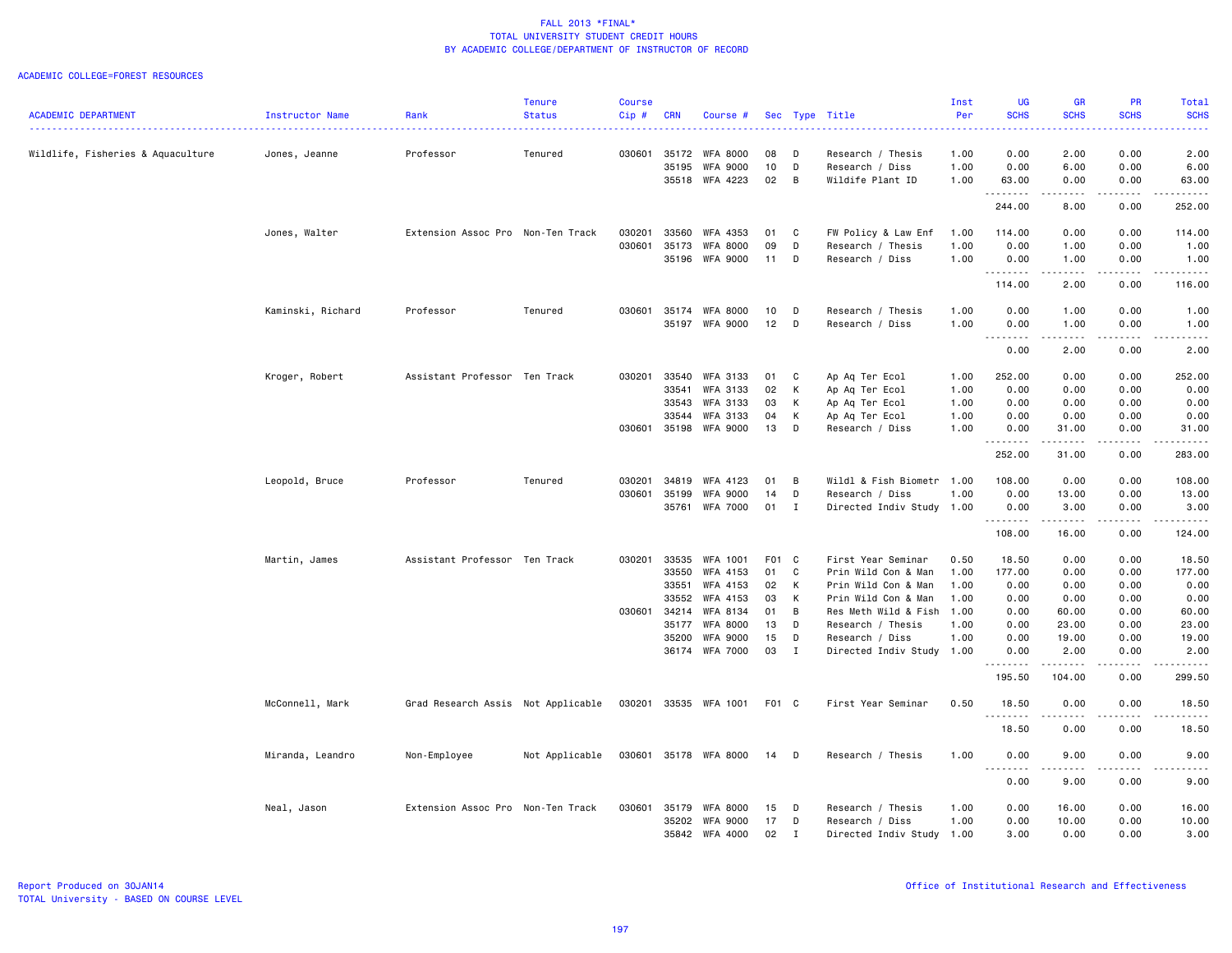#### ACADEMIC COLLEGE=FOREST RESOURCES

|                                   |                   |                                    | <b>Tenure</b>  | <b>Course</b> |                |                                    |          |              |                                      | Inst         | UG                         | <b>GR</b>                                                                                                                                                    | PR                                                                                                                        | Total                 |
|-----------------------------------|-------------------|------------------------------------|----------------|---------------|----------------|------------------------------------|----------|--------------|--------------------------------------|--------------|----------------------------|--------------------------------------------------------------------------------------------------------------------------------------------------------------|---------------------------------------------------------------------------------------------------------------------------|-----------------------|
| <b>ACADEMIC DEPARTMENT</b>        | Instructor Name   | Rank                               | <b>Status</b>  | Cip#          | <b>CRN</b>     | Course #                           |          |              | Sec Type Title                       | Per          | <b>SCHS</b>                | <b>SCHS</b>                                                                                                                                                  | <b>SCHS</b>                                                                                                               | <b>SCHS</b>           |
| Wildlife, Fisheries & Aquaculture | Jones, Jeanne     | Professor                          | Tenured        | 030601        | 35172          | <b>WFA 8000</b>                    | 08       | D            | Research / Thesis                    | 1.00         | 0.00                       | 2.00                                                                                                                                                         | 0.00                                                                                                                      | 2.00                  |
|                                   |                   |                                    |                |               | 35195          | <b>WFA 9000</b>                    | 10       | D            | Research / Diss                      | 1.00         | 0.00                       | 6.00                                                                                                                                                         | 0.00                                                                                                                      | 6.00                  |
|                                   |                   |                                    |                |               | 35518          | WFA 4223                           | 02       | B            | Wildife Plant ID                     | 1.00         | 63.00                      | 0.00                                                                                                                                                         | 0.00                                                                                                                      | 63.00                 |
|                                   |                   |                                    |                |               |                |                                    |          |              |                                      |              | .<br>244.00                | $\frac{1}{2} \left( \frac{1}{2} \right) \left( \frac{1}{2} \right) \left( \frac{1}{2} \right) \left( \frac{1}{2} \right) \left( \frac{1}{2} \right)$<br>8.00 | .<br>0.00                                                                                                                 | ------<br>252.00      |
|                                   |                   |                                    |                |               |                |                                    |          |              |                                      |              |                            |                                                                                                                                                              |                                                                                                                           |                       |
|                                   | Jones, Walter     | Extension Assoc Pro Non-Ten Track  |                | 030201        | 33560          | WFA 4353                           | 01       | C            | FW Policy & Law Enf                  | 1.00         | 114.00                     | 0.00                                                                                                                                                         | 0.00                                                                                                                      | 114.00                |
|                                   |                   |                                    |                | 030601        | 35173<br>35196 | <b>WFA 8000</b><br><b>WFA 9000</b> | 09<br>11 | D<br>D       | Research / Thesis<br>Research / Diss | 1.00<br>1.00 | 0.00<br>0.00               | 1.00<br>1.00                                                                                                                                                 | 0.00<br>0.00                                                                                                              | 1.00<br>1.00          |
|                                   |                   |                                    |                |               |                |                                    |          |              |                                      |              | .                          | .                                                                                                                                                            | .                                                                                                                         | .                     |
|                                   |                   |                                    |                |               |                |                                    |          |              |                                      |              | 114.00                     | 2.00                                                                                                                                                         | 0.00                                                                                                                      | 116.00                |
|                                   | Kaminski, Richard | Professor                          | Tenured        | 030601        | 35174          | <b>WFA 8000</b>                    | 10       | D            | Research / Thesis                    | 1.00         | 0.00                       | 1.00                                                                                                                                                         | 0.00                                                                                                                      | 1.00                  |
|                                   |                   |                                    |                |               | 35197          | WFA 9000                           | 12       | D            | Research / Diss                      | 1.00         | 0.00<br>$\sim$ $\sim$<br>. | 1.00<br>.                                                                                                                                                    | 0.00<br>.                                                                                                                 | 1.00<br>$\frac{1}{2}$ |
|                                   |                   |                                    |                |               |                |                                    |          |              |                                      |              | 0.00                       | 2.00                                                                                                                                                         | 0.00                                                                                                                      | 2.00                  |
|                                   | Kroger, Robert    | Assistant Professor Ten Track      |                | 030201        | 33540          | <b>WFA 3133</b>                    | 01       | C            | Ap Aq Ter Ecol                       | 1.00         | 252.00                     | 0.00                                                                                                                                                         | 0.00                                                                                                                      | 252.00                |
|                                   |                   |                                    |                |               | 33541          | WFA 3133                           | 02       | K            | Ap Aq Ter Ecol                       | 1.00         | 0.00                       | 0.00                                                                                                                                                         | 0.00                                                                                                                      | 0.00                  |
|                                   |                   |                                    |                |               | 33543          | <b>WFA 3133</b>                    | 03       | к            | Ap Aq Ter Ecol                       | 1.00         | 0.00                       | 0.00                                                                                                                                                         | 0.00                                                                                                                      | 0.00                  |
|                                   |                   |                                    |                |               | 33544          | WFA 3133                           | 04       | K            | Ap Aq Ter Ecol                       | 1.00         | 0.00                       | 0.00                                                                                                                                                         | 0.00                                                                                                                      | 0.00                  |
|                                   |                   |                                    |                | 030601        | 35198          | <b>WFA 9000</b>                    | 13       | D            | Research / Diss                      | 1.00         | 0.00<br>.                  | 31.00<br>.                                                                                                                                                   | 0.00<br>.                                                                                                                 | 31.00<br>.            |
|                                   |                   |                                    |                |               |                |                                    |          |              |                                      |              | 252.00                     | 31.00                                                                                                                                                        | 0.00                                                                                                                      | 283.00                |
|                                   | Leopold, Bruce    | Professor                          | Tenured        | 030201        | 34819          | WFA 4123                           | 01       | B            | Wildl & Fish Biometr                 | 1.00         | 108.00                     | 0.00                                                                                                                                                         | 0.00                                                                                                                      | 108.00                |
|                                   |                   |                                    |                | 030601        | 35199          | <b>WFA 9000</b>                    | 14       | D            | Research / Diss                      | 1.00         | 0.00                       | 13.00                                                                                                                                                        | 0.00                                                                                                                      | 13.00                 |
|                                   |                   |                                    |                |               | 35761          | <b>WFA 7000</b>                    | 01 I     |              | Directed Indiv Study 1.00            |              | 0.00<br>.                  | 3.00<br>$\frac{1}{2} \left( \frac{1}{2} \right) \left( \frac{1}{2} \right) \left( \frac{1}{2} \right) \left( \frac{1}{2} \right) \left( \frac{1}{2} \right)$ | 0.00<br>$\sim$ $\sim$ $\sim$                                                                                              | 3.00<br>.             |
|                                   |                   |                                    |                |               |                |                                    |          |              |                                      |              | 108.00                     | 16.00                                                                                                                                                        | 0.00                                                                                                                      | 124.00                |
|                                   | Martin, James     | Assistant Professor Ten Track      |                | 030201        | 33535          | WFA 1001                           | F01 C    |              | First Year Seminar                   | 0.50         | 18.50                      | 0.00                                                                                                                                                         | 0.00                                                                                                                      | 18.50                 |
|                                   |                   |                                    |                |               | 33550          | WFA 4153                           | 01       | C            | Prin Wild Con & Man                  | 1.00         | 177.00                     | 0.00                                                                                                                                                         | 0.00                                                                                                                      | 177.00                |
|                                   |                   |                                    |                |               | 33551          | WFA 4153                           | 02       | K            | Prin Wild Con & Man                  | 1.00         | 0.00                       | 0.00                                                                                                                                                         | 0.00                                                                                                                      | 0.00                  |
|                                   |                   |                                    |                |               | 33552          | WFA 4153                           | 03       | K            | Prin Wild Con & Man                  | 1.00         | 0.00                       | 0.00                                                                                                                                                         | 0.00                                                                                                                      | 0.00                  |
|                                   |                   |                                    |                | 030601        | 34214<br>35177 | WFA 8134<br><b>WFA 8000</b>        | 01<br>13 | B<br>D       | Res Meth Wild & Fish                 | 1.00<br>1.00 | 0.00<br>0.00               | 60.00<br>23.00                                                                                                                                               | 0.00<br>0.00                                                                                                              | 60.00<br>23.00        |
|                                   |                   |                                    |                |               | 35200          | <b>WFA 9000</b>                    | 15       | D            | Research / Thesis<br>Research / Diss | 1.00         | 0.00                       | 19.00                                                                                                                                                        | 0.00                                                                                                                      | 19.00                 |
|                                   |                   |                                    |                |               | 36174          | <b>WFA 7000</b>                    | 03       | $\mathbf{I}$ | Directed Indiv Study 1.00            |              | 0.00                       | 2.00                                                                                                                                                         | 0.00                                                                                                                      | 2.00                  |
|                                   |                   |                                    |                |               |                |                                    |          |              |                                      |              | .<br>195.50                | .<br>104.00                                                                                                                                                  | $- - - -$<br>0.00                                                                                                         | .<br>299.50           |
|                                   | McConnell, Mark   | Grad Research Assis Not Applicable |                |               | 030201 33535   | WFA 1001                           | F01 C    |              | First Year Seminar                   | 0.50         | 18.50                      | 0.00                                                                                                                                                         | 0.00                                                                                                                      | 18.50                 |
|                                   |                   |                                    |                |               |                |                                    |          |              |                                      |              | .<br>18.50                 | 0.00                                                                                                                                                         | 0.00                                                                                                                      | .<br>18.50            |
|                                   | Miranda, Leandro  | Non-Employee                       | Not Applicable |               | 030601 35178   | WFA 8000                           | 14       | D            | Research / Thesis                    | 1.00         | 0.00                       | 9.00                                                                                                                                                         | 0.00                                                                                                                      | 9.00                  |
|                                   |                   |                                    |                |               |                |                                    |          |              |                                      |              | .                          | -----                                                                                                                                                        | $\frac{1}{2} \left( \frac{1}{2} \right) \left( \frac{1}{2} \right) \left( \frac{1}{2} \right) \left( \frac{1}{2} \right)$ | .                     |
|                                   |                   |                                    |                |               |                |                                    |          |              |                                      |              | 0.00                       | 9.00                                                                                                                                                         | 0.00                                                                                                                      | 9.00                  |
|                                   | Neal, Jason       | Extension Assoc Pro Non-Ten Track  |                | 030601        | 35179          | <b>WFA 8000</b>                    | 15       | D            | Research / Thesis                    | 1.00         | 0.00                       | 16.00                                                                                                                                                        | 0.00                                                                                                                      | 16.00                 |
|                                   |                   |                                    |                |               | 35202          | <b>WFA 9000</b>                    | 17       | D            | Research / Diss                      | 1.00         | 0.00                       | 10.00                                                                                                                                                        | 0.00                                                                                                                      | 10.00                 |
|                                   |                   |                                    |                |               | 35842          | WFA 4000                           | 02       | $\mathbf{I}$ | Directed Indiv Study 1.00            |              | 3.00                       | 0.00                                                                                                                                                         | 0.00                                                                                                                      | 3.00                  |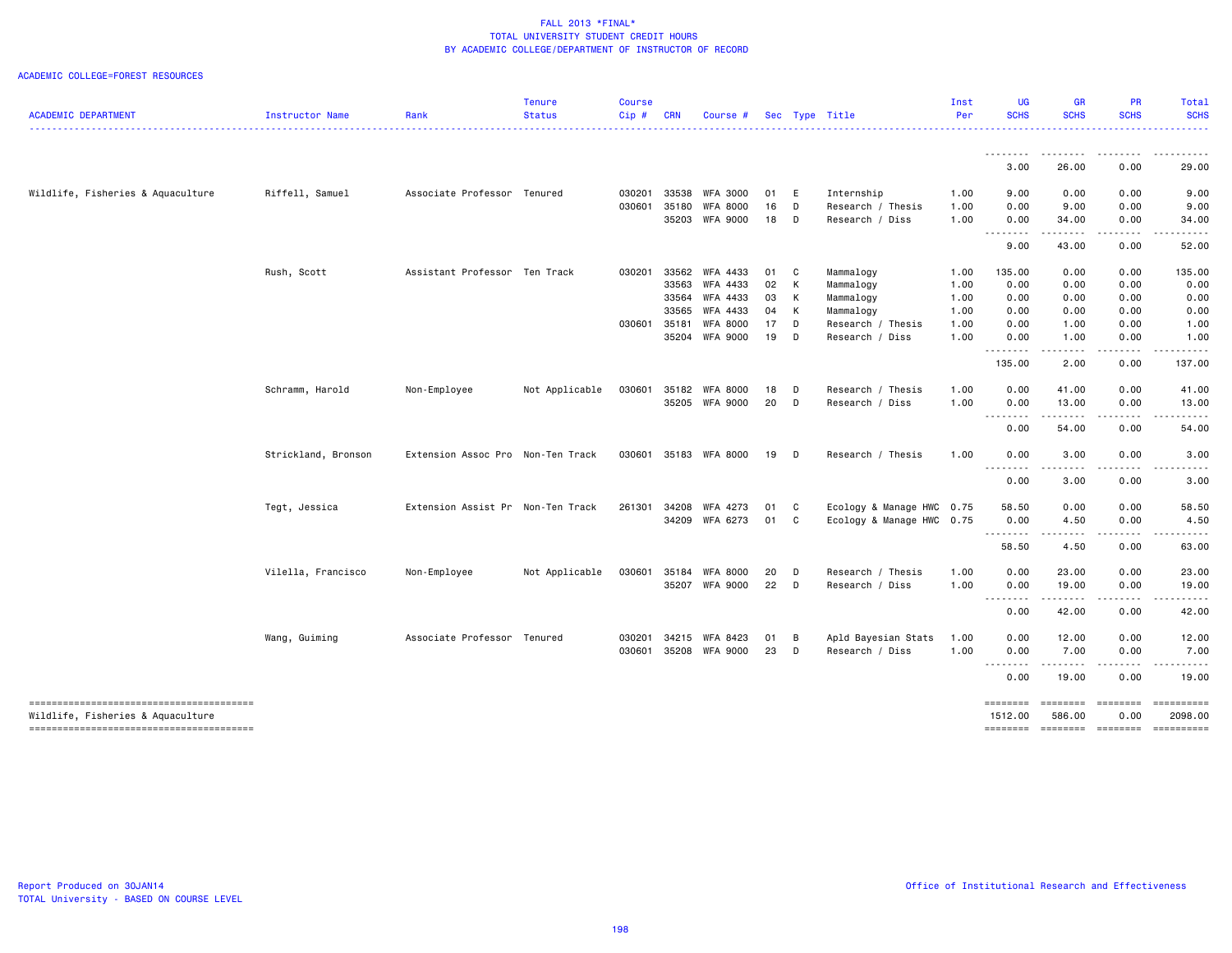#### ACADEMIC COLLEGE=FOREST RESOURCES

| <b>ACADEMIC DEPARTMENT</b>        | Instructor Name     | Rank                              | <b>Tenure</b><br><b>Status</b> | <b>Course</b><br>Cip# | <b>CRN</b> | Course #        |                 |              | Sec Type Title            | Inst<br>Per | <b>UG</b><br><b>SCHS</b> | <b>GR</b><br><b>SCHS</b> | PR<br><b>SCHS</b>                                                                                                       | Total<br><b>SCHS</b>                                                                          |
|-----------------------------------|---------------------|-----------------------------------|--------------------------------|-----------------------|------------|-----------------|-----------------|--------------|---------------------------|-------------|--------------------------|--------------------------|-------------------------------------------------------------------------------------------------------------------------|-----------------------------------------------------------------------------------------------|
|                                   |                     |                                   |                                |                       |            |                 |                 |              |                           |             |                          |                          |                                                                                                                         |                                                                                               |
|                                   |                     |                                   |                                |                       |            |                 |                 |              |                           |             | ----<br>3.00             | 26.00                    | 0.00                                                                                                                    | 29.00                                                                                         |
| Wildlife, Fisheries & Aquaculture | Riffell, Samuel     | Associate Professor Tenured       |                                | 030201                |            | 33538 WFA 3000  | 01 E            |              | Internship                | 1.00        | 9.00                     | 0.00                     | 0.00                                                                                                                    | 9.00                                                                                          |
|                                   |                     |                                   |                                | 030601                | 35180      | <b>WFA 8000</b> | 16              | D            | Research / Thesis         | 1.00        | 0.00                     | 9.00                     | 0.00                                                                                                                    | 9.00                                                                                          |
|                                   |                     |                                   |                                |                       |            | 35203 WFA 9000  | 18              | D            | Research / Diss           | 1.00        | 0.00<br><u>.</u>         | 34.00<br>.               | 0.00                                                                                                                    | 34.00                                                                                         |
|                                   |                     |                                   |                                |                       |            |                 |                 |              |                           |             | 9.00                     | 43.00                    | 0.00                                                                                                                    | 52.00                                                                                         |
|                                   | Rush, Scott         | Assistant Professor Ten Track     |                                | 030201                |            | 33562 WFA 4433  | 01 C            |              | Mammalogy                 | 1.00        | 135.00                   | 0.00                     | 0.00                                                                                                                    | 135.00                                                                                        |
|                                   |                     |                                   |                                |                       | 33563      | WFA 4433        | 02              | К            | Mammalogy                 | 1.00        | 0.00                     | 0.00                     | 0.00                                                                                                                    | 0.00                                                                                          |
|                                   |                     |                                   |                                |                       | 33564      | WFA 4433        | 03              | К            | Mammalogy                 | 1.00        | 0.00                     | 0.00                     | 0.00                                                                                                                    | 0.00                                                                                          |
|                                   |                     |                                   |                                |                       | 33565      | WFA 4433        | 04              | К            | Mammalogy                 | 1.00        | 0.00                     | 0.00                     | 0.00                                                                                                                    | 0.00                                                                                          |
|                                   |                     |                                   |                                | 030601                | 35181      | <b>WFA 8000</b> | 17 <sub>2</sub> | $\Box$       | Research / Thesis         | 1.00        | 0.00                     | 1.00                     | 0.00                                                                                                                    | 1.00                                                                                          |
|                                   |                     |                                   |                                |                       |            | 35204 WFA 9000  | 19              | $\mathsf{D}$ | Research / Diss           | 1.00        | 0.00<br>.                | 1.00<br>.                | 0.00<br>.                                                                                                               | 1.00                                                                                          |
|                                   |                     |                                   |                                |                       |            |                 |                 |              |                           |             | 135.00                   | 2.00                     | 0.00                                                                                                                    | 137.00                                                                                        |
|                                   | Schramm, Harold     | Non-Employee                      | Not Applicable                 | 030601                |            | 35182 WFA 8000  | 18              | $\mathsf{D}$ | Research / Thesis         | 1.00        | 0.00                     | 41.00                    | 0.00                                                                                                                    | 41.00                                                                                         |
|                                   |                     |                                   |                                |                       |            | 35205 WFA 9000  | 20              | $\mathsf{D}$ | Research / Diss           | 1.00        | 0.00                     | 13.00                    | 0.00                                                                                                                    | 13.00                                                                                         |
|                                   |                     |                                   |                                |                       |            |                 |                 |              |                           |             | .<br>0.00                | -----<br>54.00           | .<br>0.00                                                                                                               | 54.00                                                                                         |
|                                   | Strickland, Bronson | Extension Assoc Pro Non-Ten Track |                                | 030601                |            | 35183 WFA 8000  | 19              | $\Box$       | Research / Thesis         | 1.00        | 0.00                     | 3.00                     | 0.00                                                                                                                    | 3.00                                                                                          |
|                                   |                     |                                   |                                |                       |            |                 |                 |              |                           |             | .<br>0.00                | .<br>3.00                | $\begin{array}{cccccccccccccc} \bullet & \bullet & \bullet & \bullet & \bullet & \bullet & \bullet \end{array}$<br>0.00 | .<br>3.00                                                                                     |
|                                   | Tegt, Jessica       | Extension Assist Pr Non-Ten Track |                                | 261301                |            | 34208 WFA 4273  | 01              | $\mathbf{C}$ | Ecology & Manage HWC 0.75 |             | 58.50                    | 0.00                     | 0.00                                                                                                                    | 58.50                                                                                         |
|                                   |                     |                                   |                                |                       |            | 34209 WFA 6273  | 01 C            |              | Ecology & Manage HWC 0.75 |             | 0.00                     | 4.50                     | 0.00                                                                                                                    | 4.50                                                                                          |
|                                   |                     |                                   |                                |                       |            |                 |                 |              |                           |             | .                        | $\sim$ $\sim$ $\sim$     |                                                                                                                         |                                                                                               |
|                                   |                     |                                   |                                |                       |            |                 |                 |              |                           |             | 58.50                    | 4.50                     | 0.00                                                                                                                    | 63.00                                                                                         |
|                                   | Vilella, Francisco  | Non-Employee                      | Not Applicable                 | 030601                | 35184      | WFA 8000        | 20              | D            | Research / Thesis         | 1.00        | 0.00                     | 23.00                    | 0.00                                                                                                                    | 23.00                                                                                         |
|                                   |                     |                                   |                                |                       |            | 35207 WFA 9000  | 22              | $\Box$       | Research / Diss           | 1.00        | 0.00                     | 19.00                    | 0.00                                                                                                                    | 19.00                                                                                         |
|                                   |                     |                                   |                                |                       |            |                 |                 |              |                           |             | .<br>0.00                | 42.00                    | 0.00                                                                                                                    | 42.00                                                                                         |
|                                   | Wang, Guiming       | Associate Professor Tenured       |                                | 030201                | 34215      | WFA 8423        | 01              | B            | Apld Bayesian Stats       | 1.00        | 0.00                     | 12.00                    | 0.00                                                                                                                    | 12.00                                                                                         |
|                                   |                     |                                   |                                | 030601                |            | 35208 WFA 9000  | 23              | D            | Research / Diss           | 1.00        | 0.00                     | 7.00                     | 0.00                                                                                                                    | 7.00                                                                                          |
|                                   |                     |                                   |                                |                       |            |                 |                 |              |                           |             | .                        | -----                    |                                                                                                                         |                                                                                               |
|                                   |                     |                                   |                                |                       |            |                 |                 |              |                           |             | 0.00                     | 19.00                    | 0.00                                                                                                                    | 19.00                                                                                         |
| Wildlife, Fisheries & Aquaculture |                     |                                   |                                |                       |            |                 |                 |              |                           |             | ========<br>1512.00      | ========<br>586.00       | $=$ ========<br>0.00                                                                                                    | ==========<br>2098.00                                                                         |
|                                   |                     |                                   |                                |                       |            |                 |                 |              |                           |             | ========                 | ========                 | <b>ESSESSES</b>                                                                                                         | $\begin{array}{c} \texttt{m} = \texttt{m} = \texttt{m} = \texttt{m} = \texttt{m} \end{array}$ |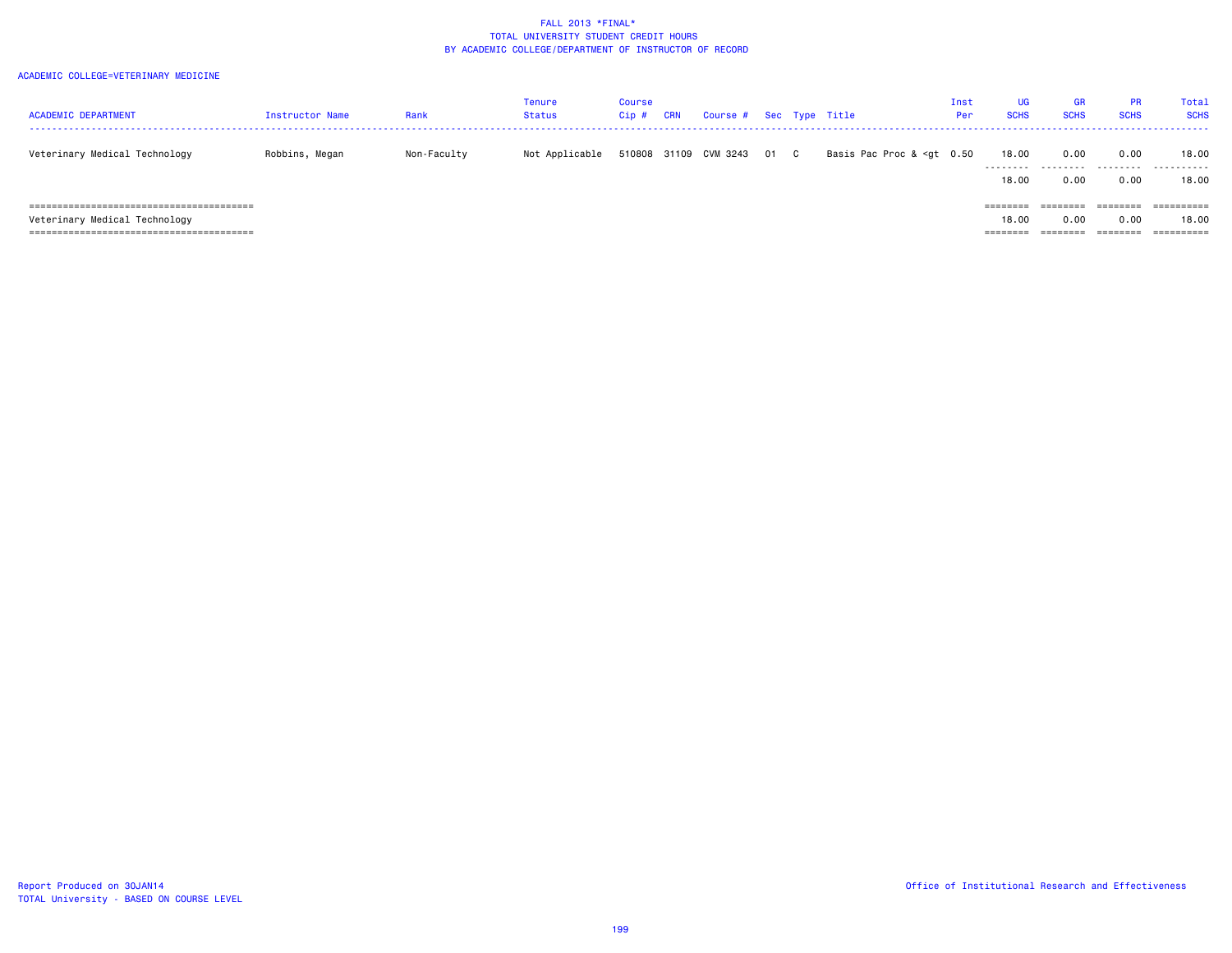| <b>ACADEMIC DEPARTMENT</b>    | <b>Instructor Name</b> | Rank        | Tenure<br>Status | Course<br>Cip # | CRN | Course # Sec Type Title |      |                                                                                                                                  | Inst<br>Per | UG<br><b>SCHS</b>                               | <b>GR</b><br><b>SCHS</b> | <b>PR</b><br><b>SCHS</b>            | Total<br><b>SCHS</b>       |
|-------------------------------|------------------------|-------------|------------------|-----------------|-----|-------------------------|------|----------------------------------------------------------------------------------------------------------------------------------|-------------|-------------------------------------------------|--------------------------|-------------------------------------|----------------------------|
| Veterinary Medical Technology | Robbins, Megan         | Non-Faculty | Not Applicable   | 510808 31109    |     | CVM 3243                | 01 C | Basis Pac Proc & <gt 0.50<="" td=""><td></td><td>18.00<br/>.</td><td>0.00<br/>.</td><td>0.00<br/>.</td><td>18.00<br/>.</td></gt> |             | 18.00<br>.                                      | 0.00<br>.                | 0.00<br>.                           | 18.00<br>.                 |
| Veterinary Medical Technology |                        |             |                  |                 |     |                         |      |                                                                                                                                  |             | 18,00<br>$=$ = = = = = = =<br>18,00<br>======== | 0.00<br>0.00<br>======== | 0.00<br>-------<br>0.00<br>======== | 18,00<br>========<br>18,00 |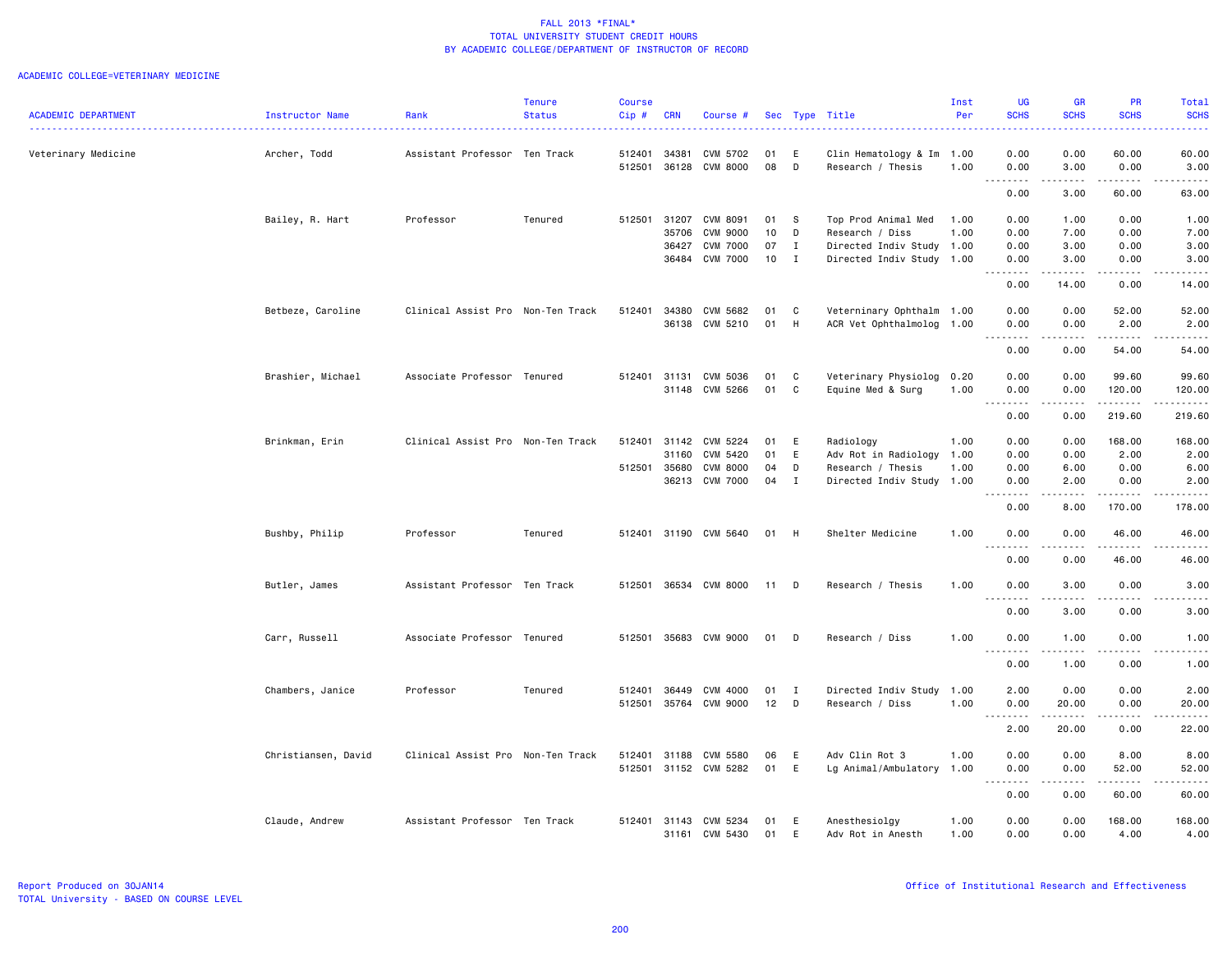|                            |                     |                                   | <b>Tenure</b> | <b>Course</b>    |              |                            |          |              |                                             | Inst | <b>UG</b>                                                                                                                                                    | <b>GR</b>                                                                                                                                                    | PR                                                                                                                                                           | Total                                                                                                                                                        |
|----------------------------|---------------------|-----------------------------------|---------------|------------------|--------------|----------------------------|----------|--------------|---------------------------------------------|------|--------------------------------------------------------------------------------------------------------------------------------------------------------------|--------------------------------------------------------------------------------------------------------------------------------------------------------------|--------------------------------------------------------------------------------------------------------------------------------------------------------------|--------------------------------------------------------------------------------------------------------------------------------------------------------------|
| <b>ACADEMIC DEPARTMENT</b> | Instructor Name     | Rank                              | <b>Status</b> | Cip#             | <b>CRN</b>   | Course #                   |          |              | Sec Type Title                              | Per  | <b>SCHS</b>                                                                                                                                                  | <b>SCHS</b>                                                                                                                                                  | <b>SCHS</b>                                                                                                                                                  | <b>SCHS</b>                                                                                                                                                  |
| Veterinary Medicine        | Archer, Todd        | Assistant Professor Ten Track     |               | 512401           | 34381        | CVM 5702                   | 01       | E.           | Clin Hematology & Im 1.00                   |      | 0.00                                                                                                                                                         | 0.00                                                                                                                                                         | 60.00                                                                                                                                                        | 60.00                                                                                                                                                        |
|                            |                     |                                   |               | 512501           | 36128        | <b>CVM 8000</b>            | 08       | D            | Research / Thesis                           | 1.00 | 0.00<br>$\sim$ $\sim$<br>$\sim$ $\sim$ $\sim$ $\sim$                                                                                                         | 3.00                                                                                                                                                         | 0.00<br>$\frac{1}{2} \left( \frac{1}{2} \right) \left( \frac{1}{2} \right) \left( \frac{1}{2} \right) \left( \frac{1}{2} \right) \left( \frac{1}{2} \right)$ | 3.00<br>$\frac{1}{2} \left( \frac{1}{2} \right) \left( \frac{1}{2} \right) \left( \frac{1}{2} \right) \left( \frac{1}{2} \right) \left( \frac{1}{2} \right)$ |
|                            |                     |                                   |               |                  |              |                            |          |              |                                             |      | 0.00                                                                                                                                                         | 3.00                                                                                                                                                         | 60.00                                                                                                                                                        | 63.00                                                                                                                                                        |
|                            | Bailey, R. Hart     | Professor                         | Tenured       | 512501           | 31207        | CVM 8091                   | 01       | s            | Top Prod Animal Med                         | 1.00 | 0.00                                                                                                                                                         | 1.00                                                                                                                                                         | 0.00                                                                                                                                                         | 1.00                                                                                                                                                         |
|                            |                     |                                   |               |                  | 35706        | <b>CVM 9000</b>            | 10       | D            | Research / Diss                             | 1.00 | 0.00                                                                                                                                                         | 7.00                                                                                                                                                         | 0.00                                                                                                                                                         | 7.00                                                                                                                                                         |
|                            |                     |                                   |               |                  | 36427        | <b>CVM 7000</b>            | 07       | $\mathbf{I}$ | Directed Indiv Study 1.00                   |      | 0.00                                                                                                                                                         | 3.00                                                                                                                                                         | 0.00                                                                                                                                                         | 3.00                                                                                                                                                         |
|                            |                     |                                   |               |                  | 36484        | <b>CVM 7000</b>            | 10       | $\mathbf{I}$ | Directed Indiv Study 1.00                   |      | 0.00<br>$\frac{1}{2} \left( \frac{1}{2} \right) \left( \frac{1}{2} \right) \left( \frac{1}{2} \right) \left( \frac{1}{2} \right) \left( \frac{1}{2} \right)$ | 3.00<br>.                                                                                                                                                    | 0.00<br>.                                                                                                                                                    | 3.00<br>$\frac{1}{2} \left( \frac{1}{2} \right) \left( \frac{1}{2} \right) \left( \frac{1}{2} \right) \left( \frac{1}{2} \right) \left( \frac{1}{2} \right)$ |
|                            |                     |                                   |               |                  |              |                            |          |              |                                             |      | 0.00                                                                                                                                                         | 14.00                                                                                                                                                        | 0.00                                                                                                                                                         | 14.00                                                                                                                                                        |
|                            | Betbeze, Caroline   | Clinical Assist Pro Non-Ten Track |               | 512401           | 34380        | CVM 5682                   | 01       | C            | Veterninary Ophthalm 1.00                   |      | 0.00                                                                                                                                                         | 0.00                                                                                                                                                         | 52.00                                                                                                                                                        | 52.00                                                                                                                                                        |
|                            |                     |                                   |               |                  | 36138        | CVM 5210                   | 01       | H            | ACR Vet Ophthalmolog 1.00                   |      | 0.00<br>-----<br>$\sim$ $\sim$ $\sim$                                                                                                                        | 0.00<br>$\frac{1}{2} \left( \frac{1}{2} \right) \left( \frac{1}{2} \right) \left( \frac{1}{2} \right) \left( \frac{1}{2} \right) \left( \frac{1}{2} \right)$ | 2.00<br>$\frac{1}{2} \left( \frac{1}{2} \right) \left( \frac{1}{2} \right) \left( \frac{1}{2} \right) \left( \frac{1}{2} \right) \left( \frac{1}{2} \right)$ | 2.00<br>.                                                                                                                                                    |
|                            |                     |                                   |               |                  |              |                            |          |              |                                             |      | 0.00                                                                                                                                                         | 0.00                                                                                                                                                         | 54.00                                                                                                                                                        | 54.00                                                                                                                                                        |
|                            | Brashier, Michael   | Associate Professor Tenured       |               |                  | 512401 31131 | CVM 5036                   | 01       | C            | Veterinary Physiolog                        | 0.20 | 0.00                                                                                                                                                         | 0.00                                                                                                                                                         | 99.60                                                                                                                                                        | 99.60                                                                                                                                                        |
|                            |                     |                                   |               |                  | 31148        | CVM 5266                   | 01       | $\mathbb C$  | Equine Med & Surg                           | 1.00 | 0.00<br>.                                                                                                                                                    | 0.00<br>$\frac{1}{2} \left( \frac{1}{2} \right) \left( \frac{1}{2} \right) \left( \frac{1}{2} \right) \left( \frac{1}{2} \right) \left( \frac{1}{2} \right)$ | 120.00<br>.                                                                                                                                                  | 120.00<br>.                                                                                                                                                  |
|                            |                     |                                   |               |                  |              |                            |          |              |                                             |      | 0.00                                                                                                                                                         | 0.00                                                                                                                                                         | 219.60                                                                                                                                                       | 219.60                                                                                                                                                       |
|                            | Brinkman, Erin      | Clinical Assist Pro Non-Ten Track |               | 512401           | 31142        | CVM 5224                   | 01       | E.           | Radiology                                   | 1.00 | 0.00                                                                                                                                                         | 0.00                                                                                                                                                         | 168.00                                                                                                                                                       | 168.00                                                                                                                                                       |
|                            |                     |                                   |               |                  | 31160        | CVM 5420                   | 01       | E            | Adv Rot in Radiology                        | 1.00 | 0.00                                                                                                                                                         | 0.00                                                                                                                                                         | 2.00                                                                                                                                                         | 2.00                                                                                                                                                         |
|                            |                     |                                   |               |                  | 512501 35680 | <b>CVM 8000</b>            | 04       | D            | Research / Thesis                           | 1.00 | 0.00                                                                                                                                                         | 6.00                                                                                                                                                         | 0.00                                                                                                                                                         | 6.00                                                                                                                                                         |
|                            |                     |                                   |               |                  | 36213        | <b>CVM 7000</b>            | 04       | $\mathbf{I}$ | Directed Indiv Study 1.00                   |      | 0.00<br>.                                                                                                                                                    | 2.00<br>.                                                                                                                                                    | 0.00<br>.                                                                                                                                                    | 2.00<br><u>.</u>                                                                                                                                             |
|                            |                     |                                   |               |                  |              |                            |          |              |                                             |      | 0.00                                                                                                                                                         | 8.00                                                                                                                                                         | 170.00                                                                                                                                                       | 178.00                                                                                                                                                       |
|                            | Bushby, Philip      | Professor                         | Tenured       |                  |              | 512401 31190 CVM 5640      | 01       | H            | Shelter Medicine                            | 1.00 | 0.00<br>$\sim$ $\sim$ $\sim$<br>-----                                                                                                                        | 0.00                                                                                                                                                         | 46.00                                                                                                                                                        | 46.00<br>.                                                                                                                                                   |
|                            |                     |                                   |               |                  |              |                            |          |              |                                             |      | 0.00                                                                                                                                                         | 0.00                                                                                                                                                         | 46.00                                                                                                                                                        | 46.00                                                                                                                                                        |
|                            | Butler, James       | Assistant Professor Ten Track     |               | 512501           |              | 36534 CVM 8000             | 11       | D            | Research / Thesis                           | 1.00 | 0.00                                                                                                                                                         | 3.00                                                                                                                                                         | 0.00                                                                                                                                                         | 3.00                                                                                                                                                         |
|                            |                     |                                   |               |                  |              |                            |          |              |                                             |      | <u>.</u><br>0.00                                                                                                                                             | $- - - - -$<br>3.00                                                                                                                                          | .<br>0.00                                                                                                                                                    | <u>.</u><br>3.00                                                                                                                                             |
|                            | Carr, Russell       | Associate Professor Tenured       |               | 512501           | 35683        | CVM 9000                   | 01       | D            | Research / Diss                             | 1.00 | 0.00                                                                                                                                                         | 1.00                                                                                                                                                         | 0.00                                                                                                                                                         | 1.00                                                                                                                                                         |
|                            |                     |                                   |               |                  |              |                            |          |              |                                             |      | .<br>0.00                                                                                                                                                    | .<br>1.00                                                                                                                                                    | .<br>0.00                                                                                                                                                    | $\frac{1}{2} \left( \frac{1}{2} \right) \left( \frac{1}{2} \right) \left( \frac{1}{2} \right) \left( \frac{1}{2} \right) \left( \frac{1}{2} \right)$<br>1.00 |
|                            | Chambers, Janice    | Professor                         | Tenured       | 512401           | 36449        | CVM 4000                   | 01       | $\mathbf{I}$ | Directed Indiv Study                        | 1.00 | 2.00                                                                                                                                                         | 0.00                                                                                                                                                         | 0.00                                                                                                                                                         | 2.00                                                                                                                                                         |
|                            |                     |                                   |               | 512501           |              | 35764 CVM 9000             | 12       | D            | Research / Diss                             | 1.00 | 0.00                                                                                                                                                         | 20.00                                                                                                                                                        | 0.00                                                                                                                                                         | 20.00                                                                                                                                                        |
|                            |                     |                                   |               |                  |              |                            |          |              |                                             |      | .<br>2.00                                                                                                                                                    | . <b>.</b> .<br>20.00                                                                                                                                        | .<br>0.00                                                                                                                                                    | .<br>22.00                                                                                                                                                   |
|                            |                     |                                   |               |                  |              |                            |          |              |                                             |      |                                                                                                                                                              |                                                                                                                                                              |                                                                                                                                                              |                                                                                                                                                              |
|                            | Christiansen, David | Clinical Assist Pro Non-Ten Track |               | 512401<br>512501 | 31188        | CVM 5580<br>31152 CVM 5282 | 06<br>01 | E<br>E       | Adv Clin Rot 3<br>Lg Animal/Ambulatory 1.00 | 1.00 | 0.00<br>0.00                                                                                                                                                 | 0.00<br>0.00                                                                                                                                                 | 8.00<br>52.00                                                                                                                                                | 8.00<br>52.00                                                                                                                                                |
|                            |                     |                                   |               |                  |              |                            |          |              |                                             |      | .                                                                                                                                                            | $- - - - -$                                                                                                                                                  | $\frac{1}{2} \left( \frac{1}{2} \right) \left( \frac{1}{2} \right) \left( \frac{1}{2} \right) \left( \frac{1}{2} \right) \left( \frac{1}{2} \right)$         | .                                                                                                                                                            |
|                            |                     |                                   |               |                  |              |                            |          |              |                                             |      | 0.00                                                                                                                                                         | 0.00                                                                                                                                                         | 60.00                                                                                                                                                        | 60.00                                                                                                                                                        |
|                            | Claude, Andrew      | Assistant Professor Ten Track     |               |                  | 512401 31143 | CVM 5234                   | 01       | E.           | Anesthesiolgy                               | 1.00 | 0.00                                                                                                                                                         | 0.00                                                                                                                                                         | 168.00                                                                                                                                                       | 168.00                                                                                                                                                       |
|                            |                     |                                   |               |                  | 31161        | CVM 5430                   | 01       | E            | Adv Rot in Anesth                           | 1.00 | 0.00                                                                                                                                                         | 0.00                                                                                                                                                         | 4.00                                                                                                                                                         | 4.00                                                                                                                                                         |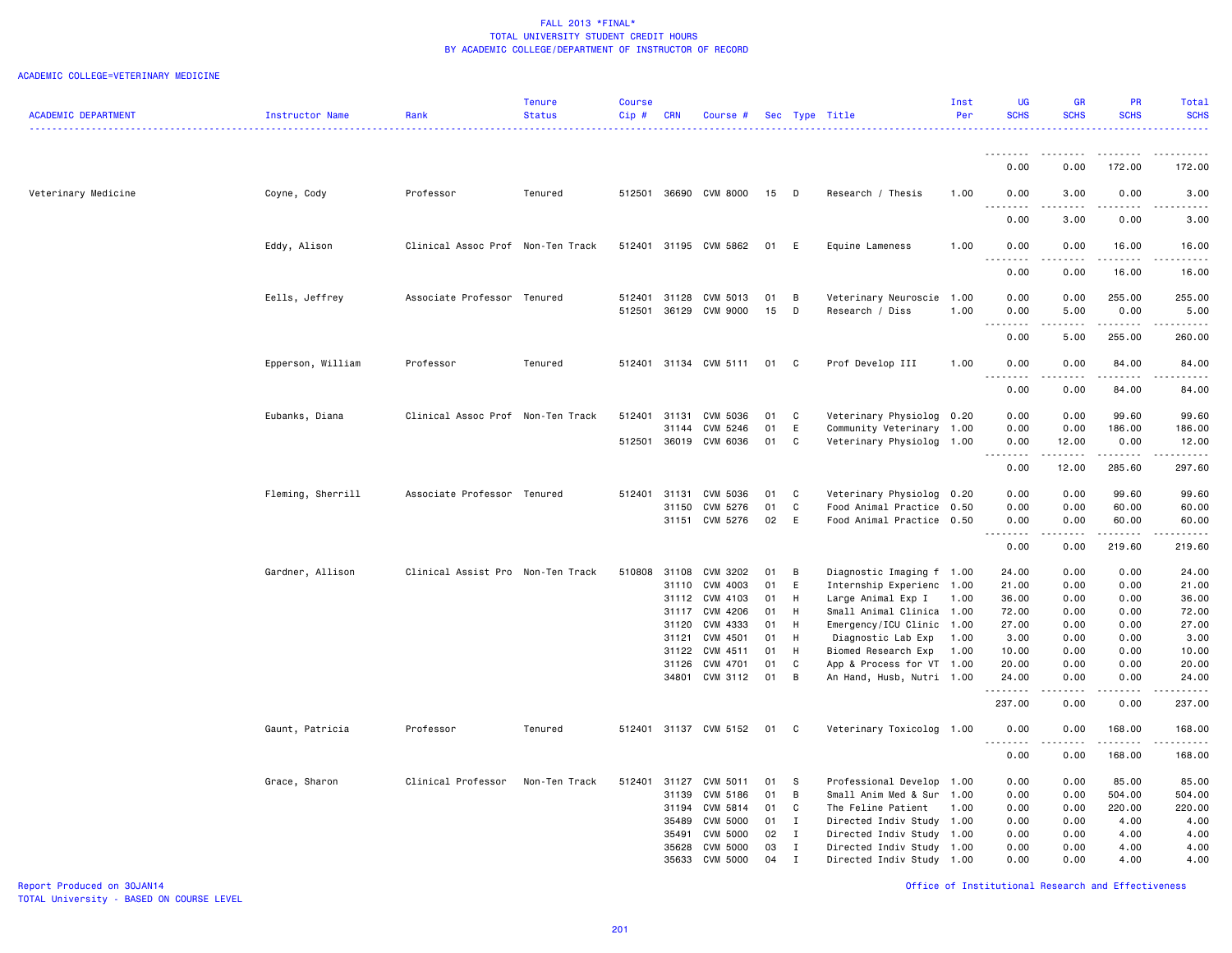|                            |                   |                                   | <b>Tenure</b> | <b>Course</b> |                |                       |          |              |                                                        | Inst         | <b>UG</b>                   | <b>GR</b>    | <b>PR</b>                                                                                                            | Total                                                                                                                                    |
|----------------------------|-------------------|-----------------------------------|---------------|---------------|----------------|-----------------------|----------|--------------|--------------------------------------------------------|--------------|-----------------------------|--------------|----------------------------------------------------------------------------------------------------------------------|------------------------------------------------------------------------------------------------------------------------------------------|
| <b>ACADEMIC DEPARTMENT</b> | Instructor Name   | Rank                              | <b>Status</b> | Cip#          | <b>CRN</b>     | Course #              |          |              | Sec Type Title                                         | Per          | <b>SCHS</b>                 | <b>SCHS</b>  | <b>SCHS</b>                                                                                                          | <b>SCHS</b><br>$\frac{1}{2} \left( \frac{1}{2} \right) \left( \frac{1}{2} \right) \left( \frac{1}{2} \right) \left( \frac{1}{2} \right)$ |
|                            |                   |                                   |               |               |                |                       |          |              |                                                        |              |                             |              |                                                                                                                      |                                                                                                                                          |
|                            |                   |                                   |               |               |                |                       |          |              |                                                        |              | .                           | <u>.</u>     | .                                                                                                                    | .                                                                                                                                        |
|                            |                   |                                   |               |               |                |                       |          |              |                                                        |              | 0.00                        | 0.00         | 172.00                                                                                                               | 172.00                                                                                                                                   |
|                            |                   |                                   |               |               |                |                       |          |              |                                                        |              |                             |              |                                                                                                                      |                                                                                                                                          |
| Veterinary Medicine        | Coyne, Cody       | Professor                         | Tenured       | 512501        |                | 36690 CVM 8000        | 15       | D            | Research / Thesis                                      | 1.00         | 0.00<br>----                | 3.00<br>.    | 0.00<br>.                                                                                                            | 3.00                                                                                                                                     |
|                            |                   |                                   |               |               |                |                       |          |              |                                                        |              | 0.00                        | 3.00         | 0.00                                                                                                                 | 3.00                                                                                                                                     |
|                            |                   |                                   |               |               |                |                       |          |              |                                                        |              |                             |              |                                                                                                                      |                                                                                                                                          |
|                            | Eddy, Alison      | Clinical Assoc Prof Non-Ten Track |               |               |                | 512401 31195 CVM 5862 | 01       | E            | Equine Lameness                                        | 1.00         | 0.00                        | 0.00         | 16.00                                                                                                                | 16.00                                                                                                                                    |
|                            |                   |                                   |               |               |                |                       |          |              |                                                        |              | د د د د                     | .            | .                                                                                                                    | .                                                                                                                                        |
|                            |                   |                                   |               |               |                |                       |          |              |                                                        |              | 0.00                        | 0.00         | 16.00                                                                                                                | 16.00                                                                                                                                    |
|                            | Eells, Jeffrey    | Associate Professor Tenured       |               | 512401        | 31128          | CVM 5013              | 01       | B            | Veterinary Neuroscie 1.00                              |              | 0.00                        | 0.00         | 255.00                                                                                                               | 255.00                                                                                                                                   |
|                            |                   |                                   |               | 512501        |                | 36129 CVM 9000        | 15       | D            | Research / Diss                                        | 1.00         | 0.00                        | 5.00         | 0.00                                                                                                                 | 5.00                                                                                                                                     |
|                            |                   |                                   |               |               |                |                       |          |              |                                                        |              | .<br>$\sim$ $\sim$          | <u>.</u>     | .                                                                                                                    | <u>.</u>                                                                                                                                 |
|                            |                   |                                   |               |               |                |                       |          |              |                                                        |              | 0.00                        | 5.00         | 255.00                                                                                                               | 260.00                                                                                                                                   |
|                            | Epperson, William | Professor                         | Tenured       |               |                | 512401 31134 CVM 5111 | 01       | $\mathbf{C}$ | Prof Develop III                                       | 1.00         | 0.00                        | 0.00         | 84.00                                                                                                                | 84.00                                                                                                                                    |
|                            |                   |                                   |               |               |                |                       |          |              |                                                        |              | $\sim$ $\sim$ $\sim$ $\sim$ |              | .                                                                                                                    | .                                                                                                                                        |
|                            |                   |                                   |               |               |                |                       |          |              |                                                        |              | 0.00                        | 0.00         | 84.00                                                                                                                | 84.00                                                                                                                                    |
|                            |                   |                                   |               |               |                |                       |          |              |                                                        |              |                             |              |                                                                                                                      |                                                                                                                                          |
|                            | Eubanks, Diana    | Clinical Assoc Prof Non-Ten Track |               | 512401        | 31131          | CVM 5036              | 01       | C            | Veterinary Physiolog 0.20                              |              | 0.00                        | 0.00         | 99.60                                                                                                                | 99.60                                                                                                                                    |
|                            |                   |                                   |               |               | 31144          | CVM 5246              | 01       | E            | Community Veterinary                                   | 1.00         | 0.00                        | 0.00         | 186.00                                                                                                               | 186.00                                                                                                                                   |
|                            |                   |                                   |               | 512501        |                | 36019 CVM 6036        | 01       | C            | Veterinary Physiolog 1.00                              |              | 0.00<br><u>.</u>            | 12.00<br>.   | 0.00<br>.                                                                                                            | 12.00<br>.                                                                                                                               |
|                            |                   |                                   |               |               |                |                       |          |              |                                                        |              | 0.00                        | 12.00        | 285.60                                                                                                               | 297.60                                                                                                                                   |
|                            |                   |                                   |               |               |                |                       |          |              |                                                        |              |                             |              |                                                                                                                      |                                                                                                                                          |
|                            | Fleming, Sherrill | Associate Professor Tenured       |               | 512401        | 31131          | CVM 5036              | 01       | C            | Veterinary Physiolog 0.20                              |              | 0.00                        | 0.00         | 99.60                                                                                                                | 99.60                                                                                                                                    |
|                            |                   |                                   |               |               | 31150          | CVM 5276              | 01       | $\mathbb{C}$ | Food Animal Practice 0.50                              |              | 0.00                        | 0.00         | 60.00                                                                                                                | 60.00                                                                                                                                    |
|                            |                   |                                   |               |               |                | 31151 CVM 5276        | 02       | E            | Food Animal Practice 0.50                              |              | 0.00<br>د د د د             | 0.00<br>.    | 60.00<br>$\begin{array}{cccccccccc} \bullet & \bullet & \bullet & \bullet & \bullet & \bullet & \bullet \end{array}$ | 60.00<br>.                                                                                                                               |
|                            |                   |                                   |               |               |                |                       |          |              |                                                        |              | 0.00                        | 0.00         | 219.60                                                                                                               | 219.60                                                                                                                                   |
|                            |                   |                                   |               |               |                |                       |          |              |                                                        |              |                             |              |                                                                                                                      |                                                                                                                                          |
|                            | Gardner, Allison  | Clinical Assist Pro Non-Ten Track |               | 510808        | 31108          | CVM 3202              | 01       | B            | Diagnostic Imaging f 1.00                              |              | 24.00                       | 0.00         | 0.00                                                                                                                 | 24.00                                                                                                                                    |
|                            |                   |                                   |               |               | 31110          | CVM 4003              | 01       | E            | Internship Experienc 1.00                              |              | 21.00                       | 0.00         | 0.00                                                                                                                 | 21.00                                                                                                                                    |
|                            |                   |                                   |               |               | 31112          | CVM 4103              | 01       | H            | Large Animal Exp I                                     | 1.00         | 36.00                       | 0.00         | 0.00                                                                                                                 | 36.00                                                                                                                                    |
|                            |                   |                                   |               |               | 31117<br>31120 | CVM 4206<br>CVM 4333  | 01<br>01 | H<br>H       | Small Animal Clinica 1.00<br>Emergency/ICU Clinic 1.00 |              | 72.00<br>27.00              | 0.00<br>0.00 | 0.00<br>0.00                                                                                                         | 72.00<br>27.00                                                                                                                           |
|                            |                   |                                   |               |               | 31121          | CVM 4501              | 01       | H            | Diagnostic Lab Exp                                     | 1.00         | 3.00                        | 0.00         | 0.00                                                                                                                 | 3.00                                                                                                                                     |
|                            |                   |                                   |               |               | 31122          | CVM 4511              | 01       | H            | Biomed Research Exp                                    | 1.00         | 10.00                       | 0.00         | 0.00                                                                                                                 | 10.00                                                                                                                                    |
|                            |                   |                                   |               |               | 31126          | CVM 4701              | 01       | C            | App & Process for VT 1.00                              |              | 20.00                       | 0.00         | 0.00                                                                                                                 | 20.00                                                                                                                                    |
|                            |                   |                                   |               |               | 34801          | CVM 3112              | 01       | B            | An Hand, Husb, Nutri 1.00                              |              | 24.00                       | 0.00         | 0.00                                                                                                                 | 24.00                                                                                                                                    |
|                            |                   |                                   |               |               |                |                       |          |              |                                                        |              | .                           | المتماما     | .                                                                                                                    | .                                                                                                                                        |
|                            |                   |                                   |               |               |                |                       |          |              |                                                        |              | 237.00                      | 0.00         | 0.00                                                                                                                 | 237.00                                                                                                                                   |
|                            | Gaunt, Patricia   | Professor                         | Tenured       |               |                | 512401 31137 CVM 5152 | 01       | $\mathbf{C}$ | Veterinary Toxicolog 1.00                              |              | 0.00                        | 0.00         | 168.00                                                                                                               | 168.00                                                                                                                                   |
|                            |                   |                                   |               |               |                |                       |          |              |                                                        |              |                             | .            | .                                                                                                                    | .                                                                                                                                        |
|                            |                   |                                   |               |               |                |                       |          |              |                                                        |              | 0.00                        | 0.00         | 168.00                                                                                                               | 168.00                                                                                                                                   |
|                            |                   |                                   |               |               |                |                       |          |              |                                                        |              |                             |              |                                                                                                                      |                                                                                                                                          |
|                            | Grace, Sharon     | Clinical Professor                | Non-Ten Track | 512401        | 31127          | CVM 5011              | 01       | <b>S</b>     | Professional Develop                                   | 1.00         | 0.00                        | 0.00         | 85.00                                                                                                                | 85.00                                                                                                                                    |
|                            |                   |                                   |               |               | 31139<br>31194 | CVM 5186<br>CVM 5814  | 01<br>01 | B<br>C       | Small Anim Med & Sur<br>The Feline Patient             | 1.00<br>1.00 | 0.00<br>0.00                | 0.00<br>0.00 | 504.00<br>220.00                                                                                                     | 504.00<br>220.00                                                                                                                         |
|                            |                   |                                   |               |               | 35489          | <b>CVM 5000</b>       | 01       | $\mathbf{I}$ | Directed Indiv Study 1.00                              |              | 0.00                        | 0.00         | 4.00                                                                                                                 | 4.00                                                                                                                                     |
|                            |                   |                                   |               |               | 35491          | <b>CVM 5000</b>       | 02       | $\mathbf{I}$ | Directed Indiv Study                                   | 1.00         | 0.00                        | 0.00         | 4.00                                                                                                                 | 4.00                                                                                                                                     |
|                            |                   |                                   |               |               | 35628          | <b>CVM 5000</b>       | 03       | $\mathbf{I}$ | Directed Indiv Study 1.00                              |              | 0.00                        | 0.00         | 4.00                                                                                                                 | 4.00                                                                                                                                     |
|                            |                   |                                   |               |               | 35633          | CVM 5000              | 04       | $\mathbf{I}$ | Directed Indiv Study 1.00                              |              | 0.00                        | 0.00         | 4.00                                                                                                                 | 4.00                                                                                                                                     |
|                            |                   |                                   |               |               |                |                       |          |              |                                                        |              |                             |              |                                                                                                                      |                                                                                                                                          |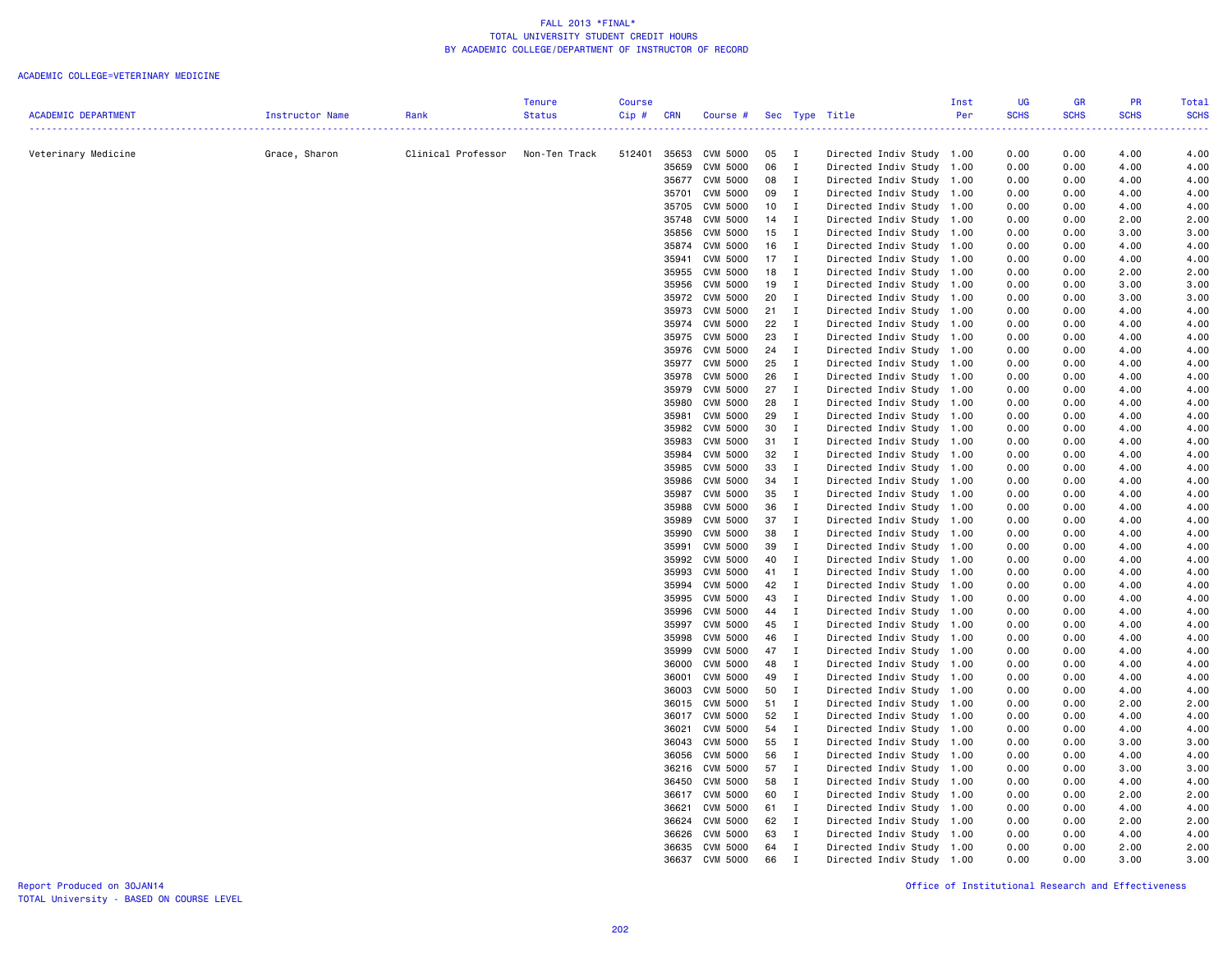|                            |                 |                    | <b>Tenure</b> | <b>Course</b> |            |                 |        |                |                           | Inst | UG          | <b>GR</b>   | PR          | <b>Total</b> |
|----------------------------|-----------------|--------------------|---------------|---------------|------------|-----------------|--------|----------------|---------------------------|------|-------------|-------------|-------------|--------------|
| <b>ACADEMIC DEPARTMENT</b> | Instructor Name | Rank               | <b>Status</b> | Cip#          | <b>CRN</b> | Course #        |        |                | Sec Type Title            | Per  | <b>SCHS</b> | <b>SCHS</b> | <b>SCHS</b> | <b>SCHS</b>  |
|                            |                 |                    |               |               |            |                 |        |                |                           |      |             |             |             |              |
| Veterinary Medicine        | Grace, Sharon   | Clinical Professor | Non-Ten Track | 512401        | 35653      | CVM 5000        | 05     | $\mathbf{I}$   | Directed Indiv Study 1.00 |      | 0.00        | 0.00        | 4.00        | 4.00         |
|                            |                 |                    |               |               | 35659      | CVM 5000        | 06     | $\mathbf{I}$   | Directed Indiv Study      | 1.00 | 0.00        | 0.00        | 4.00        | 4.00         |
|                            |                 |                    |               |               | 35677      | CVM 5000        | 08     | $\blacksquare$ | Directed Indiv Study 1.00 |      | 0.00        | 0.00        | 4.00        | 4.00         |
|                            |                 |                    |               |               | 35701      | CVM 5000        | 09     | $\mathbf{I}$   | Directed Indiv Study      | 1.00 | 0.00        | 0.00        | 4.00        | 4.00         |
|                            |                 |                    |               |               | 35705      | CVM 5000        | 10     | $\blacksquare$ | Directed Indiv Study      | 1.00 | 0.00        | 0.00        | 4.00        | 4.00         |
|                            |                 |                    |               |               | 35748      | CVM 5000        | $14$ I |                | Directed Indiv Study      | 1.00 | 0.00        | 0.00        | 2.00        | 2.00         |
|                            |                 |                    |               |               | 35856      | <b>CVM 5000</b> | 15     | $\blacksquare$ | Directed Indiv Study      | 1.00 | 0.00        | 0.00        | 3.00        | 3.00         |
|                            |                 |                    |               |               | 35874      | CVM 5000        | 16     | $\blacksquare$ | Directed Indiv Study      | 1.00 | 0.00        | 0.00        | 4.00        | 4.00         |
|                            |                 |                    |               |               | 35941      | CVM 5000        | 17     | $\mathbf{I}$   | Directed Indiv Study      | 1.00 | 0.00        | 0.00        | 4.00        | 4.00         |
|                            |                 |                    |               |               | 35955      | CVM 5000        | 18     | $\blacksquare$ | Directed Indiv Study 1.00 |      | 0.00        | 0.00        | 2.00        | 2.00         |
|                            |                 |                    |               |               | 35956      | CVM 5000        | 19     | $\mathbf{I}$   | Directed Indiv Study      | 1.00 | 0.00        | 0.00        | 3.00        | 3.00         |
|                            |                 |                    |               |               | 35972      | CVM 5000        | 20     | $\blacksquare$ | Directed Indiv Study      | 1.00 | 0.00        | 0.00        | 3.00        | 3.00         |
|                            |                 |                    |               |               | 35973      | CVM 5000        | $21$ I |                | Directed Indiv Study      | 1.00 | 0.00        | 0.00        | 4.00        | 4.00         |
|                            |                 |                    |               |               | 35974      | <b>CVM 5000</b> | 22     | $\mathbf{I}$   | Directed Indiv Study      | 1.00 | 0.00        | 0.00        | 4.00        | 4.00         |
|                            |                 |                    |               |               | 35975      | CVM 5000        | 23     | $\mathbf{I}$   | Directed Indiv Study      | 1.00 | 0.00        | 0.00        | 4.00        | 4.00         |
|                            |                 |                    |               |               | 35976      | <b>CVM 5000</b> | 24 I   |                | Directed Indiv Study      | 1.00 | 0.00        | 0.00        | 4.00        | 4.00         |
|                            |                 |                    |               |               | 35977      | CVM 5000        | 25     | $\blacksquare$ | Directed Indiv Study      | 1.00 | 0.00        | 0.00        | 4.00        | 4.00         |
|                            |                 |                    |               |               | 35978      | CVM 5000        | 26     | $\mathbf{I}$   | Directed Indiv Study      | 1.00 | 0.00        | 0.00        | 4.00        | 4.00         |
|                            |                 |                    |               |               | 35979      | CVM 5000        | 27     | $\mathbf{I}$   | Directed Indiv Study      | 1.00 | 0.00        | 0.00        | 4.00        | 4.00         |
|                            |                 |                    |               |               | 35980      | <b>CVM 5000</b> | 28     | $\mathbf{I}$   | Directed Indiv Study      | 1.00 | 0.00        | 0.00        | 4.00        | 4.00         |
|                            |                 |                    |               |               | 35981      | CVM 5000        | 29     | $\mathbf{I}$   | Directed Indiv Study      | 1.00 | 0.00        | 0.00        | 4.00        | 4.00         |
|                            |                 |                    |               |               | 35982      | <b>CVM 5000</b> | 30     | $\mathbf{I}$   | Directed Indiv Study      | 1.00 | 0.00        | 0.00        | 4.00        | 4.00         |
|                            |                 |                    |               |               | 35983      | CVM 5000        | 31     | $\mathbf{I}$   | Directed Indiv Study      | 1.00 | 0.00        | 0.00        | 4.00        | 4.00         |
|                            |                 |                    |               |               | 35984      | CVM 5000        | 32     | $\mathbf{I}$   | Directed Indiv Study      | 1.00 | 0.00        | 0.00        | 4.00        | 4.00         |
|                            |                 |                    |               |               | 35985      | CVM 5000        | 33     | $\mathbf{I}$   | Directed Indiv Study      | 1.00 | 0.00        | 0.00        | 4.00        | 4.00         |
|                            |                 |                    |               |               | 35986      | CVM 5000        | 34 I   |                | Directed Indiv Study      | 1.00 | 0.00        | 0.00        | 4.00        | 4.00         |
|                            |                 |                    |               |               | 35987      | CVM 5000        | 35     | $\blacksquare$ | Directed Indiv Study      | 1.00 | 0.00        | 0.00        | 4.00        | 4.00         |
|                            |                 |                    |               |               | 35988      | <b>CVM 5000</b> | 36     | $\mathbf{I}$   | Directed Indiv Study      | 1.00 | 0.00        | 0.00        | 4.00        | 4.00         |
|                            |                 |                    |               |               | 35989      | <b>CVM 5000</b> | 37     | $\mathbf{I}$   | Directed Indiv Study 1.00 |      | 0.00        | 0.00        | 4.00        | 4.00         |
|                            |                 |                    |               |               | 35990      | CVM 5000        | 38     | $\mathbf{I}$   | Directed Indiv Study      | 1.00 | 0.00        | 0.00        | 4.00        | 4.00         |
|                            |                 |                    |               |               | 35991      | CVM 5000        | 39     | $\mathbf{I}$   | Directed Indiv Study      | 1.00 | 0.00        | 0.00        | 4.00        | 4.00         |
|                            |                 |                    |               |               | 35992      | <b>CVM 5000</b> | 40     | $\blacksquare$ | Directed Indiv Study      | 1.00 | 0.00        | 0.00        | 4.00        | 4.00         |
|                            |                 |                    |               |               | 35993      | CVM 5000        | 41 I   |                | Directed Indiv Study 1.00 |      | 0.00        | 0.00        | 4.00        | 4.00         |
|                            |                 |                    |               |               | 35994      | CVM 5000        | 42     | $\mathbf{I}$   | Directed Indiv Study      | 1.00 | 0.00        | 0.00        | 4.00        | 4.00         |
|                            |                 |                    |               |               | 35995      | CVM 5000        | 43     | $\blacksquare$ | Directed Indiv Study      | 1.00 | 0.00        | 0.00        | 4.00        | 4.00         |
|                            |                 |                    |               |               | 35996      | CVM 5000        | 44     | $\mathbf{I}$   | Directed Indiv Study      | 1.00 | 0.00        | 0.00        | 4.00        | 4.00         |
|                            |                 |                    |               |               | 35997      | <b>CVM 5000</b> | 45     | $\mathbf{I}$   | Directed Indiv Study      | 1.00 | 0.00        | 0.00        | 4.00        | 4.00         |
|                            |                 |                    |               |               | 35998      | CVM 5000        | 46     | $\mathbf{I}$   | Directed Indiv Study      | 1.00 | 0.00        | 0.00        | 4.00        | 4.00         |
|                            |                 |                    |               |               | 35999      | CVM 5000        | 47     | $\mathbf{I}$   | Directed Indiv Study      | 1.00 | 0.00        | 0.00        | 4.00        | 4.00         |
|                            |                 |                    |               |               | 36000      | CVM 5000        | 48     | $\mathbf{I}$   | Directed Indiv Study      | 1.00 | 0.00        | 0.00        | 4.00        | 4.00         |
|                            |                 |                    |               |               | 36001      | CVM 5000        | 49     | $\mathbf{I}$   | Directed Indiv Study      | 1.00 | 0.00        | 0.00        | 4.00        | 4.00         |
|                            |                 |                    |               |               | 36003      | CVM 5000        | 50     | $\blacksquare$ | Directed Indiv Study      | 1.00 | 0.00        | 0.00        | 4.00        | 4.00         |
|                            |                 |                    |               |               | 36015      | CVM 5000        | 51 I   |                | Directed Indiv Study      | 1.00 | 0.00        | 0.00        | 2.00        | 2.00         |
|                            |                 |                    |               |               | 36017      | <b>CVM 5000</b> | 52     | $\mathbf{I}$   | Directed Indiv Study      | 1.00 | 0.00        | 0.00        | 4.00        | 4.00         |
|                            |                 |                    |               |               | 36021      | CVM 5000        | 54 I   |                | Directed Indiv Study      | 1.00 | 0.00        | 0.00        | 4.00        | 4.00         |
|                            |                 |                    |               |               | 36043      | CVM 5000        | 55     | $\mathbf{I}$   | Directed Indiv Study      | 1.00 | 0.00        | 0.00        | 3.00        | 3.00         |
|                            |                 |                    |               |               | 36056      | CVM 5000        | 56     | $\mathbf{I}$   | Directed Indiv Study      | 1.00 | 0.00        | 0.00        | 4.00        | 4.00         |
|                            |                 |                    |               |               | 36216      | CVM 5000        | 57     | $\blacksquare$ | Directed Indiv Study      | 1.00 | 0.00        | 0.00        | 3.00        | 3.00         |
|                            |                 |                    |               |               | 36450      | CVM 5000        | 58     | $\mathbf{I}$   | Directed Indiv Study      | 1.00 | 0.00        | 0.00        | 4.00        | 4.00         |
|                            |                 |                    |               |               | 36617      | CVM 5000        | 60     | $\blacksquare$ | Directed Indiv Study      | 1.00 | 0.00        | 0.00        | 2.00        | 2.00         |
|                            |                 |                    |               |               | 36621      | <b>CVM 5000</b> | 61     | $\blacksquare$ | Directed Indiv Study      | 1.00 | 0.00        | 0.00        | 4.00        | 4.00         |
|                            |                 |                    |               |               | 36624      | <b>CVM 5000</b> | 62     | $\blacksquare$ | Directed Indiv Study      | 1.00 | 0.00        | 0.00        | 2.00        | 2.00         |
|                            |                 |                    |               |               | 36626      | CVM 5000        | 63     | $\mathbf{I}$   | Directed Indiv Study      | 1.00 | 0.00        | 0.00        | 4.00        | 4.00         |
|                            |                 |                    |               |               | 36635      | CVM 5000        | 64     | $\mathbf{I}$   | Directed Indiv Study      | 1.00 | 0.00        | 0.00        | 2.00        | 2.00         |
|                            |                 |                    |               |               | 36637      | CVM 5000        | 66     | $\mathbf I$    | Directed Indiv Study 1.00 |      | 0.00        | 0.00        | 3.00        | 3.00         |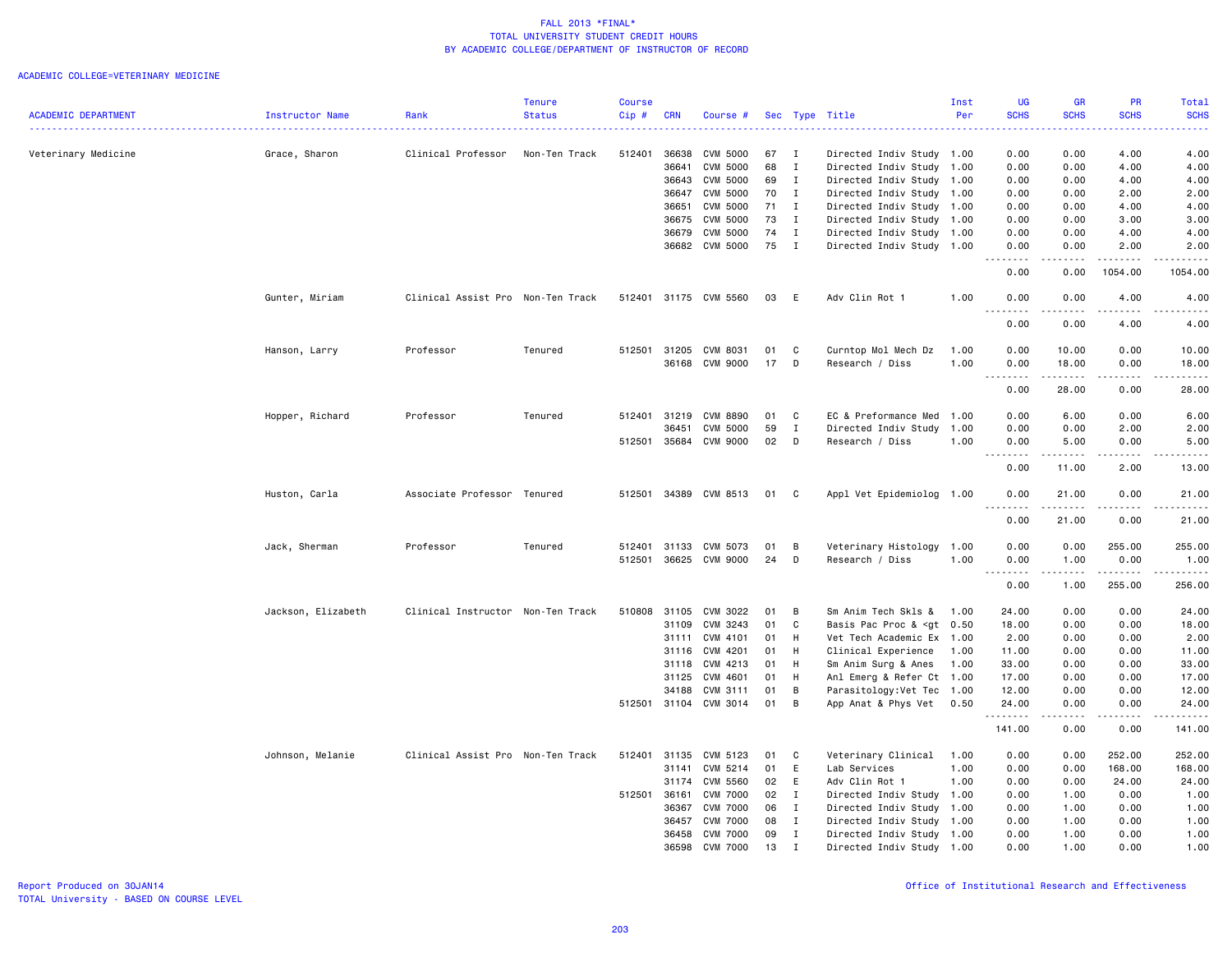|                            |                    |                                   | Tenure        | <b>Course</b> |              |                       |      |              |                                                                                                       | Inst | <b>UG</b>                                                                                                                                                                            | <b>GR</b>            | PR                                  | Total             |
|----------------------------|--------------------|-----------------------------------|---------------|---------------|--------------|-----------------------|------|--------------|-------------------------------------------------------------------------------------------------------|------|--------------------------------------------------------------------------------------------------------------------------------------------------------------------------------------|----------------------|-------------------------------------|-------------------|
| <b>ACADEMIC DEPARTMENT</b> | Instructor Name    | Rank                              | <b>Status</b> | Cip#          | <b>CRN</b>   | Course #              |      |              | Sec Type Title                                                                                        | Per  | <b>SCHS</b><br>$\omega$ is a $\omega$                                                                                                                                                | <b>SCHS</b>          | <b>SCHS</b>                         | <b>SCHS</b><br>.  |
| Veterinary Medicine        | Grace, Sharon      | Clinical Professor                | Non-Ten Track | 512401        | 36638        | CVM 5000              | 67   | $\mathbf{I}$ | Directed Indiv Study 1.00                                                                             |      | 0.00                                                                                                                                                                                 | 0.00                 | 4.00                                | 4.00              |
|                            |                    |                                   |               |               | 36641        | <b>CVM 5000</b>       | 68   | $\mathbf{I}$ | Directed Indiv Study 1.00                                                                             |      | 0.00                                                                                                                                                                                 | 0.00                 | 4.00                                | 4.00              |
|                            |                    |                                   |               |               | 36643        | <b>CVM 5000</b>       | 69   | $\mathbf{I}$ | Directed Indiv Study 1.00                                                                             |      | 0.00                                                                                                                                                                                 | 0.00                 | 4.00                                | 4.00              |
|                            |                    |                                   |               |               | 36647        | CVM 5000              | 70   | $\mathbf{I}$ | Directed Indiv Study 1.00                                                                             |      | 0.00                                                                                                                                                                                 | 0.00                 | 2.00                                | 2.00              |
|                            |                    |                                   |               |               | 36651        | <b>CVM 5000</b>       | 71 I |              | Directed Indiv Study 1.00                                                                             |      | 0.00                                                                                                                                                                                 | 0.00                 | 4.00                                | 4.00              |
|                            |                    |                                   |               |               | 36675        | CVM 5000              | 73   | $\mathbf{I}$ | Directed Indiv Study 1.00                                                                             |      | 0.00                                                                                                                                                                                 | 0.00                 | 3.00                                | 3.00              |
|                            |                    |                                   |               |               | 36679        | CVM 5000              | 74   | $\mathbf{I}$ | Directed Indiv Study 1.00                                                                             |      | 0.00                                                                                                                                                                                 | 0.00                 | 4.00                                | 4.00              |
|                            |                    |                                   |               |               | 36682        | <b>CVM 5000</b>       | 75   | $\mathbf{I}$ | Directed Indiv Study 1.00                                                                             |      | 0.00                                                                                                                                                                                 | 0.00                 | 2.00                                | 2.00              |
|                            |                    |                                   |               |               |              |                       |      |              |                                                                                                       |      | .<br>$\sim$ $\sim$ .<br>0.00                                                                                                                                                         | 0.00                 | <u>.</u><br>1054.00                 | .<br>1054.00      |
|                            | Gunter, Miriam     | Clinical Assist Pro Non-Ten Track |               |               |              | 512401 31175 CVM 5560 | 03   | E            | Adv Clin Rot 1                                                                                        | 1.00 | 0.00                                                                                                                                                                                 | 0.00                 | 4.00                                | 4.00              |
|                            |                    |                                   |               |               |              |                       |      |              |                                                                                                       |      | 0.00                                                                                                                                                                                 | 0.00                 | 4.00                                | 4.00              |
|                            | Hanson, Larry      | Professor                         | Tenured       |               | 512501 31205 | CVM 8031              | 01   | C            | Curntop Mol Mech Dz                                                                                   | 1.00 | 0.00                                                                                                                                                                                 | 10.00                | 0.00                                | 10.00             |
|                            |                    |                                   |               |               |              | 36168 CVM 9000        | 17   | D            | Research / Diss                                                                                       | 1.00 | 0.00                                                                                                                                                                                 | 18.00                | 0.00                                | 18.00             |
|                            |                    |                                   |               |               |              |                       |      |              |                                                                                                       |      | $\frac{1}{2} \left( \frac{1}{2} \right) \left( \frac{1}{2} \right) \left( \frac{1}{2} \right) \left( \frac{1}{2} \right) \left( \frac{1}{2} \right)$<br>$\sim$ $\sim$ $\sim$<br>0.00 | ------<br>28.00      | .<br>0.00                           | .<br>28.00        |
|                            | Hopper, Richard    | Professor                         | Tenured       | 512401 31219  |              | <b>CVM 8890</b>       | 01   | C            | EC & Preformance Med                                                                                  | 1.00 | 0.00                                                                                                                                                                                 | 6.00                 | 0.00                                | 6.00              |
|                            |                    |                                   |               |               | 36451        | CVM 5000              | 59   | $\mathbf{I}$ | Directed Indiv Study                                                                                  | 1.00 | 0.00                                                                                                                                                                                 | 0.00                 | 2.00                                | 2.00              |
|                            |                    |                                   |               | 512501 35684  |              | <b>CVM 9000</b>       | 02   | D            | Research / Diss                                                                                       | 1.00 | 0.00                                                                                                                                                                                 | 5.00                 | 0.00                                | 5.00              |
|                            |                    |                                   |               |               |              |                       |      |              |                                                                                                       |      | $\sim$ $\sim$ .<br>.<br>0.00                                                                                                                                                         | $- - - - -$<br>11.00 | .<br>2.00                           | وبالمحام<br>13.00 |
|                            | Huston, Carla      | Associate Professor Tenured       |               | 512501        |              | 34389 CVM 8513        | 01   | C            | Appl Vet Epidemiolog 1.00                                                                             |      | 0.00                                                                                                                                                                                 | 21.00                | 0.00                                | 21.00             |
|                            |                    |                                   |               |               |              |                       |      |              |                                                                                                       |      | $\sim$ $\sim$ .<br>.<br>0.00                                                                                                                                                         | .<br>21.00           | .<br>0.00                           | .<br>21.00        |
|                            |                    |                                   |               |               |              |                       |      |              |                                                                                                       |      |                                                                                                                                                                                      |                      |                                     |                   |
|                            | Jack, Sherman      | Professor                         | Tenured       | 512401        | 31133        | CVM 5073              | 01   | В            | Veterinary Histology 1.00                                                                             |      | 0.00                                                                                                                                                                                 | 0.00                 | 255.00                              | 255.00            |
|                            |                    |                                   |               | 512501        | 36625        | CVM 9000              | 24   | D            | Research / Diss                                                                                       | 1.00 | 0.00<br>$\sim$ $\sim$                                                                                                                                                                | 1.00                 | 0.00                                | 1.00              |
|                            |                    |                                   |               |               |              |                       |      |              |                                                                                                       |      | 0.00                                                                                                                                                                                 | 1.00                 | 255.00                              | 256.00            |
|                            | Jackson, Elizabeth | Clinical Instructor Non-Ten Track |               | 510808        | 31105        | CVM 3022              | 01   | В            | Sm Anim Tech Skls &                                                                                   | 1.00 | 24.00                                                                                                                                                                                | 0.00                 | 0.00                                | 24.00             |
|                            |                    |                                   |               |               | 31109        | CVM 3243              | 01   | C            | Basis Pac Proc & <gt< td=""><td>0.50</td><td>18.00</td><td>0.00</td><td>0.00</td><td>18.00</td></gt<> | 0.50 | 18.00                                                                                                                                                                                | 0.00                 | 0.00                                | 18.00             |
|                            |                    |                                   |               |               | 31111        | CVM 4101              | 01   | H            | Vet Tech Academic Ex 1.00                                                                             |      | 2.00                                                                                                                                                                                 | 0.00                 | 0.00                                | 2.00              |
|                            |                    |                                   |               |               | 31116        | CVM 4201              | 01   | H            | Clinical Experience                                                                                   | 1.00 | 11.00                                                                                                                                                                                | 0.00                 | 0.00                                | 11.00             |
|                            |                    |                                   |               |               | 31118        | CVM 4213              | 01   | H            | Sm Anim Surg & Anes                                                                                   | 1.00 | 33.00                                                                                                                                                                                | 0.00                 | 0.00                                | 33.00             |
|                            |                    |                                   |               |               | 31125        | CVM 4601              | 01   | H            | Anl Emerg & Refer Ct 1.00                                                                             |      | 17.00                                                                                                                                                                                | 0.00                 | 0.00                                | 17.00             |
|                            |                    |                                   |               |               | 34188        | CVM 3111              | 01   | В            | Parasitology: Vet Tec 1.00                                                                            |      | 12.00                                                                                                                                                                                | 0.00                 | 0.00                                | 12.00             |
|                            |                    |                                   |               |               |              | 512501 31104 CVM 3014 | 01   | В            | App Anat & Phys Vet 0.50                                                                              |      | 24.00<br><u>.</u>                                                                                                                                                                    | 0.00<br>.            | 0.00<br>$\sim$ $\sim$ $\sim$ $\sim$ | 24.00<br>.        |
|                            |                    |                                   |               |               |              |                       |      |              |                                                                                                       |      | 141.00                                                                                                                                                                               | 0.00                 | 0.00                                | 141.00            |
|                            | Johnson, Melanie   | Clinical Assist Pro Non-Ten Track |               | 512401        | 31135        | CVM 5123              | 01   | C            | Veterinary Clinical                                                                                   | 1.00 | 0.00                                                                                                                                                                                 | 0.00                 | 252.00                              | 252.00            |
|                            |                    |                                   |               |               | 31141        | CVM 5214              | 01   | E            | Lab Services                                                                                          | 1.00 | 0.00                                                                                                                                                                                 | 0.00                 | 168.00                              | 168.00            |
|                            |                    |                                   |               |               | 31174        | CVM 5560              | 02   | E            | Adv Clin Rot 1                                                                                        | 1.00 | 0.00                                                                                                                                                                                 | 0.00                 | 24.00                               | 24.00             |
|                            |                    |                                   |               | 512501 36161  |              | <b>CVM 7000</b>       | 02   | $\mathbf{I}$ | Directed Indiv Study 1.00                                                                             |      | 0.00                                                                                                                                                                                 | 1.00                 | 0.00                                | 1.00              |
|                            |                    |                                   |               |               | 36367        | <b>CVM 7000</b>       | 06   | $\mathbf{I}$ | Directed Indiv Study 1.00                                                                             |      | 0.00                                                                                                                                                                                 | 1.00                 | 0.00                                | 1.00              |
|                            |                    |                                   |               |               | 36457        | <b>CVM 7000</b>       | 08   | $\mathbf{I}$ | Directed Indiv Study 1.00                                                                             |      | 0.00                                                                                                                                                                                 | 1.00                 | 0.00                                | 1.00              |
|                            |                    |                                   |               |               | 36458        | <b>CVM 7000</b>       | 09   | $\mathbf{I}$ | Directed Indiv Study 1.00                                                                             |      | 0.00                                                                                                                                                                                 | 1.00                 | 0.00                                | 1.00              |
|                            |                    |                                   |               |               | 36598        | <b>CVM 7000</b>       | 13   | $\mathbf I$  | Directed Indiv Study 1.00                                                                             |      | 0.00                                                                                                                                                                                 | 1.00                 | 0.00                                | 1.00              |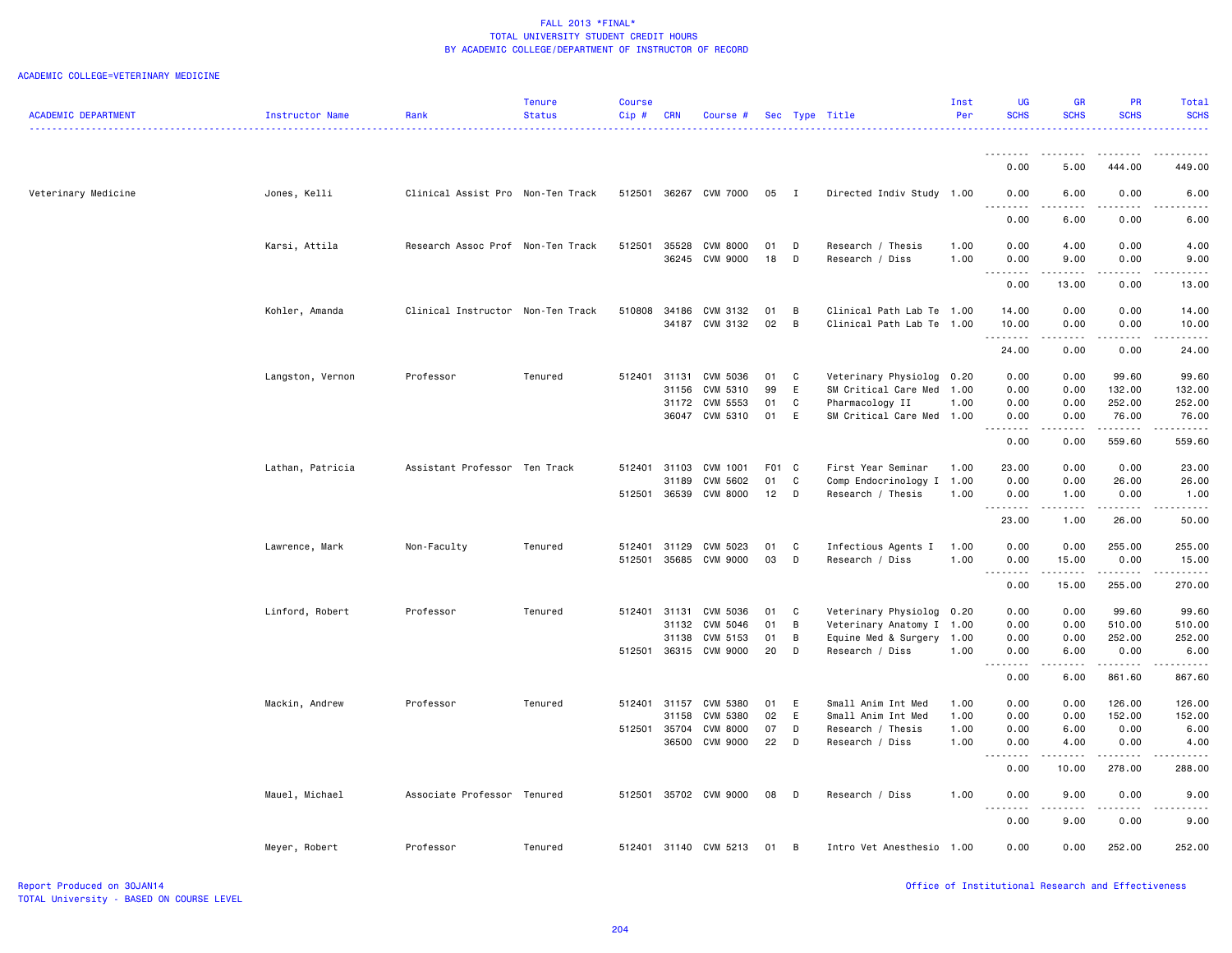| <u>.</u><br><u>.</u><br>.<br>$\frac{1}{2} \left( \frac{1}{2} \right) \left( \frac{1}{2} \right) \left( \frac{1}{2} \right) \left( \frac{1}{2} \right) \left( \frac{1}{2} \right)$<br>0.00<br>5.00<br>444.00<br>449.00<br>Veterinary Medicine<br>Jones, Kelli<br>Clinical Assist Pro Non-Ten Track<br>512501 36267 CVM 7000<br>05<br>$\mathbf{I}$<br>Directed Indiv Study 1.00<br>0.00<br>6.00<br>0.00<br>6.00<br>$\frac{1}{2}$<br>----<br>.<br>0.00<br>6.00<br>0.00<br>6.00<br>512501<br><b>CVM 8000</b><br>4.00<br>0.00<br>4.00<br>Karsi, Attila<br>Research Assoc Prof Non-Ten Track<br>35528<br>01<br>D<br>Research / Thesis<br>1.00<br>0.00<br>36245<br>CVM 9000<br>18<br>D<br>Research / Diss<br>1.00<br>0.00<br>9.00<br>0.00<br>9.00<br>$\frac{1}{2} \left( \begin{array}{ccc} 1 & 0 & 0 & 0 \\ 0 & 0 & 0 & 0 \\ 0 & 0 & 0 & 0 \\ 0 & 0 & 0 & 0 \\ 0 & 0 & 0 & 0 \\ 0 & 0 & 0 & 0 \\ 0 & 0 & 0 & 0 \\ 0 & 0 & 0 & 0 \\ 0 & 0 & 0 & 0 \\ 0 & 0 & 0 & 0 \\ 0 & 0 & 0 & 0 & 0 \\ 0 & 0 & 0 & 0 & 0 \\ 0 & 0 & 0 & 0 & 0 \\ 0 & 0 & 0 & 0 & 0 \\ 0 & 0 & 0 & 0 & 0 \\ 0 & 0 & 0$<br>0.00<br>13.00<br>0.00<br>13.00<br>510808<br>Clinical Path Lab Te 1.00<br>0.00<br>0.00<br>14.00<br>Kohler, Amanda<br>Clinical Instructor Non-Ten Track<br>34186<br>CVM 3132<br>01<br>B<br>14.00<br>02<br>34187 CVM 3132<br>B<br>Clinical Path Lab Te 1.00<br>10.00<br>0.00<br>0.00<br>10.00<br>.<br>.<br>.<br>.<br>24.00<br>0.00<br>0.00<br>24.00<br>Veterinary Physiolog<br>0.00<br>0.00<br>Langston, Vernon<br>Professor<br>Tenured<br>512401<br>31131<br>CVM 5036<br>01<br>C<br>0.20<br>99.60<br>99.60<br>99<br>E<br>31156<br>CVM 5310<br>SM Critical Care Med<br>1.00<br>0.00<br>0.00<br>132.00<br>132.00<br>CVM 5553<br>01<br>0.00<br>0.00<br>252.00<br>252.00<br>31172<br>C<br>Pharmacology II<br>1.00<br>36047 CVM 5310<br>01<br>E<br>0.00<br>76.00<br>SM Critical Care Med 1.00<br>0.00<br>76.00<br>.<br>.<br>.<br>$\frac{1}{2} \left( \frac{1}{2} \right) \left( \frac{1}{2} \right) \left( \frac{1}{2} \right) \left( \frac{1}{2} \right) \left( \frac{1}{2} \right)$<br>0.00<br>0.00<br>559.60<br>559.60<br>Assistant Professor Ten Track<br>F01 C<br>First Year Seminar<br>1.00<br>23.00<br>0.00<br>0.00<br>23.00 |
|--------------------------------------------------------------------------------------------------------------------------------------------------------------------------------------------------------------------------------------------------------------------------------------------------------------------------------------------------------------------------------------------------------------------------------------------------------------------------------------------------------------------------------------------------------------------------------------------------------------------------------------------------------------------------------------------------------------------------------------------------------------------------------------------------------------------------------------------------------------------------------------------------------------------------------------------------------------------------------------------------------------------------------------------------------------------------------------------------------------------------------------------------------------------------------------------------------------------------------------------------------------------------------------------------------------------------------------------------------------------------------------------------------------------------------------------------------------------------------------------------------------------------------------------------------------------------------------------------------------------------------------------------------------------------------------------------------------------------------------------------------------------------------------------------------------------------------------------------------------------------------------------------------------------------------------------------------------------------------------------------------------------------------------------------------------------------------------------------------------------------------------------------------------------------------------------------------------------|
|                                                                                                                                                                                                                                                                                                                                                                                                                                                                                                                                                                                                                                                                                                                                                                                                                                                                                                                                                                                                                                                                                                                                                                                                                                                                                                                                                                                                                                                                                                                                                                                                                                                                                                                                                                                                                                                                                                                                                                                                                                                                                                                                                                                                                    |
|                                                                                                                                                                                                                                                                                                                                                                                                                                                                                                                                                                                                                                                                                                                                                                                                                                                                                                                                                                                                                                                                                                                                                                                                                                                                                                                                                                                                                                                                                                                                                                                                                                                                                                                                                                                                                                                                                                                                                                                                                                                                                                                                                                                                                    |
|                                                                                                                                                                                                                                                                                                                                                                                                                                                                                                                                                                                                                                                                                                                                                                                                                                                                                                                                                                                                                                                                                                                                                                                                                                                                                                                                                                                                                                                                                                                                                                                                                                                                                                                                                                                                                                                                                                                                                                                                                                                                                                                                                                                                                    |
|                                                                                                                                                                                                                                                                                                                                                                                                                                                                                                                                                                                                                                                                                                                                                                                                                                                                                                                                                                                                                                                                                                                                                                                                                                                                                                                                                                                                                                                                                                                                                                                                                                                                                                                                                                                                                                                                                                                                                                                                                                                                                                                                                                                                                    |
|                                                                                                                                                                                                                                                                                                                                                                                                                                                                                                                                                                                                                                                                                                                                                                                                                                                                                                                                                                                                                                                                                                                                                                                                                                                                                                                                                                                                                                                                                                                                                                                                                                                                                                                                                                                                                                                                                                                                                                                                                                                                                                                                                                                                                    |
|                                                                                                                                                                                                                                                                                                                                                                                                                                                                                                                                                                                                                                                                                                                                                                                                                                                                                                                                                                                                                                                                                                                                                                                                                                                                                                                                                                                                                                                                                                                                                                                                                                                                                                                                                                                                                                                                                                                                                                                                                                                                                                                                                                                                                    |
|                                                                                                                                                                                                                                                                                                                                                                                                                                                                                                                                                                                                                                                                                                                                                                                                                                                                                                                                                                                                                                                                                                                                                                                                                                                                                                                                                                                                                                                                                                                                                                                                                                                                                                                                                                                                                                                                                                                                                                                                                                                                                                                                                                                                                    |
|                                                                                                                                                                                                                                                                                                                                                                                                                                                                                                                                                                                                                                                                                                                                                                                                                                                                                                                                                                                                                                                                                                                                                                                                                                                                                                                                                                                                                                                                                                                                                                                                                                                                                                                                                                                                                                                                                                                                                                                                                                                                                                                                                                                                                    |
|                                                                                                                                                                                                                                                                                                                                                                                                                                                                                                                                                                                                                                                                                                                                                                                                                                                                                                                                                                                                                                                                                                                                                                                                                                                                                                                                                                                                                                                                                                                                                                                                                                                                                                                                                                                                                                                                                                                                                                                                                                                                                                                                                                                                                    |
|                                                                                                                                                                                                                                                                                                                                                                                                                                                                                                                                                                                                                                                                                                                                                                                                                                                                                                                                                                                                                                                                                                                                                                                                                                                                                                                                                                                                                                                                                                                                                                                                                                                                                                                                                                                                                                                                                                                                                                                                                                                                                                                                                                                                                    |
|                                                                                                                                                                                                                                                                                                                                                                                                                                                                                                                                                                                                                                                                                                                                                                                                                                                                                                                                                                                                                                                                                                                                                                                                                                                                                                                                                                                                                                                                                                                                                                                                                                                                                                                                                                                                                                                                                                                                                                                                                                                                                                                                                                                                                    |
|                                                                                                                                                                                                                                                                                                                                                                                                                                                                                                                                                                                                                                                                                                                                                                                                                                                                                                                                                                                                                                                                                                                                                                                                                                                                                                                                                                                                                                                                                                                                                                                                                                                                                                                                                                                                                                                                                                                                                                                                                                                                                                                                                                                                                    |
|                                                                                                                                                                                                                                                                                                                                                                                                                                                                                                                                                                                                                                                                                                                                                                                                                                                                                                                                                                                                                                                                                                                                                                                                                                                                                                                                                                                                                                                                                                                                                                                                                                                                                                                                                                                                                                                                                                                                                                                                                                                                                                                                                                                                                    |
|                                                                                                                                                                                                                                                                                                                                                                                                                                                                                                                                                                                                                                                                                                                                                                                                                                                                                                                                                                                                                                                                                                                                                                                                                                                                                                                                                                                                                                                                                                                                                                                                                                                                                                                                                                                                                                                                                                                                                                                                                                                                                                                                                                                                                    |
|                                                                                                                                                                                                                                                                                                                                                                                                                                                                                                                                                                                                                                                                                                                                                                                                                                                                                                                                                                                                                                                                                                                                                                                                                                                                                                                                                                                                                                                                                                                                                                                                                                                                                                                                                                                                                                                                                                                                                                                                                                                                                                                                                                                                                    |
| Lathan, Patricia<br>512401<br>31103<br>CVM 1001                                                                                                                                                                                                                                                                                                                                                                                                                                                                                                                                                                                                                                                                                                                                                                                                                                                                                                                                                                                                                                                                                                                                                                                                                                                                                                                                                                                                                                                                                                                                                                                                                                                                                                                                                                                                                                                                                                                                                                                                                                                                                                                                                                    |
| $\mathtt{C}$<br>CVM 5602<br>01<br>0.00<br>0.00<br>26.00<br>26.00<br>31189<br>Comp Endocrinology I 1.00                                                                                                                                                                                                                                                                                                                                                                                                                                                                                                                                                                                                                                                                                                                                                                                                                                                                                                                                                                                                                                                                                                                                                                                                                                                                                                                                                                                                                                                                                                                                                                                                                                                                                                                                                                                                                                                                                                                                                                                                                                                                                                             |
| 36539<br>12<br>512501<br><b>CVM 8000</b><br>D<br>Research / Thesis<br>1.00<br>0.00<br>1.00<br>0.00<br>1.00<br>.<br>.<br>.<br>المستسما                                                                                                                                                                                                                                                                                                                                                                                                                                                                                                                                                                                                                                                                                                                                                                                                                                                                                                                                                                                                                                                                                                                                                                                                                                                                                                                                                                                                                                                                                                                                                                                                                                                                                                                                                                                                                                                                                                                                                                                                                                                                              |
| 1.00<br>26.00<br>50.00<br>23.00                                                                                                                                                                                                                                                                                                                                                                                                                                                                                                                                                                                                                                                                                                                                                                                                                                                                                                                                                                                                                                                                                                                                                                                                                                                                                                                                                                                                                                                                                                                                                                                                                                                                                                                                                                                                                                                                                                                                                                                                                                                                                                                                                                                    |
| Lawrence, Mark<br>512401<br>31129<br>CVM 5023<br>01<br>Infectious Agents I<br>1.00<br>0.00<br>0.00<br>255.00<br>255.00<br>Non-Faculty<br>Tenured<br>C                                                                                                                                                                                                                                                                                                                                                                                                                                                                                                                                                                                                                                                                                                                                                                                                                                                                                                                                                                                                                                                                                                                                                                                                                                                                                                                                                                                                                                                                                                                                                                                                                                                                                                                                                                                                                                                                                                                                                                                                                                                              |
| 512501<br>35685 CVM 9000<br>03<br>D<br>1.00<br>0.00<br>15.00<br>0.00<br>Research / Diss<br>15.00                                                                                                                                                                                                                                                                                                                                                                                                                                                                                                                                                                                                                                                                                                                                                                                                                                                                                                                                                                                                                                                                                                                                                                                                                                                                                                                                                                                                                                                                                                                                                                                                                                                                                                                                                                                                                                                                                                                                                                                                                                                                                                                   |
| .<br>$\frac{1}{2} \left( \frac{1}{2} \right) \left( \frac{1}{2} \right) \left( \frac{1}{2} \right) \left( \frac{1}{2} \right) \left( \frac{1}{2} \right)$<br><u>.</u><br>$- - - - -$<br>0.00<br>15.00<br>255.00<br>270.00                                                                                                                                                                                                                                                                                                                                                                                                                                                                                                                                                                                                                                                                                                                                                                                                                                                                                                                                                                                                                                                                                                                                                                                                                                                                                                                                                                                                                                                                                                                                                                                                                                                                                                                                                                                                                                                                                                                                                                                          |
|                                                                                                                                                                                                                                                                                                                                                                                                                                                                                                                                                                                                                                                                                                                                                                                                                                                                                                                                                                                                                                                                                                                                                                                                                                                                                                                                                                                                                                                                                                                                                                                                                                                                                                                                                                                                                                                                                                                                                                                                                                                                                                                                                                                                                    |
| Linford, Robert<br>Professor<br>Tenured<br>512401<br>31131<br>CVM 5036<br>01<br>C<br>Veterinary Physiolog<br>0.20<br>0.00<br>0.00<br>99.60<br>99.60<br>31132<br>CVM 5046<br>01<br>0.00<br>0.00<br>510.00<br>510.00                                                                                                                                                                                                                                                                                                                                                                                                                                                                                                                                                                                                                                                                                                                                                                                                                                                                                                                                                                                                                                                                                                                                                                                                                                                                                                                                                                                                                                                                                                                                                                                                                                                                                                                                                                                                                                                                                                                                                                                                 |
| B<br>Veterinary Anatomy I 1.00<br>252.00<br>31138<br>CVM 5153<br>01<br>B<br>Equine Med & Surgery<br>1.00<br>0.00<br>0.00<br>252.00                                                                                                                                                                                                                                                                                                                                                                                                                                                                                                                                                                                                                                                                                                                                                                                                                                                                                                                                                                                                                                                                                                                                                                                                                                                                                                                                                                                                                                                                                                                                                                                                                                                                                                                                                                                                                                                                                                                                                                                                                                                                                 |
| 512501<br>36315 CVM 9000<br>20<br>D<br>1.00<br>0.00<br>6.00<br>0.00<br>6.00<br>Research / Diss                                                                                                                                                                                                                                                                                                                                                                                                                                                                                                                                                                                                                                                                                                                                                                                                                                                                                                                                                                                                                                                                                                                                                                                                                                                                                                                                                                                                                                                                                                                                                                                                                                                                                                                                                                                                                                                                                                                                                                                                                                                                                                                     |
| $- - - -$<br>$\frac{1}{2}$<br>.<br>$- - - - - -$<br>0.00<br>6.00<br>861.60<br>867.60                                                                                                                                                                                                                                                                                                                                                                                                                                                                                                                                                                                                                                                                                                                                                                                                                                                                                                                                                                                                                                                                                                                                                                                                                                                                                                                                                                                                                                                                                                                                                                                                                                                                                                                                                                                                                                                                                                                                                                                                                                                                                                                               |
|                                                                                                                                                                                                                                                                                                                                                                                                                                                                                                                                                                                                                                                                                                                                                                                                                                                                                                                                                                                                                                                                                                                                                                                                                                                                                                                                                                                                                                                                                                                                                                                                                                                                                                                                                                                                                                                                                                                                                                                                                                                                                                                                                                                                                    |
| 126.00<br>Mackin, Andrew<br>Professor<br>Tenured<br>512401 31157<br>CVM 5380<br>01<br>E<br>Small Anim Int Med<br>1.00<br>0.00<br>0.00<br>126.00<br>02<br>E<br>31158<br><b>CVM 5380</b><br>Small Anim Int Med<br>1.00<br>0.00<br>0.00<br>152.00<br>152.00                                                                                                                                                                                                                                                                                                                                                                                                                                                                                                                                                                                                                                                                                                                                                                                                                                                                                                                                                                                                                                                                                                                                                                                                                                                                                                                                                                                                                                                                                                                                                                                                                                                                                                                                                                                                                                                                                                                                                           |
| 35704<br><b>CVM 8000</b><br>07<br>6.00<br>0.00<br>6.00<br>512501<br>D<br>Research / Thesis<br>1.00<br>0.00                                                                                                                                                                                                                                                                                                                                                                                                                                                                                                                                                                                                                                                                                                                                                                                                                                                                                                                                                                                                                                                                                                                                                                                                                                                                                                                                                                                                                                                                                                                                                                                                                                                                                                                                                                                                                                                                                                                                                                                                                                                                                                         |
| CVM 9000<br>22<br>36500<br>D<br>Research / Diss<br>1.00<br>0.00<br>4.00<br>0.00<br>4.00                                                                                                                                                                                                                                                                                                                                                                                                                                                                                                                                                                                                                                                                                                                                                                                                                                                                                                                                                                                                                                                                                                                                                                                                                                                                                                                                                                                                                                                                                                                                                                                                                                                                                                                                                                                                                                                                                                                                                                                                                                                                                                                            |
| .<br>.<br>$- - - - -$<br>.<br>0.00<br>10.00<br>278.00<br>288.00                                                                                                                                                                                                                                                                                                                                                                                                                                                                                                                                                                                                                                                                                                                                                                                                                                                                                                                                                                                                                                                                                                                                                                                                                                                                                                                                                                                                                                                                                                                                                                                                                                                                                                                                                                                                                                                                                                                                                                                                                                                                                                                                                    |
| Associate Professor Tenured<br>512501<br>35702 CVM 9000<br>08<br>1.00<br>0.00<br>9.00<br>0.00<br>Mauel, Michael<br>D<br>Research / Diss<br>9.00                                                                                                                                                                                                                                                                                                                                                                                                                                                                                                                                                                                                                                                                                                                                                                                                                                                                                                                                                                                                                                                                                                                                                                                                                                                                                                                                                                                                                                                                                                                                                                                                                                                                                                                                                                                                                                                                                                                                                                                                                                                                    |
| 9.00<br>0.00<br>0.00<br>9.00                                                                                                                                                                                                                                                                                                                                                                                                                                                                                                                                                                                                                                                                                                                                                                                                                                                                                                                                                                                                                                                                                                                                                                                                                                                                                                                                                                                                                                                                                                                                                                                                                                                                                                                                                                                                                                                                                                                                                                                                                                                                                                                                                                                       |
| Professor<br>0.00<br>0.00<br>252.00<br>252.00<br>Meyer, Robert<br>Tenured<br>512401 31140 CVM 5213<br>01<br>$\overline{B}$<br>Intro Vet Anesthesio 1.00                                                                                                                                                                                                                                                                                                                                                                                                                                                                                                                                                                                                                                                                                                                                                                                                                                                                                                                                                                                                                                                                                                                                                                                                                                                                                                                                                                                                                                                                                                                                                                                                                                                                                                                                                                                                                                                                                                                                                                                                                                                            |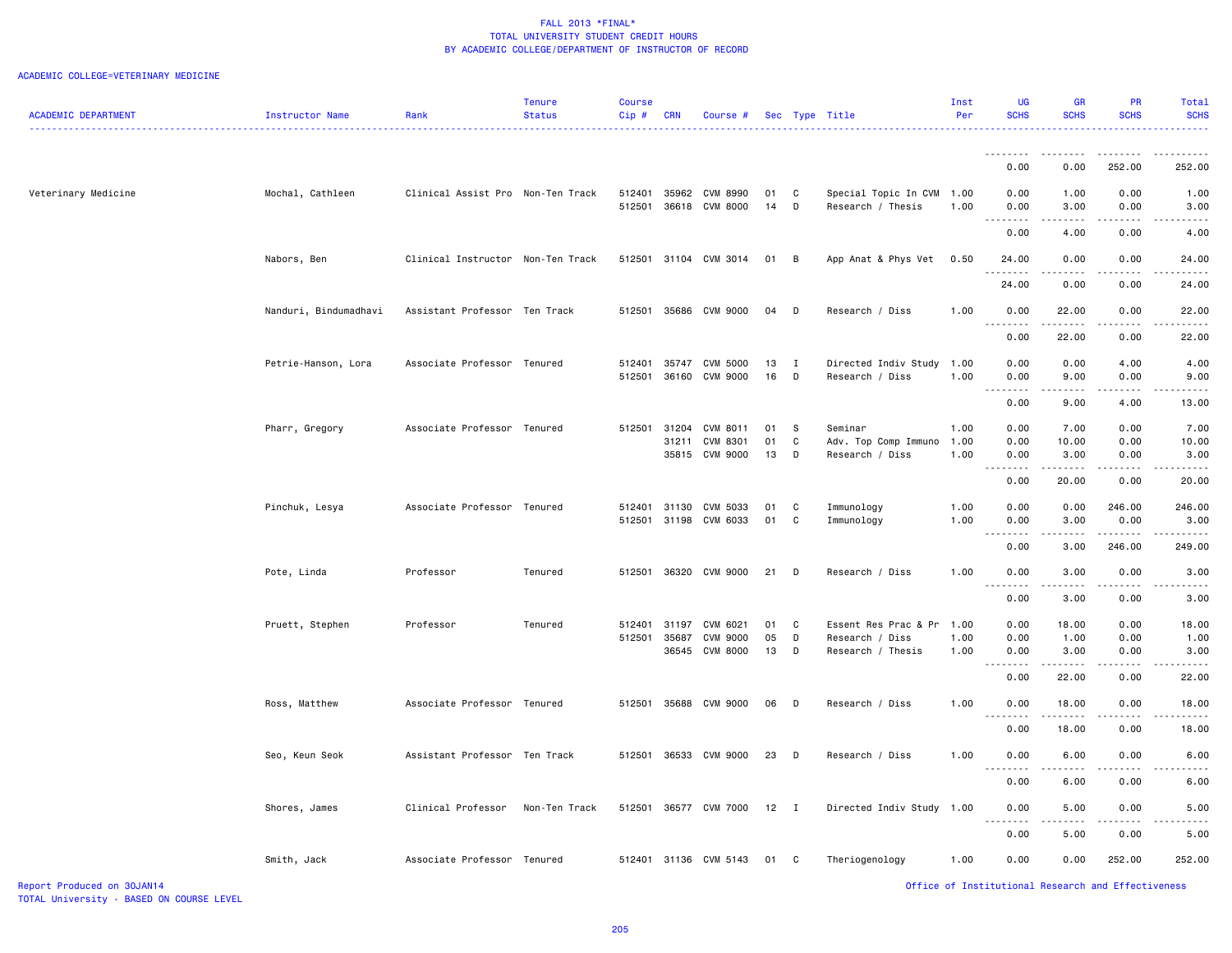#### ACADEMIC COLLEGE=VETERINARY MEDICINE

| <b>ACADEMIC DEPARTMENT</b> | Instructor Name       | Rank                              | <b>Tenure</b><br><b>Status</b> | <b>Course</b><br>Cip# | <b>CRN</b> | Course #                   |          |                | Sec Type Title                       | Inst<br>Per  | UG<br><b>SCHS</b>  | <b>GR</b><br><b>SCHS</b>                                                                                                                                      | PR<br><b>SCHS</b>                                  | Total<br><b>SCHS</b> |
|----------------------------|-----------------------|-----------------------------------|--------------------------------|-----------------------|------------|----------------------------|----------|----------------|--------------------------------------|--------------|--------------------|---------------------------------------------------------------------------------------------------------------------------------------------------------------|----------------------------------------------------|----------------------|
|                            |                       |                                   |                                |                       |            |                            |          |                |                                      |              | <u>.</u>           | .                                                                                                                                                             | .                                                  | .                    |
|                            |                       |                                   |                                |                       |            |                            |          |                |                                      |              | 0.00               | 0.00                                                                                                                                                          | 252.00                                             | 252.00               |
| Veterinary Medicine        | Mochal, Cathleen      | Clinical Assist Pro Non-Ten Track |                                | 512401                |            | 35962 CVM 8990             | 01       | $\mathbf{C}$   | Special Topic In CVM 1.00            |              | 0.00               | 1.00                                                                                                                                                          | 0.00                                               | 1.00                 |
|                            |                       |                                   |                                |                       |            | 512501 36618 CVM 8000      | 14 D     |                | Research / Thesis                    | 1.00         | 0.00<br>.          | 3.00                                                                                                                                                          | 0.00                                               | 3.00                 |
|                            |                       |                                   |                                |                       |            |                            |          |                |                                      |              | 0.00               | 4.00                                                                                                                                                          | 0.00                                               | 4.00                 |
|                            | Nabors, Ben           | Clinical Instructor Non-Ten Track |                                |                       |            | 512501 31104 CVM 3014      | 01 B     |                | App Anat & Phys Vet                  | 0.50         | 24.00<br>$  -$     | 0.00<br>.                                                                                                                                                     | 0.00                                               | 24.00                |
|                            |                       |                                   |                                |                       |            |                            |          |                |                                      |              | 24.00              | 0.00                                                                                                                                                          | 0.00                                               | 24.00                |
|                            | Nanduri, Bindumadhavi | Assistant Professor Ten Track     |                                |                       |            | 512501 35686 CVM 9000      | 04 D     |                | Research / Diss                      | 1.00         | 0.00<br>. <b>.</b> | 22.00<br>.                                                                                                                                                    | 0.00<br>.                                          | 22.00                |
|                            |                       |                                   |                                |                       |            |                            |          |                |                                      |              | 0.00               | 22.00                                                                                                                                                         | 0.00                                               | 22.00                |
|                            | Petrie-Hanson, Lora   | Associate Professor Tenured       |                                | 512401                |            | 35747 CVM 5000             | 13       | $\blacksquare$ | Directed Indiv Study                 | 1.00         | 0.00               | 0.00                                                                                                                                                          | 4.00                                               | 4.00                 |
|                            |                       |                                   |                                |                       |            | 512501 36160 CVM 9000      | 16 D     |                | Research / Diss                      | 1.00         | 0.00<br>$=$ $=$    | 9.00                                                                                                                                                          | 0.00                                               | 9.00                 |
|                            |                       |                                   |                                |                       |            |                            |          |                |                                      |              | 0.00               | 9.00                                                                                                                                                          | 4.00                                               | 13.00                |
|                            | Pharr, Gregory        | Associate Professor Tenured       |                                | 512501                | 31204      | CVM 8011                   | 01       | <b>S</b>       | Seminar                              | 1.00         | 0.00               | 7.00                                                                                                                                                          | 0.00                                               | 7.00                 |
|                            |                       |                                   |                                |                       | 31211      | CVM 8301                   | 01       | $\mathbb{C}$   | Adv. Top Comp Immuno                 | 1.00         | 0.00               | 10.00                                                                                                                                                         | 0.00                                               | 10.00                |
|                            |                       |                                   |                                |                       |            | 35815 CVM 9000             | 13       | D              | Research / Diss                      | 1.00         | 0.00               | 3.00                                                                                                                                                          | 0.00                                               | 3.00                 |
|                            |                       |                                   |                                |                       |            |                            |          |                |                                      |              | . <b>.</b><br>0.00 | المتمام المتعاد<br>20.00                                                                                                                                      | .<br>0.00                                          | .<br>20.00           |
|                            | Pinchuk, Lesya        | Associate Professor Tenured       |                                | 512401                |            | 31130 CVM 5033             | 01 C     |                | Immunology                           | 1.00         | 0.00               | 0.00                                                                                                                                                          | 246.00                                             | 246.00               |
|                            |                       |                                   |                                | 512501                |            | 31198 CVM 6033             | 01       | $\mathbf{C}$   | Immunology                           | 1.00         | 0.00               | 3.00                                                                                                                                                          | 0.00                                               | 3.00                 |
|                            |                       |                                   |                                |                       |            |                            |          |                |                                      |              | .<br>0.00          | 3.00                                                                                                                                                          | 246.00                                             | 249.00               |
|                            | Pote, Linda           | Professor                         | Tenured                        | 512501                |            | 36320 CVM 9000             | 21 D     |                | Research / Diss                      | 1.00         | 0.00               | 3.00                                                                                                                                                          | 0.00                                               | 3.00                 |
|                            |                       |                                   |                                |                       |            |                            |          |                |                                      |              | .<br>0.00          | ----<br>3.00                                                                                                                                                  | 0.00                                               | 3.00                 |
|                            |                       |                                   |                                |                       |            |                            |          |                |                                      |              |                    |                                                                                                                                                               |                                                    |                      |
|                            | Pruett, Stephen       | Professor                         | Tenured                        | 512401                | 31197      | CVM 6021                   | 01       | $\mathbf{C}$   | Essent Res Prac & Pr                 | 1.00         | 0.00               | 18.00                                                                                                                                                         | 0.00                                               | 18.00                |
|                            |                       |                                   |                                | 512501                | 35687      | CVM 9000<br>36545 CVM 8000 | 05<br>13 | D<br>$\Box$    | Research / Diss<br>Research / Thesis | 1.00<br>1.00 | 0.00<br>0.00       | 1.00<br>3.00                                                                                                                                                  | 0.00<br>0.00                                       | 1.00<br>3.00         |
|                            |                       |                                   |                                |                       |            |                            |          |                |                                      |              | .                  | .                                                                                                                                                             | .                                                  |                      |
|                            |                       |                                   |                                |                       |            |                            |          |                |                                      |              | 0.00               | 22.00                                                                                                                                                         | 0.00                                               | 22.00                |
|                            | Ross, Matthew         | Associate Professor Tenured       |                                | 512501                |            | 35688 CVM 9000             | 06       | $\Box$         | Research / Diss                      | 1.00         | 0.00<br>.          | 18.00<br>$\frac{1}{2} \left( \frac{1}{2} \right) \left( \frac{1}{2} \right) \left( \frac{1}{2} \right) \left( \frac{1}{2} \right) \left( \frac{1}{2} \right)$ | 0.00                                               | 18.00                |
|                            |                       |                                   |                                |                       |            |                            |          |                |                                      |              | 0.00               | 18.00                                                                                                                                                         | 0.00                                               | 18.00                |
|                            | Seo, Keun Seok        | Assistant Professor Ten Track     |                                | 512501                |            | 36533 CVM 9000             | 23       | $\overline{D}$ | Research / Diss                      | 1.00         | 0.00<br>.          | 6.00                                                                                                                                                          | 0.00                                               | 6.00                 |
|                            |                       |                                   |                                |                       |            |                            |          |                |                                      |              | 0.00               | 6.00                                                                                                                                                          | 0.00                                               | 6.00                 |
|                            | Shores, James         | Clinical Professor                | Non-Ten Track                  |                       |            | 512501 36577 CVM 7000      | $12$ I   |                | Directed Indiv Study 1.00            |              | 0.00<br>$ -$       | 5.00                                                                                                                                                          | 0.00                                               | 5.00                 |
|                            |                       |                                   |                                |                       |            |                            |          |                |                                      |              | 0.00               | 5.00                                                                                                                                                          | 0.00                                               | 5.00                 |
|                            | Smith, Jack           | Associate Professor Tenured       |                                |                       |            | 512401 31136 CVM 5143      | 01 C     |                | Theriogenology                       | 1.00         | 0.00               | 0.00                                                                                                                                                          | 252.00                                             | 252.00               |
| Report Produced on 30JAN14 |                       |                                   |                                |                       |            |                            |          |                |                                      |              |                    |                                                                                                                                                               | Office of Institutional Research and Effectiveness |                      |

Report Produced on 30JAN14<br>TOTAL University - BASED ON COURSE LEVEL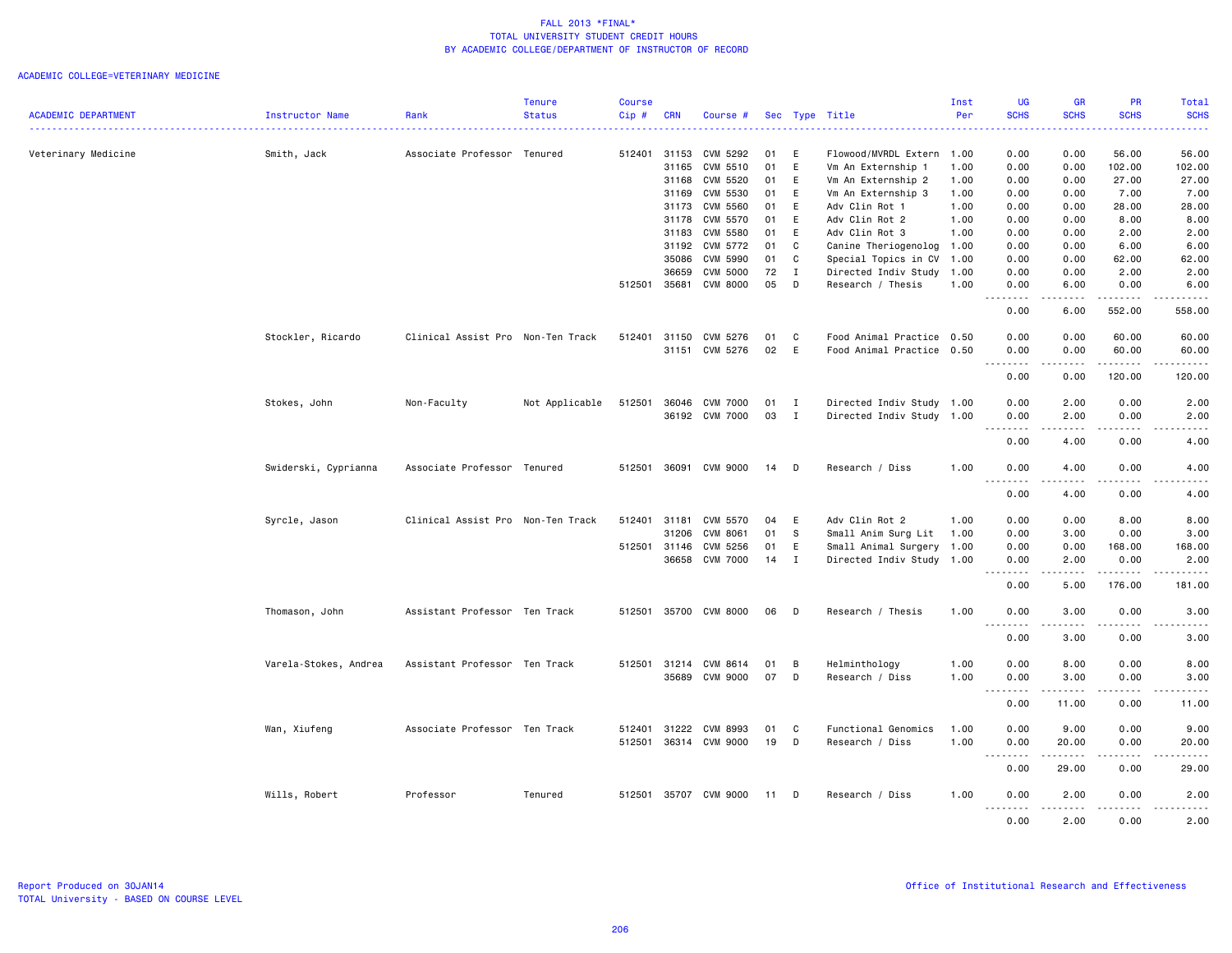|                            |                        |                                   | <b>Tenure</b>  | <b>Course</b> |            |                      |          |              |                                  | Inst         | <b>UG</b>                                                                                                                                          | <b>GR</b>          | <b>PR</b>            | Total                                                                                                                                    |
|----------------------------|------------------------|-----------------------------------|----------------|---------------|------------|----------------------|----------|--------------|----------------------------------|--------------|----------------------------------------------------------------------------------------------------------------------------------------------------|--------------------|----------------------|------------------------------------------------------------------------------------------------------------------------------------------|
| <b>ACADEMIC DEPARTMENT</b> | <b>Instructor Name</b> | Rank                              | <b>Status</b>  | Cip #         | <b>CRN</b> | Course #             |          |              | Sec Type Title                   | Per          | <b>SCHS</b>                                                                                                                                        | <b>SCHS</b>        | <b>SCHS</b>          | <b>SCHS</b><br>$\frac{1}{2} \left( \frac{1}{2} \right) \left( \frac{1}{2} \right) \left( \frac{1}{2} \right) \left( \frac{1}{2} \right)$ |
| Veterinary Medicine        | Smith, Jack            | Associate Professor Tenured       |                | 512401        | 31153      | CVM 5292             | 01       | E            | Flowood/MVRDL Extern             | 1.00         | 0.00                                                                                                                                               | 0.00               | 56.00                | 56.00                                                                                                                                    |
|                            |                        |                                   |                |               | 31165      | CVM 5510             | 01       | E            | Vm An Externship 1               | 1.00         | 0.00                                                                                                                                               | 0.00               | 102.00               | 102.00                                                                                                                                   |
|                            |                        |                                   |                |               | 31168      | CVM 5520             | 01       | E            | Vm An Externship 2               | 1.00         | 0.00                                                                                                                                               | 0.00               | 27.00                | 27.00                                                                                                                                    |
|                            |                        |                                   |                |               | 31169      | CVM 5530             | 01       | E            | Vm An Externship 3               | 1.00         | 0.00                                                                                                                                               | 0.00               | 7.00                 | 7.00                                                                                                                                     |
|                            |                        |                                   |                |               | 31173      | CVM 5560             | 01       | E            | Adv Clin Rot 1                   | 1.00         | 0.00                                                                                                                                               | 0.00               | 28.00                | 28.00                                                                                                                                    |
|                            |                        |                                   |                |               | 31178      | CVM 5570             | 01       | E            | Adv Clin Rot 2                   | 1.00         | 0.00                                                                                                                                               | 0.00               | 8.00                 | 8.00                                                                                                                                     |
|                            |                        |                                   |                |               | 31183      | <b>CVM 5580</b>      | 01       | E            | Adv Clin Rot 3                   | 1.00         | 0.00                                                                                                                                               | 0.00               | 2.00                 | 2.00                                                                                                                                     |
|                            |                        |                                   |                |               | 31192      | CVM 5772             | 01       | C            | Canine Theriogenolog 1.00        |              | 0.00                                                                                                                                               | 0.00               | 6.00                 | 6.00                                                                                                                                     |
|                            |                        |                                   |                |               | 35086      | CVM 5990             | 01       | $\mathbf c$  | Special Topics in CV             | 1.00         | 0.00                                                                                                                                               | 0.00               | 62.00                | 62.00                                                                                                                                    |
|                            |                        |                                   |                |               | 36659      | <b>CVM 5000</b>      | 72       | $\mathbf{I}$ | Directed Indiv Study             | 1.00         | 0.00                                                                                                                                               | 0.00               | 2.00                 | 2.00                                                                                                                                     |
|                            |                        |                                   |                | 512501        | 35681      | CVM 8000             | 05       | D            | Research / Thesis                | 1.00         | 0.00                                                                                                                                               | 6.00               | 0.00                 | 6.00                                                                                                                                     |
|                            |                        |                                   |                |               |            |                      |          |              |                                  |              | $\frac{1}{2}$<br>0.00                                                                                                                              | .<br>6.00          | .<br>552.00          | .<br>558.00                                                                                                                              |
|                            | Stockler, Ricardo      | Clinical Assist Pro Non-Ten Track |                | 512401        | 31150      | CVM 5276             | 01       | C            | Food Animal Practice 0.50        |              | 0.00                                                                                                                                               | 0.00               | 60.00                | 60.00                                                                                                                                    |
|                            |                        |                                   |                |               | 31151      | CVM 5276             | 02       | E            | Food Animal Practice             | 0.50         | 0.00                                                                                                                                               | 0.00               | 60.00                | 60.00                                                                                                                                    |
|                            |                        |                                   |                |               |            |                      |          |              |                                  |              | .<br>$\sim$ $\sim$ $\sim$                                                                                                                          | .                  | .                    | .                                                                                                                                        |
|                            |                        |                                   |                |               |            |                      |          |              |                                  |              | 0.00                                                                                                                                               | 0.00               | 120.00               | 120.00                                                                                                                                   |
|                            | Stokes, John           | Non-Faculty                       | Not Applicable | 512501        | 36046      | <b>CVM 7000</b>      | 01       | $\mathbf{I}$ | Directed Indiv Study 1.00        |              | 0.00                                                                                                                                               | 2.00               | 0.00                 | 2.00                                                                                                                                     |
|                            |                        |                                   |                |               |            | 36192 CVM 7000       | 03       | $\mathbf{I}$ | Directed Indiv Study 1.00        |              | 0.00<br>.                                                                                                                                          | 2.00<br>.          | 0.00<br>.            | 2.00<br>.                                                                                                                                |
|                            |                        |                                   |                |               |            |                      |          |              |                                  |              | 0.00                                                                                                                                               | 4.00               | 0.00                 | 4.00                                                                                                                                     |
|                            | Swiderski, Cyprianna   | Associate Professor Tenured       |                | 512501        | 36091      | CVM 9000             | 14       | D            | Research / Diss                  | 1.00         | 0.00                                                                                                                                               | 4.00               | 0.00                 | 4.00                                                                                                                                     |
|                            |                        |                                   |                |               |            |                      |          |              |                                  |              | $\sim$ $\sim$<br>$\frac{1}{2} \left( \frac{1}{2} \right) \left( \frac{1}{2} \right) \left( \frac{1}{2} \right) \left( \frac{1}{2} \right)$<br>0.00 | 4.00               | 0.00                 | 4.00                                                                                                                                     |
|                            | Syrcle, Jason          | Clinical Assist Pro Non-Ten Track |                | 512401        | 31181      | CVM 5570             | 04       | E            | Adv Clin Rot 2                   | 1.00         | 0.00                                                                                                                                               | 0.00               | 8.00                 | 8.00                                                                                                                                     |
|                            |                        |                                   |                |               | 31206      | <b>CVM 8061</b>      | 01       | s.           | Small Anim Surg Lit              | 1.00         | 0.00                                                                                                                                               | 3.00               | 0.00                 | 3.00                                                                                                                                     |
|                            |                        |                                   |                | 512501        | 31146      | CVM 5256             | 01       | E            | Small Animal Surgery             | 1.00         | 0.00                                                                                                                                               | 0.00               | 168.00               | 168.00                                                                                                                                   |
|                            |                        |                                   |                |               | 36658      | <b>CVM 7000</b>      | 14       | $\mathbf{I}$ | Directed Indiv Study 1.00        |              | 0.00                                                                                                                                               | 2.00               | 0.00                 | 2.00                                                                                                                                     |
|                            |                        |                                   |                |               |            |                      |          |              |                                  |              | $\sim$ $\sim$<br>.<br>0.00                                                                                                                         | .<br>5.00          | .<br>176.00          | .<br>181.00                                                                                                                              |
|                            | Thomason, John         | Assistant Professor Ten Track     |                | 512501        |            | 35700 CVM 8000       | 06       | D            | Research / Thesis                | 1.00         | 0.00                                                                                                                                               | 3.00               | 0.00                 | 3.00                                                                                                                                     |
|                            |                        |                                   |                |               |            |                      |          |              |                                  |              | $\sim$ $\sim$ $\sim$<br>$- - -$<br>0.00                                                                                                            | . <u>.</u><br>3.00 | $- - - - -$<br>0.00  | $- - - - -$<br>3.00                                                                                                                      |
|                            |                        |                                   |                | 512501        | 31214      |                      |          |              |                                  |              |                                                                                                                                                    |                    | 0.00                 |                                                                                                                                          |
|                            | Varela-Stokes, Andrea  | Assistant Professor Ten Track     |                |               | 35689      | CVM 8614<br>CVM 9000 | 01<br>07 | В<br>D       | Helminthology<br>Research / Diss | 1.00<br>1.00 | 0.00<br>0.00                                                                                                                                       | 8.00<br>3.00       | 0.00                 | 8.00<br>3.00                                                                                                                             |
|                            |                        |                                   |                |               |            |                      |          |              |                                  |              | .<br>$\sim$ $\sim$                                                                                                                                 | د د د د د          | $\sim$ $\sim$ $\sim$ | د د د د د                                                                                                                                |
|                            |                        |                                   |                |               |            |                      |          |              |                                  |              | 0.00                                                                                                                                               | 11.00              | 0.00                 | 11.00                                                                                                                                    |
|                            | Wan, Xiufeng           | Associate Professor Ten Track     |                | 512401        | 31222      | CVM 8993             | 01       | C            | Functional Genomics              | 1.00         | 0.00                                                                                                                                               | 9.00               | 0.00                 | 9.00                                                                                                                                     |
|                            |                        |                                   |                | 512501        | 36314      | CVM 9000             | 19       | D            | Research / Diss                  | 1.00         | 0.00                                                                                                                                               | 20.00              | 0.00                 | 20.00                                                                                                                                    |
|                            |                        |                                   |                |               |            |                      |          |              |                                  |              | $\sim$ $\sim$<br>$\sim$ $\sim$ $\sim$ $\sim$                                                                                                       |                    | $- - - -$            | $- - - - -$                                                                                                                              |
|                            |                        |                                   |                |               |            |                      |          |              |                                  |              | 0.00                                                                                                                                               | 29.00              | 0.00                 | 29.00                                                                                                                                    |
|                            | Wills, Robert          | Professor                         | Tenured        | 512501        |            | 35707 CVM 9000       | 11       | D            | Research / Diss                  | 1.00         | 0.00                                                                                                                                               | 2.00               | 0.00                 | 2.00                                                                                                                                     |
|                            |                        |                                   |                |               |            |                      |          |              |                                  |              | 0.00                                                                                                                                               | 2.00               | 0.00                 | 2.00                                                                                                                                     |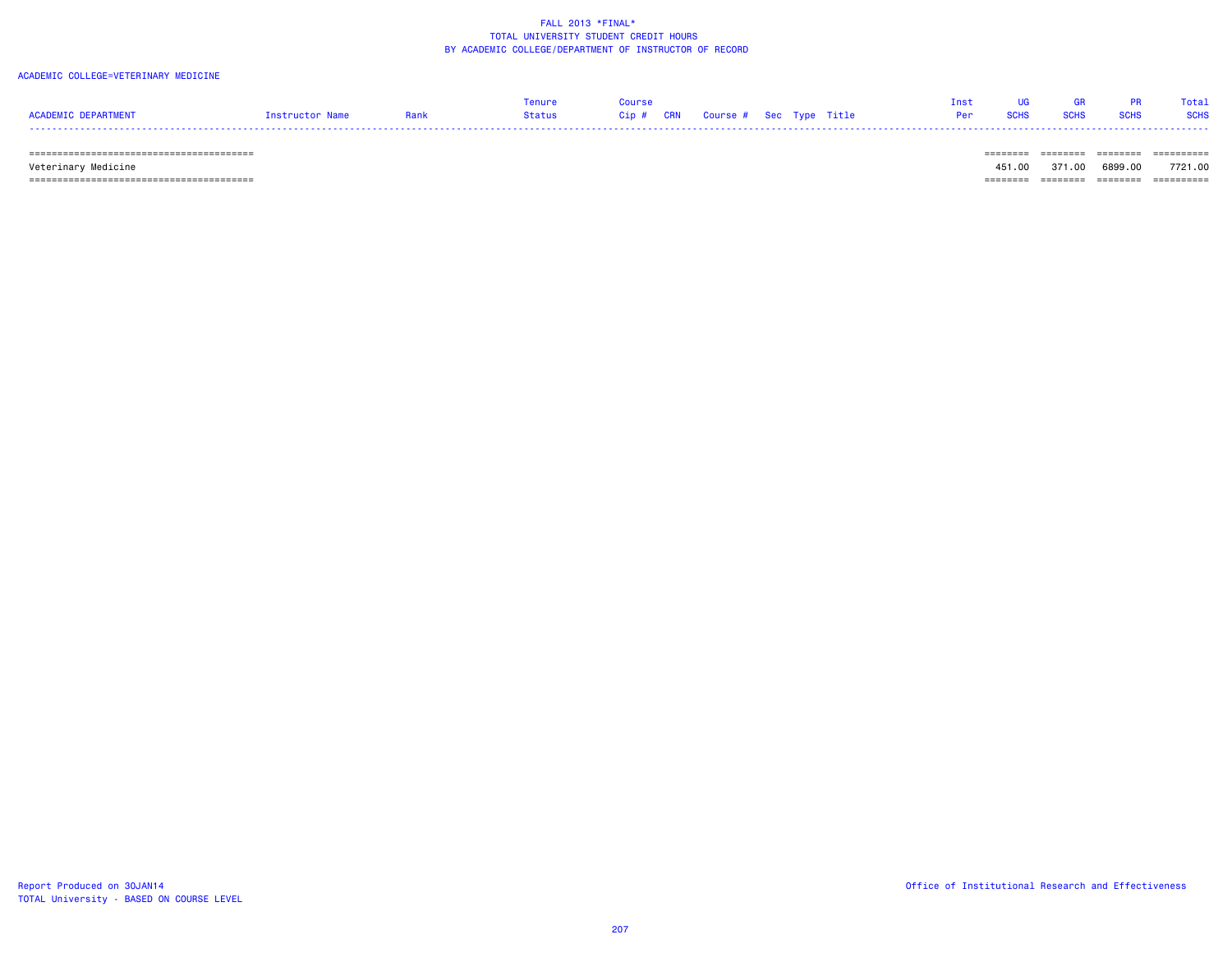#### ACADEMIC COLLEGE=VETERINARY MEDICINE

|                     |                 |      | Tenure | Course |  |  | Tnst | <b>LIG</b> | <b>GREE</b> | <b>PR</b> | Total |
|---------------------|-----------------|------|--------|--------|--|--|------|------------|-------------|-----------|-------|
| ACADEMIC DEPARTMENT | Instructor Name | Rank |        |        |  |  |      |            |             |           |       |
|                     |                 |      |        |        |  |  |      |            |             |           |       |

======================================== ======== ======== ======== ==========

 Veterinary Medicine 451.00 371.00 6899.00 7721.00 ======================================== ======== ======== ======== ==========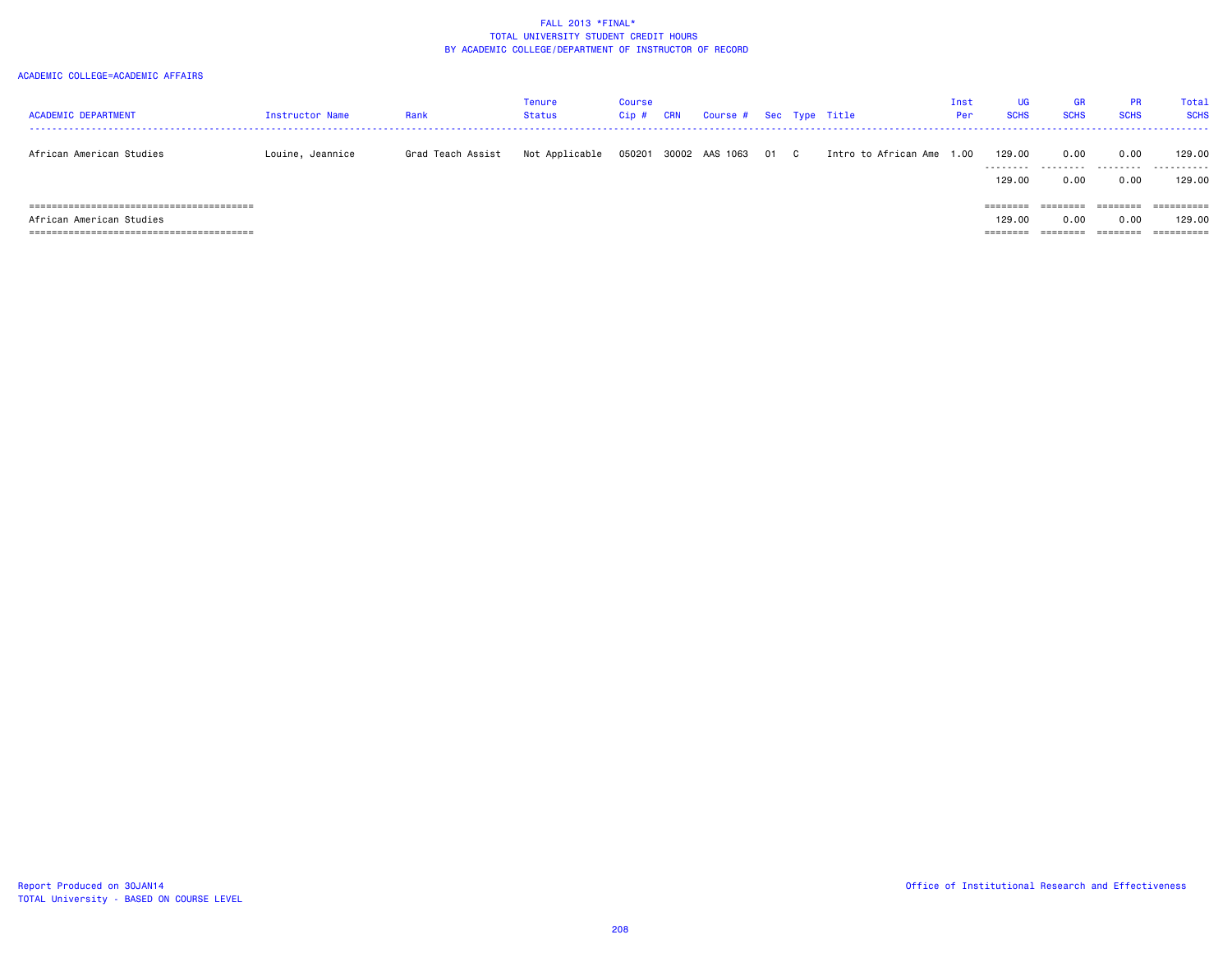#### ACADEMIC COLLEGE=ACADEMIC AFFAIRS

| <b>ACADEMIC DEPARTMENT</b>                     | <b>Instructor Name</b> | Rank              | Tenure<br>Status | Course<br>Cip # | CRN | Course # Sec Type Title |      |                           | Inst<br>Per | UG.<br><b>SCHS</b> | <b>GR</b><br><b>SCHS</b> | <b>PR</b><br><b>SCHS</b> | Total<br><b>SCHS</b> |
|------------------------------------------------|------------------------|-------------------|------------------|-----------------|-----|-------------------------|------|---------------------------|-------------|--------------------|--------------------------|--------------------------|----------------------|
| African American Studies                       | Louine, Jeannice       | Grad Teach Assist | Not Applicable   | 050201          |     | 30002 AAS 1063          | 01 C | Intro to African Ame 1.00 |             | 129.00             | 0.00                     | 0.00                     | 129.00<br>.          |
|                                                |                        |                   |                  |                 |     |                         |      |                           |             | 129,00             | 0.00                     | 0.00                     | 129.00               |
| ====================================<br>====== |                        |                   |                  |                 |     |                         |      |                           |             | $=$ = = = = = = =  | ========                 | ========                 | ========             |
| African American Studies                       |                        |                   |                  |                 |     |                         |      |                           |             | 129,00             | 0.00                     | 0.00                     | 129.00               |
|                                                |                        |                   |                  |                 |     |                         |      |                           |             | ========           | ========                 | ========                 | ==========           |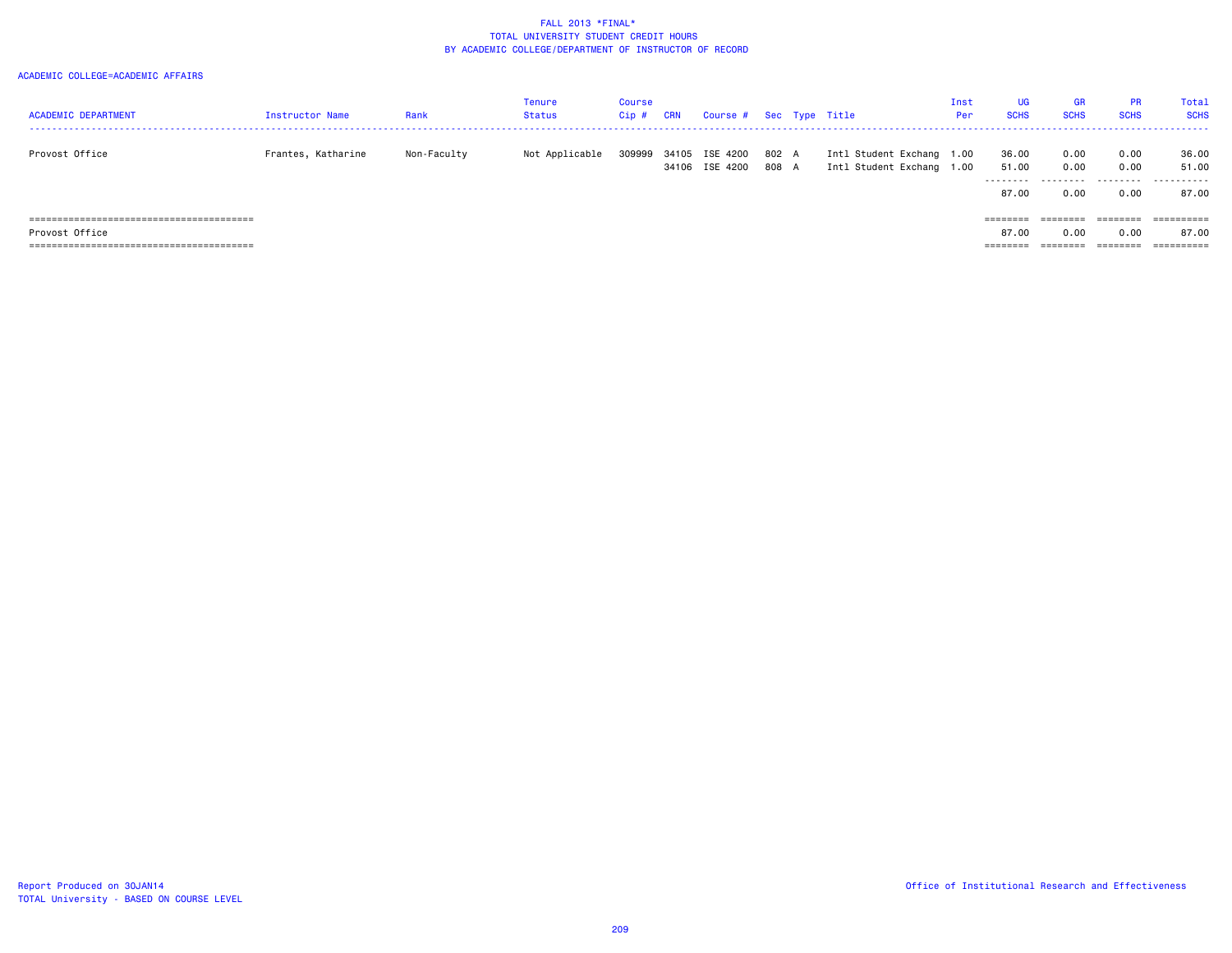#### ACADEMIC COLLEGE=ACADEMIC AFFAIRS

| <b>ACADEMIC DEPARTMENT</b> | <b>Instructor Name</b> | Rank        | Tenure<br>Status | Course<br>Cip # | <b>CRN</b> | Course # Sec Type Title          |                |                                                        | Inst<br>Per | <b>UG</b><br><b>SCHS</b>   | <b>GR</b><br><b>SCHS</b> | <b>PR</b><br><b>SCHS</b>                                                | Total<br><b>SCHS</b>            |
|----------------------------|------------------------|-------------|------------------|-----------------|------------|----------------------------------|----------------|--------------------------------------------------------|-------------|----------------------------|--------------------------|-------------------------------------------------------------------------|---------------------------------|
| Provost Office             | Frantes, Katharine     | Non-Faculty | Not Applicable   | 309999          |            | 34105 ISE 4200<br>34106 ISE 4200 | 802 A<br>808 A | Intl Student Exchang 1.00<br>Intl Student Exchang 1.00 |             | 36.00<br>51.00<br>-------- | 0.00<br>0.00             | 0.00<br>0.00                                                            | 36.00<br>51.00<br>- - - - - - - |
|                            |                        |             |                  |                 |            |                                  |                |                                                        |             | 87.00                      | 0.00                     | 0.00                                                                    | 87.00                           |
|                            |                        |             |                  |                 |            |                                  |                |                                                        |             | $=$ = = = = = = =          |                          | $\qquad \qquad \equiv \equiv \equiv \equiv \equiv \equiv \equiv \equiv$ |                                 |
| Provost Office             |                        |             |                  |                 |            |                                  |                |                                                        |             | 87.00                      | 0.00                     | 0.00                                                                    | 87.00                           |
|                            |                        |             |                  |                 |            |                                  |                |                                                        |             | ========                   |                          | ========                                                                | ==========                      |